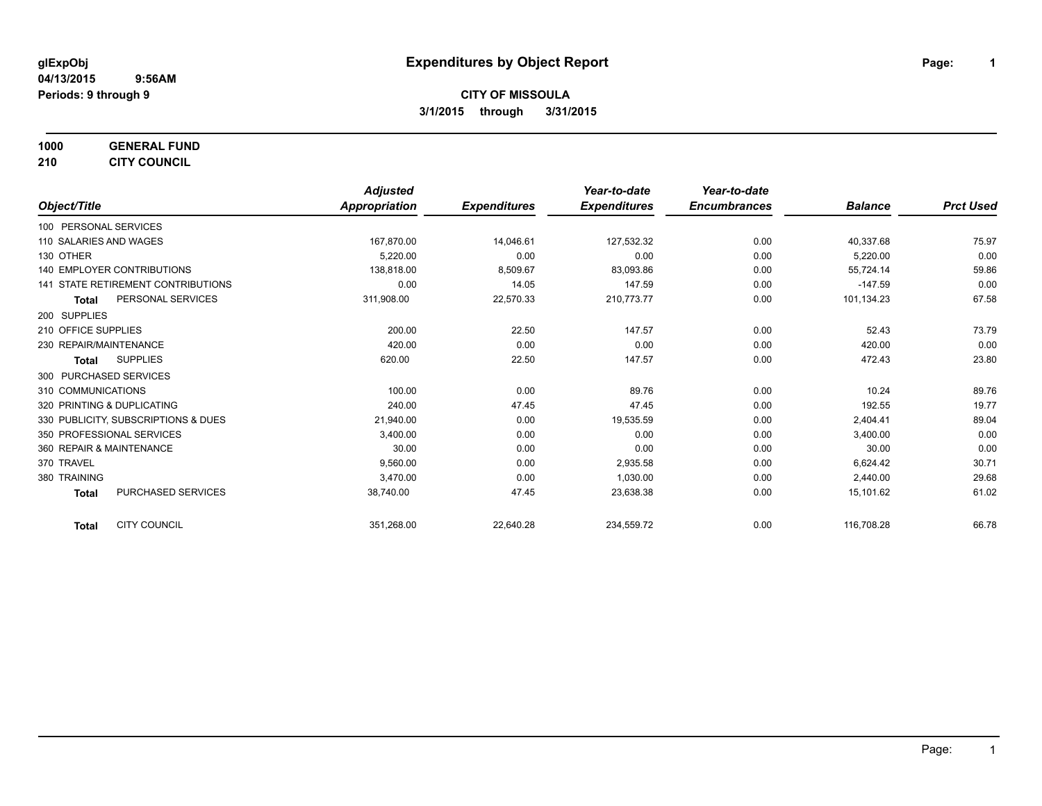**1000 GENERAL FUND 210 CITY COUNCIL**

*Object/Title Adjusted Appropriation Expenditures Year-to-date Expenditures Year-to-date Encumbrances Balance Prct Used* 100 PERSONAL SERVICES 110 SALARIES AND WAGES 20 167,870.00 14,046.61 127,532.32 0.00 40.337.68 275.97 130 OTHER 5,220.00 0.00 0.00 0.00 5,220.00 0.00 140 EMPLOYER CONTRIBUTIONS 138,818.00 8,509.67 83,093.86 0.00 55,724.14 59.86 141 STATE RETIREMENT CONTRIBUTIONS 0.00 14.05 147.59 0.00 -147.59 0.00 **Total** PERSONAL SERVICES 311,908.00 22,570.33 210,773.77 0.00 101,134.23 67.58 200 SUPPLIES 210 OFFICE SUPPLIES 200.00 22.50 147.57 0.00 52.43 73.79 230 REPAIR/MAINTENANCE 420.00 0.00 0.00 0.00 420.00 0.00 **Total** SUPPLIES 620.00 22.50 147.57 0.00 472.43 23.80 300 PURCHASED SERVICES 310 COMMUNICATIONS 68.76 2010 100.00 100.00 100.00 0.00 0.00 89.76 0.00 0.00 10.24 89.76 320 PRINTING & DUPLICATING 240.00 47.45 47.45 0.00 192.55 19.77 330 PUBLICITY, SUBSCRIPTIONS & DUES 21,940.00 2,949.00 0.00 19,535.59 0.00 0.00 2,404.41 89.04 89.04 350 PROFESSIONAL SERVICES 3,400.00 0.00 0.00 0.00 3,400.00 0.00 360 REPAIR & MAINTENANCE 30.00 0.00 0.00 0.00 30.00 0.00 370 TRAVEL 9,560.00 0.00 2,935.58 0.00 6,624.42 30.71 380 TRAINING 3,470.00 0.00 1,030.00 0.00 2,440.00 29.68 **Total** PURCHASED SERVICES 61.02 38,740.00 47.45 23,638.38 0.00 15,101.62 61.02 **Total** CITY COUNCIL 351,268.00 22,640.28 234,559.72 0.00 116,708.28 66.78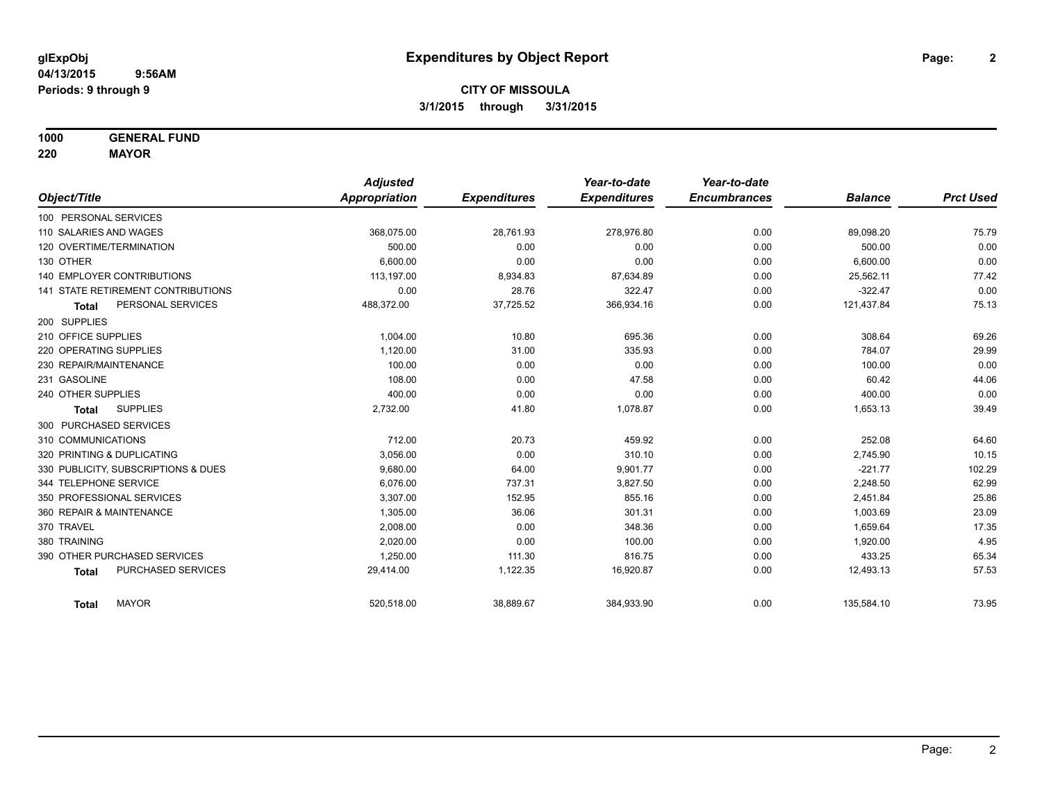**1000 GENERAL FUND**

**220 MAYOR**

|                                     | <b>Adjusted</b> |                     | Year-to-date        | Year-to-date        |                |                  |
|-------------------------------------|-----------------|---------------------|---------------------|---------------------|----------------|------------------|
| Object/Title                        | Appropriation   | <b>Expenditures</b> | <b>Expenditures</b> | <b>Encumbrances</b> | <b>Balance</b> | <b>Prct Used</b> |
| 100 PERSONAL SERVICES               |                 |                     |                     |                     |                |                  |
| 110 SALARIES AND WAGES              | 368,075.00      | 28,761.93           | 278,976.80          | 0.00                | 89,098.20      | 75.79            |
| 120 OVERTIME/TERMINATION            | 500.00          | 0.00                | 0.00                | 0.00                | 500.00         | 0.00             |
| 130 OTHER                           | 6.600.00        | 0.00                | 0.00                | 0.00                | 6,600.00       | 0.00             |
| <b>140 EMPLOYER CONTRIBUTIONS</b>   | 113,197.00      | 8,934.83            | 87,634.89           | 0.00                | 25,562.11      | 77.42            |
| 141 STATE RETIREMENT CONTRIBUTIONS  | 0.00            | 28.76               | 322.47              | 0.00                | $-322.47$      | 0.00             |
| PERSONAL SERVICES<br><b>Total</b>   | 488,372.00      | 37,725.52           | 366,934.16          | 0.00                | 121,437.84     | 75.13            |
| 200 SUPPLIES                        |                 |                     |                     |                     |                |                  |
| 210 OFFICE SUPPLIES                 | 1,004.00        | 10.80               | 695.36              | 0.00                | 308.64         | 69.26            |
| 220 OPERATING SUPPLIES              | 1,120.00        | 31.00               | 335.93              | 0.00                | 784.07         | 29.99            |
| 230 REPAIR/MAINTENANCE              | 100.00          | 0.00                | 0.00                | 0.00                | 100.00         | 0.00             |
| 231 GASOLINE                        | 108.00          | 0.00                | 47.58               | 0.00                | 60.42          | 44.06            |
| 240 OTHER SUPPLIES                  | 400.00          | 0.00                | 0.00                | 0.00                | 400.00         | 0.00             |
| <b>SUPPLIES</b><br><b>Total</b>     | 2,732.00        | 41.80               | 1,078.87            | 0.00                | 1,653.13       | 39.49            |
| 300 PURCHASED SERVICES              |                 |                     |                     |                     |                |                  |
| 310 COMMUNICATIONS                  | 712.00          | 20.73               | 459.92              | 0.00                | 252.08         | 64.60            |
| 320 PRINTING & DUPLICATING          | 3,056.00        | 0.00                | 310.10              | 0.00                | 2,745.90       | 10.15            |
| 330 PUBLICITY, SUBSCRIPTIONS & DUES | 9,680.00        | 64.00               | 9,901.77            | 0.00                | $-221.77$      | 102.29           |
| 344 TELEPHONE SERVICE               | 6.076.00        | 737.31              | 3,827.50            | 0.00                | 2,248.50       | 62.99            |
| 350 PROFESSIONAL SERVICES           | 3,307.00        | 152.95              | 855.16              | 0.00                | 2,451.84       | 25.86            |
| 360 REPAIR & MAINTENANCE            | 1,305.00        | 36.06               | 301.31              | 0.00                | 1,003.69       | 23.09            |
| 370 TRAVEL                          | 2,008.00        | 0.00                | 348.36              | 0.00                | 1,659.64       | 17.35            |
| 380 TRAINING                        | 2,020.00        | 0.00                | 100.00              | 0.00                | 1,920.00       | 4.95             |
| 390 OTHER PURCHASED SERVICES        | 1,250.00        | 111.30              | 816.75              | 0.00                | 433.25         | 65.34            |
| PURCHASED SERVICES<br><b>Total</b>  | 29,414.00       | 1,122.35            | 16,920.87           | 0.00                | 12,493.13      | 57.53            |
| <b>MAYOR</b><br><b>Total</b>        | 520,518.00      | 38,889.67           | 384,933.90          | 0.00                | 135,584.10     | 73.95            |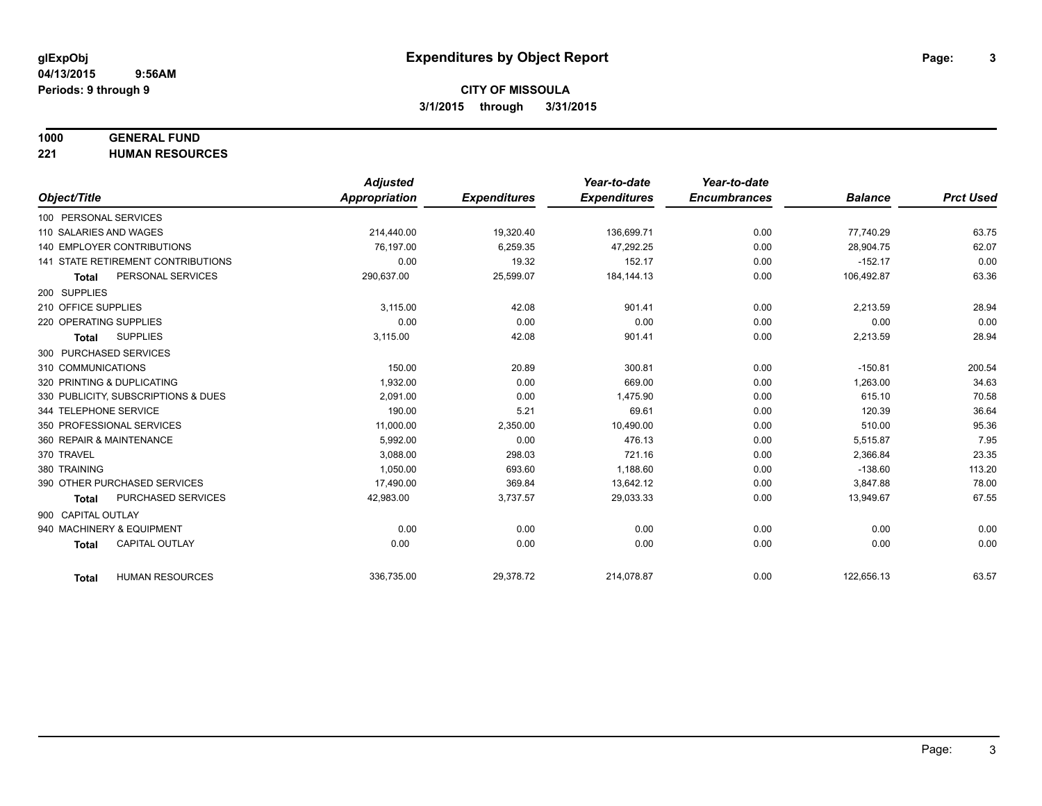## **1000 GENERAL FUND**

**221 HUMAN RESOURCES**

|                                           | <b>Adjusted</b>      |                     | Year-to-date        | Year-to-date        |                |                  |
|-------------------------------------------|----------------------|---------------------|---------------------|---------------------|----------------|------------------|
| Object/Title                              | <b>Appropriation</b> | <b>Expenditures</b> | <b>Expenditures</b> | <b>Encumbrances</b> | <b>Balance</b> | <b>Prct Used</b> |
| 100 PERSONAL SERVICES                     |                      |                     |                     |                     |                |                  |
| 110 SALARIES AND WAGES                    | 214,440.00           | 19,320.40           | 136,699.71          | 0.00                | 77,740.29      | 63.75            |
| <b>140 EMPLOYER CONTRIBUTIONS</b>         | 76.197.00            | 6,259.35            | 47,292.25           | 0.00                | 28,904.75      | 62.07            |
| <b>141 STATE RETIREMENT CONTRIBUTIONS</b> | 0.00                 | 19.32               | 152.17              | 0.00                | $-152.17$      | 0.00             |
| PERSONAL SERVICES<br><b>Total</b>         | 290,637.00           | 25,599.07           | 184, 144. 13        | 0.00                | 106,492.87     | 63.36            |
| 200 SUPPLIES                              |                      |                     |                     |                     |                |                  |
| 210 OFFICE SUPPLIES                       | 3,115.00             | 42.08               | 901.41              | 0.00                | 2,213.59       | 28.94            |
| 220 OPERATING SUPPLIES                    | 0.00                 | 0.00                | 0.00                | 0.00                | 0.00           | 0.00             |
| <b>SUPPLIES</b><br><b>Total</b>           | 3,115.00             | 42.08               | 901.41              | 0.00                | 2,213.59       | 28.94            |
| 300 PURCHASED SERVICES                    |                      |                     |                     |                     |                |                  |
| 310 COMMUNICATIONS                        | 150.00               | 20.89               | 300.81              | 0.00                | $-150.81$      | 200.54           |
| 320 PRINTING & DUPLICATING                | 1,932.00             | 0.00                | 669.00              | 0.00                | 1,263.00       | 34.63            |
| 330 PUBLICITY, SUBSCRIPTIONS & DUES       | 2.091.00             | 0.00                | 1,475.90            | 0.00                | 615.10         | 70.58            |
| 344 TELEPHONE SERVICE                     | 190.00               | 5.21                | 69.61               | 0.00                | 120.39         | 36.64            |
| 350 PROFESSIONAL SERVICES                 | 11,000.00            | 2,350.00            | 10,490.00           | 0.00                | 510.00         | 95.36            |
| 360 REPAIR & MAINTENANCE                  | 5.992.00             | 0.00                | 476.13              | 0.00                | 5,515.87       | 7.95             |
| 370 TRAVEL                                | 3,088.00             | 298.03              | 721.16              | 0.00                | 2,366.84       | 23.35            |
| 380 TRAINING                              | 1,050.00             | 693.60              | 1,188.60            | 0.00                | $-138.60$      | 113.20           |
| 390 OTHER PURCHASED SERVICES              | 17,490.00            | 369.84              | 13,642.12           | 0.00                | 3,847.88       | 78.00            |
| <b>PURCHASED SERVICES</b><br>Total        | 42,983.00            | 3,737.57            | 29,033.33           | 0.00                | 13,949.67      | 67.55            |
| 900 CAPITAL OUTLAY                        |                      |                     |                     |                     |                |                  |
| 940 MACHINERY & EQUIPMENT                 | 0.00                 | 0.00                | 0.00                | 0.00                | 0.00           | 0.00             |
| <b>CAPITAL OUTLAY</b><br><b>Total</b>     | 0.00                 | 0.00                | 0.00                | 0.00                | 0.00           | 0.00             |
|                                           |                      |                     |                     |                     |                |                  |
| <b>HUMAN RESOURCES</b><br><b>Total</b>    | 336,735.00           | 29,378.72           | 214,078.87          | 0.00                | 122,656.13     | 63.57            |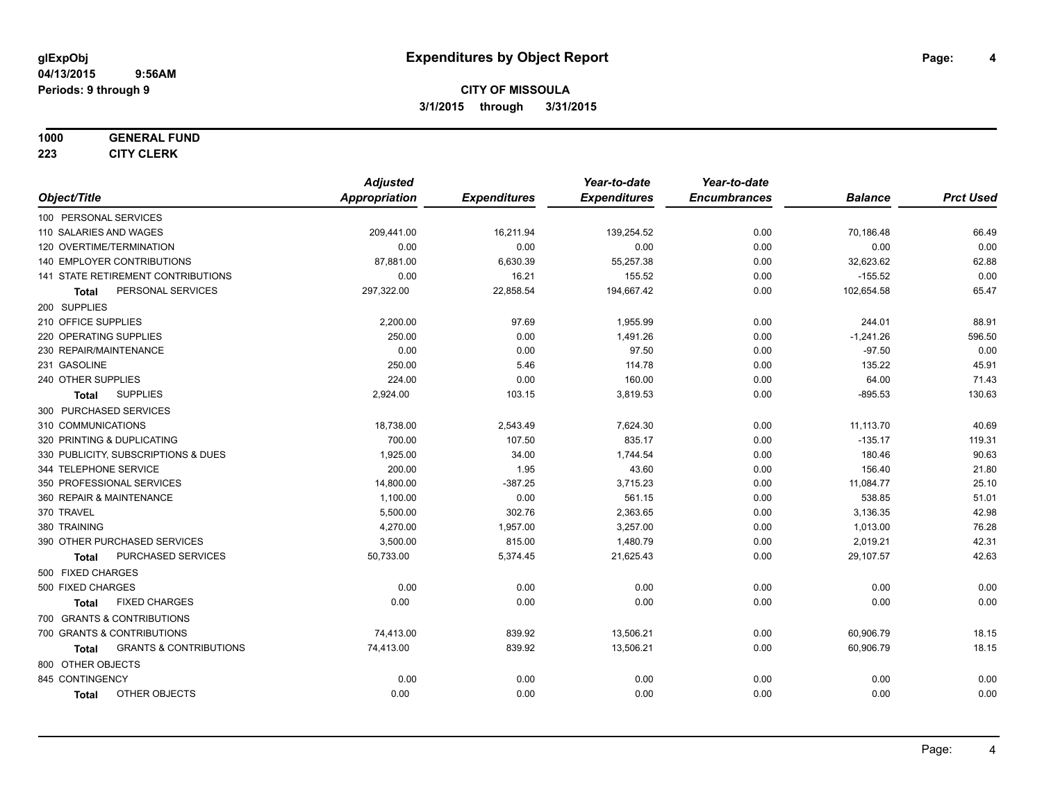#### **1000 GENERAL FUND**

**223 CITY CLERK**

|                                                   | <b>Adjusted</b>      |                     | Year-to-date        | Year-to-date        |                |                  |
|---------------------------------------------------|----------------------|---------------------|---------------------|---------------------|----------------|------------------|
| Object/Title                                      | <b>Appropriation</b> | <b>Expenditures</b> | <b>Expenditures</b> | <b>Encumbrances</b> | <b>Balance</b> | <b>Prct Used</b> |
| 100 PERSONAL SERVICES                             |                      |                     |                     |                     |                |                  |
| 110 SALARIES AND WAGES                            | 209,441.00           | 16,211.94           | 139,254.52          | 0.00                | 70,186.48      | 66.49            |
| 120 OVERTIME/TERMINATION                          | 0.00                 | 0.00                | 0.00                | 0.00                | 0.00           | 0.00             |
| 140 EMPLOYER CONTRIBUTIONS                        | 87,881.00            | 6,630.39            | 55,257.38           | 0.00                | 32,623.62      | 62.88            |
| 141 STATE RETIREMENT CONTRIBUTIONS                | 0.00                 | 16.21               | 155.52              | 0.00                | $-155.52$      | 0.00             |
| PERSONAL SERVICES<br>Total                        | 297,322.00           | 22,858.54           | 194,667.42          | 0.00                | 102,654.58     | 65.47            |
| 200 SUPPLIES                                      |                      |                     |                     |                     |                |                  |
| 210 OFFICE SUPPLIES                               | 2,200.00             | 97.69               | 1,955.99            | 0.00                | 244.01         | 88.91            |
| 220 OPERATING SUPPLIES                            | 250.00               | 0.00                | 1,491.26            | 0.00                | $-1,241.26$    | 596.50           |
| 230 REPAIR/MAINTENANCE                            | 0.00                 | 0.00                | 97.50               | 0.00                | $-97.50$       | 0.00             |
| 231 GASOLINE                                      | 250.00               | 5.46                | 114.78              | 0.00                | 135.22         | 45.91            |
| 240 OTHER SUPPLIES                                | 224.00               | 0.00                | 160.00              | 0.00                | 64.00          | 71.43            |
| <b>SUPPLIES</b><br>Total                          | 2,924.00             | 103.15              | 3,819.53            | 0.00                | $-895.53$      | 130.63           |
| 300 PURCHASED SERVICES                            |                      |                     |                     |                     |                |                  |
| 310 COMMUNICATIONS                                | 18,738.00            | 2,543.49            | 7,624.30            | 0.00                | 11,113.70      | 40.69            |
| 320 PRINTING & DUPLICATING                        | 700.00               | 107.50              | 835.17              | 0.00                | $-135.17$      | 119.31           |
| 330 PUBLICITY, SUBSCRIPTIONS & DUES               | 1,925.00             | 34.00               | 1,744.54            | 0.00                | 180.46         | 90.63            |
| 344 TELEPHONE SERVICE                             | 200.00               | 1.95                | 43.60               | 0.00                | 156.40         | 21.80            |
| 350 PROFESSIONAL SERVICES                         | 14,800.00            | $-387.25$           | 3,715.23            | 0.00                | 11,084.77      | 25.10            |
| 360 REPAIR & MAINTENANCE                          | 1,100.00             | 0.00                | 561.15              | 0.00                | 538.85         | 51.01            |
| 370 TRAVEL                                        | 5,500.00             | 302.76              | 2,363.65            | 0.00                | 3,136.35       | 42.98            |
| 380 TRAINING                                      | 4,270.00             | 1,957.00            | 3.257.00            | 0.00                | 1,013.00       | 76.28            |
| 390 OTHER PURCHASED SERVICES                      | 3,500.00             | 815.00              | 1,480.79            | 0.00                | 2,019.21       | 42.31            |
| PURCHASED SERVICES<br><b>Total</b>                | 50,733.00            | 5,374.45            | 21,625.43           | 0.00                | 29,107.57      | 42.63            |
| 500 FIXED CHARGES                                 |                      |                     |                     |                     |                |                  |
| 500 FIXED CHARGES                                 | 0.00                 | 0.00                | 0.00                | 0.00                | 0.00           | 0.00             |
| <b>FIXED CHARGES</b><br>Total                     | 0.00                 | 0.00                | 0.00                | 0.00                | 0.00           | 0.00             |
| 700 GRANTS & CONTRIBUTIONS                        |                      |                     |                     |                     |                |                  |
| 700 GRANTS & CONTRIBUTIONS                        | 74,413.00            | 839.92              | 13,506.21           | 0.00                | 60,906.79      | 18.15            |
| <b>GRANTS &amp; CONTRIBUTIONS</b><br><b>Total</b> | 74,413.00            | 839.92              | 13,506.21           | 0.00                | 60,906.79      | 18.15            |
| 800 OTHER OBJECTS                                 |                      |                     |                     |                     |                |                  |
| 845 CONTINGENCY                                   | 0.00                 | 0.00                | 0.00                | 0.00                | 0.00           | 0.00             |
| OTHER OBJECTS<br><b>Total</b>                     | 0.00                 | 0.00                | 0.00                | 0.00                | 0.00           | 0.00             |
|                                                   |                      |                     |                     |                     |                |                  |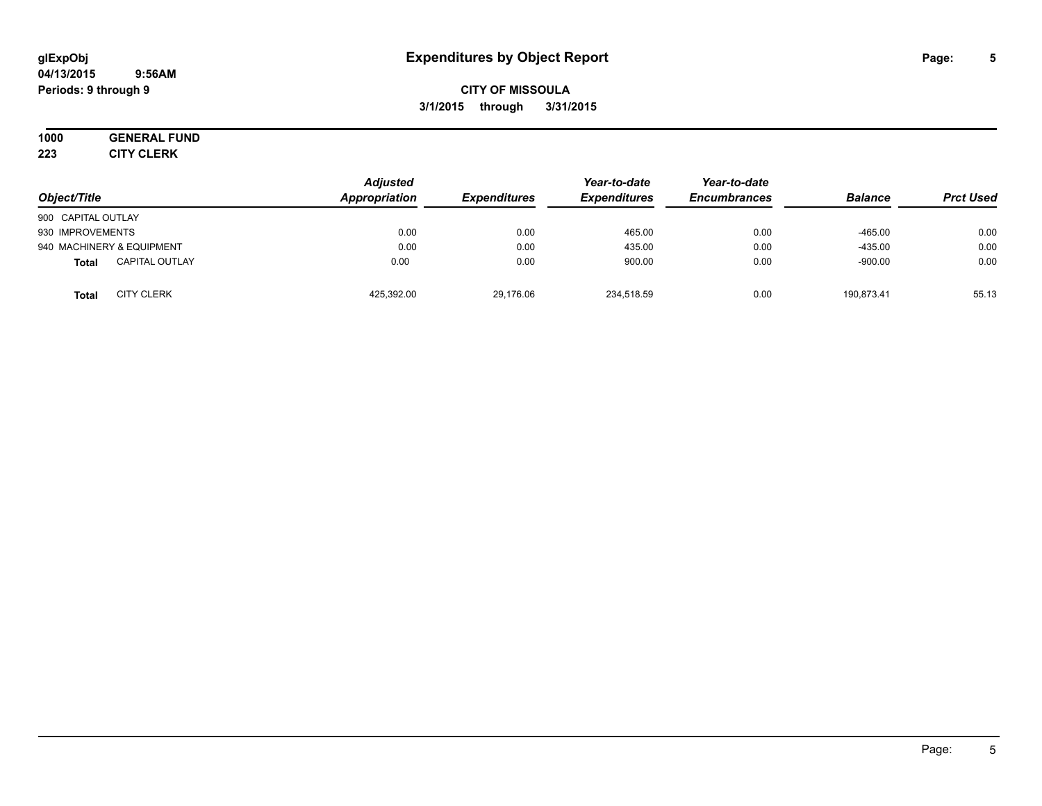#### **04/13/2015 9:56AM Periods: 9 through 9**

## **CITY OF MISSOULA 3/1/2015 through 3/31/2015**

# **1000 GENERAL FUND**

**223 CITY CLERK**

| Object/Title                          | <b>Adjusted</b><br>Appropriation | <b>Expenditures</b> | Year-to-date<br><b>Expenditures</b> | Year-to-date<br><b>Encumbrances</b> | <b>Balance</b> | <b>Prct Used</b> |
|---------------------------------------|----------------------------------|---------------------|-------------------------------------|-------------------------------------|----------------|------------------|
| 900 CAPITAL OUTLAY                    |                                  |                     |                                     |                                     |                |                  |
| 930 IMPROVEMENTS                      | 0.00                             | 0.00                | 465.00                              | 0.00                                | $-465.00$      | 0.00             |
| 940 MACHINERY & EQUIPMENT             | 0.00                             | 0.00                | 435.00                              | 0.00                                | $-435.00$      | 0.00             |
| <b>CAPITAL OUTLAY</b><br><b>Total</b> | 0.00                             | 0.00                | 900.00                              | 0.00                                | $-900.00$      | 0.00             |
| <b>CITY CLERK</b><br><b>Total</b>     | 425,392.00                       | 29,176.06           | 234,518.59                          | 0.00                                | 190.873.41     | 55.13            |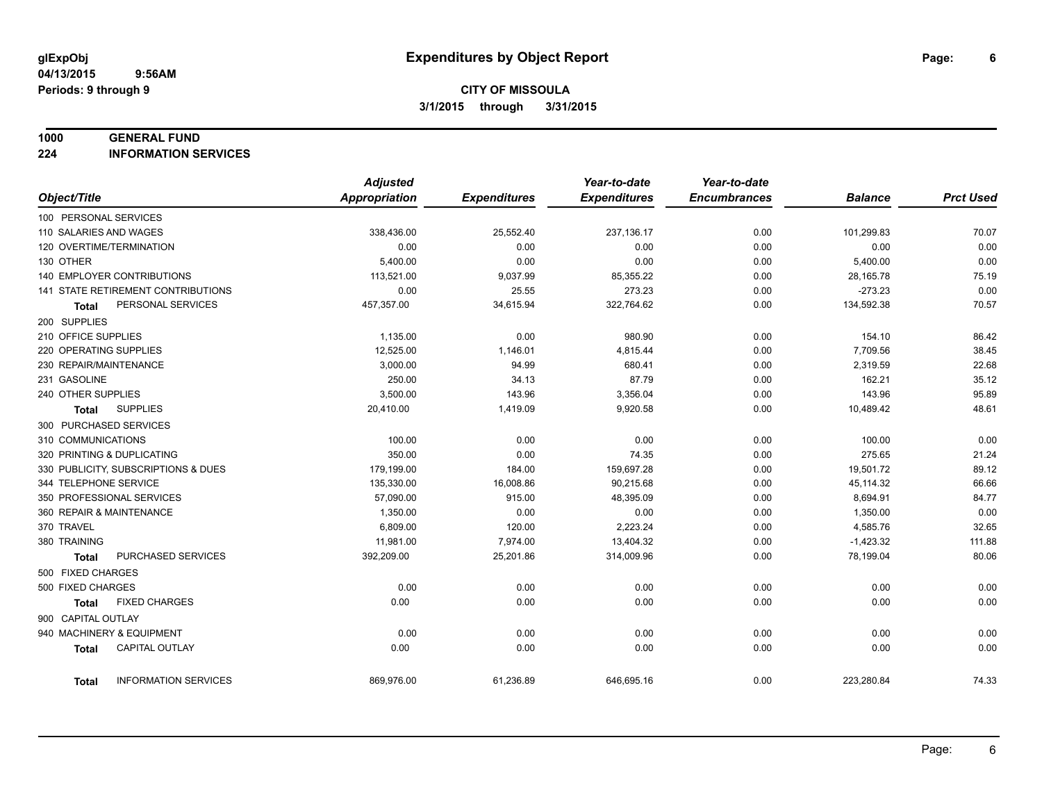#### **1000 GENERAL FUND**

**224 INFORMATION SERVICES**

|                            |                                           | <b>Adjusted</b>      |                     | Year-to-date        | Year-to-date        |                |                  |
|----------------------------|-------------------------------------------|----------------------|---------------------|---------------------|---------------------|----------------|------------------|
| Object/Title               |                                           | <b>Appropriation</b> | <b>Expenditures</b> | <b>Expenditures</b> | <b>Encumbrances</b> | <b>Balance</b> | <b>Prct Used</b> |
| 100 PERSONAL SERVICES      |                                           |                      |                     |                     |                     |                |                  |
| 110 SALARIES AND WAGES     |                                           | 338,436.00           | 25,552.40           | 237,136.17          | 0.00                | 101,299.83     | 70.07            |
| 120 OVERTIME/TERMINATION   |                                           | 0.00                 | 0.00                | 0.00                | 0.00                | 0.00           | 0.00             |
| 130 OTHER                  |                                           | 5,400.00             | 0.00                | 0.00                | 0.00                | 5,400.00       | 0.00             |
|                            | 140 EMPLOYER CONTRIBUTIONS                | 113,521.00           | 9,037.99            | 85,355.22           | 0.00                | 28,165.78      | 75.19            |
|                            | <b>141 STATE RETIREMENT CONTRIBUTIONS</b> | 0.00                 | 25.55               | 273.23              | 0.00                | $-273.23$      | 0.00             |
| <b>Total</b>               | PERSONAL SERVICES                         | 457,357.00           | 34,615.94           | 322,764.62          | 0.00                | 134,592.38     | 70.57            |
| 200 SUPPLIES               |                                           |                      |                     |                     |                     |                |                  |
| 210 OFFICE SUPPLIES        |                                           | 1,135.00             | 0.00                | 980.90              | 0.00                | 154.10         | 86.42            |
| 220 OPERATING SUPPLIES     |                                           | 12,525.00            | 1,146.01            | 4,815.44            | 0.00                | 7,709.56       | 38.45            |
| 230 REPAIR/MAINTENANCE     |                                           | 3.000.00             | 94.99               | 680.41              | 0.00                | 2,319.59       | 22.68            |
| 231 GASOLINE               |                                           | 250.00               | 34.13               | 87.79               | 0.00                | 162.21         | 35.12            |
| 240 OTHER SUPPLIES         |                                           | 3,500.00             | 143.96              | 3,356.04            | 0.00                | 143.96         | 95.89            |
| Total                      | <b>SUPPLIES</b>                           | 20,410.00            | 1,419.09            | 9,920.58            | 0.00                | 10,489.42      | 48.61            |
| 300 PURCHASED SERVICES     |                                           |                      |                     |                     |                     |                |                  |
| 310 COMMUNICATIONS         |                                           | 100.00               | 0.00                | 0.00                | 0.00                | 100.00         | 0.00             |
| 320 PRINTING & DUPLICATING |                                           | 350.00               | 0.00                | 74.35               | 0.00                | 275.65         | 21.24            |
|                            | 330 PUBLICITY, SUBSCRIPTIONS & DUES       | 179,199.00           | 184.00              | 159,697.28          | 0.00                | 19,501.72      | 89.12            |
| 344 TELEPHONE SERVICE      |                                           | 135,330.00           | 16,008.86           | 90,215.68           | 0.00                | 45,114.32      | 66.66            |
| 350 PROFESSIONAL SERVICES  |                                           | 57,090.00            | 915.00              | 48,395.09           | 0.00                | 8,694.91       | 84.77            |
| 360 REPAIR & MAINTENANCE   |                                           | 1,350.00             | 0.00                | 0.00                | 0.00                | 1,350.00       | 0.00             |
| 370 TRAVEL                 |                                           | 6,809.00             | 120.00              | 2,223.24            | 0.00                | 4,585.76       | 32.65            |
| 380 TRAINING               |                                           | 11,981.00            | 7,974.00            | 13,404.32           | 0.00                | $-1,423.32$    | 111.88           |
| <b>Total</b>               | PURCHASED SERVICES                        | 392,209.00           | 25,201.86           | 314,009.96          | 0.00                | 78,199.04      | 80.06            |
| 500 FIXED CHARGES          |                                           |                      |                     |                     |                     |                |                  |
| 500 FIXED CHARGES          |                                           | 0.00                 | 0.00                | 0.00                | 0.00                | 0.00           | 0.00             |
| <b>Total</b>               | <b>FIXED CHARGES</b>                      | 0.00                 | 0.00                | 0.00                | 0.00                | 0.00           | 0.00             |
| 900 CAPITAL OUTLAY         |                                           |                      |                     |                     |                     |                |                  |
| 940 MACHINERY & EQUIPMENT  |                                           | 0.00                 | 0.00                | 0.00                | 0.00                | 0.00           | 0.00             |
| <b>Total</b>               | <b>CAPITAL OUTLAY</b>                     | 0.00                 | 0.00                | 0.00                | 0.00                | 0.00           | 0.00             |
|                            |                                           |                      |                     |                     |                     |                |                  |
| <b>Total</b>               | <b>INFORMATION SERVICES</b>               | 869,976.00           | 61,236.89           | 646,695.16          | 0.00                | 223,280.84     | 74.33            |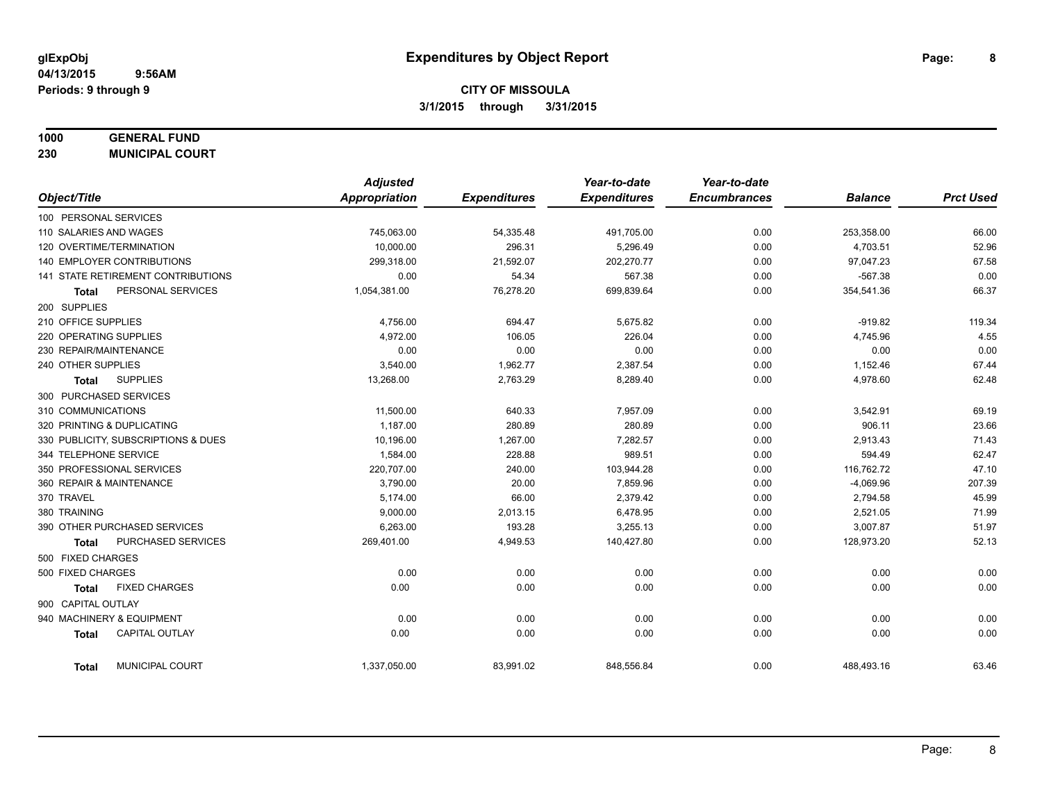## **1000 GENERAL FUND**

**230 MUNICIPAL COURT**

|                                        | <b>Adjusted</b>      |                     | Year-to-date        | Year-to-date        |                |                  |
|----------------------------------------|----------------------|---------------------|---------------------|---------------------|----------------|------------------|
| Object/Title                           | <b>Appropriation</b> | <b>Expenditures</b> | <b>Expenditures</b> | <b>Encumbrances</b> | <b>Balance</b> | <b>Prct Used</b> |
| 100 PERSONAL SERVICES                  |                      |                     |                     |                     |                |                  |
| 110 SALARIES AND WAGES                 | 745,063.00           | 54,335.48           | 491,705.00          | 0.00                | 253,358.00     | 66.00            |
| 120 OVERTIME/TERMINATION               | 10.000.00            | 296.31              | 5,296.49            | 0.00                | 4,703.51       | 52.96            |
| 140 EMPLOYER CONTRIBUTIONS             | 299,318.00           | 21,592.07           | 202,270.77          | 0.00                | 97,047.23      | 67.58            |
| 141 STATE RETIREMENT CONTRIBUTIONS     | 0.00                 | 54.34               | 567.38              | 0.00                | $-567.38$      | 0.00             |
| PERSONAL SERVICES<br><b>Total</b>      | 1,054,381.00         | 76,278.20           | 699,839.64          | 0.00                | 354,541.36     | 66.37            |
| 200 SUPPLIES                           |                      |                     |                     |                     |                |                  |
| 210 OFFICE SUPPLIES                    | 4,756.00             | 694.47              | 5,675.82            | 0.00                | $-919.82$      | 119.34           |
| 220 OPERATING SUPPLIES                 | 4,972.00             | 106.05              | 226.04              | 0.00                | 4,745.96       | 4.55             |
| 230 REPAIR/MAINTENANCE                 | 0.00                 | 0.00                | 0.00                | 0.00                | 0.00           | 0.00             |
| 240 OTHER SUPPLIES                     | 3,540.00             | 1,962.77            | 2,387.54            | 0.00                | 1,152.46       | 67.44            |
| <b>SUPPLIES</b><br>Total               | 13,268.00            | 2,763.29            | 8,289.40            | 0.00                | 4,978.60       | 62.48            |
| 300 PURCHASED SERVICES                 |                      |                     |                     |                     |                |                  |
| 310 COMMUNICATIONS                     | 11,500.00            | 640.33              | 7,957.09            | 0.00                | 3,542.91       | 69.19            |
| 320 PRINTING & DUPLICATING             | 1,187.00             | 280.89              | 280.89              | 0.00                | 906.11         | 23.66            |
| 330 PUBLICITY, SUBSCRIPTIONS & DUES    | 10.196.00            | 1,267.00            | 7,282.57            | 0.00                | 2,913.43       | 71.43            |
| 344 TELEPHONE SERVICE                  | 1,584.00             | 228.88              | 989.51              | 0.00                | 594.49         | 62.47            |
| 350 PROFESSIONAL SERVICES              | 220,707.00           | 240.00              | 103,944.28          | 0.00                | 116,762.72     | 47.10            |
| 360 REPAIR & MAINTENANCE               | 3,790.00             | 20.00               | 7,859.96            | 0.00                | $-4,069.96$    | 207.39           |
| 370 TRAVEL                             | 5,174.00             | 66.00               | 2,379.42            | 0.00                | 2,794.58       | 45.99            |
| 380 TRAINING                           | 9,000.00             | 2,013.15            | 6,478.95            | 0.00                | 2,521.05       | 71.99            |
| 390 OTHER PURCHASED SERVICES           | 6,263.00             | 193.28              | 3,255.13            | 0.00                | 3,007.87       | 51.97            |
| PURCHASED SERVICES<br><b>Total</b>     | 269,401.00           | 4,949.53            | 140,427.80          | 0.00                | 128,973.20     | 52.13            |
| 500 FIXED CHARGES                      |                      |                     |                     |                     |                |                  |
| 500 FIXED CHARGES                      | 0.00                 | 0.00                | 0.00                | 0.00                | 0.00           | 0.00             |
| <b>FIXED CHARGES</b><br>Total          | 0.00                 | 0.00                | 0.00                | 0.00                | 0.00           | 0.00             |
| 900 CAPITAL OUTLAY                     |                      |                     |                     |                     |                |                  |
| 940 MACHINERY & EQUIPMENT              | 0.00                 | 0.00                | 0.00                | 0.00                | 0.00           | 0.00             |
| <b>CAPITAL OUTLAY</b><br><b>Total</b>  | 0.00                 | 0.00                | 0.00                | 0.00                | 0.00           | 0.00             |
| <b>MUNICIPAL COURT</b><br><b>Total</b> | 1,337,050.00         | 83,991.02           | 848,556.84          | 0.00                | 488,493.16     | 63.46            |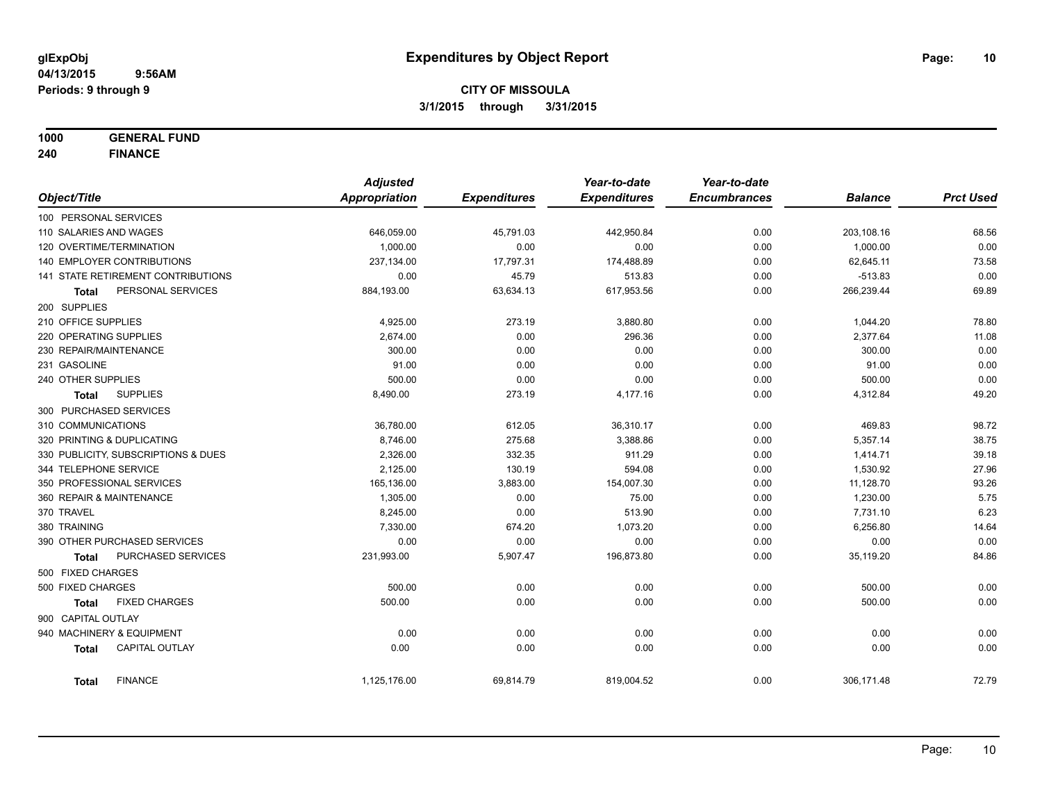**1000 GENERAL FUND**

**240 FINANCE**

|                                     |                       | <b>Adjusted</b>      |                     | Year-to-date        | Year-to-date        |                |                  |
|-------------------------------------|-----------------------|----------------------|---------------------|---------------------|---------------------|----------------|------------------|
| Object/Title                        |                       | <b>Appropriation</b> | <b>Expenditures</b> | <b>Expenditures</b> | <b>Encumbrances</b> | <b>Balance</b> | <b>Prct Used</b> |
| 100 PERSONAL SERVICES               |                       |                      |                     |                     |                     |                |                  |
| 110 SALARIES AND WAGES              |                       | 646,059.00           | 45,791.03           | 442,950.84          | 0.00                | 203,108.16     | 68.56            |
| 120 OVERTIME/TERMINATION            |                       | 1,000.00             | 0.00                | 0.00                | 0.00                | 1,000.00       | 0.00             |
| 140 EMPLOYER CONTRIBUTIONS          |                       | 237,134.00           | 17,797.31           | 174,488.89          | 0.00                | 62,645.11      | 73.58            |
| 141 STATE RETIREMENT CONTRIBUTIONS  |                       | 0.00                 | 45.79               | 513.83              | 0.00                | $-513.83$      | 0.00             |
| <b>Total</b>                        | PERSONAL SERVICES     | 884,193.00           | 63,634.13           | 617,953.56          | 0.00                | 266,239.44     | 69.89            |
| 200 SUPPLIES                        |                       |                      |                     |                     |                     |                |                  |
| 210 OFFICE SUPPLIES                 |                       | 4,925.00             | 273.19              | 3,880.80            | 0.00                | 1,044.20       | 78.80            |
| 220 OPERATING SUPPLIES              |                       | 2,674.00             | 0.00                | 296.36              | 0.00                | 2,377.64       | 11.08            |
| 230 REPAIR/MAINTENANCE              |                       | 300.00               | 0.00                | 0.00                | 0.00                | 300.00         | 0.00             |
| 231 GASOLINE                        |                       | 91.00                | 0.00                | 0.00                | 0.00                | 91.00          | 0.00             |
| 240 OTHER SUPPLIES                  |                       | 500.00               | 0.00                | 0.00                | 0.00                | 500.00         | 0.00             |
| <b>Total</b>                        | <b>SUPPLIES</b>       | 8,490.00             | 273.19              | 4,177.16            | 0.00                | 4,312.84       | 49.20            |
| 300 PURCHASED SERVICES              |                       |                      |                     |                     |                     |                |                  |
| 310 COMMUNICATIONS                  |                       | 36,780.00            | 612.05              | 36,310.17           | 0.00                | 469.83         | 98.72            |
| 320 PRINTING & DUPLICATING          |                       | 8.746.00             | 275.68              | 3,388.86            | 0.00                | 5,357.14       | 38.75            |
| 330 PUBLICITY, SUBSCRIPTIONS & DUES |                       | 2,326.00             | 332.35              | 911.29              | 0.00                | 1,414.71       | 39.18            |
| 344 TELEPHONE SERVICE               |                       | 2,125.00             | 130.19              | 594.08              | 0.00                | 1,530.92       | 27.96            |
| 350 PROFESSIONAL SERVICES           |                       | 165,136.00           | 3,883.00            | 154,007.30          | 0.00                | 11,128.70      | 93.26            |
| 360 REPAIR & MAINTENANCE            |                       | 1,305.00             | 0.00                | 75.00               | 0.00                | 1,230.00       | 5.75             |
| 370 TRAVEL                          |                       | 8,245.00             | 0.00                | 513.90              | 0.00                | 7,731.10       | 6.23             |
| 380 TRAINING                        |                       | 7,330.00             | 674.20              | 1,073.20            | 0.00                | 6,256.80       | 14.64            |
| 390 OTHER PURCHASED SERVICES        |                       | 0.00                 | 0.00                | 0.00                | 0.00                | 0.00           | 0.00             |
| <b>Total</b>                        | PURCHASED SERVICES    | 231,993.00           | 5,907.47            | 196,873.80          | 0.00                | 35,119.20      | 84.86            |
| 500 FIXED CHARGES                   |                       |                      |                     |                     |                     |                |                  |
| 500 FIXED CHARGES                   |                       | 500.00               | 0.00                | 0.00                | 0.00                | 500.00         | 0.00             |
| <b>Total</b>                        | <b>FIXED CHARGES</b>  | 500.00               | 0.00                | 0.00                | 0.00                | 500.00         | 0.00             |
| 900 CAPITAL OUTLAY                  |                       |                      |                     |                     |                     |                |                  |
| 940 MACHINERY & EQUIPMENT           |                       | 0.00                 | 0.00                | 0.00                | 0.00                | 0.00           | 0.00             |
| <b>Total</b>                        | <b>CAPITAL OUTLAY</b> | 0.00                 | 0.00                | 0.00                | 0.00                | 0.00           | 0.00             |
| <b>FINANCE</b><br><b>Total</b>      |                       | 1,125,176.00         | 69,814.79           | 819,004.52          | 0.00                | 306,171.48     | 72.79            |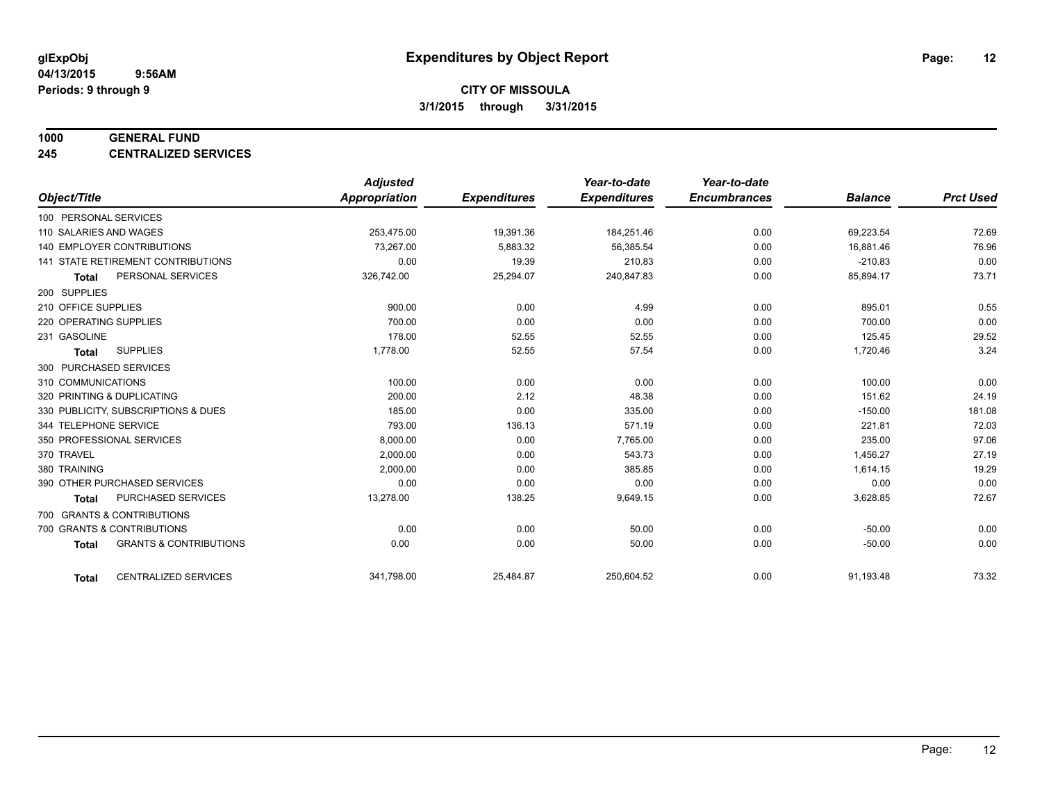#### **1000 GENERAL FUND**

**245 CENTRALIZED SERVICES**

|                            |                                     | <b>Adjusted</b>      |                     | Year-to-date        | Year-to-date        |                |                  |
|----------------------------|-------------------------------------|----------------------|---------------------|---------------------|---------------------|----------------|------------------|
| Object/Title               |                                     | <b>Appropriation</b> | <b>Expenditures</b> | <b>Expenditures</b> | <b>Encumbrances</b> | <b>Balance</b> | <b>Prct Used</b> |
| 100 PERSONAL SERVICES      |                                     |                      |                     |                     |                     |                |                  |
| 110 SALARIES AND WAGES     |                                     | 253,475.00           | 19,391.36           | 184,251.46          | 0.00                | 69,223.54      | 72.69            |
|                            | <b>140 EMPLOYER CONTRIBUTIONS</b>   | 73,267.00            | 5,883.32            | 56,385.54           | 0.00                | 16,881.46      | 76.96            |
|                            | 141 STATE RETIREMENT CONTRIBUTIONS  | 0.00                 | 19.39               | 210.83              | 0.00                | $-210.83$      | 0.00             |
| <b>Total</b>               | PERSONAL SERVICES                   | 326,742.00           | 25,294.07           | 240,847.83          | 0.00                | 85,894.17      | 73.71            |
| 200 SUPPLIES               |                                     |                      |                     |                     |                     |                |                  |
| 210 OFFICE SUPPLIES        |                                     | 900.00               | 0.00                | 4.99                | 0.00                | 895.01         | 0.55             |
| 220 OPERATING SUPPLIES     |                                     | 700.00               | 0.00                | 0.00                | 0.00                | 700.00         | 0.00             |
| 231 GASOLINE               |                                     | 178.00               | 52.55               | 52.55               | 0.00                | 125.45         | 29.52            |
| <b>Total</b>               | <b>SUPPLIES</b>                     | 1,778.00             | 52.55               | 57.54               | 0.00                | 1,720.46       | 3.24             |
| 300 PURCHASED SERVICES     |                                     |                      |                     |                     |                     |                |                  |
| 310 COMMUNICATIONS         |                                     | 100.00               | 0.00                | 0.00                | 0.00                | 100.00         | 0.00             |
| 320 PRINTING & DUPLICATING |                                     | 200.00               | 2.12                | 48.38               | 0.00                | 151.62         | 24.19            |
|                            | 330 PUBLICITY, SUBSCRIPTIONS & DUES | 185.00               | 0.00                | 335.00              | 0.00                | $-150.00$      | 181.08           |
| 344 TELEPHONE SERVICE      |                                     | 793.00               | 136.13              | 571.19              | 0.00                | 221.81         | 72.03            |
| 350 PROFESSIONAL SERVICES  |                                     | 8,000.00             | 0.00                | 7,765.00            | 0.00                | 235.00         | 97.06            |
| 370 TRAVEL                 |                                     | 2,000.00             | 0.00                | 543.73              | 0.00                | 1,456.27       | 27.19            |
| 380 TRAINING               |                                     | 2,000.00             | 0.00                | 385.85              | 0.00                | 1,614.15       | 19.29            |
|                            | 390 OTHER PURCHASED SERVICES        | 0.00                 | 0.00                | 0.00                | 0.00                | 0.00           | 0.00             |
| <b>Total</b>               | <b>PURCHASED SERVICES</b>           | 13,278.00            | 138.25              | 9,649.15            | 0.00                | 3,628.85       | 72.67            |
|                            | 700 GRANTS & CONTRIBUTIONS          |                      |                     |                     |                     |                |                  |
|                            | 700 GRANTS & CONTRIBUTIONS          | 0.00                 | 0.00                | 50.00               | 0.00                | $-50.00$       | 0.00             |
| <b>Total</b>               | <b>GRANTS &amp; CONTRIBUTIONS</b>   | 0.00                 | 0.00                | 50.00               | 0.00                | $-50.00$       | 0.00             |
|                            |                                     |                      |                     |                     |                     |                |                  |
| <b>Total</b>               | <b>CENTRALIZED SERVICES</b>         | 341,798.00           | 25,484.87           | 250,604.52          | 0.00                | 91,193.48      | 73.32            |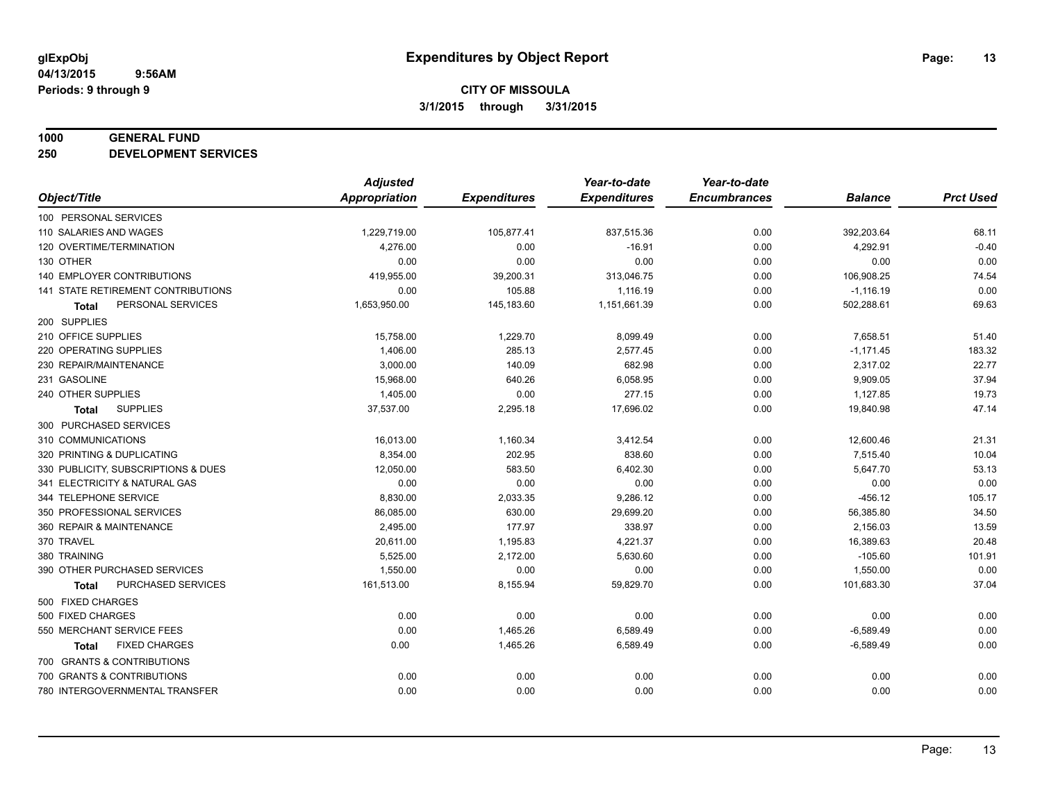#### **1000 GENERAL FUND**

**250 DEVELOPMENT SERVICES**

|                                      | <b>Adjusted</b>      |                     | Year-to-date        | Year-to-date        |                |                  |
|--------------------------------------|----------------------|---------------------|---------------------|---------------------|----------------|------------------|
| Object/Title                         | <b>Appropriation</b> | <b>Expenditures</b> | <b>Expenditures</b> | <b>Encumbrances</b> | <b>Balance</b> | <b>Prct Used</b> |
| 100 PERSONAL SERVICES                |                      |                     |                     |                     |                |                  |
| 110 SALARIES AND WAGES               | 1,229,719.00         | 105,877.41          | 837,515.36          | 0.00                | 392,203.64     | 68.11            |
| 120 OVERTIME/TERMINATION             | 4,276.00             | 0.00                | $-16.91$            | 0.00                | 4,292.91       | $-0.40$          |
| 130 OTHER                            | 0.00                 | 0.00                | 0.00                | 0.00                | 0.00           | 0.00             |
| <b>140 EMPLOYER CONTRIBUTIONS</b>    | 419,955.00           | 39,200.31           | 313,046.75          | 0.00                | 106,908.25     | 74.54            |
| 141 STATE RETIREMENT CONTRIBUTIONS   | 0.00                 | 105.88              | 1,116.19            | 0.00                | $-1,116.19$    | 0.00             |
| PERSONAL SERVICES<br>Total           | 1,653,950.00         | 145,183.60          | 1,151,661.39        | 0.00                | 502,288.61     | 69.63            |
| 200 SUPPLIES                         |                      |                     |                     |                     |                |                  |
| 210 OFFICE SUPPLIES                  | 15,758.00            | 1,229.70            | 8,099.49            | 0.00                | 7,658.51       | 51.40            |
| 220 OPERATING SUPPLIES               | 1,406.00             | 285.13              | 2,577.45            | 0.00                | $-1,171.45$    | 183.32           |
| 230 REPAIR/MAINTENANCE               | 3,000.00             | 140.09              | 682.98              | 0.00                | 2,317.02       | 22.77            |
| 231 GASOLINE                         | 15,968.00            | 640.26              | 6,058.95            | 0.00                | 9,909.05       | 37.94            |
| 240 OTHER SUPPLIES                   | 1,405.00             | 0.00                | 277.15              | 0.00                | 1,127.85       | 19.73            |
| <b>SUPPLIES</b><br>Total             | 37,537.00            | 2,295.18            | 17,696.02           | 0.00                | 19,840.98      | 47.14            |
| 300 PURCHASED SERVICES               |                      |                     |                     |                     |                |                  |
| 310 COMMUNICATIONS                   | 16,013.00            | 1,160.34            | 3,412.54            | 0.00                | 12,600.46      | 21.31            |
| 320 PRINTING & DUPLICATING           | 8,354.00             | 202.95              | 838.60              | 0.00                | 7,515.40       | 10.04            |
| 330 PUBLICITY, SUBSCRIPTIONS & DUES  | 12,050.00            | 583.50              | 6,402.30            | 0.00                | 5,647.70       | 53.13            |
| 341 ELECTRICITY & NATURAL GAS        | 0.00                 | 0.00                | 0.00                | 0.00                | 0.00           | 0.00             |
| 344 TELEPHONE SERVICE                | 8,830.00             | 2,033.35            | 9,286.12            | 0.00                | $-456.12$      | 105.17           |
| 350 PROFESSIONAL SERVICES            | 86,085.00            | 630.00              | 29,699.20           | 0.00                | 56,385.80      | 34.50            |
| 360 REPAIR & MAINTENANCE             | 2,495.00             | 177.97              | 338.97              | 0.00                | 2,156.03       | 13.59            |
| 370 TRAVEL                           | 20,611.00            | 1,195.83            | 4,221.37            | 0.00                | 16,389.63      | 20.48            |
| 380 TRAINING                         | 5,525.00             | 2,172.00            | 5,630.60            | 0.00                | $-105.60$      | 101.91           |
| 390 OTHER PURCHASED SERVICES         | 1,550.00             | 0.00                | 0.00                | 0.00                | 1,550.00       | 0.00             |
| PURCHASED SERVICES<br>Total          | 161,513.00           | 8,155.94            | 59,829.70           | 0.00                | 101,683.30     | 37.04            |
| 500 FIXED CHARGES                    |                      |                     |                     |                     |                |                  |
| 500 FIXED CHARGES                    | 0.00                 | 0.00                | 0.00                | 0.00                | 0.00           | 0.00             |
| 550 MERCHANT SERVICE FEES            | 0.00                 | 1,465.26            | 6,589.49            | 0.00                | $-6,589.49$    | 0.00             |
| <b>FIXED CHARGES</b><br><b>Total</b> | 0.00                 | 1,465.26            | 6,589.49            | 0.00                | $-6,589.49$    | 0.00             |
| 700 GRANTS & CONTRIBUTIONS           |                      |                     |                     |                     |                |                  |
| 700 GRANTS & CONTRIBUTIONS           | 0.00                 | 0.00                | 0.00                | 0.00                | 0.00           | 0.00             |
| 780 INTERGOVERNMENTAL TRANSFER       | 0.00                 | 0.00                | 0.00                | 0.00                | 0.00           | 0.00             |
|                                      |                      |                     |                     |                     |                |                  |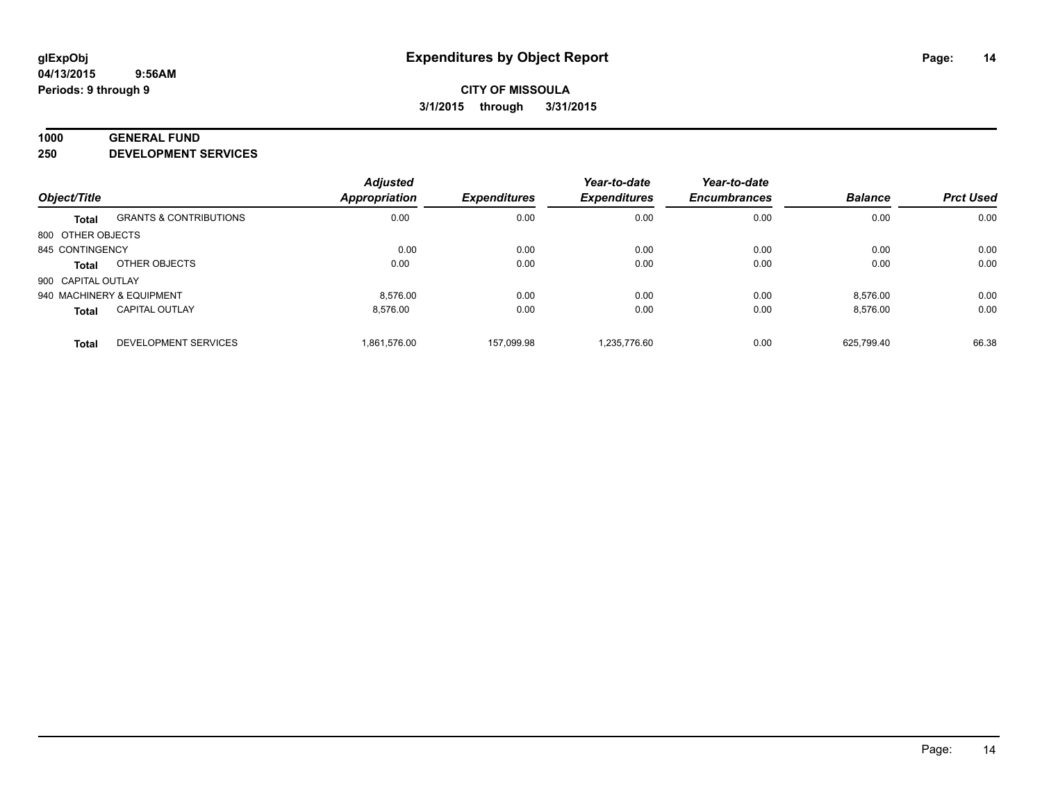#### **1000 GENERAL FUND**

**250 DEVELOPMENT SERVICES**

|                           |                                   | <b>Adjusted</b>      |                     | Year-to-date        | Year-to-date        |                |                  |
|---------------------------|-----------------------------------|----------------------|---------------------|---------------------|---------------------|----------------|------------------|
| Object/Title              |                                   | <b>Appropriation</b> | <b>Expenditures</b> | <b>Expenditures</b> | <b>Encumbrances</b> | <b>Balance</b> | <b>Prct Used</b> |
| <b>Total</b>              | <b>GRANTS &amp; CONTRIBUTIONS</b> | 0.00                 | 0.00                | 0.00                | 0.00                | 0.00           | 0.00             |
| 800 OTHER OBJECTS         |                                   |                      |                     |                     |                     |                |                  |
| 845 CONTINGENCY           |                                   | 0.00                 | 0.00                | 0.00                | 0.00                | 0.00           | 0.00             |
| <b>Total</b>              | OTHER OBJECTS                     | 0.00                 | 0.00                | 0.00                | 0.00                | 0.00           | 0.00             |
| 900 CAPITAL OUTLAY        |                                   |                      |                     |                     |                     |                |                  |
| 940 MACHINERY & EQUIPMENT |                                   | 8.576.00             | 0.00                | 0.00                | 0.00                | 8.576.00       | 0.00             |
| <b>Total</b>              | <b>CAPITAL OUTLAY</b>             | 8.576.00             | 0.00                | 0.00                | 0.00                | 8,576.00       | 0.00             |
| <b>Total</b>              | <b>DEVELOPMENT SERVICES</b>       | 1.861.576.00         | 157.099.98          | 1.235.776.60        | 0.00                | 625.799.40     | 66.38            |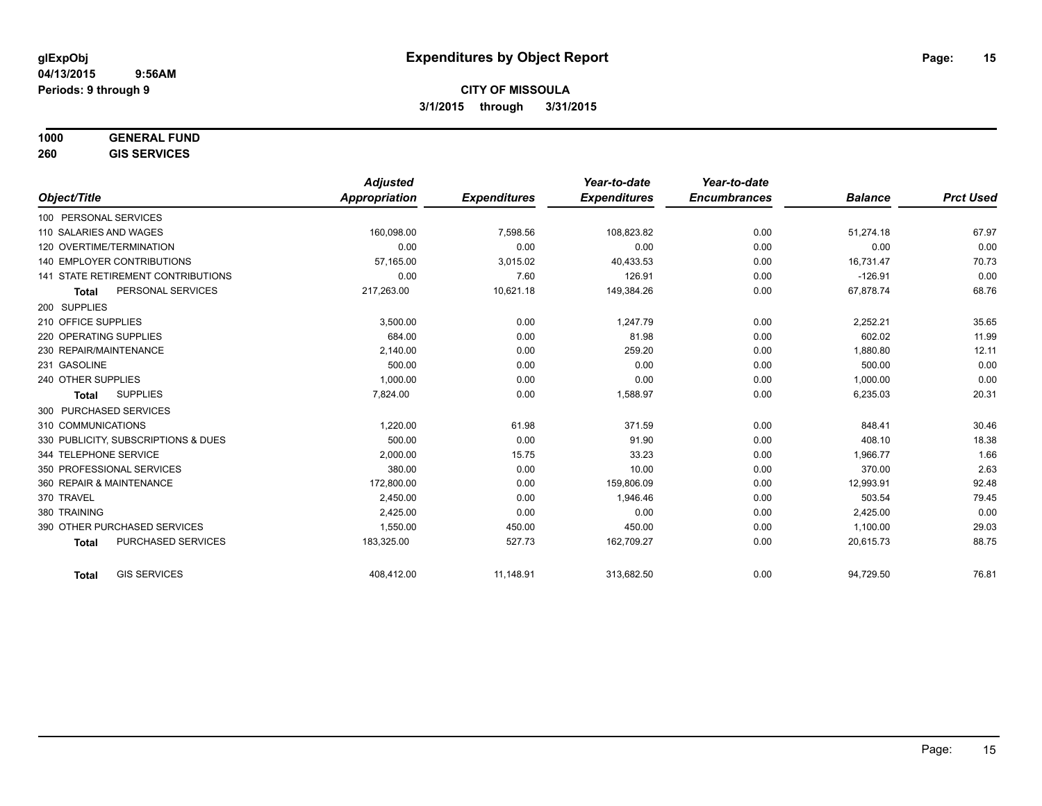# **1000 GENERAL FUND**

**260 GIS SERVICES**

|                                           | <b>Adjusted</b> |                     | Year-to-date        | Year-to-date        |                |                  |
|-------------------------------------------|-----------------|---------------------|---------------------|---------------------|----------------|------------------|
| Object/Title                              | Appropriation   | <b>Expenditures</b> | <b>Expenditures</b> | <b>Encumbrances</b> | <b>Balance</b> | <b>Prct Used</b> |
| 100 PERSONAL SERVICES                     |                 |                     |                     |                     |                |                  |
| 110 SALARIES AND WAGES                    | 160.098.00      | 7,598.56            | 108.823.82          | 0.00                | 51,274.18      | 67.97            |
| 120 OVERTIME/TERMINATION                  | 0.00            | 0.00                | 0.00                | 0.00                | 0.00           | 0.00             |
| <b>140 EMPLOYER CONTRIBUTIONS</b>         | 57,165.00       | 3,015.02            | 40,433.53           | 0.00                | 16,731.47      | 70.73            |
| <b>141 STATE RETIREMENT CONTRIBUTIONS</b> | 0.00            | 7.60                | 126.91              | 0.00                | $-126.91$      | 0.00             |
| PERSONAL SERVICES<br><b>Total</b>         | 217,263.00      | 10,621.18           | 149,384.26          | 0.00                | 67,878.74      | 68.76            |
| 200 SUPPLIES                              |                 |                     |                     |                     |                |                  |
| 210 OFFICE SUPPLIES                       | 3,500.00        | 0.00                | 1.247.79            | 0.00                | 2,252.21       | 35.65            |
| 220 OPERATING SUPPLIES                    | 684.00          | 0.00                | 81.98               | 0.00                | 602.02         | 11.99            |
| 230 REPAIR/MAINTENANCE                    | 2,140.00        | 0.00                | 259.20              | 0.00                | 1,880.80       | 12.11            |
| 231 GASOLINE                              | 500.00          | 0.00                | 0.00                | 0.00                | 500.00         | 0.00             |
| 240 OTHER SUPPLIES                        | 1.000.00        | 0.00                | 0.00                | 0.00                | 1,000.00       | 0.00             |
| <b>SUPPLIES</b><br><b>Total</b>           | 7,824.00        | 0.00                | 1,588.97            | 0.00                | 6,235.03       | 20.31            |
| 300 PURCHASED SERVICES                    |                 |                     |                     |                     |                |                  |
| 310 COMMUNICATIONS                        | 1,220.00        | 61.98               | 371.59              | 0.00                | 848.41         | 30.46            |
| 330 PUBLICITY, SUBSCRIPTIONS & DUES       | 500.00          | 0.00                | 91.90               | 0.00                | 408.10         | 18.38            |
| 344 TELEPHONE SERVICE                     | 2,000.00        | 15.75               | 33.23               | 0.00                | 1,966.77       | 1.66             |
| 350 PROFESSIONAL SERVICES                 | 380.00          | 0.00                | 10.00               | 0.00                | 370.00         | 2.63             |
| 360 REPAIR & MAINTENANCE                  | 172,800.00      | 0.00                | 159,806.09          | 0.00                | 12,993.91      | 92.48            |
| 370 TRAVEL                                | 2,450.00        | 0.00                | 1,946.46            | 0.00                | 503.54         | 79.45            |
| 380 TRAINING                              | 2,425.00        | 0.00                | 0.00                | 0.00                | 2,425.00       | 0.00             |
| 390 OTHER PURCHASED SERVICES              | 1,550.00        | 450.00              | 450.00              | 0.00                | 1,100.00       | 29.03            |
| <b>PURCHASED SERVICES</b><br><b>Total</b> | 183,325.00      | 527.73              | 162,709.27          | 0.00                | 20,615.73      | 88.75            |
| <b>GIS SERVICES</b><br><b>Total</b>       | 408,412.00      | 11,148.91           | 313,682.50          | 0.00                | 94,729.50      | 76.81            |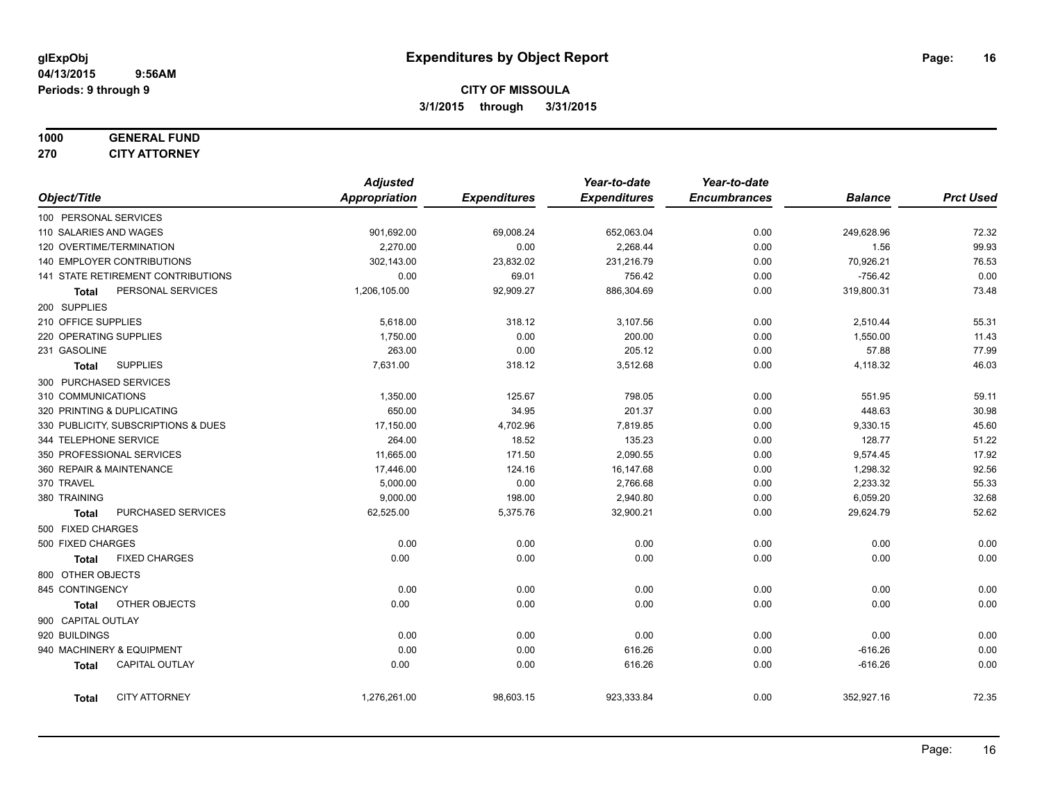#### **1000 GENERAL FUND 270 CITY ATTORNEY**

|                        |                                     | <b>Adjusted</b> |                     | Year-to-date        | Year-to-date        |                |                  |
|------------------------|-------------------------------------|-----------------|---------------------|---------------------|---------------------|----------------|------------------|
| Object/Title           |                                     | Appropriation   | <b>Expenditures</b> | <b>Expenditures</b> | <b>Encumbrances</b> | <b>Balance</b> | <b>Prct Used</b> |
| 100 PERSONAL SERVICES  |                                     |                 |                     |                     |                     |                |                  |
| 110 SALARIES AND WAGES |                                     | 901,692.00      | 69,008.24           | 652,063.04          | 0.00                | 249,628.96     | 72.32            |
|                        | 120 OVERTIME/TERMINATION            | 2,270.00        | 0.00                | 2,268.44            | 0.00                | 1.56           | 99.93            |
|                        | 140 EMPLOYER CONTRIBUTIONS          | 302,143.00      | 23,832.02           | 231,216.79          | 0.00                | 70,926.21      | 76.53            |
|                        | 141 STATE RETIREMENT CONTRIBUTIONS  | 0.00            | 69.01               | 756.42              | 0.00                | $-756.42$      | 0.00             |
| Total                  | PERSONAL SERVICES                   | 1,206,105.00    | 92,909.27           | 886,304.69          | 0.00                | 319,800.31     | 73.48            |
| 200 SUPPLIES           |                                     |                 |                     |                     |                     |                |                  |
| 210 OFFICE SUPPLIES    |                                     | 5,618.00        | 318.12              | 3,107.56            | 0.00                | 2,510.44       | 55.31            |
| 220 OPERATING SUPPLIES |                                     | 1,750.00        | 0.00                | 200.00              | 0.00                | 1,550.00       | 11.43            |
| 231 GASOLINE           |                                     | 263.00          | 0.00                | 205.12              | 0.00                | 57.88          | 77.99            |
| <b>Total</b>           | <b>SUPPLIES</b>                     | 7,631.00        | 318.12              | 3,512.68            | 0.00                | 4,118.32       | 46.03            |
| 300 PURCHASED SERVICES |                                     |                 |                     |                     |                     |                |                  |
| 310 COMMUNICATIONS     |                                     | 1,350.00        | 125.67              | 798.05              | 0.00                | 551.95         | 59.11            |
|                        | 320 PRINTING & DUPLICATING          | 650.00          | 34.95               | 201.37              | 0.00                | 448.63         | 30.98            |
|                        | 330 PUBLICITY, SUBSCRIPTIONS & DUES | 17,150.00       | 4,702.96            | 7,819.85            | 0.00                | 9,330.15       | 45.60            |
| 344 TELEPHONE SERVICE  |                                     | 264.00          | 18.52               | 135.23              | 0.00                | 128.77         | 51.22            |
|                        | 350 PROFESSIONAL SERVICES           | 11,665.00       | 171.50              | 2,090.55            | 0.00                | 9,574.45       | 17.92            |
|                        | 360 REPAIR & MAINTENANCE            | 17,446.00       | 124.16              | 16,147.68           | 0.00                | 1,298.32       | 92.56            |
| 370 TRAVEL             |                                     | 5,000.00        | 0.00                | 2,766.68            | 0.00                | 2,233.32       | 55.33            |
| 380 TRAINING           |                                     | 9,000.00        | 198.00              | 2,940.80            | 0.00                | 6,059.20       | 32.68            |
| <b>Total</b>           | PURCHASED SERVICES                  | 62,525.00       | 5,375.76            | 32,900.21           | 0.00                | 29,624.79      | 52.62            |
| 500 FIXED CHARGES      |                                     |                 |                     |                     |                     |                |                  |
| 500 FIXED CHARGES      |                                     | 0.00            | 0.00                | 0.00                | 0.00                | 0.00           | 0.00             |
| <b>Total</b>           | <b>FIXED CHARGES</b>                | 0.00            | 0.00                | 0.00                | 0.00                | 0.00           | 0.00             |
| 800 OTHER OBJECTS      |                                     |                 |                     |                     |                     |                |                  |
| 845 CONTINGENCY        |                                     | 0.00            | 0.00                | 0.00                | 0.00                | 0.00           | 0.00             |
| <b>Total</b>           | OTHER OBJECTS                       | 0.00            | 0.00                | 0.00                | 0.00                | 0.00           | 0.00             |
| 900 CAPITAL OUTLAY     |                                     |                 |                     |                     |                     |                |                  |
| 920 BUILDINGS          |                                     | 0.00            | 0.00                | 0.00                | 0.00                | 0.00           | 0.00             |
|                        | 940 MACHINERY & EQUIPMENT           | 0.00            | 0.00                | 616.26              | 0.00                | $-616.26$      | 0.00             |
| <b>Total</b>           | <b>CAPITAL OUTLAY</b>               | 0.00            | 0.00                | 616.26              | 0.00                | $-616.26$      | 0.00             |
|                        |                                     |                 |                     |                     |                     |                |                  |
| <b>Total</b>           | <b>CITY ATTORNEY</b>                | 1,276,261.00    | 98,603.15           | 923,333.84          | 0.00                | 352,927.16     | 72.35            |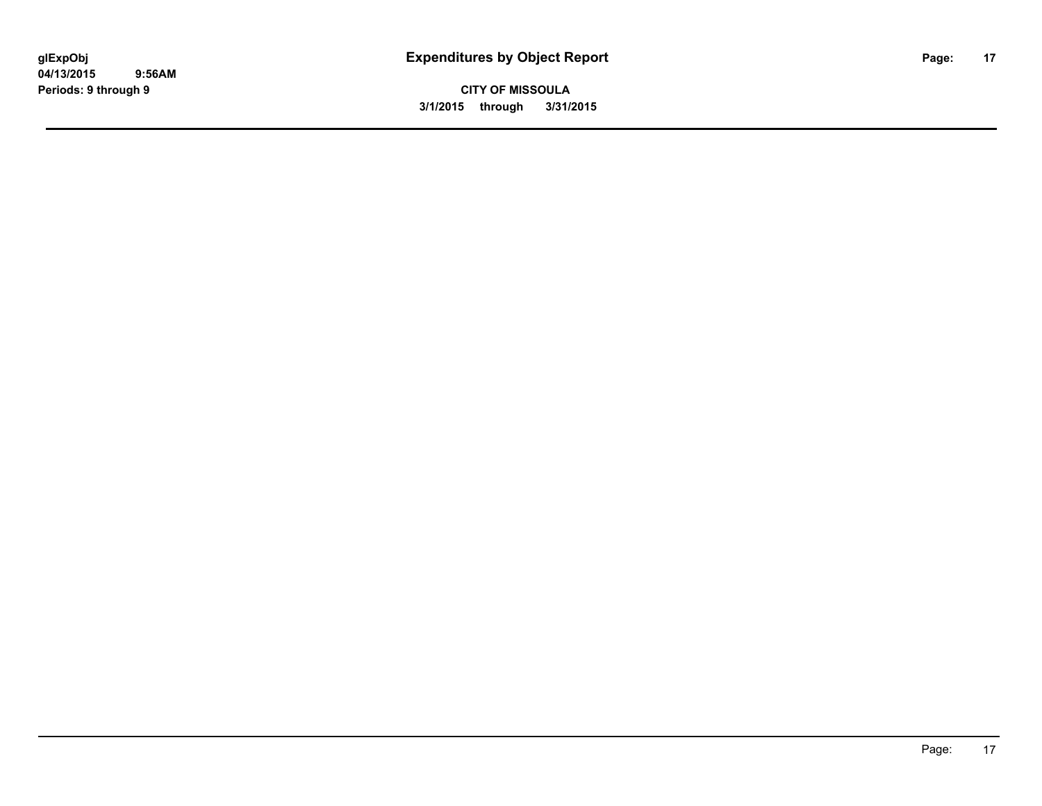**CITY OF MISSOULA**

**3/1/2015 through 3/31/2015**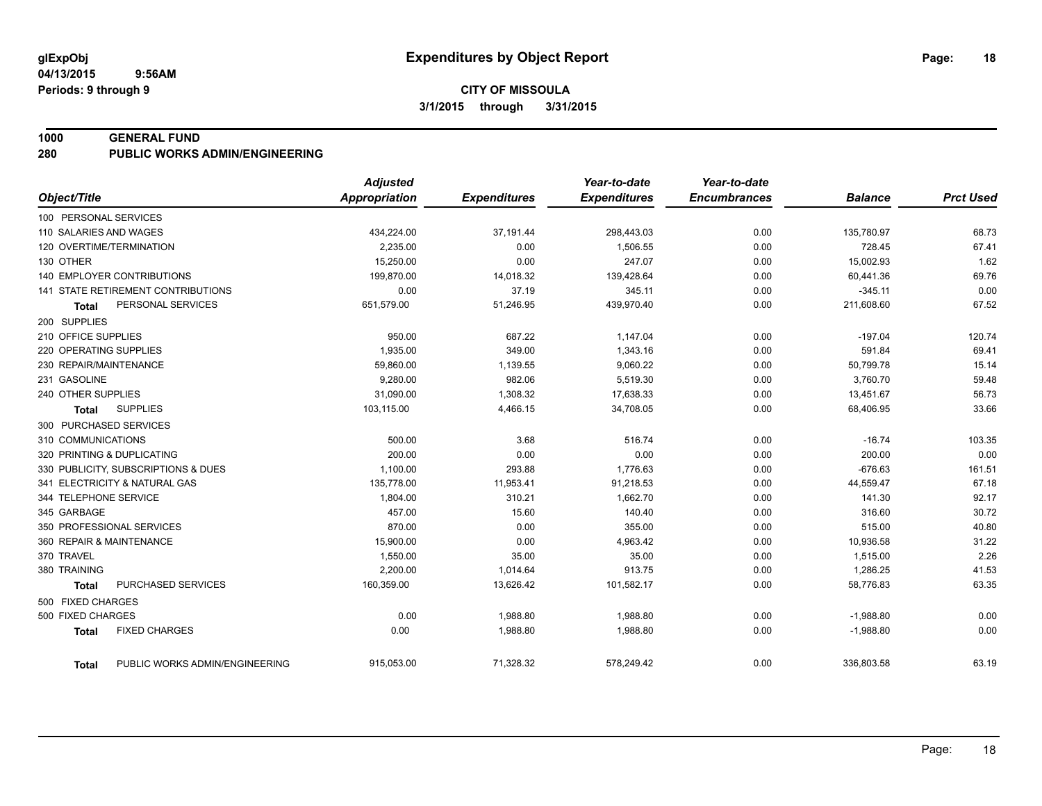#### **1000 GENERAL FUND**

**280 PUBLIC WORKS ADMIN/ENGINEERING**

|                                                | <b>Adjusted</b>      |                     | Year-to-date        | Year-to-date        |                |                  |
|------------------------------------------------|----------------------|---------------------|---------------------|---------------------|----------------|------------------|
| Object/Title                                   | <b>Appropriation</b> | <b>Expenditures</b> | <b>Expenditures</b> | <b>Encumbrances</b> | <b>Balance</b> | <b>Prct Used</b> |
| 100 PERSONAL SERVICES                          |                      |                     |                     |                     |                |                  |
| 110 SALARIES AND WAGES                         | 434,224.00           | 37,191.44           | 298,443.03          | 0.00                | 135,780.97     | 68.73            |
| 120 OVERTIME/TERMINATION                       | 2,235.00             | 0.00                | 1,506.55            | 0.00                | 728.45         | 67.41            |
| 130 OTHER                                      | 15,250.00            | 0.00                | 247.07              | 0.00                | 15,002.93      | 1.62             |
| 140 EMPLOYER CONTRIBUTIONS                     | 199,870.00           | 14,018.32           | 139,428.64          | 0.00                | 60,441.36      | 69.76            |
| <b>141 STATE RETIREMENT CONTRIBUTIONS</b>      | 0.00                 | 37.19               | 345.11              | 0.00                | $-345.11$      | 0.00             |
| PERSONAL SERVICES<br><b>Total</b>              | 651,579.00           | 51,246.95           | 439,970.40          | 0.00                | 211,608.60     | 67.52            |
| 200 SUPPLIES                                   |                      |                     |                     |                     |                |                  |
| 210 OFFICE SUPPLIES                            | 950.00               | 687.22              | 1,147.04            | 0.00                | $-197.04$      | 120.74           |
| 220 OPERATING SUPPLIES                         | 1,935.00             | 349.00              | 1,343.16            | 0.00                | 591.84         | 69.41            |
| 230 REPAIR/MAINTENANCE                         | 59,860.00            | 1,139.55            | 9,060.22            | 0.00                | 50,799.78      | 15.14            |
| 231 GASOLINE                                   | 9,280.00             | 982.06              | 5,519.30            | 0.00                | 3,760.70       | 59.48            |
| 240 OTHER SUPPLIES                             | 31.090.00            | 1,308.32            | 17,638.33           | 0.00                | 13,451.67      | 56.73            |
| <b>SUPPLIES</b><br><b>Total</b>                | 103,115.00           | 4,466.15            | 34,708.05           | 0.00                | 68,406.95      | 33.66            |
| 300 PURCHASED SERVICES                         |                      |                     |                     |                     |                |                  |
| 310 COMMUNICATIONS                             | 500.00               | 3.68                | 516.74              | 0.00                | $-16.74$       | 103.35           |
| 320 PRINTING & DUPLICATING                     | 200.00               | 0.00                | 0.00                | 0.00                | 200.00         | 0.00             |
| 330 PUBLICITY, SUBSCRIPTIONS & DUES            | 1,100.00             | 293.88              | 1,776.63            | 0.00                | $-676.63$      | 161.51           |
| 341 ELECTRICITY & NATURAL GAS                  | 135,778.00           | 11,953.41           | 91,218.53           | 0.00                | 44,559.47      | 67.18            |
| 344 TELEPHONE SERVICE                          | 1,804.00             | 310.21              | 1,662.70            | 0.00                | 141.30         | 92.17            |
| 345 GARBAGE                                    | 457.00               | 15.60               | 140.40              | 0.00                | 316.60         | 30.72            |
| 350 PROFESSIONAL SERVICES                      | 870.00               | 0.00                | 355.00              | 0.00                | 515.00         | 40.80            |
| 360 REPAIR & MAINTENANCE                       | 15,900.00            | 0.00                | 4,963.42            | 0.00                | 10,936.58      | 31.22            |
| 370 TRAVEL                                     | 1,550.00             | 35.00               | 35.00               | 0.00                | 1,515.00       | 2.26             |
| 380 TRAINING                                   | 2,200.00             | 1,014.64            | 913.75              | 0.00                | 1,286.25       | 41.53            |
| PURCHASED SERVICES<br><b>Total</b>             | 160,359.00           | 13,626.42           | 101,582.17          | 0.00                | 58,776.83      | 63.35            |
| 500 FIXED CHARGES                              |                      |                     |                     |                     |                |                  |
| 500 FIXED CHARGES                              | 0.00                 | 1,988.80            | 1,988.80            | 0.00                | $-1,988.80$    | 0.00             |
| <b>FIXED CHARGES</b><br><b>Total</b>           | 0.00                 | 1,988.80            | 1,988.80            | 0.00                | $-1,988.80$    | 0.00             |
| PUBLIC WORKS ADMIN/ENGINEERING<br><b>Total</b> | 915,053.00           | 71,328.32           | 578,249.42          | 0.00                | 336,803.58     | 63.19            |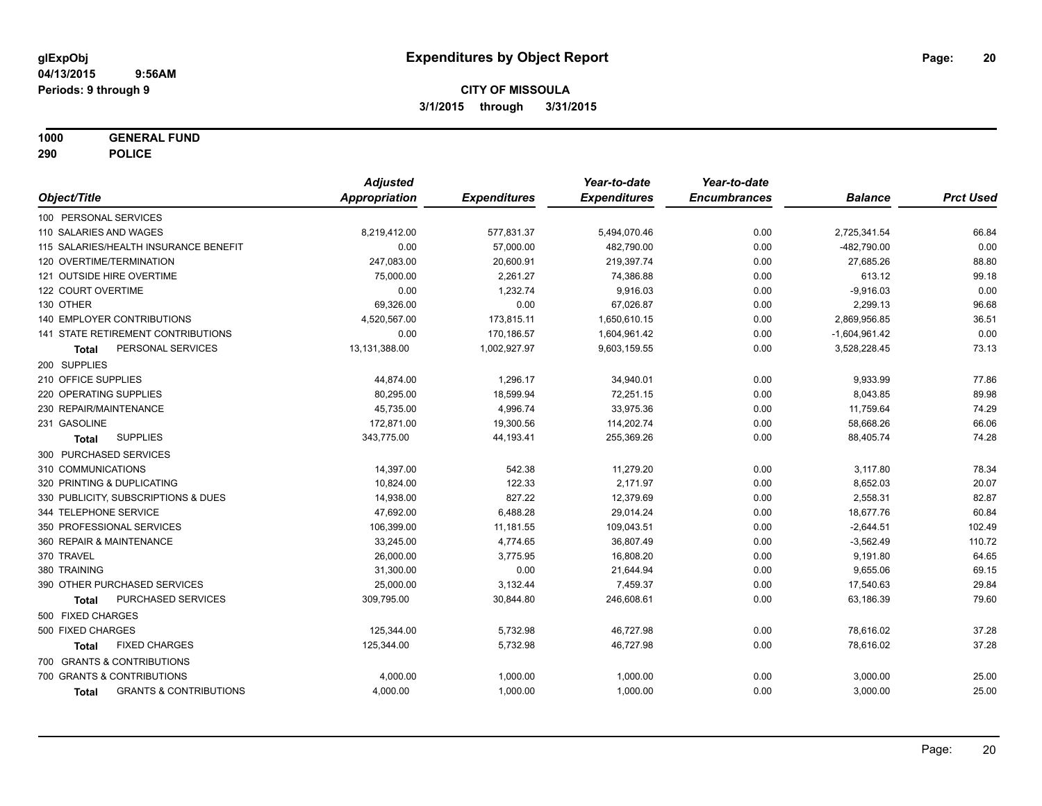**1000 GENERAL FUND**

**290 POLICE**

|                                                   | <b>Adjusted</b> |                     | Year-to-date        | Year-to-date        |                 |                  |
|---------------------------------------------------|-----------------|---------------------|---------------------|---------------------|-----------------|------------------|
| Object/Title                                      | Appropriation   | <b>Expenditures</b> | <b>Expenditures</b> | <b>Encumbrances</b> | <b>Balance</b>  | <b>Prct Used</b> |
| 100 PERSONAL SERVICES                             |                 |                     |                     |                     |                 |                  |
| 110 SALARIES AND WAGES                            | 8,219,412.00    | 577,831.37          | 5,494,070.46        | 0.00                | 2,725,341.54    | 66.84            |
| 115 SALARIES/HEALTH INSURANCE BENEFIT             | 0.00            | 57,000.00           | 482,790.00          | 0.00                | -482,790.00     | 0.00             |
| 120 OVERTIME/TERMINATION                          | 247,083.00      | 20,600.91           | 219,397.74          | 0.00                | 27,685.26       | 88.80            |
| 121 OUTSIDE HIRE OVERTIME                         | 75,000.00       | 2,261.27            | 74,386.88           | 0.00                | 613.12          | 99.18            |
| 122 COURT OVERTIME                                | 0.00            | 1,232.74            | 9,916.03            | 0.00                | $-9,916.03$     | 0.00             |
| 130 OTHER                                         | 69,326.00       | 0.00                | 67,026.87           | 0.00                | 2,299.13        | 96.68            |
| 140 EMPLOYER CONTRIBUTIONS                        | 4,520,567.00    | 173,815.11          | 1,650,610.15        | 0.00                | 2,869,956.85    | 36.51            |
| <b>141 STATE RETIREMENT CONTRIBUTIONS</b>         | 0.00            | 170,186.57          | 1,604,961.42        | 0.00                | $-1,604,961.42$ | 0.00             |
| PERSONAL SERVICES<br>Total                        | 13,131,388.00   | 1,002,927.97        | 9,603,159.55        | 0.00                | 3,528,228.45    | 73.13            |
| 200 SUPPLIES                                      |                 |                     |                     |                     |                 |                  |
| 210 OFFICE SUPPLIES                               | 44,874.00       | 1,296.17            | 34,940.01           | 0.00                | 9,933.99        | 77.86            |
| 220 OPERATING SUPPLIES                            | 80,295.00       | 18,599.94           | 72,251.15           | 0.00                | 8,043.85        | 89.98            |
| 230 REPAIR/MAINTENANCE                            | 45,735.00       | 4,996.74            | 33,975.36           | 0.00                | 11,759.64       | 74.29            |
| 231 GASOLINE                                      | 172,871.00      | 19,300.56           | 114,202.74          | 0.00                | 58,668.26       | 66.06            |
| <b>SUPPLIES</b><br><b>Total</b>                   | 343,775.00      | 44,193.41           | 255,369.26          | 0.00                | 88,405.74       | 74.28            |
| 300 PURCHASED SERVICES                            |                 |                     |                     |                     |                 |                  |
| 310 COMMUNICATIONS                                | 14,397.00       | 542.38              | 11,279.20           | 0.00                | 3,117.80        | 78.34            |
| 320 PRINTING & DUPLICATING                        | 10,824.00       | 122.33              | 2,171.97            | 0.00                | 8,652.03        | 20.07            |
| 330 PUBLICITY, SUBSCRIPTIONS & DUES               | 14,938.00       | 827.22              | 12,379.69           | 0.00                | 2,558.31        | 82.87            |
| 344 TELEPHONE SERVICE                             | 47,692.00       | 6,488.28            | 29,014.24           | 0.00                | 18,677.76       | 60.84            |
| 350 PROFESSIONAL SERVICES                         | 106,399.00      | 11,181.55           | 109,043.51          | 0.00                | $-2,644.51$     | 102.49           |
| 360 REPAIR & MAINTENANCE                          | 33,245.00       | 4,774.65            | 36,807.49           | 0.00                | $-3,562.49$     | 110.72           |
| 370 TRAVEL                                        | 26,000.00       | 3,775.95            | 16,808.20           | 0.00                | 9,191.80        | 64.65            |
| 380 TRAINING                                      | 31,300.00       | 0.00                | 21,644.94           | 0.00                | 9,655.06        | 69.15            |
| 390 OTHER PURCHASED SERVICES                      | 25,000.00       | 3,132.44            | 7,459.37            | 0.00                | 17,540.63       | 29.84            |
| PURCHASED SERVICES<br><b>Total</b>                | 309,795.00      | 30,844.80           | 246,608.61          | 0.00                | 63,186.39       | 79.60            |
| 500 FIXED CHARGES                                 |                 |                     |                     |                     |                 |                  |
| 500 FIXED CHARGES                                 | 125,344.00      | 5,732.98            | 46,727.98           | 0.00                | 78,616.02       | 37.28            |
| <b>FIXED CHARGES</b><br><b>Total</b>              | 125,344.00      | 5,732.98            | 46,727.98           | 0.00                | 78,616.02       | 37.28            |
| 700 GRANTS & CONTRIBUTIONS                        |                 |                     |                     |                     |                 |                  |
| 700 GRANTS & CONTRIBUTIONS                        | 4,000.00        | 1,000.00            | 1,000.00            | 0.00                | 3,000.00        | 25.00            |
| <b>GRANTS &amp; CONTRIBUTIONS</b><br><b>Total</b> | 4,000.00        | 1,000.00            | 1,000.00            | 0.00                | 3,000.00        | 25.00            |
|                                                   |                 |                     |                     |                     |                 |                  |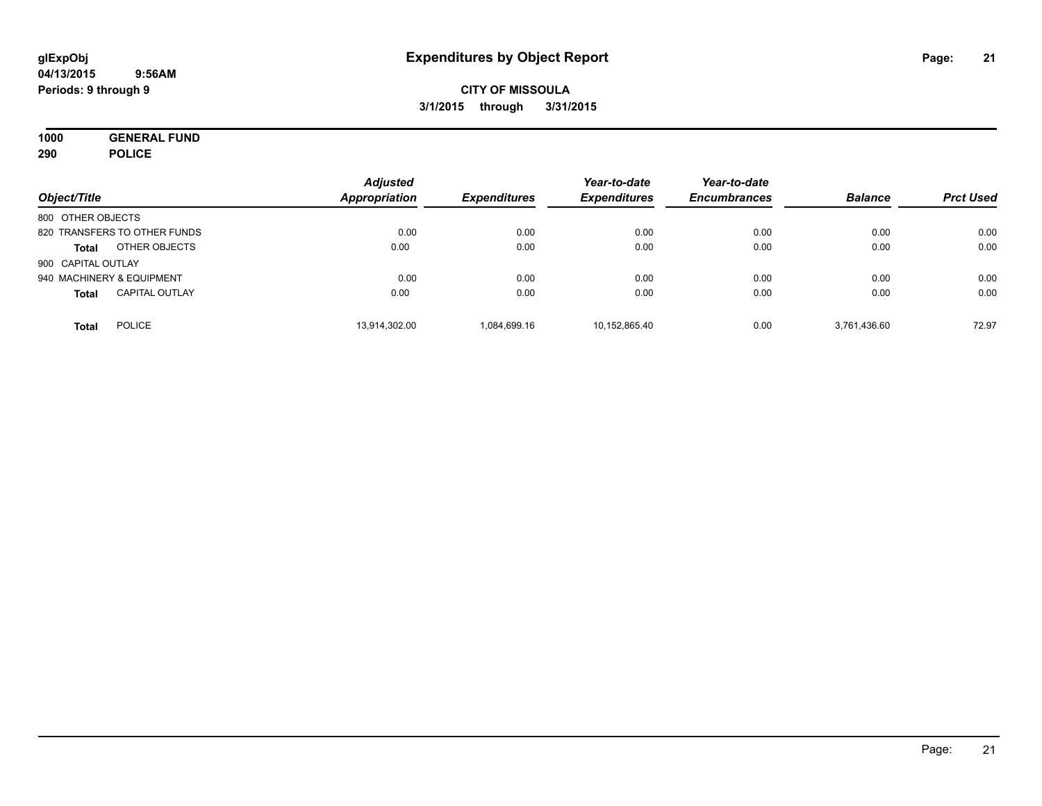**1000 GENERAL FUND 290 POLICE**

| Object/Title                          | <b>Adjusted</b><br>Appropriation | <b>Expenditures</b> | Year-to-date<br><b>Expenditures</b> | Year-to-date<br><b>Encumbrances</b> | <b>Balance</b> | <b>Prct Used</b> |
|---------------------------------------|----------------------------------|---------------------|-------------------------------------|-------------------------------------|----------------|------------------|
| 800 OTHER OBJECTS                     |                                  |                     |                                     |                                     |                |                  |
| 820 TRANSFERS TO OTHER FUNDS          | 0.00                             | 0.00                | 0.00                                | 0.00                                | 0.00           | 0.00             |
| OTHER OBJECTS<br><b>Total</b>         | 0.00                             | 0.00                | 0.00                                | 0.00                                | 0.00           | 0.00             |
| 900 CAPITAL OUTLAY                    |                                  |                     |                                     |                                     |                |                  |
| 940 MACHINERY & EQUIPMENT             | 0.00                             | 0.00                | 0.00                                | 0.00                                | 0.00           | 0.00             |
| <b>CAPITAL OUTLAY</b><br><b>Total</b> | 0.00                             | 0.00                | 0.00                                | 0.00                                | 0.00           | 0.00             |
| <b>POLICE</b><br>Total                | 13,914,302.00                    | 1.084.699.16        | 10,152,865.40                       | 0.00                                | 3,761,436.60   | 72.97            |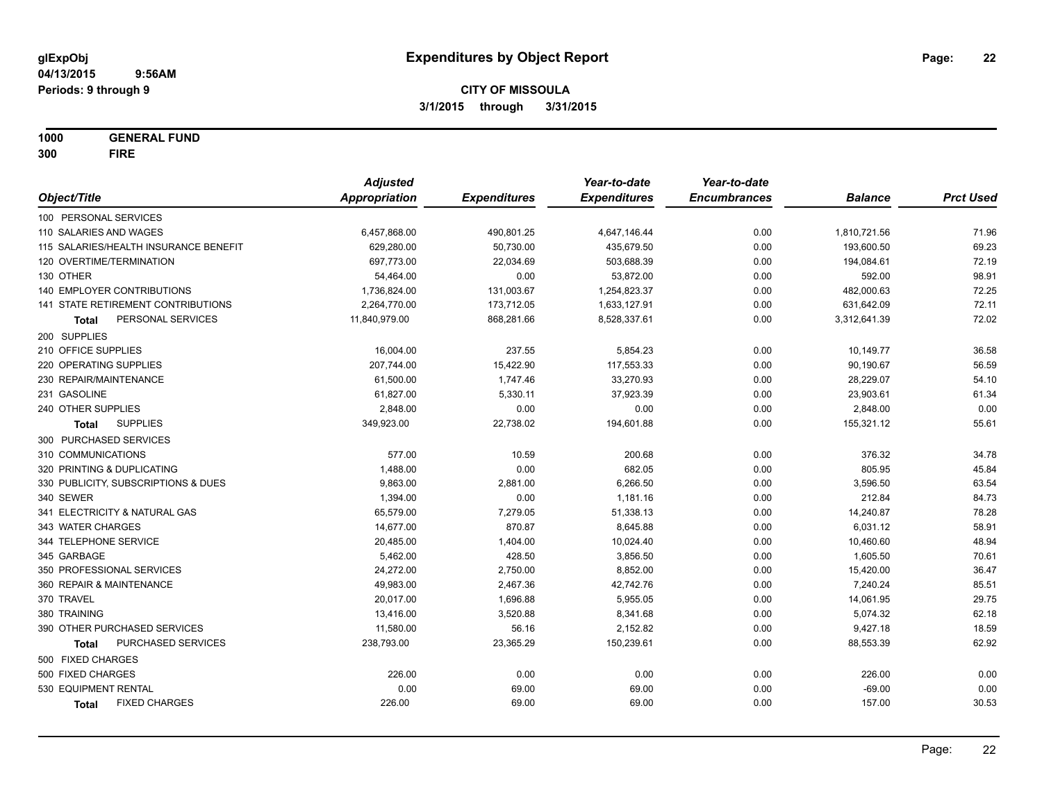**1000 GENERAL FUND**

**300 FIRE**

|                                       | <b>Adjusted</b>      |                     | Year-to-date        | Year-to-date        |                |                  |
|---------------------------------------|----------------------|---------------------|---------------------|---------------------|----------------|------------------|
| Object/Title                          | <b>Appropriation</b> | <b>Expenditures</b> | <b>Expenditures</b> | <b>Encumbrances</b> | <b>Balance</b> | <b>Prct Used</b> |
| 100 PERSONAL SERVICES                 |                      |                     |                     |                     |                |                  |
| 110 SALARIES AND WAGES                | 6,457,868.00         | 490,801.25          | 4,647,146.44        | 0.00                | 1,810,721.56   | 71.96            |
| 115 SALARIES/HEALTH INSURANCE BENEFIT | 629,280.00           | 50,730.00           | 435,679.50          | 0.00                | 193,600.50     | 69.23            |
| 120 OVERTIME/TERMINATION              | 697,773.00           | 22,034.69           | 503,688.39          | 0.00                | 194,084.61     | 72.19            |
| 130 OTHER                             | 54,464.00            | 0.00                | 53,872.00           | 0.00                | 592.00         | 98.91            |
| <b>140 EMPLOYER CONTRIBUTIONS</b>     | 1,736,824.00         | 131,003.67          | 1,254,823.37        | 0.00                | 482,000.63     | 72.25            |
| 141 STATE RETIREMENT CONTRIBUTIONS    | 2,264,770.00         | 173,712.05          | 1,633,127.91        | 0.00                | 631,642.09     | 72.11            |
| PERSONAL SERVICES<br>Total            | 11,840,979.00        | 868,281.66          | 8,528,337.61        | 0.00                | 3,312,641.39   | 72.02            |
| 200 SUPPLIES                          |                      |                     |                     |                     |                |                  |
| 210 OFFICE SUPPLIES                   | 16,004.00            | 237.55              | 5,854.23            | 0.00                | 10,149.77      | 36.58            |
| 220 OPERATING SUPPLIES                | 207,744.00           | 15,422.90           | 117,553.33          | 0.00                | 90,190.67      | 56.59            |
| 230 REPAIR/MAINTENANCE                | 61,500.00            | 1,747.46            | 33,270.93           | 0.00                | 28,229.07      | 54.10            |
| 231 GASOLINE                          | 61,827.00            | 5,330.11            | 37,923.39           | 0.00                | 23,903.61      | 61.34            |
| 240 OTHER SUPPLIES                    | 2,848.00             | 0.00                | 0.00                | 0.00                | 2,848.00       | 0.00             |
| <b>SUPPLIES</b><br>Total              | 349,923.00           | 22,738.02           | 194,601.88          | 0.00                | 155,321.12     | 55.61            |
| 300 PURCHASED SERVICES                |                      |                     |                     |                     |                |                  |
| 310 COMMUNICATIONS                    | 577.00               | 10.59               | 200.68              | 0.00                | 376.32         | 34.78            |
| 320 PRINTING & DUPLICATING            | 1,488.00             | 0.00                | 682.05              | 0.00                | 805.95         | 45.84            |
| 330 PUBLICITY, SUBSCRIPTIONS & DUES   | 9,863.00             | 2,881.00            | 6,266.50            | 0.00                | 3,596.50       | 63.54            |
| 340 SEWER                             | 1,394.00             | 0.00                | 1,181.16            | 0.00                | 212.84         | 84.73            |
| 341 ELECTRICITY & NATURAL GAS         | 65,579.00            | 7,279.05            | 51,338.13           | 0.00                | 14,240.87      | 78.28            |
| 343 WATER CHARGES                     | 14,677.00            | 870.87              | 8,645.88            | 0.00                | 6,031.12       | 58.91            |
| 344 TELEPHONE SERVICE                 | 20,485.00            | 1,404.00            | 10,024.40           | 0.00                | 10,460.60      | 48.94            |
| 345 GARBAGE                           | 5,462.00             | 428.50              | 3,856.50            | 0.00                | 1,605.50       | 70.61            |
| 350 PROFESSIONAL SERVICES             | 24,272.00            | 2,750.00            | 8,852.00            | 0.00                | 15,420.00      | 36.47            |
| 360 REPAIR & MAINTENANCE              | 49,983.00            | 2,467.36            | 42,742.76           | 0.00                | 7,240.24       | 85.51            |
| 370 TRAVEL                            | 20,017.00            | 1,696.88            | 5,955.05            | 0.00                | 14,061.95      | 29.75            |
| 380 TRAINING                          | 13,416.00            | 3,520.88            | 8,341.68            | 0.00                | 5,074.32       | 62.18            |
| 390 OTHER PURCHASED SERVICES          | 11,580.00            | 56.16               | 2,152.82            | 0.00                | 9,427.18       | 18.59            |
| PURCHASED SERVICES<br>Total           | 238,793.00           | 23,365.29           | 150,239.61          | 0.00                | 88,553.39      | 62.92            |
| 500 FIXED CHARGES                     |                      |                     |                     |                     |                |                  |
| 500 FIXED CHARGES                     | 226.00               | 0.00                | 0.00                | 0.00                | 226.00         | 0.00             |
| 530 EQUIPMENT RENTAL                  | 0.00                 | 69.00               | 69.00               | 0.00                | $-69.00$       | 0.00             |
| <b>FIXED CHARGES</b><br>Total         | 226.00               | 69.00               | 69.00               | 0.00                | 157.00         | 30.53            |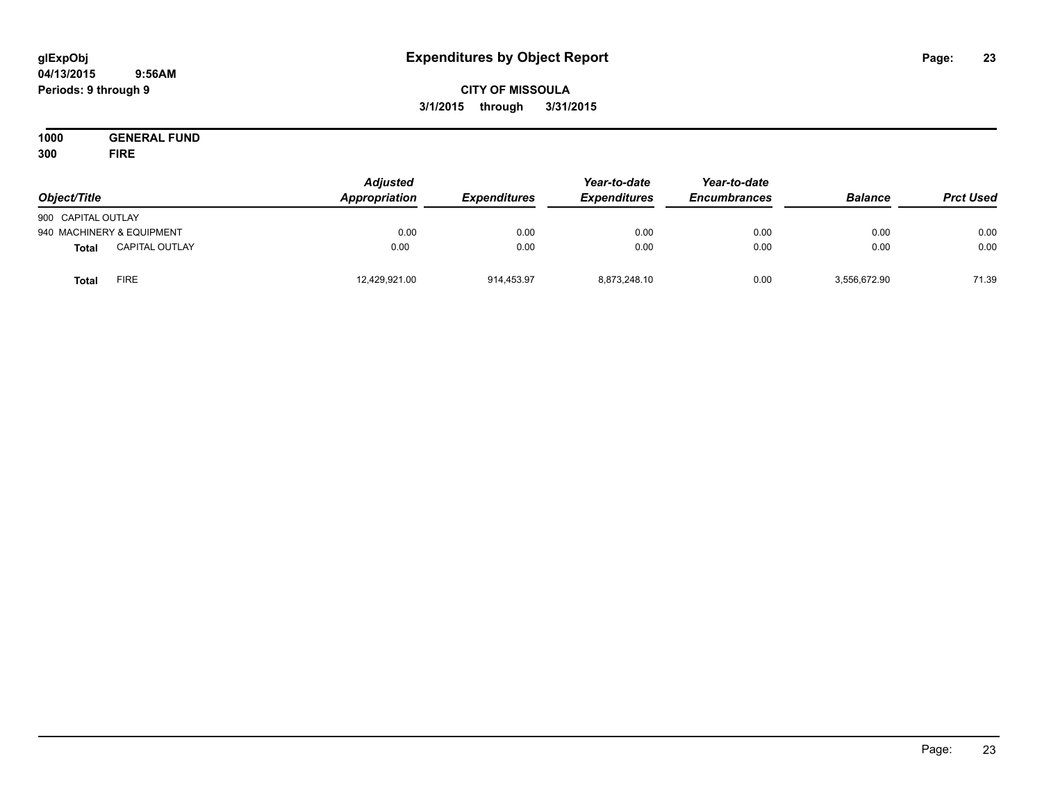#### **04/13/2015 9:56AM Periods: 9 through 9**

## **CITY OF MISSOULA 3/1/2015 through 3/31/2015**

**1000 GENERAL FUND 300 FIRE**

| Object/Title       |                           | <b>Adjusted</b><br>Appropriation | <b>Expenditures</b> | Year-to-date<br><b>Expenditures</b> | Year-to-date<br><b>Encumbrances</b> | <b>Balance</b> | <b>Prct Used</b> |
|--------------------|---------------------------|----------------------------------|---------------------|-------------------------------------|-------------------------------------|----------------|------------------|
| 900 CAPITAL OUTLAY |                           |                                  |                     |                                     |                                     |                |                  |
|                    | 940 MACHINERY & EQUIPMENT | 0.00                             | 0.00                | 0.00                                | 0.00                                | 0.00           | 0.00             |
| <b>Total</b>       | <b>CAPITAL OUTLAY</b>     | 0.00                             | 0.00                | 0.00                                | 0.00                                | 0.00           | 0.00             |
| <b>Total</b>       | <b>FIRE</b>               | 12.429.921.00                    | 914.453.97          | 8.873.248.10                        | 0.00                                | 3,556,672.90   | 71.39            |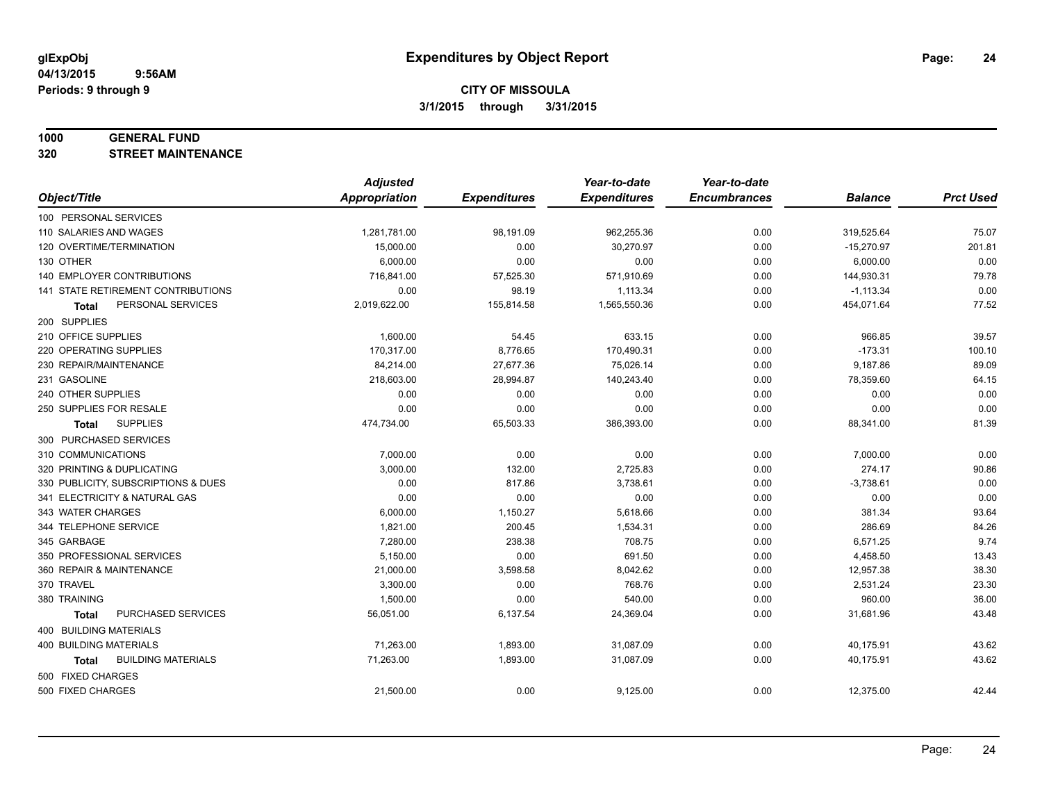#### **1000 GENERAL FUND**

**320 STREET MAINTENANCE**

|                                     | <b>Adjusted</b>      |                     | Year-to-date        | Year-to-date        |                |                  |
|-------------------------------------|----------------------|---------------------|---------------------|---------------------|----------------|------------------|
| Object/Title                        | <b>Appropriation</b> | <b>Expenditures</b> | <b>Expenditures</b> | <b>Encumbrances</b> | <b>Balance</b> | <b>Prct Used</b> |
| 100 PERSONAL SERVICES               |                      |                     |                     |                     |                |                  |
| 110 SALARIES AND WAGES              | 1,281,781.00         | 98,191.09           | 962,255.36          | 0.00                | 319,525.64     | 75.07            |
| 120 OVERTIME/TERMINATION            | 15,000.00            | 0.00                | 30,270.97           | 0.00                | $-15,270.97$   | 201.81           |
| 130 OTHER                           | 6,000.00             | 0.00                | 0.00                | 0.00                | 6,000.00       | 0.00             |
| 140 EMPLOYER CONTRIBUTIONS          | 716,841.00           | 57,525.30           | 571,910.69          | 0.00                | 144,930.31     | 79.78            |
| 141 STATE RETIREMENT CONTRIBUTIONS  | 0.00                 | 98.19               | 1,113.34            | 0.00                | $-1,113.34$    | 0.00             |
| PERSONAL SERVICES<br>Total          | 2,019,622.00         | 155,814.58          | 1,565,550.36        | 0.00                | 454,071.64     | 77.52            |
| 200 SUPPLIES                        |                      |                     |                     |                     |                |                  |
| 210 OFFICE SUPPLIES                 | 1,600.00             | 54.45               | 633.15              | 0.00                | 966.85         | 39.57            |
| 220 OPERATING SUPPLIES              | 170,317.00           | 8,776.65            | 170,490.31          | 0.00                | $-173.31$      | 100.10           |
| 230 REPAIR/MAINTENANCE              | 84,214.00            | 27,677.36           | 75,026.14           | 0.00                | 9,187.86       | 89.09            |
| 231 GASOLINE                        | 218,603.00           | 28,994.87           | 140,243.40          | 0.00                | 78,359.60      | 64.15            |
| 240 OTHER SUPPLIES                  | 0.00                 | 0.00                | 0.00                | 0.00                | 0.00           | 0.00             |
| 250 SUPPLIES FOR RESALE             | 0.00                 | 0.00                | 0.00                | 0.00                | 0.00           | 0.00             |
| <b>SUPPLIES</b><br><b>Total</b>     | 474,734.00           | 65,503.33           | 386,393.00          | 0.00                | 88,341.00      | 81.39            |
| 300 PURCHASED SERVICES              |                      |                     |                     |                     |                |                  |
| 310 COMMUNICATIONS                  | 7,000.00             | 0.00                | 0.00                | 0.00                | 7,000.00       | 0.00             |
| 320 PRINTING & DUPLICATING          | 3,000.00             | 132.00              | 2,725.83            | 0.00                | 274.17         | 90.86            |
| 330 PUBLICITY, SUBSCRIPTIONS & DUES | 0.00                 | 817.86              | 3,738.61            | 0.00                | $-3,738.61$    | 0.00             |
| 341 ELECTRICITY & NATURAL GAS       | 0.00                 | 0.00                | 0.00                | 0.00                | 0.00           | 0.00             |
| 343 WATER CHARGES                   | 6,000.00             | 1,150.27            | 5,618.66            | 0.00                | 381.34         | 93.64            |
| 344 TELEPHONE SERVICE               | 1,821.00             | 200.45              | 1,534.31            | 0.00                | 286.69         | 84.26            |
| 345 GARBAGE                         | 7,280.00             | 238.38              | 708.75              | 0.00                | 6,571.25       | 9.74             |
| 350 PROFESSIONAL SERVICES           | 5,150.00             | 0.00                | 691.50              | 0.00                | 4,458.50       | 13.43            |
| 360 REPAIR & MAINTENANCE            | 21,000.00            | 3,598.58            | 8,042.62            | 0.00                | 12,957.38      | 38.30            |
| 370 TRAVEL                          | 3,300.00             | 0.00                | 768.76              | 0.00                | 2,531.24       | 23.30            |
| 380 TRAINING                        | 1,500.00             | 0.00                | 540.00              | 0.00                | 960.00         | 36.00            |
| PURCHASED SERVICES<br><b>Total</b>  | 56,051.00            | 6,137.54            | 24,369.04           | 0.00                | 31,681.96      | 43.48            |
| 400 BUILDING MATERIALS              |                      |                     |                     |                     |                |                  |
| <b>400 BUILDING MATERIALS</b>       | 71,263.00            | 1,893.00            | 31,087.09           | 0.00                | 40,175.91      | 43.62            |
| <b>BUILDING MATERIALS</b><br>Total  | 71,263.00            | 1,893.00            | 31,087.09           | 0.00                | 40,175.91      | 43.62            |
| 500 FIXED CHARGES                   |                      |                     |                     |                     |                |                  |
| 500 FIXED CHARGES                   | 21,500.00            | 0.00                | 9,125.00            | 0.00                | 12,375.00      | 42.44            |
|                                     |                      |                     |                     |                     |                |                  |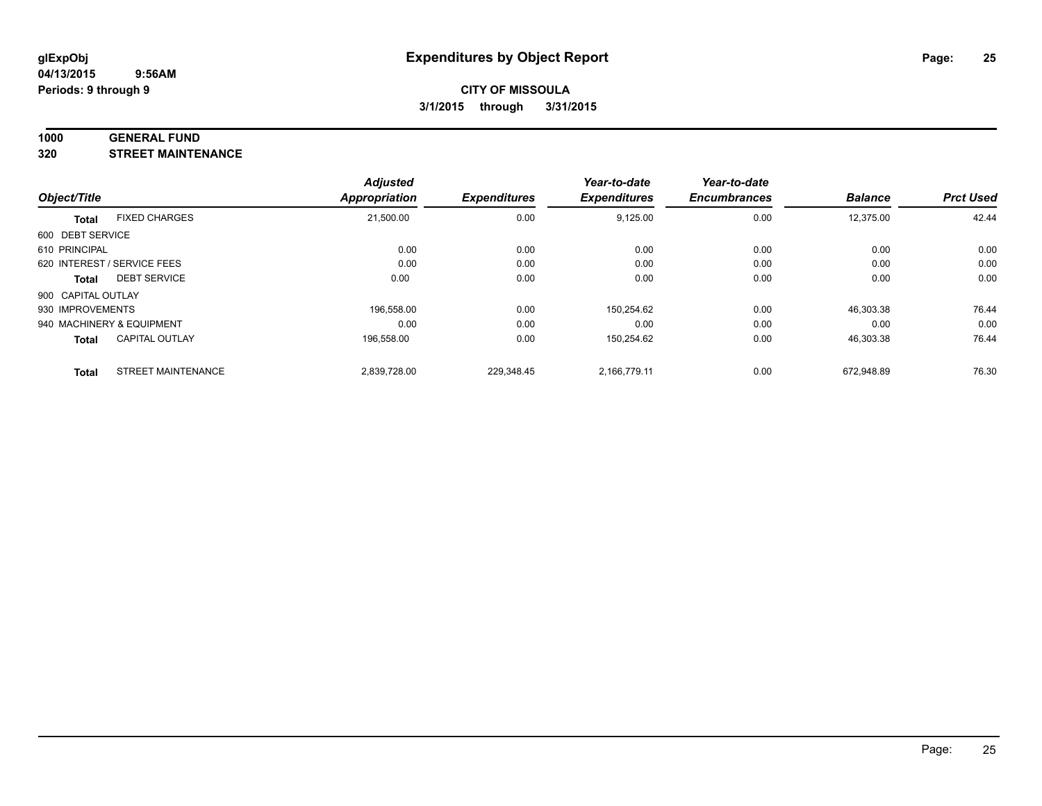#### **1000 GENERAL FUND**

**320 STREET MAINTENANCE**

| Object/Title       |                             | <b>Adjusted</b> | <b>Expenditures</b> | Year-to-date<br><b>Expenditures</b> | Year-to-date<br><b>Encumbrances</b> | <b>Balance</b> | <b>Prct Used</b> |
|--------------------|-----------------------------|-----------------|---------------------|-------------------------------------|-------------------------------------|----------------|------------------|
|                    |                             | Appropriation   |                     |                                     |                                     |                |                  |
| <b>Total</b>       | <b>FIXED CHARGES</b>        | 21,500.00       | 0.00                | 9,125.00                            | 0.00                                | 12,375.00      | 42.44            |
| 600 DEBT SERVICE   |                             |                 |                     |                                     |                                     |                |                  |
| 610 PRINCIPAL      |                             | 0.00            | 0.00                | 0.00                                | 0.00                                | 0.00           | 0.00             |
|                    | 620 INTEREST / SERVICE FEES | 0.00            | 0.00                | 0.00                                | 0.00                                | 0.00           | 0.00             |
| Total              | <b>DEBT SERVICE</b>         | 0.00            | 0.00                | 0.00                                | 0.00                                | 0.00           | 0.00             |
| 900 CAPITAL OUTLAY |                             |                 |                     |                                     |                                     |                |                  |
| 930 IMPROVEMENTS   |                             | 196.558.00      | 0.00                | 150,254.62                          | 0.00                                | 46,303.38      | 76.44            |
|                    | 940 MACHINERY & EQUIPMENT   | 0.00            | 0.00                | 0.00                                | 0.00                                | 0.00           | 0.00             |
| <b>Total</b>       | <b>CAPITAL OUTLAY</b>       | 196,558.00      | 0.00                | 150,254.62                          | 0.00                                | 46,303.38      | 76.44            |
| <b>Total</b>       | <b>STREET MAINTENANCE</b>   | 2.839.728.00    | 229.348.45          | 2,166,779.11                        | 0.00                                | 672.948.89     | 76.30            |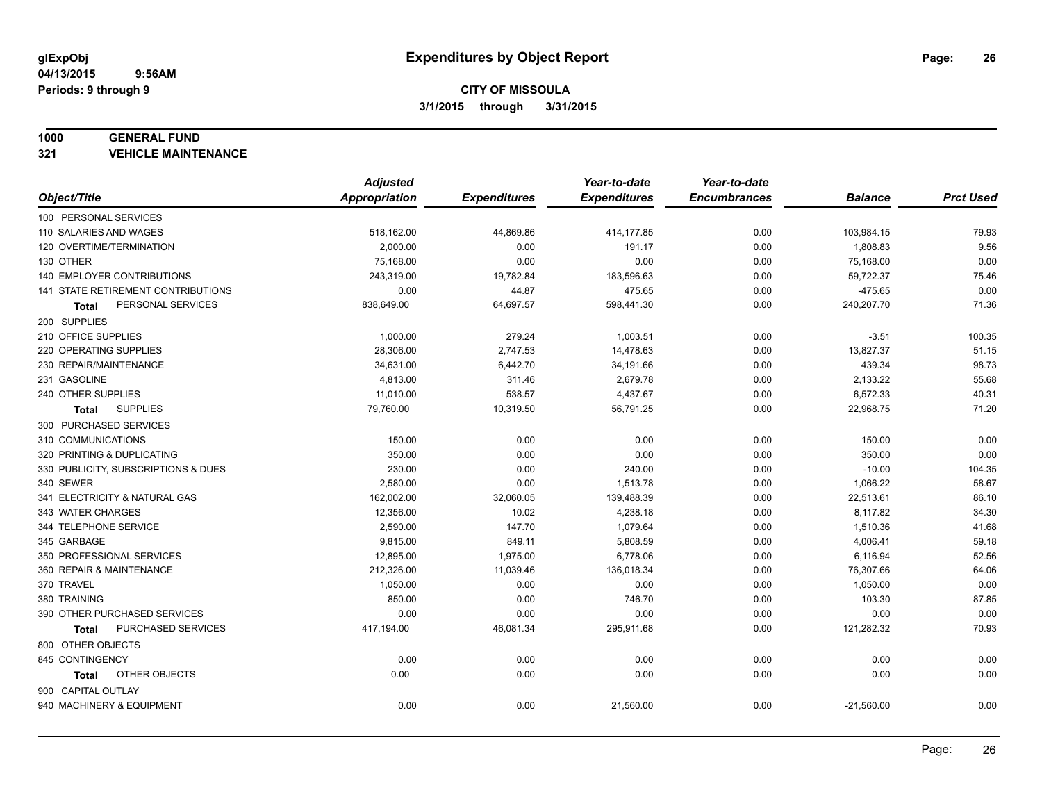#### **1000 GENERAL FUND**

**321 VEHICLE MAINTENANCE**

|                                     | <b>Adjusted</b> |                     | Year-to-date        | Year-to-date        |                |                  |
|-------------------------------------|-----------------|---------------------|---------------------|---------------------|----------------|------------------|
| Object/Title                        | Appropriation   | <b>Expenditures</b> | <b>Expenditures</b> | <b>Encumbrances</b> | <b>Balance</b> | <b>Prct Used</b> |
| 100 PERSONAL SERVICES               |                 |                     |                     |                     |                |                  |
| 110 SALARIES AND WAGES              | 518,162.00      | 44,869.86           | 414,177.85          | 0.00                | 103,984.15     | 79.93            |
| 120 OVERTIME/TERMINATION            | 2,000.00        | 0.00                | 191.17              | 0.00                | 1,808.83       | 9.56             |
| 130 OTHER                           | 75,168.00       | 0.00                | 0.00                | 0.00                | 75,168.00      | 0.00             |
| 140 EMPLOYER CONTRIBUTIONS          | 243,319.00      | 19,782.84           | 183,596.63          | 0.00                | 59,722.37      | 75.46            |
| 141 STATE RETIREMENT CONTRIBUTIONS  | 0.00            | 44.87               | 475.65              | 0.00                | $-475.65$      | 0.00             |
| PERSONAL SERVICES<br>Total          | 838,649.00      | 64,697.57           | 598,441.30          | 0.00                | 240,207.70     | 71.36            |
| 200 SUPPLIES                        |                 |                     |                     |                     |                |                  |
| 210 OFFICE SUPPLIES                 | 1,000.00        | 279.24              | 1,003.51            | 0.00                | $-3.51$        | 100.35           |
| 220 OPERATING SUPPLIES              | 28,306.00       | 2,747.53            | 14,478.63           | 0.00                | 13,827.37      | 51.15            |
| 230 REPAIR/MAINTENANCE              | 34,631.00       | 6,442.70            | 34,191.66           | 0.00                | 439.34         | 98.73            |
| 231 GASOLINE                        | 4,813.00        | 311.46              | 2,679.78            | 0.00                | 2,133.22       | 55.68            |
| 240 OTHER SUPPLIES                  | 11,010.00       | 538.57              | 4,437.67            | 0.00                | 6,572.33       | 40.31            |
| <b>SUPPLIES</b><br>Total            | 79,760.00       | 10,319.50           | 56,791.25           | 0.00                | 22,968.75      | 71.20            |
| 300 PURCHASED SERVICES              |                 |                     |                     |                     |                |                  |
| 310 COMMUNICATIONS                  | 150.00          | 0.00                | 0.00                | 0.00                | 150.00         | 0.00             |
| 320 PRINTING & DUPLICATING          | 350.00          | 0.00                | 0.00                | 0.00                | 350.00         | 0.00             |
| 330 PUBLICITY, SUBSCRIPTIONS & DUES | 230.00          | 0.00                | 240.00              | 0.00                | $-10.00$       | 104.35           |
| 340 SEWER                           | 2,580.00        | 0.00                | 1,513.78            | 0.00                | 1,066.22       | 58.67            |
| 341 ELECTRICITY & NATURAL GAS       | 162,002.00      | 32,060.05           | 139,488.39          | 0.00                | 22,513.61      | 86.10            |
| 343 WATER CHARGES                   | 12,356.00       | 10.02               | 4,238.18            | 0.00                | 8,117.82       | 34.30            |
| 344 TELEPHONE SERVICE               | 2,590.00        | 147.70              | 1,079.64            | 0.00                | 1,510.36       | 41.68            |
| 345 GARBAGE                         | 9,815.00        | 849.11              | 5,808.59            | 0.00                | 4,006.41       | 59.18            |
| 350 PROFESSIONAL SERVICES           | 12,895.00       | 1,975.00            | 6,778.06            | 0.00                | 6,116.94       | 52.56            |
| 360 REPAIR & MAINTENANCE            | 212,326.00      | 11,039.46           | 136,018.34          | 0.00                | 76,307.66      | 64.06            |
| 370 TRAVEL                          | 1,050.00        | 0.00                | 0.00                | 0.00                | 1,050.00       | 0.00             |
| 380 TRAINING                        | 850.00          | 0.00                | 746.70              | 0.00                | 103.30         | 87.85            |
| 390 OTHER PURCHASED SERVICES        | 0.00            | 0.00                | 0.00                | 0.00                | 0.00           | 0.00             |
| PURCHASED SERVICES<br>Total         | 417,194.00      | 46,081.34           | 295,911.68          | 0.00                | 121,282.32     | 70.93            |
| 800 OTHER OBJECTS                   |                 |                     |                     |                     |                |                  |
| 845 CONTINGENCY                     | 0.00            | 0.00                | 0.00                | 0.00                | 0.00           | 0.00             |
| OTHER OBJECTS<br>Total              | 0.00            | 0.00                | 0.00                | 0.00                | 0.00           | 0.00             |
| 900 CAPITAL OUTLAY                  |                 |                     |                     |                     |                |                  |
| 940 MACHINERY & EQUIPMENT           | 0.00            | 0.00                | 21,560.00           | 0.00                | $-21,560.00$   | 0.00             |
|                                     |                 |                     |                     |                     |                |                  |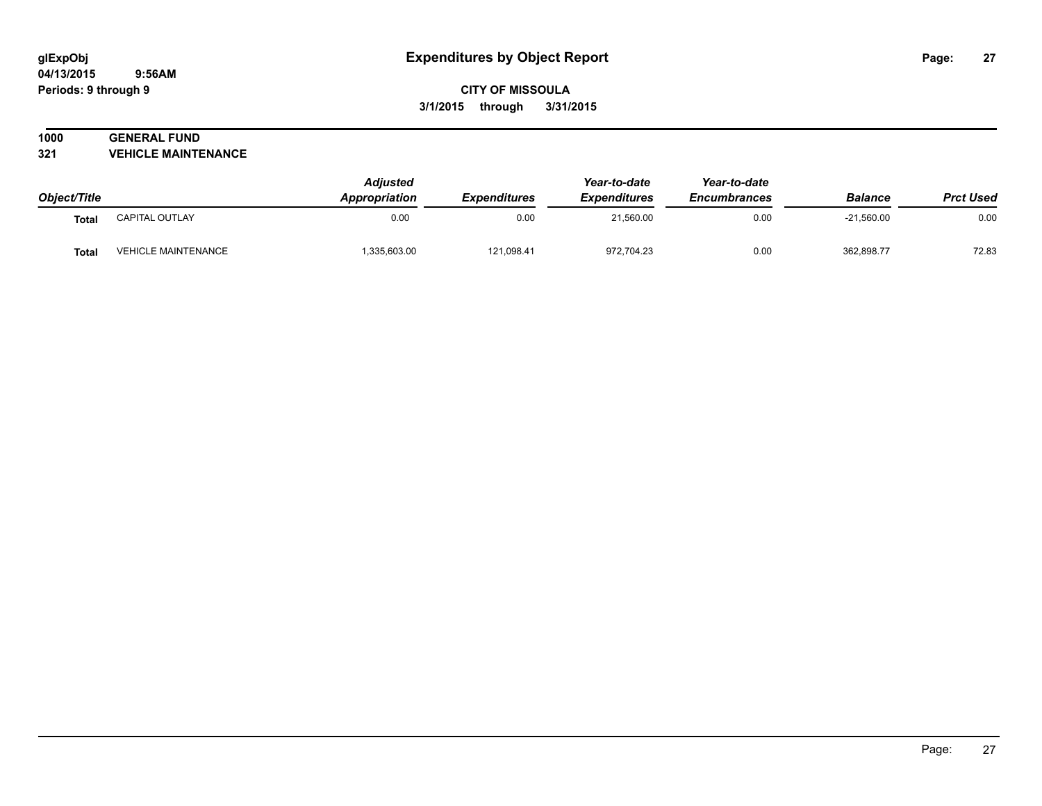#### **04/13/2015 9:56AM Periods: 9 through 9**

**CITY OF MISSOULA 3/1/2015 through 3/31/2015**

# **1000 GENERAL FUND**

**321 VEHICLE MAINTENANCE**

|              |                            | <b>Adjusted</b><br>Appropriation<br><i><b>Expenditures</b></i> | Year-to-date        | Year-to-date        |                |                  |       |
|--------------|----------------------------|----------------------------------------------------------------|---------------------|---------------------|----------------|------------------|-------|
| Object/Title |                            |                                                                | <b>Expenditures</b> | <b>Encumbrances</b> | <b>Balance</b> | <b>Prct Used</b> |       |
| <b>Total</b> | CAPITAL OUTLAY             | 0.00                                                           | 0.00                | 21,560.00           | 0.00           | $-21,560.00$     | 0.00  |
| <b>Total</b> | <b>VEHICLE MAINTENANCE</b> | 1,335,603.00                                                   | 121,098.41          | 972.704.23          | 0.00           | 362,898.77       | 72.83 |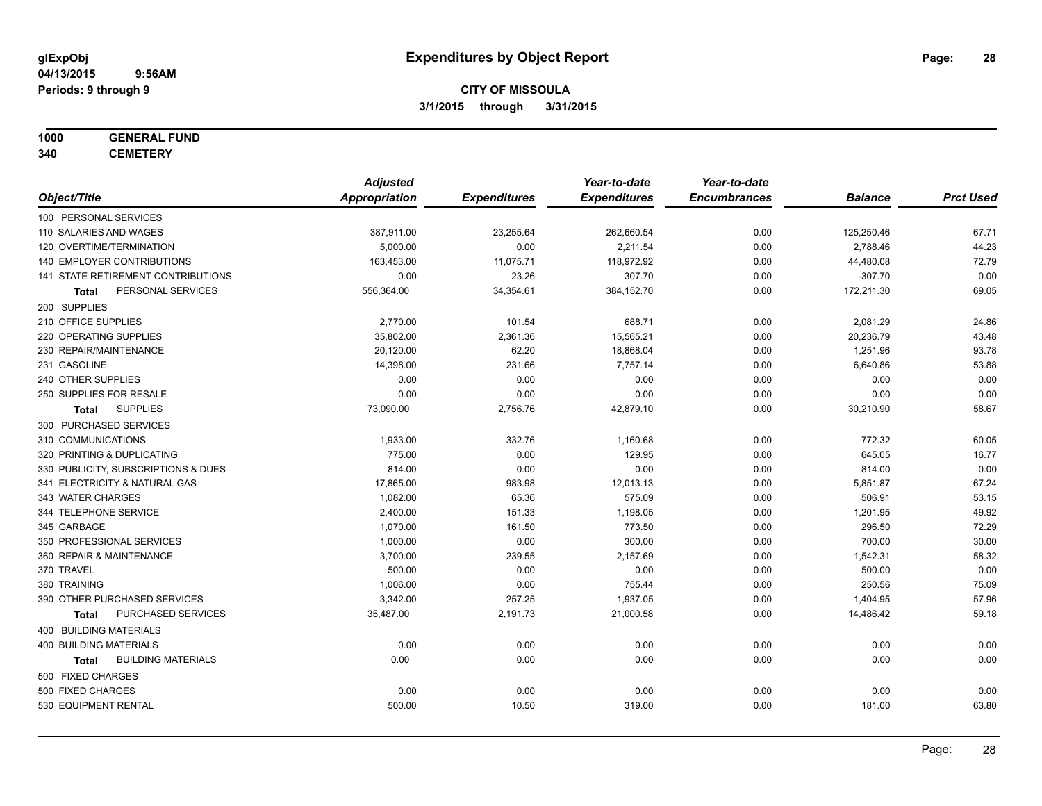## **1000 GENERAL FUND**

**340 CEMETERY**

|                                           | <b>Adjusted</b>      |                     | Year-to-date        | Year-to-date        |                |                  |
|-------------------------------------------|----------------------|---------------------|---------------------|---------------------|----------------|------------------|
| Object/Title                              | <b>Appropriation</b> | <b>Expenditures</b> | <b>Expenditures</b> | <b>Encumbrances</b> | <b>Balance</b> | <b>Prct Used</b> |
| 100 PERSONAL SERVICES                     |                      |                     |                     |                     |                |                  |
| 110 SALARIES AND WAGES                    | 387,911.00           | 23,255.64           | 262,660.54          | 0.00                | 125,250.46     | 67.71            |
| 120 OVERTIME/TERMINATION                  | 5,000.00             | 0.00                | 2,211.54            | 0.00                | 2,788.46       | 44.23            |
| 140 EMPLOYER CONTRIBUTIONS                | 163,453.00           | 11,075.71           | 118,972.92          | 0.00                | 44,480.08      | 72.79            |
| 141 STATE RETIREMENT CONTRIBUTIONS        | 0.00                 | 23.26               | 307.70              | 0.00                | $-307.70$      | 0.00             |
| PERSONAL SERVICES<br>Total                | 556,364.00           | 34,354.61           | 384,152.70          | 0.00                | 172,211.30     | 69.05            |
| 200 SUPPLIES                              |                      |                     |                     |                     |                |                  |
| 210 OFFICE SUPPLIES                       | 2,770.00             | 101.54              | 688.71              | 0.00                | 2,081.29       | 24.86            |
| 220 OPERATING SUPPLIES                    | 35,802.00            | 2,361.36            | 15,565.21           | 0.00                | 20,236.79      | 43.48            |
| 230 REPAIR/MAINTENANCE                    | 20,120.00            | 62.20               | 18,868.04           | 0.00                | 1,251.96       | 93.78            |
| 231 GASOLINE                              | 14,398.00            | 231.66              | 7,757.14            | 0.00                | 6,640.86       | 53.88            |
| 240 OTHER SUPPLIES                        | 0.00                 | 0.00                | 0.00                | 0.00                | 0.00           | 0.00             |
| 250 SUPPLIES FOR RESALE                   | 0.00                 | 0.00                | 0.00                | 0.00                | 0.00           | 0.00             |
| <b>SUPPLIES</b><br>Total                  | 73,090.00            | 2,756.76            | 42,879.10           | 0.00                | 30,210.90      | 58.67            |
| 300 PURCHASED SERVICES                    |                      |                     |                     |                     |                |                  |
| 310 COMMUNICATIONS                        | 1,933.00             | 332.76              | 1,160.68            | 0.00                | 772.32         | 60.05            |
| 320 PRINTING & DUPLICATING                | 775.00               | 0.00                | 129.95              | 0.00                | 645.05         | 16.77            |
| 330 PUBLICITY, SUBSCRIPTIONS & DUES       | 814.00               | 0.00                | 0.00                | 0.00                | 814.00         | 0.00             |
| 341 ELECTRICITY & NATURAL GAS             | 17,865.00            | 983.98              | 12,013.13           | 0.00                | 5,851.87       | 67.24            |
| 343 WATER CHARGES                         | 1,082.00             | 65.36               | 575.09              | 0.00                | 506.91         | 53.15            |
| 344 TELEPHONE SERVICE                     | 2,400.00             | 151.33              | 1,198.05            | 0.00                | 1,201.95       | 49.92            |
| 345 GARBAGE                               | 1,070.00             | 161.50              | 773.50              | 0.00                | 296.50         | 72.29            |
| 350 PROFESSIONAL SERVICES                 | 1,000.00             | 0.00                | 300.00              | 0.00                | 700.00         | 30.00            |
| 360 REPAIR & MAINTENANCE                  | 3,700.00             | 239.55              | 2,157.69            | 0.00                | 1,542.31       | 58.32            |
| 370 TRAVEL                                | 500.00               | 0.00                | 0.00                | 0.00                | 500.00         | 0.00             |
| 380 TRAINING                              | 1,006.00             | 0.00                | 755.44              | 0.00                | 250.56         | 75.09            |
| 390 OTHER PURCHASED SERVICES              | 3,342.00             | 257.25              | 1,937.05            | 0.00                | 1,404.95       | 57.96            |
| PURCHASED SERVICES<br><b>Total</b>        | 35,487.00            | 2,191.73            | 21,000.58           | 0.00                | 14,486.42      | 59.18            |
| 400 BUILDING MATERIALS                    |                      |                     |                     |                     |                |                  |
| <b>400 BUILDING MATERIALS</b>             | 0.00                 | 0.00                | 0.00                | 0.00                | 0.00           | 0.00             |
| <b>BUILDING MATERIALS</b><br><b>Total</b> | 0.00                 | 0.00                | 0.00                | 0.00                | 0.00           | 0.00             |
| 500 FIXED CHARGES                         |                      |                     |                     |                     |                |                  |
| 500 FIXED CHARGES                         | 0.00                 | 0.00                | 0.00                | 0.00                | 0.00           | 0.00             |
| 530 EQUIPMENT RENTAL                      | 500.00               | 10.50               | 319.00              | 0.00                | 181.00         | 63.80            |
|                                           |                      |                     |                     |                     |                |                  |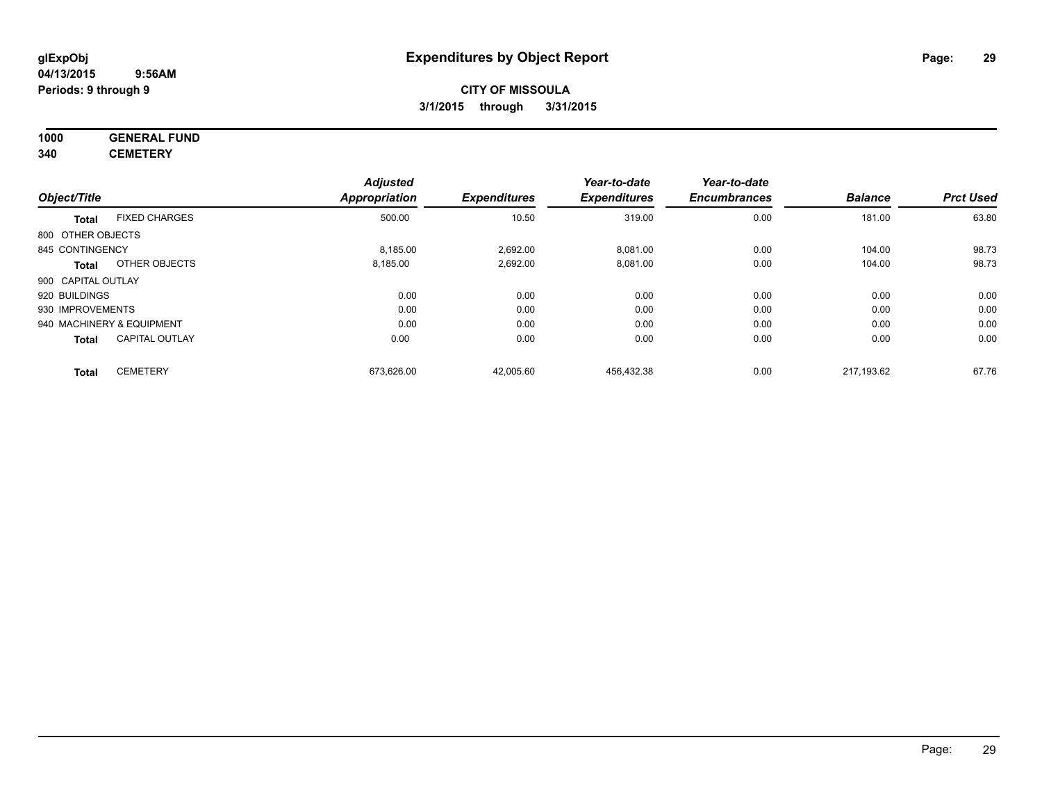## **1000 GENERAL FUND**

**340 CEMETERY**

|                    |                           | <b>Adjusted</b> |                     | Year-to-date        | Year-to-date        |                |                  |
|--------------------|---------------------------|-----------------|---------------------|---------------------|---------------------|----------------|------------------|
| Object/Title       |                           | Appropriation   | <b>Expenditures</b> | <b>Expenditures</b> | <b>Encumbrances</b> | <b>Balance</b> | <b>Prct Used</b> |
| Total              | <b>FIXED CHARGES</b>      | 500.00          | 10.50               | 319.00              | 0.00                | 181.00         | 63.80            |
| 800 OTHER OBJECTS  |                           |                 |                     |                     |                     |                |                  |
| 845 CONTINGENCY    |                           | 8,185.00        | 2,692.00            | 8,081.00            | 0.00                | 104.00         | 98.73            |
| Total              | OTHER OBJECTS             | 8,185.00        | 2,692.00            | 8,081.00            | 0.00                | 104.00         | 98.73            |
| 900 CAPITAL OUTLAY |                           |                 |                     |                     |                     |                |                  |
| 920 BUILDINGS      |                           | 0.00            | 0.00                | 0.00                | 0.00                | 0.00           | 0.00             |
| 930 IMPROVEMENTS   |                           | 0.00            | 0.00                | 0.00                | 0.00                | 0.00           | 0.00             |
|                    | 940 MACHINERY & EQUIPMENT | 0.00            | 0.00                | 0.00                | 0.00                | 0.00           | 0.00             |
| <b>Total</b>       | <b>CAPITAL OUTLAY</b>     | 0.00            | 0.00                | 0.00                | 0.00                | 0.00           | 0.00             |
| <b>Total</b>       | <b>CEMETERY</b>           | 673,626.00      | 42,005.60           | 456,432.38          | 0.00                | 217.193.62     | 67.76            |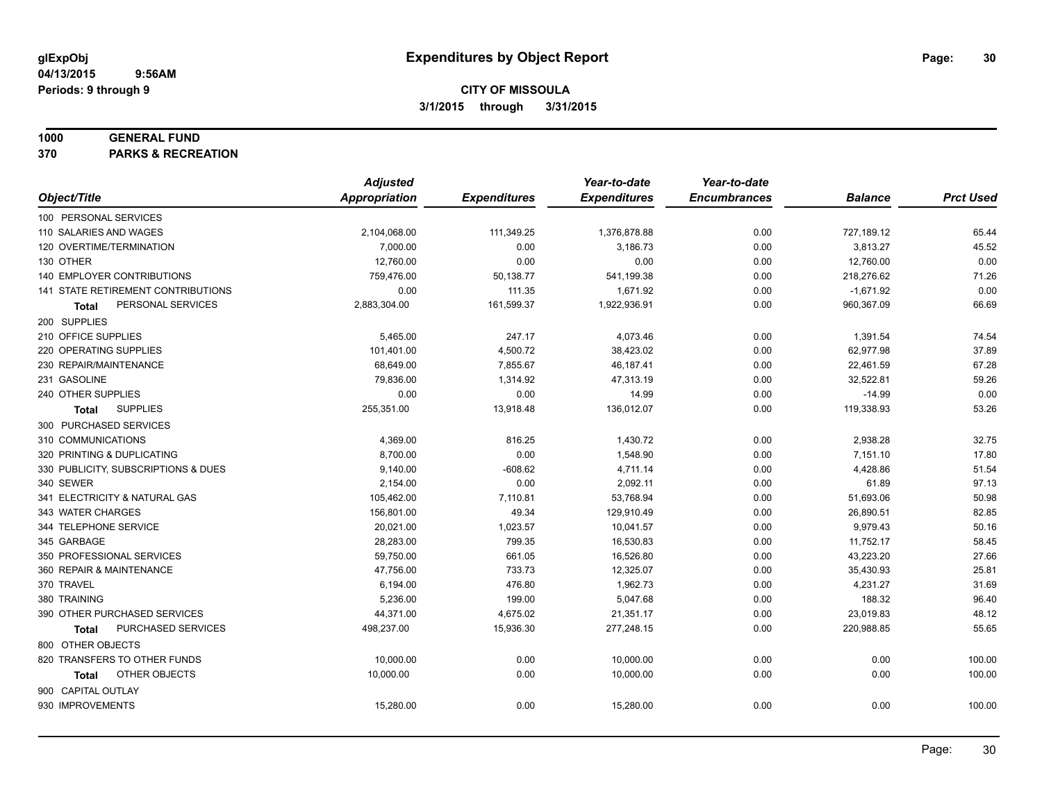#### **1000 GENERAL FUND**

**370 PARKS & RECREATION**

|                                     | <b>Adjusted</b>      |                     | Year-to-date        | Year-to-date        |                |                  |
|-------------------------------------|----------------------|---------------------|---------------------|---------------------|----------------|------------------|
| Object/Title                        | <b>Appropriation</b> | <b>Expenditures</b> | <b>Expenditures</b> | <b>Encumbrances</b> | <b>Balance</b> | <b>Prct Used</b> |
| 100 PERSONAL SERVICES               |                      |                     |                     |                     |                |                  |
| 110 SALARIES AND WAGES              | 2,104,068.00         | 111,349.25          | 1,376,878.88        | 0.00                | 727,189.12     | 65.44            |
| 120 OVERTIME/TERMINATION            | 7,000.00             | 0.00                | 3,186.73            | 0.00                | 3,813.27       | 45.52            |
| 130 OTHER                           | 12,760.00            | 0.00                | 0.00                | 0.00                | 12,760.00      | 0.00             |
| 140 EMPLOYER CONTRIBUTIONS          | 759,476.00           | 50,138.77           | 541,199.38          | 0.00                | 218,276.62     | 71.26            |
| 141 STATE RETIREMENT CONTRIBUTIONS  | 0.00                 | 111.35              | 1,671.92            | 0.00                | $-1,671.92$    | 0.00             |
| PERSONAL SERVICES<br>Total          | 2,883,304.00         | 161,599.37          | 1,922,936.91        | 0.00                | 960,367.09     | 66.69            |
| 200 SUPPLIES                        |                      |                     |                     |                     |                |                  |
| 210 OFFICE SUPPLIES                 | 5,465.00             | 247.17              | 4,073.46            | 0.00                | 1,391.54       | 74.54            |
| 220 OPERATING SUPPLIES              | 101,401.00           | 4,500.72            | 38,423.02           | 0.00                | 62,977.98      | 37.89            |
| 230 REPAIR/MAINTENANCE              | 68,649.00            | 7,855.67            | 46,187.41           | 0.00                | 22,461.59      | 67.28            |
| 231 GASOLINE                        | 79,836.00            | 1,314.92            | 47,313.19           | 0.00                | 32,522.81      | 59.26            |
| 240 OTHER SUPPLIES                  | 0.00                 | 0.00                | 14.99               | 0.00                | $-14.99$       | 0.00             |
| <b>SUPPLIES</b><br><b>Total</b>     | 255,351.00           | 13,918.48           | 136,012.07          | 0.00                | 119,338.93     | 53.26            |
| 300 PURCHASED SERVICES              |                      |                     |                     |                     |                |                  |
| 310 COMMUNICATIONS                  | 4,369.00             | 816.25              | 1,430.72            | 0.00                | 2,938.28       | 32.75            |
| 320 PRINTING & DUPLICATING          | 8,700.00             | 0.00                | 1,548.90            | 0.00                | 7,151.10       | 17.80            |
| 330 PUBLICITY, SUBSCRIPTIONS & DUES | 9,140.00             | $-608.62$           | 4,711.14            | 0.00                | 4,428.86       | 51.54            |
| 340 SEWER                           | 2,154.00             | 0.00                | 2,092.11            | 0.00                | 61.89          | 97.13            |
| 341 ELECTRICITY & NATURAL GAS       | 105,462.00           | 7,110.81            | 53,768.94           | 0.00                | 51,693.06      | 50.98            |
| 343 WATER CHARGES                   | 156,801.00           | 49.34               | 129,910.49          | 0.00                | 26,890.51      | 82.85            |
| 344 TELEPHONE SERVICE               | 20,021.00            | 1,023.57            | 10,041.57           | 0.00                | 9,979.43       | 50.16            |
| 345 GARBAGE                         | 28,283.00            | 799.35              | 16,530.83           | 0.00                | 11,752.17      | 58.45            |
| 350 PROFESSIONAL SERVICES           | 59,750.00            | 661.05              | 16,526.80           | 0.00                | 43,223.20      | 27.66            |
| 360 REPAIR & MAINTENANCE            | 47,756.00            | 733.73              | 12,325.07           | 0.00                | 35,430.93      | 25.81            |
| 370 TRAVEL                          | 6,194.00             | 476.80              | 1,962.73            | 0.00                | 4,231.27       | 31.69            |
| 380 TRAINING                        | 5,236.00             | 199.00              | 5,047.68            | 0.00                | 188.32         | 96.40            |
| 390 OTHER PURCHASED SERVICES        | 44,371.00            | 4,675.02            | 21,351.17           | 0.00                | 23,019.83      | 48.12            |
| PURCHASED SERVICES<br><b>Total</b>  | 498,237.00           | 15,936.30           | 277,248.15          | 0.00                | 220,988.85     | 55.65            |
| 800 OTHER OBJECTS                   |                      |                     |                     |                     |                |                  |
| 820 TRANSFERS TO OTHER FUNDS        | 10,000.00            | 0.00                | 10,000.00           | 0.00                | 0.00           | 100.00           |
| OTHER OBJECTS<br>Total              | 10,000.00            | 0.00                | 10,000.00           | 0.00                | 0.00           | 100.00           |
| 900 CAPITAL OUTLAY                  |                      |                     |                     |                     |                |                  |
| 930 IMPROVEMENTS                    | 15,280.00            | 0.00                | 15,280.00           | 0.00                | 0.00           | 100.00           |
|                                     |                      |                     |                     |                     |                |                  |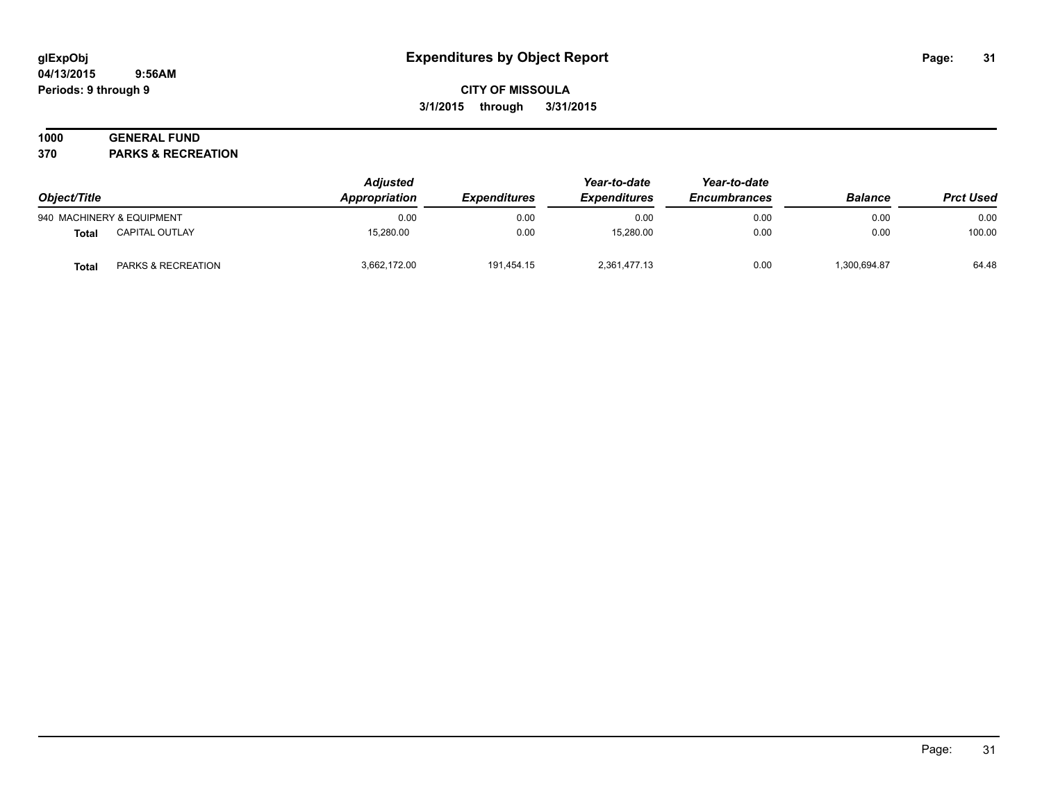#### **04/13/2015 9:56AM Periods: 9 through 9**

## **CITY OF MISSOULA 3/1/2015 through 3/31/2015**

## **1000 GENERAL FUND**

**370 PARKS & RECREATION**

| Object/Title |                           | <b>Adjusted</b><br>Appropriation | <i><b>Expenditures</b></i> | Year-to-date<br><b>Expenditures</b> | Year-to-date<br><b>Encumbrances</b> | <b>Balance</b> | <b>Prct Used</b> |
|--------------|---------------------------|----------------------------------|----------------------------|-------------------------------------|-------------------------------------|----------------|------------------|
|              | 940 MACHINERY & EQUIPMENT | 0.00                             | 0.00                       | 0.00                                | 0.00                                | 0.00           | 0.00             |
| Total        | <b>CAPITAL OUTLAY</b>     | 15,280.00                        | 0.00                       | 15,280.00                           | 0.00                                | 0.00           | 100.00           |
| Total        | PARKS & RECREATION        | 3,662,172.00                     | 191,454.15                 | 2,361,477.13                        | 0.00                                | 1,300,694.87   | 64.48            |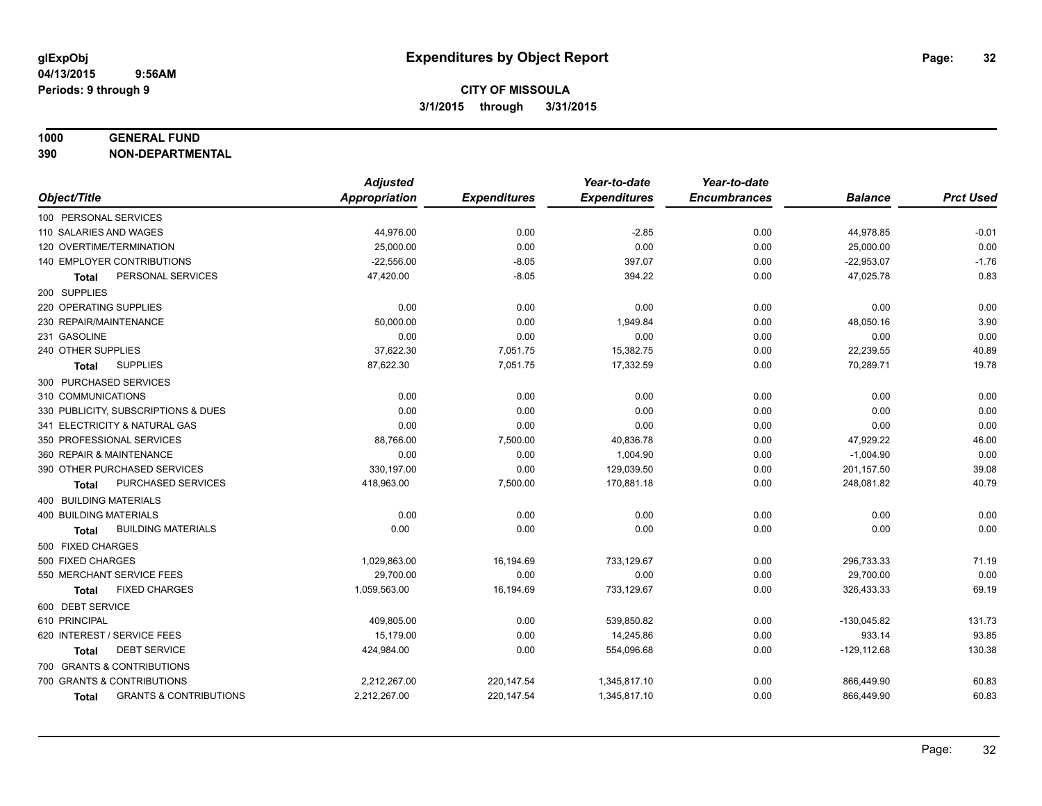#### **1000 GENERAL FUND**

**390 NON-DEPARTMENTAL**

|                                                   | <b>Adjusted</b> |                     | Year-to-date        | Year-to-date        |                |                  |
|---------------------------------------------------|-----------------|---------------------|---------------------|---------------------|----------------|------------------|
| Object/Title                                      | Appropriation   | <b>Expenditures</b> | <b>Expenditures</b> | <b>Encumbrances</b> | <b>Balance</b> | <b>Prct Used</b> |
| 100 PERSONAL SERVICES                             |                 |                     |                     |                     |                |                  |
| 110 SALARIES AND WAGES                            | 44,976.00       | 0.00                | $-2.85$             | 0.00                | 44,978.85      | $-0.01$          |
| 120 OVERTIME/TERMINATION                          | 25,000.00       | 0.00                | 0.00                | 0.00                | 25,000.00      | 0.00             |
| 140 EMPLOYER CONTRIBUTIONS                        | $-22,556.00$    | $-8.05$             | 397.07              | 0.00                | $-22,953.07$   | $-1.76$          |
| PERSONAL SERVICES<br>Total                        | 47,420.00       | $-8.05$             | 394.22              | 0.00                | 47,025.78      | 0.83             |
| 200 SUPPLIES                                      |                 |                     |                     |                     |                |                  |
| 220 OPERATING SUPPLIES                            | 0.00            | 0.00                | 0.00                | 0.00                | 0.00           | 0.00             |
| 230 REPAIR/MAINTENANCE                            | 50,000.00       | 0.00                | 1,949.84            | 0.00                | 48,050.16      | 3.90             |
| 231 GASOLINE                                      | 0.00            | 0.00                | 0.00                | 0.00                | 0.00           | 0.00             |
| 240 OTHER SUPPLIES                                | 37,622.30       | 7,051.75            | 15,382.75           | 0.00                | 22,239.55      | 40.89            |
| <b>SUPPLIES</b><br>Total                          | 87,622.30       | 7,051.75            | 17,332.59           | 0.00                | 70,289.71      | 19.78            |
| 300 PURCHASED SERVICES                            |                 |                     |                     |                     |                |                  |
| 310 COMMUNICATIONS                                | 0.00            | 0.00                | 0.00                | 0.00                | 0.00           | 0.00             |
| 330 PUBLICITY, SUBSCRIPTIONS & DUES               | 0.00            | 0.00                | 0.00                | 0.00                | 0.00           | 0.00             |
| 341 ELECTRICITY & NATURAL GAS                     | 0.00            | 0.00                | 0.00                | 0.00                | 0.00           | 0.00             |
| 350 PROFESSIONAL SERVICES                         | 88,766.00       | 7,500.00            | 40,836.78           | 0.00                | 47,929.22      | 46.00            |
| 360 REPAIR & MAINTENANCE                          | 0.00            | 0.00                | 1,004.90            | 0.00                | $-1,004.90$    | 0.00             |
| 390 OTHER PURCHASED SERVICES                      | 330,197.00      | 0.00                | 129,039.50          | 0.00                | 201,157.50     | 39.08            |
| PURCHASED SERVICES<br><b>Total</b>                | 418,963.00      | 7,500.00            | 170,881.18          | 0.00                | 248,081.82     | 40.79            |
| 400 BUILDING MATERIALS                            |                 |                     |                     |                     |                |                  |
| <b>400 BUILDING MATERIALS</b>                     | 0.00            | 0.00                | 0.00                | 0.00                | 0.00           | 0.00             |
| <b>BUILDING MATERIALS</b><br><b>Total</b>         | 0.00            | 0.00                | 0.00                | 0.00                | 0.00           | 0.00             |
| 500 FIXED CHARGES                                 |                 |                     |                     |                     |                |                  |
| 500 FIXED CHARGES                                 | 1,029,863.00    | 16,194.69           | 733,129.67          | 0.00                | 296,733.33     | 71.19            |
| 550 MERCHANT SERVICE FEES                         | 29,700.00       | 0.00                | 0.00                | 0.00                | 29,700.00      | 0.00             |
| <b>FIXED CHARGES</b><br><b>Total</b>              | 1,059,563.00    | 16,194.69           | 733,129.67          | 0.00                | 326,433.33     | 69.19            |
| 600 DEBT SERVICE                                  |                 |                     |                     |                     |                |                  |
| 610 PRINCIPAL                                     | 409,805.00      | 0.00                | 539,850.82          | 0.00                | $-130,045.82$  | 131.73           |
| 620 INTEREST / SERVICE FEES                       | 15,179.00       | 0.00                | 14,245.86           | 0.00                | 933.14         | 93.85            |
| <b>DEBT SERVICE</b><br><b>Total</b>               | 424,984.00      | 0.00                | 554,096.68          | 0.00                | $-129, 112.68$ | 130.38           |
| 700 GRANTS & CONTRIBUTIONS                        |                 |                     |                     |                     |                |                  |
| 700 GRANTS & CONTRIBUTIONS                        | 2,212,267.00    | 220, 147.54         | 1,345,817.10        | 0.00                | 866,449.90     | 60.83            |
| <b>GRANTS &amp; CONTRIBUTIONS</b><br><b>Total</b> | 2,212,267.00    | 220, 147.54         | 1,345,817.10        | 0.00                | 866,449.90     | 60.83            |
|                                                   |                 |                     |                     |                     |                |                  |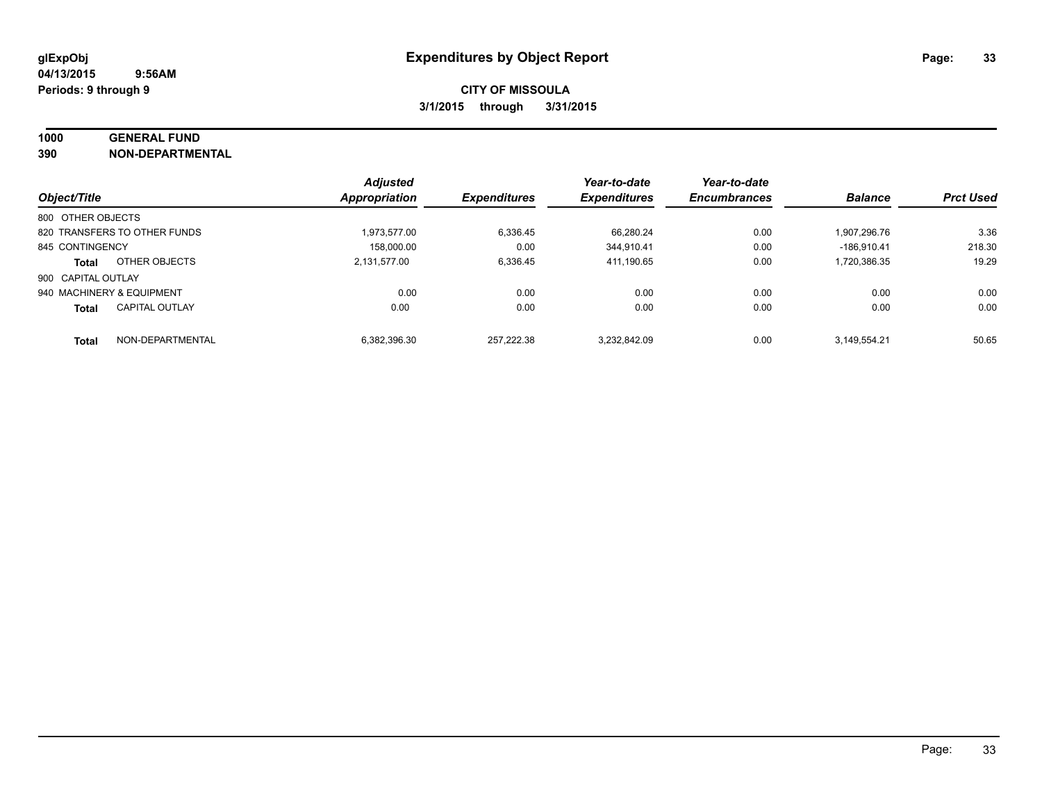## **1000 GENERAL FUND**

**390 NON-DEPARTMENTAL**

|                           |                              | <b>Adjusted</b> |                     | Year-to-date        | Year-to-date        |                |                  |
|---------------------------|------------------------------|-----------------|---------------------|---------------------|---------------------|----------------|------------------|
| Object/Title              |                              | Appropriation   | <b>Expenditures</b> | <b>Expenditures</b> | <b>Encumbrances</b> | <b>Balance</b> | <b>Prct Used</b> |
| 800 OTHER OBJECTS         |                              |                 |                     |                     |                     |                |                  |
|                           | 820 TRANSFERS TO OTHER FUNDS | 1.973.577.00    | 6.336.45            | 66.280.24           | 0.00                | 1.907.296.76   | 3.36             |
| 845 CONTINGENCY           |                              | 158.000.00      | 0.00                | 344.910.41          | 0.00                | $-186.910.41$  | 218.30           |
| <b>Total</b>              | OTHER OBJECTS                | 2.131.577.00    | 6,336.45            | 411,190.65          | 0.00                | 1,720,386.35   | 19.29            |
| 900 CAPITAL OUTLAY        |                              |                 |                     |                     |                     |                |                  |
| 940 MACHINERY & EQUIPMENT |                              | 0.00            | 0.00                | 0.00                | 0.00                | 0.00           | 0.00             |
| <b>Total</b>              | <b>CAPITAL OUTLAY</b>        | 0.00            | 0.00                | 0.00                | 0.00                | 0.00           | 0.00             |
| <b>Total</b>              | NON-DEPARTMENTAL             | 6.382.396.30    | 257.222.38          | 3.232.842.09        | 0.00                | 3.149.554.21   | 50.65            |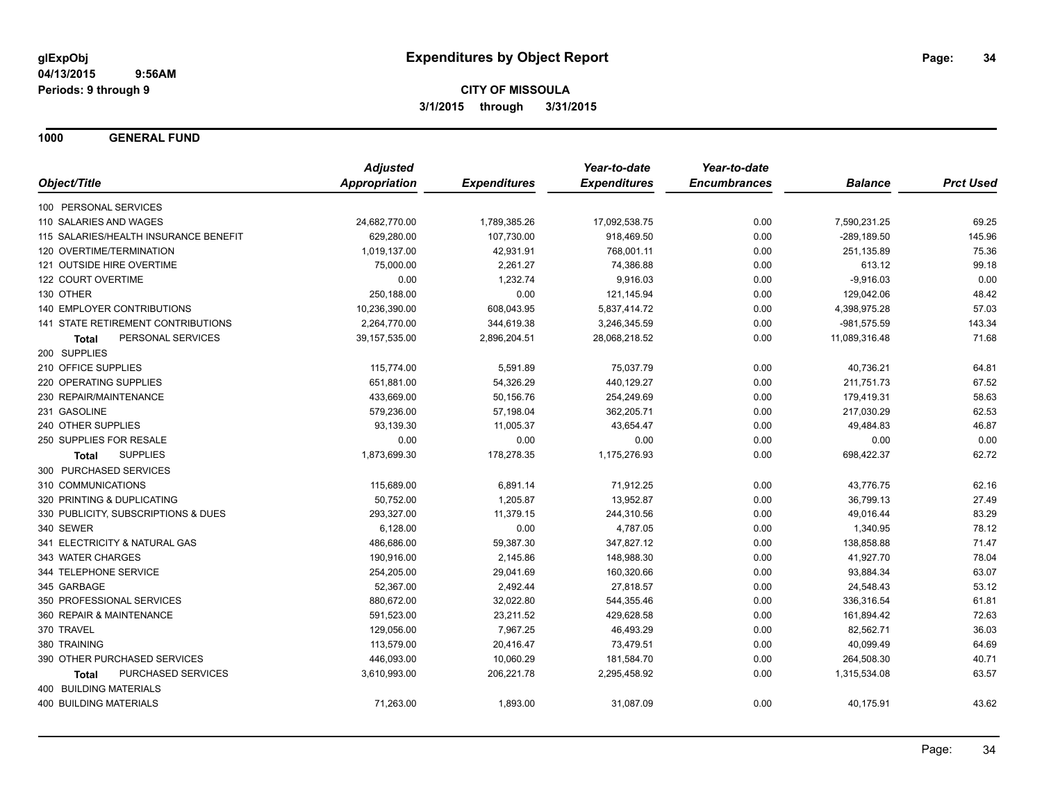**1000 GENERAL FUND**

|                                           | <b>Adjusted</b>      |                     | Year-to-date        | Year-to-date        |                |                  |
|-------------------------------------------|----------------------|---------------------|---------------------|---------------------|----------------|------------------|
| Object/Title                              | <b>Appropriation</b> | <b>Expenditures</b> | <b>Expenditures</b> | <b>Encumbrances</b> | <b>Balance</b> | <b>Prct Used</b> |
| 100 PERSONAL SERVICES                     |                      |                     |                     |                     |                |                  |
| 110 SALARIES AND WAGES                    | 24,682,770.00        | 1,789,385.26        | 17,092,538.75       | 0.00                | 7,590,231.25   | 69.25            |
| 115 SALARIES/HEALTH INSURANCE BENEFIT     | 629,280.00           | 107,730.00          | 918,469.50          | 0.00                | -289.189.50    | 145.96           |
| 120 OVERTIME/TERMINATION                  | 1,019,137.00         | 42,931.91           | 768,001.11          | 0.00                | 251,135.89     | 75.36            |
| 121 OUTSIDE HIRE OVERTIME                 | 75,000.00            | 2,261.27            | 74,386.88           | 0.00                | 613.12         | 99.18            |
| 122 COURT OVERTIME                        | 0.00                 | 1,232.74            | 9,916.03            | 0.00                | $-9,916.03$    | 0.00             |
| 130 OTHER                                 | 250,188.00           | 0.00                | 121,145.94          | 0.00                | 129,042.06     | 48.42            |
| 140 EMPLOYER CONTRIBUTIONS                | 10,236,390.00        | 608,043.95          | 5,837,414.72        | 0.00                | 4,398,975.28   | 57.03            |
| 141 STATE RETIREMENT CONTRIBUTIONS        | 2,264,770.00         | 344,619.38          | 3,246,345.59        | 0.00                | $-981,575.59$  | 143.34           |
| PERSONAL SERVICES<br>Total                | 39, 157, 535.00      | 2,896,204.51        | 28,068,218.52       | 0.00                | 11,089,316.48  | 71.68            |
| 200 SUPPLIES                              |                      |                     |                     |                     |                |                  |
| 210 OFFICE SUPPLIES                       | 115,774.00           | 5,591.89            | 75,037.79           | 0.00                | 40,736.21      | 64.81            |
| 220 OPERATING SUPPLIES                    | 651,881.00           | 54,326.29           | 440,129.27          | 0.00                | 211,751.73     | 67.52            |
| 230 REPAIR/MAINTENANCE                    | 433,669.00           | 50,156.76           | 254,249.69          | 0.00                | 179,419.31     | 58.63            |
| 231 GASOLINE                              | 579,236.00           | 57,198.04           | 362,205.71          | 0.00                | 217,030.29     | 62.53            |
| 240 OTHER SUPPLIES                        | 93,139.30            | 11,005.37           | 43,654.47           | 0.00                | 49,484.83      | 46.87            |
| 250 SUPPLIES FOR RESALE                   | 0.00                 | 0.00                | 0.00                | 0.00                | 0.00           | 0.00             |
| <b>SUPPLIES</b><br><b>Total</b>           | 1,873,699.30         | 178,278.35          | 1,175,276.93        | 0.00                | 698,422.37     | 62.72            |
| 300 PURCHASED SERVICES                    |                      |                     |                     |                     |                |                  |
| 310 COMMUNICATIONS                        | 115,689.00           | 6,891.14            | 71,912.25           | 0.00                | 43,776.75      | 62.16            |
| 320 PRINTING & DUPLICATING                | 50,752.00            | 1,205.87            | 13,952.87           | 0.00                | 36,799.13      | 27.49            |
| 330 PUBLICITY, SUBSCRIPTIONS & DUES       | 293,327.00           | 11,379.15           | 244,310.56          | 0.00                | 49,016.44      | 83.29            |
| 340 SEWER                                 | 6,128.00             | 0.00                | 4,787.05            | 0.00                | 1,340.95       | 78.12            |
| 341 ELECTRICITY & NATURAL GAS             | 486,686.00           | 59,387.30           | 347,827.12          | 0.00                | 138,858.88     | 71.47            |
| 343 WATER CHARGES                         | 190,916.00           | 2,145.86            | 148,988.30          | 0.00                | 41,927.70      | 78.04            |
| 344 TELEPHONE SERVICE                     | 254,205.00           | 29,041.69           | 160,320.66          | 0.00                | 93,884.34      | 63.07            |
| 345 GARBAGE                               | 52,367.00            | 2,492.44            | 27,818.57           | 0.00                | 24,548.43      | 53.12            |
| 350 PROFESSIONAL SERVICES                 | 880,672.00           | 32,022.80           | 544,355.46          | 0.00                | 336,316.54     | 61.81            |
| 360 REPAIR & MAINTENANCE                  | 591,523.00           | 23,211.52           | 429,628.58          | 0.00                | 161,894.42     | 72.63            |
| 370 TRAVEL                                | 129,056.00           | 7,967.25            | 46,493.29           | 0.00                | 82,562.71      | 36.03            |
| 380 TRAINING                              | 113,579.00           | 20,416.47           | 73,479.51           | 0.00                | 40,099.49      | 64.69            |
| 390 OTHER PURCHASED SERVICES              | 446,093.00           | 10,060.29           | 181,584.70          | 0.00                | 264,508.30     | 40.71            |
| <b>PURCHASED SERVICES</b><br><b>Total</b> | 3,610,993.00         | 206,221.78          | 2,295,458.92        | 0.00                | 1,315,534.08   | 63.57            |
| 400 BUILDING MATERIALS                    |                      |                     |                     |                     |                |                  |
| <b>400 BUILDING MATERIALS</b>             | 71,263.00            | 1,893.00            | 31,087.09           | 0.00                | 40,175.91      | 43.62            |
|                                           |                      |                     |                     |                     |                |                  |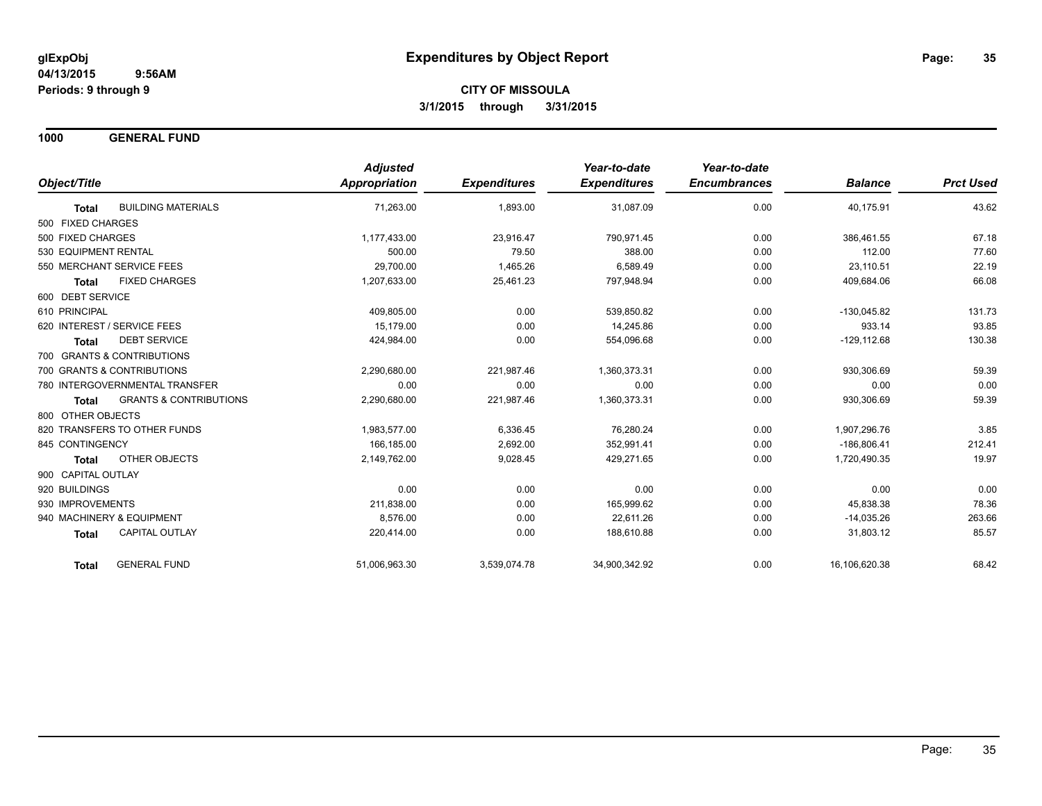**1000 GENERAL FUND**

|                                                   | <b>Adjusted</b>      |                     | Year-to-date        | Year-to-date        |                |                  |
|---------------------------------------------------|----------------------|---------------------|---------------------|---------------------|----------------|------------------|
| Object/Title                                      | <b>Appropriation</b> | <b>Expenditures</b> | <b>Expenditures</b> | <b>Encumbrances</b> | <b>Balance</b> | <b>Prct Used</b> |
| <b>BUILDING MATERIALS</b><br><b>Total</b>         | 71,263.00            | 1,893.00            | 31,087.09           | 0.00                | 40,175.91      | 43.62            |
| 500 FIXED CHARGES                                 |                      |                     |                     |                     |                |                  |
| 500 FIXED CHARGES                                 | 1,177,433.00         | 23,916.47           | 790,971.45          | 0.00                | 386,461.55     | 67.18            |
| 530 EQUIPMENT RENTAL                              | 500.00               | 79.50               | 388.00              | 0.00                | 112.00         | 77.60            |
| 550 MERCHANT SERVICE FEES                         | 29,700.00            | 1,465.26            | 6,589.49            | 0.00                | 23.110.51      | 22.19            |
| <b>FIXED CHARGES</b><br><b>Total</b>              | 1,207,633.00         | 25,461.23           | 797,948.94          | 0.00                | 409,684.06     | 66.08            |
| 600 DEBT SERVICE                                  |                      |                     |                     |                     |                |                  |
| 610 PRINCIPAL                                     | 409,805.00           | 0.00                | 539,850.82          | 0.00                | $-130.045.82$  | 131.73           |
| 620 INTEREST / SERVICE FEES                       | 15.179.00            | 0.00                | 14,245.86           | 0.00                | 933.14         | 93.85            |
| <b>DEBT SERVICE</b><br><b>Total</b>               | 424,984.00           | 0.00                | 554,096.68          | 0.00                | $-129, 112.68$ | 130.38           |
| 700 GRANTS & CONTRIBUTIONS                        |                      |                     |                     |                     |                |                  |
| 700 GRANTS & CONTRIBUTIONS                        | 2,290,680.00         | 221,987.46          | 1,360,373.31        | 0.00                | 930,306.69     | 59.39            |
| 780 INTERGOVERNMENTAL TRANSFER                    | 0.00                 | 0.00                | 0.00                | 0.00                | 0.00           | 0.00             |
| <b>GRANTS &amp; CONTRIBUTIONS</b><br><b>Total</b> | 2,290,680.00         | 221,987.46          | 1,360,373.31        | 0.00                | 930,306.69     | 59.39            |
| 800 OTHER OBJECTS                                 |                      |                     |                     |                     |                |                  |
| 820 TRANSFERS TO OTHER FUNDS                      | 1,983,577.00         | 6,336.45            | 76,280.24           | 0.00                | 1,907,296.76   | 3.85             |
| 845 CONTINGENCY                                   | 166,185.00           | 2,692.00            | 352,991.41          | 0.00                | $-186,806.41$  | 212.41           |
| <b>OTHER OBJECTS</b><br><b>Total</b>              | 2,149,762.00         | 9,028.45            | 429,271.65          | 0.00                | 1,720,490.35   | 19.97            |
| 900 CAPITAL OUTLAY                                |                      |                     |                     |                     |                |                  |
| 920 BUILDINGS                                     | 0.00                 | 0.00                | 0.00                | 0.00                | 0.00           | 0.00             |
| 930 IMPROVEMENTS                                  | 211.838.00           | 0.00                | 165,999.62          | 0.00                | 45,838.38      | 78.36            |
| 940 MACHINERY & EQUIPMENT                         | 8,576.00             | 0.00                | 22,611.26           | 0.00                | $-14,035.26$   | 263.66           |
| <b>CAPITAL OUTLAY</b><br><b>Total</b>             | 220,414.00           | 0.00                | 188,610.88          | 0.00                | 31,803.12      | 85.57            |
| <b>GENERAL FUND</b><br><b>Total</b>               | 51,006,963.30        | 3,539,074.78        | 34,900,342.92       | 0.00                | 16,106,620.38  | 68.42            |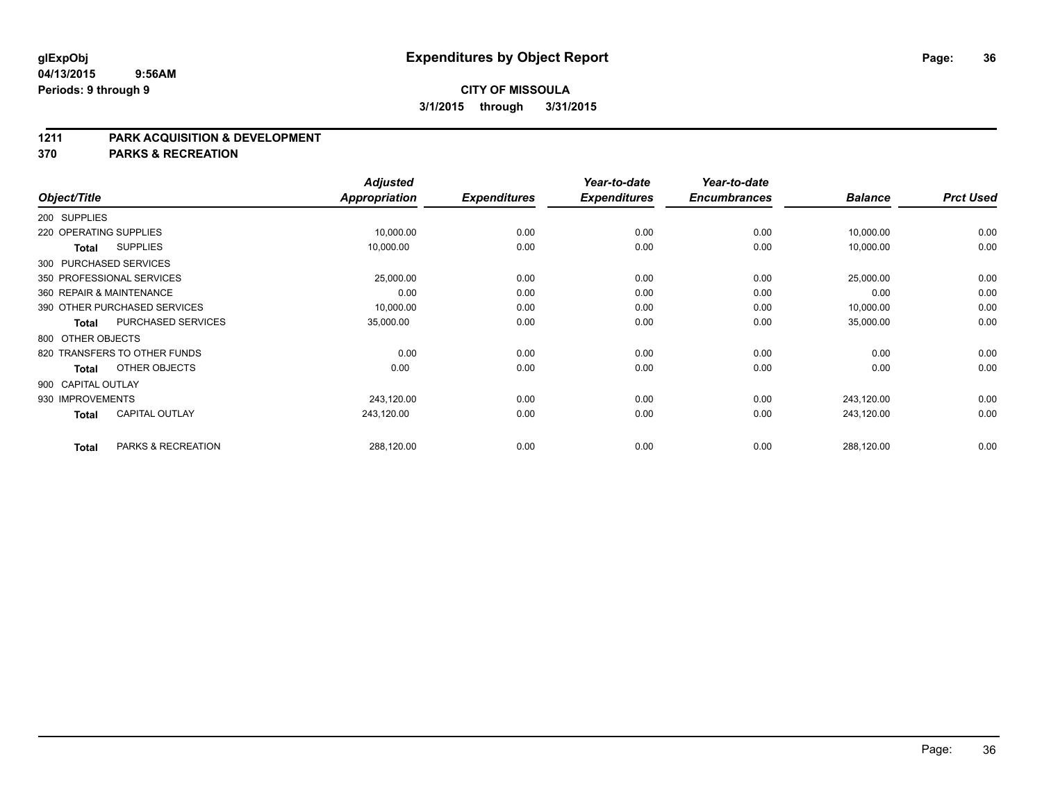#### **04/13/2015 9:56AM Periods: 9 through 9**

### **CITY OF MISSOULA 3/1/2015 through 3/31/2015**

#### **1211 PARK ACQUISITION & DEVELOPMENT**

**370 PARKS & RECREATION**

|                    |                              | <b>Adjusted</b>      |                     | Year-to-date        | Year-to-date        |                |                  |
|--------------------|------------------------------|----------------------|---------------------|---------------------|---------------------|----------------|------------------|
| Object/Title       |                              | <b>Appropriation</b> | <b>Expenditures</b> | <b>Expenditures</b> | <b>Encumbrances</b> | <b>Balance</b> | <b>Prct Used</b> |
| 200 SUPPLIES       |                              |                      |                     |                     |                     |                |                  |
|                    | 220 OPERATING SUPPLIES       | 10,000.00            | 0.00                | 0.00                | 0.00                | 10,000.00      | 0.00             |
| <b>Total</b>       | <b>SUPPLIES</b>              | 10,000.00            | 0.00                | 0.00                | 0.00                | 10,000.00      | 0.00             |
|                    | 300 PURCHASED SERVICES       |                      |                     |                     |                     |                |                  |
|                    | 350 PROFESSIONAL SERVICES    | 25,000.00            | 0.00                | 0.00                | 0.00                | 25,000.00      | 0.00             |
|                    | 360 REPAIR & MAINTENANCE     | 0.00                 | 0.00                | 0.00                | 0.00                | 0.00           | 0.00             |
|                    | 390 OTHER PURCHASED SERVICES | 10,000.00            | 0.00                | 0.00                | 0.00                | 10,000.00      | 0.00             |
| Total              | PURCHASED SERVICES           | 35,000.00            | 0.00                | 0.00                | 0.00                | 35,000.00      | 0.00             |
| 800 OTHER OBJECTS  |                              |                      |                     |                     |                     |                |                  |
|                    | 820 TRANSFERS TO OTHER FUNDS | 0.00                 | 0.00                | 0.00                | 0.00                | 0.00           | 0.00             |
| <b>Total</b>       | OTHER OBJECTS                | 0.00                 | 0.00                | 0.00                | 0.00                | 0.00           | 0.00             |
| 900 CAPITAL OUTLAY |                              |                      |                     |                     |                     |                |                  |
| 930 IMPROVEMENTS   |                              | 243,120.00           | 0.00                | 0.00                | 0.00                | 243,120.00     | 0.00             |
| <b>Total</b>       | <b>CAPITAL OUTLAY</b>        | 243,120.00           | 0.00                | 0.00                | 0.00                | 243,120.00     | 0.00             |
| <b>Total</b>       | PARKS & RECREATION           | 288,120.00           | 0.00                | 0.00                | 0.00                | 288,120.00     | 0.00             |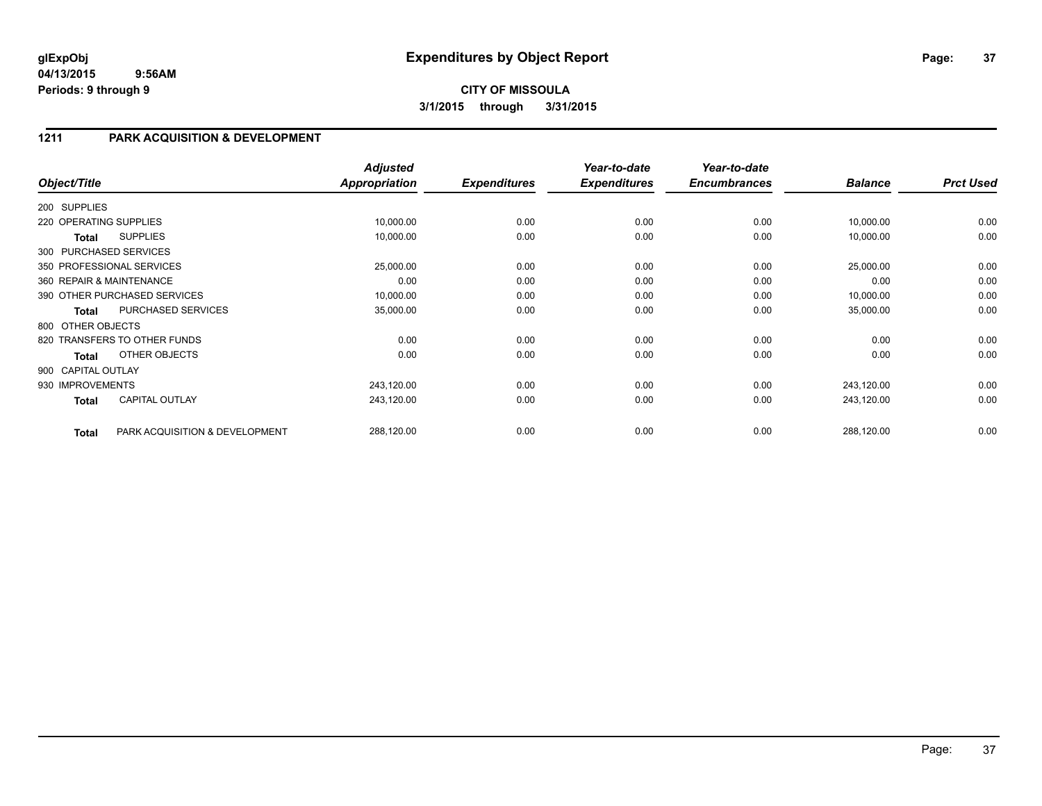### **1211 PARK ACQUISITION & DEVELOPMENT**

| Object/Title           |                                | <b>Adjusted</b><br>Appropriation | <b>Expenditures</b> | Year-to-date<br><b>Expenditures</b> | Year-to-date<br><b>Encumbrances</b> | <b>Balance</b> | <b>Prct Used</b> |
|------------------------|--------------------------------|----------------------------------|---------------------|-------------------------------------|-------------------------------------|----------------|------------------|
| 200 SUPPLIES           |                                |                                  |                     |                                     |                                     |                |                  |
| 220 OPERATING SUPPLIES |                                | 10,000.00                        | 0.00                | 0.00                                | 0.00                                | 10,000.00      | 0.00             |
| Total                  | <b>SUPPLIES</b>                | 10,000.00                        | 0.00                | 0.00                                | 0.00                                | 10,000.00      | 0.00             |
|                        | 300 PURCHASED SERVICES         |                                  |                     |                                     |                                     |                |                  |
|                        | 350 PROFESSIONAL SERVICES      | 25,000.00                        | 0.00                | 0.00                                | 0.00                                | 25,000.00      | 0.00             |
|                        | 360 REPAIR & MAINTENANCE       | 0.00                             | 0.00                | 0.00                                | 0.00                                | 0.00           | 0.00             |
|                        | 390 OTHER PURCHASED SERVICES   | 10,000.00                        | 0.00                | 0.00                                | 0.00                                | 10,000.00      | 0.00             |
| <b>Total</b>           | PURCHASED SERVICES             | 35,000.00                        | 0.00                | 0.00                                | 0.00                                | 35,000.00      | 0.00             |
| 800 OTHER OBJECTS      |                                |                                  |                     |                                     |                                     |                |                  |
|                        | 820 TRANSFERS TO OTHER FUNDS   | 0.00                             | 0.00                | 0.00                                | 0.00                                | 0.00           | 0.00             |
| <b>Total</b>           | <b>OTHER OBJECTS</b>           | 0.00                             | 0.00                | 0.00                                | 0.00                                | 0.00           | 0.00             |
| 900 CAPITAL OUTLAY     |                                |                                  |                     |                                     |                                     |                |                  |
| 930 IMPROVEMENTS       |                                | 243,120.00                       | 0.00                | 0.00                                | 0.00                                | 243,120.00     | 0.00             |
| <b>Total</b>           | <b>CAPITAL OUTLAY</b>          | 243,120.00                       | 0.00                | 0.00                                | 0.00                                | 243,120.00     | 0.00             |
| <b>Total</b>           | PARK ACQUISITION & DEVELOPMENT | 288,120.00                       | 0.00                | 0.00                                | 0.00                                | 288,120.00     | 0.00             |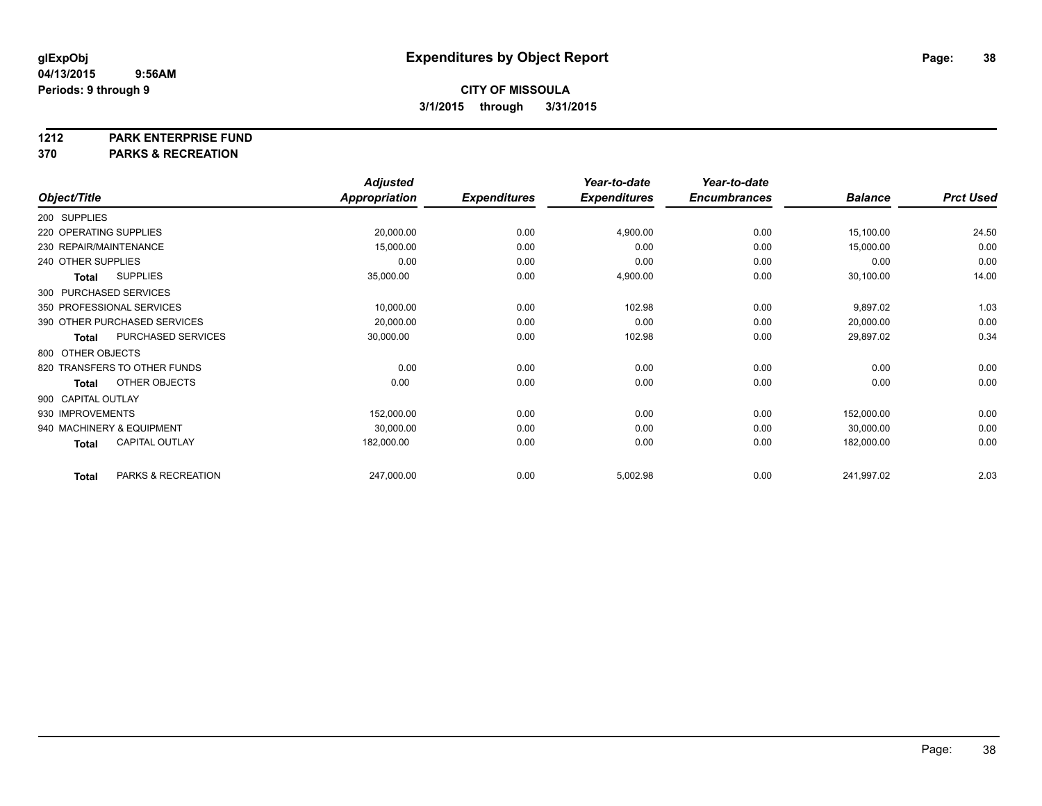#### **1212 PARK ENTERPRISE FUND**

**370 PARKS & RECREATION**

|                        |                              | <b>Adjusted</b> |                     | Year-to-date        | Year-to-date        |                |                  |
|------------------------|------------------------------|-----------------|---------------------|---------------------|---------------------|----------------|------------------|
| Object/Title           |                              | Appropriation   | <b>Expenditures</b> | <b>Expenditures</b> | <b>Encumbrances</b> | <b>Balance</b> | <b>Prct Used</b> |
| 200 SUPPLIES           |                              |                 |                     |                     |                     |                |                  |
| 220 OPERATING SUPPLIES |                              | 20,000.00       | 0.00                | 4,900.00            | 0.00                | 15,100.00      | 24.50            |
|                        | 230 REPAIR/MAINTENANCE       | 15,000.00       | 0.00                | 0.00                | 0.00                | 15,000.00      | 0.00             |
| 240 OTHER SUPPLIES     |                              | 0.00            | 0.00                | 0.00                | 0.00                | 0.00           | 0.00             |
| <b>Total</b>           | <b>SUPPLIES</b>              | 35,000.00       | 0.00                | 4,900.00            | 0.00                | 30,100.00      | 14.00            |
|                        | 300 PURCHASED SERVICES       |                 |                     |                     |                     |                |                  |
|                        | 350 PROFESSIONAL SERVICES    | 10,000.00       | 0.00                | 102.98              | 0.00                | 9,897.02       | 1.03             |
|                        | 390 OTHER PURCHASED SERVICES | 20,000.00       | 0.00                | 0.00                | 0.00                | 20,000.00      | 0.00             |
| <b>Total</b>           | PURCHASED SERVICES           | 30,000.00       | 0.00                | 102.98              | 0.00                | 29,897.02      | 0.34             |
| 800 OTHER OBJECTS      |                              |                 |                     |                     |                     |                |                  |
|                        | 820 TRANSFERS TO OTHER FUNDS | 0.00            | 0.00                | 0.00                | 0.00                | 0.00           | 0.00             |
| <b>Total</b>           | OTHER OBJECTS                | 0.00            | 0.00                | 0.00                | 0.00                | 0.00           | 0.00             |
| 900 CAPITAL OUTLAY     |                              |                 |                     |                     |                     |                |                  |
| 930 IMPROVEMENTS       |                              | 152,000.00      | 0.00                | 0.00                | 0.00                | 152,000.00     | 0.00             |
|                        | 940 MACHINERY & EQUIPMENT    | 30,000.00       | 0.00                | 0.00                | 0.00                | 30,000.00      | 0.00             |
| <b>Total</b>           | <b>CAPITAL OUTLAY</b>        | 182,000.00      | 0.00                | 0.00                | 0.00                | 182,000.00     | 0.00             |
| <b>Total</b>           | PARKS & RECREATION           | 247,000.00      | 0.00                | 5,002.98            | 0.00                | 241,997.02     | 2.03             |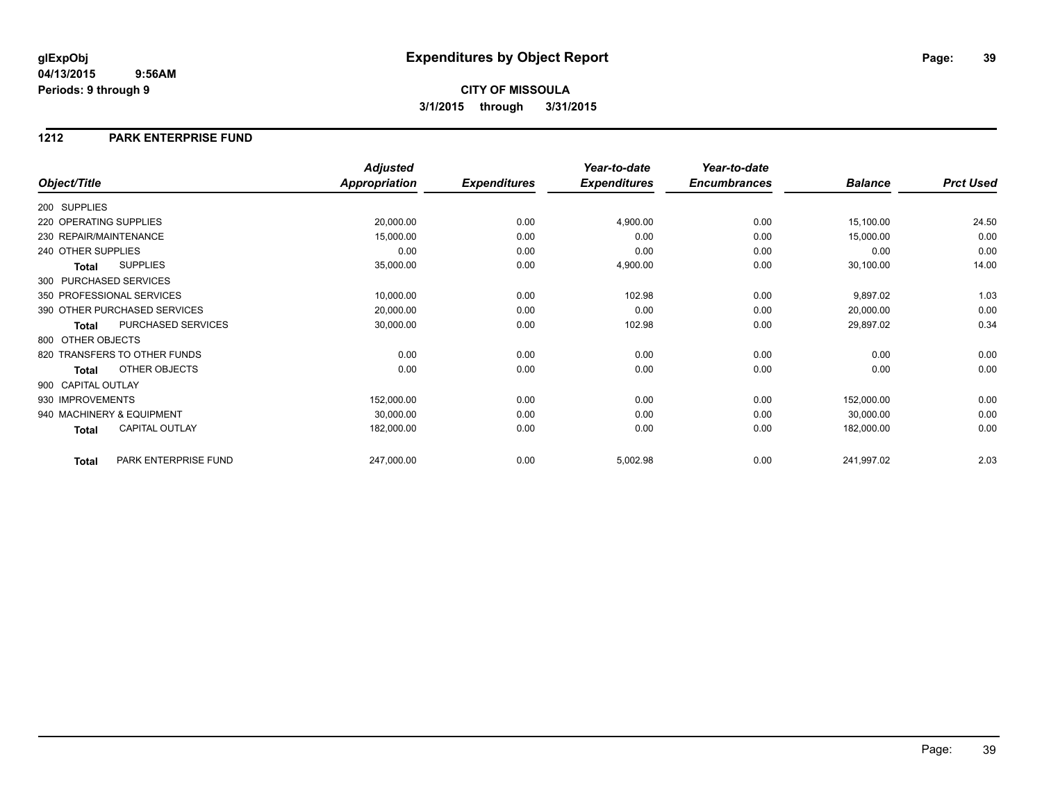## **CITY OF MISSOULA 3/1/2015 through 3/31/2015**

### **1212 PARK ENTERPRISE FUND**

|                                      | <b>Adjusted</b>      |                     | Year-to-date        | Year-to-date        |                |                  |
|--------------------------------------|----------------------|---------------------|---------------------|---------------------|----------------|------------------|
| Object/Title                         | <b>Appropriation</b> | <b>Expenditures</b> | <b>Expenditures</b> | <b>Encumbrances</b> | <b>Balance</b> | <b>Prct Used</b> |
| 200 SUPPLIES                         |                      |                     |                     |                     |                |                  |
| 220 OPERATING SUPPLIES               | 20,000.00            | 0.00                | 4,900.00            | 0.00                | 15,100.00      | 24.50            |
| 230 REPAIR/MAINTENANCE               | 15,000.00            | 0.00                | 0.00                | 0.00                | 15,000.00      | 0.00             |
| 240 OTHER SUPPLIES                   | 0.00                 | 0.00                | 0.00                | 0.00                | 0.00           | 0.00             |
| <b>SUPPLIES</b><br>Total             | 35,000.00            | 0.00                | 4,900.00            | 0.00                | 30,100.00      | 14.00            |
| 300 PURCHASED SERVICES               |                      |                     |                     |                     |                |                  |
| 350 PROFESSIONAL SERVICES            | 10,000.00            | 0.00                | 102.98              | 0.00                | 9,897.02       | 1.03             |
| 390 OTHER PURCHASED SERVICES         | 20,000.00            | 0.00                | 0.00                | 0.00                | 20,000.00      | 0.00             |
| PURCHASED SERVICES<br>Total          | 30,000.00            | 0.00                | 102.98              | 0.00                | 29,897.02      | 0.34             |
| 800 OTHER OBJECTS                    |                      |                     |                     |                     |                |                  |
| 820 TRANSFERS TO OTHER FUNDS         | 0.00                 | 0.00                | 0.00                | 0.00                | 0.00           | 0.00             |
| OTHER OBJECTS<br>Total               | 0.00                 | 0.00                | 0.00                | 0.00                | 0.00           | 0.00             |
| 900 CAPITAL OUTLAY                   |                      |                     |                     |                     |                |                  |
| 930 IMPROVEMENTS                     | 152,000.00           | 0.00                | 0.00                | 0.00                | 152,000.00     | 0.00             |
| 940 MACHINERY & EQUIPMENT            | 30,000.00            | 0.00                | 0.00                | 0.00                | 30,000.00      | 0.00             |
| <b>CAPITAL OUTLAY</b><br>Total       | 182,000.00           | 0.00                | 0.00                | 0.00                | 182,000.00     | 0.00             |
| PARK ENTERPRISE FUND<br><b>Total</b> | 247,000.00           | 0.00                | 5,002.98            | 0.00                | 241,997.02     | 2.03             |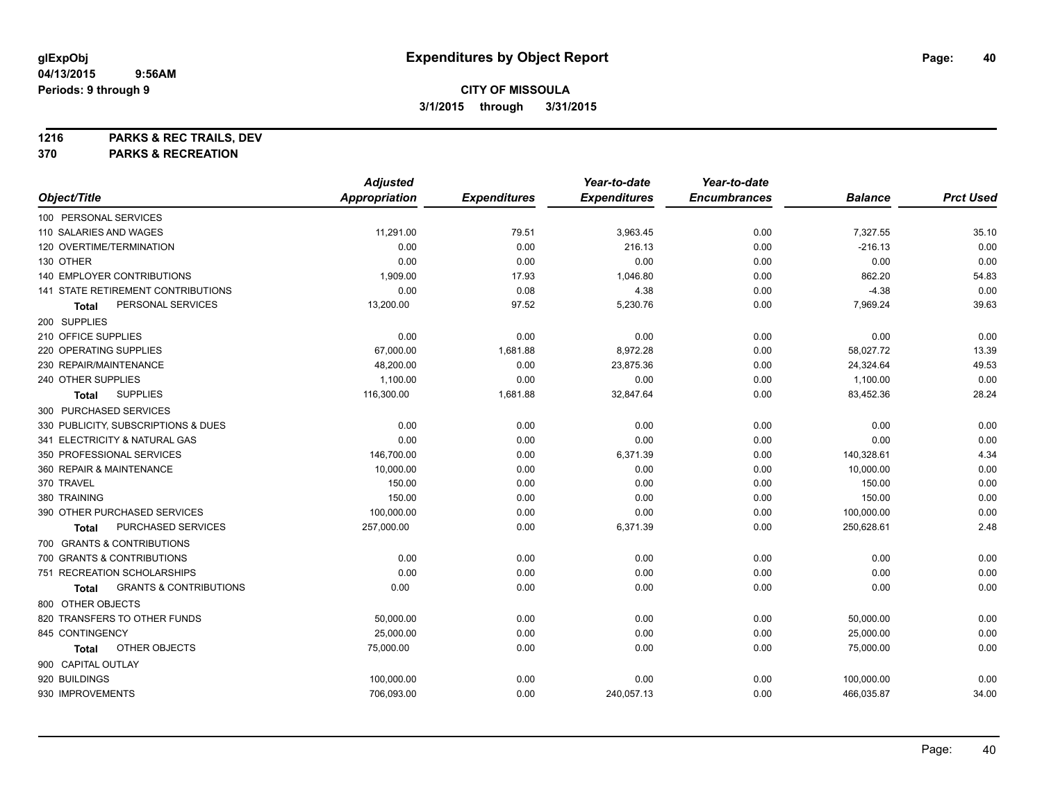**1216 PARKS & REC TRAILS, DEV**

**370 PARKS & RECREATION**

|                                            | <b>Adjusted</b>      |                     | Year-to-date        | Year-to-date        |                |                  |
|--------------------------------------------|----------------------|---------------------|---------------------|---------------------|----------------|------------------|
| Object/Title                               | <b>Appropriation</b> | <b>Expenditures</b> | <b>Expenditures</b> | <b>Encumbrances</b> | <b>Balance</b> | <b>Prct Used</b> |
| 100 PERSONAL SERVICES                      |                      |                     |                     |                     |                |                  |
| 110 SALARIES AND WAGES                     | 11,291.00            | 79.51               | 3,963.45            | 0.00                | 7,327.55       | 35.10            |
| 120 OVERTIME/TERMINATION                   | 0.00                 | 0.00                | 216.13              | 0.00                | $-216.13$      | 0.00             |
| 130 OTHER                                  | 0.00                 | 0.00                | 0.00                | 0.00                | 0.00           | 0.00             |
| <b>140 EMPLOYER CONTRIBUTIONS</b>          | 1,909.00             | 17.93               | 1,046.80            | 0.00                | 862.20         | 54.83            |
| 141 STATE RETIREMENT CONTRIBUTIONS         | 0.00                 | 0.08                | 4.38                | 0.00                | $-4.38$        | 0.00             |
| PERSONAL SERVICES<br>Total                 | 13,200.00            | 97.52               | 5,230.76            | 0.00                | 7,969.24       | 39.63            |
| 200 SUPPLIES                               |                      |                     |                     |                     |                |                  |
| 210 OFFICE SUPPLIES                        | 0.00                 | 0.00                | 0.00                | 0.00                | 0.00           | 0.00             |
| 220 OPERATING SUPPLIES                     | 67,000.00            | 1,681.88            | 8,972.28            | 0.00                | 58,027.72      | 13.39            |
| 230 REPAIR/MAINTENANCE                     | 48,200.00            | 0.00                | 23,875.36           | 0.00                | 24,324.64      | 49.53            |
| 240 OTHER SUPPLIES                         | 1,100.00             | 0.00                | 0.00                | 0.00                | 1,100.00       | 0.00             |
| <b>SUPPLIES</b><br>Total                   | 116,300.00           | 1,681.88            | 32,847.64           | 0.00                | 83,452.36      | 28.24            |
| 300 PURCHASED SERVICES                     |                      |                     |                     |                     |                |                  |
| 330 PUBLICITY, SUBSCRIPTIONS & DUES        | 0.00                 | 0.00                | 0.00                | 0.00                | 0.00           | 0.00             |
| 341 ELECTRICITY & NATURAL GAS              | 0.00                 | 0.00                | 0.00                | 0.00                | 0.00           | 0.00             |
| 350 PROFESSIONAL SERVICES                  | 146,700.00           | 0.00                | 6,371.39            | 0.00                | 140,328.61     | 4.34             |
| 360 REPAIR & MAINTENANCE                   | 10,000.00            | 0.00                | 0.00                | 0.00                | 10,000.00      | 0.00             |
| 370 TRAVEL                                 | 150.00               | 0.00                | 0.00                | 0.00                | 150.00         | 0.00             |
| 380 TRAINING                               | 150.00               | 0.00                | 0.00                | 0.00                | 150.00         | 0.00             |
| 390 OTHER PURCHASED SERVICES               | 100,000.00           | 0.00                | 0.00                | 0.00                | 100,000.00     | 0.00             |
| PURCHASED SERVICES<br>Total                | 257,000.00           | 0.00                | 6,371.39            | 0.00                | 250,628.61     | 2.48             |
| 700 GRANTS & CONTRIBUTIONS                 |                      |                     |                     |                     |                |                  |
| 700 GRANTS & CONTRIBUTIONS                 | 0.00                 | 0.00                | 0.00                | 0.00                | 0.00           | 0.00             |
| 751 RECREATION SCHOLARSHIPS                | 0.00                 | 0.00                | 0.00                | 0.00                | 0.00           | 0.00             |
| <b>GRANTS &amp; CONTRIBUTIONS</b><br>Total | 0.00                 | 0.00                | 0.00                | 0.00                | 0.00           | 0.00             |
| 800 OTHER OBJECTS                          |                      |                     |                     |                     |                |                  |
| 820 TRANSFERS TO OTHER FUNDS               | 50,000.00            | 0.00                | 0.00                | 0.00                | 50,000.00      | 0.00             |
| 845 CONTINGENCY                            | 25,000.00            | 0.00                | 0.00                | 0.00                | 25,000.00      | 0.00             |
| OTHER OBJECTS<br>Total                     | 75,000.00            | 0.00                | 0.00                | 0.00                | 75,000.00      | 0.00             |
| 900 CAPITAL OUTLAY                         |                      |                     |                     |                     |                |                  |
| 920 BUILDINGS                              | 100,000.00           | 0.00                | 0.00                | 0.00                | 100,000.00     | 0.00             |
| 930 IMPROVEMENTS                           | 706,093.00           | 0.00                | 240,057.13          | 0.00                | 466,035.87     | 34.00            |
|                                            |                      |                     |                     |                     |                |                  |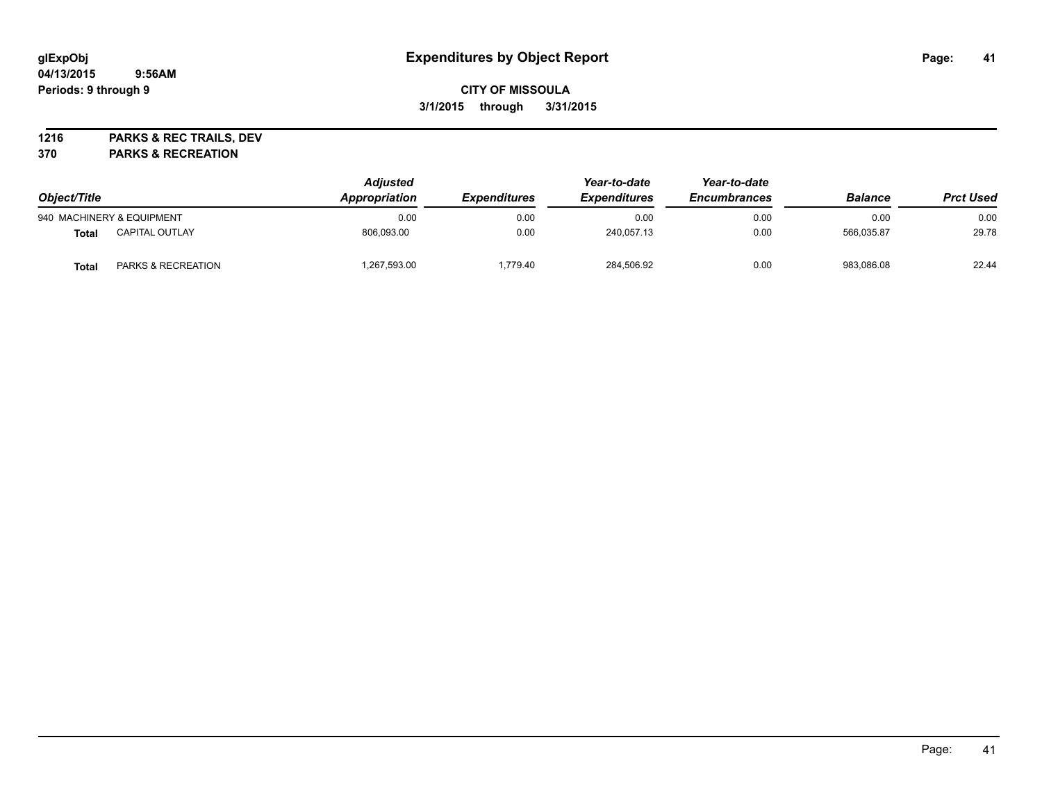## **CITY OF MISSOULA 3/1/2015 through 3/31/2015**

**1216 PARKS & REC TRAILS, DEV**

**370 PARKS & RECREATION**

| Object/Title |                               | <b>Adjusted</b><br>Appropriation | <i><b>Expenditures</b></i> | Year-to-date<br><b>Expenditures</b> | Year-to-date<br>Encumbrances | <b>Balance</b> | <b>Prct Used</b> |
|--------------|-------------------------------|----------------------------------|----------------------------|-------------------------------------|------------------------------|----------------|------------------|
|              | 940 MACHINERY & EQUIPMENT     | 0.00                             | 0.00                       | 0.00                                | 0.00                         | 0.00           | 0.00             |
| Total        | <b>CAPITAL OUTLAY</b>         | 806.093.00                       | 0.00                       | 240.057.13                          | 0.00                         | 566.035.87     | 29.78            |
| <b>Total</b> | <b>PARKS &amp; RECREATION</b> | ,267,593.00                      | 1.779.40                   | 284,506.92                          | 0.00                         | 983.086.08     | 22.44            |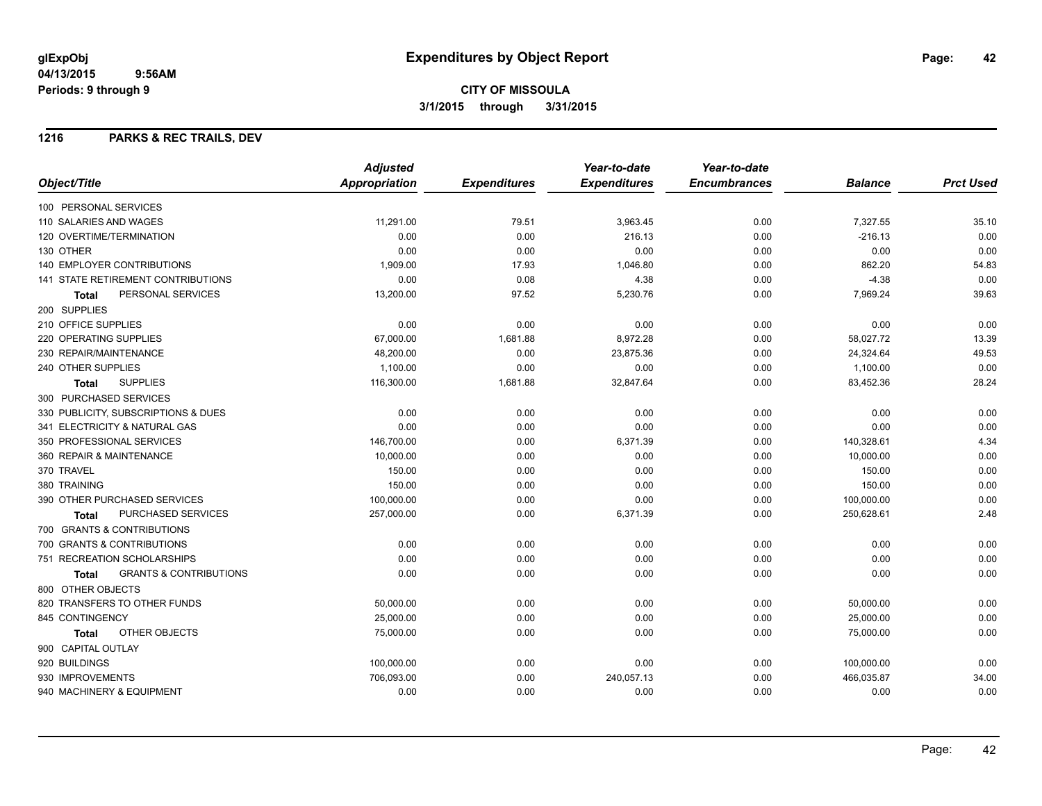### **1216 PARKS & REC TRAILS, DEV**

|                                                   | <b>Adjusted</b>      |                     | Year-to-date        | Year-to-date        |                |                  |
|---------------------------------------------------|----------------------|---------------------|---------------------|---------------------|----------------|------------------|
| Object/Title                                      | <b>Appropriation</b> | <b>Expenditures</b> | <b>Expenditures</b> | <b>Encumbrances</b> | <b>Balance</b> | <b>Prct Used</b> |
| 100 PERSONAL SERVICES                             |                      |                     |                     |                     |                |                  |
| 110 SALARIES AND WAGES                            | 11.291.00            | 79.51               | 3,963.45            | 0.00                | 7,327.55       | 35.10            |
| 120 OVERTIME/TERMINATION                          | 0.00                 | 0.00                | 216.13              | 0.00                | $-216.13$      | 0.00             |
| 130 OTHER                                         | 0.00                 | 0.00                | 0.00                | 0.00                | 0.00           | 0.00             |
| <b>140 EMPLOYER CONTRIBUTIONS</b>                 | 1,909.00             | 17.93               | 1,046.80            | 0.00                | 862.20         | 54.83            |
| <b>141 STATE RETIREMENT CONTRIBUTIONS</b>         | 0.00                 | 0.08                | 4.38                | 0.00                | $-4.38$        | 0.00             |
| PERSONAL SERVICES<br>Total                        | 13,200.00            | 97.52               | 5,230.76            | 0.00                | 7,969.24       | 39.63            |
| 200 SUPPLIES                                      |                      |                     |                     |                     |                |                  |
| 210 OFFICE SUPPLIES                               | 0.00                 | 0.00                | 0.00                | 0.00                | 0.00           | 0.00             |
| 220 OPERATING SUPPLIES                            | 67,000.00            | 1,681.88            | 8,972.28            | 0.00                | 58,027.72      | 13.39            |
| 230 REPAIR/MAINTENANCE                            | 48,200.00            | 0.00                | 23,875.36           | 0.00                | 24,324.64      | 49.53            |
| 240 OTHER SUPPLIES                                | 1,100.00             | 0.00                | 0.00                | 0.00                | 1,100.00       | 0.00             |
| <b>SUPPLIES</b><br><b>Total</b>                   | 116,300.00           | 1,681.88            | 32,847.64           | 0.00                | 83,452.36      | 28.24            |
| 300 PURCHASED SERVICES                            |                      |                     |                     |                     |                |                  |
| 330 PUBLICITY, SUBSCRIPTIONS & DUES               | 0.00                 | 0.00                | 0.00                | 0.00                | 0.00           | 0.00             |
| 341 ELECTRICITY & NATURAL GAS                     | 0.00                 | 0.00                | 0.00                | 0.00                | 0.00           | 0.00             |
| 350 PROFESSIONAL SERVICES                         | 146,700.00           | 0.00                | 6,371.39            | 0.00                | 140,328.61     | 4.34             |
| 360 REPAIR & MAINTENANCE                          | 10,000.00            | 0.00                | 0.00                | 0.00                | 10,000.00      | 0.00             |
| 370 TRAVEL                                        | 150.00               | 0.00                | 0.00                | 0.00                | 150.00         | 0.00             |
| 380 TRAINING                                      | 150.00               | 0.00                | 0.00                | 0.00                | 150.00         | 0.00             |
| 390 OTHER PURCHASED SERVICES                      | 100,000.00           | 0.00                | 0.00                | 0.00                | 100,000.00     | 0.00             |
| <b>PURCHASED SERVICES</b><br>Total                | 257,000.00           | 0.00                | 6,371.39            | 0.00                | 250,628.61     | 2.48             |
| 700 GRANTS & CONTRIBUTIONS                        |                      |                     |                     |                     |                |                  |
| 700 GRANTS & CONTRIBUTIONS                        | 0.00                 | 0.00                | 0.00                | 0.00                | 0.00           | 0.00             |
| 751 RECREATION SCHOLARSHIPS                       | 0.00                 | 0.00                | 0.00                | 0.00                | 0.00           | 0.00             |
| <b>GRANTS &amp; CONTRIBUTIONS</b><br><b>Total</b> | 0.00                 | 0.00                | 0.00                | 0.00                | 0.00           | 0.00             |
| 800 OTHER OBJECTS                                 |                      |                     |                     |                     |                |                  |
| 820 TRANSFERS TO OTHER FUNDS                      | 50,000.00            | 0.00                | 0.00                | 0.00                | 50,000.00      | 0.00             |
| 845 CONTINGENCY                                   | 25,000.00            | 0.00                | 0.00                | 0.00                | 25,000.00      | 0.00             |
| OTHER OBJECTS<br>Total                            | 75,000.00            | 0.00                | 0.00                | 0.00                | 75,000.00      | 0.00             |
| 900 CAPITAL OUTLAY                                |                      |                     |                     |                     |                |                  |
| 920 BUILDINGS                                     | 100,000.00           | 0.00                | 0.00                | 0.00                | 100,000.00     | 0.00             |
| 930 IMPROVEMENTS                                  | 706,093.00           | 0.00                | 240,057.13          | 0.00                | 466,035.87     | 34.00            |
| 940 MACHINERY & EQUIPMENT                         | 0.00                 | 0.00                | 0.00                | 0.00                | 0.00           | 0.00             |
|                                                   |                      |                     |                     |                     |                |                  |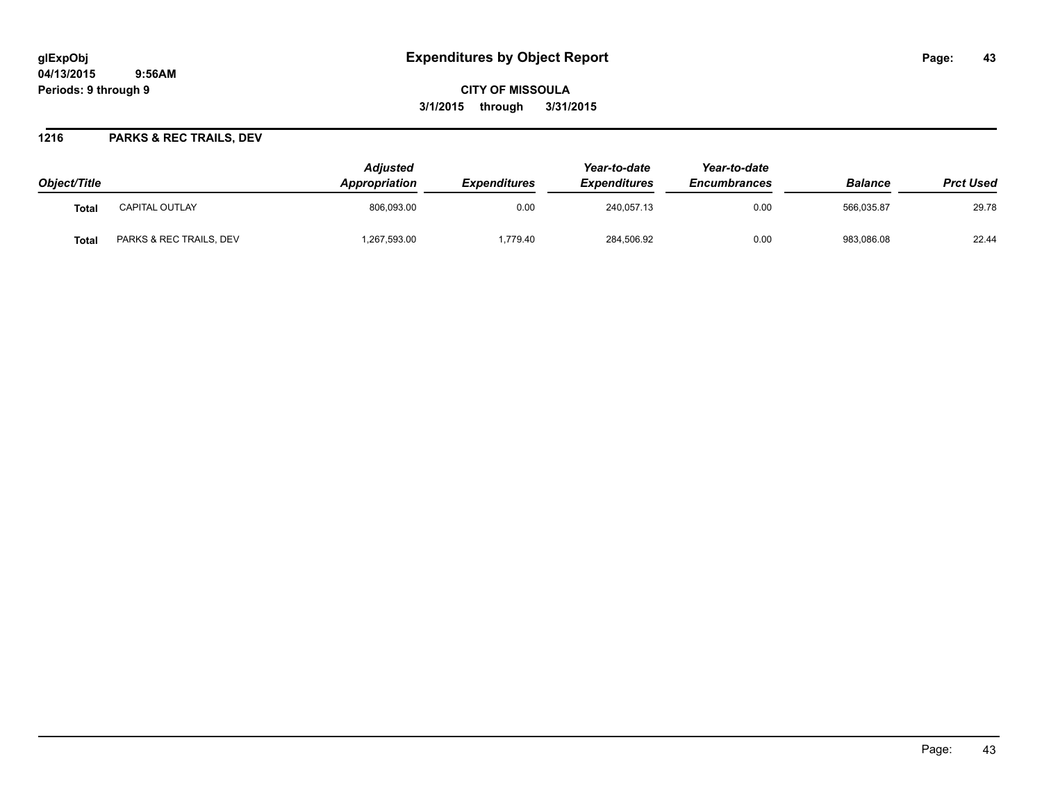**CITY OF MISSOULA 3/1/2015 through 3/31/2015**

### **1216 PARKS & REC TRAILS, DEV**

| Object/Title |                         | <b>Adiusted</b><br><b>Appropriation</b> | <i><b>Expenditures</b></i> | Year-to-date<br><b>Expenditures</b> | Year-to-date<br><b>Encumbrances</b> | <b>Balance</b> | <b>Prct Used</b> |
|--------------|-------------------------|-----------------------------------------|----------------------------|-------------------------------------|-------------------------------------|----------------|------------------|
| Tota.        | <b>CAPITAL OUTLAY</b>   | 806,093.00                              | 0.00                       | 240.057.13                          | 0.00                                | 566,035.87     | 29.78            |
| Tota.        | PARKS & REC TRAILS, DEV | ,267,593.00                             | ,779.40                    | 284,506.92                          | 0.00                                | 983,086.08     | 22.44            |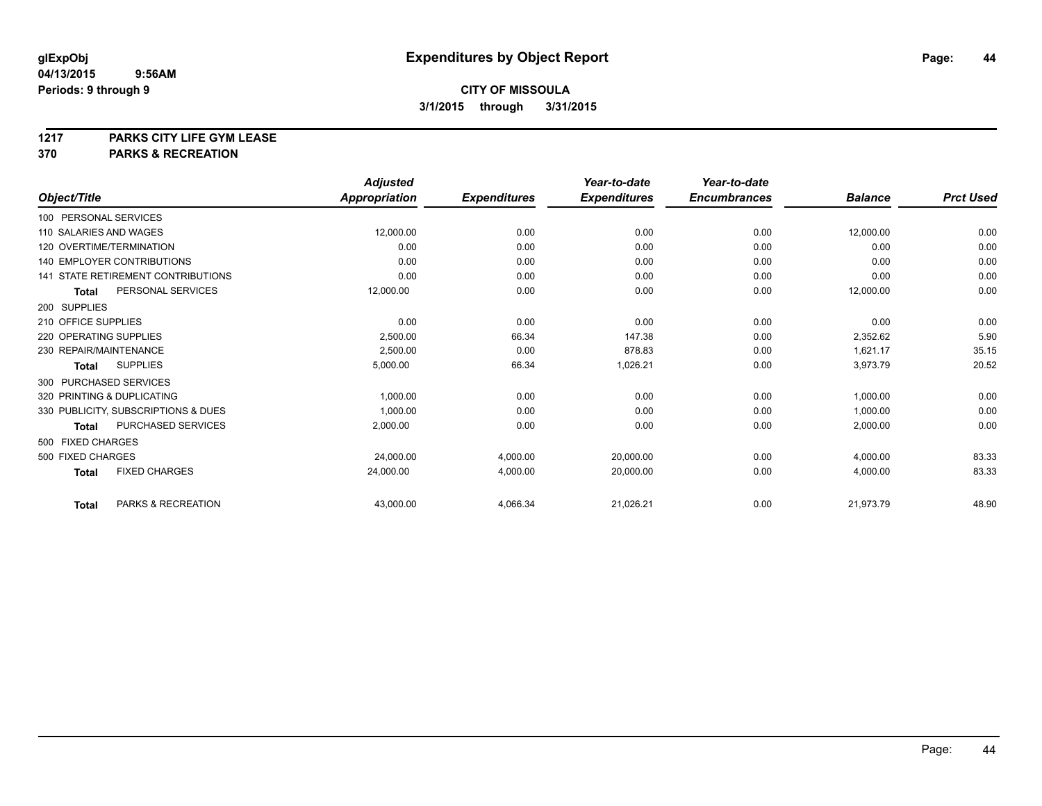# **1217 PARKS CITY LIFE GYM LEASE**

## **370 PARKS & RECREATION**

|                        |                                           | <b>Adjusted</b>      |                     | Year-to-date        | Year-to-date        |                |                  |
|------------------------|-------------------------------------------|----------------------|---------------------|---------------------|---------------------|----------------|------------------|
| Object/Title           |                                           | <b>Appropriation</b> | <b>Expenditures</b> | <b>Expenditures</b> | <b>Encumbrances</b> | <b>Balance</b> | <b>Prct Used</b> |
| 100 PERSONAL SERVICES  |                                           |                      |                     |                     |                     |                |                  |
| 110 SALARIES AND WAGES |                                           | 12,000.00            | 0.00                | 0.00                | 0.00                | 12,000.00      | 0.00             |
|                        | 120 OVERTIME/TERMINATION                  | 0.00                 | 0.00                | 0.00                | 0.00                | 0.00           | 0.00             |
|                        | 140 EMPLOYER CONTRIBUTIONS                | 0.00                 | 0.00                | 0.00                | 0.00                | 0.00           | 0.00             |
|                        | <b>141 STATE RETIREMENT CONTRIBUTIONS</b> | 0.00                 | 0.00                | 0.00                | 0.00                | 0.00           | 0.00             |
| <b>Total</b>           | PERSONAL SERVICES                         | 12,000.00            | 0.00                | 0.00                | 0.00                | 12,000.00      | 0.00             |
| 200 SUPPLIES           |                                           |                      |                     |                     |                     |                |                  |
| 210 OFFICE SUPPLIES    |                                           | 0.00                 | 0.00                | 0.00                | 0.00                | 0.00           | 0.00             |
| 220 OPERATING SUPPLIES |                                           | 2,500.00             | 66.34               | 147.38              | 0.00                | 2,352.62       | 5.90             |
| 230 REPAIR/MAINTENANCE |                                           | 2,500.00             | 0.00                | 878.83              | 0.00                | 1,621.17       | 35.15            |
| <b>Total</b>           | <b>SUPPLIES</b>                           | 5,000.00             | 66.34               | 1,026.21            | 0.00                | 3,973.79       | 20.52            |
| 300 PURCHASED SERVICES |                                           |                      |                     |                     |                     |                |                  |
|                        | 320 PRINTING & DUPLICATING                | 1,000.00             | 0.00                | 0.00                | 0.00                | 1,000.00       | 0.00             |
|                        | 330 PUBLICITY, SUBSCRIPTIONS & DUES       | 1,000.00             | 0.00                | 0.00                | 0.00                | 1,000.00       | 0.00             |
| <b>Total</b>           | PURCHASED SERVICES                        | 2,000.00             | 0.00                | 0.00                | 0.00                | 2,000.00       | 0.00             |
| 500 FIXED CHARGES      |                                           |                      |                     |                     |                     |                |                  |
| 500 FIXED CHARGES      |                                           | 24,000.00            | 4,000.00            | 20,000.00           | 0.00                | 4,000.00       | 83.33            |
| <b>Total</b>           | <b>FIXED CHARGES</b>                      | 24,000.00            | 4,000.00            | 20,000.00           | 0.00                | 4,000.00       | 83.33            |
| <b>Total</b>           | PARKS & RECREATION                        | 43,000.00            | 4,066.34            | 21,026.21           | 0.00                | 21,973.79      | 48.90            |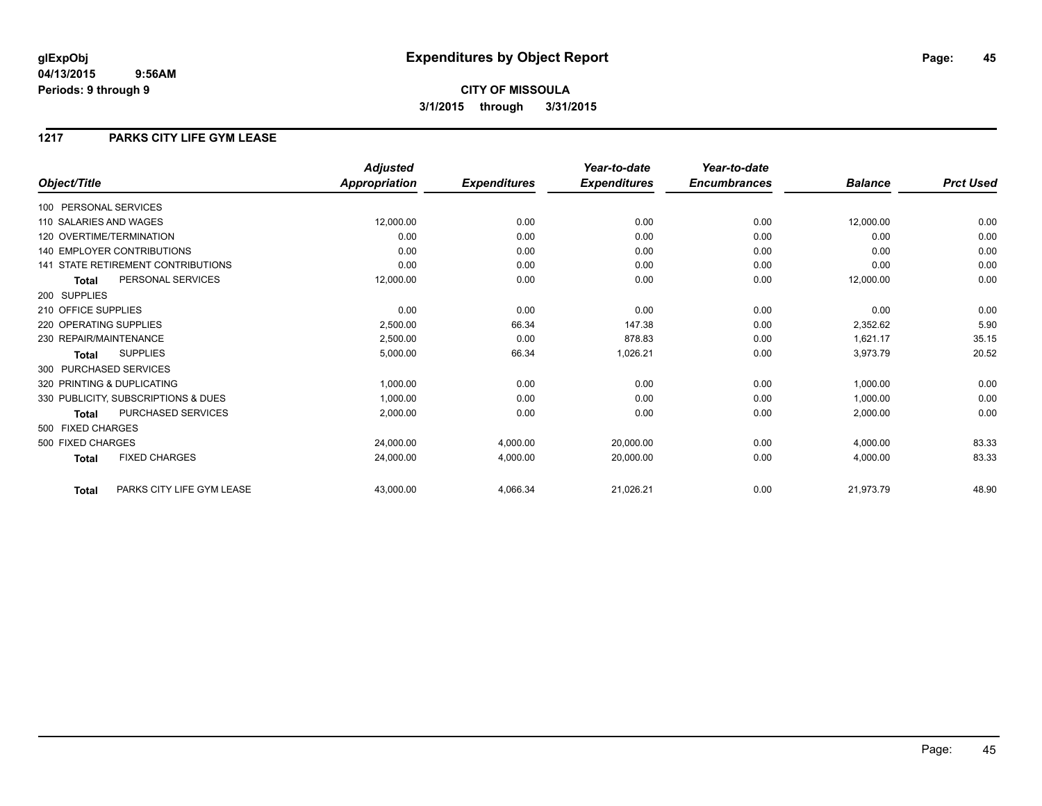**CITY OF MISSOULA 3/1/2015 through 3/31/2015**

### **1217 PARKS CITY LIFE GYM LEASE**

|                                           | <b>Adjusted</b>      |                     | Year-to-date        | Year-to-date        |                |                  |
|-------------------------------------------|----------------------|---------------------|---------------------|---------------------|----------------|------------------|
| Object/Title                              | <b>Appropriation</b> | <b>Expenditures</b> | <b>Expenditures</b> | <b>Encumbrances</b> | <b>Balance</b> | <b>Prct Used</b> |
| 100 PERSONAL SERVICES                     |                      |                     |                     |                     |                |                  |
| 110 SALARIES AND WAGES                    | 12,000.00            | 0.00                | 0.00                | 0.00                | 12,000.00      | 0.00             |
| 120 OVERTIME/TERMINATION                  | 0.00                 | 0.00                | 0.00                | 0.00                | 0.00           | 0.00             |
| <b>140 EMPLOYER CONTRIBUTIONS</b>         | 0.00                 | 0.00                | 0.00                | 0.00                | 0.00           | 0.00             |
| <b>141 STATE RETIREMENT CONTRIBUTIONS</b> | 0.00                 | 0.00                | 0.00                | 0.00                | 0.00           | 0.00             |
| PERSONAL SERVICES<br><b>Total</b>         | 12,000.00            | 0.00                | 0.00                | 0.00                | 12,000.00      | 0.00             |
| 200 SUPPLIES                              |                      |                     |                     |                     |                |                  |
| 210 OFFICE SUPPLIES                       | 0.00                 | 0.00                | 0.00                | 0.00                | 0.00           | 0.00             |
| 220 OPERATING SUPPLIES                    | 2,500.00             | 66.34               | 147.38              | 0.00                | 2,352.62       | 5.90             |
| 230 REPAIR/MAINTENANCE                    | 2,500.00             | 0.00                | 878.83              | 0.00                | 1,621.17       | 35.15            |
| <b>SUPPLIES</b><br><b>Total</b>           | 5,000.00             | 66.34               | 1,026.21            | 0.00                | 3,973.79       | 20.52            |
| 300 PURCHASED SERVICES                    |                      |                     |                     |                     |                |                  |
| 320 PRINTING & DUPLICATING                | 1,000.00             | 0.00                | 0.00                | 0.00                | 1,000.00       | 0.00             |
| 330 PUBLICITY, SUBSCRIPTIONS & DUES       | 1,000.00             | 0.00                | 0.00                | 0.00                | 1,000.00       | 0.00             |
| PURCHASED SERVICES<br><b>Total</b>        | 2,000.00             | 0.00                | 0.00                | 0.00                | 2,000.00       | 0.00             |
| 500 FIXED CHARGES                         |                      |                     |                     |                     |                |                  |
| 500 FIXED CHARGES                         | 24,000.00            | 4,000.00            | 20,000.00           | 0.00                | 4.000.00       | 83.33            |
| <b>FIXED CHARGES</b><br><b>Total</b>      | 24,000.00            | 4,000.00            | 20,000.00           | 0.00                | 4,000.00       | 83.33            |
| PARKS CITY LIFE GYM LEASE<br><b>Total</b> | 43,000.00            | 4,066.34            | 21,026.21           | 0.00                | 21,973.79      | 48.90            |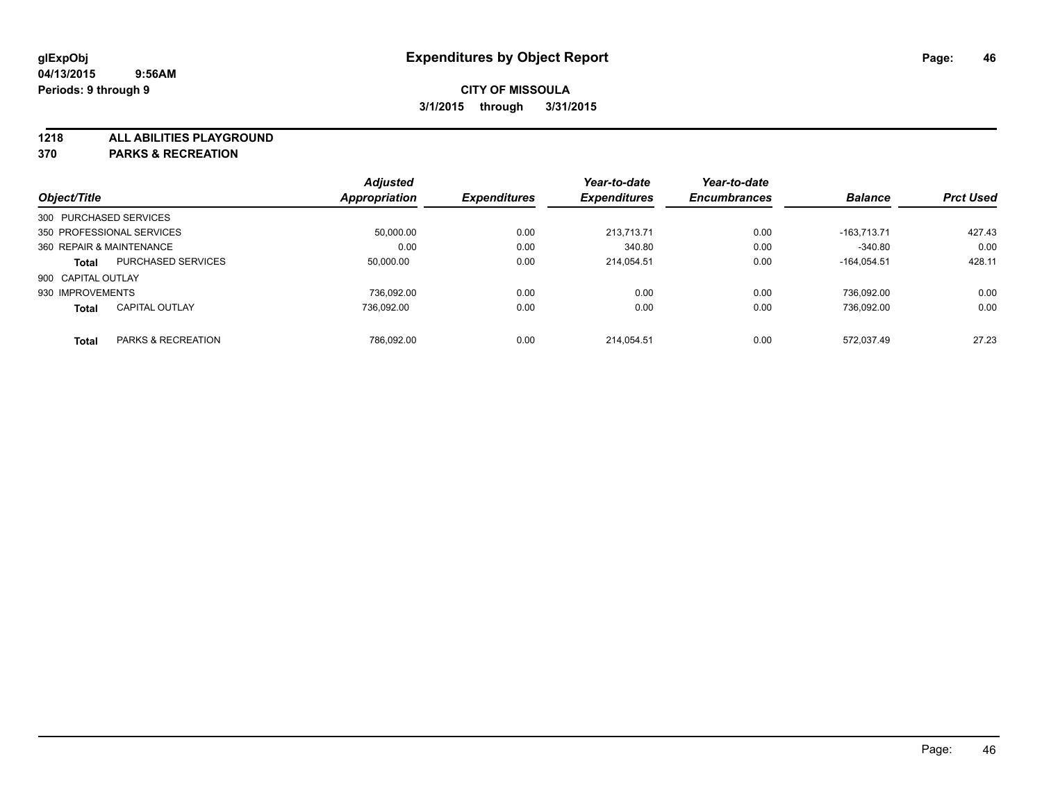**1218 ALL ABILITIES PLAYGROUND**

**370 PARKS & RECREATION**

|                          |                           | <b>Adjusted</b>      |                     | Year-to-date        | Year-to-date        |                |                  |
|--------------------------|---------------------------|----------------------|---------------------|---------------------|---------------------|----------------|------------------|
| Object/Title             |                           | <b>Appropriation</b> | <b>Expenditures</b> | <b>Expenditures</b> | <b>Encumbrances</b> | <b>Balance</b> | <b>Prct Used</b> |
| 300 PURCHASED SERVICES   |                           |                      |                     |                     |                     |                |                  |
|                          | 350 PROFESSIONAL SERVICES | 50.000.00            | 0.00                | 213.713.71          | 0.00                | $-163.713.71$  | 427.43           |
| 360 REPAIR & MAINTENANCE |                           | 0.00                 | 0.00                | 340.80              | 0.00                | $-340.80$      | 0.00             |
| <b>Total</b>             | <b>PURCHASED SERVICES</b> | 50,000.00            | 0.00                | 214.054.51          | 0.00                | $-164.054.51$  | 428.11           |
| 900 CAPITAL OUTLAY       |                           |                      |                     |                     |                     |                |                  |
| 930 IMPROVEMENTS         |                           | 736.092.00           | 0.00                | 0.00                | 0.00                | 736.092.00     | 0.00             |
| <b>Total</b>             | <b>CAPITAL OUTLAY</b>     | 736.092.00           | 0.00                | 0.00                | 0.00                | 736.092.00     | 0.00             |
| <b>Total</b>             | PARKS & RECREATION        | 786.092.00           | 0.00                | 214.054.51          | 0.00                | 572.037.49     | 27.23            |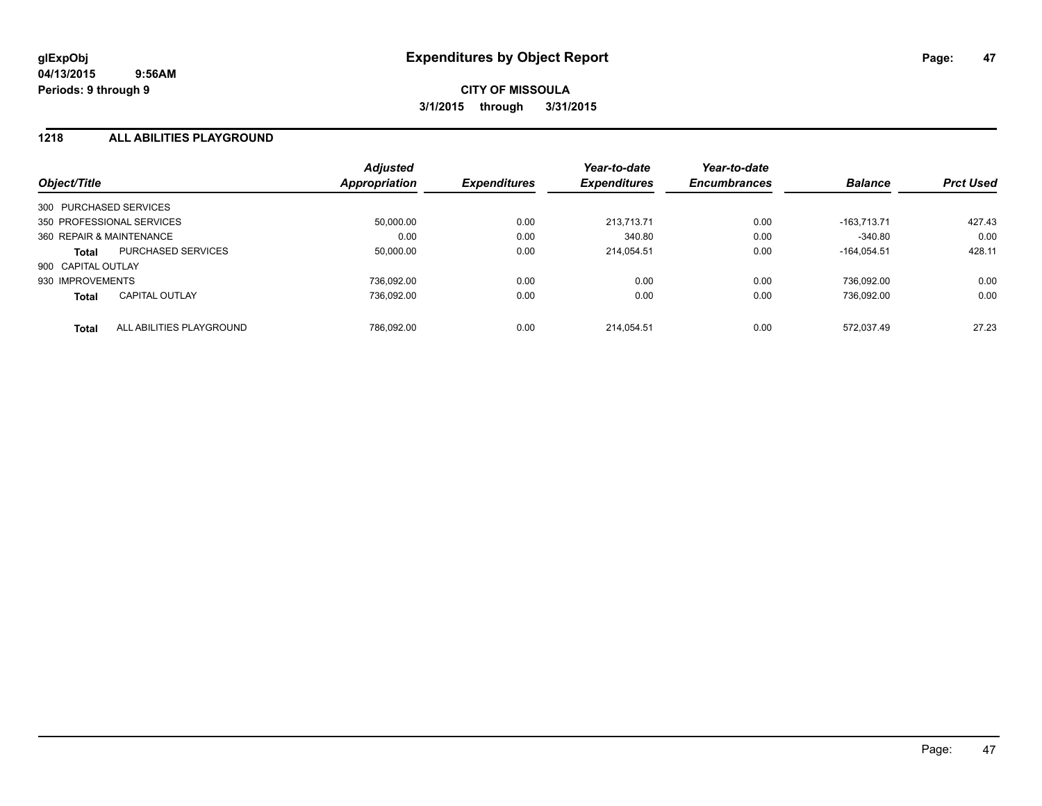### **1218 ALL ABILITIES PLAYGROUND**

| Object/Title           |                           | <b>Adjusted</b><br><b>Appropriation</b> | <b>Expenditures</b> | Year-to-date<br><b>Expenditures</b> | Year-to-date<br><b>Encumbrances</b> | <b>Balance</b> | <b>Prct Used</b> |
|------------------------|---------------------------|-----------------------------------------|---------------------|-------------------------------------|-------------------------------------|----------------|------------------|
| 300 PURCHASED SERVICES |                           |                                         |                     |                                     |                                     |                |                  |
|                        | 350 PROFESSIONAL SERVICES | 50.000.00                               | 0.00                | 213.713.71                          | 0.00                                | $-163.713.71$  | 427.43           |
|                        | 360 REPAIR & MAINTENANCE  | 0.00                                    | 0.00                | 340.80                              | 0.00                                | $-340.80$      | 0.00             |
| <b>Total</b>           | <b>PURCHASED SERVICES</b> | 50.000.00                               | 0.00                | 214.054.51                          | 0.00                                | $-164.054.51$  | 428.11           |
| 900 CAPITAL OUTLAY     |                           |                                         |                     |                                     |                                     |                |                  |
| 930 IMPROVEMENTS       |                           | 736.092.00                              | 0.00                | 0.00                                | 0.00                                | 736.092.00     | 0.00             |
| <b>Total</b>           | <b>CAPITAL OUTLAY</b>     | 736.092.00                              | 0.00                | 0.00                                | 0.00                                | 736.092.00     | 0.00             |
| <b>Total</b>           | ALL ABILITIES PLAYGROUND  | 786.092.00                              | 0.00                | 214.054.51                          | 0.00                                | 572.037.49     | 27.23            |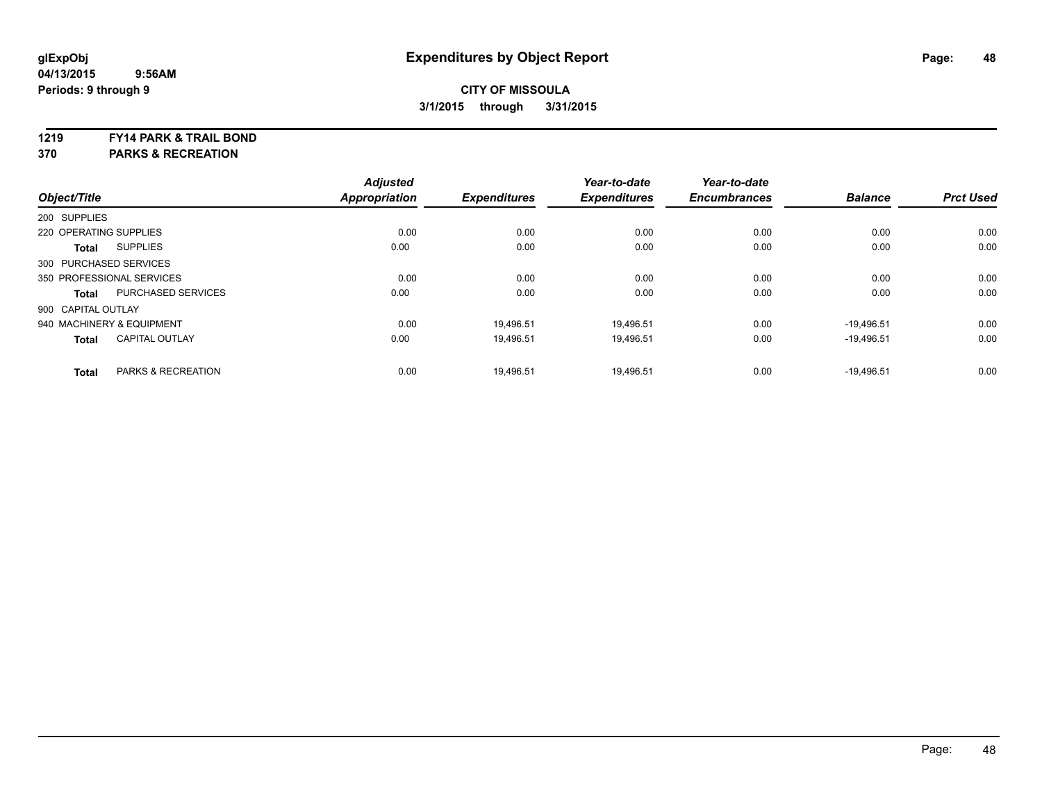#### **1219 FY14 PARK & TRAIL BOND**

**370 PARKS & RECREATION**

|                        |                           | <b>Adjusted</b> |                     | Year-to-date        | Year-to-date        |                |                  |
|------------------------|---------------------------|-----------------|---------------------|---------------------|---------------------|----------------|------------------|
| Object/Title           |                           | Appropriation   | <b>Expenditures</b> | <b>Expenditures</b> | <b>Encumbrances</b> | <b>Balance</b> | <b>Prct Used</b> |
| 200 SUPPLIES           |                           |                 |                     |                     |                     |                |                  |
| 220 OPERATING SUPPLIES |                           | 0.00            | 0.00                | 0.00                | 0.00                | 0.00           | 0.00             |
| <b>Total</b>           | <b>SUPPLIES</b>           | 0.00            | 0.00                | 0.00                | 0.00                | 0.00           | 0.00             |
| 300 PURCHASED SERVICES |                           |                 |                     |                     |                     |                |                  |
|                        | 350 PROFESSIONAL SERVICES | 0.00            | 0.00                | 0.00                | 0.00                | 0.00           | 0.00             |
| <b>Total</b>           | <b>PURCHASED SERVICES</b> | 0.00            | 0.00                | 0.00                | 0.00                | 0.00           | 0.00             |
| 900 CAPITAL OUTLAY     |                           |                 |                     |                     |                     |                |                  |
|                        | 940 MACHINERY & EQUIPMENT | 0.00            | 19.496.51           | 19.496.51           | 0.00                | $-19.496.51$   | 0.00             |
| <b>Total</b>           | <b>CAPITAL OUTLAY</b>     | 0.00            | 19,496.51           | 19,496.51           | 0.00                | $-19,496.51$   | 0.00             |
| <b>Total</b>           | PARKS & RECREATION        | 0.00            | 19,496.51           | 19.496.51           | 0.00                | $-19.496.51$   | 0.00             |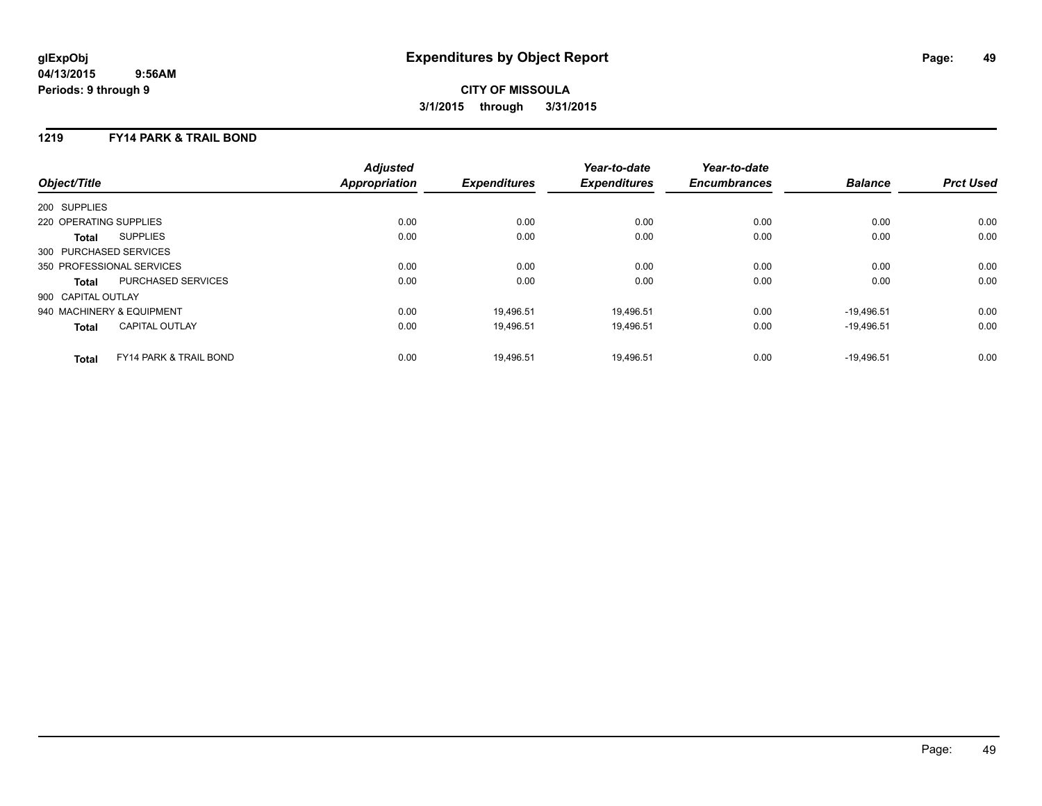### **1219 FY14 PARK & TRAIL BOND**

| Object/Title           |                                   | <b>Adjusted</b><br><b>Appropriation</b> | <b>Expenditures</b> | Year-to-date<br><b>Expenditures</b> | Year-to-date<br><b>Encumbrances</b> | <b>Balance</b> | <b>Prct Used</b> |
|------------------------|-----------------------------------|-----------------------------------------|---------------------|-------------------------------------|-------------------------------------|----------------|------------------|
|                        |                                   |                                         |                     |                                     |                                     |                |                  |
| 200 SUPPLIES           |                                   |                                         |                     |                                     |                                     |                |                  |
| 220 OPERATING SUPPLIES |                                   | 0.00                                    | 0.00                | 0.00                                | 0.00                                | 0.00           | 0.00             |
| <b>Total</b>           | <b>SUPPLIES</b>                   | 0.00                                    | 0.00                | 0.00                                | 0.00                                | 0.00           | 0.00             |
| 300 PURCHASED SERVICES |                                   |                                         |                     |                                     |                                     |                |                  |
|                        | 350 PROFESSIONAL SERVICES         | 0.00                                    | 0.00                | 0.00                                | 0.00                                | 0.00           | 0.00             |
| <b>Total</b>           | PURCHASED SERVICES                | 0.00                                    | 0.00                | 0.00                                | 0.00                                | 0.00           | 0.00             |
| 900 CAPITAL OUTLAY     |                                   |                                         |                     |                                     |                                     |                |                  |
|                        | 940 MACHINERY & EQUIPMENT         | 0.00                                    | 19.496.51           | 19.496.51                           | 0.00                                | $-19.496.51$   | 0.00             |
| <b>Total</b>           | <b>CAPITAL OUTLAY</b>             | 0.00                                    | 19,496.51           | 19,496.51                           | 0.00                                | $-19.496.51$   | 0.00             |
| <b>Total</b>           | <b>FY14 PARK &amp; TRAIL BOND</b> | 0.00                                    | 19.496.51           | 19.496.51                           | 0.00                                | $-19.496.51$   | 0.00             |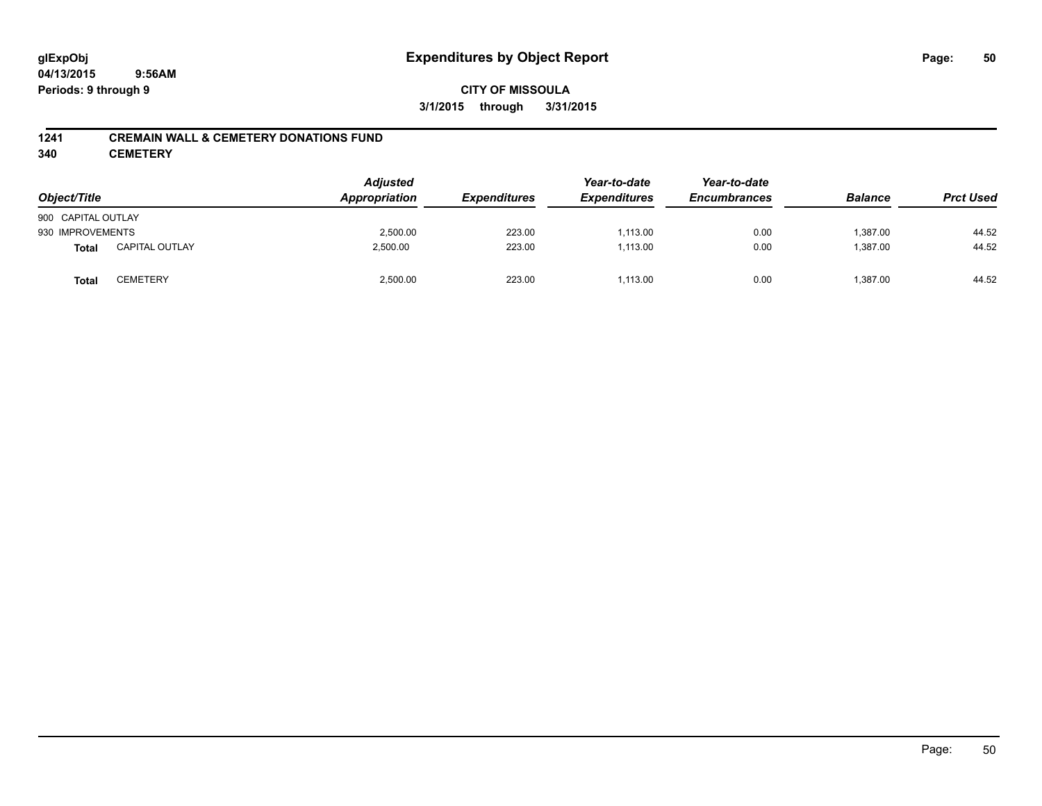### **CITY OF MISSOULA 3/1/2015 through 3/31/2015**

### **1241 CREMAIN WALL & CEMETERY DONATIONS FUND**

**340 CEMETERY**

| Object/Title       |                       | <b>Adjusted</b><br>Appropriation | <b>Expenditures</b> | Year-to-date<br><b>Expenditures</b> | Year-to-date<br><b>Encumbrances</b> | <b>Balance</b> | <b>Prct Used</b> |
|--------------------|-----------------------|----------------------------------|---------------------|-------------------------------------|-------------------------------------|----------------|------------------|
| 900 CAPITAL OUTLAY |                       |                                  |                     |                                     |                                     |                |                  |
| 930 IMPROVEMENTS   |                       | 2,500.00                         | 223.00              | 1,113.00                            | 0.00                                | 1,387.00       | 44.52            |
| <b>Total</b>       | <b>CAPITAL OUTLAY</b> | 2,500.00                         | 223.00              | 1,113.00                            | 0.00                                | 1,387.00       | 44.52            |
| <b>Total</b>       | CEMETERY              | 2,500.00                         | 223.00              | 1.113.00                            | 0.00                                | 1,387.00       | 44.52            |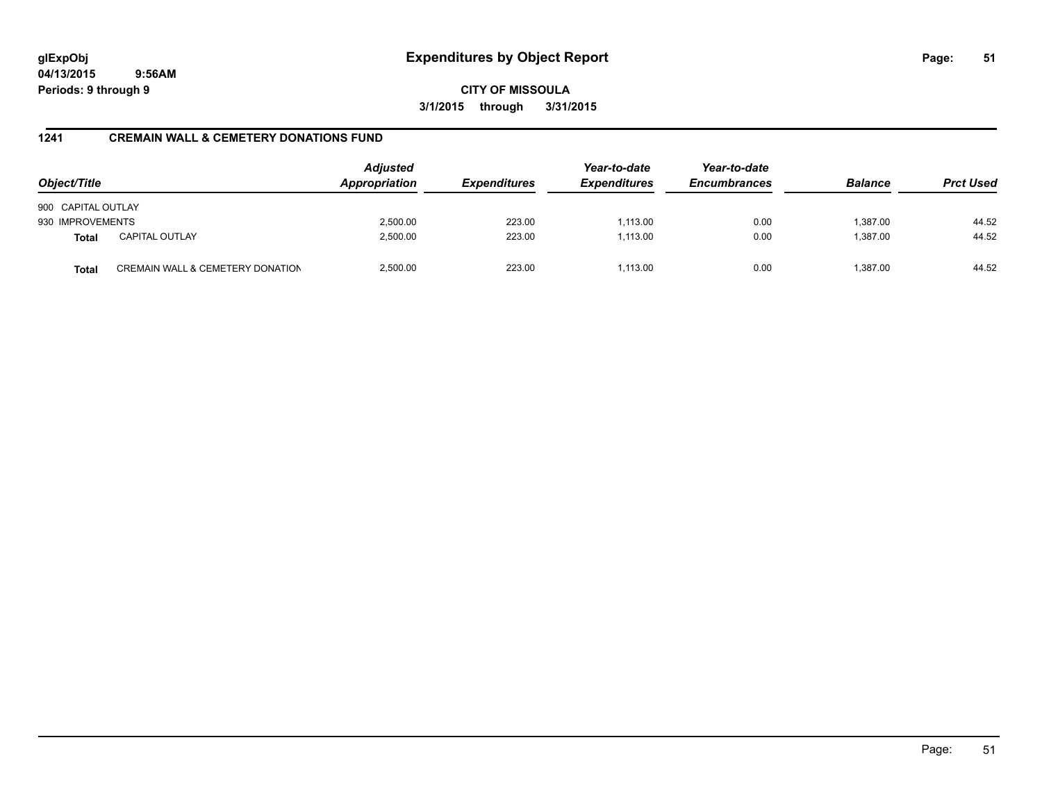**CITY OF MISSOULA 3/1/2015 through 3/31/2015**

### **1241 CREMAIN WALL & CEMETERY DONATIONS FUND**

| Object/Title       |                                  | <b>Adjusted</b><br>Appropriation | <b>Expenditures</b> | Year-to-date<br><b>Expenditures</b> | Year-to-date<br><b>Encumbrances</b> | <b>Balance</b> | <b>Prct Used</b> |
|--------------------|----------------------------------|----------------------------------|---------------------|-------------------------------------|-------------------------------------|----------------|------------------|
| 900 CAPITAL OUTLAY |                                  |                                  |                     |                                     |                                     |                |                  |
| 930 IMPROVEMENTS   |                                  | 2,500.00                         | 223.00              | 1,113.00                            | 0.00                                | 1,387.00       | 44.52            |
| <b>Total</b>       | <b>CAPITAL OUTLAY</b>            | 2,500.00                         | 223.00              | 1.113.00                            | 0.00                                | 1,387.00       | 44.52            |
| <b>Total</b>       | CREMAIN WALL & CEMETERY DONATION | 2,500.00                         | 223.00              | 1.113.00                            | 0.00                                | 1.387.00       | 44.52            |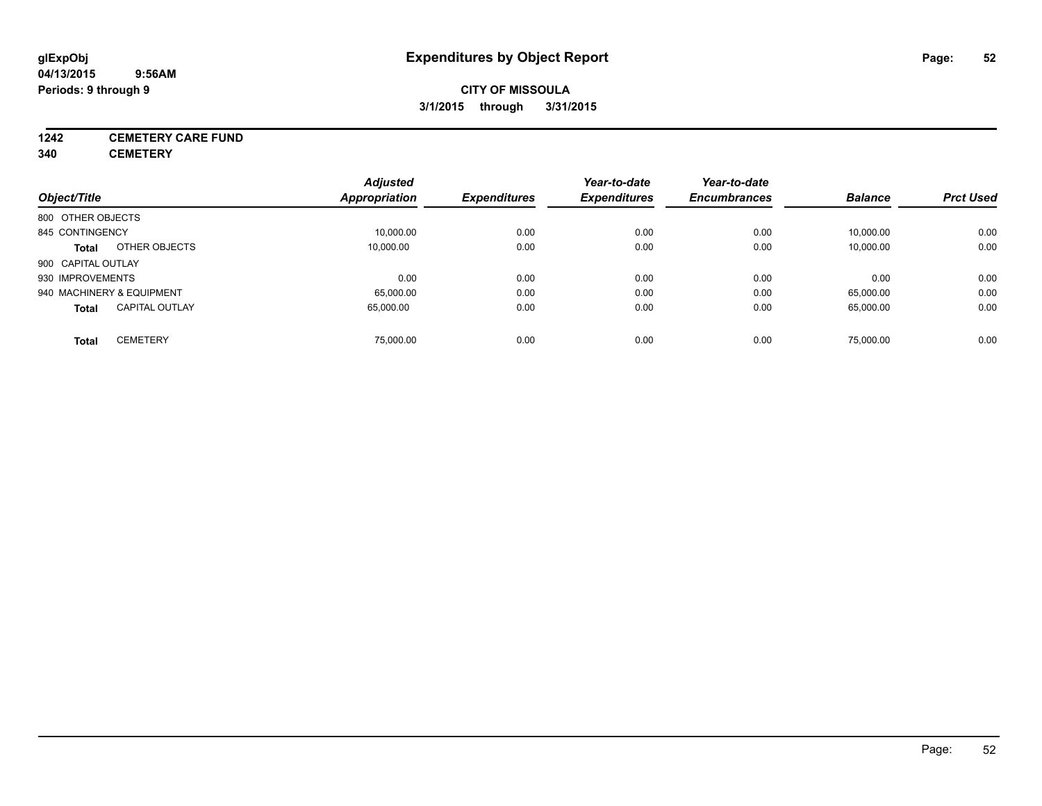## **CITY OF MISSOULA 3/1/2015 through 3/31/2015**

# **1242 CEMETERY CARE FUND**

**340 CEMETERY**

|                                       | <b>Adjusted</b> |                     | Year-to-date        | Year-to-date        |                |                  |
|---------------------------------------|-----------------|---------------------|---------------------|---------------------|----------------|------------------|
| Object/Title                          | Appropriation   | <b>Expenditures</b> | <b>Expenditures</b> | <b>Encumbrances</b> | <b>Balance</b> | <b>Prct Used</b> |
| 800 OTHER OBJECTS                     |                 |                     |                     |                     |                |                  |
| 845 CONTINGENCY                       | 10,000.00       | 0.00                | 0.00                | 0.00                | 10,000.00      | 0.00             |
| OTHER OBJECTS<br><b>Total</b>         | 10.000.00       | 0.00                | 0.00                | 0.00                | 10,000.00      | 0.00             |
| 900 CAPITAL OUTLAY                    |                 |                     |                     |                     |                |                  |
| 930 IMPROVEMENTS                      | 0.00            | 0.00                | 0.00                | 0.00                | 0.00           | 0.00             |
| 940 MACHINERY & EQUIPMENT             | 65,000.00       | 0.00                | 0.00                | 0.00                | 65,000.00      | 0.00             |
| <b>CAPITAL OUTLAY</b><br><b>Total</b> | 65.000.00       | 0.00                | 0.00                | 0.00                | 65,000.00      | 0.00             |
| <b>CEMETERY</b><br>Total              | 75.000.00       | 0.00                | 0.00                | 0.00                | 75,000.00      | 0.00             |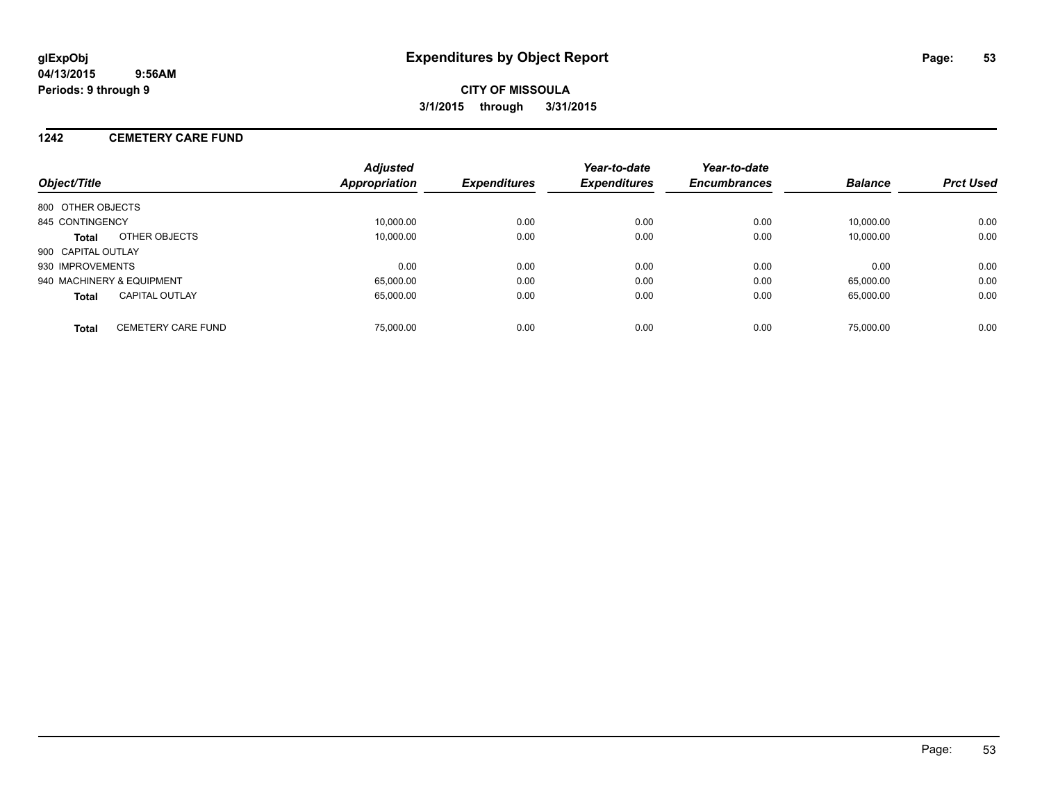### **1242 CEMETERY CARE FUND**

| Object/Title                              | <b>Adjusted</b><br>Appropriation | <b>Expenditures</b> | Year-to-date<br><b>Expenditures</b> | Year-to-date<br><b>Encumbrances</b> | <b>Balance</b> | <b>Prct Used</b> |
|-------------------------------------------|----------------------------------|---------------------|-------------------------------------|-------------------------------------|----------------|------------------|
| 800 OTHER OBJECTS                         |                                  |                     |                                     |                                     |                |                  |
| 845 CONTINGENCY                           | 10.000.00                        | 0.00                | 0.00                                | 0.00                                | 10.000.00      | 0.00             |
| OTHER OBJECTS<br>Total                    | 10.000.00                        | 0.00                | 0.00                                | 0.00                                | 10.000.00      | 0.00             |
| 900 CAPITAL OUTLAY                        |                                  |                     |                                     |                                     |                |                  |
| 930 IMPROVEMENTS                          | 0.00                             | 0.00                | 0.00                                | 0.00                                | 0.00           | 0.00             |
| 940 MACHINERY & EQUIPMENT                 | 65.000.00                        | 0.00                | 0.00                                | 0.00                                | 65.000.00      | 0.00             |
| <b>CAPITAL OUTLAY</b><br><b>Total</b>     | 65.000.00                        | 0.00                | 0.00                                | 0.00                                | 65.000.00      | 0.00             |
| <b>CEMETERY CARE FUND</b><br><b>Total</b> | 75,000.00                        | 0.00                | 0.00                                | 0.00                                | 75,000.00      | 0.00             |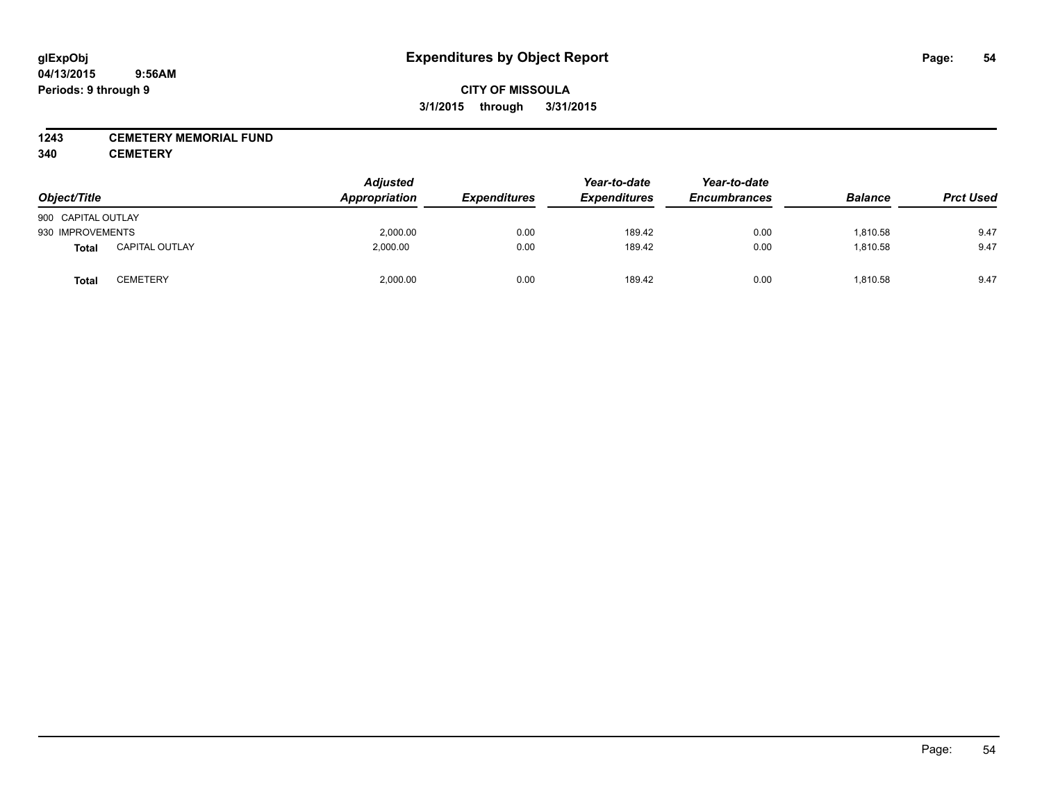**CITY OF MISSOULA 3/1/2015 through 3/31/2015**

### **1243 CEMETERY MEMORIAL FUND**

**340 CEMETERY**

| Object/Title       |                       | <b>Adjusted</b><br>Appropriation | <b>Expenditures</b> | Year-to-date<br><b>Expenditures</b> | Year-to-date<br><b>Encumbrances</b> | <b>Balance</b> | <b>Prct Used</b> |
|--------------------|-----------------------|----------------------------------|---------------------|-------------------------------------|-------------------------------------|----------------|------------------|
| 900 CAPITAL OUTLAY |                       |                                  |                     |                                     |                                     |                |                  |
| 930 IMPROVEMENTS   |                       | 2,000.00                         | 0.00                | 189.42                              | 0.00                                | 1,810.58       | 9.47             |
| <b>Total</b>       | <b>CAPITAL OUTLAY</b> | 2,000.00                         | 0.00                | 189.42                              | 0.00                                | 1,810.58       | 9.47             |
| Total              | <b>CEMETERY</b>       | 2,000.00                         | 0.00                | 189.42                              | 0.00                                | 1,810.58       | 9.47             |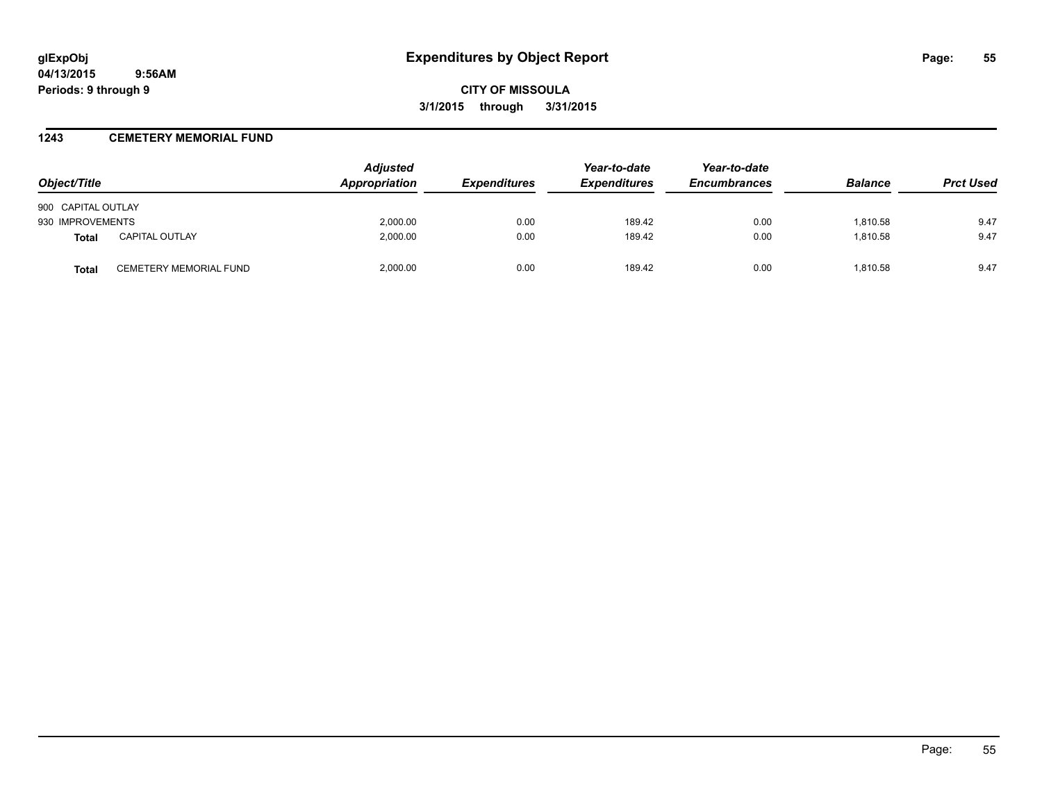**CITY OF MISSOULA 3/1/2015 through 3/31/2015**

### **1243 CEMETERY MEMORIAL FUND**

| Object/Title       |                        | <b>Adjusted</b><br>Appropriation | <b>Expenditures</b> | Year-to-date<br><b>Expenditures</b> | Year-to-date<br><b>Encumbrances</b> | <b>Balance</b> | <b>Prct Used</b> |
|--------------------|------------------------|----------------------------------|---------------------|-------------------------------------|-------------------------------------|----------------|------------------|
| 900 CAPITAL OUTLAY |                        |                                  |                     |                                     |                                     |                |                  |
| 930 IMPROVEMENTS   |                        | 2,000.00                         | 0.00                | 189.42                              | 0.00                                | 1,810.58       | 9.47             |
| <b>Total</b>       | <b>CAPITAL OUTLAY</b>  | 2,000.00                         | 0.00                | 189.42                              | 0.00                                | 1,810.58       | 9.47             |
| Total              | CEMETERY MEMORIAL FUND | 2.000.00                         | 0.00                | 189.42                              | 0.00                                | 1.810.58       | 9.47             |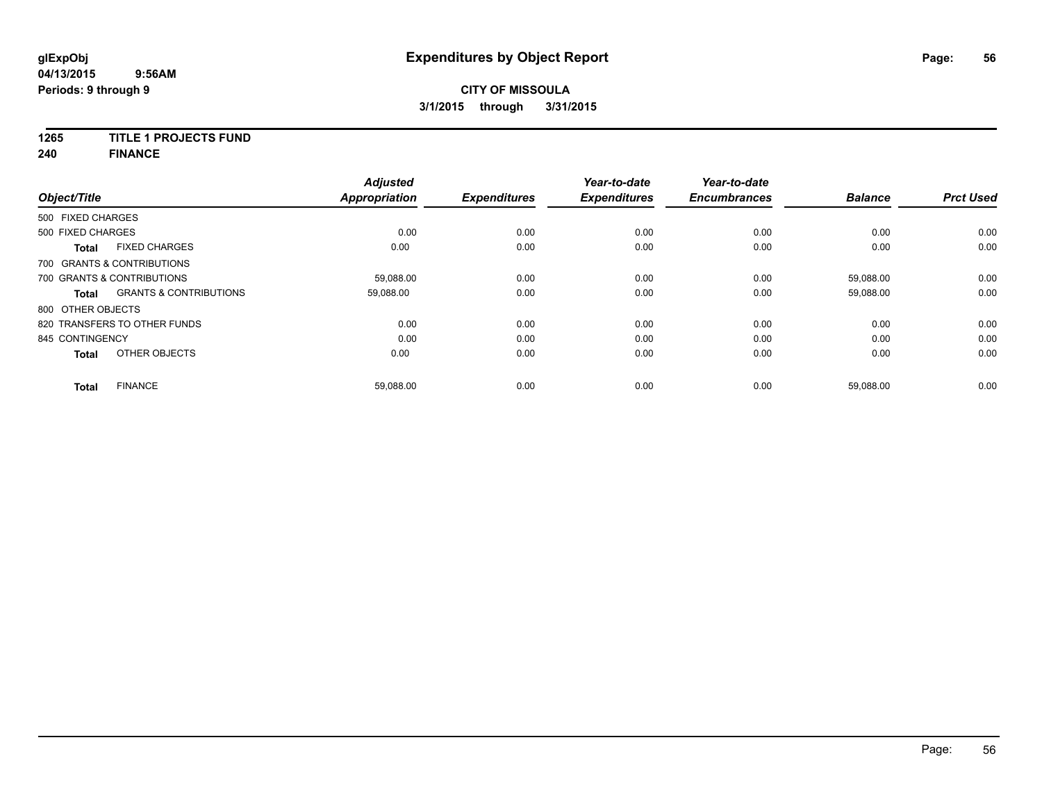## **1265 TITLE 1 PROJECTS FUND**

**240 FINANCE**

| Object/Title      |                                   | <b>Adjusted</b><br><b>Appropriation</b> | <b>Expenditures</b> | Year-to-date<br><b>Expenditures</b> | Year-to-date<br><b>Encumbrances</b> | <b>Balance</b> | <b>Prct Used</b> |
|-------------------|-----------------------------------|-----------------------------------------|---------------------|-------------------------------------|-------------------------------------|----------------|------------------|
| 500 FIXED CHARGES |                                   |                                         |                     |                                     |                                     |                |                  |
| 500 FIXED CHARGES |                                   | 0.00                                    | 0.00                | 0.00                                | 0.00                                | 0.00           | 0.00             |
| <b>Total</b>      | <b>FIXED CHARGES</b>              | 0.00                                    | 0.00                | 0.00                                | 0.00                                | 0.00           | 0.00             |
|                   | 700 GRANTS & CONTRIBUTIONS        |                                         |                     |                                     |                                     |                |                  |
|                   | 700 GRANTS & CONTRIBUTIONS        | 59,088.00                               | 0.00                | 0.00                                | 0.00                                | 59,088.00      | 0.00             |
| <b>Total</b>      | <b>GRANTS &amp; CONTRIBUTIONS</b> | 59,088.00                               | 0.00                | 0.00                                | 0.00                                | 59,088.00      | 0.00             |
| 800 OTHER OBJECTS |                                   |                                         |                     |                                     |                                     |                |                  |
|                   | 820 TRANSFERS TO OTHER FUNDS      | 0.00                                    | 0.00                | 0.00                                | 0.00                                | 0.00           | 0.00             |
| 845 CONTINGENCY   |                                   | 0.00                                    | 0.00                | 0.00                                | 0.00                                | 0.00           | 0.00             |
| <b>Total</b>      | OTHER OBJECTS                     | 0.00                                    | 0.00                | 0.00                                | 0.00                                | 0.00           | 0.00             |
| Total             | <b>FINANCE</b>                    | 59,088.00                               | 0.00                | 0.00                                | 0.00                                | 59,088.00      | 0.00             |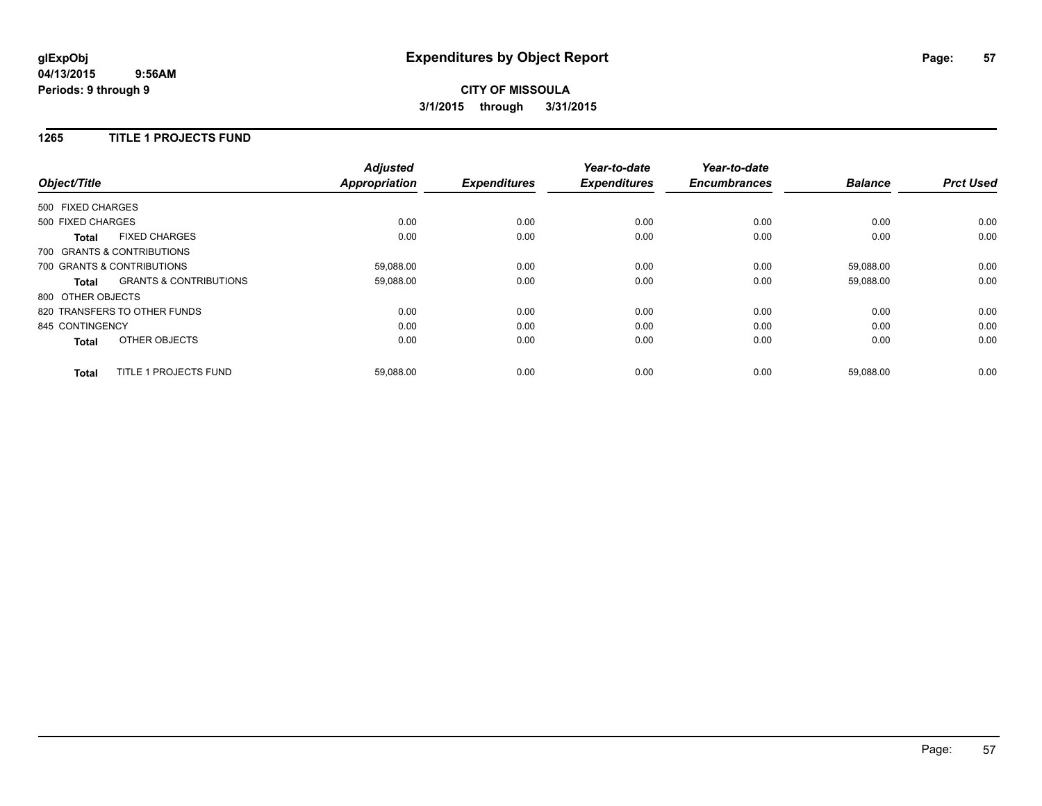## **CITY OF MISSOULA 3/1/2015 through 3/31/2015**

### **1265 TITLE 1 PROJECTS FUND**

| Object/Title      |                                   | <b>Adjusted</b><br><b>Appropriation</b> | <b>Expenditures</b> | Year-to-date<br><b>Expenditures</b> | Year-to-date<br><b>Encumbrances</b> | <b>Balance</b> | <b>Prct Used</b> |
|-------------------|-----------------------------------|-----------------------------------------|---------------------|-------------------------------------|-------------------------------------|----------------|------------------|
| 500 FIXED CHARGES |                                   |                                         |                     |                                     |                                     |                |                  |
| 500 FIXED CHARGES |                                   | 0.00                                    | 0.00                | 0.00                                | 0.00                                | 0.00           | 0.00             |
| <b>Total</b>      | <b>FIXED CHARGES</b>              | 0.00                                    | 0.00                | 0.00                                | 0.00                                | 0.00           | 0.00             |
|                   | 700 GRANTS & CONTRIBUTIONS        |                                         |                     |                                     |                                     |                |                  |
|                   | 700 GRANTS & CONTRIBUTIONS        | 59,088.00                               | 0.00                | 0.00                                | 0.00                                | 59,088.00      | 0.00             |
| Total             | <b>GRANTS &amp; CONTRIBUTIONS</b> | 59,088.00                               | 0.00                | 0.00                                | 0.00                                | 59,088.00      | 0.00             |
| 800 OTHER OBJECTS |                                   |                                         |                     |                                     |                                     |                |                  |
|                   | 820 TRANSFERS TO OTHER FUNDS      | 0.00                                    | 0.00                | 0.00                                | 0.00                                | 0.00           | 0.00             |
| 845 CONTINGENCY   |                                   | 0.00                                    | 0.00                | 0.00                                | 0.00                                | 0.00           | 0.00             |
| <b>Total</b>      | OTHER OBJECTS                     | 0.00                                    | 0.00                | 0.00                                | 0.00                                | 0.00           | 0.00             |
| <b>Total</b>      | TITLE 1 PROJECTS FUND             | 59,088.00                               | 0.00                | 0.00                                | 0.00                                | 59,088.00      | 0.00             |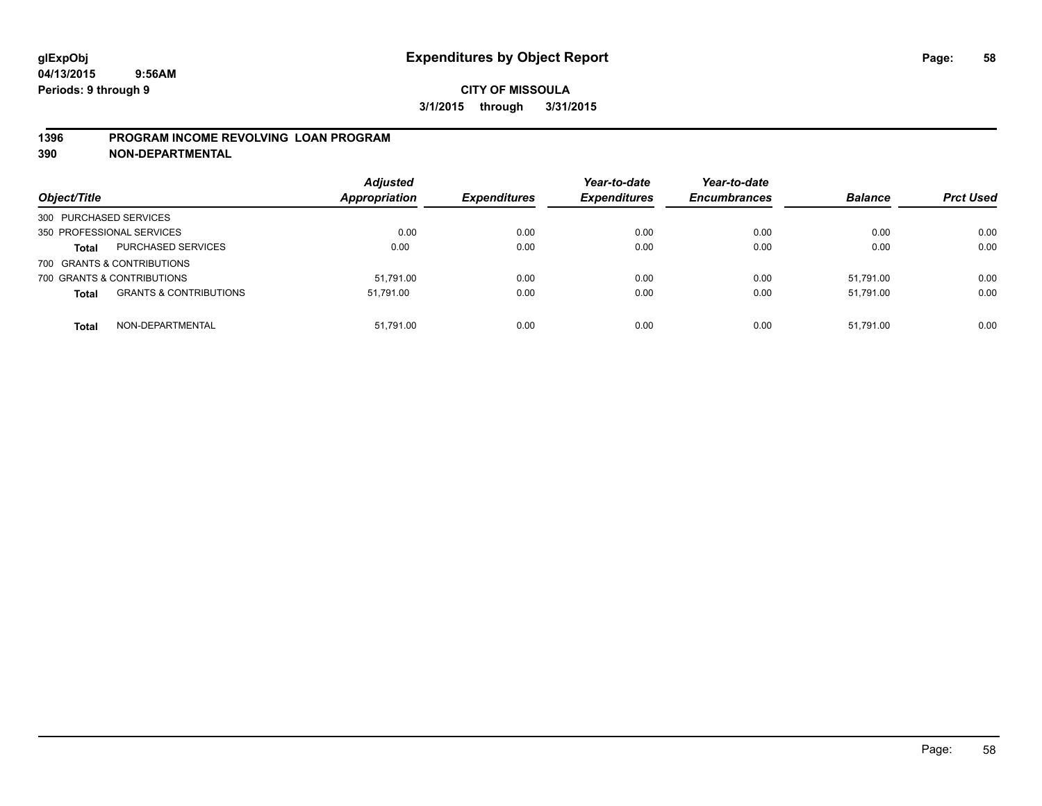### **1396 PROGRAM INCOME REVOLVING LOAN PROGRAM**

**390 NON-DEPARTMENTAL**

| Object/Title           |                                   | <b>Adjusted</b><br><b>Appropriation</b> | <b>Expenditures</b> | Year-to-date<br><b>Expenditures</b> | Year-to-date<br><b>Encumbrances</b> | <b>Balance</b> | <b>Prct Used</b> |
|------------------------|-----------------------------------|-----------------------------------------|---------------------|-------------------------------------|-------------------------------------|----------------|------------------|
| 300 PURCHASED SERVICES |                                   |                                         |                     |                                     |                                     |                |                  |
|                        | 350 PROFESSIONAL SERVICES         | 0.00                                    | 0.00                | 0.00                                | 0.00                                | 0.00           | 0.00             |
| <b>Total</b>           | PURCHASED SERVICES                | 0.00                                    | 0.00                | 0.00                                | 0.00                                | 0.00           | 0.00             |
|                        | 700 GRANTS & CONTRIBUTIONS        |                                         |                     |                                     |                                     |                |                  |
|                        | 700 GRANTS & CONTRIBUTIONS        | 51.791.00                               | 0.00                | 0.00                                | 0.00                                | 51.791.00      | 0.00             |
| <b>Total</b>           | <b>GRANTS &amp; CONTRIBUTIONS</b> | 51.791.00                               | 0.00                | 0.00                                | 0.00                                | 51.791.00      | 0.00             |
| <b>Total</b>           | NON-DEPARTMENTAL                  | 51.791.00                               | 0.00                | 0.00                                | 0.00                                | 51.791.00      | 0.00             |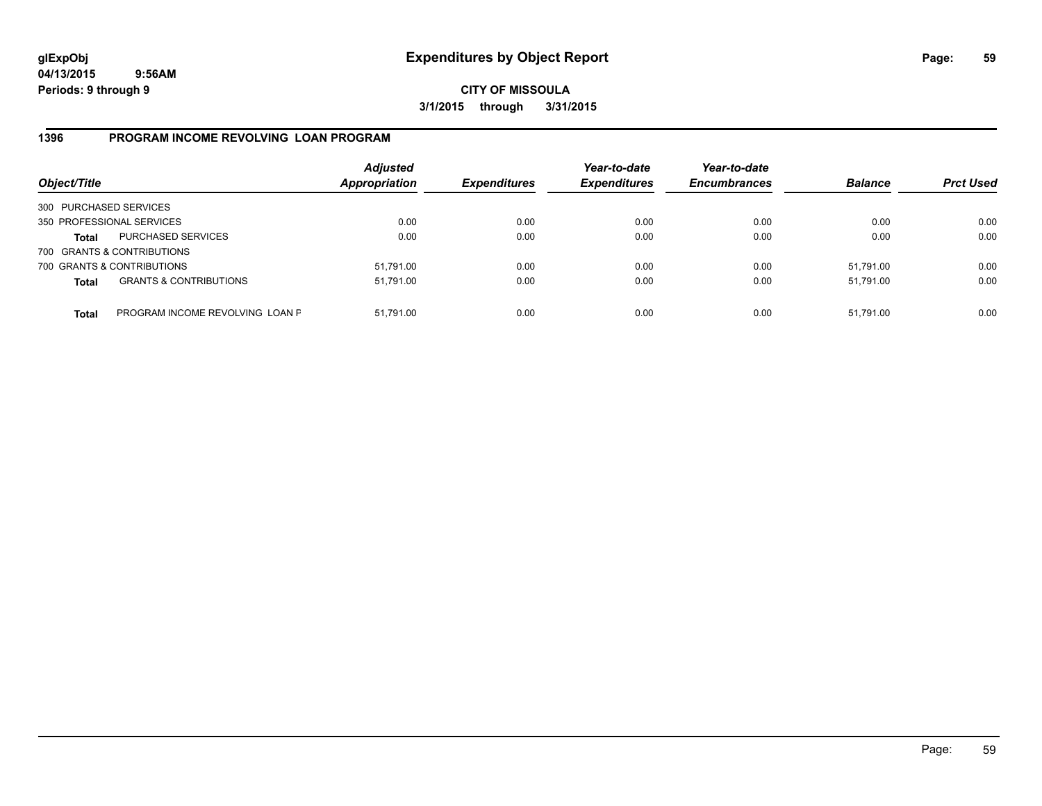**CITY OF MISSOULA 3/1/2015 through 3/31/2015**

### **1396 PROGRAM INCOME REVOLVING LOAN PROGRAM**

| Object/Title           |                                   | <b>Adjusted</b><br>Appropriation | <b>Expenditures</b> | Year-to-date<br><b>Expenditures</b> | Year-to-date<br><b>Encumbrances</b> | <b>Balance</b> | <b>Prct Used</b> |
|------------------------|-----------------------------------|----------------------------------|---------------------|-------------------------------------|-------------------------------------|----------------|------------------|
| 300 PURCHASED SERVICES |                                   |                                  |                     |                                     |                                     |                |                  |
|                        | 350 PROFESSIONAL SERVICES         | 0.00                             | 0.00                | 0.00                                | 0.00                                | 0.00           | 0.00             |
| Total                  | <b>PURCHASED SERVICES</b>         | 0.00                             | 0.00                | 0.00                                | 0.00                                | 0.00           | 0.00             |
|                        | 700 GRANTS & CONTRIBUTIONS        |                                  |                     |                                     |                                     |                |                  |
|                        | 700 GRANTS & CONTRIBUTIONS        | 51,791.00                        | 0.00                | 0.00                                | 0.00                                | 51,791.00      | 0.00             |
| <b>Total</b>           | <b>GRANTS &amp; CONTRIBUTIONS</b> | 51,791.00                        | 0.00                | 0.00                                | 0.00                                | 51.791.00      | 0.00             |
| <b>Total</b>           | PROGRAM INCOME REVOLVING LOAN P   | 51,791.00                        | 0.00                | 0.00                                | 0.00                                | 51,791.00      | 0.00             |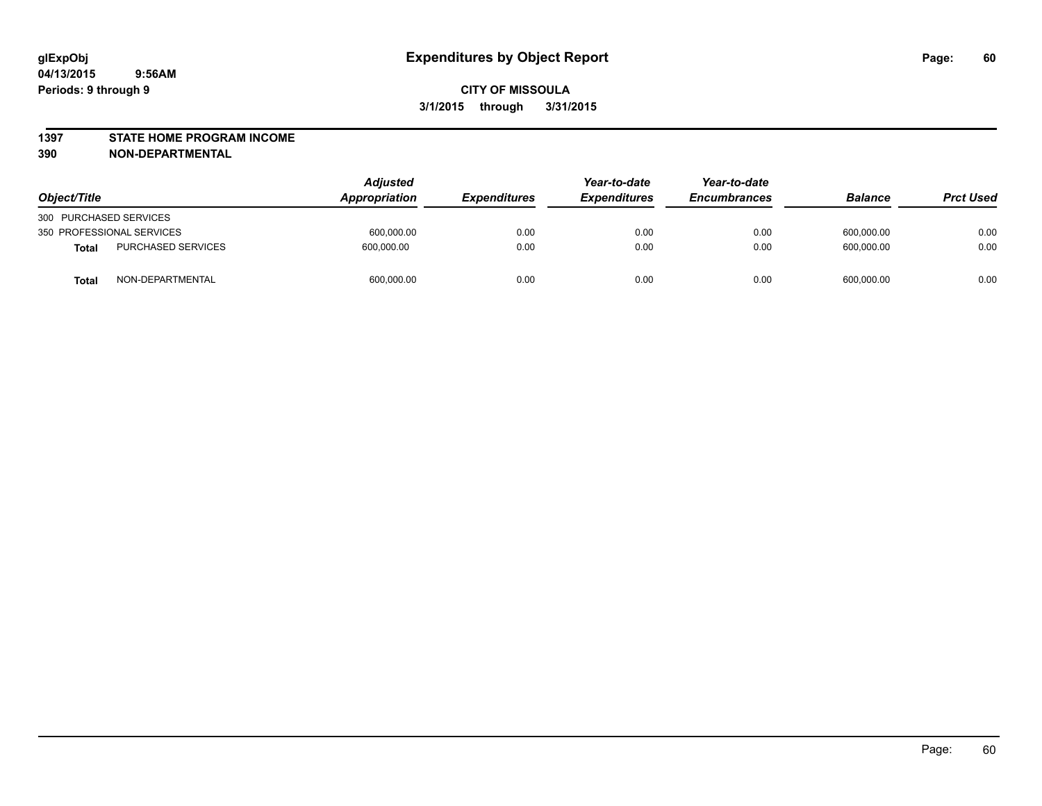#### **1397 STATE HOME PROGRAM INCOME**

**390 NON-DEPARTMENTAL**

| Object/Title           |                           | <b>Adjusted</b><br><b>Appropriation</b> | <b>Expenditures</b> | Year-to-date<br><b>Expenditures</b> | Year-to-date<br><b>Encumbrances</b> | <b>Balance</b> | <b>Prct Used</b> |
|------------------------|---------------------------|-----------------------------------------|---------------------|-------------------------------------|-------------------------------------|----------------|------------------|
| 300 PURCHASED SERVICES |                           |                                         |                     |                                     |                                     |                |                  |
|                        | 350 PROFESSIONAL SERVICES | 600,000.00                              | 0.00                | 0.00                                | 0.00                                | 600,000.00     | 0.00             |
| <b>Total</b>           | <b>PURCHASED SERVICES</b> | 600.000.00                              | 0.00                | 0.00                                | 0.00                                | 600.000.00     | 0.00             |
| <b>Total</b>           | NON-DEPARTMENTAL          | 600,000.00                              | 0.00                | 0.00                                | 0.00                                | 600,000.00     | 0.00             |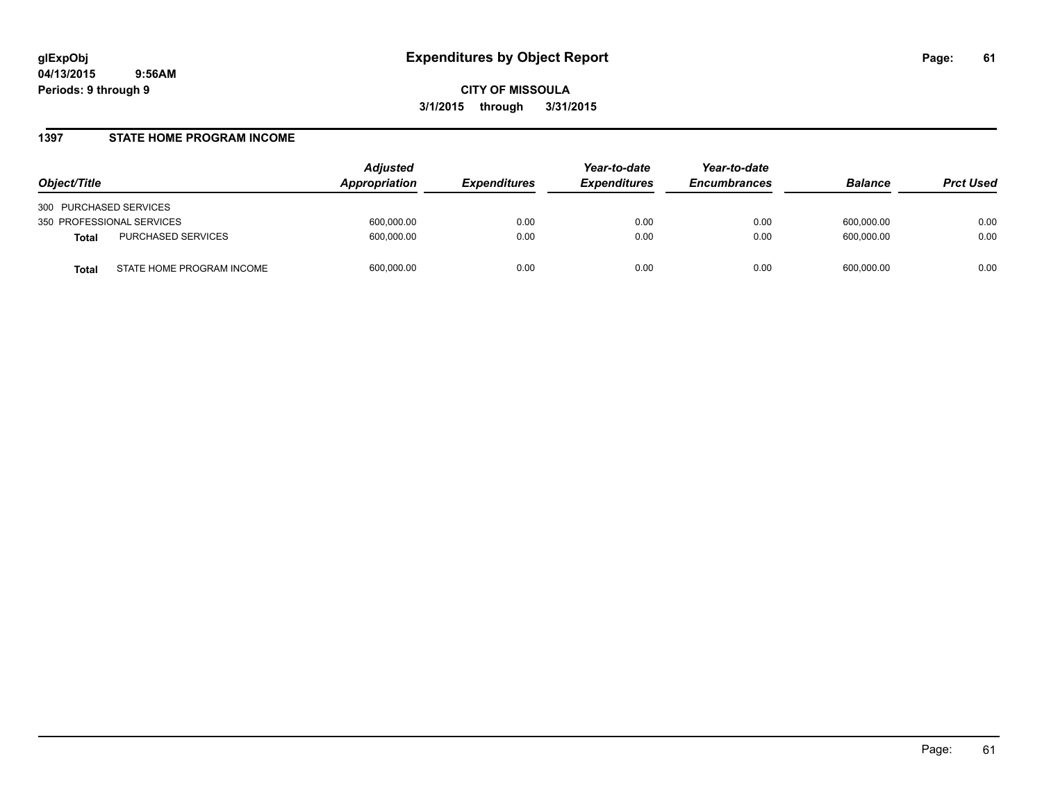**CITY OF MISSOULA 3/1/2015 through 3/31/2015**

#### **1397 STATE HOME PROGRAM INCOME**

| Object/Title                              | <b>Adjusted</b><br><b>Appropriation</b> | <b>Expenditures</b> | Year-to-date<br><b>Expenditures</b> | Year-to-date<br><b>Encumbrances</b> | <b>Balance</b> | <b>Prct Used</b> |
|-------------------------------------------|-----------------------------------------|---------------------|-------------------------------------|-------------------------------------|----------------|------------------|
| 300 PURCHASED SERVICES                    |                                         |                     |                                     |                                     |                |                  |
| 350 PROFESSIONAL SERVICES                 | 600,000.00                              | 0.00                | 0.00                                | 0.00                                | 600.000.00     | 0.00             |
| PURCHASED SERVICES<br><b>Total</b>        | 600,000.00                              | 0.00                | 0.00                                | 0.00                                | 600.000.00     | 0.00             |
| STATE HOME PROGRAM INCOME<br><b>Total</b> | 600,000.00                              | 0.00                | 0.00                                | 0.00                                | 600.000.00     | 0.00             |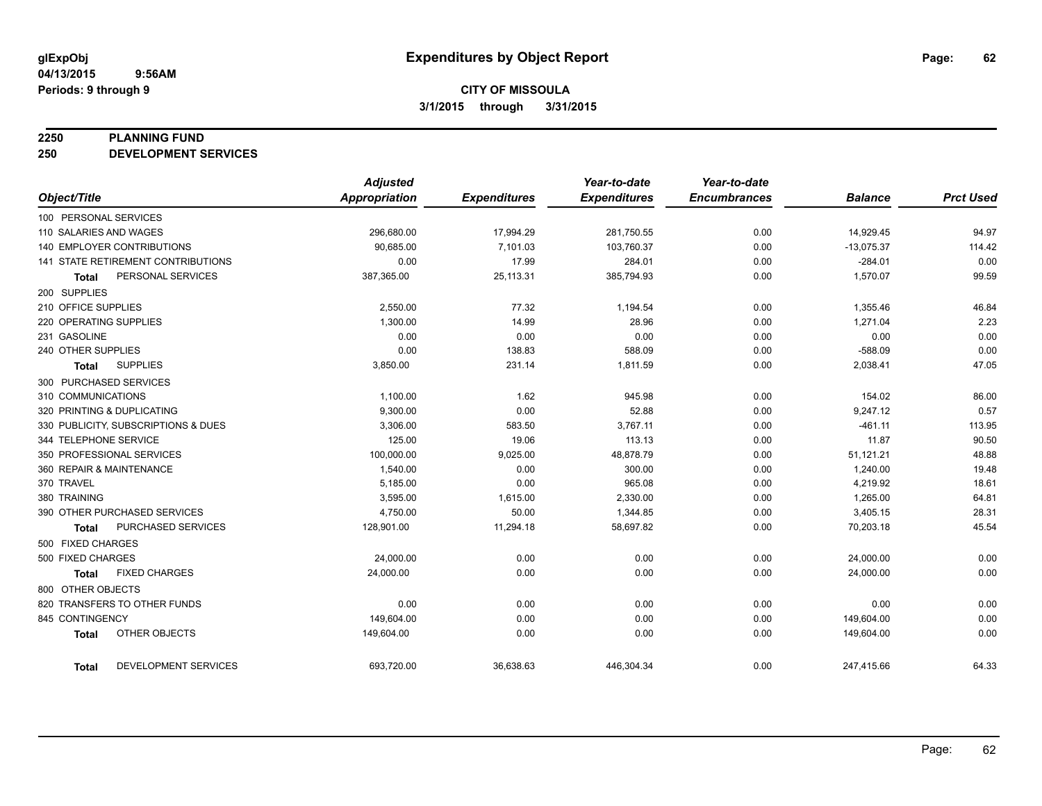#### **2250 PLANNING FUND**

**250 DEVELOPMENT SERVICES**

|                                             | <b>Adjusted</b>      |                     | Year-to-date        | Year-to-date        |                |                  |
|---------------------------------------------|----------------------|---------------------|---------------------|---------------------|----------------|------------------|
| Object/Title                                | <b>Appropriation</b> | <b>Expenditures</b> | <b>Expenditures</b> | <b>Encumbrances</b> | <b>Balance</b> | <b>Prct Used</b> |
| 100 PERSONAL SERVICES                       |                      |                     |                     |                     |                |                  |
| 110 SALARIES AND WAGES                      | 296,680.00           | 17,994.29           | 281,750.55          | 0.00                | 14,929.45      | 94.97            |
| 140 EMPLOYER CONTRIBUTIONS                  | 90,685.00            | 7,101.03            | 103,760.37          | 0.00                | $-13,075.37$   | 114.42           |
| 141 STATE RETIREMENT CONTRIBUTIONS          | 0.00                 | 17.99               | 284.01              | 0.00                | $-284.01$      | 0.00             |
| PERSONAL SERVICES<br><b>Total</b>           | 387,365.00           | 25,113.31           | 385,794.93          | 0.00                | 1,570.07       | 99.59            |
| 200 SUPPLIES                                |                      |                     |                     |                     |                |                  |
| 210 OFFICE SUPPLIES                         | 2,550.00             | 77.32               | 1,194.54            | 0.00                | 1,355.46       | 46.84            |
| 220 OPERATING SUPPLIES                      | 1,300.00             | 14.99               | 28.96               | 0.00                | 1,271.04       | 2.23             |
| 231 GASOLINE                                | 0.00                 | 0.00                | 0.00                | 0.00                | 0.00           | 0.00             |
| 240 OTHER SUPPLIES                          | 0.00                 | 138.83              | 588.09              | 0.00                | $-588.09$      | 0.00             |
| <b>SUPPLIES</b><br><b>Total</b>             | 3,850.00             | 231.14              | 1,811.59            | 0.00                | 2,038.41       | 47.05            |
| 300 PURCHASED SERVICES                      |                      |                     |                     |                     |                |                  |
| 310 COMMUNICATIONS                          | 1,100.00             | 1.62                | 945.98              | 0.00                | 154.02         | 86.00            |
| 320 PRINTING & DUPLICATING                  | 9,300.00             | 0.00                | 52.88               | 0.00                | 9,247.12       | 0.57             |
| 330 PUBLICITY, SUBSCRIPTIONS & DUES         | 3,306.00             | 583.50              | 3,767.11            | 0.00                | $-461.11$      | 113.95           |
| 344 TELEPHONE SERVICE                       | 125.00               | 19.06               | 113.13              | 0.00                | 11.87          | 90.50            |
| 350 PROFESSIONAL SERVICES                   | 100,000.00           | 9,025.00            | 48,878.79           | 0.00                | 51,121.21      | 48.88            |
| 360 REPAIR & MAINTENANCE                    | 1,540.00             | 0.00                | 300.00              | 0.00                | 1,240.00       | 19.48            |
| 370 TRAVEL                                  | 5,185.00             | 0.00                | 965.08              | 0.00                | 4,219.92       | 18.61            |
| 380 TRAINING                                | 3,595.00             | 1,615.00            | 2,330.00            | 0.00                | 1,265.00       | 64.81            |
| 390 OTHER PURCHASED SERVICES                | 4,750.00             | 50.00               | 1,344.85            | 0.00                | 3,405.15       | 28.31            |
| PURCHASED SERVICES<br><b>Total</b>          | 128,901.00           | 11,294.18           | 58,697.82           | 0.00                | 70,203.18      | 45.54            |
| 500 FIXED CHARGES                           |                      |                     |                     |                     |                |                  |
| 500 FIXED CHARGES                           | 24,000.00            | 0.00                | 0.00                | 0.00                | 24,000.00      | 0.00             |
| <b>FIXED CHARGES</b><br>Total               | 24,000.00            | 0.00                | 0.00                | 0.00                | 24,000.00      | 0.00             |
| 800 OTHER OBJECTS                           |                      |                     |                     |                     |                |                  |
| 820 TRANSFERS TO OTHER FUNDS                | 0.00                 | 0.00                | 0.00                | 0.00                | 0.00           | 0.00             |
| 845 CONTINGENCY                             | 149,604.00           | 0.00                | 0.00                | 0.00                | 149,604.00     | 0.00             |
| OTHER OBJECTS<br><b>Total</b>               | 149,604.00           | 0.00                | 0.00                | 0.00                | 149,604.00     | 0.00             |
| <b>DEVELOPMENT SERVICES</b><br><b>Total</b> | 693,720.00           | 36,638.63           | 446,304.34          | 0.00                | 247,415.66     | 64.33            |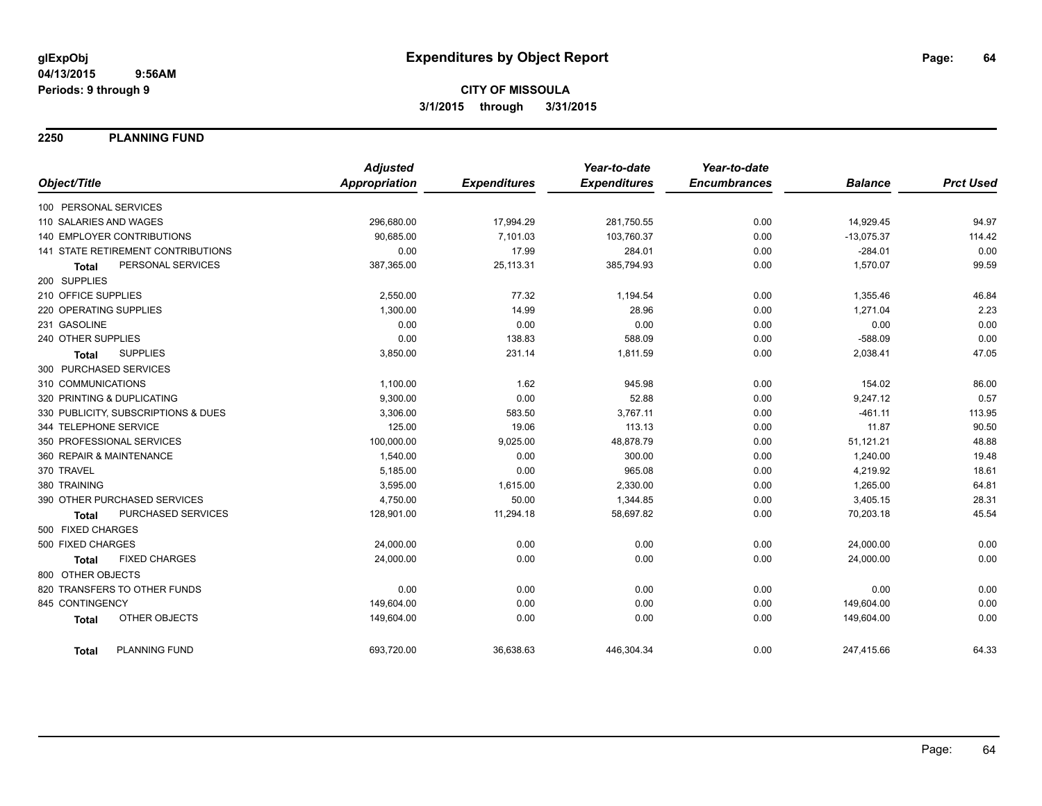**2250 PLANNING FUND**

|                                      | <b>Adjusted</b>      |                     | Year-to-date        | Year-to-date        |                |                  |
|--------------------------------------|----------------------|---------------------|---------------------|---------------------|----------------|------------------|
| Object/Title                         | <b>Appropriation</b> | <b>Expenditures</b> | <b>Expenditures</b> | <b>Encumbrances</b> | <b>Balance</b> | <b>Prct Used</b> |
| 100 PERSONAL SERVICES                |                      |                     |                     |                     |                |                  |
| 110 SALARIES AND WAGES               | 296,680.00           | 17,994.29           | 281,750.55          | 0.00                | 14,929.45      | 94.97            |
| <b>140 EMPLOYER CONTRIBUTIONS</b>    | 90,685.00            | 7,101.03            | 103,760.37          | 0.00                | $-13,075.37$   | 114.42           |
| 141 STATE RETIREMENT CONTRIBUTIONS   | 0.00                 | 17.99               | 284.01              | 0.00                | $-284.01$      | 0.00             |
| PERSONAL SERVICES<br><b>Total</b>    | 387,365.00           | 25,113.31           | 385,794.93          | 0.00                | 1,570.07       | 99.59            |
| 200 SUPPLIES                         |                      |                     |                     |                     |                |                  |
| 210 OFFICE SUPPLIES                  | 2,550.00             | 77.32               | 1,194.54            | 0.00                | 1,355.46       | 46.84            |
| 220 OPERATING SUPPLIES               | 1,300.00             | 14.99               | 28.96               | 0.00                | 1,271.04       | 2.23             |
| 231 GASOLINE                         | 0.00                 | 0.00                | 0.00                | 0.00                | 0.00           | 0.00             |
| 240 OTHER SUPPLIES                   | 0.00                 | 138.83              | 588.09              | 0.00                | $-588.09$      | 0.00             |
| <b>SUPPLIES</b><br><b>Total</b>      | 3,850.00             | 231.14              | 1,811.59            | 0.00                | 2,038.41       | 47.05            |
| 300 PURCHASED SERVICES               |                      |                     |                     |                     |                |                  |
| 310 COMMUNICATIONS                   | 1,100.00             | 1.62                | 945.98              | 0.00                | 154.02         | 86.00            |
| 320 PRINTING & DUPLICATING           | 9,300.00             | 0.00                | 52.88               | 0.00                | 9,247.12       | 0.57             |
| 330 PUBLICITY, SUBSCRIPTIONS & DUES  | 3,306.00             | 583.50              | 3,767.11            | 0.00                | $-461.11$      | 113.95           |
| 344 TELEPHONE SERVICE                | 125.00               | 19.06               | 113.13              | 0.00                | 11.87          | 90.50            |
| 350 PROFESSIONAL SERVICES            | 100,000.00           | 9,025.00            | 48,878.79           | 0.00                | 51,121.21      | 48.88            |
| 360 REPAIR & MAINTENANCE             | 1,540.00             | 0.00                | 300.00              | 0.00                | 1,240.00       | 19.48            |
| 370 TRAVEL                           | 5,185.00             | 0.00                | 965.08              | 0.00                | 4,219.92       | 18.61            |
| 380 TRAINING                         | 3,595.00             | 1,615.00            | 2,330.00            | 0.00                | 1,265.00       | 64.81            |
| 390 OTHER PURCHASED SERVICES         | 4,750.00             | 50.00               | 1,344.85            | 0.00                | 3,405.15       | 28.31            |
| PURCHASED SERVICES<br><b>Total</b>   | 128,901.00           | 11,294.18           | 58,697.82           | 0.00                | 70,203.18      | 45.54            |
| 500 FIXED CHARGES                    |                      |                     |                     |                     |                |                  |
| 500 FIXED CHARGES                    | 24,000.00            | 0.00                | 0.00                | 0.00                | 24,000.00      | 0.00             |
| <b>FIXED CHARGES</b><br><b>Total</b> | 24,000.00            | 0.00                | 0.00                | 0.00                | 24,000.00      | 0.00             |
| 800 OTHER OBJECTS                    |                      |                     |                     |                     |                |                  |
| 820 TRANSFERS TO OTHER FUNDS         | 0.00                 | 0.00                | 0.00                | 0.00                | 0.00           | 0.00             |
| 845 CONTINGENCY                      | 149,604.00           | 0.00                | 0.00                | 0.00                | 149,604.00     | 0.00             |
| OTHER OBJECTS<br><b>Total</b>        | 149,604.00           | 0.00                | 0.00                | 0.00                | 149,604.00     | 0.00             |
| <b>PLANNING FUND</b><br><b>Total</b> | 693,720.00           | 36,638.63           | 446,304.34          | 0.00                | 247,415.66     | 64.33            |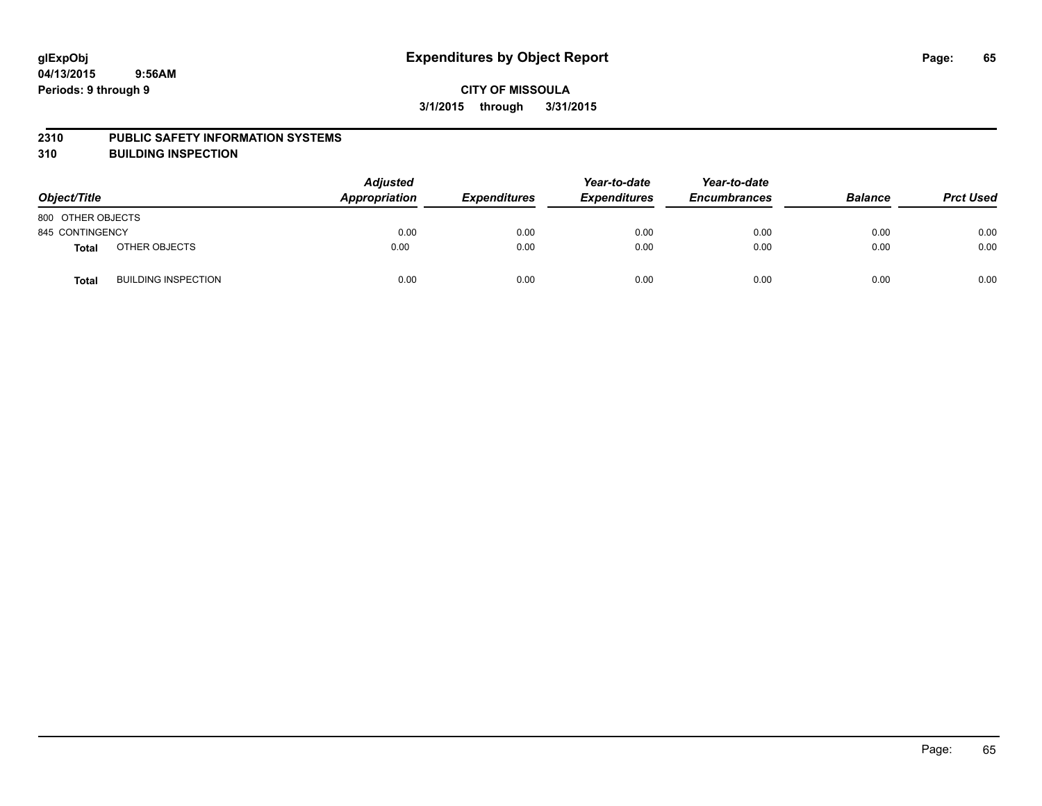#### **2310 PUBLIC SAFETY INFORMATION SYSTEMS**

**310 BUILDING INSPECTION**

| Object/Title      |                            | <b>Adjusted</b><br><b>Appropriation</b> | <b>Expenditures</b> | Year-to-date<br><b>Expenditures</b> | Year-to-date<br><b>Encumbrances</b> | <b>Balance</b> | <b>Prct Used</b> |
|-------------------|----------------------------|-----------------------------------------|---------------------|-------------------------------------|-------------------------------------|----------------|------------------|
| 800 OTHER OBJECTS |                            |                                         |                     |                                     |                                     |                |                  |
| 845 CONTINGENCY   |                            | 0.00                                    | 0.00                | 0.00                                | 0.00                                | 0.00           | 0.00             |
| Total             | OTHER OBJECTS              | 0.00                                    | 0.00                | 0.00                                | 0.00                                | 0.00           | 0.00             |
| Total             | <b>BUILDING INSPECTION</b> | 0.00                                    | 0.00                | 0.00                                | 0.00                                | 0.00           | 0.00             |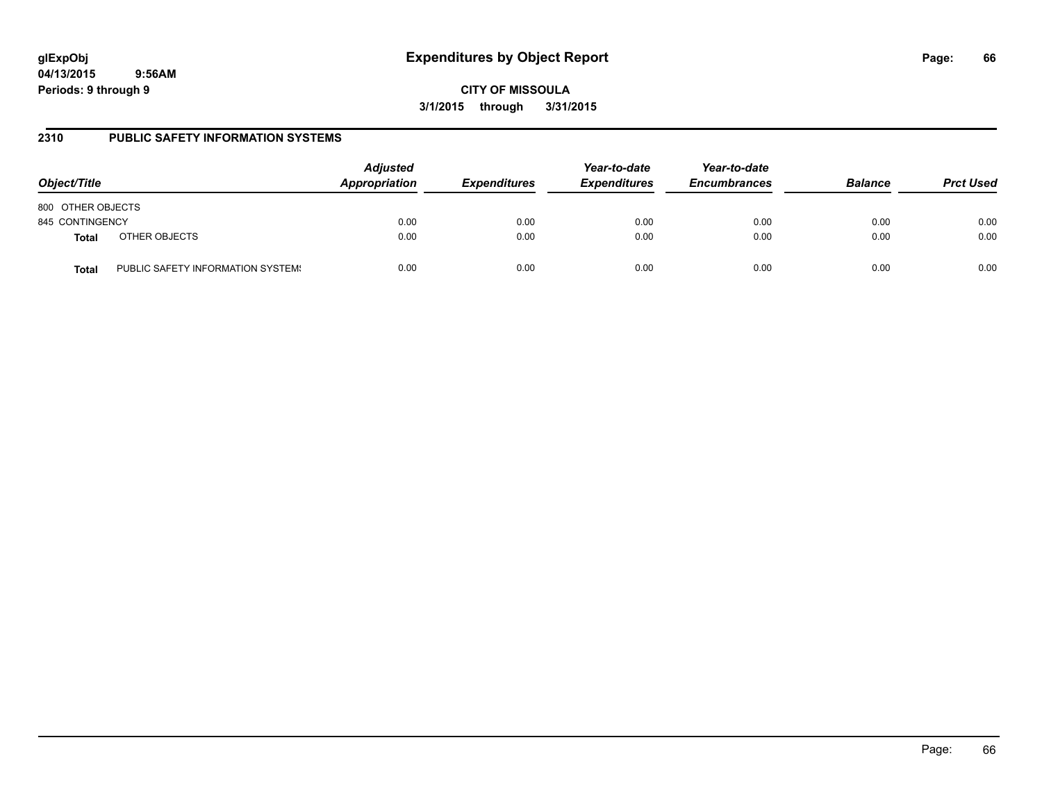# **glExpObj Expenditures by Object Report Page: 66**

**04/13/2015 9:56AM Periods: 9 through 9**

| Object/Title      |                                   | <b>Adjusted</b><br>Appropriation | <b>Expenditures</b> | Year-to-date<br><b>Expenditures</b> | Year-to-date<br><b>Encumbrances</b> | <b>Balance</b> | <b>Prct Used</b> |
|-------------------|-----------------------------------|----------------------------------|---------------------|-------------------------------------|-------------------------------------|----------------|------------------|
| 800 OTHER OBJECTS |                                   |                                  |                     |                                     |                                     |                |                  |
| 845 CONTINGENCY   |                                   | 0.00                             | 0.00                | 0.00                                | 0.00                                | 0.00           | 0.00             |
| Total             | OTHER OBJECTS                     | 0.00                             | 0.00                | 0.00                                | 0.00                                | 0.00           | 0.00             |
| <b>Total</b>      | PUBLIC SAFETY INFORMATION SYSTEM! | 0.00                             | 0.00                | 0.00                                | 0.00                                | 0.00           | 0.00             |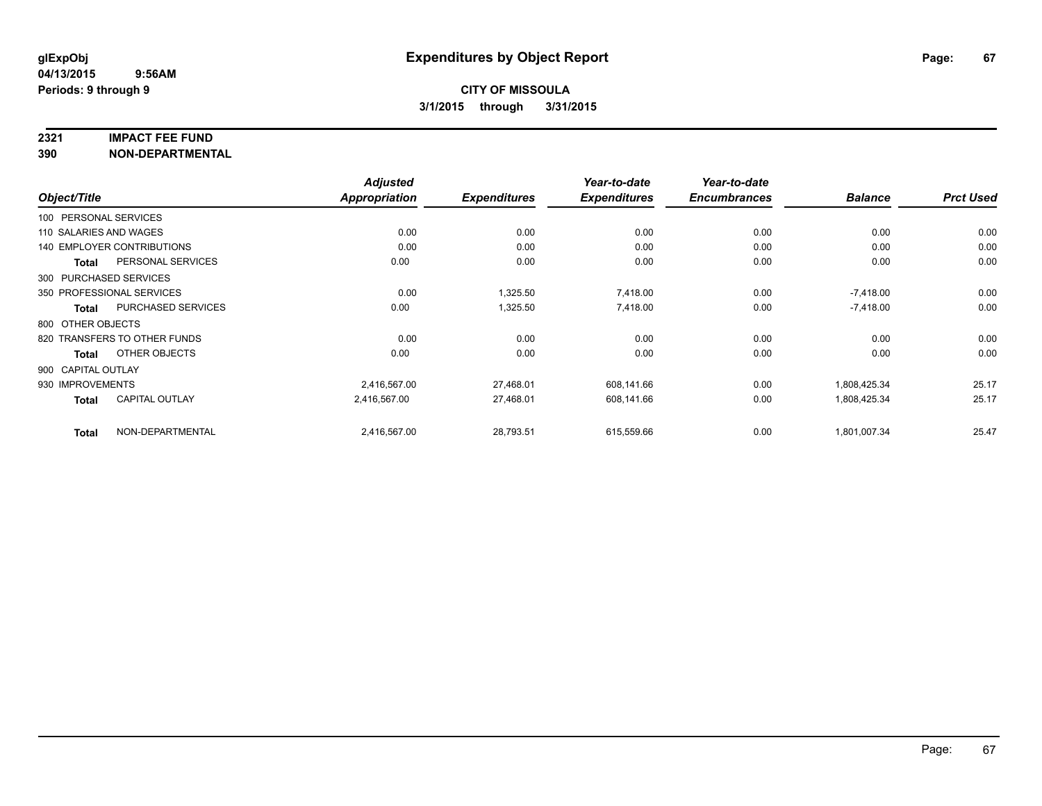#### **2321 IMPACT FEE FUND**

**390 NON-DEPARTMENTAL**

|                        |                              | <b>Adjusted</b> |                     | Year-to-date        | Year-to-date        |                |                  |
|------------------------|------------------------------|-----------------|---------------------|---------------------|---------------------|----------------|------------------|
| Object/Title           |                              | Appropriation   | <b>Expenditures</b> | <b>Expenditures</b> | <b>Encumbrances</b> | <b>Balance</b> | <b>Prct Used</b> |
| 100 PERSONAL SERVICES  |                              |                 |                     |                     |                     |                |                  |
| 110 SALARIES AND WAGES |                              | 0.00            | 0.00                | 0.00                | 0.00                | 0.00           | 0.00             |
|                        | 140 EMPLOYER CONTRIBUTIONS   | 0.00            | 0.00                | 0.00                | 0.00                | 0.00           | 0.00             |
| <b>Total</b>           | PERSONAL SERVICES            | 0.00            | 0.00                | 0.00                | 0.00                | 0.00           | 0.00             |
| 300 PURCHASED SERVICES |                              |                 |                     |                     |                     |                |                  |
|                        | 350 PROFESSIONAL SERVICES    | 0.00            | 1,325.50            | 7,418.00            | 0.00                | $-7,418.00$    | 0.00             |
| Total                  | <b>PURCHASED SERVICES</b>    | 0.00            | 1,325.50            | 7,418.00            | 0.00                | $-7,418.00$    | 0.00             |
| 800 OTHER OBJECTS      |                              |                 |                     |                     |                     |                |                  |
|                        | 820 TRANSFERS TO OTHER FUNDS | 0.00            | 0.00                | 0.00                | 0.00                | 0.00           | 0.00             |
| <b>Total</b>           | OTHER OBJECTS                | 0.00            | 0.00                | 0.00                | 0.00                | 0.00           | 0.00             |
| 900 CAPITAL OUTLAY     |                              |                 |                     |                     |                     |                |                  |
| 930 IMPROVEMENTS       |                              | 2,416,567.00    | 27,468.01           | 608,141.66          | 0.00                | 1,808,425.34   | 25.17            |
| <b>Total</b>           | <b>CAPITAL OUTLAY</b>        | 2,416,567.00    | 27,468.01           | 608,141.66          | 0.00                | 1,808,425.34   | 25.17            |
| <b>Total</b>           | NON-DEPARTMENTAL             | 2,416,567.00    | 28,793.51           | 615,559.66          | 0.00                | 1,801,007.34   | 25.47            |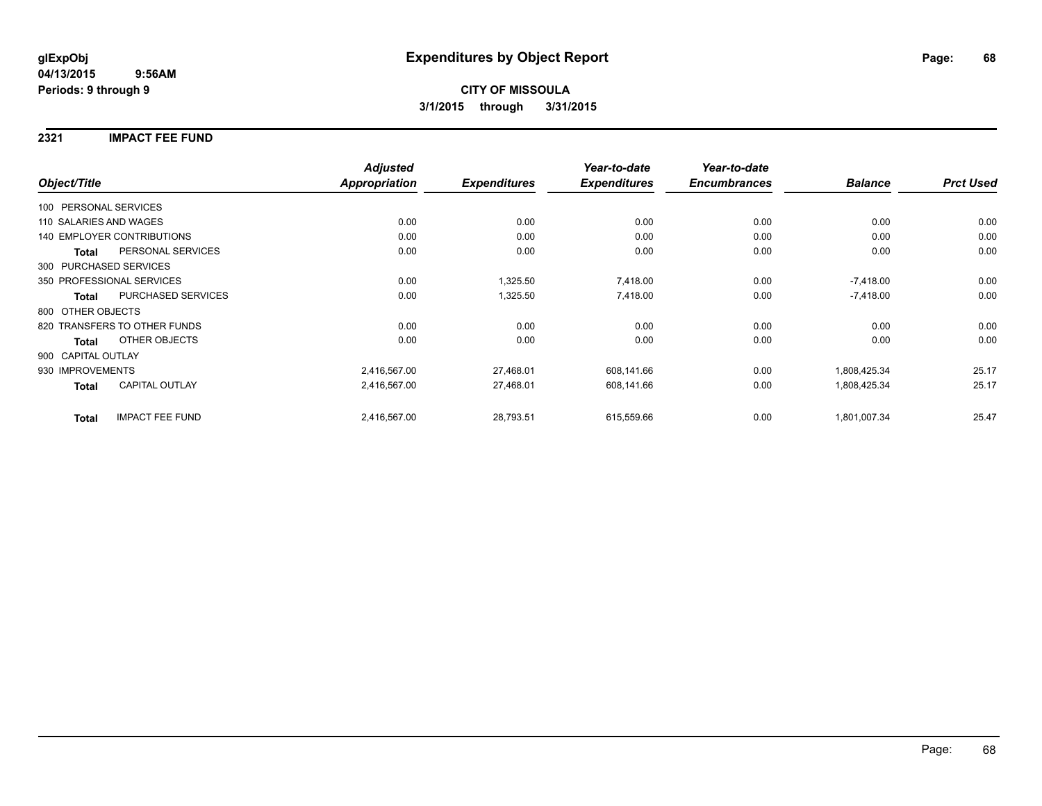### **2321 IMPACT FEE FUND**

|                        |                                   | <b>Adjusted</b>      |                     | Year-to-date        | Year-to-date        |                |                  |
|------------------------|-----------------------------------|----------------------|---------------------|---------------------|---------------------|----------------|------------------|
| Object/Title           |                                   | <b>Appropriation</b> | <b>Expenditures</b> | <b>Expenditures</b> | <b>Encumbrances</b> | <b>Balance</b> | <b>Prct Used</b> |
| 100 PERSONAL SERVICES  |                                   |                      |                     |                     |                     |                |                  |
| 110 SALARIES AND WAGES |                                   | 0.00                 | 0.00                | 0.00                | 0.00                | 0.00           | 0.00             |
|                        | <b>140 EMPLOYER CONTRIBUTIONS</b> | 0.00                 | 0.00                | 0.00                | 0.00                | 0.00           | 0.00             |
| <b>Total</b>           | PERSONAL SERVICES                 | 0.00                 | 0.00                | 0.00                | 0.00                | 0.00           | 0.00             |
|                        | 300 PURCHASED SERVICES            |                      |                     |                     |                     |                |                  |
|                        | 350 PROFESSIONAL SERVICES         | 0.00                 | 1,325.50            | 7,418.00            | 0.00                | $-7,418.00$    | 0.00             |
| <b>Total</b>           | PURCHASED SERVICES                | 0.00                 | 1,325.50            | 7,418.00            | 0.00                | $-7,418.00$    | 0.00             |
| 800 OTHER OBJECTS      |                                   |                      |                     |                     |                     |                |                  |
|                        | 820 TRANSFERS TO OTHER FUNDS      | 0.00                 | 0.00                | 0.00                | 0.00                | 0.00           | 0.00             |
| Total                  | OTHER OBJECTS                     | 0.00                 | 0.00                | 0.00                | 0.00                | 0.00           | 0.00             |
| 900 CAPITAL OUTLAY     |                                   |                      |                     |                     |                     |                |                  |
| 930 IMPROVEMENTS       |                                   | 2,416,567.00         | 27,468.01           | 608,141.66          | 0.00                | 1,808,425.34   | 25.17            |
| <b>Total</b>           | <b>CAPITAL OUTLAY</b>             | 2,416,567.00         | 27,468.01           | 608,141.66          | 0.00                | 1,808,425.34   | 25.17            |
| <b>Total</b>           | <b>IMPACT FEE FUND</b>            | 2,416,567.00         | 28,793.51           | 615,559.66          | 0.00                | 1,801,007.34   | 25.47            |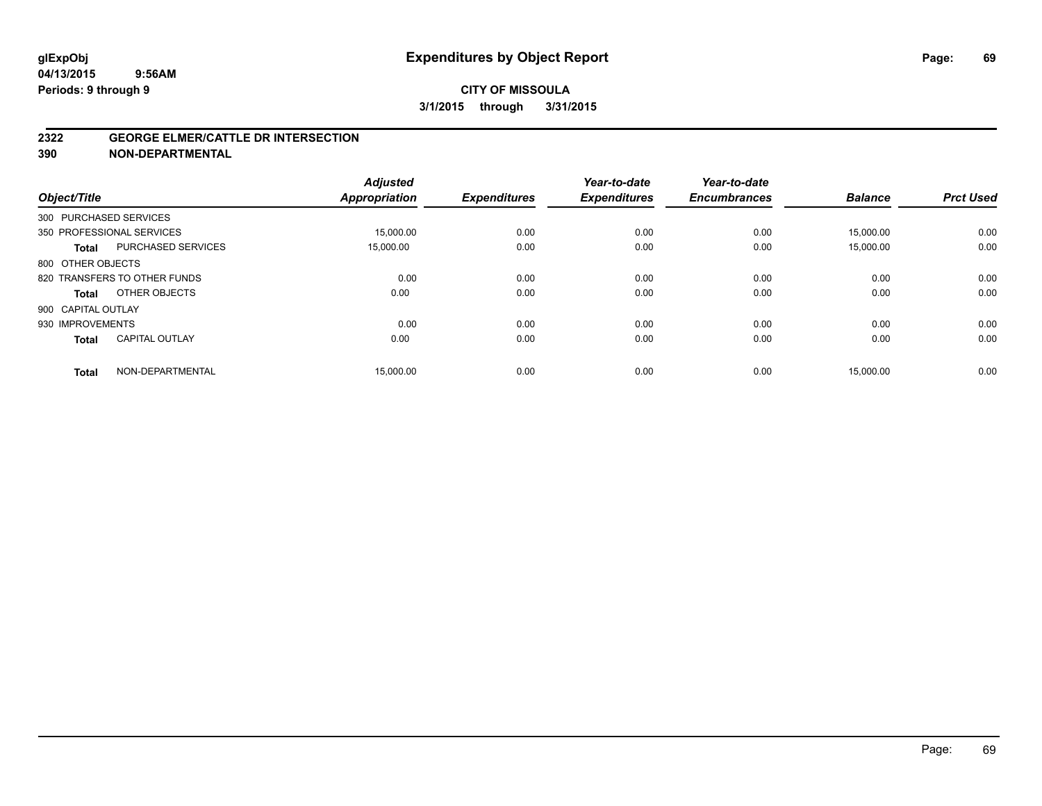#### **2322 GEORGE ELMER/CATTLE DR INTERSECTION**

**390 NON-DEPARTMENTAL**

| Object/Title           |                              | <b>Adjusted</b><br><b>Appropriation</b> | <b>Expenditures</b> | Year-to-date<br><b>Expenditures</b> | Year-to-date<br><b>Encumbrances</b> | <b>Balance</b> | <b>Prct Used</b> |
|------------------------|------------------------------|-----------------------------------------|---------------------|-------------------------------------|-------------------------------------|----------------|------------------|
| 300 PURCHASED SERVICES |                              |                                         |                     |                                     |                                     |                |                  |
|                        | 350 PROFESSIONAL SERVICES    | 15.000.00                               | 0.00                | 0.00                                | 0.00                                | 15.000.00      | 0.00             |
| <b>Total</b>           | <b>PURCHASED SERVICES</b>    | 15,000.00                               | 0.00                | 0.00                                | 0.00                                | 15,000.00      | 0.00             |
| 800 OTHER OBJECTS      |                              |                                         |                     |                                     |                                     |                |                  |
|                        | 820 TRANSFERS TO OTHER FUNDS | 0.00                                    | 0.00                | 0.00                                | 0.00                                | 0.00           | 0.00             |
| Total                  | OTHER OBJECTS                | 0.00                                    | 0.00                | 0.00                                | 0.00                                | 0.00           | 0.00             |
| 900 CAPITAL OUTLAY     |                              |                                         |                     |                                     |                                     |                |                  |
| 930 IMPROVEMENTS       |                              | 0.00                                    | 0.00                | 0.00                                | 0.00                                | 0.00           | 0.00             |
| <b>Total</b>           | <b>CAPITAL OUTLAY</b>        | 0.00                                    | 0.00                | 0.00                                | 0.00                                | 0.00           | 0.00             |
| <b>Total</b>           | NON-DEPARTMENTAL             | 15,000.00                               | 0.00                | 0.00                                | 0.00                                | 15,000.00      | 0.00             |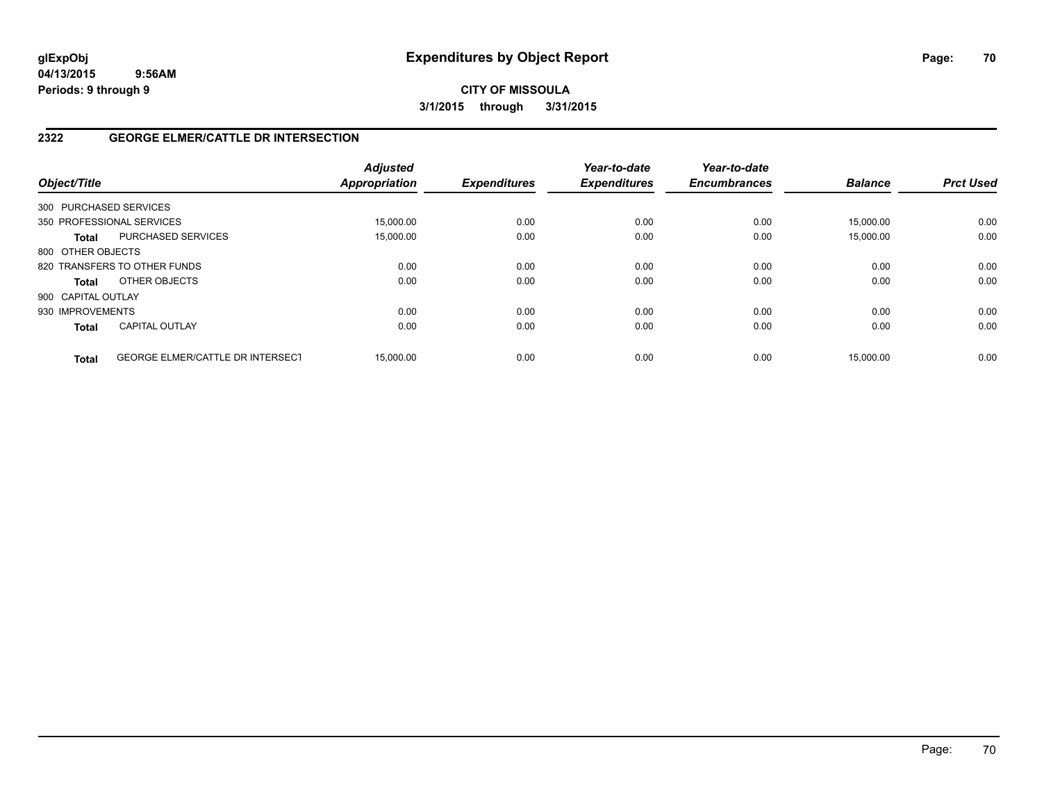**CITY OF MISSOULA 3/1/2015 through 3/31/2015**

## **2322 GEORGE ELMER/CATTLE DR INTERSECTION**

| Object/Title       |                                         | <b>Adjusted</b><br><b>Appropriation</b> | <b>Expenditures</b> | Year-to-date<br><b>Expenditures</b> | Year-to-date<br><b>Encumbrances</b> | <b>Balance</b> | <b>Prct Used</b> |
|--------------------|-----------------------------------------|-----------------------------------------|---------------------|-------------------------------------|-------------------------------------|----------------|------------------|
|                    | 300 PURCHASED SERVICES                  |                                         |                     |                                     |                                     |                |                  |
|                    | 350 PROFESSIONAL SERVICES               | 15.000.00                               | 0.00                | 0.00                                | 0.00                                | 15.000.00      | 0.00             |
| <b>Total</b>       | <b>PURCHASED SERVICES</b>               | 15,000.00                               | 0.00                | 0.00                                | 0.00                                | 15,000.00      | 0.00             |
| 800 OTHER OBJECTS  |                                         |                                         |                     |                                     |                                     |                |                  |
|                    | 820 TRANSFERS TO OTHER FUNDS            | 0.00                                    | 0.00                | 0.00                                | 0.00                                | 0.00           | 0.00             |
| <b>Total</b>       | OTHER OBJECTS                           | 0.00                                    | 0.00                | 0.00                                | 0.00                                | 0.00           | 0.00             |
| 900 CAPITAL OUTLAY |                                         |                                         |                     |                                     |                                     |                |                  |
| 930 IMPROVEMENTS   |                                         | 0.00                                    | 0.00                | 0.00                                | 0.00                                | 0.00           | 0.00             |
| <b>Total</b>       | <b>CAPITAL OUTLAY</b>                   | 0.00                                    | 0.00                | 0.00                                | 0.00                                | 0.00           | 0.00             |
| <b>Total</b>       | <b>GEORGE ELMER/CATTLE DR INTERSECT</b> | 15.000.00                               | 0.00                | 0.00                                | 0.00                                | 15.000.00      | 0.00             |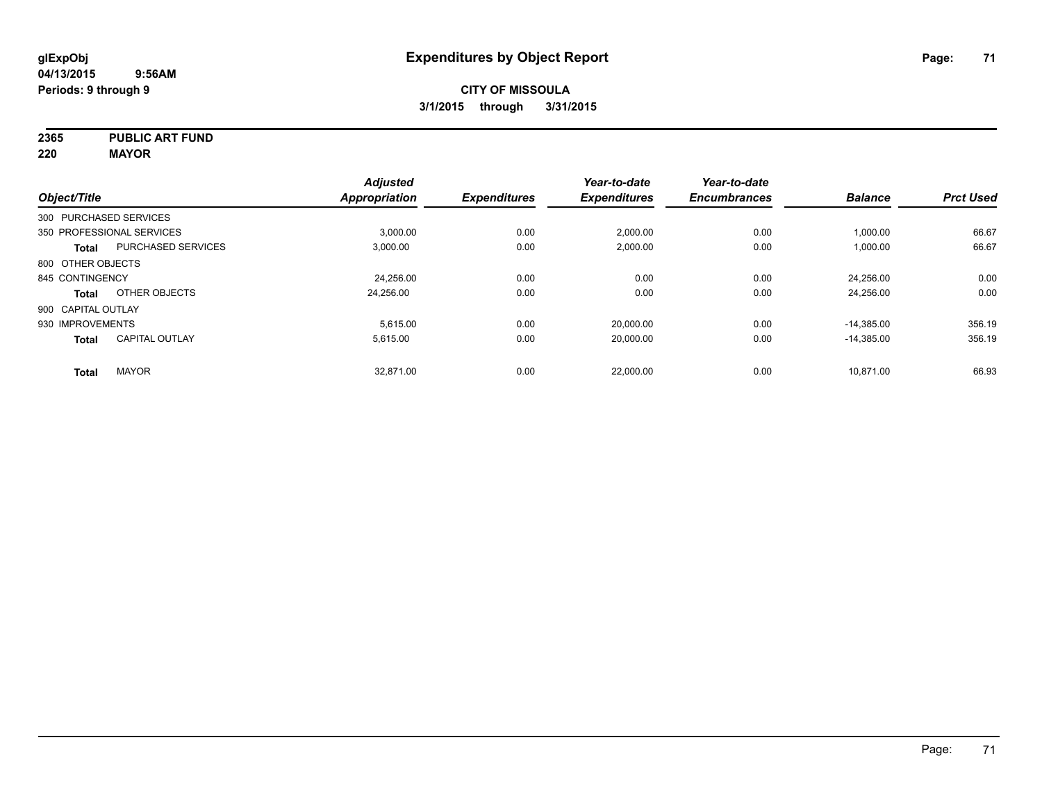**2365 PUBLIC ART FUND**

**220 MAYOR**

|                        |                           | <b>Adjusted</b> |                     | Year-to-date        | Year-to-date        |                |                  |
|------------------------|---------------------------|-----------------|---------------------|---------------------|---------------------|----------------|------------------|
| Object/Title           |                           | Appropriation   | <b>Expenditures</b> | <b>Expenditures</b> | <b>Encumbrances</b> | <b>Balance</b> | <b>Prct Used</b> |
| 300 PURCHASED SERVICES |                           |                 |                     |                     |                     |                |                  |
|                        | 350 PROFESSIONAL SERVICES | 3,000.00        | 0.00                | 2,000.00            | 0.00                | 1,000.00       | 66.67            |
| <b>Total</b>           | <b>PURCHASED SERVICES</b> | 3,000.00        | 0.00                | 2,000.00            | 0.00                | 1,000.00       | 66.67            |
| 800 OTHER OBJECTS      |                           |                 |                     |                     |                     |                |                  |
| 845 CONTINGENCY        |                           | 24,256.00       | 0.00                | 0.00                | 0.00                | 24.256.00      | 0.00             |
| Total                  | OTHER OBJECTS             | 24,256.00       | 0.00                | 0.00                | 0.00                | 24,256.00      | 0.00             |
| 900 CAPITAL OUTLAY     |                           |                 |                     |                     |                     |                |                  |
| 930 IMPROVEMENTS       |                           | 5.615.00        | 0.00                | 20,000.00           | 0.00                | $-14.385.00$   | 356.19           |
| <b>Total</b>           | <b>CAPITAL OUTLAY</b>     | 5.615.00        | 0.00                | 20,000.00           | 0.00                | $-14,385.00$   | 356.19           |
| <b>Total</b>           | <b>MAYOR</b>              | 32.871.00       | 0.00                | 22,000.00           | 0.00                | 10.871.00      | 66.93            |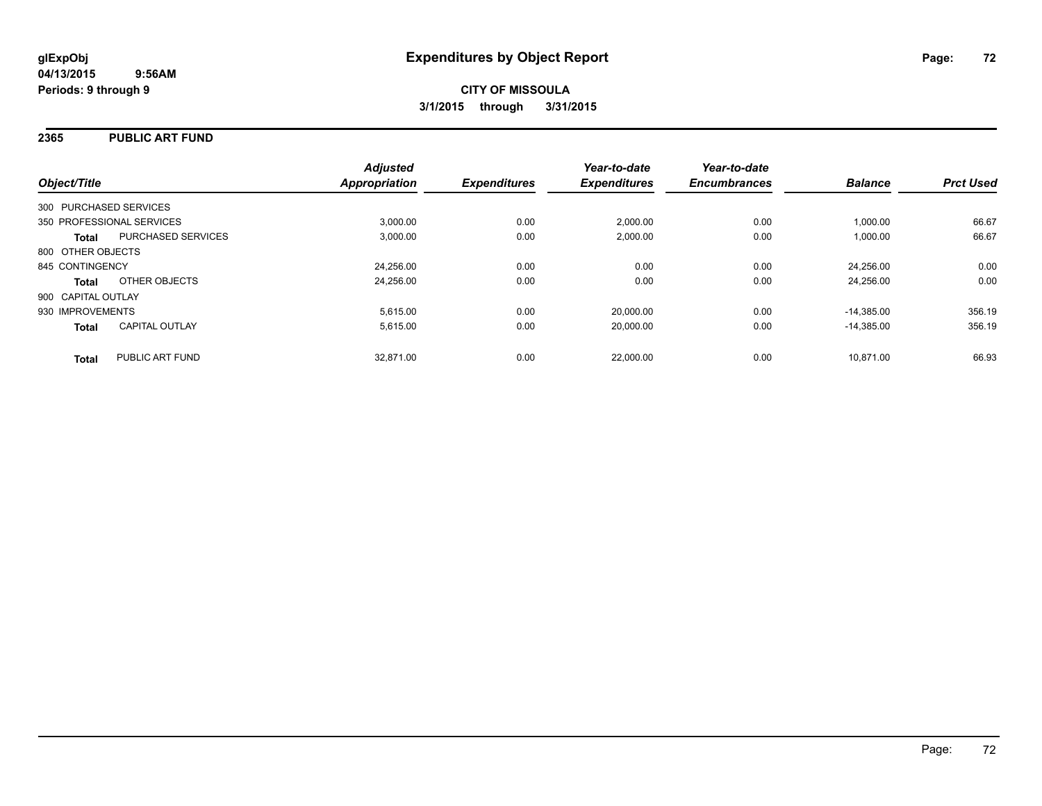### **2365 PUBLIC ART FUND**

| Object/Title                              | <b>Adjusted</b><br><b>Appropriation</b> | <b>Expenditures</b> | Year-to-date<br><b>Expenditures</b> | Year-to-date<br><b>Encumbrances</b> | <b>Balance</b> | <b>Prct Used</b> |
|-------------------------------------------|-----------------------------------------|---------------------|-------------------------------------|-------------------------------------|----------------|------------------|
| 300 PURCHASED SERVICES                    |                                         |                     |                                     |                                     |                |                  |
| 350 PROFESSIONAL SERVICES                 | 3.000.00                                | 0.00                | 2.000.00                            | 0.00                                | 1,000.00       | 66.67            |
| <b>PURCHASED SERVICES</b><br><b>Total</b> | 3.000.00                                | 0.00                | 2,000.00                            | 0.00                                | 1,000.00       | 66.67            |
| 800 OTHER OBJECTS                         |                                         |                     |                                     |                                     |                |                  |
| 845 CONTINGENCY                           | 24.256.00                               | 0.00                | 0.00                                | 0.00                                | 24.256.00      | 0.00             |
| OTHER OBJECTS<br><b>Total</b>             | 24,256.00                               | 0.00                | 0.00                                | 0.00                                | 24.256.00      | 0.00             |
| 900 CAPITAL OUTLAY                        |                                         |                     |                                     |                                     |                |                  |
| 930 IMPROVEMENTS                          | 5,615.00                                | 0.00                | 20,000.00                           | 0.00                                | $-14.385.00$   | 356.19           |
| <b>CAPITAL OUTLAY</b><br><b>Total</b>     | 5,615.00                                | 0.00                | 20,000.00                           | 0.00                                | $-14.385.00$   | 356.19           |
| PUBLIC ART FUND<br><b>Total</b>           | 32.871.00                               | 0.00                | 22.000.00                           | 0.00                                | 10.871.00      | 66.93            |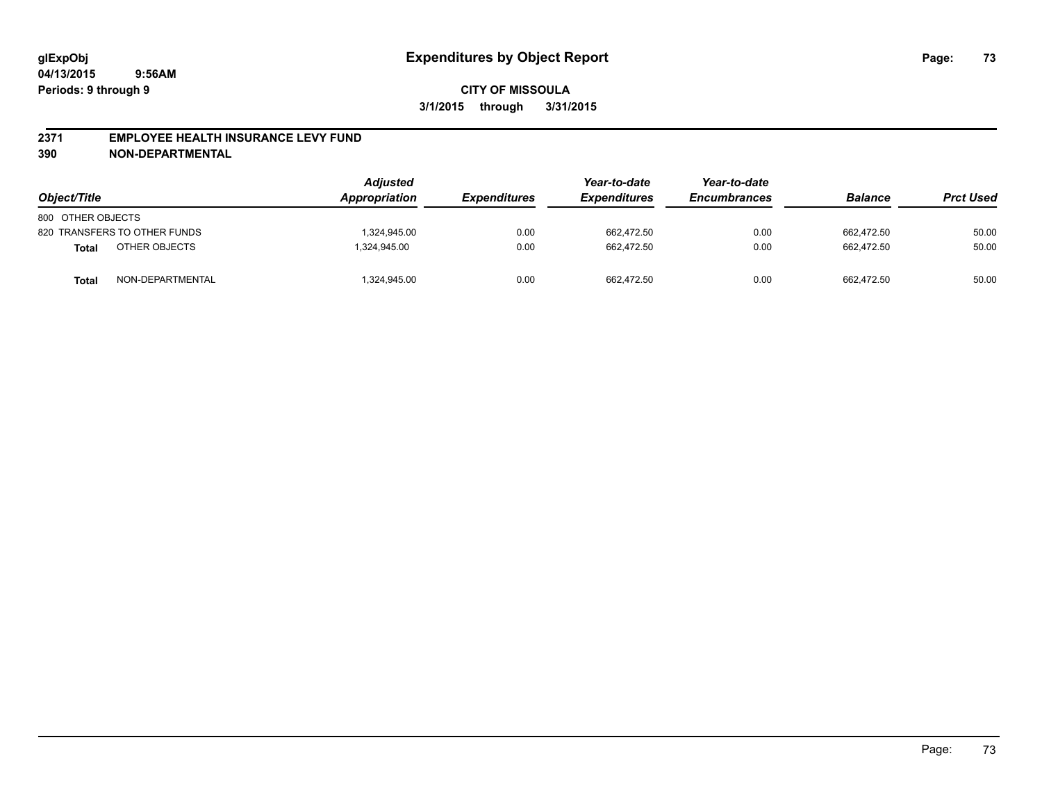### **2371 EMPLOYEE HEALTH INSURANCE LEVY FUND**

**390 NON-DEPARTMENTAL**

| Object/Title      |                              | <b>Adjusted</b><br>Appropriation | <b>Expenditures</b> | Year-to-date<br><b>Expenditures</b> | Year-to-date<br><b>Encumbrances</b> | <b>Balance</b> | <b>Prct Used</b> |
|-------------------|------------------------------|----------------------------------|---------------------|-------------------------------------|-------------------------------------|----------------|------------------|
| 800 OTHER OBJECTS |                              |                                  |                     |                                     |                                     |                |                  |
|                   | 820 TRANSFERS TO OTHER FUNDS | 1.324.945.00                     | 0.00                | 662.472.50                          | 0.00                                | 662.472.50     | 50.00            |
| <b>Total</b>      | OTHER OBJECTS                | 1.324.945.00                     | 0.00                | 662.472.50                          | 0.00                                | 662.472.50     | 50.00            |
| Total             | NON-DEPARTMENTAL             | 1,324,945.00                     | 0.00                | 662,472.50                          | 0.00                                | 662.472.50     | 50.00            |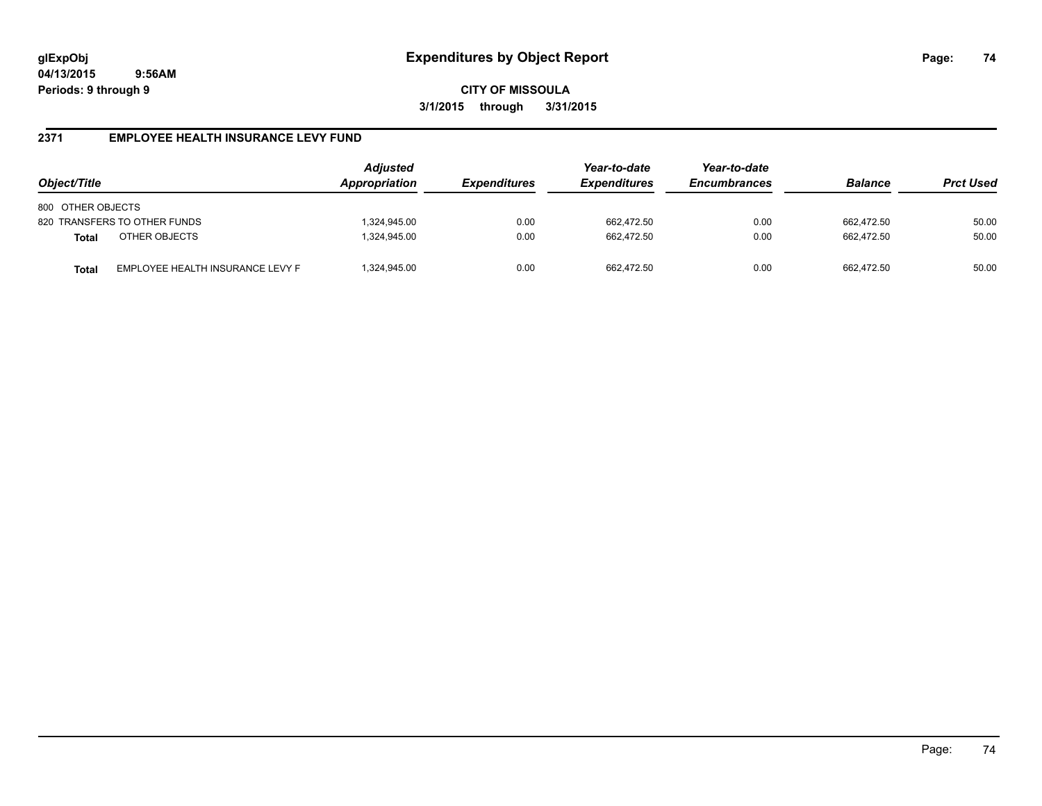**CITY OF MISSOULA 3/1/2015 through 3/31/2015**

# **2371 EMPLOYEE HEALTH INSURANCE LEVY FUND**

| Object/Title                                     | Adjusted<br>Appropriation<br><b>Expenditures</b> | Year-to-date<br><b>Expenditures</b> | Year-to-date<br><b>Encumbrances</b> | <b>Balance</b> | <b>Prct Used</b> |       |
|--------------------------------------------------|--------------------------------------------------|-------------------------------------|-------------------------------------|----------------|------------------|-------|
| 800 OTHER OBJECTS                                |                                                  |                                     |                                     |                |                  |       |
| 820 TRANSFERS TO OTHER FUNDS                     | ,324,945.00                                      | 0.00                                | 662,472.50                          | 0.00           | 662.472.50       | 50.00 |
| OTHER OBJECTS<br><b>Total</b>                    | 324,945.00                                       | 0.00                                | 662.472.50                          | 0.00           | 662.472.50       | 50.00 |
| EMPLOYEE HEALTH INSURANCE LEVY F<br><b>Total</b> | ,324,945.00                                      | 0.00                                | 662.472.50                          | 0.00           | 662.472.50       | 50.00 |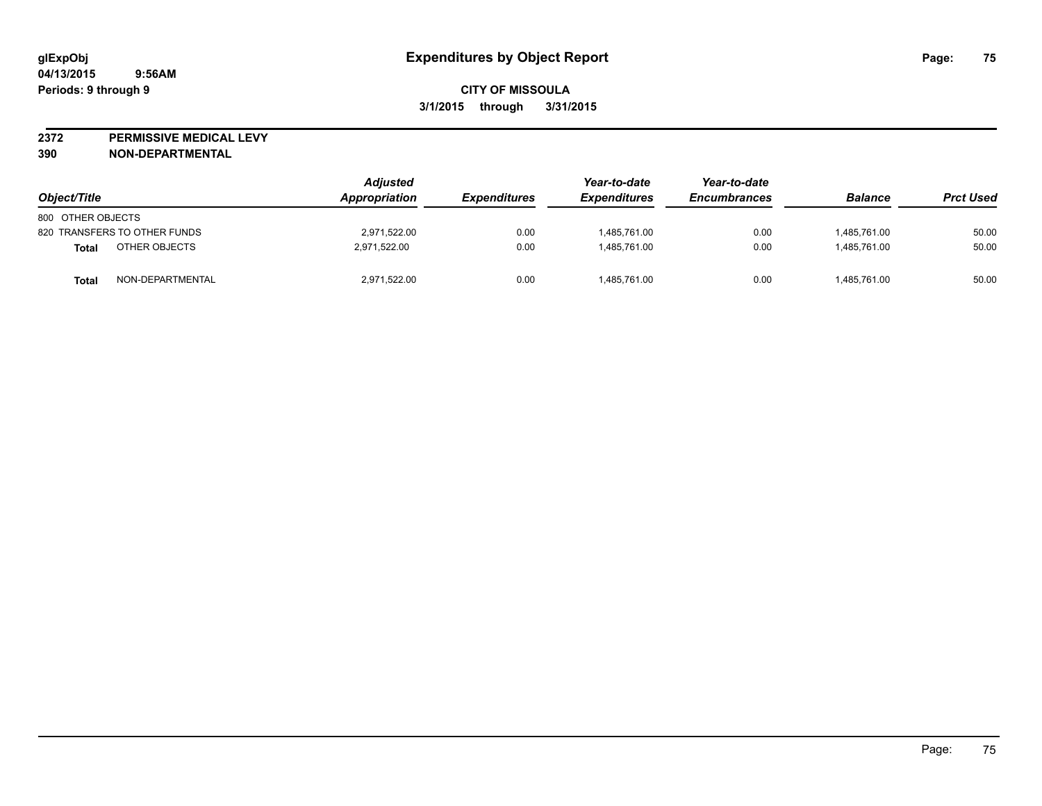**2372 PERMISSIVE MEDICAL LEVY**

**390 NON-DEPARTMENTAL**

| <i><b>Object/Title</b></i>   | <b>Adjusted</b><br>Appropriation | <i><b>Expenditures</b></i> | Year-to-date<br><b>Expenditures</b> | Year-to-date<br><b>Encumbrances</b> | <b>Balance</b> | <b>Prct Used</b> |
|------------------------------|----------------------------------|----------------------------|-------------------------------------|-------------------------------------|----------------|------------------|
| 800 OTHER OBJECTS            |                                  |                            |                                     |                                     |                |                  |
| 820 TRANSFERS TO OTHER FUNDS | 2.971.522.00                     | 0.00                       | 1.485.761.00                        | 0.00                                | 1.485.761.00   | 50.00            |
| OTHER OBJECTS<br>Total       | 2,971,522.00                     | 0.00                       | 1,485,761.00                        | 0.00                                | 1,485,761.00   | 50.00            |
| NON-DEPARTMENTAL<br>Total    | 2,971,522.00                     | 0.00                       | 1,485,761.00                        | 0.00                                | 1,485,761.00   | 50.00            |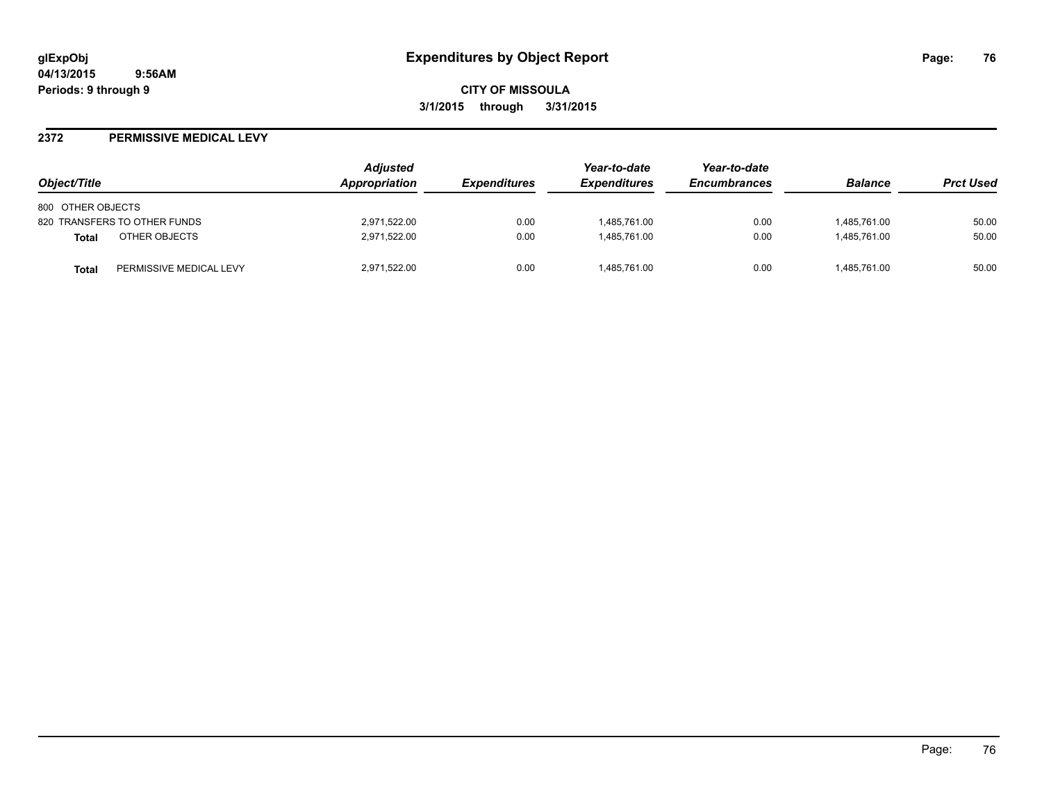**CITY OF MISSOULA 3/1/2015 through 3/31/2015**

### **2372 PERMISSIVE MEDICAL LEVY**

| Object/Title                            | Adjusted<br>Appropriation | <i><b>Expenditures</b></i> | Year-to-date<br><b>Expenditures</b> | Year-to-date<br><b>Encumbrances</b> | <b>Balance</b> | <b>Prct Used</b> |
|-----------------------------------------|---------------------------|----------------------------|-------------------------------------|-------------------------------------|----------------|------------------|
| 800 OTHER OBJECTS                       |                           |                            |                                     |                                     |                |                  |
| 820 TRANSFERS TO OTHER FUNDS            | 2,971,522.00              | 0.00                       | 1,485,761.00                        | 0.00                                | 1,485,761.00   | 50.00            |
| OTHER OBJECTS<br><b>Total</b>           | 2,971,522.00              | 0.00                       | 1.485.761.00                        | 0.00                                | 1.485.761.00   | 50.00            |
| PERMISSIVE MEDICAL LEVY<br><b>Total</b> | 2,971,522.00              | 0.00                       | 1,485,761.00                        | 0.00                                | 1,485,761.00   | 50.00            |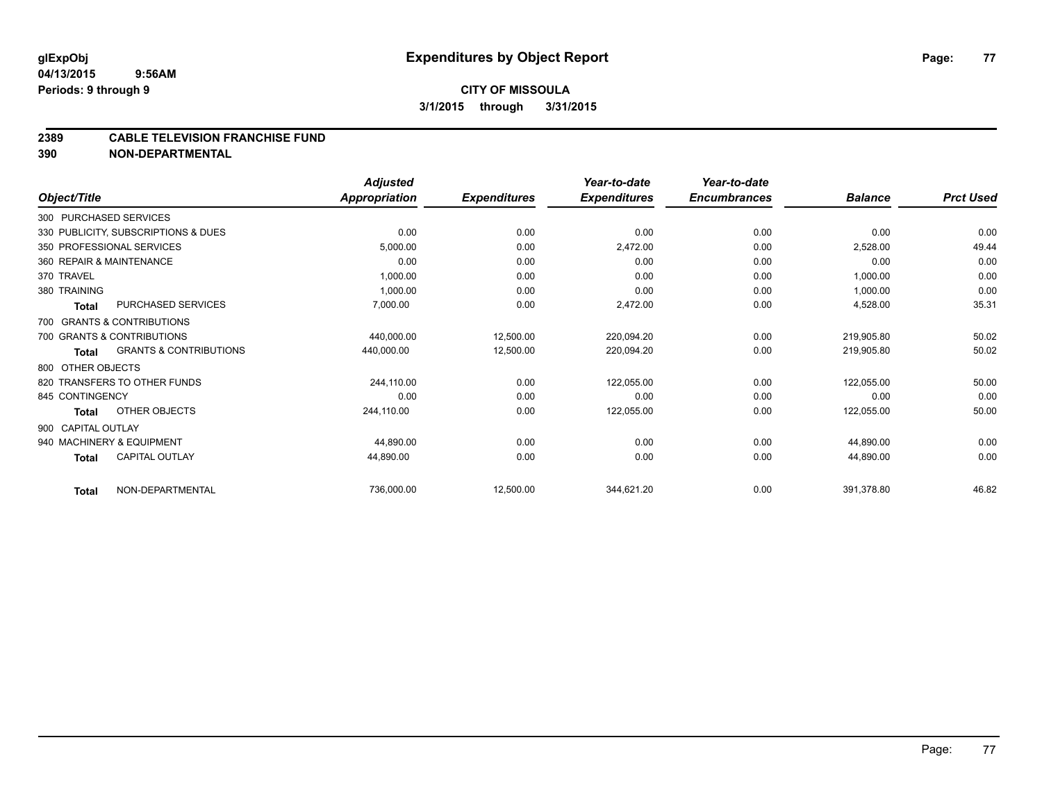### **2389 CABLE TELEVISION FRANCHISE FUND**

**390 NON-DEPARTMENTAL**

|                        |                                     | <b>Adjusted</b>      |                     | Year-to-date        | Year-to-date        |                |                  |
|------------------------|-------------------------------------|----------------------|---------------------|---------------------|---------------------|----------------|------------------|
| Object/Title           |                                     | <b>Appropriation</b> | <b>Expenditures</b> | <b>Expenditures</b> | <b>Encumbrances</b> | <b>Balance</b> | <b>Prct Used</b> |
| 300 PURCHASED SERVICES |                                     |                      |                     |                     |                     |                |                  |
|                        | 330 PUBLICITY, SUBSCRIPTIONS & DUES | 0.00                 | 0.00                | 0.00                | 0.00                | 0.00           | 0.00             |
|                        | 350 PROFESSIONAL SERVICES           | 5,000.00             | 0.00                | 2,472.00            | 0.00                | 2,528.00       | 49.44            |
|                        | 360 REPAIR & MAINTENANCE            | 0.00                 | 0.00                | 0.00                | 0.00                | 0.00           | 0.00             |
| 370 TRAVEL             |                                     | 1,000.00             | 0.00                | 0.00                | 0.00                | 1,000.00       | 0.00             |
| 380 TRAINING           |                                     | 1,000.00             | 0.00                | 0.00                | 0.00                | 1,000.00       | 0.00             |
| <b>Total</b>           | PURCHASED SERVICES                  | 7,000.00             | 0.00                | 2,472.00            | 0.00                | 4,528.00       | 35.31            |
|                        | 700 GRANTS & CONTRIBUTIONS          |                      |                     |                     |                     |                |                  |
|                        | 700 GRANTS & CONTRIBUTIONS          | 440,000.00           | 12,500.00           | 220,094.20          | 0.00                | 219,905.80     | 50.02            |
| <b>Total</b>           | <b>GRANTS &amp; CONTRIBUTIONS</b>   | 440,000.00           | 12,500.00           | 220,094.20          | 0.00                | 219,905.80     | 50.02            |
| 800 OTHER OBJECTS      |                                     |                      |                     |                     |                     |                |                  |
|                        | 820 TRANSFERS TO OTHER FUNDS        | 244.110.00           | 0.00                | 122,055.00          | 0.00                | 122,055.00     | 50.00            |
| 845 CONTINGENCY        |                                     | 0.00                 | 0.00                | 0.00                | 0.00                | 0.00           | 0.00             |
| Total                  | OTHER OBJECTS                       | 244,110.00           | 0.00                | 122,055.00          | 0.00                | 122,055.00     | 50.00            |
| 900 CAPITAL OUTLAY     |                                     |                      |                     |                     |                     |                |                  |
|                        | 940 MACHINERY & EQUIPMENT           | 44,890.00            | 0.00                | 0.00                | 0.00                | 44,890.00      | 0.00             |
| <b>Total</b>           | <b>CAPITAL OUTLAY</b>               | 44,890.00            | 0.00                | 0.00                | 0.00                | 44,890.00      | 0.00             |
| <b>Total</b>           | NON-DEPARTMENTAL                    | 736,000.00           | 12,500.00           | 344,621.20          | 0.00                | 391,378.80     | 46.82            |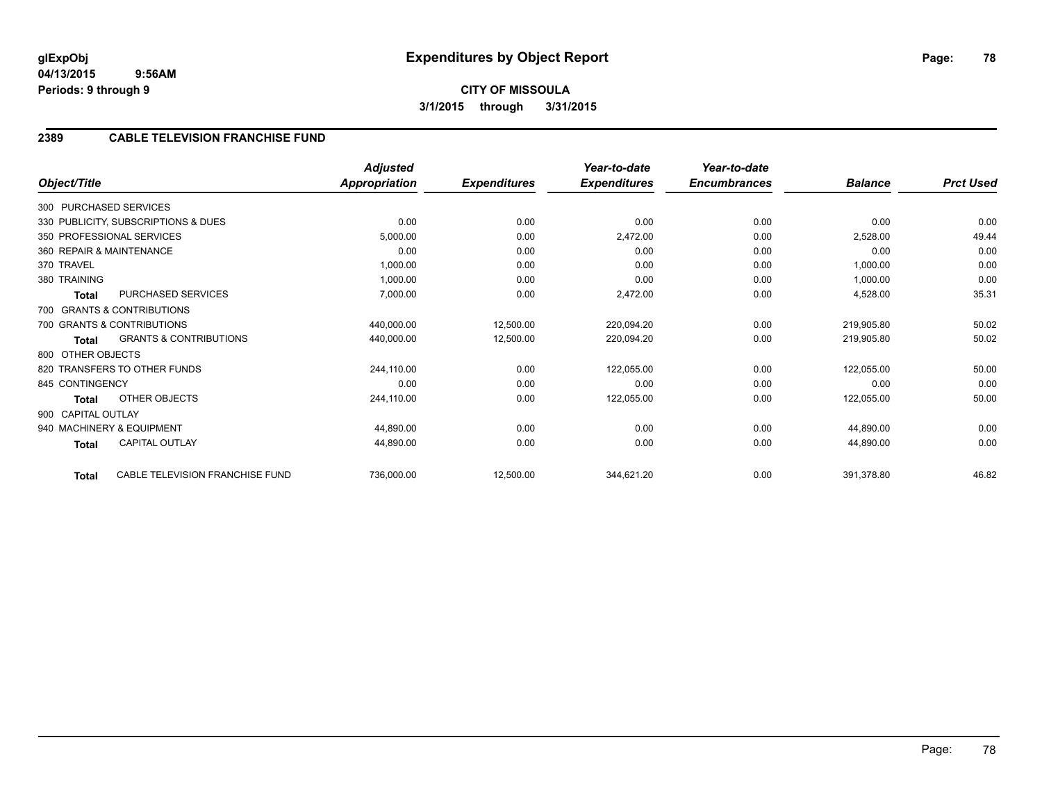## **2389 CABLE TELEVISION FRANCHISE FUND**

| Object/Title       |                                     | <b>Adjusted</b><br><b>Appropriation</b> | <b>Expenditures</b> | Year-to-date<br><b>Expenditures</b> | Year-to-date<br><b>Encumbrances</b> | <b>Balance</b> | <b>Prct Used</b> |
|--------------------|-------------------------------------|-----------------------------------------|---------------------|-------------------------------------|-------------------------------------|----------------|------------------|
|                    |                                     |                                         |                     |                                     |                                     |                |                  |
|                    | 300 PURCHASED SERVICES              |                                         |                     |                                     |                                     |                |                  |
|                    | 330 PUBLICITY, SUBSCRIPTIONS & DUES | 0.00                                    | 0.00                | 0.00                                | 0.00                                | 0.00           | 0.00             |
|                    | 350 PROFESSIONAL SERVICES           | 5,000.00                                | 0.00                | 2,472.00                            | 0.00                                | 2,528.00       | 49.44            |
|                    | 360 REPAIR & MAINTENANCE            | 0.00                                    | 0.00                | 0.00                                | 0.00                                | 0.00           | 0.00             |
| 370 TRAVEL         |                                     | 1,000.00                                | 0.00                | 0.00                                | 0.00                                | 1,000.00       | 0.00             |
| 380 TRAINING       |                                     | 1,000.00                                | 0.00                | 0.00                                | 0.00                                | 1,000.00       | 0.00             |
| Total              | PURCHASED SERVICES                  | 7,000.00                                | 0.00                | 2,472.00                            | 0.00                                | 4,528.00       | 35.31            |
|                    | 700 GRANTS & CONTRIBUTIONS          |                                         |                     |                                     |                                     |                |                  |
|                    | 700 GRANTS & CONTRIBUTIONS          | 440,000.00                              | 12,500.00           | 220,094.20                          | 0.00                                | 219,905.80     | 50.02            |
| Total              | <b>GRANTS &amp; CONTRIBUTIONS</b>   | 440,000.00                              | 12,500.00           | 220,094.20                          | 0.00                                | 219,905.80     | 50.02            |
| 800 OTHER OBJECTS  |                                     |                                         |                     |                                     |                                     |                |                  |
|                    | 820 TRANSFERS TO OTHER FUNDS        | 244,110.00                              | 0.00                | 122,055.00                          | 0.00                                | 122,055.00     | 50.00            |
| 845 CONTINGENCY    |                                     | 0.00                                    | 0.00                | 0.00                                | 0.00                                | 0.00           | 0.00             |
| Total              | OTHER OBJECTS                       | 244,110.00                              | 0.00                | 122,055.00                          | 0.00                                | 122,055.00     | 50.00            |
| 900 CAPITAL OUTLAY |                                     |                                         |                     |                                     |                                     |                |                  |
|                    | 940 MACHINERY & EQUIPMENT           | 44,890.00                               | 0.00                | 0.00                                | 0.00                                | 44,890.00      | 0.00             |
| Total              | <b>CAPITAL OUTLAY</b>               | 44,890.00                               | 0.00                | 0.00                                | 0.00                                | 44,890.00      | 0.00             |
| <b>Total</b>       | CABLE TELEVISION FRANCHISE FUND     | 736,000.00                              | 12,500.00           | 344,621.20                          | 0.00                                | 391,378.80     | 46.82            |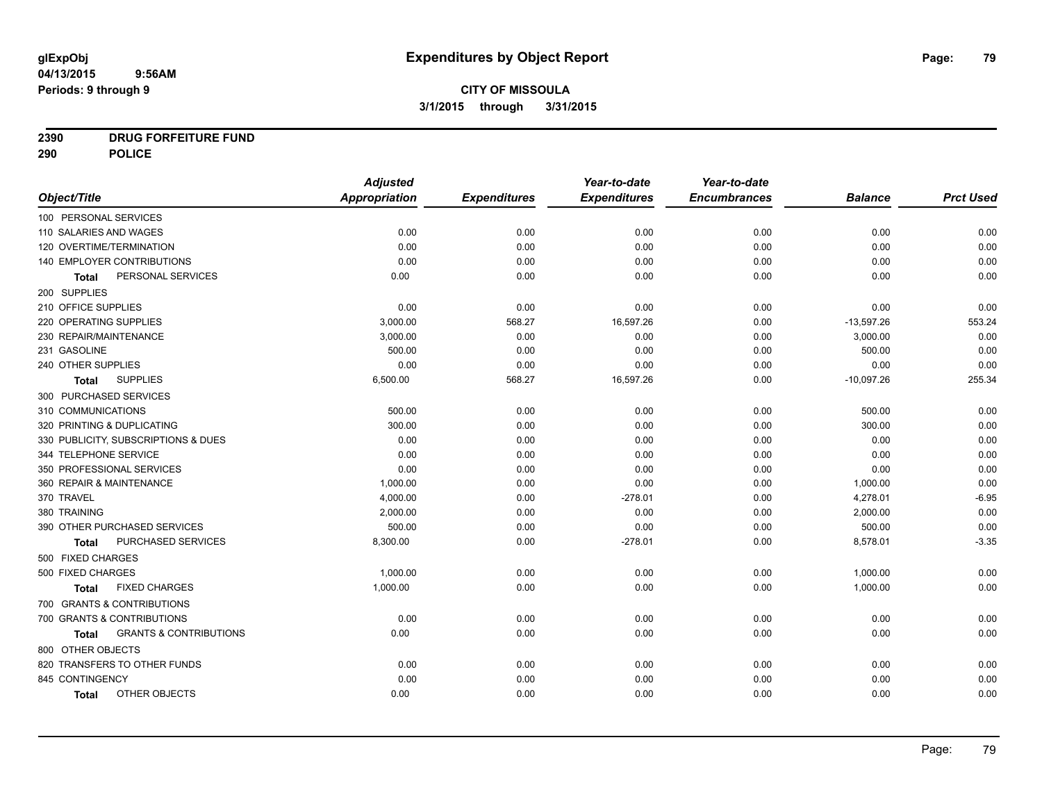# **2390 DRUG FORFEITURE FUND**

**290 POLICE**

|                                            | <b>Adjusted</b>      |                     | Year-to-date        | Year-to-date        |                |                  |
|--------------------------------------------|----------------------|---------------------|---------------------|---------------------|----------------|------------------|
| Object/Title                               | <b>Appropriation</b> | <b>Expenditures</b> | <b>Expenditures</b> | <b>Encumbrances</b> | <b>Balance</b> | <b>Prct Used</b> |
| 100 PERSONAL SERVICES                      |                      |                     |                     |                     |                |                  |
| 110 SALARIES AND WAGES                     | 0.00                 | 0.00                | 0.00                | 0.00                | 0.00           | 0.00             |
| 120 OVERTIME/TERMINATION                   | 0.00                 | 0.00                | 0.00                | 0.00                | 0.00           | 0.00             |
| 140 EMPLOYER CONTRIBUTIONS                 | 0.00                 | 0.00                | 0.00                | 0.00                | 0.00           | 0.00             |
| PERSONAL SERVICES<br>Total                 | 0.00                 | 0.00                | 0.00                | 0.00                | 0.00           | 0.00             |
| 200 SUPPLIES                               |                      |                     |                     |                     |                |                  |
| 210 OFFICE SUPPLIES                        | 0.00                 | 0.00                | 0.00                | 0.00                | 0.00           | 0.00             |
| 220 OPERATING SUPPLIES                     | 3,000.00             | 568.27              | 16,597.26           | 0.00                | $-13,597.26$   | 553.24           |
| 230 REPAIR/MAINTENANCE                     | 3,000.00             | 0.00                | 0.00                | 0.00                | 3,000.00       | 0.00             |
| 231 GASOLINE                               | 500.00               | 0.00                | 0.00                | 0.00                | 500.00         | 0.00             |
| 240 OTHER SUPPLIES                         | 0.00                 | 0.00                | 0.00                | 0.00                | 0.00           | 0.00             |
| <b>SUPPLIES</b><br>Total                   | 6,500.00             | 568.27              | 16,597.26           | 0.00                | $-10,097.26$   | 255.34           |
| 300 PURCHASED SERVICES                     |                      |                     |                     |                     |                |                  |
| 310 COMMUNICATIONS                         | 500.00               | 0.00                | 0.00                | 0.00                | 500.00         | 0.00             |
| 320 PRINTING & DUPLICATING                 | 300.00               | 0.00                | 0.00                | 0.00                | 300.00         | 0.00             |
| 330 PUBLICITY, SUBSCRIPTIONS & DUES        | 0.00                 | 0.00                | 0.00                | 0.00                | 0.00           | 0.00             |
| 344 TELEPHONE SERVICE                      | 0.00                 | 0.00                | 0.00                | 0.00                | 0.00           | 0.00             |
| 350 PROFESSIONAL SERVICES                  | 0.00                 | 0.00                | 0.00                | 0.00                | 0.00           | 0.00             |
| 360 REPAIR & MAINTENANCE                   | 1,000.00             | 0.00                | 0.00                | 0.00                | 1,000.00       | 0.00             |
| 370 TRAVEL                                 | 4,000.00             | 0.00                | $-278.01$           | 0.00                | 4,278.01       | $-6.95$          |
| 380 TRAINING                               | 2,000.00             | 0.00                | 0.00                | 0.00                | 2,000.00       | 0.00             |
| 390 OTHER PURCHASED SERVICES               | 500.00               | 0.00                | 0.00                | 0.00                | 500.00         | 0.00             |
| PURCHASED SERVICES<br>Total                | 8,300.00             | 0.00                | $-278.01$           | 0.00                | 8,578.01       | $-3.35$          |
| 500 FIXED CHARGES                          |                      |                     |                     |                     |                |                  |
| 500 FIXED CHARGES                          | 1,000.00             | 0.00                | 0.00                | 0.00                | 1,000.00       | 0.00             |
| <b>FIXED CHARGES</b><br>Total              | 1,000.00             | 0.00                | 0.00                | 0.00                | 1,000.00       | 0.00             |
| 700 GRANTS & CONTRIBUTIONS                 |                      |                     |                     |                     |                |                  |
| 700 GRANTS & CONTRIBUTIONS                 | 0.00                 | 0.00                | 0.00                | 0.00                | 0.00           | 0.00             |
| <b>GRANTS &amp; CONTRIBUTIONS</b><br>Total | 0.00                 | 0.00                | 0.00                | 0.00                | 0.00           | 0.00             |
| 800 OTHER OBJECTS                          |                      |                     |                     |                     |                |                  |
| 820 TRANSFERS TO OTHER FUNDS               | 0.00                 | 0.00                | 0.00                | 0.00                | 0.00           | 0.00             |
| 845 CONTINGENCY                            | 0.00                 | 0.00                | 0.00                | 0.00                | 0.00           | 0.00             |
| OTHER OBJECTS<br>Total                     | 0.00                 | 0.00                | 0.00                | 0.00                | 0.00           | 0.00             |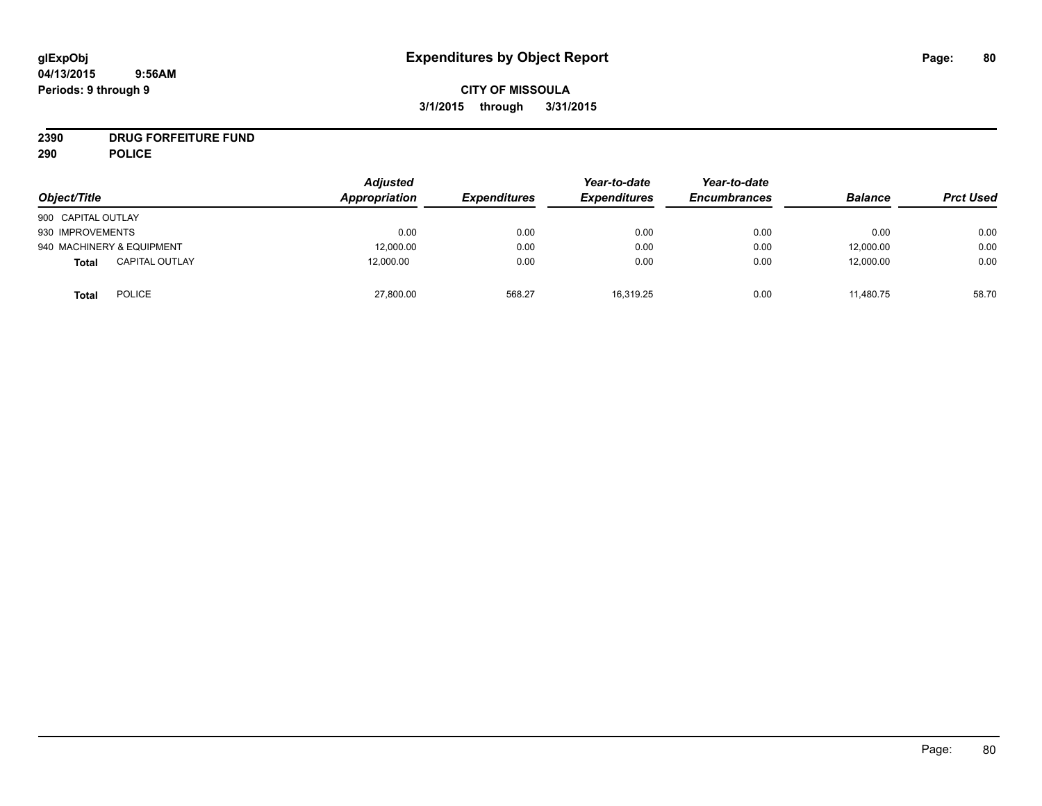**CITY OF MISSOULA 3/1/2015 through 3/31/2015**

**2390 DRUG FORFEITURE FUND**

**290 POLICE**

| Object/Title                          | <b>Adjusted</b><br>Appropriation | <b>Expenditures</b> | Year-to-date<br><b>Expenditures</b> | Year-to-date<br><b>Encumbrances</b> | <b>Balance</b> | <b>Prct Used</b> |
|---------------------------------------|----------------------------------|---------------------|-------------------------------------|-------------------------------------|----------------|------------------|
| 900 CAPITAL OUTLAY                    |                                  |                     |                                     |                                     |                |                  |
| 930 IMPROVEMENTS                      | 0.00                             | 0.00                | 0.00                                | 0.00                                | 0.00           | 0.00             |
| 940 MACHINERY & EQUIPMENT             | 12,000.00                        | 0.00                | 0.00                                | 0.00                                | 12,000.00      | 0.00             |
| <b>CAPITAL OUTLAY</b><br><b>Total</b> | 12,000.00                        | 0.00                | 0.00                                | 0.00                                | 12,000.00      | 0.00             |
| <b>POLICE</b><br>Total                | 27,800.00                        | 568.27              | 16,319.25                           | 0.00                                | 11,480.75      | 58.70            |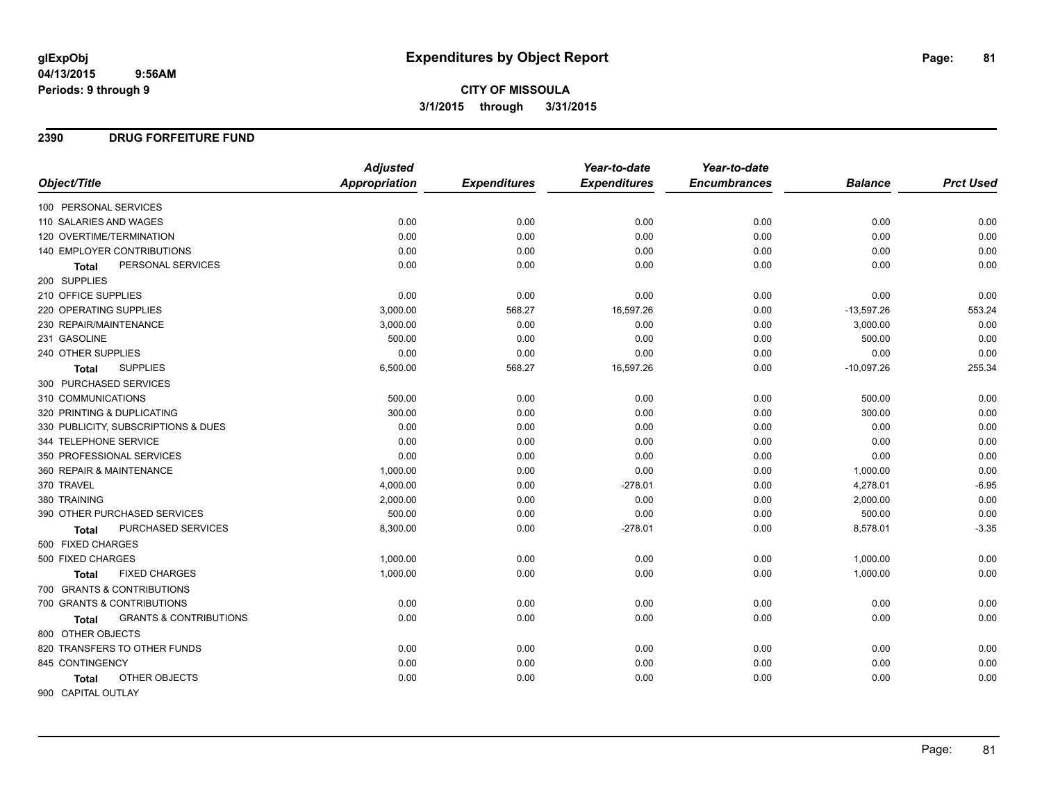**3/1/2015 through 3/31/2015**

### **2390 DRUG FORFEITURE FUND**

|                                                   | <b>Adjusted</b>      |                     | Year-to-date        | Year-to-date        |                |                  |
|---------------------------------------------------|----------------------|---------------------|---------------------|---------------------|----------------|------------------|
| Object/Title                                      | <b>Appropriation</b> | <b>Expenditures</b> | <b>Expenditures</b> | <b>Encumbrances</b> | <b>Balance</b> | <b>Prct Used</b> |
| 100 PERSONAL SERVICES                             |                      |                     |                     |                     |                |                  |
| 110 SALARIES AND WAGES                            | 0.00                 | 0.00                | 0.00                | 0.00                | 0.00           | 0.00             |
| 120 OVERTIME/TERMINATION                          | 0.00                 | 0.00                | 0.00                | 0.00                | 0.00           | 0.00             |
| 140 EMPLOYER CONTRIBUTIONS                        | 0.00                 | 0.00                | 0.00                | 0.00                | 0.00           | 0.00             |
| PERSONAL SERVICES<br><b>Total</b>                 | 0.00                 | 0.00                | 0.00                | 0.00                | 0.00           | 0.00             |
| 200 SUPPLIES                                      |                      |                     |                     |                     |                |                  |
| 210 OFFICE SUPPLIES                               | 0.00                 | 0.00                | 0.00                | 0.00                | 0.00           | 0.00             |
| 220 OPERATING SUPPLIES                            | 3,000.00             | 568.27              | 16,597.26           | 0.00                | $-13,597.26$   | 553.24           |
| 230 REPAIR/MAINTENANCE                            | 3,000.00             | 0.00                | 0.00                | 0.00                | 3,000.00       | 0.00             |
| 231 GASOLINE                                      | 500.00               | 0.00                | 0.00                | 0.00                | 500.00         | 0.00             |
| 240 OTHER SUPPLIES                                | 0.00                 | 0.00                | 0.00                | 0.00                | 0.00           | 0.00             |
| <b>SUPPLIES</b><br><b>Total</b>                   | 6,500.00             | 568.27              | 16,597.26           | 0.00                | $-10,097.26$   | 255.34           |
| 300 PURCHASED SERVICES                            |                      |                     |                     |                     |                |                  |
| 310 COMMUNICATIONS                                | 500.00               | 0.00                | 0.00                | 0.00                | 500.00         | 0.00             |
| 320 PRINTING & DUPLICATING                        | 300.00               | 0.00                | 0.00                | 0.00                | 300.00         | 0.00             |
| 330 PUBLICITY, SUBSCRIPTIONS & DUES               | 0.00                 | 0.00                | 0.00                | 0.00                | 0.00           | 0.00             |
| 344 TELEPHONE SERVICE                             | 0.00                 | 0.00                | 0.00                | 0.00                | 0.00           | 0.00             |
| 350 PROFESSIONAL SERVICES                         | 0.00                 | 0.00                | 0.00                | 0.00                | 0.00           | 0.00             |
| 360 REPAIR & MAINTENANCE                          | 1,000.00             | 0.00                | 0.00                | 0.00                | 1,000.00       | 0.00             |
| 370 TRAVEL                                        | 4,000.00             | 0.00                | $-278.01$           | 0.00                | 4,278.01       | $-6.95$          |
| 380 TRAINING                                      | 2,000.00             | 0.00                | 0.00                | 0.00                | 2,000.00       | 0.00             |
| 390 OTHER PURCHASED SERVICES                      | 500.00               | 0.00                | 0.00                | 0.00                | 500.00         | 0.00             |
| PURCHASED SERVICES<br><b>Total</b>                | 8,300.00             | 0.00                | $-278.01$           | 0.00                | 8,578.01       | $-3.35$          |
| 500 FIXED CHARGES                                 |                      |                     |                     |                     |                |                  |
| 500 FIXED CHARGES                                 | 1,000.00             | 0.00                | 0.00                | 0.00                | 1,000.00       | 0.00             |
| <b>FIXED CHARGES</b><br><b>Total</b>              | 1,000.00             | 0.00                | 0.00                | 0.00                | 1,000.00       | 0.00             |
| 700 GRANTS & CONTRIBUTIONS                        |                      |                     |                     |                     |                |                  |
| 700 GRANTS & CONTRIBUTIONS                        | 0.00                 | 0.00                | 0.00                | 0.00                | 0.00           | 0.00             |
| <b>GRANTS &amp; CONTRIBUTIONS</b><br><b>Total</b> | 0.00                 | 0.00                | 0.00                | 0.00                | 0.00           | 0.00             |
| 800 OTHER OBJECTS                                 |                      |                     |                     |                     |                |                  |
| 820 TRANSFERS TO OTHER FUNDS                      | 0.00                 | 0.00                | 0.00                | 0.00                | 0.00           | 0.00             |
| 845 CONTINGENCY                                   | 0.00                 | 0.00                | 0.00                | 0.00                | 0.00           | 0.00             |
| OTHER OBJECTS<br><b>Total</b>                     | 0.00                 | 0.00                | 0.00                | 0.00                | 0.00           | 0.00             |
| 900 CAPITAL OUTLAY                                |                      |                     |                     |                     |                |                  |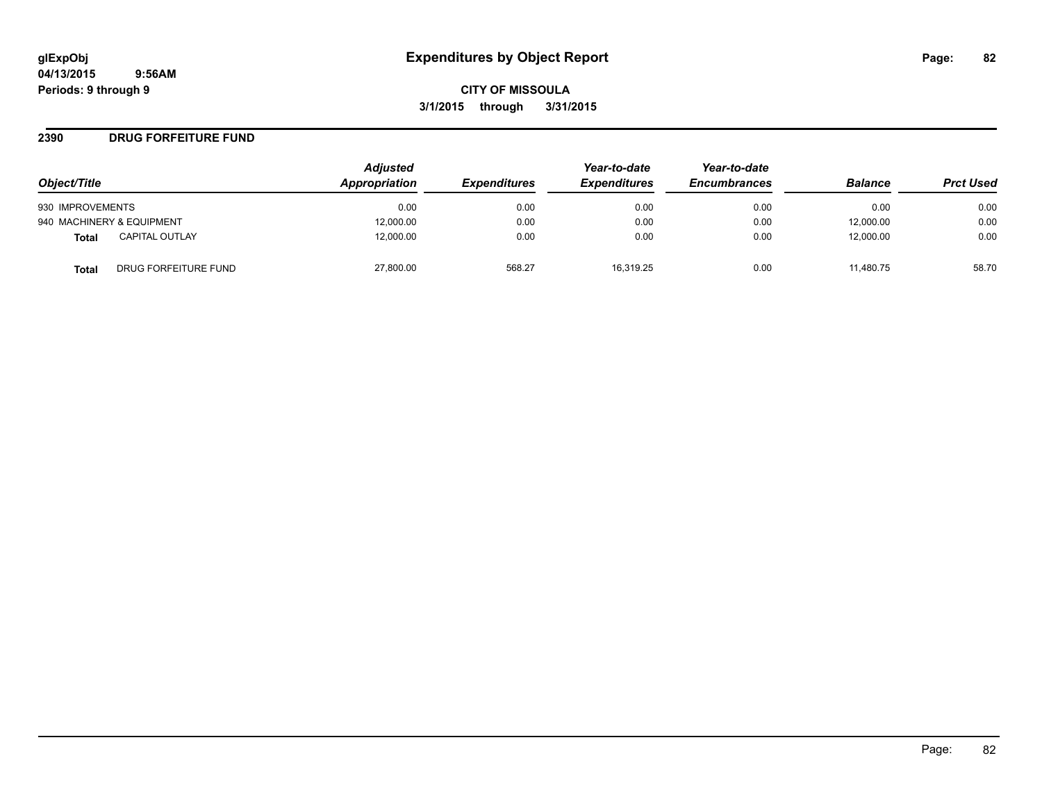**CITY OF MISSOULA 3/1/2015 through 3/31/2015**

### **2390 DRUG FORFEITURE FUND**

| Object/Title                         | <b>Adjusted</b><br>Appropriation | <b>Expenditures</b> | Year-to-date<br><b>Expenditures</b> | Year-to-date<br><b>Encumbrances</b> | <b>Balance</b> | <b>Prct Used</b> |
|--------------------------------------|----------------------------------|---------------------|-------------------------------------|-------------------------------------|----------------|------------------|
|                                      |                                  |                     |                                     |                                     |                |                  |
| 930 IMPROVEMENTS                     | 0.00                             | 0.00                | 0.00                                | 0.00                                | 0.00           | 0.00             |
| 940 MACHINERY & EQUIPMENT            | 12,000.00                        | 0.00                | 0.00                                | 0.00                                | 12,000.00      | 0.00             |
| <b>CAPITAL OUTLAY</b><br>Total       | 12,000.00                        | 0.00                | 0.00                                | 0.00                                | 12,000.00      | 0.00             |
| DRUG FORFEITURE FUND<br><b>Total</b> | 27,800.00                        | 568.27              | 16.319.25                           | 0.00                                | 11,480.75      | 58.70            |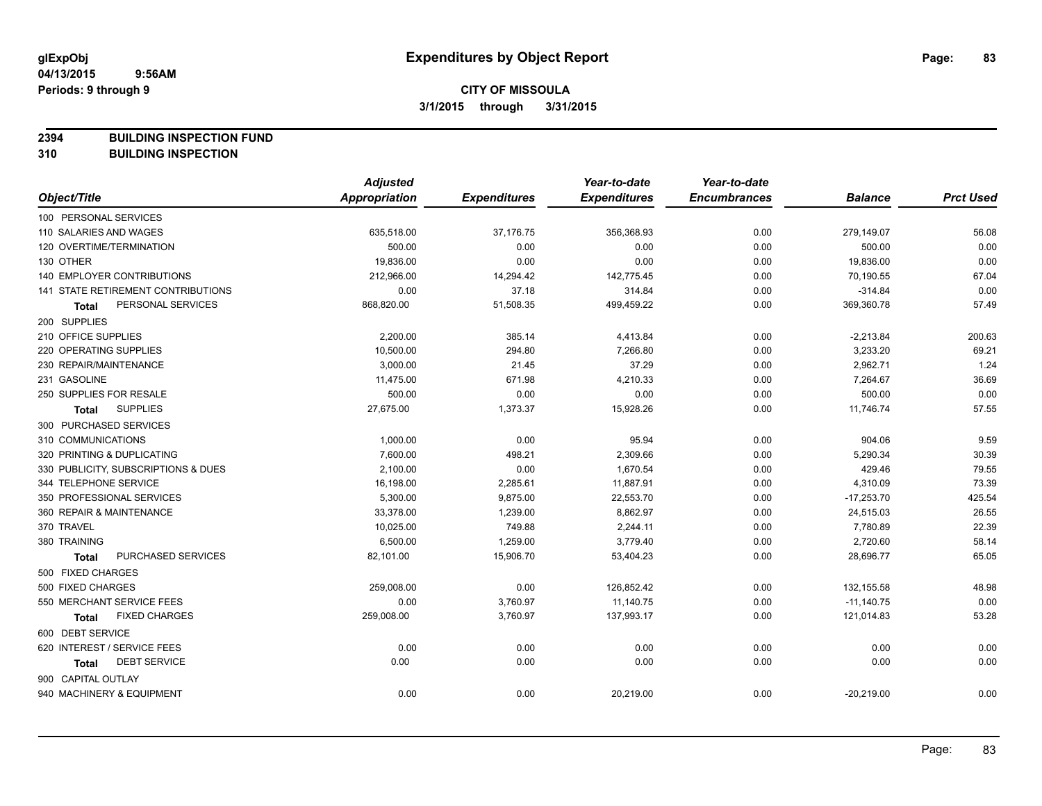**2394 BUILDING INSPECTION FUND**

**310 BUILDING INSPECTION**

|                                           | <b>Adjusted</b>      |                     | Year-to-date        | Year-to-date        |                |                  |
|-------------------------------------------|----------------------|---------------------|---------------------|---------------------|----------------|------------------|
| Object/Title                              | <b>Appropriation</b> | <b>Expenditures</b> | <b>Expenditures</b> | <b>Encumbrances</b> | <b>Balance</b> | <b>Prct Used</b> |
| 100 PERSONAL SERVICES                     |                      |                     |                     |                     |                |                  |
| 110 SALARIES AND WAGES                    | 635,518.00           | 37,176.75           | 356,368.93          | 0.00                | 279,149.07     | 56.08            |
| 120 OVERTIME/TERMINATION                  | 500.00               | 0.00                | 0.00                | 0.00                | 500.00         | 0.00             |
| 130 OTHER                                 | 19,836.00            | 0.00                | 0.00                | 0.00                | 19,836.00      | 0.00             |
| 140 EMPLOYER CONTRIBUTIONS                | 212,966.00           | 14,294.42           | 142,775.45          | 0.00                | 70,190.55      | 67.04            |
| <b>141 STATE RETIREMENT CONTRIBUTIONS</b> | 0.00                 | 37.18               | 314.84              | 0.00                | $-314.84$      | 0.00             |
| PERSONAL SERVICES<br><b>Total</b>         | 868,820.00           | 51,508.35           | 499,459.22          | 0.00                | 369,360.78     | 57.49            |
| 200 SUPPLIES                              |                      |                     |                     |                     |                |                  |
| 210 OFFICE SUPPLIES                       | 2,200.00             | 385.14              | 4,413.84            | 0.00                | $-2,213.84$    | 200.63           |
| 220 OPERATING SUPPLIES                    | 10,500.00            | 294.80              | 7,266.80            | 0.00                | 3,233.20       | 69.21            |
| 230 REPAIR/MAINTENANCE                    | 3,000.00             | 21.45               | 37.29               | 0.00                | 2,962.71       | 1.24             |
| 231 GASOLINE                              | 11,475.00            | 671.98              | 4,210.33            | 0.00                | 7,264.67       | 36.69            |
| 250 SUPPLIES FOR RESALE                   | 500.00               | 0.00                | 0.00                | 0.00                | 500.00         | 0.00             |
| <b>SUPPLIES</b><br><b>Total</b>           | 27,675.00            | 1,373.37            | 15,928.26           | 0.00                | 11,746.74      | 57.55            |
| 300 PURCHASED SERVICES                    |                      |                     |                     |                     |                |                  |
| 310 COMMUNICATIONS                        | 1,000.00             | 0.00                | 95.94               | 0.00                | 904.06         | 9.59             |
| 320 PRINTING & DUPLICATING                | 7,600.00             | 498.21              | 2,309.66            | 0.00                | 5,290.34       | 30.39            |
| 330 PUBLICITY, SUBSCRIPTIONS & DUES       | 2,100.00             | 0.00                | 1,670.54            | 0.00                | 429.46         | 79.55            |
| 344 TELEPHONE SERVICE                     | 16,198.00            | 2,285.61            | 11,887.91           | 0.00                | 4,310.09       | 73.39            |
| 350 PROFESSIONAL SERVICES                 | 5,300.00             | 9,875.00            | 22,553.70           | 0.00                | $-17,253.70$   | 425.54           |
| 360 REPAIR & MAINTENANCE                  | 33,378.00            | 1,239.00            | 8,862.97            | 0.00                | 24,515.03      | 26.55            |
| 370 TRAVEL                                | 10,025.00            | 749.88              | 2,244.11            | 0.00                | 7,780.89       | 22.39            |
| 380 TRAINING                              | 6,500.00             | 1,259.00            | 3,779.40            | 0.00                | 2,720.60       | 58.14            |
| PURCHASED SERVICES<br><b>Total</b>        | 82,101.00            | 15,906.70           | 53,404.23           | 0.00                | 28,696.77      | 65.05            |
| 500 FIXED CHARGES                         |                      |                     |                     |                     |                |                  |
| 500 FIXED CHARGES                         | 259,008.00           | 0.00                | 126,852.42          | 0.00                | 132,155.58     | 48.98            |
| 550 MERCHANT SERVICE FEES                 | 0.00                 | 3,760.97            | 11,140.75           | 0.00                | $-11,140.75$   | 0.00             |
| <b>FIXED CHARGES</b><br><b>Total</b>      | 259,008.00           | 3,760.97            | 137,993.17          | 0.00                | 121,014.83     | 53.28            |
| 600 DEBT SERVICE                          |                      |                     |                     |                     |                |                  |
| 620 INTEREST / SERVICE FEES               | 0.00                 | 0.00                | 0.00                | 0.00                | 0.00           | 0.00             |
| <b>DEBT SERVICE</b><br>Total              | 0.00                 | 0.00                | 0.00                | 0.00                | 0.00           | 0.00             |
| 900 CAPITAL OUTLAY                        |                      |                     |                     |                     |                |                  |
| 940 MACHINERY & EQUIPMENT                 | 0.00                 | 0.00                | 20,219.00           | 0.00                | $-20,219.00$   | 0.00             |
|                                           |                      |                     |                     |                     |                |                  |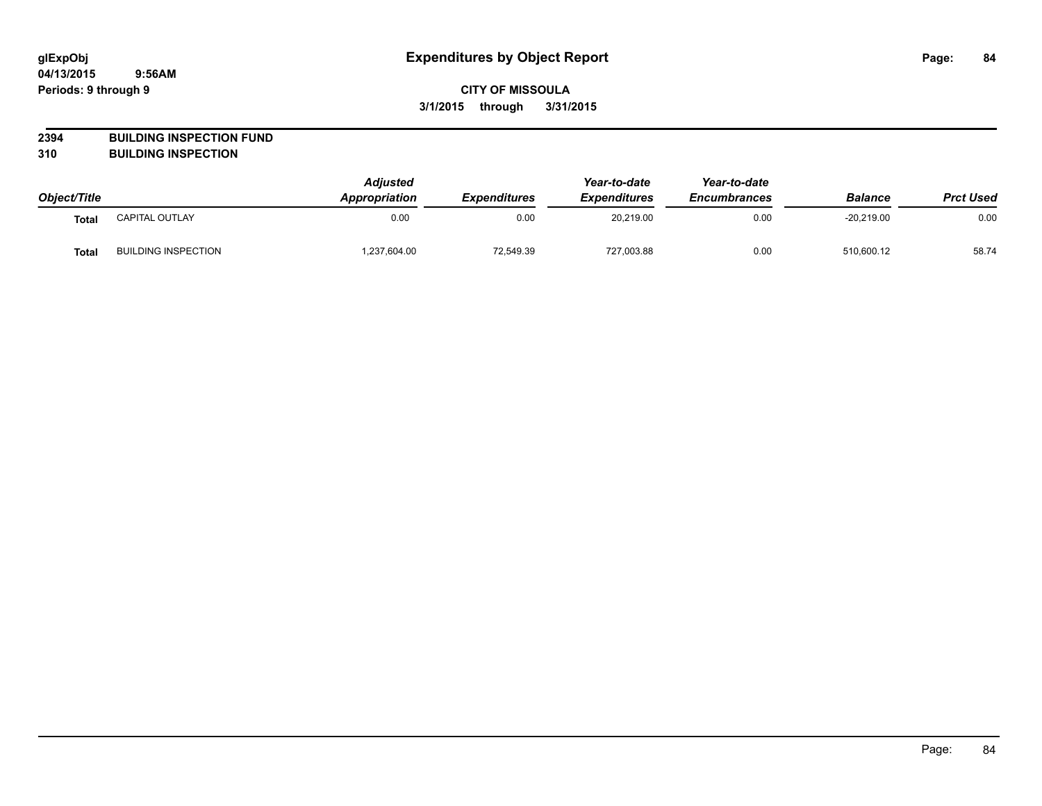**CITY OF MISSOULA 3/1/2015 through 3/31/2015**

## **2394 BUILDING INSPECTION FUND**

**310 BUILDING INSPECTION**

|              |                            | <b>Adjusted</b>      |                            | Year-to-date<br><b>Expenditures</b> | Year-to-date<br><b>Encumbrances</b> | <b>Balance</b> | <b>Prct Used</b> |
|--------------|----------------------------|----------------------|----------------------------|-------------------------------------|-------------------------------------|----------------|------------------|
| Object/Title |                            | <b>Appropriation</b> | <i><b>Expenditures</b></i> |                                     |                                     |                |                  |
| Tota.        | CAPITAL OUTLAY             | 0.00                 | 0.00                       | 20,219.00                           | 0.00                                | $-20,219.00$   | 0.00             |
| <b>Total</b> | <b>BUILDING INSPECTION</b> | 1,237,604.00         | 72,549.39                  | 727,003.88                          | 0.00                                | 510,600.12     | 58.74            |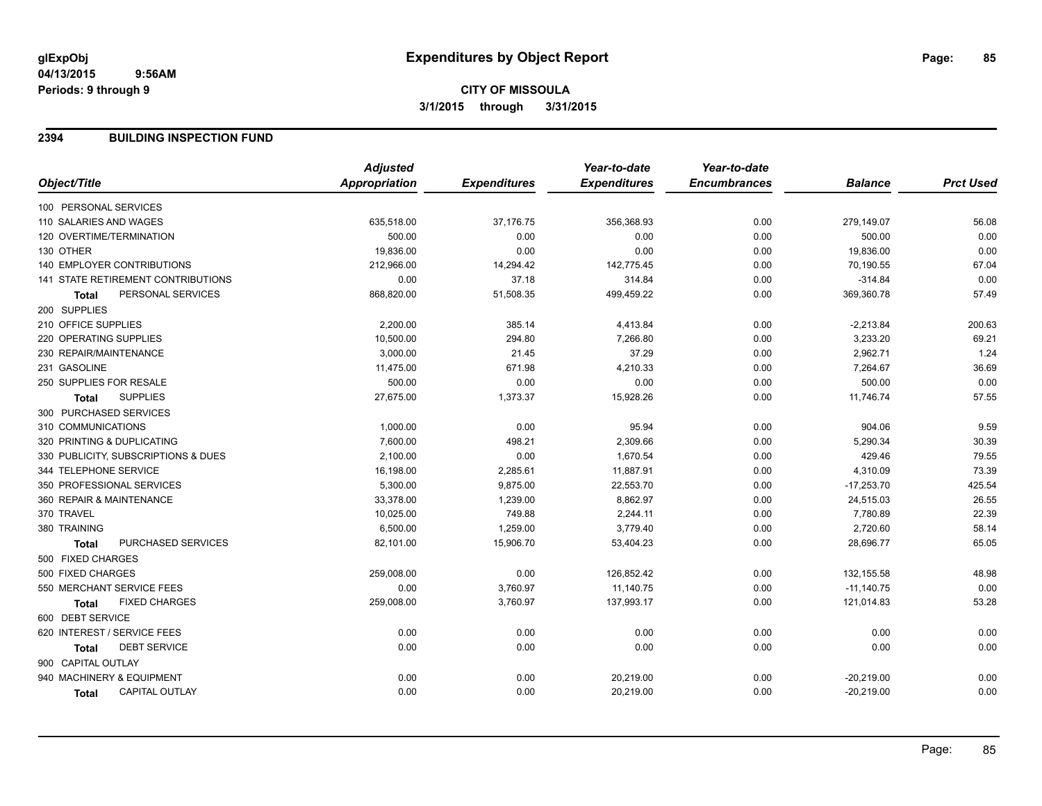**3/1/2015 through 3/31/2015**

### **2394 BUILDING INSPECTION FUND**

|                                           | <b>Adjusted</b> |                     | Year-to-date        | Year-to-date        |                |                  |
|-------------------------------------------|-----------------|---------------------|---------------------|---------------------|----------------|------------------|
| Object/Title                              | Appropriation   | <b>Expenditures</b> | <b>Expenditures</b> | <b>Encumbrances</b> | <b>Balance</b> | <b>Prct Used</b> |
| 100 PERSONAL SERVICES                     |                 |                     |                     |                     |                |                  |
| 110 SALARIES AND WAGES                    | 635,518.00      | 37,176.75           | 356,368.93          | 0.00                | 279,149.07     | 56.08            |
| 120 OVERTIME/TERMINATION                  | 500.00          | 0.00                | 0.00                | 0.00                | 500.00         | 0.00             |
| 130 OTHER                                 | 19.836.00       | 0.00                | 0.00                | 0.00                | 19,836.00      | 0.00             |
| 140 EMPLOYER CONTRIBUTIONS                | 212,966.00      | 14,294.42           | 142,775.45          | 0.00                | 70,190.55      | 67.04            |
| <b>141 STATE RETIREMENT CONTRIBUTIONS</b> | 0.00            | 37.18               | 314.84              | 0.00                | $-314.84$      | 0.00             |
| PERSONAL SERVICES<br><b>Total</b>         | 868,820.00      | 51,508.35           | 499,459.22          | 0.00                | 369,360.78     | 57.49            |
| 200 SUPPLIES                              |                 |                     |                     |                     |                |                  |
| 210 OFFICE SUPPLIES                       | 2,200.00        | 385.14              | 4,413.84            | 0.00                | $-2,213.84$    | 200.63           |
| 220 OPERATING SUPPLIES                    | 10,500.00       | 294.80              | 7,266.80            | 0.00                | 3,233.20       | 69.21            |
| 230 REPAIR/MAINTENANCE                    | 3,000.00        | 21.45               | 37.29               | 0.00                | 2,962.71       | 1.24             |
| 231 GASOLINE                              | 11,475.00       | 671.98              | 4,210.33            | 0.00                | 7,264.67       | 36.69            |
| 250 SUPPLIES FOR RESALE                   | 500.00          | 0.00                | 0.00                | 0.00                | 500.00         | 0.00             |
| <b>SUPPLIES</b><br><b>Total</b>           | 27,675.00       | 1,373.37            | 15,928.26           | 0.00                | 11,746.74      | 57.55            |
| 300 PURCHASED SERVICES                    |                 |                     |                     |                     |                |                  |
| 310 COMMUNICATIONS                        | 1,000.00        | 0.00                | 95.94               | 0.00                | 904.06         | 9.59             |
| 320 PRINTING & DUPLICATING                | 7,600.00        | 498.21              | 2,309.66            | 0.00                | 5,290.34       | 30.39            |
| 330 PUBLICITY, SUBSCRIPTIONS & DUES       | 2,100.00        | 0.00                | 1,670.54            | 0.00                | 429.46         | 79.55            |
| 344 TELEPHONE SERVICE                     | 16,198.00       | 2,285.61            | 11,887.91           | 0.00                | 4,310.09       | 73.39            |
| 350 PROFESSIONAL SERVICES                 | 5,300.00        | 9,875.00            | 22,553.70           | 0.00                | $-17,253.70$   | 425.54           |
| 360 REPAIR & MAINTENANCE                  | 33,378.00       | 1,239.00            | 8,862.97            | 0.00                | 24,515.03      | 26.55            |
| 370 TRAVEL                                | 10,025.00       | 749.88              | 2,244.11            | 0.00                | 7,780.89       | 22.39            |
| 380 TRAINING                              | 6,500.00        | 1,259.00            | 3,779.40            | 0.00                | 2,720.60       | 58.14            |
| PURCHASED SERVICES<br><b>Total</b>        | 82,101.00       | 15,906.70           | 53,404.23           | 0.00                | 28,696.77      | 65.05            |
| 500 FIXED CHARGES                         |                 |                     |                     |                     |                |                  |
| 500 FIXED CHARGES                         | 259,008.00      | 0.00                | 126,852.42          | 0.00                | 132, 155.58    | 48.98            |
| 550 MERCHANT SERVICE FEES                 | 0.00            | 3,760.97            | 11,140.75           | 0.00                | $-11,140.75$   | 0.00             |
| <b>FIXED CHARGES</b><br><b>Total</b>      | 259,008.00      | 3,760.97            | 137,993.17          | 0.00                | 121,014.83     | 53.28            |
| 600 DEBT SERVICE                          |                 |                     |                     |                     |                |                  |
| 620 INTEREST / SERVICE FEES               | 0.00            | 0.00                | 0.00                | 0.00                | 0.00           | 0.00             |
| <b>DEBT SERVICE</b><br>Total              | 0.00            | 0.00                | 0.00                | 0.00                | 0.00           | 0.00             |
| 900 CAPITAL OUTLAY                        |                 |                     |                     |                     |                |                  |
| 940 MACHINERY & EQUIPMENT                 | 0.00            | 0.00                | 20,219.00           | 0.00                | $-20,219.00$   | 0.00             |
| <b>CAPITAL OUTLAY</b><br><b>Total</b>     | 0.00            | 0.00                | 20,219.00           | 0.00                | $-20,219.00$   | 0.00             |
|                                           |                 |                     |                     |                     |                |                  |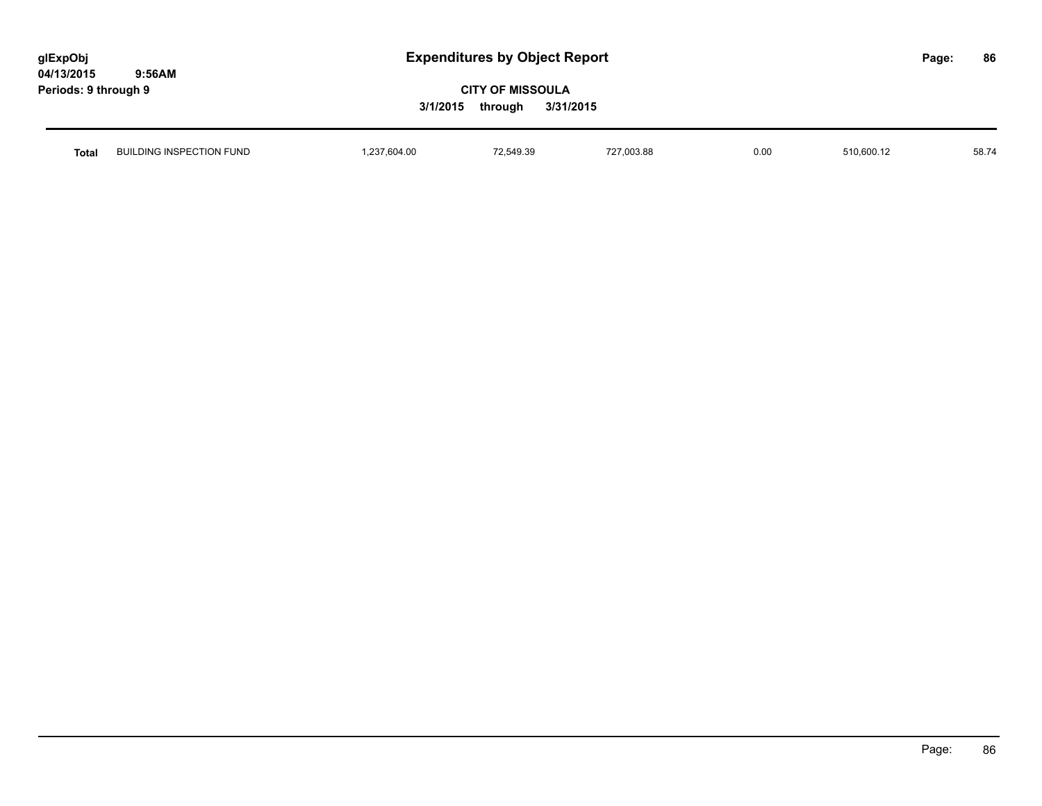# **CITY OF MISSOULA 3/1/2015 through 3/31/2015**

| <b>Total</b> | JILDING INSPECTION FUND | 2 549 39<br>– <i></i> | $\overline{\phantom{a}}$<br>.uuj.oc | 0.00 | 600.12 | $\sim$ $\sim$<br>00. <i>i –</i> |
|--------------|-------------------------|-----------------------|-------------------------------------|------|--------|---------------------------------|
|              |                         |                       |                                     |      |        |                                 |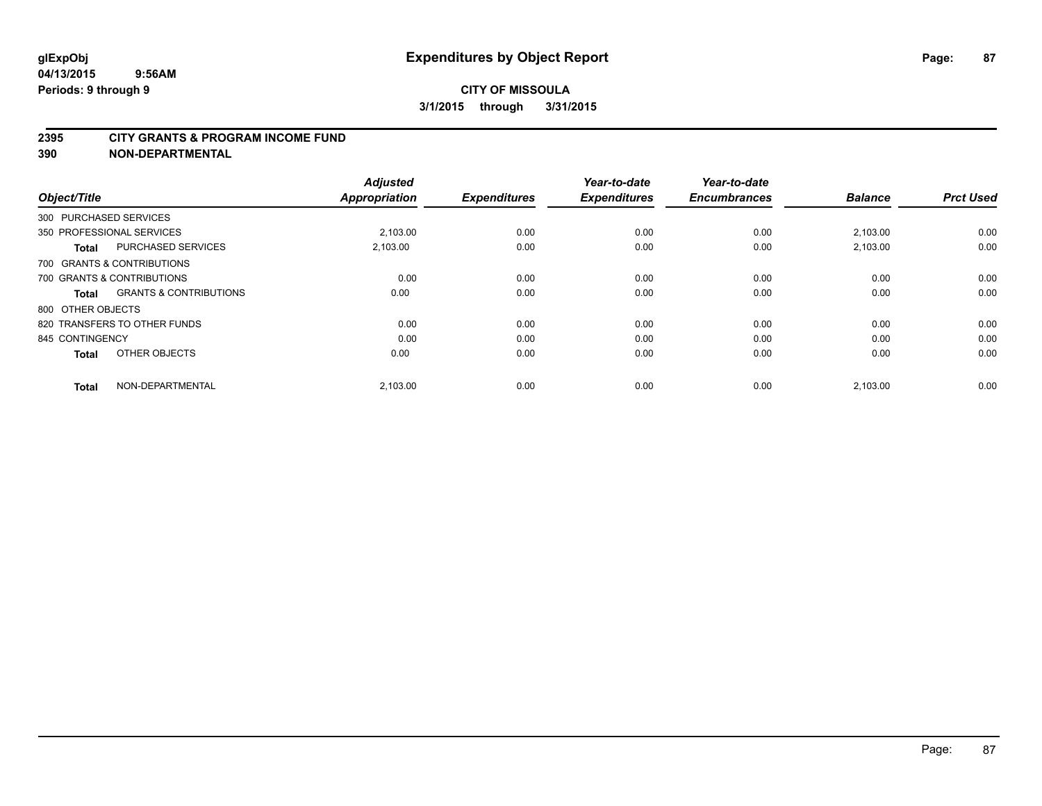### **2395 CITY GRANTS & PROGRAM INCOME FUND**

**390 NON-DEPARTMENTAL**

| Object/Title           |                                   | <b>Adjusted</b><br><b>Appropriation</b> | <b>Expenditures</b> | Year-to-date<br><b>Expenditures</b> | Year-to-date<br><b>Encumbrances</b> | <b>Balance</b> | <b>Prct Used</b> |
|------------------------|-----------------------------------|-----------------------------------------|---------------------|-------------------------------------|-------------------------------------|----------------|------------------|
| 300 PURCHASED SERVICES |                                   |                                         |                     |                                     |                                     |                |                  |
|                        | 350 PROFESSIONAL SERVICES         | 2.103.00                                | 0.00                | 0.00                                | 0.00                                | 2,103.00       | 0.00             |
| <b>Total</b>           | <b>PURCHASED SERVICES</b>         | 2,103.00                                | 0.00                | 0.00                                | 0.00                                | 2,103.00       | 0.00             |
|                        | 700 GRANTS & CONTRIBUTIONS        |                                         |                     |                                     |                                     |                |                  |
|                        | 700 GRANTS & CONTRIBUTIONS        | 0.00                                    | 0.00                | 0.00                                | 0.00                                | 0.00           | 0.00             |
| <b>Total</b>           | <b>GRANTS &amp; CONTRIBUTIONS</b> | 0.00                                    | 0.00                | 0.00                                | 0.00                                | 0.00           | 0.00             |
| 800 OTHER OBJECTS      |                                   |                                         |                     |                                     |                                     |                |                  |
|                        | 820 TRANSFERS TO OTHER FUNDS      | 0.00                                    | 0.00                | 0.00                                | 0.00                                | 0.00           | 0.00             |
| 845 CONTINGENCY        |                                   | 0.00                                    | 0.00                | 0.00                                | 0.00                                | 0.00           | 0.00             |
| <b>Total</b>           | OTHER OBJECTS                     | 0.00                                    | 0.00                | 0.00                                | 0.00                                | 0.00           | 0.00             |
| <b>Total</b>           | NON-DEPARTMENTAL                  | 2,103.00                                | 0.00                | 0.00                                | 0.00                                | 2,103.00       | 0.00             |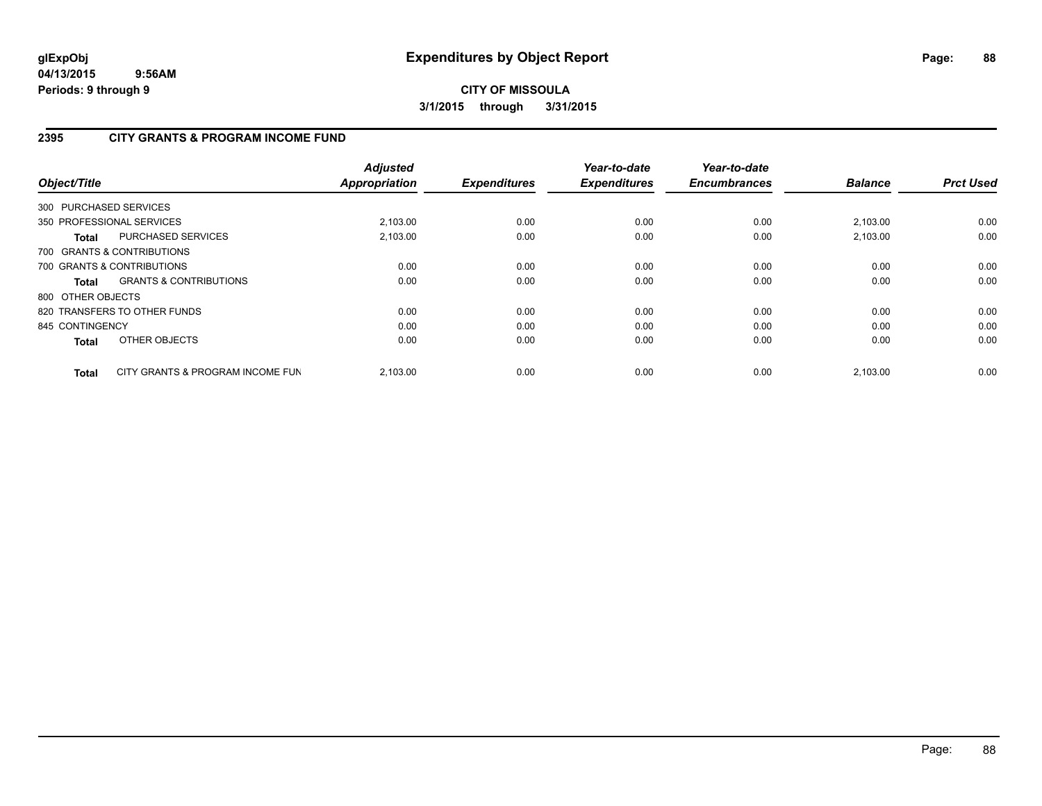**CITY OF MISSOULA 3/1/2015 through 3/31/2015**

# **2395 CITY GRANTS & PROGRAM INCOME FUND**

| Object/Title      |                                   | <b>Adjusted</b><br>Appropriation | <b>Expenditures</b> | Year-to-date<br><b>Expenditures</b> | Year-to-date<br><b>Encumbrances</b> | <b>Balance</b> | <b>Prct Used</b> |
|-------------------|-----------------------------------|----------------------------------|---------------------|-------------------------------------|-------------------------------------|----------------|------------------|
|                   | 300 PURCHASED SERVICES            |                                  |                     |                                     |                                     |                |                  |
|                   | 350 PROFESSIONAL SERVICES         | 2,103.00                         | 0.00                | 0.00                                | 0.00                                | 2,103.00       | 0.00             |
| <b>Total</b>      | <b>PURCHASED SERVICES</b>         | 2.103.00                         | 0.00                | 0.00                                | 0.00                                | 2.103.00       | 0.00             |
|                   | 700 GRANTS & CONTRIBUTIONS        |                                  |                     |                                     |                                     |                |                  |
|                   | 700 GRANTS & CONTRIBUTIONS        | 0.00                             | 0.00                | 0.00                                | 0.00                                | 0.00           | 0.00             |
| Total             | <b>GRANTS &amp; CONTRIBUTIONS</b> | 0.00                             | 0.00                | 0.00                                | 0.00                                | 0.00           | 0.00             |
| 800 OTHER OBJECTS |                                   |                                  |                     |                                     |                                     |                |                  |
|                   | 820 TRANSFERS TO OTHER FUNDS      | 0.00                             | 0.00                | 0.00                                | 0.00                                | 0.00           | 0.00             |
| 845 CONTINGENCY   |                                   | 0.00                             | 0.00                | 0.00                                | 0.00                                | 0.00           | 0.00             |
| <b>Total</b>      | OTHER OBJECTS                     | 0.00                             | 0.00                | 0.00                                | 0.00                                | 0.00           | 0.00             |
| <b>Total</b>      | CITY GRANTS & PROGRAM INCOME FUN  | 2,103.00                         | 0.00                | 0.00                                | 0.00                                | 2,103.00       | 0.00             |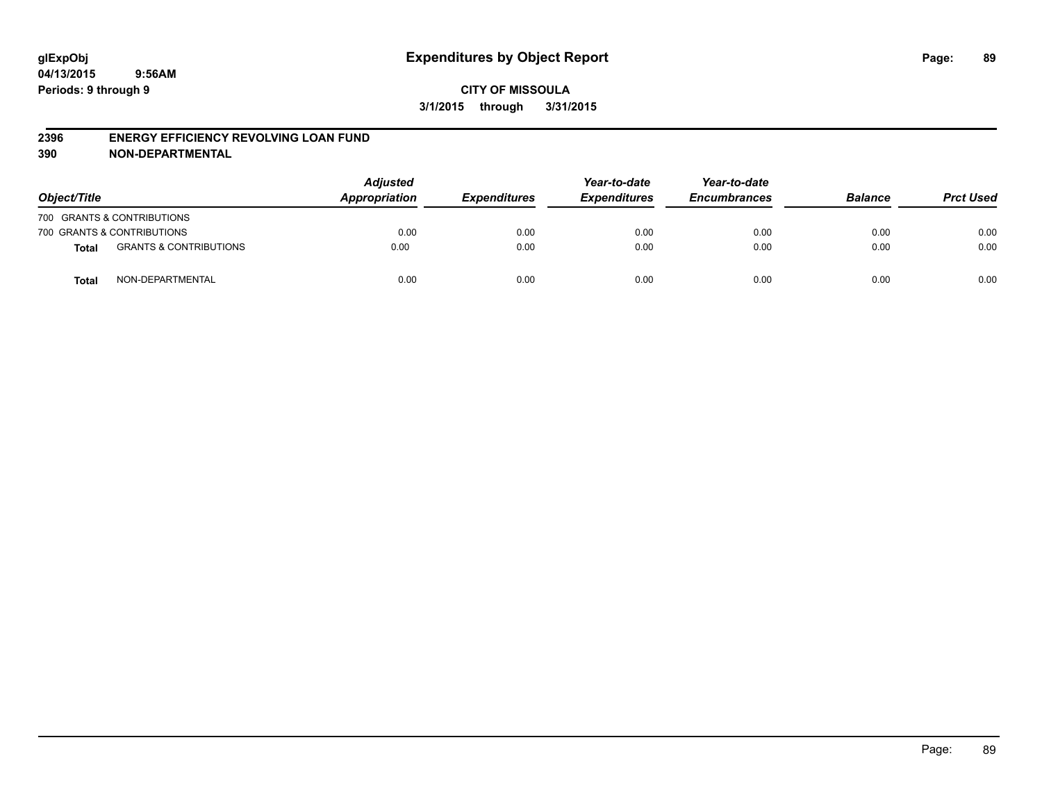### **2396 ENERGY EFFICIENCY REVOLVING LOAN FUND**

**390 NON-DEPARTMENTAL**

| Object/Title |                                   | <b>Adjusted</b><br>Appropriation | <b>Expenditures</b> | Year-to-date<br><b>Expenditures</b> | Year-to-date<br><b>Encumbrances</b> | <b>Balance</b> | <b>Prct Used</b> |
|--------------|-----------------------------------|----------------------------------|---------------------|-------------------------------------|-------------------------------------|----------------|------------------|
|              | 700 GRANTS & CONTRIBUTIONS        |                                  |                     |                                     |                                     |                |                  |
|              | 700 GRANTS & CONTRIBUTIONS        | 0.00                             | 0.00                | 0.00                                | 0.00                                | 0.00           | 0.00             |
| Total        | <b>GRANTS &amp; CONTRIBUTIONS</b> | 0.00                             | 0.00                | 0.00                                | 0.00                                | 0.00           | 0.00             |
| <b>Total</b> | NON-DEPARTMENTAL                  | 0.00                             | 0.00                | 0.00                                | 0.00                                | 0.00           | 0.00             |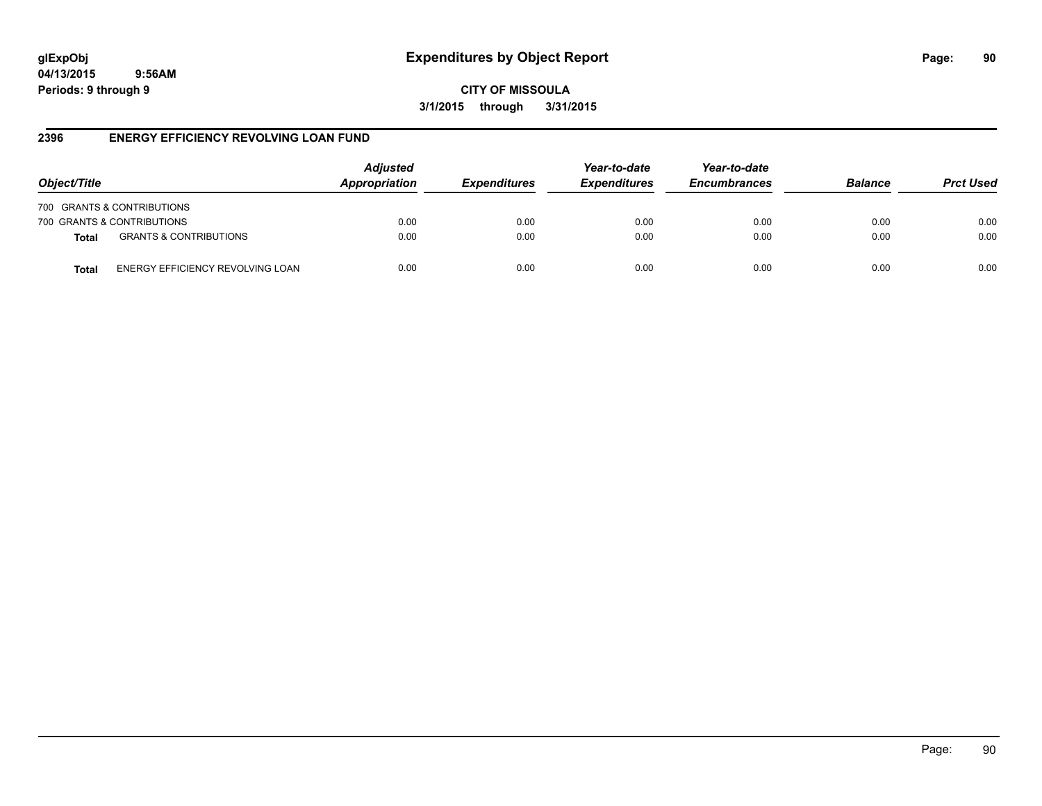# **glExpObj Expenditures by Object Report Page: 90**

**04/13/2015 9:56AM Periods: 9 through 9**

### **2396 ENERGY EFFICIENCY REVOLVING LOAN FUND**

| Object/Title |                                         | <b>Adjusted</b><br>Appropriation | <b>Expenditures</b> | Year-to-date<br><b>Expenditures</b> | Year-to-date<br><b>Encumbrances</b> | <b>Balance</b> | <b>Prct Used</b> |
|--------------|-----------------------------------------|----------------------------------|---------------------|-------------------------------------|-------------------------------------|----------------|------------------|
|              | 700 GRANTS & CONTRIBUTIONS              |                                  |                     |                                     |                                     |                |                  |
|              | 700 GRANTS & CONTRIBUTIONS              | 0.00                             | 0.00                | 0.00                                | 0.00                                | 0.00           | 0.00             |
| <b>Total</b> | <b>GRANTS &amp; CONTRIBUTIONS</b>       | 0.00                             | 0.00                | 0.00                                | 0.00                                | 0.00           | 0.00             |
| <b>Total</b> | <b>ENERGY EFFICIENCY REVOLVING LOAN</b> | 0.00                             | 0.00                | 0.00                                | 0.00                                | 0.00           | 0.00             |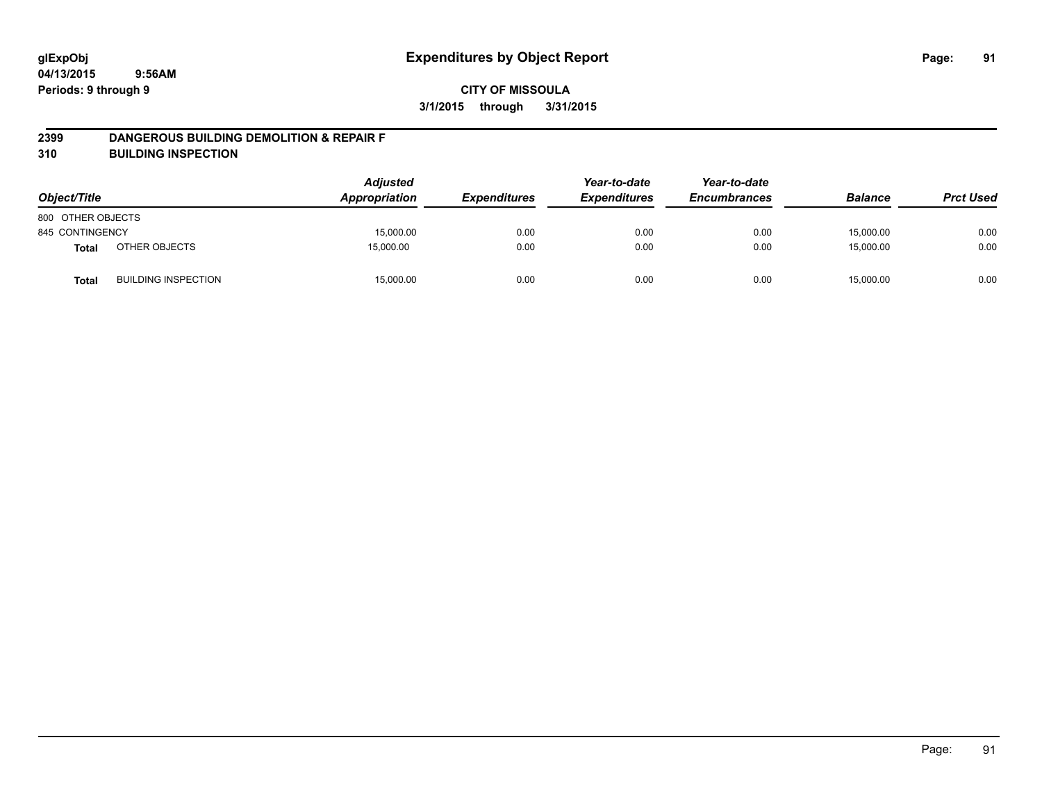### **2399 DANGEROUS BUILDING DEMOLITION & REPAIR F**

**310 BUILDING INSPECTION**

| Object/Title      |                            | <b>Adjusted</b><br>Appropriation | <b>Expenditures</b> | Year-to-date<br><b>Expenditures</b> | Year-to-date<br><b>Encumbrances</b> | <b>Balance</b> | <b>Prct Used</b> |
|-------------------|----------------------------|----------------------------------|---------------------|-------------------------------------|-------------------------------------|----------------|------------------|
| 800 OTHER OBJECTS |                            |                                  |                     |                                     |                                     |                |                  |
| 845 CONTINGENCY   |                            | 15,000.00                        | 0.00                | 0.00                                | 0.00                                | 15,000.00      | 0.00             |
| <b>Total</b>      | OTHER OBJECTS              | 15,000.00                        | 0.00                | 0.00                                | 0.00                                | 15,000.00      | 0.00             |
| <b>Total</b>      | <b>BUILDING INSPECTION</b> | 15,000.00                        | 0.00                | 0.00                                | 0.00                                | 15,000.00      | 0.00             |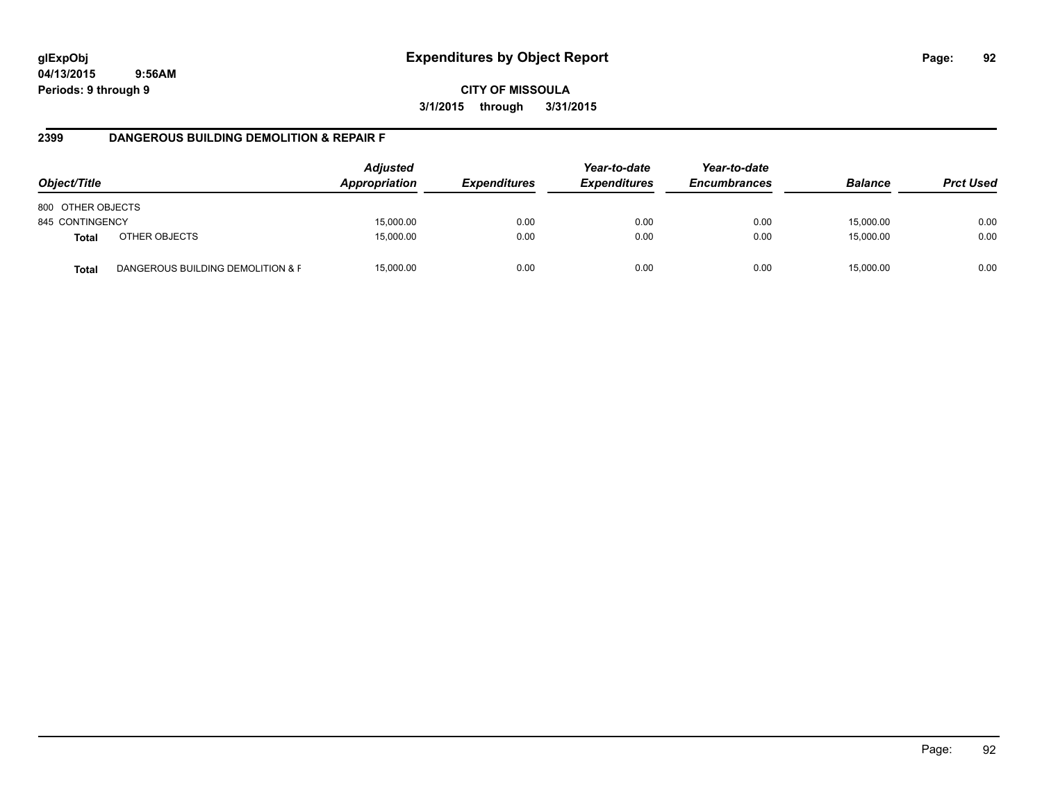**CITY OF MISSOULA 3/1/2015 through 3/31/2015**

### **2399 DANGEROUS BUILDING DEMOLITION & REPAIR F**

| Object/Title      |                                   | <b>Adjusted</b><br>Appropriation | <b>Expenditures</b> | Year-to-date<br><b>Expenditures</b> | Year-to-date<br><b>Encumbrances</b> | <b>Balance</b> | <b>Prct Used</b> |
|-------------------|-----------------------------------|----------------------------------|---------------------|-------------------------------------|-------------------------------------|----------------|------------------|
| 800 OTHER OBJECTS |                                   |                                  |                     |                                     |                                     |                |                  |
| 845 CONTINGENCY   |                                   | 15,000.00                        | 0.00                | 0.00                                | 0.00                                | 15,000.00      | 0.00             |
| <b>Total</b>      | OTHER OBJECTS                     | 15,000.00                        | 0.00                | 0.00                                | 0.00                                | 15,000.00      | 0.00             |
| <b>Total</b>      | DANGEROUS BUILDING DEMOLITION & F | 15,000.00                        | 0.00                | 0.00                                | 0.00                                | 15.000.00      | 0.00             |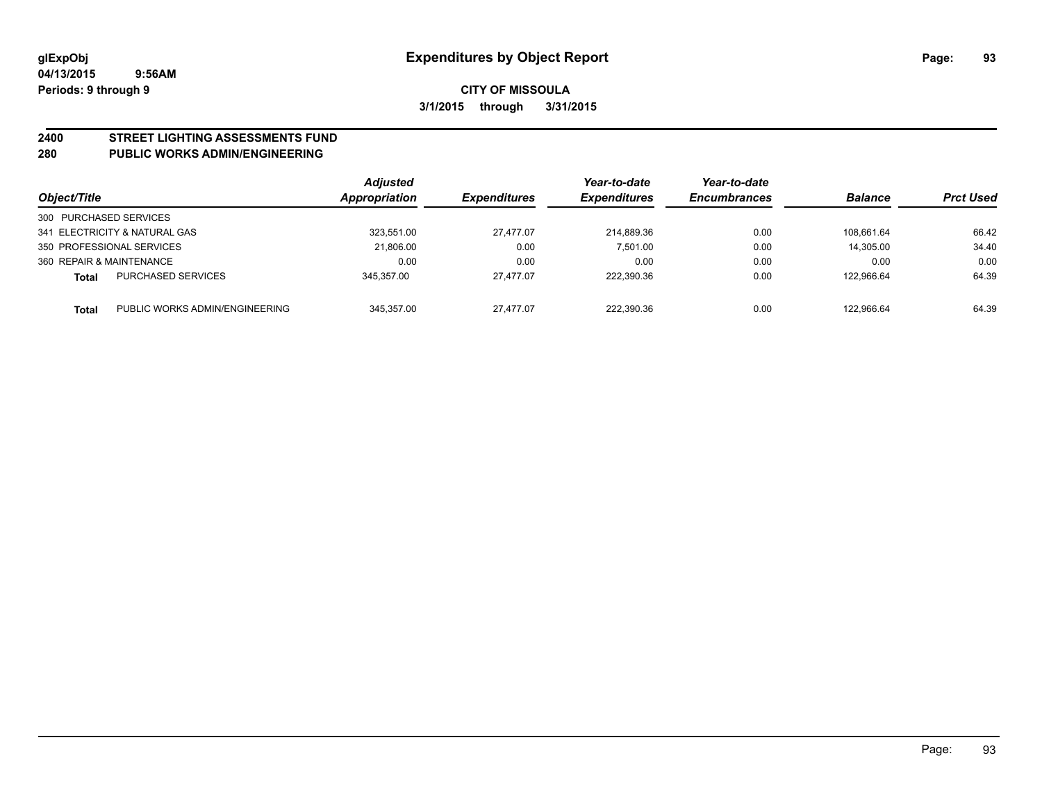# **2400 STREET LIGHTING ASSESSMENTS FUND**

### **280 PUBLIC WORKS ADMIN/ENGINEERING**

| Object/Title           |                                | <b>Adjusted</b><br><b>Appropriation</b> | <i><b>Expenditures</b></i> | Year-to-date<br><b>Expenditures</b> | Year-to-date<br><b>Encumbrances</b> | <b>Balance</b> | <b>Prct Used</b> |
|------------------------|--------------------------------|-----------------------------------------|----------------------------|-------------------------------------|-------------------------------------|----------------|------------------|
| 300 PURCHASED SERVICES |                                |                                         |                            |                                     |                                     |                |                  |
|                        | 341 ELECTRICITY & NATURAL GAS  | 323,551.00                              | 27.477.07                  | 214.889.36                          | 0.00                                | 108.661.64     | 66.42            |
|                        | 350 PROFESSIONAL SERVICES      | 21.806.00                               | 0.00                       | 7.501.00                            | 0.00                                | 14,305.00      | 34.40            |
|                        | 360 REPAIR & MAINTENANCE       | 0.00                                    | 0.00                       | 0.00                                | 0.00                                | 0.00           | 0.00             |
| Total                  | <b>PURCHASED SERVICES</b>      | 345.357.00                              | 27.477.07                  | 222.390.36                          | 0.00                                | 122.966.64     | 64.39            |
| <b>Total</b>           | PUBLIC WORKS ADMIN/ENGINEERING | 345.357.00                              | 27.477.07                  | 222.390.36                          | 0.00                                | 122.966.64     | 64.39            |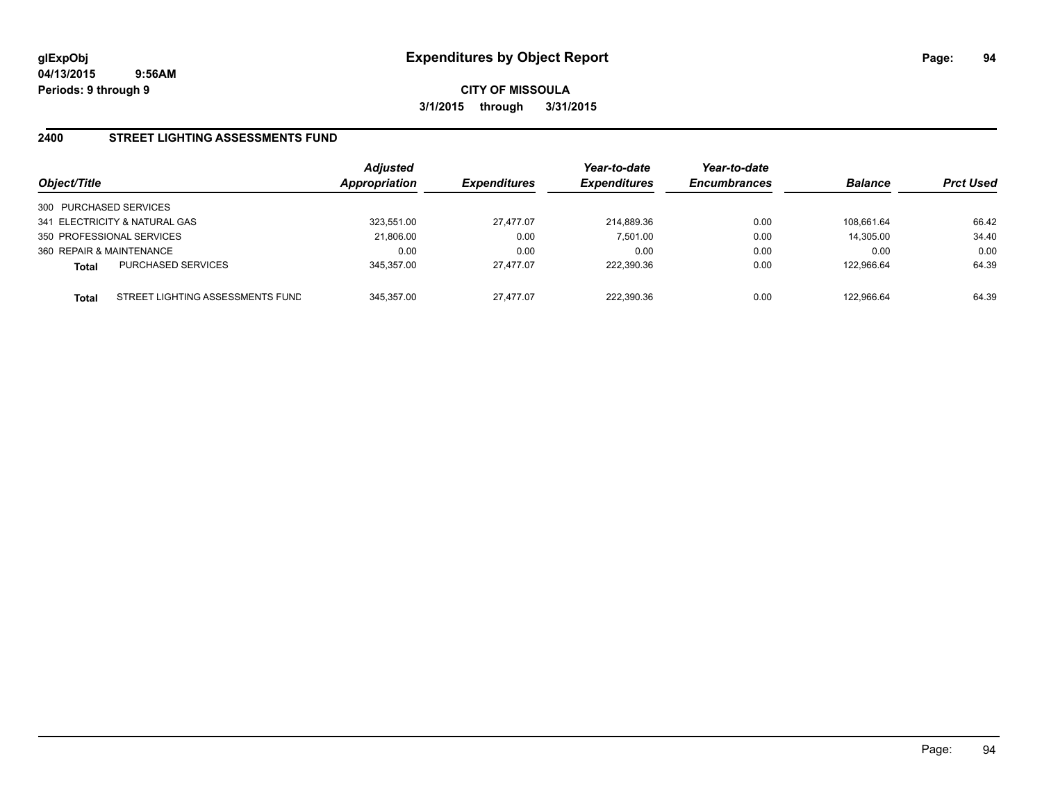**CITY OF MISSOULA 3/1/2015 through 3/31/2015**

### **2400 STREET LIGHTING ASSESSMENTS FUND**

| Object/Title                                     | <b>Adjusted</b><br>Appropriation | <b>Expenditures</b> | Year-to-date<br><b>Expenditures</b> | Year-to-date<br><b>Encumbrances</b> | <b>Balance</b> | <b>Prct Used</b> |
|--------------------------------------------------|----------------------------------|---------------------|-------------------------------------|-------------------------------------|----------------|------------------|
| 300 PURCHASED SERVICES                           |                                  |                     |                                     |                                     |                |                  |
| 341 ELECTRICITY & NATURAL GAS                    | 323.551.00                       | 27,477.07           | 214,889.36                          | 0.00                                | 108.661.64     | 66.42            |
| 350 PROFESSIONAL SERVICES                        | 21,806.00                        | 0.00                | 7.501.00                            | 0.00                                | 14.305.00      | 34.40            |
| 360 REPAIR & MAINTENANCE                         | 0.00                             | 0.00                | 0.00                                | 0.00                                | 0.00           | 0.00             |
| <b>PURCHASED SERVICES</b><br><b>Total</b>        | 345.357.00                       | 27.477.07           | 222.390.36                          | 0.00                                | 122.966.64     | 64.39            |
| STREET LIGHTING ASSESSMENTS FUND<br><b>Total</b> | 345.357.00                       | 27.477.07           | 222,390.36                          | 0.00                                | 122.966.64     | 64.39            |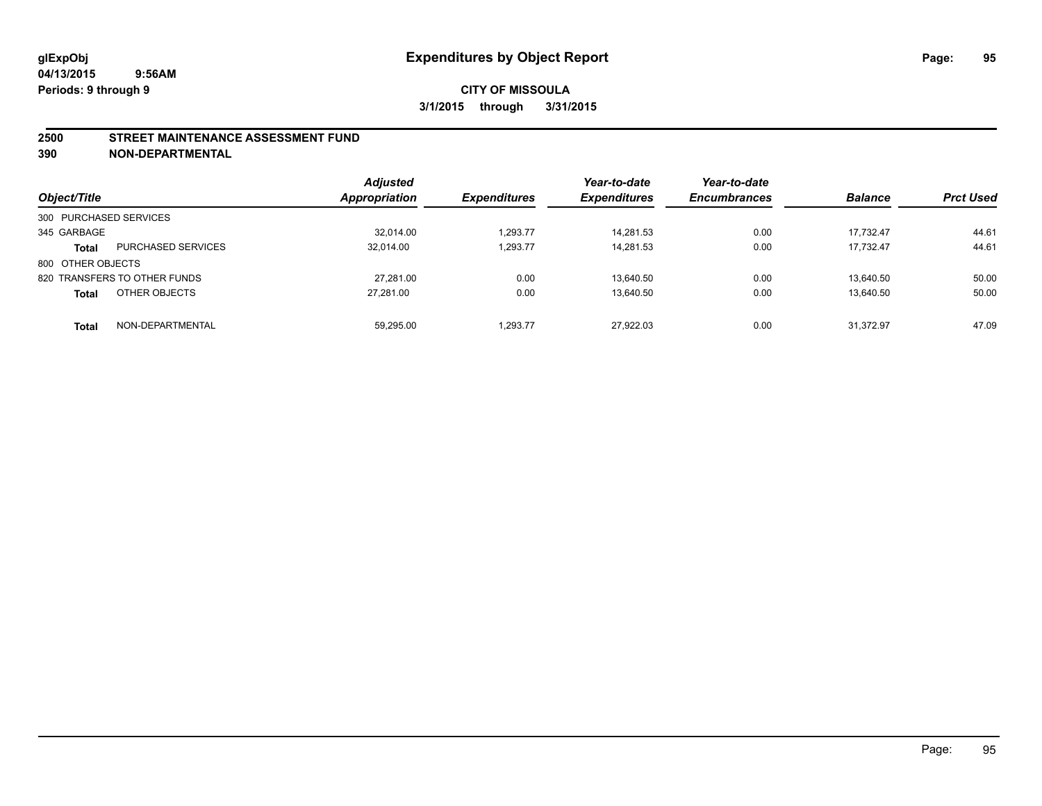### **2500 STREET MAINTENANCE ASSESSMENT FUND**

**390 NON-DEPARTMENTAL**

| Object/Title           |                              | <b>Adjusted</b><br><b>Appropriation</b> | <b>Expenditures</b> | Year-to-date<br><b>Expenditures</b> | Year-to-date<br><b>Encumbrances</b> | <b>Balance</b> | <b>Prct Used</b> |
|------------------------|------------------------------|-----------------------------------------|---------------------|-------------------------------------|-------------------------------------|----------------|------------------|
| 300 PURCHASED SERVICES |                              |                                         |                     |                                     |                                     |                |                  |
| 345 GARBAGE            |                              | 32.014.00                               | 1.293.77            | 14.281.53                           | 0.00                                | 17.732.47      | 44.61            |
| <b>Total</b>           | <b>PURCHASED SERVICES</b>    | 32.014.00                               | 1,293.77            | 14,281.53                           | 0.00                                | 17,732.47      | 44.61            |
| 800 OTHER OBJECTS      |                              |                                         |                     |                                     |                                     |                |                  |
|                        | 820 TRANSFERS TO OTHER FUNDS | 27.281.00                               | 0.00                | 13.640.50                           | 0.00                                | 13.640.50      | 50.00            |
| <b>Total</b>           | OTHER OBJECTS                | 27.281.00                               | 0.00                | 13.640.50                           | 0.00                                | 13.640.50      | 50.00            |
| <b>Total</b>           | NON-DEPARTMENTAL             | 59,295.00                               | 1.293.77            | 27.922.03                           | 0.00                                | 31.372.97      | 47.09            |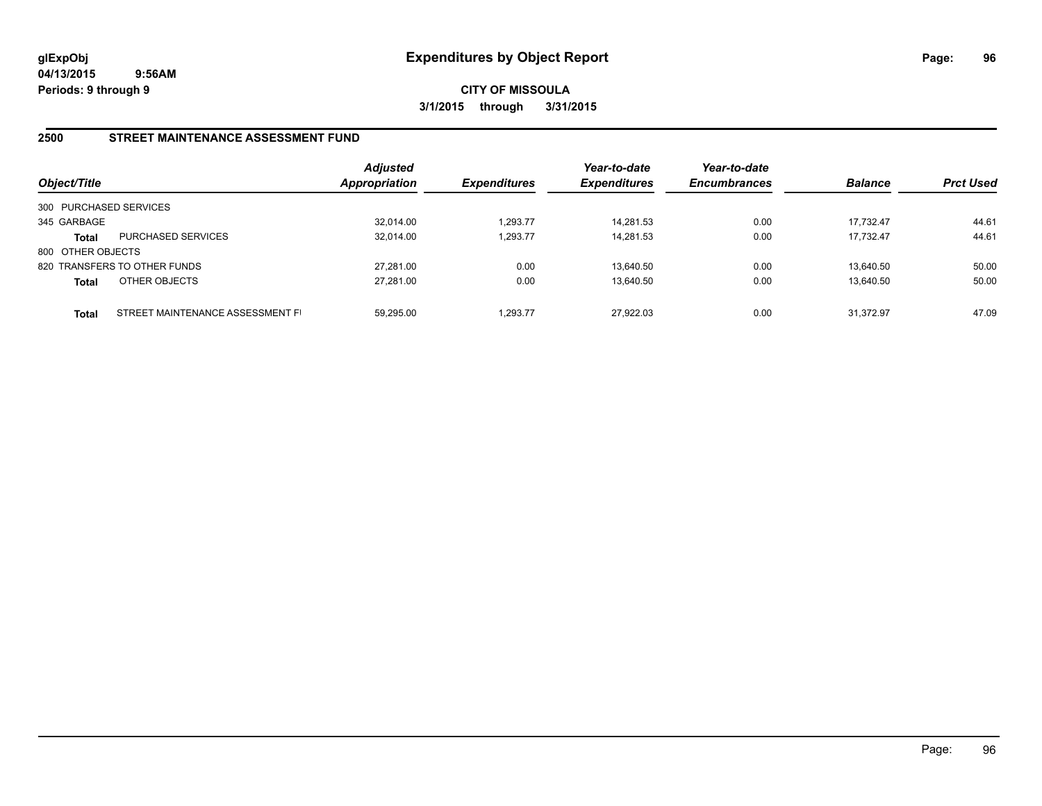**CITY OF MISSOULA 3/1/2015 through 3/31/2015**

### **2500 STREET MAINTENANCE ASSESSMENT FUND**

| Object/Title           |                                  | <b>Adjusted</b><br>Appropriation | <b>Expenditures</b> | Year-to-date<br><b>Expenditures</b> | Year-to-date<br><b>Encumbrances</b> | <b>Balance</b> | <b>Prct Used</b> |
|------------------------|----------------------------------|----------------------------------|---------------------|-------------------------------------|-------------------------------------|----------------|------------------|
| 300 PURCHASED SERVICES |                                  |                                  |                     |                                     |                                     |                |                  |
| 345 GARBAGE            |                                  | 32,014.00                        | 1.293.77            | 14,281.53                           | 0.00                                | 17.732.47      | 44.61            |
| Total                  | <b>PURCHASED SERVICES</b>        | 32.014.00                        | 1,293.77            | 14,281.53                           | 0.00                                | 17.732.47      | 44.61            |
| 800 OTHER OBJECTS      |                                  |                                  |                     |                                     |                                     |                |                  |
|                        | 820 TRANSFERS TO OTHER FUNDS     | 27.281.00                        | 0.00                | 13.640.50                           | 0.00                                | 13.640.50      | 50.00            |
| Total                  | OTHER OBJECTS                    | 27.281.00                        | 0.00                | 13,640.50                           | 0.00                                | 13,640.50      | 50.00            |
| <b>Total</b>           | STREET MAINTENANCE ASSESSMENT FI | 59.295.00                        | 1.293.77            | 27.922.03                           | 0.00                                | 31.372.97      | 47.09            |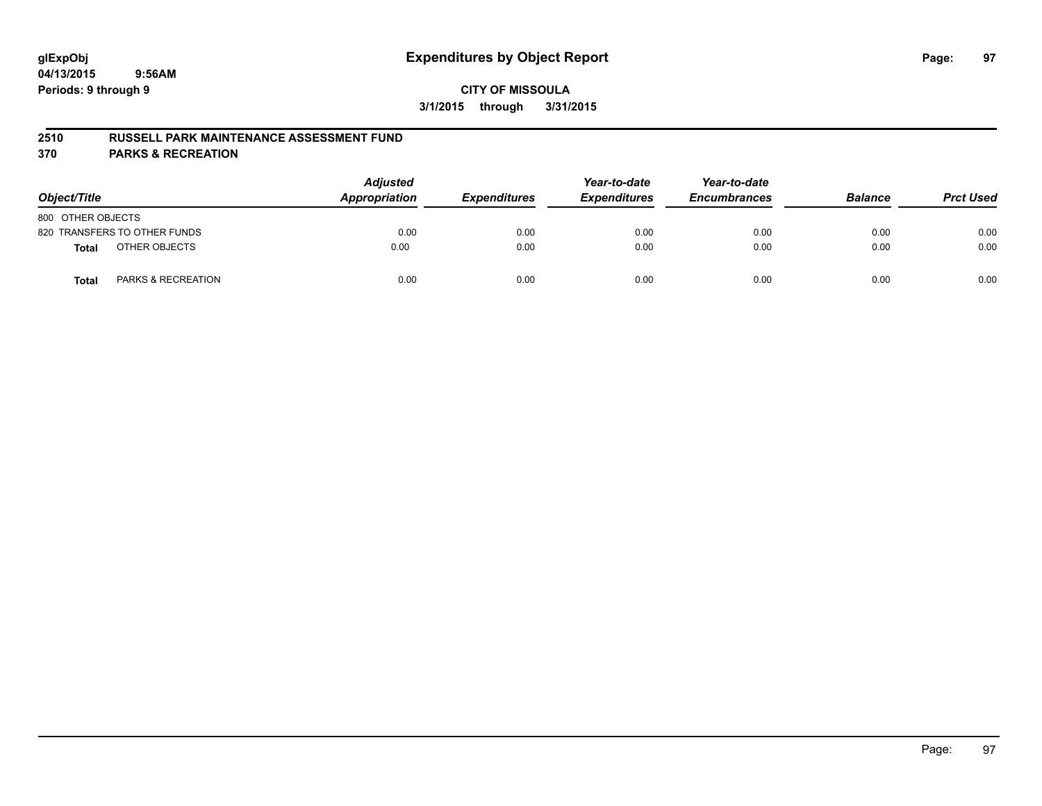### **2510 RUSSELL PARK MAINTENANCE ASSESSMENT FUND**

**370 PARKS & RECREATION**

| Object/Title                           | <b>Adjusted</b><br>Appropriation | <b>Expenditures</b> | Year-to-date<br><b>Expenditures</b> | Year-to-date<br><b>Encumbrances</b> | <b>Balance</b> | <b>Prct Used</b> |
|----------------------------------------|----------------------------------|---------------------|-------------------------------------|-------------------------------------|----------------|------------------|
| 800 OTHER OBJECTS                      |                                  |                     |                                     |                                     |                |                  |
| 820 TRANSFERS TO OTHER FUNDS           | 0.00                             | 0.00                | 0.00                                | 0.00                                | 0.00           | 0.00             |
| OTHER OBJECTS<br><b>Total</b>          | 0.00                             | 0.00                | 0.00                                | 0.00                                | 0.00           | 0.00             |
| <b>PARKS &amp; RECREATION</b><br>Total | 0.00                             | 0.00                | 0.00                                | 0.00                                | 0.00           | 0.00             |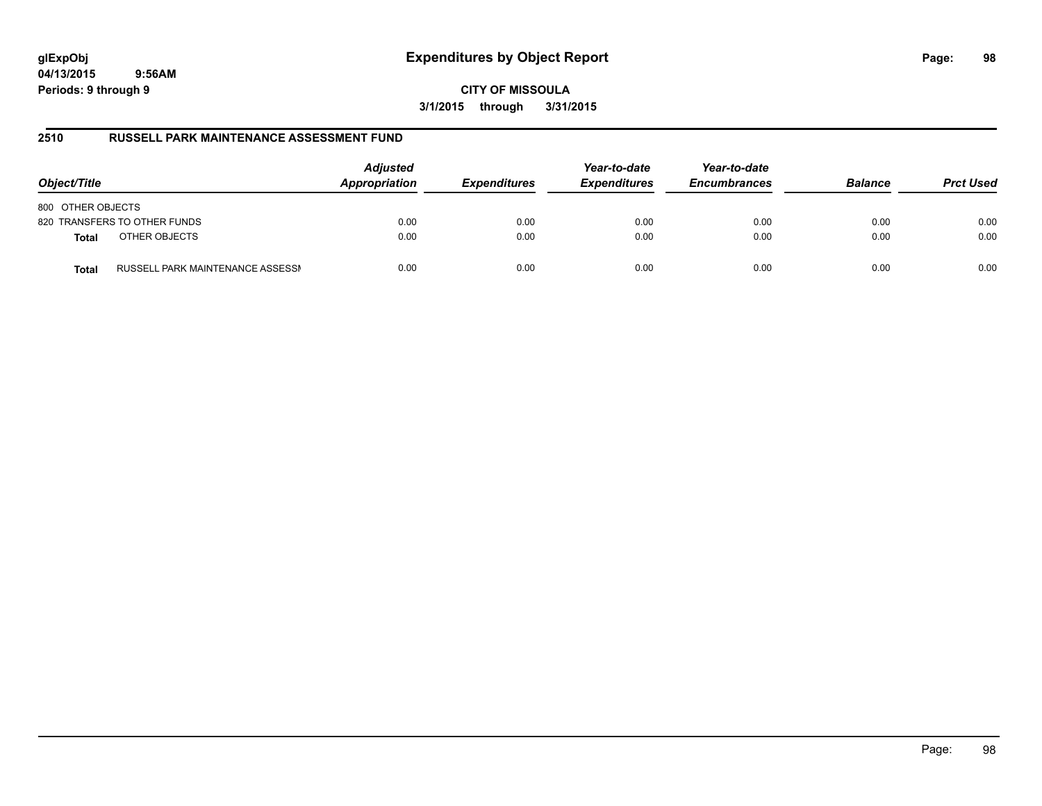# **glExpObj Expenditures by Object Report Page: 98**

**04/13/2015 9:56AM Periods: 9 through 9**

### **2510 RUSSELL PARK MAINTENANCE ASSESSMENT FUND**

| Object/Title                                     | <b>Adjusted</b><br>Appropriation | <b>Expenditures</b> | Year-to-date<br><b>Expenditures</b> | Year-to-date<br><b>Encumbrances</b> | <b>Balance</b> | <b>Prct Used</b> |
|--------------------------------------------------|----------------------------------|---------------------|-------------------------------------|-------------------------------------|----------------|------------------|
| 800 OTHER OBJECTS                                |                                  |                     |                                     |                                     |                |                  |
| 820 TRANSFERS TO OTHER FUNDS                     | 0.00                             | 0.00                | 0.00                                | 0.00                                | 0.00           | 0.00             |
| OTHER OBJECTS<br><b>Total</b>                    | 0.00                             | 0.00                | 0.00                                | 0.00                                | 0.00           | 0.00             |
| RUSSELL PARK MAINTENANCE ASSESSN<br><b>Total</b> | 0.00                             | 0.00                | 0.00                                | 0.00                                | 0.00           | 0.00             |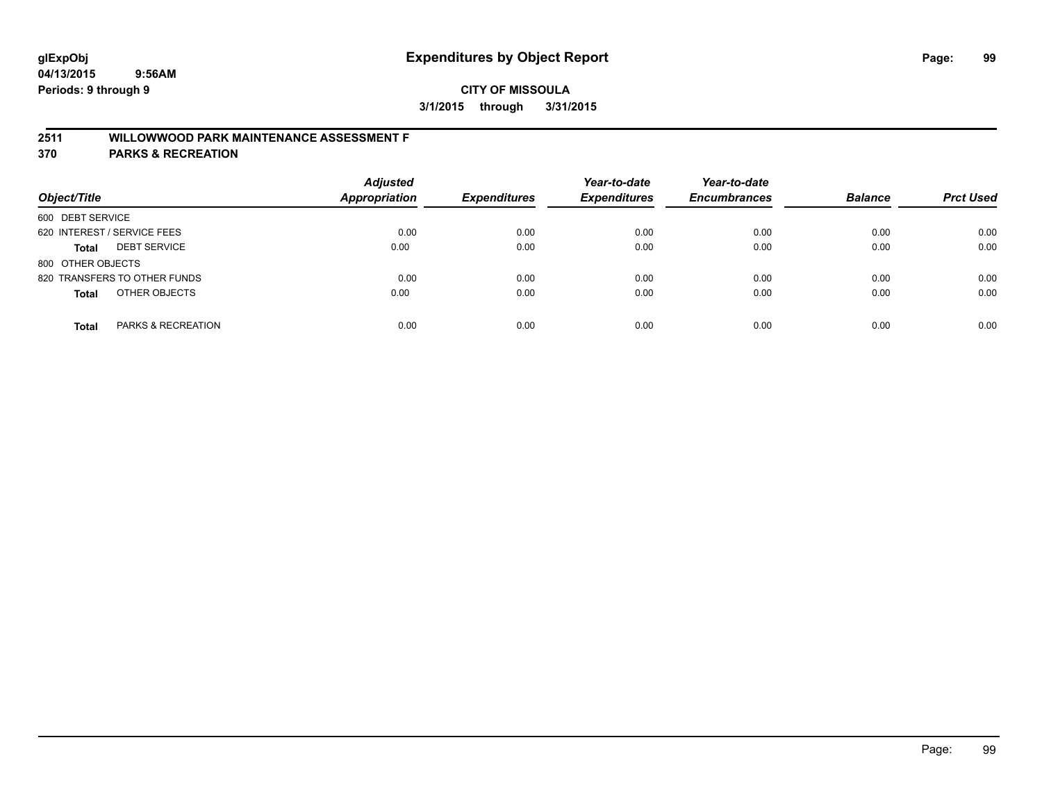# **2511 WILLOWWOOD PARK MAINTENANCE ASSESSMENT F**

**370 PARKS & RECREATION**

| Object/Title                        | <b>Adjusted</b><br><b>Appropriation</b> | <b>Expenditures</b> | Year-to-date<br><b>Expenditures</b> | Year-to-date<br><b>Encumbrances</b> | <b>Balance</b> | <b>Prct Used</b> |
|-------------------------------------|-----------------------------------------|---------------------|-------------------------------------|-------------------------------------|----------------|------------------|
| 600 DEBT SERVICE                    |                                         |                     |                                     |                                     |                |                  |
| 620 INTEREST / SERVICE FEES         | 0.00                                    | 0.00                | 0.00                                | 0.00                                | 0.00           | 0.00             |
| <b>DEBT SERVICE</b><br><b>Total</b> | 0.00                                    | 0.00                | 0.00                                | 0.00                                | 0.00           | 0.00             |
| 800 OTHER OBJECTS                   |                                         |                     |                                     |                                     |                |                  |
| 820 TRANSFERS TO OTHER FUNDS        | 0.00                                    | 0.00                | 0.00                                | 0.00                                | 0.00           | 0.00             |
| OTHER OBJECTS<br><b>Total</b>       | 0.00                                    | 0.00                | 0.00                                | 0.00                                | 0.00           | 0.00             |
| PARKS & RECREATION<br><b>Total</b>  | 0.00                                    | 0.00                | 0.00                                | 0.00                                | 0.00           | 0.00             |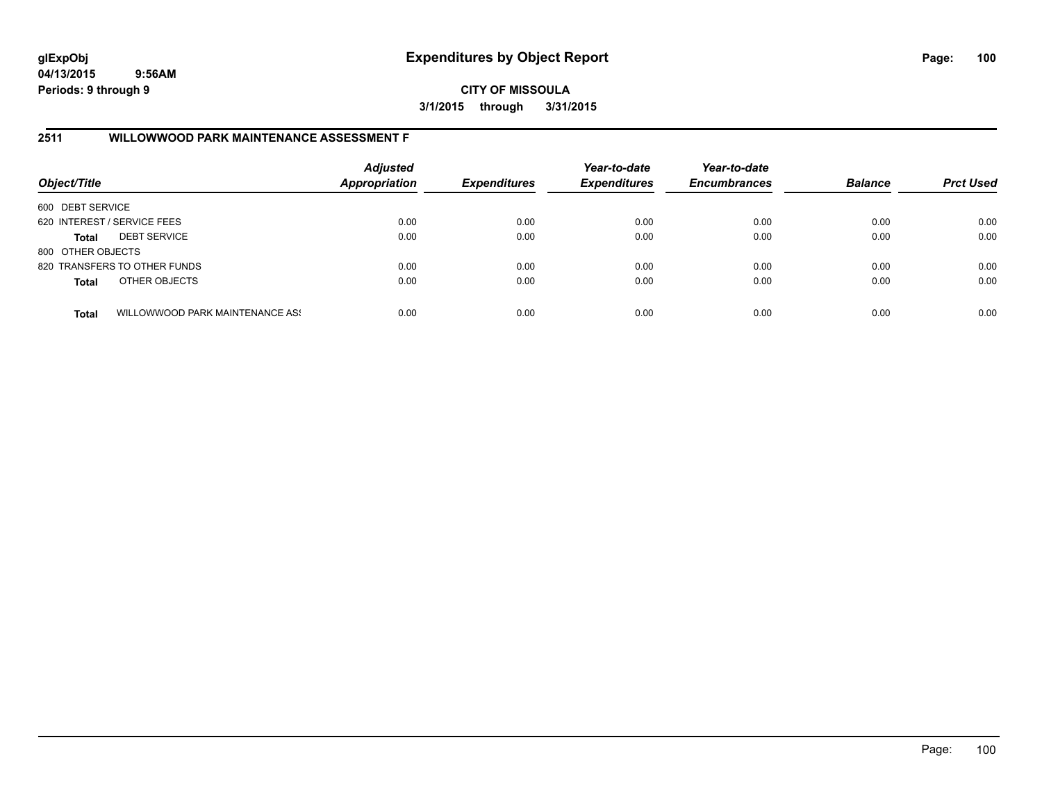**CITY OF MISSOULA 3/1/2015 through 3/31/2015**

### **2511 WILLOWWOOD PARK MAINTENANCE ASSESSMENT F**

| Object/Title                |                                 | <b>Adjusted</b><br><b>Appropriation</b> | <b>Expenditures</b> | Year-to-date<br><b>Expenditures</b> | Year-to-date<br><b>Encumbrances</b> | <b>Balance</b> | <b>Prct Used</b> |
|-----------------------------|---------------------------------|-----------------------------------------|---------------------|-------------------------------------|-------------------------------------|----------------|------------------|
| 600 DEBT SERVICE            |                                 |                                         |                     |                                     |                                     |                |                  |
| 620 INTEREST / SERVICE FEES |                                 | 0.00                                    | 0.00                | 0.00                                | 0.00                                | 0.00           | 0.00             |
| <b>Total</b>                | <b>DEBT SERVICE</b>             | 0.00                                    | 0.00                | 0.00                                | 0.00                                | 0.00           | 0.00             |
| 800 OTHER OBJECTS           |                                 |                                         |                     |                                     |                                     |                |                  |
|                             | 820 TRANSFERS TO OTHER FUNDS    | 0.00                                    | 0.00                | 0.00                                | 0.00                                | 0.00           | 0.00             |
| <b>Total</b>                | OTHER OBJECTS                   | 0.00                                    | 0.00                | 0.00                                | 0.00                                | 0.00           | 0.00             |
| <b>Total</b>                | WILLOWWOOD PARK MAINTENANCE ASS | 0.00                                    | 0.00                | 0.00                                | 0.00                                | 0.00           | 0.00             |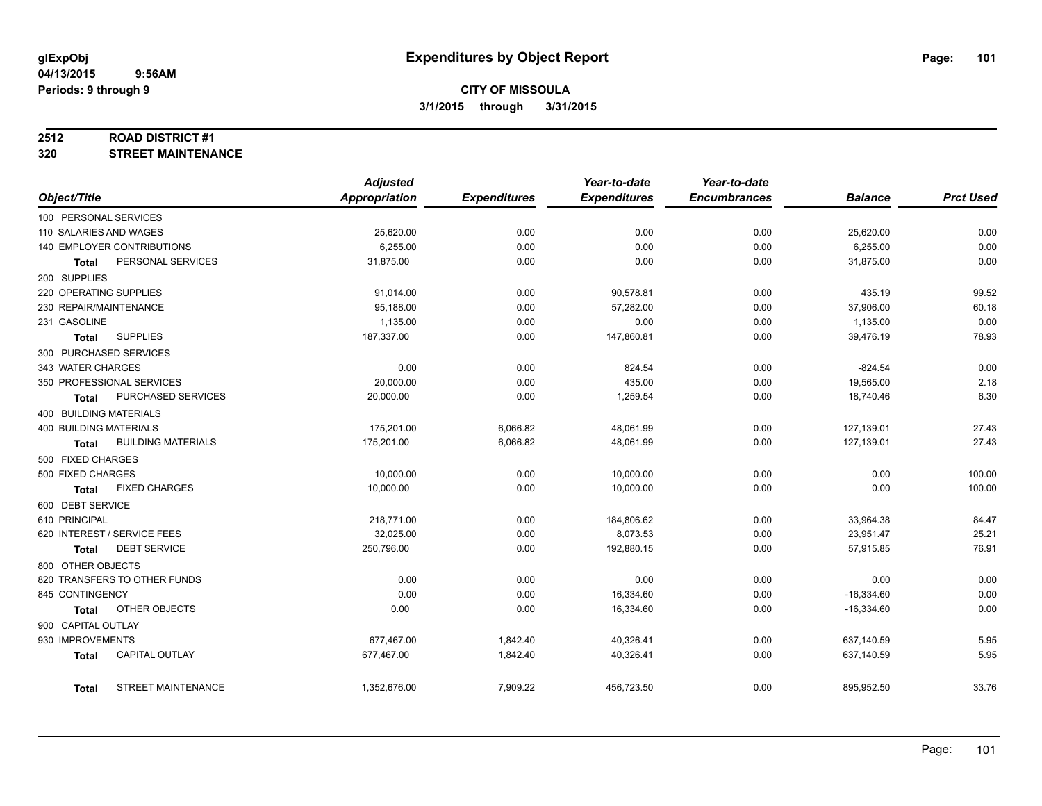### **2512 ROAD DISTRICT #1**

**320 STREET MAINTENANCE**

|                               |                              | <b>Adjusted</b>      |                     | Year-to-date        | Year-to-date        |                |                  |
|-------------------------------|------------------------------|----------------------|---------------------|---------------------|---------------------|----------------|------------------|
| Object/Title                  |                              | <b>Appropriation</b> | <b>Expenditures</b> | <b>Expenditures</b> | <b>Encumbrances</b> | <b>Balance</b> | <b>Prct Used</b> |
| 100 PERSONAL SERVICES         |                              |                      |                     |                     |                     |                |                  |
| 110 SALARIES AND WAGES        |                              | 25,620.00            | 0.00                | 0.00                | 0.00                | 25,620.00      | 0.00             |
|                               | 140 EMPLOYER CONTRIBUTIONS   | 6,255.00             | 0.00                | 0.00                | 0.00                | 6,255.00       | 0.00             |
| Total                         | PERSONAL SERVICES            | 31,875.00            | 0.00                | 0.00                | 0.00                | 31,875.00      | 0.00             |
| 200 SUPPLIES                  |                              |                      |                     |                     |                     |                |                  |
| 220 OPERATING SUPPLIES        |                              | 91,014.00            | 0.00                | 90,578.81           | 0.00                | 435.19         | 99.52            |
| 230 REPAIR/MAINTENANCE        |                              | 95,188.00            | 0.00                | 57,282.00           | 0.00                | 37,906.00      | 60.18            |
| 231 GASOLINE                  |                              | 1,135.00             | 0.00                | 0.00                | 0.00                | 1,135.00       | 0.00             |
| <b>Total</b>                  | <b>SUPPLIES</b>              | 187,337.00           | 0.00                | 147,860.81          | 0.00                | 39,476.19      | 78.93            |
| 300 PURCHASED SERVICES        |                              |                      |                     |                     |                     |                |                  |
| 343 WATER CHARGES             |                              | 0.00                 | 0.00                | 824.54              | 0.00                | $-824.54$      | 0.00             |
|                               | 350 PROFESSIONAL SERVICES    | 20,000.00            | 0.00                | 435.00              | 0.00                | 19,565.00      | 2.18             |
| Total                         | PURCHASED SERVICES           | 20,000.00            | 0.00                | 1,259.54            | 0.00                | 18,740.46      | 6.30             |
| 400 BUILDING MATERIALS        |                              |                      |                     |                     |                     |                |                  |
| <b>400 BUILDING MATERIALS</b> |                              | 175,201.00           | 6,066.82            | 48,061.99           | 0.00                | 127,139.01     | 27.43            |
| Total                         | <b>BUILDING MATERIALS</b>    | 175,201.00           | 6,066.82            | 48,061.99           | 0.00                | 127,139.01     | 27.43            |
| 500 FIXED CHARGES             |                              |                      |                     |                     |                     |                |                  |
| 500 FIXED CHARGES             |                              | 10,000.00            | 0.00                | 10,000.00           | 0.00                | 0.00           | 100.00           |
| <b>Total</b>                  | <b>FIXED CHARGES</b>         | 10,000.00            | 0.00                | 10,000.00           | 0.00                | 0.00           | 100.00           |
| 600 DEBT SERVICE              |                              |                      |                     |                     |                     |                |                  |
| 610 PRINCIPAL                 |                              | 218,771.00           | 0.00                | 184,806.62          | 0.00                | 33,964.38      | 84.47            |
|                               | 620 INTEREST / SERVICE FEES  | 32,025.00            | 0.00                | 8,073.53            | 0.00                | 23,951.47      | 25.21            |
| <b>Total</b>                  | <b>DEBT SERVICE</b>          | 250,796.00           | 0.00                | 192,880.15          | 0.00                | 57,915.85      | 76.91            |
| 800 OTHER OBJECTS             |                              |                      |                     |                     |                     |                |                  |
|                               | 820 TRANSFERS TO OTHER FUNDS | 0.00                 | 0.00                | 0.00                | 0.00                | 0.00           | 0.00             |
| 845 CONTINGENCY               |                              | 0.00                 | 0.00                | 16,334.60           | 0.00                | $-16,334.60$   | 0.00             |
| <b>Total</b>                  | OTHER OBJECTS                | 0.00                 | 0.00                | 16,334.60           | 0.00                | $-16,334.60$   | 0.00             |
| 900 CAPITAL OUTLAY            |                              |                      |                     |                     |                     |                |                  |
| 930 IMPROVEMENTS              |                              | 677,467.00           | 1,842.40            | 40,326.41           | 0.00                | 637,140.59     | 5.95             |
| <b>Total</b>                  | <b>CAPITAL OUTLAY</b>        | 677,467.00           | 1,842.40            | 40,326.41           | 0.00                | 637,140.59     | 5.95             |
|                               |                              |                      |                     |                     |                     |                |                  |
| Total                         | STREET MAINTENANCE           | 1,352,676.00         | 7,909.22            | 456,723.50          | 0.00                | 895,952.50     | 33.76            |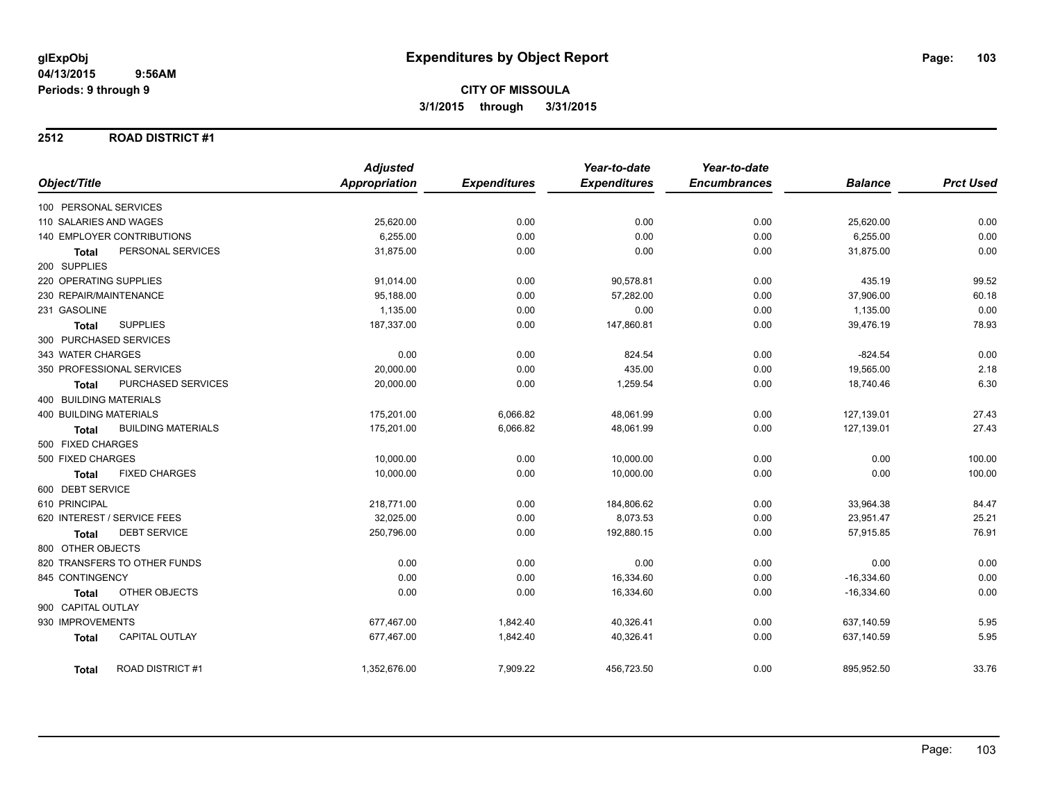### **2512 ROAD DISTRICT #1**

|                                           | <b>Adjusted</b>      |                     | Year-to-date        | Year-to-date        |                |                  |
|-------------------------------------------|----------------------|---------------------|---------------------|---------------------|----------------|------------------|
| Object/Title                              | <b>Appropriation</b> | <b>Expenditures</b> | <b>Expenditures</b> | <b>Encumbrances</b> | <b>Balance</b> | <b>Prct Used</b> |
| 100 PERSONAL SERVICES                     |                      |                     |                     |                     |                |                  |
| 110 SALARIES AND WAGES                    | 25,620.00            | 0.00                | 0.00                | 0.00                | 25,620.00      | 0.00             |
| 140 EMPLOYER CONTRIBUTIONS                | 6,255.00             | 0.00                | 0.00                | 0.00                | 6,255.00       | 0.00             |
| PERSONAL SERVICES<br><b>Total</b>         | 31,875.00            | 0.00                | 0.00                | 0.00                | 31,875.00      | 0.00             |
| 200 SUPPLIES                              |                      |                     |                     |                     |                |                  |
| 220 OPERATING SUPPLIES                    | 91,014.00            | 0.00                | 90,578.81           | 0.00                | 435.19         | 99.52            |
| 230 REPAIR/MAINTENANCE                    | 95,188.00            | 0.00                | 57,282.00           | 0.00                | 37,906.00      | 60.18            |
| 231 GASOLINE                              | 1,135.00             | 0.00                | 0.00                | 0.00                | 1,135.00       | 0.00             |
| <b>SUPPLIES</b><br><b>Total</b>           | 187,337.00           | 0.00                | 147,860.81          | 0.00                | 39,476.19      | 78.93            |
| 300 PURCHASED SERVICES                    |                      |                     |                     |                     |                |                  |
| 343 WATER CHARGES                         | 0.00                 | 0.00                | 824.54              | 0.00                | $-824.54$      | 0.00             |
| 350 PROFESSIONAL SERVICES                 | 20,000.00            | 0.00                | 435.00              | 0.00                | 19,565.00      | 2.18             |
| PURCHASED SERVICES<br><b>Total</b>        | 20,000.00            | 0.00                | 1,259.54            | 0.00                | 18,740.46      | 6.30             |
| 400 BUILDING MATERIALS                    |                      |                     |                     |                     |                |                  |
| <b>400 BUILDING MATERIALS</b>             | 175,201.00           | 6,066.82            | 48,061.99           | 0.00                | 127,139.01     | 27.43            |
| <b>BUILDING MATERIALS</b><br><b>Total</b> | 175,201.00           | 6,066.82            | 48,061.99           | 0.00                | 127,139.01     | 27.43            |
| 500 FIXED CHARGES                         |                      |                     |                     |                     |                |                  |
| 500 FIXED CHARGES                         | 10,000.00            | 0.00                | 10,000.00           | 0.00                | 0.00           | 100.00           |
| <b>FIXED CHARGES</b><br><b>Total</b>      | 10,000.00            | 0.00                | 10,000.00           | 0.00                | 0.00           | 100.00           |
| 600 DEBT SERVICE                          |                      |                     |                     |                     |                |                  |
| 610 PRINCIPAL                             | 218,771.00           | 0.00                | 184,806.62          | 0.00                | 33,964.38      | 84.47            |
| 620 INTEREST / SERVICE FEES               | 32,025.00            | 0.00                | 8,073.53            | 0.00                | 23,951.47      | 25.21            |
| <b>DEBT SERVICE</b><br><b>Total</b>       | 250,796.00           | 0.00                | 192,880.15          | 0.00                | 57,915.85      | 76.91            |
| 800 OTHER OBJECTS                         |                      |                     |                     |                     |                |                  |
| 820 TRANSFERS TO OTHER FUNDS              | 0.00                 | 0.00                | 0.00                | 0.00                | 0.00           | 0.00             |
| 845 CONTINGENCY                           | 0.00                 | 0.00                | 16,334.60           | 0.00                | $-16,334.60$   | 0.00             |
| OTHER OBJECTS<br><b>Total</b>             | 0.00                 | 0.00                | 16,334.60           | 0.00                | $-16,334.60$   | 0.00             |
| 900 CAPITAL OUTLAY                        |                      |                     |                     |                     |                |                  |
| 930 IMPROVEMENTS                          | 677,467.00           | 1,842.40            | 40,326.41           | 0.00                | 637,140.59     | 5.95             |
| <b>CAPITAL OUTLAY</b><br><b>Total</b>     | 677,467.00           | 1,842.40            | 40,326.41           | 0.00                | 637,140.59     | 5.95             |
| <b>ROAD DISTRICT #1</b><br><b>Total</b>   | 1,352,676.00         | 7,909.22            | 456,723.50          | 0.00                | 895,952.50     | 33.76            |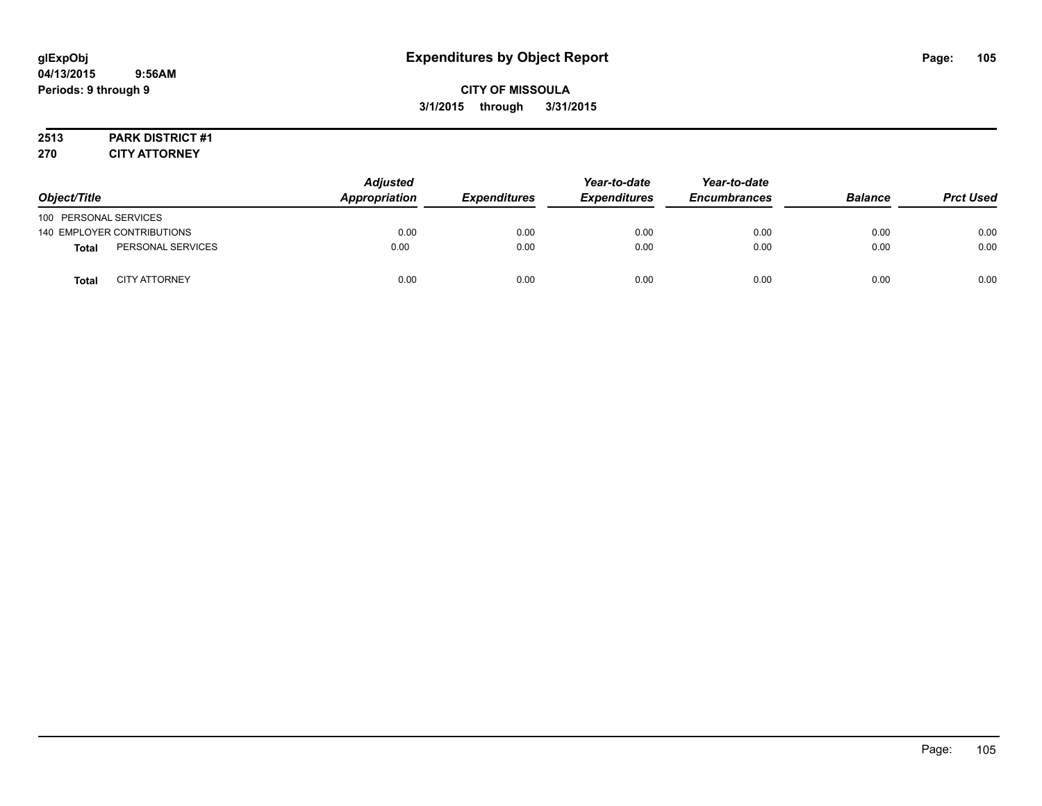# **CITY OF MISSOULA 3/1/2015 through 3/31/2015**

# **2513 PARK DISTRICT #1**

**270 CITY ATTORNEY**

| Object/Title          |                            | <b>Adjusted</b><br>Appropriation | <b>Expenditures</b> | Year-to-date<br><b>Expenditures</b> | Year-to-date<br><b>Encumbrances</b> | <b>Balance</b> | <b>Prct Used</b> |
|-----------------------|----------------------------|----------------------------------|---------------------|-------------------------------------|-------------------------------------|----------------|------------------|
| 100 PERSONAL SERVICES |                            |                                  |                     |                                     |                                     |                |                  |
|                       | 140 EMPLOYER CONTRIBUTIONS | 0.00                             | 0.00                | 0.00                                | 0.00                                | 0.00           | 0.00             |
| <b>Total</b>          | PERSONAL SERVICES          | 0.00                             | 0.00                | 0.00                                | 0.00                                | 0.00           | 0.00             |
| <b>Total</b>          | <b>CITY ATTORNEY</b>       | 0.00                             | 0.00                | 0.00                                | 0.00                                | 0.00           | 0.00             |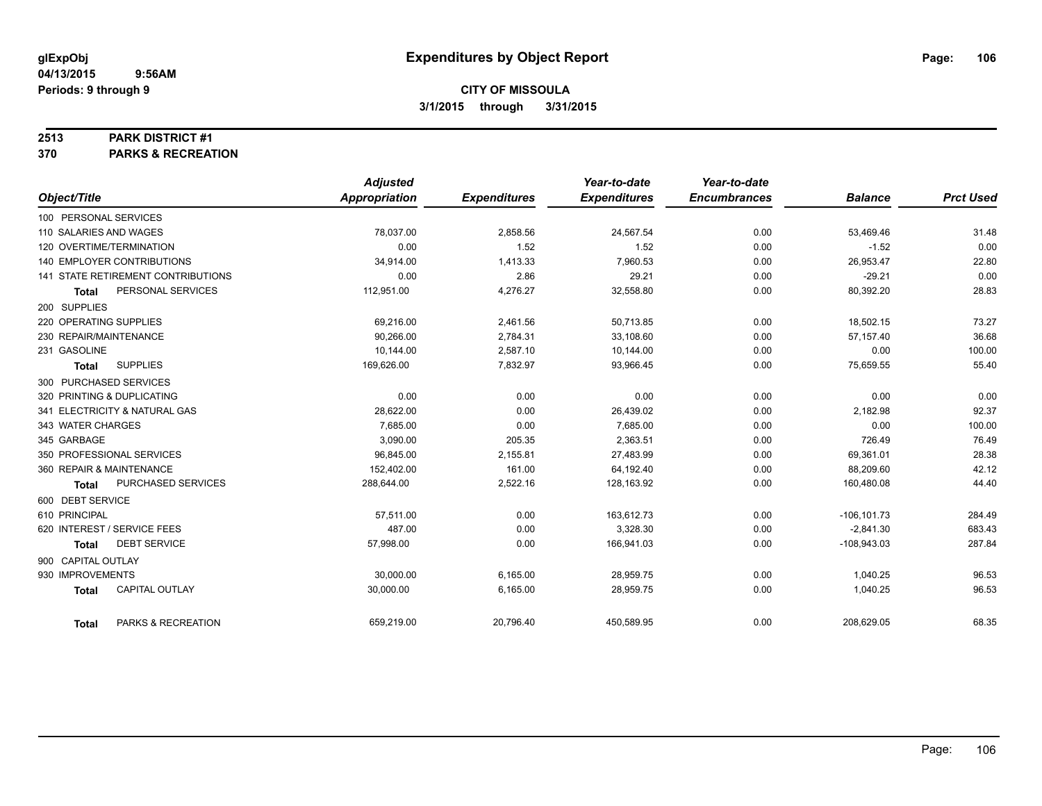### **2513 PARK DISTRICT #1**

**370 PARKS & RECREATION**

|                                       | <b>Adjusted</b> |                     | Year-to-date        | Year-to-date        |                |                  |
|---------------------------------------|-----------------|---------------------|---------------------|---------------------|----------------|------------------|
| Object/Title                          | Appropriation   | <b>Expenditures</b> | <b>Expenditures</b> | <b>Encumbrances</b> | <b>Balance</b> | <b>Prct Used</b> |
| 100 PERSONAL SERVICES                 |                 |                     |                     |                     |                |                  |
| 110 SALARIES AND WAGES                | 78,037.00       | 2,858.56            | 24,567.54           | 0.00                | 53,469.46      | 31.48            |
| 120 OVERTIME/TERMINATION              | 0.00            | 1.52                | 1.52                | 0.00                | $-1.52$        | 0.00             |
| <b>140 EMPLOYER CONTRIBUTIONS</b>     | 34,914.00       | 1,413.33            | 7,960.53            | 0.00                | 26,953.47      | 22.80            |
| 141 STATE RETIREMENT CONTRIBUTIONS    | 0.00            | 2.86                | 29.21               | 0.00                | $-29.21$       | 0.00             |
| PERSONAL SERVICES<br><b>Total</b>     | 112,951.00      | 4,276.27            | 32,558.80           | 0.00                | 80,392.20      | 28.83            |
| 200 SUPPLIES                          |                 |                     |                     |                     |                |                  |
| 220 OPERATING SUPPLIES                | 69,216.00       | 2,461.56            | 50,713.85           | 0.00                | 18,502.15      | 73.27            |
| 230 REPAIR/MAINTENANCE                | 90.266.00       | 2,784.31            | 33,108.60           | 0.00                | 57,157.40      | 36.68            |
| 231 GASOLINE                          | 10,144.00       | 2,587.10            | 10,144.00           | 0.00                | 0.00           | 100.00           |
| <b>SUPPLIES</b><br><b>Total</b>       | 169,626.00      | 7,832.97            | 93,966.45           | 0.00                | 75,659.55      | 55.40            |
| 300 PURCHASED SERVICES                |                 |                     |                     |                     |                |                  |
| 320 PRINTING & DUPLICATING            | 0.00            | 0.00                | 0.00                | 0.00                | 0.00           | 0.00             |
| 341 ELECTRICITY & NATURAL GAS         | 28,622.00       | 0.00                | 26,439.02           | 0.00                | 2,182.98       | 92.37            |
| 343 WATER CHARGES                     | 7,685.00        | 0.00                | 7,685.00            | 0.00                | 0.00           | 100.00           |
| 345 GARBAGE                           | 3,090.00        | 205.35              | 2,363.51            | 0.00                | 726.49         | 76.49            |
| 350 PROFESSIONAL SERVICES             | 96,845.00       | 2,155.81            | 27,483.99           | 0.00                | 69,361.01      | 28.38            |
| 360 REPAIR & MAINTENANCE              | 152,402.00      | 161.00              | 64,192.40           | 0.00                | 88,209.60      | 42.12            |
| PURCHASED SERVICES<br>Total           | 288,644.00      | 2,522.16            | 128,163.92          | 0.00                | 160,480.08     | 44.40            |
| 600 DEBT SERVICE                      |                 |                     |                     |                     |                |                  |
| 610 PRINCIPAL                         | 57,511.00       | 0.00                | 163,612.73          | 0.00                | $-106, 101.73$ | 284.49           |
| 620 INTEREST / SERVICE FEES           | 487.00          | 0.00                | 3,328.30            | 0.00                | $-2,841.30$    | 683.43           |
| <b>DEBT SERVICE</b><br><b>Total</b>   | 57,998.00       | 0.00                | 166,941.03          | 0.00                | $-108,943.03$  | 287.84           |
| 900 CAPITAL OUTLAY                    |                 |                     |                     |                     |                |                  |
| 930 IMPROVEMENTS                      | 30,000.00       | 6,165.00            | 28,959.75           | 0.00                | 1,040.25       | 96.53            |
| <b>CAPITAL OUTLAY</b><br><b>Total</b> | 30,000.00       | 6,165.00            | 28,959.75           | 0.00                | 1,040.25       | 96.53            |
| PARKS & RECREATION<br><b>Total</b>    | 659,219.00      | 20,796.40           | 450,589.95          | 0.00                | 208,629.05     | 68.35            |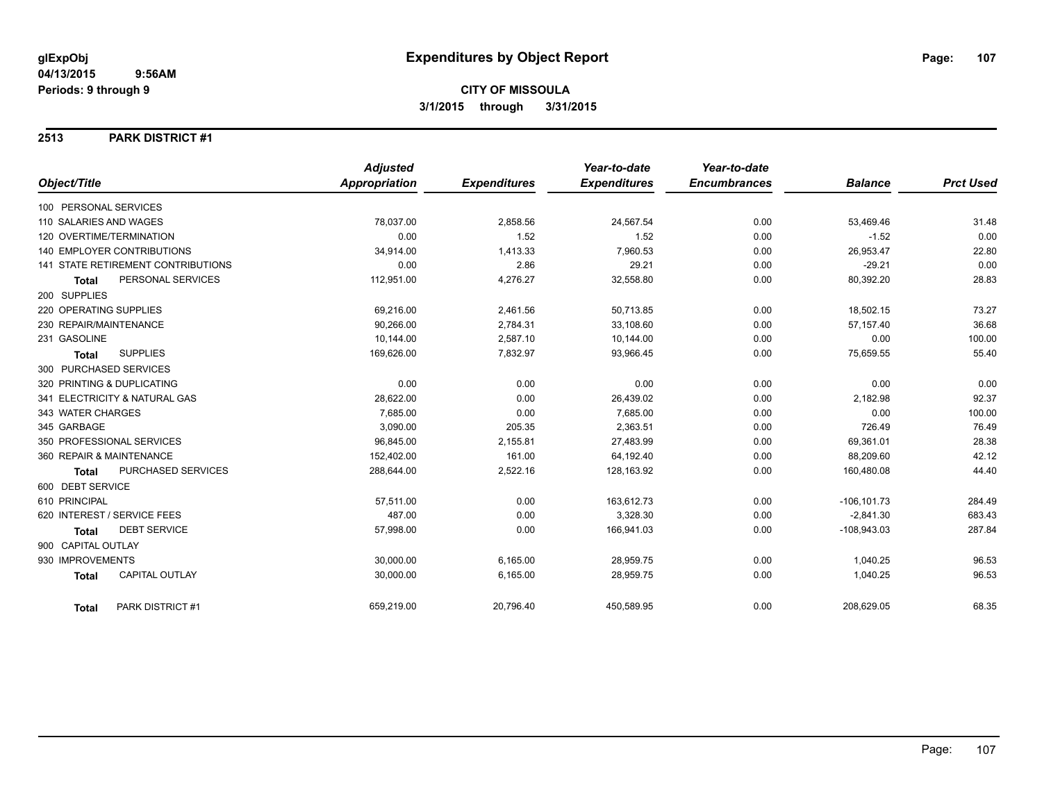### **2513 PARK DISTRICT #1**

|                                           | <b>Adjusted</b>      |                     | Year-to-date        | Year-to-date        |                |                  |
|-------------------------------------------|----------------------|---------------------|---------------------|---------------------|----------------|------------------|
| Object/Title                              | <b>Appropriation</b> | <b>Expenditures</b> | <b>Expenditures</b> | <b>Encumbrances</b> | <b>Balance</b> | <b>Prct Used</b> |
| 100 PERSONAL SERVICES                     |                      |                     |                     |                     |                |                  |
| 110 SALARIES AND WAGES                    | 78,037.00            | 2,858.56            | 24,567.54           | 0.00                | 53,469.46      | 31.48            |
| 120 OVERTIME/TERMINATION                  | 0.00                 | 1.52                | 1.52                | 0.00                | $-1.52$        | 0.00             |
| 140 EMPLOYER CONTRIBUTIONS                | 34,914.00            | 1,413.33            | 7,960.53            | 0.00                | 26,953.47      | 22.80            |
| 141 STATE RETIREMENT CONTRIBUTIONS        | 0.00                 | 2.86                | 29.21               | 0.00                | $-29.21$       | 0.00             |
| PERSONAL SERVICES<br><b>Total</b>         | 112,951.00           | 4,276.27            | 32,558.80           | 0.00                | 80,392.20      | 28.83            |
| 200 SUPPLIES                              |                      |                     |                     |                     |                |                  |
| 220 OPERATING SUPPLIES                    | 69,216.00            | 2,461.56            | 50,713.85           | 0.00                | 18,502.15      | 73.27            |
| 230 REPAIR/MAINTENANCE                    | 90,266.00            | 2,784.31            | 33,108.60           | 0.00                | 57,157.40      | 36.68            |
| 231 GASOLINE                              | 10,144.00            | 2,587.10            | 10,144.00           | 0.00                | 0.00           | 100.00           |
| <b>SUPPLIES</b><br>Total                  | 169,626.00           | 7,832.97            | 93,966.45           | 0.00                | 75,659.55      | 55.40            |
| 300 PURCHASED SERVICES                    |                      |                     |                     |                     |                |                  |
| 320 PRINTING & DUPLICATING                | 0.00                 | 0.00                | 0.00                | 0.00                | 0.00           | 0.00             |
| 341 ELECTRICITY & NATURAL GAS             | 28,622.00            | 0.00                | 26,439.02           | 0.00                | 2,182.98       | 92.37            |
| 343 WATER CHARGES                         | 7.685.00             | 0.00                | 7.685.00            | 0.00                | 0.00           | 100.00           |
| 345 GARBAGE                               | 3,090.00             | 205.35              | 2,363.51            | 0.00                | 726.49         | 76.49            |
| 350 PROFESSIONAL SERVICES                 | 96,845.00            | 2,155.81            | 27,483.99           | 0.00                | 69,361.01      | 28.38            |
| 360 REPAIR & MAINTENANCE                  | 152,402.00           | 161.00              | 64,192.40           | 0.00                | 88,209.60      | 42.12            |
| <b>PURCHASED SERVICES</b><br><b>Total</b> | 288,644.00           | 2,522.16            | 128,163.92          | 0.00                | 160,480.08     | 44.40            |
| 600 DEBT SERVICE                          |                      |                     |                     |                     |                |                  |
| 610 PRINCIPAL                             | 57,511.00            | 0.00                | 163,612.73          | 0.00                | $-106, 101.73$ | 284.49           |
| 620 INTEREST / SERVICE FEES               | 487.00               | 0.00                | 3,328.30            | 0.00                | $-2,841.30$    | 683.43           |
| <b>DEBT SERVICE</b><br><b>Total</b>       | 57,998.00            | 0.00                | 166,941.03          | 0.00                | $-108,943.03$  | 287.84           |
| 900 CAPITAL OUTLAY                        |                      |                     |                     |                     |                |                  |
| 930 IMPROVEMENTS                          | 30,000.00            | 6,165.00            | 28,959.75           | 0.00                | 1,040.25       | 96.53            |
| <b>CAPITAL OUTLAY</b><br><b>Total</b>     | 30,000.00            | 6,165.00            | 28,959.75           | 0.00                | 1,040.25       | 96.53            |
| <b>PARK DISTRICT #1</b><br><b>Total</b>   | 659,219.00           | 20,796.40           | 450,589.95          | 0.00                | 208,629.05     | 68.35            |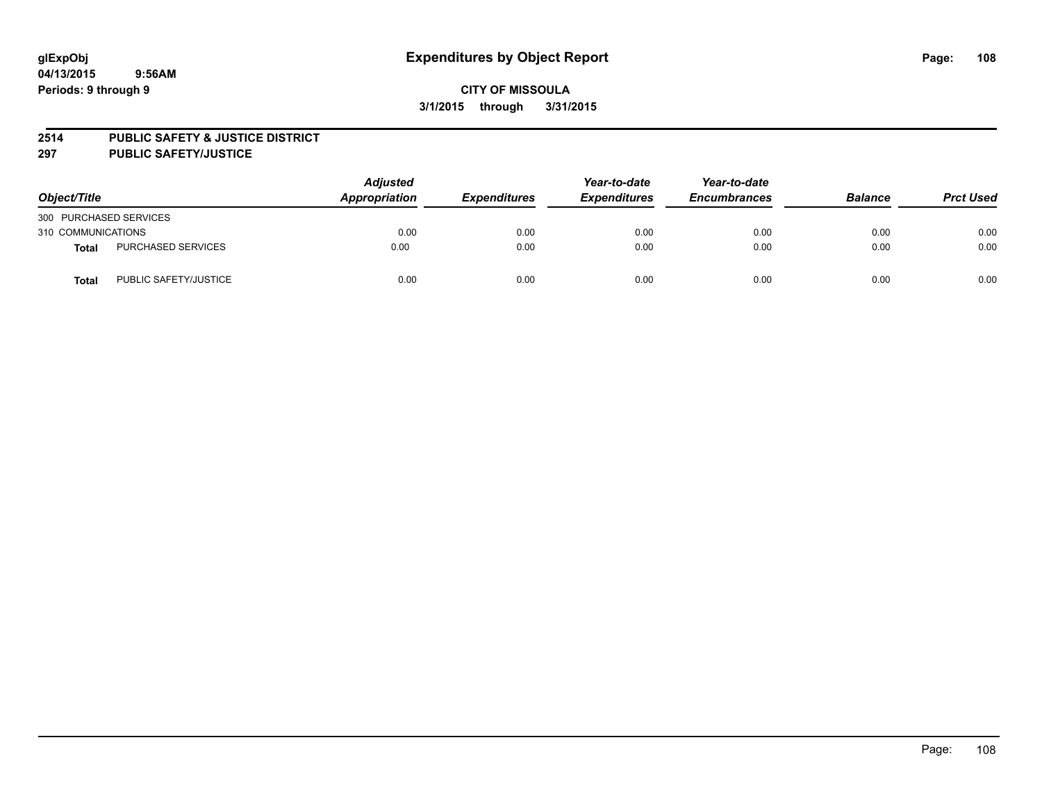### **2514 PUBLIC SAFETY & JUSTICE DISTRICT**

**297 PUBLIC SAFETY/JUSTICE**

| Object/Title           |                       | <b>Adjusted</b><br>Appropriation | <b>Expenditures</b> | Year-to-date<br><b>Expenditures</b> | Year-to-date<br><b>Encumbrances</b> | <b>Balance</b> | <b>Prct Used</b> |
|------------------------|-----------------------|----------------------------------|---------------------|-------------------------------------|-------------------------------------|----------------|------------------|
| 300 PURCHASED SERVICES |                       |                                  |                     |                                     |                                     |                |                  |
| 310 COMMUNICATIONS     |                       | 0.00                             | 0.00                | 0.00                                | 0.00                                | 0.00           | 0.00             |
| <b>Total</b>           | PURCHASED SERVICES    | 0.00                             | 0.00                | 0.00                                | 0.00                                | 0.00           | 0.00             |
| Total                  | PUBLIC SAFETY/JUSTICE | 0.00                             | 0.00                | 0.00                                | 0.00                                | 0.00           | 0.00             |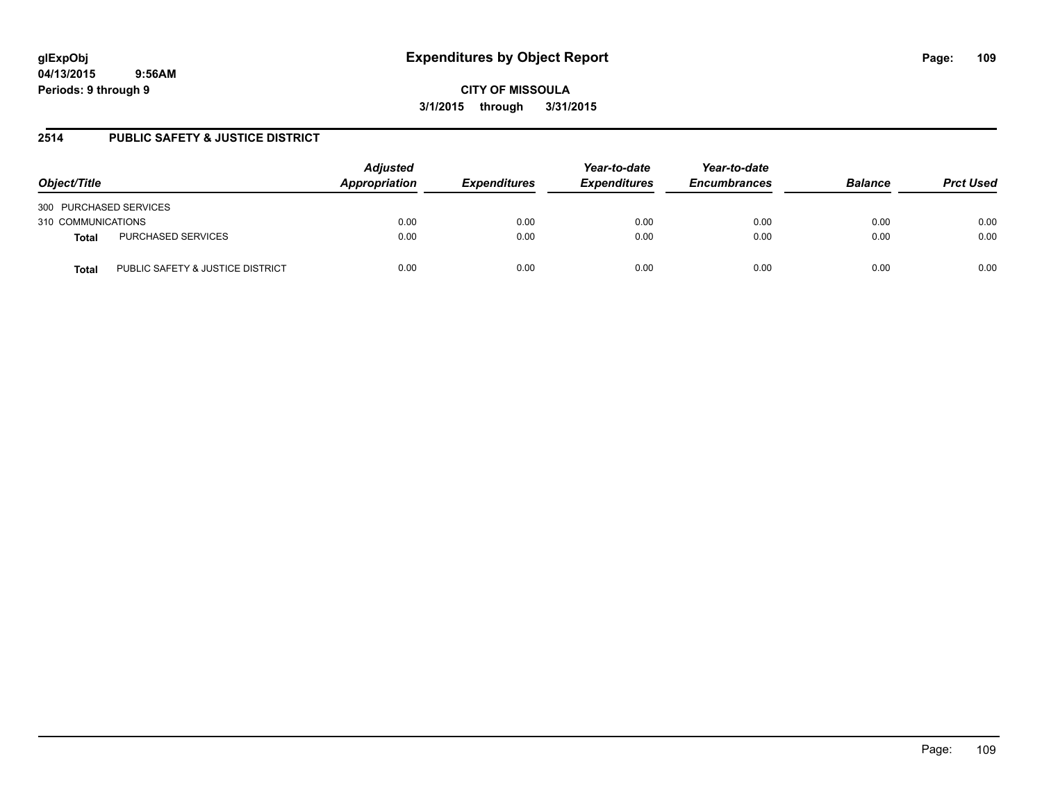**04/13/2015 9:56AM Periods: 9 through 9**

**CITY OF MISSOULA 3/1/2015 through 3/31/2015**

## **2514 PUBLIC SAFETY & JUSTICE DISTRICT**

| Object/Title                              | <b>Adjusted</b><br>Appropriation | <b>Expenditures</b> | Year-to-date<br><b>Expenditures</b> | Year-to-date<br><b>Encumbrances</b> | <b>Balance</b> | <b>Prct Used</b> |
|-------------------------------------------|----------------------------------|---------------------|-------------------------------------|-------------------------------------|----------------|------------------|
| 300 PURCHASED SERVICES                    |                                  |                     |                                     |                                     |                |                  |
| 310 COMMUNICATIONS                        | 0.00                             | 0.00                | 0.00                                | 0.00                                | 0.00           | 0.00             |
| PURCHASED SERVICES<br>Total               | 0.00                             | 0.00                | 0.00                                | 0.00                                | 0.00           | 0.00             |
| PUBLIC SAFETY & JUSTICE DISTRICT<br>Total | 0.00                             | 0.00                | 0.00                                | 0.00                                | 0.00           | 0.00             |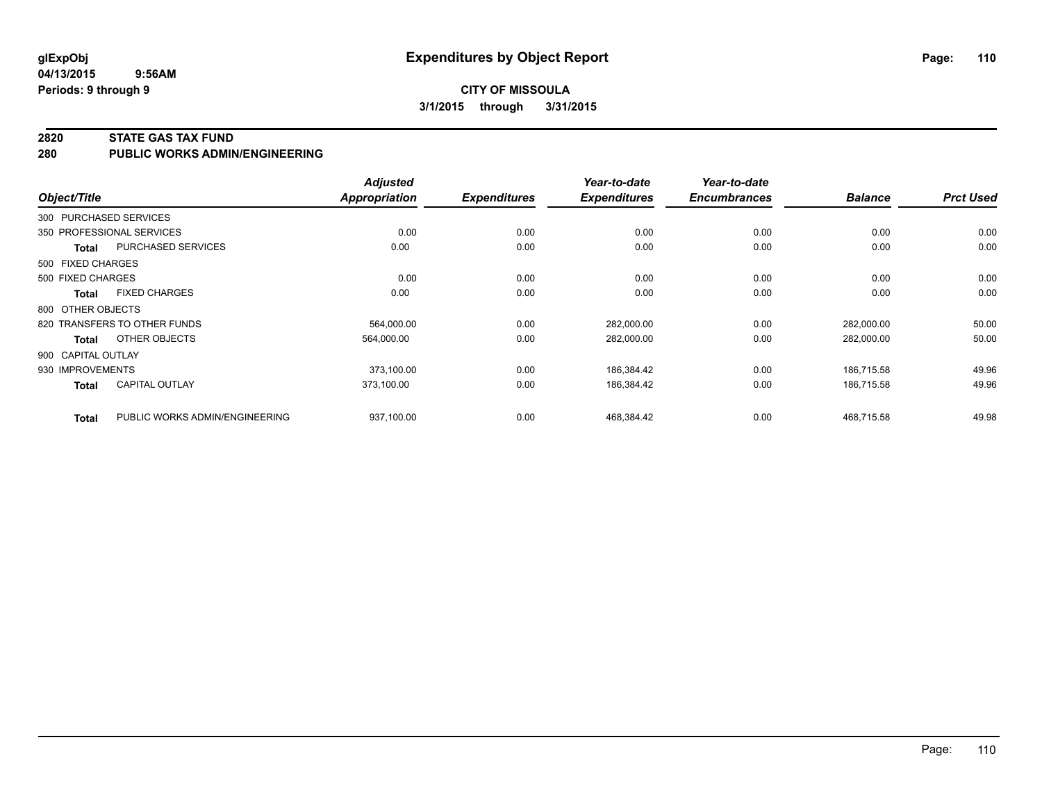**04/13/2015 9:56AM Periods: 9 through 9**

## **CITY OF MISSOULA 3/1/2015 through 3/31/2015**

#### **2820 STATE GAS TAX FUND**

**280 PUBLIC WORKS ADMIN/ENGINEERING**

| Object/Title       |                                | <b>Adjusted</b><br><b>Appropriation</b> | <b>Expenditures</b> | Year-to-date<br><b>Expenditures</b> | Year-to-date<br><b>Encumbrances</b> | <b>Balance</b> | <b>Prct Used</b> |
|--------------------|--------------------------------|-----------------------------------------|---------------------|-------------------------------------|-------------------------------------|----------------|------------------|
|                    | 300 PURCHASED SERVICES         |                                         |                     |                                     |                                     |                |                  |
|                    | 350 PROFESSIONAL SERVICES      | 0.00                                    | 0.00                | 0.00                                | 0.00                                | 0.00           | 0.00             |
| <b>Total</b>       | PURCHASED SERVICES             | 0.00                                    | 0.00                | 0.00                                | 0.00                                | 0.00           | 0.00             |
| 500 FIXED CHARGES  |                                |                                         |                     |                                     |                                     |                |                  |
| 500 FIXED CHARGES  |                                | 0.00                                    | 0.00                | 0.00                                | 0.00                                | 0.00           | 0.00             |
| <b>Total</b>       | <b>FIXED CHARGES</b>           | 0.00                                    | 0.00                | 0.00                                | 0.00                                | 0.00           | 0.00             |
| 800 OTHER OBJECTS  |                                |                                         |                     |                                     |                                     |                |                  |
|                    | 820 TRANSFERS TO OTHER FUNDS   | 564,000.00                              | 0.00                | 282,000.00                          | 0.00                                | 282,000.00     | 50.00            |
| <b>Total</b>       | OTHER OBJECTS                  | 564,000.00                              | 0.00                | 282,000.00                          | 0.00                                | 282,000.00     | 50.00            |
| 900 CAPITAL OUTLAY |                                |                                         |                     |                                     |                                     |                |                  |
| 930 IMPROVEMENTS   |                                | 373,100.00                              | 0.00                | 186,384.42                          | 0.00                                | 186,715.58     | 49.96            |
| <b>Total</b>       | CAPITAL OUTLAY                 | 373,100.00                              | 0.00                | 186,384.42                          | 0.00                                | 186,715.58     | 49.96            |
| <b>Total</b>       | PUBLIC WORKS ADMIN/ENGINEERING | 937.100.00                              | 0.00                | 468,384.42                          | 0.00                                | 468,715.58     | 49.98            |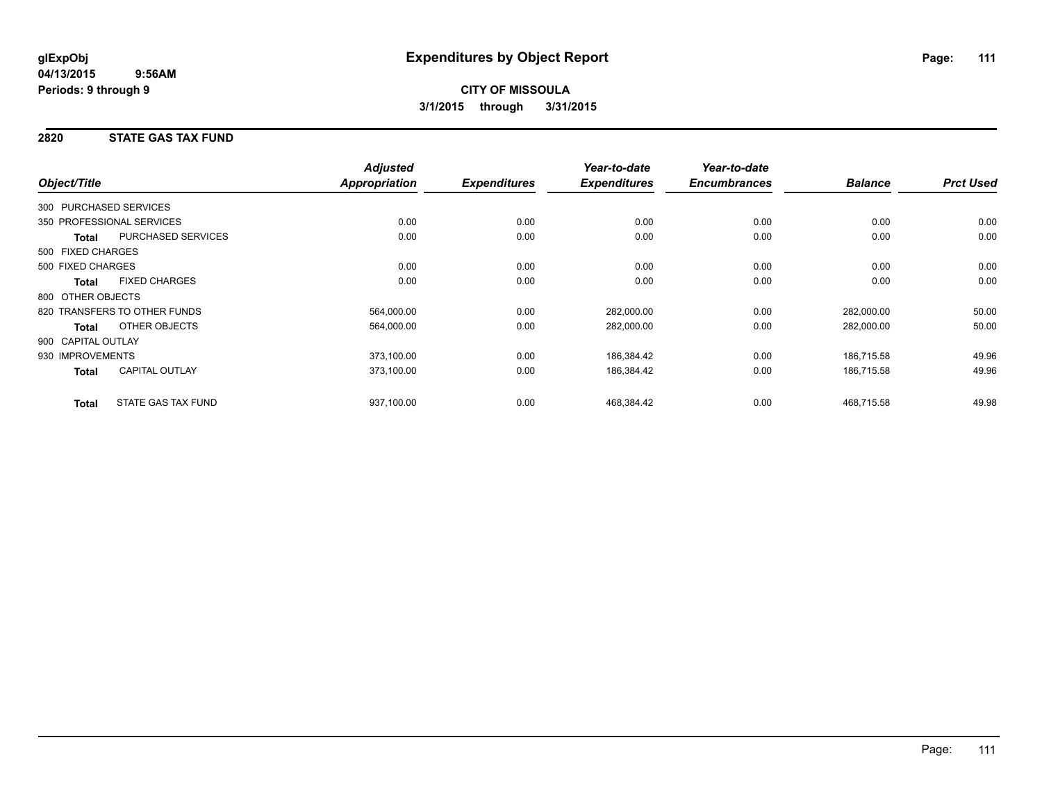## **2820 STATE GAS TAX FUND**

|                        |                              | <b>Adjusted</b>      |                     | Year-to-date        | Year-to-date        |                |                  |
|------------------------|------------------------------|----------------------|---------------------|---------------------|---------------------|----------------|------------------|
| Object/Title           |                              | <b>Appropriation</b> | <b>Expenditures</b> | <b>Expenditures</b> | <b>Encumbrances</b> | <b>Balance</b> | <b>Prct Used</b> |
| 300 PURCHASED SERVICES |                              |                      |                     |                     |                     |                |                  |
|                        | 350 PROFESSIONAL SERVICES    | 0.00                 | 0.00                | 0.00                | 0.00                | 0.00           | 0.00             |
| <b>Total</b>           | PURCHASED SERVICES           | 0.00                 | 0.00                | 0.00                | 0.00                | 0.00           | 0.00             |
| 500 FIXED CHARGES      |                              |                      |                     |                     |                     |                |                  |
| 500 FIXED CHARGES      |                              | 0.00                 | 0.00                | 0.00                | 0.00                | 0.00           | 0.00             |
| <b>Total</b>           | <b>FIXED CHARGES</b>         | 0.00                 | 0.00                | 0.00                | 0.00                | 0.00           | 0.00             |
| 800 OTHER OBJECTS      |                              |                      |                     |                     |                     |                |                  |
|                        | 820 TRANSFERS TO OTHER FUNDS | 564,000.00           | 0.00                | 282,000.00          | 0.00                | 282,000.00     | 50.00            |
| Total                  | OTHER OBJECTS                | 564,000.00           | 0.00                | 282,000.00          | 0.00                | 282,000.00     | 50.00            |
| 900 CAPITAL OUTLAY     |                              |                      |                     |                     |                     |                |                  |
| 930 IMPROVEMENTS       |                              | 373,100.00           | 0.00                | 186,384.42          | 0.00                | 186,715.58     | 49.96            |
| Total                  | <b>CAPITAL OUTLAY</b>        | 373,100.00           | 0.00                | 186,384.42          | 0.00                | 186,715.58     | 49.96            |
| <b>Total</b>           | STATE GAS TAX FUND           | 937,100.00           | 0.00                | 468,384.42          | 0.00                | 468,715.58     | 49.98            |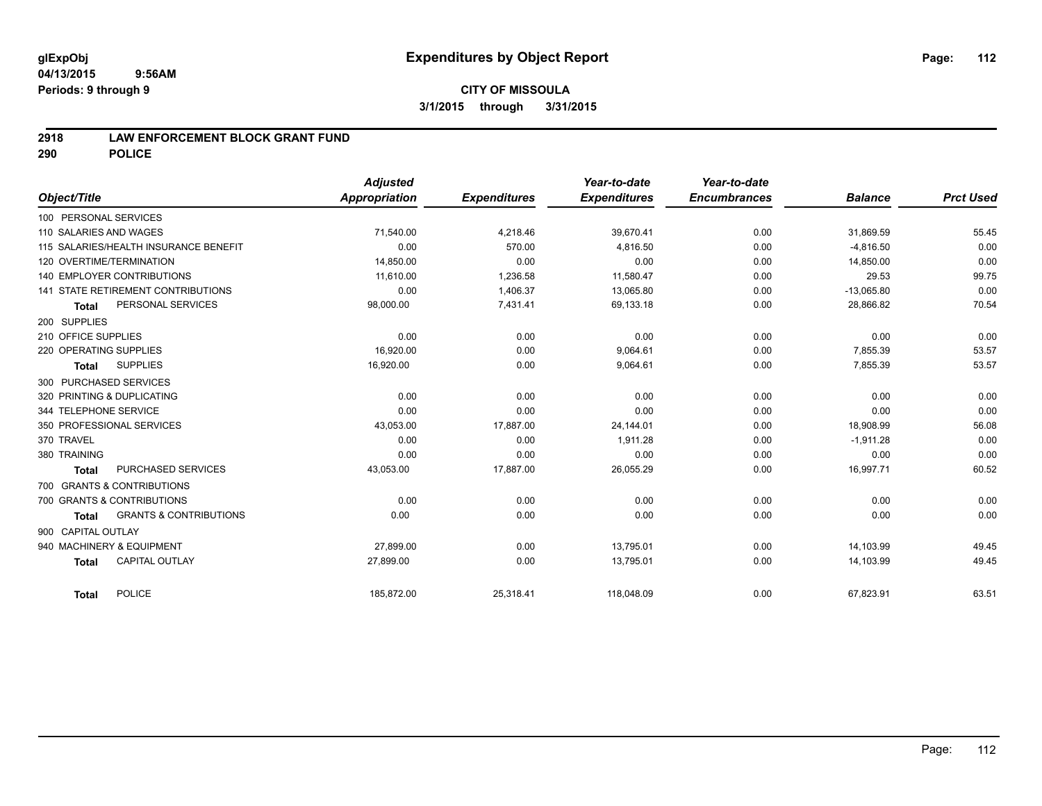### **2918 LAW ENFORCEMENT BLOCK GRANT FUND**

**290 POLICE**

|                                                   | <b>Adjusted</b>      |                     | Year-to-date        | Year-to-date        |                |                  |
|---------------------------------------------------|----------------------|---------------------|---------------------|---------------------|----------------|------------------|
| Object/Title                                      | <b>Appropriation</b> | <b>Expenditures</b> | <b>Expenditures</b> | <b>Encumbrances</b> | <b>Balance</b> | <b>Prct Used</b> |
| 100 PERSONAL SERVICES                             |                      |                     |                     |                     |                |                  |
| 110 SALARIES AND WAGES                            | 71,540.00            | 4,218.46            | 39,670.41           | 0.00                | 31,869.59      | 55.45            |
| 115 SALARIES/HEALTH INSURANCE BENEFIT             | 0.00                 | 570.00              | 4,816.50            | 0.00                | $-4,816.50$    | 0.00             |
| 120 OVERTIME/TERMINATION                          | 14,850.00            | 0.00                | 0.00                | 0.00                | 14,850.00      | 0.00             |
| <b>140 EMPLOYER CONTRIBUTIONS</b>                 | 11,610.00            | 1,236.58            | 11,580.47           | 0.00                | 29.53          | 99.75            |
| <b>141 STATE RETIREMENT CONTRIBUTIONS</b>         | 0.00                 | 1,406.37            | 13,065.80           | 0.00                | $-13,065.80$   | 0.00             |
| PERSONAL SERVICES<br><b>Total</b>                 | 98,000.00            | 7,431.41            | 69,133.18           | 0.00                | 28,866.82      | 70.54            |
| 200 SUPPLIES                                      |                      |                     |                     |                     |                |                  |
| 210 OFFICE SUPPLIES                               | 0.00                 | 0.00                | 0.00                | 0.00                | 0.00           | 0.00             |
| 220 OPERATING SUPPLIES                            | 16,920.00            | 0.00                | 9,064.61            | 0.00                | 7,855.39       | 53.57            |
| <b>SUPPLIES</b><br><b>Total</b>                   | 16,920.00            | 0.00                | 9,064.61            | 0.00                | 7,855.39       | 53.57            |
| 300 PURCHASED SERVICES                            |                      |                     |                     |                     |                |                  |
| 320 PRINTING & DUPLICATING                        | 0.00                 | 0.00                | 0.00                | 0.00                | 0.00           | 0.00             |
| 344 TELEPHONE SERVICE                             | 0.00                 | 0.00                | 0.00                | 0.00                | 0.00           | 0.00             |
| 350 PROFESSIONAL SERVICES                         | 43,053.00            | 17,887.00           | 24,144.01           | 0.00                | 18,908.99      | 56.08            |
| 370 TRAVEL                                        | 0.00                 | 0.00                | 1,911.28            | 0.00                | $-1,911.28$    | 0.00             |
| 380 TRAINING                                      | 0.00                 | 0.00                | 0.00                | 0.00                | 0.00           | 0.00             |
| PURCHASED SERVICES<br><b>Total</b>                | 43,053.00            | 17,887.00           | 26,055.29           | 0.00                | 16,997.71      | 60.52            |
| 700 GRANTS & CONTRIBUTIONS                        |                      |                     |                     |                     |                |                  |
| 700 GRANTS & CONTRIBUTIONS                        | 0.00                 | 0.00                | 0.00                | 0.00                | 0.00           | 0.00             |
| <b>GRANTS &amp; CONTRIBUTIONS</b><br><b>Total</b> | 0.00                 | 0.00                | 0.00                | 0.00                | 0.00           | 0.00             |
| 900 CAPITAL OUTLAY                                |                      |                     |                     |                     |                |                  |
| 940 MACHINERY & EQUIPMENT                         | 27,899.00            | 0.00                | 13,795.01           | 0.00                | 14,103.99      | 49.45            |
| <b>CAPITAL OUTLAY</b><br><b>Total</b>             | 27,899.00            | 0.00                | 13,795.01           | 0.00                | 14,103.99      | 49.45            |
| <b>POLICE</b><br><b>Total</b>                     | 185,872.00           | 25,318.41           | 118,048.09          | 0.00                | 67,823.91      | 63.51            |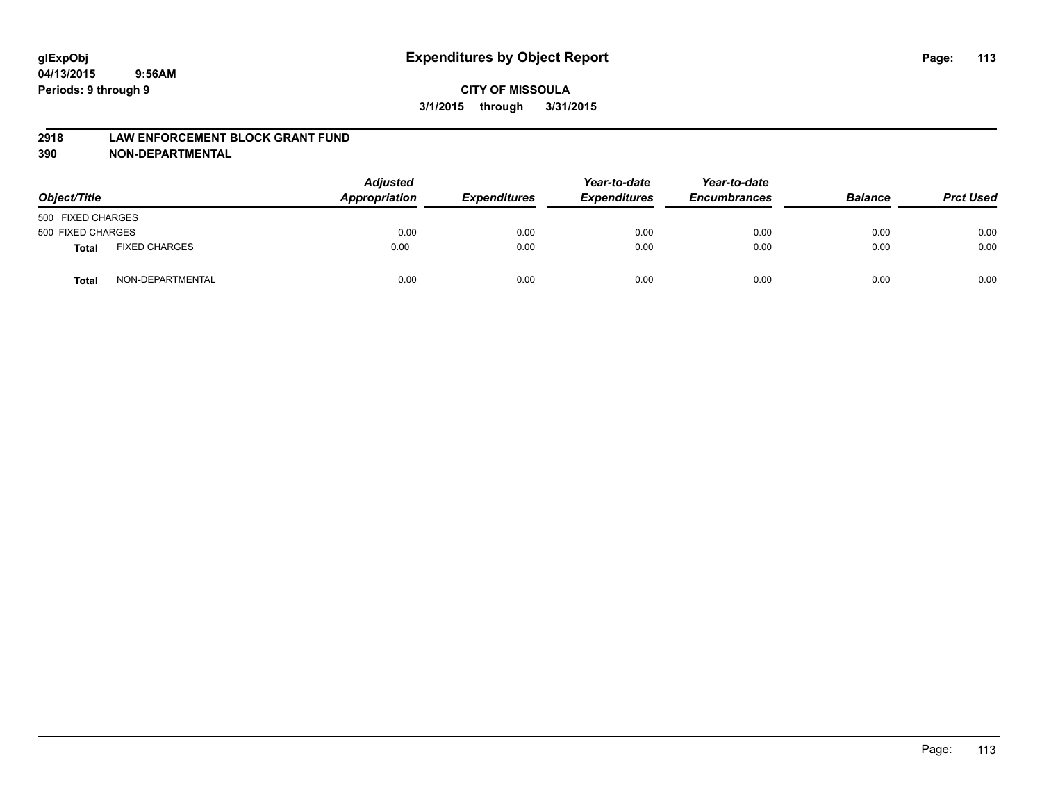#### **2918 LAW ENFORCEMENT BLOCK GRANT FUND**

**390 NON-DEPARTMENTAL**

| Object/Title      |                      | <b>Adjusted</b><br>Appropriation | <b>Expenditures</b> | Year-to-date<br><b>Expenditures</b> | Year-to-date<br><b>Encumbrances</b> | <b>Balance</b> | <b>Prct Used</b> |
|-------------------|----------------------|----------------------------------|---------------------|-------------------------------------|-------------------------------------|----------------|------------------|
| 500 FIXED CHARGES |                      |                                  |                     |                                     |                                     |                |                  |
| 500 FIXED CHARGES |                      | 0.00                             | 0.00                | 0.00                                | 0.00                                | 0.00           | 0.00             |
| Total             | <b>FIXED CHARGES</b> | 0.00                             | 0.00                | 0.00                                | 0.00                                | 0.00           | 0.00             |
| Total             | NON-DEPARTMENTAL     | 0.00                             | 0.00                | 0.00                                | 0.00                                | 0.00           | 0.00             |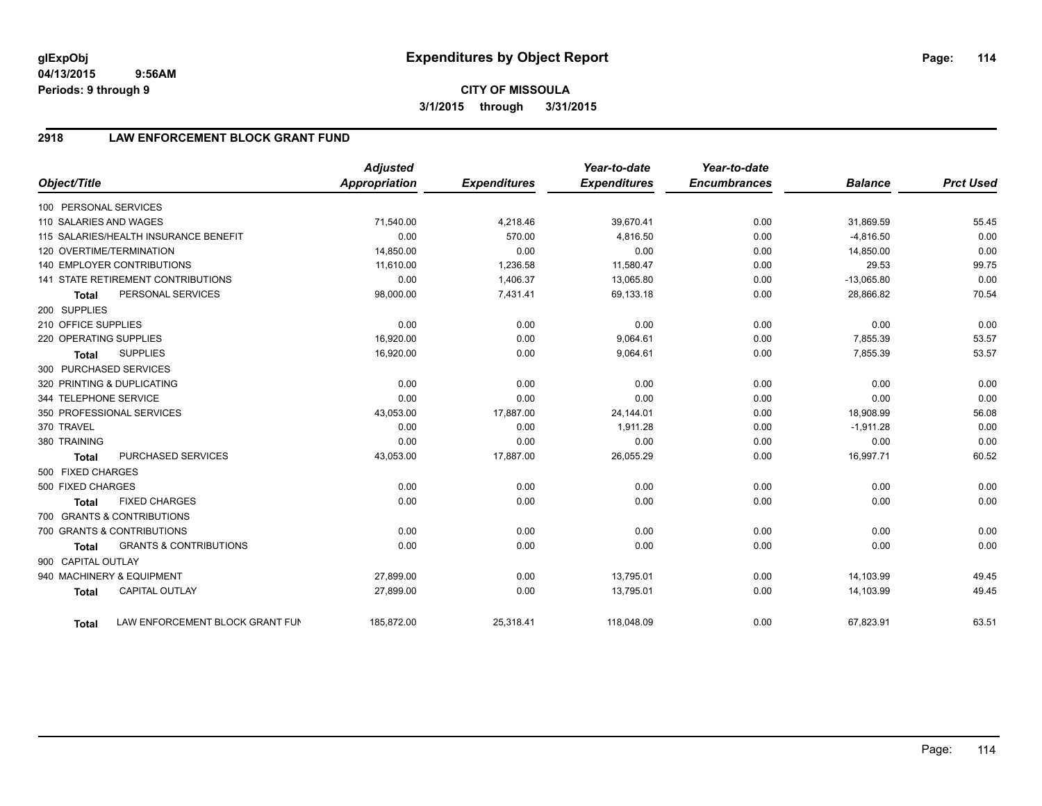**04/13/2015 9:56AM Periods: 9 through 9**

# **2918 LAW ENFORCEMENT BLOCK GRANT FUND**

| Object/Title                                      | <b>Adjusted</b><br>Appropriation | <b>Expenditures</b> | Year-to-date<br><b>Expenditures</b> | Year-to-date<br><b>Encumbrances</b> | <b>Balance</b> | <b>Prct Used</b> |
|---------------------------------------------------|----------------------------------|---------------------|-------------------------------------|-------------------------------------|----------------|------------------|
| 100 PERSONAL SERVICES                             |                                  |                     |                                     |                                     |                |                  |
| 110 SALARIES AND WAGES                            | 71,540.00                        | 4,218.46            | 39,670.41                           | 0.00                                | 31,869.59      | 55.45            |
| 115 SALARIES/HEALTH INSURANCE BENEFIT             | 0.00                             | 570.00              | 4,816.50                            | 0.00                                | $-4,816.50$    | 0.00             |
| 120 OVERTIME/TERMINATION                          | 14,850.00                        | 0.00                | 0.00                                | 0.00                                | 14,850.00      | 0.00             |
| 140 EMPLOYER CONTRIBUTIONS                        | 11,610.00                        | 1,236.58            | 11,580.47                           | 0.00                                | 29.53          | 99.75            |
| <b>141 STATE RETIREMENT CONTRIBUTIONS</b>         | 0.00                             | 1,406.37            | 13,065.80                           | 0.00                                | $-13,065.80$   | 0.00             |
| PERSONAL SERVICES<br><b>Total</b>                 | 98,000.00                        | 7,431.41            | 69,133.18                           | 0.00                                | 28,866.82      | 70.54            |
| 200 SUPPLIES                                      |                                  |                     |                                     |                                     |                |                  |
| 210 OFFICE SUPPLIES                               | 0.00                             | 0.00                | 0.00                                | 0.00                                | 0.00           | 0.00             |
| 220 OPERATING SUPPLIES                            | 16,920.00                        | 0.00                | 9,064.61                            | 0.00                                | 7,855.39       | 53.57            |
| <b>SUPPLIES</b><br><b>Total</b>                   | 16,920.00                        | 0.00                | 9,064.61                            | 0.00                                | 7,855.39       | 53.57            |
| 300 PURCHASED SERVICES                            |                                  |                     |                                     |                                     |                |                  |
| 320 PRINTING & DUPLICATING                        | 0.00                             | 0.00                | 0.00                                | 0.00                                | 0.00           | 0.00             |
| 344 TELEPHONE SERVICE                             | 0.00                             | 0.00                | 0.00                                | 0.00                                | 0.00           | 0.00             |
| 350 PROFESSIONAL SERVICES                         | 43,053.00                        | 17,887.00           | 24,144.01                           | 0.00                                | 18,908.99      | 56.08            |
| 370 TRAVEL                                        | 0.00                             | 0.00                | 1,911.28                            | 0.00                                | $-1,911.28$    | 0.00             |
| 380 TRAINING                                      | 0.00                             | 0.00                | 0.00                                | 0.00                                | 0.00           | 0.00             |
| PURCHASED SERVICES<br><b>Total</b>                | 43,053.00                        | 17,887.00           | 26,055.29                           | 0.00                                | 16,997.71      | 60.52            |
| 500 FIXED CHARGES                                 |                                  |                     |                                     |                                     |                |                  |
| 500 FIXED CHARGES                                 | 0.00                             | 0.00                | 0.00                                | 0.00                                | 0.00           | 0.00             |
| <b>FIXED CHARGES</b><br><b>Total</b>              | 0.00                             | 0.00                | 0.00                                | 0.00                                | 0.00           | 0.00             |
| 700 GRANTS & CONTRIBUTIONS                        |                                  |                     |                                     |                                     |                |                  |
| 700 GRANTS & CONTRIBUTIONS                        | 0.00                             | 0.00                | 0.00                                | 0.00                                | 0.00           | 0.00             |
| <b>GRANTS &amp; CONTRIBUTIONS</b><br><b>Total</b> | 0.00                             | 0.00                | 0.00                                | 0.00                                | 0.00           | 0.00             |
| 900 CAPITAL OUTLAY                                |                                  |                     |                                     |                                     |                |                  |
| 940 MACHINERY & EQUIPMENT                         | 27,899.00                        | 0.00                | 13,795.01                           | 0.00                                | 14,103.99      | 49.45            |
| <b>CAPITAL OUTLAY</b><br><b>Total</b>             | 27,899.00                        | 0.00                | 13,795.01                           | 0.00                                | 14,103.99      | 49.45            |
| LAW ENFORCEMENT BLOCK GRANT FUN                   | 185,872.00                       | 25,318.41           | 118,048.09                          | 0.00                                | 67,823.91      | 63.51            |
| <b>Total</b>                                      |                                  |                     |                                     |                                     |                |                  |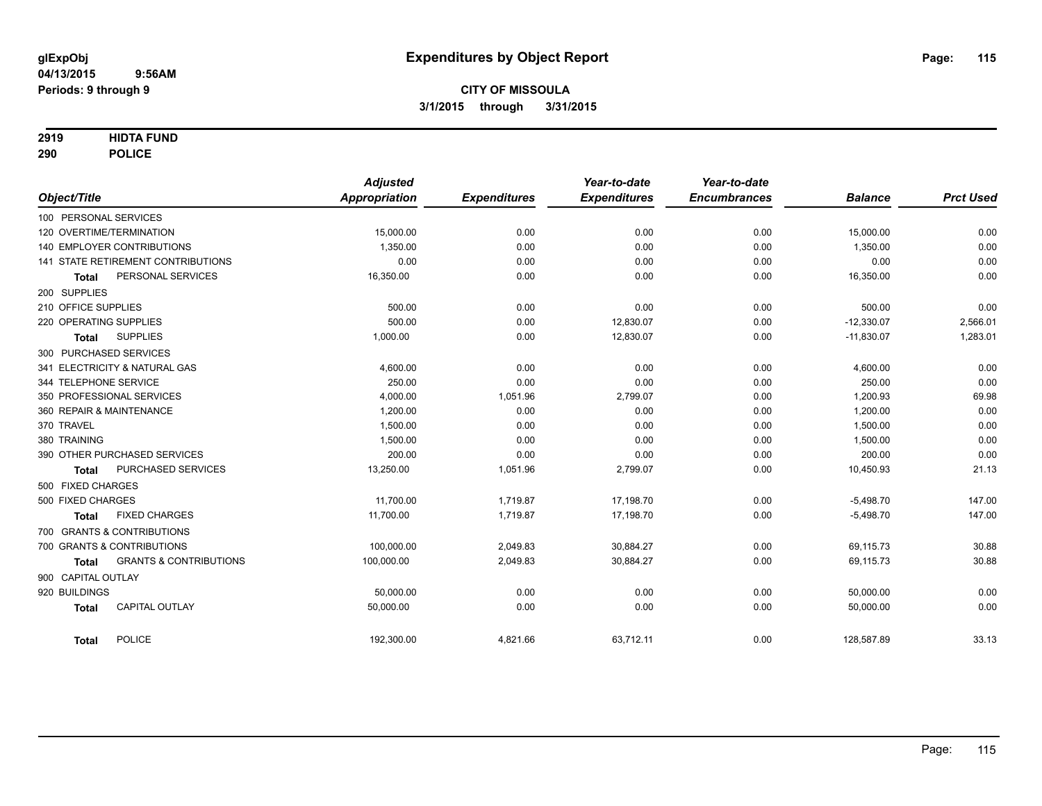### **2919 HIDTA FUND**

**290 POLICE**

| Object/Title           |                                           | <b>Adjusted</b><br>Appropriation | <b>Expenditures</b> | Year-to-date<br><b>Expenditures</b> | Year-to-date<br><b>Encumbrances</b> | <b>Balance</b> | <b>Prct Used</b> |
|------------------------|-------------------------------------------|----------------------------------|---------------------|-------------------------------------|-------------------------------------|----------------|------------------|
|                        |                                           |                                  |                     |                                     |                                     |                |                  |
| 100 PERSONAL SERVICES  |                                           |                                  |                     |                                     |                                     |                |                  |
|                        | 120 OVERTIME/TERMINATION                  | 15,000.00                        | 0.00                | 0.00                                | 0.00                                | 15,000.00      | 0.00             |
|                        | <b>140 EMPLOYER CONTRIBUTIONS</b>         | 1.350.00                         | 0.00                | 0.00                                | 0.00                                | 1,350.00       | 0.00             |
|                        | <b>141 STATE RETIREMENT CONTRIBUTIONS</b> | 0.00                             | 0.00                | 0.00                                | 0.00                                | 0.00           | 0.00             |
| <b>Total</b>           | PERSONAL SERVICES                         | 16,350.00                        | 0.00                | 0.00                                | 0.00                                | 16,350.00      | 0.00             |
| 200 SUPPLIES           |                                           |                                  |                     |                                     |                                     |                |                  |
| 210 OFFICE SUPPLIES    |                                           | 500.00                           | 0.00                | 0.00                                | 0.00                                | 500.00         | 0.00             |
| 220 OPERATING SUPPLIES |                                           | 500.00                           | 0.00                | 12,830.07                           | 0.00                                | $-12,330.07$   | 2,566.01         |
| Total                  | <b>SUPPLIES</b>                           | 1,000.00                         | 0.00                | 12,830.07                           | 0.00                                | $-11,830.07$   | 1,283.01         |
|                        | 300 PURCHASED SERVICES                    |                                  |                     |                                     |                                     |                |                  |
|                        | 341 ELECTRICITY & NATURAL GAS             | 4,600.00                         | 0.00                | 0.00                                | 0.00                                | 4,600.00       | 0.00             |
| 344 TELEPHONE SERVICE  |                                           | 250.00                           | 0.00                | 0.00                                | 0.00                                | 250.00         | 0.00             |
|                        | 350 PROFESSIONAL SERVICES                 | 4,000.00                         | 1,051.96            | 2,799.07                            | 0.00                                | 1,200.93       | 69.98            |
|                        | 360 REPAIR & MAINTENANCE                  | 1,200.00                         | 0.00                | 0.00                                | 0.00                                | 1,200.00       | 0.00             |
| 370 TRAVEL             |                                           | 1,500.00                         | 0.00                | 0.00                                | 0.00                                | 1,500.00       | 0.00             |
| 380 TRAINING           |                                           | 1,500.00                         | 0.00                | 0.00                                | 0.00                                | 1,500.00       | 0.00             |
|                        | 390 OTHER PURCHASED SERVICES              | 200.00                           | 0.00                | 0.00                                | 0.00                                | 200.00         | 0.00             |
| <b>Total</b>           | PURCHASED SERVICES                        | 13,250.00                        | 1,051.96            | 2,799.07                            | 0.00                                | 10,450.93      | 21.13            |
| 500 FIXED CHARGES      |                                           |                                  |                     |                                     |                                     |                |                  |
| 500 FIXED CHARGES      |                                           | 11.700.00                        | 1.719.87            | 17,198.70                           | 0.00                                | $-5,498.70$    | 147.00           |
| <b>Total</b>           | <b>FIXED CHARGES</b>                      | 11,700.00                        | 1,719.87            | 17,198.70                           | 0.00                                | $-5,498.70$    | 147.00           |
|                        | 700 GRANTS & CONTRIBUTIONS                |                                  |                     |                                     |                                     |                |                  |
|                        | 700 GRANTS & CONTRIBUTIONS                | 100.000.00                       | 2,049.83            | 30,884.27                           | 0.00                                | 69,115.73      | 30.88            |
| <b>Total</b>           | <b>GRANTS &amp; CONTRIBUTIONS</b>         | 100,000.00                       | 2,049.83            | 30,884.27                           | 0.00                                | 69,115.73      | 30.88            |
| 900 CAPITAL OUTLAY     |                                           |                                  |                     |                                     |                                     |                |                  |
| 920 BUILDINGS          |                                           | 50,000.00                        | 0.00                | 0.00                                | 0.00                                | 50,000.00      | 0.00             |
| <b>Total</b>           | <b>CAPITAL OUTLAY</b>                     | 50,000.00                        | 0.00                | 0.00                                | 0.00                                | 50,000.00      | 0.00             |
|                        |                                           |                                  |                     |                                     |                                     |                |                  |
| <b>Total</b>           | <b>POLICE</b>                             | 192,300.00                       | 4,821.66            | 63,712.11                           | 0.00                                | 128,587.89     | 33.13            |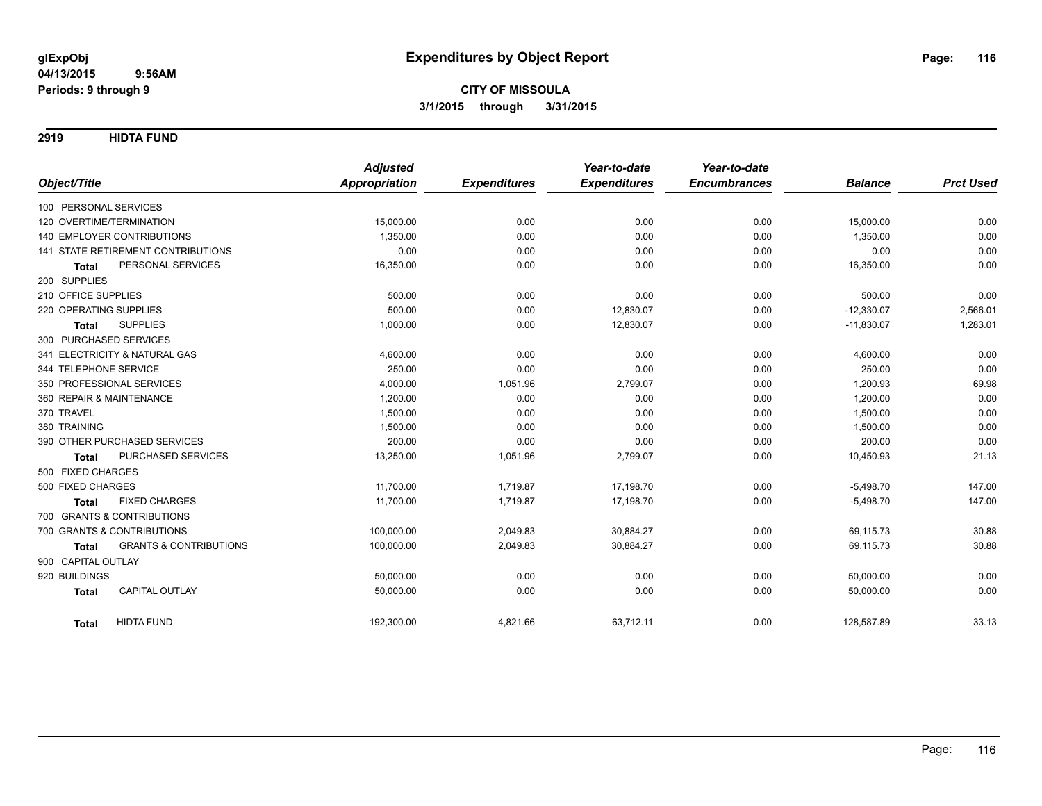**2919 HIDTA FUND**

|                                                   | <b>Adjusted</b>      |                     | Year-to-date        | Year-to-date        |                |                  |
|---------------------------------------------------|----------------------|---------------------|---------------------|---------------------|----------------|------------------|
| Object/Title                                      | <b>Appropriation</b> | <b>Expenditures</b> | <b>Expenditures</b> | <b>Encumbrances</b> | <b>Balance</b> | <b>Prct Used</b> |
| 100 PERSONAL SERVICES                             |                      |                     |                     |                     |                |                  |
| 120 OVERTIME/TERMINATION                          | 15,000.00            | 0.00                | 0.00                | 0.00                | 15,000.00      | 0.00             |
| <b>140 EMPLOYER CONTRIBUTIONS</b>                 | 1,350.00             | 0.00                | 0.00                | 0.00                | 1,350.00       | 0.00             |
| 141 STATE RETIREMENT CONTRIBUTIONS                | 0.00                 | 0.00                | 0.00                | 0.00                | 0.00           | 0.00             |
| PERSONAL SERVICES<br><b>Total</b>                 | 16,350.00            | 0.00                | 0.00                | 0.00                | 16,350.00      | 0.00             |
| 200 SUPPLIES                                      |                      |                     |                     |                     |                |                  |
| 210 OFFICE SUPPLIES                               | 500.00               | 0.00                | 0.00                | 0.00                | 500.00         | 0.00             |
| 220 OPERATING SUPPLIES                            | 500.00               | 0.00                | 12,830.07           | 0.00                | $-12,330.07$   | 2,566.01         |
| <b>SUPPLIES</b><br><b>Total</b>                   | 1,000.00             | 0.00                | 12,830.07           | 0.00                | $-11,830.07$   | 1,283.01         |
| 300 PURCHASED SERVICES                            |                      |                     |                     |                     |                |                  |
| 341 ELECTRICITY & NATURAL GAS                     | 4,600.00             | 0.00                | 0.00                | 0.00                | 4,600.00       | 0.00             |
| 344 TELEPHONE SERVICE                             | 250.00               | 0.00                | 0.00                | 0.00                | 250.00         | 0.00             |
| 350 PROFESSIONAL SERVICES                         | 4,000.00             | 1,051.96            | 2,799.07            | 0.00                | 1,200.93       | 69.98            |
| 360 REPAIR & MAINTENANCE                          | 1,200.00             | 0.00                | 0.00                | 0.00                | 1,200.00       | 0.00             |
| 370 TRAVEL                                        | 1,500.00             | 0.00                | 0.00                | 0.00                | 1,500.00       | 0.00             |
| 380 TRAINING                                      | 1,500.00             | 0.00                | 0.00                | 0.00                | 1,500.00       | 0.00             |
| 390 OTHER PURCHASED SERVICES                      | 200.00               | 0.00                | 0.00                | 0.00                | 200.00         | 0.00             |
| PURCHASED SERVICES<br><b>Total</b>                | 13,250.00            | 1,051.96            | 2,799.07            | 0.00                | 10,450.93      | 21.13            |
| 500 FIXED CHARGES                                 |                      |                     |                     |                     |                |                  |
| 500 FIXED CHARGES                                 | 11,700.00            | 1,719.87            | 17,198.70           | 0.00                | $-5,498.70$    | 147.00           |
| <b>FIXED CHARGES</b><br><b>Total</b>              | 11,700.00            | 1,719.87            | 17,198.70           | 0.00                | $-5,498.70$    | 147.00           |
| 700 GRANTS & CONTRIBUTIONS                        |                      |                     |                     |                     |                |                  |
| 700 GRANTS & CONTRIBUTIONS                        | 100,000.00           | 2,049.83            | 30,884.27           | 0.00                | 69,115.73      | 30.88            |
| <b>GRANTS &amp; CONTRIBUTIONS</b><br><b>Total</b> | 100,000.00           | 2,049.83            | 30,884.27           | 0.00                | 69,115.73      | 30.88            |
| 900 CAPITAL OUTLAY                                |                      |                     |                     |                     |                |                  |
| 920 BUILDINGS                                     | 50,000.00            | 0.00                | 0.00                | 0.00                | 50,000.00      | 0.00             |
| <b>CAPITAL OUTLAY</b><br><b>Total</b>             | 50,000.00            | 0.00                | 0.00                | 0.00                | 50,000.00      | 0.00             |
| <b>HIDTA FUND</b><br>Total                        | 192,300.00           | 4,821.66            | 63,712.11           | 0.00                | 128,587.89     | 33.13            |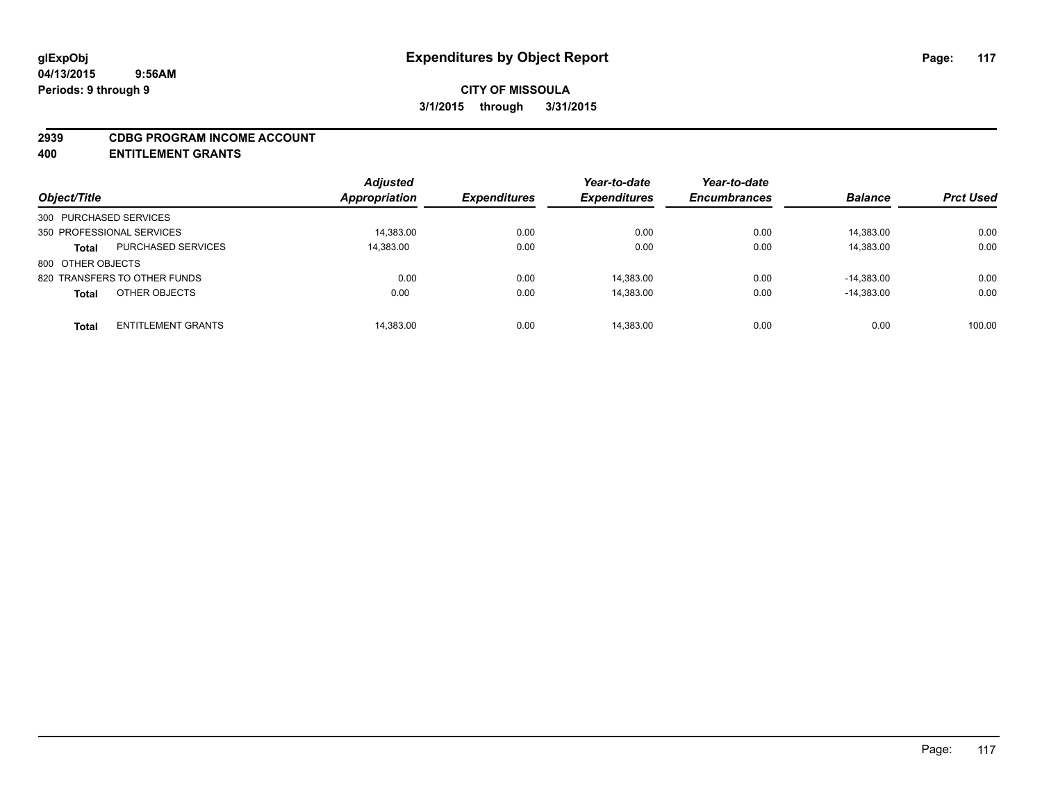#### **2939 CDBG PROGRAM INCOME ACCOUNT**

**400 ENTITLEMENT GRANTS**

| Object/Title              |                              | <b>Adjusted</b><br><b>Appropriation</b> | <b>Expenditures</b> | Year-to-date<br><b>Expenditures</b> | Year-to-date<br><b>Encumbrances</b> | <b>Balance</b> | <b>Prct Used</b> |
|---------------------------|------------------------------|-----------------------------------------|---------------------|-------------------------------------|-------------------------------------|----------------|------------------|
| 300 PURCHASED SERVICES    |                              |                                         |                     |                                     |                                     |                |                  |
| 350 PROFESSIONAL SERVICES |                              | 14.383.00                               | 0.00                | 0.00                                | 0.00                                | 14.383.00      | 0.00             |
| <b>Total</b>              | <b>PURCHASED SERVICES</b>    | 14,383.00                               | 0.00                | 0.00                                | 0.00                                | 14,383.00      | 0.00             |
| 800 OTHER OBJECTS         |                              |                                         |                     |                                     |                                     |                |                  |
|                           | 820 TRANSFERS TO OTHER FUNDS | 0.00                                    | 0.00                | 14,383.00                           | 0.00                                | $-14.383.00$   | 0.00             |
| <b>Total</b>              | OTHER OBJECTS                | 0.00                                    | 0.00                | 14,383.00                           | 0.00                                | $-14,383.00$   | 0.00             |
| <b>Total</b>              | <b>ENTITLEMENT GRANTS</b>    | 14,383.00                               | 0.00                | 14.383.00                           | 0.00                                | 0.00           | 100.00           |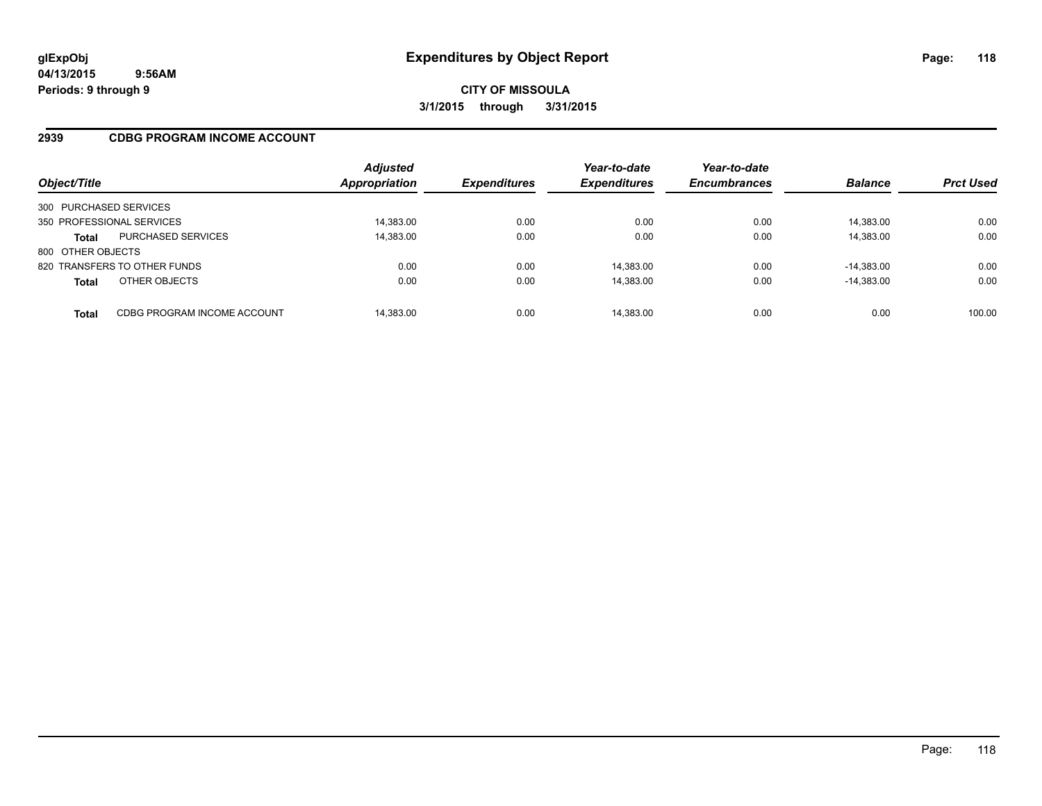### **2939 CDBG PROGRAM INCOME ACCOUNT**

| Object/Title              |                              | <b>Adjusted</b><br>Appropriation | <b>Expenditures</b> | Year-to-date<br><b>Expenditures</b> | Year-to-date<br><b>Encumbrances</b> | <b>Balance</b> | <b>Prct Used</b> |
|---------------------------|------------------------------|----------------------------------|---------------------|-------------------------------------|-------------------------------------|----------------|------------------|
| 300 PURCHASED SERVICES    |                              |                                  |                     |                                     |                                     |                |                  |
| 350 PROFESSIONAL SERVICES |                              | 14,383.00                        | 0.00                | 0.00                                | 0.00                                | 14,383.00      | 0.00             |
| <b>Total</b>              | <b>PURCHASED SERVICES</b>    | 14,383.00                        | 0.00                | 0.00                                | 0.00                                | 14.383.00      | 0.00             |
| 800 OTHER OBJECTS         |                              |                                  |                     |                                     |                                     |                |                  |
|                           | 820 TRANSFERS TO OTHER FUNDS | 0.00                             | 0.00                | 14,383.00                           | 0.00                                | $-14.383.00$   | 0.00             |
| <b>Total</b>              | OTHER OBJECTS                | 0.00                             | 0.00                | 14,383.00                           | 0.00                                | $-14,383.00$   | 0.00             |
| <b>Total</b>              | CDBG PROGRAM INCOME ACCOUNT  | 14,383.00                        | 0.00                | 14.383.00                           | 0.00                                | 0.00           | 100.00           |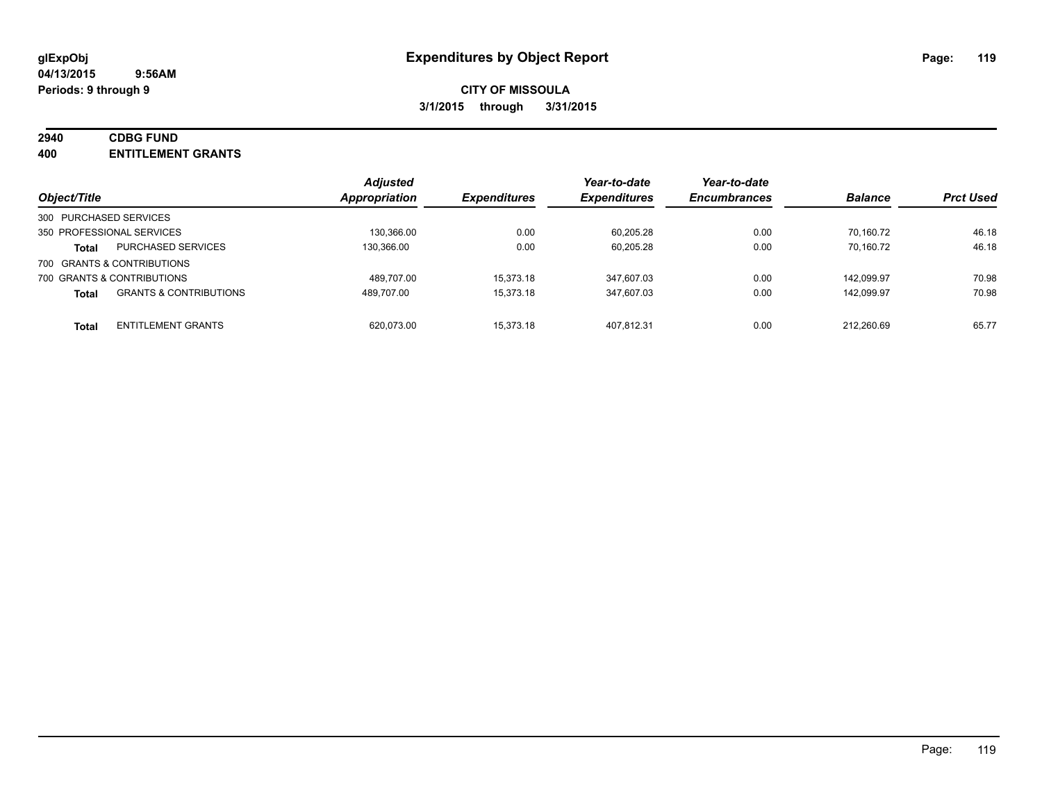## **2940 CDBG FUND**

**400 ENTITLEMENT GRANTS**

| Object/Title               |                                   | <b>Adjusted</b><br>Appropriation | <b>Expenditures</b> | Year-to-date<br><b>Expenditures</b> | Year-to-date<br><b>Encumbrances</b> | <b>Balance</b> | <b>Prct Used</b> |
|----------------------------|-----------------------------------|----------------------------------|---------------------|-------------------------------------|-------------------------------------|----------------|------------------|
| 300 PURCHASED SERVICES     |                                   |                                  |                     |                                     |                                     |                |                  |
| 350 PROFESSIONAL SERVICES  |                                   | 130,366.00                       | 0.00                | 60.205.28                           | 0.00                                | 70.160.72      | 46.18            |
| Total                      | <b>PURCHASED SERVICES</b>         | 130.366.00                       | 0.00                | 60,205.28                           | 0.00                                | 70.160.72      | 46.18            |
| 700 GRANTS & CONTRIBUTIONS |                                   |                                  |                     |                                     |                                     |                |                  |
| 700 GRANTS & CONTRIBUTIONS |                                   | 489.707.00                       | 15.373.18           | 347.607.03                          | 0.00                                | 142.099.97     | 70.98            |
| <b>Total</b>               | <b>GRANTS &amp; CONTRIBUTIONS</b> | 489.707.00                       | 15.373.18           | 347,607.03                          | 0.00                                | 142.099.97     | 70.98            |
| <b>Total</b>               | <b>ENTITLEMENT GRANTS</b>         | 620.073.00                       | 15.373.18           | 407.812.31                          | 0.00                                | 212.260.69     | 65.77            |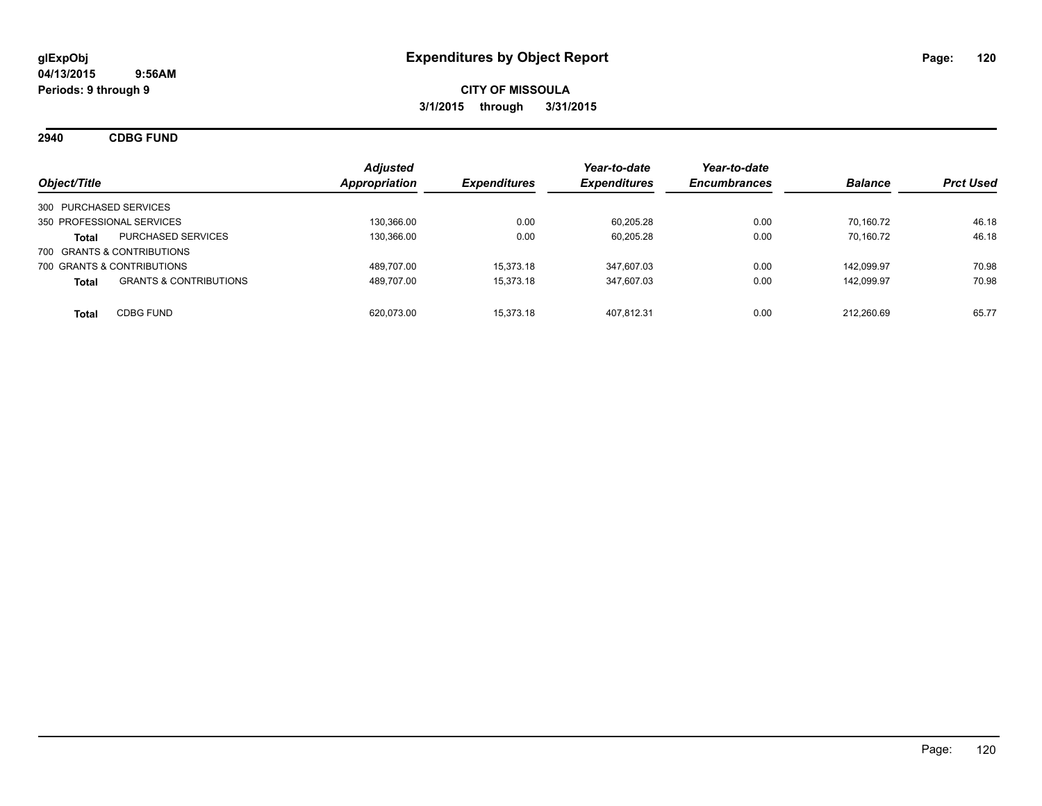**2940 CDBG FUND**

| Object/Title                                      | <b>Adjusted</b><br><b>Appropriation</b> | <b>Expenditures</b> | Year-to-date<br><b>Expenditures</b> | Year-to-date<br><b>Encumbrances</b> | <b>Balance</b> | <b>Prct Used</b> |
|---------------------------------------------------|-----------------------------------------|---------------------|-------------------------------------|-------------------------------------|----------------|------------------|
| 300 PURCHASED SERVICES                            |                                         |                     |                                     |                                     |                |                  |
| 350 PROFESSIONAL SERVICES                         | 130.366.00                              | 0.00                | 60,205.28                           | 0.00                                | 70.160.72      | 46.18            |
| <b>PURCHASED SERVICES</b><br>Total                | 130.366.00                              | 0.00                | 60,205.28                           | 0.00                                | 70.160.72      | 46.18            |
| 700 GRANTS & CONTRIBUTIONS                        |                                         |                     |                                     |                                     |                |                  |
| 700 GRANTS & CONTRIBUTIONS                        | 489.707.00                              | 15.373.18           | 347.607.03                          | 0.00                                | 142.099.97     | 70.98            |
| <b>GRANTS &amp; CONTRIBUTIONS</b><br><b>Total</b> | 489.707.00                              | 15.373.18           | 347.607.03                          | 0.00                                | 142.099.97     | 70.98            |
| <b>CDBG FUND</b><br>Total                         | 620.073.00                              | 15.373.18           | 407.812.31                          | 0.00                                | 212.260.69     | 65.77            |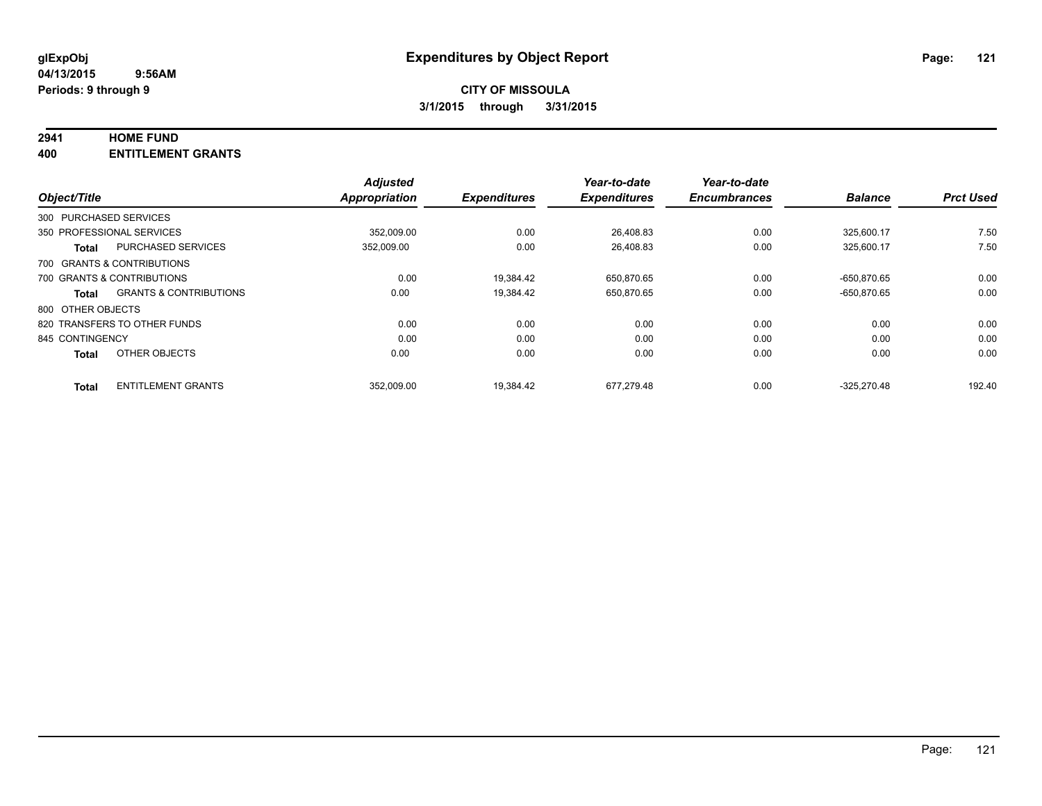#### **2941 HOME FUND**

**400 ENTITLEMENT GRANTS**

|                   |                                   | <b>Adjusted</b>      |                     | Year-to-date        | Year-to-date        |                |                  |
|-------------------|-----------------------------------|----------------------|---------------------|---------------------|---------------------|----------------|------------------|
| Object/Title      |                                   | <b>Appropriation</b> | <b>Expenditures</b> | <b>Expenditures</b> | <b>Encumbrances</b> | <b>Balance</b> | <b>Prct Used</b> |
|                   | 300 PURCHASED SERVICES            |                      |                     |                     |                     |                |                  |
|                   | 350 PROFESSIONAL SERVICES         | 352.009.00           | 0.00                | 26,408.83           | 0.00                | 325.600.17     | 7.50             |
| <b>Total</b>      | <b>PURCHASED SERVICES</b>         | 352,009.00           | 0.00                | 26,408.83           | 0.00                | 325.600.17     | 7.50             |
|                   | 700 GRANTS & CONTRIBUTIONS        |                      |                     |                     |                     |                |                  |
|                   | 700 GRANTS & CONTRIBUTIONS        | 0.00                 | 19.384.42           | 650,870.65          | 0.00                | -650.870.65    | 0.00             |
| <b>Total</b>      | <b>GRANTS &amp; CONTRIBUTIONS</b> | 0.00                 | 19,384.42           | 650,870.65          | 0.00                | $-650.870.65$  | 0.00             |
| 800 OTHER OBJECTS |                                   |                      |                     |                     |                     |                |                  |
|                   | 820 TRANSFERS TO OTHER FUNDS      | 0.00                 | 0.00                | 0.00                | 0.00                | 0.00           | 0.00             |
| 845 CONTINGENCY   |                                   | 0.00                 | 0.00                | 0.00                | 0.00                | 0.00           | 0.00             |
| <b>Total</b>      | OTHER OBJECTS                     | 0.00                 | 0.00                | 0.00                | 0.00                | 0.00           | 0.00             |
| <b>Total</b>      | <b>ENTITLEMENT GRANTS</b>         | 352.009.00           | 19.384.42           | 677.279.48          | 0.00                | $-325.270.48$  | 192.40           |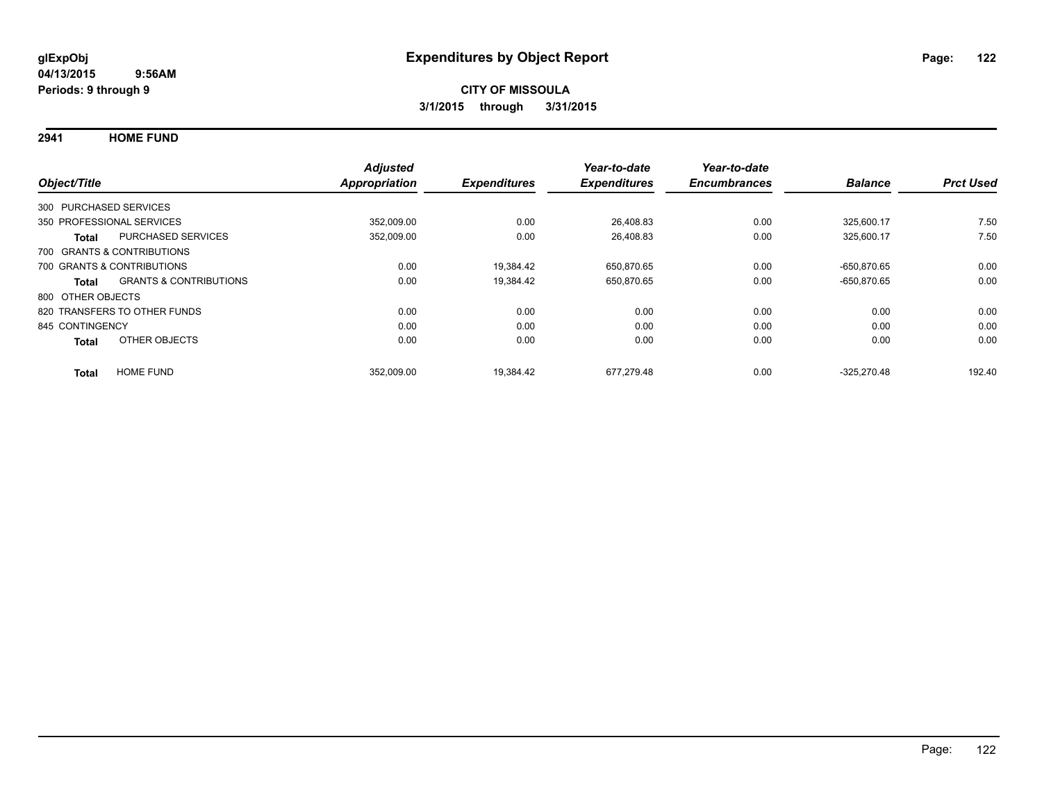**2941 HOME FUND**

| Object/Title           |                                   | <b>Adjusted</b><br><b>Appropriation</b> | <b>Expenditures</b> | Year-to-date<br><b>Expenditures</b> | Year-to-date<br><b>Encumbrances</b> | <b>Balance</b> | <b>Prct Used</b> |
|------------------------|-----------------------------------|-----------------------------------------|---------------------|-------------------------------------|-------------------------------------|----------------|------------------|
|                        |                                   |                                         |                     |                                     |                                     |                |                  |
| 300 PURCHASED SERVICES |                                   |                                         |                     |                                     |                                     |                |                  |
|                        | 350 PROFESSIONAL SERVICES         | 352.009.00                              | 0.00                | 26,408.83                           | 0.00                                | 325.600.17     | 7.50             |
| <b>Total</b>           | <b>PURCHASED SERVICES</b>         | 352,009.00                              | 0.00                | 26,408.83                           | 0.00                                | 325,600.17     | 7.50             |
|                        | 700 GRANTS & CONTRIBUTIONS        |                                         |                     |                                     |                                     |                |                  |
|                        | 700 GRANTS & CONTRIBUTIONS        | 0.00                                    | 19.384.42           | 650.870.65                          | 0.00                                | $-650.870.65$  | 0.00             |
| Total                  | <b>GRANTS &amp; CONTRIBUTIONS</b> | 0.00                                    | 19,384.42           | 650,870.65                          | 0.00                                | $-650,870.65$  | 0.00             |
| 800 OTHER OBJECTS      |                                   |                                         |                     |                                     |                                     |                |                  |
|                        | 820 TRANSFERS TO OTHER FUNDS      | 0.00                                    | 0.00                | 0.00                                | 0.00                                | 0.00           | 0.00             |
| 845 CONTINGENCY        |                                   | 0.00                                    | 0.00                | 0.00                                | 0.00                                | 0.00           | 0.00             |
| <b>Total</b>           | OTHER OBJECTS                     | 0.00                                    | 0.00                | 0.00                                | 0.00                                | 0.00           | 0.00             |
| <b>Total</b>           | <b>HOME FUND</b>                  | 352,009.00                              | 19,384.42           | 677.279.48                          | 0.00                                | $-325.270.48$  | 192.40           |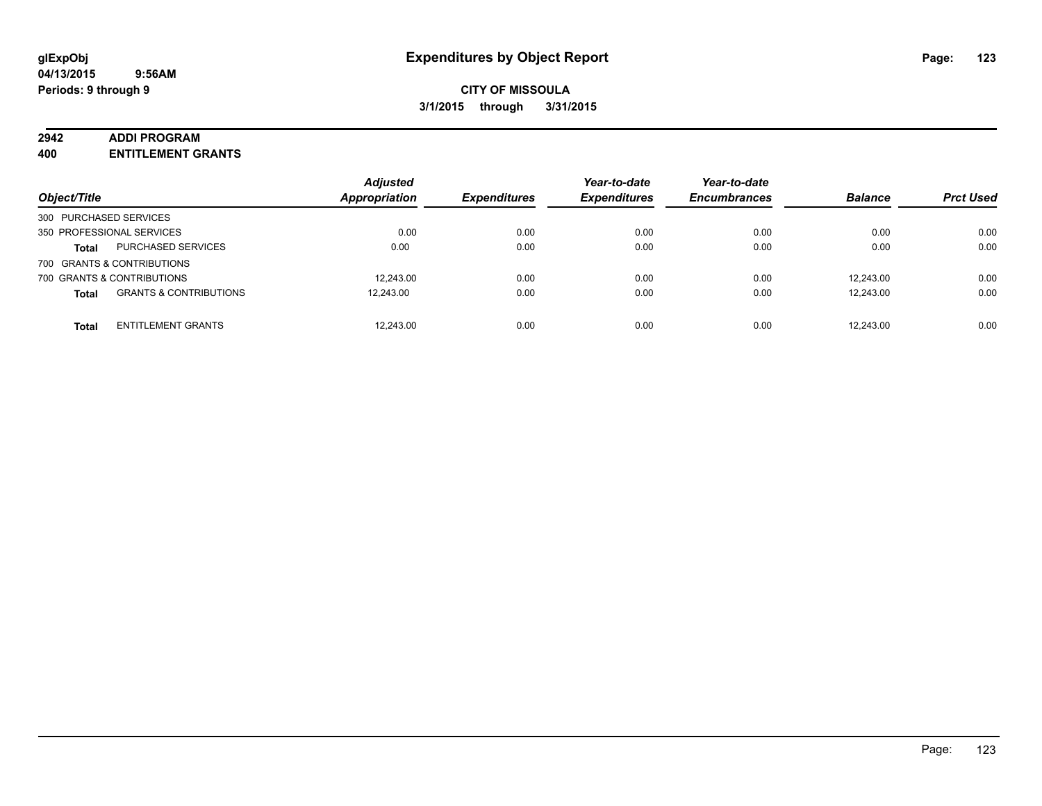#### **2942 ADDI PROGRAM**

**400 ENTITLEMENT GRANTS**

| Object/Title               |                                   | <b>Adjusted</b><br>Appropriation | <b>Expenditures</b> | Year-to-date<br><b>Expenditures</b> | Year-to-date<br><b>Encumbrances</b> | <b>Balance</b> | <b>Prct Used</b> |
|----------------------------|-----------------------------------|----------------------------------|---------------------|-------------------------------------|-------------------------------------|----------------|------------------|
| 300 PURCHASED SERVICES     |                                   |                                  |                     |                                     |                                     |                |                  |
| 350 PROFESSIONAL SERVICES  |                                   | 0.00                             | 0.00                | 0.00                                | 0.00                                | 0.00           | 0.00             |
| <b>Total</b>               | <b>PURCHASED SERVICES</b>         | 0.00                             | 0.00                | 0.00                                | 0.00                                | 0.00           | 0.00             |
| 700 GRANTS & CONTRIBUTIONS |                                   |                                  |                     |                                     |                                     |                |                  |
| 700 GRANTS & CONTRIBUTIONS |                                   | 12.243.00                        | 0.00                | 0.00                                | 0.00                                | 12.243.00      | 0.00             |
| <b>Total</b>               | <b>GRANTS &amp; CONTRIBUTIONS</b> | 12.243.00                        | 0.00                | 0.00                                | 0.00                                | 12.243.00      | 0.00             |
| <b>Total</b>               | <b>ENTITLEMENT GRANTS</b>         | 12,243.00                        | 0.00                | 0.00                                | 0.00                                | 12.243.00      | 0.00             |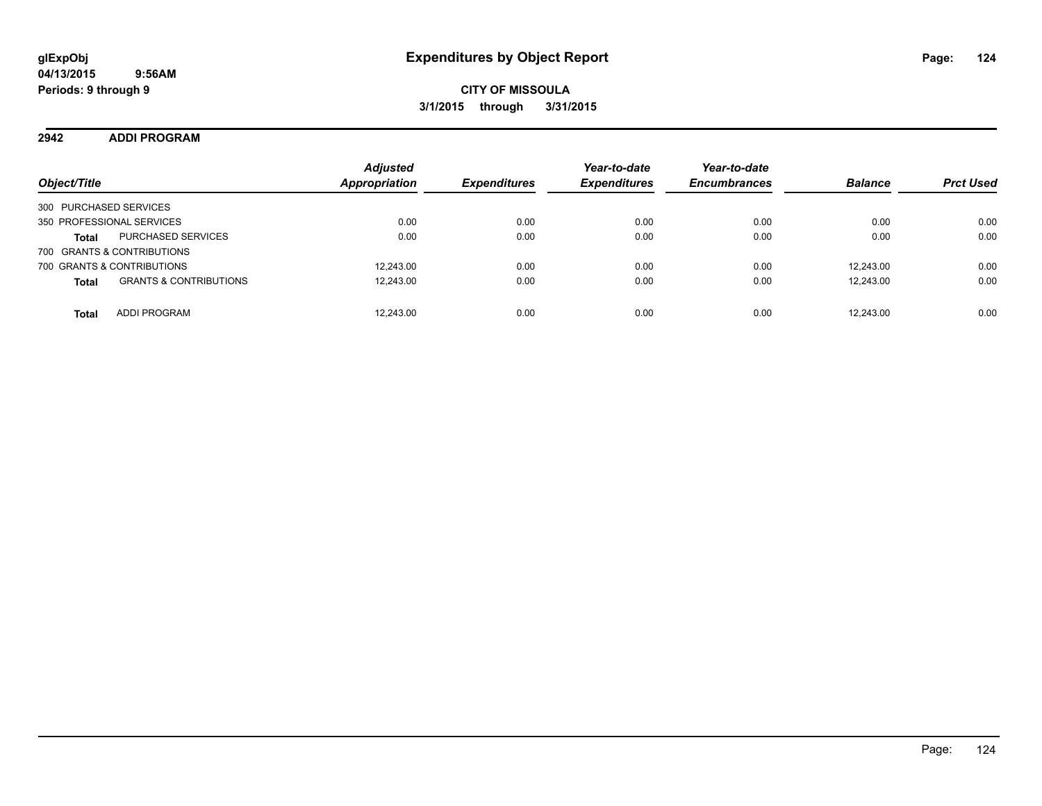**2942 ADDI PROGRAM**

| Object/Title                                      | <b>Adjusted</b><br><b>Appropriation</b> | <b>Expenditures</b> | Year-to-date<br><b>Expenditures</b> | Year-to-date<br><b>Encumbrances</b> | <b>Balance</b> | <b>Prct Used</b> |
|---------------------------------------------------|-----------------------------------------|---------------------|-------------------------------------|-------------------------------------|----------------|------------------|
| 300 PURCHASED SERVICES                            |                                         |                     |                                     |                                     |                |                  |
| 350 PROFESSIONAL SERVICES                         | 0.00                                    | 0.00                | 0.00                                | 0.00                                | 0.00           | 0.00             |
| <b>PURCHASED SERVICES</b><br><b>Total</b>         | 0.00                                    | 0.00                | 0.00                                | 0.00                                | 0.00           | 0.00             |
| 700 GRANTS & CONTRIBUTIONS                        |                                         |                     |                                     |                                     |                |                  |
| 700 GRANTS & CONTRIBUTIONS                        | 12.243.00                               | 0.00                | 0.00                                | 0.00                                | 12.243.00      | 0.00             |
| <b>GRANTS &amp; CONTRIBUTIONS</b><br><b>Total</b> | 12,243.00                               | 0.00                | 0.00                                | 0.00                                | 12.243.00      | 0.00             |
| <b>ADDI PROGRAM</b><br><b>Total</b>               | 12,243.00                               | 0.00                | 0.00                                | 0.00                                | 12.243.00      | 0.00             |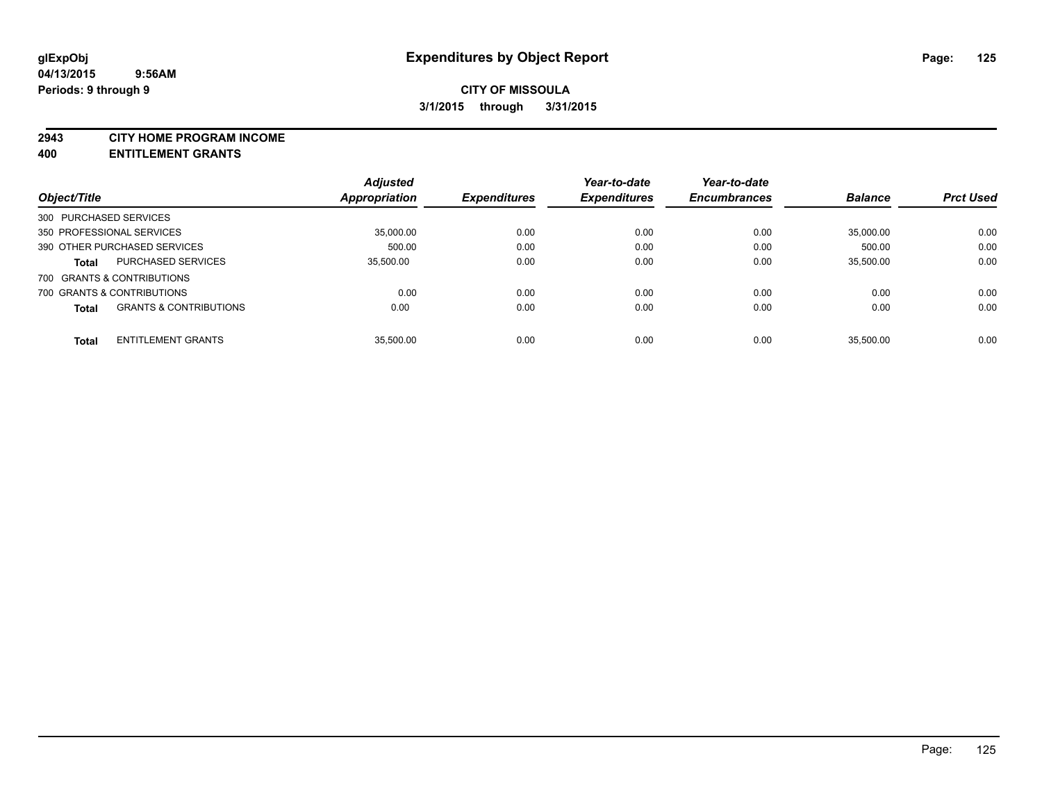#### **2943 CITY HOME PROGRAM INCOME**

**400 ENTITLEMENT GRANTS**

| Object/Title              |                                   | <b>Adjusted</b> | <b>Expenditures</b> | Year-to-date        | Year-to-date        | <b>Balance</b> | <b>Prct Used</b> |
|---------------------------|-----------------------------------|-----------------|---------------------|---------------------|---------------------|----------------|------------------|
|                           |                                   | Appropriation   |                     | <b>Expenditures</b> | <b>Encumbrances</b> |                |                  |
| 300 PURCHASED SERVICES    |                                   |                 |                     |                     |                     |                |                  |
| 350 PROFESSIONAL SERVICES |                                   | 35,000.00       | 0.00                | 0.00                | 0.00                | 35,000.00      | 0.00             |
|                           | 390 OTHER PURCHASED SERVICES      | 500.00          | 0.00                | 0.00                | 0.00                | 500.00         | 0.00             |
| Total                     | <b>PURCHASED SERVICES</b>         | 35.500.00       | 0.00                | 0.00                | 0.00                | 35.500.00      | 0.00             |
|                           | 700 GRANTS & CONTRIBUTIONS        |                 |                     |                     |                     |                |                  |
|                           | 700 GRANTS & CONTRIBUTIONS        | 0.00            | 0.00                | 0.00                | 0.00                | 0.00           | 0.00             |
| Total                     | <b>GRANTS &amp; CONTRIBUTIONS</b> | 0.00            | 0.00                | 0.00                | 0.00                | 0.00           | 0.00             |
| <b>Total</b>              | <b>ENTITLEMENT GRANTS</b>         | 35.500.00       | 0.00                | 0.00                | 0.00                | 35.500.00      | 0.00             |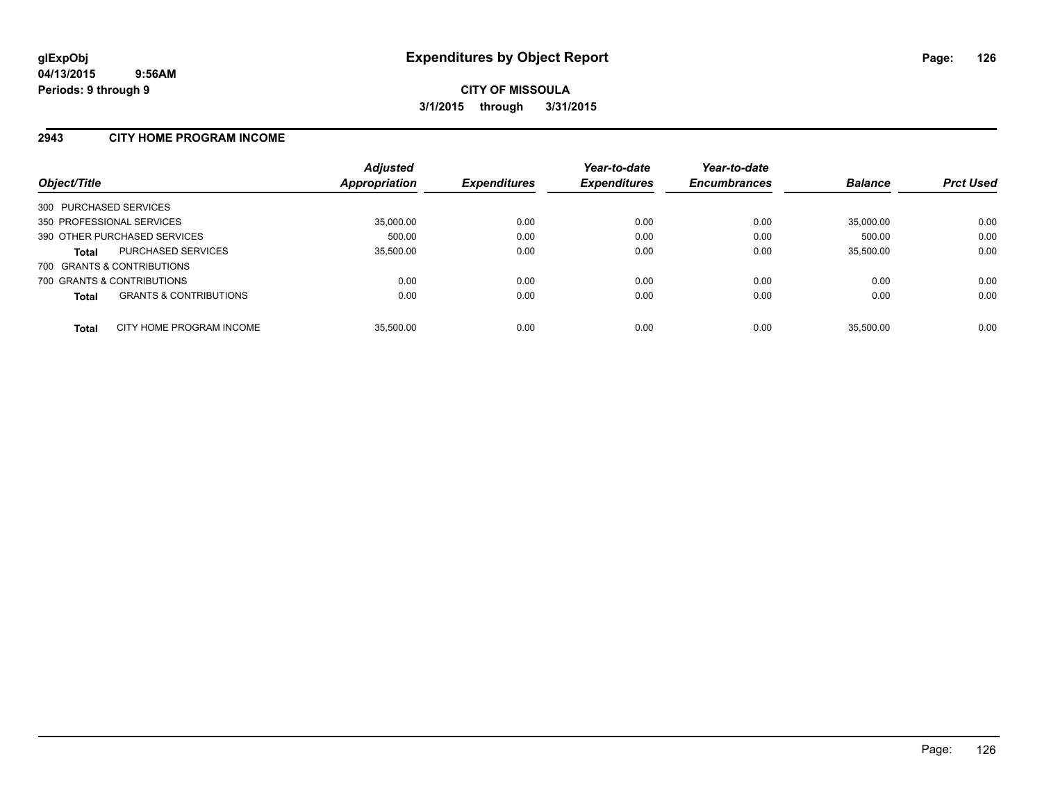#### **2943 CITY HOME PROGRAM INCOME**

| Object/Title                                      | <b>Adjusted</b><br>Appropriation | <b>Expenditures</b> | Year-to-date<br><b>Expenditures</b> | Year-to-date<br><b>Encumbrances</b> | <b>Balance</b> | <b>Prct Used</b> |
|---------------------------------------------------|----------------------------------|---------------------|-------------------------------------|-------------------------------------|----------------|------------------|
| 300 PURCHASED SERVICES                            |                                  |                     |                                     |                                     |                |                  |
| 350 PROFESSIONAL SERVICES                         | 35,000.00                        | 0.00                | 0.00                                | 0.00                                | 35.000.00      | 0.00             |
| 390 OTHER PURCHASED SERVICES                      | 500.00                           | 0.00                | 0.00                                | 0.00                                | 500.00         | 0.00             |
| <b>PURCHASED SERVICES</b><br><b>Total</b>         | 35,500.00                        | 0.00                | 0.00                                | 0.00                                | 35,500.00      | 0.00             |
| 700 GRANTS & CONTRIBUTIONS                        |                                  |                     |                                     |                                     |                |                  |
| 700 GRANTS & CONTRIBUTIONS                        | 0.00                             | 0.00                | 0.00                                | 0.00                                | 0.00           | 0.00             |
| <b>GRANTS &amp; CONTRIBUTIONS</b><br><b>Total</b> | 0.00                             | 0.00                | 0.00                                | 0.00                                | 0.00           | 0.00             |
| CITY HOME PROGRAM INCOME<br><b>Total</b>          | 35.500.00                        | 0.00                | 0.00                                | 0.00                                | 35.500.00      | 0.00             |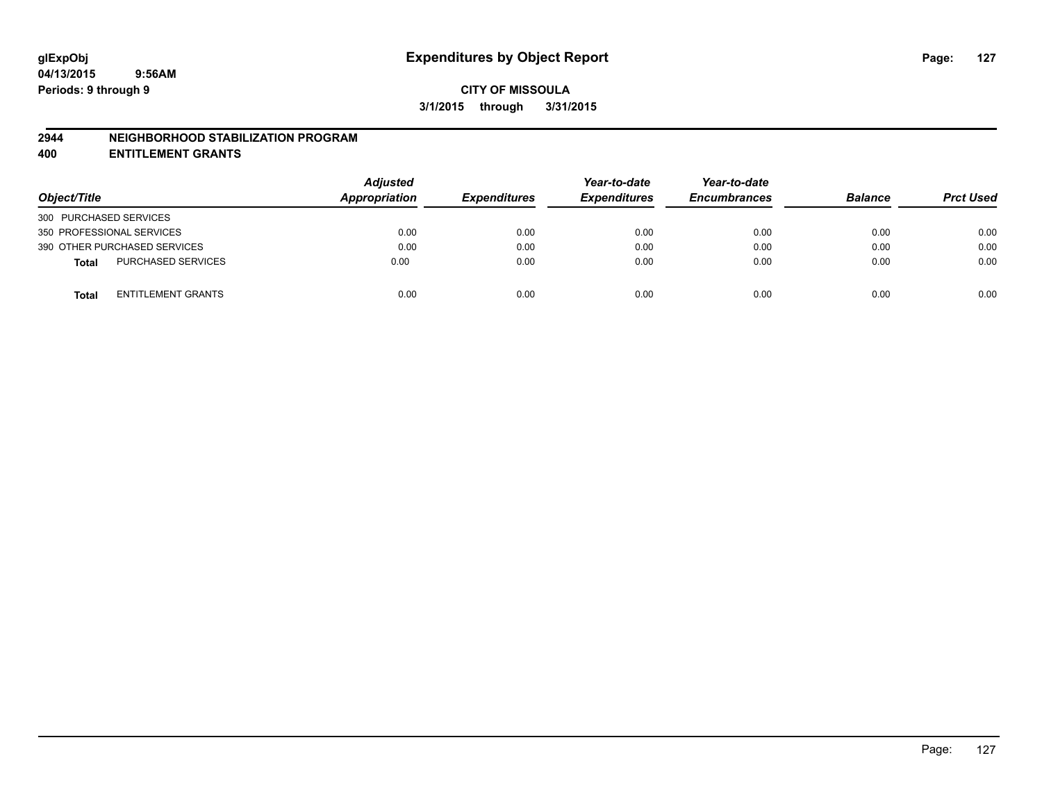#### **2944 NEIGHBORHOOD STABILIZATION PROGRAM**

**400 ENTITLEMENT GRANTS**

| Object/Title                              | <b>Adjusted</b><br>Appropriation | <b>Expenditures</b> | Year-to-date<br><b>Expenditures</b> | Year-to-date<br><b>Encumbrances</b> | <b>Balance</b> | <b>Prct Used</b> |
|-------------------------------------------|----------------------------------|---------------------|-------------------------------------|-------------------------------------|----------------|------------------|
| 300 PURCHASED SERVICES                    |                                  |                     |                                     |                                     |                |                  |
| 350 PROFESSIONAL SERVICES                 | 0.00                             | 0.00                | 0.00                                | 0.00                                | 0.00           | 0.00             |
| 390 OTHER PURCHASED SERVICES              | 0.00                             | 0.00                | 0.00                                | 0.00                                | 0.00           | 0.00             |
| <b>PURCHASED SERVICES</b><br><b>Total</b> | 0.00                             | 0.00                | 0.00                                | 0.00                                | 0.00           | 0.00             |
| ENTITLEMENT GRANTS<br><b>Total</b>        | 0.00                             | 0.00                | 0.00                                | 0.00                                | 0.00           | 0.00             |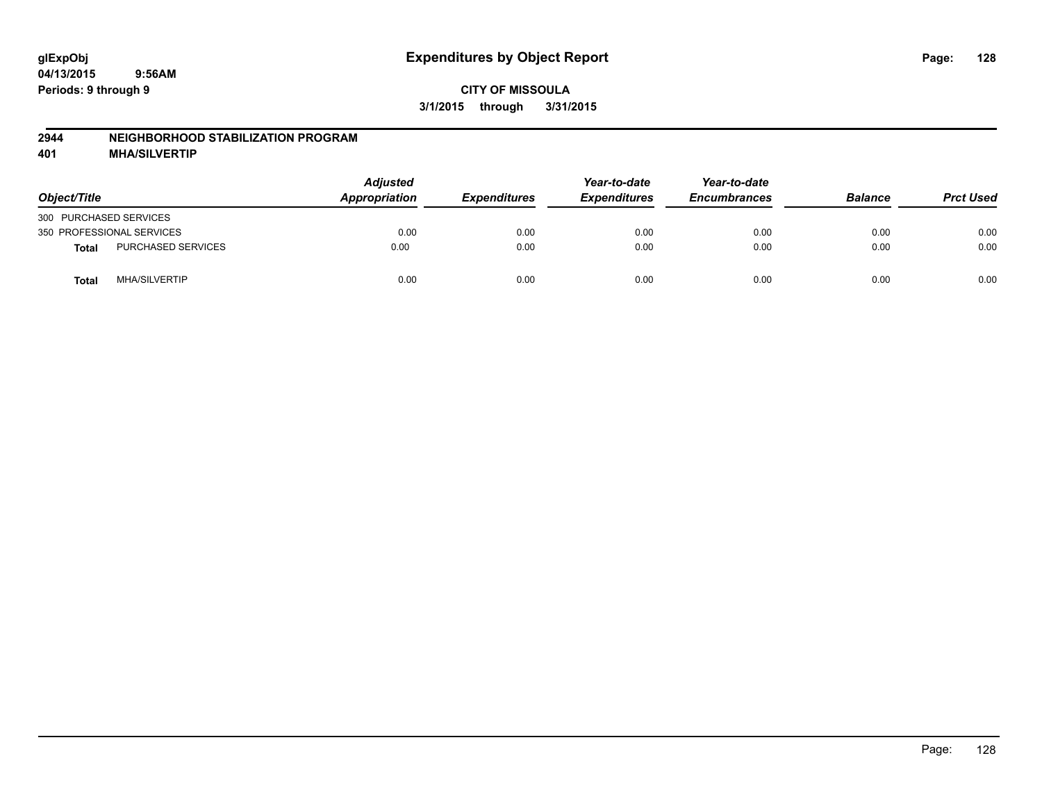#### **2944 NEIGHBORHOOD STABILIZATION PROGRAM**

**401 MHA/SILVERTIP**

| Object/Title              |                      | <b>Adjusted</b><br>Appropriation | <b>Expenditures</b> | Year-to-date<br><b>Expenditures</b> | Year-to-date<br><b>Encumbrances</b> | <b>Balance</b> | <b>Prct Used</b> |
|---------------------------|----------------------|----------------------------------|---------------------|-------------------------------------|-------------------------------------|----------------|------------------|
| 300 PURCHASED SERVICES    |                      |                                  |                     |                                     |                                     |                |                  |
| 350 PROFESSIONAL SERVICES |                      | 0.00                             | 0.00                | 0.00                                | 0.00                                | 0.00           | 0.00             |
| <b>Total</b>              | PURCHASED SERVICES   | 0.00                             | 0.00                | 0.00                                | 0.00                                | 0.00           | 0.00             |
| Total                     | <b>MHA/SILVERTIP</b> | 0.00                             | 0.00                | 0.00                                | 0.00                                | 0.00           | 0.00             |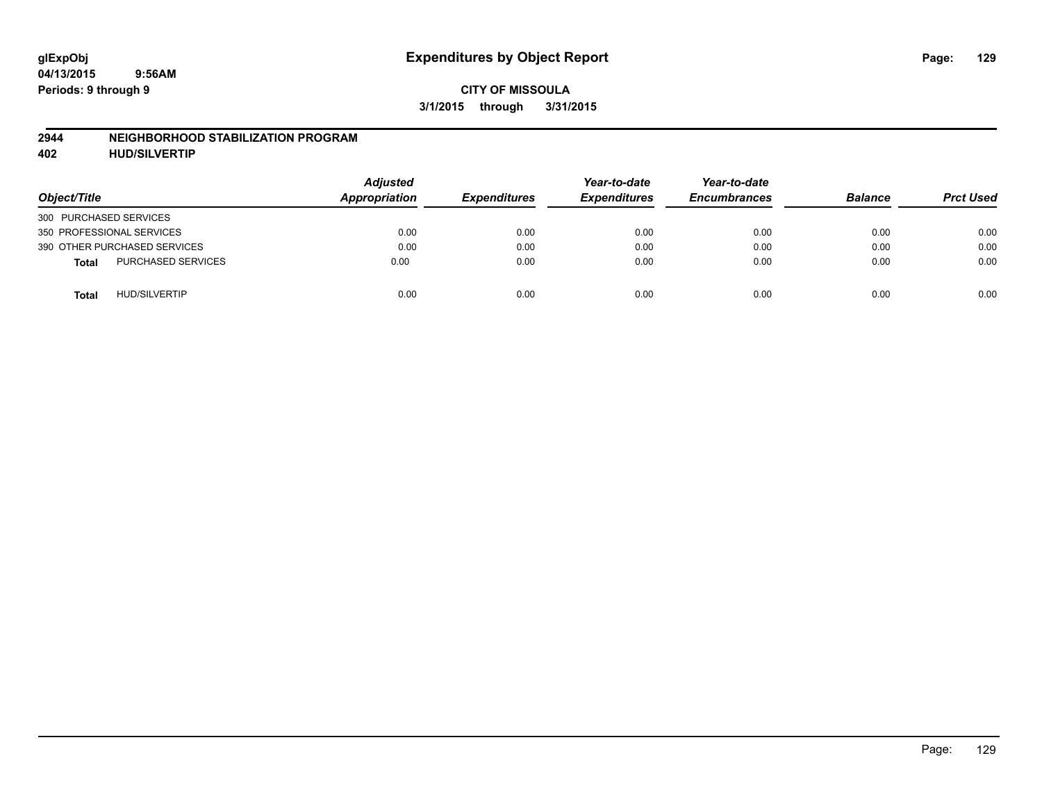#### **2944 NEIGHBORHOOD STABILIZATION PROGRAM**

**402 HUD/SILVERTIP**

| Object/Title                              | <b>Adjusted</b><br>Appropriation | <b>Expenditures</b> | Year-to-date<br><b>Expenditures</b> | Year-to-date<br><b>Encumbrances</b> | <b>Balance</b> | <b>Prct Used</b> |
|-------------------------------------------|----------------------------------|---------------------|-------------------------------------|-------------------------------------|----------------|------------------|
| 300 PURCHASED SERVICES                    |                                  |                     |                                     |                                     |                |                  |
| 350 PROFESSIONAL SERVICES                 | 0.00                             | 0.00                | 0.00                                | 0.00                                | 0.00           | 0.00             |
| 390 OTHER PURCHASED SERVICES              | 0.00                             | 0.00                | 0.00                                | 0.00                                | 0.00           | 0.00             |
| <b>PURCHASED SERVICES</b><br><b>Total</b> | 0.00                             | 0.00                | 0.00                                | 0.00                                | 0.00           | 0.00             |
| <b>HUD/SILVERTIP</b><br><b>Total</b>      | 0.00                             | 0.00                | 0.00                                | 0.00                                | 0.00           | 0.00             |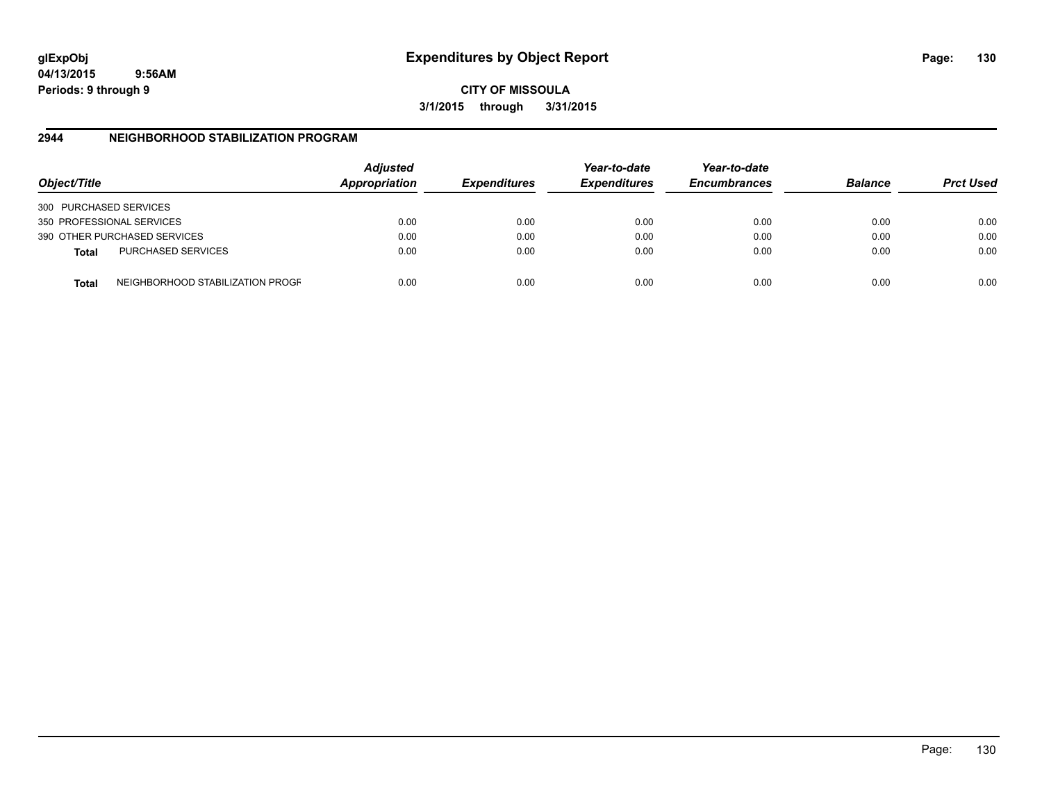**04/13/2015 9:56AM Periods: 9 through 9**

**CITY OF MISSOULA 3/1/2015 through 3/31/2015**

# **2944 NEIGHBORHOOD STABILIZATION PROGRAM**

| Object/Title           |                                  | <b>Adjusted</b><br>Appropriation | <b>Expenditures</b> | Year-to-date<br><b>Expenditures</b> | Year-to-date<br><b>Encumbrances</b> | <b>Balance</b> | <b>Prct Used</b> |
|------------------------|----------------------------------|----------------------------------|---------------------|-------------------------------------|-------------------------------------|----------------|------------------|
| 300 PURCHASED SERVICES |                                  |                                  |                     |                                     |                                     |                |                  |
|                        | 350 PROFESSIONAL SERVICES        | 0.00                             | 0.00                | 0.00                                | 0.00                                | 0.00           | 0.00             |
|                        | 390 OTHER PURCHASED SERVICES     | 0.00                             | 0.00                | 0.00                                | 0.00                                | 0.00           | 0.00             |
| <b>Total</b>           | <b>PURCHASED SERVICES</b>        | 0.00                             | 0.00                | 0.00                                | 0.00                                | 0.00           | 0.00             |
| Total                  | NEIGHBORHOOD STABILIZATION PROGF | 0.00                             | 0.00                | 0.00                                | 0.00                                | 0.00           | 0.00             |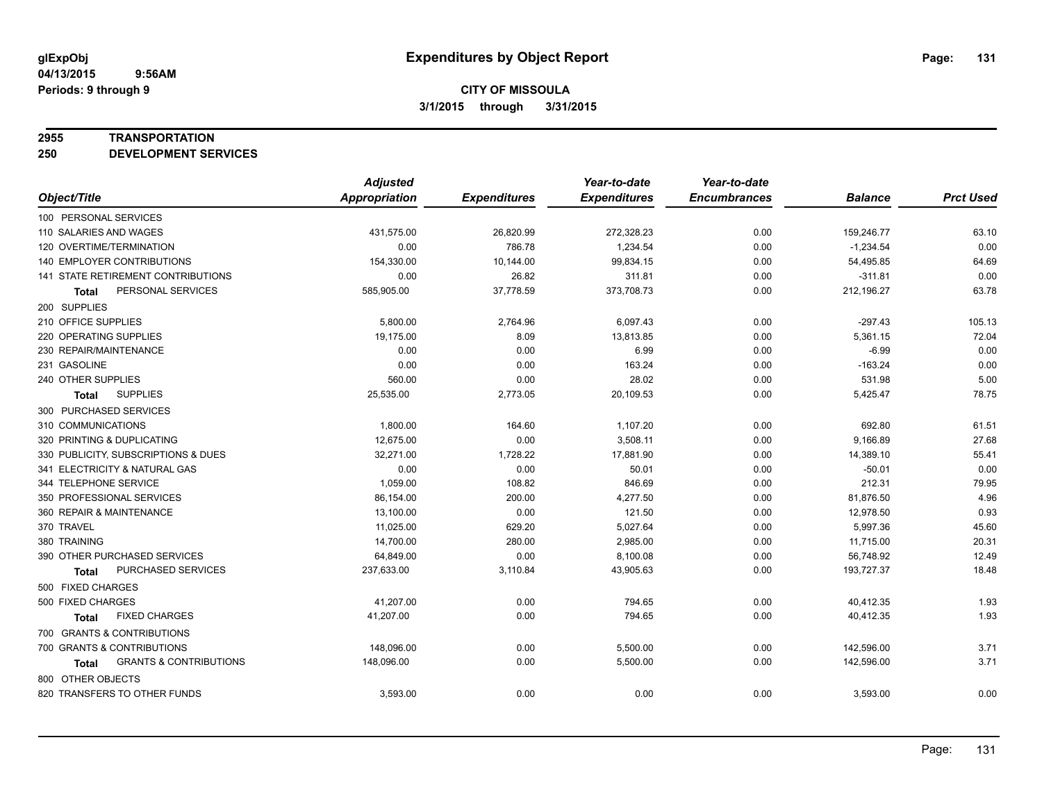#### **2955 TRANSPORTATION**

**250 DEVELOPMENT SERVICES**

|                                            | <b>Adjusted</b>      |                     | Year-to-date        | Year-to-date        |                |                  |
|--------------------------------------------|----------------------|---------------------|---------------------|---------------------|----------------|------------------|
| Object/Title                               | <b>Appropriation</b> | <b>Expenditures</b> | <b>Expenditures</b> | <b>Encumbrances</b> | <b>Balance</b> | <b>Prct Used</b> |
| 100 PERSONAL SERVICES                      |                      |                     |                     |                     |                |                  |
| 110 SALARIES AND WAGES                     | 431,575.00           | 26,820.99           | 272,328.23          | 0.00                | 159,246.77     | 63.10            |
| 120 OVERTIME/TERMINATION                   | 0.00                 | 786.78              | 1,234.54            | 0.00                | $-1,234.54$    | 0.00             |
| 140 EMPLOYER CONTRIBUTIONS                 | 154,330.00           | 10,144.00           | 99,834.15           | 0.00                | 54,495.85      | 64.69            |
| 141 STATE RETIREMENT CONTRIBUTIONS         | 0.00                 | 26.82               | 311.81              | 0.00                | $-311.81$      | 0.00             |
| PERSONAL SERVICES<br>Total                 | 585,905.00           | 37,778.59           | 373,708.73          | 0.00                | 212,196.27     | 63.78            |
| 200 SUPPLIES                               |                      |                     |                     |                     |                |                  |
| 210 OFFICE SUPPLIES                        | 5,800.00             | 2,764.96            | 6,097.43            | 0.00                | $-297.43$      | 105.13           |
| 220 OPERATING SUPPLIES                     | 19,175.00            | 8.09                | 13,813.85           | 0.00                | 5,361.15       | 72.04            |
| 230 REPAIR/MAINTENANCE                     | 0.00                 | 0.00                | 6.99                | 0.00                | $-6.99$        | 0.00             |
| 231 GASOLINE                               | 0.00                 | 0.00                | 163.24              | 0.00                | $-163.24$      | 0.00             |
| 240 OTHER SUPPLIES                         | 560.00               | 0.00                | 28.02               | 0.00                | 531.98         | 5.00             |
| <b>SUPPLIES</b><br>Total                   | 25,535.00            | 2,773.05            | 20,109.53           | 0.00                | 5,425.47       | 78.75            |
| 300 PURCHASED SERVICES                     |                      |                     |                     |                     |                |                  |
| 310 COMMUNICATIONS                         | 1,800.00             | 164.60              | 1,107.20            | 0.00                | 692.80         | 61.51            |
| 320 PRINTING & DUPLICATING                 | 12,675.00            | 0.00                | 3,508.11            | 0.00                | 9,166.89       | 27.68            |
| 330 PUBLICITY, SUBSCRIPTIONS & DUES        | 32,271.00            | 1,728.22            | 17,881.90           | 0.00                | 14,389.10      | 55.41            |
| 341 ELECTRICITY & NATURAL GAS              | 0.00                 | 0.00                | 50.01               | 0.00                | $-50.01$       | 0.00             |
| 344 TELEPHONE SERVICE                      | 1,059.00             | 108.82              | 846.69              | 0.00                | 212.31         | 79.95            |
| 350 PROFESSIONAL SERVICES                  | 86,154.00            | 200.00              | 4,277.50            | 0.00                | 81,876.50      | 4.96             |
| 360 REPAIR & MAINTENANCE                   | 13,100.00            | 0.00                | 121.50              | 0.00                | 12,978.50      | 0.93             |
| 370 TRAVEL                                 | 11,025.00            | 629.20              | 5,027.64            | 0.00                | 5,997.36       | 45.60            |
| 380 TRAINING                               | 14,700.00            | 280.00              | 2,985.00            | 0.00                | 11,715.00      | 20.31            |
| 390 OTHER PURCHASED SERVICES               | 64,849.00            | 0.00                | 8,100.08            | 0.00                | 56,748.92      | 12.49            |
| PURCHASED SERVICES<br>Total                | 237,633.00           | 3,110.84            | 43,905.63           | 0.00                | 193,727.37     | 18.48            |
| 500 FIXED CHARGES                          |                      |                     |                     |                     |                |                  |
| 500 FIXED CHARGES                          | 41,207.00            | 0.00                | 794.65              | 0.00                | 40,412.35      | 1.93             |
| <b>FIXED CHARGES</b><br>Total              | 41,207.00            | 0.00                | 794.65              | 0.00                | 40,412.35      | 1.93             |
| 700 GRANTS & CONTRIBUTIONS                 |                      |                     |                     |                     |                |                  |
| 700 GRANTS & CONTRIBUTIONS                 | 148,096.00           | 0.00                | 5,500.00            | 0.00                | 142,596.00     | 3.71             |
| <b>GRANTS &amp; CONTRIBUTIONS</b><br>Total | 148,096.00           | 0.00                | 5,500.00            | 0.00                | 142,596.00     | 3.71             |
| 800 OTHER OBJECTS                          |                      |                     |                     |                     |                |                  |
| 820 TRANSFERS TO OTHER FUNDS               | 3,593.00             | 0.00                | 0.00                | 0.00                | 3,593.00       | 0.00             |
|                                            |                      |                     |                     |                     |                |                  |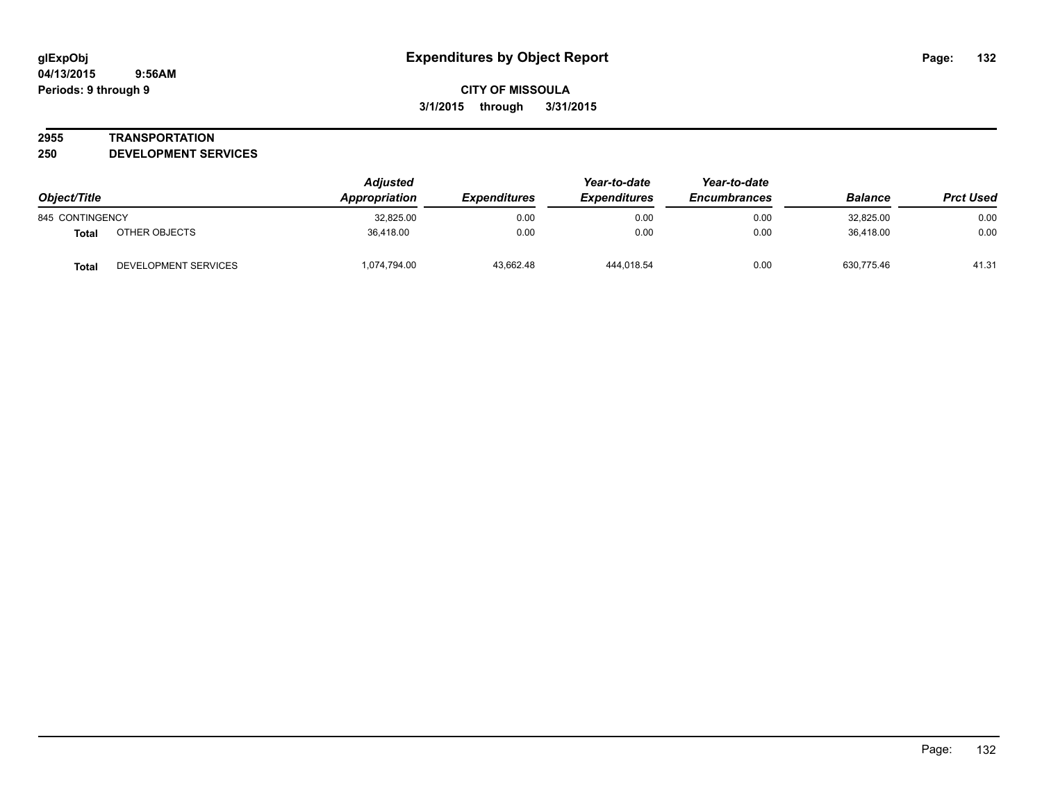#### **2955 TRANSPORTATION**

**250 DEVELOPMENT SERVICES**

| Object/Title    |                      | <b>Adjusted</b><br>Appropriation | <b>Expenditures</b> | Year-to-date<br><b>Expenditures</b> | Year-to-date<br><b>Encumbrances</b> | <b>Balance</b> | <b>Prct Used</b> |
|-----------------|----------------------|----------------------------------|---------------------|-------------------------------------|-------------------------------------|----------------|------------------|
| 845 CONTINGENCY |                      | 32,825.00                        | 0.00                | 0.00                                | 0.00                                | 32,825.00      | 0.00             |
| <b>Total</b>    | OTHER OBJECTS        | 36.418.00                        | 0.00                | 0.00                                | 0.00                                | 36.418.00      | 0.00             |
| <b>Total</b>    | DEVELOPMENT SERVICES | 1,074,794.00                     | 43,662.48           | 444,018.54                          | 0.00                                | 630.775.46     | 41.31            |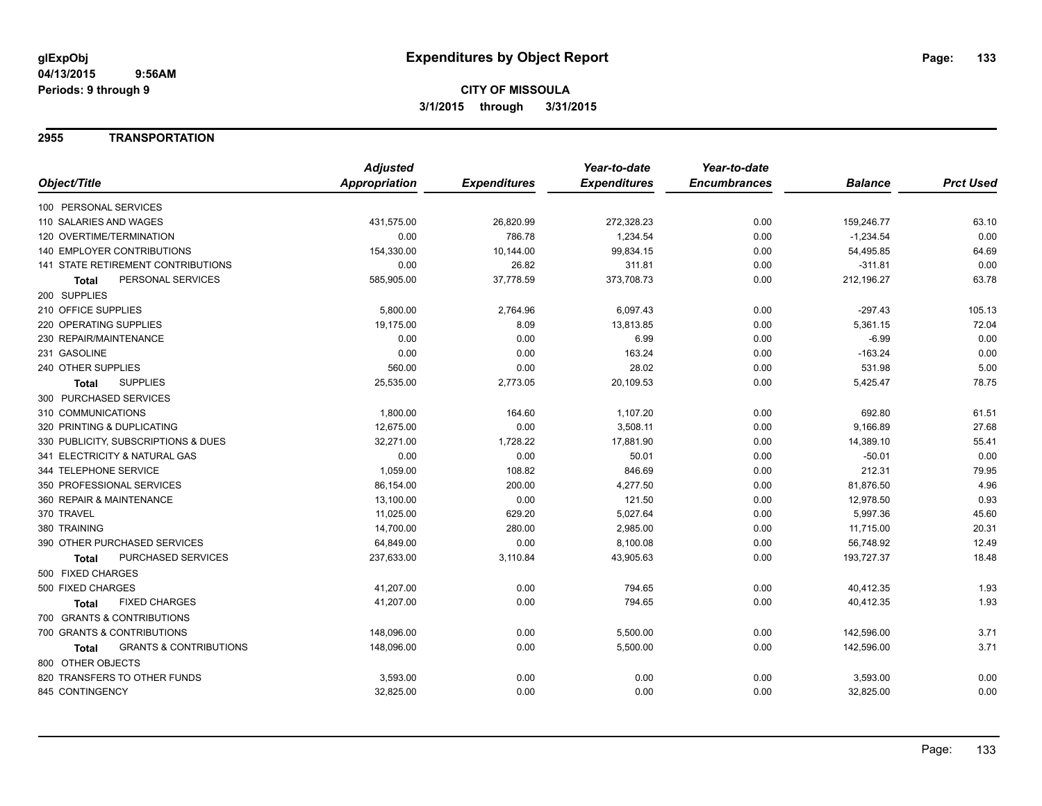## **2955 TRANSPORTATION**

|                                                   | <b>Adjusted</b>      |                     | Year-to-date        | Year-to-date        |                |                  |
|---------------------------------------------------|----------------------|---------------------|---------------------|---------------------|----------------|------------------|
| Object/Title                                      | <b>Appropriation</b> | <b>Expenditures</b> | <b>Expenditures</b> | <b>Encumbrances</b> | <b>Balance</b> | <b>Prct Used</b> |
| 100 PERSONAL SERVICES                             |                      |                     |                     |                     |                |                  |
| 110 SALARIES AND WAGES                            | 431,575.00           | 26,820.99           | 272,328.23          | 0.00                | 159,246.77     | 63.10            |
| 120 OVERTIME/TERMINATION                          | 0.00                 | 786.78              | 1,234.54            | 0.00                | $-1,234.54$    | 0.00             |
| <b>140 EMPLOYER CONTRIBUTIONS</b>                 | 154,330.00           | 10,144.00           | 99,834.15           | 0.00                | 54,495.85      | 64.69            |
| <b>141 STATE RETIREMENT CONTRIBUTIONS</b>         | 0.00                 | 26.82               | 311.81              | 0.00                | $-311.81$      | 0.00             |
| PERSONAL SERVICES<br><b>Total</b>                 | 585,905.00           | 37,778.59           | 373,708.73          | 0.00                | 212,196.27     | 63.78            |
| 200 SUPPLIES                                      |                      |                     |                     |                     |                |                  |
| 210 OFFICE SUPPLIES                               | 5,800.00             | 2,764.96            | 6,097.43            | 0.00                | $-297.43$      | 105.13           |
| 220 OPERATING SUPPLIES                            | 19.175.00            | 8.09                | 13,813.85           | 0.00                | 5,361.15       | 72.04            |
| 230 REPAIR/MAINTENANCE                            | 0.00                 | 0.00                | 6.99                | 0.00                | $-6.99$        | 0.00             |
| 231 GASOLINE                                      | 0.00                 | 0.00                | 163.24              | 0.00                | $-163.24$      | 0.00             |
| 240 OTHER SUPPLIES                                | 560.00               | 0.00                | 28.02               | 0.00                | 531.98         | 5.00             |
| <b>SUPPLIES</b><br><b>Total</b>                   | 25,535.00            | 2,773.05            | 20,109.53           | 0.00                | 5,425.47       | 78.75            |
| 300 PURCHASED SERVICES                            |                      |                     |                     |                     |                |                  |
| 310 COMMUNICATIONS                                | 1,800.00             | 164.60              | 1,107.20            | 0.00                | 692.80         | 61.51            |
| 320 PRINTING & DUPLICATING                        | 12,675.00            | 0.00                | 3,508.11            | 0.00                | 9,166.89       | 27.68            |
| 330 PUBLICITY, SUBSCRIPTIONS & DUES               | 32,271.00            | 1,728.22            | 17,881.90           | 0.00                | 14,389.10      | 55.41            |
| 341 ELECTRICITY & NATURAL GAS                     | 0.00                 | 0.00                | 50.01               | 0.00                | $-50.01$       | 0.00             |
| 344 TELEPHONE SERVICE                             | 1,059.00             | 108.82              | 846.69              | 0.00                | 212.31         | 79.95            |
| 350 PROFESSIONAL SERVICES                         | 86,154.00            | 200.00              | 4,277.50            | 0.00                | 81,876.50      | 4.96             |
| 360 REPAIR & MAINTENANCE                          | 13,100.00            | 0.00                | 121.50              | 0.00                | 12,978.50      | 0.93             |
| 370 TRAVEL                                        | 11,025.00            | 629.20              | 5,027.64            | 0.00                | 5,997.36       | 45.60            |
| 380 TRAINING                                      | 14,700.00            | 280.00              | 2,985.00            | 0.00                | 11,715.00      | 20.31            |
| 390 OTHER PURCHASED SERVICES                      | 64,849.00            | 0.00                | 8,100.08            | 0.00                | 56,748.92      | 12.49            |
| PURCHASED SERVICES<br><b>Total</b>                | 237,633.00           | 3,110.84            | 43,905.63           | 0.00                | 193,727.37     | 18.48            |
| 500 FIXED CHARGES                                 |                      |                     |                     |                     |                |                  |
| 500 FIXED CHARGES                                 | 41,207.00            | 0.00                | 794.65              | 0.00                | 40,412.35      | 1.93             |
| <b>FIXED CHARGES</b><br><b>Total</b>              | 41,207.00            | 0.00                | 794.65              | 0.00                | 40,412.35      | 1.93             |
| 700 GRANTS & CONTRIBUTIONS                        |                      |                     |                     |                     |                |                  |
| 700 GRANTS & CONTRIBUTIONS                        | 148,096.00           | 0.00                | 5,500.00            | 0.00                | 142,596.00     | 3.71             |
| <b>GRANTS &amp; CONTRIBUTIONS</b><br><b>Total</b> | 148,096.00           | 0.00                | 5,500.00            | 0.00                | 142,596.00     | 3.71             |
| 800 OTHER OBJECTS                                 |                      |                     |                     |                     |                |                  |
| 820 TRANSFERS TO OTHER FUNDS                      | 3,593.00             | 0.00                | 0.00                | 0.00                | 3,593.00       | 0.00             |
| 845 CONTINGENCY                                   | 32,825.00            | 0.00                | 0.00                | 0.00                | 32,825.00      | 0.00             |
|                                                   |                      |                     |                     |                     |                |                  |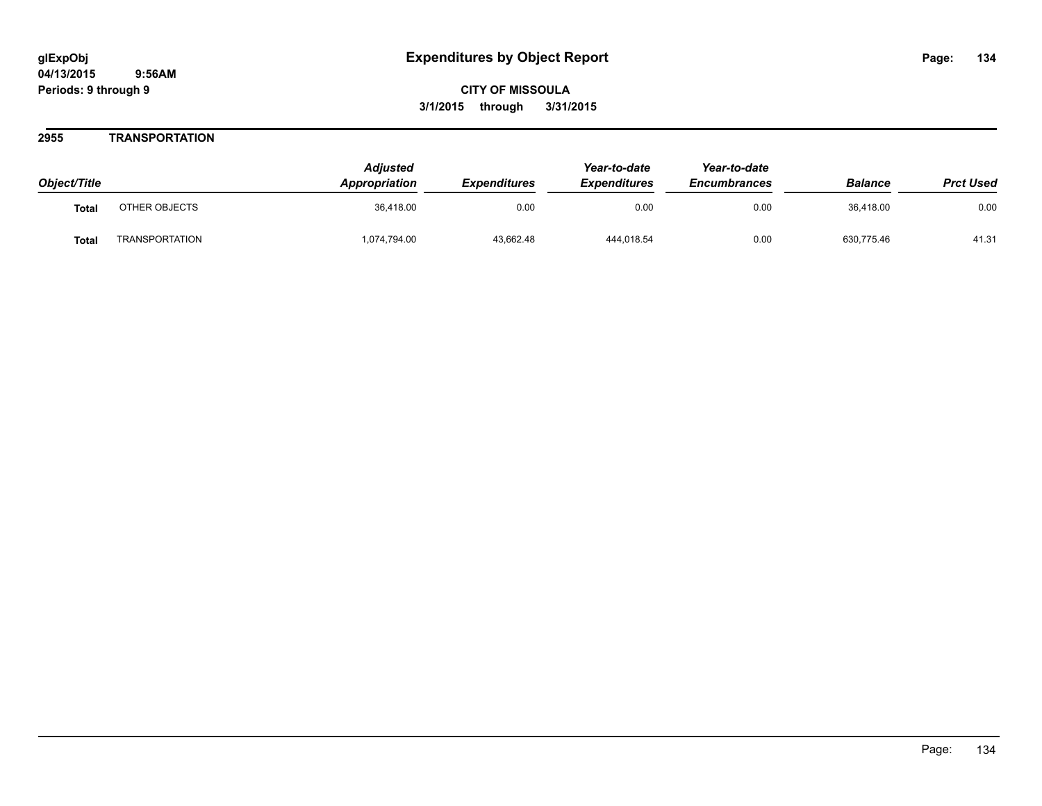### **2955 TRANSPORTATION**

| Object/Title |                | <b>Adjusted</b><br>Appropriation | <b>Expenditures</b> | Year-to-date<br><b>Expenditures</b> | Year-to-date<br><b>Encumbrances</b> | <b>Balance</b> | <b>Prct Used</b> |
|--------------|----------------|----------------------------------|---------------------|-------------------------------------|-------------------------------------|----------------|------------------|
| <b>Total</b> | OTHER OBJECTS  | 36.418.00                        | 0.00                | 0.00                                | 0.00                                | 36.418.00      | 0.00             |
| Total        | TRANSPORTATION | 1,074,794.00                     | 43,662.48           | 444,018.54                          | 0.00                                | 630,775.46     | 41.31            |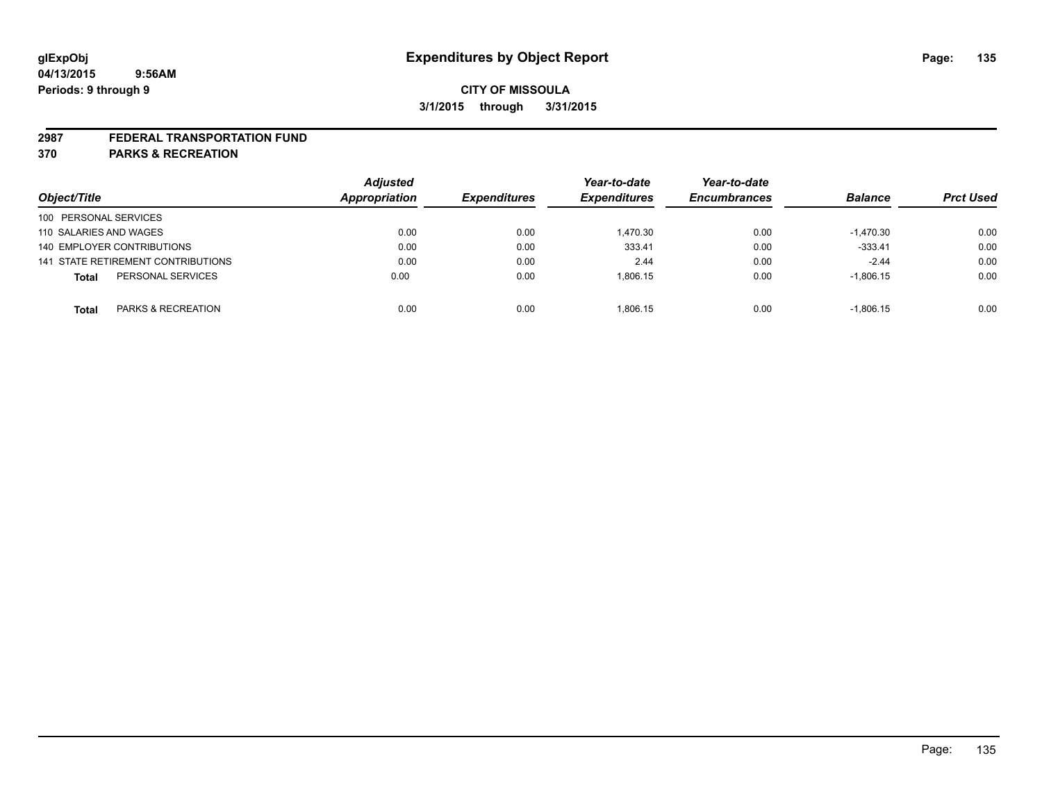#### **2987 FEDERAL TRANSPORTATION FUND**

**370 PARKS & RECREATION**

|                        |                                           | Adjusted      |                     | Year-to-date        | Year-to-date        |                |                  |
|------------------------|-------------------------------------------|---------------|---------------------|---------------------|---------------------|----------------|------------------|
| Object/Title           |                                           | Appropriation | <b>Expenditures</b> | <b>Expenditures</b> | <b>Encumbrances</b> | <b>Balance</b> | <b>Prct Used</b> |
| 100 PERSONAL SERVICES  |                                           |               |                     |                     |                     |                |                  |
| 110 SALARIES AND WAGES |                                           | 0.00          | 0.00                | 1.470.30            | 0.00                | $-1.470.30$    | 0.00             |
|                        | 140 EMPLOYER CONTRIBUTIONS                | 0.00          | 0.00                | 333.41              | 0.00                | $-333.41$      | 0.00             |
|                        | <b>141 STATE RETIREMENT CONTRIBUTIONS</b> | 0.00          | 0.00                | 2.44                | 0.00                | $-2.44$        | 0.00             |
| <b>Total</b>           | PERSONAL SERVICES                         | 0.00          | 0.00                | 1.806.15            | 0.00                | $-1,806.15$    | 0.00             |
| <b>Total</b>           | <b>PARKS &amp; RECREATION</b>             | 0.00          | 0.00                | 1.806.15            | 0.00                | $-1.806.15$    | 0.00             |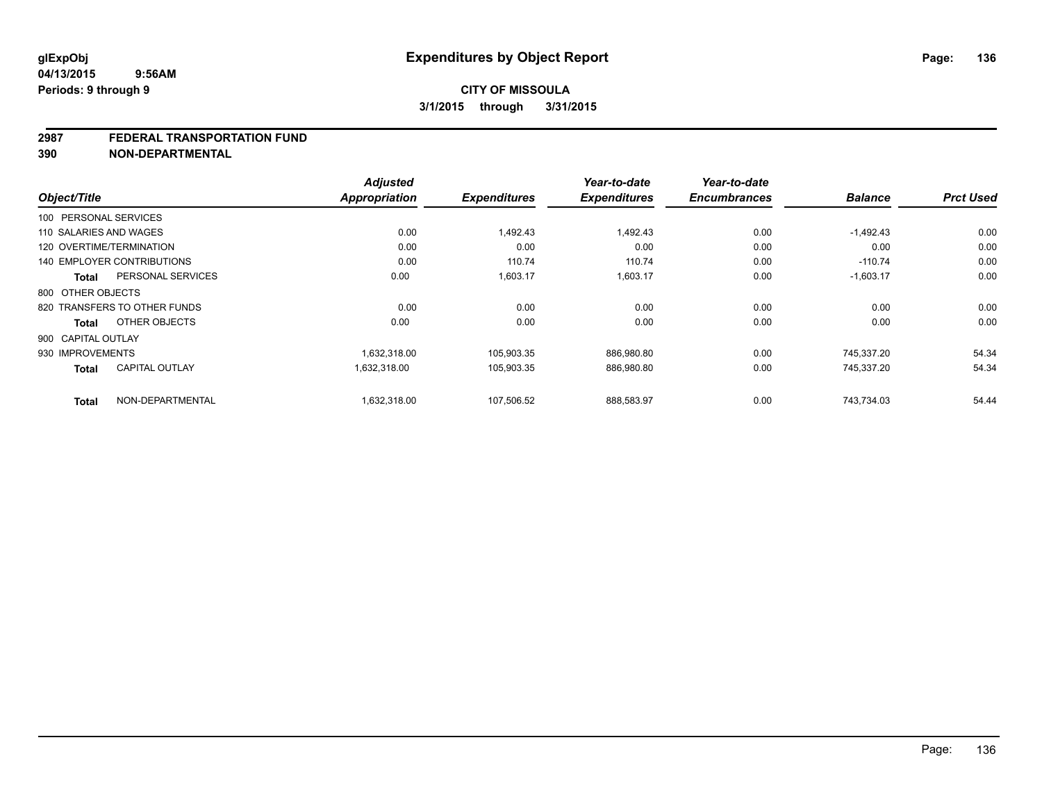#### **2987 FEDERAL TRANSPORTATION FUND**

**390 NON-DEPARTMENTAL**

|                                       | <b>Adjusted</b>      |                     | Year-to-date        | Year-to-date        |                |                  |
|---------------------------------------|----------------------|---------------------|---------------------|---------------------|----------------|------------------|
| Object/Title                          | <b>Appropriation</b> | <b>Expenditures</b> | <b>Expenditures</b> | <b>Encumbrances</b> | <b>Balance</b> | <b>Prct Used</b> |
| 100 PERSONAL SERVICES                 |                      |                     |                     |                     |                |                  |
| 110 SALARIES AND WAGES                | 0.00                 | 1,492.43            | 1,492.43            | 0.00                | $-1,492.43$    | 0.00             |
| 120 OVERTIME/TERMINATION              | 0.00                 | 0.00                | 0.00                | 0.00                | 0.00           | 0.00             |
| <b>140 EMPLOYER CONTRIBUTIONS</b>     | 0.00                 | 110.74              | 110.74              | 0.00                | $-110.74$      | 0.00             |
| PERSONAL SERVICES<br><b>Total</b>     | 0.00                 | 1,603.17            | 1,603.17            | 0.00                | $-1,603.17$    | 0.00             |
| 800 OTHER OBJECTS                     |                      |                     |                     |                     |                |                  |
| 820 TRANSFERS TO OTHER FUNDS          | 0.00                 | 0.00                | 0.00                | 0.00                | 0.00           | 0.00             |
| OTHER OBJECTS<br><b>Total</b>         | 0.00                 | 0.00                | 0.00                | 0.00                | 0.00           | 0.00             |
| 900 CAPITAL OUTLAY                    |                      |                     |                     |                     |                |                  |
| 930 IMPROVEMENTS                      | 1,632,318.00         | 105,903.35          | 886,980.80          | 0.00                | 745,337.20     | 54.34            |
| <b>CAPITAL OUTLAY</b><br><b>Total</b> | 1,632,318.00         | 105,903.35          | 886,980.80          | 0.00                | 745,337.20     | 54.34            |
| NON-DEPARTMENTAL<br><b>Total</b>      | 1,632,318.00         | 107,506.52          | 888,583.97          | 0.00                | 743,734.03     | 54.44            |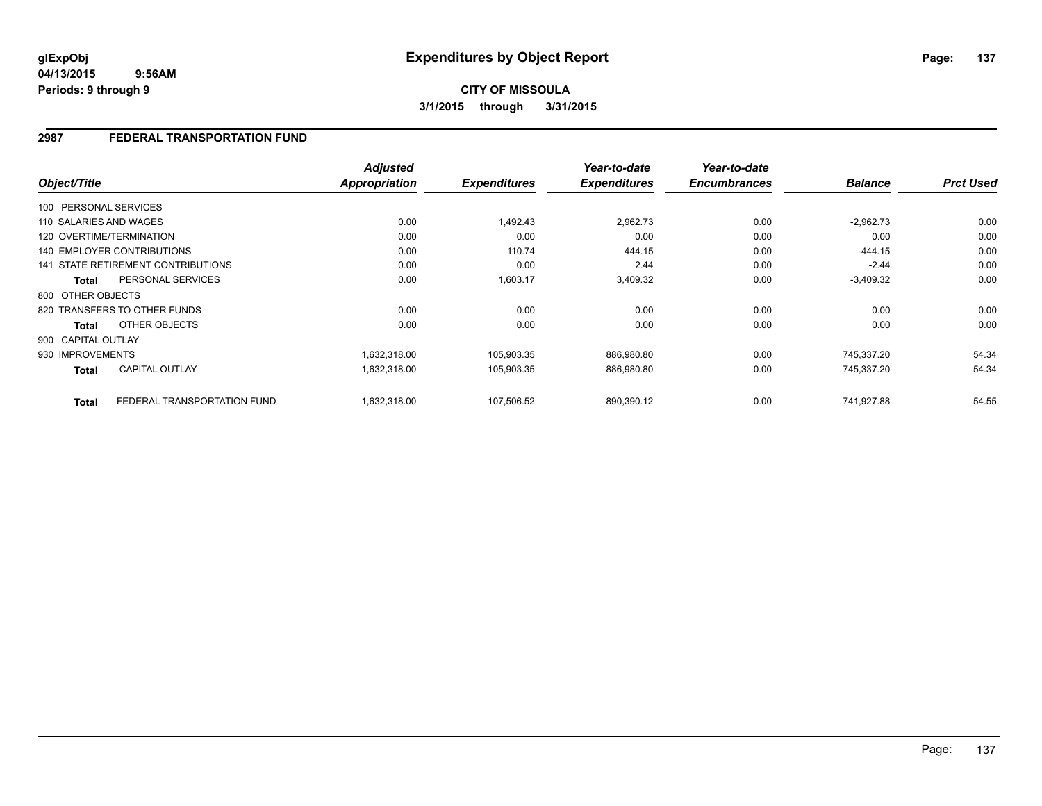**04/13/2015 9:56AM Periods: 9 through 9**

# **2987 FEDERAL TRANSPORTATION FUND**

| Object/Title           |                                    | <b>Adjusted</b><br><b>Appropriation</b> | <b>Expenditures</b> | Year-to-date<br><b>Expenditures</b> | Year-to-date<br><b>Encumbrances</b> | <b>Balance</b> | <b>Prct Used</b> |
|------------------------|------------------------------------|-----------------------------------------|---------------------|-------------------------------------|-------------------------------------|----------------|------------------|
| 100 PERSONAL SERVICES  |                                    |                                         |                     |                                     |                                     |                |                  |
| 110 SALARIES AND WAGES |                                    | 0.00                                    | 1,492.43            | 2,962.73                            | 0.00                                | $-2,962.73$    | 0.00             |
|                        | 120 OVERTIME/TERMINATION           | 0.00                                    | 0.00                | 0.00                                | 0.00                                | 0.00           | 0.00             |
|                        | <b>140 EMPLOYER CONTRIBUTIONS</b>  | 0.00                                    | 110.74              | 444.15                              | 0.00                                | $-444.15$      | 0.00             |
|                        | 141 STATE RETIREMENT CONTRIBUTIONS | 0.00                                    | 0.00                | 2.44                                | 0.00                                | $-2.44$        | 0.00             |
| <b>Total</b>           | PERSONAL SERVICES                  | 0.00                                    | 1,603.17            | 3,409.32                            | 0.00                                | $-3,409.32$    | 0.00             |
| 800 OTHER OBJECTS      |                                    |                                         |                     |                                     |                                     |                |                  |
|                        | 820 TRANSFERS TO OTHER FUNDS       | 0.00                                    | 0.00                | 0.00                                | 0.00                                | 0.00           | 0.00             |
| Total                  | OTHER OBJECTS                      | 0.00                                    | 0.00                | 0.00                                | 0.00                                | 0.00           | 0.00             |
| 900 CAPITAL OUTLAY     |                                    |                                         |                     |                                     |                                     |                |                  |
| 930 IMPROVEMENTS       |                                    | 1,632,318.00                            | 105,903.35          | 886,980.80                          | 0.00                                | 745,337.20     | 54.34            |
| <b>Total</b>           | <b>CAPITAL OUTLAY</b>              | 1,632,318.00                            | 105,903.35          | 886,980.80                          | 0.00                                | 745,337.20     | 54.34            |
| <b>Total</b>           | FEDERAL TRANSPORTATION FUND        | 1,632,318.00                            | 107,506.52          | 890,390.12                          | 0.00                                | 741,927.88     | 54.55            |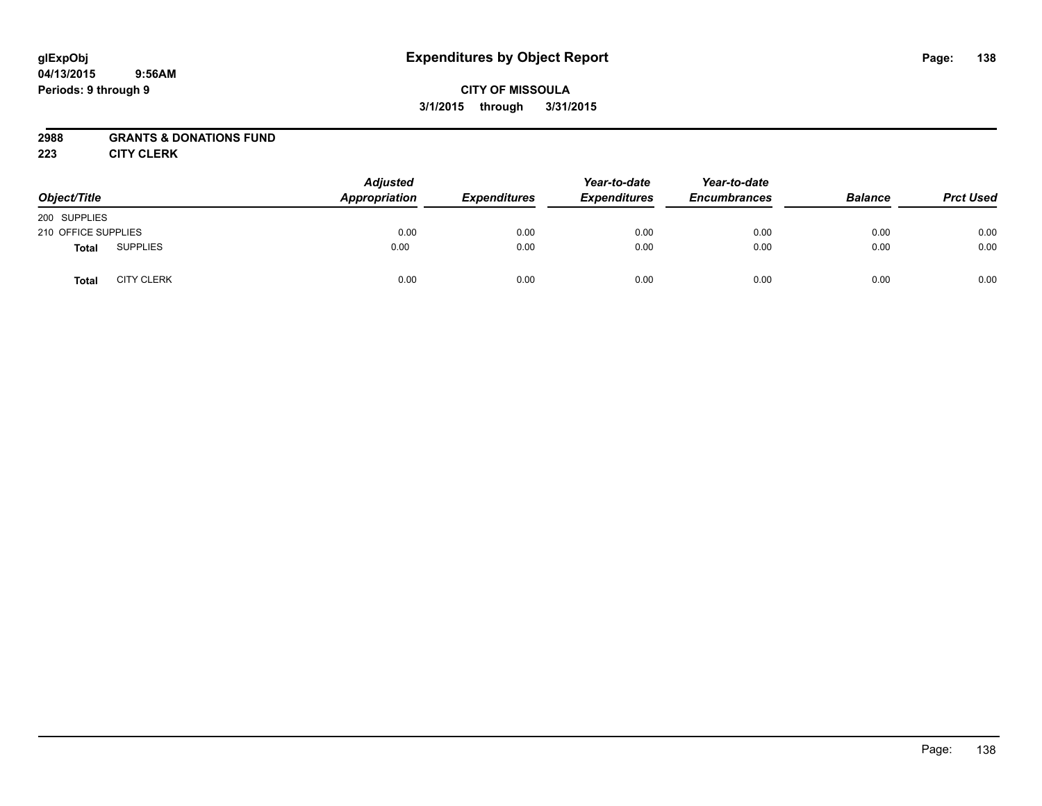#### **04/13/2015 9:56AM Periods: 9 through 9**

# **CITY OF MISSOULA 3/1/2015 through 3/31/2015**

## **2988 GRANTS & DONATIONS FUND**

**223 CITY CLERK**

| Object/Title        |                   | <b>Adjusted</b><br><b>Appropriation</b> | <b>Expenditures</b> | Year-to-date<br><b>Expenditures</b> | Year-to-date<br><b>Encumbrances</b> | <b>Balance</b> | <b>Prct Used</b> |
|---------------------|-------------------|-----------------------------------------|---------------------|-------------------------------------|-------------------------------------|----------------|------------------|
| 200 SUPPLIES        |                   |                                         |                     |                                     |                                     |                |                  |
| 210 OFFICE SUPPLIES |                   | 0.00                                    | 0.00                | 0.00                                | 0.00                                | 0.00           | 0.00             |
| <b>Total</b>        | <b>SUPPLIES</b>   | 0.00                                    | 0.00                | 0.00                                | 0.00                                | 0.00           | 0.00             |
| Total               | <b>CITY CLERK</b> | 0.00                                    | 0.00                | 0.00                                | 0.00                                | 0.00           | 0.00             |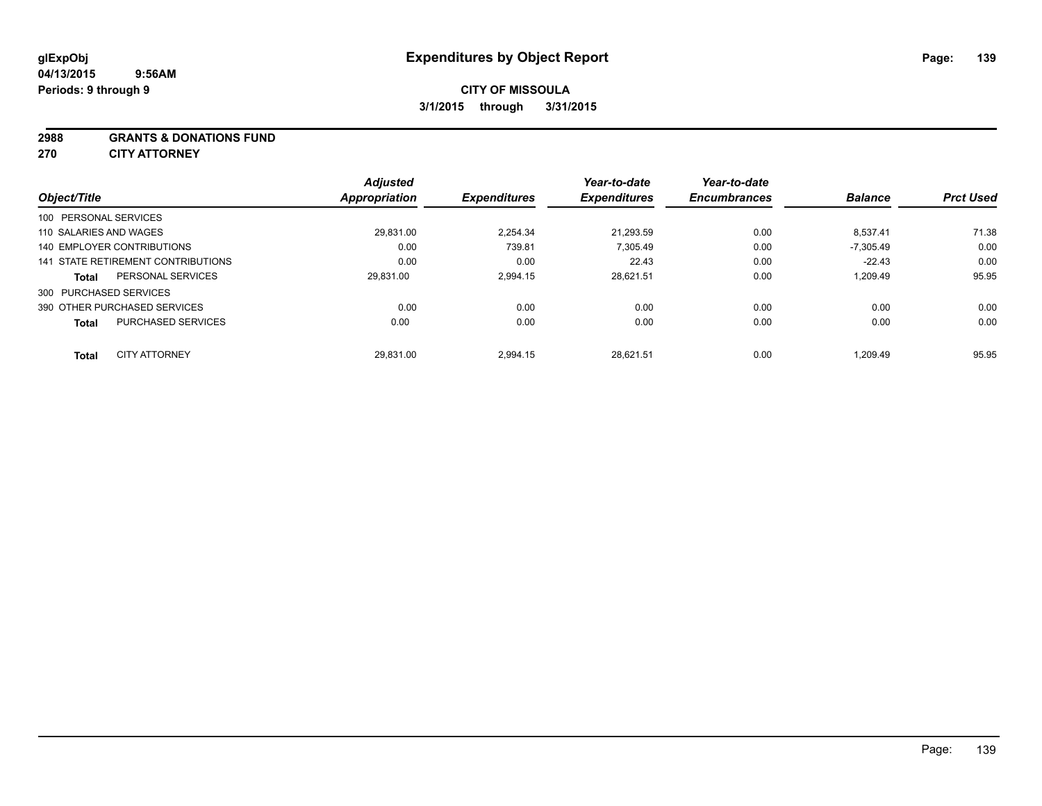#### **2988 GRANTS & DONATIONS FUND**

**270 CITY ATTORNEY**

|                        |                                    | <b>Adjusted</b>      |                     | Year-to-date        | Year-to-date        |                |                  |
|------------------------|------------------------------------|----------------------|---------------------|---------------------|---------------------|----------------|------------------|
| Object/Title           |                                    | <b>Appropriation</b> | <b>Expenditures</b> | <b>Expenditures</b> | <b>Encumbrances</b> | <b>Balance</b> | <b>Prct Used</b> |
| 100 PERSONAL SERVICES  |                                    |                      |                     |                     |                     |                |                  |
| 110 SALARIES AND WAGES |                                    | 29.831.00            | 2,254.34            | 21,293.59           | 0.00                | 8,537.41       | 71.38            |
|                        | 140 EMPLOYER CONTRIBUTIONS         | 0.00                 | 739.81              | 7,305.49            | 0.00                | $-7.305.49$    | 0.00             |
|                        | 141 STATE RETIREMENT CONTRIBUTIONS | 0.00                 | 0.00                | 22.43               | 0.00                | $-22.43$       | 0.00             |
| Total                  | PERSONAL SERVICES                  | 29.831.00            | 2.994.15            | 28.621.51           | 0.00                | 1.209.49       | 95.95            |
| 300 PURCHASED SERVICES |                                    |                      |                     |                     |                     |                |                  |
|                        | 390 OTHER PURCHASED SERVICES       | 0.00                 | 0.00                | 0.00                | 0.00                | 0.00           | 0.00             |
| <b>Total</b>           | <b>PURCHASED SERVICES</b>          | 0.00                 | 0.00                | 0.00                | 0.00                | 0.00           | 0.00             |
| <b>Total</b>           | <b>CITY ATTORNEY</b>               | 29.831.00            | 2.994.15            | 28.621.51           | 0.00                | 1.209.49       | 95.95            |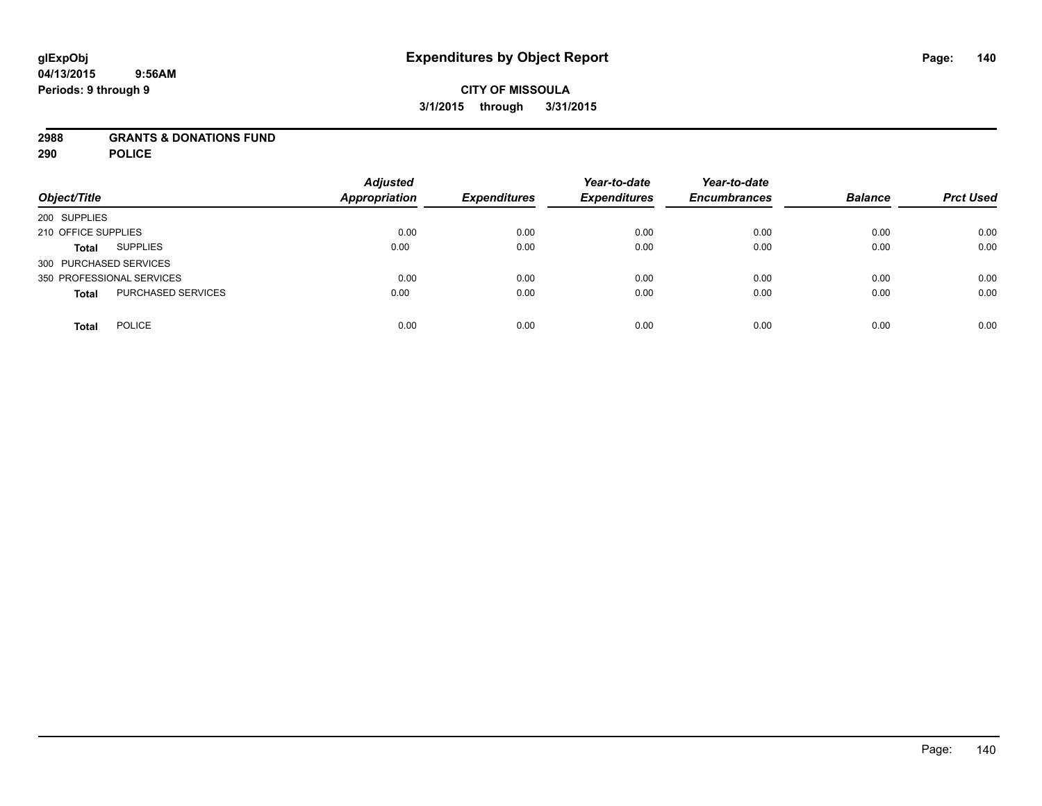### **2988 GRANTS & DONATIONS FUND**

**290 POLICE**

| Object/Title                              | <b>Adjusted</b><br><b>Appropriation</b> | <b>Expenditures</b> | Year-to-date<br><b>Expenditures</b> | Year-to-date<br><b>Encumbrances</b> | <b>Balance</b> | <b>Prct Used</b> |
|-------------------------------------------|-----------------------------------------|---------------------|-------------------------------------|-------------------------------------|----------------|------------------|
| 200 SUPPLIES                              |                                         |                     |                                     |                                     |                |                  |
| 210 OFFICE SUPPLIES                       | 0.00                                    | 0.00                | 0.00                                | 0.00                                | 0.00           | 0.00             |
| <b>SUPPLIES</b><br><b>Total</b>           | 0.00                                    | 0.00                | 0.00                                | 0.00                                | 0.00           | 0.00             |
| 300 PURCHASED SERVICES                    |                                         |                     |                                     |                                     |                |                  |
| 350 PROFESSIONAL SERVICES                 | 0.00                                    | 0.00                | 0.00                                | 0.00                                | 0.00           | 0.00             |
| <b>PURCHASED SERVICES</b><br><b>Total</b> | 0.00                                    | 0.00                | 0.00                                | 0.00                                | 0.00           | 0.00             |
| <b>POLICE</b><br><b>Total</b>             | 0.00                                    | 0.00                | 0.00                                | 0.00                                | 0.00           | 0.00             |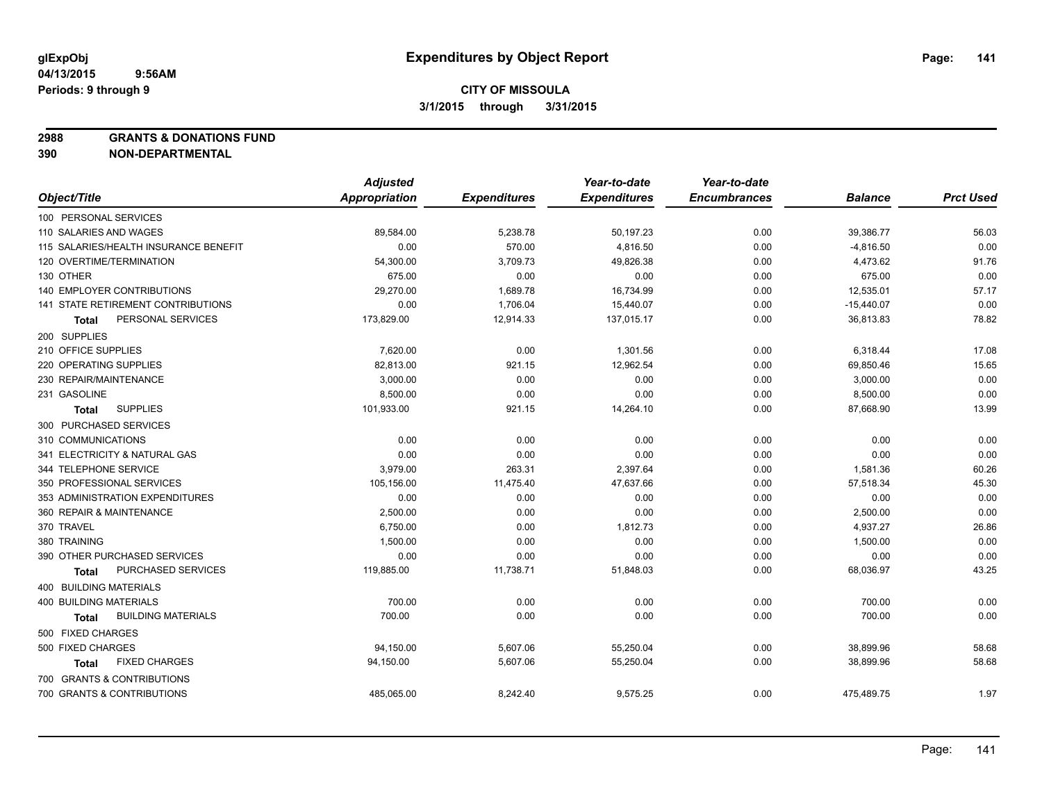**2988 GRANTS & DONATIONS FUND**

**390 NON-DEPARTMENTAL**

|                                           | <b>Adjusted</b>      |                     | Year-to-date        | Year-to-date        |                |                  |
|-------------------------------------------|----------------------|---------------------|---------------------|---------------------|----------------|------------------|
| Object/Title                              | <b>Appropriation</b> | <b>Expenditures</b> | <b>Expenditures</b> | <b>Encumbrances</b> | <b>Balance</b> | <b>Prct Used</b> |
| 100 PERSONAL SERVICES                     |                      |                     |                     |                     |                |                  |
| 110 SALARIES AND WAGES                    | 89,584.00            | 5,238.78            | 50,197.23           | 0.00                | 39,386.77      | 56.03            |
| 115 SALARIES/HEALTH INSURANCE BENEFIT     | 0.00                 | 570.00              | 4,816.50            | 0.00                | $-4,816.50$    | 0.00             |
| 120 OVERTIME/TERMINATION                  | 54,300.00            | 3,709.73            | 49,826.38           | 0.00                | 4,473.62       | 91.76            |
| 130 OTHER                                 | 675.00               | 0.00                | 0.00                | 0.00                | 675.00         | 0.00             |
| 140 EMPLOYER CONTRIBUTIONS                | 29,270.00            | 1,689.78            | 16,734.99           | 0.00                | 12,535.01      | 57.17            |
| 141 STATE RETIREMENT CONTRIBUTIONS        | 0.00                 | 1,706.04            | 15,440.07           | 0.00                | $-15,440.07$   | 0.00             |
| PERSONAL SERVICES<br>Total                | 173,829.00           | 12,914.33           | 137,015.17          | 0.00                | 36,813.83      | 78.82            |
| 200 SUPPLIES                              |                      |                     |                     |                     |                |                  |
| 210 OFFICE SUPPLIES                       | 7,620.00             | 0.00                | 1,301.56            | 0.00                | 6,318.44       | 17.08            |
| 220 OPERATING SUPPLIES                    | 82,813.00            | 921.15              | 12,962.54           | 0.00                | 69,850.46      | 15.65            |
| 230 REPAIR/MAINTENANCE                    | 3,000.00             | 0.00                | 0.00                | 0.00                | 3,000.00       | 0.00             |
| 231 GASOLINE                              | 8,500.00             | 0.00                | 0.00                | 0.00                | 8,500.00       | 0.00             |
| <b>SUPPLIES</b><br><b>Total</b>           | 101,933.00           | 921.15              | 14,264.10           | 0.00                | 87,668.90      | 13.99            |
| 300 PURCHASED SERVICES                    |                      |                     |                     |                     |                |                  |
| 310 COMMUNICATIONS                        | 0.00                 | 0.00                | 0.00                | 0.00                | 0.00           | 0.00             |
| 341 ELECTRICITY & NATURAL GAS             | 0.00                 | 0.00                | 0.00                | 0.00                | 0.00           | 0.00             |
| 344 TELEPHONE SERVICE                     | 3,979.00             | 263.31              | 2,397.64            | 0.00                | 1,581.36       | 60.26            |
| 350 PROFESSIONAL SERVICES                 | 105,156.00           | 11,475.40           | 47,637.66           | 0.00                | 57,518.34      | 45.30            |
| 353 ADMINISTRATION EXPENDITURES           | 0.00                 | 0.00                | 0.00                | 0.00                | 0.00           | 0.00             |
| 360 REPAIR & MAINTENANCE                  | 2,500.00             | 0.00                | 0.00                | 0.00                | 2,500.00       | 0.00             |
| 370 TRAVEL                                | 6,750.00             | 0.00                | 1,812.73            | 0.00                | 4,937.27       | 26.86            |
| 380 TRAINING                              | 1,500.00             | 0.00                | 0.00                | 0.00                | 1,500.00       | 0.00             |
| 390 OTHER PURCHASED SERVICES              | 0.00                 | 0.00                | 0.00                | 0.00                | 0.00           | 0.00             |
| PURCHASED SERVICES<br>Total               | 119,885.00           | 11,738.71           | 51,848.03           | 0.00                | 68,036.97      | 43.25            |
| 400 BUILDING MATERIALS                    |                      |                     |                     |                     |                |                  |
| 400 BUILDING MATERIALS                    | 700.00               | 0.00                | 0.00                | 0.00                | 700.00         | 0.00             |
| <b>BUILDING MATERIALS</b><br><b>Total</b> | 700.00               | 0.00                | 0.00                | 0.00                | 700.00         | 0.00             |
| 500 FIXED CHARGES                         |                      |                     |                     |                     |                |                  |
| 500 FIXED CHARGES                         | 94,150.00            | 5,607.06            | 55,250.04           | 0.00                | 38,899.96      | 58.68            |
| <b>FIXED CHARGES</b><br><b>Total</b>      | 94,150.00            | 5,607.06            | 55,250.04           | 0.00                | 38,899.96      | 58.68            |
| 700 GRANTS & CONTRIBUTIONS                |                      |                     |                     |                     |                |                  |
| 700 GRANTS & CONTRIBUTIONS                | 485,065.00           | 8,242.40            | 9,575.25            | 0.00                | 475,489.75     | 1.97             |
|                                           |                      |                     |                     |                     |                |                  |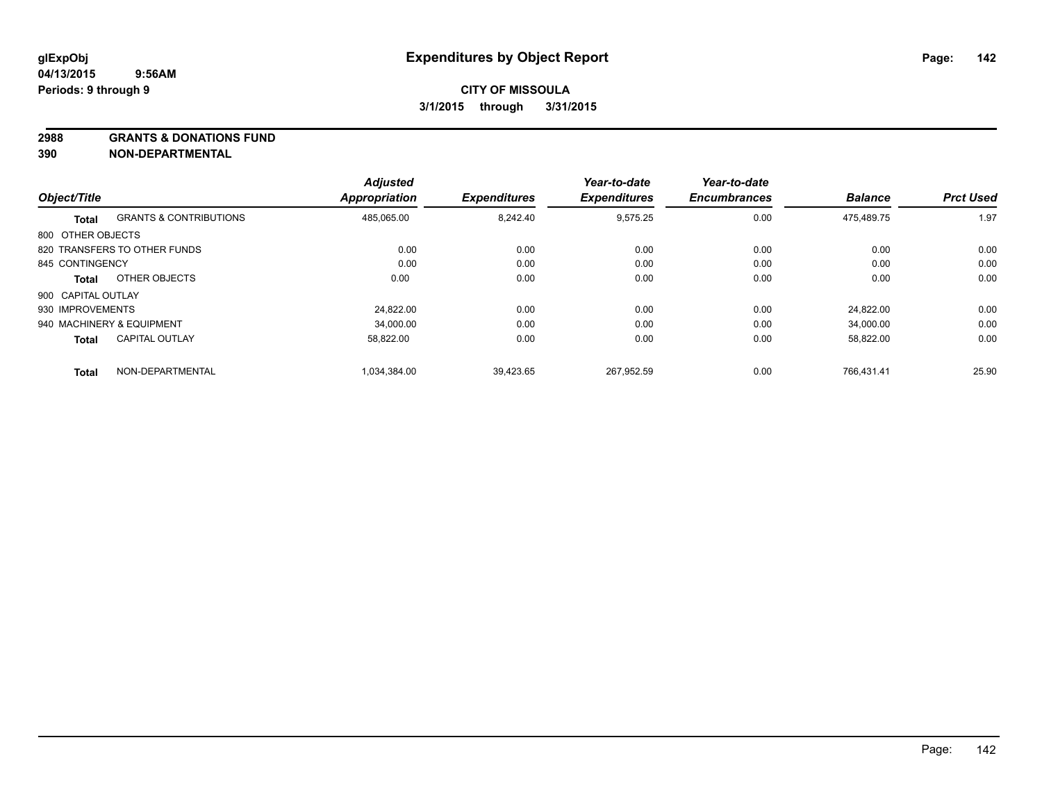#### **2988 GRANTS & DONATIONS FUND**

**390 NON-DEPARTMENTAL**

| Object/Title       |                                   | <b>Adjusted</b><br>Appropriation | <b>Expenditures</b> | Year-to-date<br><b>Expenditures</b> | Year-to-date<br><b>Encumbrances</b> | <b>Balance</b> | <b>Prct Used</b> |
|--------------------|-----------------------------------|----------------------------------|---------------------|-------------------------------------|-------------------------------------|----------------|------------------|
|                    | <b>GRANTS &amp; CONTRIBUTIONS</b> |                                  |                     |                                     |                                     | 475.489.75     | 1.97             |
| Total              |                                   | 485,065.00                       | 8,242.40            | 9,575.25                            | 0.00                                |                |                  |
| 800 OTHER OBJECTS  |                                   |                                  |                     |                                     |                                     |                |                  |
|                    | 820 TRANSFERS TO OTHER FUNDS      | 0.00                             | 0.00                | 0.00                                | 0.00                                | 0.00           | 0.00             |
| 845 CONTINGENCY    |                                   | 0.00                             | 0.00                | 0.00                                | 0.00                                | 0.00           | 0.00             |
| Total              | OTHER OBJECTS                     | 0.00                             | 0.00                | 0.00                                | 0.00                                | 0.00           | 0.00             |
| 900 CAPITAL OUTLAY |                                   |                                  |                     |                                     |                                     |                |                  |
| 930 IMPROVEMENTS   |                                   | 24.822.00                        | 0.00                | 0.00                                | 0.00                                | 24.822.00      | 0.00             |
|                    | 940 MACHINERY & EQUIPMENT         | 34.000.00                        | 0.00                | 0.00                                | 0.00                                | 34,000.00      | 0.00             |
| <b>Total</b>       | <b>CAPITAL OUTLAY</b>             | 58.822.00                        | 0.00                | 0.00                                | 0.00                                | 58,822.00      | 0.00             |
| <b>Total</b>       | NON-DEPARTMENTAL                  | 1,034,384.00                     | 39,423.65           | 267,952.59                          | 0.00                                | 766.431.41     | 25.90            |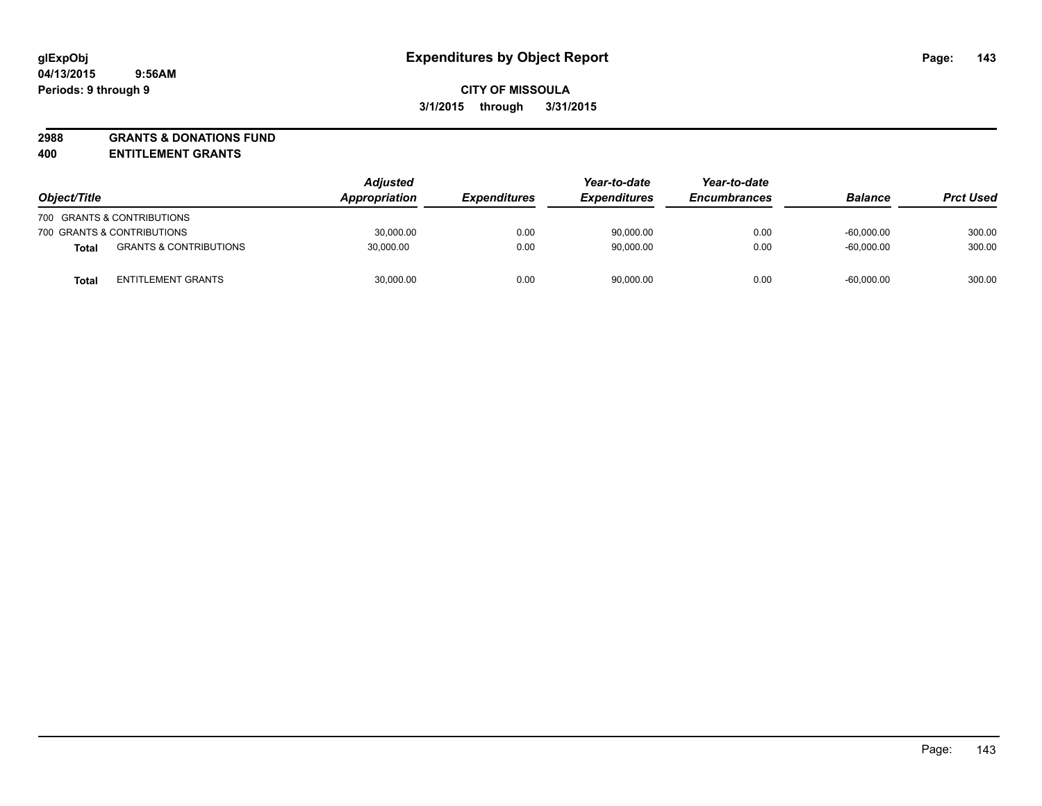# **2988 GRANTS & DONATIONS FUND**

**400 ENTITLEMENT GRANTS**

| Object/Title |                                   | Adjusted<br><b>Appropriation</b> | <i><b>Expenditures</b></i> | Year-to-date<br><b>Expenditures</b> | Year-to-date<br><b>Encumbrances</b> | <b>Balance</b> | <b>Prct Used</b> |
|--------------|-----------------------------------|----------------------------------|----------------------------|-------------------------------------|-------------------------------------|----------------|------------------|
|              | 700 GRANTS & CONTRIBUTIONS        |                                  |                            |                                     |                                     |                |                  |
|              | 700 GRANTS & CONTRIBUTIONS        | 30.000.00                        | 0.00                       | 90.000.00                           | 0.00                                | $-60.000.00$   | 300.00           |
| <b>Total</b> | <b>GRANTS &amp; CONTRIBUTIONS</b> | 30,000.00                        | 0.00                       | 90,000.00                           | 0.00                                | $-60,000.00$   | 300.00           |
| <b>Total</b> | <b>ENTITLEMENT GRANTS</b>         | 30,000.00                        | 0.00                       | 90,000.00                           | 0.00                                | $-60.000.00$   | 300.00           |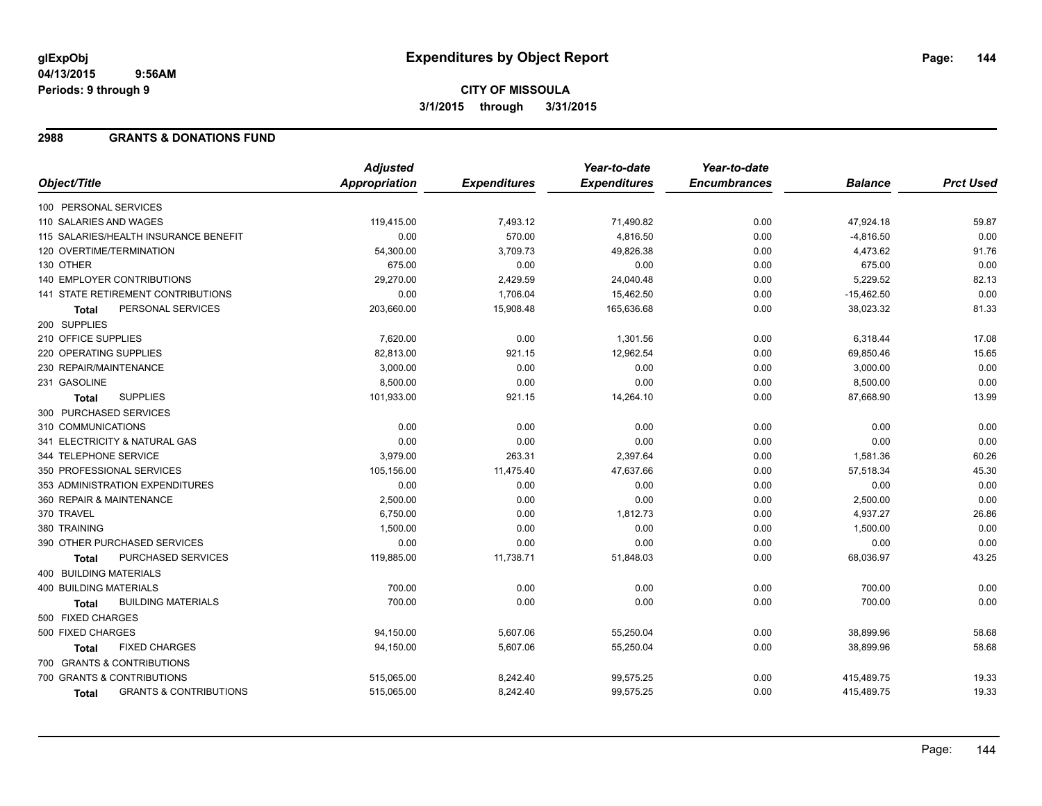**04/13/2015 9:56AM Periods: 9 through 9**

# **CITY OF MISSOULA 3/1/2015 through 3/31/2015**

#### **2988 GRANTS & DONATIONS FUND**

|                                            | <b>Adjusted</b> |                     | Year-to-date        | Year-to-date        |                |                  |
|--------------------------------------------|-----------------|---------------------|---------------------|---------------------|----------------|------------------|
| Object/Title                               | Appropriation   | <b>Expenditures</b> | <b>Expenditures</b> | <b>Encumbrances</b> | <b>Balance</b> | <b>Prct Used</b> |
| 100 PERSONAL SERVICES                      |                 |                     |                     |                     |                |                  |
| 110 SALARIES AND WAGES                     | 119,415.00      | 7,493.12            | 71,490.82           | 0.00                | 47,924.18      | 59.87            |
| 115 SALARIES/HEALTH INSURANCE BENEFIT      | 0.00            | 570.00              | 4,816.50            | 0.00                | $-4,816.50$    | 0.00             |
| 120 OVERTIME/TERMINATION                   | 54,300.00       | 3,709.73            | 49.826.38           | 0.00                | 4,473.62       | 91.76            |
| 130 OTHER                                  | 675.00          | 0.00                | 0.00                | 0.00                | 675.00         | 0.00             |
| <b>140 EMPLOYER CONTRIBUTIONS</b>          | 29,270.00       | 2,429.59            | 24,040.48           | 0.00                | 5,229.52       | 82.13            |
| 141 STATE RETIREMENT CONTRIBUTIONS         | 0.00            | 1,706.04            | 15,462.50           | 0.00                | $-15,462.50$   | 0.00             |
| PERSONAL SERVICES<br><b>Total</b>          | 203,660.00      | 15,908.48           | 165,636.68          | 0.00                | 38,023.32      | 81.33            |
| 200 SUPPLIES                               |                 |                     |                     |                     |                |                  |
| 210 OFFICE SUPPLIES                        | 7,620.00        | 0.00                | 1,301.56            | 0.00                | 6,318.44       | 17.08            |
| 220 OPERATING SUPPLIES                     | 82,813.00       | 921.15              | 12,962.54           | 0.00                | 69,850.46      | 15.65            |
| 230 REPAIR/MAINTENANCE                     | 3,000.00        | 0.00                | 0.00                | 0.00                | 3,000.00       | 0.00             |
| 231 GASOLINE                               | 8,500.00        | 0.00                | 0.00                | 0.00                | 8,500.00       | 0.00             |
| <b>SUPPLIES</b><br><b>Total</b>            | 101,933.00      | 921.15              | 14,264.10           | 0.00                | 87,668.90      | 13.99            |
| 300 PURCHASED SERVICES                     |                 |                     |                     |                     |                |                  |
| 310 COMMUNICATIONS                         | 0.00            | 0.00                | 0.00                | 0.00                | 0.00           | 0.00             |
| 341 ELECTRICITY & NATURAL GAS              | 0.00            | 0.00                | 0.00                | 0.00                | 0.00           | 0.00             |
| 344 TELEPHONE SERVICE                      | 3,979.00        | 263.31              | 2,397.64            | 0.00                | 1,581.36       | 60.26            |
| 350 PROFESSIONAL SERVICES                  | 105,156.00      | 11,475.40           | 47,637.66           | 0.00                | 57,518.34      | 45.30            |
| 353 ADMINISTRATION EXPENDITURES            | 0.00            | 0.00                | 0.00                | 0.00                | 0.00           | 0.00             |
| 360 REPAIR & MAINTENANCE                   | 2,500.00        | 0.00                | 0.00                | 0.00                | 2,500.00       | 0.00             |
| 370 TRAVEL                                 | 6,750.00        | 0.00                | 1,812.73            | 0.00                | 4,937.27       | 26.86            |
| 380 TRAINING                               | 1,500.00        | 0.00                | 0.00                | 0.00                | 1,500.00       | 0.00             |
| 390 OTHER PURCHASED SERVICES               | 0.00            | 0.00                | 0.00                | 0.00                | 0.00           | 0.00             |
| PURCHASED SERVICES<br><b>Total</b>         | 119,885.00      | 11,738.71           | 51,848.03           | 0.00                | 68,036.97      | 43.25            |
| <b>400 BUILDING MATERIALS</b>              |                 |                     |                     |                     |                |                  |
| 400 BUILDING MATERIALS                     | 700.00          | 0.00                | 0.00                | 0.00                | 700.00         | 0.00             |
| <b>BUILDING MATERIALS</b><br>Total         | 700.00          | 0.00                | 0.00                | 0.00                | 700.00         | 0.00             |
| 500 FIXED CHARGES                          |                 |                     |                     |                     |                |                  |
| 500 FIXED CHARGES                          | 94,150.00       | 5,607.06            | 55,250.04           | 0.00                | 38,899.96      | 58.68            |
| <b>FIXED CHARGES</b><br>Total              | 94,150.00       | 5,607.06            | 55,250.04           | 0.00                | 38,899.96      | 58.68            |
| 700 GRANTS & CONTRIBUTIONS                 |                 |                     |                     |                     |                |                  |
| 700 GRANTS & CONTRIBUTIONS                 | 515,065.00      | 8,242.40            | 99,575.25           | 0.00                | 415,489.75     | 19.33            |
| <b>GRANTS &amp; CONTRIBUTIONS</b><br>Total | 515,065.00      | 8,242.40            | 99,575.25           | 0.00                | 415,489.75     | 19.33            |
|                                            |                 |                     |                     |                     |                |                  |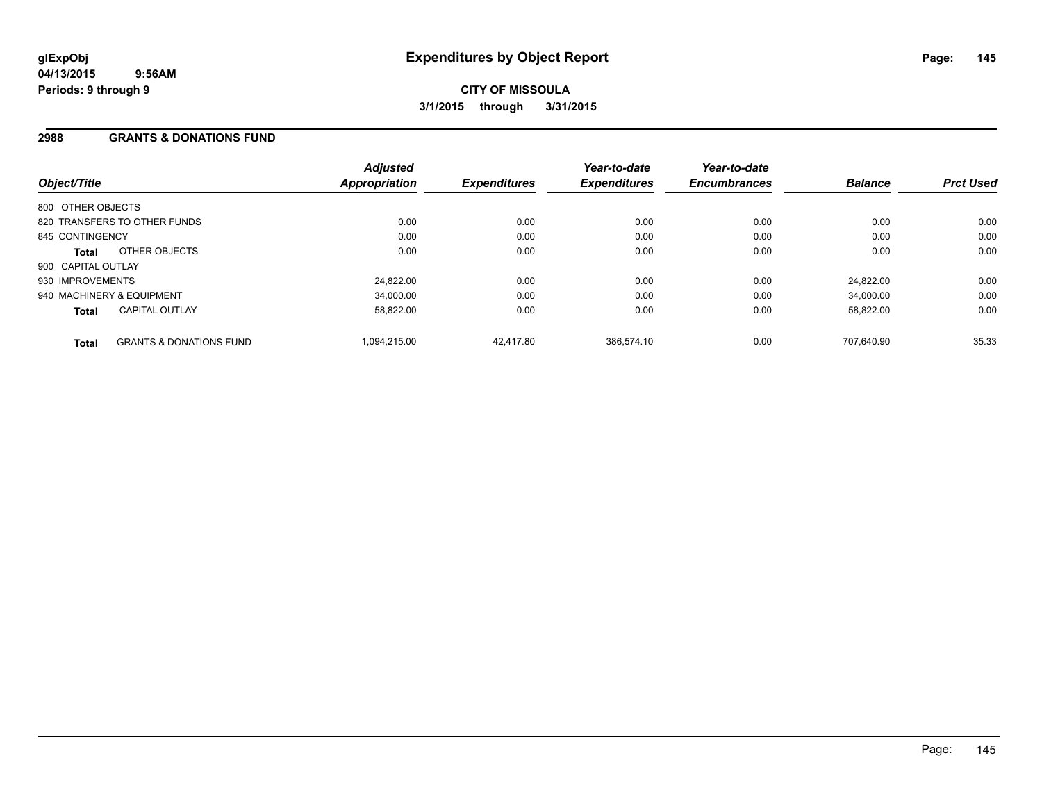#### **2988 GRANTS & DONATIONS FUND**

| Object/Title              |                                    | <b>Adjusted</b><br><b>Appropriation</b> | <b>Expenditures</b> | Year-to-date<br><b>Expenditures</b> | Year-to-date<br><b>Encumbrances</b> | <b>Balance</b> | <b>Prct Used</b> |
|---------------------------|------------------------------------|-----------------------------------------|---------------------|-------------------------------------|-------------------------------------|----------------|------------------|
| 800 OTHER OBJECTS         |                                    |                                         |                     |                                     |                                     |                |                  |
|                           | 820 TRANSFERS TO OTHER FUNDS       | 0.00                                    | 0.00                | 0.00                                | 0.00                                | 0.00           | 0.00             |
| 845 CONTINGENCY           |                                    | 0.00                                    | 0.00                | 0.00                                | 0.00                                | 0.00           | 0.00             |
| Total                     | OTHER OBJECTS                      | 0.00                                    | 0.00                | 0.00                                | 0.00                                | 0.00           | 0.00             |
| 900 CAPITAL OUTLAY        |                                    |                                         |                     |                                     |                                     |                |                  |
| 930 IMPROVEMENTS          |                                    | 24,822.00                               | 0.00                | 0.00                                | 0.00                                | 24.822.00      | 0.00             |
| 940 MACHINERY & EQUIPMENT |                                    | 34.000.00                               | 0.00                | 0.00                                | 0.00                                | 34.000.00      | 0.00             |
| <b>Total</b>              | <b>CAPITAL OUTLAY</b>              | 58.822.00                               | 0.00                | 0.00                                | 0.00                                | 58,822.00      | 0.00             |
| <b>Total</b>              | <b>GRANTS &amp; DONATIONS FUND</b> | 1.094.215.00                            | 42.417.80           | 386.574.10                          | 0.00                                | 707.640.90     | 35.33            |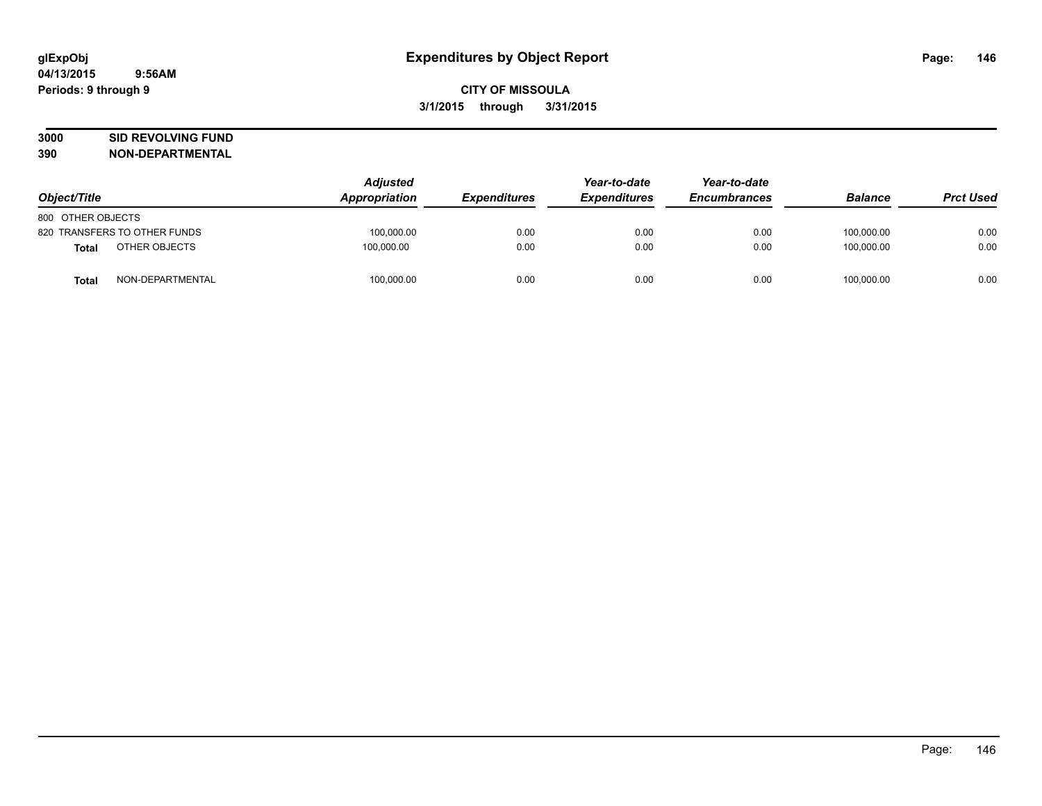# **3000 SID REVOLVING FUND**

|                               |                  | <b>Adjusted</b> |                     | Year-to-date        | Year-to-date        |                |                  |
|-------------------------------|------------------|-----------------|---------------------|---------------------|---------------------|----------------|------------------|
| Object/Title                  |                  | Appropriation   | <b>Expenditures</b> | <b>Expenditures</b> | <b>Encumbrances</b> | <b>Balance</b> | <b>Prct Used</b> |
| 800 OTHER OBJECTS             |                  |                 |                     |                     |                     |                |                  |
| 820 TRANSFERS TO OTHER FUNDS  |                  | 100,000.00      | 0.00                | 0.00                | 0.00                | 100.000.00     | 0.00             |
| OTHER OBJECTS<br><b>Total</b> |                  | 100.000.00      | 0.00                | 0.00                | 0.00                | 100.000.00     | 0.00             |
| <b>Total</b>                  | NON-DEPARTMENTAL | 100,000.00      | 0.00                | 0.00                | 0.00                | 100,000.00     | 0.00             |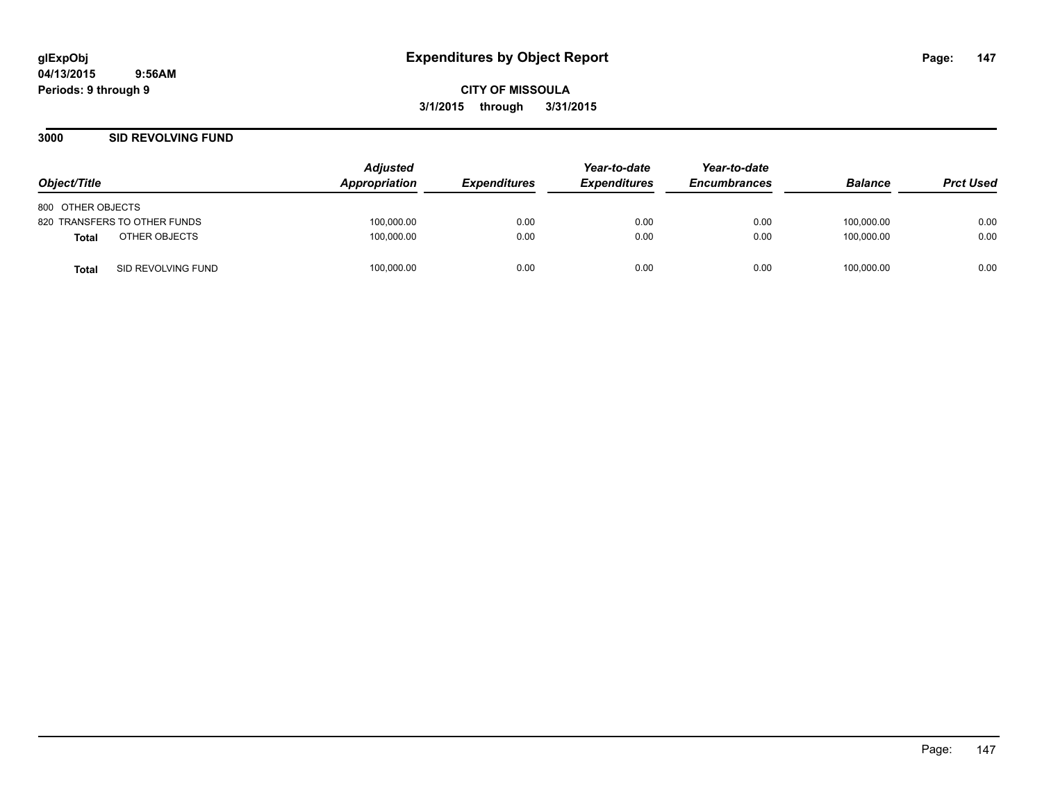**CITY OF MISSOULA 3/1/2015 through 3/31/2015**

#### **3000 SID REVOLVING FUND**

| Object/Title                       | <b>Adjusted</b><br>Appropriation | <i><b>Expenditures</b></i> | Year-to-date<br><b>Expenditures</b> | Year-to-date<br><b>Encumbrances</b> | <b>Balance</b> | <b>Prct Used</b> |
|------------------------------------|----------------------------------|----------------------------|-------------------------------------|-------------------------------------|----------------|------------------|
| 800 OTHER OBJECTS                  |                                  |                            |                                     |                                     |                |                  |
| 820 TRANSFERS TO OTHER FUNDS       | 100,000.00                       | 0.00                       | 0.00                                | 0.00                                | 100,000.00     | 0.00             |
| OTHER OBJECTS<br>Total             | 100,000.00                       | 0.00                       | 0.00                                | 0.00                                | 100.000.00     | 0.00             |
| SID REVOLVING FUND<br><b>Total</b> | 100,000.00                       | 0.00                       | 0.00                                | 0.00                                | 100,000.00     | 0.00             |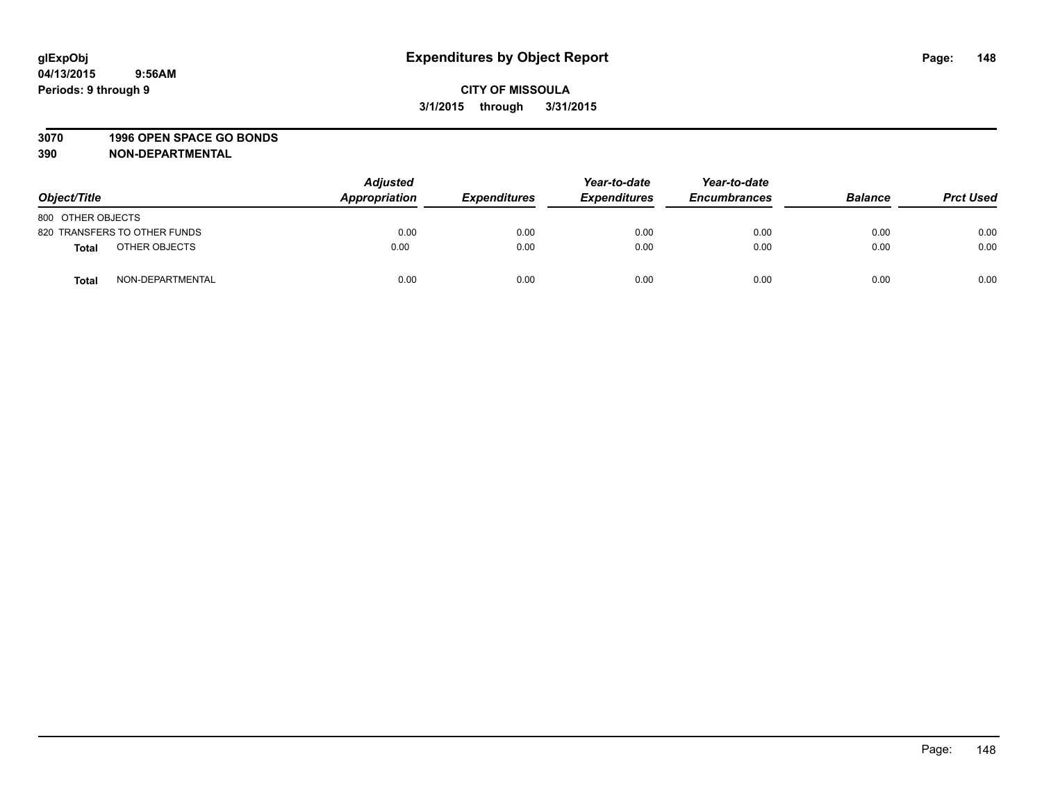#### **3070 1996 OPEN SPACE GO BONDS**

| Object/Title      |                              | <b>Adjusted</b><br>Appropriation | <b>Expenditures</b> | Year-to-date<br><b>Expenditures</b> | Year-to-date<br><b>Encumbrances</b> | <b>Balance</b> | <b>Prct Used</b> |
|-------------------|------------------------------|----------------------------------|---------------------|-------------------------------------|-------------------------------------|----------------|------------------|
| 800 OTHER OBJECTS |                              |                                  |                     |                                     |                                     |                |                  |
|                   | 820 TRANSFERS TO OTHER FUNDS | 0.00                             | 0.00                | 0.00                                | 0.00                                | 0.00           | 0.00             |
| Total             | OTHER OBJECTS                | 0.00                             | 0.00                | 0.00                                | 0.00                                | 0.00           | 0.00             |
| Total             | NON-DEPARTMENTAL             | 0.00                             | 0.00                | 0.00                                | 0.00                                | 0.00           | 0.00             |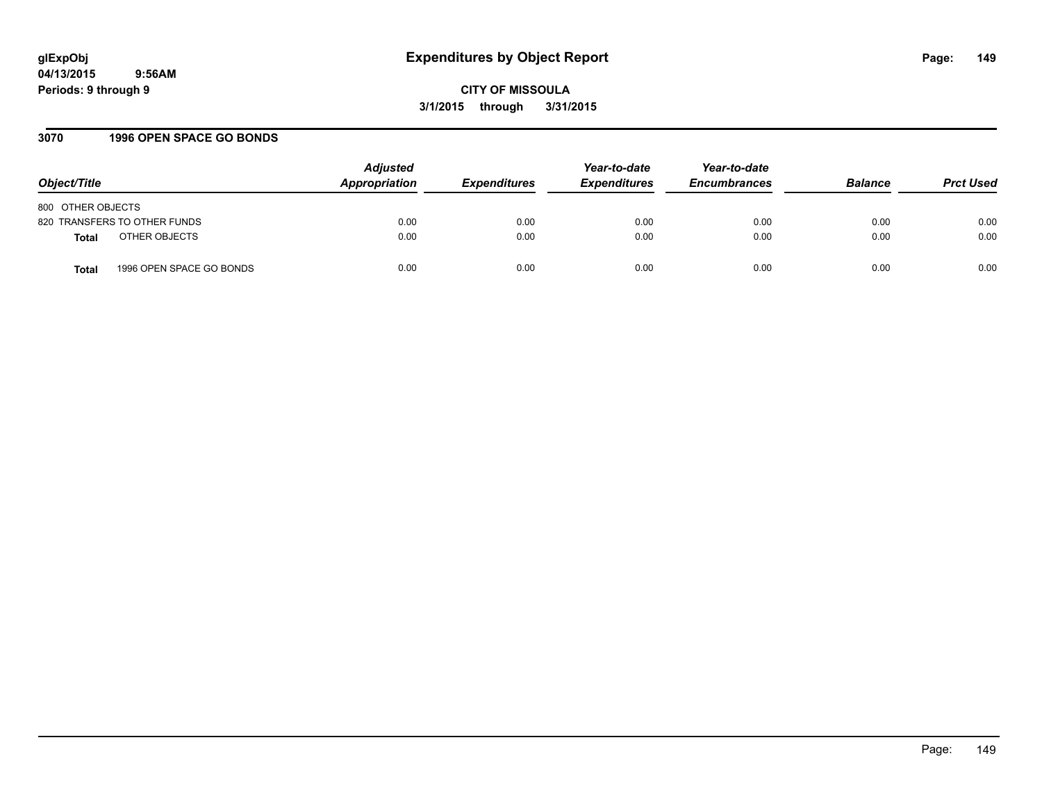# **glExpObj Expenditures by Object Report Page: 149**

**04/13/2015 9:56AM Periods: 9 through 9**

**CITY OF MISSOULA 3/1/2015 through 3/31/2015**

#### **3070 1996 OPEN SPACE GO BONDS**

| Object/Title                             | <b>Adjusted</b><br>Appropriation | <i><b>Expenditures</b></i> | Year-to-date<br><b>Expenditures</b> | Year-to-date<br><b>Encumbrances</b> | <b>Balance</b> | <b>Prct Used</b> |
|------------------------------------------|----------------------------------|----------------------------|-------------------------------------|-------------------------------------|----------------|------------------|
| 800 OTHER OBJECTS                        |                                  |                            |                                     |                                     |                |                  |
| 820 TRANSFERS TO OTHER FUNDS             | 0.00                             | 0.00                       | 0.00                                | 0.00                                | 0.00           | 0.00             |
| OTHER OBJECTS<br><b>Total</b>            | 0.00                             | 0.00                       | 0.00                                | 0.00                                | 0.00           | 0.00             |
| 1996 OPEN SPACE GO BONDS<br><b>Total</b> | 0.00                             | 0.00                       | 0.00                                | 0.00                                | 0.00           | 0.00             |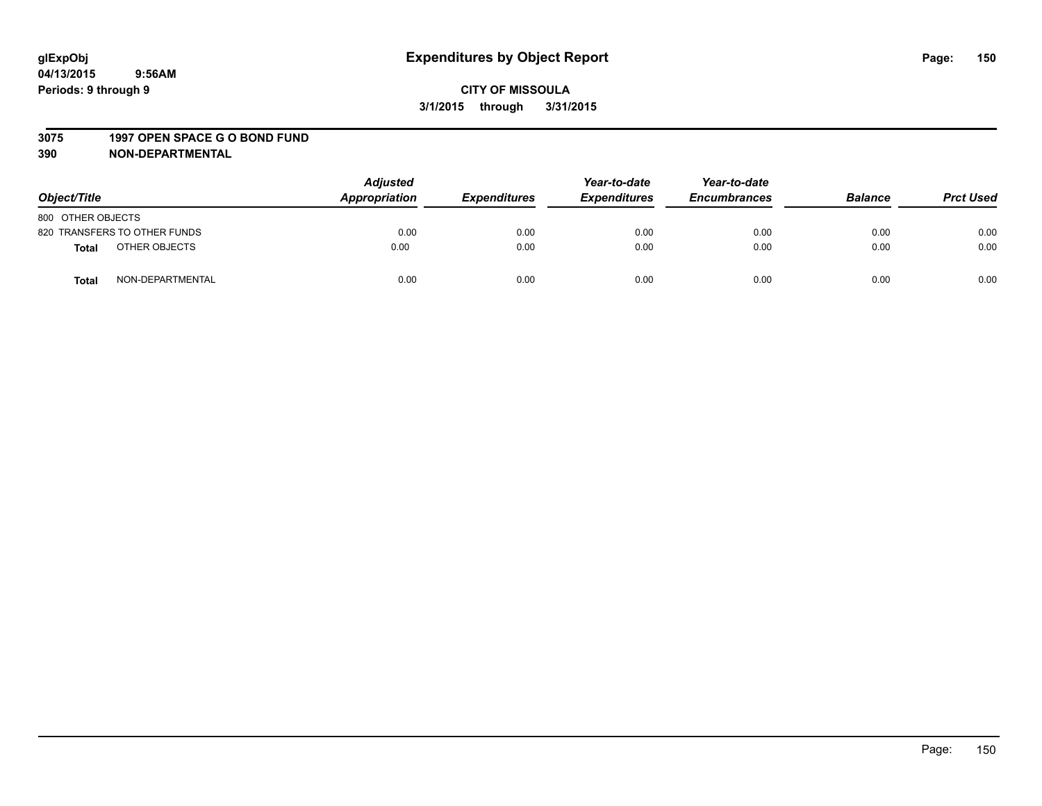#### **3075 1997 OPEN SPACE G O BOND FUND**

| Object/Title      |                              | <b>Adjusted</b><br>Appropriation | <b>Expenditures</b> | Year-to-date<br><b>Expenditures</b> | Year-to-date<br><b>Encumbrances</b> | <b>Balance</b> | <b>Prct Used</b> |
|-------------------|------------------------------|----------------------------------|---------------------|-------------------------------------|-------------------------------------|----------------|------------------|
| 800 OTHER OBJECTS |                              |                                  |                     |                                     |                                     |                |                  |
|                   | 820 TRANSFERS TO OTHER FUNDS | 0.00                             | 0.00                | 0.00                                | 0.00                                | 0.00           | 0.00             |
| Total             | OTHER OBJECTS                | 0.00                             | 0.00                | 0.00                                | 0.00                                | 0.00           | 0.00             |
| <b>Total</b>      | NON-DEPARTMENTAL             | 0.00                             | 0.00                | 0.00                                | 0.00                                | 0.00           | 0.00             |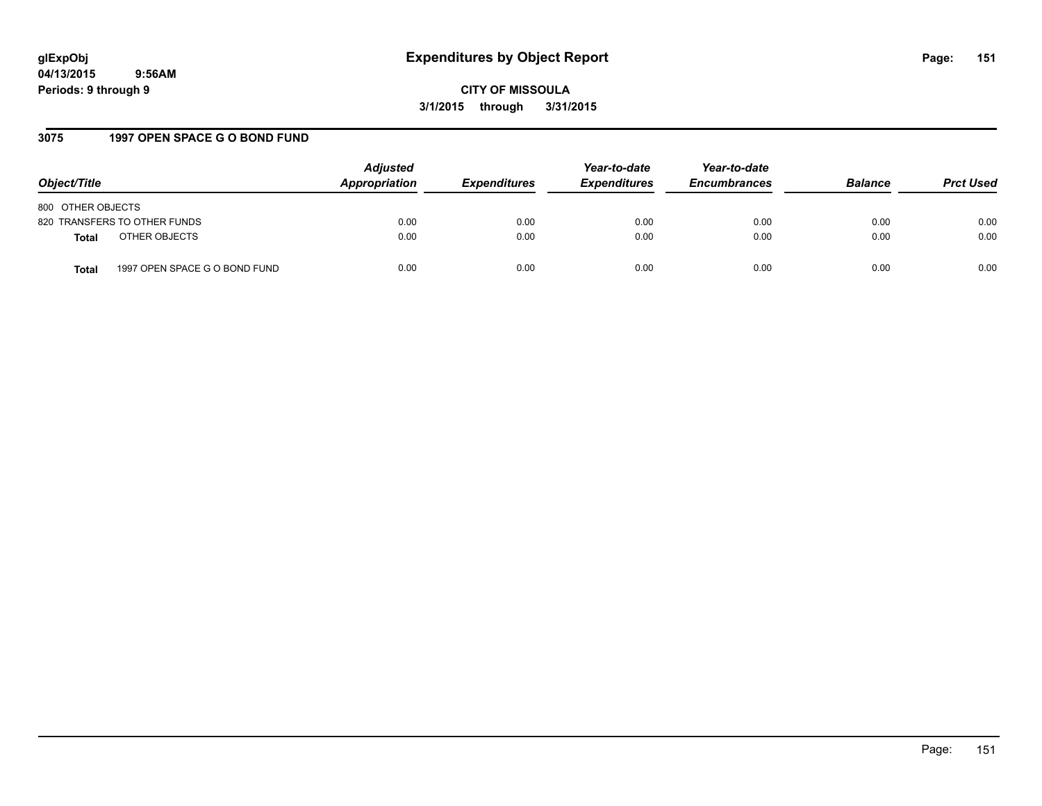# **glExpObj Expenditures by Object Report Page: 151**

**04/13/2015 9:56AM Periods: 9 through 9**

**CITY OF MISSOULA 3/1/2015 through 3/31/2015**

#### **3075 1997 OPEN SPACE G O BOND FUND**

| Object/Title                           | <b>Adjusted</b><br>Appropriation | <i><b>Expenditures</b></i> | Year-to-date<br><b>Expenditures</b> | Year-to-date<br><b>Encumbrances</b> | <b>Balance</b> | <b>Prct Used</b> |
|----------------------------------------|----------------------------------|----------------------------|-------------------------------------|-------------------------------------|----------------|------------------|
| 800 OTHER OBJECTS                      |                                  |                            |                                     |                                     |                |                  |
| 820 TRANSFERS TO OTHER FUNDS           | 0.00                             | 0.00                       | 0.00                                | 0.00                                | 0.00           | 0.00             |
| OTHER OBJECTS<br><b>Total</b>          | 0.00                             | 0.00                       | 0.00                                | 0.00                                | 0.00           | 0.00             |
| 1997 OPEN SPACE G O BOND FUND<br>Total | 0.00                             | 0.00                       | 0.00                                | 0.00                                | 0.00           | 0.00             |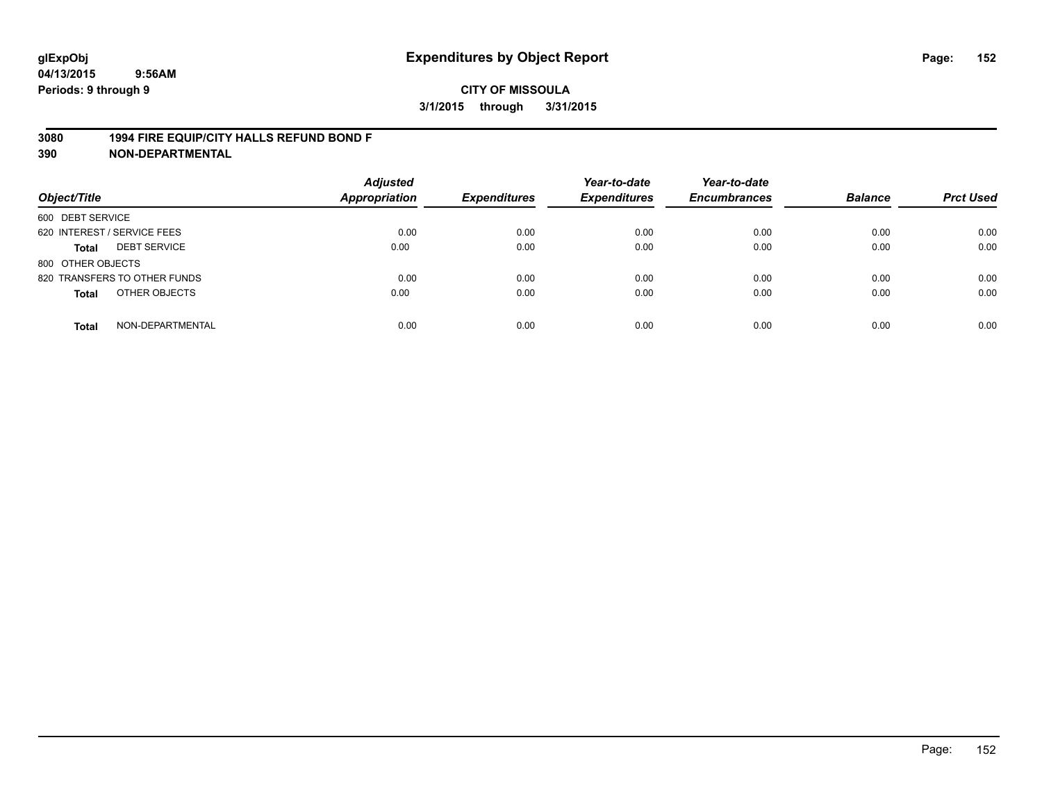#### **3080 1994 FIRE EQUIP/CITY HALLS REFUND BOND F**

| Object/Title                        | <b>Adjusted</b><br><b>Appropriation</b> | <b>Expenditures</b> | Year-to-date<br><b>Expenditures</b> | Year-to-date<br><b>Encumbrances</b> | <b>Balance</b> | <b>Prct Used</b> |
|-------------------------------------|-----------------------------------------|---------------------|-------------------------------------|-------------------------------------|----------------|------------------|
| 600 DEBT SERVICE                    |                                         |                     |                                     |                                     |                |                  |
| 620 INTEREST / SERVICE FEES         | 0.00                                    | 0.00                | 0.00                                | 0.00                                | 0.00           | 0.00             |
| <b>DEBT SERVICE</b><br><b>Total</b> | 0.00                                    | 0.00                | 0.00                                | 0.00                                | 0.00           | 0.00             |
| 800 OTHER OBJECTS                   |                                         |                     |                                     |                                     |                |                  |
| 820 TRANSFERS TO OTHER FUNDS        | 0.00                                    | 0.00                | 0.00                                | 0.00                                | 0.00           | 0.00             |
| OTHER OBJECTS<br><b>Total</b>       | 0.00                                    | 0.00                | 0.00                                | 0.00                                | 0.00           | 0.00             |
| NON-DEPARTMENTAL<br><b>Total</b>    | 0.00                                    | 0.00                | 0.00                                | 0.00                                | 0.00           | 0.00             |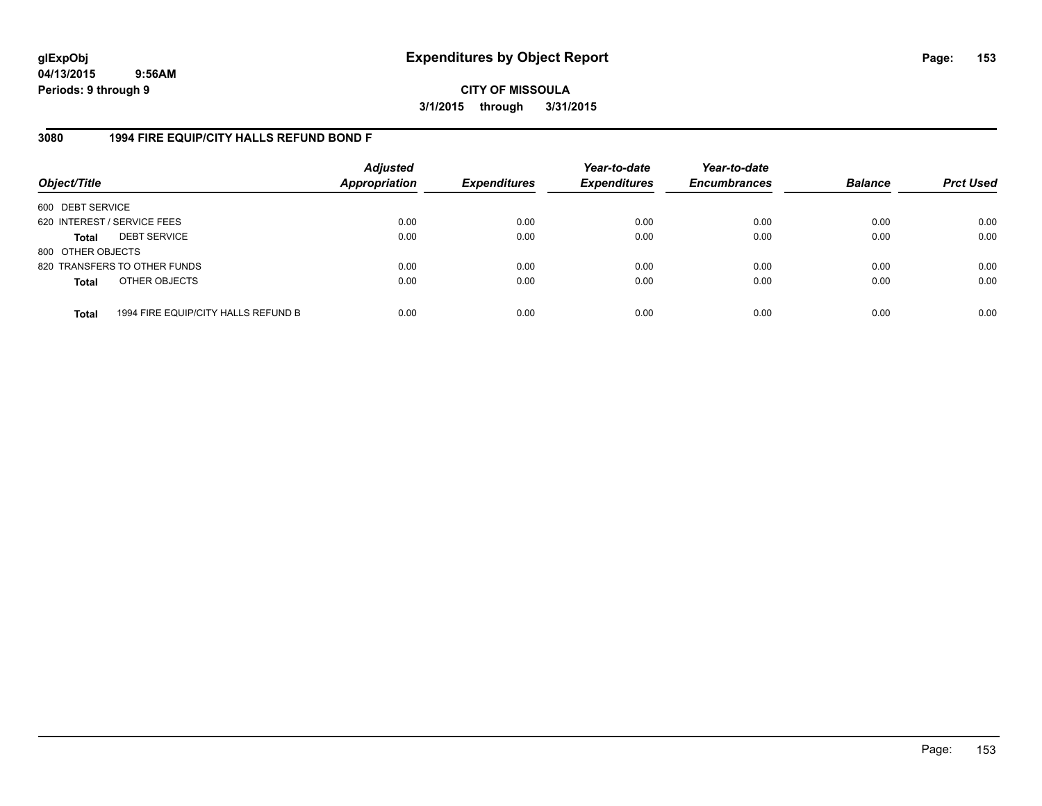**CITY OF MISSOULA 3/1/2015 through 3/31/2015**

#### **3080 1994 FIRE EQUIP/CITY HALLS REFUND BOND F**

| Object/Title                |                                     | <b>Adjusted</b><br><b>Appropriation</b> | <b>Expenditures</b> | Year-to-date<br><b>Expenditures</b> | Year-to-date<br><b>Encumbrances</b> | <b>Balance</b> | <b>Prct Used</b> |
|-----------------------------|-------------------------------------|-----------------------------------------|---------------------|-------------------------------------|-------------------------------------|----------------|------------------|
| 600 DEBT SERVICE            |                                     |                                         |                     |                                     |                                     |                |                  |
| 620 INTEREST / SERVICE FEES |                                     | 0.00                                    | 0.00                | 0.00                                | 0.00                                | 0.00           | 0.00             |
| <b>Total</b>                | <b>DEBT SERVICE</b>                 | 0.00                                    | 0.00                | 0.00                                | 0.00                                | 0.00           | 0.00             |
| 800 OTHER OBJECTS           |                                     |                                         |                     |                                     |                                     |                |                  |
|                             | 820 TRANSFERS TO OTHER FUNDS        | 0.00                                    | 0.00                | 0.00                                | 0.00                                | 0.00           | 0.00             |
| <b>Total</b>                | OTHER OBJECTS                       | 0.00                                    | 0.00                | 0.00                                | 0.00                                | 0.00           | 0.00             |
| <b>Total</b>                | 1994 FIRE EQUIP/CITY HALLS REFUND B | 0.00                                    | 0.00                | 0.00                                | 0.00                                | 0.00           | 0.00             |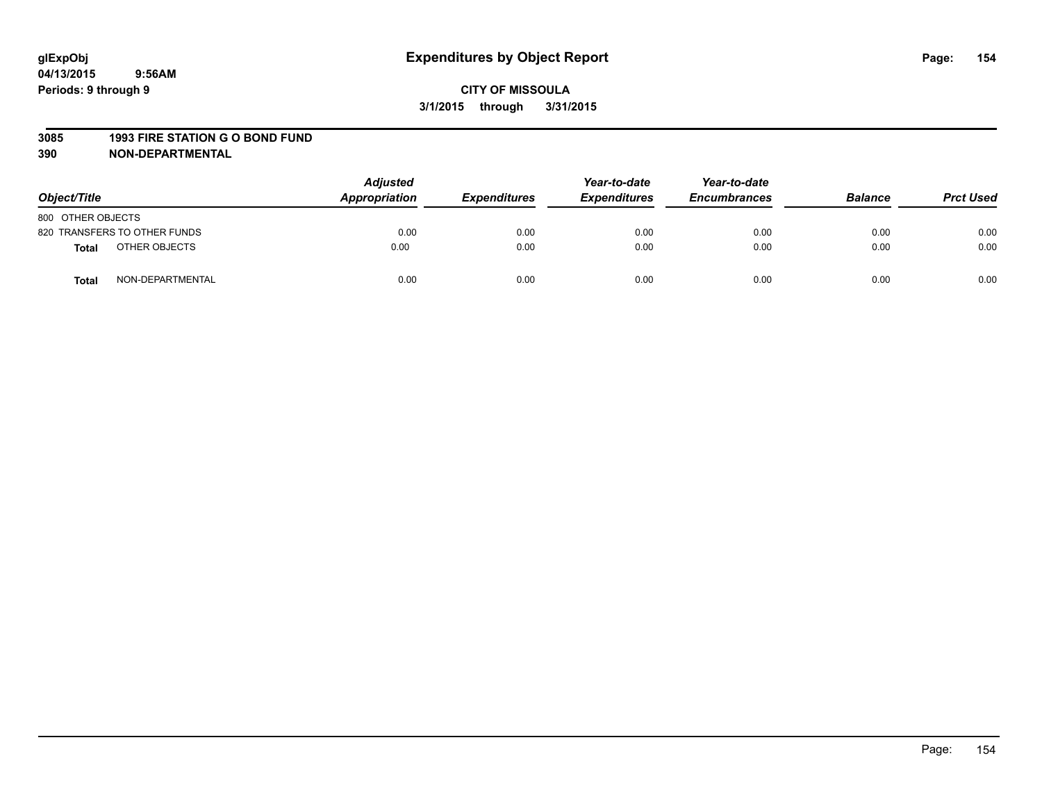#### **3085 1993 FIRE STATION G O BOND FUND**

| Object/Title      |                              | <b>Adjusted</b><br>Appropriation | <b>Expenditures</b> | Year-to-date<br><b>Expenditures</b> | Year-to-date<br><b>Encumbrances</b> | <b>Balance</b> | <b>Prct Used</b> |
|-------------------|------------------------------|----------------------------------|---------------------|-------------------------------------|-------------------------------------|----------------|------------------|
| 800 OTHER OBJECTS |                              |                                  |                     |                                     |                                     |                |                  |
|                   | 820 TRANSFERS TO OTHER FUNDS | 0.00                             | 0.00                | 0.00                                | 0.00                                | 0.00           | 0.00             |
| Total             | OTHER OBJECTS                | 0.00                             | 0.00                | 0.00                                | 0.00                                | 0.00           | 0.00             |
| Total             | NON-DEPARTMENTAL             | 0.00                             | 0.00                | 0.00                                | 0.00                                | 0.00           | 0.00             |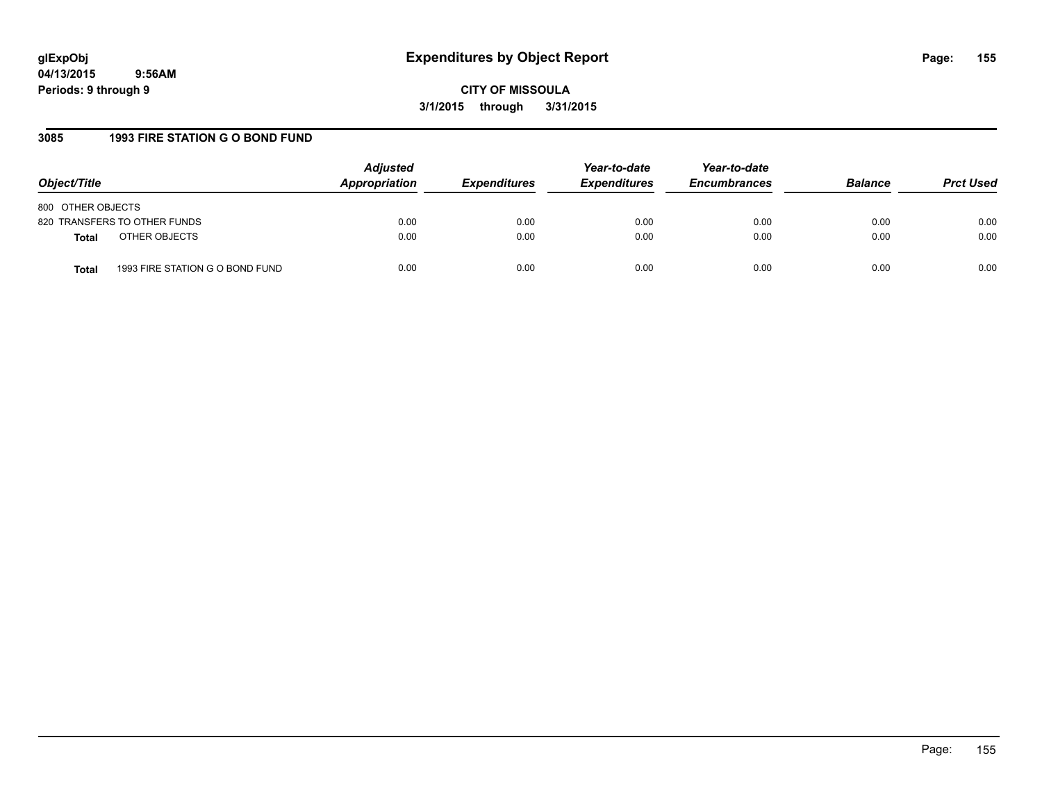# **glExpObj Expenditures by Object Report Page: 155**

**04/13/2015 9:56AM Periods: 9 through 9**

**CITY OF MISSOULA 3/1/2015 through 3/31/2015**

#### **3085 1993 FIRE STATION G O BOND FUND**

| Object/Title                                    | <b>Adjusted</b><br>Appropriation | <b>Expenditures</b> | Year-to-date<br><b>Expenditures</b> | Year-to-date<br><b>Encumbrances</b> | <b>Balance</b> | <b>Prct Used</b> |
|-------------------------------------------------|----------------------------------|---------------------|-------------------------------------|-------------------------------------|----------------|------------------|
| 800 OTHER OBJECTS                               |                                  |                     |                                     |                                     |                |                  |
| 820 TRANSFERS TO OTHER FUNDS                    | 0.00                             | 0.00                | 0.00                                | 0.00                                | 0.00           | 0.00             |
| OTHER OBJECTS<br><b>Total</b>                   | 0.00                             | 0.00                | 0.00                                | 0.00                                | 0.00           | 0.00             |
| 1993 FIRE STATION G O BOND FUND<br><b>Total</b> | 0.00                             | 0.00                | 0.00                                | 0.00                                | 0.00           | 0.00             |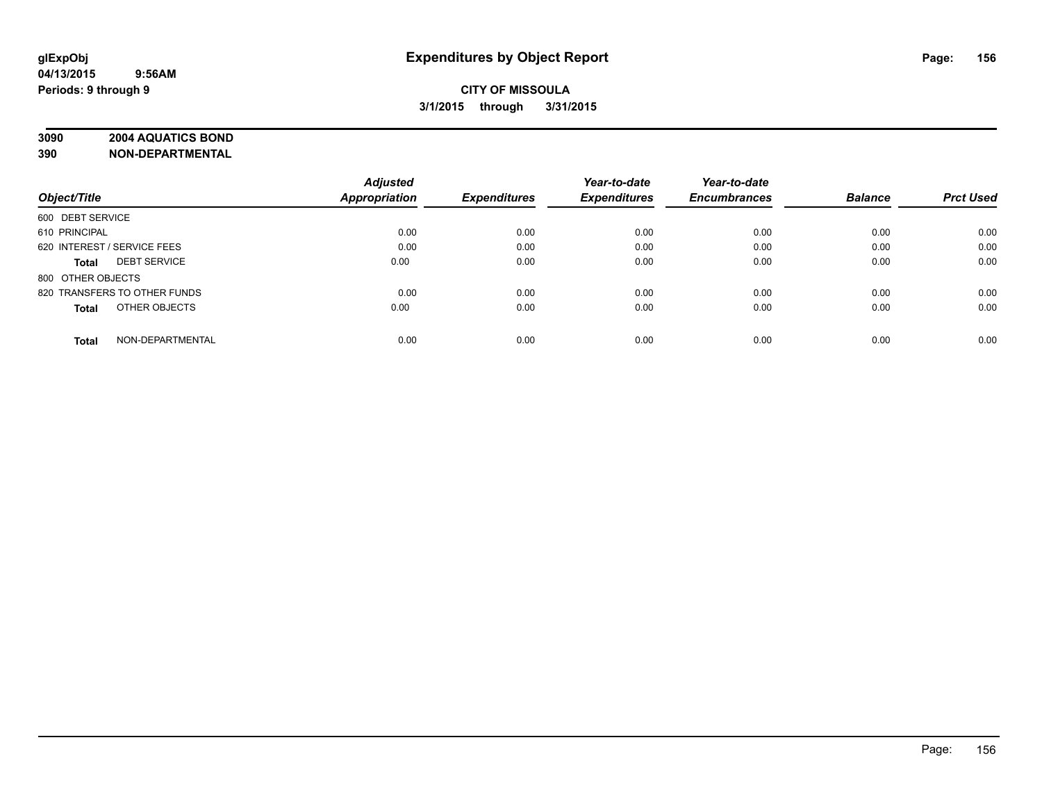## **3090 2004 AQUATICS BOND**

|                                     | <b>Adjusted</b> |                     | Year-to-date        | Year-to-date        |                |                  |
|-------------------------------------|-----------------|---------------------|---------------------|---------------------|----------------|------------------|
| Object/Title                        | Appropriation   | <b>Expenditures</b> | <b>Expenditures</b> | <b>Encumbrances</b> | <b>Balance</b> | <b>Prct Used</b> |
| 600 DEBT SERVICE                    |                 |                     |                     |                     |                |                  |
| 610 PRINCIPAL                       | 0.00            | 0.00                | 0.00                | 0.00                | 0.00           | 0.00             |
| 620 INTEREST / SERVICE FEES         | 0.00            | 0.00                | 0.00                | 0.00                | 0.00           | 0.00             |
| <b>DEBT SERVICE</b><br><b>Total</b> | 0.00            | 0.00                | 0.00                | 0.00                | 0.00           | 0.00             |
| 800 OTHER OBJECTS                   |                 |                     |                     |                     |                |                  |
| 820 TRANSFERS TO OTHER FUNDS        | 0.00            | 0.00                | 0.00                | 0.00                | 0.00           | 0.00             |
| OTHER OBJECTS<br><b>Total</b>       | 0.00            | 0.00                | 0.00                | 0.00                | 0.00           | 0.00             |
| NON-DEPARTMENTAL<br><b>Total</b>    | 0.00            | 0.00                | 0.00                | 0.00                | 0.00           | 0.00             |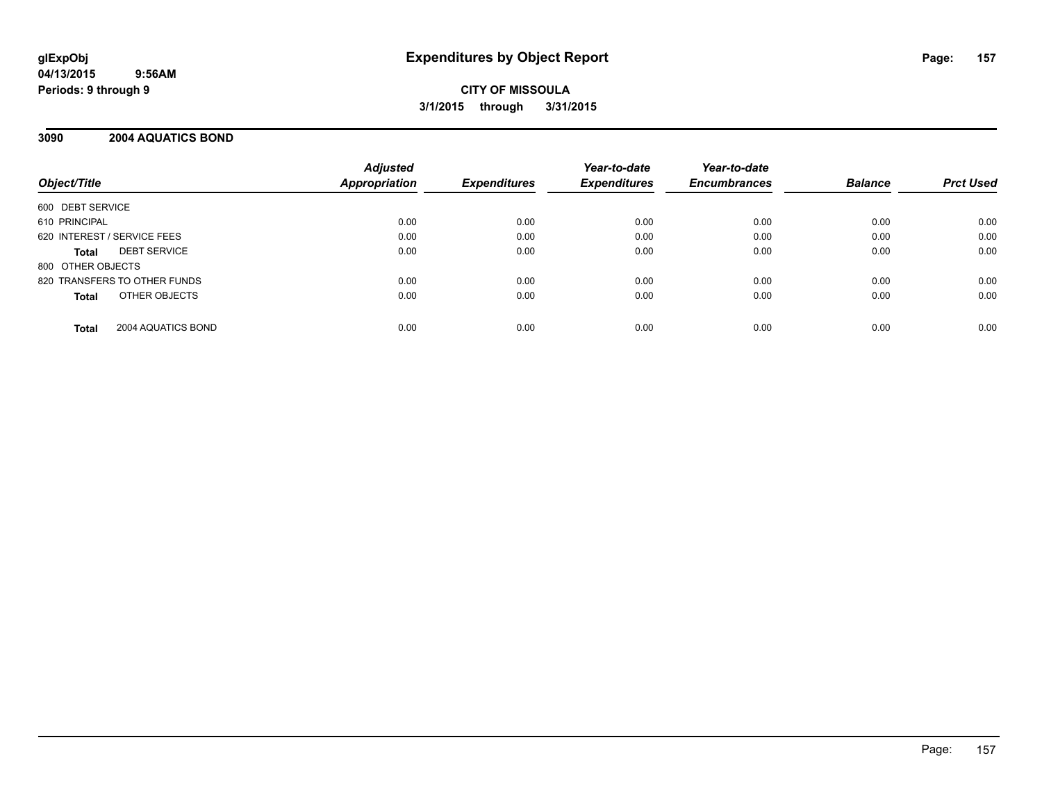**CITY OF MISSOULA 3/1/2015 through 3/31/2015**

#### **3090 2004 AQUATICS BOND**

| Object/Title                       | <b>Adjusted</b><br>Appropriation | <b>Expenditures</b> | Year-to-date<br><b>Expenditures</b> | Year-to-date<br><b>Encumbrances</b> | <b>Balance</b> | <b>Prct Used</b> |
|------------------------------------|----------------------------------|---------------------|-------------------------------------|-------------------------------------|----------------|------------------|
| 600 DEBT SERVICE                   |                                  |                     |                                     |                                     |                |                  |
| 610 PRINCIPAL                      | 0.00                             | 0.00                | 0.00                                | 0.00                                | 0.00           | 0.00             |
| 620 INTEREST / SERVICE FEES        | 0.00                             | 0.00                | 0.00                                | 0.00                                | 0.00           | 0.00             |
| <b>DEBT SERVICE</b><br>Total       | 0.00                             | 0.00                | 0.00                                | 0.00                                | 0.00           | 0.00             |
| 800 OTHER OBJECTS                  |                                  |                     |                                     |                                     |                |                  |
| 820 TRANSFERS TO OTHER FUNDS       | 0.00                             | 0.00                | 0.00                                | 0.00                                | 0.00           | 0.00             |
| OTHER OBJECTS<br><b>Total</b>      | 0.00                             | 0.00                | 0.00                                | 0.00                                | 0.00           | 0.00             |
| 2004 AQUATICS BOND<br><b>Total</b> | 0.00                             | 0.00                | 0.00                                | 0.00                                | 0.00           | 0.00             |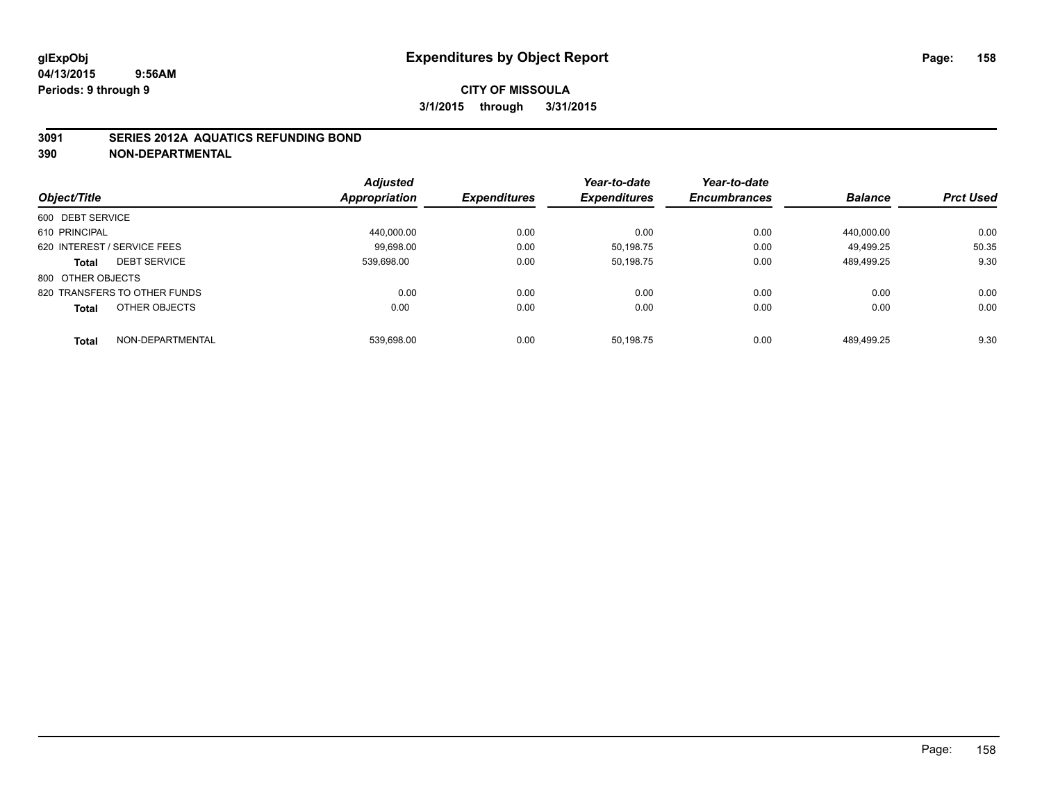#### **3091 SERIES 2012A AQUATICS REFUNDING BOND**

|                                  | <b>Adjusted</b><br>Appropriation | <b>Expenditures</b> | Year-to-date<br><b>Expenditures</b> | Year-to-date        |                |                  |
|----------------------------------|----------------------------------|---------------------|-------------------------------------|---------------------|----------------|------------------|
| Object/Title                     |                                  |                     |                                     | <b>Encumbrances</b> | <b>Balance</b> | <b>Prct Used</b> |
| 600 DEBT SERVICE                 |                                  |                     |                                     |                     |                |                  |
| 610 PRINCIPAL                    | 440.000.00                       | 0.00                | 0.00                                | 0.00                | 440.000.00     | 0.00             |
| 620 INTEREST / SERVICE FEES      | 99.698.00                        | 0.00                | 50.198.75                           | 0.00                | 49.499.25      | 50.35            |
| <b>DEBT SERVICE</b><br>Total     | 539.698.00                       | 0.00                | 50.198.75                           | 0.00                | 489.499.25     | 9.30             |
| 800 OTHER OBJECTS                |                                  |                     |                                     |                     |                |                  |
| 820 TRANSFERS TO OTHER FUNDS     | 0.00                             | 0.00                | 0.00                                | 0.00                | 0.00           | 0.00             |
| OTHER OBJECTS<br><b>Total</b>    | 0.00                             | 0.00                | 0.00                                | 0.00                | 0.00           | 0.00             |
| NON-DEPARTMENTAL<br><b>Total</b> | 539.698.00                       | 0.00                | 50.198.75                           | 0.00                | 489.499.25     | 9.30             |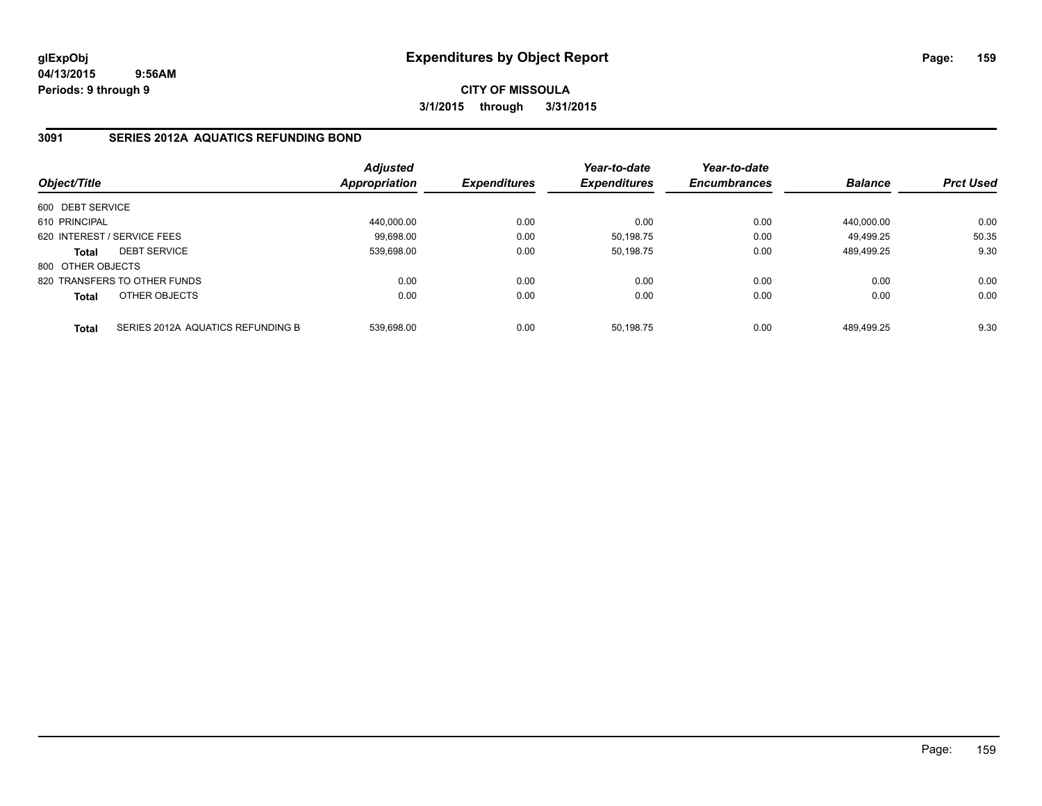**CITY OF MISSOULA 3/1/2015 through 3/31/2015**

#### **3091 SERIES 2012A AQUATICS REFUNDING BOND**

| Object/Title      |                                   | <b>Adjusted</b><br><b>Appropriation</b> | <b>Expenditures</b> | Year-to-date<br><b>Expenditures</b> | Year-to-date<br><b>Encumbrances</b> | <b>Balance</b> | <b>Prct Used</b> |
|-------------------|-----------------------------------|-----------------------------------------|---------------------|-------------------------------------|-------------------------------------|----------------|------------------|
| 600 DEBT SERVICE  |                                   |                                         |                     |                                     |                                     |                |                  |
| 610 PRINCIPAL     |                                   | 440.000.00                              | 0.00                | 0.00                                | 0.00                                | 440.000.00     | 0.00             |
|                   | 620 INTEREST / SERVICE FEES       | 99.698.00                               | 0.00                | 50,198.75                           | 0.00                                | 49.499.25      | 50.35            |
| <b>Total</b>      | <b>DEBT SERVICE</b>               | 539.698.00                              | 0.00                | 50.198.75                           | 0.00                                | 489.499.25     | 9.30             |
| 800 OTHER OBJECTS |                                   |                                         |                     |                                     |                                     |                |                  |
|                   | 820 TRANSFERS TO OTHER FUNDS      | 0.00                                    | 0.00                | 0.00                                | 0.00                                | 0.00           | 0.00             |
| <b>Total</b>      | OTHER OBJECTS                     | 0.00                                    | 0.00                | 0.00                                | 0.00                                | 0.00           | 0.00             |
| <b>Total</b>      | SERIES 2012A AQUATICS REFUNDING B | 539.698.00                              | 0.00                | 50.198.75                           | 0.00                                | 489.499.25     | 9.30             |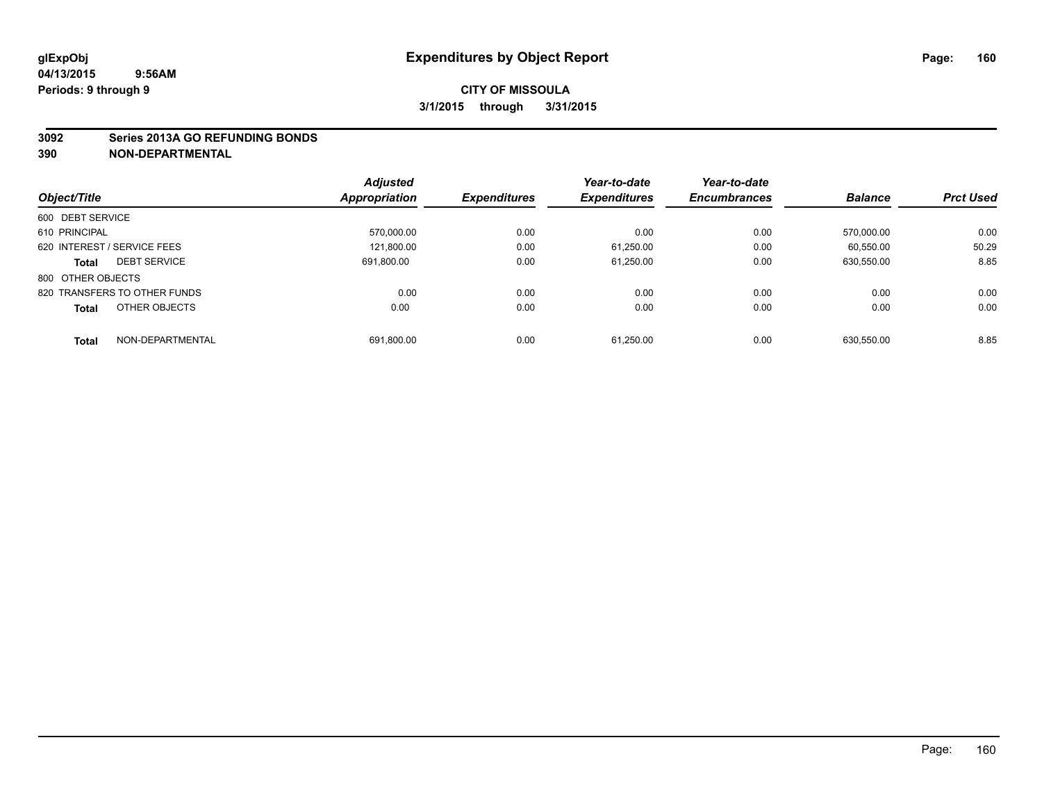#### **3092 Series 2013A GO REFUNDING BONDS**

|                                     | <b>Adjusted</b> | <b>Expenditures</b> | Year-to-date<br><b>Expenditures</b> | Year-to-date        | <b>Balance</b> | <b>Prct Used</b> |
|-------------------------------------|-----------------|---------------------|-------------------------------------|---------------------|----------------|------------------|
| Object/Title                        | Appropriation   |                     |                                     | <b>Encumbrances</b> |                |                  |
| 600 DEBT SERVICE                    |                 |                     |                                     |                     |                |                  |
| 610 PRINCIPAL                       | 570.000.00      | 0.00                | 0.00                                | 0.00                | 570.000.00     | 0.00             |
| 620 INTEREST / SERVICE FEES         | 121.800.00      | 0.00                | 61.250.00                           | 0.00                | 60.550.00      | 50.29            |
| <b>DEBT SERVICE</b><br><b>Total</b> | 691,800.00      | 0.00                | 61,250.00                           | 0.00                | 630.550.00     | 8.85             |
| 800 OTHER OBJECTS                   |                 |                     |                                     |                     |                |                  |
| 820 TRANSFERS TO OTHER FUNDS        | 0.00            | 0.00                | 0.00                                | 0.00                | 0.00           | 0.00             |
| OTHER OBJECTS<br><b>Total</b>       | 0.00            | 0.00                | 0.00                                | 0.00                | 0.00           | 0.00             |
| NON-DEPARTMENTAL<br><b>Total</b>    | 691,800.00      | 0.00                | 61.250.00                           | 0.00                | 630.550.00     | 8.85             |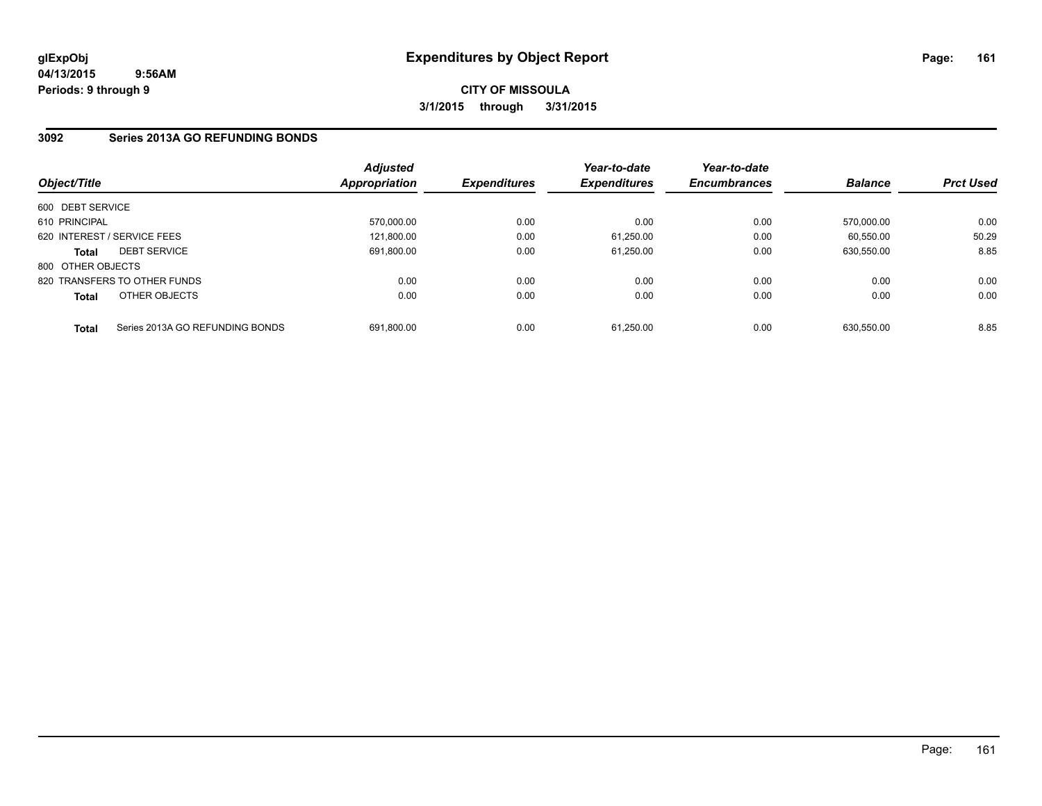#### **CITY OF MISSOULA 3/1/2015 through 3/31/2015**

### **3092 Series 2013A GO REFUNDING BONDS**

| Object/Title      |                                 | <b>Adjusted</b><br>Appropriation | <b>Expenditures</b> | Year-to-date<br><b>Expenditures</b> | Year-to-date<br><b>Encumbrances</b> | <b>Balance</b> | <b>Prct Used</b> |
|-------------------|---------------------------------|----------------------------------|---------------------|-------------------------------------|-------------------------------------|----------------|------------------|
| 600 DEBT SERVICE  |                                 |                                  |                     |                                     |                                     |                |                  |
| 610 PRINCIPAL     |                                 | 570,000.00                       | 0.00                | 0.00                                | 0.00                                | 570.000.00     | 0.00             |
|                   | 620 INTEREST / SERVICE FEES     | 121,800.00                       | 0.00                | 61,250.00                           | 0.00                                | 60.550.00      | 50.29            |
| <b>Total</b>      | <b>DEBT SERVICE</b>             | 691.800.00                       | 0.00                | 61.250.00                           | 0.00                                | 630.550.00     | 8.85             |
| 800 OTHER OBJECTS |                                 |                                  |                     |                                     |                                     |                |                  |
|                   | 820 TRANSFERS TO OTHER FUNDS    | 0.00                             | 0.00                | 0.00                                | 0.00                                | 0.00           | 0.00             |
| <b>Total</b>      | OTHER OBJECTS                   | 0.00                             | 0.00                | 0.00                                | 0.00                                | 0.00           | 0.00             |
| <b>Total</b>      | Series 2013A GO REFUNDING BONDS | 691.800.00                       | 0.00                | 61.250.00                           | 0.00                                | 630.550.00     | 8.85             |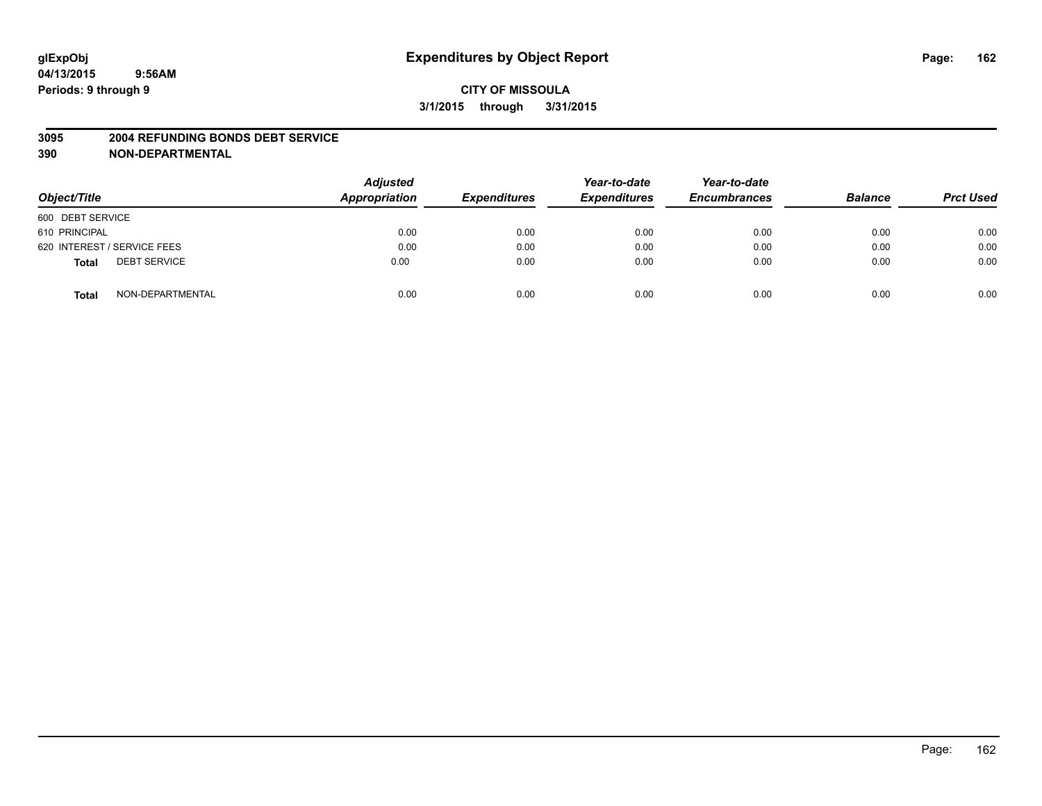#### **3095 2004 REFUNDING BONDS DEBT SERVICE**

| Object/Title                        | <b>Adjusted</b><br>Appropriation | <b>Expenditures</b> | Year-to-date<br><b>Expenditures</b> | Year-to-date<br><b>Encumbrances</b> | <b>Balance</b> | <b>Prct Used</b> |
|-------------------------------------|----------------------------------|---------------------|-------------------------------------|-------------------------------------|----------------|------------------|
| 600 DEBT SERVICE                    |                                  |                     |                                     |                                     |                |                  |
| 610 PRINCIPAL                       | 0.00                             | 0.00                | 0.00                                | 0.00                                | 0.00           | 0.00             |
| 620 INTEREST / SERVICE FEES         | 0.00                             | 0.00                | 0.00                                | 0.00                                | 0.00           | 0.00             |
| <b>DEBT SERVICE</b><br><b>Total</b> | 0.00                             | 0.00                | 0.00                                | 0.00                                | 0.00           | 0.00             |
| NON-DEPARTMENTAL<br><b>Total</b>    | 0.00                             | 0.00                | 0.00                                | 0.00                                | 0.00           | 0.00             |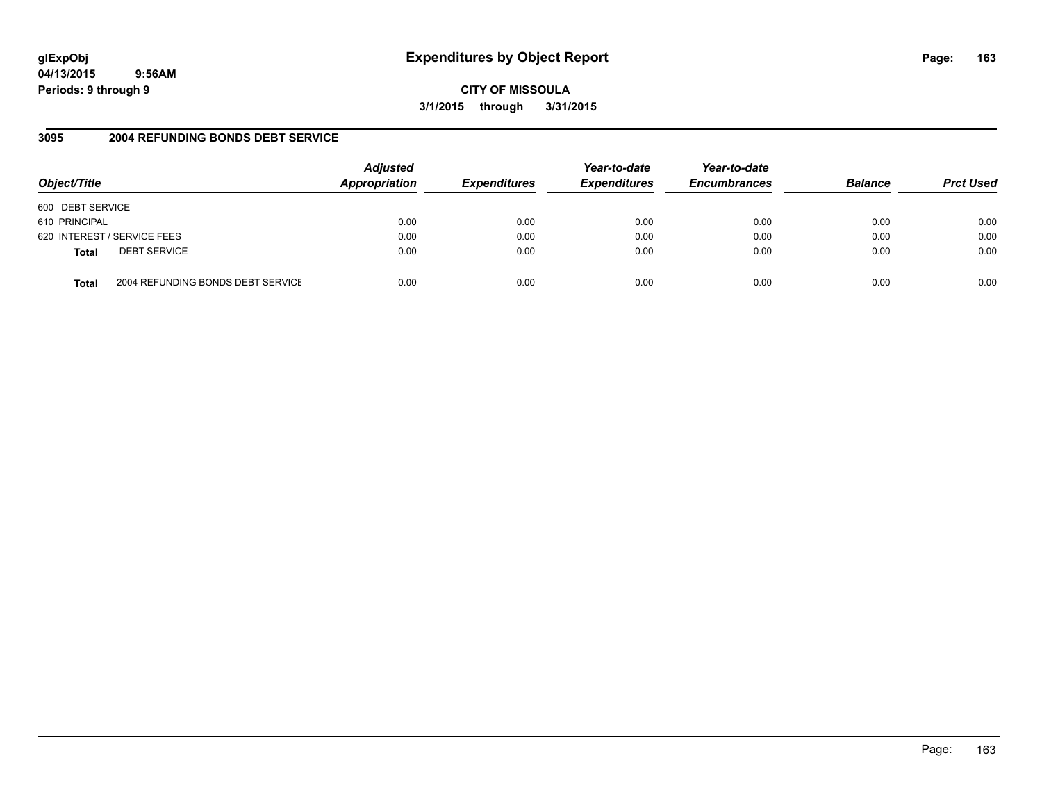# **glExpObj Expenditures by Object Report Page: 163**

**04/13/2015 9:56AM Periods: 9 through 9**

**3/1/2015 through 3/31/2015**

## **3095 2004 REFUNDING BONDS DEBT SERVICE**

| Object/Title     |                                   | <b>Adjusted</b><br>Appropriation | <b>Expenditures</b> | Year-to-date<br><b>Expenditures</b> | Year-to-date<br><b>Encumbrances</b> | <b>Balance</b> | <b>Prct Used</b> |
|------------------|-----------------------------------|----------------------------------|---------------------|-------------------------------------|-------------------------------------|----------------|------------------|
| 600 DEBT SERVICE |                                   |                                  |                     |                                     |                                     |                |                  |
| 610 PRINCIPAL    |                                   | 0.00                             | 0.00                | 0.00                                | 0.00                                | 0.00           | 0.00             |
|                  | 620 INTEREST / SERVICE FEES       | 0.00                             | 0.00                | 0.00                                | 0.00                                | 0.00           | 0.00             |
| <b>Total</b>     | <b>DEBT SERVICE</b>               | 0.00                             | 0.00                | 0.00                                | 0.00                                | 0.00           | 0.00             |
| Total            | 2004 REFUNDING BONDS DEBT SERVICE | 0.00                             | 0.00                | 0.00                                | 0.00                                | 0.00           | 0.00             |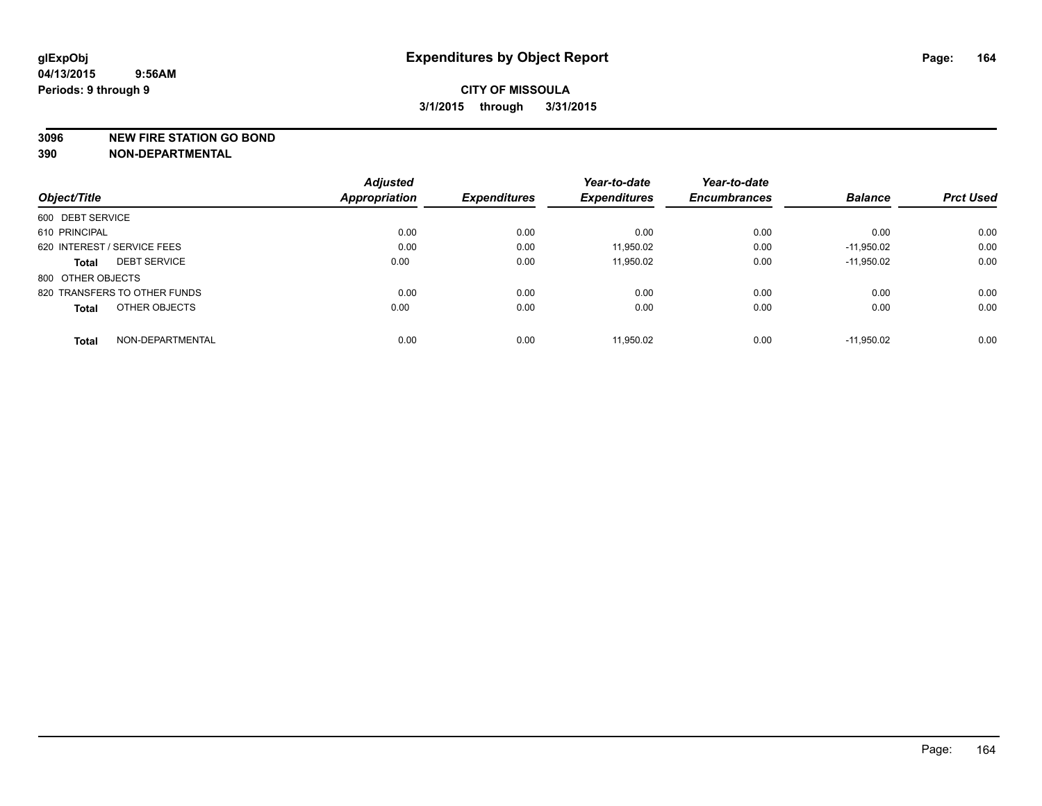#### **3096 NEW FIRE STATION GO BOND**

|                                     | <b>Adjusted</b>      |                     | Year-to-date        | Year-to-date        |                |                  |
|-------------------------------------|----------------------|---------------------|---------------------|---------------------|----------------|------------------|
| Object/Title                        | <b>Appropriation</b> | <b>Expenditures</b> | <b>Expenditures</b> | <b>Encumbrances</b> | <b>Balance</b> | <b>Prct Used</b> |
| 600 DEBT SERVICE                    |                      |                     |                     |                     |                |                  |
| 610 PRINCIPAL                       | 0.00                 | 0.00                | 0.00                | 0.00                | 0.00           | 0.00             |
| 620 INTEREST / SERVICE FEES         | 0.00                 | 0.00                | 11,950.02           | 0.00                | $-11.950.02$   | 0.00             |
| <b>DEBT SERVICE</b><br><b>Total</b> | 0.00                 | 0.00                | 11,950.02           | 0.00                | $-11,950.02$   | 0.00             |
| 800 OTHER OBJECTS                   |                      |                     |                     |                     |                |                  |
| 820 TRANSFERS TO OTHER FUNDS        | 0.00                 | 0.00                | 0.00                | 0.00                | 0.00           | 0.00             |
| OTHER OBJECTS<br><b>Total</b>       | 0.00                 | 0.00                | 0.00                | 0.00                | 0.00           | 0.00             |
| NON-DEPARTMENTAL<br><b>Total</b>    | 0.00                 | 0.00                | 11.950.02           | 0.00                | $-11.950.02$   | 0.00             |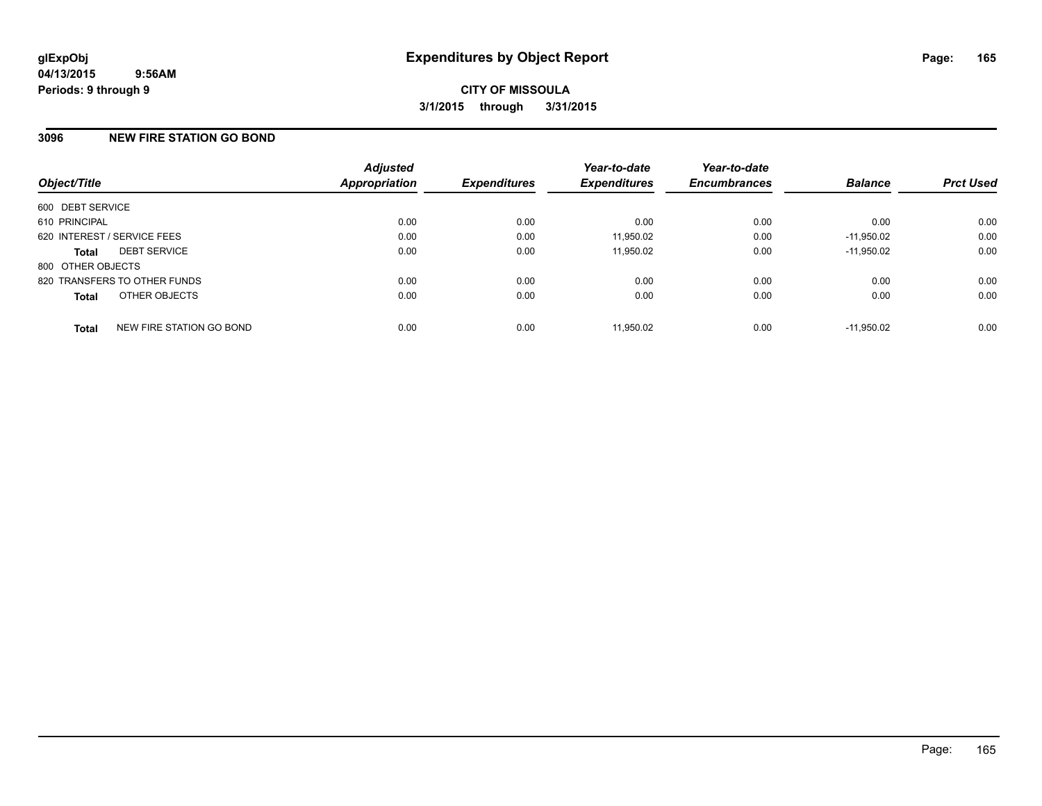### **3096 NEW FIRE STATION GO BOND**

| Object/Title                             | <b>Adjusted</b><br><b>Appropriation</b> | <b>Expenditures</b> | Year-to-date<br><b>Expenditures</b> | Year-to-date<br><b>Encumbrances</b> | <b>Balance</b> | <b>Prct Used</b> |
|------------------------------------------|-----------------------------------------|---------------------|-------------------------------------|-------------------------------------|----------------|------------------|
| 600 DEBT SERVICE                         |                                         |                     |                                     |                                     |                |                  |
| 610 PRINCIPAL                            | 0.00                                    | 0.00                | 0.00                                | 0.00                                | 0.00           | 0.00             |
| 620 INTEREST / SERVICE FEES              | 0.00                                    | 0.00                | 11,950.02                           | 0.00                                | $-11.950.02$   | 0.00             |
| <b>DEBT SERVICE</b><br><b>Total</b>      | 0.00                                    | 0.00                | 11,950.02                           | 0.00                                | $-11.950.02$   | 0.00             |
| 800 OTHER OBJECTS                        |                                         |                     |                                     |                                     |                |                  |
| 820 TRANSFERS TO OTHER FUNDS             | 0.00                                    | 0.00                | 0.00                                | 0.00                                | 0.00           | 0.00             |
| OTHER OBJECTS<br><b>Total</b>            | 0.00                                    | 0.00                | 0.00                                | 0.00                                | 0.00           | 0.00             |
| NEW FIRE STATION GO BOND<br><b>Total</b> | 0.00                                    | 0.00                | 11.950.02                           | 0.00                                | $-11.950.02$   | 0.00             |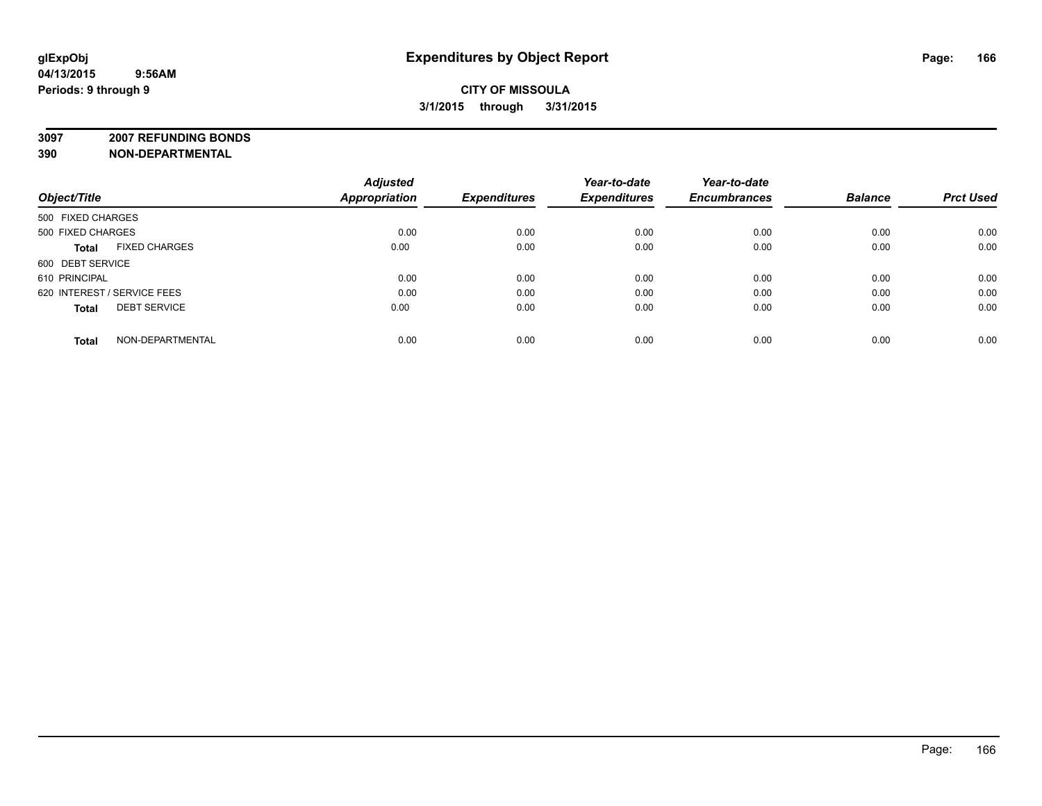**3097 2007 REFUNDING BONDS**

| Object/Title                         | <b>Adjusted</b><br><b>Appropriation</b> | <b>Expenditures</b> | Year-to-date<br><b>Expenditures</b> | Year-to-date<br><b>Encumbrances</b> | <b>Balance</b> | <b>Prct Used</b> |
|--------------------------------------|-----------------------------------------|---------------------|-------------------------------------|-------------------------------------|----------------|------------------|
| 500 FIXED CHARGES                    |                                         |                     |                                     |                                     |                |                  |
| 500 FIXED CHARGES                    | 0.00                                    | 0.00                | 0.00                                | 0.00                                | 0.00           | 0.00             |
| <b>FIXED CHARGES</b><br><b>Total</b> | 0.00                                    | 0.00                | 0.00                                | 0.00                                | 0.00           | 0.00             |
| 600 DEBT SERVICE                     |                                         |                     |                                     |                                     |                |                  |
| 610 PRINCIPAL                        | 0.00                                    | 0.00                | 0.00                                | 0.00                                | 0.00           | 0.00             |
| 620 INTEREST / SERVICE FEES          | 0.00                                    | 0.00                | 0.00                                | 0.00                                | 0.00           | 0.00             |
| <b>DEBT SERVICE</b><br><b>Total</b>  | 0.00                                    | 0.00                | 0.00                                | 0.00                                | 0.00           | 0.00             |
| NON-DEPARTMENTAL<br><b>Total</b>     | 0.00                                    | 0.00                | 0.00                                | 0.00                                | 0.00           | 0.00             |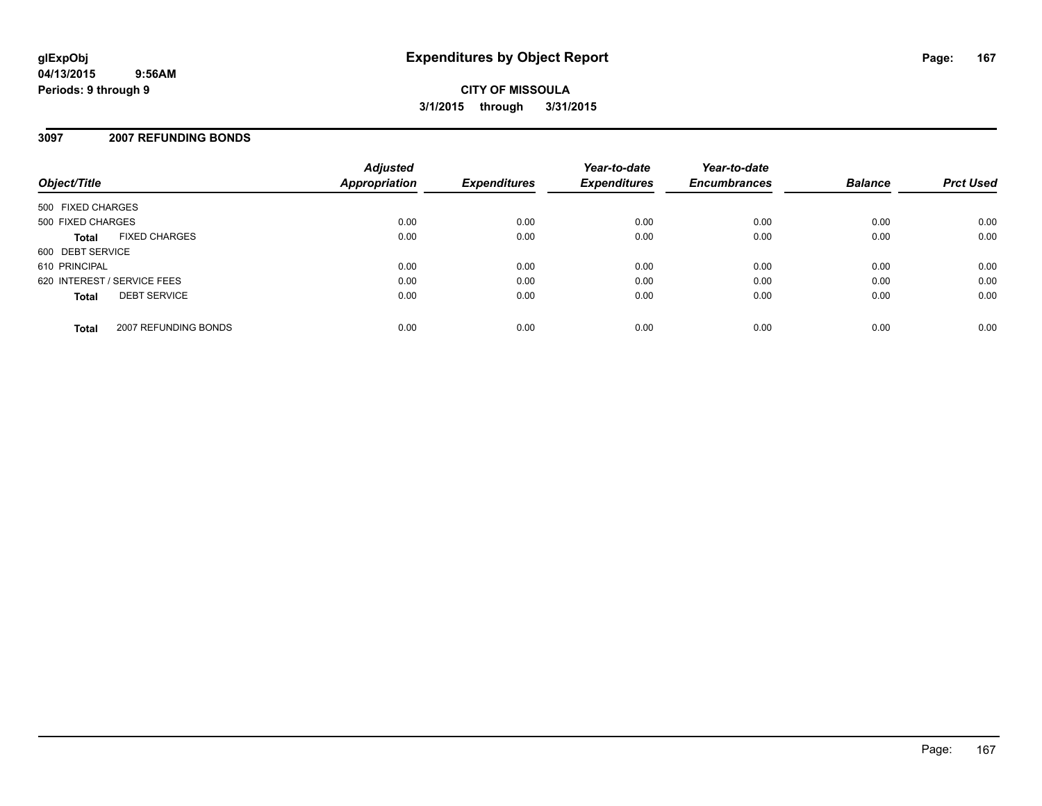**CITY OF MISSOULA 3/1/2015 through 3/31/2015**

#### **3097 2007 REFUNDING BONDS**

| Object/Title                |                      | <b>Adjusted</b><br>Appropriation | <b>Expenditures</b> | Year-to-date<br><b>Expenditures</b> | Year-to-date<br><b>Encumbrances</b> | <b>Balance</b> | <b>Prct Used</b> |
|-----------------------------|----------------------|----------------------------------|---------------------|-------------------------------------|-------------------------------------|----------------|------------------|
| 500 FIXED CHARGES           |                      |                                  |                     |                                     |                                     |                |                  |
| 500 FIXED CHARGES           |                      | 0.00                             | 0.00                | 0.00                                | 0.00                                | 0.00           | 0.00             |
| <b>Total</b>                | <b>FIXED CHARGES</b> | 0.00                             | 0.00                | 0.00                                | 0.00                                | 0.00           | 0.00             |
| 600 DEBT SERVICE            |                      |                                  |                     |                                     |                                     |                |                  |
| 610 PRINCIPAL               |                      | 0.00                             | 0.00                | 0.00                                | 0.00                                | 0.00           | 0.00             |
| 620 INTEREST / SERVICE FEES |                      | 0.00                             | 0.00                | 0.00                                | 0.00                                | 0.00           | 0.00             |
| <b>Total</b>                | <b>DEBT SERVICE</b>  | 0.00                             | 0.00                | 0.00                                | 0.00                                | 0.00           | 0.00             |
| <b>Total</b>                | 2007 REFUNDING BONDS | 0.00                             | 0.00                | 0.00                                | 0.00                                | 0.00           | 0.00             |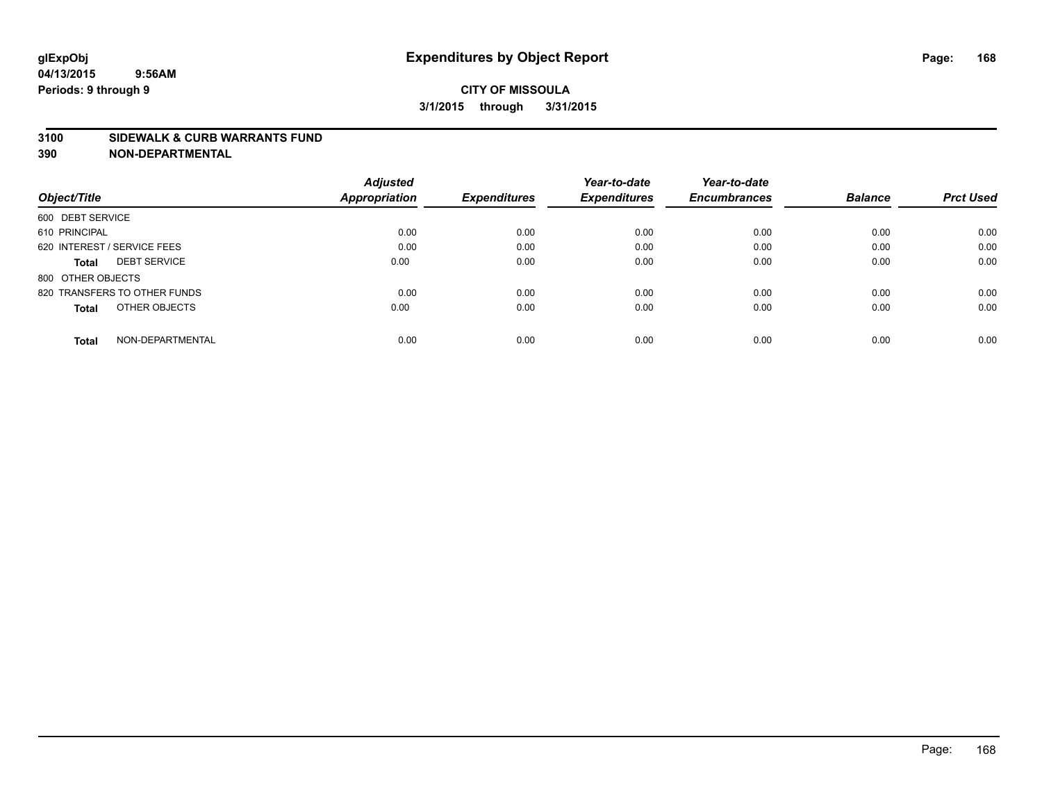#### **3100 SIDEWALK & CURB WARRANTS FUND**

| Object/Title                        | <b>Adjusted</b><br><b>Appropriation</b> | <b>Expenditures</b> | Year-to-date<br><b>Expenditures</b> | Year-to-date<br><b>Encumbrances</b> | <b>Balance</b> | <b>Prct Used</b> |
|-------------------------------------|-----------------------------------------|---------------------|-------------------------------------|-------------------------------------|----------------|------------------|
|                                     |                                         |                     |                                     |                                     |                |                  |
| 600 DEBT SERVICE                    |                                         |                     |                                     |                                     |                |                  |
| 610 PRINCIPAL                       | 0.00                                    | 0.00                | 0.00                                | 0.00                                | 0.00           | 0.00             |
| 620 INTEREST / SERVICE FEES         | 0.00                                    | 0.00                | 0.00                                | 0.00                                | 0.00           | 0.00             |
| <b>DEBT SERVICE</b><br><b>Total</b> | 0.00                                    | 0.00                | 0.00                                | 0.00                                | 0.00           | 0.00             |
| 800 OTHER OBJECTS                   |                                         |                     |                                     |                                     |                |                  |
| 820 TRANSFERS TO OTHER FUNDS        | 0.00                                    | 0.00                | 0.00                                | 0.00                                | 0.00           | 0.00             |
| OTHER OBJECTS<br><b>Total</b>       | 0.00                                    | 0.00                | 0.00                                | 0.00                                | 0.00           | 0.00             |
| NON-DEPARTMENTAL<br><b>Total</b>    | 0.00                                    | 0.00                | 0.00                                | 0.00                                | 0.00           | 0.00             |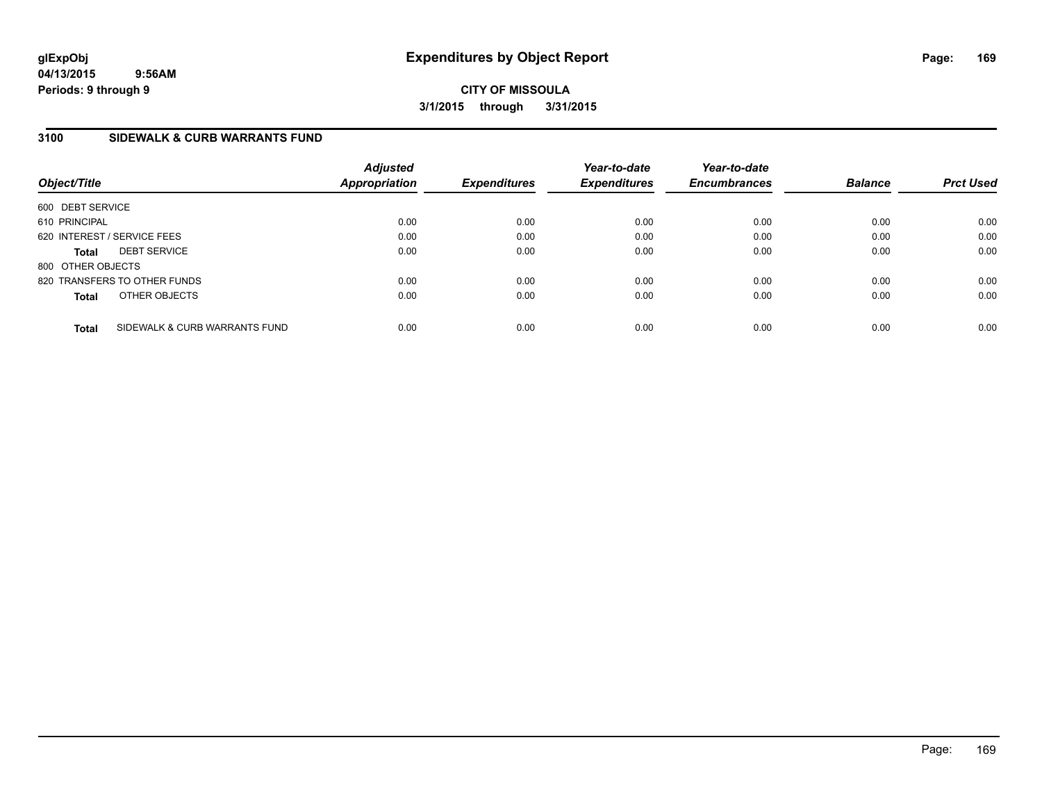**CITY OF MISSOULA 3/1/2015 through 3/31/2015**

#### **3100 SIDEWALK & CURB WARRANTS FUND**

| Object/Title      |                               | <b>Adjusted</b><br>Appropriation | <b>Expenditures</b> | Year-to-date<br><b>Expenditures</b> | Year-to-date<br><b>Encumbrances</b> | <b>Balance</b> | <b>Prct Used</b> |
|-------------------|-------------------------------|----------------------------------|---------------------|-------------------------------------|-------------------------------------|----------------|------------------|
| 600 DEBT SERVICE  |                               |                                  |                     |                                     |                                     |                |                  |
| 610 PRINCIPAL     |                               | 0.00                             | 0.00                | 0.00                                | 0.00                                | 0.00           | 0.00             |
|                   | 620 INTEREST / SERVICE FEES   | 0.00                             | 0.00                | 0.00                                | 0.00                                | 0.00           | 0.00             |
| <b>Total</b>      | <b>DEBT SERVICE</b>           | 0.00                             | 0.00                | 0.00                                | 0.00                                | 0.00           | 0.00             |
| 800 OTHER OBJECTS |                               |                                  |                     |                                     |                                     |                |                  |
|                   | 820 TRANSFERS TO OTHER FUNDS  | 0.00                             | 0.00                | 0.00                                | 0.00                                | 0.00           | 0.00             |
| <b>Total</b>      | OTHER OBJECTS                 | 0.00                             | 0.00                | 0.00                                | 0.00                                | 0.00           | 0.00             |
| <b>Total</b>      | SIDEWALK & CURB WARRANTS FUND | 0.00                             | 0.00                | 0.00                                | 0.00                                | 0.00           | 0.00             |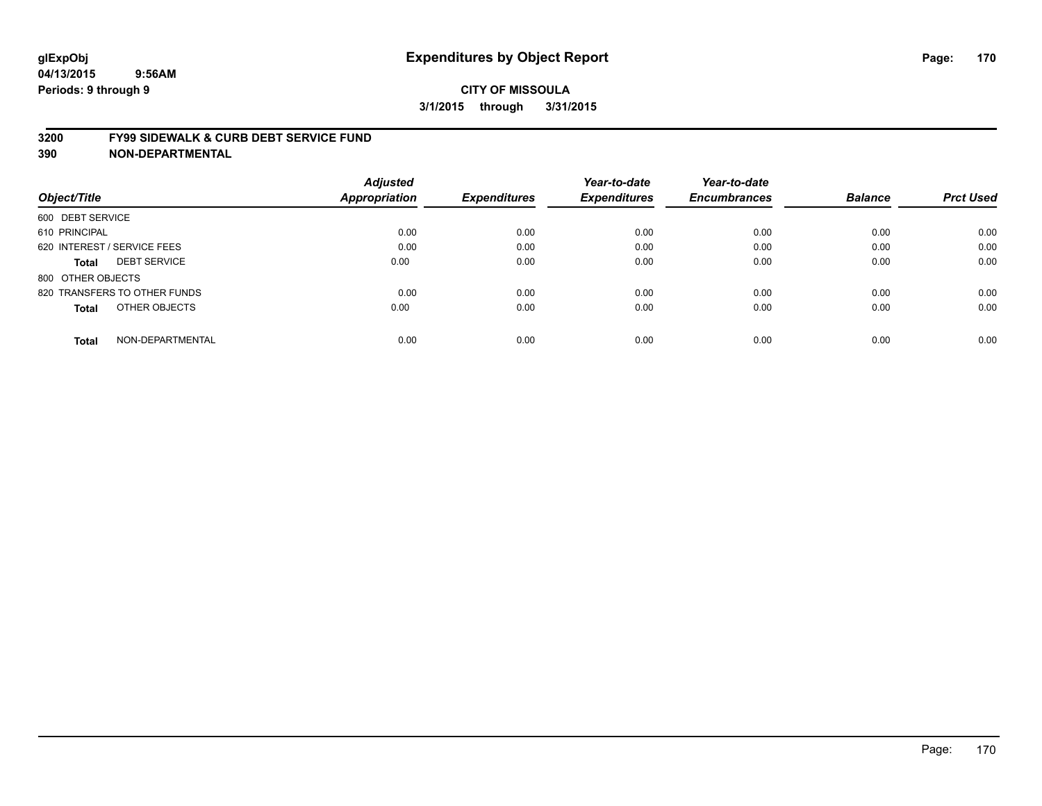#### **3200 FY99 SIDEWALK & CURB DEBT SERVICE FUND**

| Object/Title                        | <b>Adjusted</b><br><b>Appropriation</b> | <b>Expenditures</b> | Year-to-date<br><b>Expenditures</b> | Year-to-date<br><b>Encumbrances</b> | <b>Balance</b> | <b>Prct Used</b> |
|-------------------------------------|-----------------------------------------|---------------------|-------------------------------------|-------------------------------------|----------------|------------------|
|                                     |                                         |                     |                                     |                                     |                |                  |
| 600 DEBT SERVICE                    |                                         |                     |                                     |                                     |                |                  |
| 610 PRINCIPAL                       | 0.00                                    | 0.00                | 0.00                                | 0.00                                | 0.00           | 0.00             |
| 620 INTEREST / SERVICE FEES         | 0.00                                    | 0.00                | 0.00                                | 0.00                                | 0.00           | 0.00             |
| <b>DEBT SERVICE</b><br><b>Total</b> | 0.00                                    | 0.00                | 0.00                                | 0.00                                | 0.00           | 0.00             |
| 800 OTHER OBJECTS                   |                                         |                     |                                     |                                     |                |                  |
| 820 TRANSFERS TO OTHER FUNDS        | 0.00                                    | 0.00                | 0.00                                | 0.00                                | 0.00           | 0.00             |
| OTHER OBJECTS<br><b>Total</b>       | 0.00                                    | 0.00                | 0.00                                | 0.00                                | 0.00           | 0.00             |
| NON-DEPARTMENTAL<br><b>Total</b>    | 0.00                                    | 0.00                | 0.00                                | 0.00                                | 0.00           | 0.00             |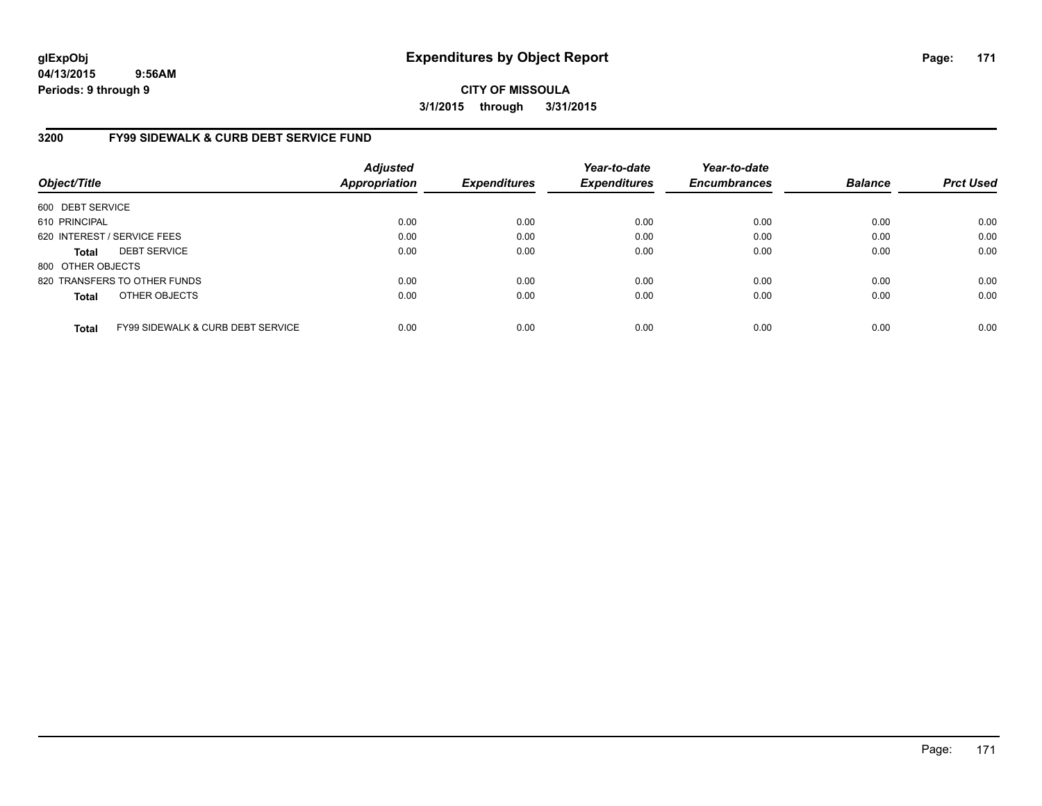**CITY OF MISSOULA 3/1/2015 through 3/31/2015**

#### **3200 FY99 SIDEWALK & CURB DEBT SERVICE FUND**

| Object/Title      |                                              | <b>Adjusted</b><br>Appropriation | <b>Expenditures</b> | Year-to-date<br><b>Expenditures</b> | Year-to-date<br><b>Encumbrances</b> | <b>Balance</b> | <b>Prct Used</b> |
|-------------------|----------------------------------------------|----------------------------------|---------------------|-------------------------------------|-------------------------------------|----------------|------------------|
| 600 DEBT SERVICE  |                                              |                                  |                     |                                     |                                     |                |                  |
| 610 PRINCIPAL     |                                              | 0.00                             | 0.00                | 0.00                                | 0.00                                | 0.00           | 0.00             |
|                   | 620 INTEREST / SERVICE FEES                  | 0.00                             | 0.00                | 0.00                                | 0.00                                | 0.00           | 0.00             |
| <b>Total</b>      | <b>DEBT SERVICE</b>                          | 0.00                             | 0.00                | 0.00                                | 0.00                                | 0.00           | 0.00             |
| 800 OTHER OBJECTS |                                              |                                  |                     |                                     |                                     |                |                  |
|                   | 820 TRANSFERS TO OTHER FUNDS                 | 0.00                             | 0.00                | 0.00                                | 0.00                                | 0.00           | 0.00             |
| <b>Total</b>      | OTHER OBJECTS                                | 0.00                             | 0.00                | 0.00                                | 0.00                                | 0.00           | 0.00             |
| <b>Total</b>      | <b>FY99 SIDEWALK &amp; CURB DEBT SERVICE</b> | 0.00                             | 0.00                | 0.00                                | 0.00                                | 0.00           | 0.00             |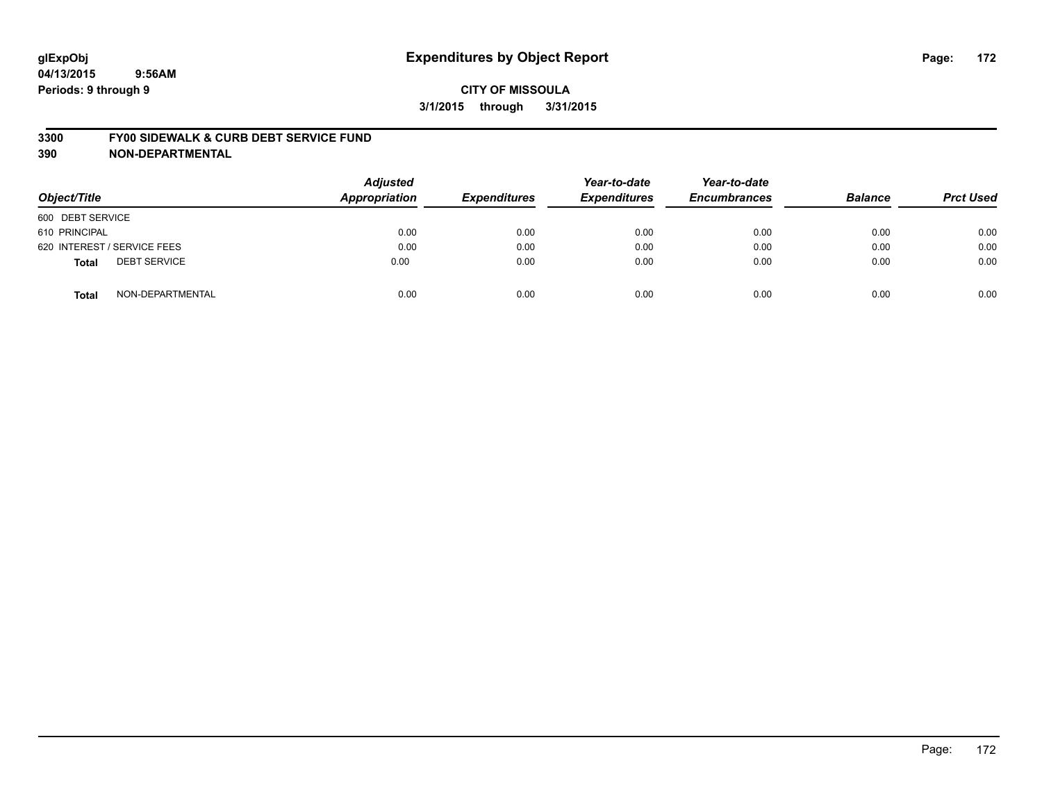#### **3300 FY00 SIDEWALK & CURB DEBT SERVICE FUND**

| Object/Title                        | <b>Adjusted</b><br><b>Appropriation</b> | <b>Expenditures</b> | Year-to-date<br><b>Expenditures</b> | Year-to-date<br><b>Encumbrances</b> | <b>Balance</b> | <b>Prct Used</b> |
|-------------------------------------|-----------------------------------------|---------------------|-------------------------------------|-------------------------------------|----------------|------------------|
| 600 DEBT SERVICE                    |                                         |                     |                                     |                                     |                |                  |
| 610 PRINCIPAL                       | 0.00                                    | 0.00                | 0.00                                | 0.00                                | 0.00           | 0.00             |
| 620 INTEREST / SERVICE FEES         | 0.00                                    | 0.00                | 0.00                                | 0.00                                | 0.00           | 0.00             |
| <b>DEBT SERVICE</b><br><b>Total</b> | 0.00                                    | 0.00                | 0.00                                | 0.00                                | 0.00           | 0.00             |
| NON-DEPARTMENTAL<br><b>Total</b>    | 0.00                                    | 0.00                | 0.00                                | 0.00                                | 0.00           | 0.00             |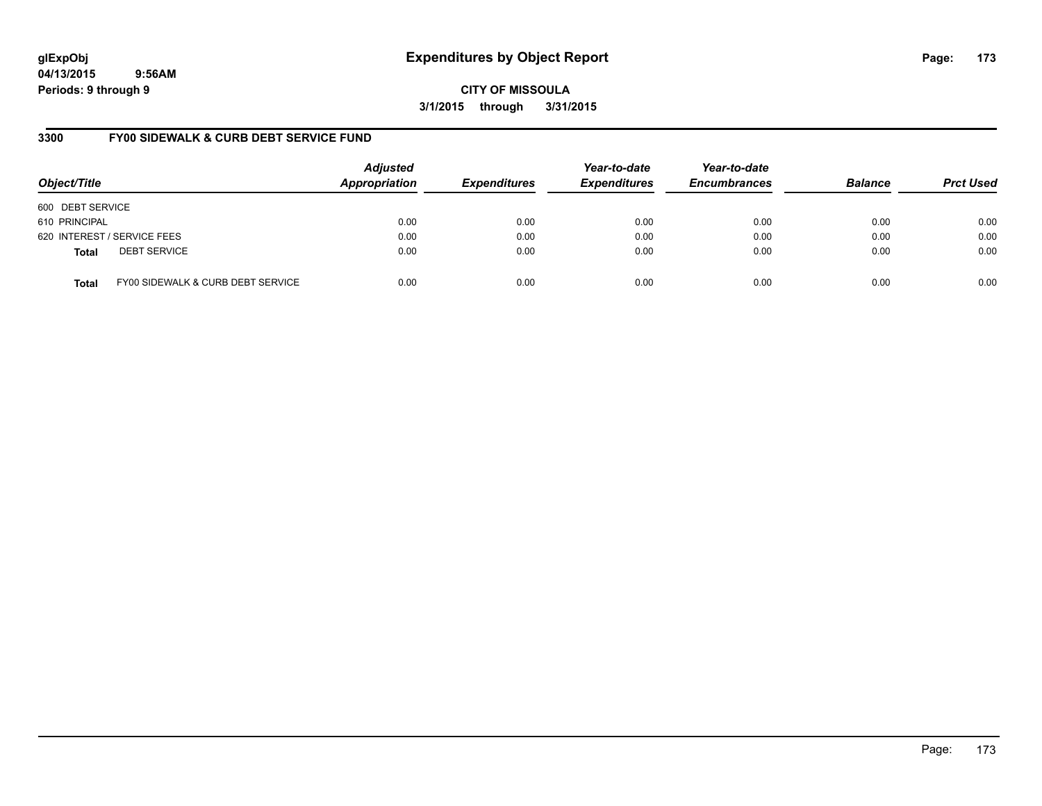# **glExpObj Expenditures by Object Report Page: 173**

**04/13/2015 9:56AM Periods: 9 through 9**

**CITY OF MISSOULA 3/1/2015 through 3/31/2015**

#### **3300 FY00 SIDEWALK & CURB DEBT SERVICE FUND**

| Object/Title     |                                   | <b>Adjusted</b><br>Appropriation | <b>Expenditures</b> | Year-to-date<br><b>Expenditures</b> | Year-to-date<br><b>Encumbrances</b> | <b>Balance</b> | <b>Prct Used</b> |
|------------------|-----------------------------------|----------------------------------|---------------------|-------------------------------------|-------------------------------------|----------------|------------------|
| 600 DEBT SERVICE |                                   |                                  |                     |                                     |                                     |                |                  |
| 610 PRINCIPAL    |                                   | 0.00                             | 0.00                | 0.00                                | 0.00                                | 0.00           | 0.00             |
|                  | 620 INTEREST / SERVICE FEES       | 0.00                             | 0.00                | 0.00                                | 0.00                                | 0.00           | 0.00             |
| <b>Total</b>     | <b>DEBT SERVICE</b>               | 0.00                             | 0.00                | 0.00                                | 0.00                                | 0.00           | 0.00             |
| <b>Total</b>     | FY00 SIDEWALK & CURB DEBT SERVICE | 0.00                             | 0.00                | 0.00                                | 0.00                                | 0.00           | 0.00             |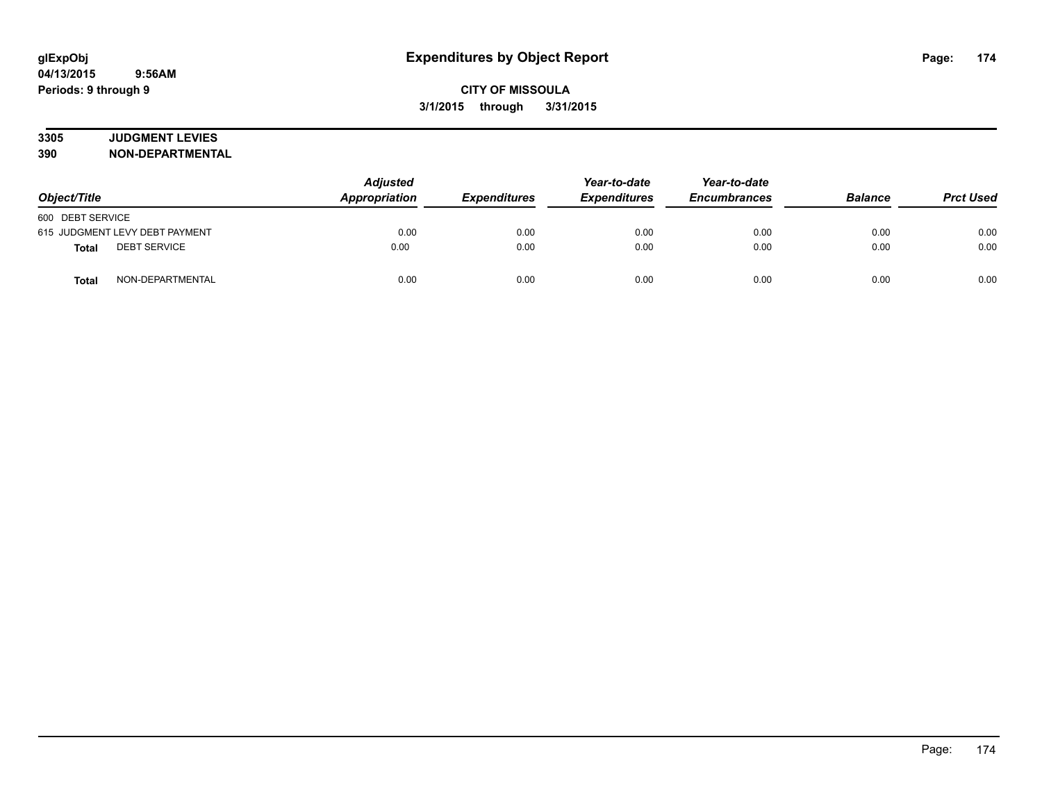# **3305 JUDGMENT LEVIES**

| Object/Title                        | <b>Adjusted</b><br>Appropriation<br><b>Expenditures</b> |      | Year-to-date<br><b>Expenditures</b> | Year-to-date<br><b>Encumbrances</b> | <b>Balance</b> | <b>Prct Used</b> |
|-------------------------------------|---------------------------------------------------------|------|-------------------------------------|-------------------------------------|----------------|------------------|
| 600 DEBT SERVICE                    |                                                         |      |                                     |                                     |                |                  |
| 615 JUDGMENT LEVY DEBT PAYMENT      | 0.00                                                    | 0.00 | 0.00                                | 0.00                                | 0.00           | 0.00             |
| <b>DEBT SERVICE</b><br><b>Total</b> | 0.00                                                    | 0.00 | 0.00                                | 0.00                                | 0.00           | 0.00             |
| NON-DEPARTMENTAL<br><b>Total</b>    | 0.00                                                    | 0.00 | 0.00                                | 0.00                                | 0.00           | 0.00             |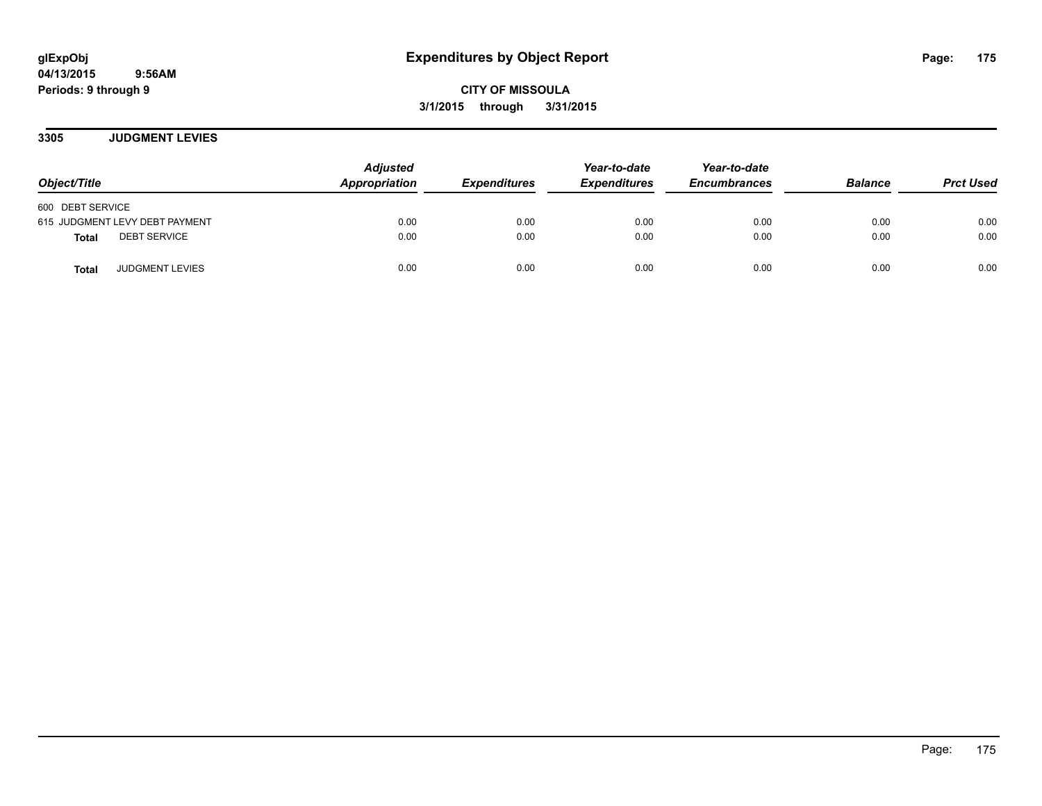**CITY OF MISSOULA 3/1/2015 through 3/31/2015**

**3305 JUDGMENT LEVIES**

| Object/Title                           | <b>Adjusted</b><br>Appropriation | <b>Expenditures</b> | Year-to-date<br><b>Expenditures</b> | Year-to-date<br><b>Encumbrances</b> | <b>Balance</b> | <b>Prct Used</b> |
|----------------------------------------|----------------------------------|---------------------|-------------------------------------|-------------------------------------|----------------|------------------|
| 600 DEBT SERVICE                       |                                  |                     |                                     |                                     |                |                  |
| 615 JUDGMENT LEVY DEBT PAYMENT         | 0.00                             | 0.00                | 0.00                                | 0.00                                | 0.00           | 0.00             |
| <b>DEBT SERVICE</b><br><b>Total</b>    | 0.00                             | 0.00                | 0.00                                | 0.00                                | 0.00           | 0.00             |
| <b>JUDGMENT LEVIES</b><br><b>Total</b> | 0.00                             | 0.00                | 0.00                                | 0.00                                | 0.00           | 0.00             |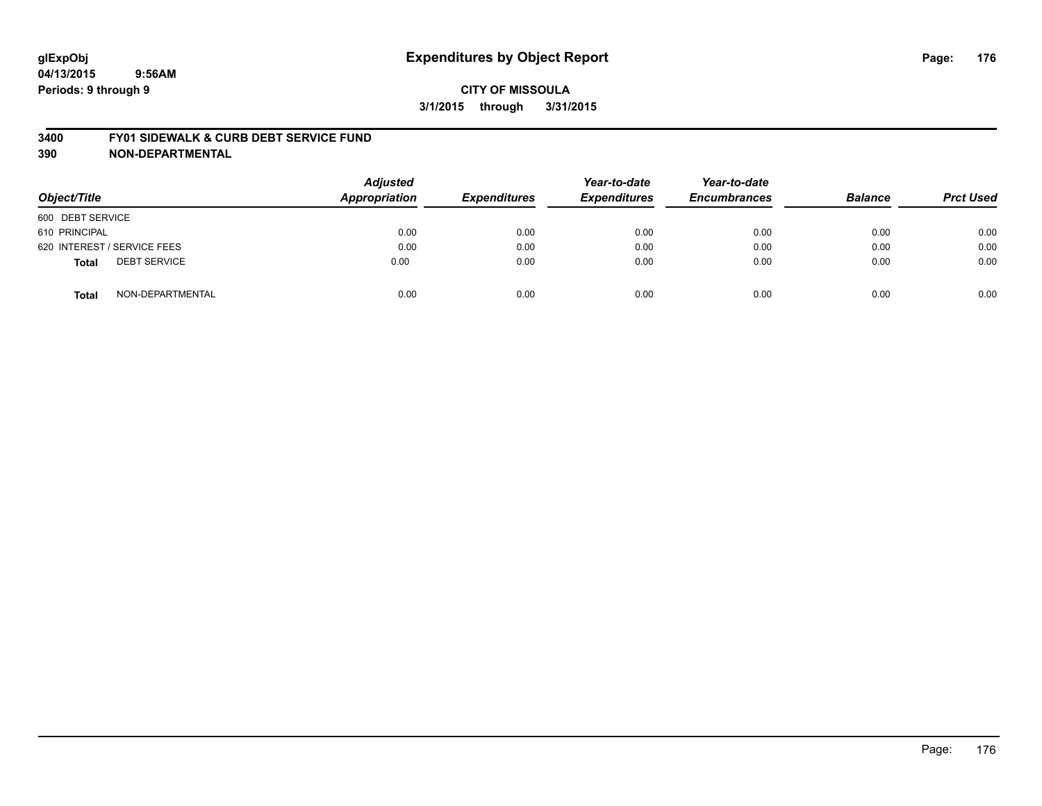#### **3400 FY01 SIDEWALK & CURB DEBT SERVICE FUND**

| Object/Title                        | <b>Adjusted</b><br><b>Appropriation</b> | <b>Expenditures</b> | Year-to-date<br><b>Expenditures</b> | Year-to-date<br><b>Encumbrances</b> | <b>Balance</b> | <b>Prct Used</b> |
|-------------------------------------|-----------------------------------------|---------------------|-------------------------------------|-------------------------------------|----------------|------------------|
| 600 DEBT SERVICE                    |                                         |                     |                                     |                                     |                |                  |
| 610 PRINCIPAL                       | 0.00                                    | 0.00                | 0.00                                | 0.00                                | 0.00           | 0.00             |
| 620 INTEREST / SERVICE FEES         | 0.00                                    | 0.00                | 0.00                                | 0.00                                | 0.00           | 0.00             |
| <b>DEBT SERVICE</b><br><b>Total</b> | 0.00                                    | 0.00                | 0.00                                | 0.00                                | 0.00           | 0.00             |
| NON-DEPARTMENTAL<br><b>Total</b>    | 0.00                                    | 0.00                | 0.00                                | 0.00                                | 0.00           | 0.00             |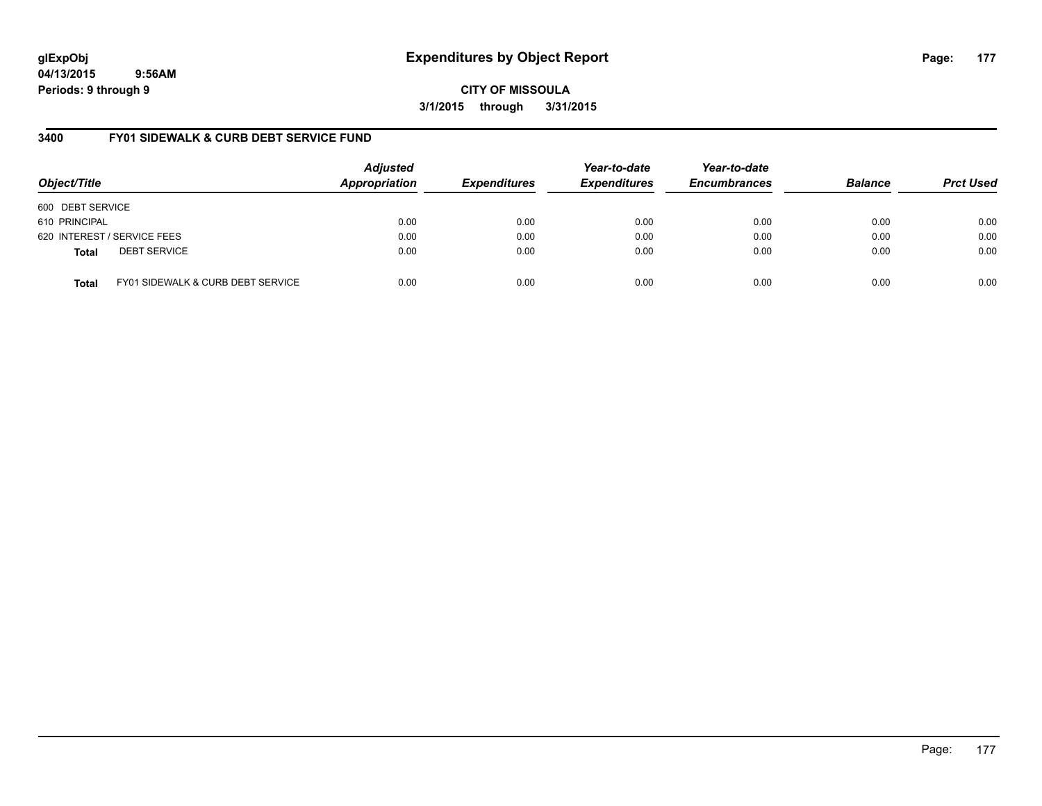# **glExpObj Expenditures by Object Report Page: 177**

**04/13/2015 9:56AM Periods: 9 through 9**

**CITY OF MISSOULA 3/1/2015 through 3/31/2015**

#### **3400 FY01 SIDEWALK & CURB DEBT SERVICE FUND**

| Object/Title     |                                              | <b>Adjusted</b><br>Appropriation | <b>Expenditures</b> | Year-to-date<br><b>Expenditures</b> | Year-to-date<br><b>Encumbrances</b> | <b>Balance</b> | <b>Prct Used</b> |
|------------------|----------------------------------------------|----------------------------------|---------------------|-------------------------------------|-------------------------------------|----------------|------------------|
| 600 DEBT SERVICE |                                              |                                  |                     |                                     |                                     |                |                  |
| 610 PRINCIPAL    |                                              | 0.00                             | 0.00                | 0.00                                | 0.00                                | 0.00           | 0.00             |
|                  | 620 INTEREST / SERVICE FEES                  | 0.00                             | 0.00                | 0.00                                | 0.00                                | 0.00           | 0.00             |
| <b>Total</b>     | <b>DEBT SERVICE</b>                          | 0.00                             | 0.00                | 0.00                                | 0.00                                | 0.00           | 0.00             |
| <b>Total</b>     | <b>FY01 SIDEWALK &amp; CURB DEBT SERVICE</b> | 0.00                             | 0.00                | 0.00                                | 0.00                                | 0.00           | 0.00             |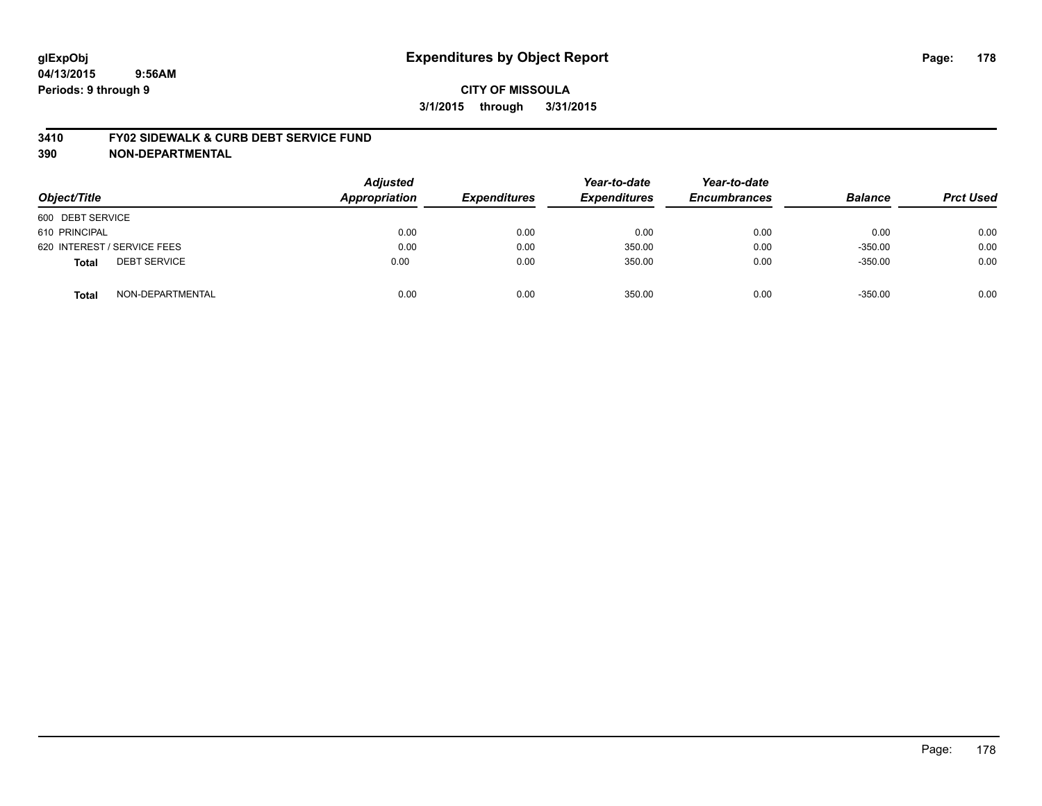#### **3410 FY02 SIDEWALK & CURB DEBT SERVICE FUND**

| Object/Title                        | <b>Adjusted</b><br><b>Appropriation</b> | <b>Expenditures</b> | Year-to-date<br><b>Expenditures</b> | Year-to-date<br><b>Encumbrances</b> | <b>Balance</b> | <b>Prct Used</b> |
|-------------------------------------|-----------------------------------------|---------------------|-------------------------------------|-------------------------------------|----------------|------------------|
| 600 DEBT SERVICE                    |                                         |                     |                                     |                                     |                |                  |
| 610 PRINCIPAL                       | 0.00                                    | 0.00                | 0.00                                | 0.00                                | 0.00           | 0.00             |
| 620 INTEREST / SERVICE FEES         | 0.00                                    | 0.00                | 350.00                              | 0.00                                | $-350.00$      | 0.00             |
| <b>DEBT SERVICE</b><br><b>Total</b> | 0.00                                    | 0.00                | 350.00                              | 0.00                                | $-350.00$      | 0.00             |
| NON-DEPARTMENTAL<br><b>Total</b>    | 0.00                                    | 0.00                | 350.00                              | 0.00                                | $-350.00$      | 0.00             |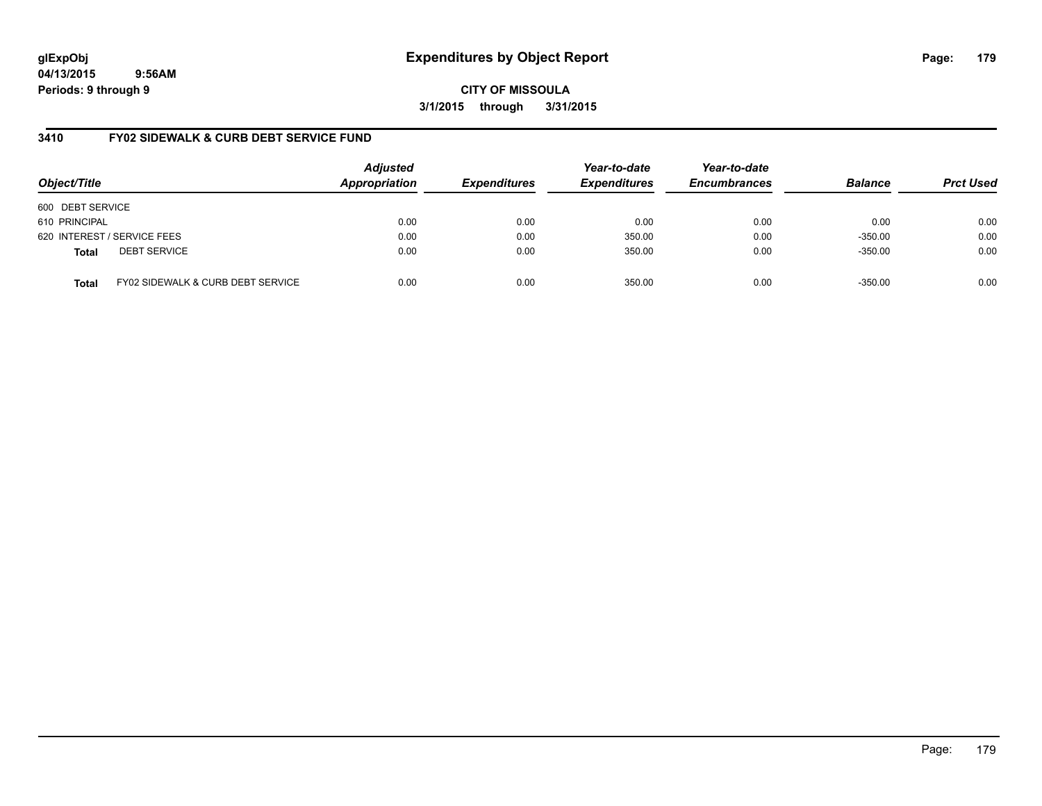# **glExpObj Expenditures by Object Report Page: 179**

**04/13/2015 9:56AM Periods: 9 through 9**

**3/1/2015 through 3/31/2015**

### **3410 FY02 SIDEWALK & CURB DEBT SERVICE FUND**

| Object/Title     |                                   | <b>Adjusted</b><br>Appropriation | <i><b>Expenditures</b></i> | Year-to-date<br><b>Expenditures</b> | Year-to-date<br><b>Encumbrances</b> | <b>Balance</b> | <b>Prct Used</b> |
|------------------|-----------------------------------|----------------------------------|----------------------------|-------------------------------------|-------------------------------------|----------------|------------------|
| 600 DEBT SERVICE |                                   |                                  |                            |                                     |                                     |                |                  |
| 610 PRINCIPAL    |                                   | 0.00                             | 0.00                       | 0.00                                | 0.00                                | 0.00           | 0.00             |
|                  | 620 INTEREST / SERVICE FEES       | 0.00                             | 0.00                       | 350.00                              | 0.00                                | $-350.00$      | 0.00             |
| <b>Total</b>     | <b>DEBT SERVICE</b>               | 0.00                             | 0.00                       | 350.00                              | 0.00                                | $-350.00$      | 0.00             |
| <b>Total</b>     | FY02 SIDEWALK & CURB DEBT SERVICE | 0.00                             | 0.00                       | 350.00                              | 0.00                                | $-350.00$      | 0.00             |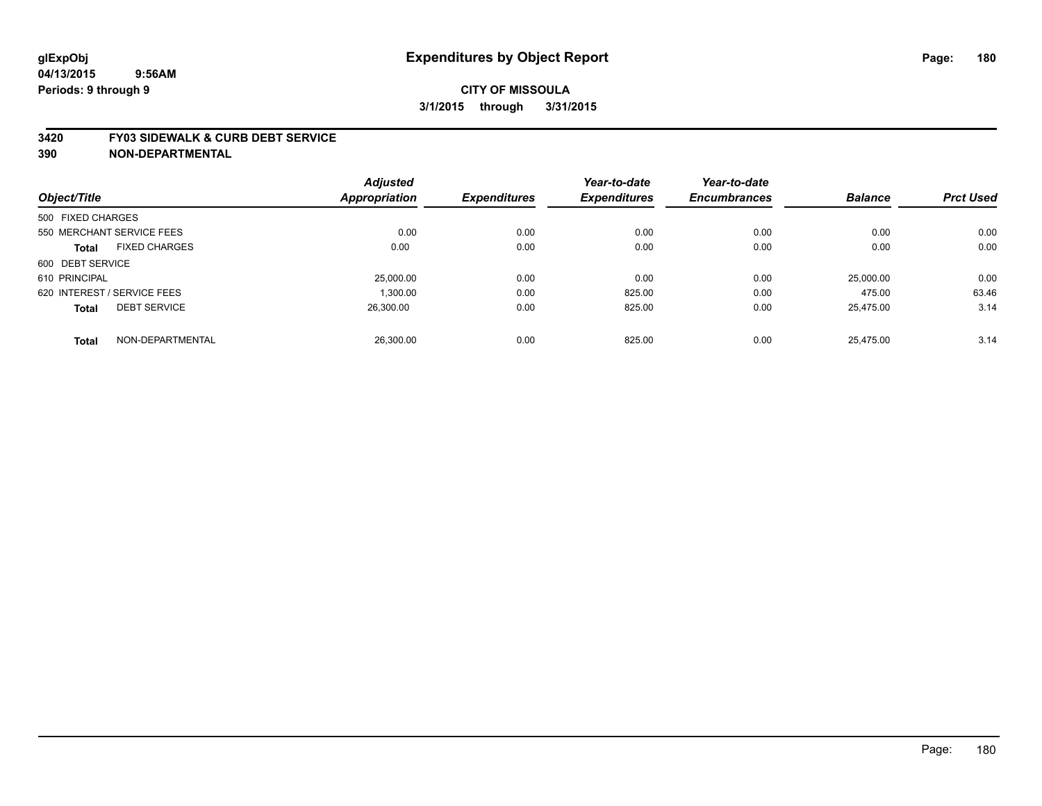#### **3420 FY03 SIDEWALK & CURB DEBT SERVICE**

|                             |                           | <b>Adjusted</b>      |                     | Year-to-date        | Year-to-date        |                |                  |
|-----------------------------|---------------------------|----------------------|---------------------|---------------------|---------------------|----------------|------------------|
| Object/Title                |                           | <b>Appropriation</b> | <b>Expenditures</b> | <b>Expenditures</b> | <b>Encumbrances</b> | <b>Balance</b> | <b>Prct Used</b> |
| 500 FIXED CHARGES           |                           |                      |                     |                     |                     |                |                  |
|                             | 550 MERCHANT SERVICE FEES | 0.00                 | 0.00                | 0.00                | 0.00                | 0.00           | 0.00             |
| <b>Total</b>                | <b>FIXED CHARGES</b>      | 0.00                 | 0.00                | 0.00                | 0.00                | 0.00           | 0.00             |
| 600 DEBT SERVICE            |                           |                      |                     |                     |                     |                |                  |
| 610 PRINCIPAL               |                           | 25,000.00            | 0.00                | 0.00                | 0.00                | 25,000.00      | 0.00             |
| 620 INTEREST / SERVICE FEES |                           | 1.300.00             | 0.00                | 825.00              | 0.00                | 475.00         | 63.46            |
| <b>Total</b>                | <b>DEBT SERVICE</b>       | 26.300.00            | 0.00                | 825.00              | 0.00                | 25.475.00      | 3.14             |
| <b>Total</b>                | NON-DEPARTMENTAL          | 26.300.00            | 0.00                | 825.00              | 0.00                | 25.475.00      | 3.14             |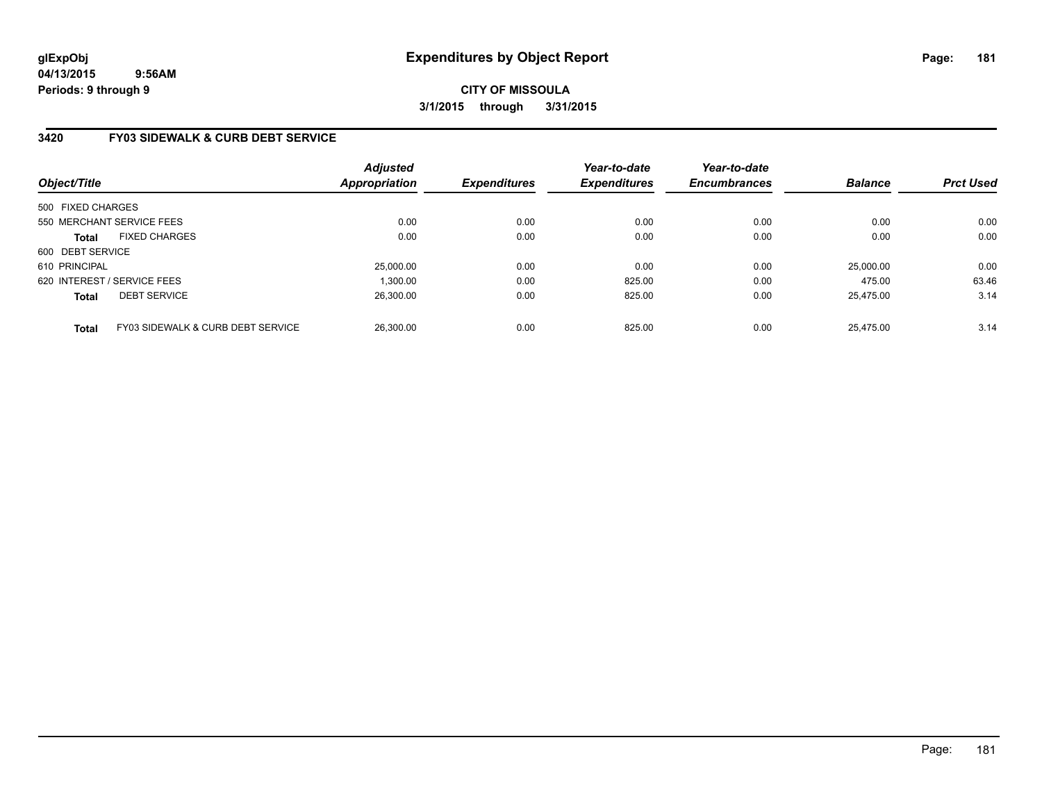# **CITY OF MISSOULA 3/1/2015 through 3/31/2015**

# **3420 FY03 SIDEWALK & CURB DEBT SERVICE**

| Object/Title      |                                   | Adjusted<br><b>Appropriation</b> | <b>Expenditures</b> | Year-to-date<br><b>Expenditures</b> | Year-to-date<br><b>Encumbrances</b> | <b>Balance</b> | <b>Prct Used</b> |
|-------------------|-----------------------------------|----------------------------------|---------------------|-------------------------------------|-------------------------------------|----------------|------------------|
| 500 FIXED CHARGES |                                   |                                  |                     |                                     |                                     |                |                  |
|                   | 550 MERCHANT SERVICE FEES         | 0.00                             | 0.00                | 0.00                                | 0.00                                | 0.00           | 0.00             |
| <b>Total</b>      | <b>FIXED CHARGES</b>              | 0.00                             | 0.00                | 0.00                                | 0.00                                | 0.00           | 0.00             |
| 600 DEBT SERVICE  |                                   |                                  |                     |                                     |                                     |                |                  |
| 610 PRINCIPAL     |                                   | 25.000.00                        | 0.00                | 0.00                                | 0.00                                | 25,000.00      | 0.00             |
|                   | 620 INTEREST / SERVICE FEES       | 1.300.00                         | 0.00                | 825.00                              | 0.00                                | 475.00         | 63.46            |
| <b>Total</b>      | <b>DEBT SERVICE</b>               | 26.300.00                        | 0.00                | 825.00                              | 0.00                                | 25.475.00      | 3.14             |
| <b>Total</b>      | FY03 SIDEWALK & CURB DEBT SERVICE | 26,300.00                        | 0.00                | 825.00                              | 0.00                                | 25.475.00      | 3.14             |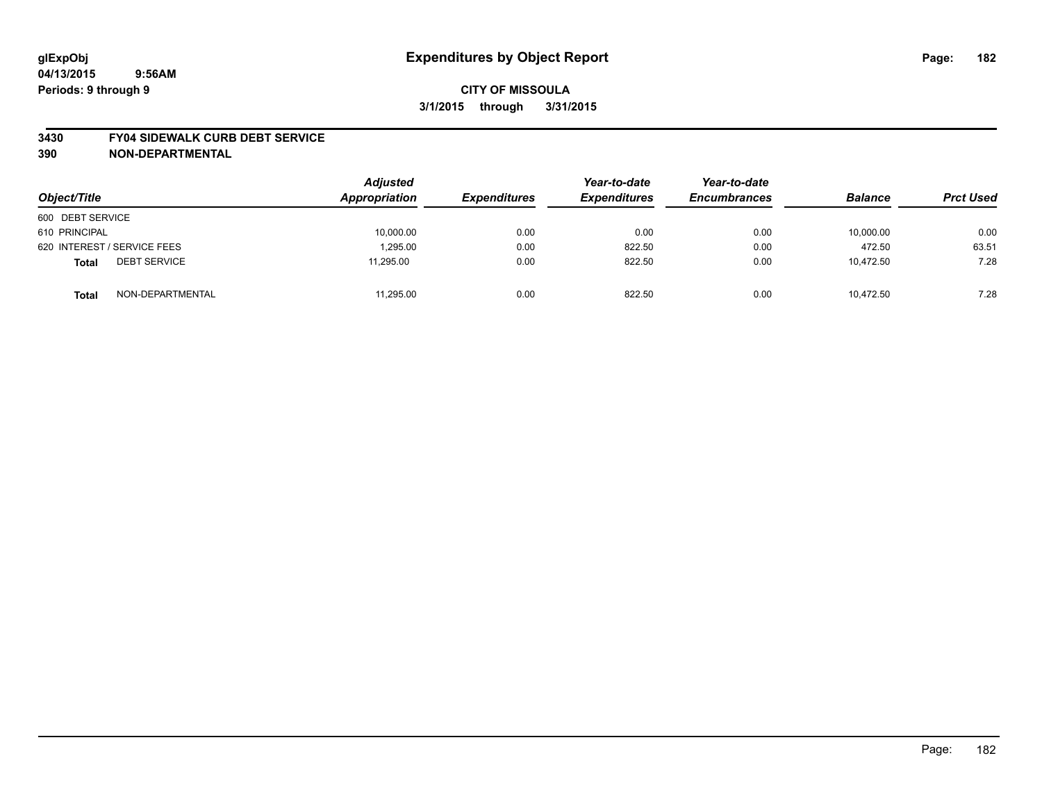### **3430 FY04 SIDEWALK CURB DEBT SERVICE**

| Object/Title                        | <b>Adjusted</b><br>Appropriation | <b>Expenditures</b> | Year-to-date<br><b>Expenditures</b> | Year-to-date<br><b>Encumbrances</b> | <b>Balance</b> | <b>Prct Used</b> |
|-------------------------------------|----------------------------------|---------------------|-------------------------------------|-------------------------------------|----------------|------------------|
| 600 DEBT SERVICE                    |                                  |                     |                                     |                                     |                |                  |
| 610 PRINCIPAL                       | 10,000.00                        | 0.00                | 0.00                                | 0.00                                | 10,000.00      | 0.00             |
| 620 INTEREST / SERVICE FEES         | 1.295.00                         | 0.00                | 822.50                              | 0.00                                | 472.50         | 63.51            |
| <b>DEBT SERVICE</b><br><b>Total</b> | 11,295.00                        | 0.00                | 822.50                              | 0.00                                | 10.472.50      | 7.28             |
| NON-DEPARTMENTAL<br><b>Total</b>    | 11.295.00                        | 0.00                | 822.50                              | 0.00                                | 10.472.50      | 7.28             |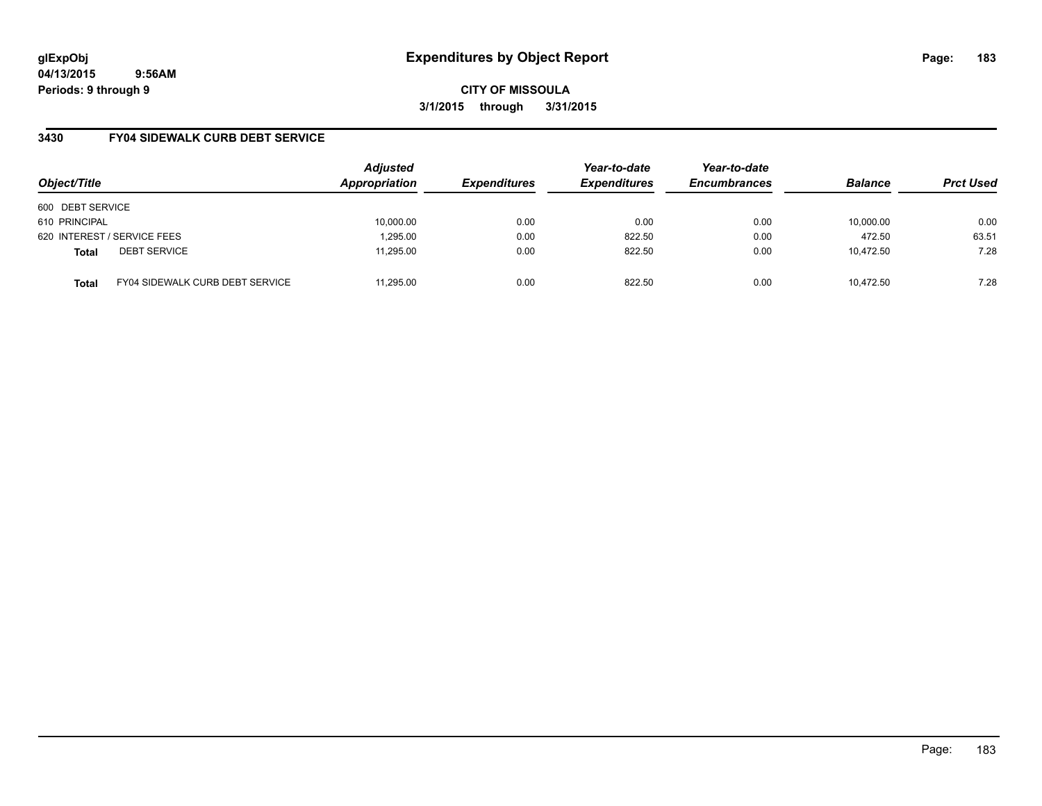**CITY OF MISSOULA 3/1/2015 through 3/31/2015**

## **3430 FY04 SIDEWALK CURB DEBT SERVICE**

| Object/Title                |                                        | <b>Adjusted</b><br>Appropriation | <b>Expenditures</b> | Year-to-date<br><b>Expenditures</b> | Year-to-date<br><b>Encumbrances</b> | <b>Balance</b> | <b>Prct Used</b> |
|-----------------------------|----------------------------------------|----------------------------------|---------------------|-------------------------------------|-------------------------------------|----------------|------------------|
| 600 DEBT SERVICE            |                                        |                                  |                     |                                     |                                     |                |                  |
| 610 PRINCIPAL               |                                        | 10,000.00                        | 0.00                | 0.00                                | 0.00                                | 10,000.00      | 0.00             |
| 620 INTEREST / SERVICE FEES |                                        | 1,295.00                         | 0.00                | 822.50                              | 0.00                                | 472.50         | 63.51            |
| <b>Total</b>                | <b>DEBT SERVICE</b>                    | 11.295.00                        | 0.00                | 822.50                              | 0.00                                | 10.472.50      | 7.28             |
| <b>Total</b>                | <b>FY04 SIDEWALK CURB DEBT SERVICE</b> | 11.295.00                        | 0.00                | 822.50                              | 0.00                                | 10.472.50      | 7.28             |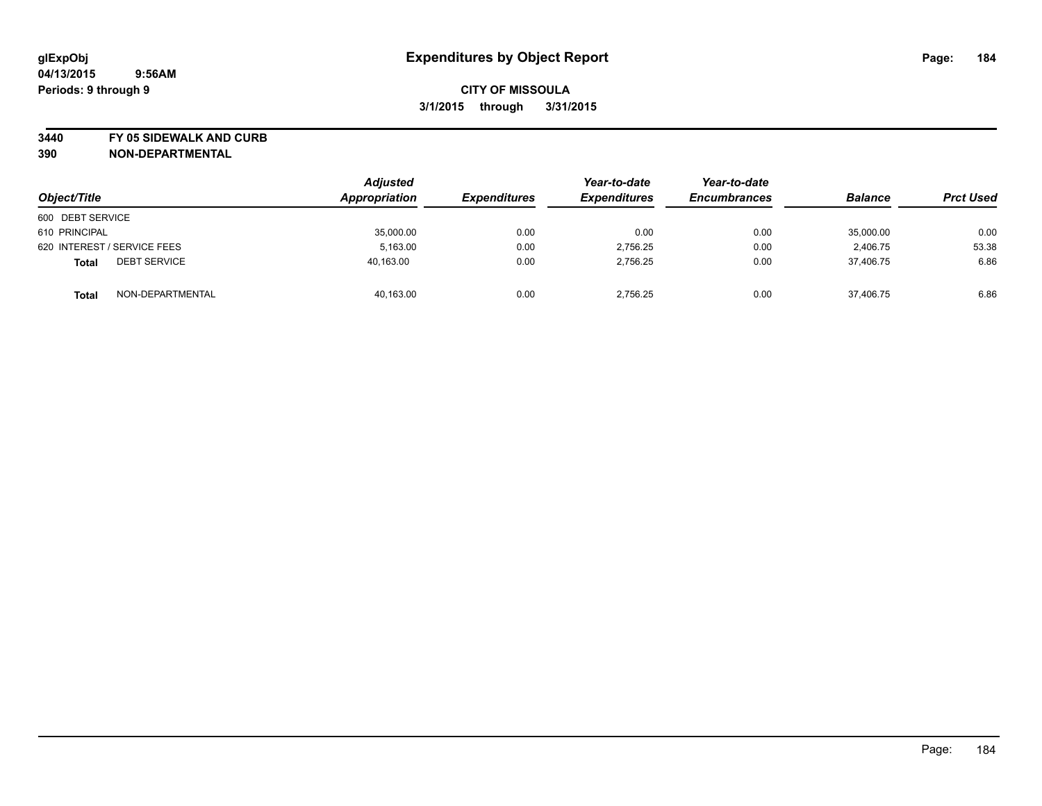**3440 FY 05 SIDEWALK AND CURB**

| Object/Title                        | Adjusted<br>Appropriation | <b>Expenditures</b> | Year-to-date<br><b>Expenditures</b> | Year-to-date<br><b>Encumbrances</b> | <b>Balance</b> | <b>Prct Used</b> |
|-------------------------------------|---------------------------|---------------------|-------------------------------------|-------------------------------------|----------------|------------------|
| 600 DEBT SERVICE                    |                           |                     |                                     |                                     |                |                  |
| 610 PRINCIPAL                       | 35,000.00                 | 0.00                | 0.00                                | 0.00                                | 35,000.00      | 0.00             |
| 620 INTEREST / SERVICE FEES         | 5.163.00                  | 0.00                | 2.756.25                            | 0.00                                | 2,406.75       | 53.38            |
| <b>DEBT SERVICE</b><br><b>Total</b> | 40,163.00                 | 0.00                | 2,756.25                            | 0.00                                | 37,406.75      | 6.86             |
| NON-DEPARTMENTAL<br><b>Total</b>    | 40,163.00                 | 0.00                | 2,756.25                            | 0.00                                | 37,406.75      | 6.86             |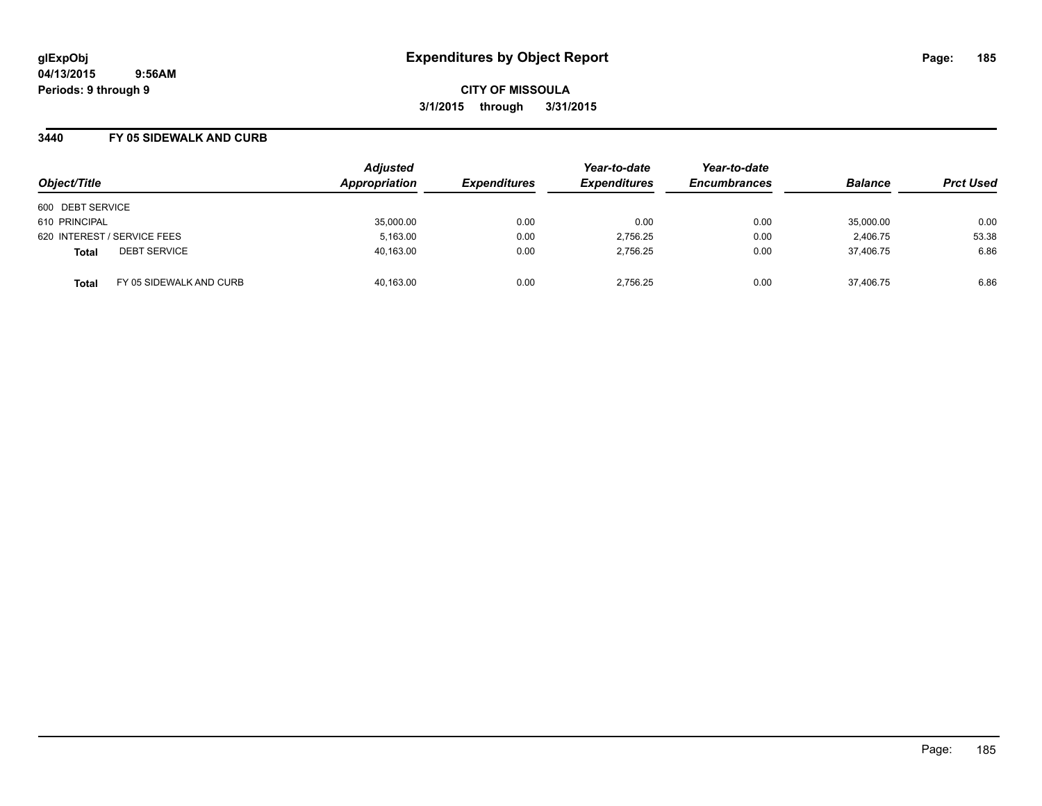**CITY OF MISSOULA 3/1/2015 through 3/31/2015**

## **3440 FY 05 SIDEWALK AND CURB**

|                                         | <b>Adjusted</b>      |                     | Year-to-date        | Year-to-date        |                |                  |
|-----------------------------------------|----------------------|---------------------|---------------------|---------------------|----------------|------------------|
| Object/Title                            | <b>Appropriation</b> | <b>Expenditures</b> | <b>Expenditures</b> | <b>Encumbrances</b> | <b>Balance</b> | <b>Prct Used</b> |
| 600 DEBT SERVICE                        |                      |                     |                     |                     |                |                  |
| 610 PRINCIPAL                           | 35,000.00            | 0.00                | 0.00                | 0.00                | 35,000.00      | 0.00             |
| 620 INTEREST / SERVICE FEES             | 5,163.00             | 0.00                | 2,756.25            | 0.00                | 2.406.75       | 53.38            |
| <b>DEBT SERVICE</b><br><b>Total</b>     | 40,163.00            | 0.00                | 2.756.25            | 0.00                | 37.406.75      | 6.86             |
| FY 05 SIDEWALK AND CURB<br><b>Total</b> | 40.163.00            | 0.00                | 2.756.25            | 0.00                | 37.406.75      | 6.86             |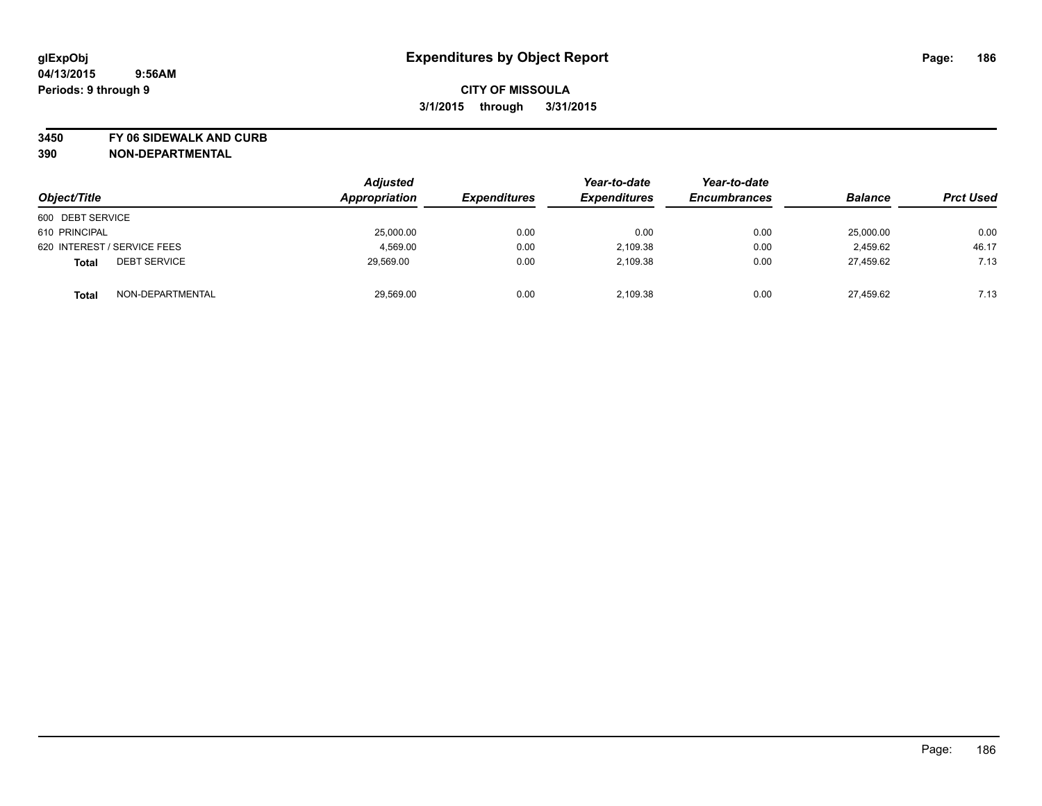**3450 FY 06 SIDEWALK AND CURB**

| Object/Title                        | <b>Adjusted</b><br>Appropriation | <b>Expenditures</b> | Year-to-date<br><b>Expenditures</b> | Year-to-date<br><b>Encumbrances</b> | <b>Balance</b> | <b>Prct Used</b> |
|-------------------------------------|----------------------------------|---------------------|-------------------------------------|-------------------------------------|----------------|------------------|
| 600 DEBT SERVICE                    |                                  |                     |                                     |                                     |                |                  |
| 610 PRINCIPAL                       | 25,000.00                        | 0.00                | 0.00                                | 0.00                                | 25,000.00      | 0.00             |
| 620 INTEREST / SERVICE FEES         | 4,569.00                         | 0.00                | 2,109.38                            | 0.00                                | 2,459.62       | 46.17            |
| <b>DEBT SERVICE</b><br><b>Total</b> | 29,569.00                        | 0.00                | 2,109.38                            | 0.00                                | 27.459.62      | 7.13             |
| NON-DEPARTMENTAL<br><b>Total</b>    | 29,569.00                        | 0.00                | 2,109.38                            | 0.00                                | 27,459.62      | 7.13             |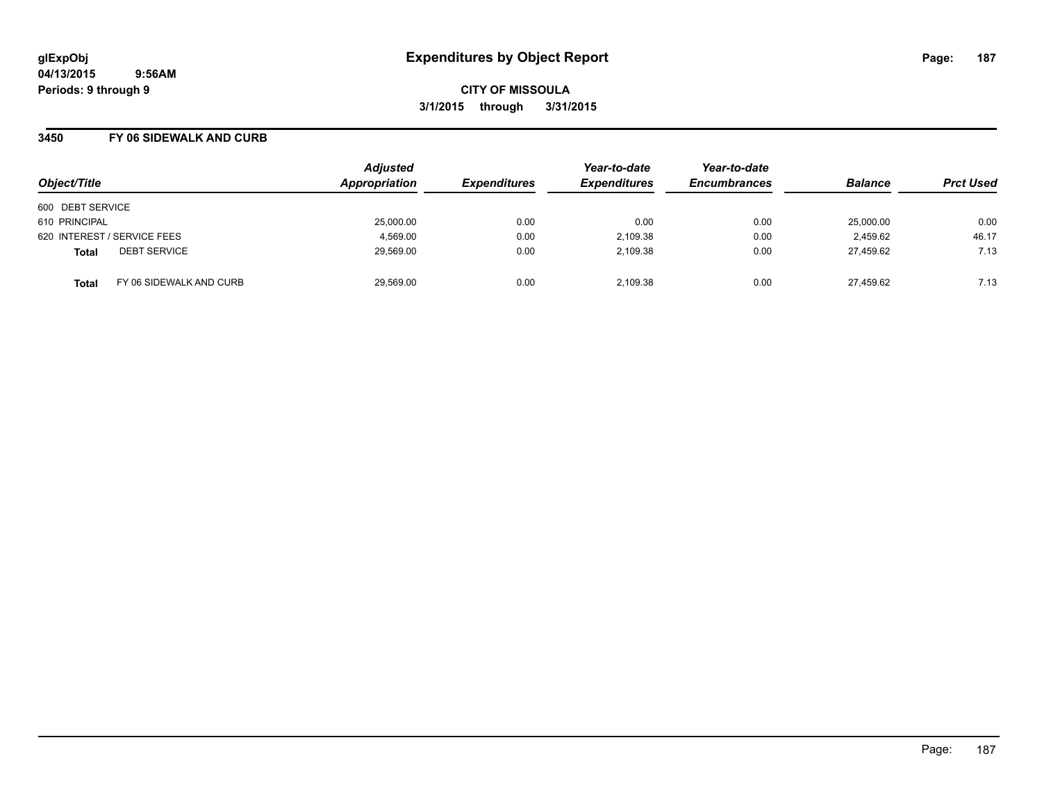**CITY OF MISSOULA 3/1/2015 through 3/31/2015**

## **3450 FY 06 SIDEWALK AND CURB**

| Object/Title                |                         | <b>Adjusted</b><br>Appropriation | <b>Expenditures</b> | Year-to-date<br><b>Expenditures</b> | Year-to-date<br><b>Encumbrances</b> | <b>Balance</b> | <b>Prct Used</b> |
|-----------------------------|-------------------------|----------------------------------|---------------------|-------------------------------------|-------------------------------------|----------------|------------------|
|                             |                         |                                  |                     |                                     |                                     |                |                  |
| 600 DEBT SERVICE            |                         |                                  |                     |                                     |                                     |                |                  |
| 610 PRINCIPAL               |                         | 25,000.00                        | 0.00                | 0.00                                | 0.00                                | 25,000.00      | 0.00             |
| 620 INTEREST / SERVICE FEES |                         | 4,569.00                         | 0.00                | 2,109.38                            | 0.00                                | 2,459.62       | 46.17            |
| <b>Total</b>                | <b>DEBT SERVICE</b>     | 29,569.00                        | 0.00                | 2,109.38                            | 0.00                                | 27.459.62      | 7.13             |
| <b>Total</b>                | FY 06 SIDEWALK AND CURB | 29,569.00                        | 0.00                | 2.109.38                            | 0.00                                | 27,459.62      | 7.13             |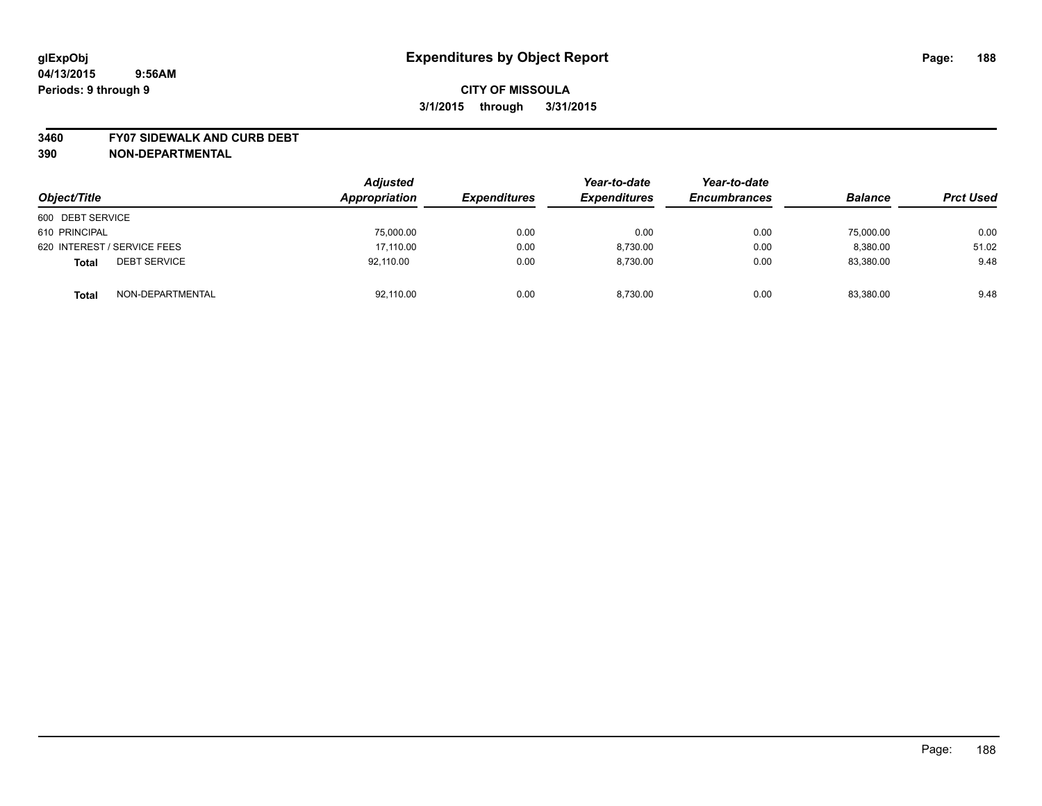### **3460 FY07 SIDEWALK AND CURB DEBT**

| Object/Title                        | <b>Adjusted</b><br>Appropriation | <b>Expenditures</b> | Year-to-date<br><b>Expenditures</b> | Year-to-date<br><b>Encumbrances</b> | <b>Balance</b> | <b>Prct Used</b> |
|-------------------------------------|----------------------------------|---------------------|-------------------------------------|-------------------------------------|----------------|------------------|
| 600 DEBT SERVICE                    |                                  |                     |                                     |                                     |                |                  |
| 610 PRINCIPAL                       | 75,000.00                        | 0.00                | 0.00                                | 0.00                                | 75,000.00      | 0.00             |
| 620 INTEREST / SERVICE FEES         | 17,110.00                        | 0.00                | 8.730.00                            | 0.00                                | 8,380.00       | 51.02            |
| <b>DEBT SERVICE</b><br><b>Total</b> | 92.110.00                        | 0.00                | 8.730.00                            | 0.00                                | 83.380.00      | 9.48             |
| NON-DEPARTMENTAL<br><b>Total</b>    | 92,110.00                        | 0.00                | 8,730.00                            | 0.00                                | 83,380.00      | 9.48             |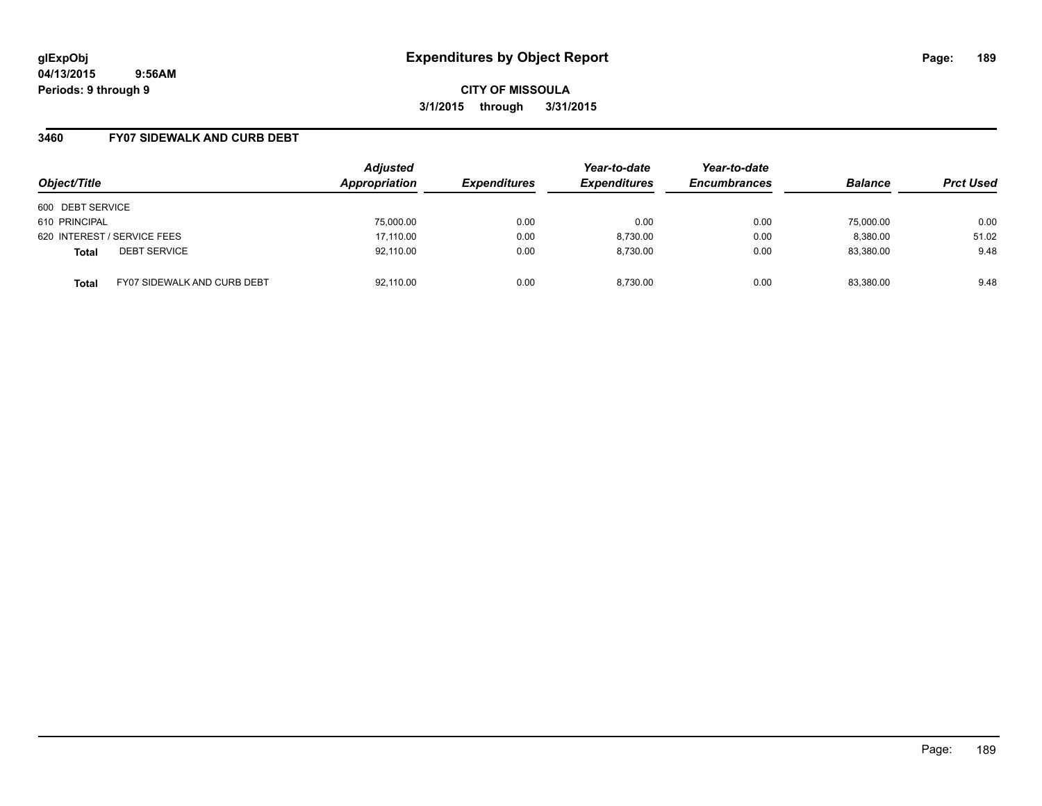**CITY OF MISSOULA 3/1/2015 through 3/31/2015**

## **3460 FY07 SIDEWALK AND CURB DEBT**

| Object/Title     |                                    | <b>Adjusted</b><br>Appropriation | <b>Expenditures</b> | Year-to-date<br><b>Expenditures</b> | Year-to-date<br><b>Encumbrances</b> | <b>Balance</b> | <b>Prct Used</b> |
|------------------|------------------------------------|----------------------------------|---------------------|-------------------------------------|-------------------------------------|----------------|------------------|
| 600 DEBT SERVICE |                                    |                                  |                     |                                     |                                     |                |                  |
| 610 PRINCIPAL    |                                    | 75.000.00                        | 0.00                | 0.00                                | 0.00                                | 75.000.00      | 0.00             |
|                  | 620 INTEREST / SERVICE FEES        | 17,110.00                        | 0.00                | 8,730.00                            | 0.00                                | 8,380.00       | 51.02            |
| <b>Total</b>     | <b>DEBT SERVICE</b>                | 92,110.00                        | 0.00                | 8.730.00                            | 0.00                                | 83,380.00      | 9.48             |
| <b>Total</b>     | <b>FY07 SIDEWALK AND CURB DEBT</b> | 92.110.00                        | 0.00                | 8.730.00                            | 0.00                                | 83.380.00      | 9.48             |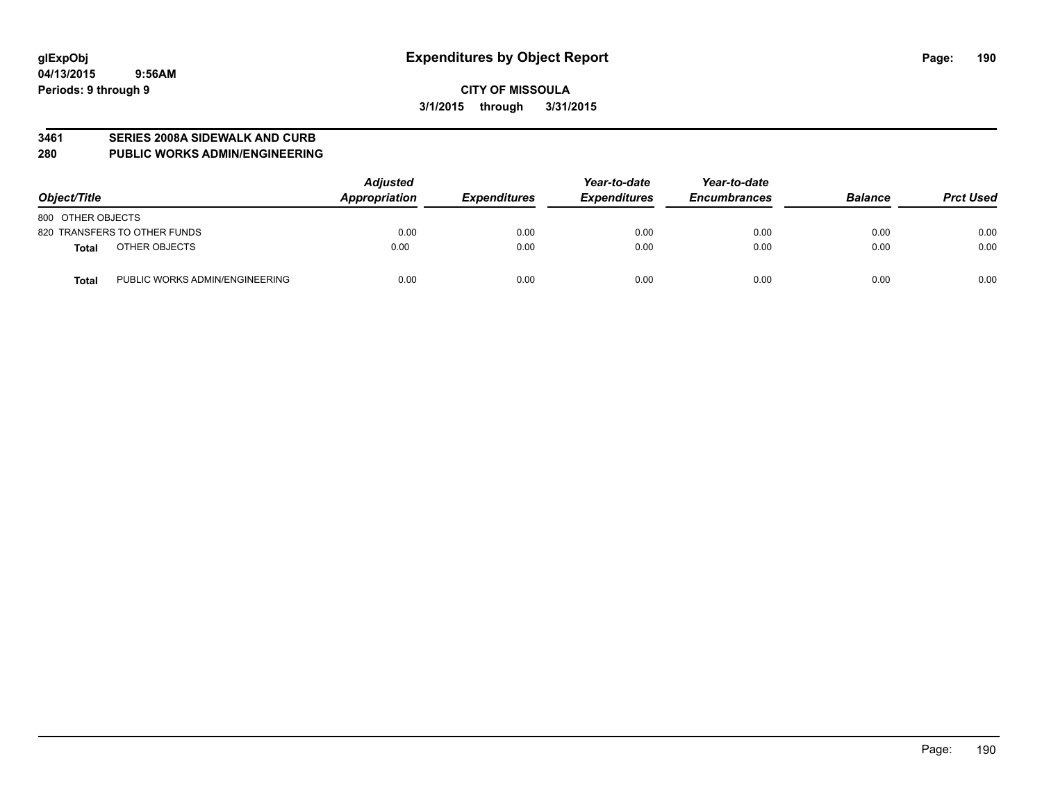### **3461 SERIES 2008A SIDEWALK AND CURB**

**280 PUBLIC WORKS ADMIN/ENGINEERING**

| Object/Title                            | <b>Adjusted</b><br><b>Appropriation</b> | <b>Expenditures</b> | Year-to-date<br><b>Expenditures</b> | Year-to-date<br><b>Encumbrances</b> | <b>Balance</b> | <b>Prct Used</b> |
|-----------------------------------------|-----------------------------------------|---------------------|-------------------------------------|-------------------------------------|----------------|------------------|
| 800 OTHER OBJECTS                       |                                         |                     |                                     |                                     |                |                  |
| 820 TRANSFERS TO OTHER FUNDS            | 0.00                                    | 0.00                | 0.00                                | 0.00                                | 0.00           | 0.00             |
| OTHER OBJECTS<br>Total                  | 0.00                                    | 0.00                | 0.00                                | 0.00                                | 0.00           | 0.00             |
| PUBLIC WORKS ADMIN/ENGINEERING<br>Total | 0.00                                    | 0.00                | 0.00                                | 0.00                                | 0.00           | 0.00             |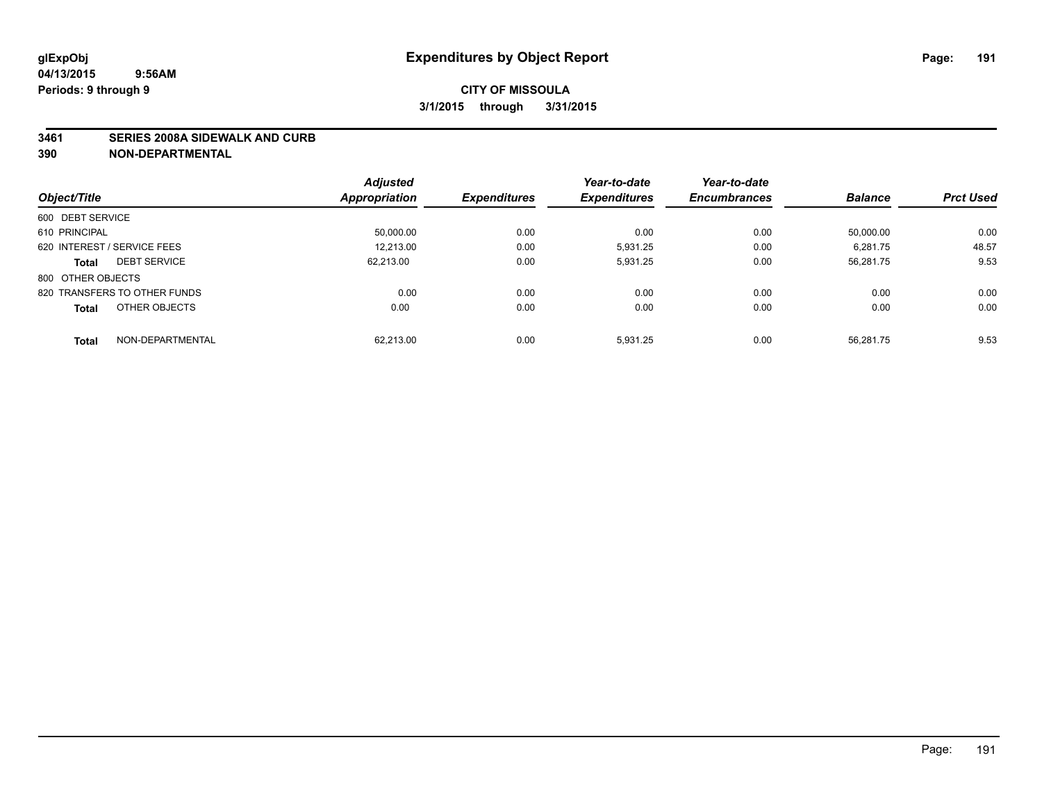### **3461 SERIES 2008A SIDEWALK AND CURB**

|                                     | <b>Adjusted</b>      |                     | Year-to-date        | Year-to-date        |                |                  |
|-------------------------------------|----------------------|---------------------|---------------------|---------------------|----------------|------------------|
| Object/Title                        | <b>Appropriation</b> | <b>Expenditures</b> | <b>Expenditures</b> | <b>Encumbrances</b> | <b>Balance</b> | <b>Prct Used</b> |
| 600 DEBT SERVICE                    |                      |                     |                     |                     |                |                  |
| 610 PRINCIPAL                       | 50,000.00            | 0.00                | 0.00                | 0.00                | 50.000.00      | 0.00             |
| 620 INTEREST / SERVICE FEES         | 12.213.00            | 0.00                | 5.931.25            | 0.00                | 6,281.75       | 48.57            |
| <b>DEBT SERVICE</b><br><b>Total</b> | 62.213.00            | 0.00                | 5,931.25            | 0.00                | 56,281.75      | 9.53             |
| 800 OTHER OBJECTS                   |                      |                     |                     |                     |                |                  |
| 820 TRANSFERS TO OTHER FUNDS        | 0.00                 | 0.00                | 0.00                | 0.00                | 0.00           | 0.00             |
| OTHER OBJECTS<br><b>Total</b>       | 0.00                 | 0.00                | 0.00                | 0.00                | 0.00           | 0.00             |
| NON-DEPARTMENTAL<br>Total           | 62.213.00            | 0.00                | 5,931.25            | 0.00                | 56.281.75      | 9.53             |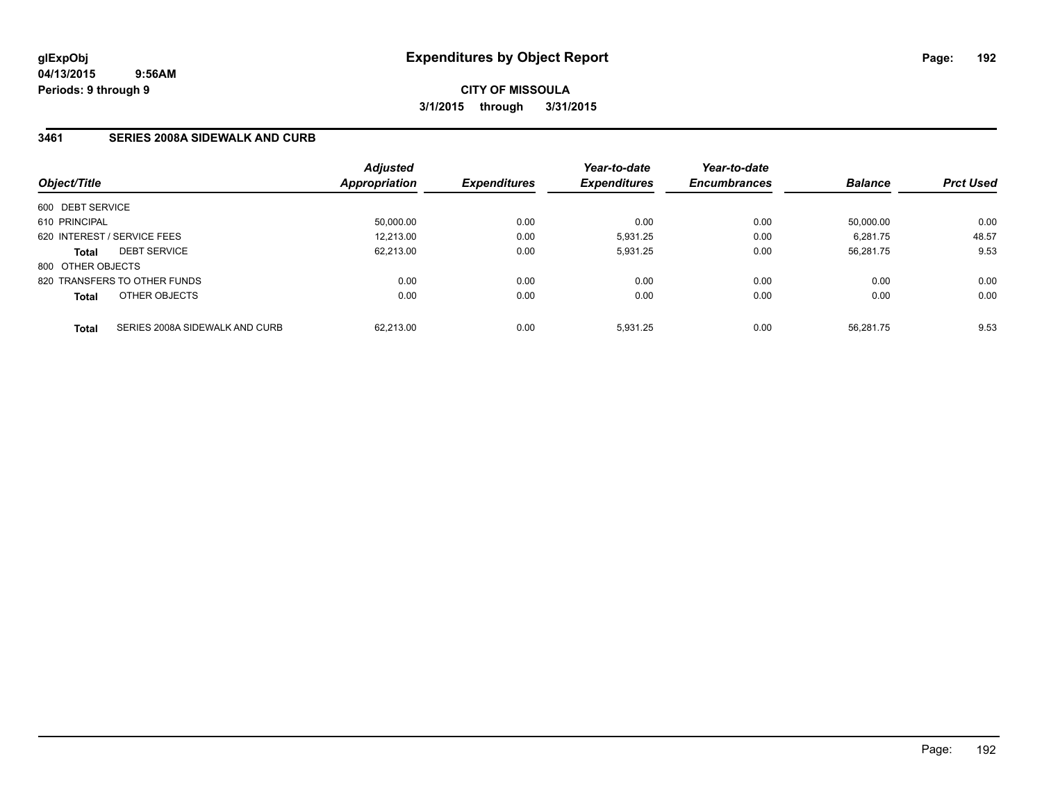**CITY OF MISSOULA 3/1/2015 through 3/31/2015**

## **3461 SERIES 2008A SIDEWALK AND CURB**

| Object/Title      |                                | <b>Adjusted</b><br>Appropriation | <i><b>Expenditures</b></i> | Year-to-date<br><b>Expenditures</b> | Year-to-date        | <b>Balance</b> |                  |
|-------------------|--------------------------------|----------------------------------|----------------------------|-------------------------------------|---------------------|----------------|------------------|
|                   |                                |                                  |                            |                                     | <b>Encumbrances</b> |                | <b>Prct Used</b> |
| 600 DEBT SERVICE  |                                |                                  |                            |                                     |                     |                |                  |
| 610 PRINCIPAL     |                                | 50,000.00                        | 0.00                       | 0.00                                | 0.00                | 50.000.00      | 0.00             |
|                   | 620 INTEREST / SERVICE FEES    | 12.213.00                        | 0.00                       | 5.931.25                            | 0.00                | 6.281.75       | 48.57            |
| <b>Total</b>      | <b>DEBT SERVICE</b>            | 62,213.00                        | 0.00                       | 5,931.25                            | 0.00                | 56,281.75      | 9.53             |
| 800 OTHER OBJECTS |                                |                                  |                            |                                     |                     |                |                  |
|                   | 820 TRANSFERS TO OTHER FUNDS   | 0.00                             | 0.00                       | 0.00                                | 0.00                | 0.00           | 0.00             |
| <b>Total</b>      | OTHER OBJECTS                  | 0.00                             | 0.00                       | 0.00                                | 0.00                | 0.00           | 0.00             |
| <b>Total</b>      | SERIES 2008A SIDEWALK AND CURB | 62.213.00                        | 0.00                       | 5.931.25                            | 0.00                | 56.281.75      | 9.53             |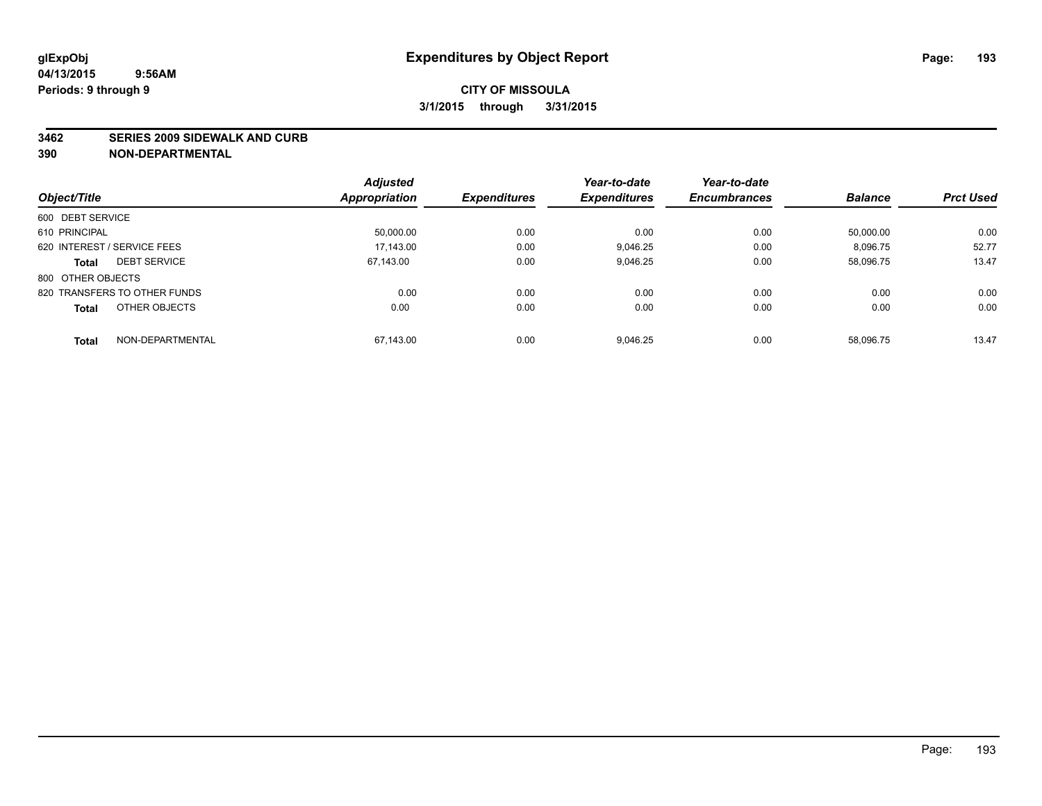### **3462 SERIES 2009 SIDEWALK AND CURB**

|                                     | <b>Adjusted</b>      |                     | Year-to-date        | Year-to-date        |                |                  |
|-------------------------------------|----------------------|---------------------|---------------------|---------------------|----------------|------------------|
| Object/Title                        | <b>Appropriation</b> | <b>Expenditures</b> | <b>Expenditures</b> | <b>Encumbrances</b> | <b>Balance</b> | <b>Prct Used</b> |
| 600 DEBT SERVICE                    |                      |                     |                     |                     |                |                  |
| 610 PRINCIPAL                       | 50.000.00            | 0.00                | 0.00                | 0.00                | 50.000.00      | 0.00             |
| 620 INTEREST / SERVICE FEES         | 17.143.00            | 0.00                | 9.046.25            | 0.00                | 8.096.75       | 52.77            |
| <b>DEBT SERVICE</b><br><b>Total</b> | 67.143.00            | 0.00                | 9,046.25            | 0.00                | 58,096.75      | 13.47            |
| 800 OTHER OBJECTS                   |                      |                     |                     |                     |                |                  |
| 820 TRANSFERS TO OTHER FUNDS        | 0.00                 | 0.00                | 0.00                | 0.00                | 0.00           | 0.00             |
| OTHER OBJECTS<br><b>Total</b>       | 0.00                 | 0.00                | 0.00                | 0.00                | 0.00           | 0.00             |
| NON-DEPARTMENTAL<br><b>Total</b>    | 67.143.00            | 0.00                | 9.046.25            | 0.00                | 58.096.75      | 13.47            |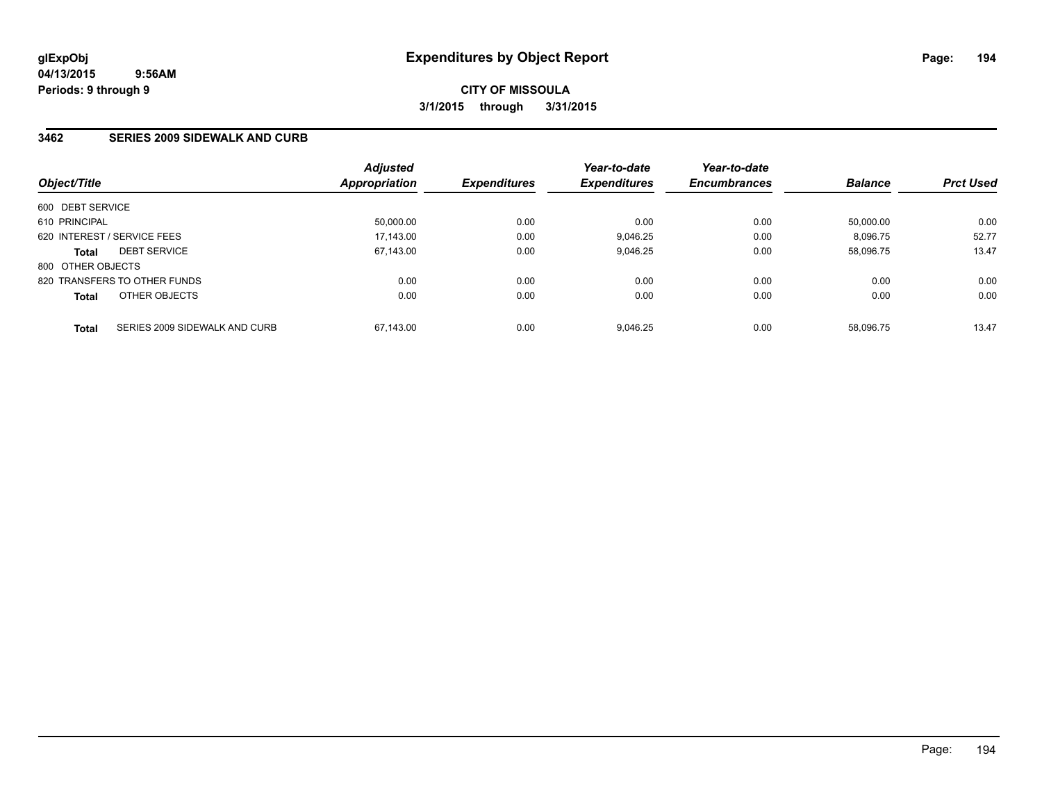## **3462 SERIES 2009 SIDEWALK AND CURB**

| Object/Title      |                               | <b>Adjusted</b><br><b>Appropriation</b> | <b>Expenditures</b> | Year-to-date<br><b>Expenditures</b> | Year-to-date<br><b>Encumbrances</b> | <b>Balance</b> | <b>Prct Used</b> |
|-------------------|-------------------------------|-----------------------------------------|---------------------|-------------------------------------|-------------------------------------|----------------|------------------|
| 600 DEBT SERVICE  |                               |                                         |                     |                                     |                                     |                |                  |
| 610 PRINCIPAL     |                               | 50,000.00                               | 0.00                | 0.00                                | 0.00                                | 50.000.00      | 0.00             |
|                   | 620 INTEREST / SERVICE FEES   | 17,143.00                               | 0.00                | 9,046.25                            | 0.00                                | 8,096.75       | 52.77            |
| <b>Total</b>      | <b>DEBT SERVICE</b>           | 67,143.00                               | 0.00                | 9.046.25                            | 0.00                                | 58.096.75      | 13.47            |
| 800 OTHER OBJECTS |                               |                                         |                     |                                     |                                     |                |                  |
|                   | 820 TRANSFERS TO OTHER FUNDS  | 0.00                                    | 0.00                | 0.00                                | 0.00                                | 0.00           | 0.00             |
| <b>Total</b>      | OTHER OBJECTS                 | 0.00                                    | 0.00                | 0.00                                | 0.00                                | 0.00           | 0.00             |
| <b>Total</b>      | SERIES 2009 SIDEWALK AND CURB | 67,143.00                               | 0.00                | 9.046.25                            | 0.00                                | 58.096.75      | 13.47            |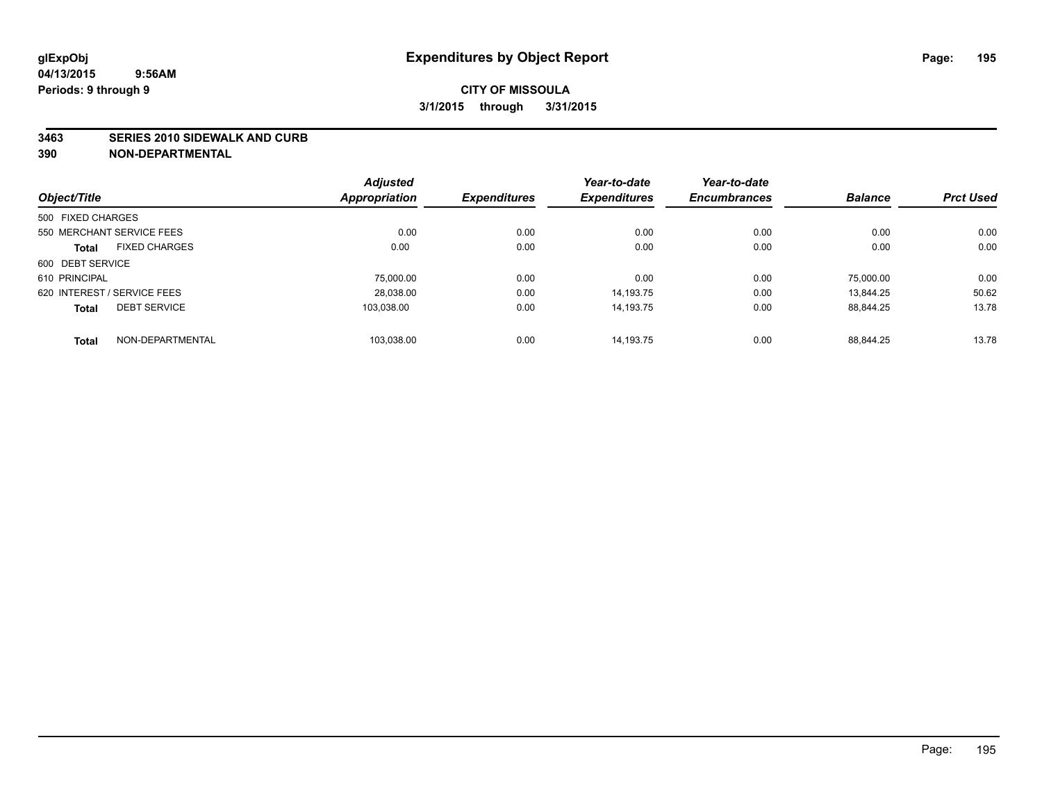### **3463 SERIES 2010 SIDEWALK AND CURB**

|                                      | <b>Adjusted</b>      |                     | Year-to-date        | Year-to-date        |                |                  |
|--------------------------------------|----------------------|---------------------|---------------------|---------------------|----------------|------------------|
| Object/Title                         | <b>Appropriation</b> | <b>Expenditures</b> | <b>Expenditures</b> | <b>Encumbrances</b> | <b>Balance</b> | <b>Prct Used</b> |
| 500 FIXED CHARGES                    |                      |                     |                     |                     |                |                  |
| 550 MERCHANT SERVICE FEES            | 0.00                 | 0.00                | 0.00                | 0.00                | 0.00           | 0.00             |
| <b>FIXED CHARGES</b><br><b>Total</b> | 0.00                 | 0.00                | 0.00                | 0.00                | 0.00           | 0.00             |
| 600 DEBT SERVICE                     |                      |                     |                     |                     |                |                  |
| 610 PRINCIPAL                        | 75.000.00            | 0.00                | 0.00                | 0.00                | 75.000.00      | 0.00             |
| 620 INTEREST / SERVICE FEES          | 28,038.00            | 0.00                | 14.193.75           | 0.00                | 13.844.25      | 50.62            |
| <b>DEBT SERVICE</b><br><b>Total</b>  | 103.038.00           | 0.00                | 14.193.75           | 0.00                | 88.844.25      | 13.78            |
| NON-DEPARTMENTAL<br><b>Total</b>     | 103,038.00           | 0.00                | 14.193.75           | 0.00                | 88.844.25      | 13.78            |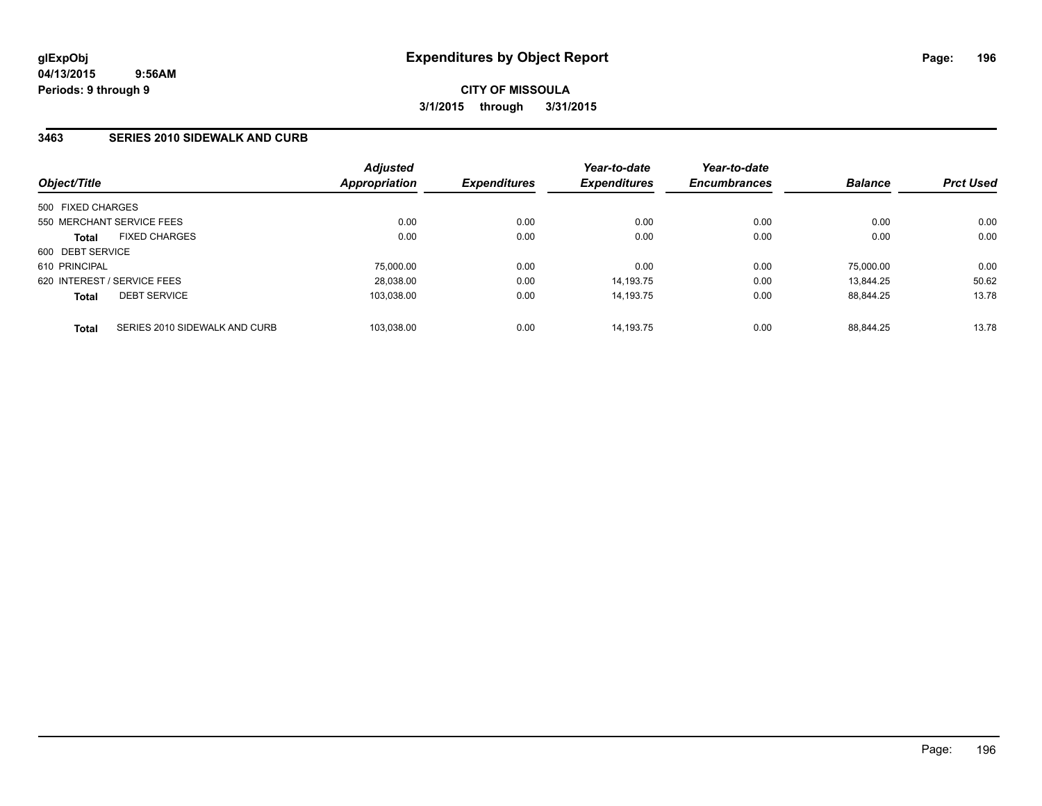## **3463 SERIES 2010 SIDEWALK AND CURB**

| Object/Title      |                               | <b>Adjusted</b><br><b>Appropriation</b> | <b>Expenditures</b> | Year-to-date<br><b>Expenditures</b> | Year-to-date<br><b>Encumbrances</b> | <b>Balance</b> | <b>Prct Used</b> |
|-------------------|-------------------------------|-----------------------------------------|---------------------|-------------------------------------|-------------------------------------|----------------|------------------|
| 500 FIXED CHARGES |                               |                                         |                     |                                     |                                     |                |                  |
|                   | 550 MERCHANT SERVICE FEES     | 0.00                                    | 0.00                | 0.00                                | 0.00                                | 0.00           | 0.00             |
| <b>Total</b>      | <b>FIXED CHARGES</b>          | 0.00                                    | 0.00                | 0.00                                | 0.00                                | 0.00           | 0.00             |
| 600 DEBT SERVICE  |                               |                                         |                     |                                     |                                     |                |                  |
| 610 PRINCIPAL     |                               | 75,000.00                               | 0.00                | 0.00                                | 0.00                                | 75,000.00      | 0.00             |
|                   | 620 INTEREST / SERVICE FEES   | 28,038.00                               | 0.00                | 14.193.75                           | 0.00                                | 13.844.25      | 50.62            |
| <b>Total</b>      | <b>DEBT SERVICE</b>           | 103.038.00                              | 0.00                | 14.193.75                           | 0.00                                | 88.844.25      | 13.78            |
| Total             | SERIES 2010 SIDEWALK AND CURB | 103,038.00                              | 0.00                | 14.193.75                           | 0.00                                | 88.844.25      | 13.78            |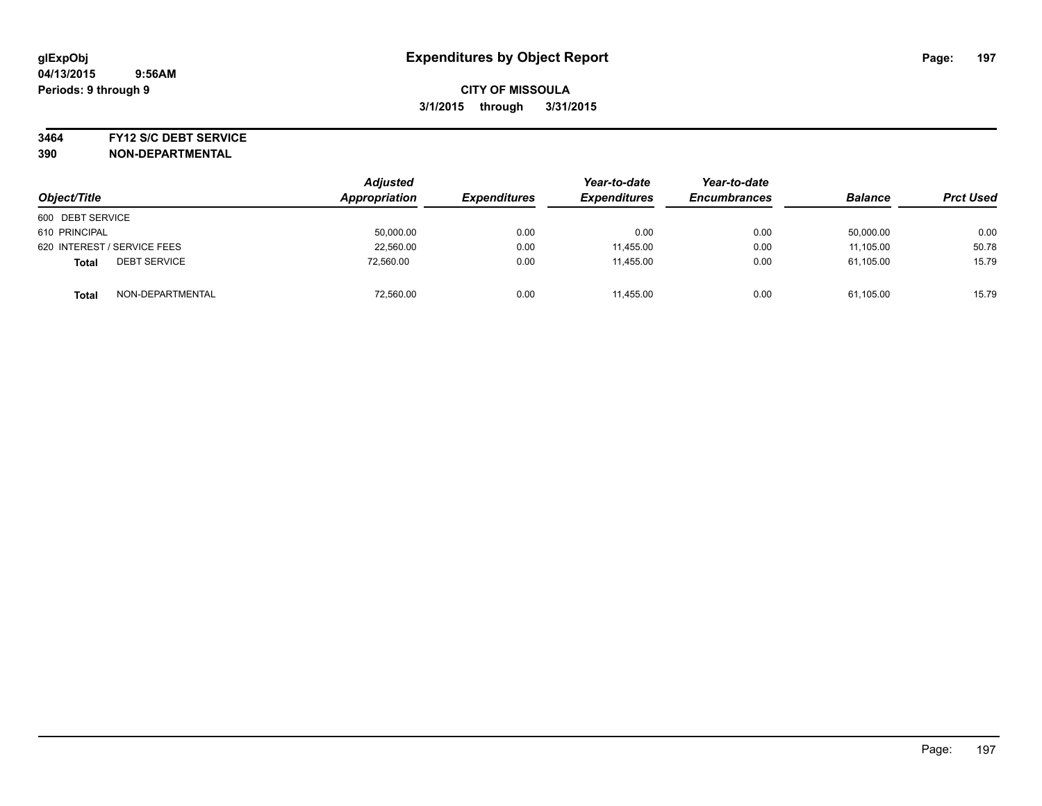### **3464 FY12 S/C DEBT SERVICE**

| Object/Title                        | <b>Adjusted</b><br>Appropriation | <b>Expenditures</b> | Year-to-date<br><b>Expenditures</b> | Year-to-date<br><b>Encumbrances</b> | <b>Balance</b> | <b>Prct Used</b> |
|-------------------------------------|----------------------------------|---------------------|-------------------------------------|-------------------------------------|----------------|------------------|
| 600 DEBT SERVICE                    |                                  |                     |                                     |                                     |                |                  |
| 610 PRINCIPAL                       | 50,000.00                        | 0.00                | 0.00                                | 0.00                                | 50,000.00      | 0.00             |
| 620 INTEREST / SERVICE FEES         | 22,560.00                        | 0.00                | 11,455.00                           | 0.00                                | 11,105.00      | 50.78            |
| <b>DEBT SERVICE</b><br><b>Total</b> | 72.560.00                        | 0.00                | 11.455.00                           | 0.00                                | 61,105.00      | 15.79            |
| NON-DEPARTMENTAL<br><b>Total</b>    | 72,560.00                        | 0.00                | 11,455.00                           | 0.00                                | 61,105.00      | 15.79            |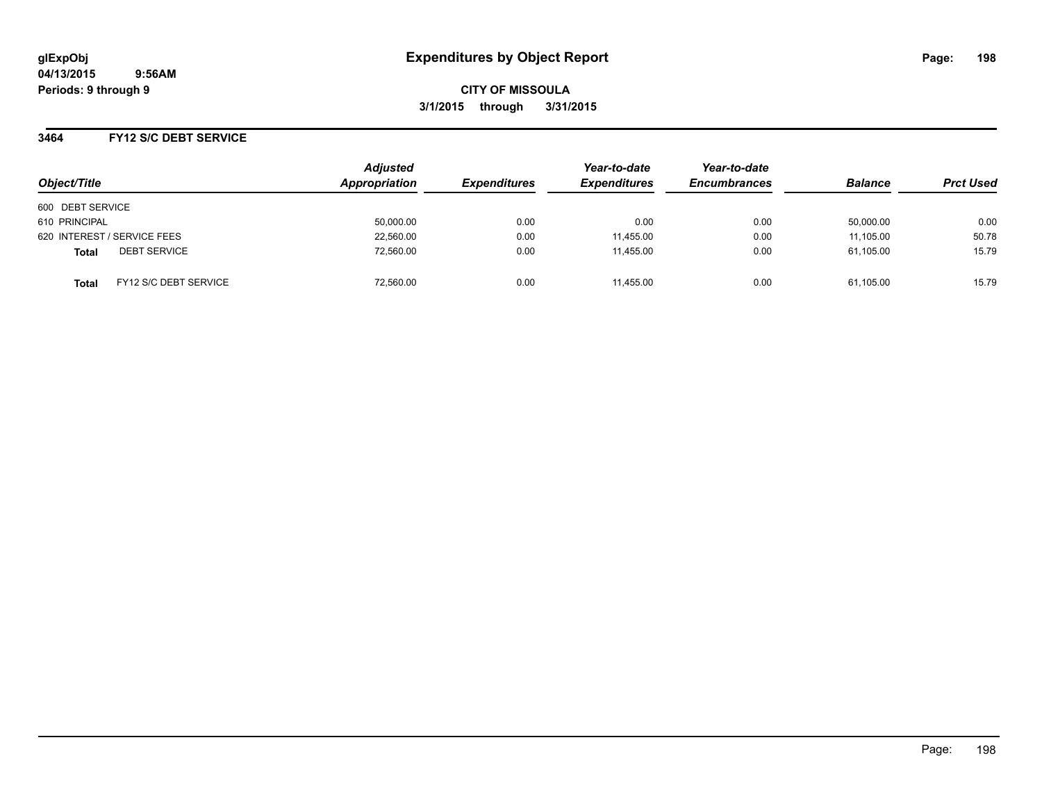**CITY OF MISSOULA 3/1/2015 through 3/31/2015**

## **3464 FY12 S/C DEBT SERVICE**

| Object/Title                                 | <b>Adjusted</b><br>Appropriation | <b>Expenditures</b> | Year-to-date<br><b>Expenditures</b> | Year-to-date<br><b>Encumbrances</b> | <b>Balance</b> | <b>Prct Used</b> |
|----------------------------------------------|----------------------------------|---------------------|-------------------------------------|-------------------------------------|----------------|------------------|
| 600 DEBT SERVICE                             |                                  |                     |                                     |                                     |                |                  |
| 610 PRINCIPAL                                | 50,000.00                        | 0.00                | 0.00                                | 0.00                                | 50,000.00      | 0.00             |
| 620 INTEREST / SERVICE FEES                  | 22,560.00                        | 0.00                | 11,455.00                           | 0.00                                | 11,105.00      | 50.78            |
| <b>DEBT SERVICE</b><br><b>Total</b>          | 72.560.00                        | 0.00                | 11.455.00                           | 0.00                                | 61.105.00      | 15.79            |
| <b>FY12 S/C DEBT SERVICE</b><br><b>Total</b> | 72.560.00                        | 0.00                | 11.455.00                           | 0.00                                | 61.105.00      | 15.79            |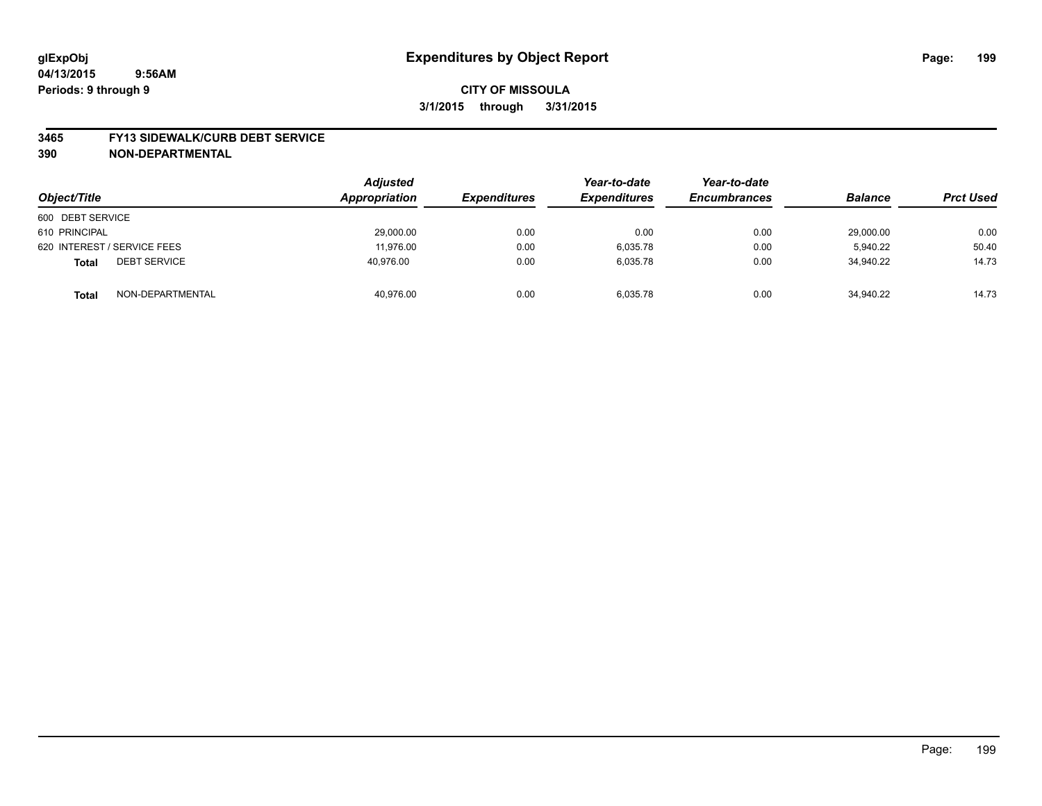### **3465 FY13 SIDEWALK/CURB DEBT SERVICE**

| Object/Title                        | <b>Adjusted</b><br>Appropriation | <i><b>Expenditures</b></i> | Year-to-date<br><b>Expenditures</b> | Year-to-date<br><b>Encumbrances</b> | <b>Balance</b> | <b>Prct Used</b> |
|-------------------------------------|----------------------------------|----------------------------|-------------------------------------|-------------------------------------|----------------|------------------|
| 600 DEBT SERVICE                    |                                  |                            |                                     |                                     |                |                  |
| 610 PRINCIPAL                       | 29,000.00                        | 0.00                       | 0.00                                | 0.00                                | 29,000.00      | 0.00             |
| 620 INTEREST / SERVICE FEES         | 11.976.00                        | 0.00                       | 6.035.78                            | 0.00                                | 5.940.22       | 50.40            |
| <b>DEBT SERVICE</b><br><b>Total</b> | 40.976.00                        | 0.00                       | 6.035.78                            | 0.00                                | 34.940.22      | 14.73            |
| NON-DEPARTMENTAL<br><b>Total</b>    | 40,976.00                        | 0.00                       | 6,035.78                            | 0.00                                | 34,940.22      | 14.73            |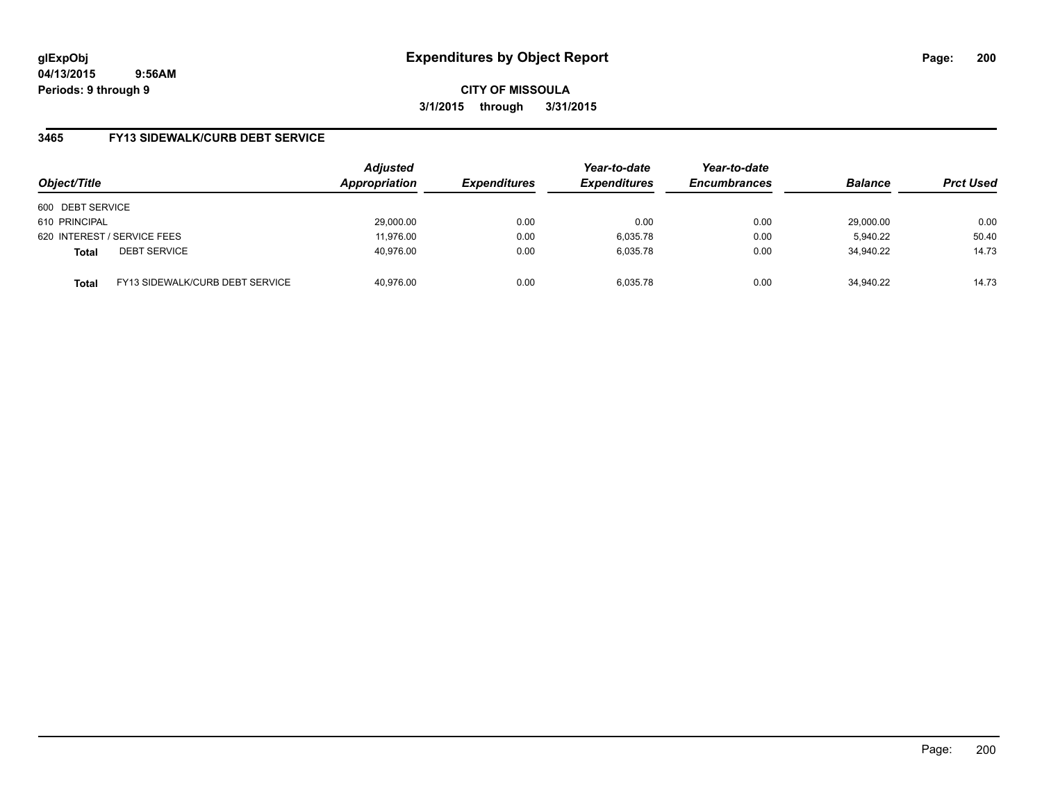**CITY OF MISSOULA 3/1/2015 through 3/31/2015**

## **3465 FY13 SIDEWALK/CURB DEBT SERVICE**

| Object/Title     |                                 | <b>Adjusted</b><br>Appropriation | <b>Expenditures</b> | Year-to-date<br><b>Expenditures</b> | Year-to-date<br><b>Encumbrances</b> | <b>Balance</b> | <b>Prct Used</b> |
|------------------|---------------------------------|----------------------------------|---------------------|-------------------------------------|-------------------------------------|----------------|------------------|
| 600 DEBT SERVICE |                                 |                                  |                     |                                     |                                     |                |                  |
| 610 PRINCIPAL    |                                 | 29,000.00                        | 0.00                | 0.00                                | 0.00                                | 29.000.00      | 0.00             |
|                  | 620 INTEREST / SERVICE FEES     | 11.976.00                        | 0.00                | 6,035.78                            | 0.00                                | 5,940.22       | 50.40            |
| <b>Total</b>     | <b>DEBT SERVICE</b>             | 40,976.00                        | 0.00                | 6.035.78                            | 0.00                                | 34.940.22      | 14.73            |
| <b>Total</b>     | FY13 SIDEWALK/CURB DEBT SERVICE | 40.976.00                        | 0.00                | 6.035.78                            | 0.00                                | 34.940.22      | 14.73            |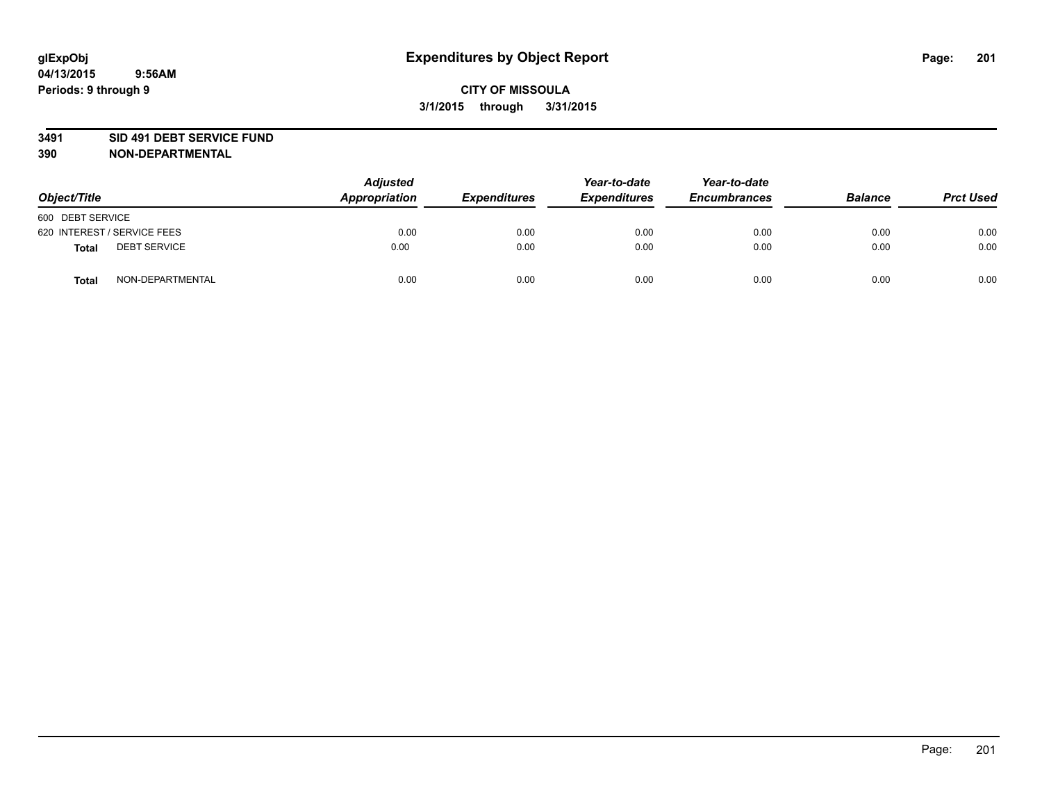## **3491 SID 491 DEBT SERVICE FUND**

| Object/Title                 | <b>Adjusted</b><br>Appropriation | <b>Expenditures</b> | Year-to-date<br><b>Expenditures</b> | Year-to-date<br><b>Encumbrances</b> | <b>Balance</b> | <b>Prct Used</b> |
|------------------------------|----------------------------------|---------------------|-------------------------------------|-------------------------------------|----------------|------------------|
| 600 DEBT SERVICE             |                                  |                     |                                     |                                     |                |                  |
| 620 INTEREST / SERVICE FEES  | 0.00                             | 0.00                | 0.00                                | 0.00                                | 0.00           | 0.00             |
| <b>DEBT SERVICE</b><br>Total | 0.00                             | 0.00                | 0.00                                | 0.00                                | 0.00           | 0.00             |
| NON-DEPARTMENTAL<br>Total    | 0.00                             | 0.00                | 0.00                                | 0.00                                | 0.00           | 0.00             |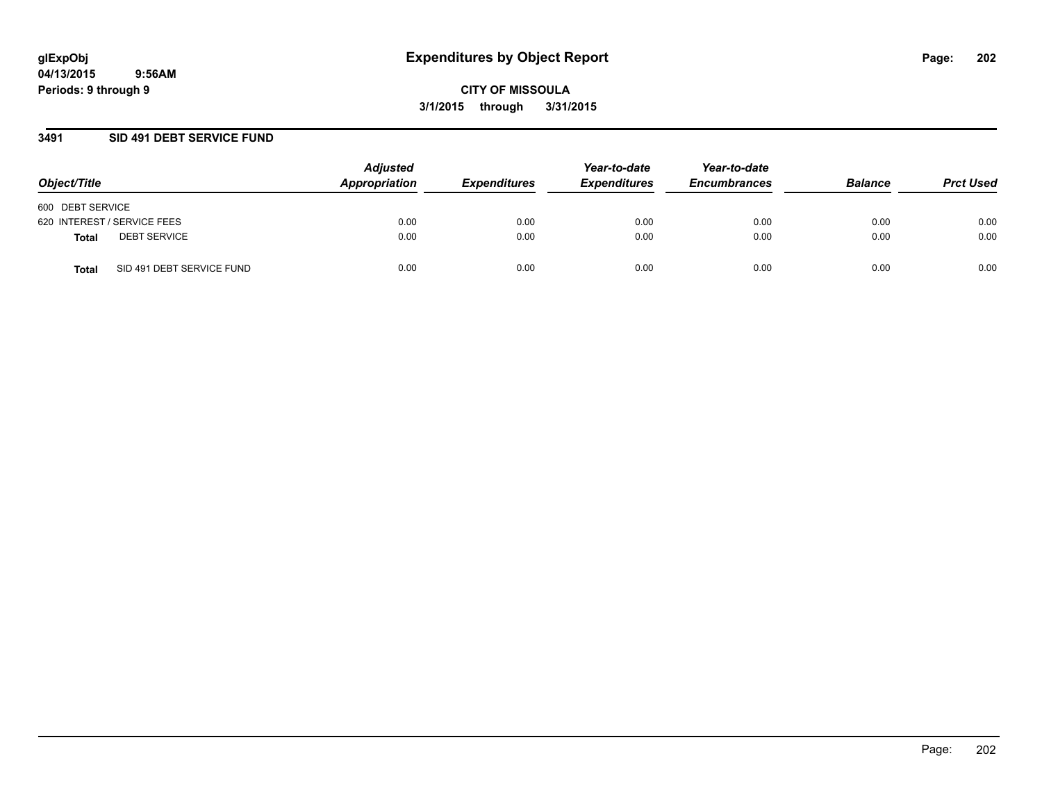## **3491 SID 491 DEBT SERVICE FUND**

| Object/Title                              | <b>Adjusted</b><br>Appropriation | <b>Expenditures</b> | Year-to-date<br><b>Expenditures</b> | Year-to-date<br><b>Encumbrances</b> | <b>Balance</b> | <b>Prct Used</b> |
|-------------------------------------------|----------------------------------|---------------------|-------------------------------------|-------------------------------------|----------------|------------------|
| 600 DEBT SERVICE                          |                                  |                     |                                     |                                     |                |                  |
| 620 INTEREST / SERVICE FEES               | 0.00                             | 0.00                | 0.00                                | 0.00                                | 0.00           | 0.00             |
| <b>DEBT SERVICE</b><br><b>Total</b>       | 0.00                             | 0.00                | 0.00                                | 0.00                                | 0.00           | 0.00             |
| SID 491 DEBT SERVICE FUND<br><b>Total</b> | 0.00                             | 0.00                | 0.00                                | 0.00                                | 0.00           | 0.00             |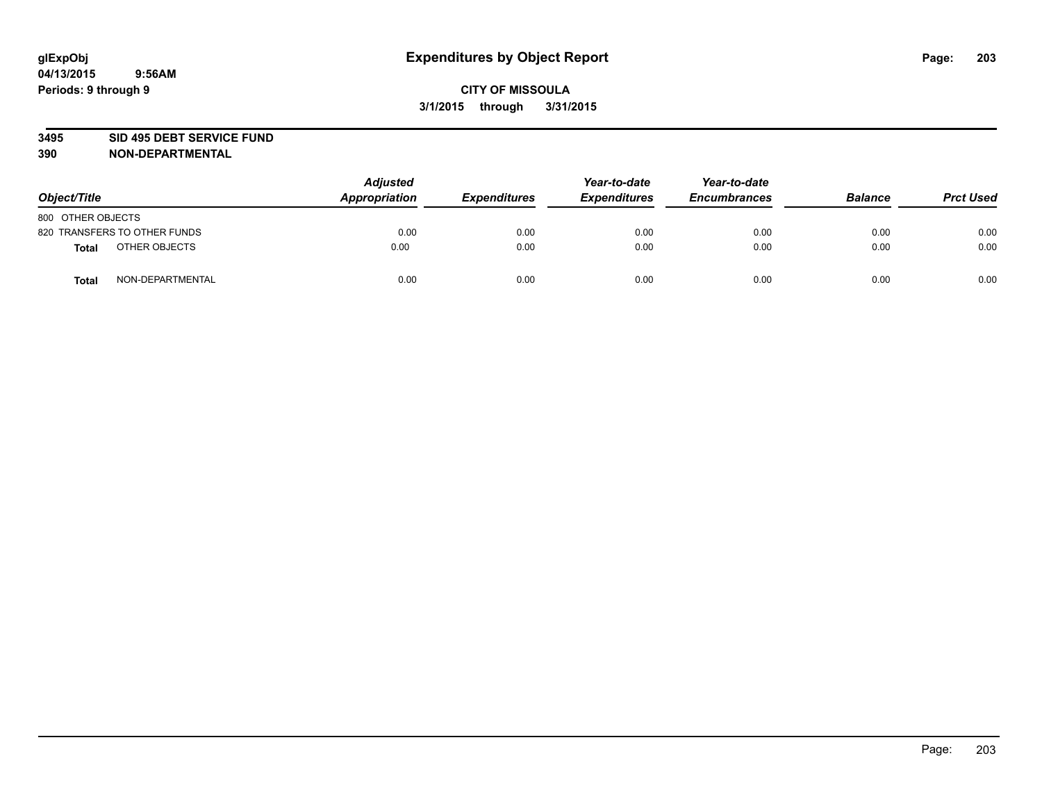## **3495 SID 495 DEBT SERVICE FUND**

| Object/Title      |                              | <b>Adjusted</b><br>Appropriation | <b>Expenditures</b> | Year-to-date<br><b>Expenditures</b> | Year-to-date<br><b>Encumbrances</b> | <b>Balance</b> | <b>Prct Used</b> |
|-------------------|------------------------------|----------------------------------|---------------------|-------------------------------------|-------------------------------------|----------------|------------------|
| 800 OTHER OBJECTS |                              |                                  |                     |                                     |                                     |                |                  |
|                   | 820 TRANSFERS TO OTHER FUNDS | 0.00                             | 0.00                | 0.00                                | 0.00                                | 0.00           | 0.00             |
| Total             | OTHER OBJECTS                | 0.00                             | 0.00                | 0.00                                | 0.00                                | 0.00           | 0.00             |
| <b>Total</b>      | NON-DEPARTMENTAL             | 0.00                             | 0.00                | 0.00                                | 0.00                                | 0.00           | 0.00             |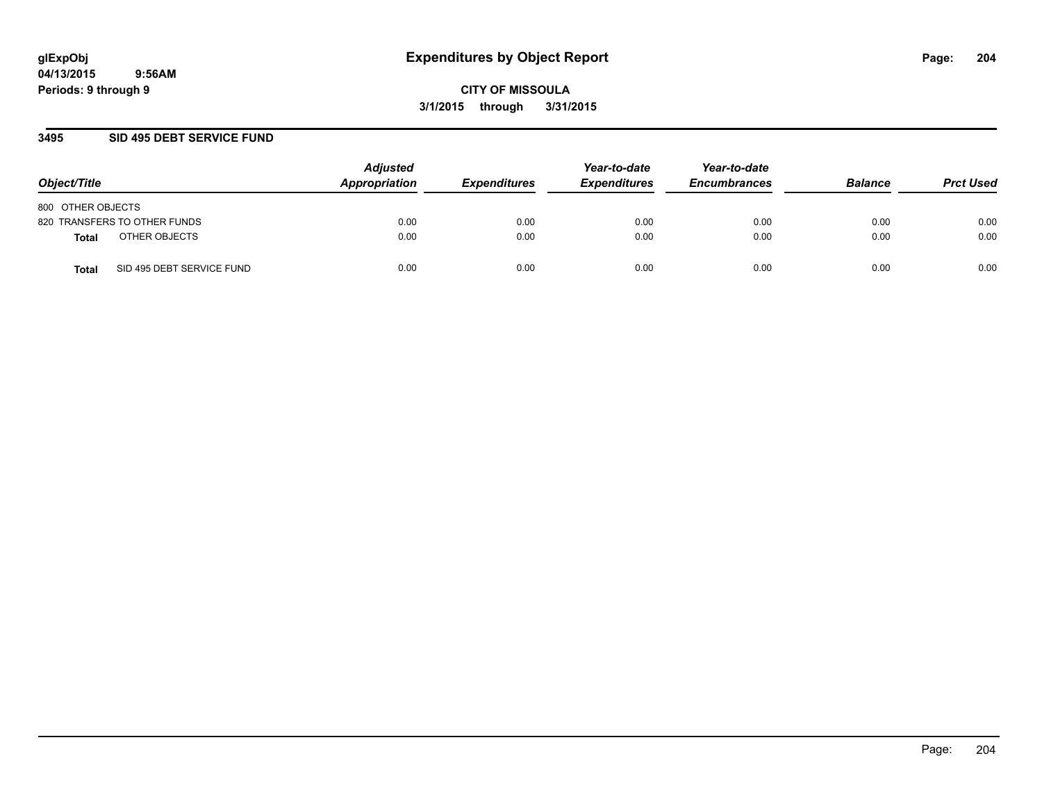## **3495 SID 495 DEBT SERVICE FUND**

| Object/Title                              | <b>Adjusted</b><br>Appropriation | <b>Expenditures</b> | Year-to-date<br><b>Expenditures</b> | Year-to-date<br><b>Encumbrances</b> | <b>Balance</b> | <b>Prct Used</b> |
|-------------------------------------------|----------------------------------|---------------------|-------------------------------------|-------------------------------------|----------------|------------------|
| 800 OTHER OBJECTS                         |                                  |                     |                                     |                                     |                |                  |
| 820 TRANSFERS TO OTHER FUNDS              | 0.00                             | 0.00                | 0.00                                | 0.00                                | 0.00           | 0.00             |
| OTHER OBJECTS<br><b>Total</b>             | 0.00                             | 0.00                | 0.00                                | 0.00                                | 0.00           | 0.00             |
| SID 495 DEBT SERVICE FUND<br><b>Total</b> | 0.00                             | 0.00                | 0.00                                | 0.00                                | 0.00           | 0.00             |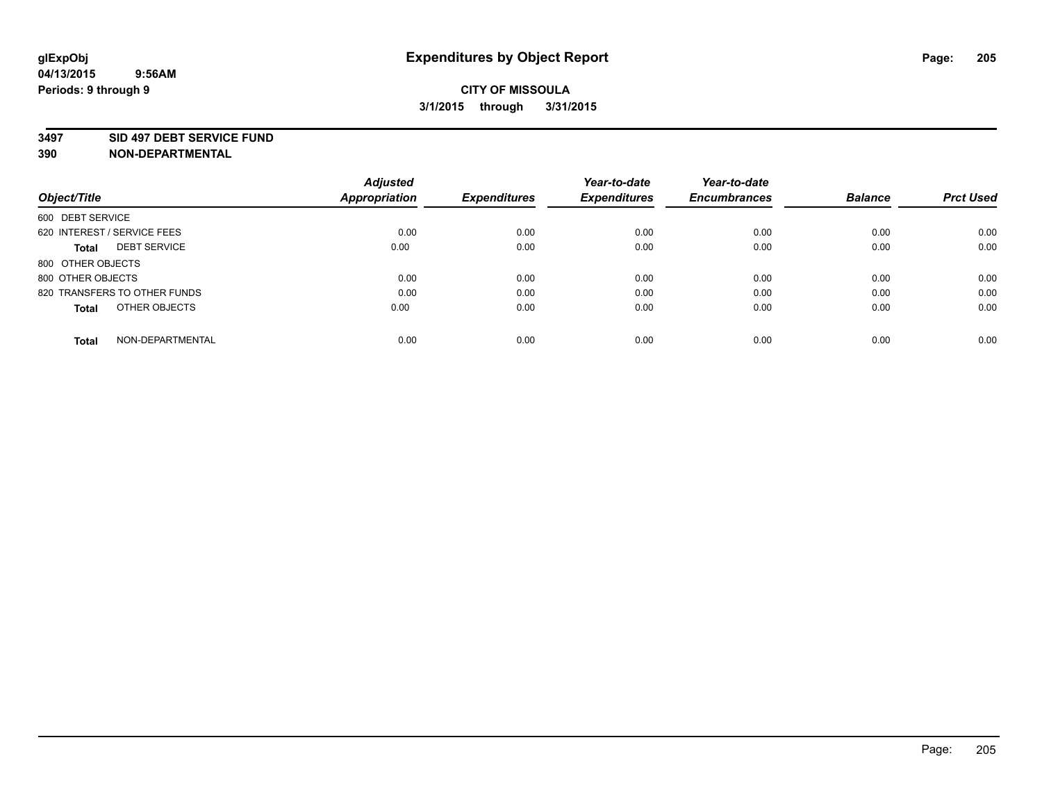### **3497 SID 497 DEBT SERVICE FUND**

|                                     | <b>Adjusted</b>      |                     | Year-to-date        | Year-to-date        |                |                  |
|-------------------------------------|----------------------|---------------------|---------------------|---------------------|----------------|------------------|
| Object/Title                        | <b>Appropriation</b> | <b>Expenditures</b> | <b>Expenditures</b> | <b>Encumbrances</b> | <b>Balance</b> | <b>Prct Used</b> |
| 600 DEBT SERVICE                    |                      |                     |                     |                     |                |                  |
| 620 INTEREST / SERVICE FEES         | 0.00                 | 0.00                | 0.00                | 0.00                | 0.00           | 0.00             |
| <b>DEBT SERVICE</b><br><b>Total</b> | 0.00                 | 0.00                | 0.00                | 0.00                | 0.00           | 0.00             |
| 800 OTHER OBJECTS                   |                      |                     |                     |                     |                |                  |
| 800 OTHER OBJECTS                   | 0.00                 | 0.00                | 0.00                | 0.00                | 0.00           | 0.00             |
| 820 TRANSFERS TO OTHER FUNDS        | 0.00                 | 0.00                | 0.00                | 0.00                | 0.00           | 0.00             |
| OTHER OBJECTS<br><b>Total</b>       | 0.00                 | 0.00                | 0.00                | 0.00                | 0.00           | 0.00             |
| NON-DEPARTMENTAL<br>Total           | 0.00                 | 0.00                | 0.00                | 0.00                | 0.00           | 0.00             |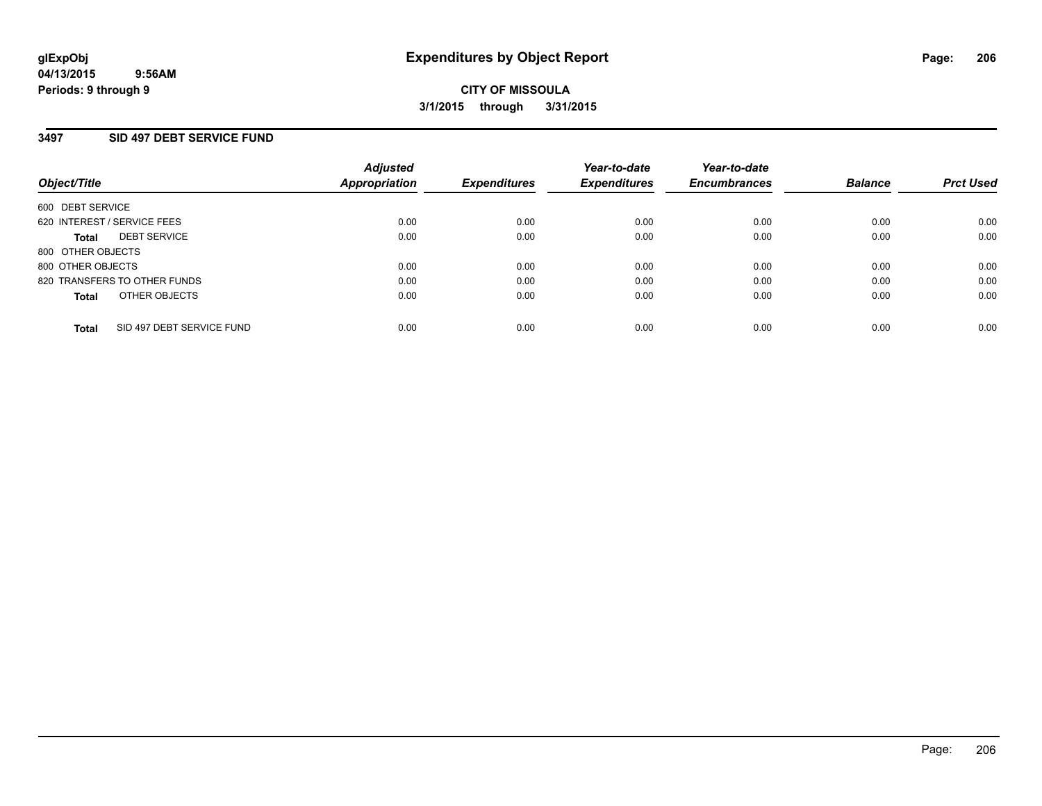## **3497 SID 497 DEBT SERVICE FUND**

| Object/Title                        | <b>Adjusted</b><br><b>Appropriation</b> | <b>Expenditures</b> | Year-to-date<br><b>Expenditures</b> | Year-to-date<br><b>Encumbrances</b> | <b>Balance</b> | <b>Prct Used</b> |
|-------------------------------------|-----------------------------------------|---------------------|-------------------------------------|-------------------------------------|----------------|------------------|
| 600 DEBT SERVICE                    |                                         |                     |                                     |                                     |                |                  |
| 620 INTEREST / SERVICE FEES         | 0.00                                    | 0.00                | 0.00                                | 0.00                                | 0.00           | 0.00             |
| <b>DEBT SERVICE</b><br><b>Total</b> | 0.00                                    | 0.00                | 0.00                                | 0.00                                | 0.00           | 0.00             |
| 800 OTHER OBJECTS                   |                                         |                     |                                     |                                     |                |                  |
| 800 OTHER OBJECTS                   | 0.00                                    | 0.00                | 0.00                                | 0.00                                | 0.00           | 0.00             |
| 820 TRANSFERS TO OTHER FUNDS        | 0.00                                    | 0.00                | 0.00                                | 0.00                                | 0.00           | 0.00             |
| OTHER OBJECTS<br>Total              | 0.00                                    | 0.00                | 0.00                                | 0.00                                | 0.00           | 0.00             |
| SID 497 DEBT SERVICE FUND<br>Total  | 0.00                                    | 0.00                | 0.00                                | 0.00                                | 0.00           | 0.00             |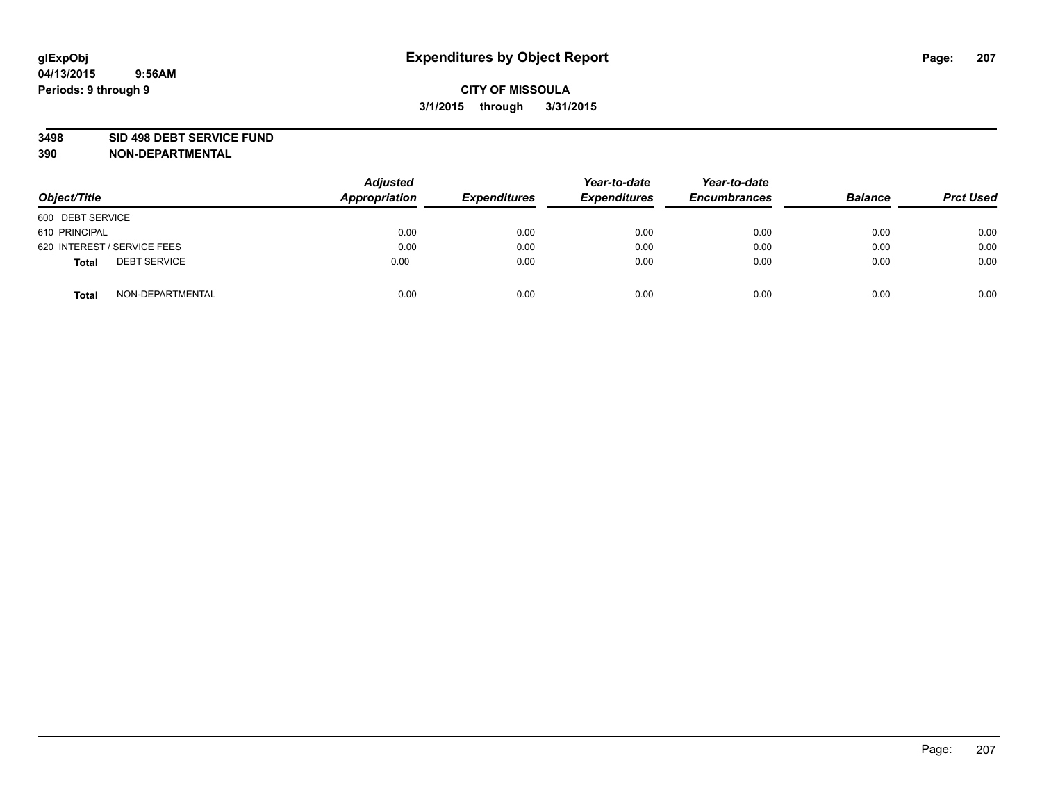### **3498 SID 498 DEBT SERVICE FUND**

| Object/Title                        | <b>Adjusted</b><br>Appropriation | <b>Expenditures</b> | Year-to-date<br><b>Expenditures</b> | Year-to-date<br><b>Encumbrances</b> | <b>Balance</b> | <b>Prct Used</b> |
|-------------------------------------|----------------------------------|---------------------|-------------------------------------|-------------------------------------|----------------|------------------|
| 600 DEBT SERVICE                    |                                  |                     |                                     |                                     |                |                  |
| 610 PRINCIPAL                       | 0.00                             | 0.00                | 0.00                                | 0.00                                | 0.00           | 0.00             |
| 620 INTEREST / SERVICE FEES         | 0.00                             | 0.00                | 0.00                                | 0.00                                | 0.00           | 0.00             |
| <b>DEBT SERVICE</b><br><b>Total</b> | 0.00                             | 0.00                | 0.00                                | 0.00                                | 0.00           | 0.00             |
| NON-DEPARTMENTAL<br><b>Total</b>    | 0.00                             | 0.00                | 0.00                                | 0.00                                | 0.00           | 0.00             |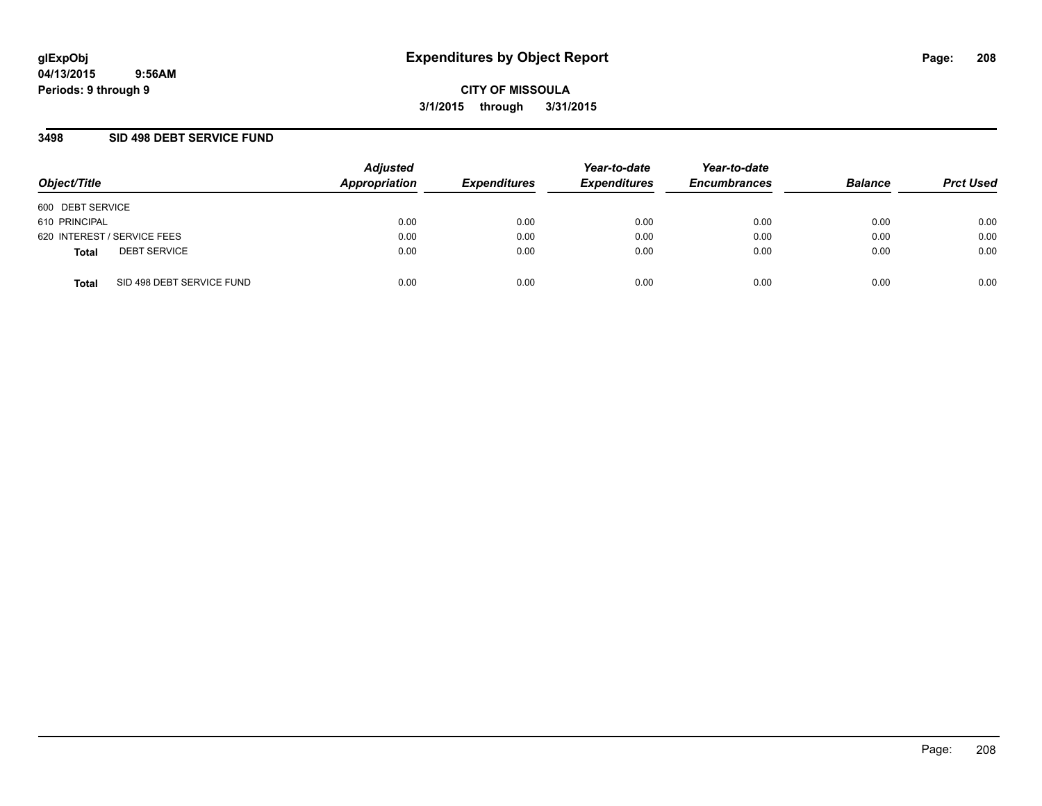## **3498 SID 498 DEBT SERVICE FUND**

| Object/Title                              | <b>Adjusted</b><br>Appropriation | <b>Expenditures</b> | Year-to-date<br><b>Expenditures</b> | Year-to-date<br><b>Encumbrances</b> | <b>Balance</b> | <b>Prct Used</b> |
|-------------------------------------------|----------------------------------|---------------------|-------------------------------------|-------------------------------------|----------------|------------------|
| 600 DEBT SERVICE                          |                                  |                     |                                     |                                     |                |                  |
| 610 PRINCIPAL                             | 0.00                             | 0.00                | 0.00                                | 0.00                                | 0.00           | 0.00             |
| 620 INTEREST / SERVICE FEES               | 0.00                             | 0.00                | 0.00                                | 0.00                                | 0.00           | 0.00             |
| <b>DEBT SERVICE</b><br><b>Total</b>       | 0.00                             | 0.00                | 0.00                                | 0.00                                | 0.00           | 0.00             |
| SID 498 DEBT SERVICE FUND<br><b>Total</b> | 0.00                             | 0.00                | 0.00                                | 0.00                                | 0.00           | 0.00             |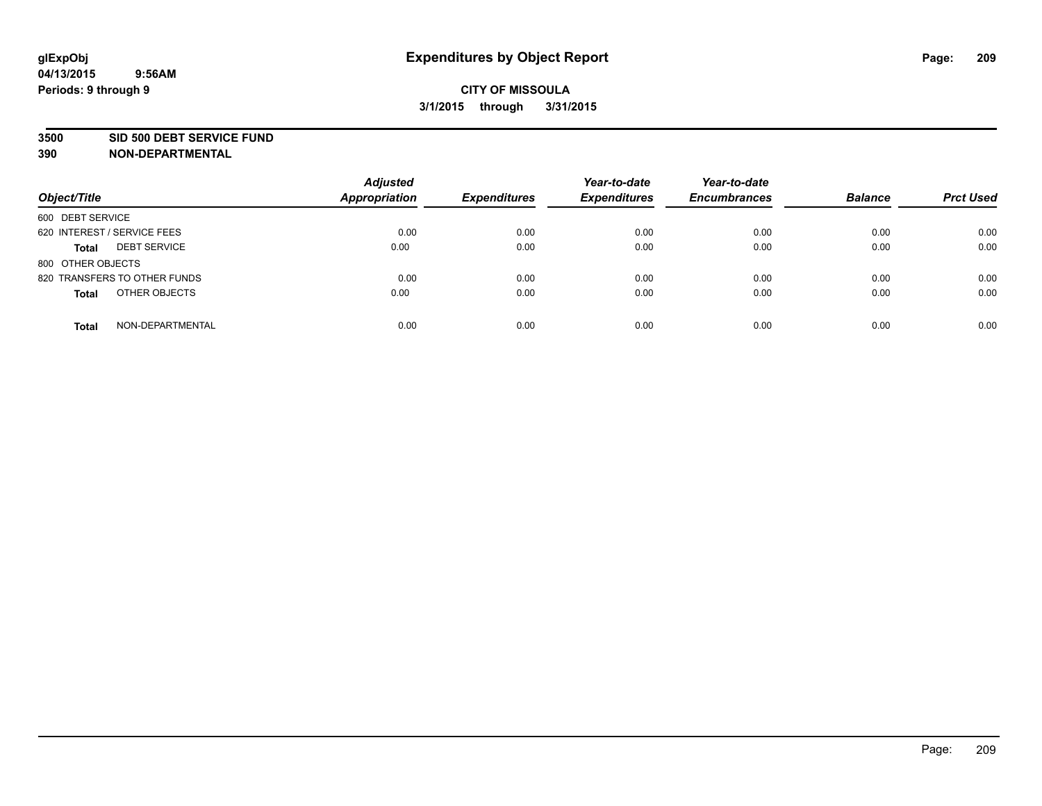### **3500 SID 500 DEBT SERVICE FUND**

| Object/Title                        | <b>Adjusted</b><br><b>Appropriation</b> | <b>Expenditures</b> | Year-to-date<br><b>Expenditures</b> | Year-to-date<br><b>Encumbrances</b> | <b>Balance</b> | <b>Prct Used</b> |
|-------------------------------------|-----------------------------------------|---------------------|-------------------------------------|-------------------------------------|----------------|------------------|
| 600 DEBT SERVICE                    |                                         |                     |                                     |                                     |                |                  |
| 620 INTEREST / SERVICE FEES         | 0.00                                    | 0.00                | 0.00                                | 0.00                                | 0.00           | 0.00             |
| <b>DEBT SERVICE</b><br><b>Total</b> | 0.00                                    | 0.00                | 0.00                                | 0.00                                | 0.00           | 0.00             |
| 800 OTHER OBJECTS                   |                                         |                     |                                     |                                     |                |                  |
| 820 TRANSFERS TO OTHER FUNDS        | 0.00                                    | 0.00                | 0.00                                | 0.00                                | 0.00           | 0.00             |
| OTHER OBJECTS<br><b>Total</b>       | 0.00                                    | 0.00                | 0.00                                | 0.00                                | 0.00           | 0.00             |
| NON-DEPARTMENTAL<br><b>Total</b>    | 0.00                                    | 0.00                | 0.00                                | 0.00                                | 0.00           | 0.00             |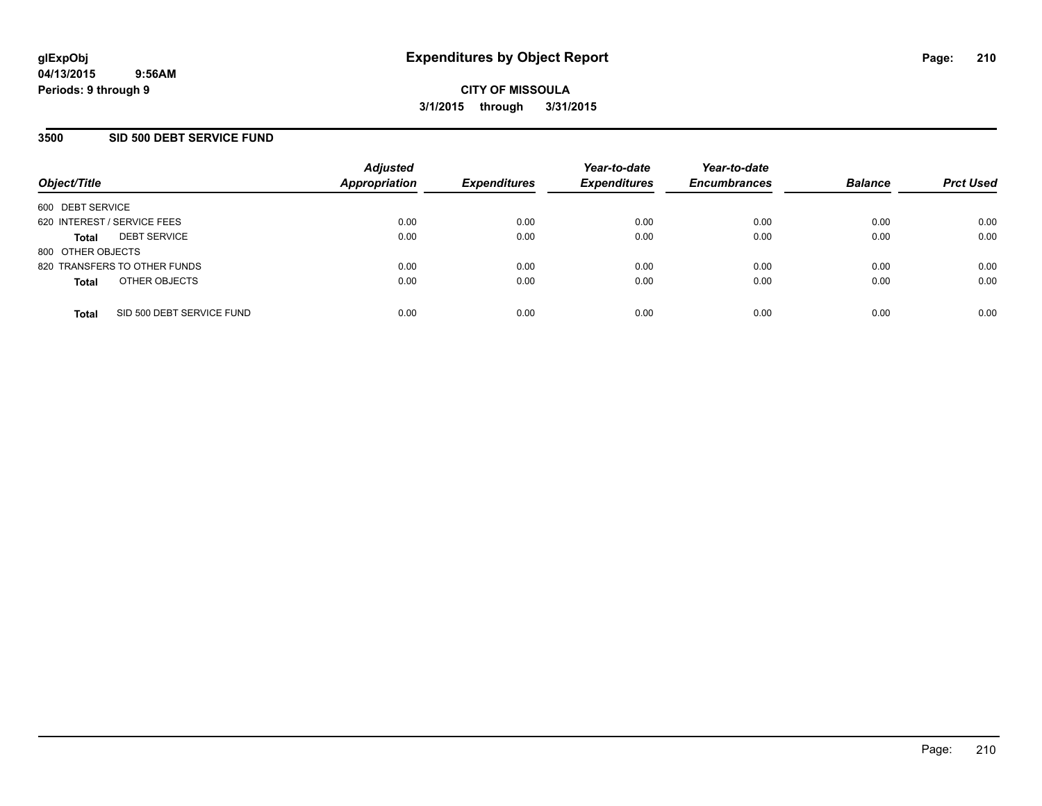## **3500 SID 500 DEBT SERVICE FUND**

| Object/Title                |                              | <b>Adjusted</b><br><b>Appropriation</b> | <b>Expenditures</b> | Year-to-date<br><b>Expenditures</b> | Year-to-date<br><b>Encumbrances</b> | <b>Balance</b> | <b>Prct Used</b> |
|-----------------------------|------------------------------|-----------------------------------------|---------------------|-------------------------------------|-------------------------------------|----------------|------------------|
| 600 DEBT SERVICE            |                              |                                         |                     |                                     |                                     |                |                  |
| 620 INTEREST / SERVICE FEES |                              | 0.00                                    | 0.00                | 0.00                                | 0.00                                | 0.00           | 0.00             |
| <b>Total</b>                | <b>DEBT SERVICE</b>          | 0.00                                    | 0.00                | 0.00                                | 0.00                                | 0.00           | 0.00             |
| 800 OTHER OBJECTS           |                              |                                         |                     |                                     |                                     |                |                  |
|                             | 820 TRANSFERS TO OTHER FUNDS | 0.00                                    | 0.00                | 0.00                                | 0.00                                | 0.00           | 0.00             |
| <b>Total</b>                | OTHER OBJECTS                | 0.00                                    | 0.00                | 0.00                                | 0.00                                | 0.00           | 0.00             |
| <b>Total</b>                | SID 500 DEBT SERVICE FUND    | 0.00                                    | 0.00                | 0.00                                | 0.00                                | 0.00           | 0.00             |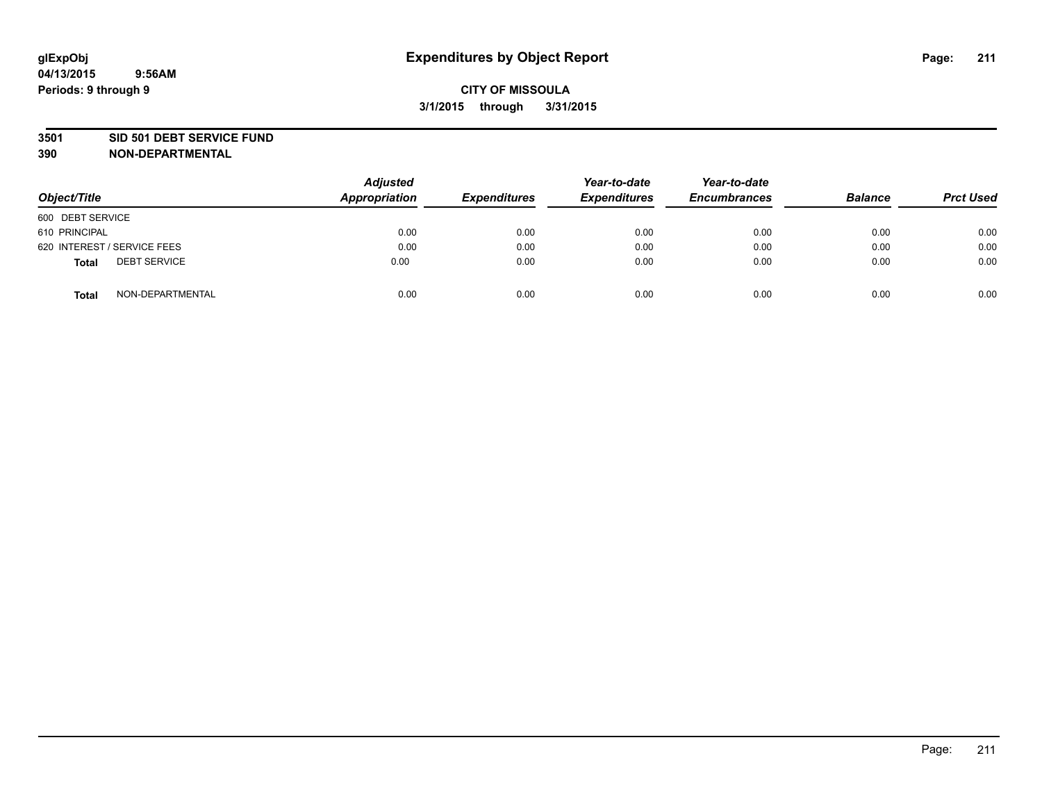## **3501 SID 501 DEBT SERVICE FUND**

| Object/Title                        | <b>Adjusted</b><br>Appropriation | <b>Expenditures</b> | Year-to-date<br><b>Expenditures</b> | Year-to-date<br><b>Encumbrances</b> | <b>Balance</b> | <b>Prct Used</b> |
|-------------------------------------|----------------------------------|---------------------|-------------------------------------|-------------------------------------|----------------|------------------|
| 600 DEBT SERVICE                    |                                  |                     |                                     |                                     |                |                  |
| 610 PRINCIPAL                       | 0.00                             | 0.00                | 0.00                                | 0.00                                | 0.00           | 0.00             |
| 620 INTEREST / SERVICE FEES         | 0.00                             | 0.00                | 0.00                                | 0.00                                | 0.00           | 0.00             |
| <b>DEBT SERVICE</b><br><b>Total</b> | 0.00                             | 0.00                | 0.00                                | 0.00                                | 0.00           | 0.00             |
| NON-DEPARTMENTAL<br><b>Total</b>    | 0.00                             | 0.00                | 0.00                                | 0.00                                | 0.00           | 0.00             |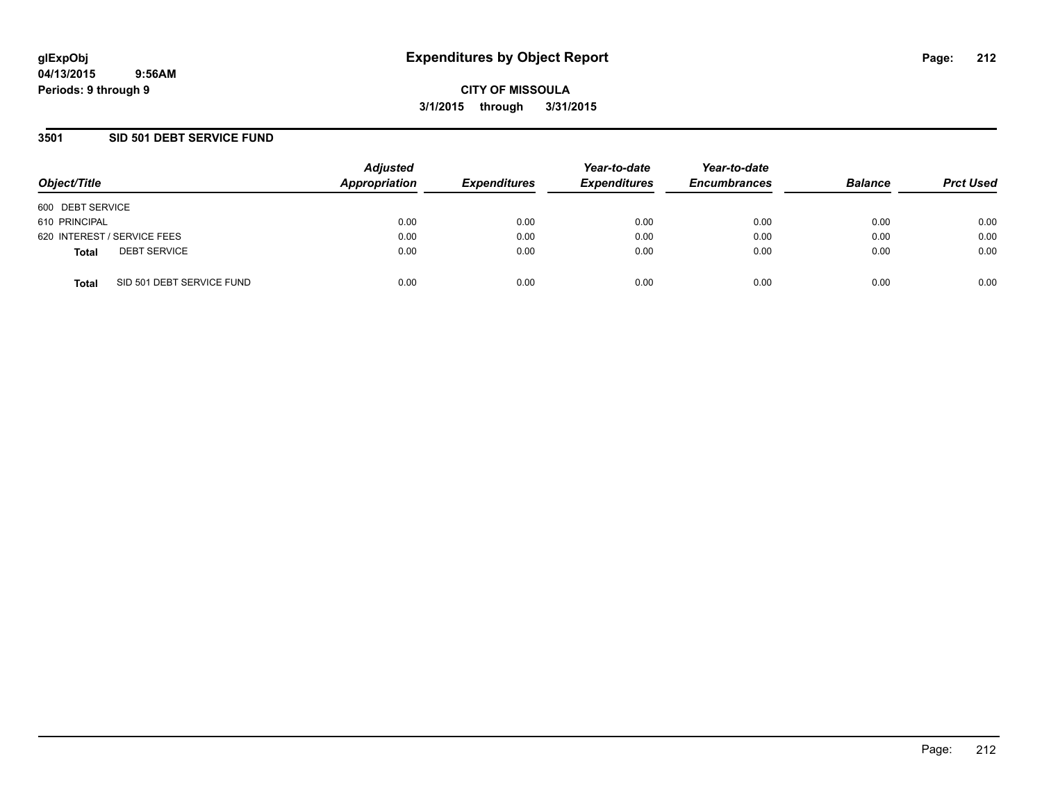## **3501 SID 501 DEBT SERVICE FUND**

| Object/Title                              | <b>Adjusted</b><br>Appropriation | <b>Expenditures</b> | Year-to-date<br><b>Expenditures</b> | Year-to-date<br><b>Encumbrances</b> | <b>Balance</b> | <b>Prct Used</b> |
|-------------------------------------------|----------------------------------|---------------------|-------------------------------------|-------------------------------------|----------------|------------------|
| 600 DEBT SERVICE                          |                                  |                     |                                     |                                     |                |                  |
| 610 PRINCIPAL                             | 0.00                             | 0.00                | 0.00                                | 0.00                                | 0.00           | 0.00             |
| 620 INTEREST / SERVICE FEES               | 0.00                             | 0.00                | 0.00                                | 0.00                                | 0.00           | 0.00             |
| <b>DEBT SERVICE</b><br><b>Total</b>       | 0.00                             | 0.00                | 0.00                                | 0.00                                | 0.00           | 0.00             |
| SID 501 DEBT SERVICE FUND<br><b>Total</b> | 0.00                             | 0.00                | 0.00                                | 0.00                                | 0.00           | 0.00             |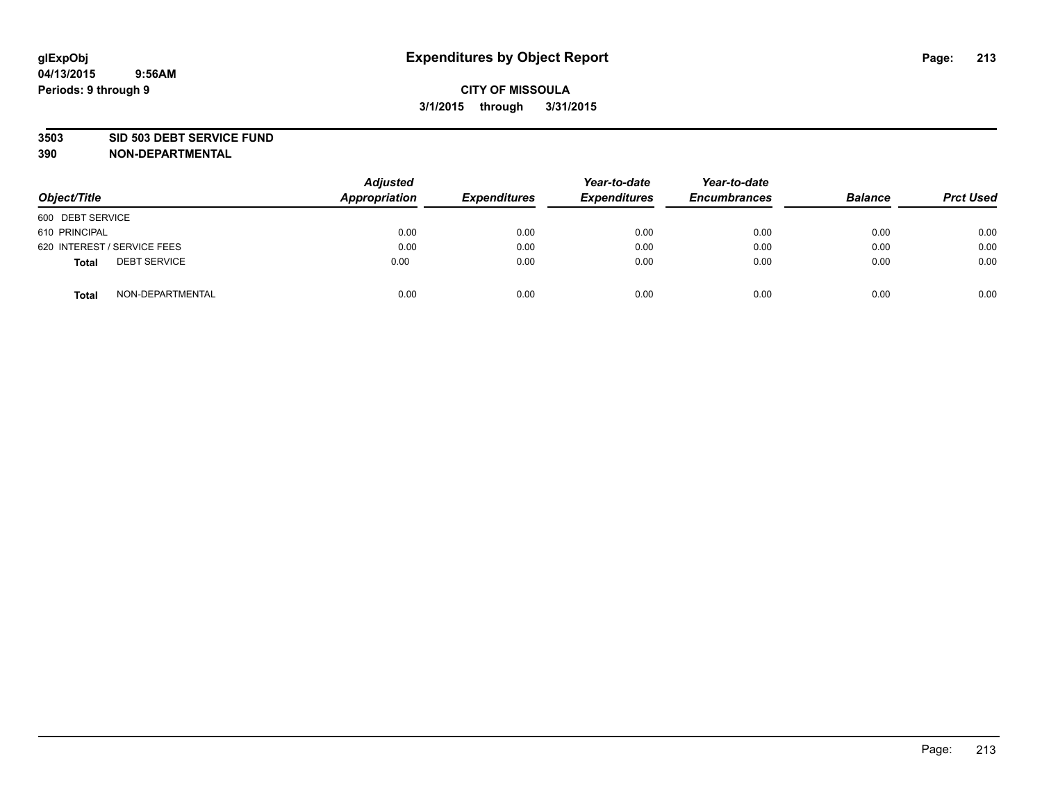## **3503 SID 503 DEBT SERVICE FUND**

| Object/Title                        | <b>Adjusted</b><br>Appropriation | <b>Expenditures</b> | Year-to-date<br><b>Expenditures</b> | Year-to-date<br><b>Encumbrances</b> | <b>Balance</b> | <b>Prct Used</b> |
|-------------------------------------|----------------------------------|---------------------|-------------------------------------|-------------------------------------|----------------|------------------|
| 600 DEBT SERVICE                    |                                  |                     |                                     |                                     |                |                  |
| 610 PRINCIPAL                       | 0.00                             | 0.00                | 0.00                                | 0.00                                | 0.00           | 0.00             |
| 620 INTEREST / SERVICE FEES         | 0.00                             | 0.00                | 0.00                                | 0.00                                | 0.00           | 0.00             |
| <b>DEBT SERVICE</b><br><b>Total</b> | 0.00                             | 0.00                | 0.00                                | 0.00                                | 0.00           | 0.00             |
| NON-DEPARTMENTAL<br><b>Total</b>    | 0.00                             | 0.00                | 0.00                                | 0.00                                | 0.00           | 0.00             |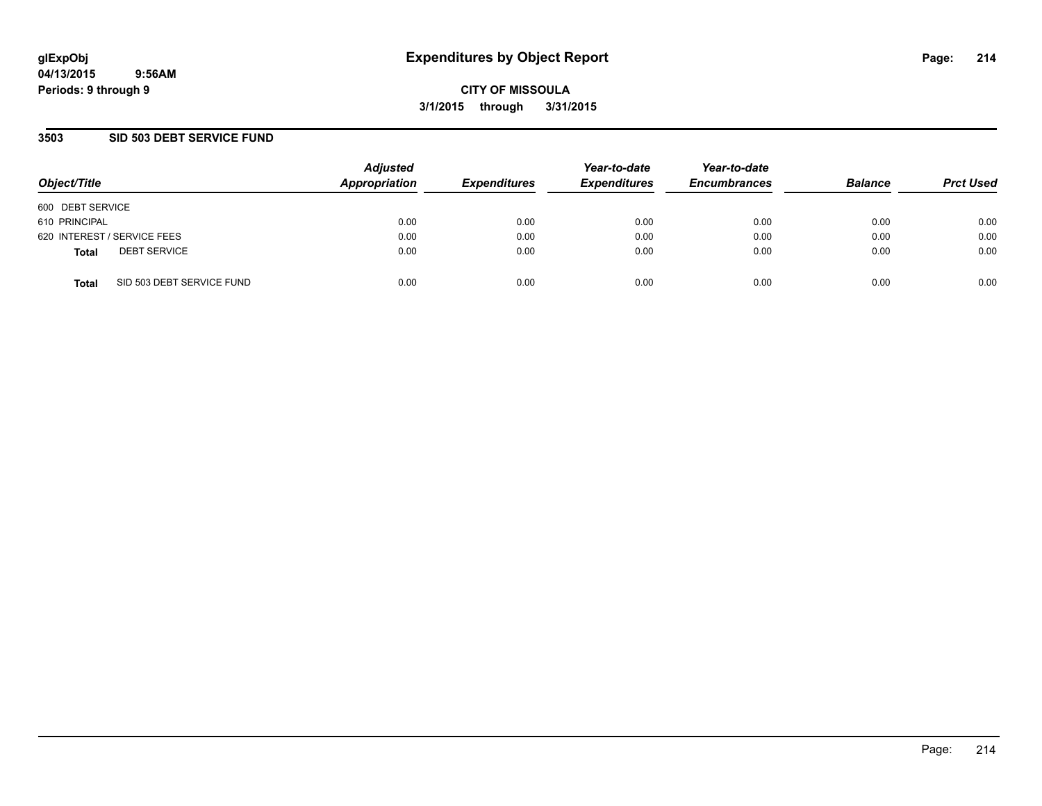## **3503 SID 503 DEBT SERVICE FUND**

| Object/Title                        |                           | <b>Adjusted</b><br>Appropriation | <b>Expenditures</b> | Year-to-date<br><b>Expenditures</b> | Year-to-date<br><b>Encumbrances</b> | <b>Balance</b> | <b>Prct Used</b> |
|-------------------------------------|---------------------------|----------------------------------|---------------------|-------------------------------------|-------------------------------------|----------------|------------------|
| 600 DEBT SERVICE                    |                           |                                  |                     |                                     |                                     |                |                  |
| 610 PRINCIPAL                       |                           | 0.00                             | 0.00                | 0.00                                | 0.00                                | 0.00           | 0.00             |
| 620 INTEREST / SERVICE FEES         |                           | 0.00                             | 0.00                | 0.00                                | 0.00                                | 0.00           | 0.00             |
| <b>DEBT SERVICE</b><br><b>Total</b> |                           | 0.00                             | 0.00                | 0.00                                | 0.00                                | 0.00           | 0.00             |
| <b>Total</b>                        | SID 503 DEBT SERVICE FUND | 0.00                             | 0.00                | 0.00                                | 0.00                                | 0.00           | 0.00             |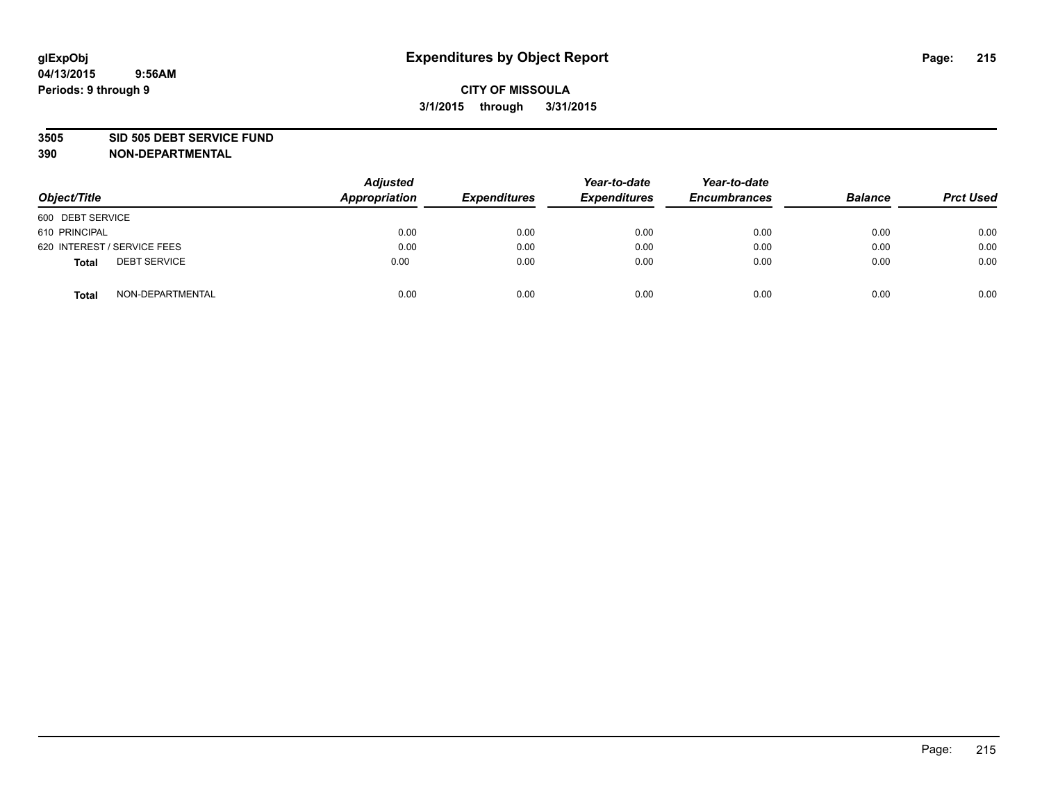### **3505 SID 505 DEBT SERVICE FUND**

| Object/Title                        | <b>Adjusted</b><br><b>Appropriation</b> | <b>Expenditures</b> | Year-to-date<br><b>Expenditures</b> | Year-to-date<br><b>Encumbrances</b> | <b>Balance</b> | <b>Prct Used</b> |
|-------------------------------------|-----------------------------------------|---------------------|-------------------------------------|-------------------------------------|----------------|------------------|
| 600 DEBT SERVICE                    |                                         |                     |                                     |                                     |                |                  |
| 610 PRINCIPAL                       | 0.00                                    | 0.00                | 0.00                                | 0.00                                | 0.00           | 0.00             |
| 620 INTEREST / SERVICE FEES         | 0.00                                    | 0.00                | 0.00                                | 0.00                                | 0.00           | 0.00             |
| <b>DEBT SERVICE</b><br><b>Total</b> | 0.00                                    | 0.00                | 0.00                                | 0.00                                | 0.00           | 0.00             |
| NON-DEPARTMENTAL<br><b>Total</b>    | 0.00                                    | 0.00                | 0.00                                | 0.00                                | 0.00           | 0.00             |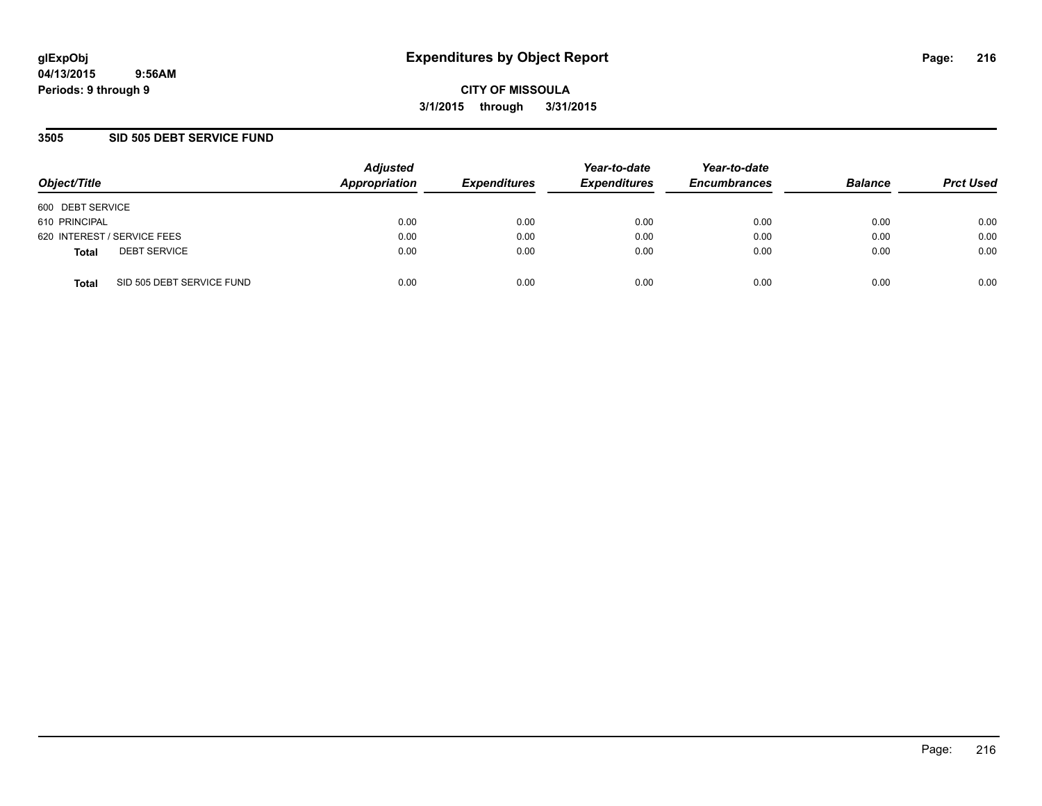**CITY OF MISSOULA 3/1/2015 through 3/31/2015**

## **3505 SID 505 DEBT SERVICE FUND**

| Object/Title                              | <b>Adjusted</b><br>Appropriation | <b>Expenditures</b> | Year-to-date<br><b>Expenditures</b> | Year-to-date<br><b>Encumbrances</b> | <b>Balance</b> | <b>Prct Used</b> |
|-------------------------------------------|----------------------------------|---------------------|-------------------------------------|-------------------------------------|----------------|------------------|
| 600 DEBT SERVICE                          |                                  |                     |                                     |                                     |                |                  |
| 610 PRINCIPAL                             | 0.00                             | 0.00                | 0.00                                | 0.00                                | 0.00           | 0.00             |
| 620 INTEREST / SERVICE FEES               | 0.00                             | 0.00                | 0.00                                | 0.00                                | 0.00           | 0.00             |
| <b>DEBT SERVICE</b><br><b>Total</b>       | 0.00                             | 0.00                | 0.00                                | 0.00                                | 0.00           | 0.00             |
| SID 505 DEBT SERVICE FUND<br><b>Total</b> | 0.00                             | 0.00                | 0.00                                | 0.00                                | 0.00           | 0.00             |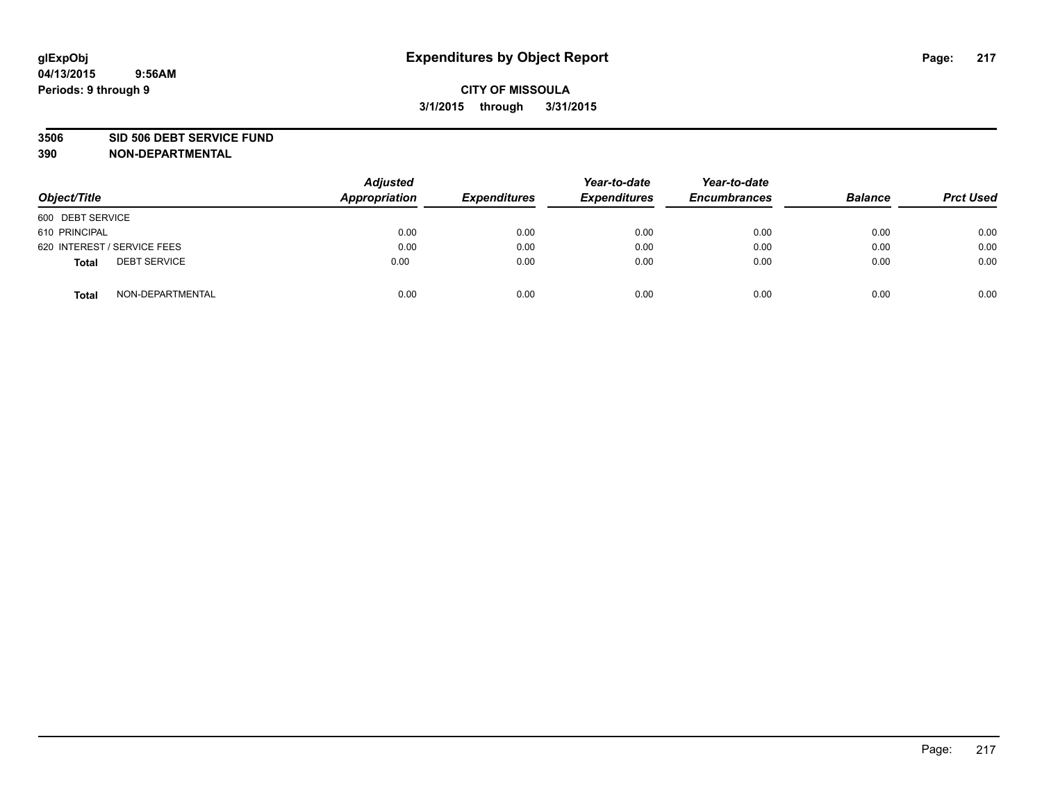#### **3506 SID 506 DEBT SERVICE FUND**

| Object/Title                        | <b>Adjusted</b><br>Appropriation | <b>Expenditures</b> | Year-to-date<br><b>Expenditures</b> | Year-to-date<br><b>Encumbrances</b> | <b>Balance</b> | <b>Prct Used</b> |
|-------------------------------------|----------------------------------|---------------------|-------------------------------------|-------------------------------------|----------------|------------------|
| 600 DEBT SERVICE                    |                                  |                     |                                     |                                     |                |                  |
| 610 PRINCIPAL                       | 0.00                             | 0.00                | 0.00                                | 0.00                                | 0.00           | 0.00             |
| 620 INTEREST / SERVICE FEES         | 0.00                             | 0.00                | 0.00                                | 0.00                                | 0.00           | 0.00             |
| <b>DEBT SERVICE</b><br><b>Total</b> | 0.00                             | 0.00                | 0.00                                | 0.00                                | 0.00           | 0.00             |
| NON-DEPARTMENTAL<br><b>Total</b>    | 0.00                             | 0.00                | 0.00                                | 0.00                                | 0.00           | 0.00             |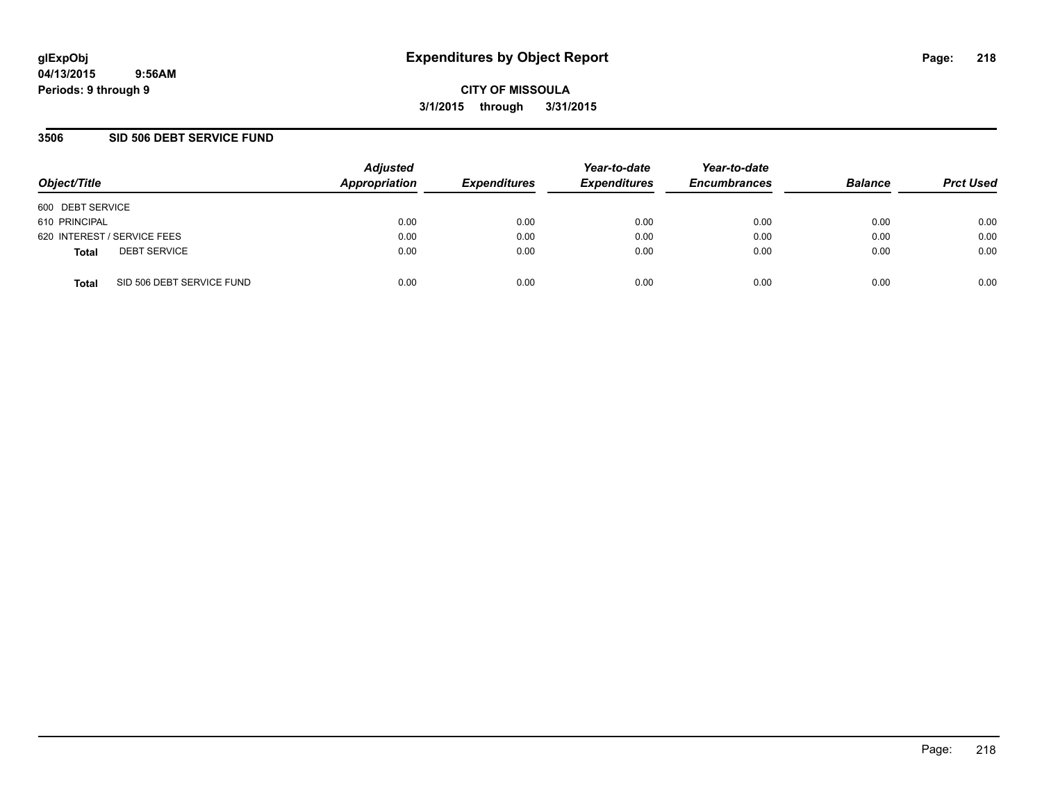**04/13/2015 9:56AM Periods: 9 through 9**

**CITY OF MISSOULA 3/1/2015 through 3/31/2015**

### **3506 SID 506 DEBT SERVICE FUND**

| Object/Title                              | <b>Adjusted</b><br>Appropriation | <b>Expenditures</b> | Year-to-date<br><b>Expenditures</b> | Year-to-date<br><b>Encumbrances</b> | <b>Balance</b> | <b>Prct Used</b> |
|-------------------------------------------|----------------------------------|---------------------|-------------------------------------|-------------------------------------|----------------|------------------|
| 600 DEBT SERVICE                          |                                  |                     |                                     |                                     |                |                  |
| 610 PRINCIPAL                             | 0.00                             | 0.00                | 0.00                                | 0.00                                | 0.00           | 0.00             |
| 620 INTEREST / SERVICE FEES               | 0.00                             | 0.00                | 0.00                                | 0.00                                | 0.00           | 0.00             |
| <b>DEBT SERVICE</b><br><b>Total</b>       | 0.00                             | 0.00                | 0.00                                | 0.00                                | 0.00           | 0.00             |
| SID 506 DEBT SERVICE FUND<br><b>Total</b> | 0.00                             | 0.00                | 0.00                                | 0.00                                | 0.00           | 0.00             |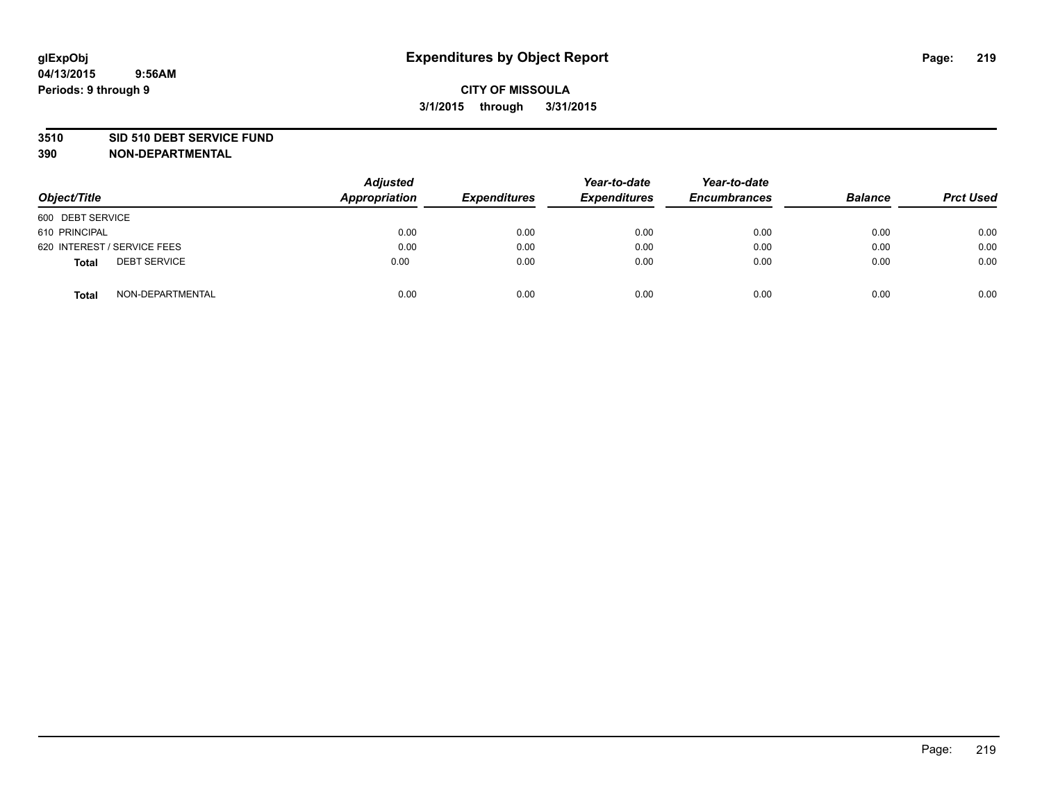#### **3510 SID 510 DEBT SERVICE FUND**

| Object/Title                        | <b>Adjusted</b><br>Appropriation | <b>Expenditures</b> | Year-to-date<br><b>Expenditures</b> | Year-to-date<br><b>Encumbrances</b> | <b>Balance</b> | <b>Prct Used</b> |
|-------------------------------------|----------------------------------|---------------------|-------------------------------------|-------------------------------------|----------------|------------------|
| 600 DEBT SERVICE                    |                                  |                     |                                     |                                     |                |                  |
| 610 PRINCIPAL                       | 0.00                             | 0.00                | 0.00                                | 0.00                                | 0.00           | 0.00             |
| 620 INTEREST / SERVICE FEES         | 0.00                             | 0.00                | 0.00                                | 0.00                                | 0.00           | 0.00             |
| <b>DEBT SERVICE</b><br><b>Total</b> | 0.00                             | 0.00                | 0.00                                | 0.00                                | 0.00           | 0.00             |
| NON-DEPARTMENTAL<br><b>Total</b>    | 0.00                             | 0.00                | 0.00                                | 0.00                                | 0.00           | 0.00             |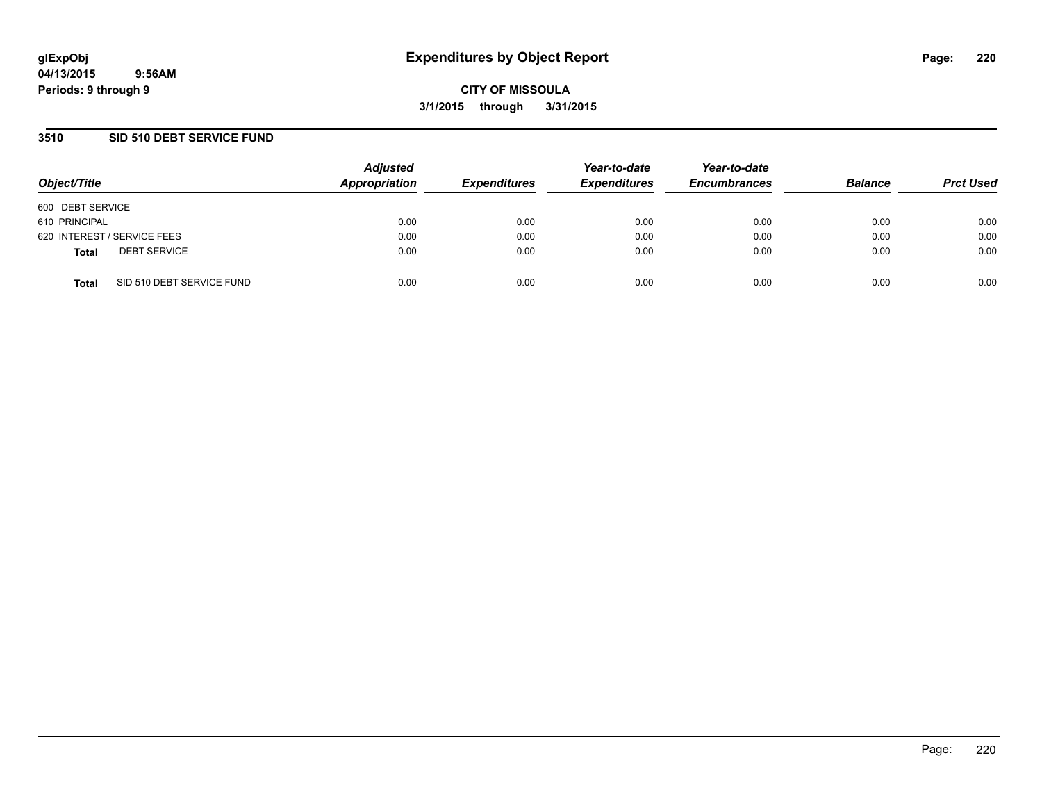### **3510 SID 510 DEBT SERVICE FUND**

| Object/Title                              | <b>Adjusted</b><br>Appropriation | <b>Expenditures</b> | Year-to-date<br><b>Expenditures</b> | Year-to-date<br><b>Encumbrances</b> | <b>Balance</b> | <b>Prct Used</b> |
|-------------------------------------------|----------------------------------|---------------------|-------------------------------------|-------------------------------------|----------------|------------------|
| 600 DEBT SERVICE                          |                                  |                     |                                     |                                     |                |                  |
| 610 PRINCIPAL                             | 0.00                             | 0.00                | 0.00                                | 0.00                                | 0.00           | 0.00             |
| 620 INTEREST / SERVICE FEES               | 0.00                             | 0.00                | 0.00                                | 0.00                                | 0.00           | 0.00             |
| <b>DEBT SERVICE</b><br><b>Total</b>       | 0.00                             | 0.00                | 0.00                                | 0.00                                | 0.00           | 0.00             |
| SID 510 DEBT SERVICE FUND<br><b>Total</b> | 0.00                             | 0.00                | 0.00                                | 0.00                                | 0.00           | 0.00             |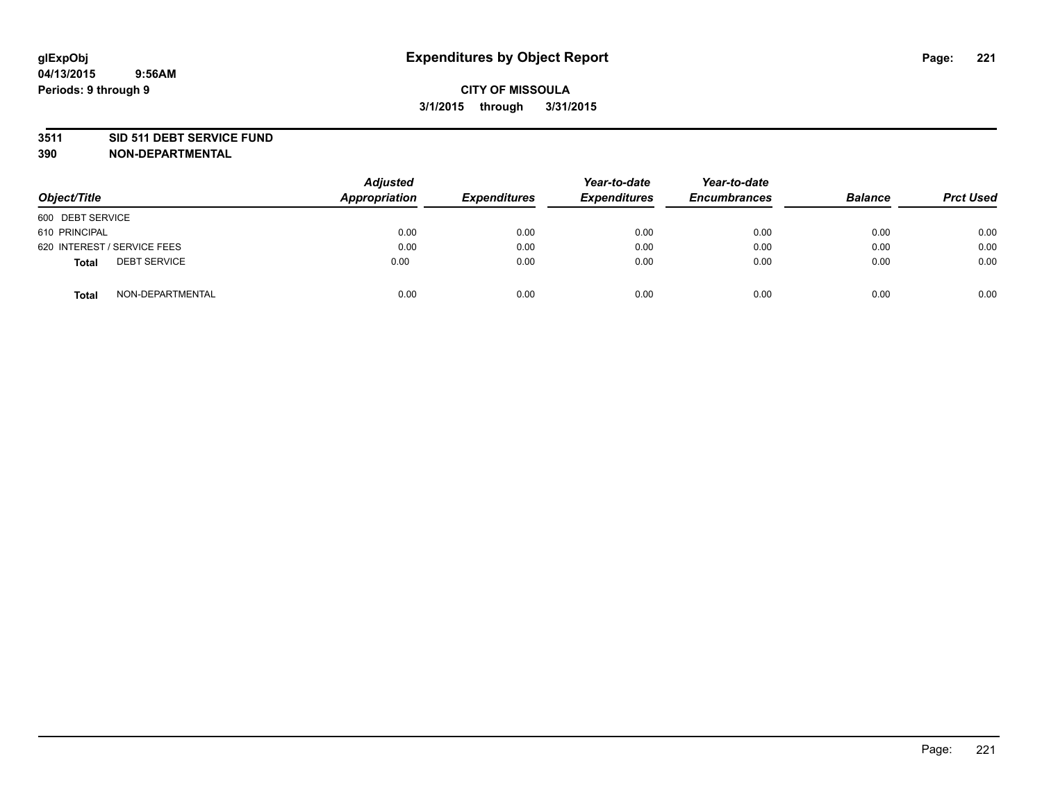#### **3511 SID 511 DEBT SERVICE FUND**

| Object/Title                 | Adjusted<br><b>Appropriation</b> | <b>Expenditures</b> | Year-to-date<br><b>Expenditures</b> | Year-to-date<br><b>Encumbrances</b> | <b>Balance</b> | <b>Prct Used</b> |
|------------------------------|----------------------------------|---------------------|-------------------------------------|-------------------------------------|----------------|------------------|
| 600 DEBT SERVICE             |                                  |                     |                                     |                                     |                |                  |
| 610 PRINCIPAL                | 0.00                             | 0.00                | 0.00                                | 0.00                                | 0.00           | 0.00             |
| 620 INTEREST / SERVICE FEES  | 0.00                             | 0.00                | 0.00                                | 0.00                                | 0.00           | 0.00             |
| <b>DEBT SERVICE</b><br>Total | 0.00                             | 0.00                | 0.00                                | 0.00                                | 0.00           | 0.00             |
| NON-DEPARTMENTAL<br>Total    | 0.00                             | 0.00                | 0.00                                | 0.00                                | 0.00           | 0.00             |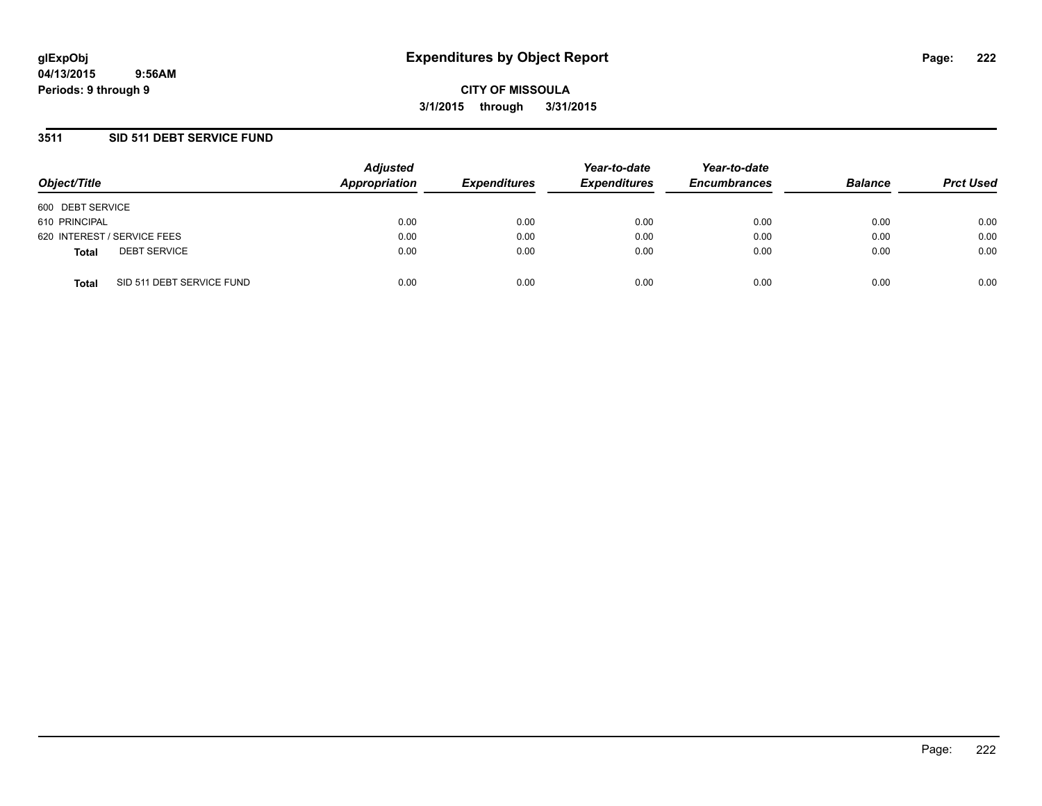**04/13/2015 9:56AM Periods: 9 through 9**

**CITY OF MISSOULA 3/1/2015 through 3/31/2015**

### **3511 SID 511 DEBT SERVICE FUND**

| Object/Title                              | <b>Adjusted</b><br>Appropriation | <b>Expenditures</b> | Year-to-date<br><b>Expenditures</b> | Year-to-date<br><b>Encumbrances</b> | <b>Balance</b> | <b>Prct Used</b> |
|-------------------------------------------|----------------------------------|---------------------|-------------------------------------|-------------------------------------|----------------|------------------|
| 600 DEBT SERVICE                          |                                  |                     |                                     |                                     |                |                  |
| 610 PRINCIPAL                             | 0.00                             | 0.00                | 0.00                                | 0.00                                | 0.00           | 0.00             |
| 620 INTEREST / SERVICE FEES               | 0.00                             | 0.00                | 0.00                                | 0.00                                | 0.00           | 0.00             |
| <b>DEBT SERVICE</b><br><b>Total</b>       | 0.00                             | 0.00                | 0.00                                | 0.00                                | 0.00           | 0.00             |
| SID 511 DEBT SERVICE FUND<br><b>Total</b> | 0.00                             | 0.00                | 0.00                                | 0.00                                | 0.00           | 0.00             |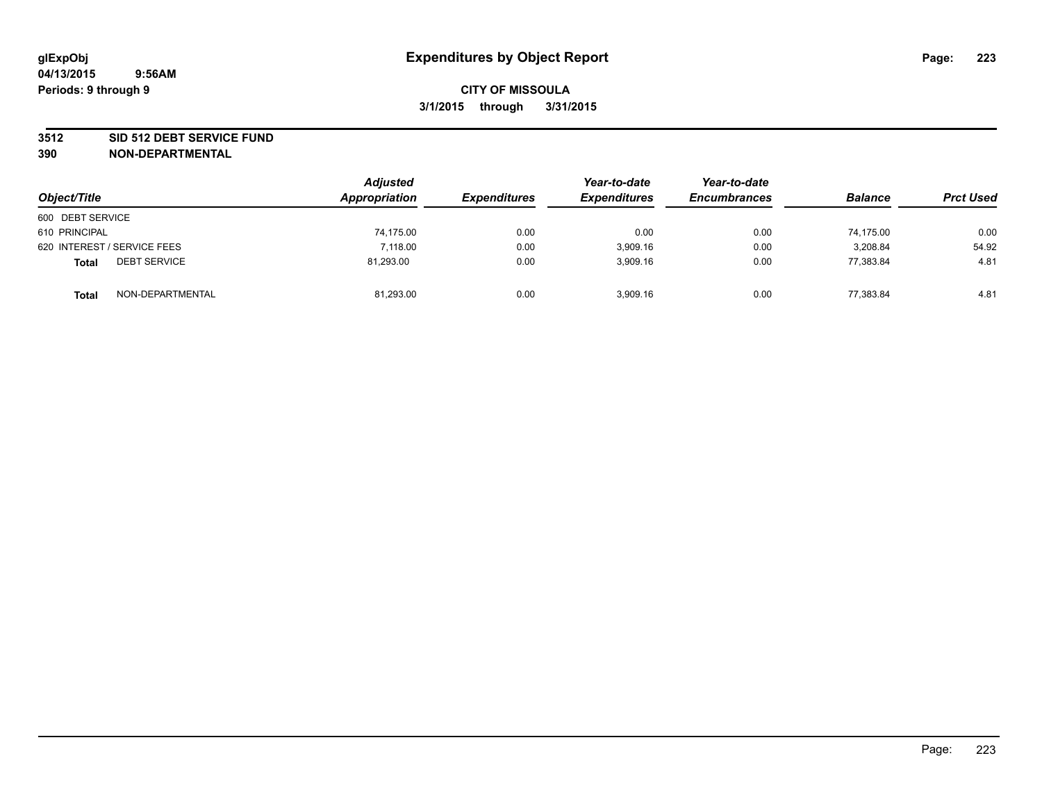#### **3512 SID 512 DEBT SERVICE FUND**

| Object/Title                        | Adjusted<br>Appropriation | <b>Expenditures</b> | Year-to-date<br><b>Expenditures</b> | Year-to-date<br><b>Encumbrances</b> | <b>Balance</b> | <b>Prct Used</b> |
|-------------------------------------|---------------------------|---------------------|-------------------------------------|-------------------------------------|----------------|------------------|
| 600 DEBT SERVICE                    |                           |                     |                                     |                                     |                |                  |
| 610 PRINCIPAL                       | 74,175.00                 | 0.00                | 0.00                                | 0.00                                | 74,175.00      | 0.00             |
| 620 INTEREST / SERVICE FEES         | 7,118.00                  | 0.00                | 3.909.16                            | 0.00                                | 3,208.84       | 54.92            |
| <b>DEBT SERVICE</b><br><b>Total</b> | 81,293.00                 | 0.00                | 3,909.16                            | 0.00                                | 77,383.84      | 4.81             |
| NON-DEPARTMENTAL<br><b>Total</b>    | 81,293.00                 | 0.00                | 3,909.16                            | 0.00                                | 77,383.84      | 4.81             |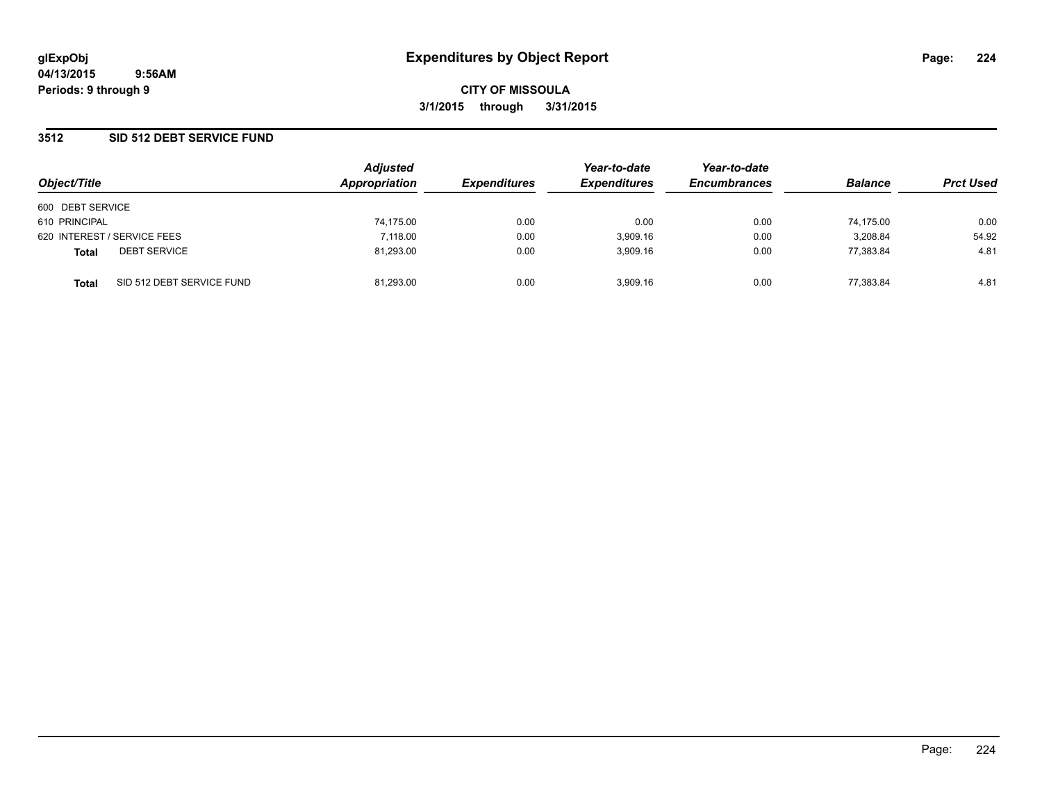### **3512 SID 512 DEBT SERVICE FUND**

| Object/Title     |                             | <b>Adjusted</b><br>Appropriation | <b>Expenditures</b> | Year-to-date<br><b>Expenditures</b> | Year-to-date<br><b>Encumbrances</b> | <b>Balance</b> | <b>Prct Used</b> |
|------------------|-----------------------------|----------------------------------|---------------------|-------------------------------------|-------------------------------------|----------------|------------------|
| 600 DEBT SERVICE |                             |                                  |                     |                                     |                                     |                |                  |
| 610 PRINCIPAL    |                             | 74,175.00                        | 0.00                | 0.00                                | 0.00                                | 74,175.00      | 0.00             |
|                  | 620 INTEREST / SERVICE FEES | 7.118.00                         | 0.00                | 3,909.16                            | 0.00                                | 3.208.84       | 54.92            |
| <b>Total</b>     | <b>DEBT SERVICE</b>         | 81,293.00                        | 0.00                | 3.909.16                            | 0.00                                | 77.383.84      | 4.81             |
| <b>Total</b>     | SID 512 DEBT SERVICE FUND   | 81.293.00                        | 0.00                | 3.909.16                            | 0.00                                | 77.383.84      | 4.81             |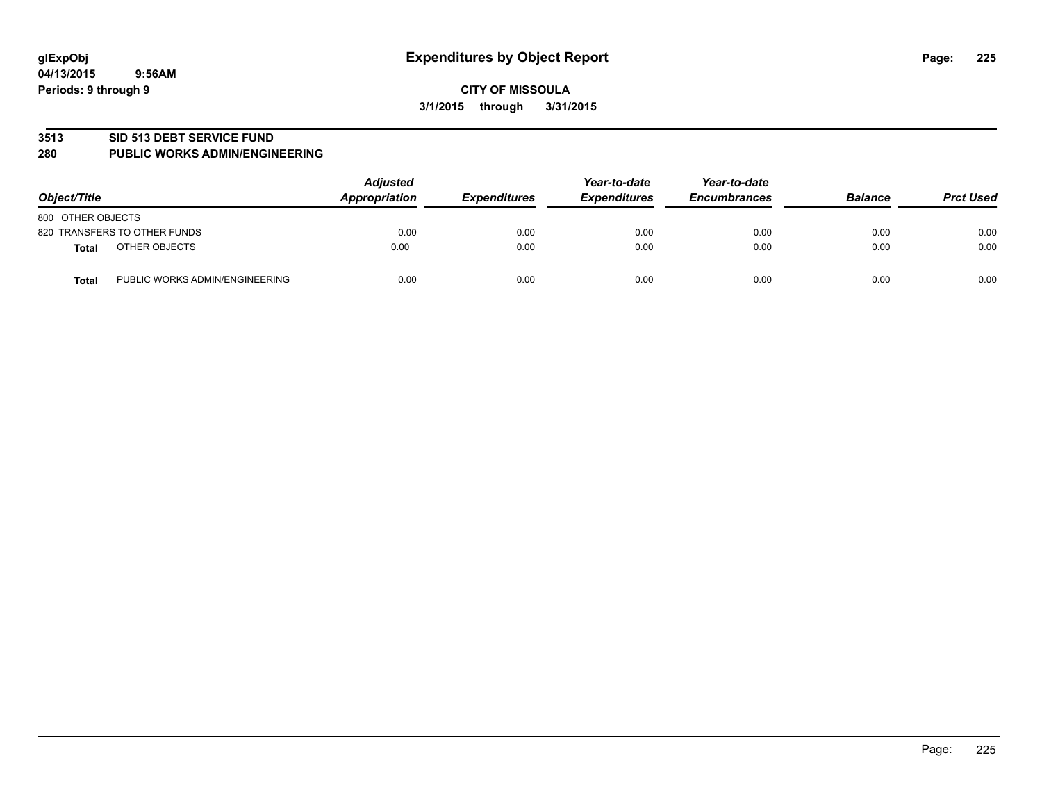#### **3513 SID 513 DEBT SERVICE FUND**

#### **280 PUBLIC WORKS ADMIN/ENGINEERING**

| Object/Title                            | <b>Adjusted</b><br>Appropriation | <b>Expenditures</b> | Year-to-date<br><b>Expenditures</b> | Year-to-date<br><b>Encumbrances</b> | <b>Balance</b> | <b>Prct Used</b> |
|-----------------------------------------|----------------------------------|---------------------|-------------------------------------|-------------------------------------|----------------|------------------|
| 800 OTHER OBJECTS                       |                                  |                     |                                     |                                     |                |                  |
| 820 TRANSFERS TO OTHER FUNDS            | 0.00                             | 0.00                | 0.00                                | 0.00                                | 0.00           | 0.00             |
| OTHER OBJECTS<br><b>Total</b>           | 0.00                             | 0.00                | 0.00                                | 0.00                                | 0.00           | 0.00             |
| PUBLIC WORKS ADMIN/ENGINEERING<br>Total | 0.00                             | 0.00                | 0.00                                | 0.00                                | 0.00           | 0.00             |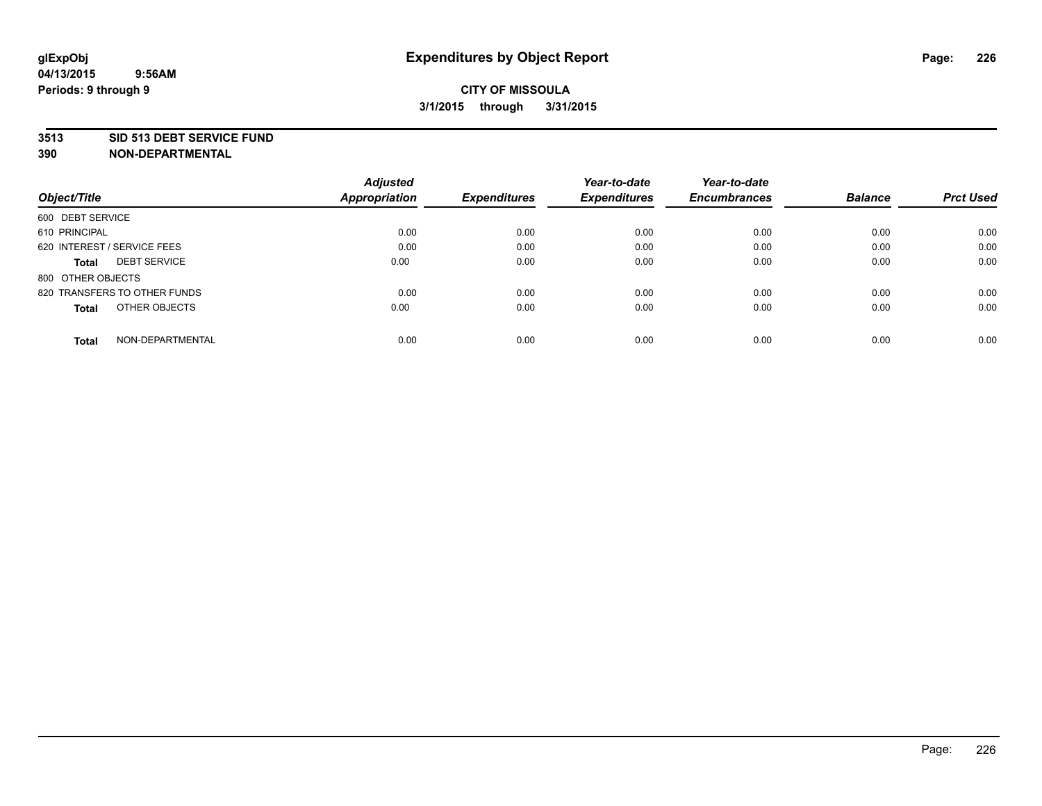#### **3513 SID 513 DEBT SERVICE FUND**

|                                     | <b>Adjusted</b>      |                     | Year-to-date        | Year-to-date        |                |                  |
|-------------------------------------|----------------------|---------------------|---------------------|---------------------|----------------|------------------|
| Object/Title                        | <b>Appropriation</b> | <b>Expenditures</b> | <b>Expenditures</b> | <b>Encumbrances</b> | <b>Balance</b> | <b>Prct Used</b> |
| 600 DEBT SERVICE                    |                      |                     |                     |                     |                |                  |
| 610 PRINCIPAL                       | 0.00                 | 0.00                | 0.00                | 0.00                | 0.00           | 0.00             |
| 620 INTEREST / SERVICE FEES         | 0.00                 | 0.00                | 0.00                | 0.00                | 0.00           | 0.00             |
| <b>DEBT SERVICE</b><br><b>Total</b> | 0.00                 | 0.00                | 0.00                | 0.00                | 0.00           | 0.00             |
| 800 OTHER OBJECTS                   |                      |                     |                     |                     |                |                  |
| 820 TRANSFERS TO OTHER FUNDS        | 0.00                 | 0.00                | 0.00                | 0.00                | 0.00           | 0.00             |
| OTHER OBJECTS<br><b>Total</b>       | 0.00                 | 0.00                | 0.00                | 0.00                | 0.00           | 0.00             |
| NON-DEPARTMENTAL<br>Total           | 0.00                 | 0.00                | 0.00                | 0.00                | 0.00           | 0.00             |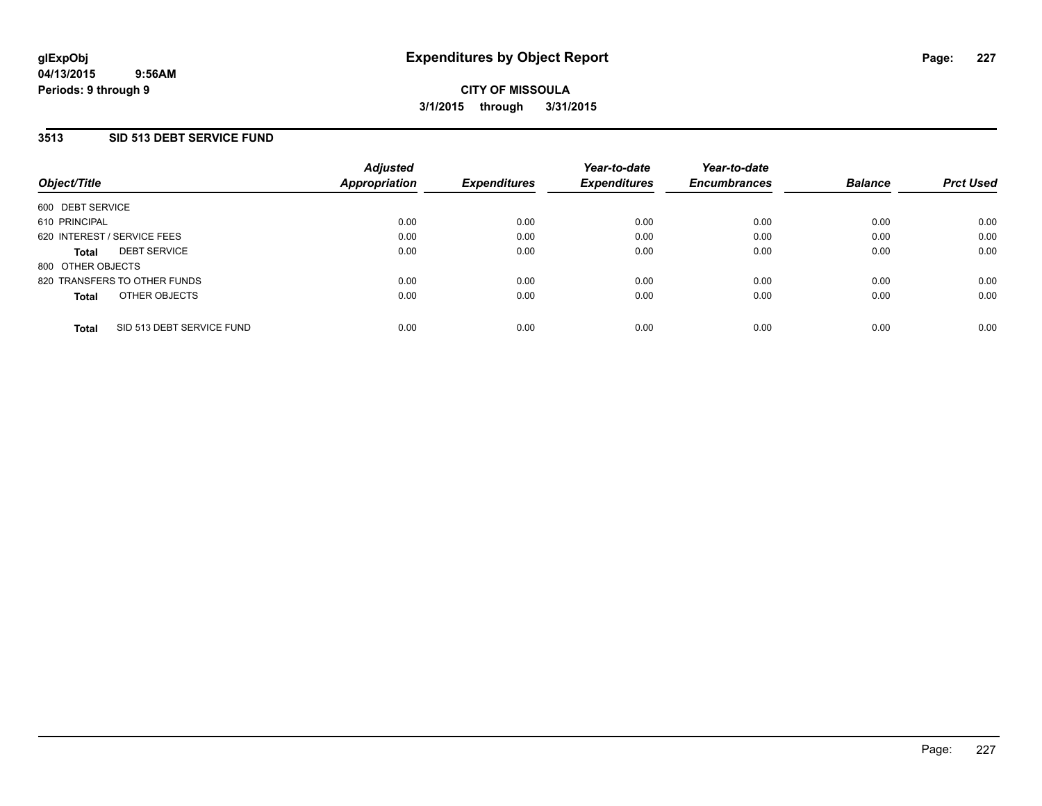## **3513 SID 513 DEBT SERVICE FUND**

| Object/Title                |                              | <b>Adjusted</b><br>Appropriation | <b>Expenditures</b> | Year-to-date<br><b>Expenditures</b> | Year-to-date<br><b>Encumbrances</b> | <b>Balance</b> | <b>Prct Used</b> |
|-----------------------------|------------------------------|----------------------------------|---------------------|-------------------------------------|-------------------------------------|----------------|------------------|
| 600 DEBT SERVICE            |                              |                                  |                     |                                     |                                     |                |                  |
| 610 PRINCIPAL               |                              | 0.00                             | 0.00                | 0.00                                | 0.00                                | 0.00           | 0.00             |
| 620 INTEREST / SERVICE FEES |                              | 0.00                             | 0.00                | 0.00                                | 0.00                                | 0.00           | 0.00             |
| <b>Total</b>                | <b>DEBT SERVICE</b>          | 0.00                             | 0.00                | 0.00                                | 0.00                                | 0.00           | 0.00             |
| 800 OTHER OBJECTS           |                              |                                  |                     |                                     |                                     |                |                  |
|                             | 820 TRANSFERS TO OTHER FUNDS | 0.00                             | 0.00                | 0.00                                | 0.00                                | 0.00           | 0.00             |
| <b>Total</b>                | OTHER OBJECTS                | 0.00                             | 0.00                | 0.00                                | 0.00                                | 0.00           | 0.00             |
| <b>Total</b>                | SID 513 DEBT SERVICE FUND    | 0.00                             | 0.00                | 0.00                                | 0.00                                | 0.00           | 0.00             |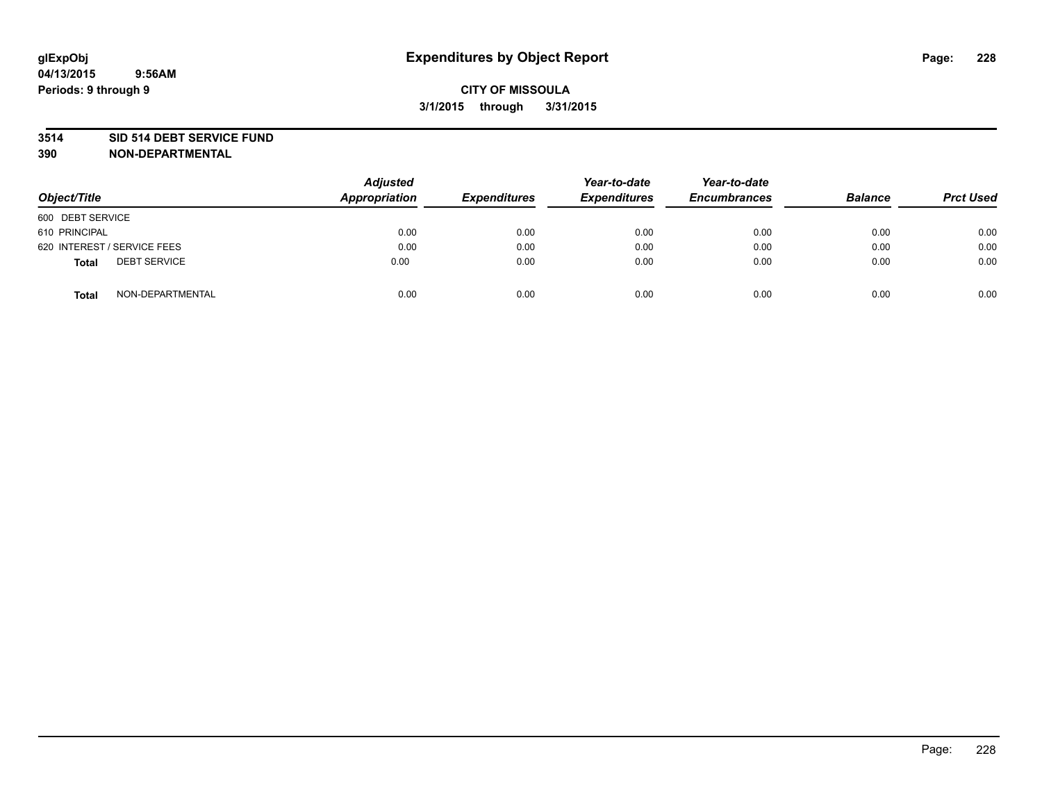#### **3514 SID 514 DEBT SERVICE FUND**

| Object/Title                        | <b>Adjusted</b><br>Appropriation | <b>Expenditures</b> | Year-to-date<br><b>Expenditures</b> | Year-to-date<br><b>Encumbrances</b> | <b>Balance</b> | <b>Prct Used</b> |
|-------------------------------------|----------------------------------|---------------------|-------------------------------------|-------------------------------------|----------------|------------------|
| 600 DEBT SERVICE                    |                                  |                     |                                     |                                     |                |                  |
| 610 PRINCIPAL                       | 0.00                             | 0.00                | 0.00                                | 0.00                                | 0.00           | 0.00             |
| 620 INTEREST / SERVICE FEES         | 0.00                             | 0.00                | 0.00                                | 0.00                                | 0.00           | 0.00             |
| <b>DEBT SERVICE</b><br><b>Total</b> | 0.00                             | 0.00                | 0.00                                | 0.00                                | 0.00           | 0.00             |
| NON-DEPARTMENTAL<br><b>Total</b>    | 0.00                             | 0.00                | 0.00                                | 0.00                                | 0.00           | 0.00             |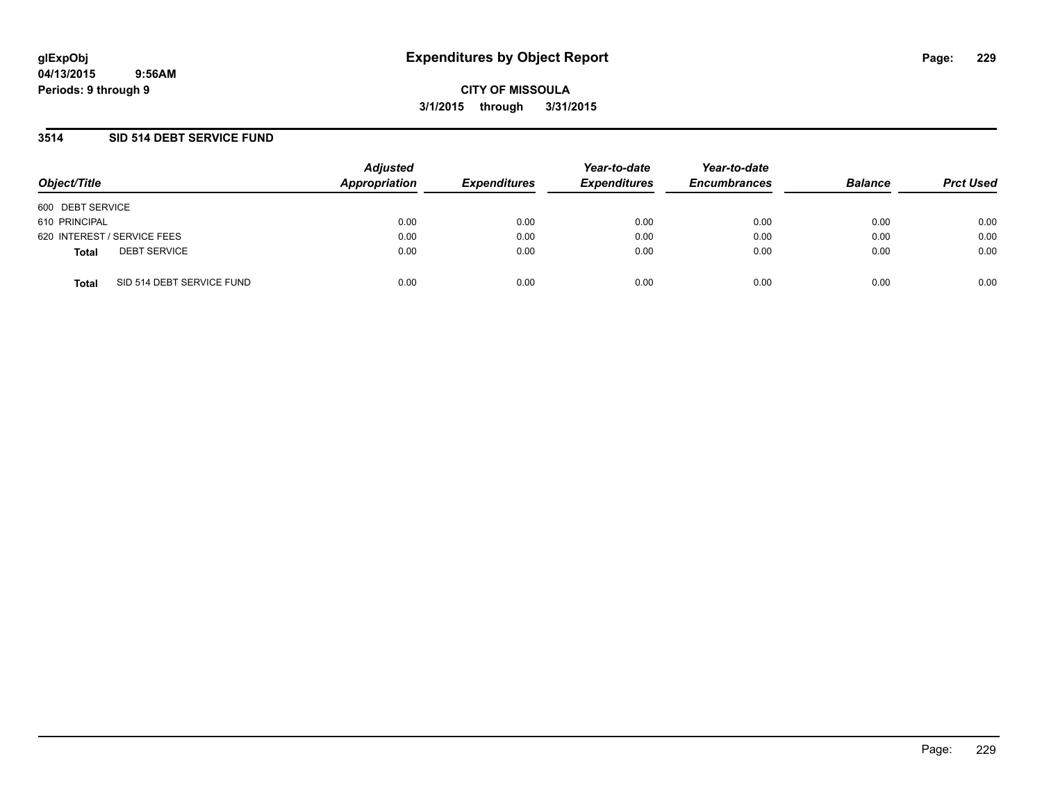**04/13/2015 9:56AM Periods: 9 through 9**

**CITY OF MISSOULA 3/1/2015 through 3/31/2015**

### **3514 SID 514 DEBT SERVICE FUND**

| Object/Title                              | <b>Adjusted</b><br>Appropriation | <b>Expenditures</b> | Year-to-date<br><b>Expenditures</b> | Year-to-date<br><b>Encumbrances</b> | <b>Balance</b> | <b>Prct Used</b> |
|-------------------------------------------|----------------------------------|---------------------|-------------------------------------|-------------------------------------|----------------|------------------|
| 600 DEBT SERVICE                          |                                  |                     |                                     |                                     |                |                  |
| 610 PRINCIPAL                             | 0.00                             | 0.00                | 0.00                                | 0.00                                | 0.00           | 0.00             |
| 620 INTEREST / SERVICE FEES               | 0.00                             | 0.00                | 0.00                                | 0.00                                | 0.00           | 0.00             |
| <b>DEBT SERVICE</b><br><b>Total</b>       | 0.00                             | 0.00                | 0.00                                | 0.00                                | 0.00           | 0.00             |
| SID 514 DEBT SERVICE FUND<br><b>Total</b> | 0.00                             | 0.00                | 0.00                                | 0.00                                | 0.00           | 0.00             |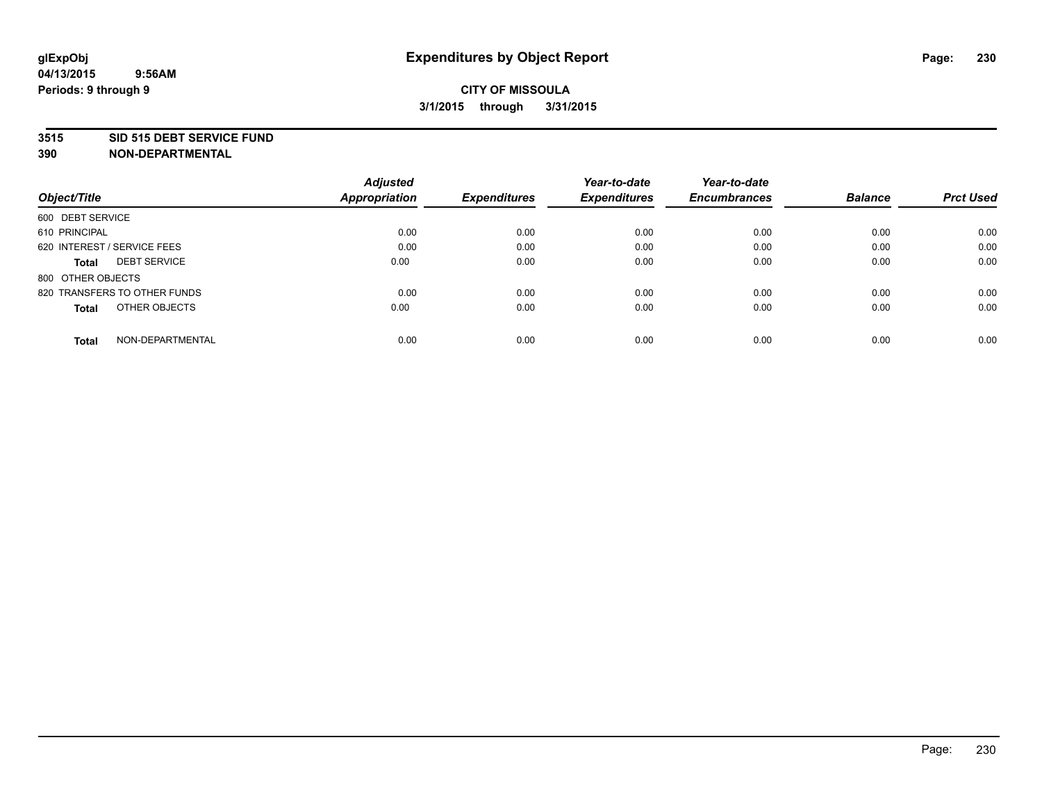#### **3515 SID 515 DEBT SERVICE FUND**

|                                     | <b>Adjusted</b>      |                     | Year-to-date        | Year-to-date        |                |                  |
|-------------------------------------|----------------------|---------------------|---------------------|---------------------|----------------|------------------|
| Object/Title                        | <b>Appropriation</b> | <b>Expenditures</b> | <b>Expenditures</b> | <b>Encumbrances</b> | <b>Balance</b> | <b>Prct Used</b> |
| 600 DEBT SERVICE                    |                      |                     |                     |                     |                |                  |
| 610 PRINCIPAL                       | 0.00                 | 0.00                | 0.00                | 0.00                | 0.00           | 0.00             |
| 620 INTEREST / SERVICE FEES         | 0.00                 | 0.00                | 0.00                | 0.00                | 0.00           | 0.00             |
| <b>DEBT SERVICE</b><br><b>Total</b> | 0.00                 | 0.00                | 0.00                | 0.00                | 0.00           | 0.00             |
| 800 OTHER OBJECTS                   |                      |                     |                     |                     |                |                  |
| 820 TRANSFERS TO OTHER FUNDS        | 0.00                 | 0.00                | 0.00                | 0.00                | 0.00           | 0.00             |
| OTHER OBJECTS<br><b>Total</b>       | 0.00                 | 0.00                | 0.00                | 0.00                | 0.00           | 0.00             |
| NON-DEPARTMENTAL<br>Total           | 0.00                 | 0.00                | 0.00                | 0.00                | 0.00           | 0.00             |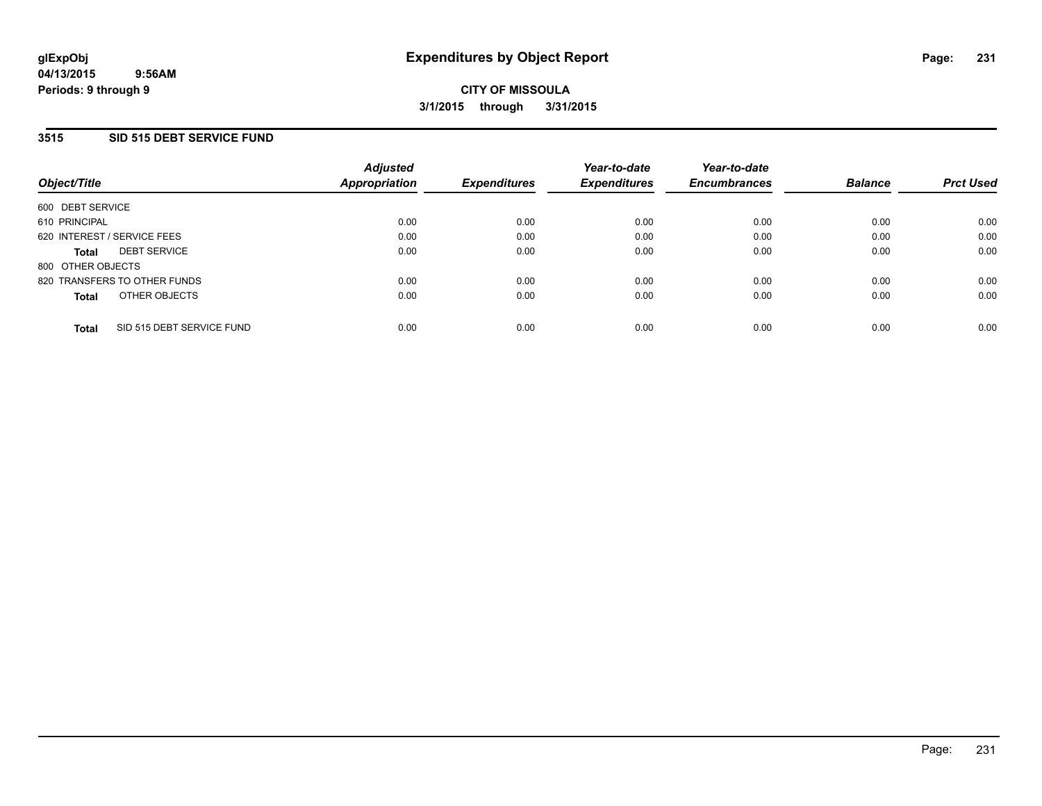## **3515 SID 515 DEBT SERVICE FUND**

| Object/Title                 |                           | <b>Adjusted</b><br>Appropriation | <b>Expenditures</b> | Year-to-date<br><b>Expenditures</b> | Year-to-date<br><b>Encumbrances</b> | <b>Balance</b> | <b>Prct Used</b> |
|------------------------------|---------------------------|----------------------------------|---------------------|-------------------------------------|-------------------------------------|----------------|------------------|
| 600 DEBT SERVICE             |                           |                                  |                     |                                     |                                     |                |                  |
| 610 PRINCIPAL                |                           | 0.00                             | 0.00                | 0.00                                | 0.00                                | 0.00           | 0.00             |
| 620 INTEREST / SERVICE FEES  |                           | 0.00                             | 0.00                | 0.00                                | 0.00                                | 0.00           | 0.00             |
| <b>Total</b>                 | <b>DEBT SERVICE</b>       | 0.00                             | 0.00                | 0.00                                | 0.00                                | 0.00           | 0.00             |
| 800 OTHER OBJECTS            |                           |                                  |                     |                                     |                                     |                |                  |
| 820 TRANSFERS TO OTHER FUNDS |                           | 0.00                             | 0.00                | 0.00                                | 0.00                                | 0.00           | 0.00             |
| <b>Total</b>                 | OTHER OBJECTS             | 0.00                             | 0.00                | 0.00                                | 0.00                                | 0.00           | 0.00             |
| <b>Total</b>                 | SID 515 DEBT SERVICE FUND | 0.00                             | 0.00                | 0.00                                | 0.00                                | 0.00           | 0.00             |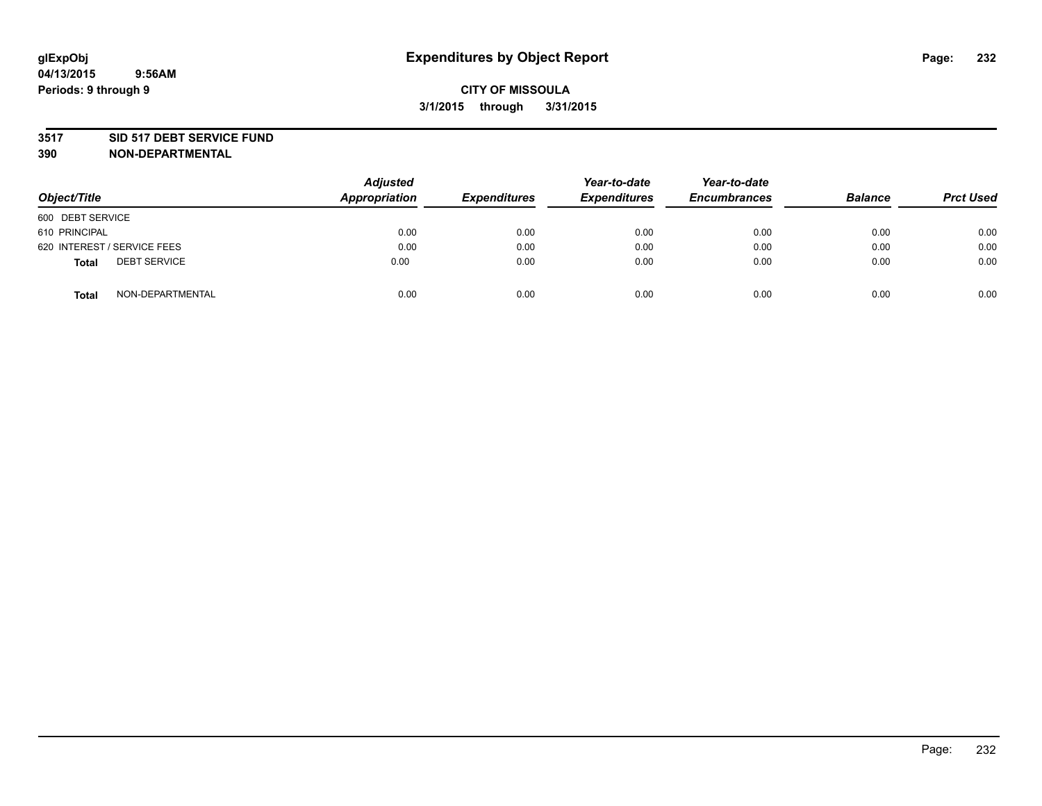#### **3517 SID 517 DEBT SERVICE FUND**

| Object/Title                        | <b>Adjusted</b><br>Appropriation | <b>Expenditures</b> | Year-to-date<br><b>Expenditures</b> | Year-to-date<br><b>Encumbrances</b> | <b>Balance</b> | <b>Prct Used</b> |
|-------------------------------------|----------------------------------|---------------------|-------------------------------------|-------------------------------------|----------------|------------------|
| 600 DEBT SERVICE                    |                                  |                     |                                     |                                     |                |                  |
| 610 PRINCIPAL                       | 0.00                             | 0.00                | 0.00                                | 0.00                                | 0.00           | 0.00             |
| 620 INTEREST / SERVICE FEES         | 0.00                             | 0.00                | 0.00                                | 0.00                                | 0.00           | 0.00             |
| <b>DEBT SERVICE</b><br><b>Total</b> | 0.00                             | 0.00                | 0.00                                | 0.00                                | 0.00           | 0.00             |
| NON-DEPARTMENTAL<br><b>Total</b>    | 0.00                             | 0.00                | 0.00                                | 0.00                                | 0.00           | 0.00             |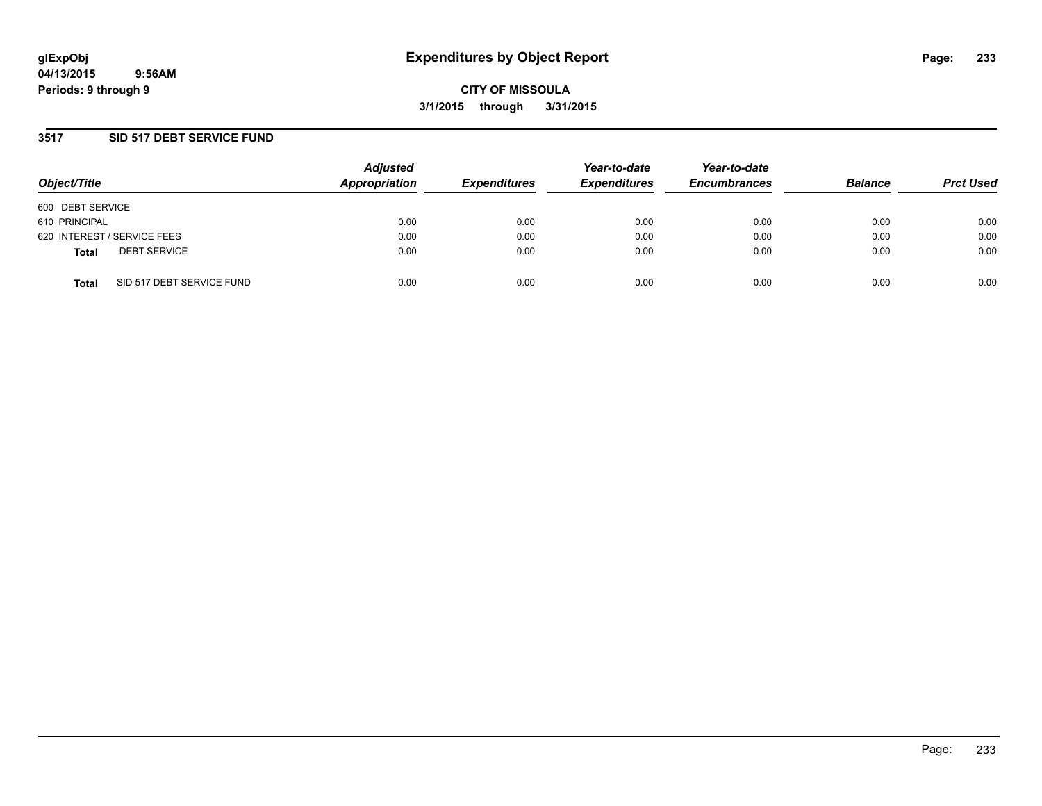**04/13/2015 9:56AM Periods: 9 through 9**

**CITY OF MISSOULA 3/1/2015 through 3/31/2015**

### **3517 SID 517 DEBT SERVICE FUND**

| Object/Title                              | <b>Adjusted</b><br>Appropriation | <b>Expenditures</b> | Year-to-date<br><b>Expenditures</b> | Year-to-date<br><b>Encumbrances</b> | <b>Balance</b> | <b>Prct Used</b> |
|-------------------------------------------|----------------------------------|---------------------|-------------------------------------|-------------------------------------|----------------|------------------|
| 600 DEBT SERVICE                          |                                  |                     |                                     |                                     |                |                  |
| 610 PRINCIPAL                             | 0.00                             | 0.00                | 0.00                                | 0.00                                | 0.00           | 0.00             |
| 620 INTEREST / SERVICE FEES               | 0.00                             | 0.00                | 0.00                                | 0.00                                | 0.00           | 0.00             |
| <b>DEBT SERVICE</b><br><b>Total</b>       | 0.00                             | 0.00                | 0.00                                | 0.00                                | 0.00           | 0.00             |
| SID 517 DEBT SERVICE FUND<br><b>Total</b> | 0.00                             | 0.00                | 0.00                                | 0.00                                | 0.00           | 0.00             |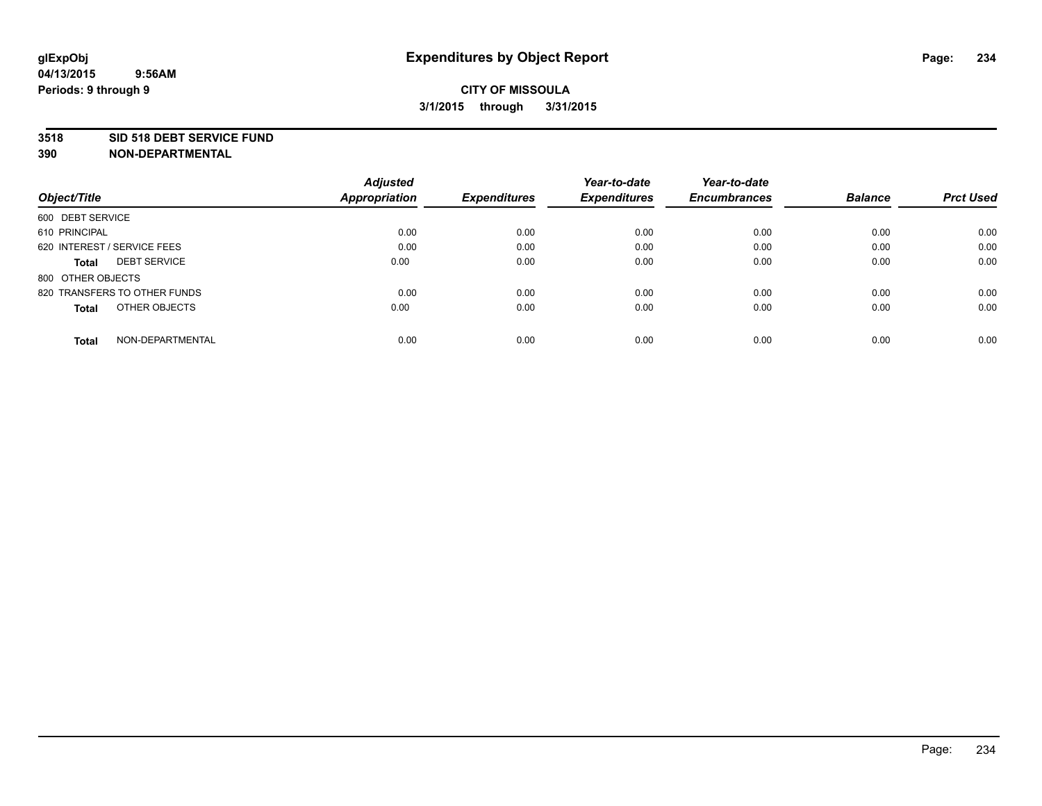#### **3518 SID 518 DEBT SERVICE FUND**

|                                     | <b>Adjusted</b>      |                     | Year-to-date        | Year-to-date        |                |                  |
|-------------------------------------|----------------------|---------------------|---------------------|---------------------|----------------|------------------|
| Object/Title                        | <b>Appropriation</b> | <b>Expenditures</b> | <b>Expenditures</b> | <b>Encumbrances</b> | <b>Balance</b> | <b>Prct Used</b> |
| 600 DEBT SERVICE                    |                      |                     |                     |                     |                |                  |
| 610 PRINCIPAL                       | 0.00                 | 0.00                | 0.00                | 0.00                | 0.00           | 0.00             |
| 620 INTEREST / SERVICE FEES         | 0.00                 | 0.00                | 0.00                | 0.00                | 0.00           | 0.00             |
| <b>DEBT SERVICE</b><br><b>Total</b> | 0.00                 | 0.00                | 0.00                | 0.00                | 0.00           | 0.00             |
| 800 OTHER OBJECTS                   |                      |                     |                     |                     |                |                  |
| 820 TRANSFERS TO OTHER FUNDS        | 0.00                 | 0.00                | 0.00                | 0.00                | 0.00           | 0.00             |
| OTHER OBJECTS<br><b>Total</b>       | 0.00                 | 0.00                | 0.00                | 0.00                | 0.00           | 0.00             |
| NON-DEPARTMENTAL<br>Total           | 0.00                 | 0.00                | 0.00                | 0.00                | 0.00           | 0.00             |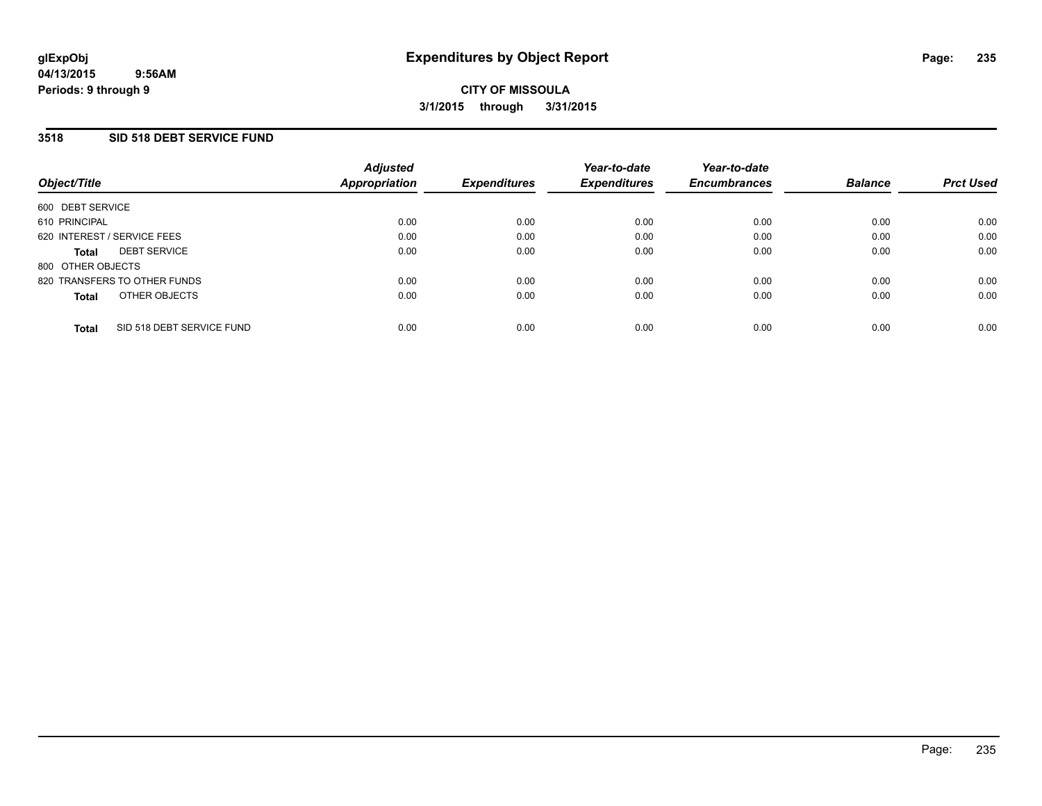### **3518 SID 518 DEBT SERVICE FUND**

| Object/Title                              | <b>Adjusted</b><br>Appropriation | <b>Expenditures</b> | Year-to-date<br><b>Expenditures</b> | Year-to-date<br><b>Encumbrances</b> | <b>Balance</b> | <b>Prct Used</b> |
|-------------------------------------------|----------------------------------|---------------------|-------------------------------------|-------------------------------------|----------------|------------------|
| 600 DEBT SERVICE                          |                                  |                     |                                     |                                     |                |                  |
| 610 PRINCIPAL                             | 0.00                             | 0.00                | 0.00                                | 0.00                                | 0.00           | 0.00             |
| 620 INTEREST / SERVICE FEES               | 0.00                             | 0.00                | 0.00                                | 0.00                                | 0.00           | 0.00             |
| <b>DEBT SERVICE</b><br><b>Total</b>       | 0.00                             | 0.00                | 0.00                                | 0.00                                | 0.00           | 0.00             |
| 800 OTHER OBJECTS                         |                                  |                     |                                     |                                     |                |                  |
| 820 TRANSFERS TO OTHER FUNDS              | 0.00                             | 0.00                | 0.00                                | 0.00                                | 0.00           | 0.00             |
| OTHER OBJECTS<br><b>Total</b>             | 0.00                             | 0.00                | 0.00                                | 0.00                                | 0.00           | 0.00             |
| SID 518 DEBT SERVICE FUND<br><b>Total</b> | 0.00                             | 0.00                | 0.00                                | 0.00                                | 0.00           | 0.00             |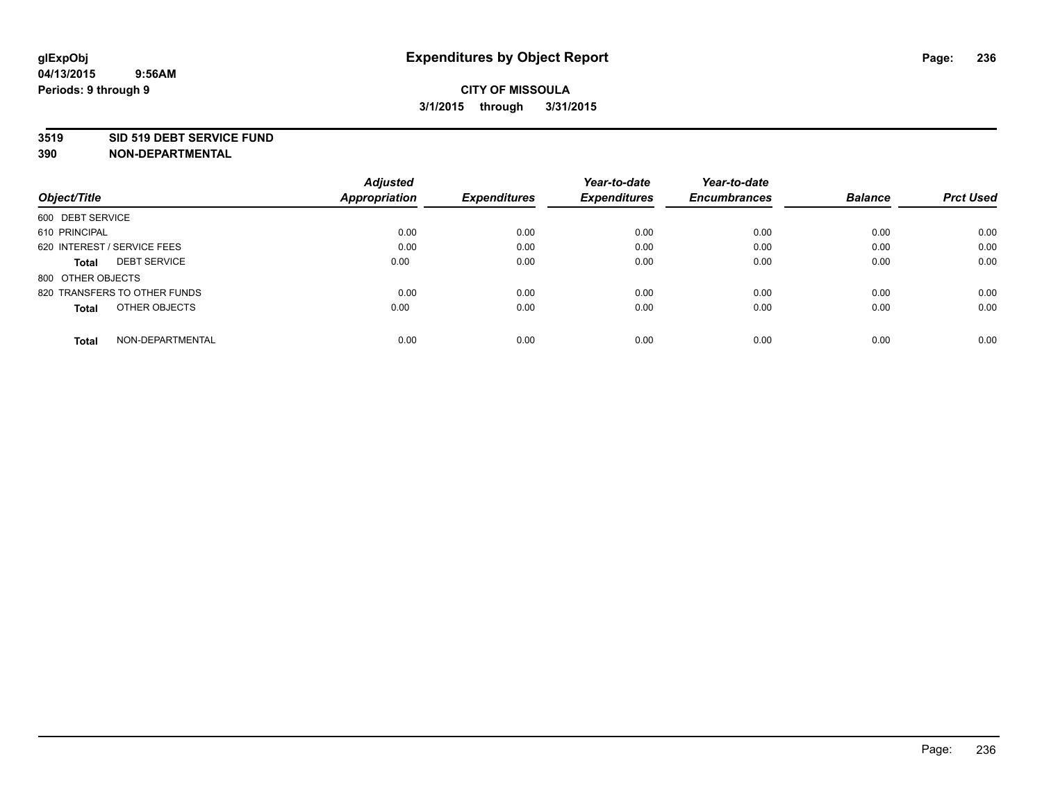#### **3519 SID 519 DEBT SERVICE FUND**

|                                     | <b>Adjusted</b>      |                     | Year-to-date        | Year-to-date        |                |                  |
|-------------------------------------|----------------------|---------------------|---------------------|---------------------|----------------|------------------|
| Object/Title                        | <b>Appropriation</b> | <b>Expenditures</b> | <b>Expenditures</b> | <b>Encumbrances</b> | <b>Balance</b> | <b>Prct Used</b> |
| 600 DEBT SERVICE                    |                      |                     |                     |                     |                |                  |
| 610 PRINCIPAL                       | 0.00                 | 0.00                | 0.00                | 0.00                | 0.00           | 0.00             |
| 620 INTEREST / SERVICE FEES         | 0.00                 | 0.00                | 0.00                | 0.00                | 0.00           | 0.00             |
| <b>DEBT SERVICE</b><br><b>Total</b> | 0.00                 | 0.00                | 0.00                | 0.00                | 0.00           | 0.00             |
| 800 OTHER OBJECTS                   |                      |                     |                     |                     |                |                  |
| 820 TRANSFERS TO OTHER FUNDS        | 0.00                 | 0.00                | 0.00                | 0.00                | 0.00           | 0.00             |
| OTHER OBJECTS<br><b>Total</b>       | 0.00                 | 0.00                | 0.00                | 0.00                | 0.00           | 0.00             |
| NON-DEPARTMENTAL<br>Total           | 0.00                 | 0.00                | 0.00                | 0.00                | 0.00           | 0.00             |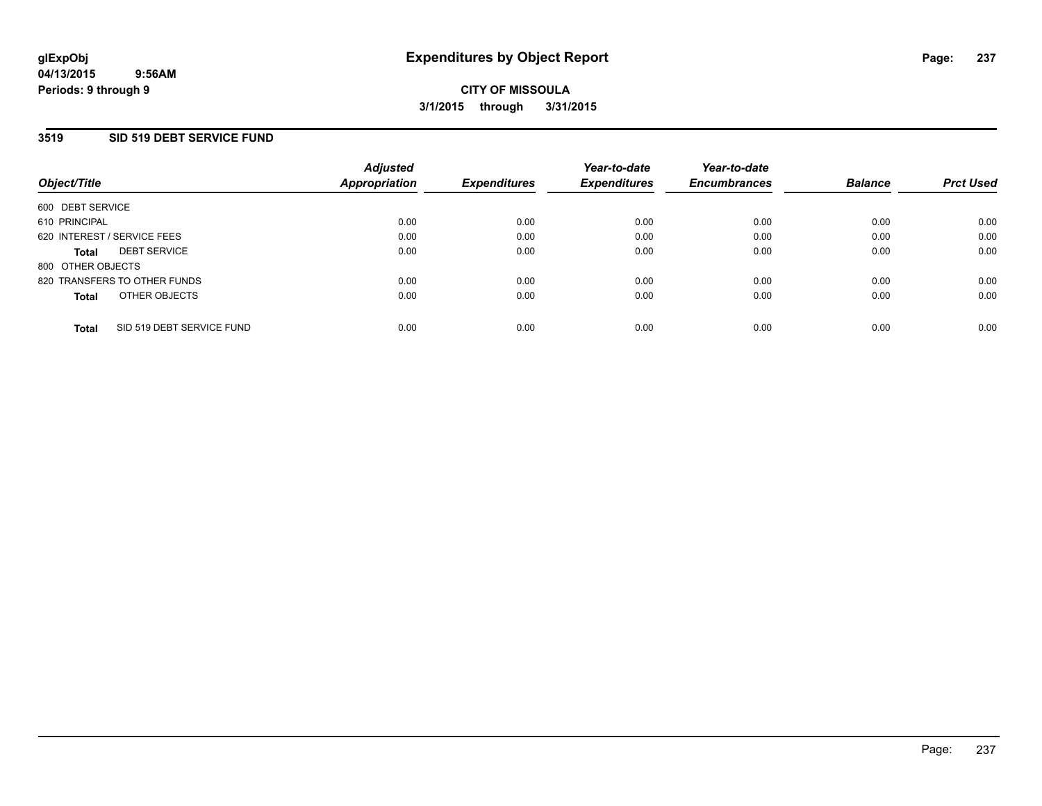## **3519 SID 519 DEBT SERVICE FUND**

| Object/Title                |                              | <b>Adjusted</b><br>Appropriation | <b>Expenditures</b> | Year-to-date<br><b>Expenditures</b> | Year-to-date<br><b>Encumbrances</b> | <b>Balance</b> | <b>Prct Used</b> |
|-----------------------------|------------------------------|----------------------------------|---------------------|-------------------------------------|-------------------------------------|----------------|------------------|
| 600 DEBT SERVICE            |                              |                                  |                     |                                     |                                     |                |                  |
| 610 PRINCIPAL               |                              | 0.00                             | 0.00                | 0.00                                | 0.00                                | 0.00           | 0.00             |
| 620 INTEREST / SERVICE FEES |                              | 0.00                             | 0.00                | 0.00                                | 0.00                                | 0.00           | 0.00             |
| <b>Total</b>                | <b>DEBT SERVICE</b>          | 0.00                             | 0.00                | 0.00                                | 0.00                                | 0.00           | 0.00             |
| 800 OTHER OBJECTS           |                              |                                  |                     |                                     |                                     |                |                  |
|                             | 820 TRANSFERS TO OTHER FUNDS | 0.00                             | 0.00                | 0.00                                | 0.00                                | 0.00           | 0.00             |
| <b>Total</b>                | OTHER OBJECTS                | 0.00                             | 0.00                | 0.00                                | 0.00                                | 0.00           | 0.00             |
| <b>Total</b>                | SID 519 DEBT SERVICE FUND    | 0.00                             | 0.00                | 0.00                                | 0.00                                | 0.00           | 0.00             |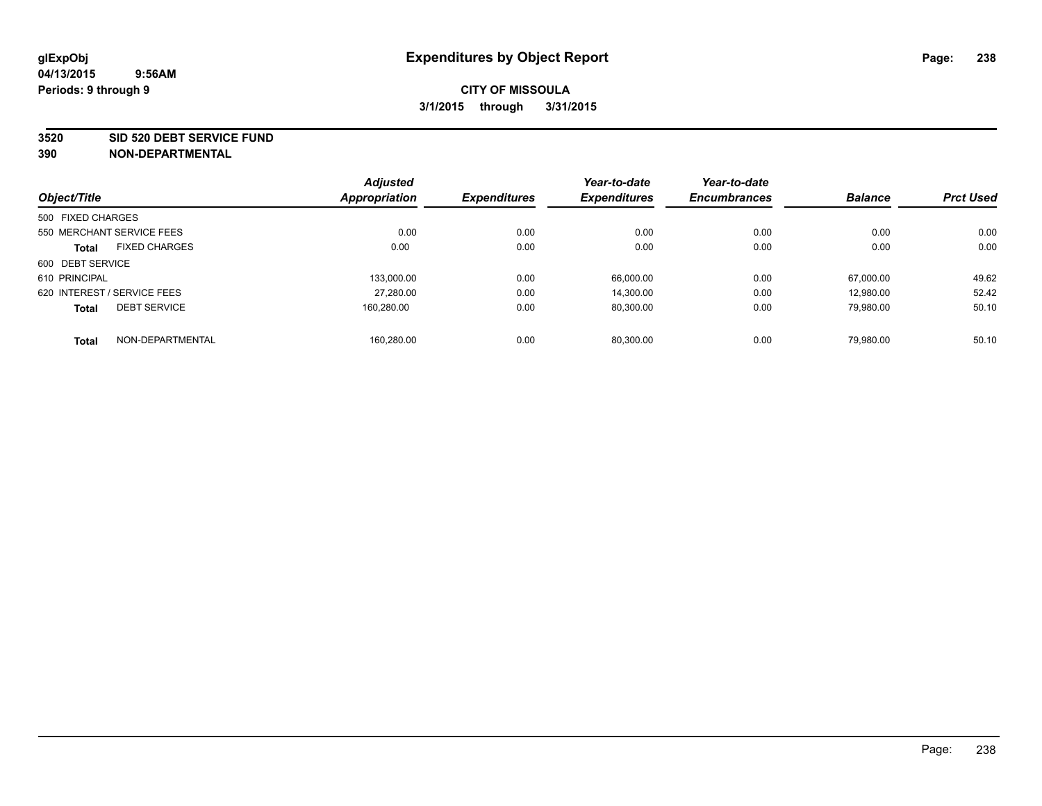#### **3520 SID 520 DEBT SERVICE FUND**

|                                      | <b>Adjusted</b> |                     | Year-to-date        | Year-to-date        |                |                  |
|--------------------------------------|-----------------|---------------------|---------------------|---------------------|----------------|------------------|
| Object/Title                         | Appropriation   | <b>Expenditures</b> | <b>Expenditures</b> | <b>Encumbrances</b> | <b>Balance</b> | <b>Prct Used</b> |
| 500 FIXED CHARGES                    |                 |                     |                     |                     |                |                  |
| 550 MERCHANT SERVICE FEES            | 0.00            | 0.00                | 0.00                | 0.00                | 0.00           | 0.00             |
| <b>FIXED CHARGES</b><br><b>Total</b> | 0.00            | 0.00                | 0.00                | 0.00                | 0.00           | 0.00             |
| 600 DEBT SERVICE                     |                 |                     |                     |                     |                |                  |
| 610 PRINCIPAL                        | 133.000.00      | 0.00                | 66.000.00           | 0.00                | 67.000.00      | 49.62            |
| 620 INTEREST / SERVICE FEES          | 27,280.00       | 0.00                | 14,300.00           | 0.00                | 12.980.00      | 52.42            |
| <b>DEBT SERVICE</b><br><b>Total</b>  | 160.280.00      | 0.00                | 80,300.00           | 0.00                | 79,980.00      | 50.10            |
| NON-DEPARTMENTAL<br><b>Total</b>     | 160,280.00      | 0.00                | 80.300.00           | 0.00                | 79.980.00      | 50.10            |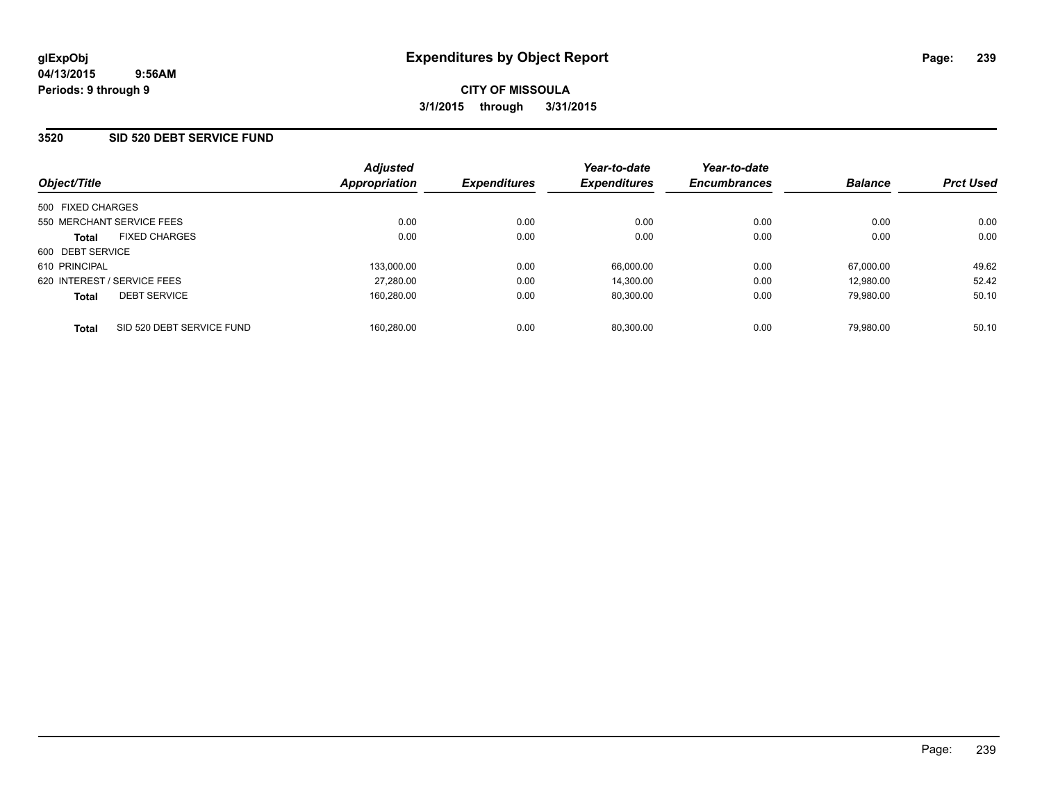### **3520 SID 520 DEBT SERVICE FUND**

| Object/Title                              | <b>Adjusted</b><br><b>Appropriation</b> | <b>Expenditures</b> | Year-to-date<br><b>Expenditures</b> | Year-to-date<br><b>Encumbrances</b> | <b>Balance</b> | <b>Prct Used</b> |
|-------------------------------------------|-----------------------------------------|---------------------|-------------------------------------|-------------------------------------|----------------|------------------|
| 500 FIXED CHARGES                         |                                         |                     |                                     |                                     |                |                  |
| 550 MERCHANT SERVICE FEES                 | 0.00                                    | 0.00                | 0.00                                | 0.00                                | 0.00           | 0.00             |
| <b>FIXED CHARGES</b><br><b>Total</b>      | 0.00                                    | 0.00                | 0.00                                | 0.00                                | 0.00           | 0.00             |
| 600 DEBT SERVICE                          |                                         |                     |                                     |                                     |                |                  |
| 610 PRINCIPAL                             | 133,000.00                              | 0.00                | 66.000.00                           | 0.00                                | 67.000.00      | 49.62            |
| 620 INTEREST / SERVICE FEES               | 27,280.00                               | 0.00                | 14.300.00                           | 0.00                                | 12.980.00      | 52.42            |
| <b>DEBT SERVICE</b><br><b>Total</b>       | 160.280.00                              | 0.00                | 80.300.00                           | 0.00                                | 79.980.00      | 50.10            |
| SID 520 DEBT SERVICE FUND<br><b>Total</b> | 160.280.00                              | 0.00                | 80.300.00                           | 0.00                                | 79.980.00      | 50.10            |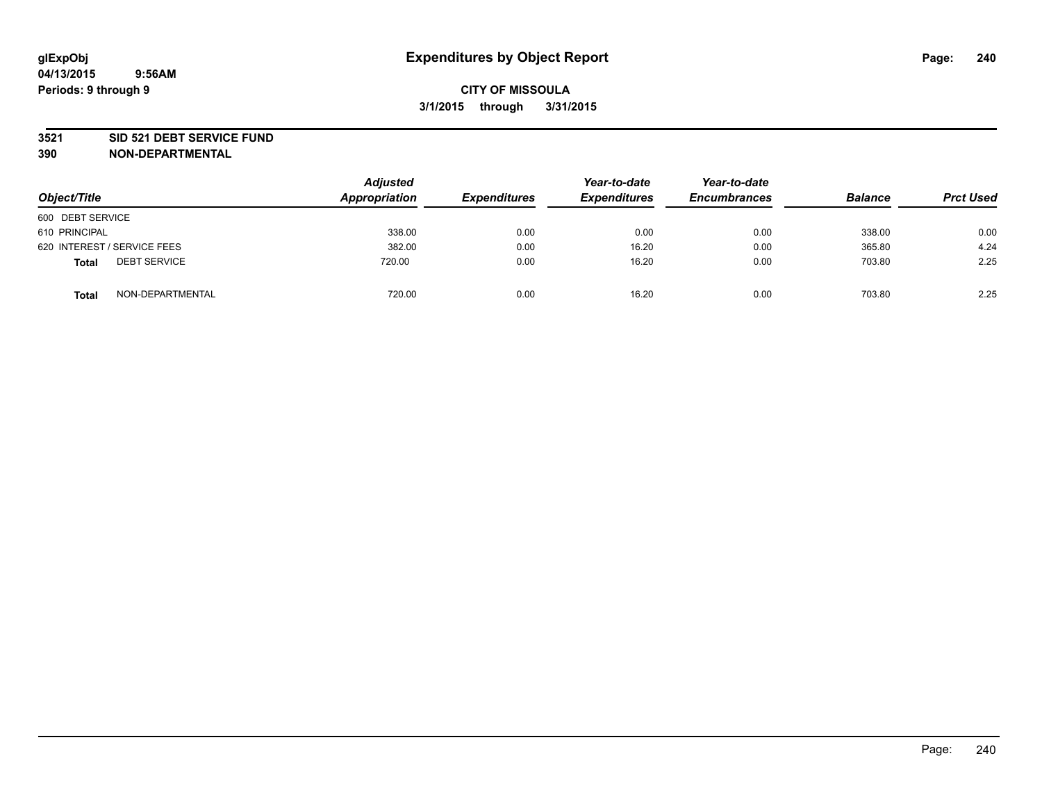#### **3521 SID 521 DEBT SERVICE FUND**

| Object/Title                        | <b>Adjusted</b><br>Appropriation | <b>Expenditures</b> | Year-to-date<br><b>Expenditures</b> | Year-to-date<br><b>Encumbrances</b> | <b>Balance</b> | <b>Prct Used</b> |
|-------------------------------------|----------------------------------|---------------------|-------------------------------------|-------------------------------------|----------------|------------------|
| 600 DEBT SERVICE                    |                                  |                     |                                     |                                     |                |                  |
| 610 PRINCIPAL                       | 338.00                           | 0.00                | 0.00                                | 0.00                                | 338.00         | 0.00             |
| 620 INTEREST / SERVICE FEES         | 382.00                           | 0.00                | 16.20                               | 0.00                                | 365.80         | 4.24             |
| <b>DEBT SERVICE</b><br><b>Total</b> | 720.00                           | 0.00                | 16.20                               | 0.00                                | 703.80         | 2.25             |
| NON-DEPARTMENTAL<br><b>Total</b>    | 720.00                           | 0.00                | 16.20                               | 0.00                                | 703.80         | 2.25             |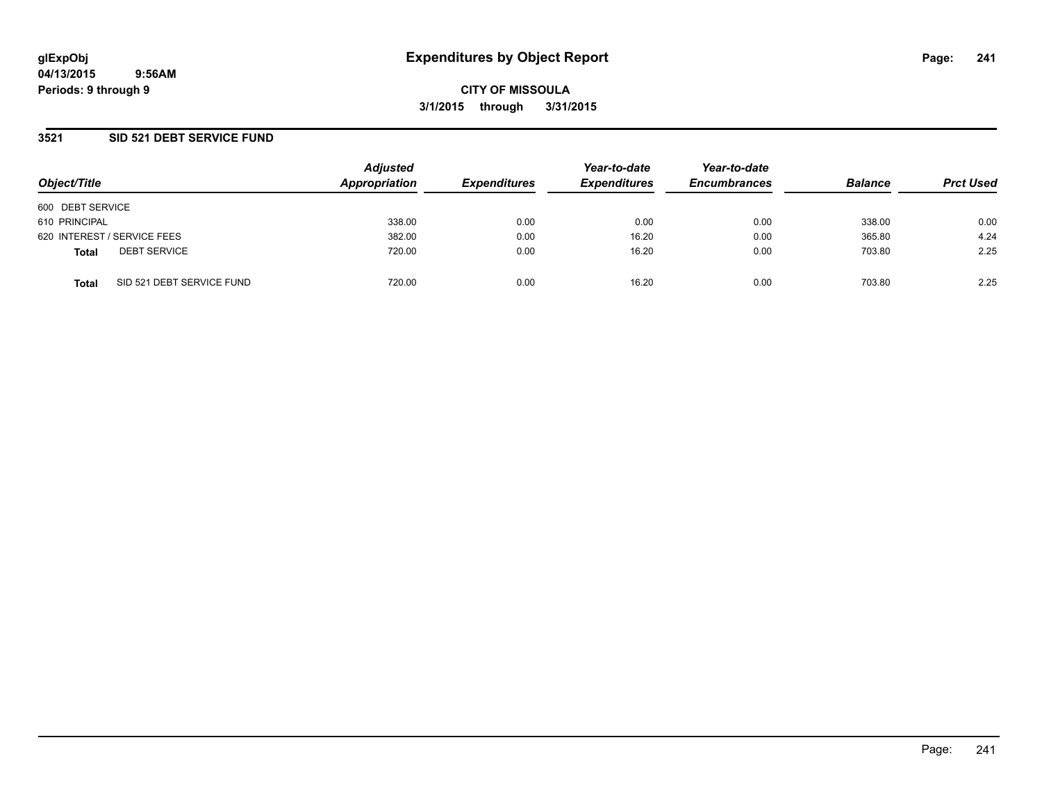### **3521 SID 521 DEBT SERVICE FUND**

| Object/Title                        |                           | <b>Adjusted</b><br><b>Appropriation</b> | <b>Expenditures</b> | Year-to-date<br><b>Expenditures</b> | Year-to-date<br><b>Encumbrances</b> | <b>Balance</b> | <b>Prct Used</b> |
|-------------------------------------|---------------------------|-----------------------------------------|---------------------|-------------------------------------|-------------------------------------|----------------|------------------|
| 600 DEBT SERVICE                    |                           |                                         |                     |                                     |                                     |                |                  |
| 610 PRINCIPAL                       |                           | 338.00                                  | 0.00                | 0.00                                | 0.00                                | 338.00         | 0.00             |
| 620 INTEREST / SERVICE FEES         |                           | 382.00                                  | 0.00                | 16.20                               | 0.00                                | 365.80         | 4.24             |
| <b>DEBT SERVICE</b><br><b>Total</b> |                           | 720.00                                  | 0.00                | 16.20                               | 0.00                                | 703.80         | 2.25             |
| <b>Total</b>                        | SID 521 DEBT SERVICE FUND | 720.00                                  | 0.00                | 16.20                               | 0.00                                | 703.80         | 2.25             |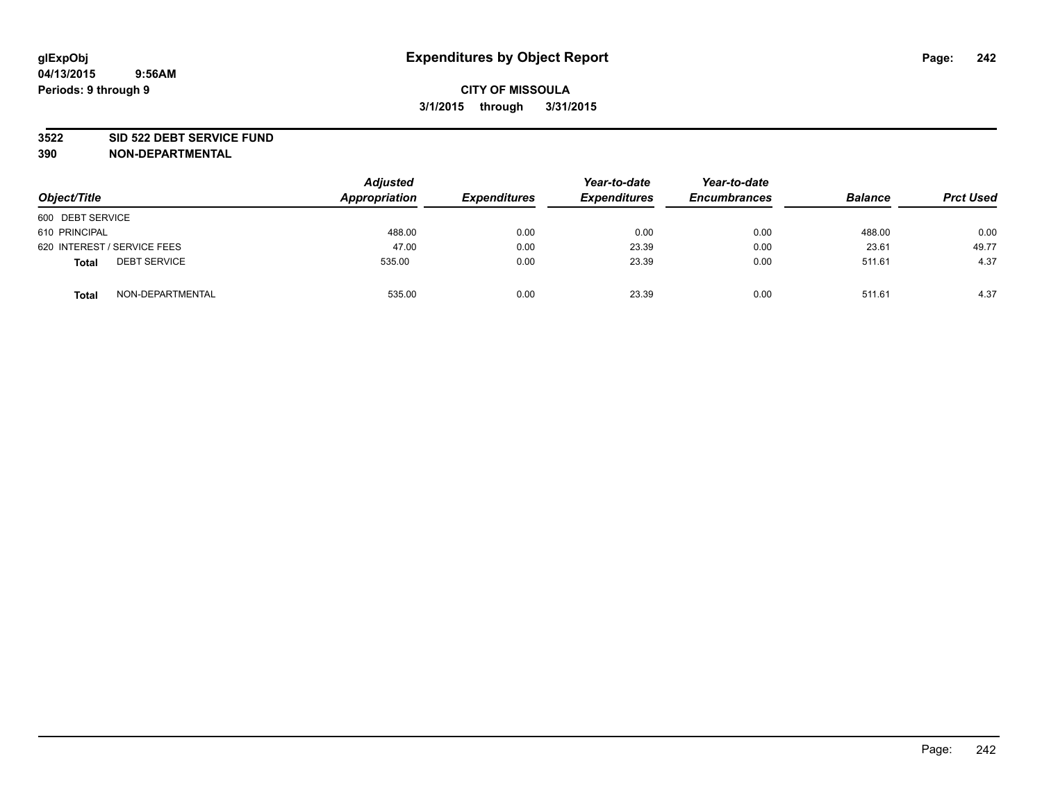#### **3522 SID 522 DEBT SERVICE FUND**

| Object/Title                        | <b>Adjusted</b><br>Appropriation | <b>Expenditures</b> | Year-to-date<br><b>Expenditures</b> | Year-to-date<br><b>Encumbrances</b> | <b>Balance</b> | <b>Prct Used</b> |
|-------------------------------------|----------------------------------|---------------------|-------------------------------------|-------------------------------------|----------------|------------------|
| 600 DEBT SERVICE                    |                                  |                     |                                     |                                     |                |                  |
| 610 PRINCIPAL                       | 488.00                           | 0.00                | 0.00                                | 0.00                                | 488.00         | 0.00             |
| 620 INTEREST / SERVICE FEES         | 47.00                            | 0.00                | 23.39                               | 0.00                                | 23.61          | 49.77            |
| <b>DEBT SERVICE</b><br><b>Total</b> | 535.00                           | 0.00                | 23.39                               | 0.00                                | 511.61         | 4.37             |
| NON-DEPARTMENTAL<br><b>Total</b>    | 535.00                           | 0.00                | 23.39                               | 0.00                                | 511.61         | 4.37             |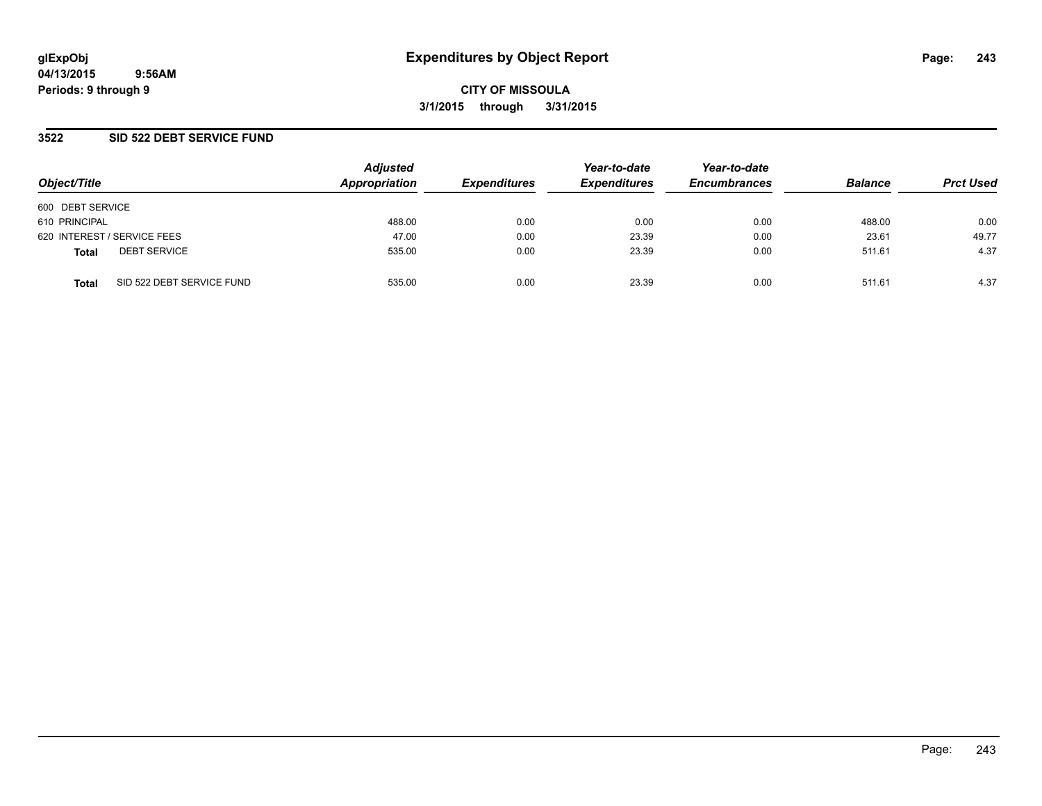### **3522 SID 522 DEBT SERVICE FUND**

| Object/Title     |                             | <b>Adjusted</b><br><b>Appropriation</b> | <b>Expenditures</b> | Year-to-date<br><b>Expenditures</b> | Year-to-date<br><b>Encumbrances</b> | <b>Balance</b> | <b>Prct Used</b> |
|------------------|-----------------------------|-----------------------------------------|---------------------|-------------------------------------|-------------------------------------|----------------|------------------|
| 600 DEBT SERVICE |                             |                                         |                     |                                     |                                     |                |                  |
| 610 PRINCIPAL    |                             | 488.00                                  | 0.00                | 0.00                                | 0.00                                | 488.00         | 0.00             |
|                  | 620 INTEREST / SERVICE FEES | 47.00                                   | 0.00                | 23.39                               | 0.00                                | 23.61          | 49.77            |
| <b>Total</b>     | <b>DEBT SERVICE</b>         | 535.00                                  | 0.00                | 23.39                               | 0.00                                | 511.61         | 4.37             |
| Total            | SID 522 DEBT SERVICE FUND   | 535.00                                  | 0.00                | 23.39                               | 0.00                                | 511.61         | 4.37             |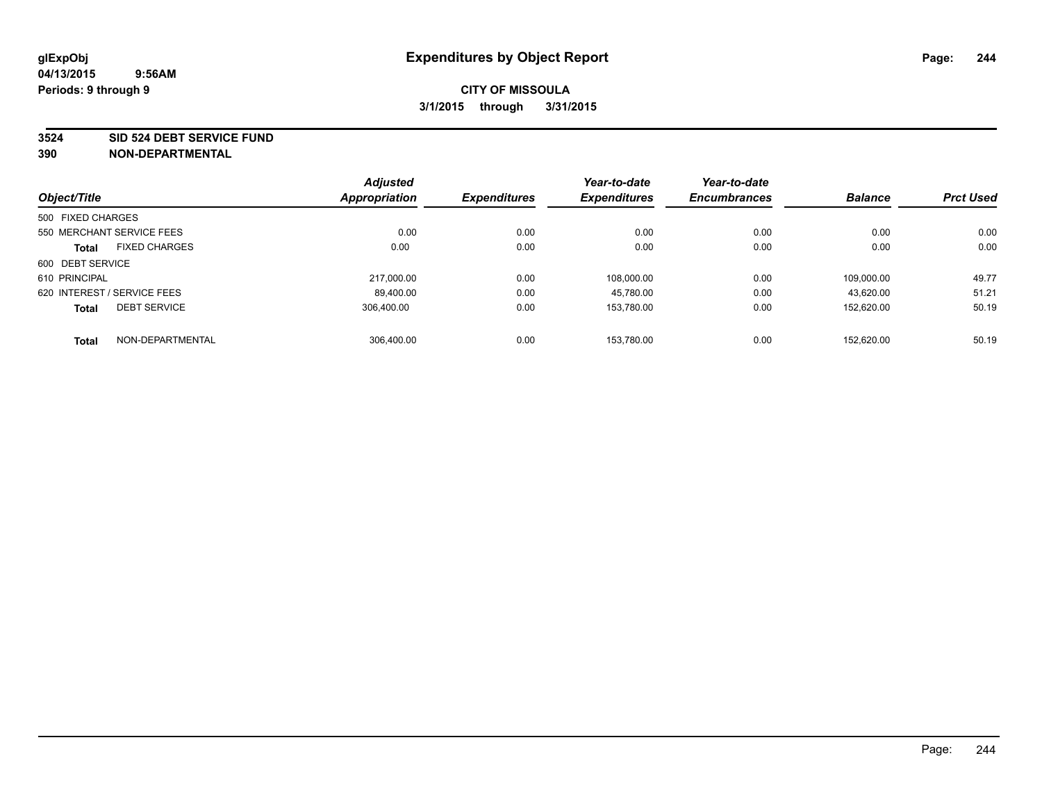#### **3524 SID 524 DEBT SERVICE FUND**

| Object/Title                |                           | <b>Adjusted</b><br>Appropriation | <b>Expenditures</b> | Year-to-date<br><b>Expenditures</b> | Year-to-date<br><b>Encumbrances</b> | <b>Balance</b> | <b>Prct Used</b> |
|-----------------------------|---------------------------|----------------------------------|---------------------|-------------------------------------|-------------------------------------|----------------|------------------|
|                             |                           |                                  |                     |                                     |                                     |                |                  |
| 500 FIXED CHARGES           |                           |                                  |                     |                                     |                                     |                |                  |
|                             | 550 MERCHANT SERVICE FEES | 0.00                             | 0.00                | 0.00                                | 0.00                                | 0.00           | 0.00             |
| <b>Total</b>                | <b>FIXED CHARGES</b>      | 0.00                             | 0.00                | 0.00                                | 0.00                                | 0.00           | 0.00             |
| 600 DEBT SERVICE            |                           |                                  |                     |                                     |                                     |                |                  |
| 610 PRINCIPAL               |                           | 217.000.00                       | 0.00                | 108.000.00                          | 0.00                                | 109.000.00     | 49.77            |
| 620 INTEREST / SERVICE FEES |                           | 89,400.00                        | 0.00                | 45,780.00                           | 0.00                                | 43.620.00      | 51.21            |
| <b>Total</b>                | <b>DEBT SERVICE</b>       | 306.400.00                       | 0.00                | 153.780.00                          | 0.00                                | 152.620.00     | 50.19            |
| <b>Total</b>                | NON-DEPARTMENTAL          | 306.400.00                       | 0.00                | 153.780.00                          | 0.00                                | 152.620.00     | 50.19            |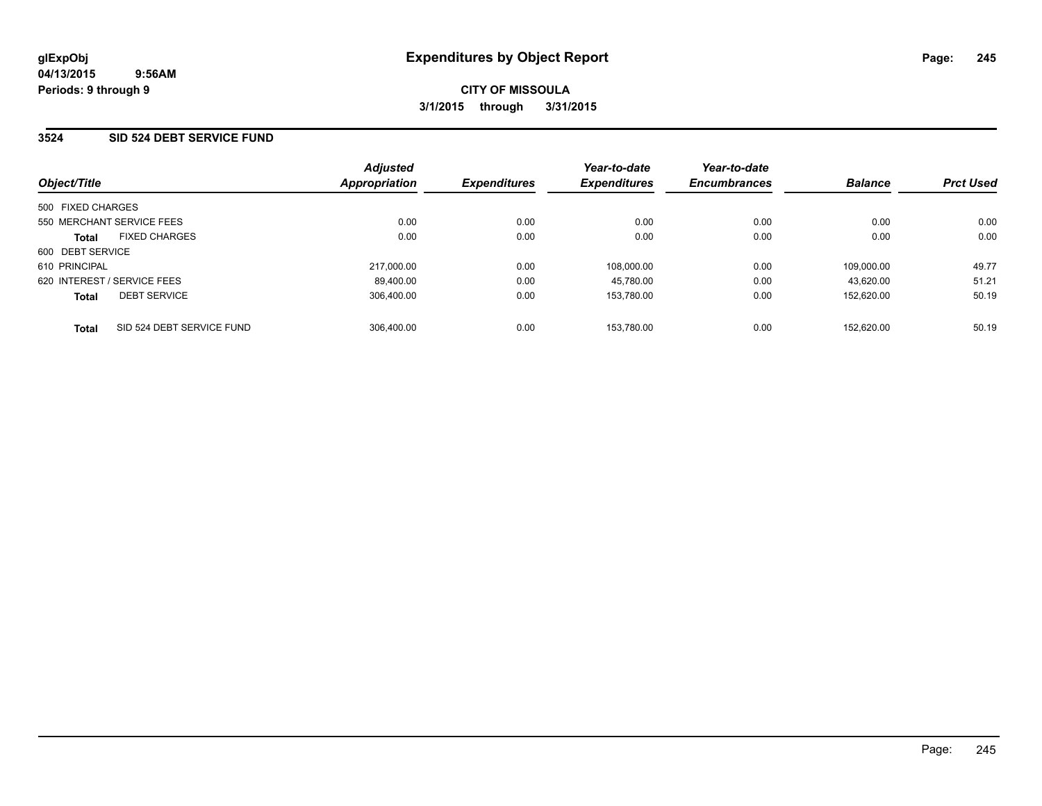### **3524 SID 524 DEBT SERVICE FUND**

| Object/Title                              | <b>Adjusted</b><br><b>Appropriation</b> | <b>Expenditures</b> | Year-to-date<br><b>Expenditures</b> | Year-to-date<br><b>Encumbrances</b> | <b>Balance</b> | <b>Prct Used</b> |
|-------------------------------------------|-----------------------------------------|---------------------|-------------------------------------|-------------------------------------|----------------|------------------|
| 500 FIXED CHARGES                         |                                         |                     |                                     |                                     |                |                  |
| 550 MERCHANT SERVICE FEES                 | 0.00                                    | 0.00                | 0.00                                | 0.00                                | 0.00           | 0.00             |
| <b>FIXED CHARGES</b><br><b>Total</b>      | 0.00                                    | 0.00                | 0.00                                | 0.00                                | 0.00           | 0.00             |
| 600 DEBT SERVICE                          |                                         |                     |                                     |                                     |                |                  |
| 610 PRINCIPAL                             | 217.000.00                              | 0.00                | 108.000.00                          | 0.00                                | 109.000.00     | 49.77            |
| 620 INTEREST / SERVICE FEES               | 89.400.00                               | 0.00                | 45,780.00                           | 0.00                                | 43.620.00      | 51.21            |
| <b>DEBT SERVICE</b><br><b>Total</b>       | 306.400.00                              | 0.00                | 153.780.00                          | 0.00                                | 152.620.00     | 50.19            |
| SID 524 DEBT SERVICE FUND<br><b>Total</b> | 306.400.00                              | 0.00                | 153.780.00                          | 0.00                                | 152.620.00     | 50.19            |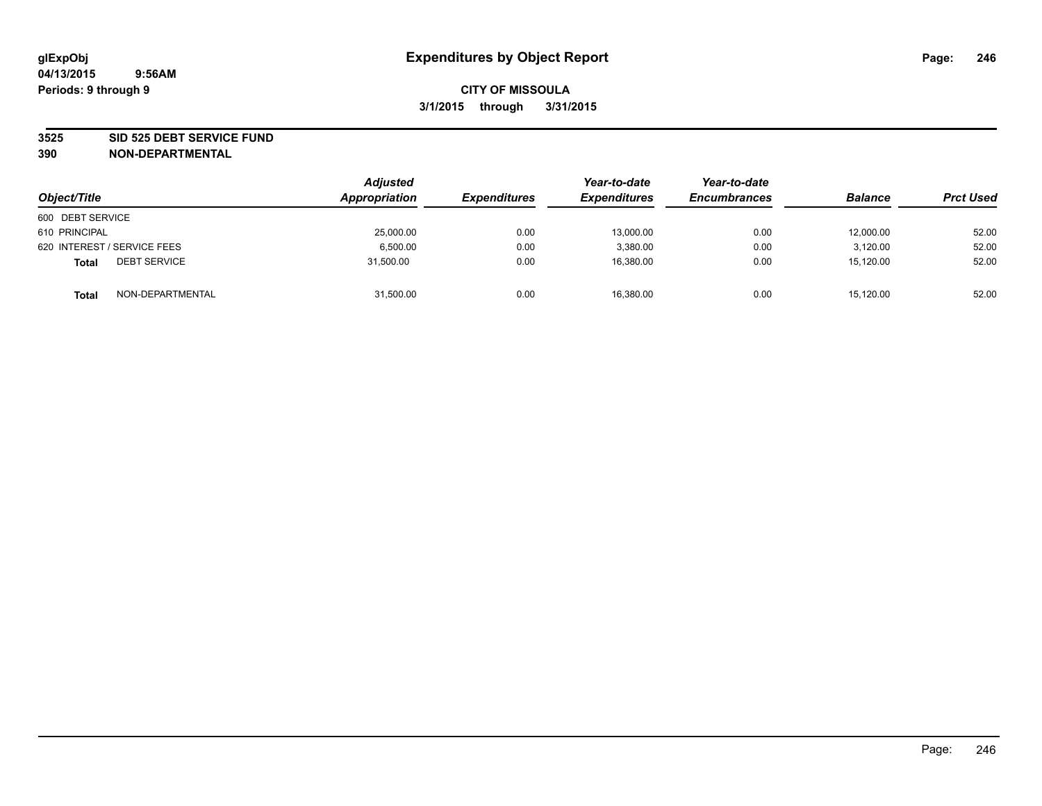#### **3525 SID 525 DEBT SERVICE FUND**

| Object/Title                        | Adjusted<br>Appropriation | <b>Expenditures</b> | Year-to-date<br><b>Expenditures</b> | Year-to-date<br><b>Encumbrances</b> | <b>Balance</b> | <b>Prct Used</b> |
|-------------------------------------|---------------------------|---------------------|-------------------------------------|-------------------------------------|----------------|------------------|
| 600 DEBT SERVICE                    |                           |                     |                                     |                                     |                |                  |
| 610 PRINCIPAL                       | 25,000.00                 | 0.00                | 13.000.00                           | 0.00                                | 12,000.00      | 52.00            |
| 620 INTEREST / SERVICE FEES         | 6,500.00                  | 0.00                | 3,380.00                            | 0.00                                | 3.120.00       | 52.00            |
| <b>DEBT SERVICE</b><br><b>Total</b> | 31.500.00                 | 0.00                | 16.380.00                           | 0.00                                | 15.120.00      | 52.00            |
| NON-DEPARTMENTAL<br><b>Total</b>    | 31,500.00                 | 0.00                | 16,380.00                           | 0.00                                | 15,120.00      | 52.00            |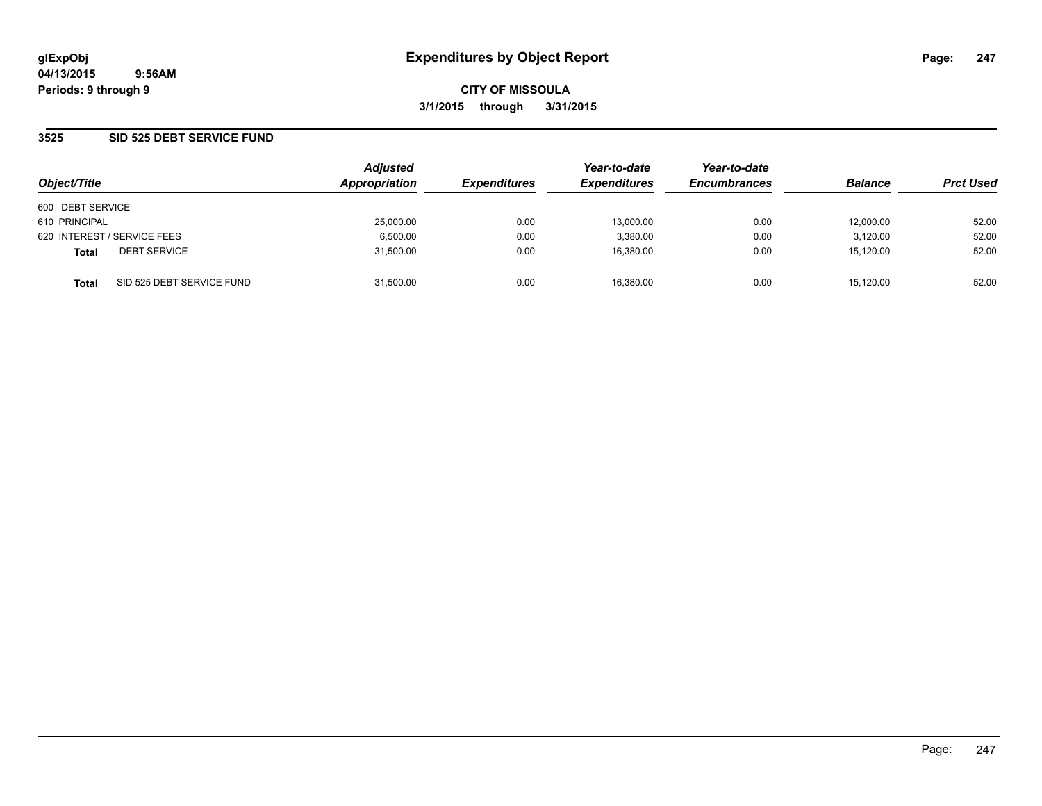**04/13/2015 9:56AM Periods: 9 through 9**

**CITY OF MISSOULA 3/1/2015 through 3/31/2015**

### **3525 SID 525 DEBT SERVICE FUND**

| Object/Title                |                           | <b>Adjusted</b> |                     | Year-to-date        | Year-to-date        |                | <b>Prct Used</b> |
|-----------------------------|---------------------------|-----------------|---------------------|---------------------|---------------------|----------------|------------------|
|                             |                           | Appropriation   | <b>Expenditures</b> | <b>Expenditures</b> | <b>Encumbrances</b> | <b>Balance</b> |                  |
| 600 DEBT SERVICE            |                           |                 |                     |                     |                     |                |                  |
| 610 PRINCIPAL               |                           | 25,000.00       | 0.00                | 13,000.00           | 0.00                | 12,000.00      | 52.00            |
| 620 INTEREST / SERVICE FEES |                           | 6,500.00        | 0.00                | 3,380.00            | 0.00                | 3,120.00       | 52.00            |
| <b>Total</b>                | <b>DEBT SERVICE</b>       | 31,500.00       | 0.00                | 16.380.00           | 0.00                | 15.120.00      | 52.00            |
| <b>Total</b>                | SID 525 DEBT SERVICE FUND | 31.500.00       | 0.00                | 16.380.00           | 0.00                | 15.120.00      | 52.00            |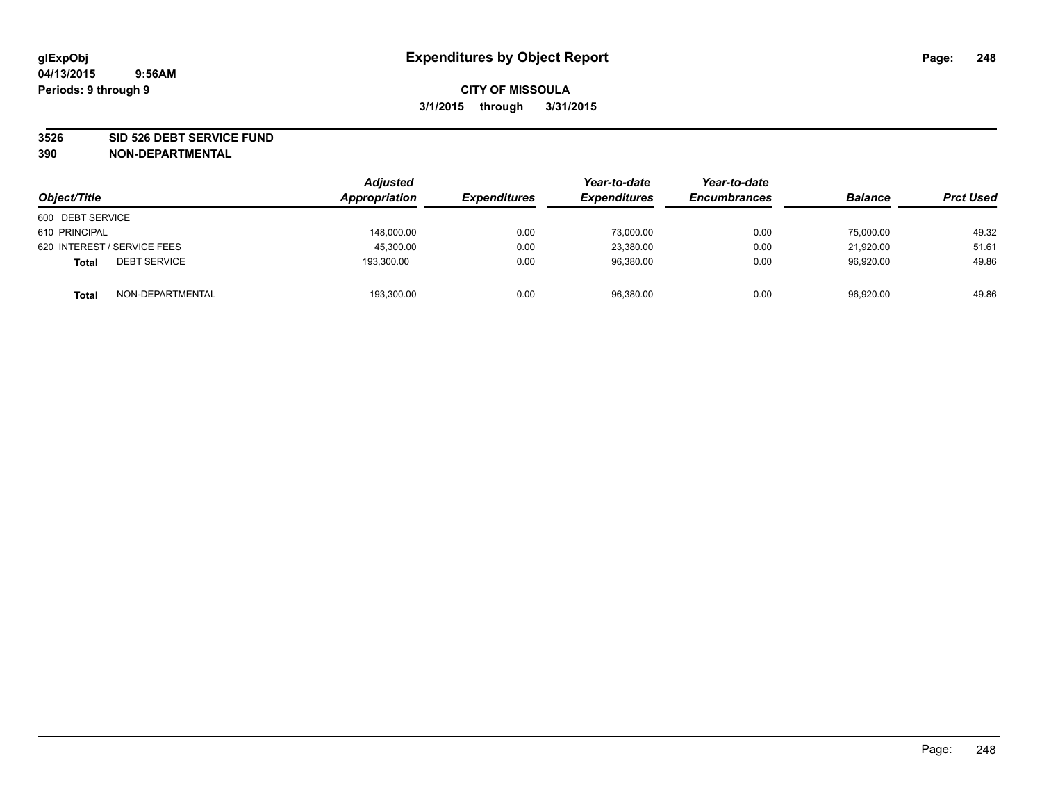#### **3526 SID 526 DEBT SERVICE FUND**

| Object/Title                        | <b>Adjusted</b><br>Appropriation | <b>Expenditures</b> | Year-to-date<br><i><b>Expenditures</b></i> | Year-to-date<br><b>Encumbrances</b> | <b>Balance</b> | <b>Prct Used</b> |
|-------------------------------------|----------------------------------|---------------------|--------------------------------------------|-------------------------------------|----------------|------------------|
| 600 DEBT SERVICE                    |                                  |                     |                                            |                                     |                |                  |
| 610 PRINCIPAL                       | 148,000.00                       | 0.00                | 73,000.00                                  | 0.00                                | 75,000.00      | 49.32            |
| 620 INTEREST / SERVICE FEES         | 45,300.00                        | 0.00                | 23,380.00                                  | 0.00                                | 21,920.00      | 51.61            |
| <b>DEBT SERVICE</b><br><b>Total</b> | 193.300.00                       | 0.00                | 96.380.00                                  | 0.00                                | 96,920.00      | 49.86            |
| NON-DEPARTMENTAL<br><b>Total</b>    | 193,300.00                       | 0.00                | 96,380.00                                  | 0.00                                | 96,920.00      | 49.86            |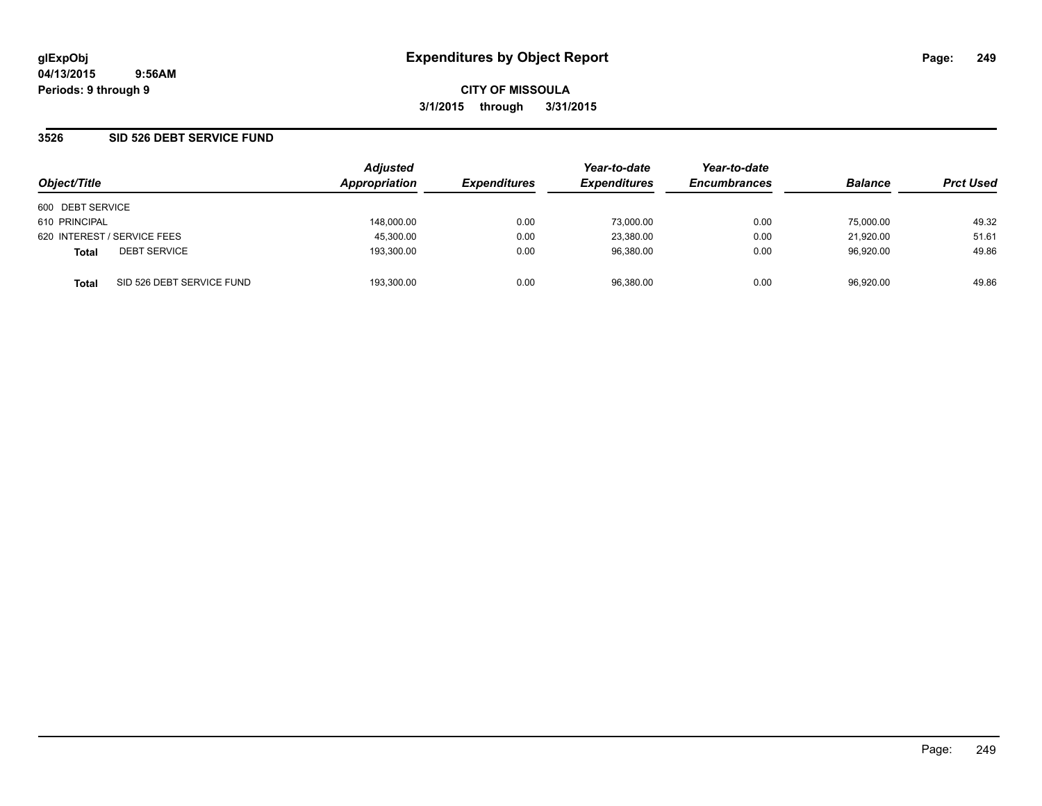**04/13/2015 9:56AM Periods: 9 through 9**

**CITY OF MISSOULA 3/1/2015 through 3/31/2015**

### **3526 SID 526 DEBT SERVICE FUND**

| Object/Title                |                           | <b>Adjusted</b><br>Appropriation | <b>Expenditures</b> | Year-to-date<br><b>Expenditures</b> | Year-to-date<br><b>Encumbrances</b> | <b>Balance</b> | <b>Prct Used</b> |
|-----------------------------|---------------------------|----------------------------------|---------------------|-------------------------------------|-------------------------------------|----------------|------------------|
| 600 DEBT SERVICE            |                           |                                  |                     |                                     |                                     |                |                  |
| 610 PRINCIPAL               |                           | 148,000.00                       | 0.00                | 73,000.00                           | 0.00                                | 75,000.00      | 49.32            |
| 620 INTEREST / SERVICE FEES |                           | 45,300.00                        | 0.00                | 23,380.00                           | 0.00                                | 21,920.00      | 51.61            |
| <b>Total</b>                | <b>DEBT SERVICE</b>       | 193,300.00                       | 0.00                | 96.380.00                           | 0.00                                | 96,920.00      | 49.86            |
| <b>Total</b>                | SID 526 DEBT SERVICE FUND | 193.300.00                       | 0.00                | 96.380.00                           | 0.00                                | 96.920.00      | 49.86            |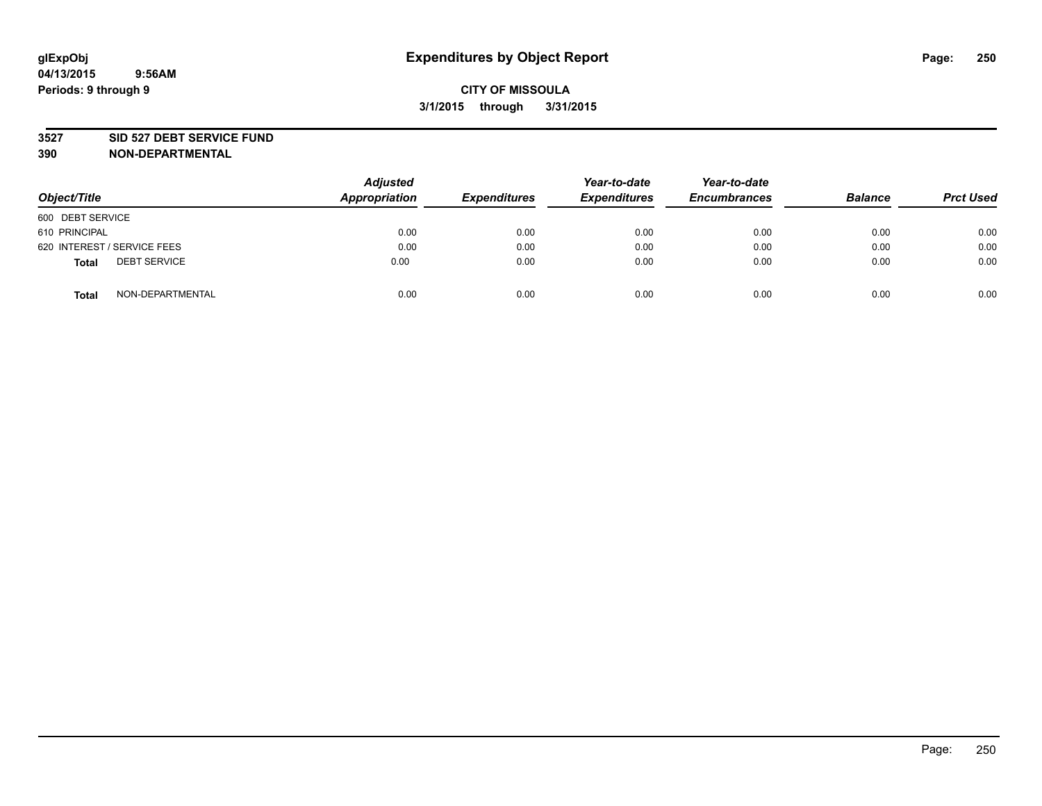#### **3527 SID 527 DEBT SERVICE FUND**

| Object/Title                        | <b>Adjusted</b><br>Appropriation | <b>Expenditures</b> | Year-to-date<br><b>Expenditures</b> | Year-to-date<br><b>Encumbrances</b> | <b>Balance</b> | <b>Prct Used</b> |
|-------------------------------------|----------------------------------|---------------------|-------------------------------------|-------------------------------------|----------------|------------------|
| 600 DEBT SERVICE                    |                                  |                     |                                     |                                     |                |                  |
| 610 PRINCIPAL                       | 0.00                             | 0.00                | 0.00                                | 0.00                                | 0.00           | 0.00             |
| 620 INTEREST / SERVICE FEES         | 0.00                             | 0.00                | 0.00                                | 0.00                                | 0.00           | 0.00             |
| <b>DEBT SERVICE</b><br><b>Total</b> | 0.00                             | 0.00                | 0.00                                | 0.00                                | 0.00           | 0.00             |
| NON-DEPARTMENTAL<br><b>Total</b>    | 0.00                             | 0.00                | 0.00                                | 0.00                                | 0.00           | 0.00             |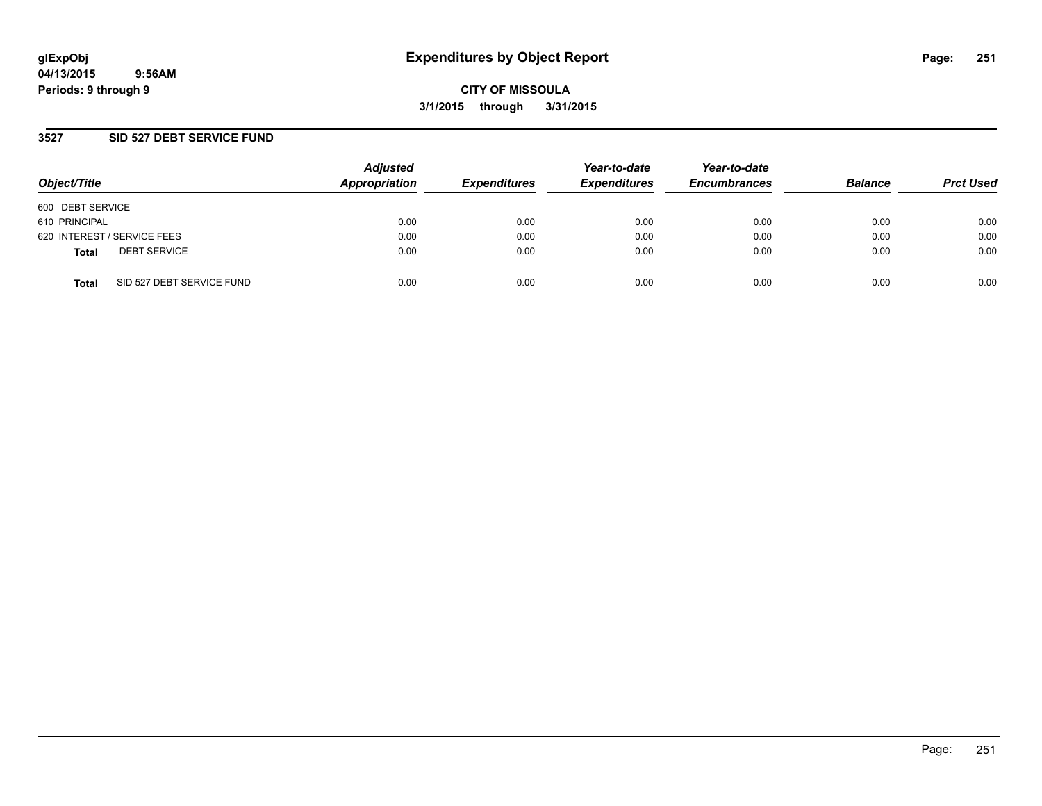**04/13/2015 9:56AM Periods: 9 through 9**

**CITY OF MISSOULA 3/1/2015 through 3/31/2015**

### **3527 SID 527 DEBT SERVICE FUND**

| Object/Title                              | <b>Adjusted</b><br>Appropriation | <b>Expenditures</b> | Year-to-date<br><b>Expenditures</b> | Year-to-date<br><b>Encumbrances</b> | <b>Balance</b> | <b>Prct Used</b> |
|-------------------------------------------|----------------------------------|---------------------|-------------------------------------|-------------------------------------|----------------|------------------|
| 600 DEBT SERVICE                          |                                  |                     |                                     |                                     |                |                  |
| 610 PRINCIPAL                             | 0.00                             | 0.00                | 0.00                                | 0.00                                | 0.00           | 0.00             |
| 620 INTEREST / SERVICE FEES               | 0.00                             | 0.00                | 0.00                                | 0.00                                | 0.00           | 0.00             |
| <b>DEBT SERVICE</b><br><b>Total</b>       | 0.00                             | 0.00                | 0.00                                | 0.00                                | 0.00           | 0.00             |
| SID 527 DEBT SERVICE FUND<br><b>Total</b> | 0.00                             | 0.00                | 0.00                                | 0.00                                | 0.00           | 0.00             |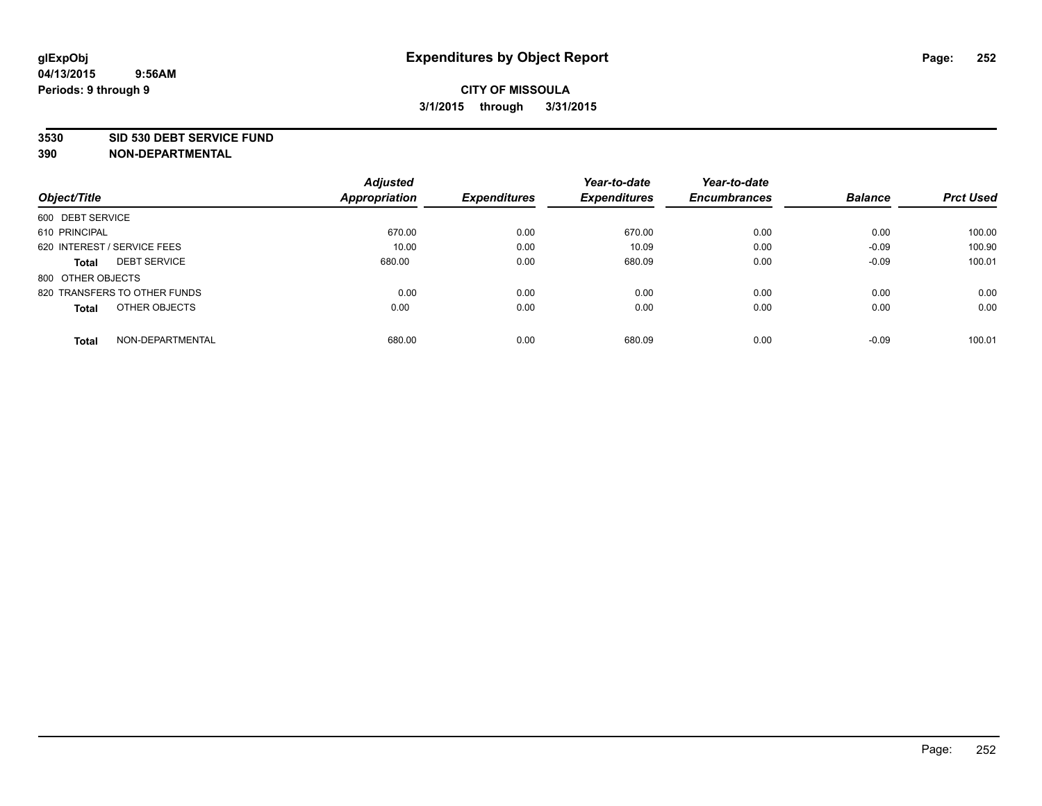#### **3530 SID 530 DEBT SERVICE FUND**

|                                  | <b>Adjusted</b> |                     | Year-to-date        | Year-to-date        |                |                  |
|----------------------------------|-----------------|---------------------|---------------------|---------------------|----------------|------------------|
| Object/Title                     | Appropriation   | <b>Expenditures</b> | <b>Expenditures</b> | <b>Encumbrances</b> | <b>Balance</b> | <b>Prct Used</b> |
| 600 DEBT SERVICE                 |                 |                     |                     |                     |                |                  |
| 610 PRINCIPAL                    | 670.00          | 0.00                | 670.00              | 0.00                | 0.00           | 100.00           |
| 620 INTEREST / SERVICE FEES      | 10.00           | 0.00                | 10.09               | 0.00                | $-0.09$        | 100.90           |
| <b>DEBT SERVICE</b><br>Total     | 680.00          | 0.00                | 680.09              | 0.00                | $-0.09$        | 100.01           |
| 800 OTHER OBJECTS                |                 |                     |                     |                     |                |                  |
| 820 TRANSFERS TO OTHER FUNDS     | 0.00            | 0.00                | 0.00                | 0.00                | 0.00           | 0.00             |
| OTHER OBJECTS<br><b>Total</b>    | 0.00            | 0.00                | 0.00                | 0.00                | 0.00           | 0.00             |
| NON-DEPARTMENTAL<br><b>Total</b> | 680.00          | 0.00                | 680.09              | 0.00                | $-0.09$        | 100.01           |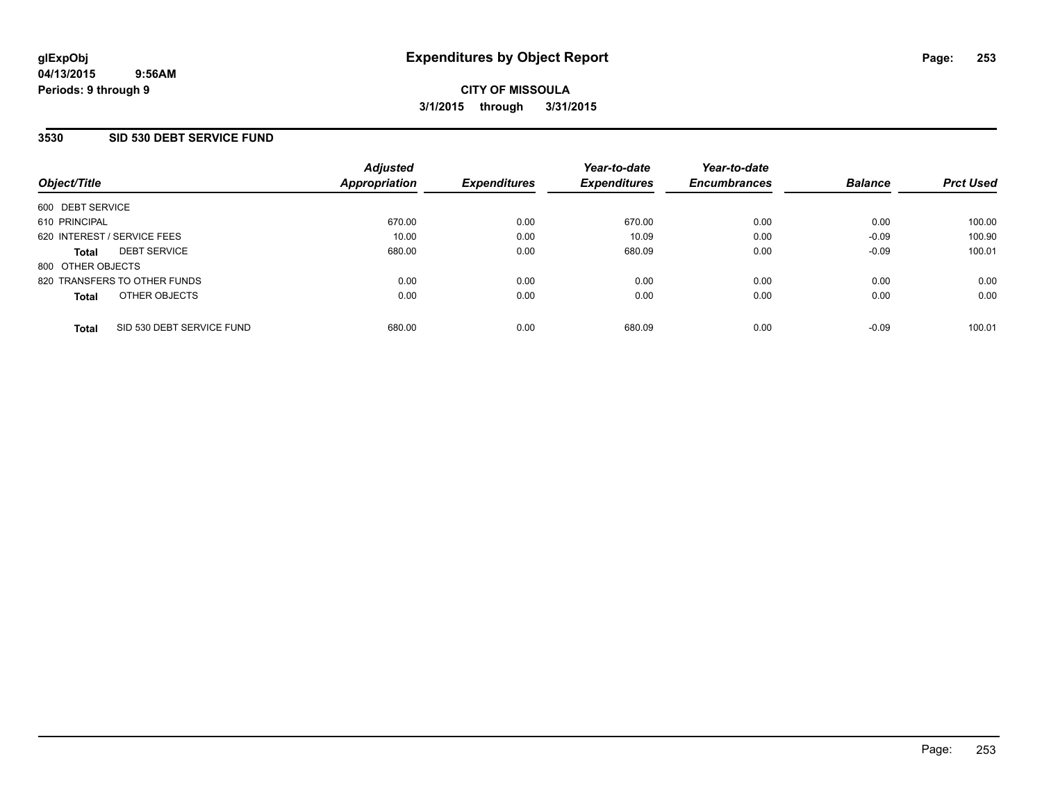## **3530 SID 530 DEBT SERVICE FUND**

|                              | <b>Adjusted</b>                               |                         | Year-to-date                | Year-to-date<br><b>Encumbrances</b> | <b>Balance</b> | <b>Prct Used</b> |
|------------------------------|-----------------------------------------------|-------------------------|-----------------------------|-------------------------------------|----------------|------------------|
|                              |                                               |                         |                             |                                     |                |                  |
|                              |                                               |                         |                             |                                     |                |                  |
|                              | 670.00                                        | 0.00                    | 670.00                      | 0.00                                | 0.00           | 100.00           |
| 620 INTEREST / SERVICE FEES  | 10.00                                         | 0.00                    | 10.09                       | 0.00                                | $-0.09$        | 100.90           |
| <b>DEBT SERVICE</b>          | 680.00                                        | 0.00                    | 680.09                      | 0.00                                | $-0.09$        | 100.01           |
| 800 OTHER OBJECTS            |                                               |                         |                             |                                     |                |                  |
| 820 TRANSFERS TO OTHER FUNDS | 0.00                                          | 0.00                    | 0.00                        | 0.00                                | 0.00           | 0.00             |
| OTHER OBJECTS                | 0.00                                          | 0.00                    | 0.00                        | 0.00                                | 0.00           | 0.00             |
|                              |                                               |                         |                             |                                     |                | 100.01           |
|                              | 600 DEBT SERVICE<br>SID 530 DEBT SERVICE FUND | Appropriation<br>680.00 | <b>Expenditures</b><br>0.00 | <b>Expenditures</b><br>680.09       | 0.00           | $-0.09$          |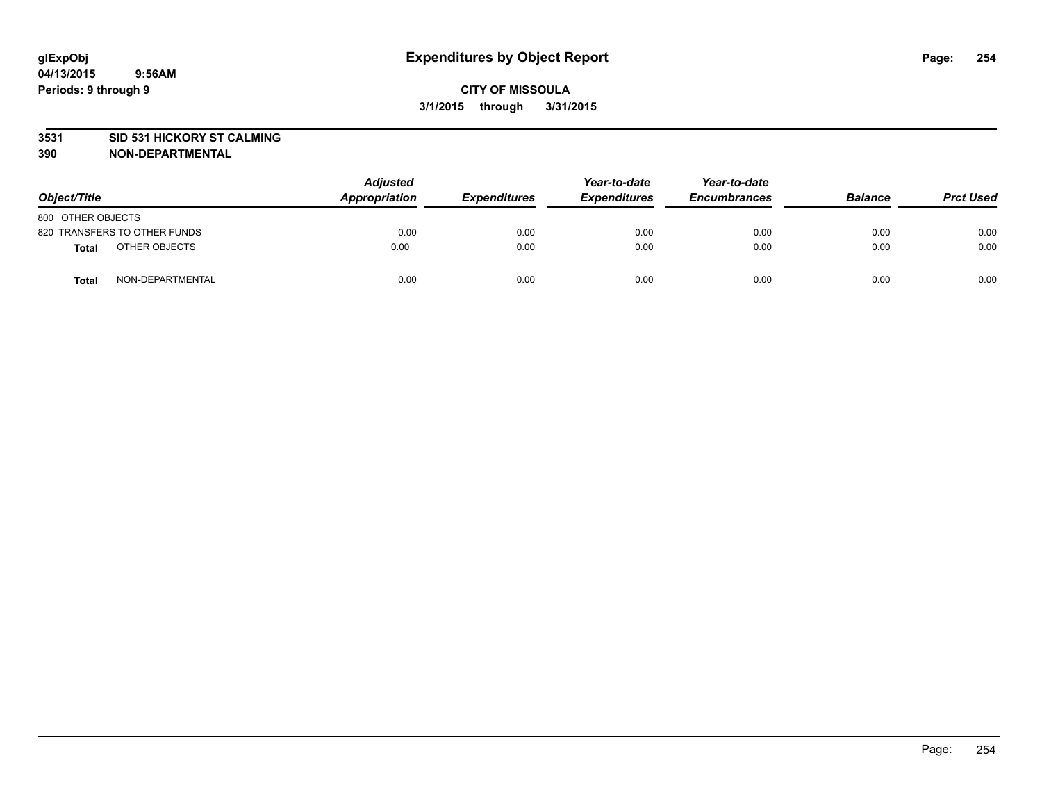#### **3531 SID 531 HICKORY ST CALMING**

| Object/Title                     | <b>Adjusted</b><br>Appropriation | <b>Expenditures</b> | Year-to-date<br><b>Expenditures</b> | Year-to-date<br><b>Encumbrances</b> | <b>Balance</b> | <b>Prct Used</b> |
|----------------------------------|----------------------------------|---------------------|-------------------------------------|-------------------------------------|----------------|------------------|
| 800 OTHER OBJECTS                |                                  |                     |                                     |                                     |                |                  |
| 820 TRANSFERS TO OTHER FUNDS     | 0.00                             | 0.00                | 0.00                                | 0.00                                | 0.00           | 0.00             |
| OTHER OBJECTS<br>Total           | 0.00                             | 0.00                | 0.00                                | 0.00                                | 0.00           | 0.00             |
| NON-DEPARTMENTAL<br><b>Total</b> | 0.00                             | 0.00                | 0.00                                | 0.00                                | 0.00           | 0.00             |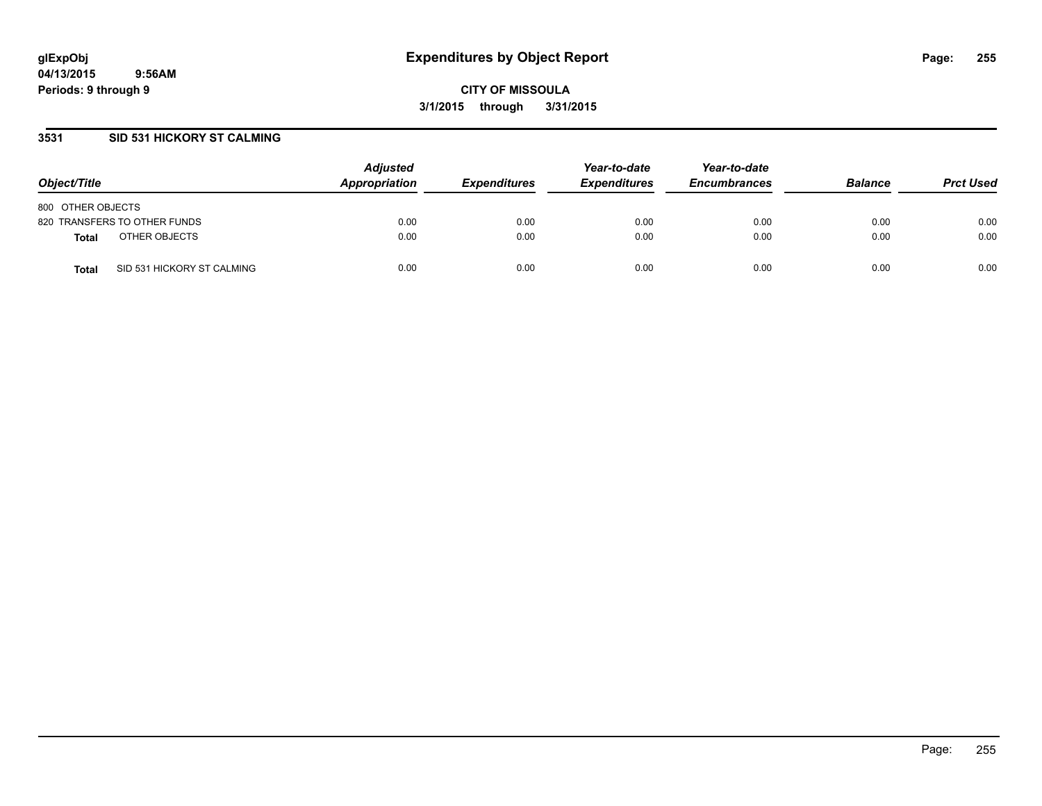## **3531 SID 531 HICKORY ST CALMING**

| Object/Title                               | <b>Adjusted</b><br>Appropriation | <b>Expenditures</b> | Year-to-date<br><b>Expenditures</b> | Year-to-date<br><b>Encumbrances</b> | <b>Balance</b> | <b>Prct Used</b> |
|--------------------------------------------|----------------------------------|---------------------|-------------------------------------|-------------------------------------|----------------|------------------|
| 800 OTHER OBJECTS                          |                                  |                     |                                     |                                     |                |                  |
| 820 TRANSFERS TO OTHER FUNDS               | 0.00                             | 0.00                | 0.00                                | 0.00                                | 0.00           | 0.00             |
| OTHER OBJECTS<br><b>Total</b>              | 0.00                             | 0.00                | 0.00                                | 0.00                                | 0.00           | 0.00             |
| SID 531 HICKORY ST CALMING<br><b>Total</b> | 0.00                             | 0.00                | 0.00                                | 0.00                                | 0.00           | 0.00             |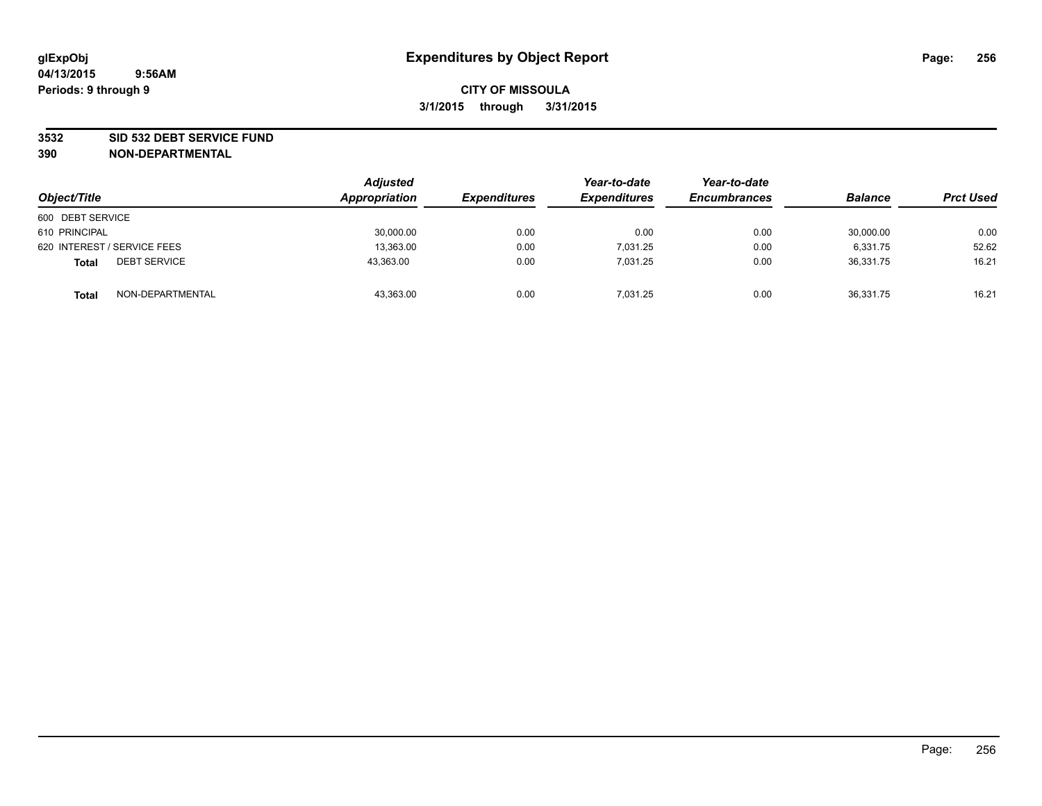#### **3532 SID 532 DEBT SERVICE FUND**

| Object/Title                        | <b>Adjusted</b><br>Appropriation | <b>Expenditures</b> | Year-to-date<br><b>Expenditures</b> | Year-to-date<br><b>Encumbrances</b> | <b>Balance</b> | <b>Prct Used</b> |
|-------------------------------------|----------------------------------|---------------------|-------------------------------------|-------------------------------------|----------------|------------------|
| 600 DEBT SERVICE                    |                                  |                     |                                     |                                     |                |                  |
| 610 PRINCIPAL                       | 30,000.00                        | 0.00                | 0.00                                | 0.00                                | 30,000.00      | 0.00             |
| 620 INTEREST / SERVICE FEES         | 13,363.00                        | 0.00                | 7,031.25                            | 0.00                                | 6.331.75       | 52.62            |
| <b>DEBT SERVICE</b><br><b>Total</b> | 43,363.00                        | 0.00                | 7.031.25                            | 0.00                                | 36.331.75      | 16.21            |
| NON-DEPARTMENTAL<br><b>Total</b>    | 43,363.00                        | 0.00                | 7,031.25                            | 0.00                                | 36,331.75      | 16.21            |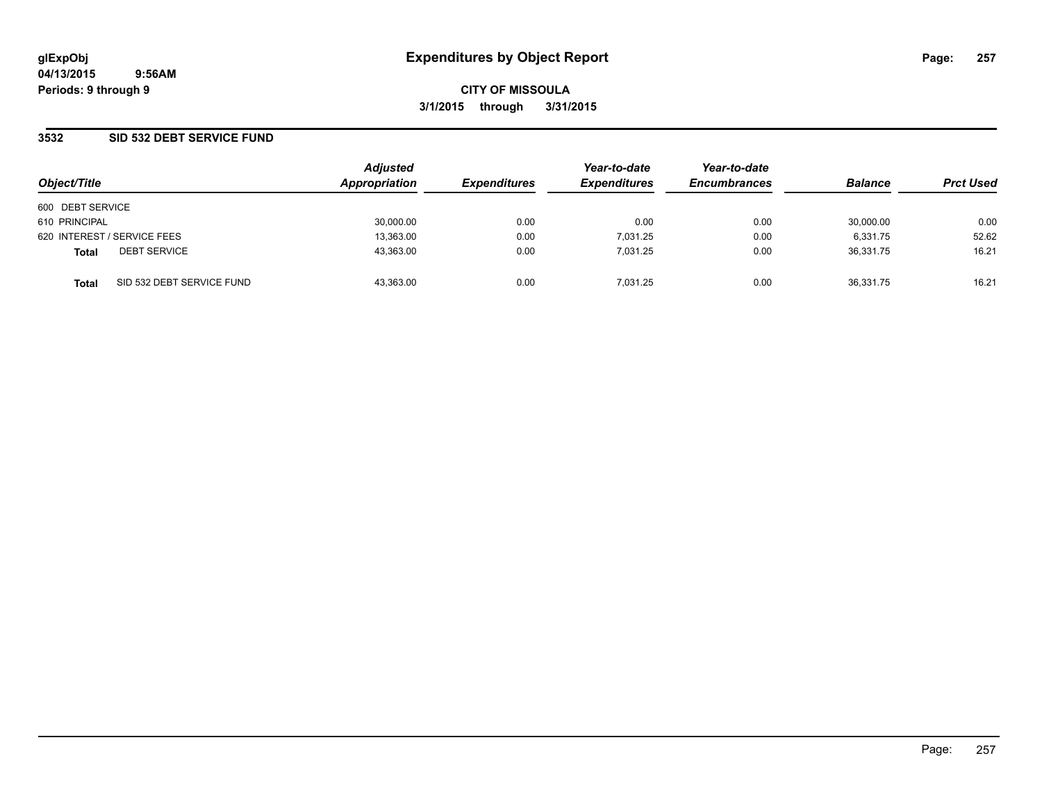**CITY OF MISSOULA 3/1/2015 through 3/31/2015**

### **3532 SID 532 DEBT SERVICE FUND**

| Object/Title                              | <b>Adjusted</b><br>Appropriation | <b>Expenditures</b> | Year-to-date<br><b>Expenditures</b> | Year-to-date<br><b>Encumbrances</b> | <b>Balance</b> | <b>Prct Used</b> |
|-------------------------------------------|----------------------------------|---------------------|-------------------------------------|-------------------------------------|----------------|------------------|
| 600 DEBT SERVICE                          |                                  |                     |                                     |                                     |                |                  |
| 610 PRINCIPAL                             | 30,000.00                        | 0.00                | 0.00                                | 0.00                                | 30,000.00      | 0.00             |
| 620 INTEREST / SERVICE FEES               | 13,363.00                        | 0.00                | 7,031.25                            | 0.00                                | 6,331.75       | 52.62            |
| <b>DEBT SERVICE</b><br><b>Total</b>       | 43,363.00                        | 0.00                | 7.031.25                            | 0.00                                | 36.331.75      | 16.21            |
| SID 532 DEBT SERVICE FUND<br><b>Total</b> | 43,363.00                        | 0.00                | 7.031.25                            | 0.00                                | 36.331.75      | 16.21            |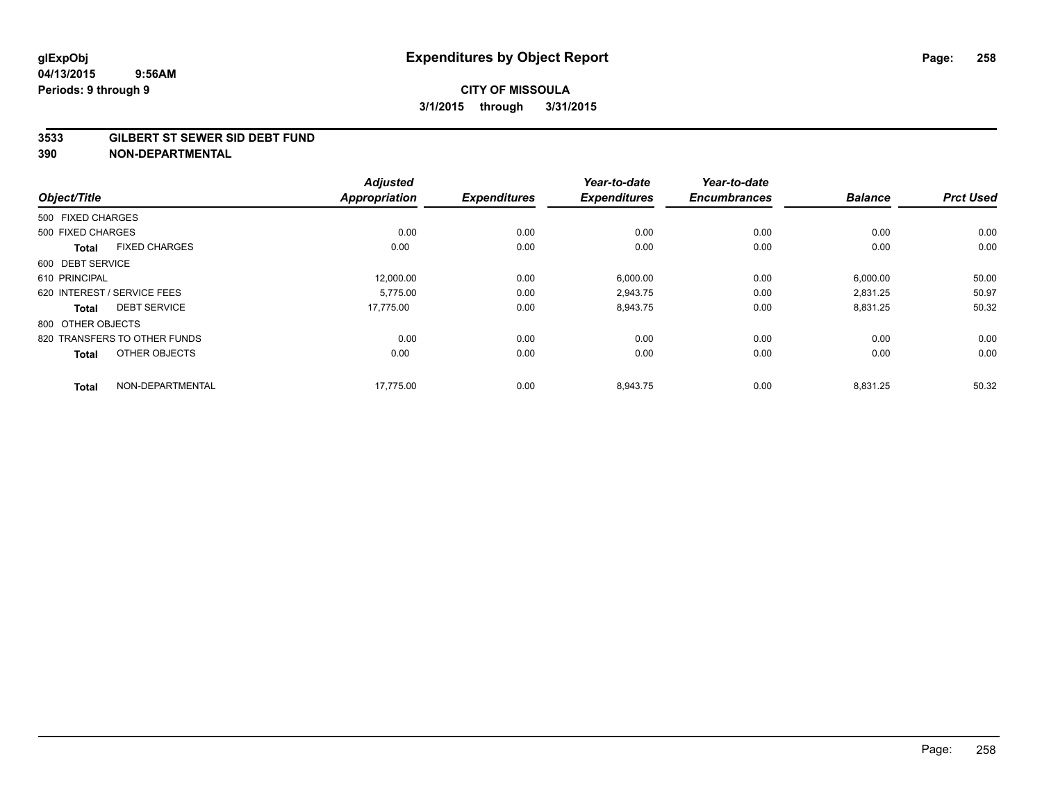#### **3533 GILBERT ST SEWER SID DEBT FUND**

|                                      | <b>Adjusted</b>      |                     | Year-to-date        | Year-to-date        |                |                  |
|--------------------------------------|----------------------|---------------------|---------------------|---------------------|----------------|------------------|
| Object/Title                         | <b>Appropriation</b> | <b>Expenditures</b> | <b>Expenditures</b> | <b>Encumbrances</b> | <b>Balance</b> | <b>Prct Used</b> |
| 500 FIXED CHARGES                    |                      |                     |                     |                     |                |                  |
| 500 FIXED CHARGES                    | 0.00                 | 0.00                | 0.00                | 0.00                | 0.00           | 0.00             |
| <b>FIXED CHARGES</b><br><b>Total</b> | 0.00                 | 0.00                | 0.00                | 0.00                | 0.00           | 0.00             |
| 600 DEBT SERVICE                     |                      |                     |                     |                     |                |                  |
| 610 PRINCIPAL                        | 12,000.00            | 0.00                | 6,000.00            | 0.00                | 6,000.00       | 50.00            |
| 620 INTEREST / SERVICE FEES          | 5.775.00             | 0.00                | 2.943.75            | 0.00                | 2.831.25       | 50.97            |
| <b>DEBT SERVICE</b><br><b>Total</b>  | 17,775.00            | 0.00                | 8,943.75            | 0.00                | 8,831.25       | 50.32            |
| 800 OTHER OBJECTS                    |                      |                     |                     |                     |                |                  |
| 820 TRANSFERS TO OTHER FUNDS         | 0.00                 | 0.00                | 0.00                | 0.00                | 0.00           | 0.00             |
| OTHER OBJECTS<br><b>Total</b>        | 0.00                 | 0.00                | 0.00                | 0.00                | 0.00           | 0.00             |
|                                      |                      |                     |                     |                     |                |                  |
| NON-DEPARTMENTAL<br><b>Total</b>     | 17,775.00            | 0.00                | 8,943.75            | 0.00                | 8,831.25       | 50.32            |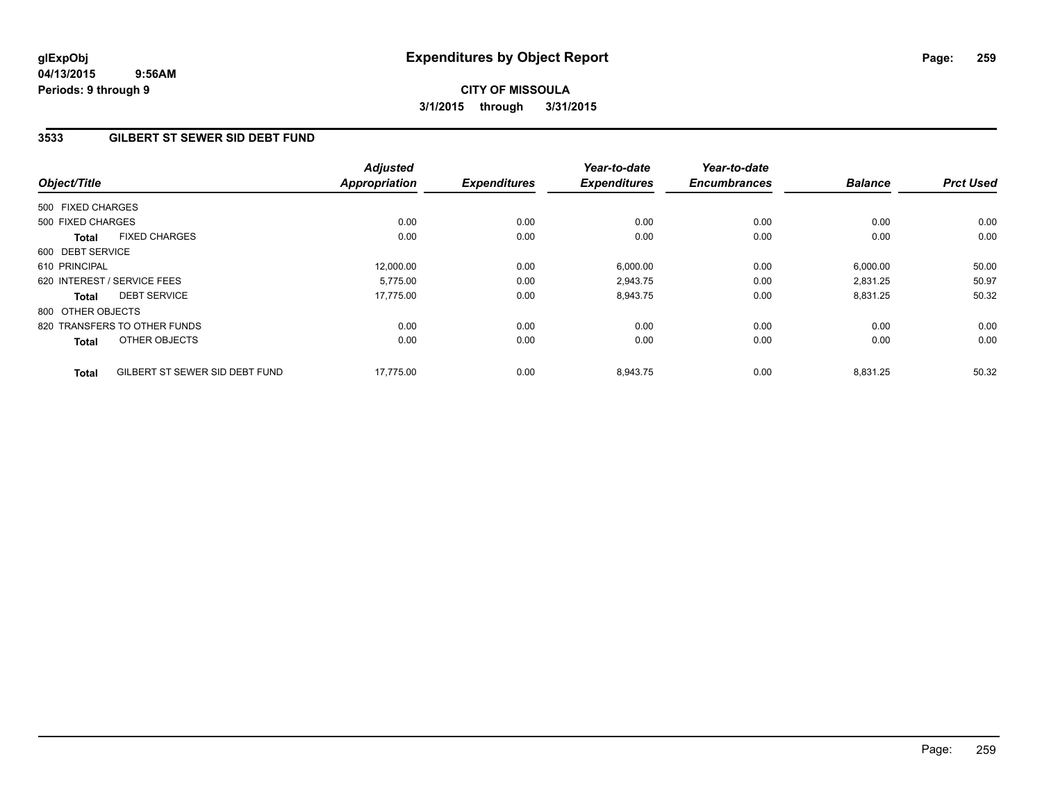# **CITY OF MISSOULA 3/1/2015 through 3/31/2015**

## **3533 GILBERT ST SEWER SID DEBT FUND**

| Object/Title                 |                                | <b>Adjusted</b><br><b>Appropriation</b> | <b>Expenditures</b> | Year-to-date<br><b>Expenditures</b> | Year-to-date<br><b>Encumbrances</b> | <b>Balance</b> | <b>Prct Used</b> |
|------------------------------|--------------------------------|-----------------------------------------|---------------------|-------------------------------------|-------------------------------------|----------------|------------------|
| 500 FIXED CHARGES            |                                |                                         |                     |                                     |                                     |                |                  |
| 500 FIXED CHARGES            |                                | 0.00                                    | 0.00                | 0.00                                | 0.00                                | 0.00           | 0.00             |
| <b>Total</b>                 | <b>FIXED CHARGES</b>           | 0.00                                    | 0.00                | 0.00                                | 0.00                                | 0.00           | 0.00             |
| 600 DEBT SERVICE             |                                |                                         |                     |                                     |                                     |                |                  |
| 610 PRINCIPAL                |                                | 12,000.00                               | 0.00                | 6,000.00                            | 0.00                                | 6,000.00       | 50.00            |
| 620 INTEREST / SERVICE FEES  |                                | 5.775.00                                | 0.00                | 2,943.75                            | 0.00                                | 2,831.25       | 50.97            |
| <b>Total</b>                 | <b>DEBT SERVICE</b>            | 17.775.00                               | 0.00                | 8,943.75                            | 0.00                                | 8,831.25       | 50.32            |
| 800 OTHER OBJECTS            |                                |                                         |                     |                                     |                                     |                |                  |
| 820 TRANSFERS TO OTHER FUNDS |                                | 0.00                                    | 0.00                | 0.00                                | 0.00                                | 0.00           | 0.00             |
| <b>Total</b>                 | OTHER OBJECTS                  | 0.00                                    | 0.00                | 0.00                                | 0.00                                | 0.00           | 0.00             |
| <b>Total</b>                 | GILBERT ST SEWER SID DEBT FUND | 17,775.00                               | 0.00                | 8,943.75                            | 0.00                                | 8,831.25       | 50.32            |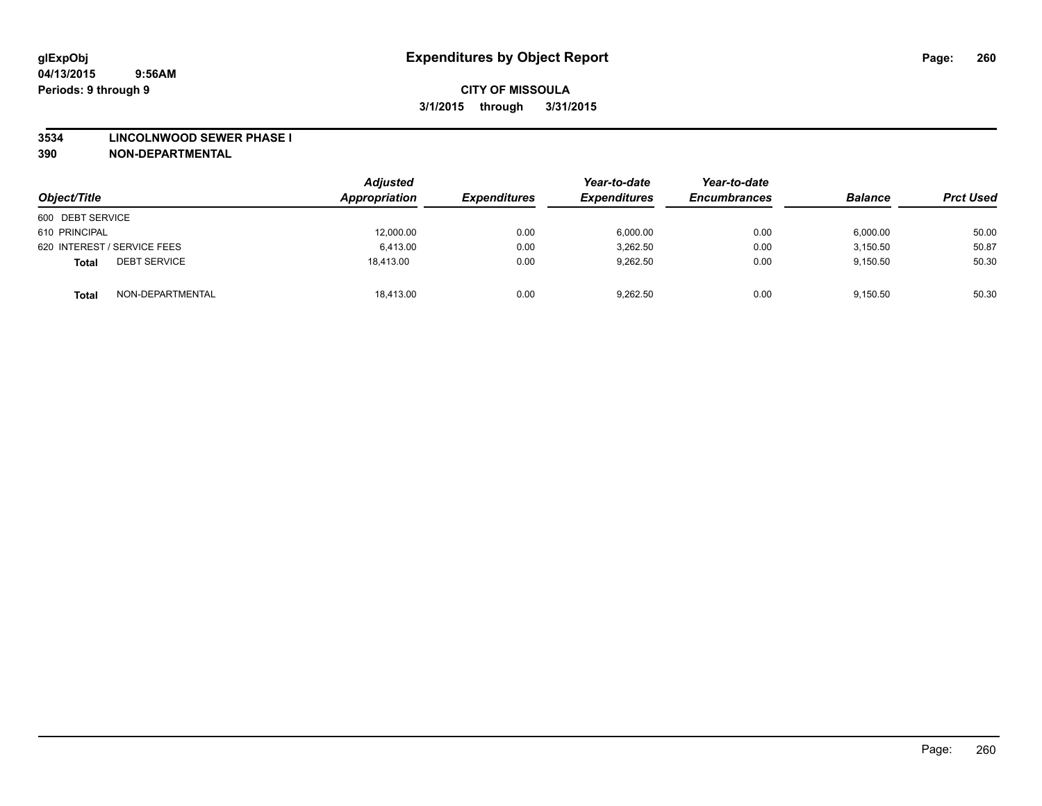#### **3534 LINCOLNWOOD SEWER PHASE I**

| Object/Title                        | Adjusted<br>Appropriation | <b>Expenditures</b> | Year-to-date<br><b>Expenditures</b> | Year-to-date<br><b>Encumbrances</b> | <b>Balance</b> | <b>Prct Used</b> |
|-------------------------------------|---------------------------|---------------------|-------------------------------------|-------------------------------------|----------------|------------------|
| 600 DEBT SERVICE                    |                           |                     |                                     |                                     |                |                  |
| 610 PRINCIPAL                       | 12,000.00                 | 0.00                | 6,000.00                            | 0.00                                | 6,000.00       | 50.00            |
| 620 INTEREST / SERVICE FEES         | 6.413.00                  | 0.00                | 3,262.50                            | 0.00                                | 3.150.50       | 50.87            |
| <b>DEBT SERVICE</b><br><b>Total</b> | 18.413.00                 | 0.00                | 9.262.50                            | 0.00                                | 9.150.50       | 50.30            |
| NON-DEPARTMENTAL<br><b>Total</b>    | 18,413.00                 | 0.00                | 9,262.50                            | 0.00                                | 9.150.50       | 50.30            |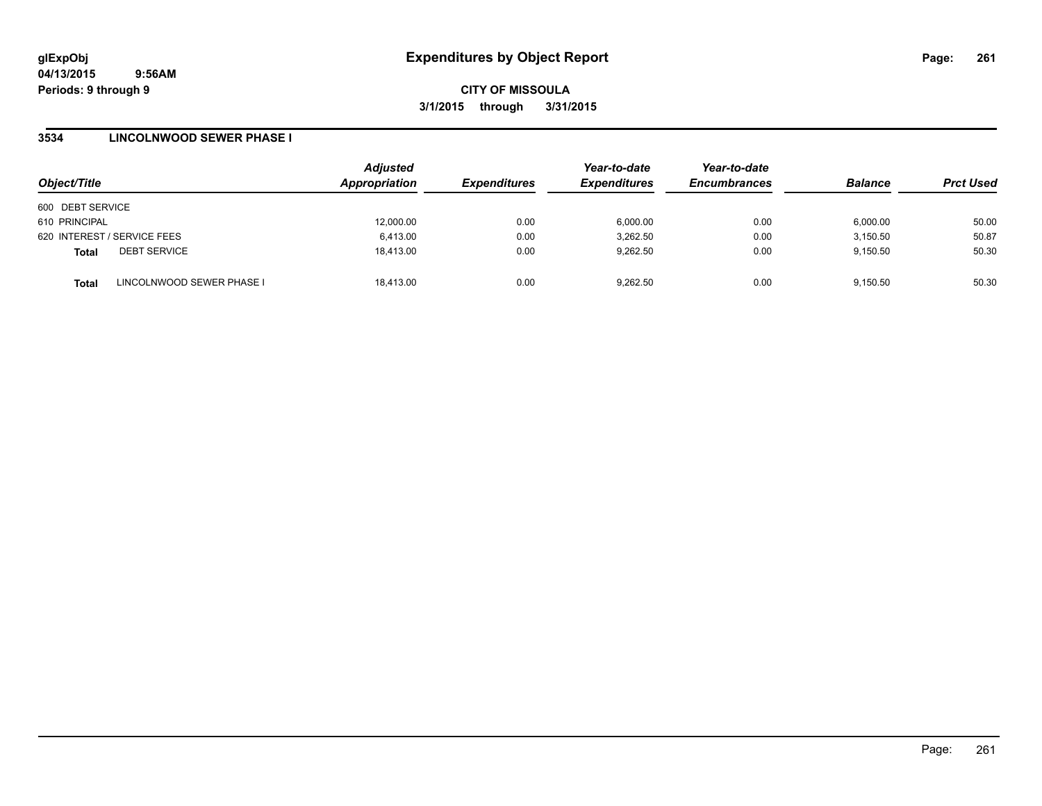**CITY OF MISSOULA 3/1/2015 through 3/31/2015**

### **3534 LINCOLNWOOD SEWER PHASE I**

| Object/Title     |                             | <b>Adjusted</b><br>Appropriation | <b>Expenditures</b> | Year-to-date<br><b>Expenditures</b> | Year-to-date<br><b>Encumbrances</b> | <b>Balance</b> | <b>Prct Used</b> |
|------------------|-----------------------------|----------------------------------|---------------------|-------------------------------------|-------------------------------------|----------------|------------------|
|                  |                             |                                  |                     |                                     |                                     |                |                  |
| 600 DEBT SERVICE |                             |                                  |                     |                                     |                                     |                |                  |
| 610 PRINCIPAL    |                             | 12,000.00                        | 0.00                | 6,000.00                            | 0.00                                | 6,000.00       | 50.00            |
|                  | 620 INTEREST / SERVICE FEES | 6,413.00                         | 0.00                | 3,262.50                            | 0.00                                | 3,150.50       | 50.87            |
| <b>Total</b>     | <b>DEBT SERVICE</b>         | 18.413.00                        | 0.00                | 9.262.50                            | 0.00                                | 9,150.50       | 50.30            |
| <b>Total</b>     | LINCOLNWOOD SEWER PHASE I   | 18.413.00                        | 0.00                | 9.262.50                            | 0.00                                | 9.150.50       | 50.30            |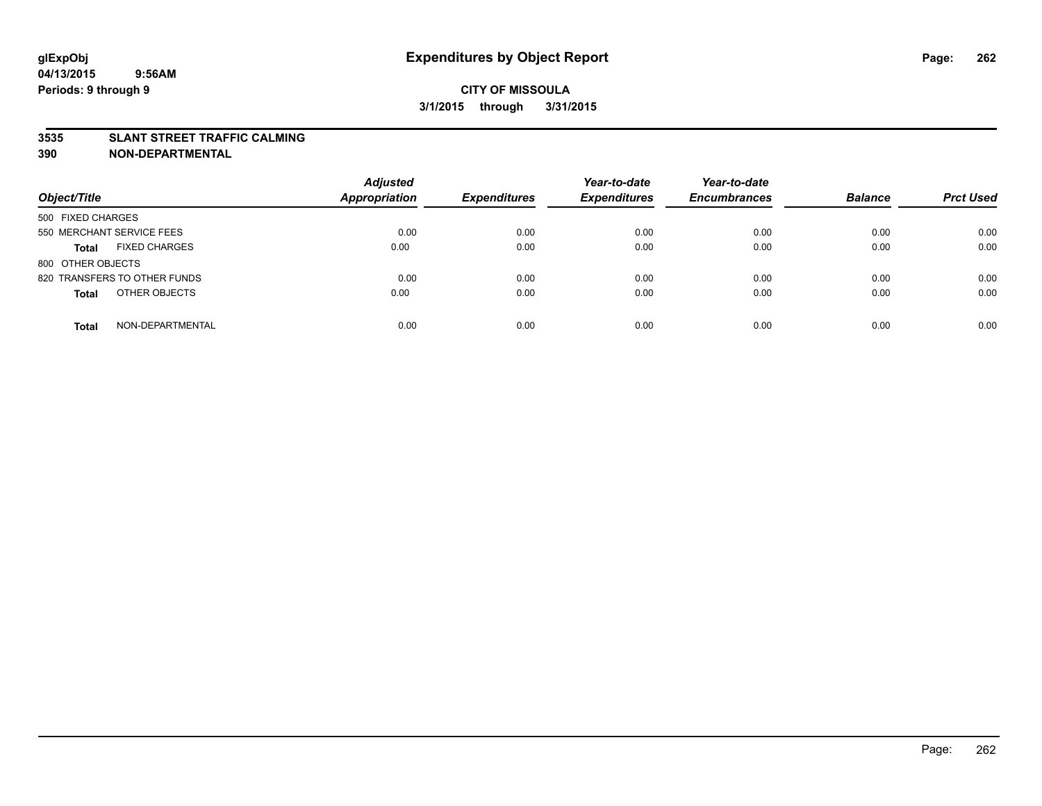#### **3535 SLANT STREET TRAFFIC CALMING**

| Object/Title                         | <b>Adjusted</b><br>Appropriation | <b>Expenditures</b> | Year-to-date<br><b>Expenditures</b> | Year-to-date<br><b>Encumbrances</b> | <b>Balance</b> | <b>Prct Used</b> |
|--------------------------------------|----------------------------------|---------------------|-------------------------------------|-------------------------------------|----------------|------------------|
| 500 FIXED CHARGES                    |                                  |                     |                                     |                                     |                |                  |
| 550 MERCHANT SERVICE FEES            | 0.00                             | 0.00                | 0.00                                | 0.00                                | 0.00           | 0.00             |
| <b>FIXED CHARGES</b><br><b>Total</b> | 0.00                             | 0.00                | 0.00                                | 0.00                                | 0.00           | 0.00             |
| 800 OTHER OBJECTS                    |                                  |                     |                                     |                                     |                |                  |
| 820 TRANSFERS TO OTHER FUNDS         | 0.00                             | 0.00                | 0.00                                | 0.00                                | 0.00           | 0.00             |
| OTHER OBJECTS<br><b>Total</b>        | 0.00                             | 0.00                | 0.00                                | 0.00                                | 0.00           | 0.00             |
| NON-DEPARTMENTAL<br><b>Total</b>     | 0.00                             | 0.00                | 0.00                                | 0.00                                | 0.00           | 0.00             |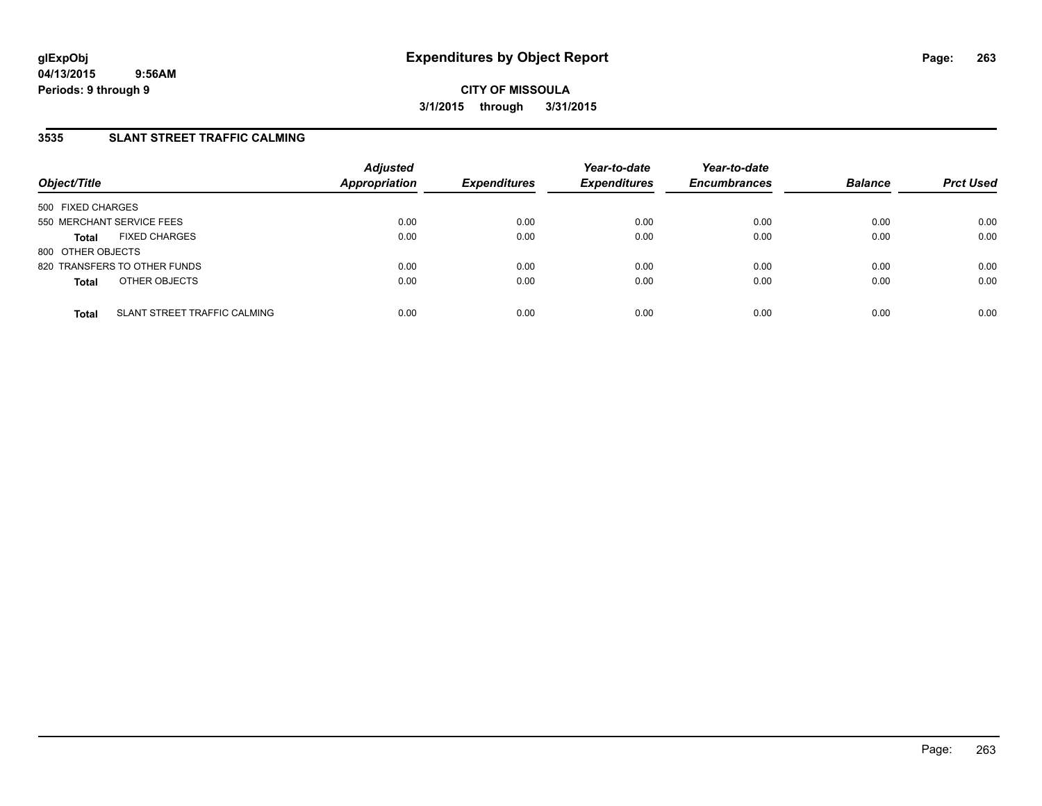## **3535 SLANT STREET TRAFFIC CALMING**

| Object/Title              |                              | <b>Adjusted</b><br>Appropriation | <b>Expenditures</b> | Year-to-date<br><b>Expenditures</b> | Year-to-date<br><b>Encumbrances</b> | <b>Balance</b> | <b>Prct Used</b> |
|---------------------------|------------------------------|----------------------------------|---------------------|-------------------------------------|-------------------------------------|----------------|------------------|
| 500 FIXED CHARGES         |                              |                                  |                     |                                     |                                     |                |                  |
| 550 MERCHANT SERVICE FEES |                              | 0.00                             | 0.00                | 0.00                                | 0.00                                | 0.00           | 0.00             |
| <b>Total</b>              | <b>FIXED CHARGES</b>         | 0.00                             | 0.00                | 0.00                                | 0.00                                | 0.00           | 0.00             |
| 800 OTHER OBJECTS         |                              |                                  |                     |                                     |                                     |                |                  |
|                           | 820 TRANSFERS TO OTHER FUNDS | 0.00                             | 0.00                | 0.00                                | 0.00                                | 0.00           | 0.00             |
| <b>Total</b>              | OTHER OBJECTS                | 0.00                             | 0.00                | 0.00                                | 0.00                                | 0.00           | 0.00             |
| <b>Total</b>              | SLANT STREET TRAFFIC CALMING | 0.00                             | 0.00                | 0.00                                | 0.00                                | 0.00           | 0.00             |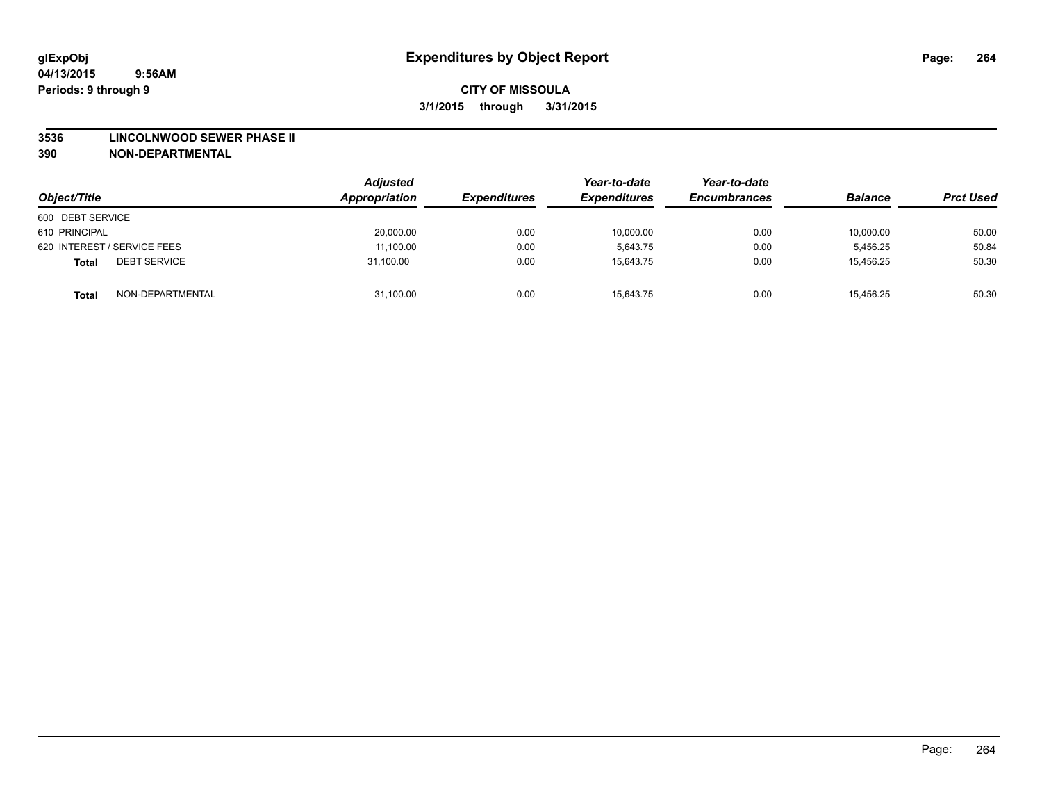#### **3536 LINCOLNWOOD SEWER PHASE II**

| Object/Title                        | <b>Adjusted</b><br>Appropriation | <b>Expenditures</b> | Year-to-date<br><b>Expenditures</b> | Year-to-date<br><b>Encumbrances</b> | <b>Balance</b> | <b>Prct Used</b> |
|-------------------------------------|----------------------------------|---------------------|-------------------------------------|-------------------------------------|----------------|------------------|
| 600 DEBT SERVICE                    |                                  |                     |                                     |                                     |                |                  |
| 610 PRINCIPAL                       | 20,000.00                        | 0.00                | 10,000.00                           | 0.00                                | 10,000.00      | 50.00            |
| 620 INTEREST / SERVICE FEES         | 11,100.00                        | 0.00                | 5.643.75                            | 0.00                                | 5,456.25       | 50.84            |
| <b>DEBT SERVICE</b><br><b>Total</b> | 31,100.00                        | 0.00                | 15.643.75                           | 0.00                                | 15,456.25      | 50.30            |
| NON-DEPARTMENTAL<br><b>Total</b>    | 31,100.00                        | 0.00                | 15,643.75                           | 0.00                                | 15,456.25      | 50.30            |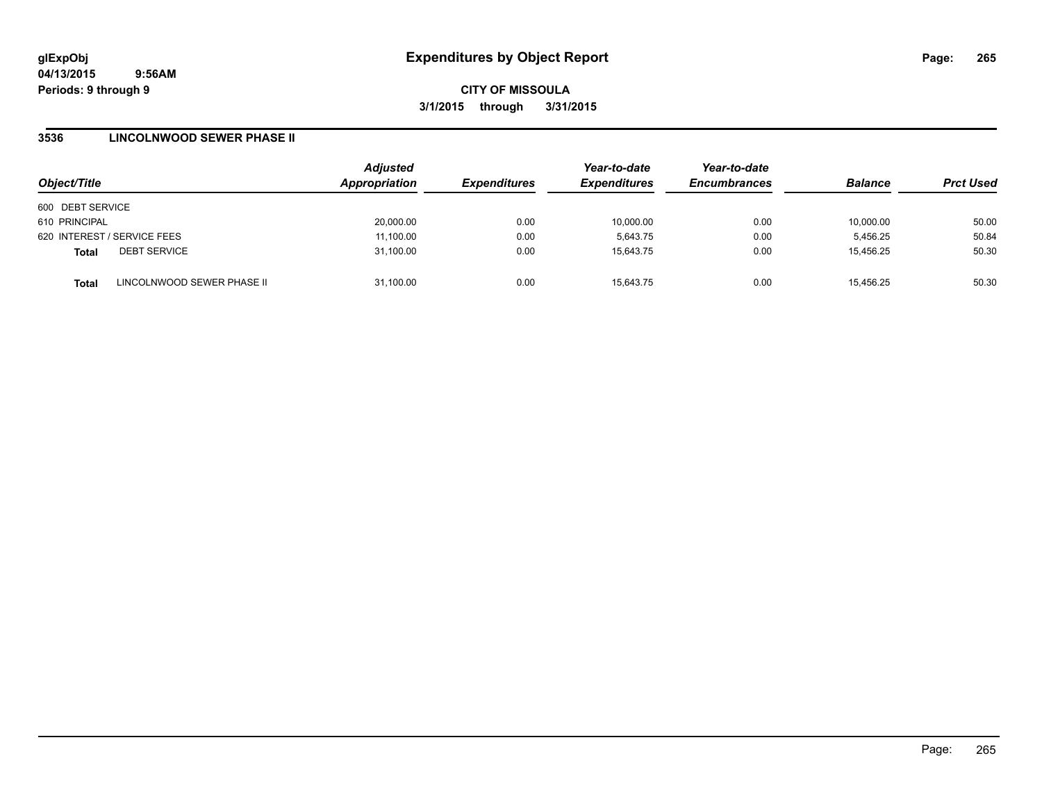**CITY OF MISSOULA 3/1/2015 through 3/31/2015**

### **3536 LINCOLNWOOD SEWER PHASE II**

| Object/Title     |                             | <b>Adjusted</b><br>Appropriation | <b>Expenditures</b> | Year-to-date<br><b>Expenditures</b> | Year-to-date<br><b>Encumbrances</b> | <b>Balance</b> | <b>Prct Used</b> |
|------------------|-----------------------------|----------------------------------|---------------------|-------------------------------------|-------------------------------------|----------------|------------------|
| 600 DEBT SERVICE |                             |                                  |                     |                                     |                                     |                |                  |
| 610 PRINCIPAL    |                             | 20,000.00                        | 0.00                | 10.000.00                           | 0.00                                | 10.000.00      | 50.00            |
|                  | 620 INTEREST / SERVICE FEES | 11,100.00                        | 0.00                | 5.643.75                            | 0.00                                | 5,456.25       | 50.84            |
| <b>Total</b>     | <b>DEBT SERVICE</b>         | 31,100.00                        | 0.00                | 15.643.75                           | 0.00                                | 15.456.25      | 50.30            |
| <b>Total</b>     | LINCOLNWOOD SEWER PHASE II  | 31,100.00                        | 0.00                | 15.643.75                           | 0.00                                | 15,456.25      | 50.30            |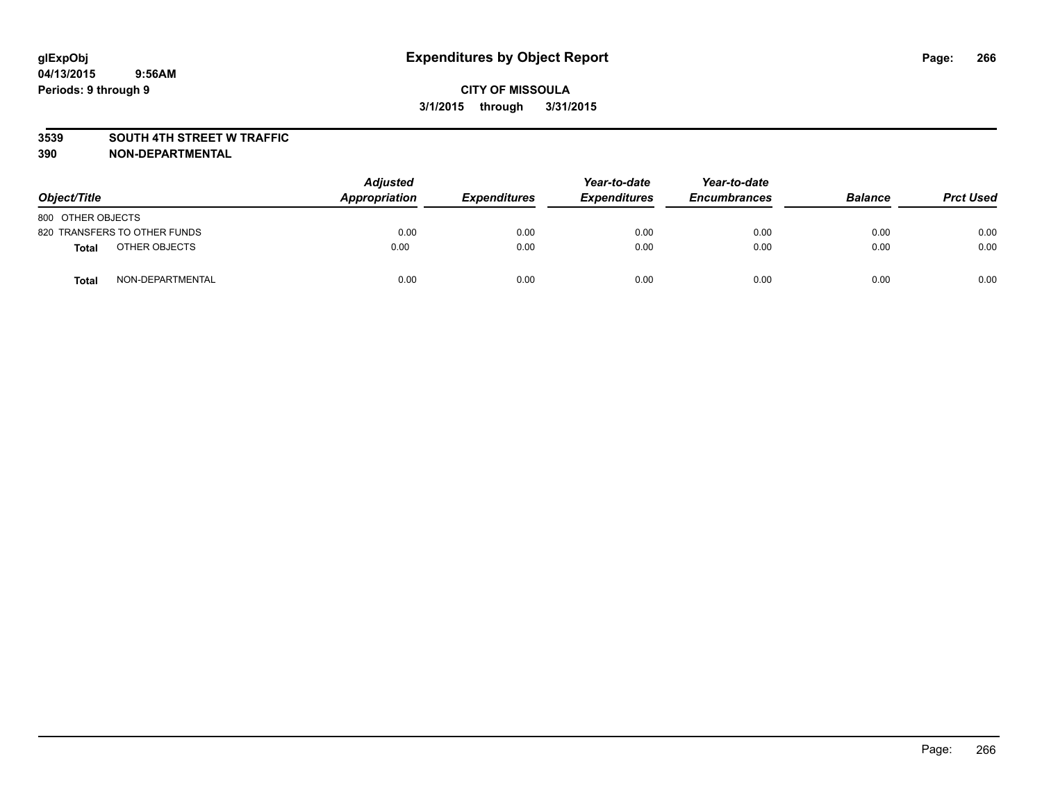#### **3539 SOUTH 4TH STREET W TRAFFIC**

| Object/Title      |                              | <b>Adjusted</b><br>Appropriation | <b>Expenditures</b> | Year-to-date<br><b>Expenditures</b> | Year-to-date<br><b>Encumbrances</b> | <b>Balance</b> | <b>Prct Used</b> |
|-------------------|------------------------------|----------------------------------|---------------------|-------------------------------------|-------------------------------------|----------------|------------------|
| 800 OTHER OBJECTS |                              |                                  |                     |                                     |                                     |                |                  |
|                   | 820 TRANSFERS TO OTHER FUNDS | 0.00                             | 0.00                | 0.00                                | 0.00                                | 0.00           | 0.00             |
| Total             | OTHER OBJECTS                | 0.00                             | 0.00                | 0.00                                | 0.00                                | 0.00           | 0.00             |
| Total             | NON-DEPARTMENTAL             | 0.00                             | 0.00                | 0.00                                | 0.00                                | 0.00           | 0.00             |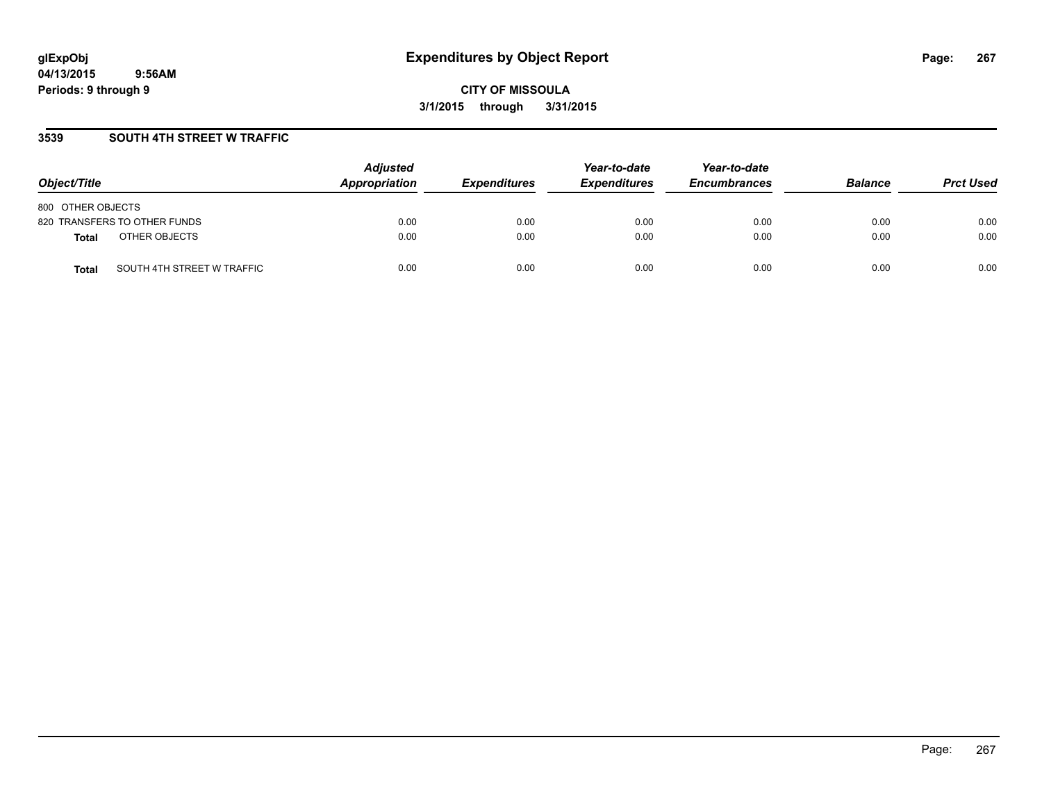**CITY OF MISSOULA 3/1/2015 through 3/31/2015**

## **3539 SOUTH 4TH STREET W TRAFFIC**

| Object/Title                               | <b>Adjusted</b><br><b>Appropriation</b> | <b>Expenditures</b> | Year-to-date<br><b>Expenditures</b> | Year-to-date<br><b>Encumbrances</b> | <b>Balance</b> | <b>Prct Used</b> |
|--------------------------------------------|-----------------------------------------|---------------------|-------------------------------------|-------------------------------------|----------------|------------------|
| 800 OTHER OBJECTS                          |                                         |                     |                                     |                                     |                |                  |
| 820 TRANSFERS TO OTHER FUNDS               | 0.00                                    | 0.00                | 0.00                                | 0.00                                | 0.00           | 0.00             |
| OTHER OBJECTS<br><b>Total</b>              | 0.00                                    | 0.00                | 0.00                                | 0.00                                | 0.00           | 0.00             |
| SOUTH 4TH STREET W TRAFFIC<br><b>Total</b> | 0.00                                    | 0.00                | 0.00                                | 0.00                                | 0.00           | 0.00             |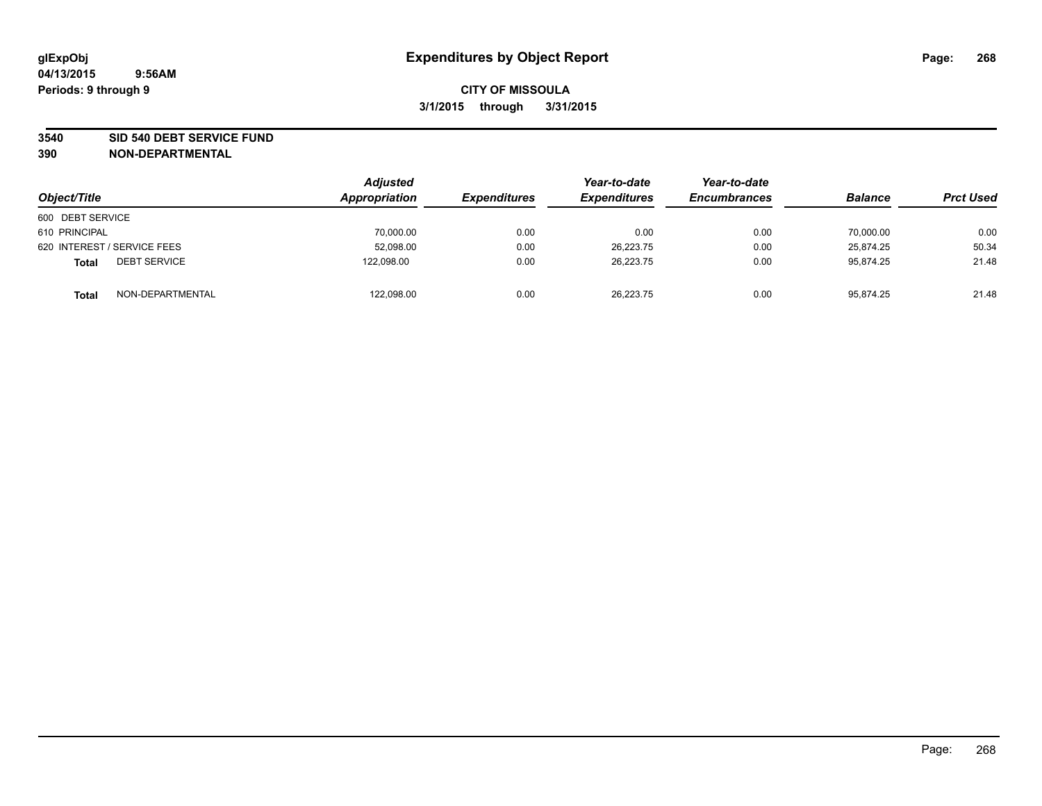#### **3540 SID 540 DEBT SERVICE FUND**

| Object/Title                        | Adjusted<br>Appropriation | <b>Expenditures</b> | Year-to-date<br><b>Expenditures</b> | Year-to-date<br><b>Encumbrances</b> | <b>Balance</b> | <b>Prct Used</b> |
|-------------------------------------|---------------------------|---------------------|-------------------------------------|-------------------------------------|----------------|------------------|
| 600 DEBT SERVICE                    |                           |                     |                                     |                                     |                |                  |
| 610 PRINCIPAL                       | 70,000.00                 | 0.00                | 0.00                                | 0.00                                | 70.000.00      | 0.00             |
| 620 INTEREST / SERVICE FEES         | 52,098.00                 | 0.00                | 26,223.75                           | 0.00                                | 25.874.25      | 50.34            |
| <b>DEBT SERVICE</b><br><b>Total</b> | 122.098.00                | 0.00                | 26.223.75                           | 0.00                                | 95.874.25      | 21.48            |
| NON-DEPARTMENTAL<br><b>Total</b>    | 122,098.00                | 0.00                | 26,223.75                           | 0.00                                | 95,874.25      | 21.48            |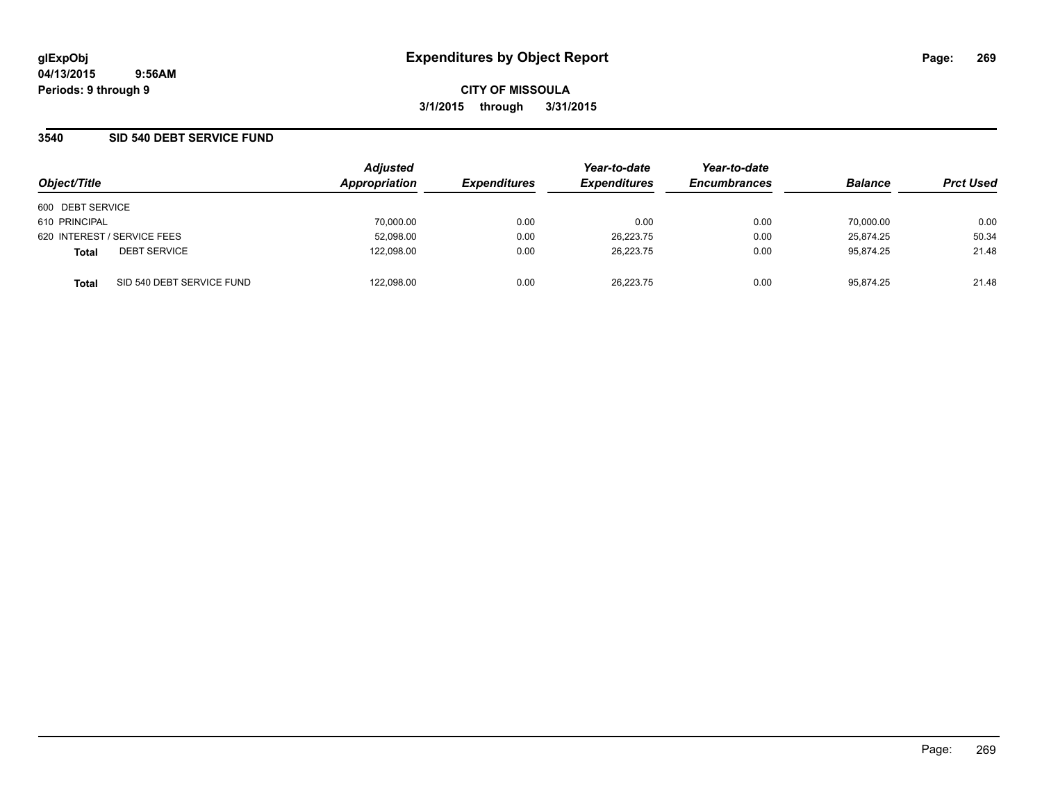**CITY OF MISSOULA 3/1/2015 through 3/31/2015**

### **3540 SID 540 DEBT SERVICE FUND**

| Object/Title     |                             | <b>Adjusted</b><br>Appropriation | <b>Expenditures</b> | Year-to-date<br><b>Expenditures</b> | Year-to-date<br><b>Encumbrances</b> | <b>Balance</b> | <b>Prct Used</b> |
|------------------|-----------------------------|----------------------------------|---------------------|-------------------------------------|-------------------------------------|----------------|------------------|
| 600 DEBT SERVICE |                             |                                  |                     |                                     |                                     |                |                  |
| 610 PRINCIPAL    |                             | 70,000.00                        | 0.00                | 0.00                                | 0.00                                | 70,000.00      | 0.00             |
|                  | 620 INTEREST / SERVICE FEES | 52,098.00                        | 0.00                | 26.223.75                           | 0.00                                | 25.874.25      | 50.34            |
| <b>Total</b>     | <b>DEBT SERVICE</b>         | 122.098.00                       | 0.00                | 26.223.75                           | 0.00                                | 95.874.25      | 21.48            |
| <b>Total</b>     | SID 540 DEBT SERVICE FUND   | 122.098.00                       | 0.00                | 26.223.75                           | 0.00                                | 95.874.25      | 21.48            |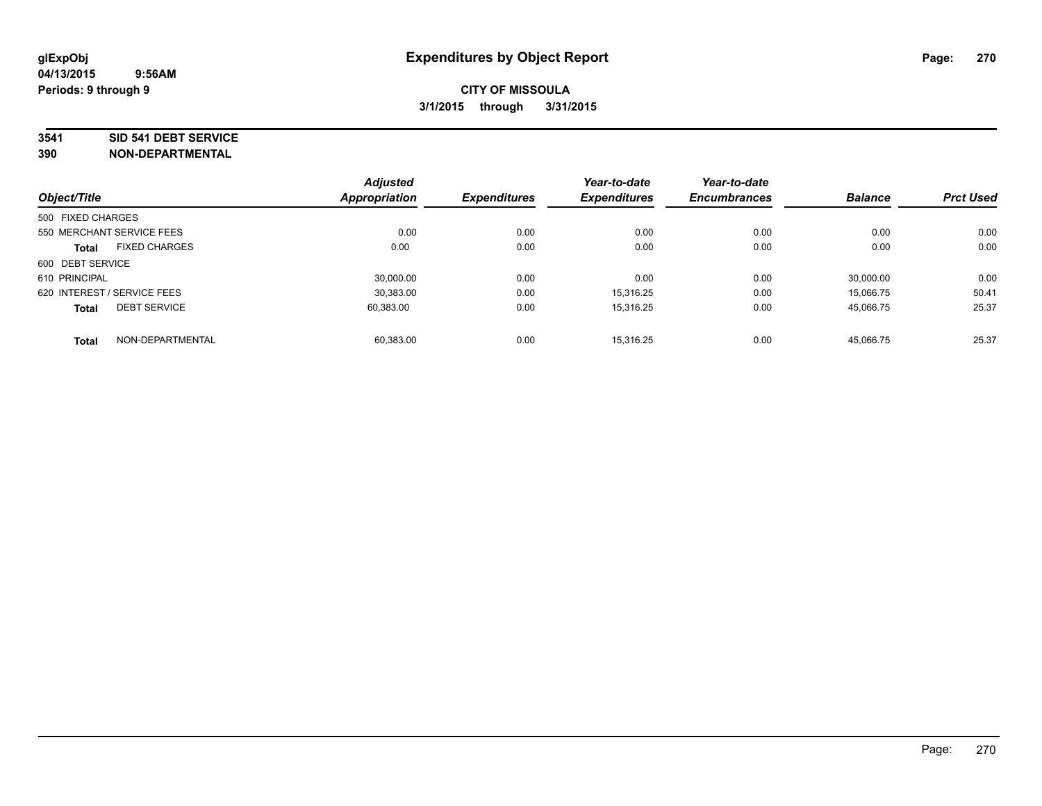#### **3541 SID 541 DEBT SERVICE**

|                                      | <b>Adjusted</b> |                     | Year-to-date        | Year-to-date        |                |                  |
|--------------------------------------|-----------------|---------------------|---------------------|---------------------|----------------|------------------|
| Object/Title                         | Appropriation   | <b>Expenditures</b> | <b>Expenditures</b> | <b>Encumbrances</b> | <b>Balance</b> | <b>Prct Used</b> |
| 500 FIXED CHARGES                    |                 |                     |                     |                     |                |                  |
| 550 MERCHANT SERVICE FEES            | 0.00            | 0.00                | 0.00                | 0.00                | 0.00           | 0.00             |
| <b>FIXED CHARGES</b><br><b>Total</b> | 0.00            | 0.00                | 0.00                | 0.00                | 0.00           | 0.00             |
| 600 DEBT SERVICE                     |                 |                     |                     |                     |                |                  |
| 610 PRINCIPAL                        | 30,000.00       | 0.00                | 0.00                | 0.00                | 30,000.00      | 0.00             |
| 620 INTEREST / SERVICE FEES          | 30,383.00       | 0.00                | 15.316.25           | 0.00                | 15.066.75      | 50.41            |
| <b>DEBT SERVICE</b><br><b>Total</b>  | 60,383.00       | 0.00                | 15.316.25           | 0.00                | 45,066.75      | 25.37            |
| NON-DEPARTMENTAL<br><b>Total</b>     | 60,383.00       | 0.00                | 15.316.25           | 0.00                | 45,066.75      | 25.37            |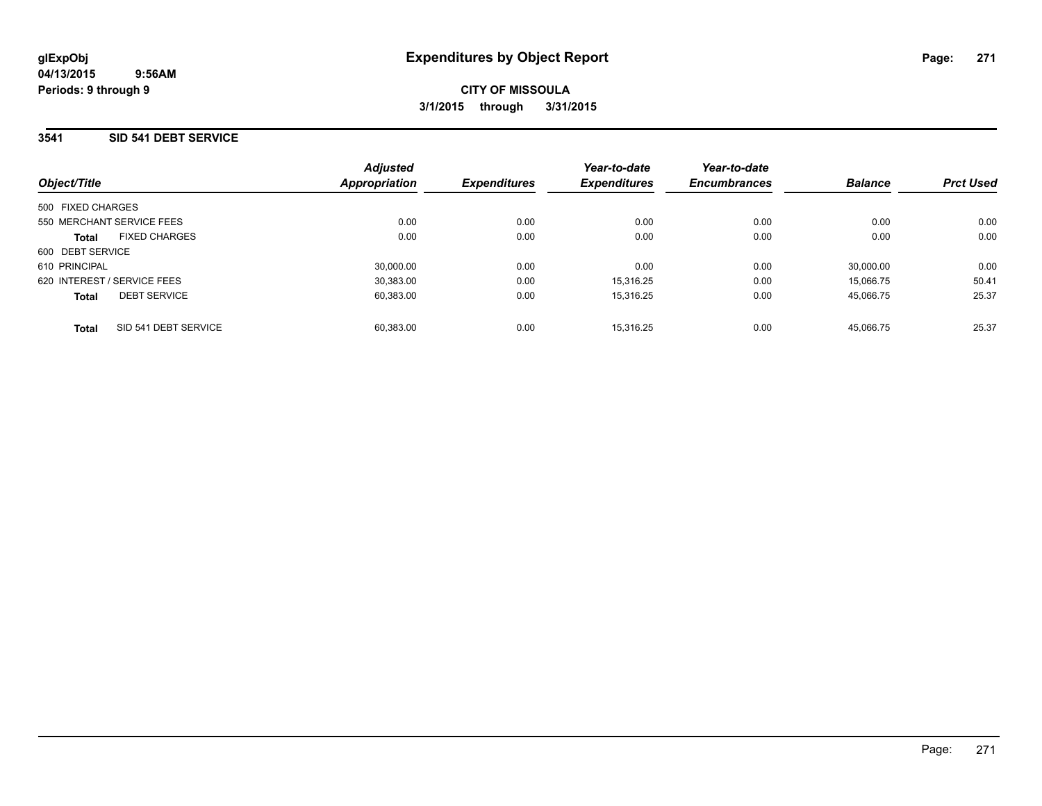### **3541 SID 541 DEBT SERVICE**

| Object/Title                         | <b>Adjusted</b><br>Appropriation | <b>Expenditures</b> | Year-to-date<br><b>Expenditures</b> | Year-to-date<br><b>Encumbrances</b> | <b>Balance</b> | <b>Prct Used</b> |
|--------------------------------------|----------------------------------|---------------------|-------------------------------------|-------------------------------------|----------------|------------------|
| 500 FIXED CHARGES                    |                                  |                     |                                     |                                     |                |                  |
| 550 MERCHANT SERVICE FEES            | 0.00                             | 0.00                | 0.00                                | 0.00                                | 0.00           | 0.00             |
| <b>FIXED CHARGES</b><br><b>Total</b> | 0.00                             | 0.00                | 0.00                                | 0.00                                | 0.00           | 0.00             |
| 600 DEBT SERVICE                     |                                  |                     |                                     |                                     |                |                  |
| 610 PRINCIPAL                        | 30.000.00                        | 0.00                | 0.00                                | 0.00                                | 30.000.00      | 0.00             |
| 620 INTEREST / SERVICE FEES          | 30.383.00                        | 0.00                | 15.316.25                           | 0.00                                | 15.066.75      | 50.41            |
| <b>DEBT SERVICE</b><br><b>Total</b>  | 60.383.00                        | 0.00                | 15.316.25                           | 0.00                                | 45.066.75      | 25.37            |
| SID 541 DEBT SERVICE<br><b>Total</b> | 60.383.00                        | 0.00                | 15.316.25                           | 0.00                                | 45.066.75      | 25.37            |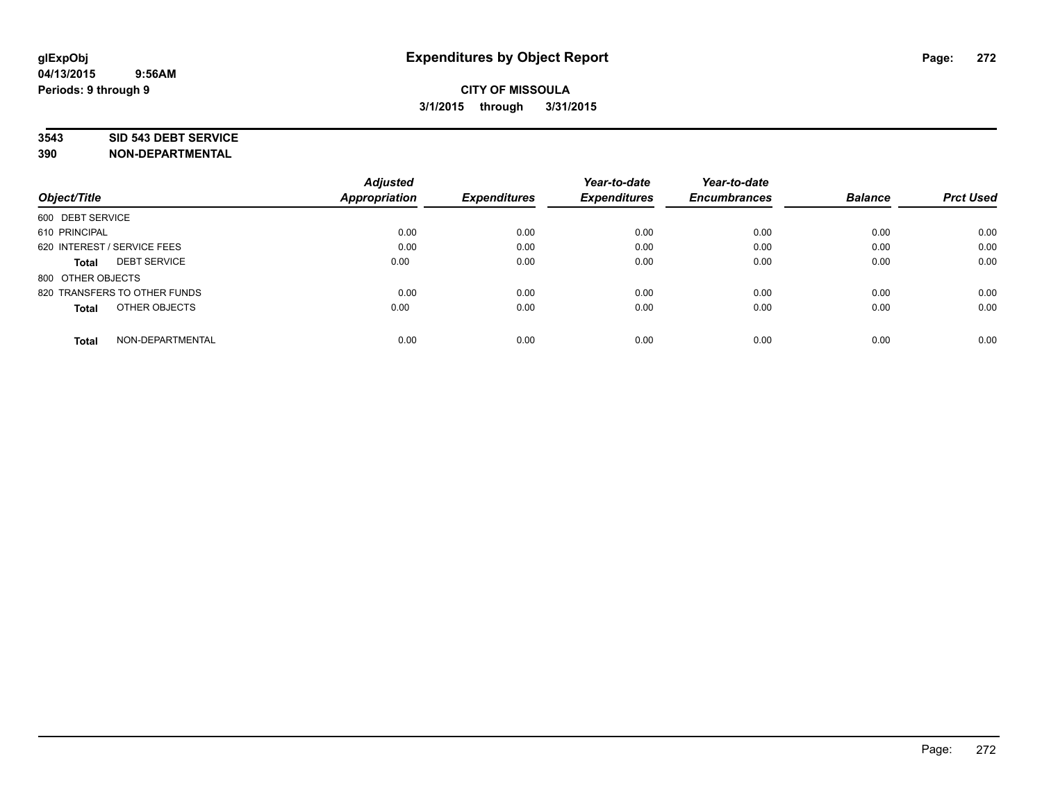#### **3543 SID 543 DEBT SERVICE**

|                                  | <b>Adjusted</b><br><b>Appropriation</b> | <b>Expenditures</b> | Year-to-date<br><b>Expenditures</b> | Year-to-date<br><b>Encumbrances</b> | <b>Balance</b> | <b>Prct Used</b> |
|----------------------------------|-----------------------------------------|---------------------|-------------------------------------|-------------------------------------|----------------|------------------|
| Object/Title                     |                                         |                     |                                     |                                     |                |                  |
| 600 DEBT SERVICE                 |                                         |                     |                                     |                                     |                |                  |
| 610 PRINCIPAL                    | 0.00                                    | 0.00                | 0.00                                | 0.00                                | 0.00           | 0.00             |
| 620 INTEREST / SERVICE FEES      | 0.00                                    | 0.00                | 0.00                                | 0.00                                | 0.00           | 0.00             |
| <b>DEBT SERVICE</b><br>Total     | 0.00                                    | 0.00                | 0.00                                | 0.00                                | 0.00           | 0.00             |
| 800 OTHER OBJECTS                |                                         |                     |                                     |                                     |                |                  |
| 820 TRANSFERS TO OTHER FUNDS     | 0.00                                    | 0.00                | 0.00                                | 0.00                                | 0.00           | 0.00             |
| OTHER OBJECTS<br><b>Total</b>    | 0.00                                    | 0.00                | 0.00                                | 0.00                                | 0.00           | 0.00             |
| NON-DEPARTMENTAL<br><b>Total</b> | 0.00                                    | 0.00                | 0.00                                | 0.00                                | 0.00           | 0.00             |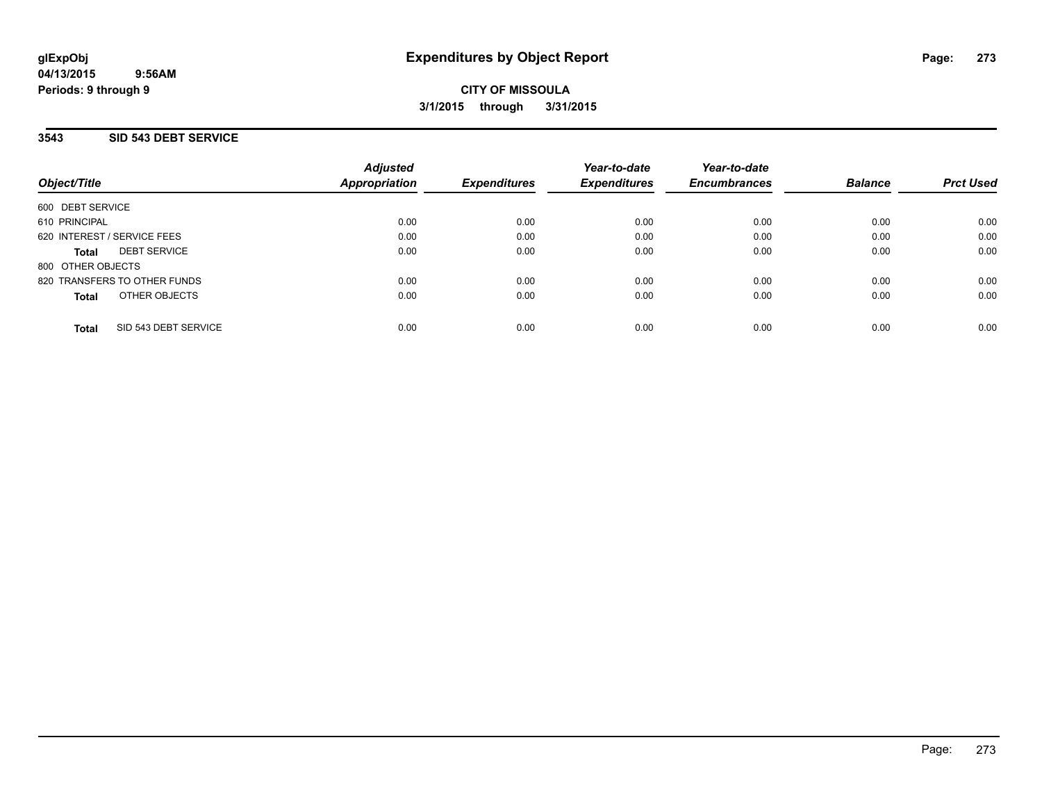**CITY OF MISSOULA 3/1/2015 through 3/31/2015**

### **3543 SID 543 DEBT SERVICE**

| Object/Title                         | <b>Adjusted</b><br><b>Appropriation</b> | <b>Expenditures</b> | Year-to-date<br><b>Expenditures</b> | Year-to-date<br><b>Encumbrances</b> | <b>Balance</b> | <b>Prct Used</b> |
|--------------------------------------|-----------------------------------------|---------------------|-------------------------------------|-------------------------------------|----------------|------------------|
| 600 DEBT SERVICE                     |                                         |                     |                                     |                                     |                |                  |
| 610 PRINCIPAL                        | 0.00                                    | 0.00                | 0.00                                | 0.00                                | 0.00           | 0.00             |
| 620 INTEREST / SERVICE FEES          | 0.00                                    | 0.00                | 0.00                                | 0.00                                | 0.00           | 0.00             |
| <b>DEBT SERVICE</b><br><b>Total</b>  | 0.00                                    | 0.00                | 0.00                                | 0.00                                | 0.00           | 0.00             |
| 800 OTHER OBJECTS                    |                                         |                     |                                     |                                     |                |                  |
| 820 TRANSFERS TO OTHER FUNDS         | 0.00                                    | 0.00                | 0.00                                | 0.00                                | 0.00           | 0.00             |
| OTHER OBJECTS<br><b>Total</b>        | 0.00                                    | 0.00                | 0.00                                | 0.00                                | 0.00           | 0.00             |
| SID 543 DEBT SERVICE<br><b>Total</b> | 0.00                                    | 0.00                | 0.00                                | 0.00                                | 0.00           | 0.00             |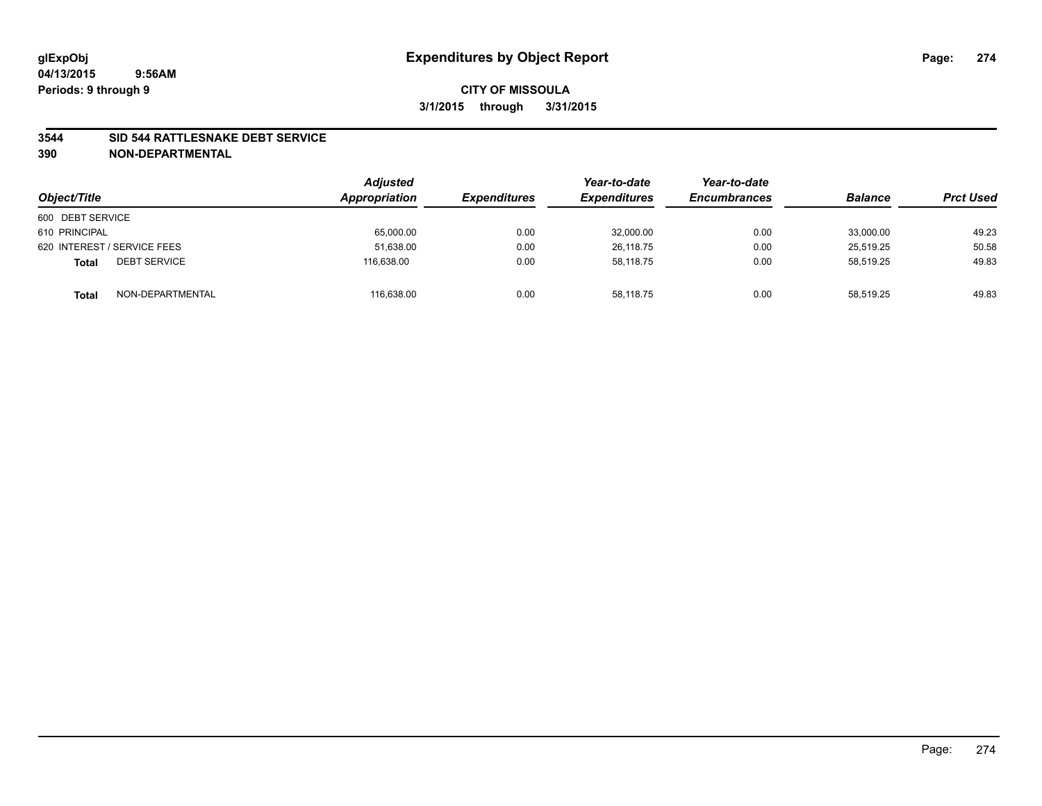#### **3544 SID 544 RATTLESNAKE DEBT SERVICE**

| Object/Title                        | <b>Adjusted</b><br>Appropriation | <b>Expenditures</b> | Year-to-date<br><b>Expenditures</b> | Year-to-date<br><b>Encumbrances</b> | <b>Balance</b> | <b>Prct Used</b> |
|-------------------------------------|----------------------------------|---------------------|-------------------------------------|-------------------------------------|----------------|------------------|
| 600 DEBT SERVICE                    |                                  |                     |                                     |                                     |                |                  |
| 610 PRINCIPAL                       | 65,000.00                        | 0.00                | 32,000.00                           | 0.00                                | 33.000.00      | 49.23            |
| 620 INTEREST / SERVICE FEES         | 51,638.00                        | 0.00                | 26.118.75                           | 0.00                                | 25.519.25      | 50.58            |
| <b>DEBT SERVICE</b><br><b>Total</b> | 116.638.00                       | 0.00                | 58,118.75                           | 0.00                                | 58,519.25      | 49.83            |
| NON-DEPARTMENTAL<br><b>Total</b>    | 116,638.00                       | 0.00                | 58,118.75                           | 0.00                                | 58,519.25      | 49.83            |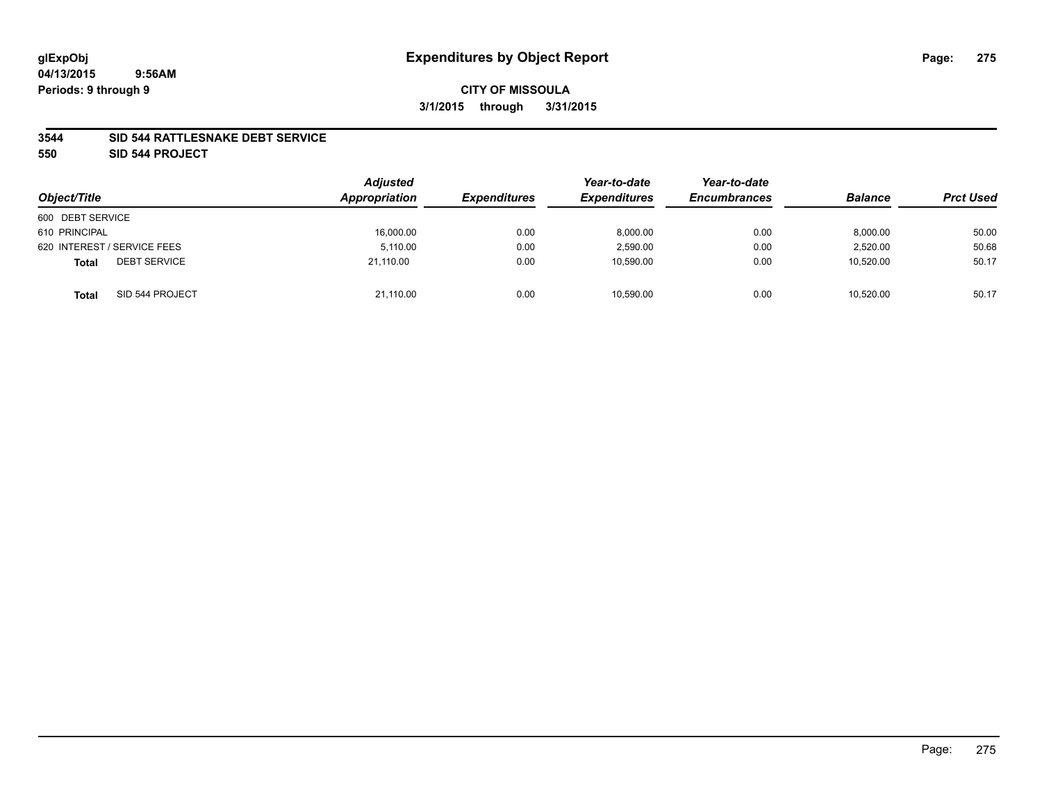#### **3544 SID 544 RATTLESNAKE DEBT SERVICE**

**550 SID 544 PROJECT**

| Object/Title                        | Adjusted<br>Appropriation | <b>Expenditures</b> | Year-to-date<br><b>Expenditures</b> | Year-to-date<br><b>Encumbrances</b> | <b>Balance</b> | <b>Prct Used</b> |
|-------------------------------------|---------------------------|---------------------|-------------------------------------|-------------------------------------|----------------|------------------|
| 600 DEBT SERVICE                    |                           |                     |                                     |                                     |                |                  |
| 610 PRINCIPAL                       | 16,000.00                 | 0.00                | 8,000.00                            | 0.00                                | 8,000.00       | 50.00            |
| 620 INTEREST / SERVICE FEES         | 5.110.00                  | 0.00                | 2,590.00                            | 0.00                                | 2.520.00       | 50.68            |
| <b>DEBT SERVICE</b><br><b>Total</b> | 21.110.00                 | 0.00                | 10.590.00                           | 0.00                                | 10.520.00      | 50.17            |
| SID 544 PROJECT<br><b>Total</b>     | 21,110.00                 | 0.00                | 10,590.00                           | 0.00                                | 10,520.00      | 50.17            |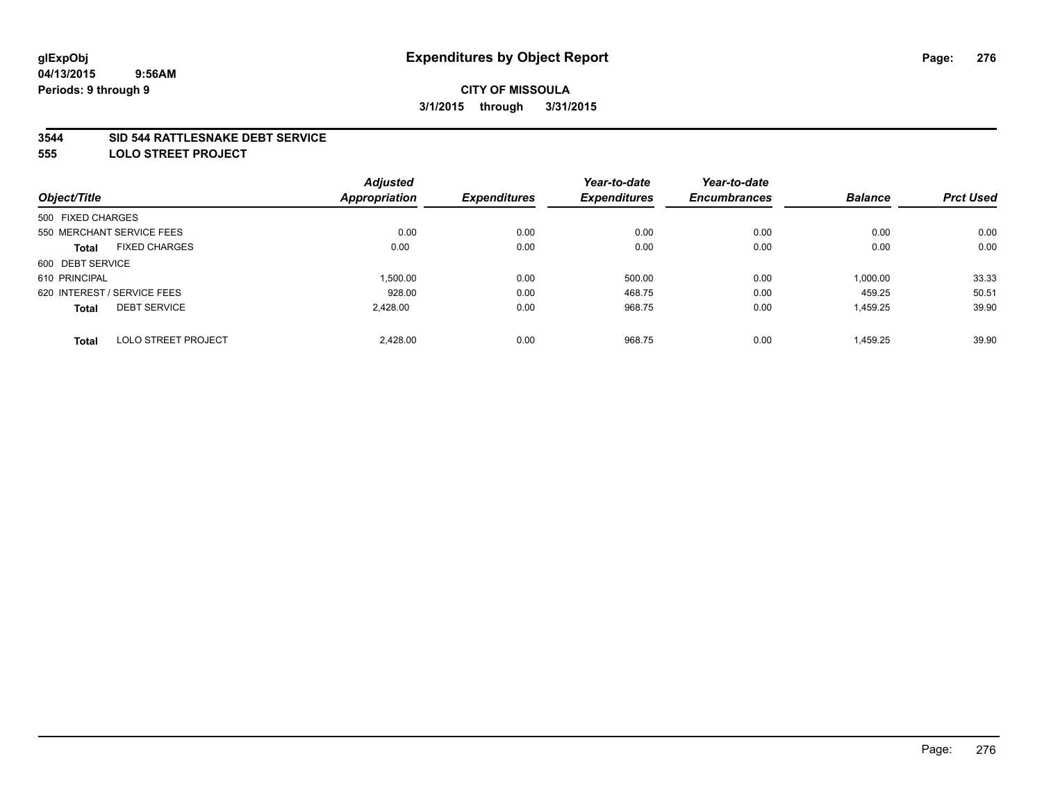#### **3544 SID 544 RATTLESNAKE DEBT SERVICE**

**555 LOLO STREET PROJECT**

|                                            | <b>Adjusted</b> |                     | Year-to-date        | Year-to-date        |                |                  |
|--------------------------------------------|-----------------|---------------------|---------------------|---------------------|----------------|------------------|
| Object/Title                               | Appropriation   | <b>Expenditures</b> | <b>Expenditures</b> | <b>Encumbrances</b> | <b>Balance</b> | <b>Prct Used</b> |
| 500 FIXED CHARGES                          |                 |                     |                     |                     |                |                  |
| 550 MERCHANT SERVICE FEES                  | 0.00            | 0.00                | 0.00                | 0.00                | 0.00           | 0.00             |
| <b>FIXED CHARGES</b><br>Total              | 0.00            | 0.00                | 0.00                | 0.00                | 0.00           | 0.00             |
| 600 DEBT SERVICE                           |                 |                     |                     |                     |                |                  |
| 610 PRINCIPAL                              | 1.500.00        | 0.00                | 500.00              | 0.00                | 1,000.00       | 33.33            |
| 620 INTEREST / SERVICE FEES                | 928.00          | 0.00                | 468.75              | 0.00                | 459.25         | 50.51            |
| <b>DEBT SERVICE</b><br><b>Total</b>        | 2.428.00        | 0.00                | 968.75              | 0.00                | 1,459.25       | 39.90            |
| <b>LOLO STREET PROJECT</b><br><b>Total</b> | 2.428.00        | 0.00                | 968.75              | 0.00                | 1.459.25       | 39.90            |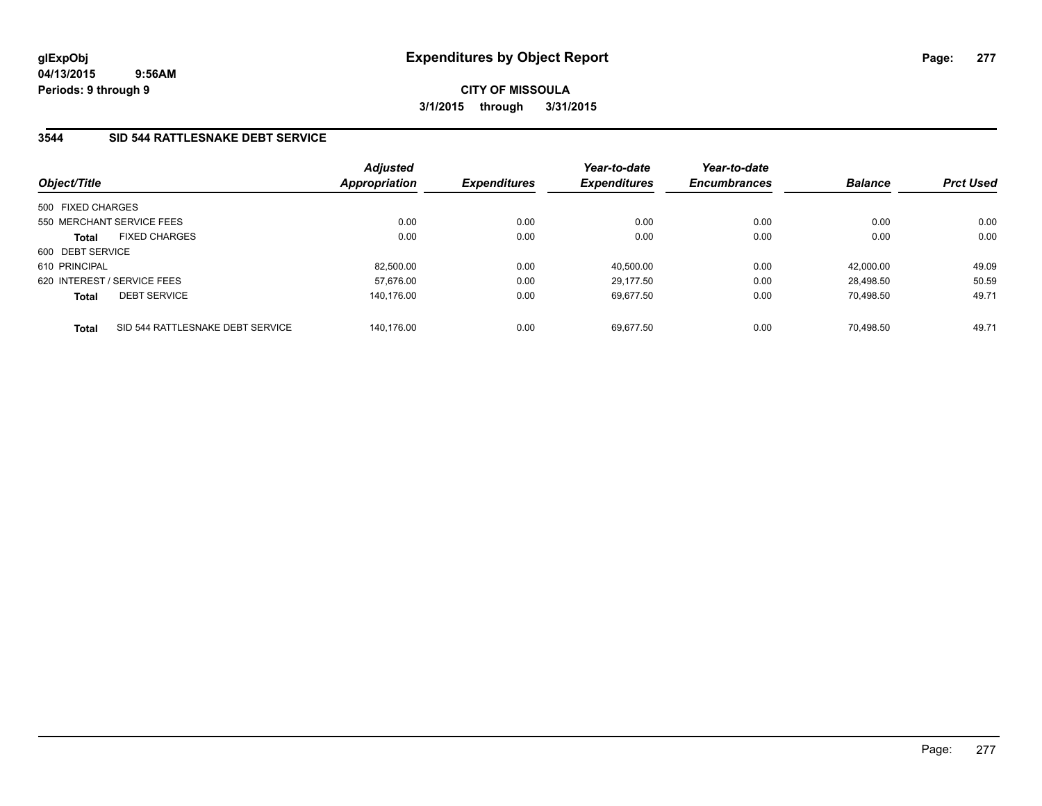**CITY OF MISSOULA 3/1/2015 through 3/31/2015**

## **3544 SID 544 RATTLESNAKE DEBT SERVICE**

| Object/Title                |                                  | <b>Adjusted</b><br>Appropriation | <b>Expenditures</b> | Year-to-date<br><b>Expenditures</b> | Year-to-date<br><b>Encumbrances</b> | <b>Balance</b> | <b>Prct Used</b> |
|-----------------------------|----------------------------------|----------------------------------|---------------------|-------------------------------------|-------------------------------------|----------------|------------------|
| 500 FIXED CHARGES           |                                  |                                  |                     |                                     |                                     |                |                  |
|                             | 550 MERCHANT SERVICE FEES        | 0.00                             | 0.00                | 0.00                                | 0.00                                | 0.00           | 0.00             |
| <b>Total</b>                | <b>FIXED CHARGES</b>             | 0.00                             | 0.00                | 0.00                                | 0.00                                | 0.00           | 0.00             |
| 600 DEBT SERVICE            |                                  |                                  |                     |                                     |                                     |                |                  |
| 610 PRINCIPAL               |                                  | 82.500.00                        | 0.00                | 40.500.00                           | 0.00                                | 42.000.00      | 49.09            |
| 620 INTEREST / SERVICE FEES |                                  | 57.676.00                        | 0.00                | 29.177.50                           | 0.00                                | 28.498.50      | 50.59            |
| <b>Total</b>                | <b>DEBT SERVICE</b>              | 140.176.00                       | 0.00                | 69.677.50                           | 0.00                                | 70.498.50      | 49.71            |
| <b>Total</b>                | SID 544 RATTLESNAKE DEBT SERVICE | 140.176.00                       | 0.00                | 69.677.50                           | 0.00                                | 70.498.50      | 49.71            |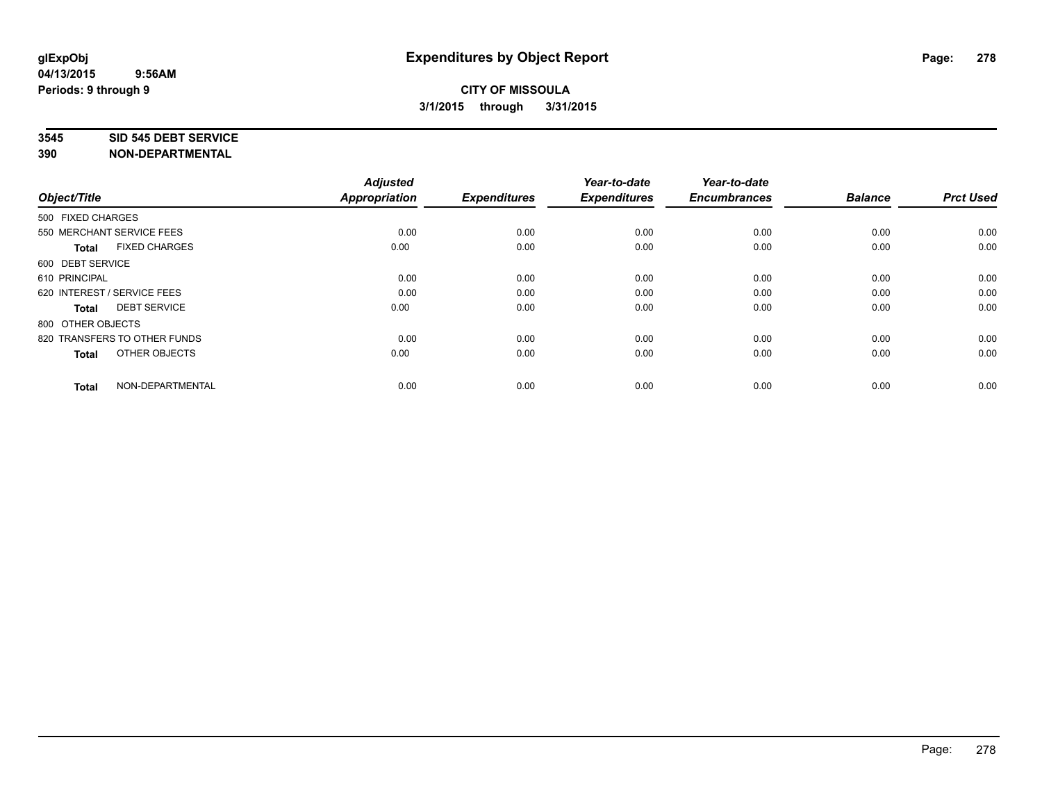#### **3545 SID 545 DEBT SERVICE**

| Object/Title                         | <b>Adjusted</b><br><b>Appropriation</b> | <b>Expenditures</b> | Year-to-date<br><b>Expenditures</b> | Year-to-date<br><b>Encumbrances</b> | <b>Balance</b> | <b>Prct Used</b> |
|--------------------------------------|-----------------------------------------|---------------------|-------------------------------------|-------------------------------------|----------------|------------------|
| 500 FIXED CHARGES                    |                                         |                     |                                     |                                     |                |                  |
| 550 MERCHANT SERVICE FEES            | 0.00                                    | 0.00                | 0.00                                | 0.00                                | 0.00           | 0.00             |
| <b>FIXED CHARGES</b><br><b>Total</b> | 0.00                                    | 0.00                | 0.00                                | 0.00                                | 0.00           | 0.00             |
| 600 DEBT SERVICE                     |                                         |                     |                                     |                                     |                |                  |
| 610 PRINCIPAL                        | 0.00                                    | 0.00                | 0.00                                | 0.00                                | 0.00           | 0.00             |
| 620 INTEREST / SERVICE FEES          | 0.00                                    | 0.00                | 0.00                                | 0.00                                | 0.00           | 0.00             |
| <b>DEBT SERVICE</b><br><b>Total</b>  | 0.00                                    | 0.00                | 0.00                                | 0.00                                | 0.00           | 0.00             |
| 800 OTHER OBJECTS                    |                                         |                     |                                     |                                     |                |                  |
| 820 TRANSFERS TO OTHER FUNDS         | 0.00                                    | 0.00                | 0.00                                | 0.00                                | 0.00           | 0.00             |
| OTHER OBJECTS<br><b>Total</b>        | 0.00                                    | 0.00                | 0.00                                | 0.00                                | 0.00           | 0.00             |
|                                      |                                         |                     |                                     |                                     |                |                  |
| NON-DEPARTMENTAL<br><b>Total</b>     | 0.00                                    | 0.00                | 0.00                                | 0.00                                | 0.00           | 0.00             |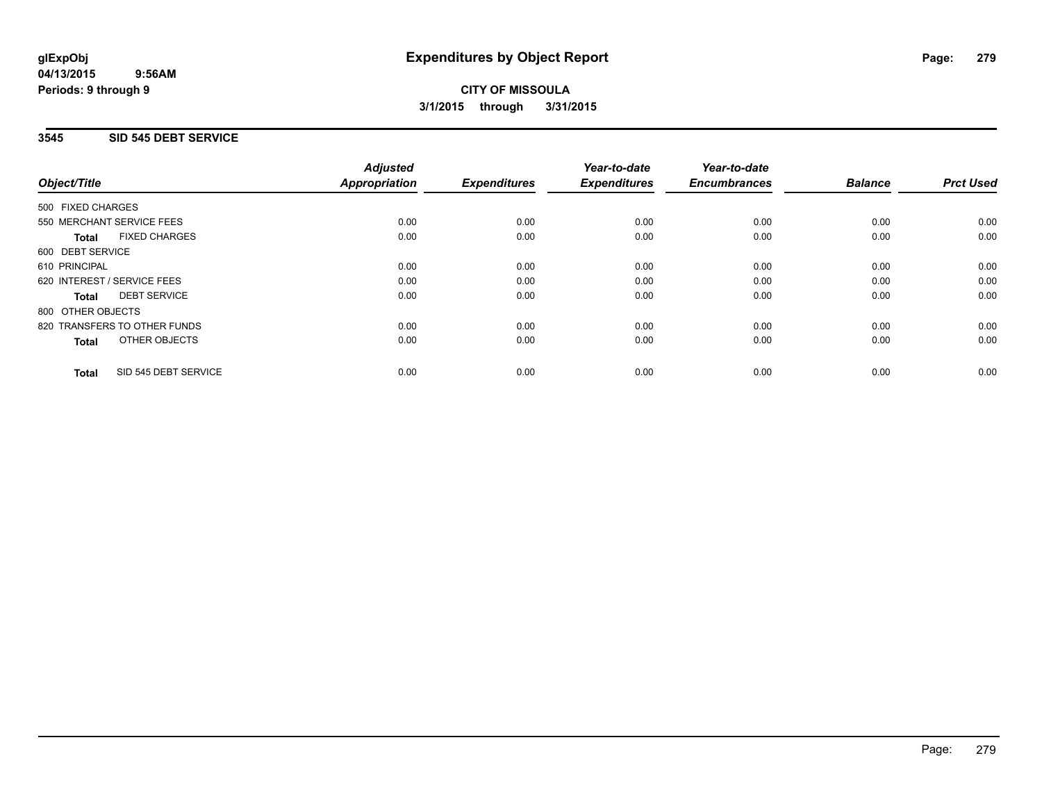**CITY OF MISSOULA 3/1/2015 through 3/31/2015**

### **3545 SID 545 DEBT SERVICE**

|                                      | <b>Adjusted</b>      |                     | Year-to-date        | Year-to-date        |                |                  |
|--------------------------------------|----------------------|---------------------|---------------------|---------------------|----------------|------------------|
| Object/Title                         | <b>Appropriation</b> | <b>Expenditures</b> | <b>Expenditures</b> | <b>Encumbrances</b> | <b>Balance</b> | <b>Prct Used</b> |
| 500 FIXED CHARGES                    |                      |                     |                     |                     |                |                  |
| 550 MERCHANT SERVICE FEES            | 0.00                 | 0.00                | 0.00                | 0.00                | 0.00           | 0.00             |
| <b>FIXED CHARGES</b><br><b>Total</b> | 0.00                 | 0.00                | 0.00                | 0.00                | 0.00           | 0.00             |
| 600 DEBT SERVICE                     |                      |                     |                     |                     |                |                  |
| 610 PRINCIPAL                        | 0.00                 | 0.00                | 0.00                | 0.00                | 0.00           | 0.00             |
| 620 INTEREST / SERVICE FEES          | 0.00                 | 0.00                | 0.00                | 0.00                | 0.00           | 0.00             |
| <b>DEBT SERVICE</b><br><b>Total</b>  | 0.00                 | 0.00                | 0.00                | 0.00                | 0.00           | 0.00             |
| 800 OTHER OBJECTS                    |                      |                     |                     |                     |                |                  |
| 820 TRANSFERS TO OTHER FUNDS         | 0.00                 | 0.00                | 0.00                | 0.00                | 0.00           | 0.00             |
| <b>OTHER OBJECTS</b><br><b>Total</b> | 0.00                 | 0.00                | 0.00                | 0.00                | 0.00           | 0.00             |
| SID 545 DEBT SERVICE<br><b>Total</b> | 0.00                 | 0.00                | 0.00                | 0.00                | 0.00           | 0.00             |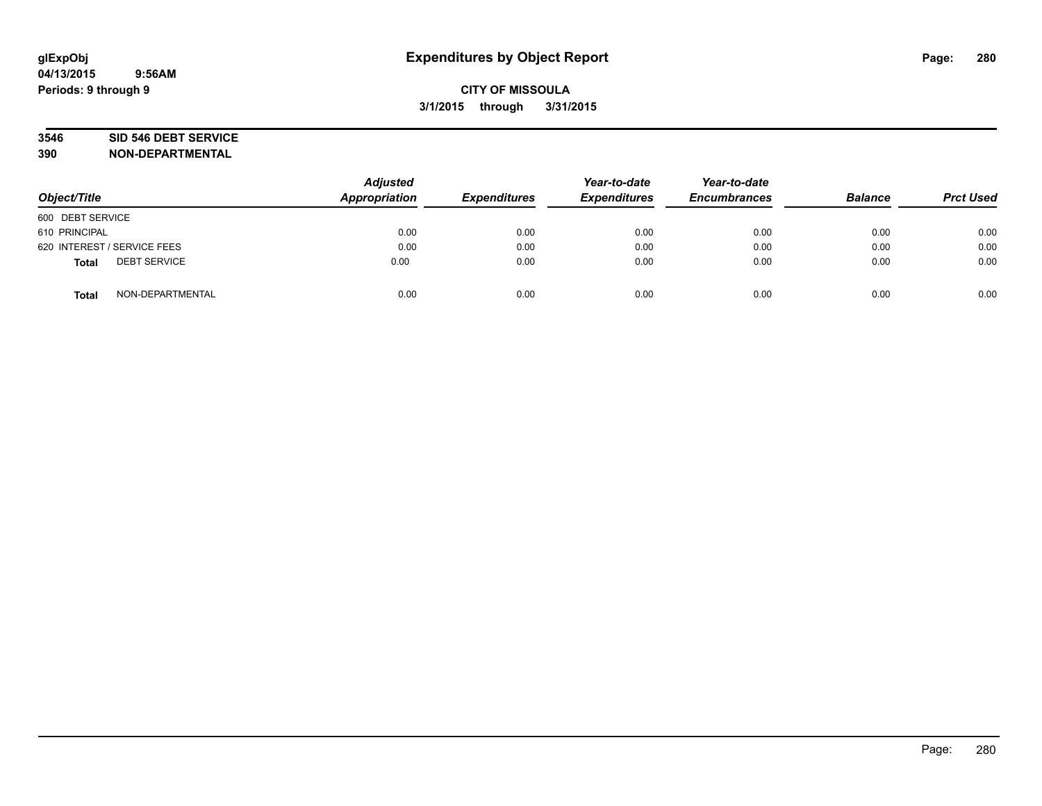# **3546 SID 546 DEBT SERVICE**

| Object/Title                        | <b>Adjusted</b><br><b>Appropriation</b> | <b>Expenditures</b> | Year-to-date<br><b>Expenditures</b> | Year-to-date<br><b>Encumbrances</b> | <b>Balance</b> | <b>Prct Used</b> |
|-------------------------------------|-----------------------------------------|---------------------|-------------------------------------|-------------------------------------|----------------|------------------|
| 600 DEBT SERVICE                    |                                         |                     |                                     |                                     |                |                  |
| 610 PRINCIPAL                       | 0.00                                    | 0.00                | 0.00                                | 0.00                                | 0.00           | 0.00             |
| 620 INTEREST / SERVICE FEES         | 0.00                                    | 0.00                | 0.00                                | 0.00                                | 0.00           | 0.00             |
| <b>DEBT SERVICE</b><br><b>Total</b> | 0.00                                    | 0.00                | 0.00                                | 0.00                                | 0.00           | 0.00             |
| NON-DEPARTMENTAL<br><b>Total</b>    | 0.00                                    | 0.00                | 0.00                                | 0.00                                | 0.00           | 0.00             |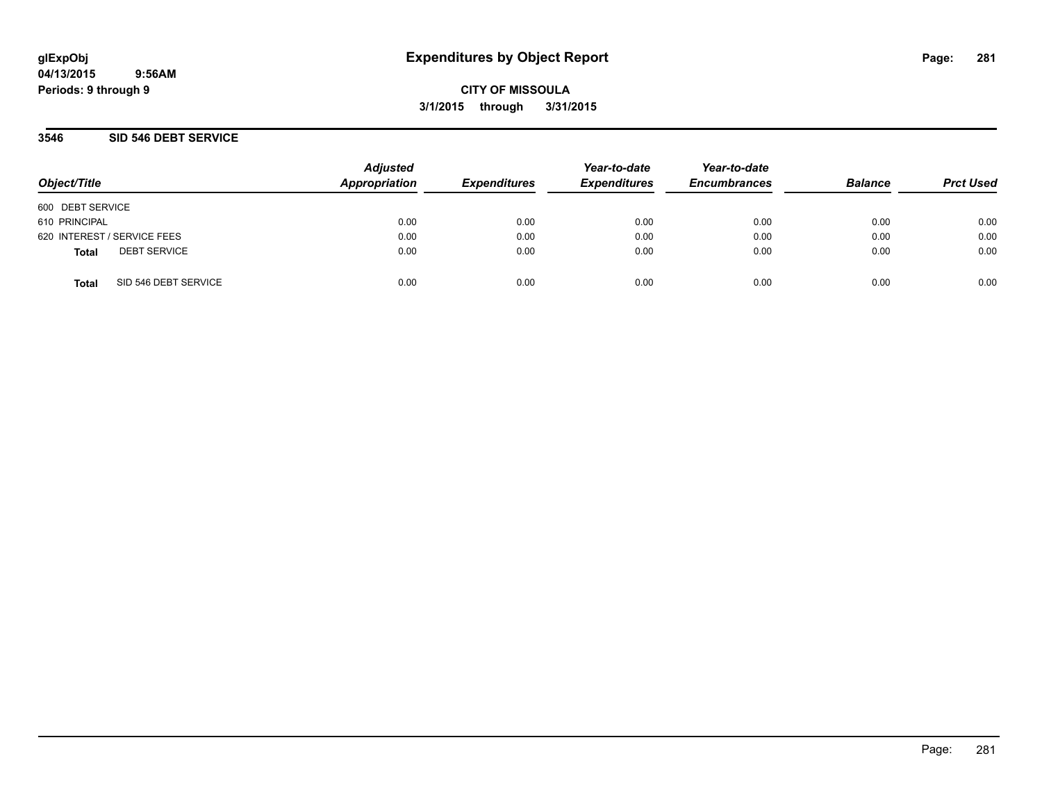**CITY OF MISSOULA 3/1/2015 through 3/31/2015**

### **3546 SID 546 DEBT SERVICE**

| Object/Title                         | <b>Adjusted</b><br>Appropriation | <b>Expenditures</b> | Year-to-date<br><b>Expenditures</b> | Year-to-date<br><b>Encumbrances</b> | <b>Balance</b> | <b>Prct Used</b> |
|--------------------------------------|----------------------------------|---------------------|-------------------------------------|-------------------------------------|----------------|------------------|
| 600 DEBT SERVICE                     |                                  |                     |                                     |                                     |                |                  |
| 610 PRINCIPAL                        | 0.00                             | 0.00                | 0.00                                | 0.00                                | 0.00           | 0.00             |
| 620 INTEREST / SERVICE FEES          | 0.00                             | 0.00                | 0.00                                | 0.00                                | 0.00           | 0.00             |
| <b>DEBT SERVICE</b><br><b>Total</b>  | 0.00                             | 0.00                | 0.00                                | 0.00                                | 0.00           | 0.00             |
| SID 546 DEBT SERVICE<br><b>Total</b> | 0.00                             | 0.00                | 0.00                                | 0.00                                | 0.00           | 0.00             |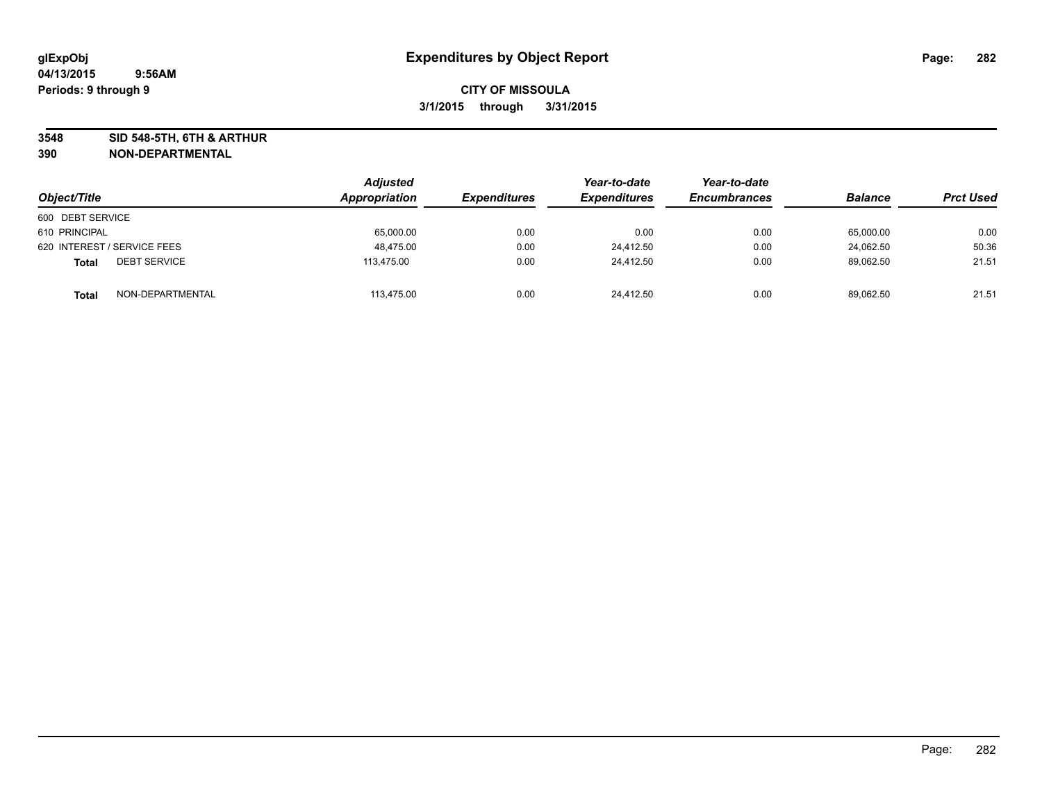**3548 SID 548-5TH, 6TH & ARTHUR**

| Object/Title                        | <b>Adjusted</b><br>Appropriation | <b>Expenditures</b> | Year-to-date<br><b>Expenditures</b> | Year-to-date<br><b>Encumbrances</b> | <b>Balance</b> | <b>Prct Used</b> |
|-------------------------------------|----------------------------------|---------------------|-------------------------------------|-------------------------------------|----------------|------------------|
| 600 DEBT SERVICE                    |                                  |                     |                                     |                                     |                |                  |
| 610 PRINCIPAL                       | 65,000.00                        | 0.00                | 0.00                                | 0.00                                | 65,000.00      | 0.00             |
| 620 INTEREST / SERVICE FEES         | 48,475.00                        | 0.00                | 24.412.50                           | 0.00                                | 24,062.50      | 50.36            |
| <b>DEBT SERVICE</b><br><b>Total</b> | 113,475.00                       | 0.00                | 24,412.50                           | 0.00                                | 89,062.50      | 21.51            |
| NON-DEPARTMENTAL<br><b>Total</b>    | 113,475.00                       | 0.00                | 24.412.50                           | 0.00                                | 89,062.50      | 21.51            |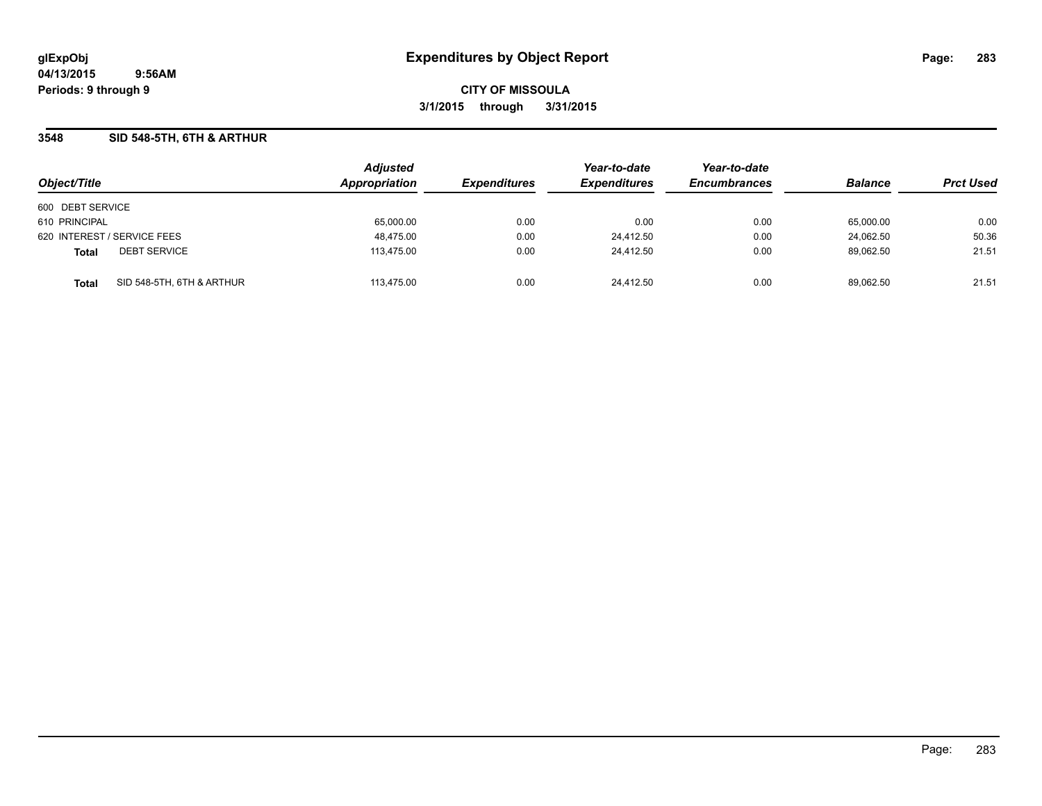**CITY OF MISSOULA 3/1/2015 through 3/31/2015**

## **3548 SID 548-5TH, 6TH & ARTHUR**

|                                           | <b>Adjusted</b> |                     | Year-to-date        | Year-to-date        |                |                  |
|-------------------------------------------|-----------------|---------------------|---------------------|---------------------|----------------|------------------|
| Object/Title                              | Appropriation   | <b>Expenditures</b> | <b>Expenditures</b> | <b>Encumbrances</b> | <b>Balance</b> | <b>Prct Used</b> |
| 600 DEBT SERVICE                          |                 |                     |                     |                     |                |                  |
| 610 PRINCIPAL                             | 65,000.00       | 0.00                | 0.00                | 0.00                | 65,000.00      | 0.00             |
| 620 INTEREST / SERVICE FEES               | 48,475.00       | 0.00                | 24.412.50           | 0.00                | 24.062.50      | 50.36            |
| <b>DEBT SERVICE</b><br><b>Total</b>       | 113,475.00      | 0.00                | 24.412.50           | 0.00                | 89.062.50      | 21.51            |
| SID 548-5TH, 6TH & ARTHUR<br><b>Total</b> | 113.475.00      | 0.00                | 24.412.50           | 0.00                | 89.062.50      | 21.51            |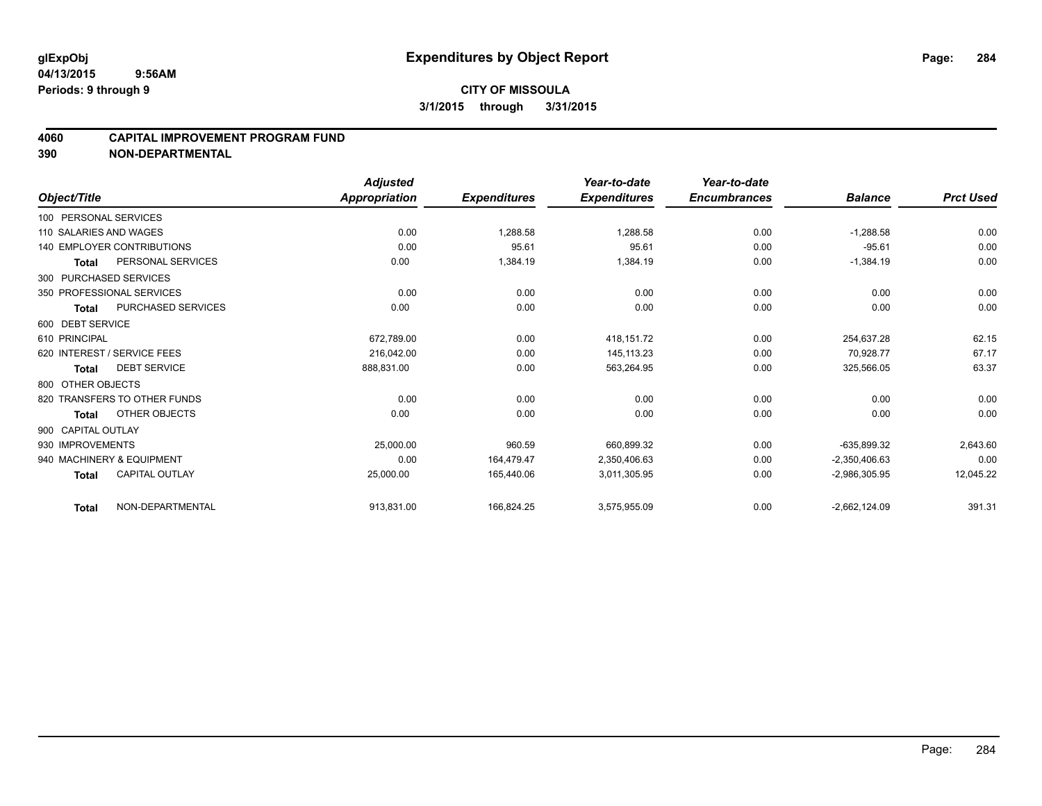#### **4060 CAPITAL IMPROVEMENT PROGRAM FUND**

|                             |                              | <b>Adjusted</b>      |                     | Year-to-date        | Year-to-date        |                 |                  |
|-----------------------------|------------------------------|----------------------|---------------------|---------------------|---------------------|-----------------|------------------|
| Object/Title                |                              | <b>Appropriation</b> | <b>Expenditures</b> | <b>Expenditures</b> | <b>Encumbrances</b> | <b>Balance</b>  | <b>Prct Used</b> |
| 100 PERSONAL SERVICES       |                              |                      |                     |                     |                     |                 |                  |
| 110 SALARIES AND WAGES      |                              | 0.00                 | 1,288.58            | 1,288.58            | 0.00                | $-1,288.58$     | 0.00             |
|                             | 140 EMPLOYER CONTRIBUTIONS   | 0.00                 | 95.61               | 95.61               | 0.00                | $-95.61$        | 0.00             |
| Total                       | PERSONAL SERVICES            | 0.00                 | 1,384.19            | 1,384.19            | 0.00                | $-1,384.19$     | 0.00             |
| 300 PURCHASED SERVICES      |                              |                      |                     |                     |                     |                 |                  |
| 350 PROFESSIONAL SERVICES   |                              | 0.00                 | 0.00                | 0.00                | 0.00                | 0.00            | 0.00             |
| <b>Total</b>                | PURCHASED SERVICES           | 0.00                 | 0.00                | 0.00                | 0.00                | 0.00            | 0.00             |
| 600 DEBT SERVICE            |                              |                      |                     |                     |                     |                 |                  |
| 610 PRINCIPAL               |                              | 672,789.00           | 0.00                | 418,151.72          | 0.00                | 254,637.28      | 62.15            |
| 620 INTEREST / SERVICE FEES |                              | 216.042.00           | 0.00                | 145.113.23          | 0.00                | 70,928.77       | 67.17            |
| Total                       | <b>DEBT SERVICE</b>          | 888,831.00           | 0.00                | 563,264.95          | 0.00                | 325,566.05      | 63.37            |
| 800 OTHER OBJECTS           |                              |                      |                     |                     |                     |                 |                  |
|                             | 820 TRANSFERS TO OTHER FUNDS | 0.00                 | 0.00                | 0.00                | 0.00                | 0.00            | 0.00             |
| <b>Total</b>                | OTHER OBJECTS                | 0.00                 | 0.00                | 0.00                | 0.00                | 0.00            | 0.00             |
| 900 CAPITAL OUTLAY          |                              |                      |                     |                     |                     |                 |                  |
| 930 IMPROVEMENTS            |                              | 25,000.00            | 960.59              | 660,899.32          | 0.00                | $-635,899.32$   | 2,643.60         |
| 940 MACHINERY & EQUIPMENT   |                              | 0.00                 | 164,479.47          | 2,350,406.63        | 0.00                | $-2,350,406.63$ | 0.00             |
| <b>Total</b>                | <b>CAPITAL OUTLAY</b>        | 25,000.00            | 165,440.06          | 3,011,305.95        | 0.00                | $-2,986,305.95$ | 12,045.22        |
| <b>Total</b>                | NON-DEPARTMENTAL             | 913,831.00           | 166,824.25          | 3,575,955.09        | 0.00                | $-2,662,124.09$ | 391.31           |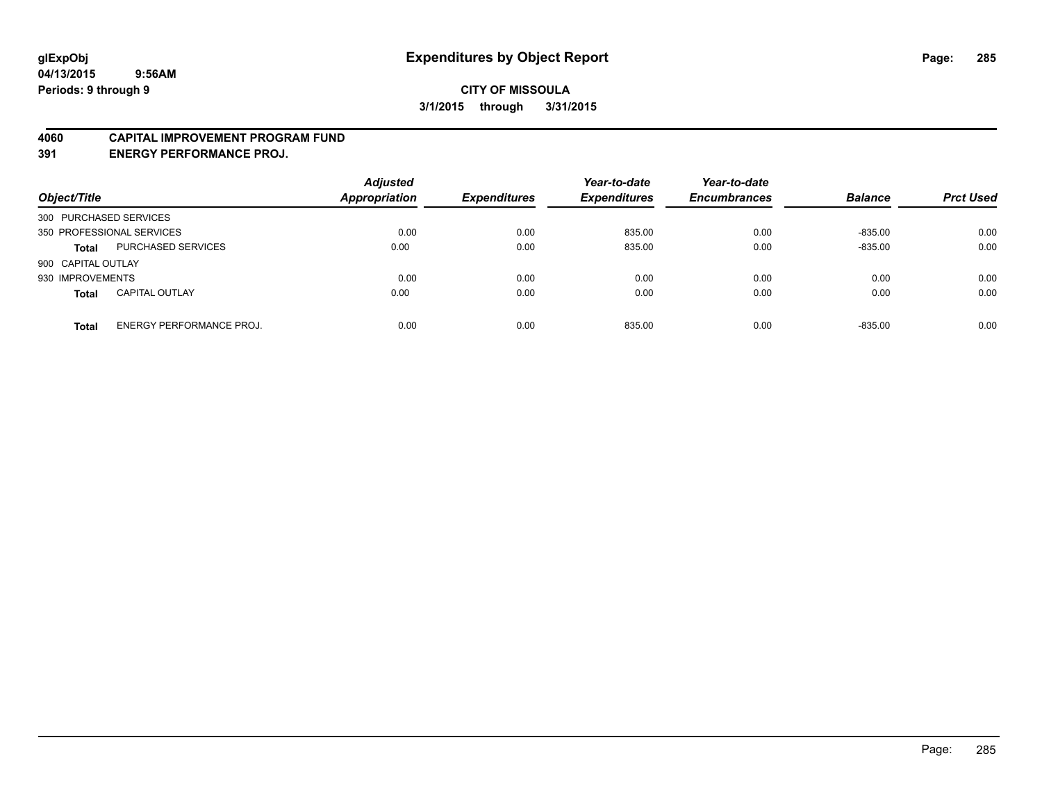#### **4060 CAPITAL IMPROVEMENT PROGRAM FUND**

**391 ENERGY PERFORMANCE PROJ.**

| Object/Title                             | <b>Adjusted</b><br><b>Appropriation</b> | <b>Expenditures</b> | Year-to-date<br><b>Expenditures</b> | Year-to-date<br><b>Encumbrances</b> | <b>Balance</b> | <b>Prct Used</b> |
|------------------------------------------|-----------------------------------------|---------------------|-------------------------------------|-------------------------------------|----------------|------------------|
| 300 PURCHASED SERVICES                   |                                         |                     |                                     |                                     |                |                  |
| 350 PROFESSIONAL SERVICES                | 0.00                                    | 0.00                | 835.00                              | 0.00                                | $-835.00$      | 0.00             |
| PURCHASED SERVICES<br><b>Total</b>       | 0.00                                    | 0.00                | 835.00                              | 0.00                                | $-835.00$      | 0.00             |
| 900 CAPITAL OUTLAY                       |                                         |                     |                                     |                                     |                |                  |
| 930 IMPROVEMENTS                         | 0.00                                    | 0.00                | 0.00                                | 0.00                                | 0.00           | 0.00             |
| <b>CAPITAL OUTLAY</b><br><b>Total</b>    | 0.00                                    | 0.00                | 0.00                                | 0.00                                | 0.00           | 0.00             |
| ENERGY PERFORMANCE PROJ.<br><b>Total</b> | 0.00                                    | 0.00                | 835.00                              | 0.00                                | $-835.00$      | 0.00             |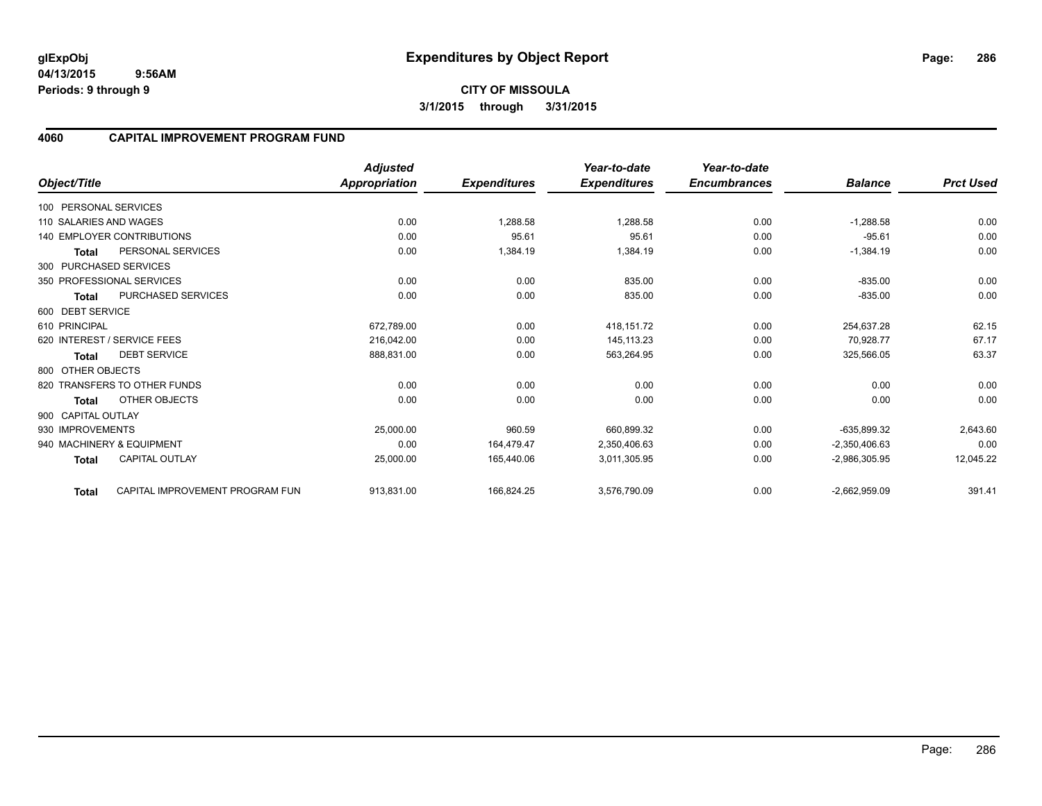### **4060 CAPITAL IMPROVEMENT PROGRAM FUND**

|                        |                                   | <b>Adjusted</b>      |                     | Year-to-date        | Year-to-date        |                 |                  |
|------------------------|-----------------------------------|----------------------|---------------------|---------------------|---------------------|-----------------|------------------|
| Object/Title           |                                   | <b>Appropriation</b> | <b>Expenditures</b> | <b>Expenditures</b> | <b>Encumbrances</b> | <b>Balance</b>  | <b>Prct Used</b> |
| 100 PERSONAL SERVICES  |                                   |                      |                     |                     |                     |                 |                  |
| 110 SALARIES AND WAGES |                                   | 0.00                 | 1,288.58            | 1,288.58            | 0.00                | $-1,288.58$     | 0.00             |
|                        | <b>140 EMPLOYER CONTRIBUTIONS</b> | 0.00                 | 95.61               | 95.61               | 0.00                | $-95.61$        | 0.00             |
| <b>Total</b>           | PERSONAL SERVICES                 | 0.00                 | 1,384.19            | 1,384.19            | 0.00                | $-1,384.19$     | 0.00             |
| 300 PURCHASED SERVICES |                                   |                      |                     |                     |                     |                 |                  |
|                        | 350 PROFESSIONAL SERVICES         | 0.00                 | 0.00                | 835.00              | 0.00                | $-835.00$       | 0.00             |
| <b>Total</b>           | <b>PURCHASED SERVICES</b>         | 0.00                 | 0.00                | 835.00              | 0.00                | $-835.00$       | 0.00             |
| 600 DEBT SERVICE       |                                   |                      |                     |                     |                     |                 |                  |
| 610 PRINCIPAL          |                                   | 672,789.00           | 0.00                | 418.151.72          | 0.00                | 254,637.28      | 62.15            |
|                        | 620 INTEREST / SERVICE FEES       | 216,042.00           | 0.00                | 145.113.23          | 0.00                | 70,928.77       | 67.17            |
| <b>Total</b>           | <b>DEBT SERVICE</b>               | 888,831.00           | 0.00                | 563,264.95          | 0.00                | 325,566.05      | 63.37            |
| 800 OTHER OBJECTS      |                                   |                      |                     |                     |                     |                 |                  |
|                        | 820 TRANSFERS TO OTHER FUNDS      | 0.00                 | 0.00                | 0.00                | 0.00                | 0.00            | 0.00             |
| <b>Total</b>           | OTHER OBJECTS                     | 0.00                 | 0.00                | 0.00                | 0.00                | 0.00            | 0.00             |
| 900 CAPITAL OUTLAY     |                                   |                      |                     |                     |                     |                 |                  |
| 930 IMPROVEMENTS       |                                   | 25,000.00            | 960.59              | 660,899.32          | 0.00                | $-635,899.32$   | 2,643.60         |
|                        | 940 MACHINERY & EQUIPMENT         | 0.00                 | 164.479.47          | 2,350,406.63        | 0.00                | $-2,350,406.63$ | 0.00             |
| <b>Total</b>           | <b>CAPITAL OUTLAY</b>             | 25,000.00            | 165,440.06          | 3,011,305.95        | 0.00                | $-2,986,305.95$ | 12,045.22        |
| <b>Total</b>           | CAPITAL IMPROVEMENT PROGRAM FUN   | 913,831.00           | 166,824.25          | 3,576,790.09        | 0.00                | $-2,662,959.09$ | 391.41           |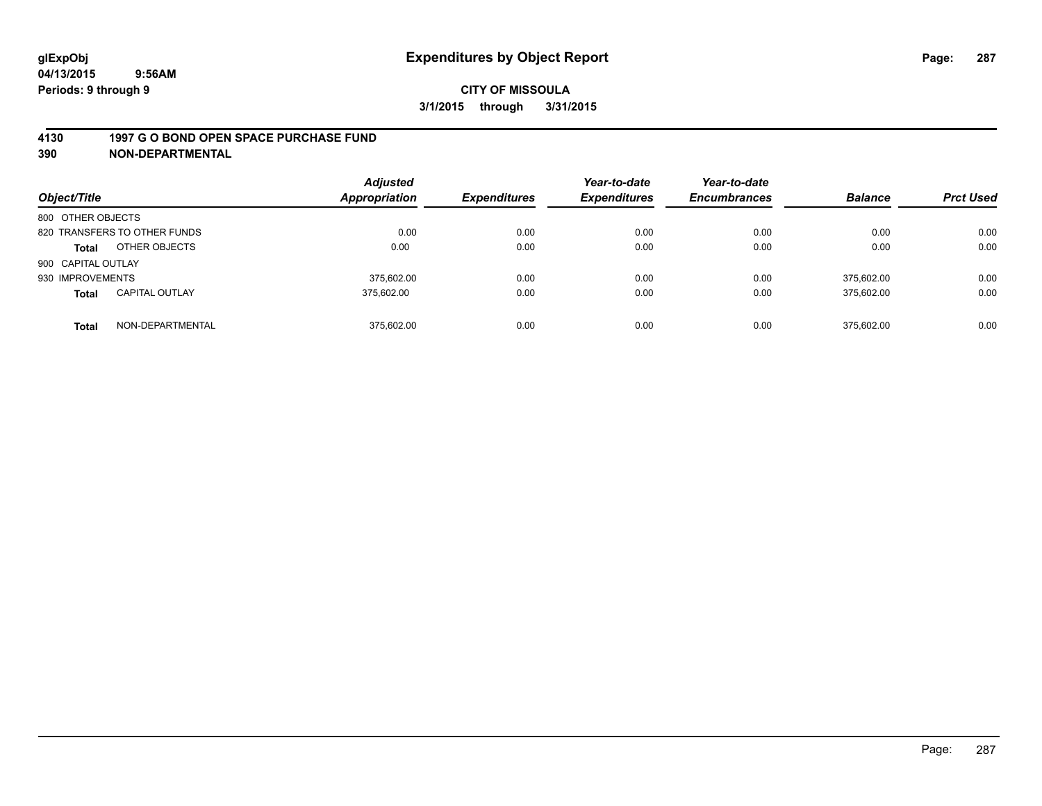#### **4130 1997 G O BOND OPEN SPACE PURCHASE FUND**

| Object/Title                 |                       | <b>Adjusted</b><br>Appropriation | <b>Expenditures</b> | Year-to-date<br><b>Expenditures</b> | Year-to-date<br><b>Encumbrances</b> | <b>Balance</b> | <b>Prct Used</b> |
|------------------------------|-----------------------|----------------------------------|---------------------|-------------------------------------|-------------------------------------|----------------|------------------|
| 800 OTHER OBJECTS            |                       |                                  |                     |                                     |                                     |                |                  |
| 820 TRANSFERS TO OTHER FUNDS |                       | 0.00                             | 0.00                | 0.00                                | 0.00                                | 0.00           | 0.00             |
| <b>Total</b>                 | OTHER OBJECTS         | 0.00                             | 0.00                | 0.00                                | 0.00                                | 0.00           | 0.00             |
| 900 CAPITAL OUTLAY           |                       |                                  |                     |                                     |                                     |                |                  |
| 930 IMPROVEMENTS             |                       | 375.602.00                       | 0.00                | 0.00                                | 0.00                                | 375.602.00     | 0.00             |
| <b>Total</b>                 | <b>CAPITAL OUTLAY</b> | 375.602.00                       | 0.00                | 0.00                                | 0.00                                | 375,602.00     | 0.00             |
| <b>Total</b>                 | NON-DEPARTMENTAL      | 375.602.00                       | 0.00                | 0.00                                | 0.00                                | 375.602.00     | 0.00             |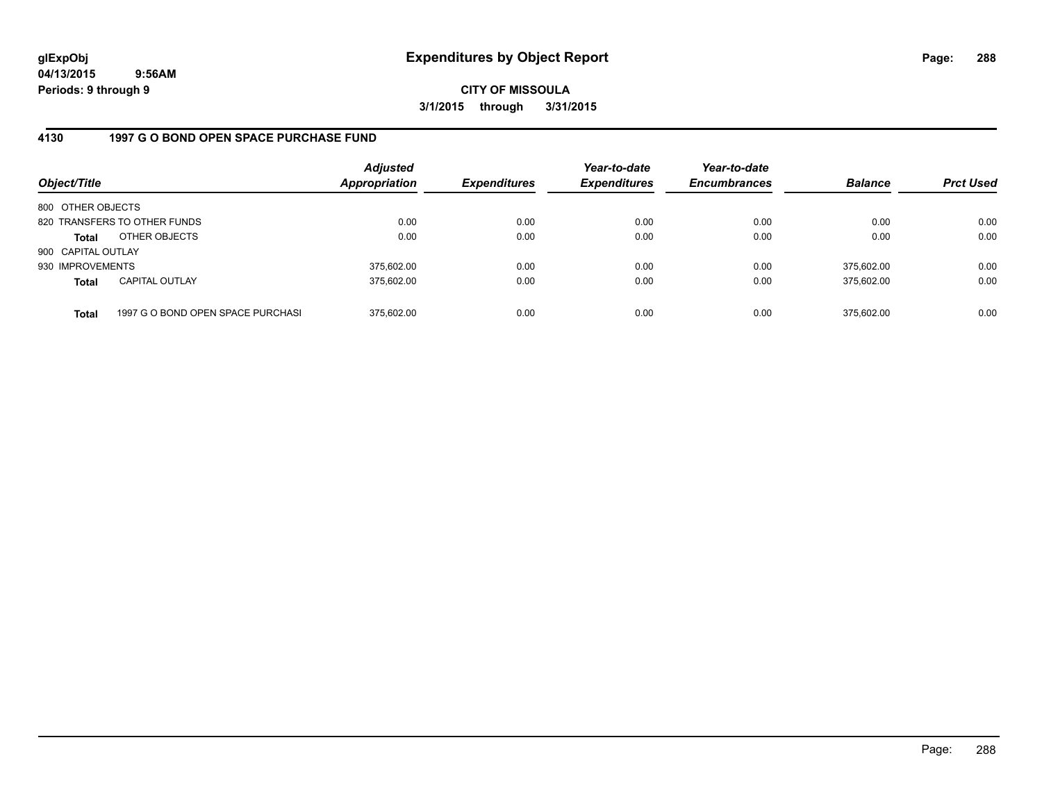**CITY OF MISSOULA 3/1/2015 through 3/31/2015**

## **4130 1997 G O BOND OPEN SPACE PURCHASE FUND**

| Object/Title       |                                   | <b>Adjusted</b><br>Appropriation | <b>Expenditures</b> | Year-to-date<br><b>Expenditures</b> | Year-to-date<br><b>Encumbrances</b> | <b>Balance</b> | <b>Prct Used</b> |
|--------------------|-----------------------------------|----------------------------------|---------------------|-------------------------------------|-------------------------------------|----------------|------------------|
| 800 OTHER OBJECTS  |                                   |                                  |                     |                                     |                                     |                |                  |
|                    | 820 TRANSFERS TO OTHER FUNDS      | 0.00                             | 0.00                | 0.00                                | 0.00                                | 0.00           | 0.00             |
| Total              | OTHER OBJECTS                     | 0.00                             | 0.00                | 0.00                                | 0.00                                | 0.00           | 0.00             |
| 900 CAPITAL OUTLAY |                                   |                                  |                     |                                     |                                     |                |                  |
| 930 IMPROVEMENTS   |                                   | 375,602.00                       | 0.00                | 0.00                                | 0.00                                | 375.602.00     | 0.00             |
| <b>Total</b>       | <b>CAPITAL OUTLAY</b>             | 375.602.00                       | 0.00                | 0.00                                | 0.00                                | 375.602.00     | 0.00             |
| <b>Total</b>       | 1997 G O BOND OPEN SPACE PURCHASI | 375.602.00                       | 0.00                | 0.00                                | 0.00                                | 375,602.00     | 0.00             |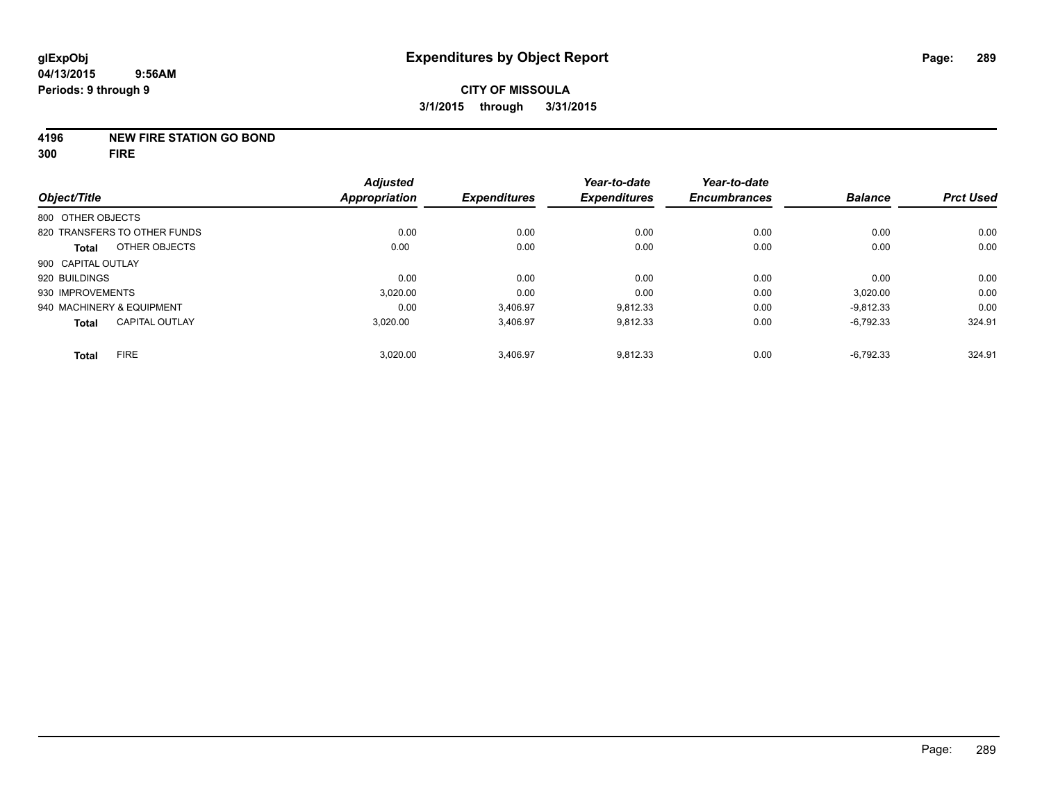## **4196 NEW FIRE STATION GO BOND**

**300 FIRE**

|                              |                       | <b>Adjusted</b>      |                     | Year-to-date        | Year-to-date        |                |                  |
|------------------------------|-----------------------|----------------------|---------------------|---------------------|---------------------|----------------|------------------|
| Object/Title                 |                       | <b>Appropriation</b> | <b>Expenditures</b> | <b>Expenditures</b> | <b>Encumbrances</b> | <b>Balance</b> | <b>Prct Used</b> |
| 800 OTHER OBJECTS            |                       |                      |                     |                     |                     |                |                  |
| 820 TRANSFERS TO OTHER FUNDS |                       | 0.00                 | 0.00                | 0.00                | 0.00                | 0.00           | 0.00             |
| <b>Total</b>                 | OTHER OBJECTS         | 0.00                 | 0.00                | 0.00                | 0.00                | 0.00           | 0.00             |
| 900 CAPITAL OUTLAY           |                       |                      |                     |                     |                     |                |                  |
| 920 BUILDINGS                |                       | 0.00                 | 0.00                | 0.00                | 0.00                | 0.00           | 0.00             |
| 930 IMPROVEMENTS             |                       | 3.020.00             | 0.00                | 0.00                | 0.00                | 3,020.00       | 0.00             |
| 940 MACHINERY & EQUIPMENT    |                       | 0.00                 | 3,406.97            | 9,812.33            | 0.00                | $-9,812.33$    | 0.00             |
| <b>Total</b>                 | <b>CAPITAL OUTLAY</b> | 3.020.00             | 3,406.97            | 9,812.33            | 0.00                | $-6,792.33$    | 324.91           |
| <b>Total</b>                 | <b>FIRE</b>           | 3,020.00             | 3,406.97            | 9,812.33            | 0.00                | $-6,792.33$    | 324.91           |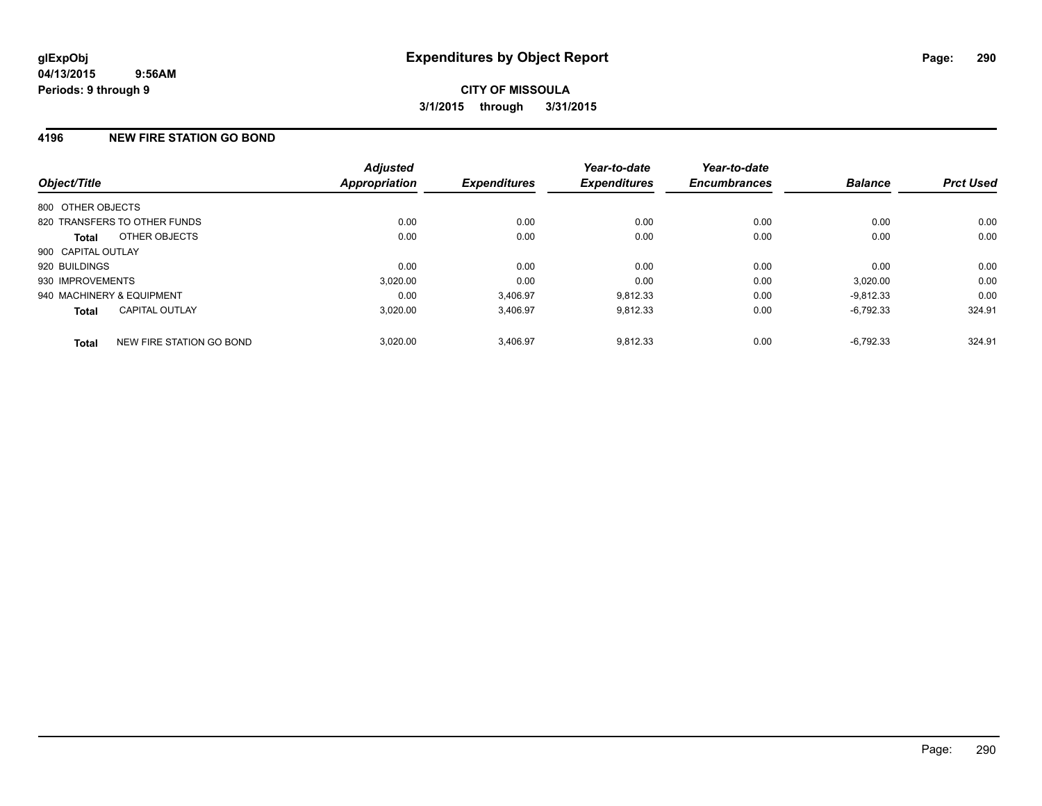# **4196 NEW FIRE STATION GO BOND**

| Object/Title              |                              | <b>Adjusted</b><br><b>Appropriation</b> | <b>Expenditures</b> | Year-to-date<br><b>Expenditures</b> | Year-to-date<br><b>Encumbrances</b> | <b>Balance</b> | <b>Prct Used</b> |
|---------------------------|------------------------------|-----------------------------------------|---------------------|-------------------------------------|-------------------------------------|----------------|------------------|
| 800 OTHER OBJECTS         |                              |                                         |                     |                                     |                                     |                |                  |
|                           | 820 TRANSFERS TO OTHER FUNDS | 0.00                                    | 0.00                | 0.00                                | 0.00                                | 0.00           | 0.00             |
| <b>Total</b>              | OTHER OBJECTS                | 0.00                                    | 0.00                | 0.00                                | 0.00                                | 0.00           | 0.00             |
| 900 CAPITAL OUTLAY        |                              |                                         |                     |                                     |                                     |                |                  |
| 920 BUILDINGS             |                              | 0.00                                    | 0.00                | 0.00                                | 0.00                                | 0.00           | 0.00             |
| 930 IMPROVEMENTS          |                              | 3,020.00                                | 0.00                | 0.00                                | 0.00                                | 3,020.00       | 0.00             |
| 940 MACHINERY & EQUIPMENT |                              | 0.00                                    | 3,406.97            | 9,812.33                            | 0.00                                | $-9.812.33$    | 0.00             |
| <b>Total</b>              | <b>CAPITAL OUTLAY</b>        | 3.020.00                                | 3,406.97            | 9,812.33                            | 0.00                                | $-6,792.33$    | 324.91           |
| <b>Total</b>              | NEW FIRE STATION GO BOND     | 3.020.00                                | 3.406.97            | 9.812.33                            | 0.00                                | $-6.792.33$    | 324.91           |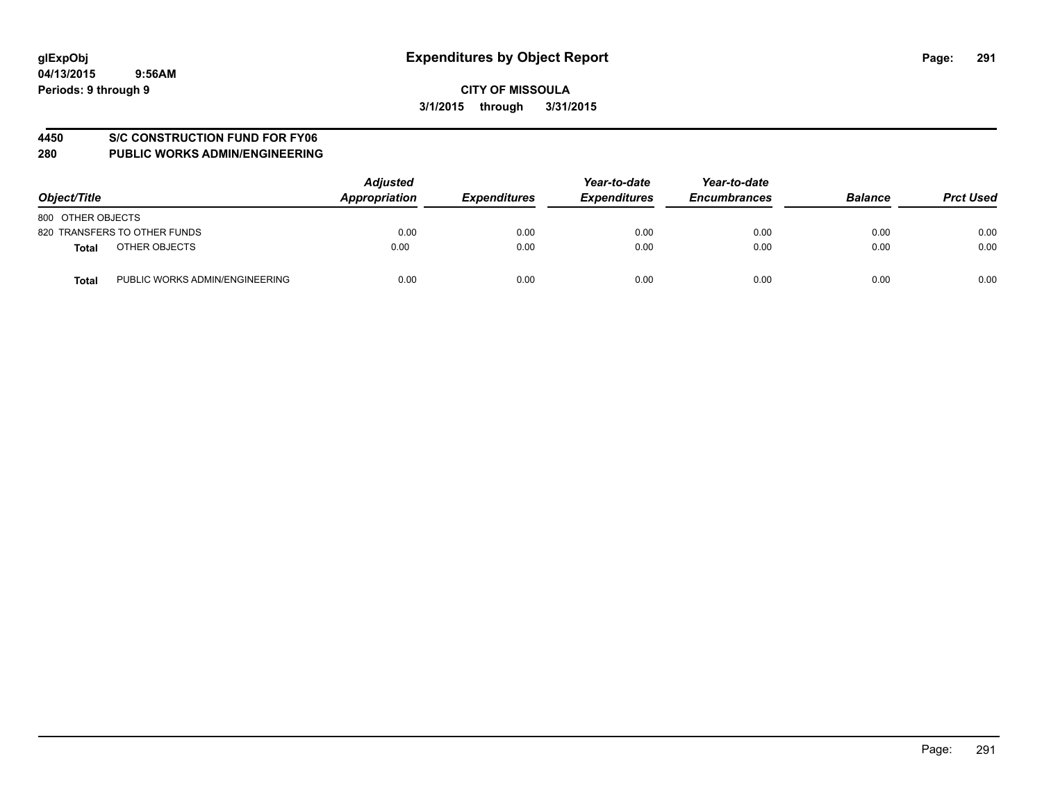### **4450 S/C CONSTRUCTION FUND FOR FY06**

| Object/Title                                   | <b>Adjusted</b><br>Appropriation | <b>Expenditures</b> | Year-to-date<br><b>Expenditures</b> | Year-to-date<br><b>Encumbrances</b> | <b>Balance</b> | <b>Prct Used</b> |
|------------------------------------------------|----------------------------------|---------------------|-------------------------------------|-------------------------------------|----------------|------------------|
| 800 OTHER OBJECTS                              |                                  |                     |                                     |                                     |                |                  |
| 820 TRANSFERS TO OTHER FUNDS                   | 0.00                             | 0.00                | 0.00                                | 0.00                                | 0.00           | 0.00             |
| OTHER OBJECTS<br><b>Total</b>                  | 0.00                             | 0.00                | 0.00                                | 0.00                                | 0.00           | 0.00             |
| PUBLIC WORKS ADMIN/ENGINEERING<br><b>Total</b> | 0.00                             | 0.00                | 0.00                                | 0.00                                | 0.00           | 0.00             |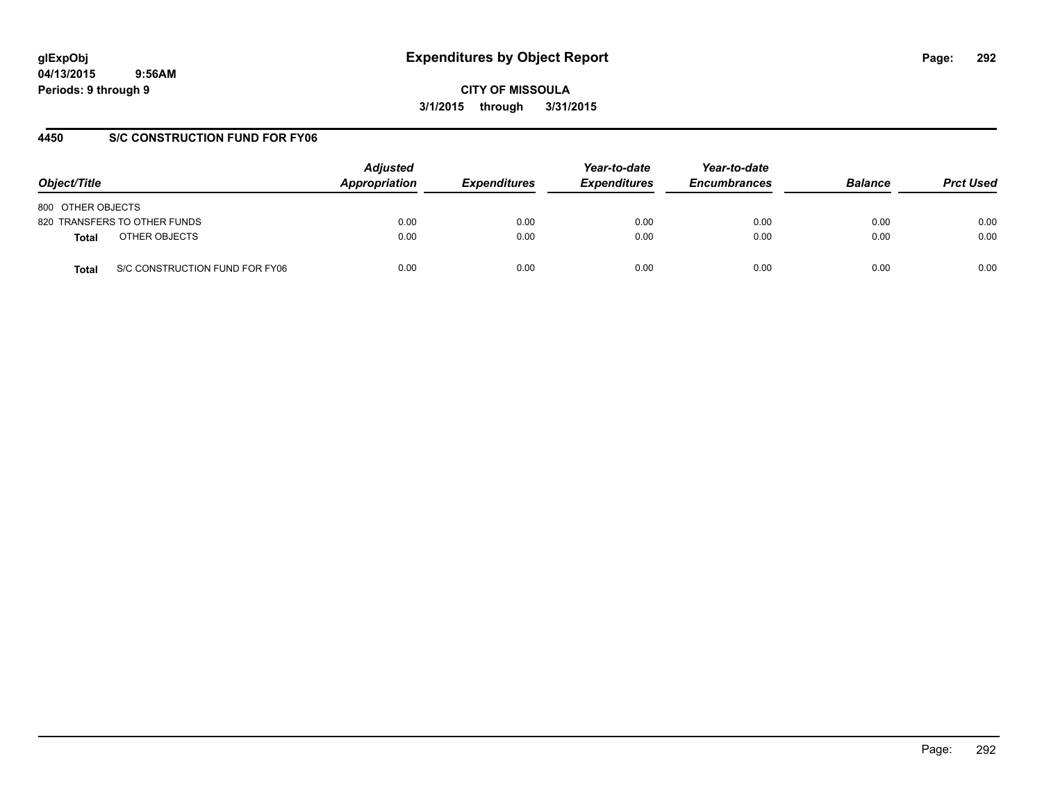# **glExpObj Expenditures by Object Report Page: 292**

**04/13/2015 9:56AM Periods: 9 through 9**

**CITY OF MISSOULA 3/1/2015 through 3/31/2015**

# **4450 S/C CONSTRUCTION FUND FOR FY06**

| Object/Title                            | <b>Adjusted</b><br>Appropriation | <b>Expenditures</b> | Year-to-date<br><b>Expenditures</b> | Year-to-date<br><b>Encumbrances</b> | <b>Balance</b> | <b>Prct Used</b> |
|-----------------------------------------|----------------------------------|---------------------|-------------------------------------|-------------------------------------|----------------|------------------|
| 800 OTHER OBJECTS                       |                                  |                     |                                     |                                     |                |                  |
| 820 TRANSFERS TO OTHER FUNDS            | 0.00                             | 0.00                | 0.00                                | 0.00                                | 0.00           | 0.00             |
| OTHER OBJECTS<br><b>Total</b>           | 0.00                             | 0.00                | 0.00                                | 0.00                                | 0.00           | 0.00             |
| S/C CONSTRUCTION FUND FOR FY06<br>Total | 0.00                             | 0.00                | 0.00                                | 0.00                                | 0.00           | 0.00             |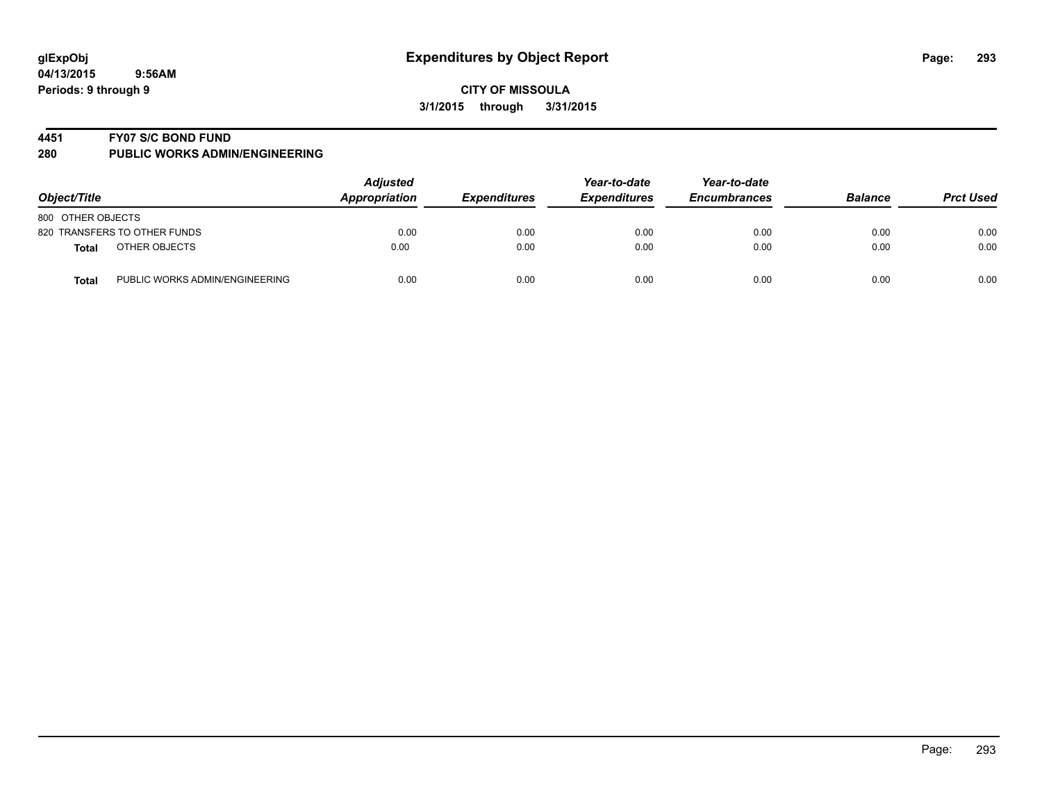#### **4451 FY07 S/C BOND FUND**

| Object/Title                                   | <b>Adjusted</b><br>Appropriation | <b>Expenditures</b> | Year-to-date<br><b>Expenditures</b> | Year-to-date<br><b>Encumbrances</b> | <b>Balance</b> | <b>Prct Used</b> |
|------------------------------------------------|----------------------------------|---------------------|-------------------------------------|-------------------------------------|----------------|------------------|
| 800 OTHER OBJECTS                              |                                  |                     |                                     |                                     |                |                  |
| 820 TRANSFERS TO OTHER FUNDS                   | 0.00                             | 0.00                | 0.00                                | 0.00                                | 0.00           | 0.00             |
| OTHER OBJECTS<br><b>Total</b>                  | 0.00                             | 0.00                | 0.00                                | 0.00                                | 0.00           | 0.00             |
| PUBLIC WORKS ADMIN/ENGINEERING<br><b>Total</b> | 0.00                             | 0.00                | 0.00                                | 0.00                                | 0.00           | 0.00             |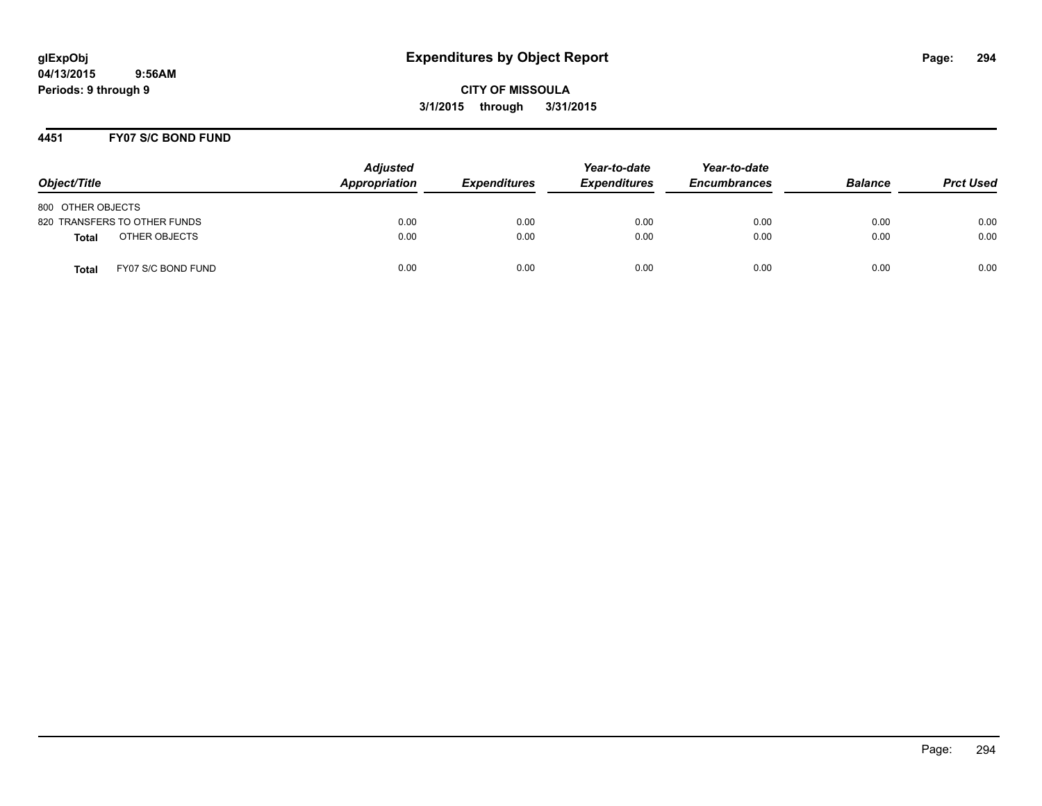**CITY OF MISSOULA 3/1/2015 through 3/31/2015**

# **4451 FY07 S/C BOND FUND**

| Object/Title                       | <b>Adjusted</b><br>Appropriation | <b>Expenditures</b> | Year-to-date<br><b>Expenditures</b> | Year-to-date<br><b>Encumbrances</b> | <b>Balance</b> | <b>Prct Used</b> |
|------------------------------------|----------------------------------|---------------------|-------------------------------------|-------------------------------------|----------------|------------------|
| 800 OTHER OBJECTS                  |                                  |                     |                                     |                                     |                |                  |
| 820 TRANSFERS TO OTHER FUNDS       | 0.00                             | 0.00                | 0.00                                | 0.00                                | 0.00           | 0.00             |
| OTHER OBJECTS<br>Total             | 0.00                             | 0.00                | 0.00                                | 0.00                                | 0.00           | 0.00             |
| FY07 S/C BOND FUND<br><b>Total</b> | 0.00                             | 0.00                | 0.00                                | 0.00                                | 0.00           | 0.00             |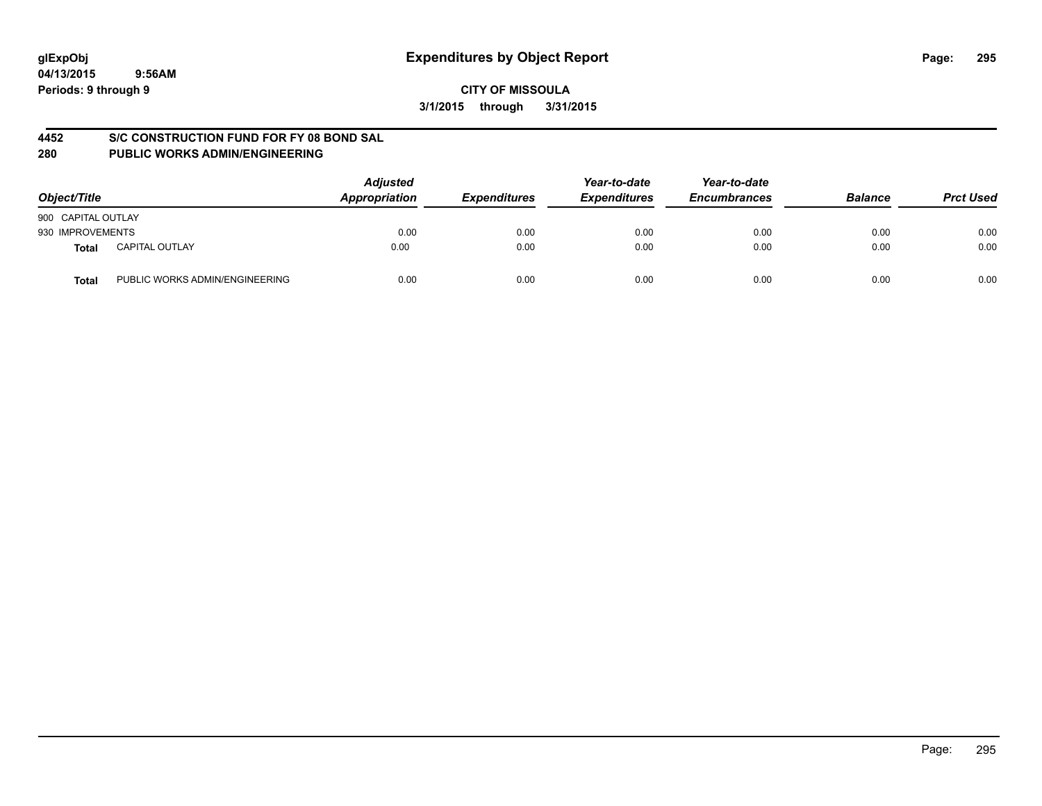# **CITY OF MISSOULA 3/1/2015 through 3/31/2015**

# **4452 S/C CONSTRUCTION FUND FOR FY 08 BOND SAL**

| Object/Title                            | <b>Adjusted</b><br>Appropriation | <b>Expenditures</b> | Year-to-date<br><b>Expenditures</b> | Year-to-date<br><b>Encumbrances</b> | <b>Balance</b> | <b>Prct Used</b> |
|-----------------------------------------|----------------------------------|---------------------|-------------------------------------|-------------------------------------|----------------|------------------|
| 900 CAPITAL OUTLAY                      |                                  |                     |                                     |                                     |                |                  |
| 930 IMPROVEMENTS                        | 0.00                             | 0.00                | 0.00                                | 0.00                                | 0.00           | 0.00             |
| <b>CAPITAL OUTLAY</b><br>Total          | 0.00                             | 0.00                | 0.00                                | 0.00                                | 0.00           | 0.00             |
| PUBLIC WORKS ADMIN/ENGINEERING<br>Total | 0.00                             | 0.00                | 0.00                                | 0.00                                | 0.00           | 0.00             |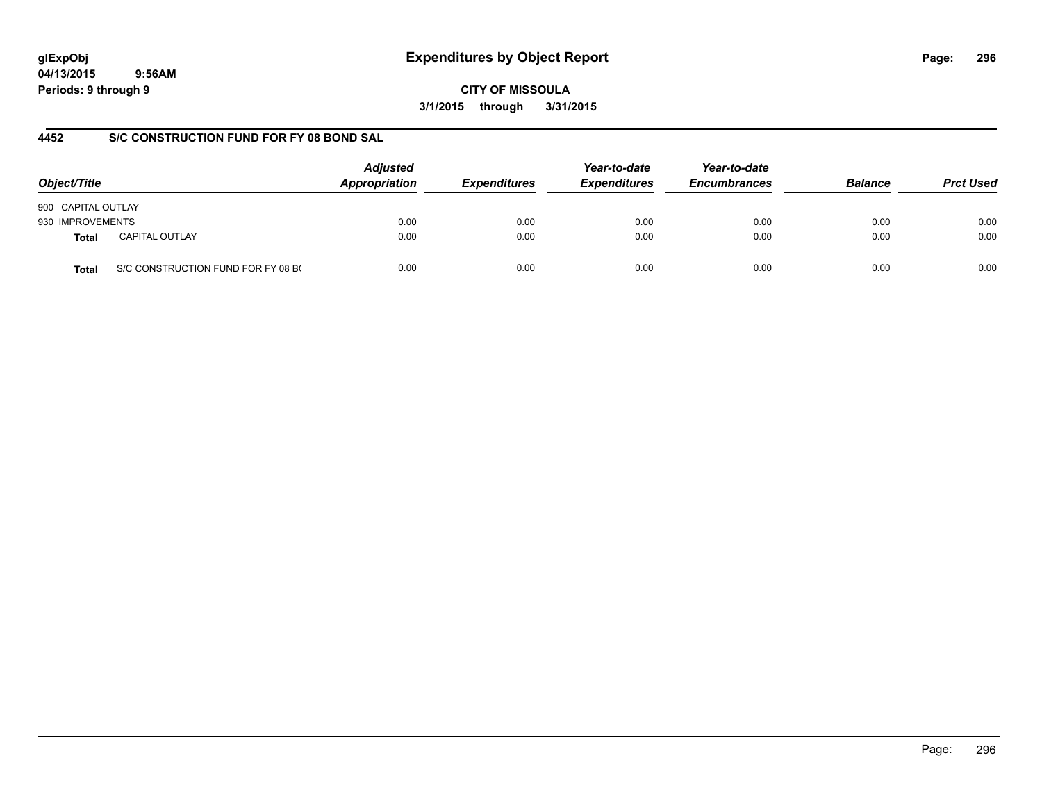# **glExpObj Expenditures by Object Report Page: 296**

**04/13/2015 9:56AM Periods: 9 through 9**

**CITY OF MISSOULA 3/1/2015 through 3/31/2015**

# **4452 S/C CONSTRUCTION FUND FOR FY 08 BOND SAL**

| Object/Title       |                                    | <b>Adjusted</b><br>Appropriation | <b>Expenditures</b> | Year-to-date<br><b>Expenditures</b> | Year-to-date<br><b>Encumbrances</b> | <b>Balance</b> | <b>Prct Used</b> |
|--------------------|------------------------------------|----------------------------------|---------------------|-------------------------------------|-------------------------------------|----------------|------------------|
| 900 CAPITAL OUTLAY |                                    |                                  |                     |                                     |                                     |                |                  |
| 930 IMPROVEMENTS   |                                    | 0.00                             | 0.00                | 0.00                                | 0.00                                | 0.00           | 0.00             |
| <b>Total</b>       | <b>CAPITAL OUTLAY</b>              | 0.00                             | 0.00                | 0.00                                | 0.00                                | 0.00           | 0.00             |
| Total              | S/C CONSTRUCTION FUND FOR FY 08 BO | 0.00                             | 0.00                | 0.00                                | 0.00                                | 0.00           | 0.00             |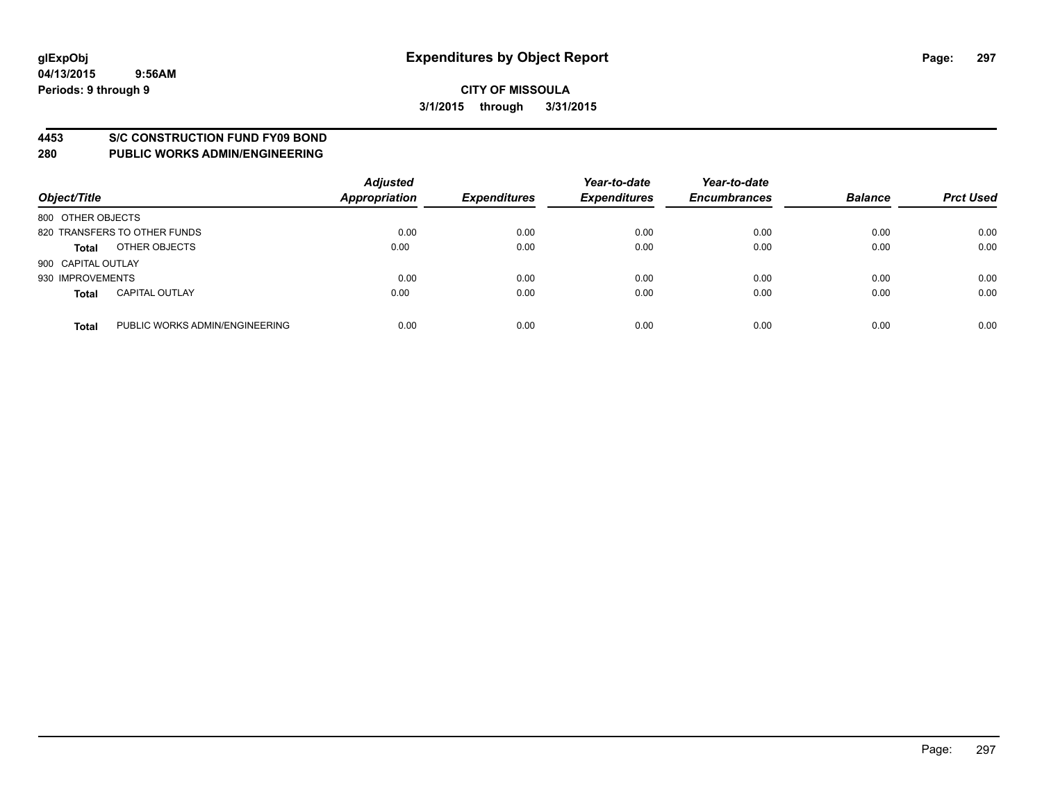#### **4453 S/C CONSTRUCTION FUND FY09 BOND**

| Object/Title       |                                | <b>Adjusted</b><br>Appropriation | <b>Expenditures</b> | Year-to-date<br><b>Expenditures</b> | Year-to-date<br><b>Encumbrances</b> | <b>Balance</b> | <b>Prct Used</b> |
|--------------------|--------------------------------|----------------------------------|---------------------|-------------------------------------|-------------------------------------|----------------|------------------|
| 800 OTHER OBJECTS  |                                |                                  |                     |                                     |                                     |                |                  |
|                    | 820 TRANSFERS TO OTHER FUNDS   | 0.00                             | 0.00                | 0.00                                | 0.00                                | 0.00           | 0.00             |
| <b>Total</b>       | OTHER OBJECTS                  | 0.00                             | 0.00                | 0.00                                | 0.00                                | 0.00           | 0.00             |
| 900 CAPITAL OUTLAY |                                |                                  |                     |                                     |                                     |                |                  |
| 930 IMPROVEMENTS   |                                | 0.00                             | 0.00                | 0.00                                | 0.00                                | 0.00           | 0.00             |
| <b>Total</b>       | <b>CAPITAL OUTLAY</b>          | 0.00                             | 0.00                | 0.00                                | 0.00                                | 0.00           | 0.00             |
| <b>Total</b>       | PUBLIC WORKS ADMIN/ENGINEERING | 0.00                             | 0.00                | 0.00                                | 0.00                                | 0.00           | 0.00             |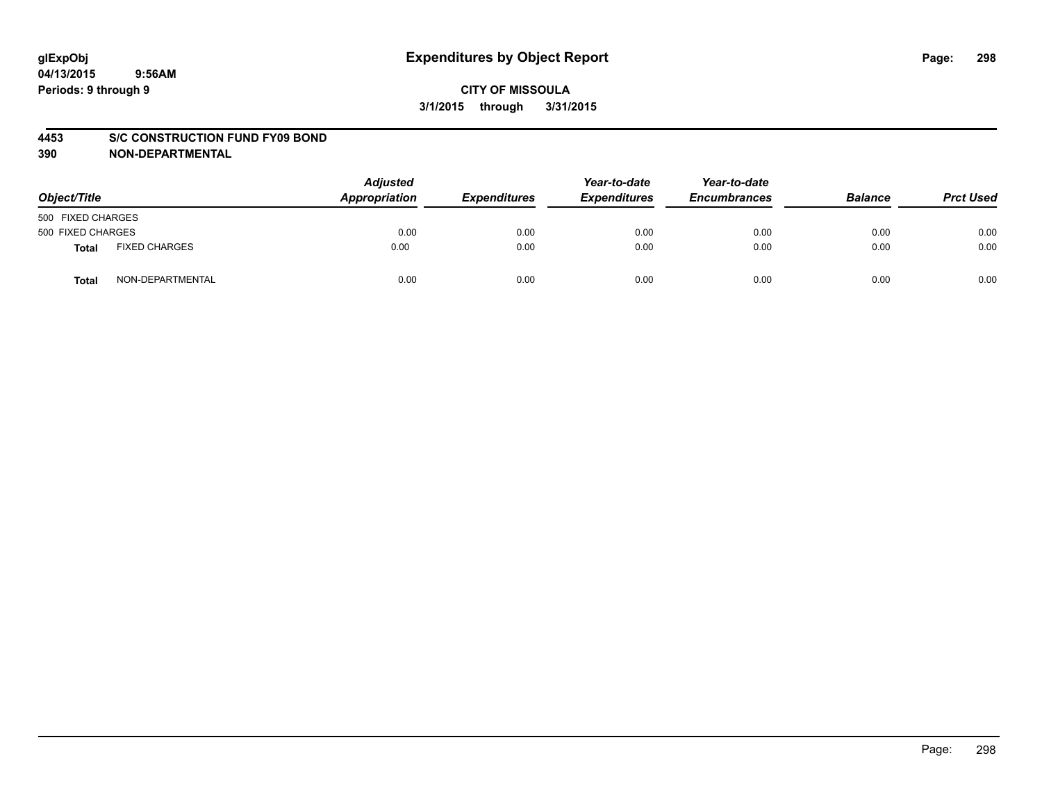## **4453 S/C CONSTRUCTION FUND FY09 BOND**

| Object/Title      |                      | <b>Adjusted</b><br>Appropriation | <b>Expenditures</b> | Year-to-date<br><b>Expenditures</b> | Year-to-date<br><b>Encumbrances</b> | <b>Balance</b> | <b>Prct Used</b> |
|-------------------|----------------------|----------------------------------|---------------------|-------------------------------------|-------------------------------------|----------------|------------------|
| 500 FIXED CHARGES |                      |                                  |                     |                                     |                                     |                |                  |
| 500 FIXED CHARGES |                      | 0.00                             | 0.00                | 0.00                                | 0.00                                | 0.00           | 0.00             |
| <b>Total</b>      | <b>FIXED CHARGES</b> | 0.00                             | 0.00                | 0.00                                | 0.00                                | 0.00           | 0.00             |
| Total             | NON-DEPARTMENTAL     | 0.00                             | 0.00                | 0.00                                | 0.00                                | 0.00           | 0.00             |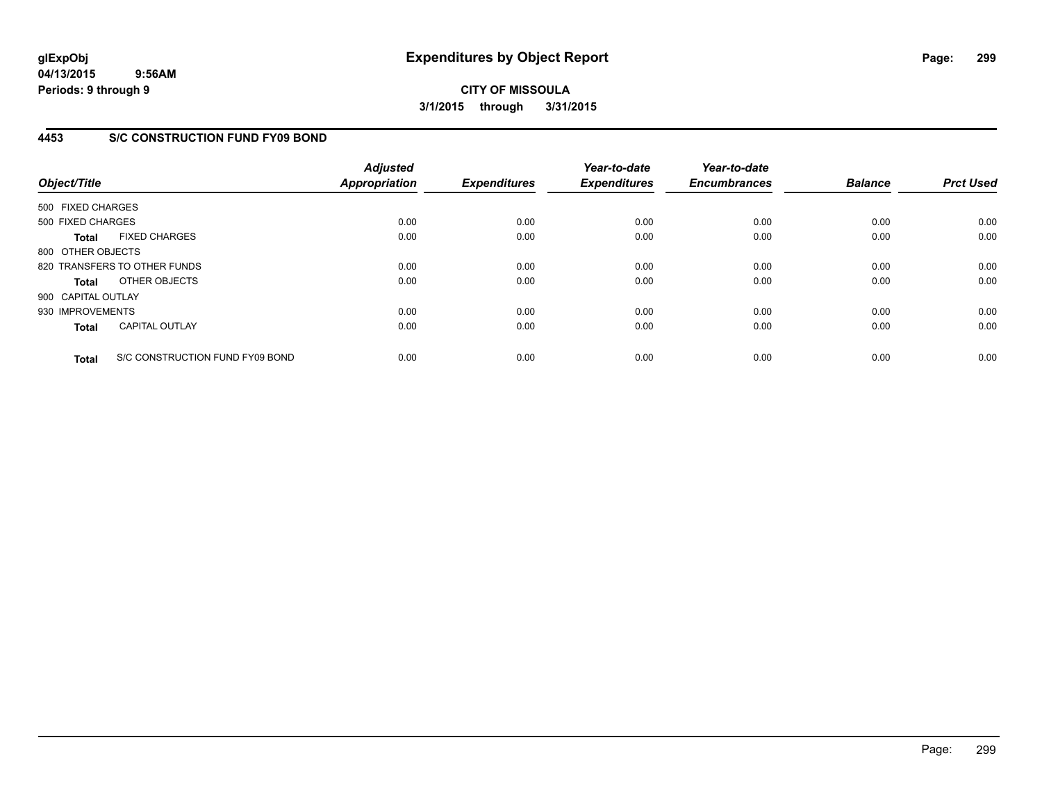**CITY OF MISSOULA 3/1/2015 through 3/31/2015**

# **4453 S/C CONSTRUCTION FUND FY09 BOND**

| Object/Title       |                                 | <b>Adjusted</b><br><b>Appropriation</b> | <b>Expenditures</b> | Year-to-date<br><b>Expenditures</b> | Year-to-date<br><b>Encumbrances</b> | <b>Balance</b> | <b>Prct Used</b> |
|--------------------|---------------------------------|-----------------------------------------|---------------------|-------------------------------------|-------------------------------------|----------------|------------------|
| 500 FIXED CHARGES  |                                 |                                         |                     |                                     |                                     |                |                  |
| 500 FIXED CHARGES  |                                 | 0.00                                    | 0.00                | 0.00                                | 0.00                                | 0.00           | 0.00             |
| <b>Total</b>       | <b>FIXED CHARGES</b>            | 0.00                                    | 0.00                | 0.00                                | 0.00                                | 0.00           | 0.00             |
| 800 OTHER OBJECTS  |                                 |                                         |                     |                                     |                                     |                |                  |
|                    | 820 TRANSFERS TO OTHER FUNDS    | 0.00                                    | 0.00                | 0.00                                | 0.00                                | 0.00           | 0.00             |
| <b>Total</b>       | OTHER OBJECTS                   | 0.00                                    | 0.00                | 0.00                                | 0.00                                | 0.00           | 0.00             |
| 900 CAPITAL OUTLAY |                                 |                                         |                     |                                     |                                     |                |                  |
| 930 IMPROVEMENTS   |                                 | 0.00                                    | 0.00                | 0.00                                | 0.00                                | 0.00           | 0.00             |
| <b>Total</b>       | <b>CAPITAL OUTLAY</b>           | 0.00                                    | 0.00                | 0.00                                | 0.00                                | 0.00           | 0.00             |
| <b>Total</b>       | S/C CONSTRUCTION FUND FY09 BOND | 0.00                                    | 0.00                | 0.00                                | 0.00                                | 0.00           | 0.00             |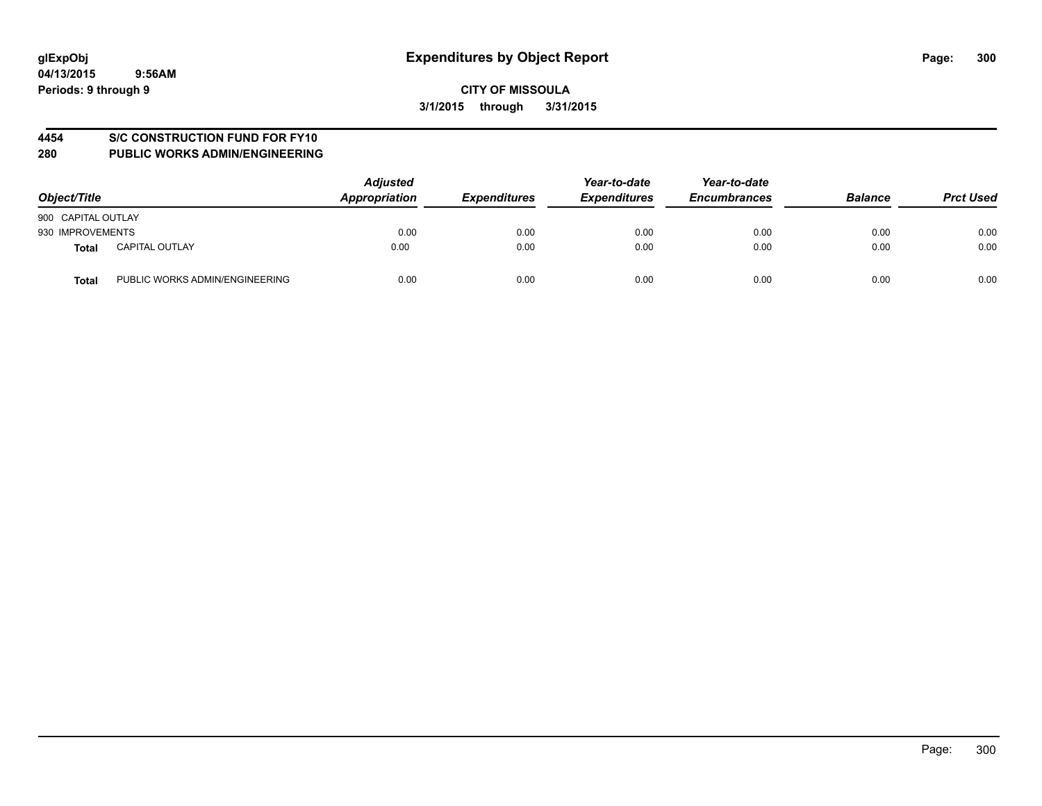# **4454 S/C CONSTRUCTION FUND FOR FY10**

| Object/Title                            | <b>Adjusted</b><br>Appropriation | <b>Expenditures</b> | Year-to-date<br><b>Expenditures</b> | Year-to-date<br><b>Encumbrances</b> | <b>Balance</b> | <b>Prct Used</b> |
|-----------------------------------------|----------------------------------|---------------------|-------------------------------------|-------------------------------------|----------------|------------------|
| 900 CAPITAL OUTLAY                      |                                  |                     |                                     |                                     |                |                  |
| 930 IMPROVEMENTS                        | 0.00                             | 0.00                | 0.00                                | 0.00                                | 0.00           | 0.00             |
| <b>CAPITAL OUTLAY</b><br>Total          | 0.00                             | 0.00                | 0.00                                | 0.00                                | 0.00           | 0.00             |
| PUBLIC WORKS ADMIN/ENGINEERING<br>Total | 0.00                             | 0.00                | 0.00                                | 0.00                                | 0.00           | 0.00             |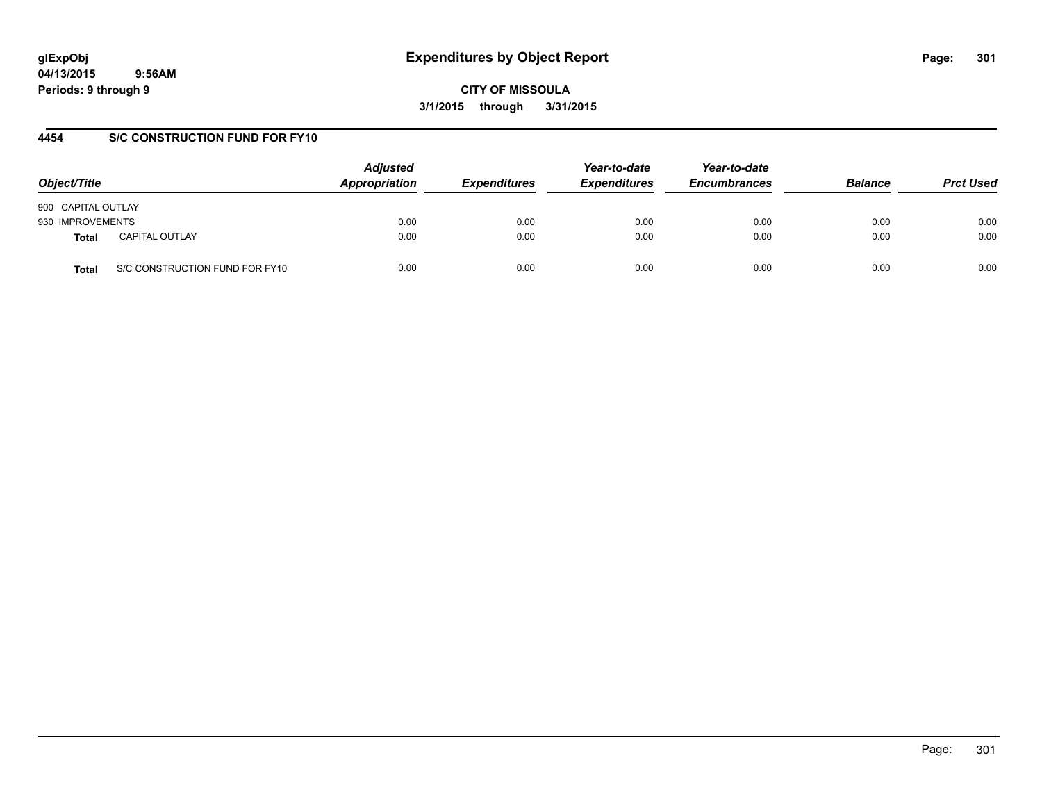# **glExpObj Expenditures by Object Report Page: 301**

**04/13/2015 9:56AM Periods: 9 through 9**

**CITY OF MISSOULA 3/1/2015 through 3/31/2015**

# **4454 S/C CONSTRUCTION FUND FOR FY10**

| Object/Title       |                                | <b>Adjusted</b><br>Appropriation | <b>Expenditures</b> | Year-to-date<br><b>Expenditures</b> | Year-to-date<br><b>Encumbrances</b> | <b>Balance</b> | <b>Prct Used</b> |
|--------------------|--------------------------------|----------------------------------|---------------------|-------------------------------------|-------------------------------------|----------------|------------------|
| 900 CAPITAL OUTLAY |                                |                                  |                     |                                     |                                     |                |                  |
| 930 IMPROVEMENTS   |                                | 0.00                             | 0.00                | 0.00                                | 0.00                                | 0.00           | 0.00             |
| Total              | <b>CAPITAL OUTLAY</b>          | 0.00                             | 0.00                | 0.00                                | 0.00                                | 0.00           | 0.00             |
| Total              | S/C CONSTRUCTION FUND FOR FY10 | 0.00                             | 0.00                | 0.00                                | 0.00                                | 0.00           | 0.00             |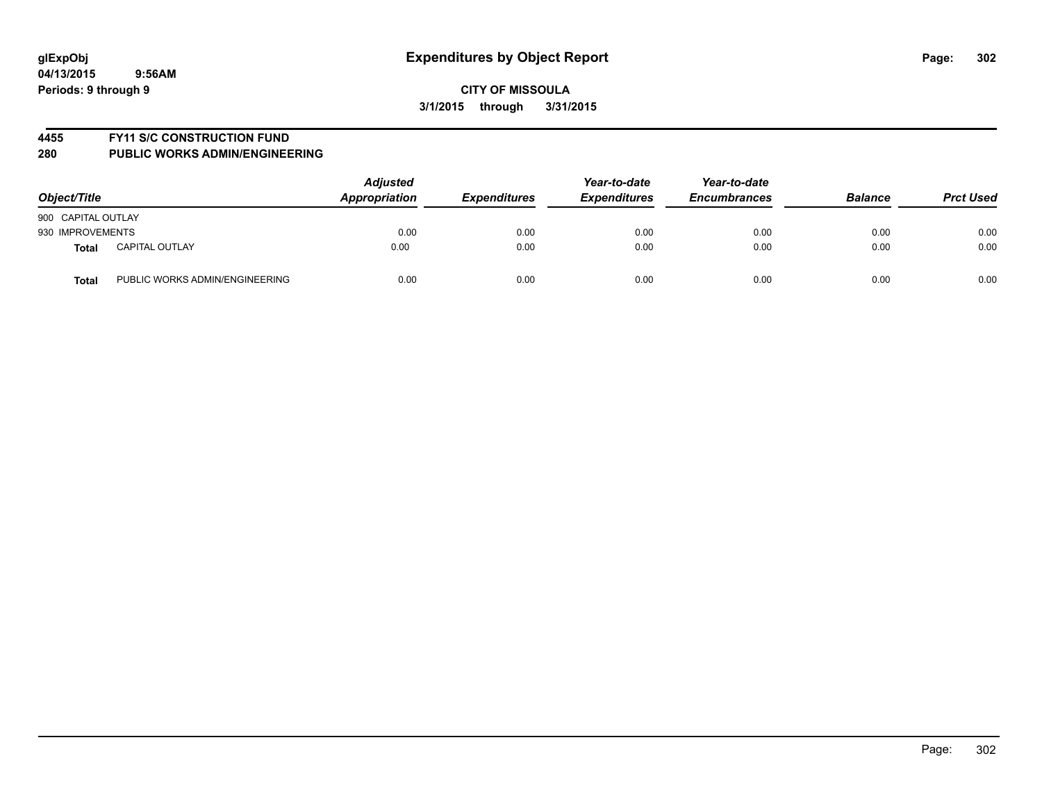#### **4455 FY11 S/C CONSTRUCTION FUND**

| Object/Title                           | <b>Adjusted</b><br>Appropriation | <b>Expenditures</b> | Year-to-date<br><b>Expenditures</b> | Year-to-date<br><b>Encumbrances</b> | <b>Balance</b> | <b>Prct Used</b> |
|----------------------------------------|----------------------------------|---------------------|-------------------------------------|-------------------------------------|----------------|------------------|
| 900 CAPITAL OUTLAY                     |                                  |                     |                                     |                                     |                |                  |
| 930 IMPROVEMENTS                       | 0.00                             | 0.00                | 0.00                                | 0.00                                | 0.00           | 0.00             |
| <b>CAPITAL OUTLAY</b><br><b>Total</b>  | 0.00                             | 0.00                | 0.00                                | 0.00                                | 0.00           | 0.00             |
| PUBLIC WORKS ADMIN/ENGINEERING<br>Tota | 0.00                             | 0.00                | 0.00                                | 0.00                                | 0.00           | 0.00             |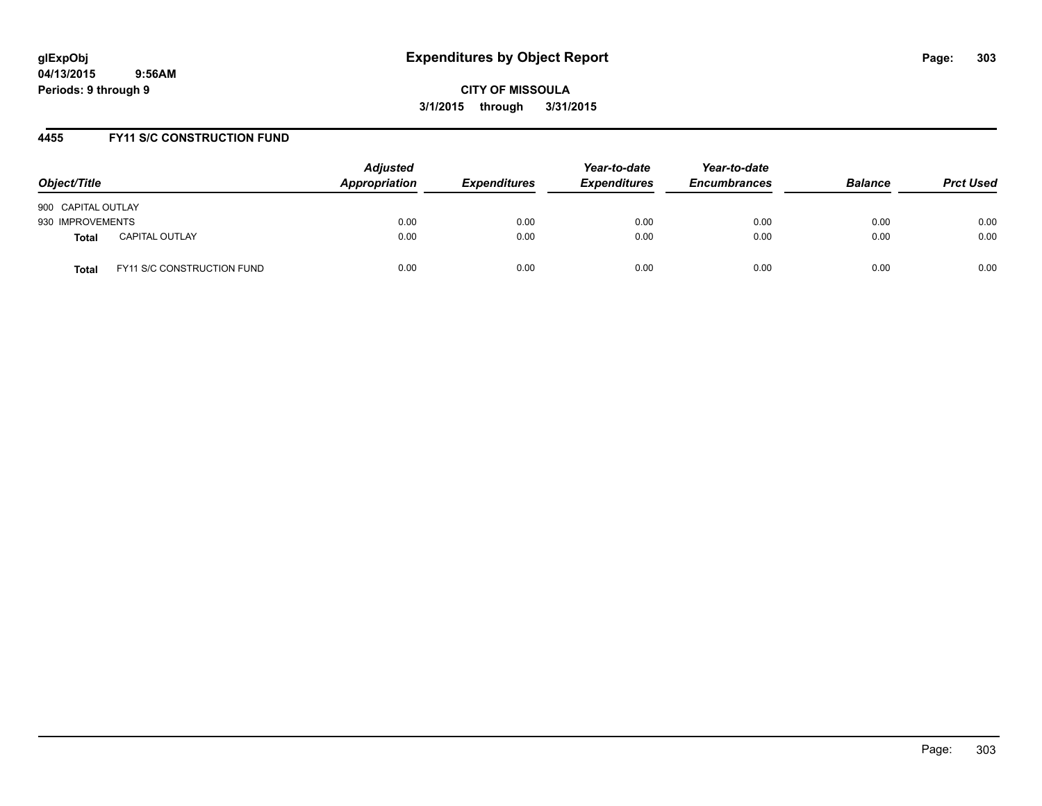**CITY OF MISSOULA 3/1/2015 through 3/31/2015**

# **4455 FY11 S/C CONSTRUCTION FUND**

| Object/Title                          | <b>Adjusted</b><br>Appropriation | <b>Expenditures</b> | Year-to-date<br><b>Expenditures</b> | Year-to-date<br><b>Encumbrances</b> | <b>Balance</b> | <b>Prct Used</b> |
|---------------------------------------|----------------------------------|---------------------|-------------------------------------|-------------------------------------|----------------|------------------|
| 900 CAPITAL OUTLAY                    |                                  |                     |                                     |                                     |                |                  |
| 930 IMPROVEMENTS                      | 0.00                             | 0.00                | 0.00                                | 0.00                                | 0.00           | 0.00             |
| <b>CAPITAL OUTLAY</b><br><b>Total</b> | 0.00                             | 0.00                | 0.00                                | 0.00                                | 0.00           | 0.00             |
| FY11 S/C CONSTRUCTION FUND<br>Total   | 0.00                             | 0.00                | 0.00                                | 0.00                                | 0.00           | 0.00             |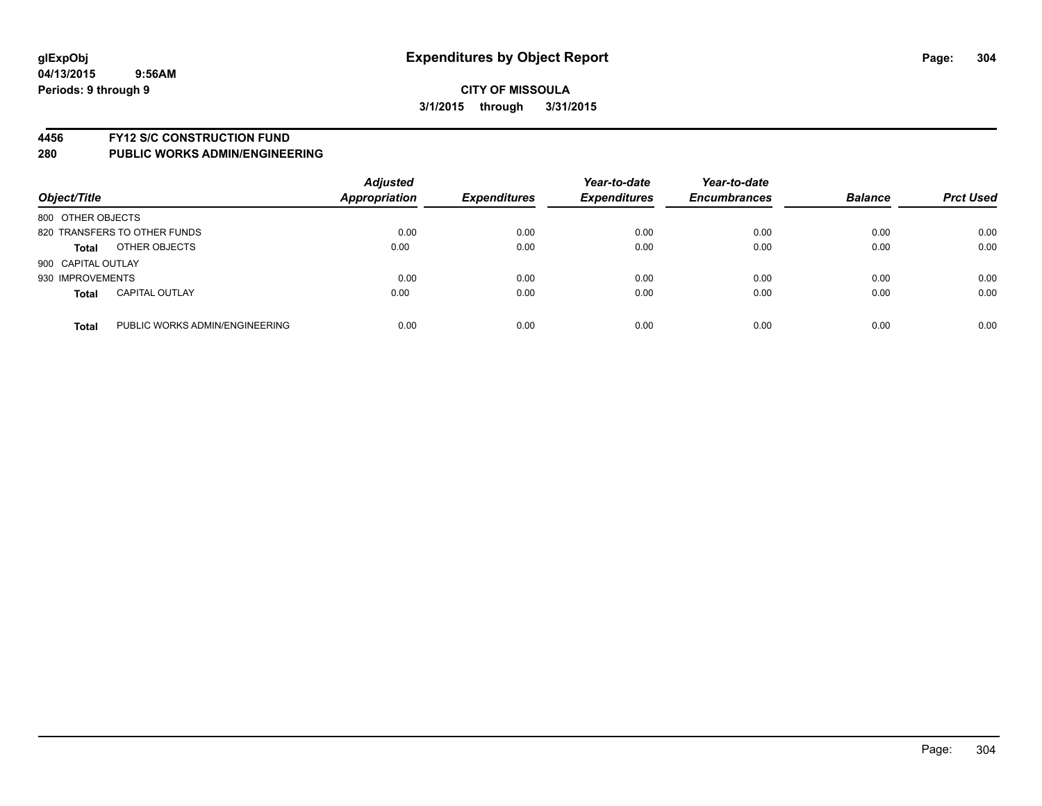#### **4456 FY12 S/C CONSTRUCTION FUND**

| Object/Title                          |                                | <b>Adjusted</b><br><b>Appropriation</b> | <b>Expenditures</b> | Year-to-date<br><b>Expenditures</b> | Year-to-date<br><b>Encumbrances</b> | <b>Balance</b> | <b>Prct Used</b> |
|---------------------------------------|--------------------------------|-----------------------------------------|---------------------|-------------------------------------|-------------------------------------|----------------|------------------|
| 800 OTHER OBJECTS                     |                                |                                         |                     |                                     |                                     |                |                  |
| 820 TRANSFERS TO OTHER FUNDS          |                                | 0.00                                    | 0.00                | 0.00                                | 0.00                                | 0.00           | 0.00             |
| OTHER OBJECTS<br><b>Total</b>         |                                | 0.00                                    | 0.00                | 0.00                                | 0.00                                | 0.00           | 0.00             |
| 900 CAPITAL OUTLAY                    |                                |                                         |                     |                                     |                                     |                |                  |
| 930 IMPROVEMENTS                      |                                | 0.00                                    | 0.00                | 0.00                                | 0.00                                | 0.00           | 0.00             |
| <b>CAPITAL OUTLAY</b><br><b>Total</b> |                                | 0.00                                    | 0.00                | 0.00                                | 0.00                                | 0.00           | 0.00             |
| <b>Total</b>                          | PUBLIC WORKS ADMIN/ENGINEERING | 0.00                                    | 0.00                | 0.00                                | 0.00                                | 0.00           | 0.00             |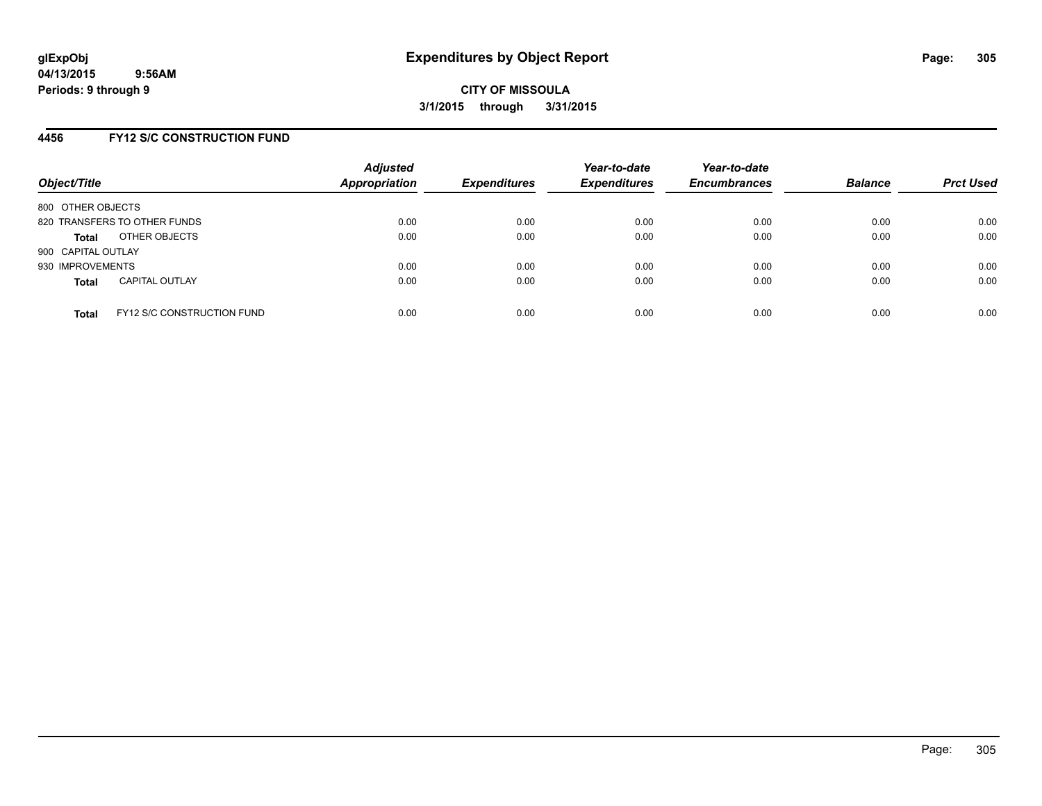# **4456 FY12 S/C CONSTRUCTION FUND**

| Object/Title       |                                   | <b>Adjusted</b><br>Appropriation | <b>Expenditures</b> | Year-to-date<br><b>Expenditures</b> | Year-to-date<br><b>Encumbrances</b> | <b>Balance</b> | <b>Prct Used</b> |
|--------------------|-----------------------------------|----------------------------------|---------------------|-------------------------------------|-------------------------------------|----------------|------------------|
| 800 OTHER OBJECTS  |                                   |                                  |                     |                                     |                                     |                |                  |
|                    | 820 TRANSFERS TO OTHER FUNDS      | 0.00                             | 0.00                | 0.00                                | 0.00                                | 0.00           | 0.00             |
| <b>Total</b>       | OTHER OBJECTS                     | 0.00                             | 0.00                | 0.00                                | 0.00                                | 0.00           | 0.00             |
| 900 CAPITAL OUTLAY |                                   |                                  |                     |                                     |                                     |                |                  |
| 930 IMPROVEMENTS   |                                   | 0.00                             | 0.00                | 0.00                                | 0.00                                | 0.00           | 0.00             |
| <b>Total</b>       | <b>CAPITAL OUTLAY</b>             | 0.00                             | 0.00                | 0.00                                | 0.00                                | 0.00           | 0.00             |
| <b>Total</b>       | <b>FY12 S/C CONSTRUCTION FUND</b> | 0.00                             | 0.00                | 0.00                                | 0.00                                | 0.00           | 0.00             |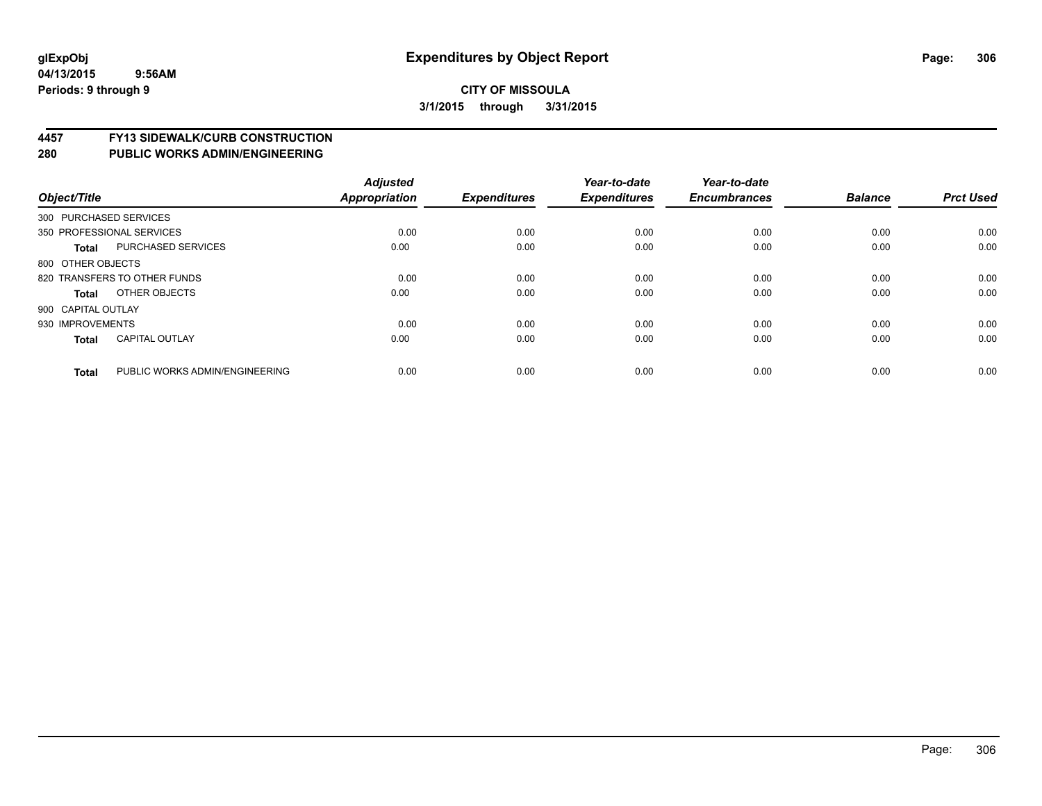# **4457 FY13 SIDEWALK/CURB CONSTRUCTION**

| Object/Title           |                                | <b>Adjusted</b><br>Appropriation | <b>Expenditures</b> | Year-to-date<br><b>Expenditures</b> | Year-to-date<br><b>Encumbrances</b> | <b>Balance</b> | <b>Prct Used</b> |
|------------------------|--------------------------------|----------------------------------|---------------------|-------------------------------------|-------------------------------------|----------------|------------------|
| 300 PURCHASED SERVICES |                                |                                  |                     |                                     |                                     |                |                  |
|                        | 350 PROFESSIONAL SERVICES      | 0.00                             | 0.00                | 0.00                                | 0.00                                | 0.00           | 0.00             |
| <b>Total</b>           | <b>PURCHASED SERVICES</b>      | 0.00                             | 0.00                | 0.00                                | 0.00                                | 0.00           | 0.00             |
| 800 OTHER OBJECTS      |                                |                                  |                     |                                     |                                     |                |                  |
|                        | 820 TRANSFERS TO OTHER FUNDS   | 0.00                             | 0.00                | 0.00                                | 0.00                                | 0.00           | 0.00             |
| Total                  | OTHER OBJECTS                  | 0.00                             | 0.00                | 0.00                                | 0.00                                | 0.00           | 0.00             |
| 900 CAPITAL OUTLAY     |                                |                                  |                     |                                     |                                     |                |                  |
| 930 IMPROVEMENTS       |                                | 0.00                             | 0.00                | 0.00                                | 0.00                                | 0.00           | 0.00             |
| <b>Total</b>           | <b>CAPITAL OUTLAY</b>          | 0.00                             | 0.00                | 0.00                                | 0.00                                | 0.00           | 0.00             |
|                        |                                |                                  |                     |                                     |                                     |                |                  |
| <b>Total</b>           | PUBLIC WORKS ADMIN/ENGINEERING | 0.00                             | 0.00                | 0.00                                | 0.00                                | 0.00           | 0.00             |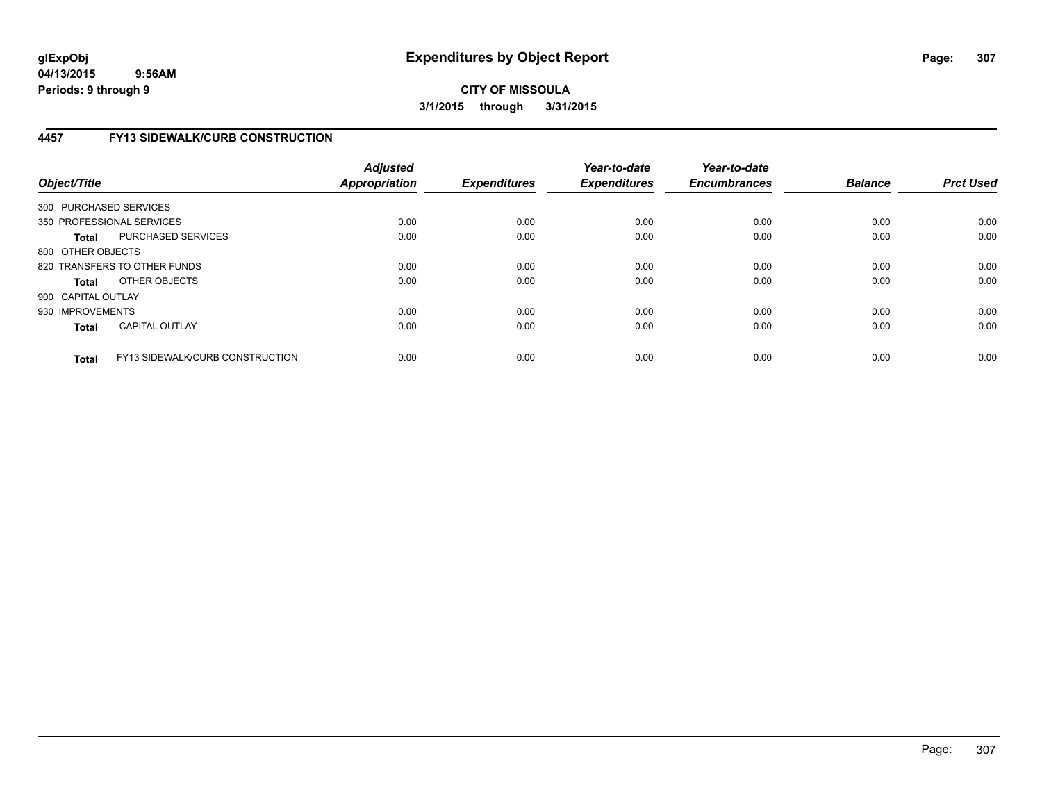# **CITY OF MISSOULA 3/1/2015 through 3/31/2015**

# **4457 FY13 SIDEWALK/CURB CONSTRUCTION**

| Object/Title       |                                        | <b>Adjusted</b><br>Appropriation | <b>Expenditures</b> | Year-to-date<br><b>Expenditures</b> | Year-to-date<br><b>Encumbrances</b> | <b>Balance</b> | <b>Prct Used</b> |
|--------------------|----------------------------------------|----------------------------------|---------------------|-------------------------------------|-------------------------------------|----------------|------------------|
|                    | 300 PURCHASED SERVICES                 |                                  |                     |                                     |                                     |                |                  |
|                    | 350 PROFESSIONAL SERVICES              | 0.00                             | 0.00                | 0.00                                | 0.00                                | 0.00           | 0.00             |
| <b>Total</b>       | PURCHASED SERVICES                     | 0.00                             | 0.00                | 0.00                                | 0.00                                | 0.00           | 0.00             |
| 800 OTHER OBJECTS  |                                        |                                  |                     |                                     |                                     |                |                  |
|                    | 820 TRANSFERS TO OTHER FUNDS           | 0.00                             | 0.00                | 0.00                                | 0.00                                | 0.00           | 0.00             |
| <b>Total</b>       | OTHER OBJECTS                          | 0.00                             | 0.00                | 0.00                                | 0.00                                | 0.00           | 0.00             |
| 900 CAPITAL OUTLAY |                                        |                                  |                     |                                     |                                     |                |                  |
| 930 IMPROVEMENTS   |                                        | 0.00                             | 0.00                | 0.00                                | 0.00                                | 0.00           | 0.00             |
| <b>Total</b>       | <b>CAPITAL OUTLAY</b>                  | 0.00                             | 0.00                | 0.00                                | 0.00                                | 0.00           | 0.00             |
| <b>Total</b>       | <b>FY13 SIDEWALK/CURB CONSTRUCTION</b> | 0.00                             | 0.00                | 0.00                                | 0.00                                | 0.00           | 0.00             |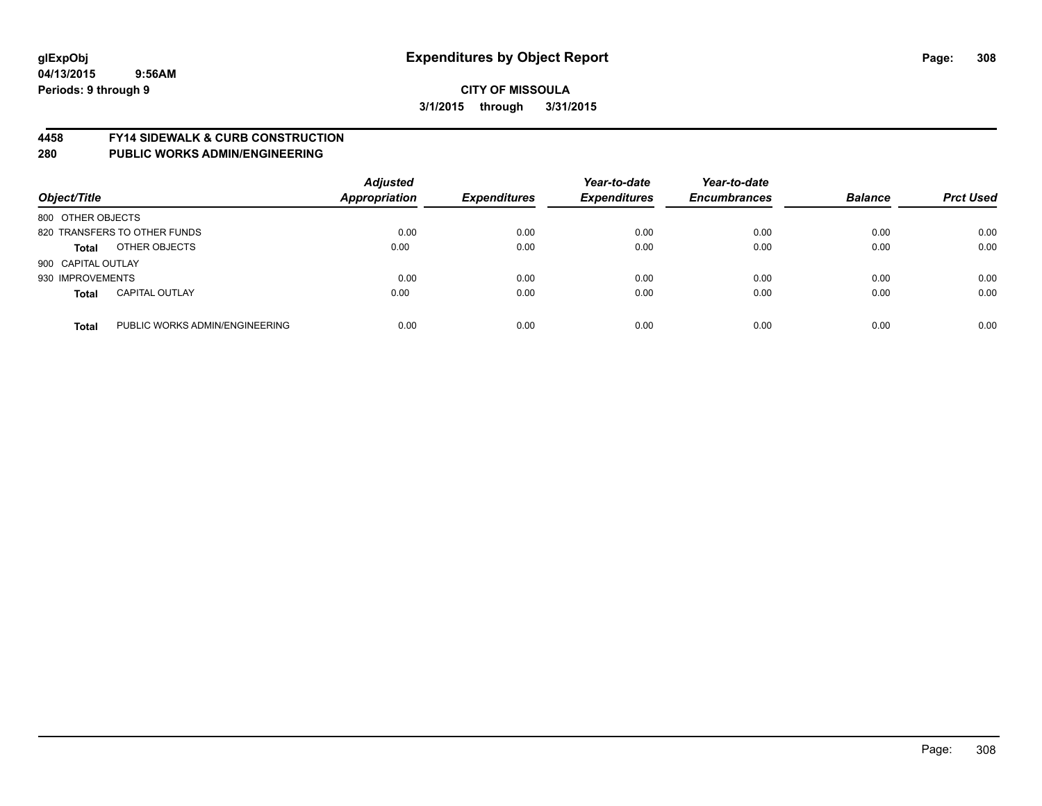# **glExpObj Expenditures by Object Report Page: 308**

**04/13/2015 9:56AM Periods: 9 through 9**

**3/1/2015 through 3/31/2015**

## **4458 FY14 SIDEWALK & CURB CONSTRUCTION**

| Object/Title       |                                | <b>Adjusted</b><br><b>Appropriation</b> | <b>Expenditures</b> | Year-to-date<br><b>Expenditures</b> | Year-to-date<br><b>Encumbrances</b> | <b>Balance</b> | <b>Prct Used</b> |
|--------------------|--------------------------------|-----------------------------------------|---------------------|-------------------------------------|-------------------------------------|----------------|------------------|
| 800 OTHER OBJECTS  |                                |                                         |                     |                                     |                                     |                |                  |
|                    | 820 TRANSFERS TO OTHER FUNDS   | 0.00                                    | 0.00                | 0.00                                | 0.00                                | 0.00           | 0.00             |
| <b>Total</b>       | OTHER OBJECTS                  | 0.00                                    | 0.00                | 0.00                                | 0.00                                | 0.00           | 0.00             |
| 900 CAPITAL OUTLAY |                                |                                         |                     |                                     |                                     |                |                  |
| 930 IMPROVEMENTS   |                                | 0.00                                    | 0.00                | 0.00                                | 0.00                                | 0.00           | 0.00             |
| <b>Total</b>       | <b>CAPITAL OUTLAY</b>          | 0.00                                    | 0.00                | 0.00                                | 0.00                                | 0.00           | 0.00             |
| <b>Total</b>       | PUBLIC WORKS ADMIN/ENGINEERING | 0.00                                    | 0.00                | 0.00                                | 0.00                                | 0.00           | 0.00             |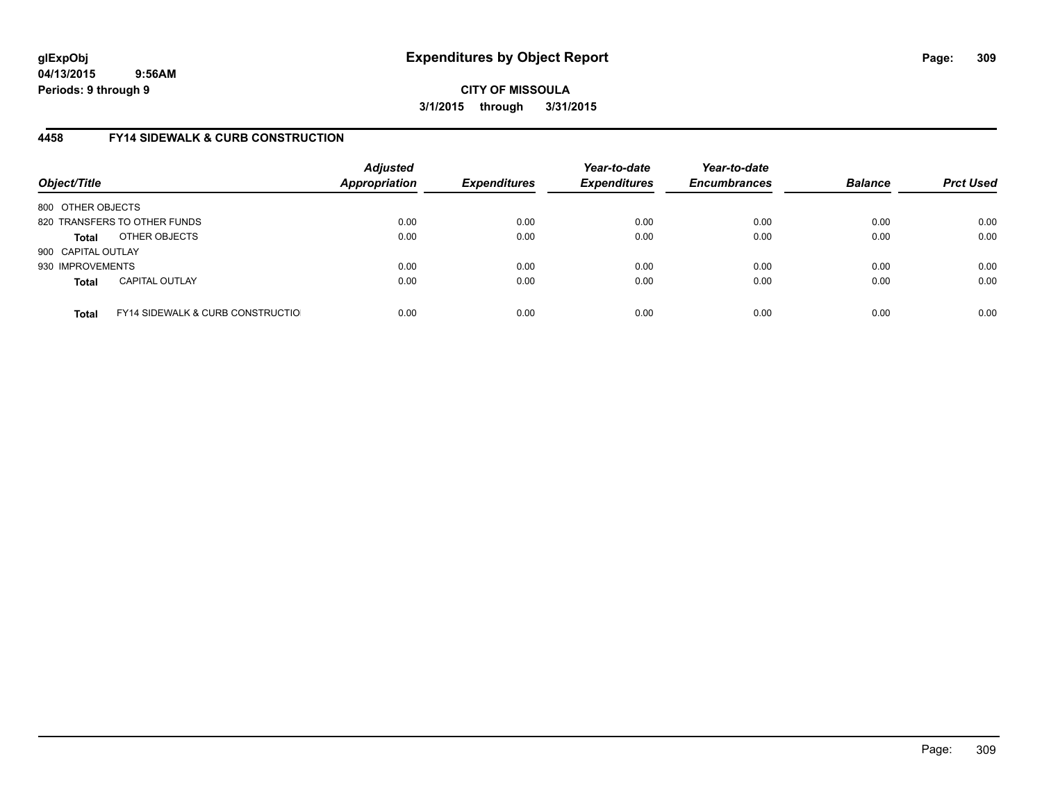**CITY OF MISSOULA 3/1/2015 through 3/31/2015**

# **4458 FY14 SIDEWALK & CURB CONSTRUCTION**

| Object/Title       |                                              | <b>Adjusted</b><br><b>Appropriation</b> | <b>Expenditures</b> | Year-to-date<br><b>Expenditures</b> | Year-to-date<br><b>Encumbrances</b> | <b>Balance</b> | <b>Prct Used</b> |
|--------------------|----------------------------------------------|-----------------------------------------|---------------------|-------------------------------------|-------------------------------------|----------------|------------------|
| 800 OTHER OBJECTS  |                                              |                                         |                     |                                     |                                     |                |                  |
|                    | 820 TRANSFERS TO OTHER FUNDS                 | 0.00                                    | 0.00                | 0.00                                | 0.00                                | 0.00           | 0.00             |
| Total              | OTHER OBJECTS                                | 0.00                                    | 0.00                | 0.00                                | 0.00                                | 0.00           | 0.00             |
| 900 CAPITAL OUTLAY |                                              |                                         |                     |                                     |                                     |                |                  |
| 930 IMPROVEMENTS   |                                              | 0.00                                    | 0.00                | 0.00                                | 0.00                                | 0.00           | 0.00             |
| <b>Total</b>       | <b>CAPITAL OUTLAY</b>                        | 0.00                                    | 0.00                | 0.00                                | 0.00                                | 0.00           | 0.00             |
| <b>Total</b>       | <b>FY14 SIDEWALK &amp; CURB CONSTRUCTIOL</b> | 0.00                                    | 0.00                | 0.00                                | 0.00                                | 0.00           | 0.00             |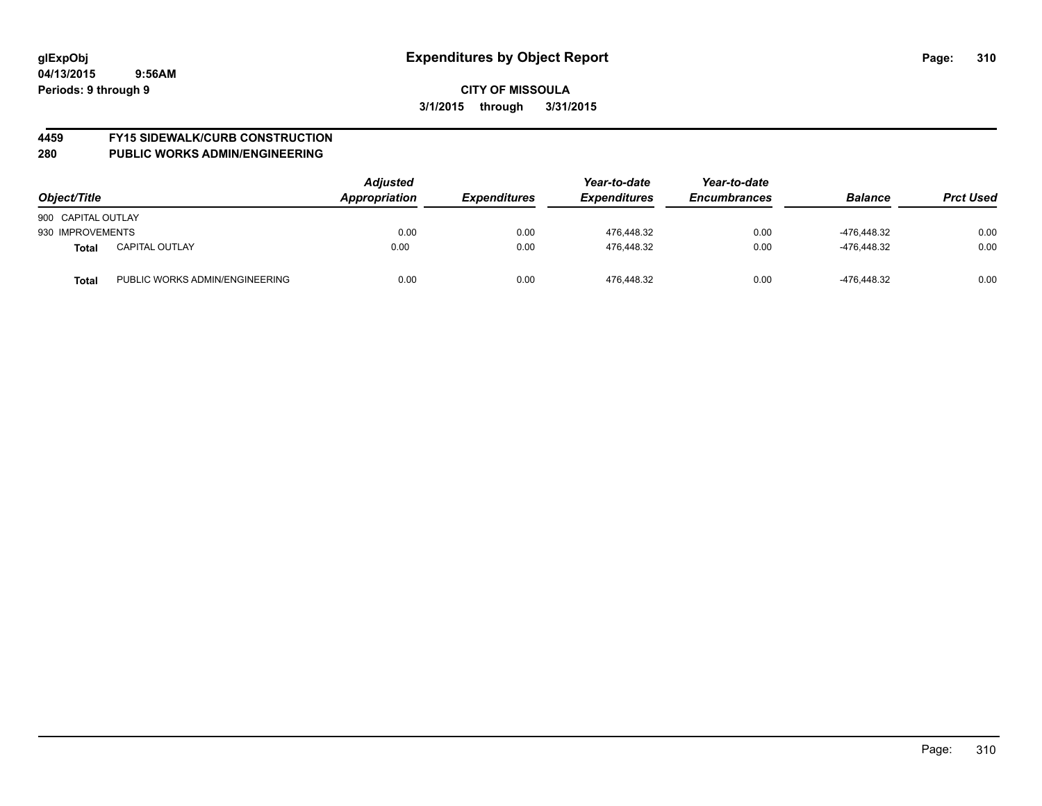# **4459 FY15 SIDEWALK/CURB CONSTRUCTION**

| Object/Title       |                                | <b>Adjusted</b><br>Appropriation | <b>Expenditures</b> | Year-to-date<br><b>Expenditures</b> | Year-to-date<br><b>Encumbrances</b> | <b>Balance</b> | <b>Prct Used</b> |
|--------------------|--------------------------------|----------------------------------|---------------------|-------------------------------------|-------------------------------------|----------------|------------------|
| 900 CAPITAL OUTLAY |                                |                                  |                     |                                     |                                     |                |                  |
| 930 IMPROVEMENTS   |                                | 0.00                             | 0.00                | 476.448.32                          | 0.00                                | -476.448.32    | 0.00             |
| <b>Total</b>       | <b>CAPITAL OUTLAY</b>          | 0.00                             | 0.00                | 476,448.32                          | 0.00                                | -476.448.32    | 0.00             |
| <b>Total</b>       | PUBLIC WORKS ADMIN/ENGINEERING | 0.00                             | 0.00                | 476.448.32                          | 0.00                                | -476.448.32    | 0.00             |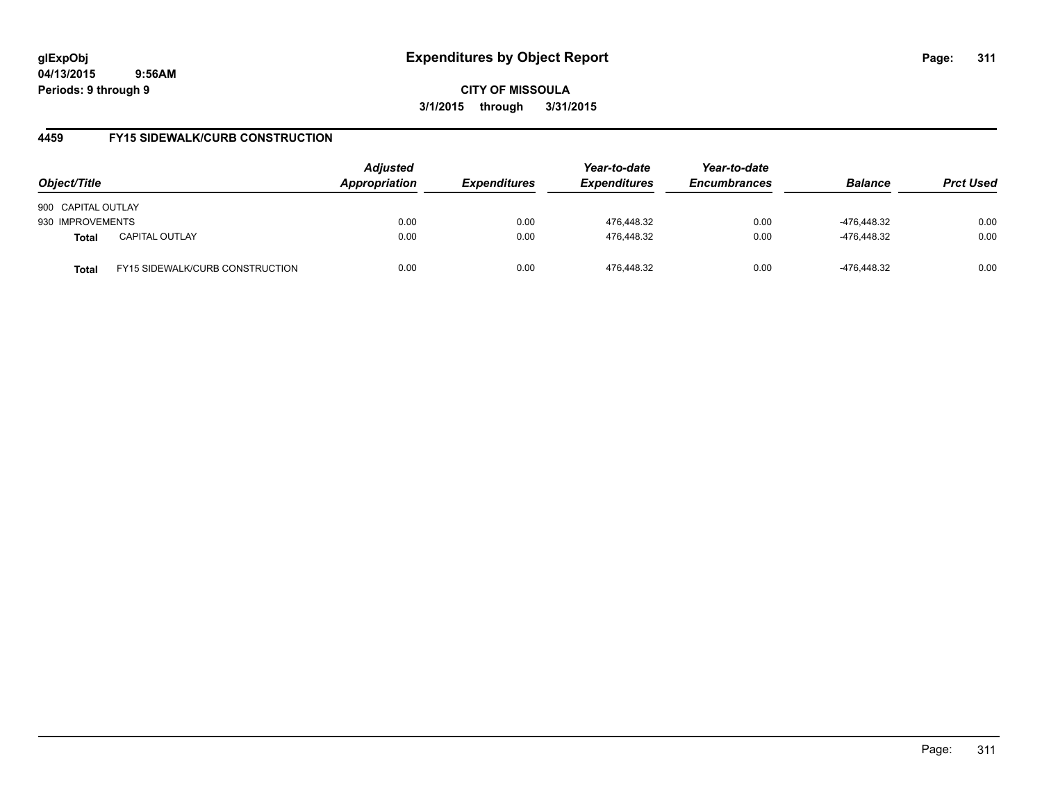# **glExpObj Expenditures by Object Report Page: 311**

**04/13/2015 9:56AM Periods: 9 through 9**

**CITY OF MISSOULA 3/1/2015 through 3/31/2015**

# **4459 FY15 SIDEWALK/CURB CONSTRUCTION**

| Object/Title       |                                        | <b>Adjusted</b><br><b>Appropriation</b> | <i><b>Expenditures</b></i> | Year-to-date<br><b>Expenditures</b> | Year-to-date<br><b>Encumbrances</b> | <b>Balance</b> | <b>Prct Used</b> |
|--------------------|----------------------------------------|-----------------------------------------|----------------------------|-------------------------------------|-------------------------------------|----------------|------------------|
| 900 CAPITAL OUTLAY |                                        |                                         |                            |                                     |                                     |                |                  |
| 930 IMPROVEMENTS   |                                        | 0.00                                    | 0.00                       | 476.448.32                          | 0.00                                | -476.448.32    | 0.00             |
| <b>Total</b>       | <b>CAPITAL OUTLAY</b>                  | 0.00                                    | 0.00                       | 476,448.32                          | 0.00                                | -476.448.32    | 0.00             |
| Total              | <b>FY15 SIDEWALK/CURB CONSTRUCTION</b> | 0.00                                    | 0.00                       | 476.448.32                          | 0.00                                | -476.448.32    | 0.00             |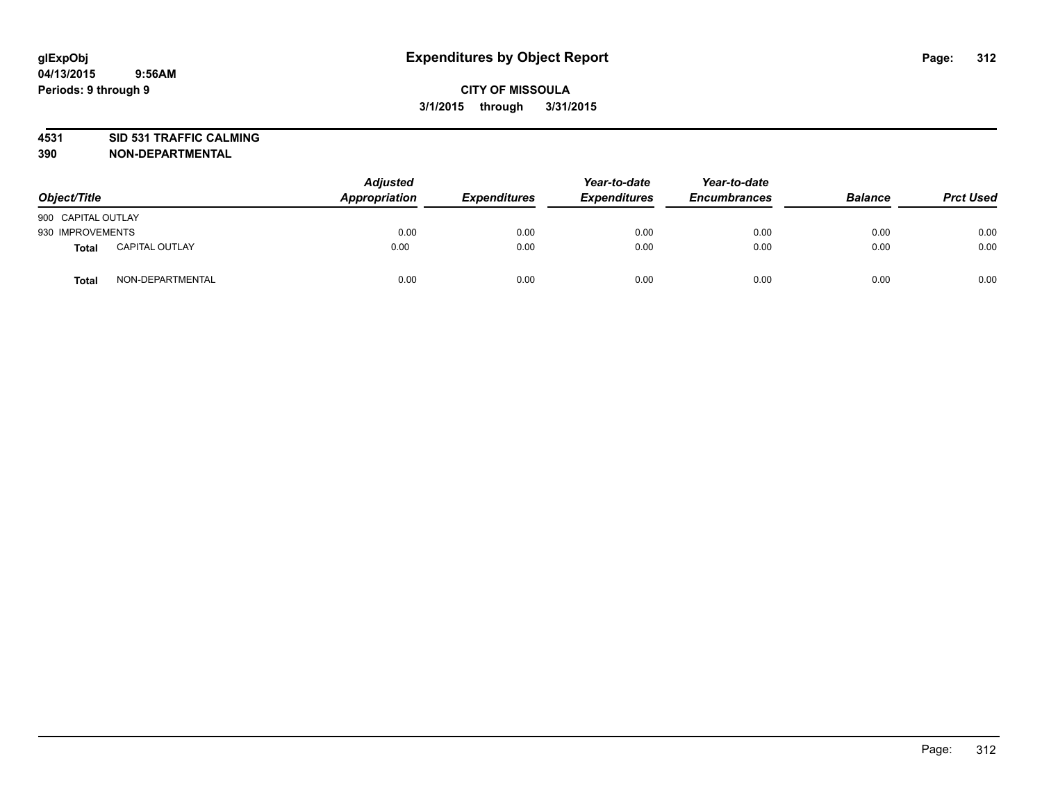# **4531 SID 531 TRAFFIC CALMING**

| Object/Title       |                       | <b>Adjusted</b><br><b>Appropriation</b> | <b>Expenditures</b> | Year-to-date<br><b>Expenditures</b> | Year-to-date<br><b>Encumbrances</b> | <b>Balance</b> | <b>Prct Used</b> |
|--------------------|-----------------------|-----------------------------------------|---------------------|-------------------------------------|-------------------------------------|----------------|------------------|
| 900 CAPITAL OUTLAY |                       |                                         |                     |                                     |                                     |                |                  |
| 930 IMPROVEMENTS   |                       | 0.00                                    | 0.00                | 0.00                                | 0.00                                | 0.00           | 0.00             |
| <b>Total</b>       | <b>CAPITAL OUTLAY</b> | 0.00                                    | 0.00                | 0.00                                | 0.00                                | 0.00           | 0.00             |
| Total              | NON-DEPARTMENTAL      | 0.00                                    | 0.00                | 0.00                                | 0.00                                | 0.00           | 0.00             |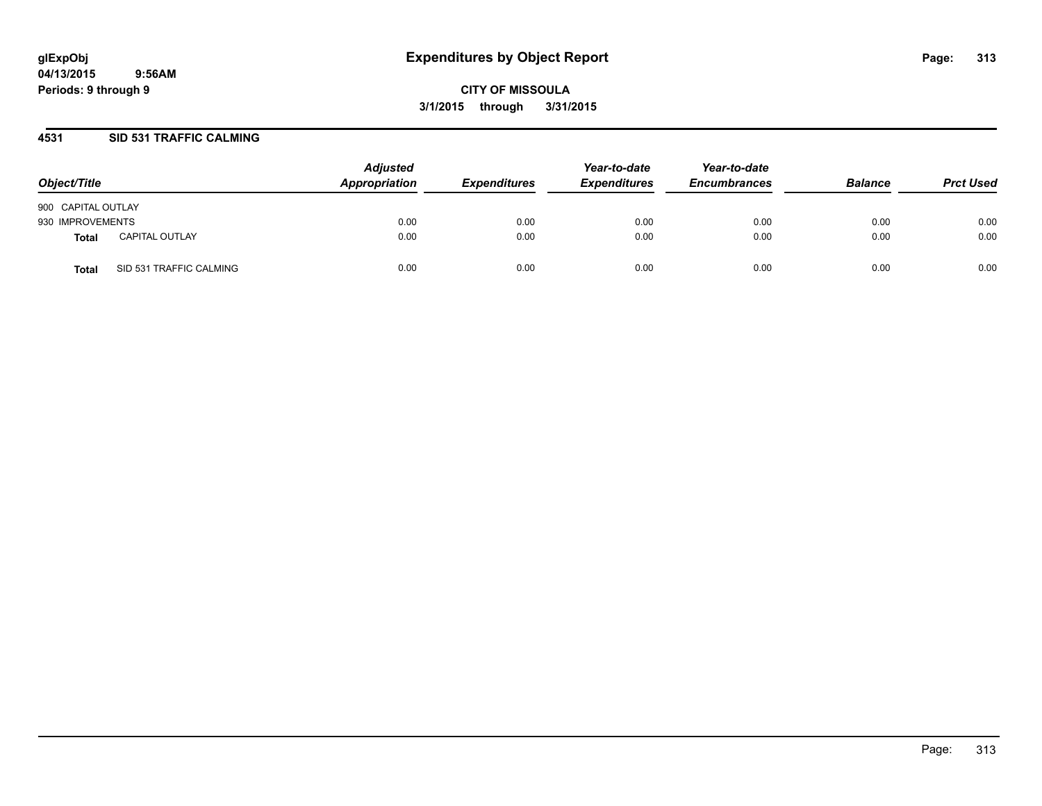# **4531 SID 531 TRAFFIC CALMING**

| Object/Title       |                         | <b>Adjusted</b><br>Appropriation | <b>Expenditures</b> | Year-to-date<br><b>Expenditures</b> | Year-to-date<br><b>Encumbrances</b> | <b>Balance</b> | <b>Prct Used</b> |
|--------------------|-------------------------|----------------------------------|---------------------|-------------------------------------|-------------------------------------|----------------|------------------|
| 900 CAPITAL OUTLAY |                         |                                  |                     |                                     |                                     |                |                  |
| 930 IMPROVEMENTS   |                         | 0.00                             | 0.00                | 0.00                                | 0.00                                | 0.00           | 0.00             |
| Total              | <b>CAPITAL OUTLAY</b>   | 0.00                             | 0.00                | 0.00                                | 0.00                                | 0.00           | 0.00             |
| Total              | SID 531 TRAFFIC CALMING | 0.00                             | 0.00                | 0.00                                | 0.00                                | 0.00           | 0.00             |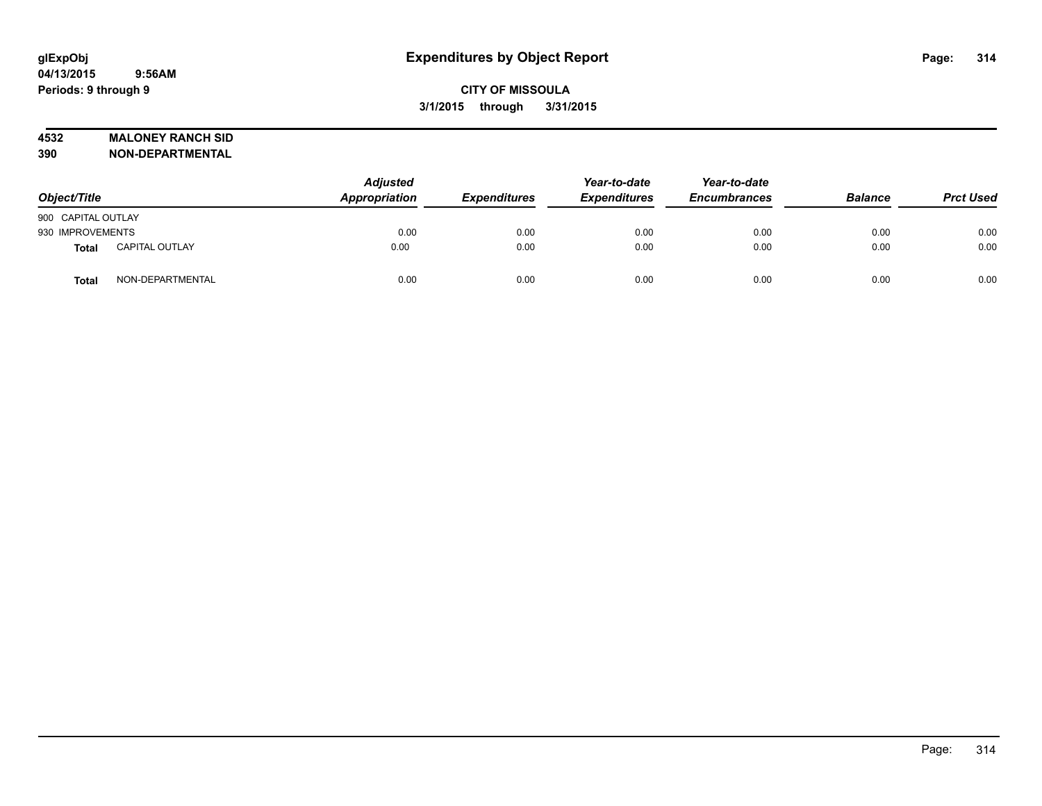# **4532 MALONEY RANCH SID**

| Object/Title       |                       | <b>Adjusted</b><br>Appropriation | <b>Expenditures</b> | Year-to-date<br><b>Expenditures</b> | Year-to-date<br><b>Encumbrances</b> | <b>Balance</b> | <b>Prct Used</b> |
|--------------------|-----------------------|----------------------------------|---------------------|-------------------------------------|-------------------------------------|----------------|------------------|
| 900 CAPITAL OUTLAY |                       |                                  |                     |                                     |                                     |                |                  |
| 930 IMPROVEMENTS   |                       | 0.00                             | 0.00                | 0.00                                | 0.00                                | 0.00           | 0.00             |
| Total              | <b>CAPITAL OUTLAY</b> | 0.00                             | 0.00                | 0.00                                | 0.00                                | 0.00           | 0.00             |
| <b>Total</b>       | NON-DEPARTMENTAL      | 0.00                             | 0.00                | 0.00                                | 0.00                                | 0.00           | 0.00             |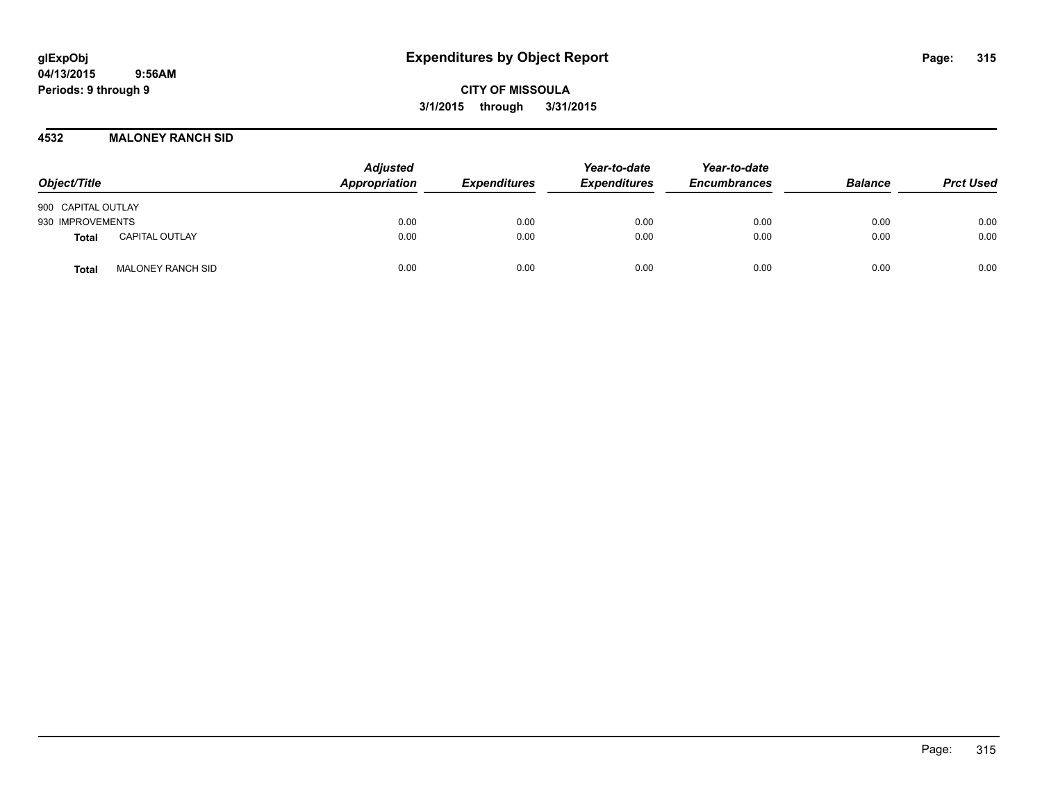**CITY OF MISSOULA 3/1/2015 through 3/31/2015**

## **4532 MALONEY RANCH SID**

| Object/Title                             |  | <b>Adjusted</b><br>Appropriation | <b>Expenditures</b> | Year-to-date<br><b>Expenditures</b> | Year-to-date<br><b>Encumbrances</b> | <b>Balance</b> | <b>Prct Used</b> |
|------------------------------------------|--|----------------------------------|---------------------|-------------------------------------|-------------------------------------|----------------|------------------|
| 900 CAPITAL OUTLAY                       |  |                                  |                     |                                     |                                     |                |                  |
| 930 IMPROVEMENTS                         |  | 0.00                             | 0.00                | 0.00                                | 0.00                                | 0.00           | 0.00             |
| <b>CAPITAL OUTLAY</b><br>Total           |  | 0.00                             | 0.00                | 0.00                                | 0.00                                | 0.00           | 0.00             |
| <b>MALONEY RANCH SID</b><br><b>Total</b> |  | 0.00                             | 0.00                | 0.00                                | 0.00                                | 0.00           | 0.00             |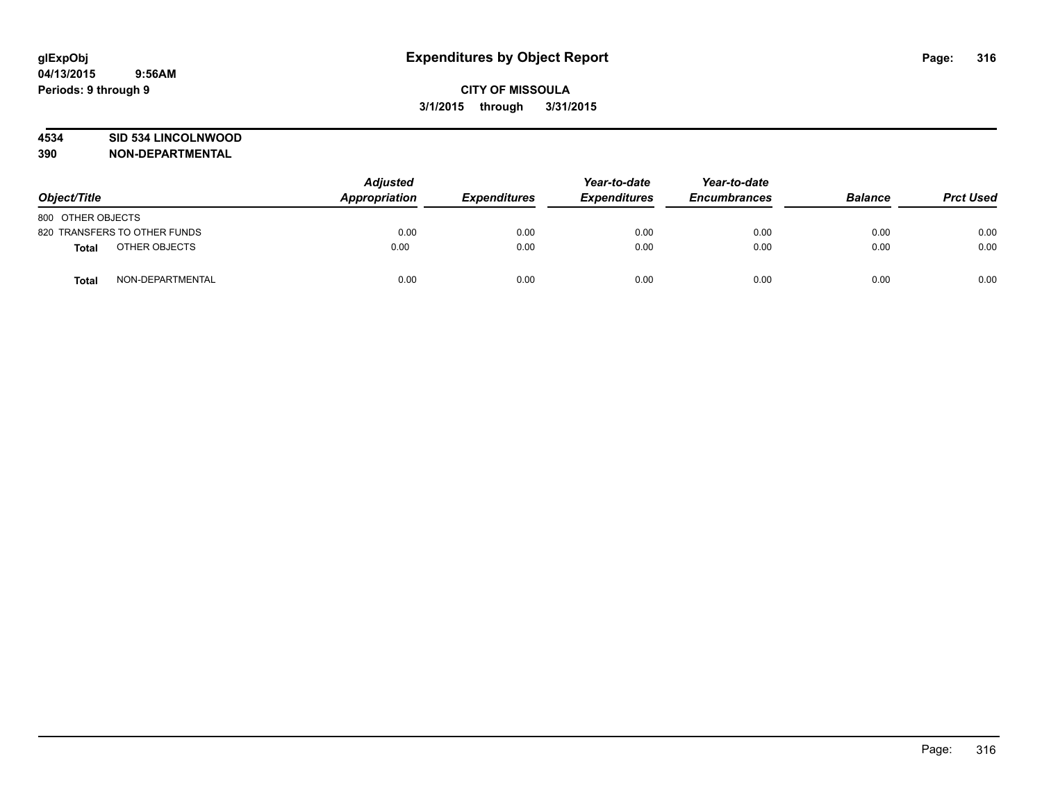# **4534 SID 534 LINCOLNWOOD**

| Object/Title                 | <b>Adjusted</b><br>Appropriation | <b>Expenditures</b> | Year-to-date<br><b>Expenditures</b> | Year-to-date<br><b>Encumbrances</b> | <b>Balance</b> | <b>Prct Used</b> |
|------------------------------|----------------------------------|---------------------|-------------------------------------|-------------------------------------|----------------|------------------|
| 800 OTHER OBJECTS            |                                  |                     |                                     |                                     |                |                  |
| 820 TRANSFERS TO OTHER FUNDS | 0.00                             | 0.00                | 0.00                                | 0.00                                | 0.00           | 0.00             |
| OTHER OBJECTS<br>Total       | 0.00                             | 0.00                | 0.00                                | 0.00                                | 0.00           | 0.00             |
| NON-DEPARTMENTAL<br>Total    | 0.00                             | 0.00                | 0.00                                | 0.00                                | 0.00           | 0.00             |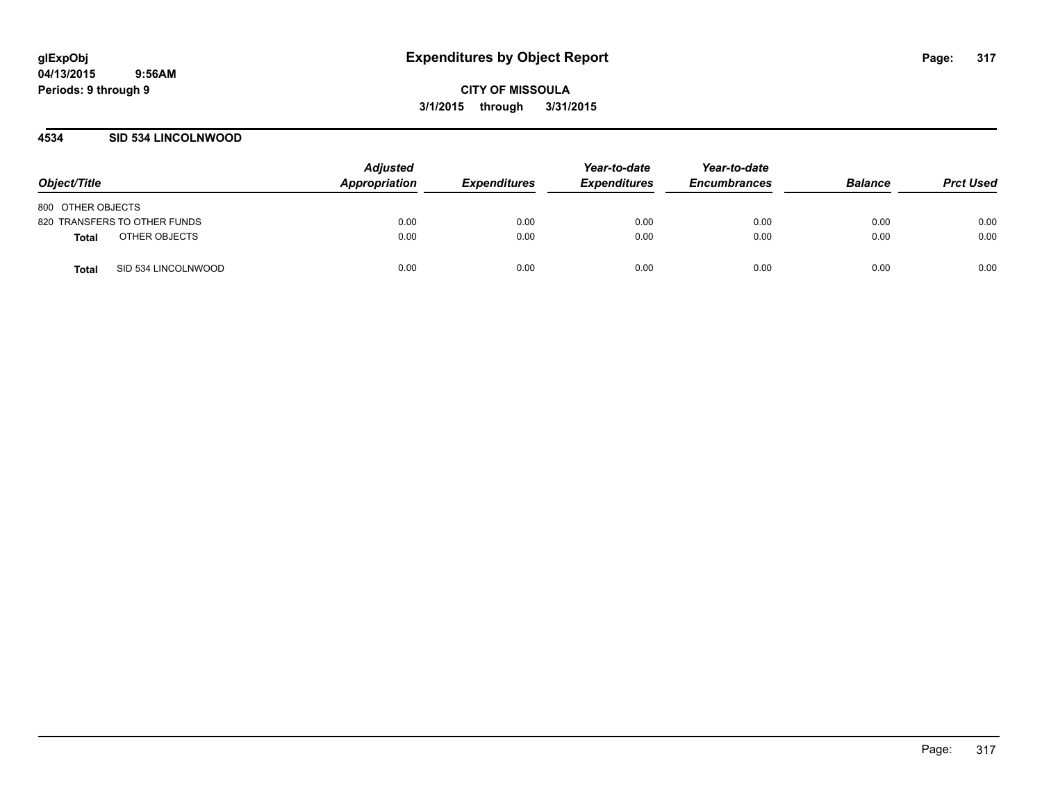# **4534 SID 534 LINCOLNWOOD**

| Object/Title                  | <b>Adjusted</b><br>Appropriation | <b>Expenditures</b> | Year-to-date<br><b>Expenditures</b> | Year-to-date<br><b>Encumbrances</b> | <b>Balance</b> | <b>Prct Used</b> |
|-------------------------------|----------------------------------|---------------------|-------------------------------------|-------------------------------------|----------------|------------------|
| 800 OTHER OBJECTS             |                                  |                     |                                     |                                     |                |                  |
| 820 TRANSFERS TO OTHER FUNDS  | 0.00                             | 0.00                | 0.00                                | 0.00                                | 0.00           | 0.00             |
| OTHER OBJECTS<br><b>Total</b> | 0.00                             | 0.00                | 0.00                                | 0.00                                | 0.00           | 0.00             |
| SID 534 LINCOLNWOOD<br>Total  | 0.00                             | 0.00                | 0.00                                | 0.00                                | 0.00           | 0.00             |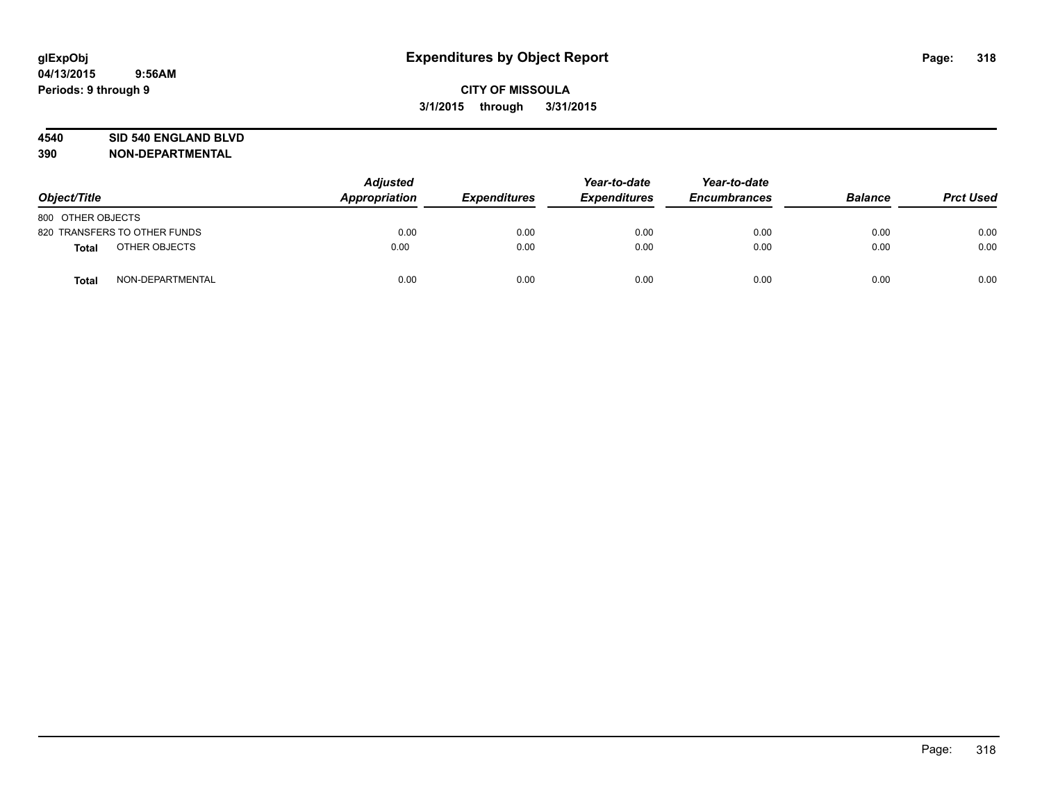## **4540 SID 540 ENGLAND BLVD**

| Object/Title                     |  | <b>Adjusted</b><br>Appropriation | <b>Expenditures</b> | Year-to-date<br><b>Expenditures</b> | Year-to-date<br><b>Encumbrances</b> | <b>Balance</b> | <b>Prct Used</b> |
|----------------------------------|--|----------------------------------|---------------------|-------------------------------------|-------------------------------------|----------------|------------------|
| 800 OTHER OBJECTS                |  |                                  |                     |                                     |                                     |                |                  |
| 820 TRANSFERS TO OTHER FUNDS     |  | 0.00                             | 0.00                | 0.00                                | 0.00                                | 0.00           | 0.00             |
| OTHER OBJECTS<br><b>Total</b>    |  | 0.00                             | 0.00                | 0.00                                | 0.00                                | 0.00           | 0.00             |
| NON-DEPARTMENTAL<br><b>Total</b> |  | 0.00                             | 0.00                | 0.00                                | 0.00                                | 0.00           | 0.00             |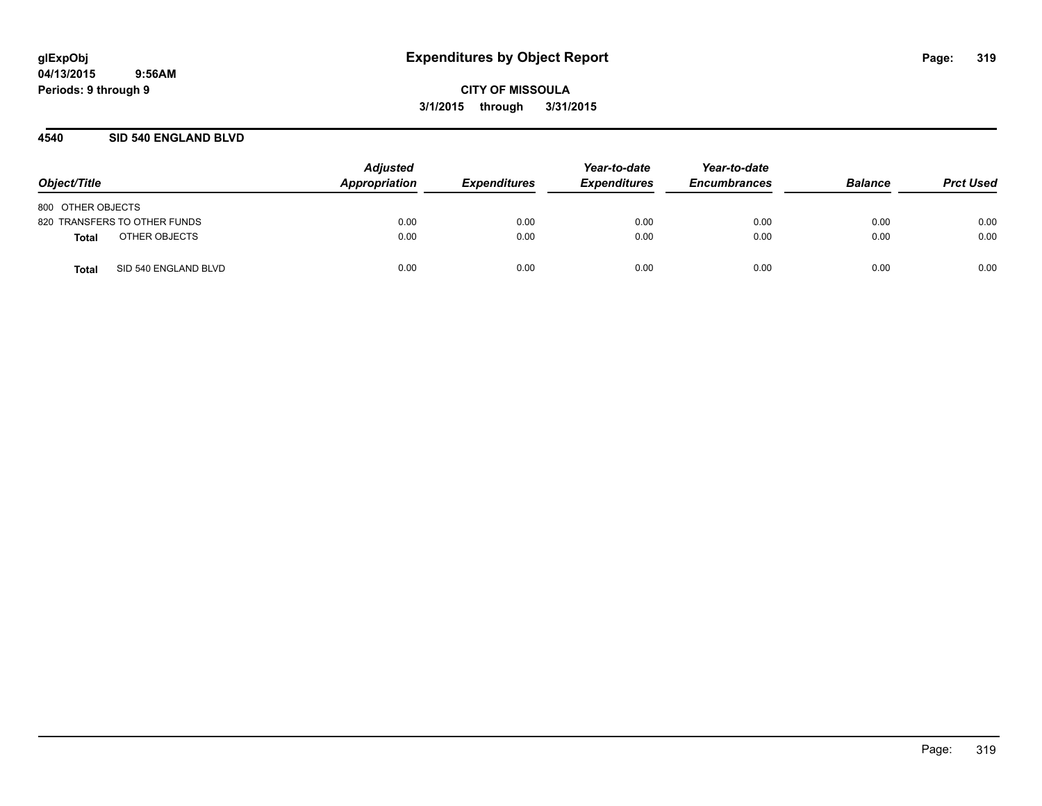# **4540 SID 540 ENGLAND BLVD**

| Object/Title                  | <b>Adjusted</b><br>Appropriation | <b>Expenditures</b> | Year-to-date<br><b>Expenditures</b> | Year-to-date<br><b>Encumbrances</b> | <b>Balance</b> | <b>Prct Used</b> |
|-------------------------------|----------------------------------|---------------------|-------------------------------------|-------------------------------------|----------------|------------------|
| 800 OTHER OBJECTS             |                                  |                     |                                     |                                     |                |                  |
| 820 TRANSFERS TO OTHER FUNDS  | 0.00                             | 0.00                | 0.00                                | 0.00                                | 0.00           | 0.00             |
| OTHER OBJECTS<br><b>Total</b> | 0.00                             | 0.00                | 0.00                                | 0.00                                | 0.00           | 0.00             |
| SID 540 ENGLAND BLVD<br>Total | 0.00                             | 0.00                | 0.00                                | 0.00                                | 0.00           | 0.00             |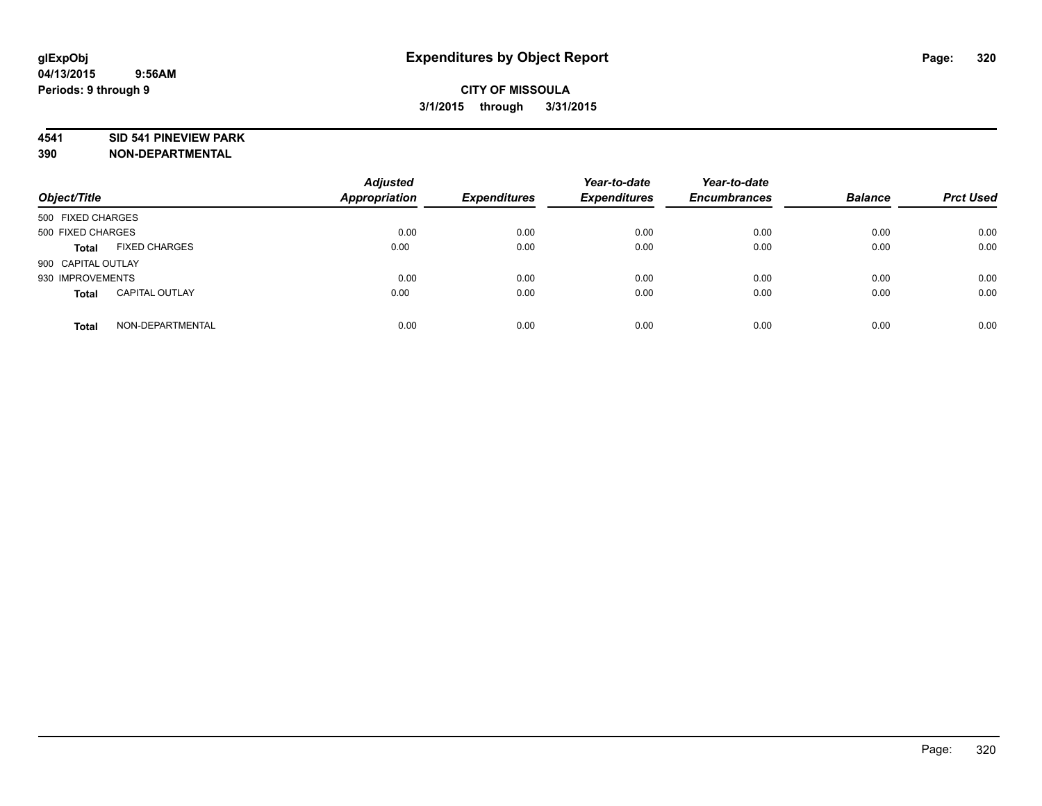## **4541 SID 541 PINEVIEW PARK**

| Object/Title       |                       | <b>Adjusted</b><br><b>Appropriation</b> | <b>Expenditures</b> | Year-to-date<br><b>Expenditures</b> | Year-to-date<br><b>Encumbrances</b> | <b>Balance</b> | <b>Prct Used</b> |
|--------------------|-----------------------|-----------------------------------------|---------------------|-------------------------------------|-------------------------------------|----------------|------------------|
| 500 FIXED CHARGES  |                       |                                         |                     |                                     |                                     |                |                  |
| 500 FIXED CHARGES  |                       | 0.00                                    | 0.00                | 0.00                                | 0.00                                | 0.00           | 0.00             |
| <b>Total</b>       | <b>FIXED CHARGES</b>  | 0.00                                    | 0.00                | 0.00                                | 0.00                                | 0.00           | 0.00             |
| 900 CAPITAL OUTLAY |                       |                                         |                     |                                     |                                     |                |                  |
| 930 IMPROVEMENTS   |                       | 0.00                                    | 0.00                | 0.00                                | 0.00                                | 0.00           | 0.00             |
| <b>Total</b>       | <b>CAPITAL OUTLAY</b> | 0.00                                    | 0.00                | 0.00                                | 0.00                                | 0.00           | 0.00             |
| <b>Total</b>       | NON-DEPARTMENTAL      | 0.00                                    | 0.00                | 0.00                                | 0.00                                | 0.00           | 0.00             |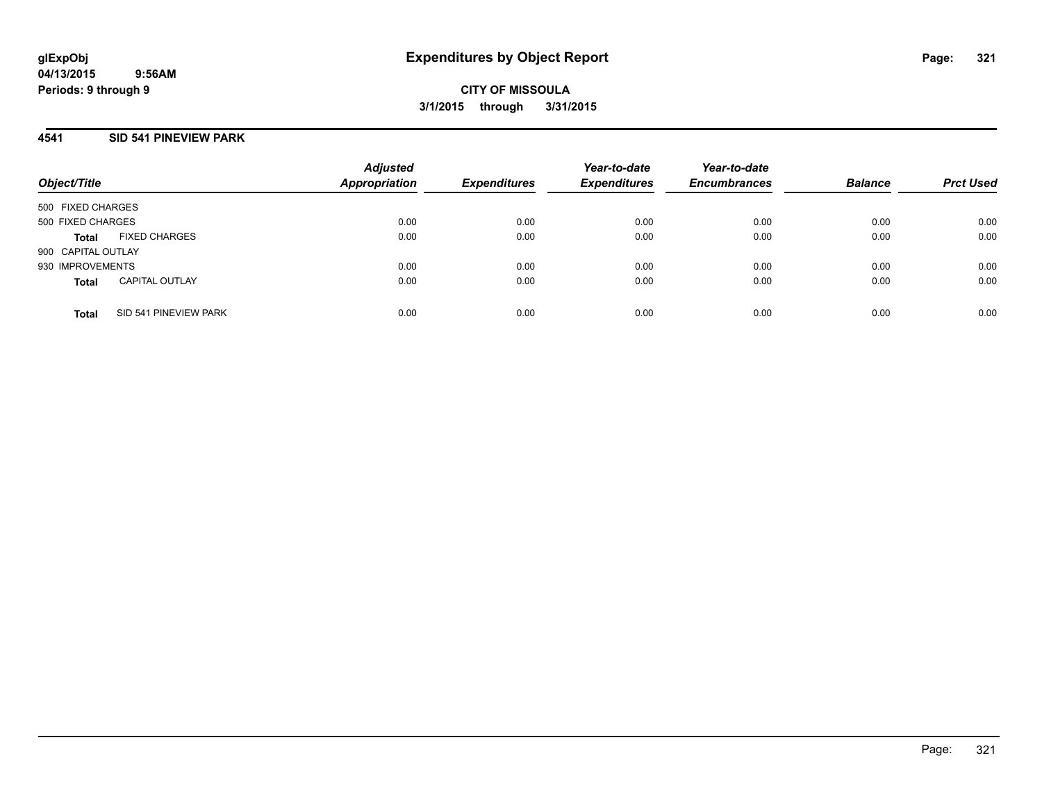**CITY OF MISSOULA 3/1/2015 through 3/31/2015**

# **4541 SID 541 PINEVIEW PARK**

| Object/Title       |                       | <b>Adjusted</b><br><b>Appropriation</b> | <b>Expenditures</b> | Year-to-date<br><b>Expenditures</b> | Year-to-date<br><b>Encumbrances</b> | <b>Balance</b> | <b>Prct Used</b> |
|--------------------|-----------------------|-----------------------------------------|---------------------|-------------------------------------|-------------------------------------|----------------|------------------|
| 500 FIXED CHARGES  |                       |                                         |                     |                                     |                                     |                |                  |
| 500 FIXED CHARGES  |                       | 0.00                                    | 0.00                | 0.00                                | 0.00                                | 0.00           | 0.00             |
| <b>Total</b>       | <b>FIXED CHARGES</b>  | 0.00                                    | 0.00                | 0.00                                | 0.00                                | 0.00           | 0.00             |
| 900 CAPITAL OUTLAY |                       |                                         |                     |                                     |                                     |                |                  |
| 930 IMPROVEMENTS   |                       | 0.00                                    | 0.00                | 0.00                                | 0.00                                | 0.00           | 0.00             |
| <b>Total</b>       | <b>CAPITAL OUTLAY</b> | 0.00                                    | 0.00                | 0.00                                | 0.00                                | 0.00           | 0.00             |
| <b>Total</b>       | SID 541 PINEVIEW PARK | 0.00                                    | 0.00                | 0.00                                | 0.00                                | 0.00           | 0.00             |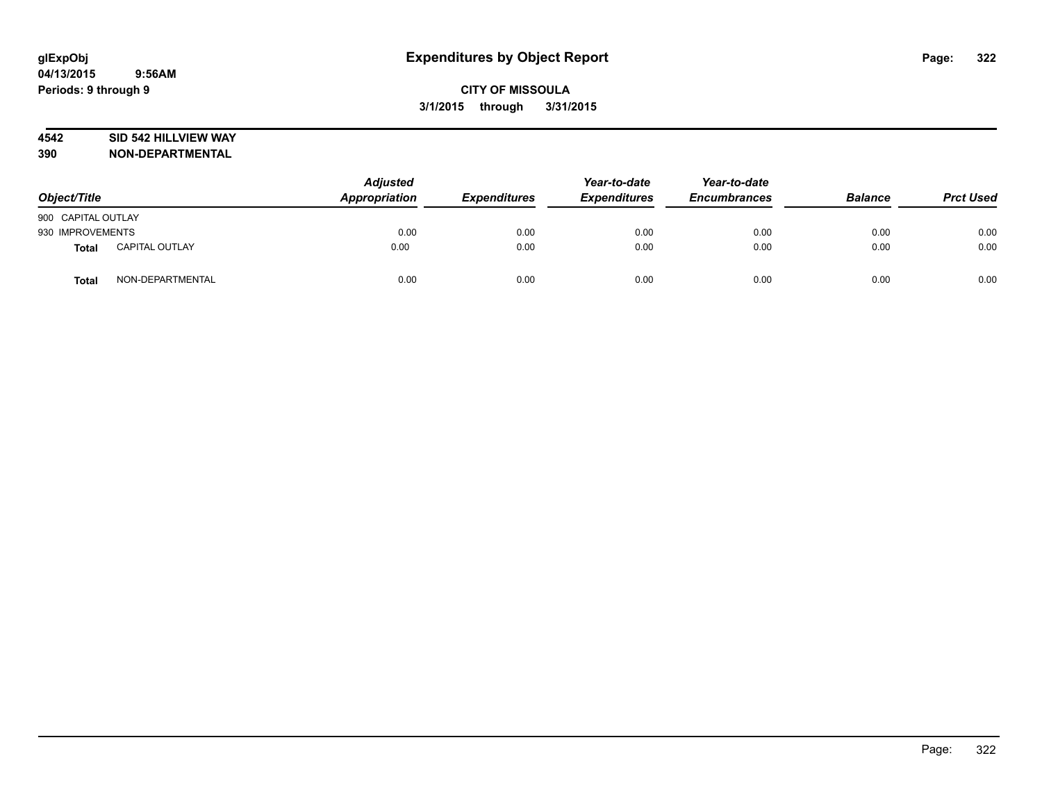# **4542 SID 542 HILLVIEW WAY**

| Object/Title       |                       | <b>Adjusted</b><br>Appropriation | <b>Expenditures</b> | Year-to-date<br><b>Expenditures</b> | Year-to-date<br><b>Encumbrances</b> | <b>Balance</b> | <b>Prct Used</b> |
|--------------------|-----------------------|----------------------------------|---------------------|-------------------------------------|-------------------------------------|----------------|------------------|
| 900 CAPITAL OUTLAY |                       |                                  |                     |                                     |                                     |                |                  |
| 930 IMPROVEMENTS   |                       | 0.00                             | 0.00                | 0.00                                | 0.00                                | 0.00           | 0.00             |
| <b>Total</b>       | <b>CAPITAL OUTLAY</b> | 0.00                             | 0.00                | 0.00                                | 0.00                                | 0.00           | 0.00             |
| <b>Total</b>       | NON-DEPARTMENTAL      | 0.00                             | 0.00                | 0.00                                | 0.00                                | 0.00           | 0.00             |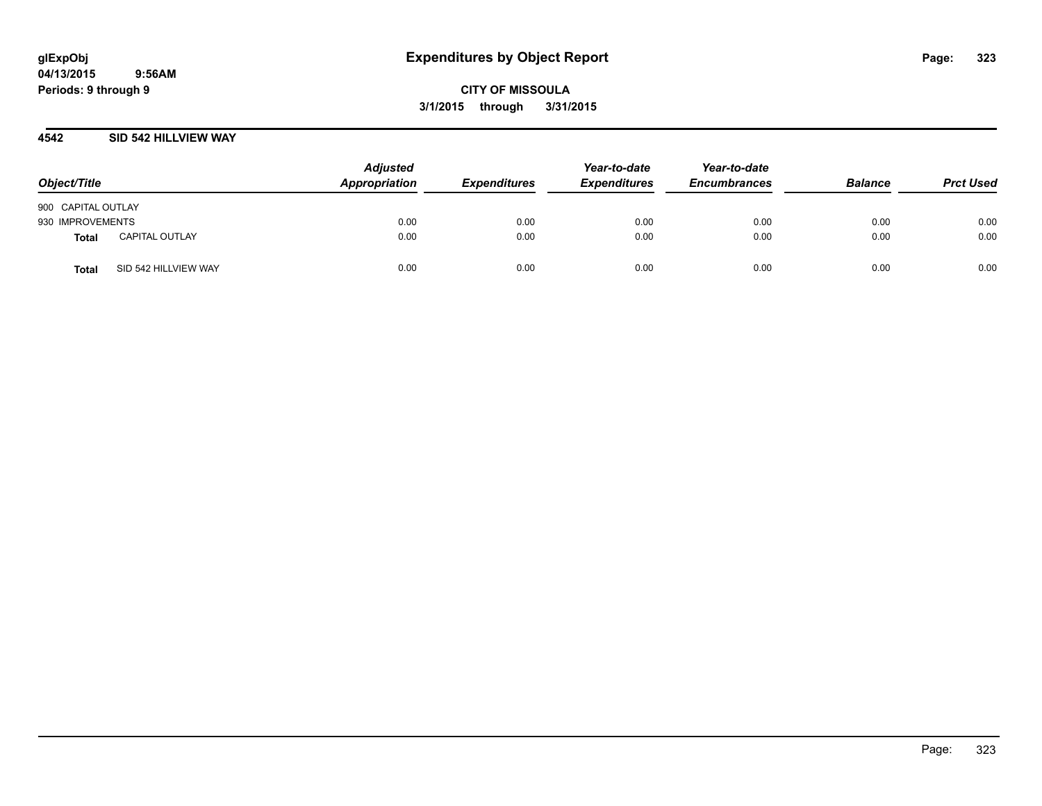## **4542 SID 542 HILLVIEW WAY**

| Object/Title       |                       | <b>Adjusted</b><br>Appropriation | <b>Expenditures</b> | Year-to-date<br><b>Expenditures</b> | Year-to-date<br><b>Encumbrances</b> | <b>Balance</b> | <b>Prct Used</b> |
|--------------------|-----------------------|----------------------------------|---------------------|-------------------------------------|-------------------------------------|----------------|------------------|
| 900 CAPITAL OUTLAY |                       |                                  |                     |                                     |                                     |                |                  |
| 930 IMPROVEMENTS   |                       | 0.00                             | 0.00                | 0.00                                | 0.00                                | 0.00           | 0.00             |
| Total              | <b>CAPITAL OUTLAY</b> | 0.00                             | 0.00                | 0.00                                | 0.00                                | 0.00           | 0.00             |
| <b>Total</b>       | SID 542 HILLVIEW WAY  | 0.00                             | 0.00                | 0.00                                | 0.00                                | 0.00           | 0.00             |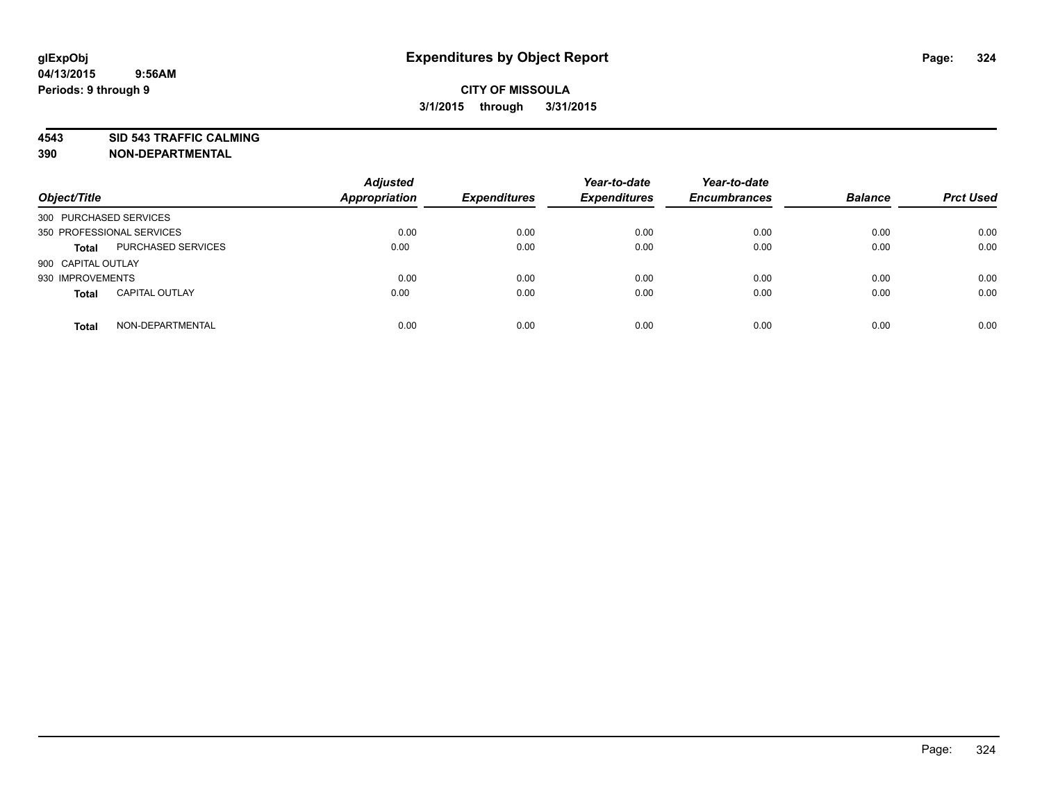**4543 SID 543 TRAFFIC CALMING**

| Object/Title              |                           | <b>Adjusted</b><br><b>Appropriation</b> | <b>Expenditures</b> | Year-to-date<br><b>Expenditures</b> | Year-to-date<br><b>Encumbrances</b> | <b>Balance</b> | <b>Prct Used</b> |
|---------------------------|---------------------------|-----------------------------------------|---------------------|-------------------------------------|-------------------------------------|----------------|------------------|
| 300 PURCHASED SERVICES    |                           |                                         |                     |                                     |                                     |                |                  |
| 350 PROFESSIONAL SERVICES |                           | 0.00                                    | 0.00                | 0.00                                | 0.00                                | 0.00           | 0.00             |
| <b>Total</b>              | <b>PURCHASED SERVICES</b> | 0.00                                    | 0.00                | 0.00                                | 0.00                                | 0.00           | 0.00             |
| 900 CAPITAL OUTLAY        |                           |                                         |                     |                                     |                                     |                |                  |
| 930 IMPROVEMENTS          |                           | 0.00                                    | 0.00                | 0.00                                | 0.00                                | 0.00           | 0.00             |
| <b>Total</b>              | <b>CAPITAL OUTLAY</b>     | 0.00                                    | 0.00                | 0.00                                | 0.00                                | 0.00           | 0.00             |
| <b>Total</b>              | NON-DEPARTMENTAL          | 0.00                                    | 0.00                | 0.00                                | 0.00                                | 0.00           | 0.00             |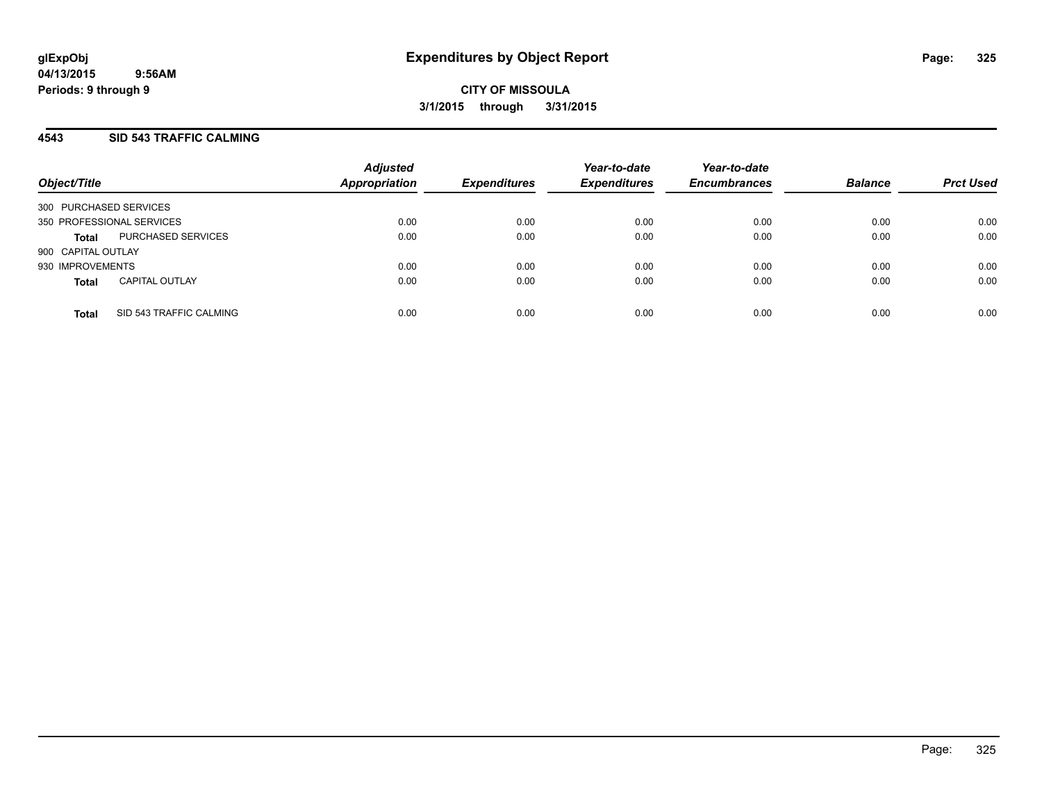## **4543 SID 543 TRAFFIC CALMING**

| Object/Title           |                           | <b>Adjusted</b><br><b>Appropriation</b> | <b>Expenditures</b> | Year-to-date<br><b>Expenditures</b> | Year-to-date<br><b>Encumbrances</b> | <b>Balance</b> | <b>Prct Used</b> |
|------------------------|---------------------------|-----------------------------------------|---------------------|-------------------------------------|-------------------------------------|----------------|------------------|
| 300 PURCHASED SERVICES |                           |                                         |                     |                                     |                                     |                |                  |
|                        | 350 PROFESSIONAL SERVICES | 0.00                                    | 0.00                | 0.00                                | 0.00                                | 0.00           | 0.00             |
| <b>Total</b>           | PURCHASED SERVICES        | 0.00                                    | 0.00                | 0.00                                | 0.00                                | 0.00           | 0.00             |
| 900 CAPITAL OUTLAY     |                           |                                         |                     |                                     |                                     |                |                  |
| 930 IMPROVEMENTS       |                           | 0.00                                    | 0.00                | 0.00                                | 0.00                                | 0.00           | 0.00             |
| <b>Total</b>           | <b>CAPITAL OUTLAY</b>     | 0.00                                    | 0.00                | 0.00                                | 0.00                                | 0.00           | 0.00             |
| <b>Total</b>           | SID 543 TRAFFIC CALMING   | 0.00                                    | 0.00                | 0.00                                | 0.00                                | 0.00           | 0.00             |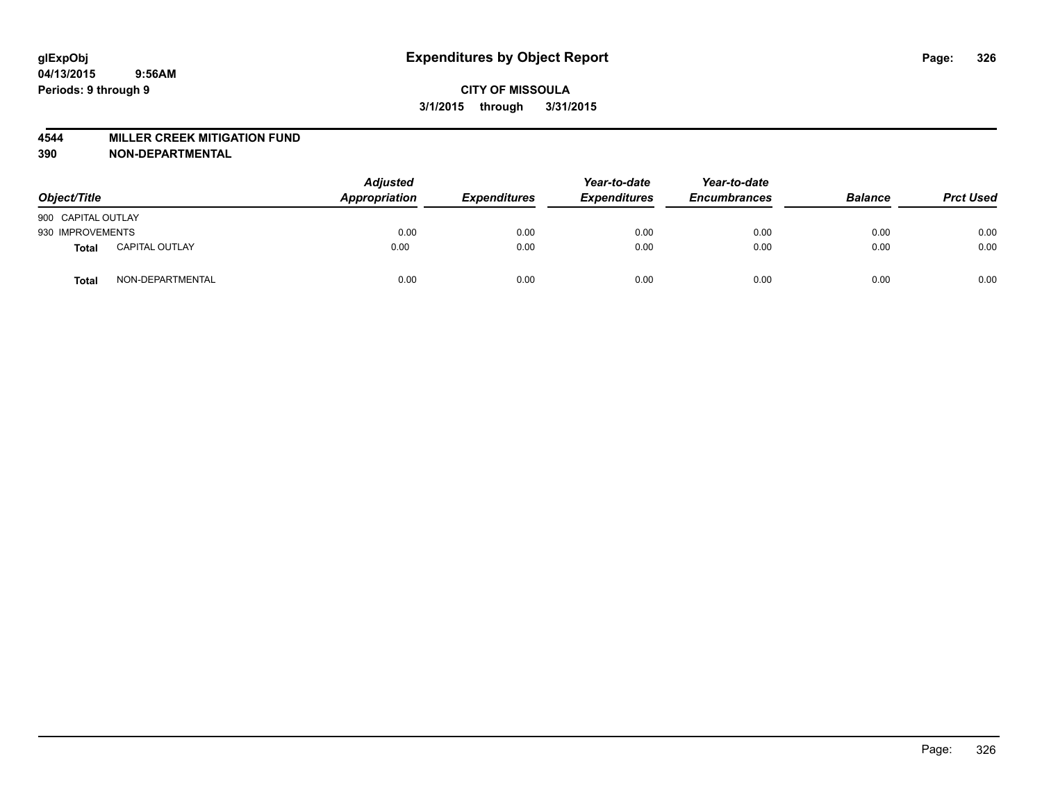#### **4544 MILLER CREEK MITIGATION FUND**

| Object/Title       |                       | <b>Adjusted</b><br>Appropriation | <b>Expenditures</b> | Year-to-date<br><b>Expenditures</b> | Year-to-date<br><b>Encumbrances</b> | <b>Balance</b> | <b>Prct Used</b> |
|--------------------|-----------------------|----------------------------------|---------------------|-------------------------------------|-------------------------------------|----------------|------------------|
| 900 CAPITAL OUTLAY |                       |                                  |                     |                                     |                                     |                |                  |
| 930 IMPROVEMENTS   |                       | 0.00                             | 0.00                | 0.00                                | 0.00                                | 0.00           | 0.00             |
| <b>Total</b>       | <b>CAPITAL OUTLAY</b> | 0.00                             | 0.00                | 0.00                                | 0.00                                | 0.00           | 0.00             |
| Total              | NON-DEPARTMENTAL      | 0.00                             | 0.00                | 0.00                                | 0.00                                | 0.00           | 0.00             |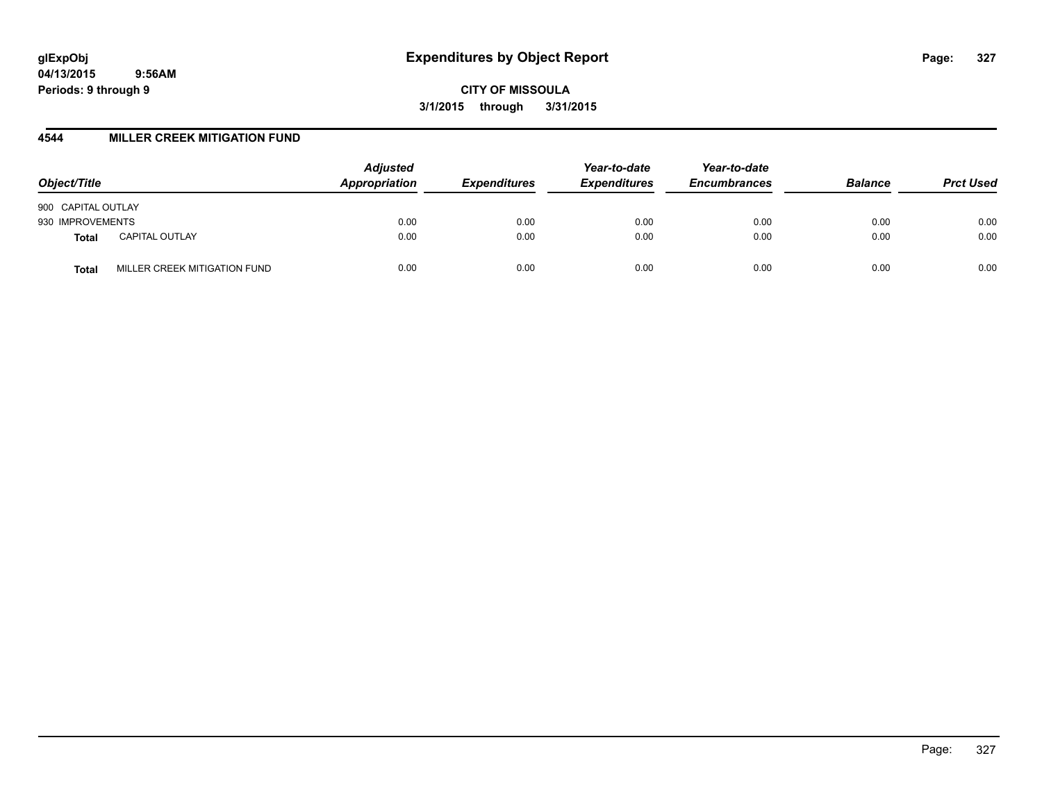**CITY OF MISSOULA 3/1/2015 through 3/31/2015**

## **4544 MILLER CREEK MITIGATION FUND**

| Object/Title                          | <b>Adjusted</b><br>Appropriation | <b>Expenditures</b> | Year-to-date<br><b>Expenditures</b> | Year-to-date<br><b>Encumbrances</b> | <b>Balance</b> | <b>Prct Used</b> |
|---------------------------------------|----------------------------------|---------------------|-------------------------------------|-------------------------------------|----------------|------------------|
| 900 CAPITAL OUTLAY                    |                                  |                     |                                     |                                     |                |                  |
| 930 IMPROVEMENTS                      | 0.00                             | 0.00                | 0.00                                | 0.00                                | 0.00           | 0.00             |
| <b>CAPITAL OUTLAY</b><br><b>Total</b> | 0.00                             | 0.00                | 0.00                                | 0.00                                | 0.00           | 0.00             |
| MILLER CREEK MITIGATION FUND<br>Total | 0.00                             | 0.00                | 0.00                                | 0.00                                | 0.00           | 0.00             |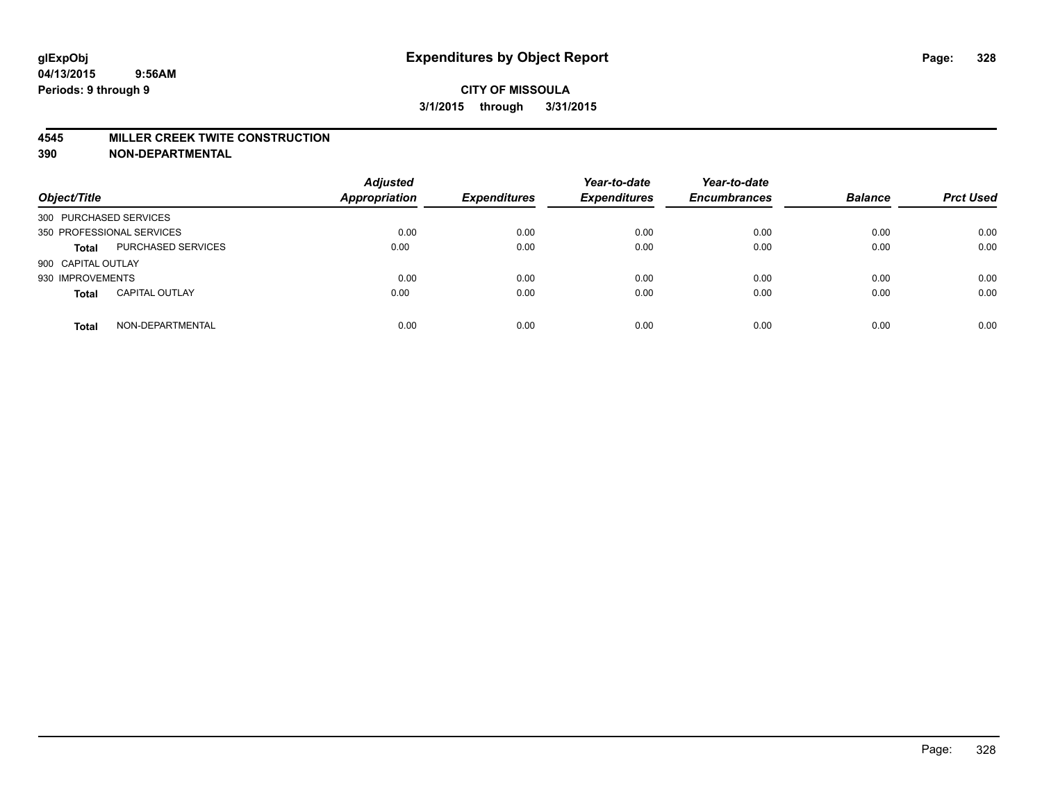#### **4545 MILLER CREEK TWITE CONSTRUCTION**

| Object/Title           |                           | <b>Adjusted</b><br><b>Appropriation</b> | <b>Expenditures</b> | Year-to-date<br><b>Expenditures</b> | Year-to-date<br><b>Encumbrances</b> | <b>Balance</b> | <b>Prct Used</b> |
|------------------------|---------------------------|-----------------------------------------|---------------------|-------------------------------------|-------------------------------------|----------------|------------------|
| 300 PURCHASED SERVICES |                           |                                         |                     |                                     |                                     |                |                  |
|                        | 350 PROFESSIONAL SERVICES | 0.00                                    | 0.00                | 0.00                                | 0.00                                | 0.00           | 0.00             |
| <b>Total</b>           | PURCHASED SERVICES        | 0.00                                    | 0.00                | 0.00                                | 0.00                                | 0.00           | 0.00             |
| 900 CAPITAL OUTLAY     |                           |                                         |                     |                                     |                                     |                |                  |
| 930 IMPROVEMENTS       |                           | 0.00                                    | 0.00                | 0.00                                | 0.00                                | 0.00           | 0.00             |
| <b>Total</b>           | <b>CAPITAL OUTLAY</b>     | 0.00                                    | 0.00                | 0.00                                | 0.00                                | 0.00           | 0.00             |
| <b>Total</b>           | NON-DEPARTMENTAL          | 0.00                                    | 0.00                | 0.00                                | 0.00                                | 0.00           | 0.00             |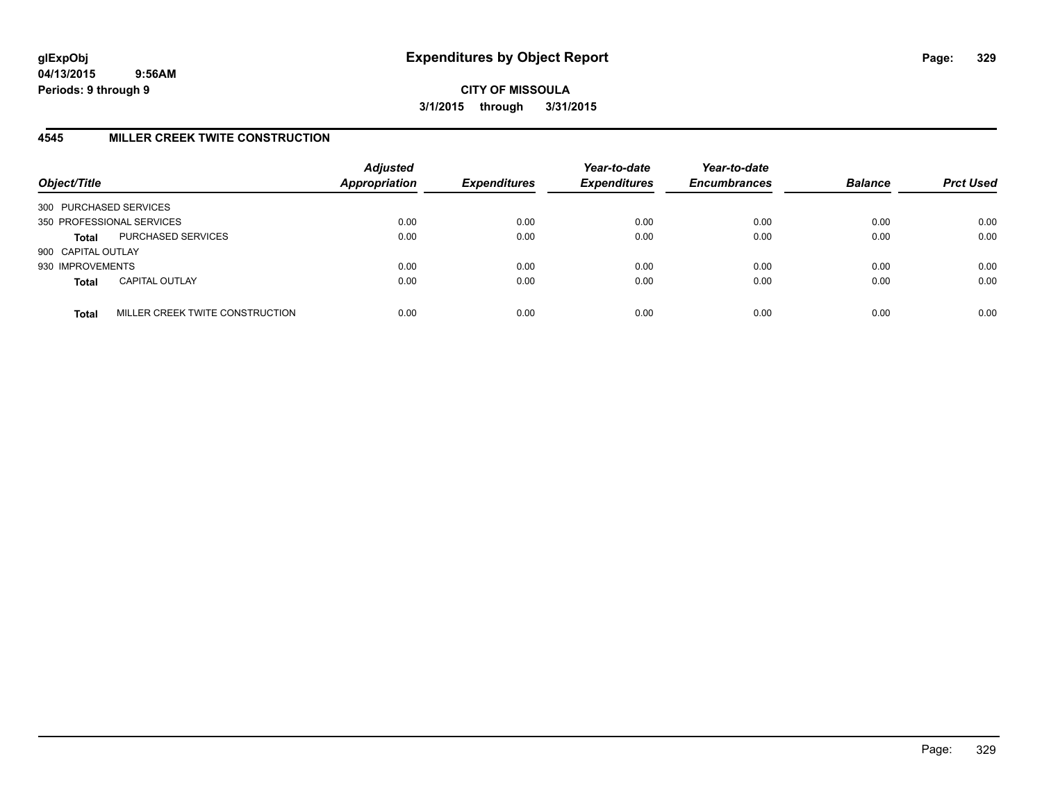**CITY OF MISSOULA 3/1/2015 through 3/31/2015**

## **4545 MILLER CREEK TWITE CONSTRUCTION**

| Object/Title           |                                 | <b>Adjusted</b><br><b>Appropriation</b> | <b>Expenditures</b> | Year-to-date<br><b>Expenditures</b> | Year-to-date<br><b>Encumbrances</b> | <b>Balance</b> | <b>Prct Used</b> |
|------------------------|---------------------------------|-----------------------------------------|---------------------|-------------------------------------|-------------------------------------|----------------|------------------|
| 300 PURCHASED SERVICES |                                 |                                         |                     |                                     |                                     |                |                  |
|                        | 350 PROFESSIONAL SERVICES       | 0.00                                    | 0.00                | 0.00                                | 0.00                                | 0.00           | 0.00             |
| <b>Total</b>           | PURCHASED SERVICES              | 0.00                                    | 0.00                | 0.00                                | 0.00                                | 0.00           | 0.00             |
| 900 CAPITAL OUTLAY     |                                 |                                         |                     |                                     |                                     |                |                  |
| 930 IMPROVEMENTS       |                                 | 0.00                                    | 0.00                | 0.00                                | 0.00                                | 0.00           | 0.00             |
| <b>Total</b>           | <b>CAPITAL OUTLAY</b>           | 0.00                                    | 0.00                | 0.00                                | 0.00                                | 0.00           | 0.00             |
| <b>Total</b>           | MILLER CREEK TWITE CONSTRUCTION | 0.00                                    | 0.00                | 0.00                                | 0.00                                | 0.00           | 0.00             |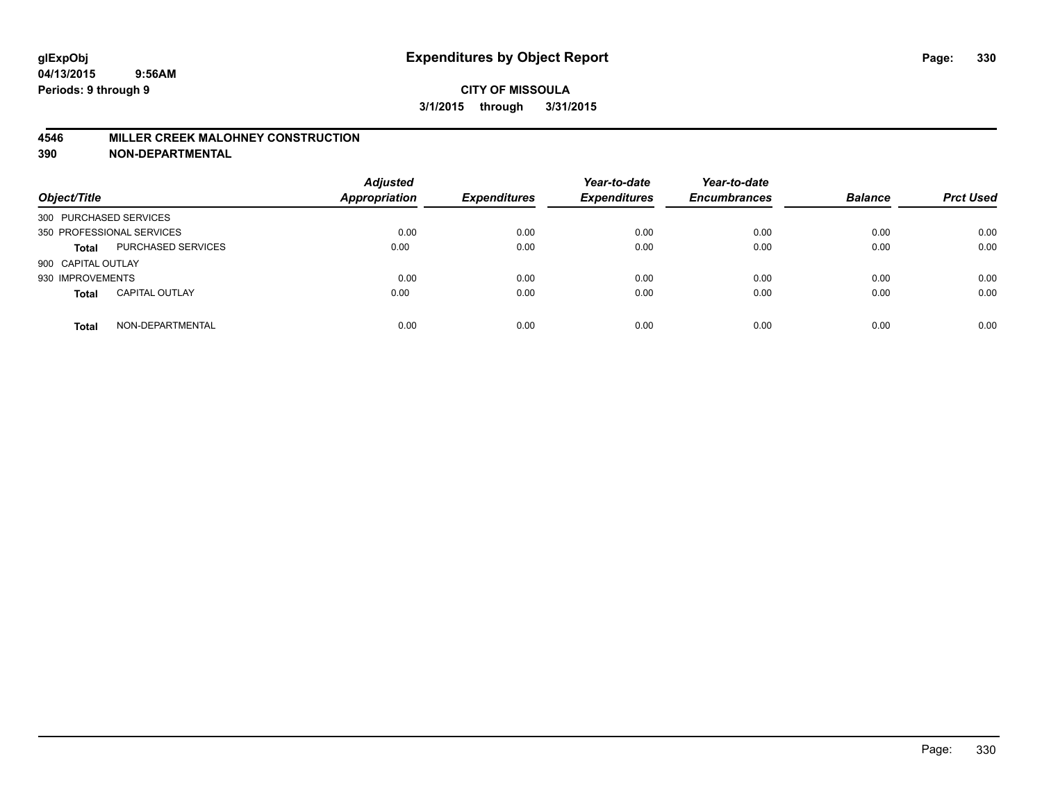#### **4546 MILLER CREEK MALOHNEY CONSTRUCTION**

| Object/Title              |                       | <b>Adjusted</b><br>Appropriation | <b>Expenditures</b> | Year-to-date<br><b>Expenditures</b> | Year-to-date<br><b>Encumbrances</b> | <b>Balance</b> | <b>Prct Used</b> |
|---------------------------|-----------------------|----------------------------------|---------------------|-------------------------------------|-------------------------------------|----------------|------------------|
| 300 PURCHASED SERVICES    |                       |                                  |                     |                                     |                                     |                |                  |
| 350 PROFESSIONAL SERVICES |                       | 0.00                             | 0.00                | 0.00                                | 0.00                                | 0.00           | 0.00             |
| <b>Total</b>              | PURCHASED SERVICES    | 0.00                             | 0.00                | 0.00                                | 0.00                                | 0.00           | 0.00             |
| 900 CAPITAL OUTLAY        |                       |                                  |                     |                                     |                                     |                |                  |
| 930 IMPROVEMENTS          |                       | 0.00                             | 0.00                | 0.00                                | 0.00                                | 0.00           | 0.00             |
| <b>Total</b>              | <b>CAPITAL OUTLAY</b> | 0.00                             | 0.00                | 0.00                                | 0.00                                | 0.00           | 0.00             |
| <b>Total</b>              | NON-DEPARTMENTAL      | 0.00                             | 0.00                | 0.00                                | 0.00                                | 0.00           | 0.00             |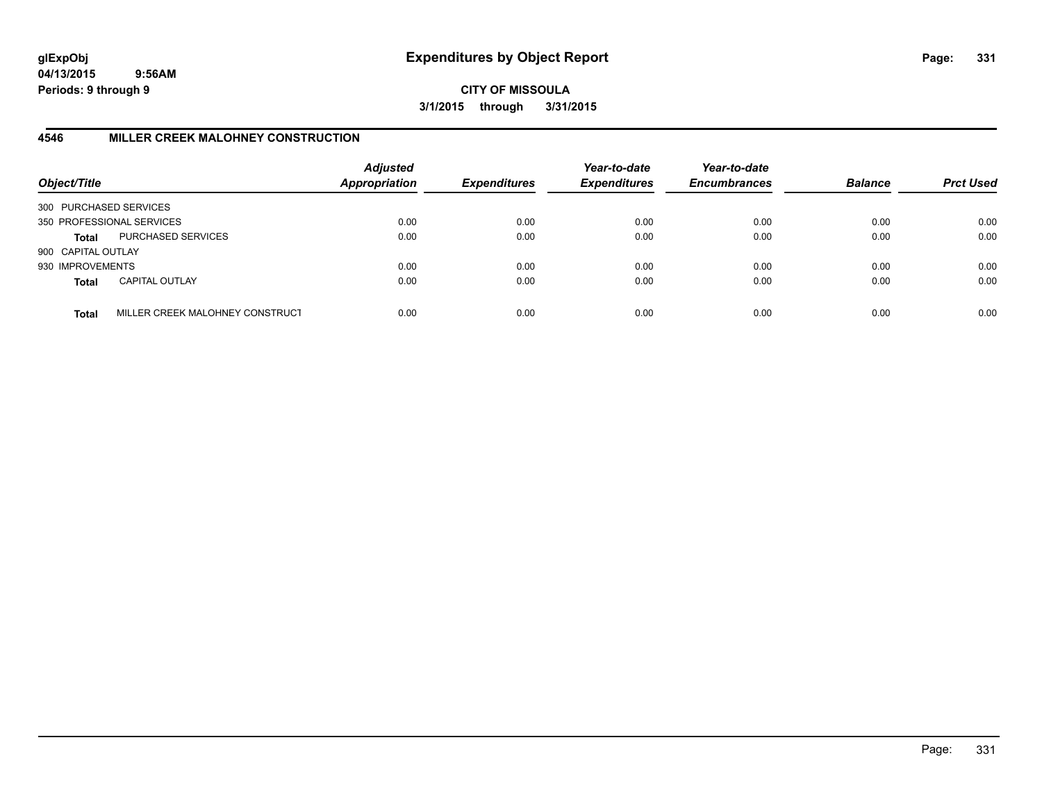## **CITY OF MISSOULA 3/1/2015 through 3/31/2015**

# **4546 MILLER CREEK MALOHNEY CONSTRUCTION**

| Object/Title           |                                 | <b>Adjusted</b><br><b>Appropriation</b> | <b>Expenditures</b> | Year-to-date<br><b>Expenditures</b> | Year-to-date<br><b>Encumbrances</b> | <b>Balance</b> | <b>Prct Used</b> |
|------------------------|---------------------------------|-----------------------------------------|---------------------|-------------------------------------|-------------------------------------|----------------|------------------|
| 300 PURCHASED SERVICES |                                 |                                         |                     |                                     |                                     |                |                  |
|                        | 350 PROFESSIONAL SERVICES       | 0.00                                    | 0.00                | 0.00                                | 0.00                                | 0.00           | 0.00             |
| Total                  | PURCHASED SERVICES              | 0.00                                    | 0.00                | 0.00                                | 0.00                                | 0.00           | 0.00             |
| 900 CAPITAL OUTLAY     |                                 |                                         |                     |                                     |                                     |                |                  |
| 930 IMPROVEMENTS       |                                 | 0.00                                    | 0.00                | 0.00                                | 0.00                                | 0.00           | 0.00             |
| <b>Total</b>           | <b>CAPITAL OUTLAY</b>           | 0.00                                    | 0.00                | 0.00                                | 0.00                                | 0.00           | 0.00             |
| <b>Total</b>           | MILLER CREEK MALOHNEY CONSTRUCT | 0.00                                    | 0.00                | 0.00                                | 0.00                                | 0.00           | 0.00             |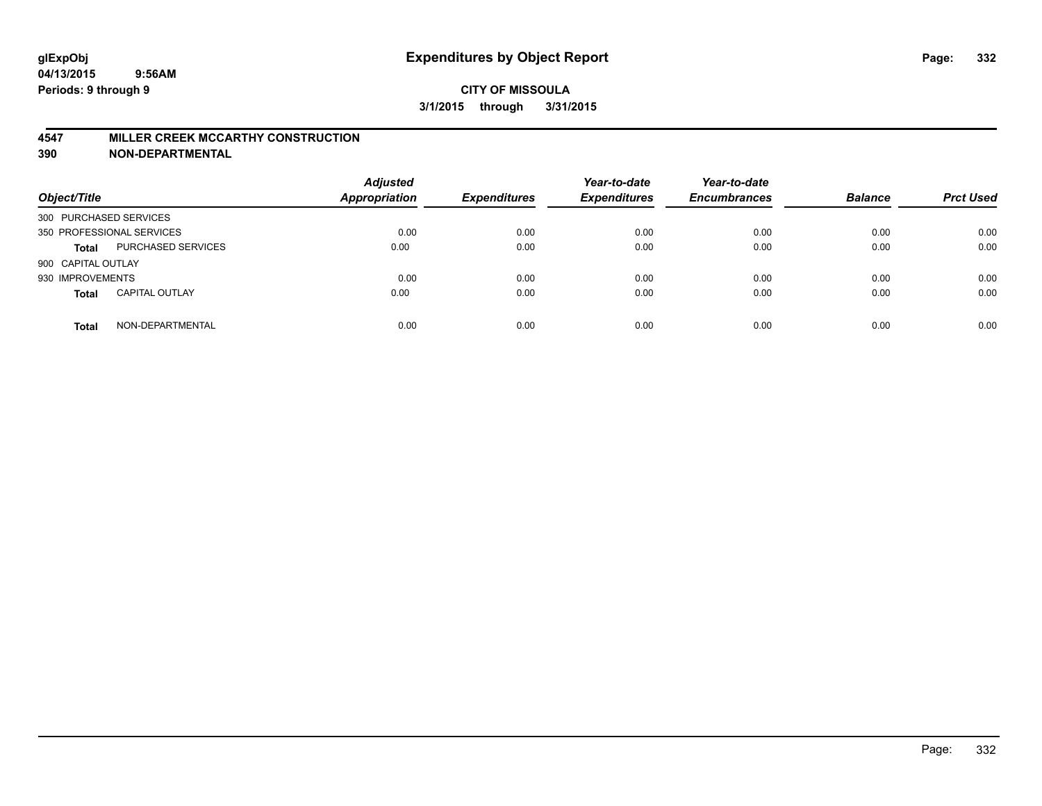#### **4547 MILLER CREEK MCCARTHY CONSTRUCTION**

| Object/Title           |                           | <b>Adjusted</b><br><b>Appropriation</b> | <b>Expenditures</b> | Year-to-date<br><b>Expenditures</b> | Year-to-date<br><b>Encumbrances</b> | <b>Balance</b> | <b>Prct Used</b> |
|------------------------|---------------------------|-----------------------------------------|---------------------|-------------------------------------|-------------------------------------|----------------|------------------|
| 300 PURCHASED SERVICES |                           |                                         |                     |                                     |                                     |                |                  |
|                        | 350 PROFESSIONAL SERVICES | 0.00                                    | 0.00                | 0.00                                | 0.00                                | 0.00           | 0.00             |
| <b>Total</b>           | <b>PURCHASED SERVICES</b> | 0.00                                    | 0.00                | 0.00                                | 0.00                                | 0.00           | 0.00             |
| 900 CAPITAL OUTLAY     |                           |                                         |                     |                                     |                                     |                |                  |
| 930 IMPROVEMENTS       |                           | 0.00                                    | 0.00                | 0.00                                | 0.00                                | 0.00           | 0.00             |
| <b>Total</b>           | <b>CAPITAL OUTLAY</b>     | 0.00                                    | 0.00                | 0.00                                | 0.00                                | 0.00           | 0.00             |
| <b>Total</b>           | NON-DEPARTMENTAL          | 0.00                                    | 0.00                | 0.00                                | 0.00                                | 0.00           | 0.00             |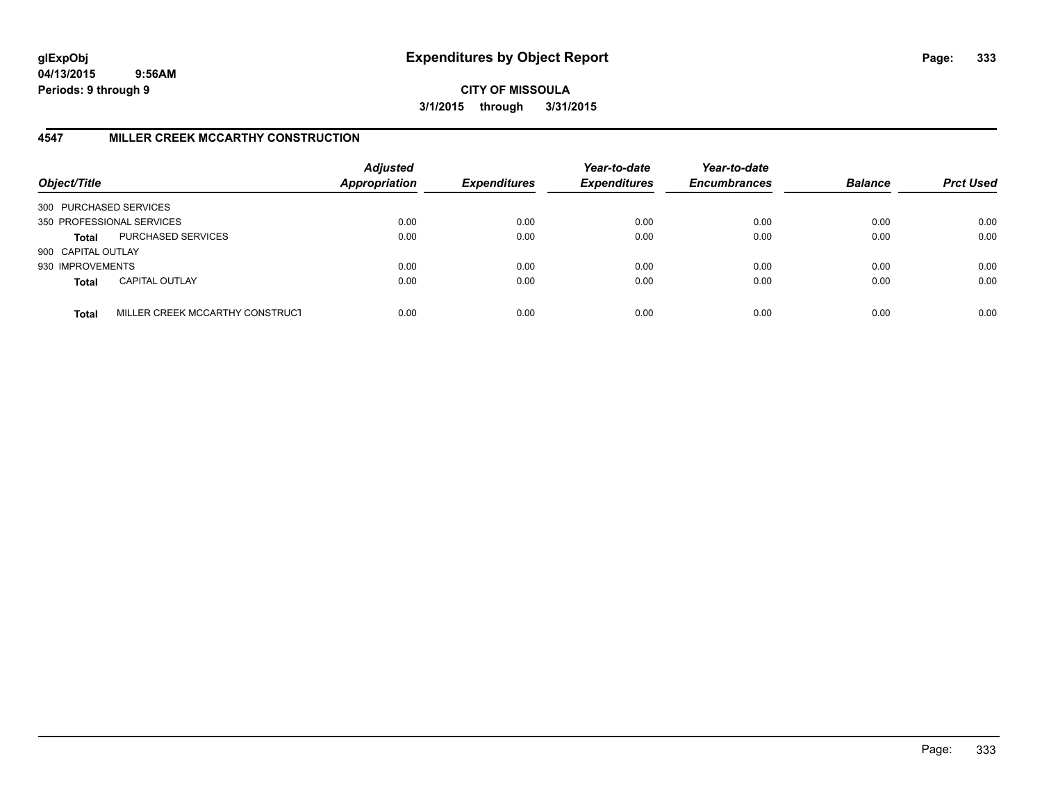**CITY OF MISSOULA 3/1/2015 through 3/31/2015**

# **4547 MILLER CREEK MCCARTHY CONSTRUCTION**

| Object/Title           |                                 | <b>Adjusted</b><br>Appropriation | <b>Expenditures</b> | Year-to-date<br><b>Expenditures</b> | Year-to-date<br><b>Encumbrances</b> | <b>Balance</b> | <b>Prct Used</b> |
|------------------------|---------------------------------|----------------------------------|---------------------|-------------------------------------|-------------------------------------|----------------|------------------|
| 300 PURCHASED SERVICES |                                 |                                  |                     |                                     |                                     |                |                  |
|                        | 350 PROFESSIONAL SERVICES       | 0.00                             | 0.00                | 0.00                                | 0.00                                | 0.00           | 0.00             |
| <b>Total</b>           | PURCHASED SERVICES              | 0.00                             | 0.00                | 0.00                                | 0.00                                | 0.00           | 0.00             |
| 900 CAPITAL OUTLAY     |                                 |                                  |                     |                                     |                                     |                |                  |
| 930 IMPROVEMENTS       |                                 | 0.00                             | 0.00                | 0.00                                | 0.00                                | 0.00           | 0.00             |
| <b>Total</b>           | <b>CAPITAL OUTLAY</b>           | 0.00                             | 0.00                | 0.00                                | 0.00                                | 0.00           | 0.00             |
| <b>Total</b>           | MILLER CREEK MCCARTHY CONSTRUCT | 0.00                             | 0.00                | 0.00                                | 0.00                                | 0.00           | 0.00             |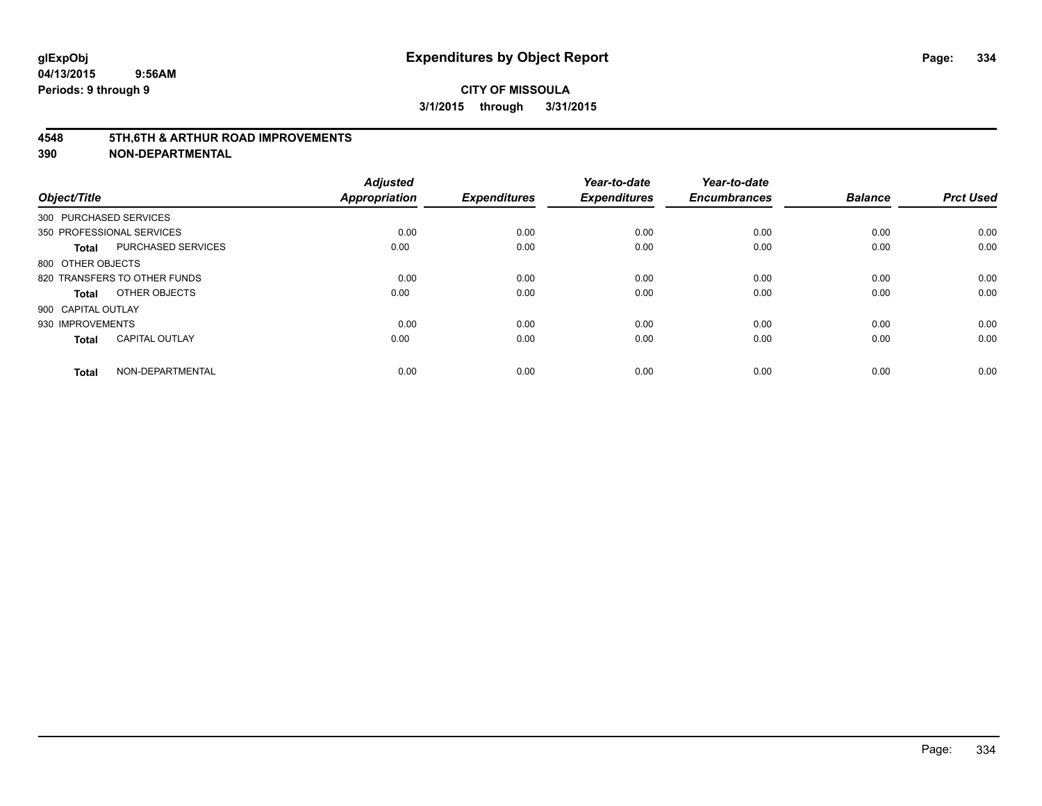#### **4548 5TH,6TH & ARTHUR ROAD IMPROVEMENTS**

| Object/Title                 |                           | <b>Adjusted</b><br><b>Appropriation</b> | <b>Expenditures</b> | Year-to-date<br><b>Expenditures</b> | Year-to-date<br><b>Encumbrances</b> | <b>Balance</b> | <b>Prct Used</b> |
|------------------------------|---------------------------|-----------------------------------------|---------------------|-------------------------------------|-------------------------------------|----------------|------------------|
| 300 PURCHASED SERVICES       |                           |                                         |                     |                                     |                                     |                |                  |
| 350 PROFESSIONAL SERVICES    |                           | 0.00                                    | 0.00                | 0.00                                | 0.00                                | 0.00           | 0.00             |
| <b>Total</b>                 | <b>PURCHASED SERVICES</b> | 0.00                                    | 0.00                | 0.00                                | 0.00                                | 0.00           | 0.00             |
| 800 OTHER OBJECTS            |                           |                                         |                     |                                     |                                     |                |                  |
| 820 TRANSFERS TO OTHER FUNDS |                           | 0.00                                    | 0.00                | 0.00                                | 0.00                                | 0.00           | 0.00             |
| <b>Total</b>                 | OTHER OBJECTS             | 0.00                                    | 0.00                | 0.00                                | 0.00                                | 0.00           | 0.00             |
| 900 CAPITAL OUTLAY           |                           |                                         |                     |                                     |                                     |                |                  |
| 930 IMPROVEMENTS             |                           | 0.00                                    | 0.00                | 0.00                                | 0.00                                | 0.00           | 0.00             |
| <b>Total</b>                 | <b>CAPITAL OUTLAY</b>     | 0.00                                    | 0.00                | 0.00                                | 0.00                                | 0.00           | 0.00             |
| <b>Total</b>                 | NON-DEPARTMENTAL          | 0.00                                    | 0.00                | 0.00                                | 0.00                                | 0.00           | 0.00             |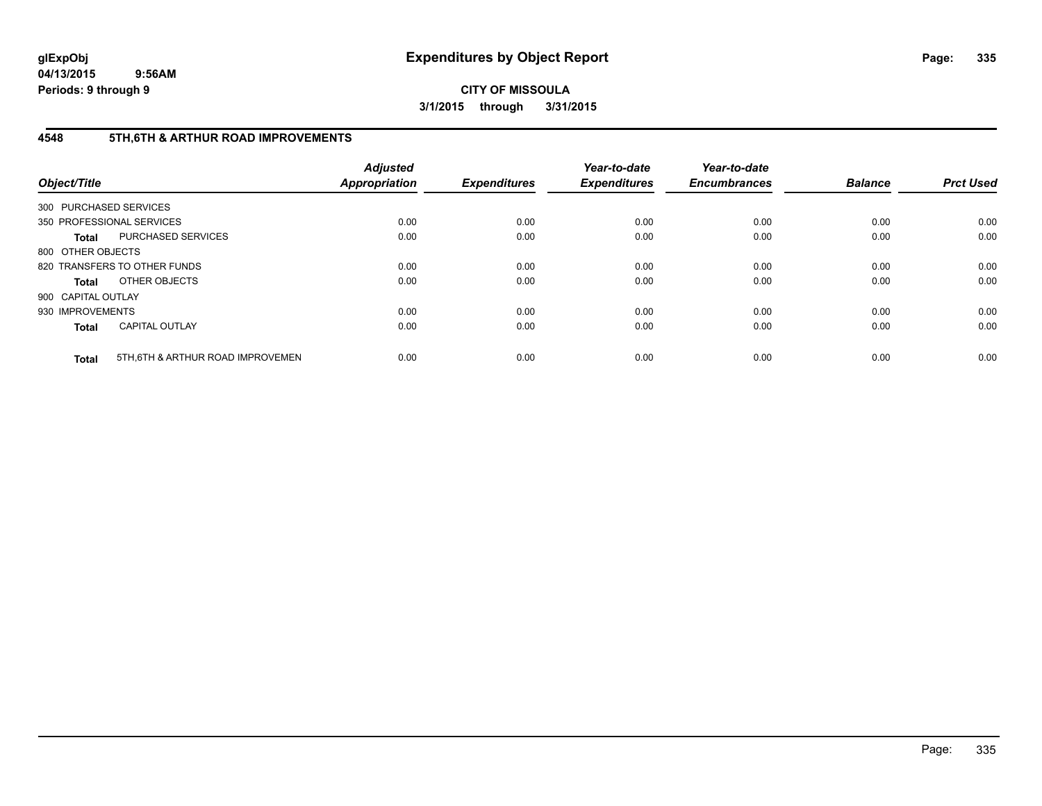**CITY OF MISSOULA 3/1/2015 through 3/31/2015**

# **4548 5TH,6TH & ARTHUR ROAD IMPROVEMENTS**

| Object/Title           |                                  | <b>Adjusted</b><br>Appropriation | <b>Expenditures</b> | Year-to-date<br><b>Expenditures</b> | Year-to-date<br><b>Encumbrances</b> | <b>Balance</b> | <b>Prct Used</b> |
|------------------------|----------------------------------|----------------------------------|---------------------|-------------------------------------|-------------------------------------|----------------|------------------|
| 300 PURCHASED SERVICES |                                  |                                  |                     |                                     |                                     |                |                  |
|                        | 350 PROFESSIONAL SERVICES        | 0.00                             | 0.00                | 0.00                                | 0.00                                | 0.00           | 0.00             |
| <b>Total</b>           | PURCHASED SERVICES               | 0.00                             | 0.00                | 0.00                                | 0.00                                | 0.00           | 0.00             |
| 800 OTHER OBJECTS      |                                  |                                  |                     |                                     |                                     |                |                  |
|                        | 820 TRANSFERS TO OTHER FUNDS     | 0.00                             | 0.00                | 0.00                                | 0.00                                | 0.00           | 0.00             |
| <b>Total</b>           | OTHER OBJECTS                    | 0.00                             | 0.00                | 0.00                                | 0.00                                | 0.00           | 0.00             |
| 900 CAPITAL OUTLAY     |                                  |                                  |                     |                                     |                                     |                |                  |
| 930 IMPROVEMENTS       |                                  | 0.00                             | 0.00                | 0.00                                | 0.00                                | 0.00           | 0.00             |
| <b>Total</b>           | <b>CAPITAL OUTLAY</b>            | 0.00                             | 0.00                | 0.00                                | 0.00                                | 0.00           | 0.00             |
| <b>Total</b>           | 5TH.6TH & ARTHUR ROAD IMPROVEMEN | 0.00                             | 0.00                | 0.00                                | 0.00                                | 0.00           | 0.00             |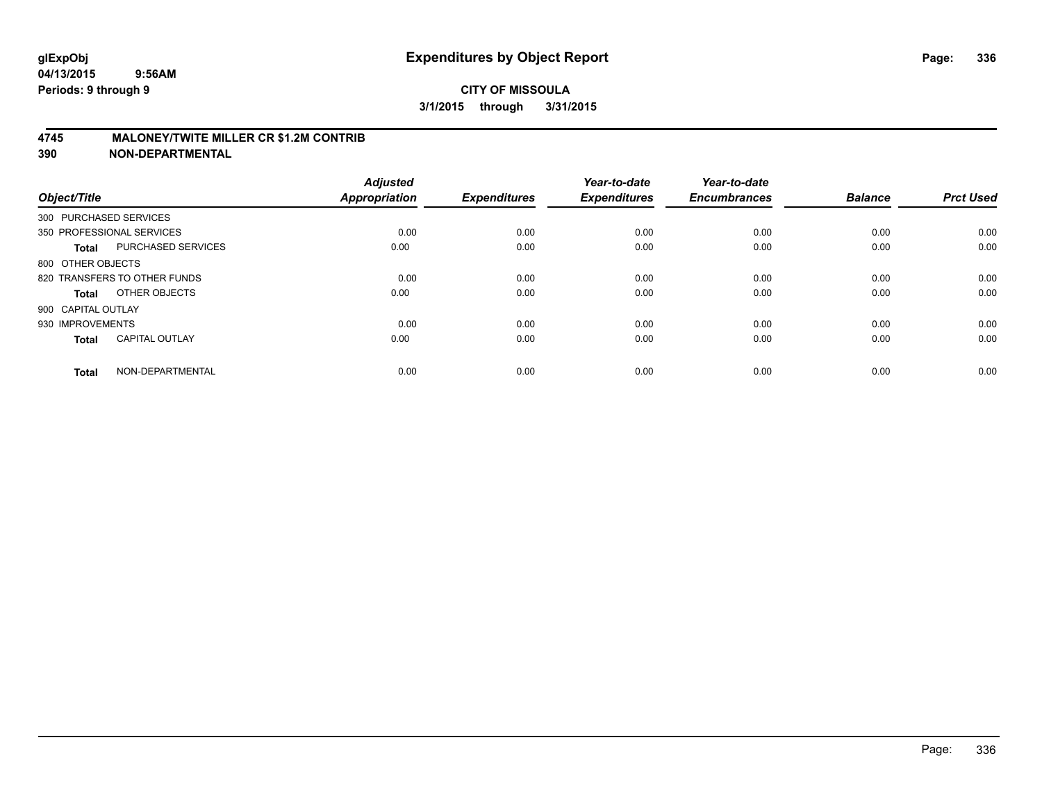## **4745 MALONEY/TWITE MILLER CR \$1.2M CONTRIB**

| Object/Title           |                              | <b>Adjusted</b><br><b>Appropriation</b> | <b>Expenditures</b> | Year-to-date<br><b>Expenditures</b> | Year-to-date<br><b>Encumbrances</b> | <b>Balance</b> | <b>Prct Used</b> |
|------------------------|------------------------------|-----------------------------------------|---------------------|-------------------------------------|-------------------------------------|----------------|------------------|
| 300 PURCHASED SERVICES |                              |                                         |                     |                                     |                                     |                |                  |
|                        | 350 PROFESSIONAL SERVICES    | 0.00                                    | 0.00                | 0.00                                | 0.00                                | 0.00           | 0.00             |
| <b>Total</b>           | <b>PURCHASED SERVICES</b>    | 0.00                                    | 0.00                | 0.00                                | 0.00                                | 0.00           | 0.00             |
| 800 OTHER OBJECTS      |                              |                                         |                     |                                     |                                     |                |                  |
|                        | 820 TRANSFERS TO OTHER FUNDS | 0.00                                    | 0.00                | 0.00                                | 0.00                                | 0.00           | 0.00             |
| Total                  | OTHER OBJECTS                | 0.00                                    | 0.00                | 0.00                                | 0.00                                | 0.00           | 0.00             |
| 900 CAPITAL OUTLAY     |                              |                                         |                     |                                     |                                     |                |                  |
| 930 IMPROVEMENTS       |                              | 0.00                                    | 0.00                | 0.00                                | 0.00                                | 0.00           | 0.00             |
| Total                  | <b>CAPITAL OUTLAY</b>        | 0.00                                    | 0.00                | 0.00                                | 0.00                                | 0.00           | 0.00             |
| <b>Total</b>           | NON-DEPARTMENTAL             | 0.00                                    | 0.00                | 0.00                                | 0.00                                | 0.00           | 0.00             |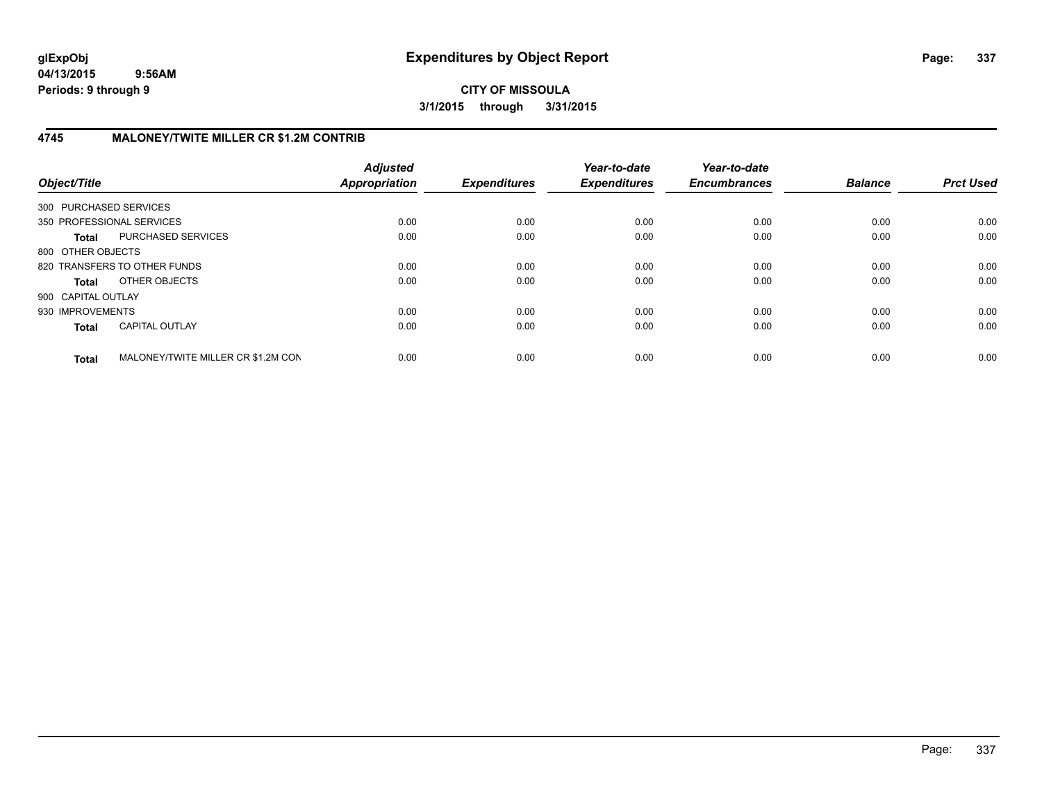**CITY OF MISSOULA 3/1/2015 through 3/31/2015**

# **4745 MALONEY/TWITE MILLER CR \$1.2M CONTRIB**

| Object/Title           |                                    | <b>Adjusted</b><br>Appropriation | <b>Expenditures</b> | Year-to-date<br><b>Expenditures</b> | Year-to-date<br><b>Encumbrances</b> | <b>Balance</b> | <b>Prct Used</b> |
|------------------------|------------------------------------|----------------------------------|---------------------|-------------------------------------|-------------------------------------|----------------|------------------|
| 300 PURCHASED SERVICES |                                    |                                  |                     |                                     |                                     |                |                  |
|                        | 350 PROFESSIONAL SERVICES          | 0.00                             | 0.00                | 0.00                                | 0.00                                | 0.00           | 0.00             |
| <b>Total</b>           | PURCHASED SERVICES                 | 0.00                             | 0.00                | 0.00                                | 0.00                                | 0.00           | 0.00             |
| 800 OTHER OBJECTS      |                                    |                                  |                     |                                     |                                     |                |                  |
|                        | 820 TRANSFERS TO OTHER FUNDS       | 0.00                             | 0.00                | 0.00                                | 0.00                                | 0.00           | 0.00             |
| <b>Total</b>           | OTHER OBJECTS                      | 0.00                             | 0.00                | 0.00                                | 0.00                                | 0.00           | 0.00             |
| 900 CAPITAL OUTLAY     |                                    |                                  |                     |                                     |                                     |                |                  |
| 930 IMPROVEMENTS       |                                    | 0.00                             | 0.00                | 0.00                                | 0.00                                | 0.00           | 0.00             |
| <b>Total</b>           | <b>CAPITAL OUTLAY</b>              | 0.00                             | 0.00                | 0.00                                | 0.00                                | 0.00           | 0.00             |
| <b>Total</b>           | MALONEY/TWITE MILLER CR \$1.2M CON | 0.00                             | 0.00                | 0.00                                | 0.00                                | 0.00           | 0.00             |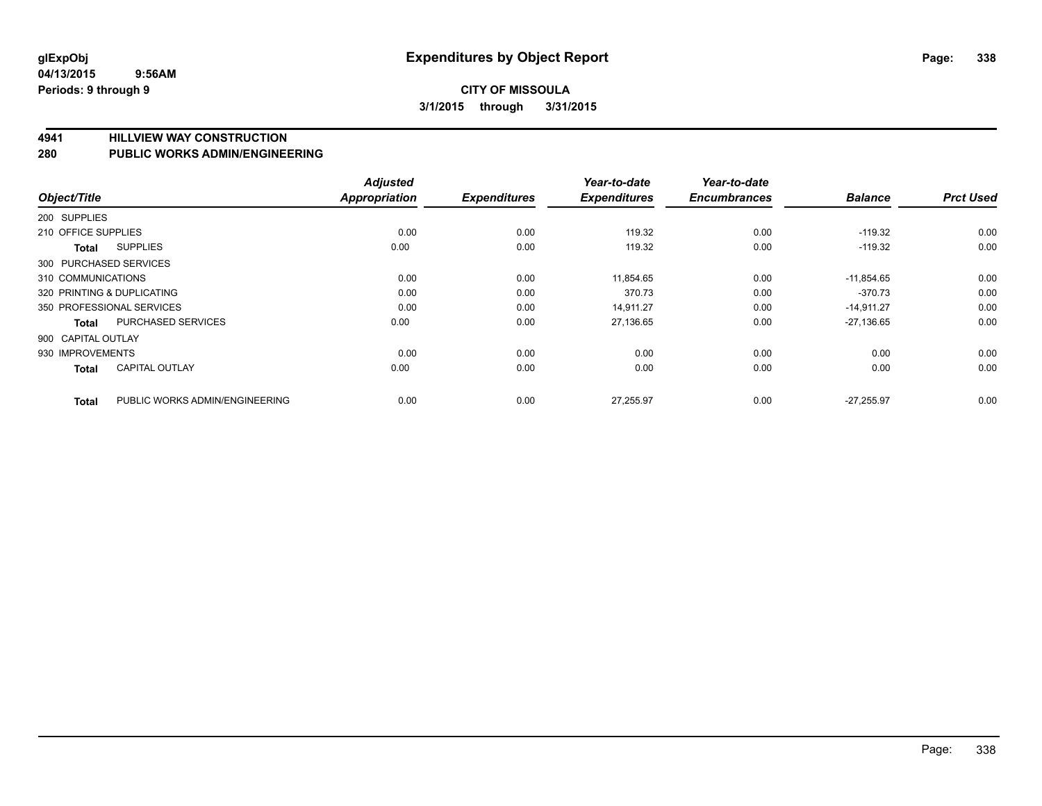## **CITY OF MISSOULA 3/1/2015 through 3/31/2015**

**4941 HILLVIEW WAY CONSTRUCTION**

**280 PUBLIC WORKS ADMIN/ENGINEERING**

| Object/Title        |                                | <b>Adjusted</b><br><b>Appropriation</b> | <b>Expenditures</b> | Year-to-date<br><b>Expenditures</b> | Year-to-date<br><b>Encumbrances</b> | <b>Balance</b> | <b>Prct Used</b> |
|---------------------|--------------------------------|-----------------------------------------|---------------------|-------------------------------------|-------------------------------------|----------------|------------------|
|                     |                                |                                         |                     |                                     |                                     |                |                  |
| 200 SUPPLIES        |                                |                                         |                     |                                     |                                     |                |                  |
| 210 OFFICE SUPPLIES |                                | 0.00                                    | 0.00                | 119.32                              | 0.00                                | $-119.32$      | 0.00             |
| Total               | <b>SUPPLIES</b>                | 0.00                                    | 0.00                | 119.32                              | 0.00                                | $-119.32$      | 0.00             |
|                     | 300 PURCHASED SERVICES         |                                         |                     |                                     |                                     |                |                  |
| 310 COMMUNICATIONS  |                                | 0.00                                    | 0.00                | 11,854.65                           | 0.00                                | $-11,854.65$   | 0.00             |
|                     | 320 PRINTING & DUPLICATING     | 0.00                                    | 0.00                | 370.73                              | 0.00                                | $-370.73$      | 0.00             |
|                     | 350 PROFESSIONAL SERVICES      | 0.00                                    | 0.00                | 14,911.27                           | 0.00                                | $-14,911.27$   | 0.00             |
| <b>Total</b>        | <b>PURCHASED SERVICES</b>      | 0.00                                    | 0.00                | 27,136.65                           | 0.00                                | $-27,136.65$   | 0.00             |
| 900 CAPITAL OUTLAY  |                                |                                         |                     |                                     |                                     |                |                  |
| 930 IMPROVEMENTS    |                                | 0.00                                    | 0.00                | 0.00                                | 0.00                                | 0.00           | 0.00             |
| <b>Total</b>        | <b>CAPITAL OUTLAY</b>          | 0.00                                    | 0.00                | 0.00                                | 0.00                                | 0.00           | 0.00             |
| <b>Total</b>        | PUBLIC WORKS ADMIN/ENGINEERING | 0.00                                    | 0.00                | 27.255.97                           | 0.00                                | $-27.255.97$   | 0.00             |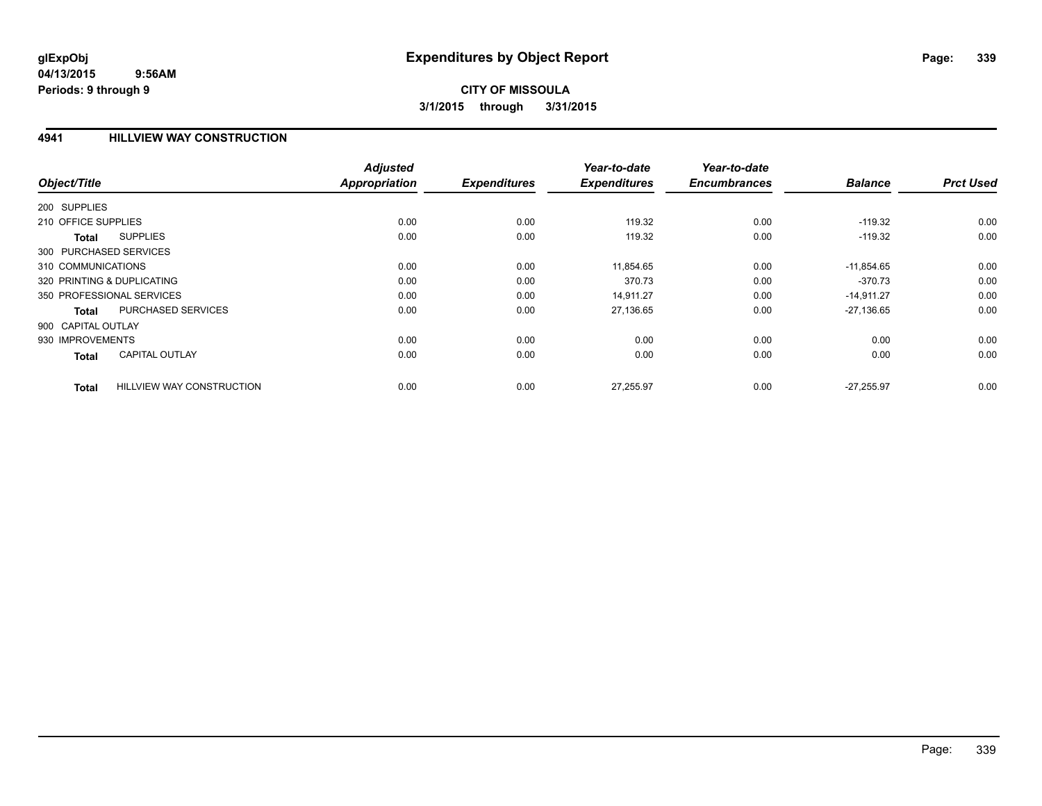# **CITY OF MISSOULA 3/1/2015 through 3/31/2015**

## **4941 HILLVIEW WAY CONSTRUCTION**

|                                           | <b>Adjusted</b>      |                     | Year-to-date        | Year-to-date        |                |                  |
|-------------------------------------------|----------------------|---------------------|---------------------|---------------------|----------------|------------------|
| Object/Title                              | <b>Appropriation</b> | <b>Expenditures</b> | <b>Expenditures</b> | <b>Encumbrances</b> | <b>Balance</b> | <b>Prct Used</b> |
| 200 SUPPLIES                              |                      |                     |                     |                     |                |                  |
| 210 OFFICE SUPPLIES                       | 0.00                 | 0.00                | 119.32              | 0.00                | $-119.32$      | 0.00             |
| <b>SUPPLIES</b><br>Total                  | 0.00                 | 0.00                | 119.32              | 0.00                | $-119.32$      | 0.00             |
| 300 PURCHASED SERVICES                    |                      |                     |                     |                     |                |                  |
| 310 COMMUNICATIONS                        | 0.00                 | 0.00                | 11,854.65           | 0.00                | $-11,854.65$   | 0.00             |
| 320 PRINTING & DUPLICATING                | 0.00                 | 0.00                | 370.73              | 0.00                | $-370.73$      | 0.00             |
| 350 PROFESSIONAL SERVICES                 | 0.00                 | 0.00                | 14,911.27           | 0.00                | $-14,911.27$   | 0.00             |
| PURCHASED SERVICES<br><b>Total</b>        | 0.00                 | 0.00                | 27,136.65           | 0.00                | $-27,136.65$   | 0.00             |
| 900 CAPITAL OUTLAY                        |                      |                     |                     |                     |                |                  |
| 930 IMPROVEMENTS                          | 0.00                 | 0.00                | 0.00                | 0.00                | 0.00           | 0.00             |
| <b>CAPITAL OUTLAY</b><br>Total            | 0.00                 | 0.00                | 0.00                | 0.00                | 0.00           | 0.00             |
| <b>HILLVIEW WAY CONSTRUCTION</b><br>Total | 0.00                 | 0.00                | 27,255.97           | 0.00                | $-27.255.97$   | 0.00             |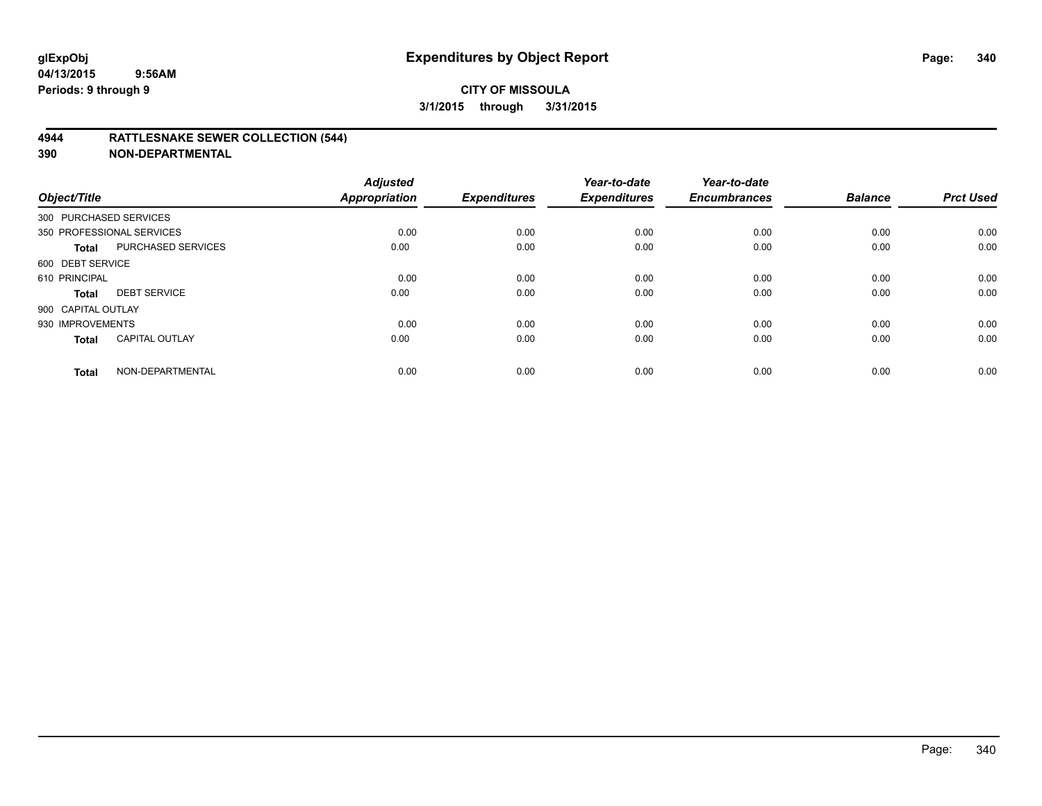## **4944 RATTLESNAKE SEWER COLLECTION (544)**

| Object/Title           |                           | <b>Adjusted</b><br><b>Appropriation</b> | <b>Expenditures</b> | Year-to-date<br><b>Expenditures</b> | Year-to-date<br><b>Encumbrances</b> | <b>Balance</b> | <b>Prct Used</b> |
|------------------------|---------------------------|-----------------------------------------|---------------------|-------------------------------------|-------------------------------------|----------------|------------------|
| 300 PURCHASED SERVICES |                           |                                         |                     |                                     |                                     |                |                  |
|                        | 350 PROFESSIONAL SERVICES | 0.00                                    | 0.00                | 0.00                                | 0.00                                | 0.00           | 0.00             |
| <b>Total</b>           | <b>PURCHASED SERVICES</b> | 0.00                                    | 0.00                | 0.00                                | 0.00                                | 0.00           | 0.00             |
| 600 DEBT SERVICE       |                           |                                         |                     |                                     |                                     |                |                  |
| 610 PRINCIPAL          |                           | 0.00                                    | 0.00                | 0.00                                | 0.00                                | 0.00           | 0.00             |
| <b>Total</b>           | <b>DEBT SERVICE</b>       | 0.00                                    | 0.00                | 0.00                                | 0.00                                | 0.00           | 0.00             |
| 900 CAPITAL OUTLAY     |                           |                                         |                     |                                     |                                     |                |                  |
| 930 IMPROVEMENTS       |                           | 0.00                                    | 0.00                | 0.00                                | 0.00                                | 0.00           | 0.00             |
| <b>Total</b>           | <b>CAPITAL OUTLAY</b>     | 0.00                                    | 0.00                | 0.00                                | 0.00                                | 0.00           | 0.00             |
| <b>Total</b>           | NON-DEPARTMENTAL          | 0.00                                    | 0.00                | 0.00                                | 0.00                                | 0.00           | 0.00             |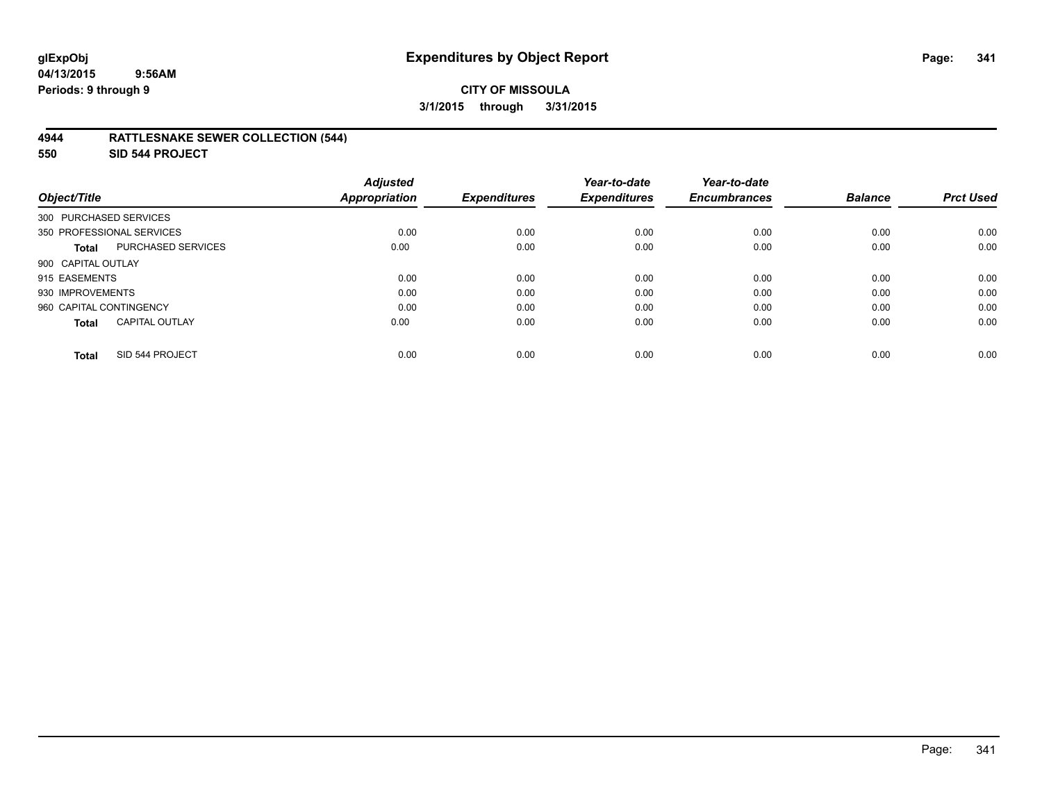## **4944 RATTLESNAKE SEWER COLLECTION (544)**

**550 SID 544 PROJECT**

| Object/Title                              | <b>Adjusted</b><br><b>Appropriation</b> | <b>Expenditures</b> | Year-to-date<br><b>Expenditures</b> | Year-to-date<br><b>Encumbrances</b> | <b>Balance</b> | <b>Prct Used</b> |
|-------------------------------------------|-----------------------------------------|---------------------|-------------------------------------|-------------------------------------|----------------|------------------|
| 300 PURCHASED SERVICES                    |                                         |                     |                                     |                                     |                |                  |
| 350 PROFESSIONAL SERVICES                 | 0.00                                    | 0.00                | 0.00                                | 0.00                                | 0.00           | 0.00             |
| <b>PURCHASED SERVICES</b><br><b>Total</b> | 0.00                                    | 0.00                | 0.00                                | 0.00                                | 0.00           | 0.00             |
| 900 CAPITAL OUTLAY                        |                                         |                     |                                     |                                     |                |                  |
| 915 EASEMENTS                             | 0.00                                    | 0.00                | 0.00                                | 0.00                                | 0.00           | 0.00             |
| 930 IMPROVEMENTS                          | 0.00                                    | 0.00                | 0.00                                | 0.00                                | 0.00           | 0.00             |
| 960 CAPITAL CONTINGENCY                   | 0.00                                    | 0.00                | 0.00                                | 0.00                                | 0.00           | 0.00             |
| <b>CAPITAL OUTLAY</b><br><b>Total</b>     | 0.00                                    | 0.00                | 0.00                                | 0.00                                | 0.00           | 0.00             |
| SID 544 PROJECT<br>Total                  | 0.00                                    | 0.00                | 0.00                                | 0.00                                | 0.00           | 0.00             |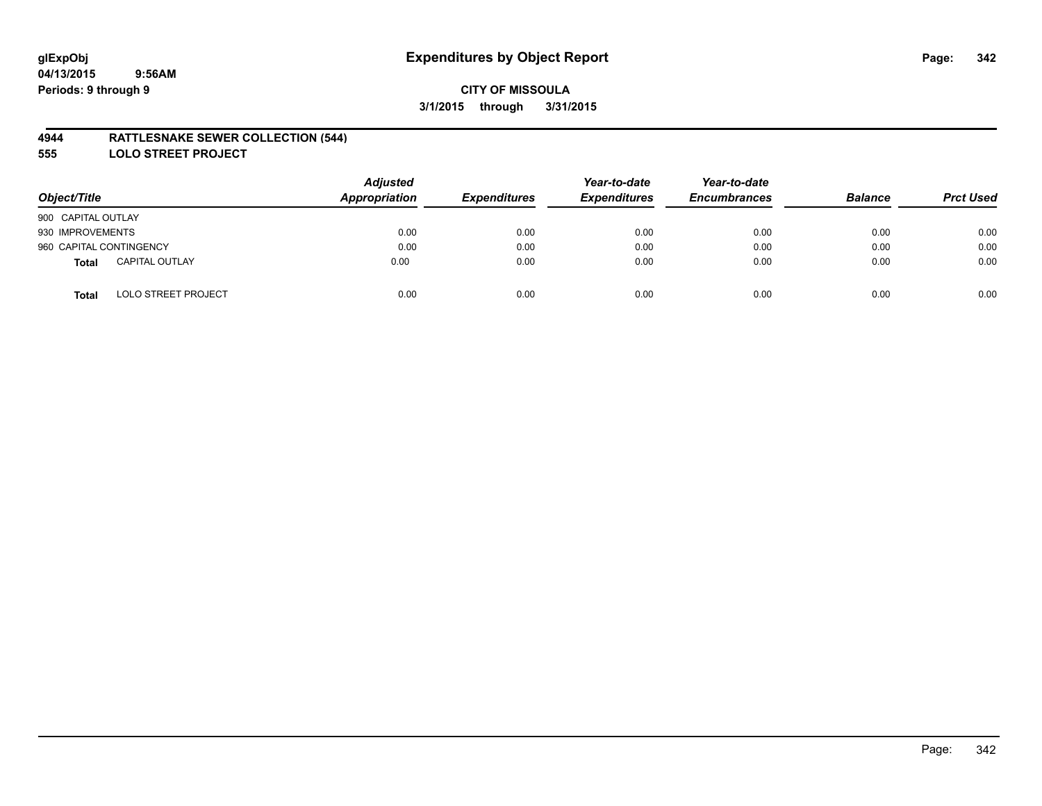## **4944 RATTLESNAKE SEWER COLLECTION (544)**

**555 LOLO STREET PROJECT**

| Object/Title                          | <b>Adjusted</b><br>Appropriation | <b>Expenditures</b> | Year-to-date<br><b>Expenditures</b> | Year-to-date<br><b>Encumbrances</b> | <b>Balance</b> | <b>Prct Used</b> |
|---------------------------------------|----------------------------------|---------------------|-------------------------------------|-------------------------------------|----------------|------------------|
| 900 CAPITAL OUTLAY                    |                                  |                     |                                     |                                     |                |                  |
| 930 IMPROVEMENTS                      | 0.00                             | 0.00                | 0.00                                | 0.00                                | 0.00           | 0.00             |
| 960 CAPITAL CONTINGENCY               | 0.00                             | 0.00                | 0.00                                | 0.00                                | 0.00           | 0.00             |
| <b>CAPITAL OUTLAY</b><br><b>Total</b> | 0.00                             | 0.00                | 0.00                                | 0.00                                | 0.00           | 0.00             |
| <b>LOLO STREET PROJECT</b><br>Total   | 0.00                             | 0.00                | 0.00                                | 0.00                                | 0.00           | 0.00             |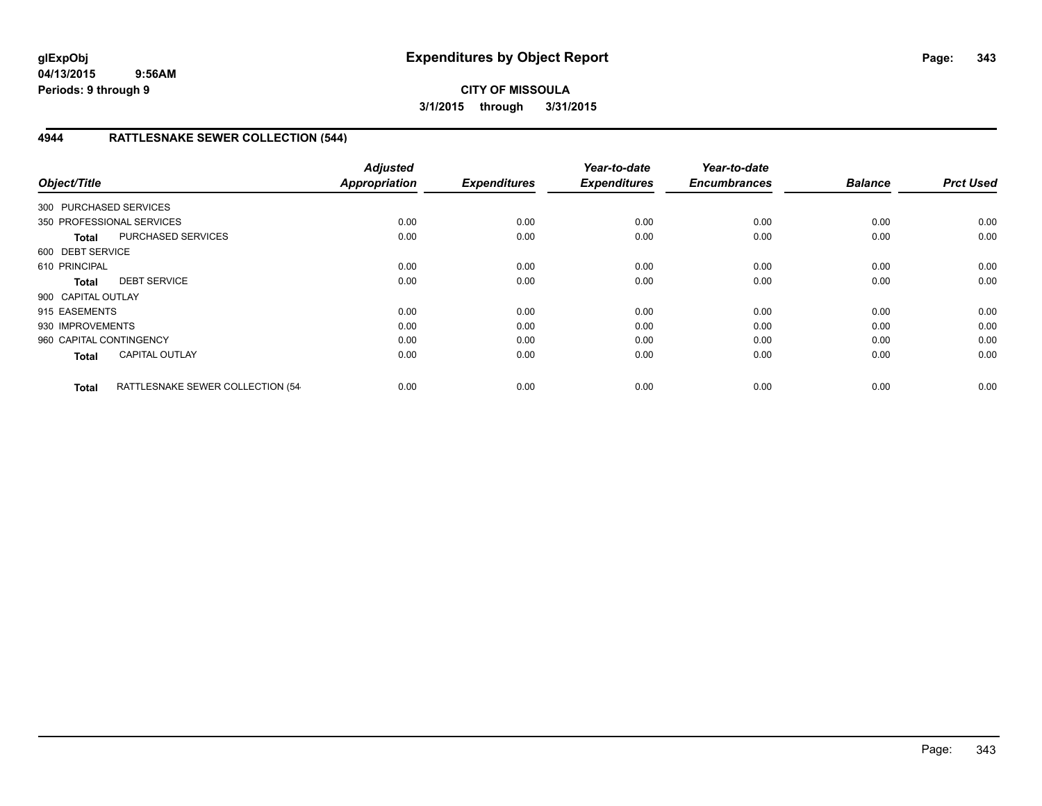**CITY OF MISSOULA 3/1/2015 through 3/31/2015**

# **4944 RATTLESNAKE SEWER COLLECTION (544)**

| Object/Title            |                                  | <b>Adjusted</b><br><b>Appropriation</b> | <b>Expenditures</b> | Year-to-date<br><b>Expenditures</b> | Year-to-date<br><b>Encumbrances</b> | <b>Balance</b> | <b>Prct Used</b> |
|-------------------------|----------------------------------|-----------------------------------------|---------------------|-------------------------------------|-------------------------------------|----------------|------------------|
| 300 PURCHASED SERVICES  |                                  |                                         |                     |                                     |                                     |                |                  |
|                         | 350 PROFESSIONAL SERVICES        | 0.00                                    | 0.00                | 0.00                                | 0.00                                | 0.00           | 0.00             |
| <b>Total</b>            | <b>PURCHASED SERVICES</b>        | 0.00                                    | 0.00                | 0.00                                | 0.00                                | 0.00           | 0.00             |
| 600 DEBT SERVICE        |                                  |                                         |                     |                                     |                                     |                |                  |
| 610 PRINCIPAL           |                                  | 0.00                                    | 0.00                | 0.00                                | 0.00                                | 0.00           | 0.00             |
| <b>Total</b>            | <b>DEBT SERVICE</b>              | 0.00                                    | 0.00                | 0.00                                | 0.00                                | 0.00           | 0.00             |
| 900 CAPITAL OUTLAY      |                                  |                                         |                     |                                     |                                     |                |                  |
| 915 EASEMENTS           |                                  | 0.00                                    | 0.00                | 0.00                                | 0.00                                | 0.00           | 0.00             |
| 930 IMPROVEMENTS        |                                  | 0.00                                    | 0.00                | 0.00                                | 0.00                                | 0.00           | 0.00             |
| 960 CAPITAL CONTINGENCY |                                  | 0.00                                    | 0.00                | 0.00                                | 0.00                                | 0.00           | 0.00             |
| <b>Total</b>            | <b>CAPITAL OUTLAY</b>            | 0.00                                    | 0.00                | 0.00                                | 0.00                                | 0.00           | 0.00             |
| <b>Total</b>            | RATTLESNAKE SEWER COLLECTION (54 | 0.00                                    | 0.00                | 0.00                                | 0.00                                | 0.00           | 0.00             |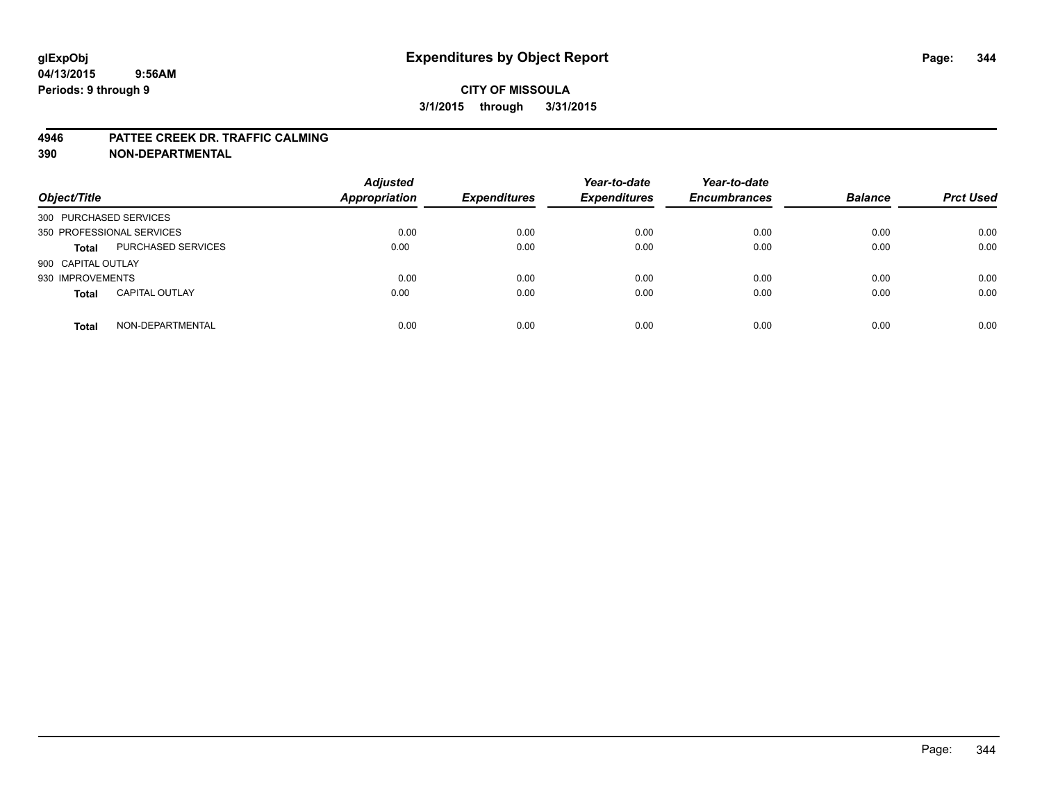#### **4946 PATTEE CREEK DR. TRAFFIC CALMING**

| Object/Title              |                       | <b>Adjusted</b><br><b>Appropriation</b> | <b>Expenditures</b> | Year-to-date<br><b>Expenditures</b> | Year-to-date<br><b>Encumbrances</b> | <b>Balance</b> | <b>Prct Used</b> |
|---------------------------|-----------------------|-----------------------------------------|---------------------|-------------------------------------|-------------------------------------|----------------|------------------|
| 300 PURCHASED SERVICES    |                       |                                         |                     |                                     |                                     |                |                  |
| 350 PROFESSIONAL SERVICES |                       | 0.00                                    | 0.00                | 0.00                                | 0.00                                | 0.00           | 0.00             |
| <b>Total</b>              | PURCHASED SERVICES    | 0.00                                    | 0.00                | 0.00                                | 0.00                                | 0.00           | 0.00             |
| 900 CAPITAL OUTLAY        |                       |                                         |                     |                                     |                                     |                |                  |
| 930 IMPROVEMENTS          |                       | 0.00                                    | 0.00                | 0.00                                | 0.00                                | 0.00           | 0.00             |
| <b>Total</b>              | <b>CAPITAL OUTLAY</b> | 0.00                                    | 0.00                | 0.00                                | 0.00                                | 0.00           | 0.00             |
| <b>Total</b>              | NON-DEPARTMENTAL      | 0.00                                    | 0.00                | 0.00                                | 0.00                                | 0.00           | 0.00             |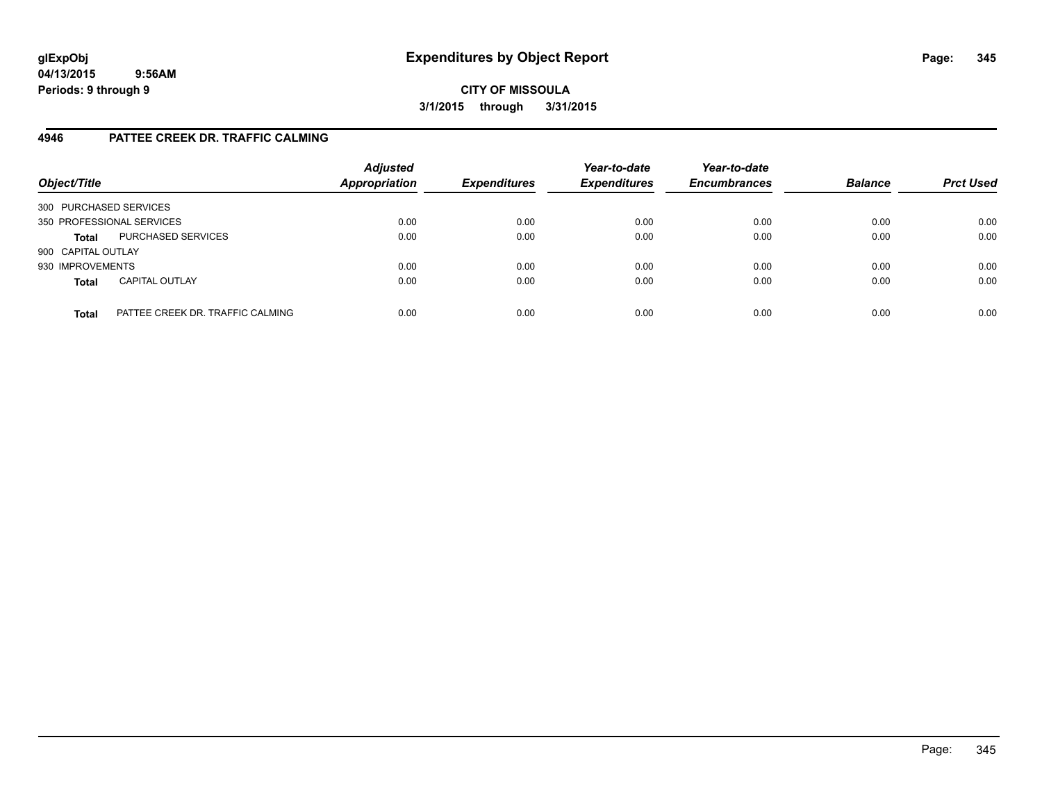**CITY OF MISSOULA 3/1/2015 through 3/31/2015**

# **4946 PATTEE CREEK DR. TRAFFIC CALMING**

| Object/Title           |                                  | <b>Adjusted</b><br><b>Appropriation</b> | <b>Expenditures</b> | Year-to-date<br><b>Expenditures</b> | Year-to-date<br><b>Encumbrances</b> | <b>Balance</b> | <b>Prct Used</b> |
|------------------------|----------------------------------|-----------------------------------------|---------------------|-------------------------------------|-------------------------------------|----------------|------------------|
| 300 PURCHASED SERVICES |                                  |                                         |                     |                                     |                                     |                |                  |
|                        | 350 PROFESSIONAL SERVICES        | 0.00                                    | 0.00                | 0.00                                | 0.00                                | 0.00           | 0.00             |
| <b>Total</b>           | PURCHASED SERVICES               | 0.00                                    | 0.00                | 0.00                                | 0.00                                | 0.00           | 0.00             |
| 900 CAPITAL OUTLAY     |                                  |                                         |                     |                                     |                                     |                |                  |
| 930 IMPROVEMENTS       |                                  | 0.00                                    | 0.00                | 0.00                                | 0.00                                | 0.00           | 0.00             |
| <b>Total</b>           | <b>CAPITAL OUTLAY</b>            | 0.00                                    | 0.00                | 0.00                                | 0.00                                | 0.00           | 0.00             |
| <b>Total</b>           | PATTEE CREEK DR. TRAFFIC CALMING | 0.00                                    | 0.00                | 0.00                                | 0.00                                | 0.00           | 0.00             |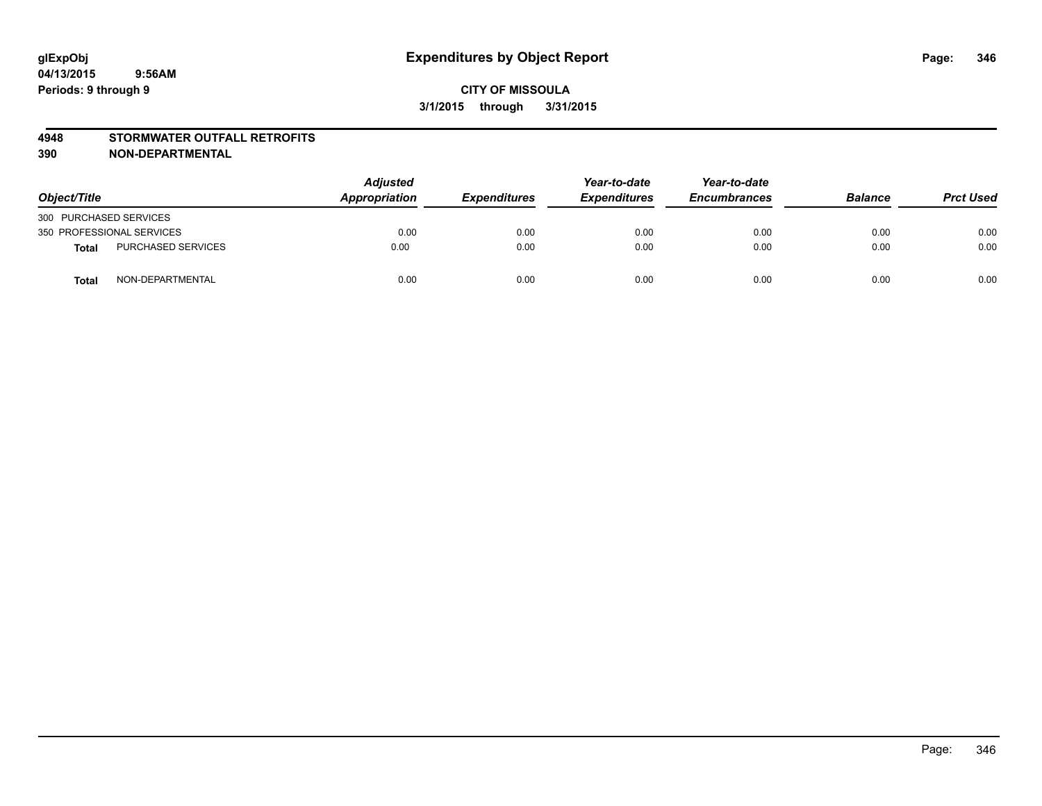## **4948 STORMWATER OUTFALL RETROFITS**

| Object/Title              |                           | Adjusted<br>Appropriation | <b>Expenditures</b> | Year-to-date<br><b>Expenditures</b> | Year-to-date<br><b>Encumbrances</b> | <b>Balance</b> | <b>Prct Used</b> |
|---------------------------|---------------------------|---------------------------|---------------------|-------------------------------------|-------------------------------------|----------------|------------------|
| 300 PURCHASED SERVICES    |                           |                           |                     |                                     |                                     |                |                  |
| 350 PROFESSIONAL SERVICES |                           | 0.00                      | 0.00                | 0.00                                | 0.00                                | 0.00           | 0.00             |
| <b>Total</b>              | <b>PURCHASED SERVICES</b> | 0.00                      | 0.00                | 0.00                                | 0.00                                | 0.00           | 0.00             |
| <b>Total</b>              | NON-DEPARTMENTAL          | 0.00                      | 0.00                | 0.00                                | 0.00                                | 0.00           | 0.00             |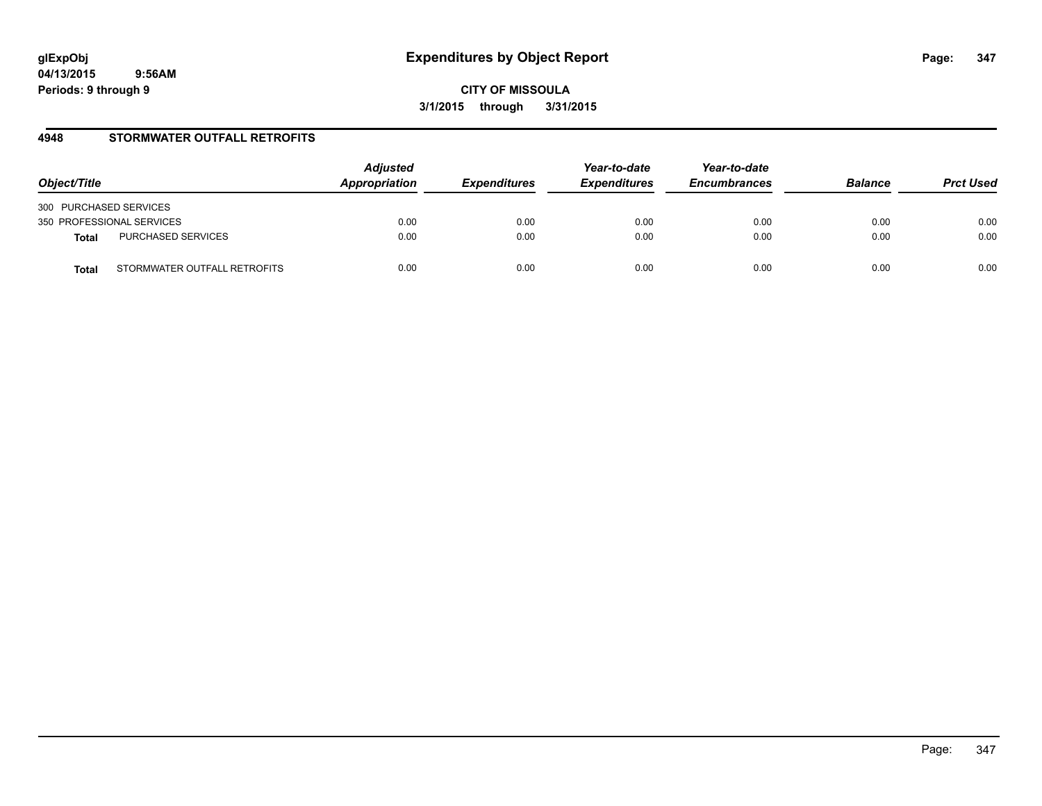**CITY OF MISSOULA 3/1/2015 through 3/31/2015**

## **4948 STORMWATER OUTFALL RETROFITS**

| Object/Title                          | <b>Adjusted</b><br>Appropriation | <b>Expenditures</b> | Year-to-date<br><b>Expenditures</b> | Year-to-date<br><b>Encumbrances</b> | <b>Balance</b> | <b>Prct Used</b> |
|---------------------------------------|----------------------------------|---------------------|-------------------------------------|-------------------------------------|----------------|------------------|
| 300 PURCHASED SERVICES                |                                  |                     |                                     |                                     |                |                  |
| 350 PROFESSIONAL SERVICES             | 0.00                             | 0.00                | 0.00                                | 0.00                                | 0.00           | 0.00             |
| PURCHASED SERVICES<br><b>Total</b>    | 0.00                             | 0.00                | 0.00                                | 0.00                                | 0.00           | 0.00             |
| STORMWATER OUTFALL RETROFITS<br>Total | 0.00                             | 0.00                | 0.00                                | 0.00                                | 0.00           | 0.00             |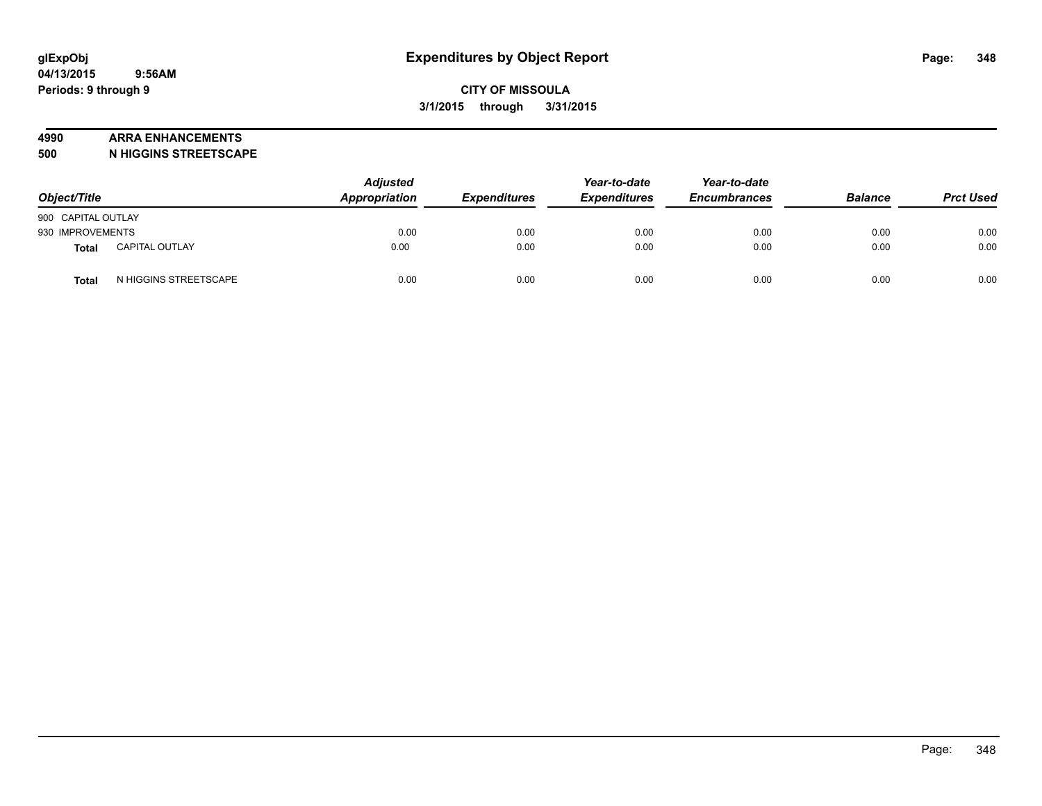## **4990 ARRA ENHANCEMENTS**

**500 N HIGGINS STREETSCAPE**

| Object/Title       |                       | <b>Adjusted</b><br>Appropriation | <b>Expenditures</b> | Year-to-date<br><b>Expenditures</b> | Year-to-date<br><b>Encumbrances</b> | <b>Balance</b> | <b>Prct Used</b> |
|--------------------|-----------------------|----------------------------------|---------------------|-------------------------------------|-------------------------------------|----------------|------------------|
| 900 CAPITAL OUTLAY |                       |                                  |                     |                                     |                                     |                |                  |
| 930 IMPROVEMENTS   |                       | 0.00                             | 0.00                | 0.00                                | 0.00                                | 0.00           | 0.00             |
| Total              | <b>CAPITAL OUTLAY</b> | 0.00                             | 0.00                | 0.00                                | 0.00                                | 0.00           | 0.00             |
| <b>Total</b>       | N HIGGINS STREETSCAPE | 0.00                             | 0.00                | 0.00                                | 0.00                                | 0.00           | 0.00             |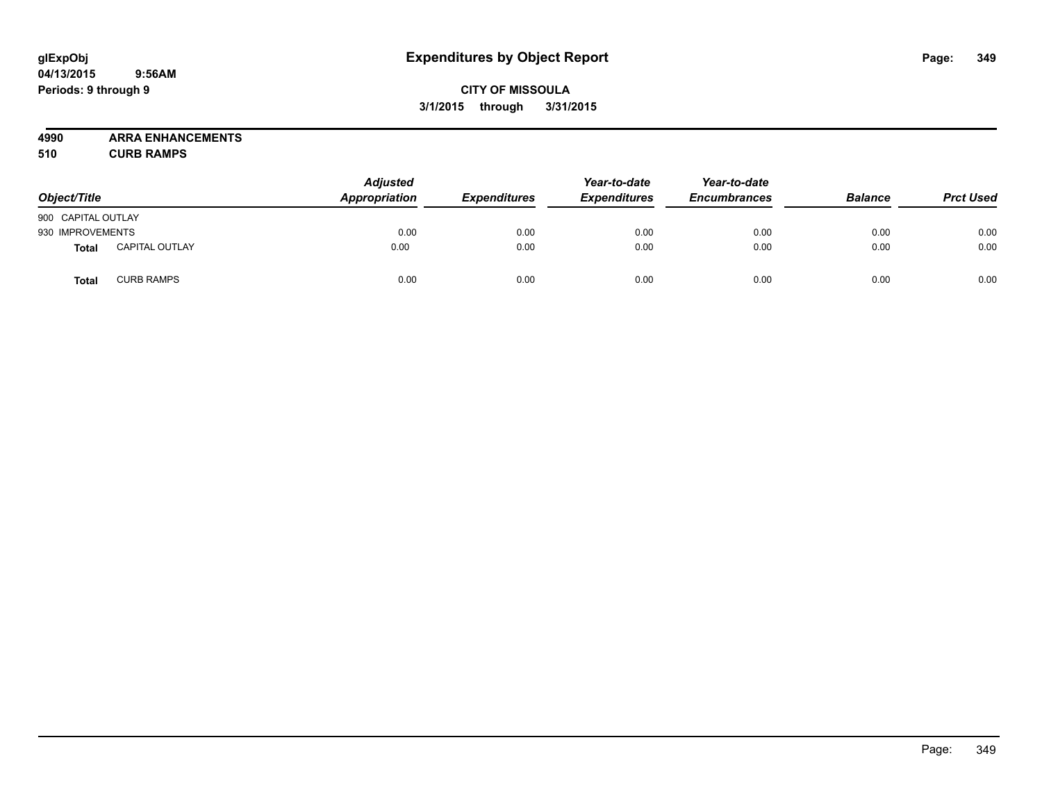# **CITY OF MISSOULA 3/1/2015 through 3/31/2015**

**4990 ARRA ENHANCEMENTS**

**510 CURB RAMPS**

| Object/Title       |                       | <b>Adjusted</b><br>Appropriation | <b>Expenditures</b> | Year-to-date<br><b>Expenditures</b> | Year-to-date<br><b>Encumbrances</b> | <b>Balance</b> | <b>Prct Used</b> |
|--------------------|-----------------------|----------------------------------|---------------------|-------------------------------------|-------------------------------------|----------------|------------------|
| 900 CAPITAL OUTLAY |                       |                                  |                     |                                     |                                     |                |                  |
| 930 IMPROVEMENTS   |                       | 0.00                             | 0.00                | 0.00                                | 0.00                                | 0.00           | 0.00             |
| <b>Total</b>       | <b>CAPITAL OUTLAY</b> | 0.00                             | 0.00                | 0.00                                | 0.00                                | 0.00           | 0.00             |
| Total              | <b>CURB RAMPS</b>     | 0.00                             | 0.00                | 0.00                                | 0.00                                | 0.00           | 0.00             |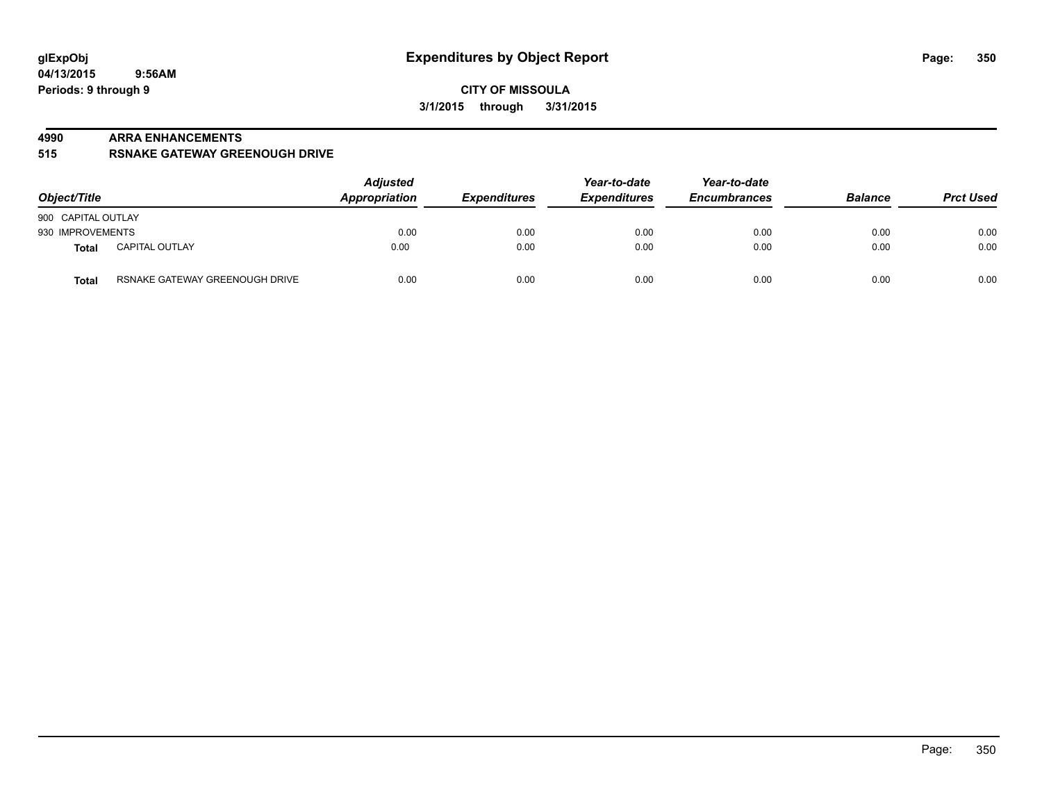#### **4990 ARRA ENHANCEMENTS**

#### **515 RSNAKE GATEWAY GREENOUGH DRIVE**

| Object/Title                                   | <b>Adjusted</b><br><b>Appropriation</b> | <b>Expenditures</b> | Year-to-date<br><b>Expenditures</b> | Year-to-date<br><b>Encumbrances</b> | <b>Balance</b> | <b>Prct Used</b> |
|------------------------------------------------|-----------------------------------------|---------------------|-------------------------------------|-------------------------------------|----------------|------------------|
| 900 CAPITAL OUTLAY                             |                                         |                     |                                     |                                     |                |                  |
| 930 IMPROVEMENTS                               | 0.00                                    | 0.00                | 0.00                                | 0.00                                | 0.00           | 0.00             |
| <b>CAPITAL OUTLAY</b><br>Total                 | 0.00                                    | 0.00                | 0.00                                | 0.00                                | 0.00           | 0.00             |
| RSNAKE GATEWAY GREENOUGH DRIVE<br><b>Total</b> | 0.00                                    | 0.00                | 0.00                                | 0.00                                | 0.00           | 0.00             |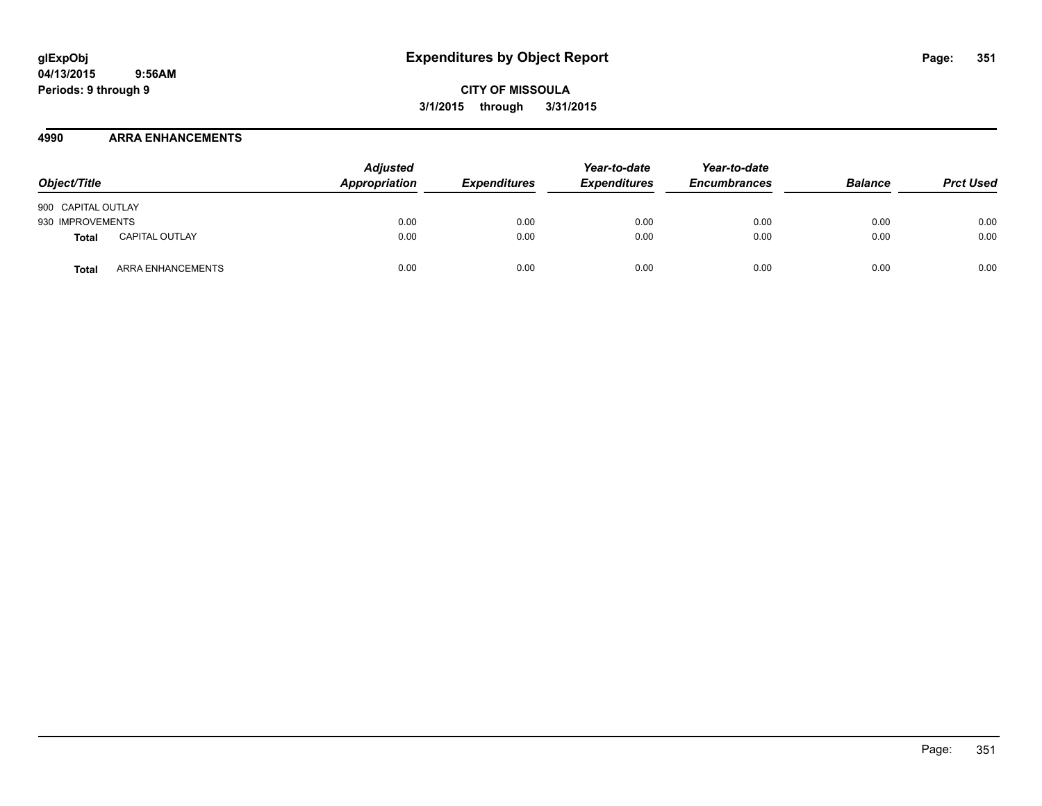**CITY OF MISSOULA 3/1/2015 through 3/31/2015**

## **4990 ARRA ENHANCEMENTS**

| Object/Title       |                       | <b>Adjusted</b><br>Appropriation | <b>Expenditures</b> | Year-to-date<br><b>Expenditures</b> | Year-to-date<br><b>Encumbrances</b> | <b>Balance</b> | <b>Prct Used</b> |
|--------------------|-----------------------|----------------------------------|---------------------|-------------------------------------|-------------------------------------|----------------|------------------|
| 900 CAPITAL OUTLAY |                       |                                  |                     |                                     |                                     |                |                  |
| 930 IMPROVEMENTS   |                       | 0.00                             | 0.00                | 0.00                                | 0.00                                | 0.00           | 0.00             |
| <b>Total</b>       | <b>CAPITAL OUTLAY</b> | 0.00                             | 0.00                | 0.00                                | 0.00                                | 0.00           | 0.00             |
| <b>Total</b>       | ARRA ENHANCEMENTS     | 0.00                             | 0.00                | 0.00                                | 0.00                                | 0.00           | 0.00             |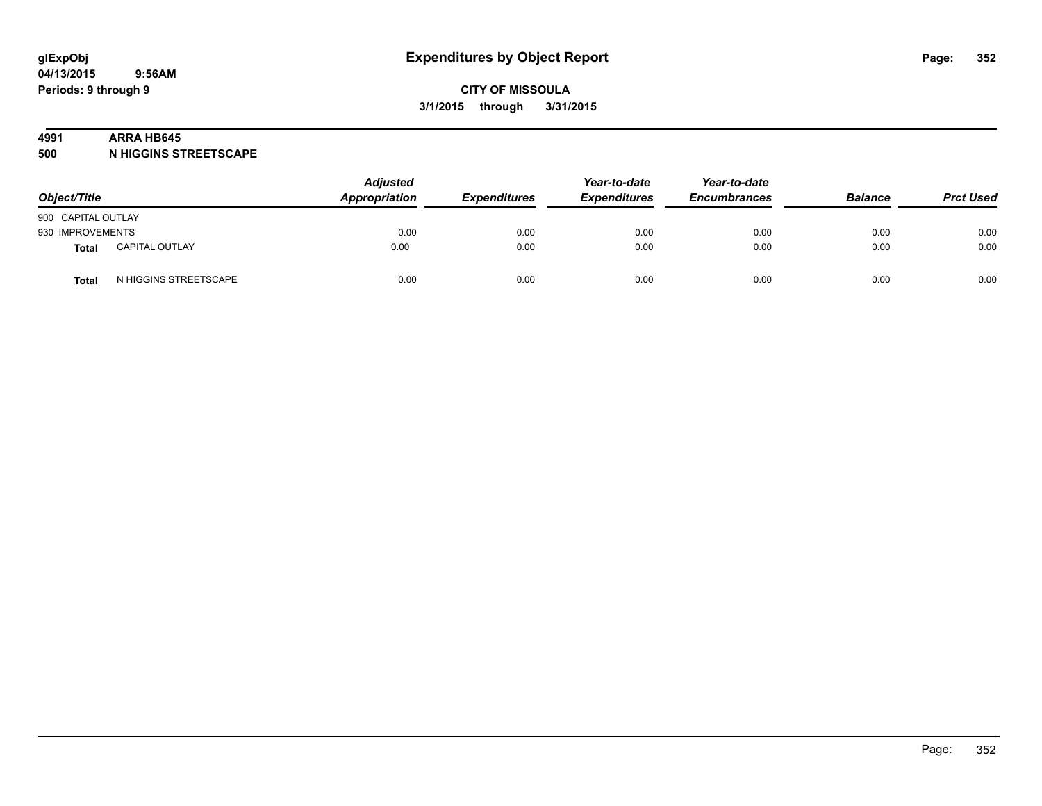#### **4991 ARRA HB645**

**500 N HIGGINS STREETSCAPE**

| Object/Title       |                       | <b>Adjusted</b><br>Appropriation | <b>Expenditures</b> | Year-to-date<br><b>Expenditures</b> | Year-to-date<br><b>Encumbrances</b> | <b>Balance</b> | <b>Prct Used</b> |
|--------------------|-----------------------|----------------------------------|---------------------|-------------------------------------|-------------------------------------|----------------|------------------|
| 900 CAPITAL OUTLAY |                       |                                  |                     |                                     |                                     |                |                  |
| 930 IMPROVEMENTS   |                       | 0.00                             | 0.00                | 0.00                                | 0.00                                | 0.00           | 0.00             |
| Total              | <b>CAPITAL OUTLAY</b> | 0.00                             | 0.00                | 0.00                                | 0.00                                | 0.00           | 0.00             |
| Total              | N HIGGINS STREETSCAPE | 0.00                             | 0.00                | 0.00                                | 0.00                                | 0.00           | 0.00             |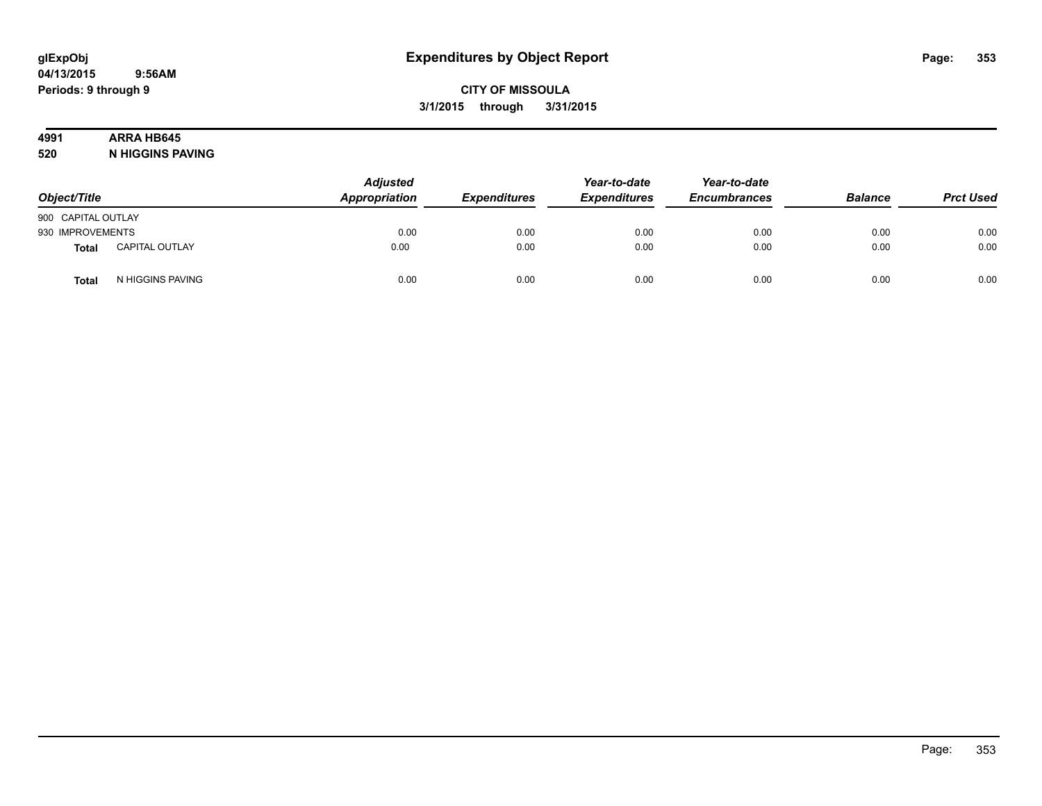# **4991 ARRA HB645**

**520 N HIGGINS PAVING**

| Object/Title       |                       | Adjusted<br>Appropriation | <b>Expenditures</b> | Year-to-date<br><b>Expenditures</b> | Year-to-date<br><b>Encumbrances</b> | <b>Balance</b> | <b>Prct Used</b> |
|--------------------|-----------------------|---------------------------|---------------------|-------------------------------------|-------------------------------------|----------------|------------------|
| 900 CAPITAL OUTLAY |                       |                           |                     |                                     |                                     |                |                  |
| 930 IMPROVEMENTS   |                       | 0.00                      | 0.00                | 0.00                                | 0.00                                | 0.00           | 0.00             |
| Total              | <b>CAPITAL OUTLAY</b> | 0.00                      | 0.00                | 0.00                                | 0.00                                | 0.00           | 0.00             |
| <b>Total</b>       | N HIGGINS PAVING      | 0.00                      | 0.00                | 0.00                                | 0.00                                | 0.00           | 0.00             |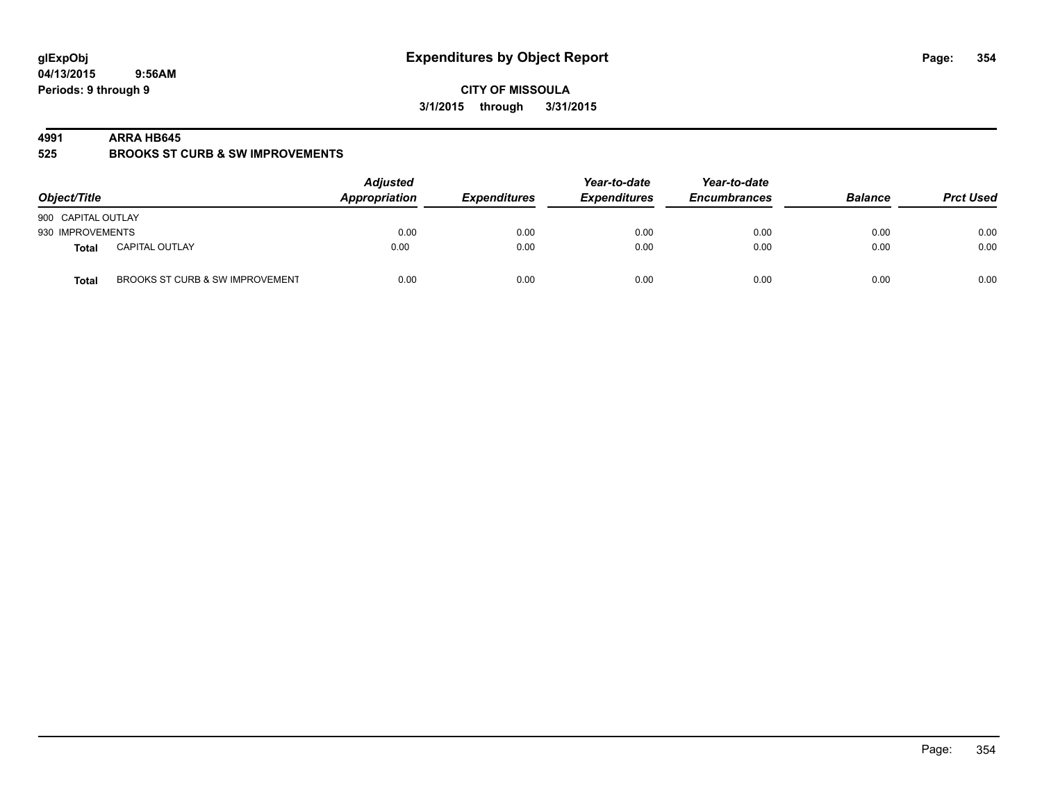**CITY OF MISSOULA 3/1/2015 through 3/31/2015**

#### **4991 ARRA HB645**

**525 BROOKS ST CURB & SW IMPROVEMENTS**

| Object/Title       |                                 | <b>Adjusted</b><br>Appropriation | <b>Expenditures</b> | Year-to-date<br><b>Expenditures</b> | Year-to-date<br><b>Encumbrances</b> | <b>Balance</b> | <b>Prct Used</b> |
|--------------------|---------------------------------|----------------------------------|---------------------|-------------------------------------|-------------------------------------|----------------|------------------|
| 900 CAPITAL OUTLAY |                                 |                                  |                     |                                     |                                     |                |                  |
| 930 IMPROVEMENTS   |                                 | 0.00                             | 0.00                | 0.00                                | 0.00                                | 0.00           | 0.00             |
| <b>Total</b>       | <b>CAPITAL OUTLAY</b>           | 0.00                             | 0.00                | 0.00                                | 0.00                                | 0.00           | 0.00             |
| <b>Total</b>       | BROOKS ST CURB & SW IMPROVEMENT | 0.00                             | 0.00                | 0.00                                | 0.00                                | 0.00           | 0.00             |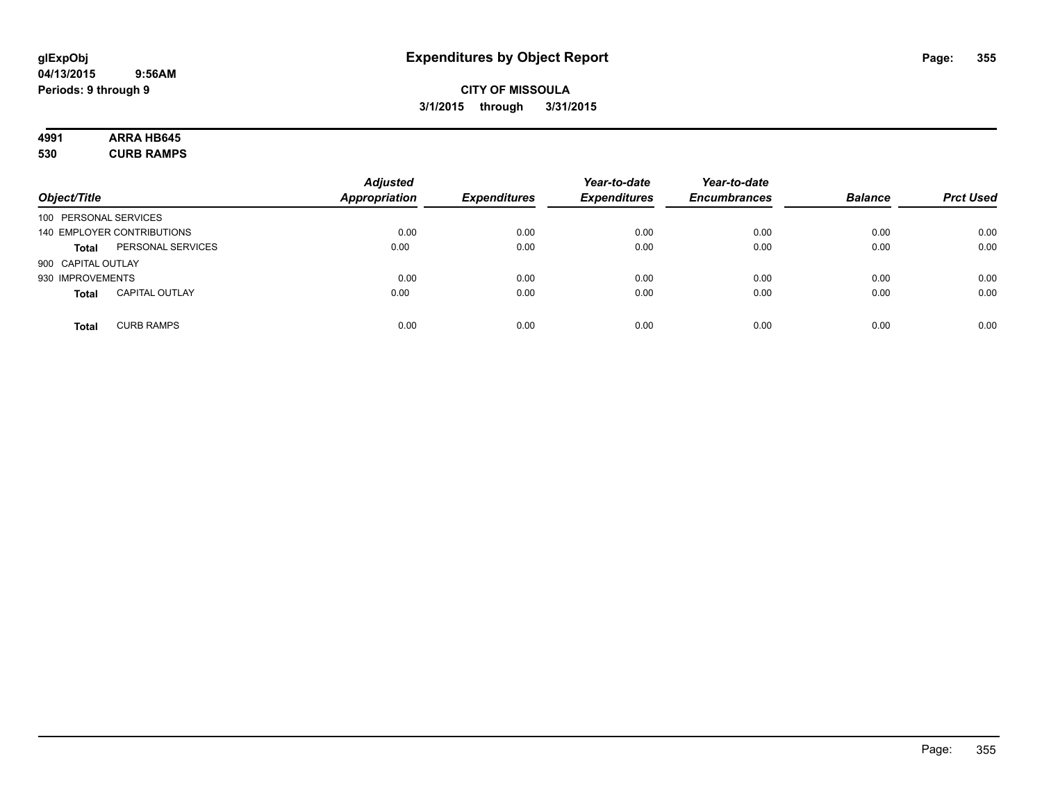# **4991 ARRA HB645**

**530 CURB RAMPS**

| Object/Title          |                            | <b>Adjusted</b><br><b>Appropriation</b> | <b>Expenditures</b> | Year-to-date<br><b>Expenditures</b> | Year-to-date<br><b>Encumbrances</b> | <b>Balance</b> | <b>Prct Used</b> |
|-----------------------|----------------------------|-----------------------------------------|---------------------|-------------------------------------|-------------------------------------|----------------|------------------|
| 100 PERSONAL SERVICES |                            |                                         |                     |                                     |                                     |                |                  |
|                       | 140 EMPLOYER CONTRIBUTIONS | 0.00                                    | 0.00                | 0.00                                | 0.00                                | 0.00           | 0.00             |
| <b>Total</b>          | PERSONAL SERVICES          | 0.00                                    | 0.00                | 0.00                                | 0.00                                | 0.00           | 0.00             |
| 900 CAPITAL OUTLAY    |                            |                                         |                     |                                     |                                     |                |                  |
| 930 IMPROVEMENTS      |                            | 0.00                                    | 0.00                | 0.00                                | 0.00                                | 0.00           | 0.00             |
| <b>Total</b>          | <b>CAPITAL OUTLAY</b>      | 0.00                                    | 0.00                | 0.00                                | 0.00                                | 0.00           | 0.00             |
| <b>Total</b>          | <b>CURB RAMPS</b>          | 0.00                                    | 0.00                | 0.00                                | 0.00                                | 0.00           | 0.00             |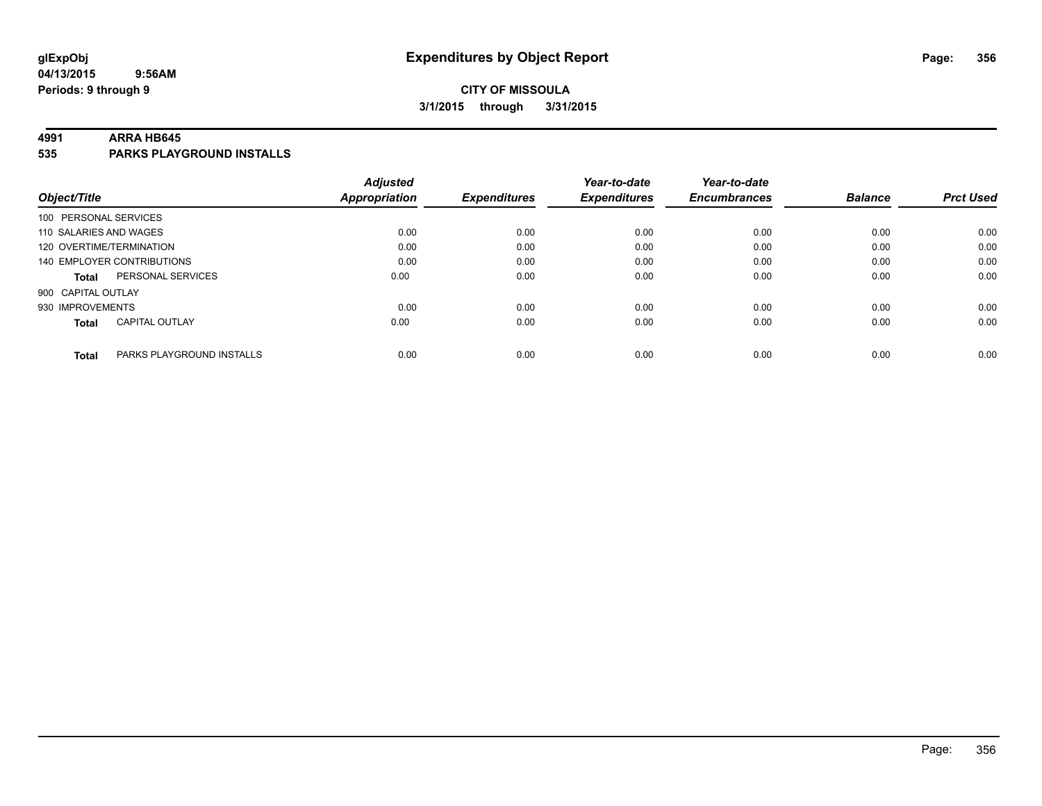## **CITY OF MISSOULA 3/1/2015 through 3/31/2015**

#### **4991 ARRA HB645**

**535 PARKS PLAYGROUND INSTALLS**

|                          |                            | <b>Adjusted</b>      |                     | Year-to-date        | Year-to-date        |                |                  |
|--------------------------|----------------------------|----------------------|---------------------|---------------------|---------------------|----------------|------------------|
| Object/Title             |                            | <b>Appropriation</b> | <b>Expenditures</b> | <b>Expenditures</b> | <b>Encumbrances</b> | <b>Balance</b> | <b>Prct Used</b> |
| 100 PERSONAL SERVICES    |                            |                      |                     |                     |                     |                |                  |
| 110 SALARIES AND WAGES   |                            | 0.00                 | 0.00                | 0.00                | 0.00                | 0.00           | 0.00             |
| 120 OVERTIME/TERMINATION |                            | 0.00                 | 0.00                | 0.00                | 0.00                | 0.00           | 0.00             |
|                          | 140 EMPLOYER CONTRIBUTIONS | 0.00                 | 0.00                | 0.00                | 0.00                | 0.00           | 0.00             |
| Total                    | PERSONAL SERVICES          | 0.00                 | 0.00                | 0.00                | 0.00                | 0.00           | 0.00             |
| 900 CAPITAL OUTLAY       |                            |                      |                     |                     |                     |                |                  |
| 930 IMPROVEMENTS         |                            | 0.00                 | 0.00                | 0.00                | 0.00                | 0.00           | 0.00             |
| <b>Total</b>             | <b>CAPITAL OUTLAY</b>      | 0.00                 | 0.00                | 0.00                | 0.00                | 0.00           | 0.00             |
| <b>Total</b>             | PARKS PLAYGROUND INSTALLS  | 0.00                 | 0.00                | 0.00                | 0.00                | 0.00           | 0.00             |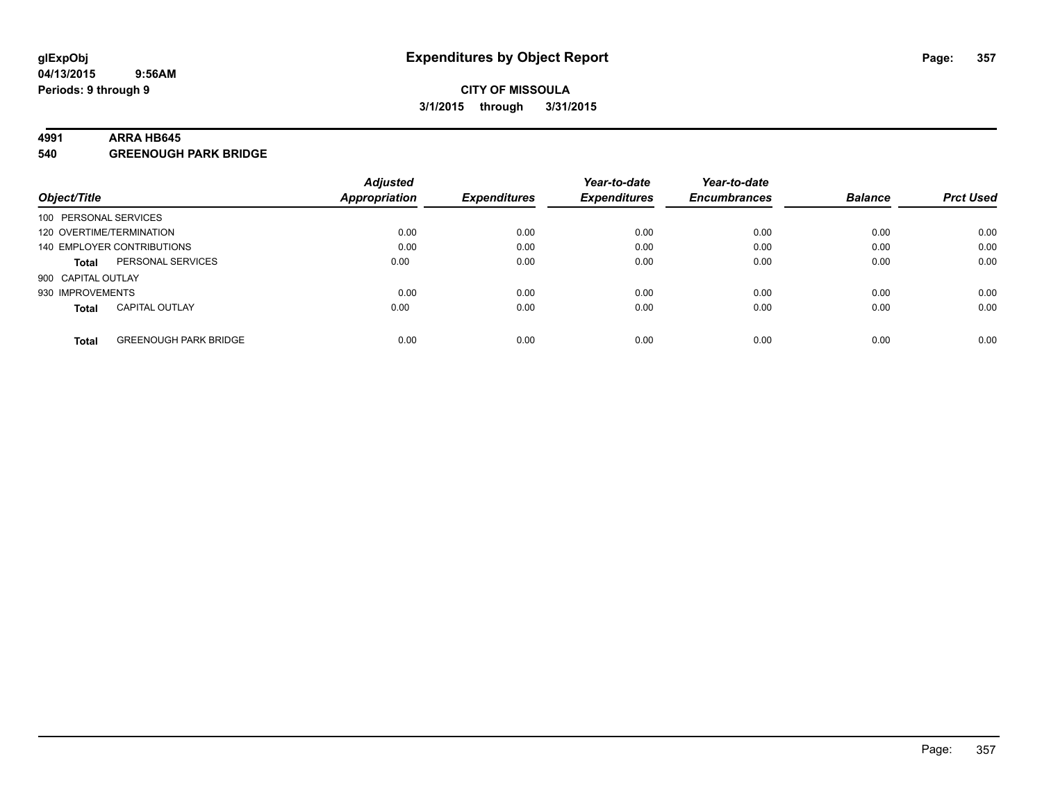#### **4991 ARRA HB645**

**540 GREENOUGH PARK BRIDGE**

|                          |                              | <b>Adjusted</b> |                     | Year-to-date        | Year-to-date        |                |                  |
|--------------------------|------------------------------|-----------------|---------------------|---------------------|---------------------|----------------|------------------|
| Object/Title             |                              | Appropriation   | <b>Expenditures</b> | <b>Expenditures</b> | <b>Encumbrances</b> | <b>Balance</b> | <b>Prct Used</b> |
| 100 PERSONAL SERVICES    |                              |                 |                     |                     |                     |                |                  |
| 120 OVERTIME/TERMINATION |                              | 0.00            | 0.00                | 0.00                | 0.00                | 0.00           | 0.00             |
|                          | 140 EMPLOYER CONTRIBUTIONS   | 0.00            | 0.00                | 0.00                | 0.00                | 0.00           | 0.00             |
| <b>Total</b>             | PERSONAL SERVICES            | 0.00            | 0.00                | 0.00                | 0.00                | 0.00           | 0.00             |
| 900 CAPITAL OUTLAY       |                              |                 |                     |                     |                     |                |                  |
| 930 IMPROVEMENTS         |                              | 0.00            | 0.00                | 0.00                | 0.00                | 0.00           | 0.00             |
| <b>Total</b>             | <b>CAPITAL OUTLAY</b>        | 0.00            | 0.00                | 0.00                | 0.00                | 0.00           | 0.00             |
| Total                    | <b>GREENOUGH PARK BRIDGE</b> | 0.00            | 0.00                | 0.00                | 0.00                | 0.00           | 0.00             |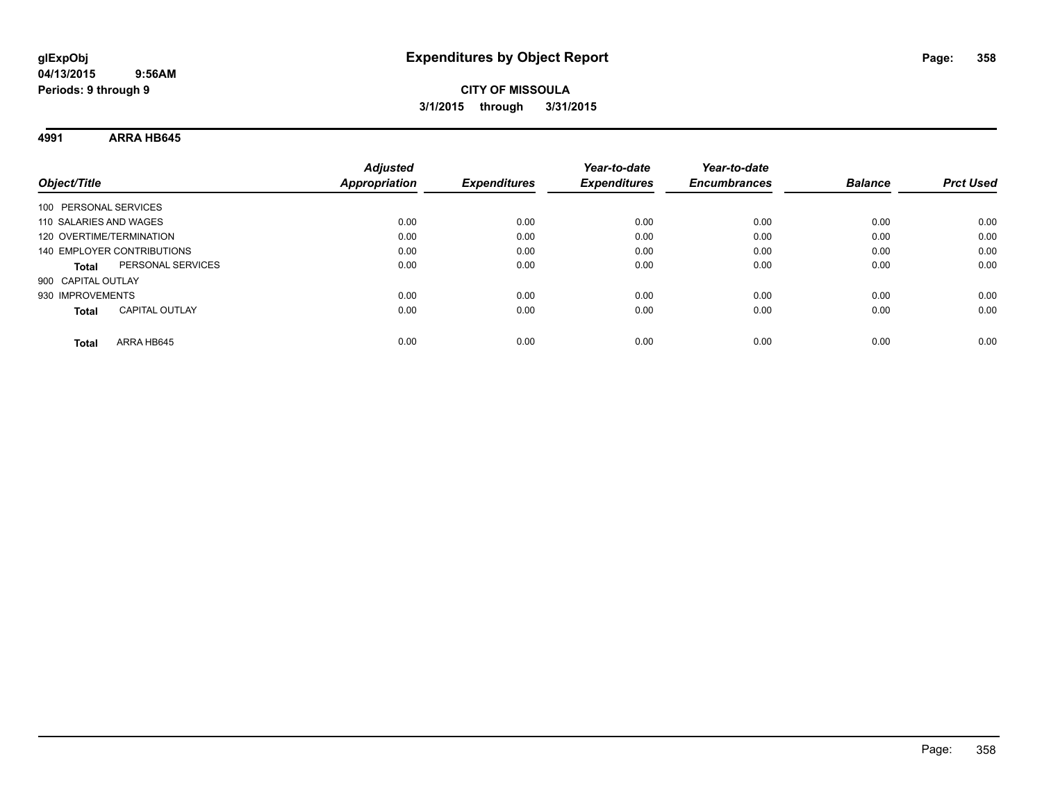**4991 ARRA HB645**

| Object/Title                          | <b>Adjusted</b><br><b>Appropriation</b> | <b>Expenditures</b> | Year-to-date<br><b>Expenditures</b> | Year-to-date<br><b>Encumbrances</b> | <b>Balance</b> | <b>Prct Used</b> |
|---------------------------------------|-----------------------------------------|---------------------|-------------------------------------|-------------------------------------|----------------|------------------|
| 100 PERSONAL SERVICES                 |                                         |                     |                                     |                                     |                |                  |
| 110 SALARIES AND WAGES                | 0.00                                    | 0.00                | 0.00                                | 0.00                                | 0.00           | 0.00             |
| 120 OVERTIME/TERMINATION              | 0.00                                    | 0.00                | 0.00                                | 0.00                                | 0.00           | 0.00             |
| 140 EMPLOYER CONTRIBUTIONS            | 0.00                                    | 0.00                | 0.00                                | 0.00                                | 0.00           | 0.00             |
| PERSONAL SERVICES<br><b>Total</b>     | 0.00                                    | 0.00                | 0.00                                | 0.00                                | 0.00           | 0.00             |
| 900 CAPITAL OUTLAY                    |                                         |                     |                                     |                                     |                |                  |
| 930 IMPROVEMENTS                      | 0.00                                    | 0.00                | 0.00                                | 0.00                                | 0.00           | 0.00             |
| <b>CAPITAL OUTLAY</b><br><b>Total</b> | 0.00                                    | 0.00                | 0.00                                | 0.00                                | 0.00           | 0.00             |
| ARRA HB645<br>Total                   | 0.00                                    | 0.00                | 0.00                                | 0.00                                | 0.00           | 0.00             |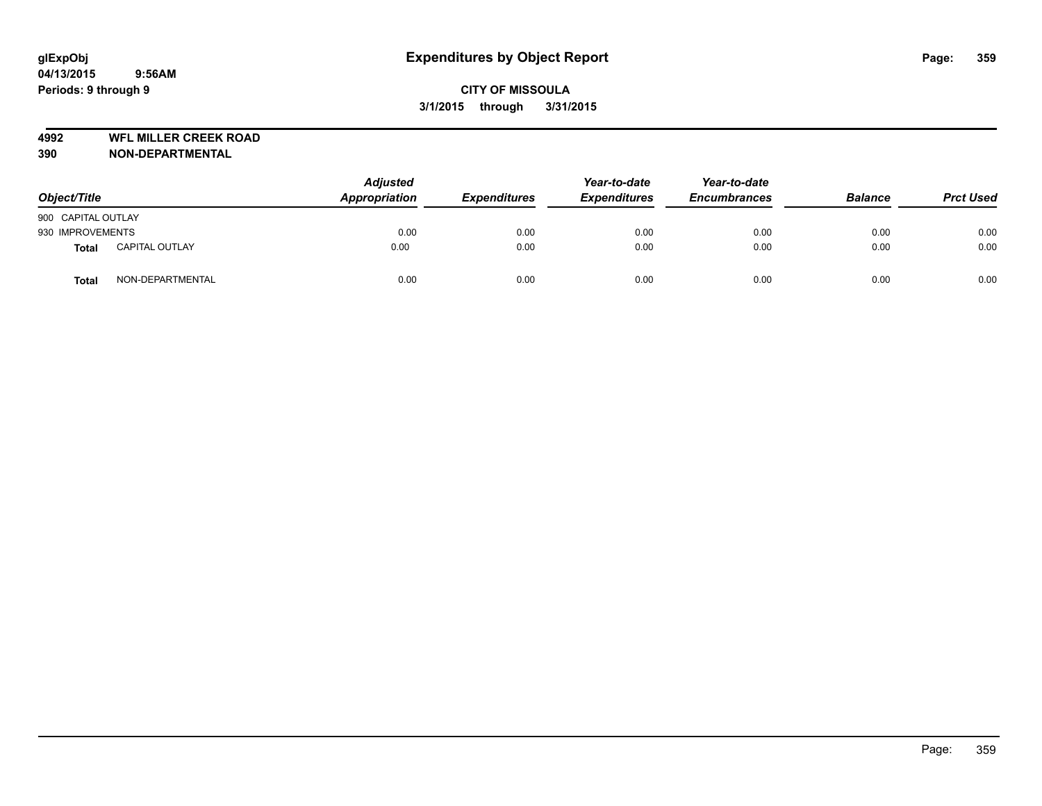**4992 WFL MILLER CREEK ROAD**

| Object/Title       |                       | <b>Adjusted</b><br>Appropriation | <b>Expenditures</b> | Year-to-date<br><b>Expenditures</b> | Year-to-date<br><b>Encumbrances</b> | <b>Balance</b> | <b>Prct Used</b> |
|--------------------|-----------------------|----------------------------------|---------------------|-------------------------------------|-------------------------------------|----------------|------------------|
| 900 CAPITAL OUTLAY |                       |                                  |                     |                                     |                                     |                |                  |
| 930 IMPROVEMENTS   |                       | 0.00                             | 0.00                | 0.00                                | 0.00                                | 0.00           | 0.00             |
| <b>Total</b>       | <b>CAPITAL OUTLAY</b> | 0.00                             | 0.00                | 0.00                                | 0.00                                | 0.00           | 0.00             |
| <b>Total</b>       | NON-DEPARTMENTAL      | 0.00                             | 0.00                | 0.00                                | 0.00                                | 0.00           | 0.00             |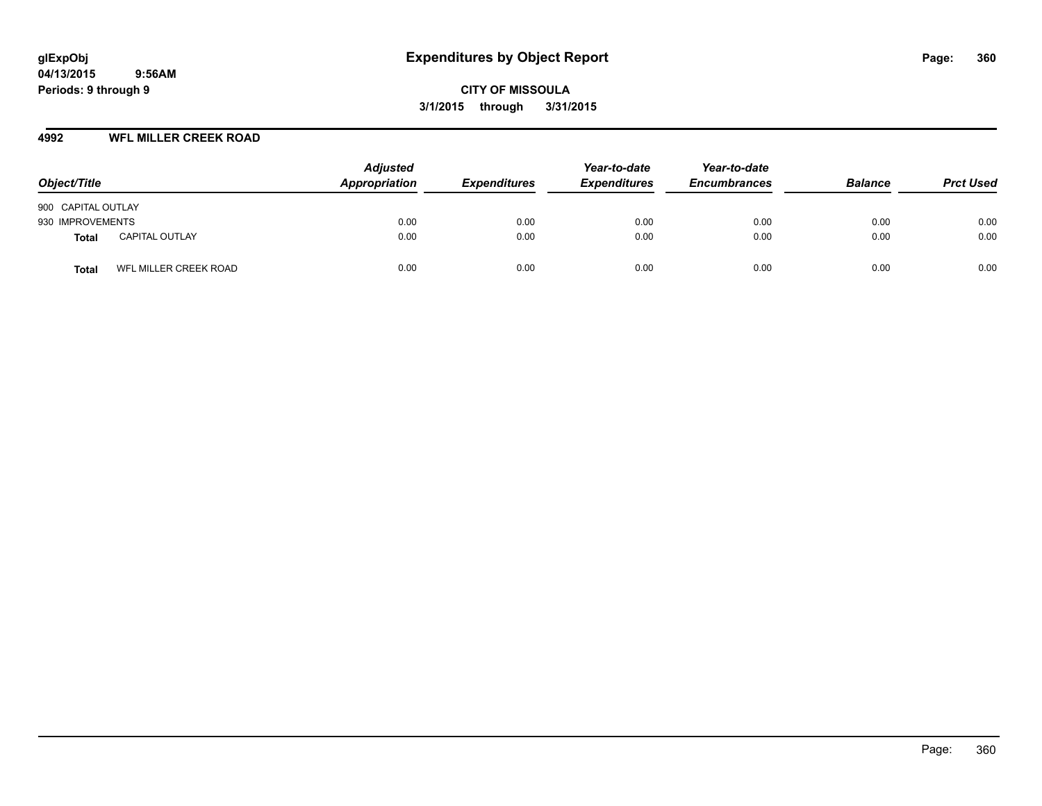**CITY OF MISSOULA 3/1/2015 through 3/31/2015**

## **4992 WFL MILLER CREEK ROAD**

| Object/Title       |                       | <b>Adjusted</b><br>Appropriation | <b>Expenditures</b> | Year-to-date<br><b>Expenditures</b> | Year-to-date<br><b>Encumbrances</b> | <b>Balance</b> | <b>Prct Used</b> |
|--------------------|-----------------------|----------------------------------|---------------------|-------------------------------------|-------------------------------------|----------------|------------------|
| 900 CAPITAL OUTLAY |                       |                                  |                     |                                     |                                     |                |                  |
| 930 IMPROVEMENTS   |                       | 0.00                             | 0.00                | 0.00                                | 0.00                                | 0.00           | 0.00             |
| Total              | <b>CAPITAL OUTLAY</b> | 0.00                             | 0.00                | 0.00                                | 0.00                                | 0.00           | 0.00             |
| Total              | WFL MILLER CREEK ROAD | 0.00                             | 0.00                | 0.00                                | 0.00                                | 0.00           | 0.00             |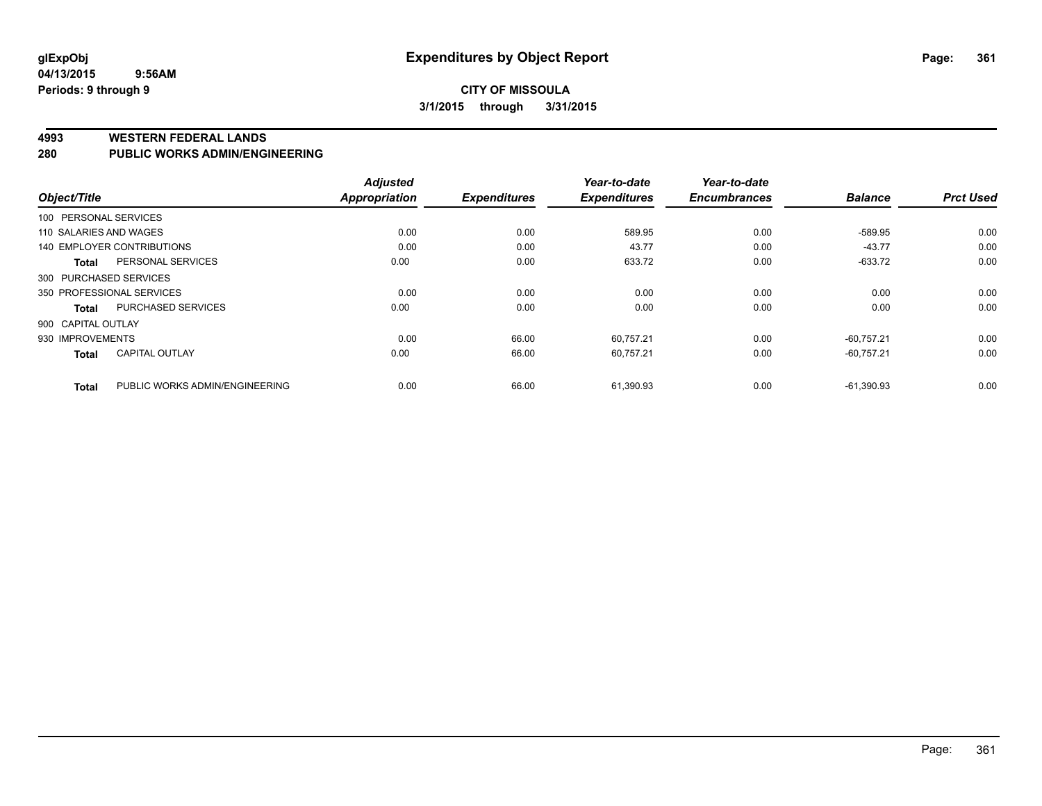#### **4993 WESTERN FEDERAL LANDS**

#### **280 PUBLIC WORKS ADMIN/ENGINEERING**

| Object/Title           |                                | <b>Adjusted</b><br><b>Appropriation</b> | <b>Expenditures</b> | Year-to-date<br><b>Expenditures</b> | Year-to-date<br><b>Encumbrances</b> | <b>Balance</b> | <b>Prct Used</b> |
|------------------------|--------------------------------|-----------------------------------------|---------------------|-------------------------------------|-------------------------------------|----------------|------------------|
| 100 PERSONAL SERVICES  |                                |                                         |                     |                                     |                                     |                |                  |
| 110 SALARIES AND WAGES |                                | 0.00                                    | 0.00                | 589.95                              | 0.00                                | $-589.95$      | 0.00             |
|                        | 140 EMPLOYER CONTRIBUTIONS     | 0.00                                    | 0.00                | 43.77                               | 0.00                                | $-43.77$       | 0.00             |
| <b>Total</b>           | PERSONAL SERVICES              | 0.00                                    | 0.00                | 633.72                              | 0.00                                | $-633.72$      | 0.00             |
| 300 PURCHASED SERVICES |                                |                                         |                     |                                     |                                     |                |                  |
|                        | 350 PROFESSIONAL SERVICES      | 0.00                                    | 0.00                | 0.00                                | 0.00                                | 0.00           | 0.00             |
| Total                  | PURCHASED SERVICES             | 0.00                                    | 0.00                | 0.00                                | 0.00                                | 0.00           | 0.00             |
| 900 CAPITAL OUTLAY     |                                |                                         |                     |                                     |                                     |                |                  |
| 930 IMPROVEMENTS       |                                | 0.00                                    | 66.00               | 60.757.21                           | 0.00                                | $-60.757.21$   | 0.00             |
| <b>Total</b>           | <b>CAPITAL OUTLAY</b>          | 0.00                                    | 66.00               | 60.757.21                           | 0.00                                | $-60.757.21$   | 0.00             |
| <b>Total</b>           | PUBLIC WORKS ADMIN/ENGINEERING | 0.00                                    | 66.00               | 61,390.93                           | 0.00                                | $-61,390.93$   | 0.00             |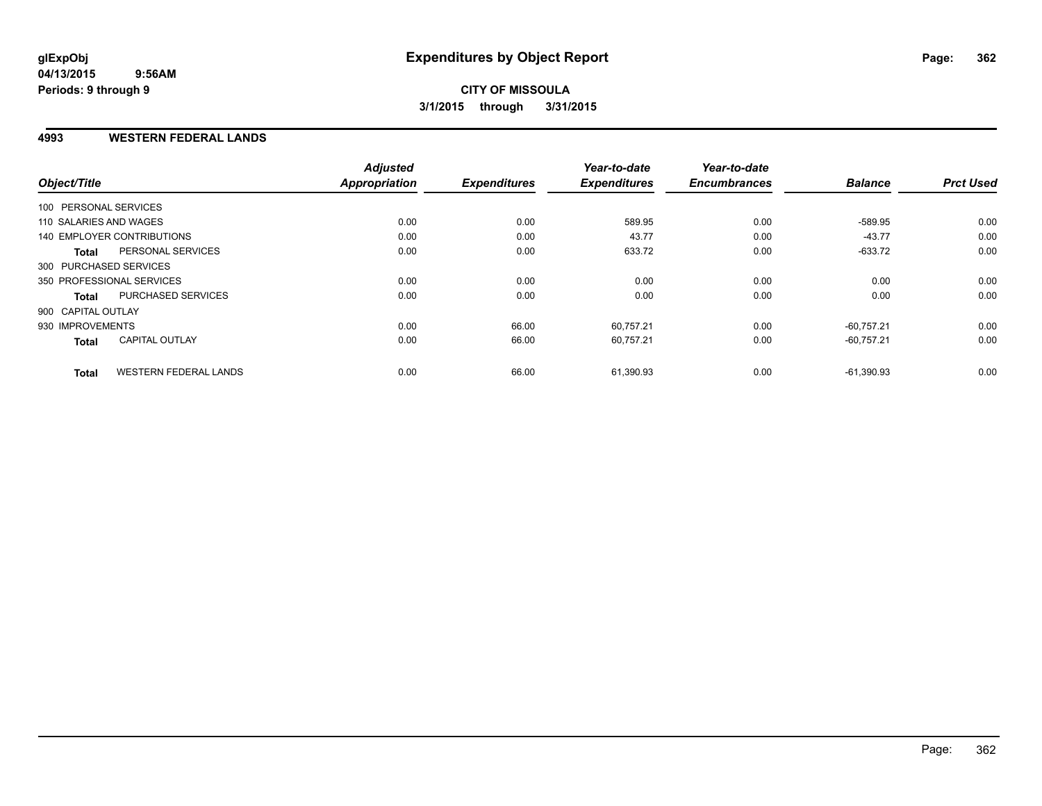## **4993 WESTERN FEDERAL LANDS**

| Object/Title               |                              | <b>Adjusted</b><br>Appropriation | <b>Expenditures</b> | Year-to-date<br><b>Expenditures</b> | Year-to-date<br><b>Encumbrances</b> | <b>Balance</b> | <b>Prct Used</b> |
|----------------------------|------------------------------|----------------------------------|---------------------|-------------------------------------|-------------------------------------|----------------|------------------|
| 100 PERSONAL SERVICES      |                              |                                  |                     |                                     |                                     |                |                  |
|                            |                              | 0.00                             |                     |                                     |                                     |                |                  |
| 110 SALARIES AND WAGES     |                              |                                  | 0.00                | 589.95                              | 0.00                                | $-589.95$      | 0.00             |
| 140 EMPLOYER CONTRIBUTIONS |                              | 0.00                             | 0.00                | 43.77                               | 0.00                                | $-43.77$       | 0.00             |
| <b>Total</b>               | PERSONAL SERVICES            | 0.00                             | 0.00                | 633.72                              | 0.00                                | $-633.72$      | 0.00             |
| 300 PURCHASED SERVICES     |                              |                                  |                     |                                     |                                     |                |                  |
| 350 PROFESSIONAL SERVICES  |                              | 0.00                             | 0.00                | 0.00                                | 0.00                                | 0.00           | 0.00             |
| <b>Total</b>               | PURCHASED SERVICES           | 0.00                             | 0.00                | 0.00                                | 0.00                                | 0.00           | 0.00             |
| 900 CAPITAL OUTLAY         |                              |                                  |                     |                                     |                                     |                |                  |
| 930 IMPROVEMENTS           |                              | 0.00                             | 66.00               | 60.757.21                           | 0.00                                | $-60,757.21$   | 0.00             |
| <b>Total</b>               | <b>CAPITAL OUTLAY</b>        | 0.00                             | 66.00               | 60,757.21                           | 0.00                                | $-60,757.21$   | 0.00             |
| Total                      | <b>WESTERN FEDERAL LANDS</b> | 0.00                             | 66.00               | 61.390.93                           | 0.00                                | -61.390.93     | 0.00             |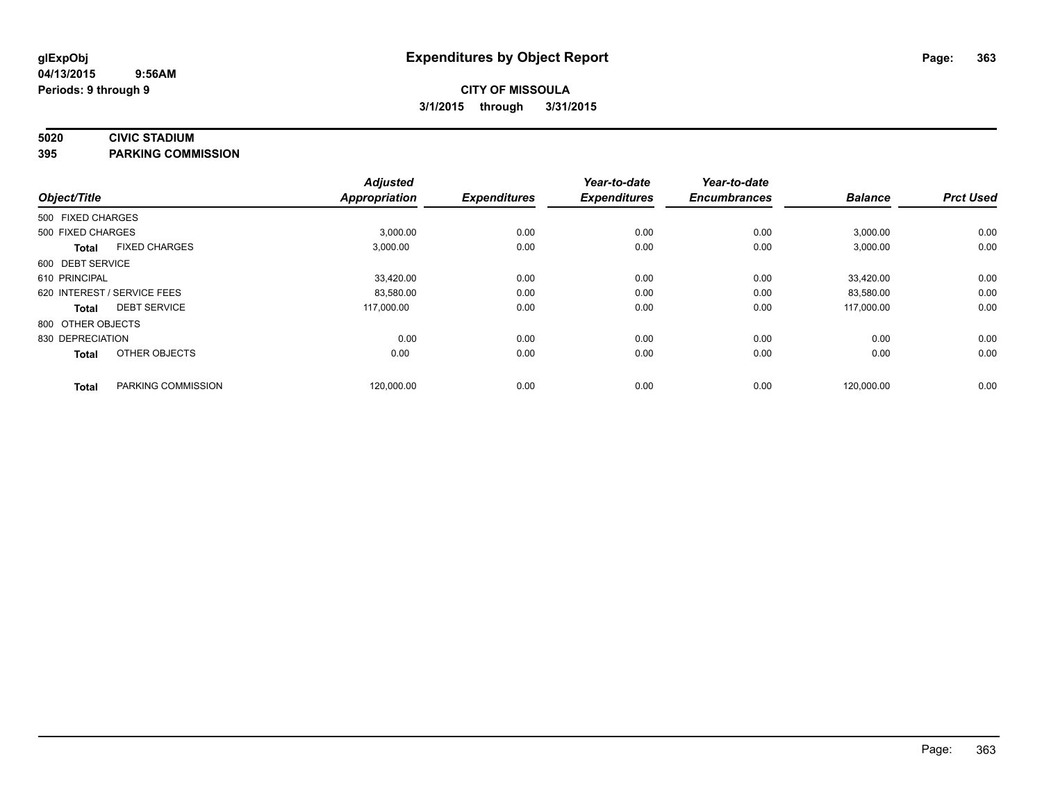## **5020 CIVIC STADIUM**

**395 PARKING COMMISSION**

|                   |                             | <b>Adjusted</b>      |                     | Year-to-date        | Year-to-date<br><b>Encumbrances</b> | <b>Balance</b> | <b>Prct Used</b> |
|-------------------|-----------------------------|----------------------|---------------------|---------------------|-------------------------------------|----------------|------------------|
| Object/Title      |                             | <b>Appropriation</b> | <b>Expenditures</b> | <b>Expenditures</b> |                                     |                |                  |
| 500 FIXED CHARGES |                             |                      |                     |                     |                                     |                |                  |
| 500 FIXED CHARGES |                             | 3,000.00             | 0.00                | 0.00                | 0.00                                | 3,000.00       | 0.00             |
| <b>Total</b>      | <b>FIXED CHARGES</b>        | 3,000.00             | 0.00                | 0.00                | 0.00                                | 3,000.00       | 0.00             |
| 600 DEBT SERVICE  |                             |                      |                     |                     |                                     |                |                  |
| 610 PRINCIPAL     |                             | 33,420.00            | 0.00                | 0.00                | 0.00                                | 33,420.00      | 0.00             |
|                   | 620 INTEREST / SERVICE FEES | 83,580.00            | 0.00                | 0.00                | 0.00                                | 83,580.00      | 0.00             |
| <b>Total</b>      | <b>DEBT SERVICE</b>         | 117,000.00           | 0.00                | 0.00                | 0.00                                | 117,000.00     | 0.00             |
| 800 OTHER OBJECTS |                             |                      |                     |                     |                                     |                |                  |
| 830 DEPRECIATION  |                             | 0.00                 | 0.00                | 0.00                | 0.00                                | 0.00           | 0.00             |
| <b>Total</b>      | OTHER OBJECTS               | 0.00                 | 0.00                | 0.00                | 0.00                                | 0.00           | 0.00             |
| <b>Total</b>      | PARKING COMMISSION          | 120,000.00           | 0.00                | 0.00                | 0.00                                | 120,000.00     | 0.00             |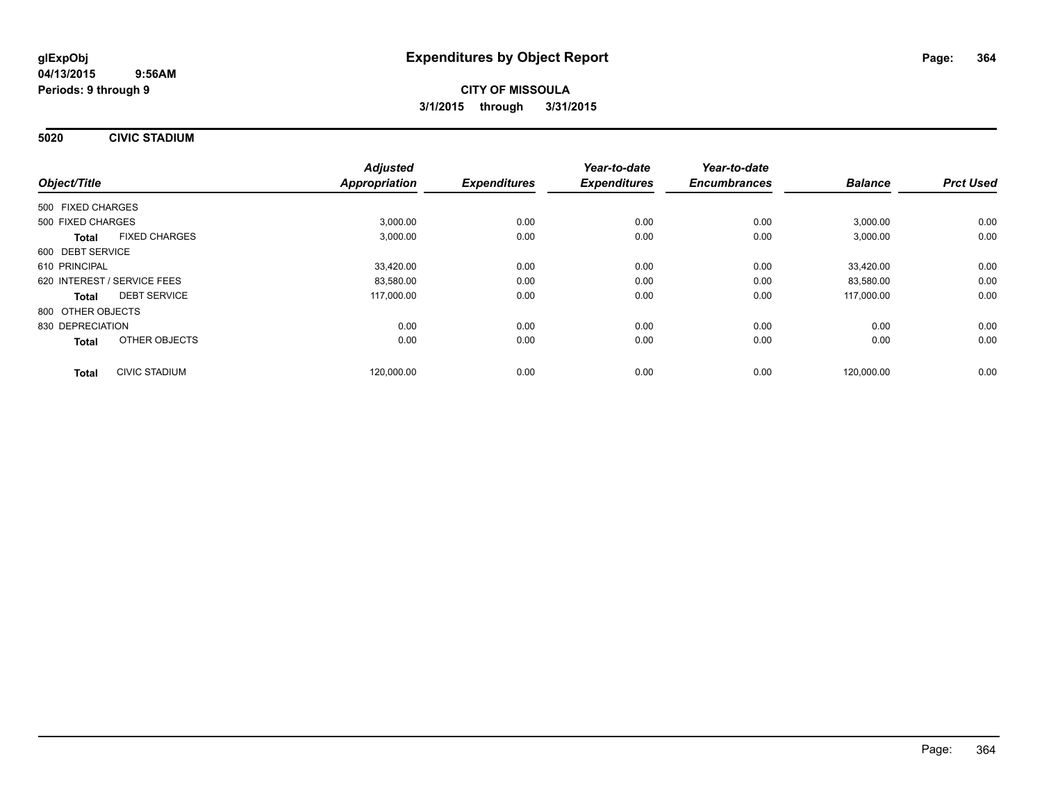**5020 CIVIC STADIUM**

|                             |                      | <b>Adjusted</b>      |                     | Year-to-date        | Year-to-date        |                |                  |
|-----------------------------|----------------------|----------------------|---------------------|---------------------|---------------------|----------------|------------------|
| Object/Title                |                      | <b>Appropriation</b> | <b>Expenditures</b> | <b>Expenditures</b> | <b>Encumbrances</b> | <b>Balance</b> | <b>Prct Used</b> |
| 500 FIXED CHARGES           |                      |                      |                     |                     |                     |                |                  |
| 500 FIXED CHARGES           |                      | 3,000.00             | 0.00                | 0.00                | 0.00                | 3,000.00       | 0.00             |
| <b>Total</b>                | <b>FIXED CHARGES</b> | 3,000.00             | 0.00                | 0.00                | 0.00                | 3,000.00       | 0.00             |
| 600 DEBT SERVICE            |                      |                      |                     |                     |                     |                |                  |
| 610 PRINCIPAL               |                      | 33,420.00            | 0.00                | 0.00                | 0.00                | 33,420.00      | 0.00             |
| 620 INTEREST / SERVICE FEES |                      | 83,580.00            | 0.00                | 0.00                | 0.00                | 83,580.00      | 0.00             |
| Total                       | <b>DEBT SERVICE</b>  | 117,000.00           | 0.00                | 0.00                | 0.00                | 117,000.00     | 0.00             |
| 800 OTHER OBJECTS           |                      |                      |                     |                     |                     |                |                  |
| 830 DEPRECIATION            |                      | 0.00                 | 0.00                | 0.00                | 0.00                | 0.00           | 0.00             |
| Total                       | OTHER OBJECTS        | 0.00                 | 0.00                | 0.00                | 0.00                | 0.00           | 0.00             |
| <b>Total</b>                | <b>CIVIC STADIUM</b> | 120,000.00           | 0.00                | 0.00                | 0.00                | 120,000.00     | 0.00             |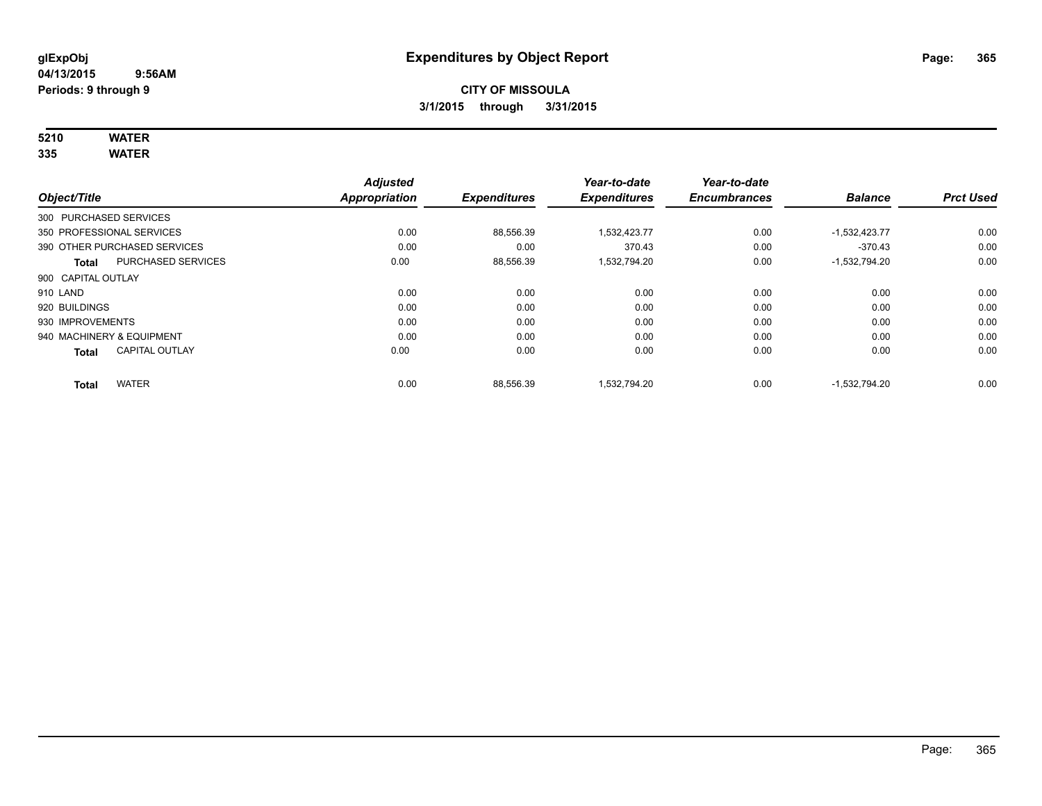# **5210 WATER**

**335 WATER**

|                        |                              | <b>Adjusted</b>      |                     | Year-to-date        | Year-to-date        |                 |                  |
|------------------------|------------------------------|----------------------|---------------------|---------------------|---------------------|-----------------|------------------|
| Object/Title           |                              | <b>Appropriation</b> | <b>Expenditures</b> | <b>Expenditures</b> | <b>Encumbrances</b> | <b>Balance</b>  | <b>Prct Used</b> |
| 300 PURCHASED SERVICES |                              |                      |                     |                     |                     |                 |                  |
|                        | 350 PROFESSIONAL SERVICES    | 0.00                 | 88,556.39           | 1.532.423.77        | 0.00                | $-1,532,423.77$ | 0.00             |
|                        | 390 OTHER PURCHASED SERVICES | 0.00                 | 0.00                | 370.43              | 0.00                | $-370.43$       | 0.00             |
| <b>Total</b>           | <b>PURCHASED SERVICES</b>    | 0.00                 | 88,556.39           | 1,532,794.20        | 0.00                | $-1,532,794.20$ | 0.00             |
| 900 CAPITAL OUTLAY     |                              |                      |                     |                     |                     |                 |                  |
| 910 LAND               |                              | 0.00                 | 0.00                | 0.00                | 0.00                | 0.00            | 0.00             |
| 920 BUILDINGS          |                              | 0.00                 | 0.00                | 0.00                | 0.00                | 0.00            | 0.00             |
| 930 IMPROVEMENTS       |                              | 0.00                 | 0.00                | 0.00                | 0.00                | 0.00            | 0.00             |
|                        | 940 MACHINERY & EQUIPMENT    | 0.00                 | 0.00                | 0.00                | 0.00                | 0.00            | 0.00             |
| <b>Total</b>           | <b>CAPITAL OUTLAY</b>        | 0.00                 | 0.00                | 0.00                | 0.00                | 0.00            | 0.00             |
| <b>Total</b>           | <b>WATER</b>                 | 0.00                 | 88,556.39           | 1.532.794.20        | 0.00                | $-1.532.794.20$ | 0.00             |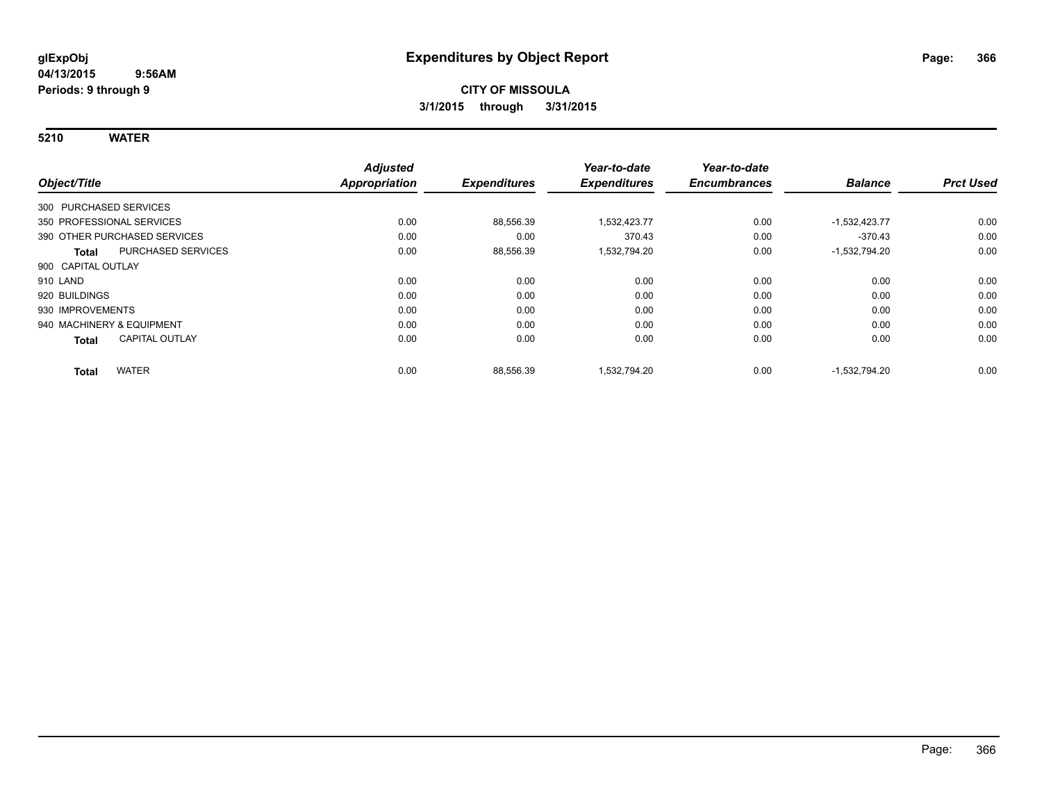**5210 WATER**

| Object/Title                          | <b>Adjusted</b><br>Appropriation | <b>Expenditures</b> | Year-to-date<br><b>Expenditures</b> | Year-to-date<br><b>Encumbrances</b> | <b>Balance</b>  | <b>Prct Used</b> |
|---------------------------------------|----------------------------------|---------------------|-------------------------------------|-------------------------------------|-----------------|------------------|
| 300 PURCHASED SERVICES                |                                  |                     |                                     |                                     |                 |                  |
| 350 PROFESSIONAL SERVICES             | 0.00                             | 88,556.39           | 1,532,423.77                        | 0.00                                | $-1,532,423.77$ | 0.00             |
| 390 OTHER PURCHASED SERVICES          | 0.00                             | 0.00                | 370.43                              | 0.00                                | $-370.43$       | 0.00             |
| PURCHASED SERVICES<br><b>Total</b>    | 0.00                             | 88,556.39           | 1,532,794.20                        | 0.00                                | $-1,532,794.20$ | 0.00             |
| 900 CAPITAL OUTLAY                    |                                  |                     |                                     |                                     |                 |                  |
| 910 LAND                              | 0.00                             | 0.00                | 0.00                                | 0.00                                | 0.00            | 0.00             |
| 920 BUILDINGS                         | 0.00                             | 0.00                | 0.00                                | 0.00                                | 0.00            | 0.00             |
| 930 IMPROVEMENTS                      | 0.00                             | 0.00                | 0.00                                | 0.00                                | 0.00            | 0.00             |
| 940 MACHINERY & EQUIPMENT             | 0.00                             | 0.00                | 0.00                                | 0.00                                | 0.00            | 0.00             |
| <b>CAPITAL OUTLAY</b><br><b>Total</b> | 0.00                             | 0.00                | 0.00                                | 0.00                                | 0.00            | 0.00             |
| <b>WATER</b><br><b>Total</b>          | 0.00                             | 88,556.39           | 1.532.794.20                        | 0.00                                | $-1.532.794.20$ | 0.00             |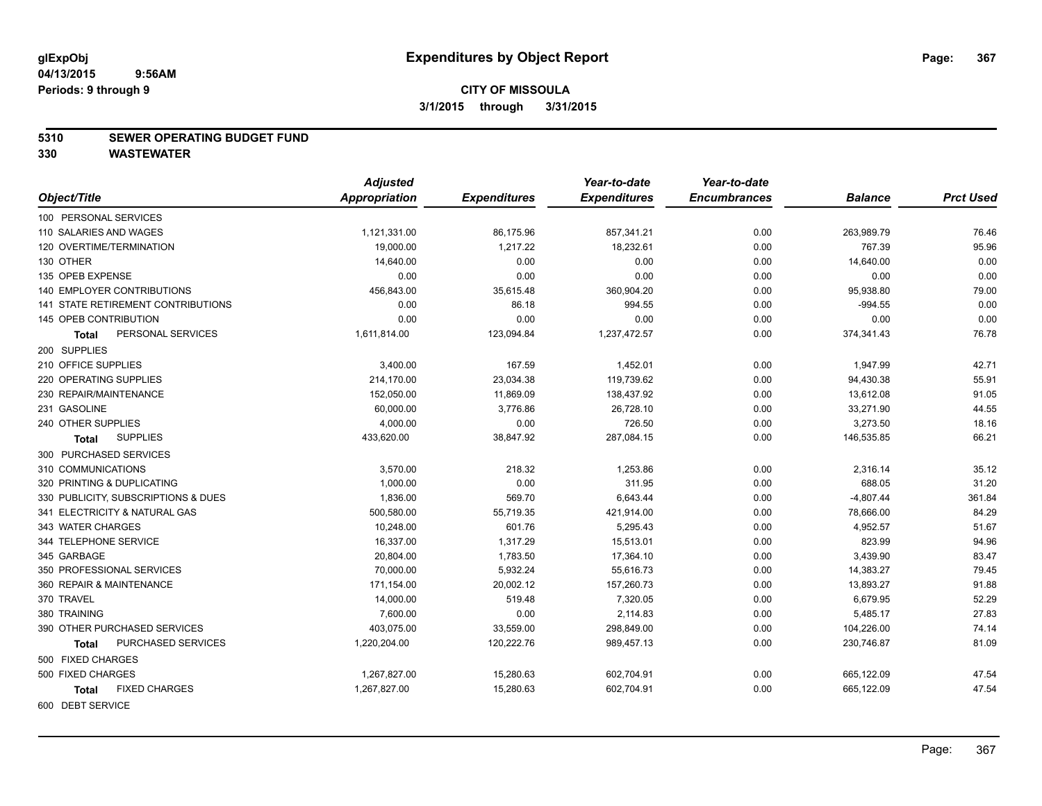#### **5310 SEWER OPERATING BUDGET FUND**

|                                      | <b>Adjusted</b>      |                     | Year-to-date        | Year-to-date        |                |                  |
|--------------------------------------|----------------------|---------------------|---------------------|---------------------|----------------|------------------|
| Object/Title                         | <b>Appropriation</b> | <b>Expenditures</b> | <b>Expenditures</b> | <b>Encumbrances</b> | <b>Balance</b> | <b>Prct Used</b> |
| 100 PERSONAL SERVICES                |                      |                     |                     |                     |                |                  |
| 110 SALARIES AND WAGES               | 1,121,331.00         | 86,175.96           | 857,341.21          | 0.00                | 263,989.79     | 76.46            |
| 120 OVERTIME/TERMINATION             | 19,000.00            | 1,217.22            | 18,232.61           | 0.00                | 767.39         | 95.96            |
| 130 OTHER                            | 14,640.00            | 0.00                | 0.00                | 0.00                | 14,640.00      | 0.00             |
| 135 OPEB EXPENSE                     | 0.00                 | 0.00                | 0.00                | 0.00                | 0.00           | 0.00             |
| <b>140 EMPLOYER CONTRIBUTIONS</b>    | 456,843.00           | 35,615.48           | 360,904.20          | 0.00                | 95,938.80      | 79.00            |
| 141 STATE RETIREMENT CONTRIBUTIONS   | 0.00                 | 86.18               | 994.55              | 0.00                | $-994.55$      | 0.00             |
| 145 OPEB CONTRIBUTION                | 0.00                 | 0.00                | 0.00                | 0.00                | 0.00           | 0.00             |
| PERSONAL SERVICES<br>Total           | 1,611,814.00         | 123,094.84          | 1,237,472.57        | 0.00                | 374,341.43     | 76.78            |
| 200 SUPPLIES                         |                      |                     |                     |                     |                |                  |
| 210 OFFICE SUPPLIES                  | 3,400.00             | 167.59              | 1,452.01            | 0.00                | 1,947.99       | 42.71            |
| 220 OPERATING SUPPLIES               | 214,170.00           | 23,034.38           | 119,739.62          | 0.00                | 94,430.38      | 55.91            |
| 230 REPAIR/MAINTENANCE               | 152,050.00           | 11,869.09           | 138,437.92          | 0.00                | 13,612.08      | 91.05            |
| 231 GASOLINE                         | 60,000.00            | 3,776.86            | 26,728.10           | 0.00                | 33,271.90      | 44.55            |
| 240 OTHER SUPPLIES                   | 4,000.00             | 0.00                | 726.50              | 0.00                | 3,273.50       | 18.16            |
| <b>SUPPLIES</b><br><b>Total</b>      | 433,620.00           | 38,847.92           | 287,084.15          | 0.00                | 146,535.85     | 66.21            |
| 300 PURCHASED SERVICES               |                      |                     |                     |                     |                |                  |
| 310 COMMUNICATIONS                   | 3,570.00             | 218.32              | 1,253.86            | 0.00                | 2,316.14       | 35.12            |
| 320 PRINTING & DUPLICATING           | 1,000.00             | 0.00                | 311.95              | 0.00                | 688.05         | 31.20            |
| 330 PUBLICITY, SUBSCRIPTIONS & DUES  | 1,836.00             | 569.70              | 6,643.44            | 0.00                | $-4,807.44$    | 361.84           |
| 341 ELECTRICITY & NATURAL GAS        | 500,580.00           | 55,719.35           | 421,914.00          | 0.00                | 78,666.00      | 84.29            |
| 343 WATER CHARGES                    | 10,248.00            | 601.76              | 5,295.43            | 0.00                | 4,952.57       | 51.67            |
| 344 TELEPHONE SERVICE                | 16,337.00            | 1,317.29            | 15,513.01           | 0.00                | 823.99         | 94.96            |
| 345 GARBAGE                          | 20,804.00            | 1,783.50            | 17,364.10           | 0.00                | 3,439.90       | 83.47            |
| 350 PROFESSIONAL SERVICES            | 70,000.00            | 5,932.24            | 55,616.73           | 0.00                | 14,383.27      | 79.45            |
| 360 REPAIR & MAINTENANCE             | 171,154.00           | 20,002.12           | 157,260.73          | 0.00                | 13,893.27      | 91.88            |
| 370 TRAVEL                           | 14,000.00            | 519.48              | 7,320.05            | 0.00                | 6,679.95       | 52.29            |
| 380 TRAINING                         | 7,600.00             | 0.00                | 2,114.83            | 0.00                | 5,485.17       | 27.83            |
| 390 OTHER PURCHASED SERVICES         | 403,075.00           | 33,559.00           | 298,849.00          | 0.00                | 104,226.00     | 74.14            |
| PURCHASED SERVICES<br>Total          | 1,220,204.00         | 120,222.76          | 989,457.13          | 0.00                | 230,746.87     | 81.09            |
| 500 FIXED CHARGES                    |                      |                     |                     |                     |                |                  |
| 500 FIXED CHARGES                    | 1,267,827.00         | 15,280.63           | 602,704.91          | 0.00                | 665,122.09     | 47.54            |
| <b>FIXED CHARGES</b><br><b>Total</b> | 1,267,827.00         | 15,280.63           | 602,704.91          | 0.00                | 665,122.09     | 47.54            |
| 600 DEBT SERVICE                     |                      |                     |                     |                     |                |                  |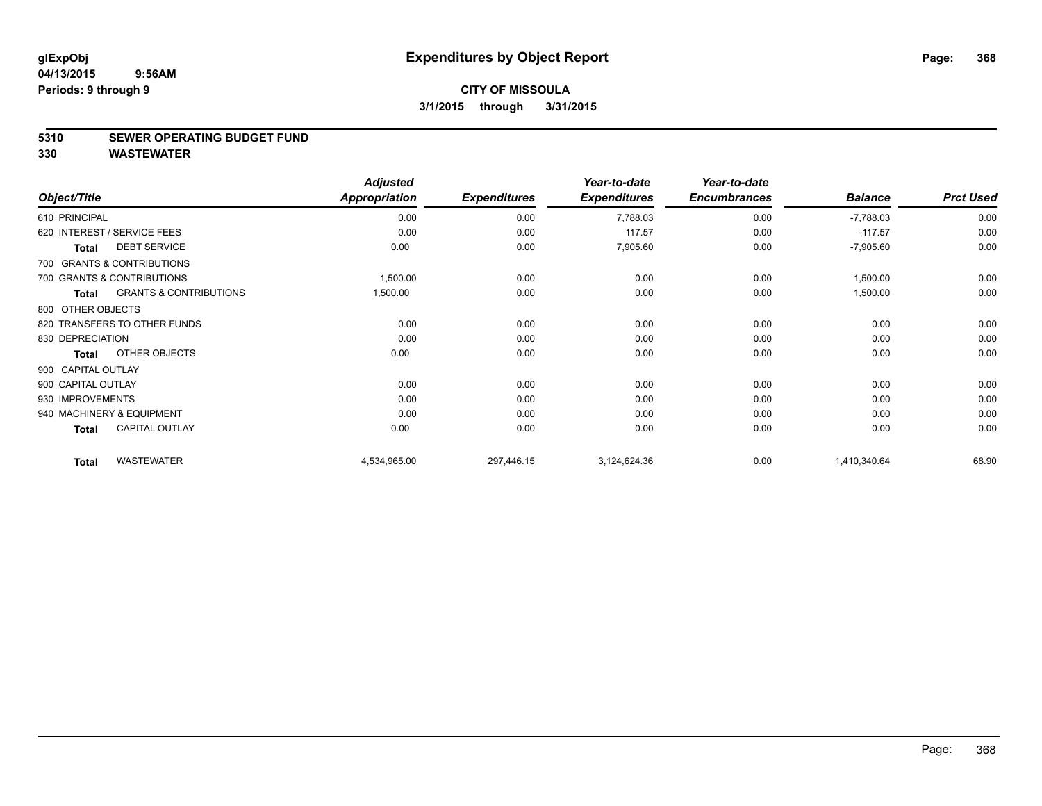#### **5310 SEWER OPERATING BUDGET FUND**

| Object/Title                |                                   | <b>Adjusted</b> |                     | Year-to-date        | Year-to-date<br><b>Encumbrances</b> | <b>Balance</b> | <b>Prct Used</b> |
|-----------------------------|-----------------------------------|-----------------|---------------------|---------------------|-------------------------------------|----------------|------------------|
|                             |                                   | Appropriation   | <b>Expenditures</b> | <b>Expenditures</b> |                                     |                |                  |
| 610 PRINCIPAL               |                                   | 0.00            | 0.00                | 7,788.03            | 0.00                                | $-7,788.03$    | 0.00             |
| 620 INTEREST / SERVICE FEES |                                   | 0.00            | 0.00                | 117.57              | 0.00                                | $-117.57$      | 0.00             |
| <b>Total</b>                | <b>DEBT SERVICE</b>               | 0.00            | 0.00                | 7,905.60            | 0.00                                | $-7,905.60$    | 0.00             |
|                             | 700 GRANTS & CONTRIBUTIONS        |                 |                     |                     |                                     |                |                  |
| 700 GRANTS & CONTRIBUTIONS  |                                   | 1,500.00        | 0.00                | 0.00                | 0.00                                | 1,500.00       | 0.00             |
| Total                       | <b>GRANTS &amp; CONTRIBUTIONS</b> | 1,500.00        | 0.00                | 0.00                | 0.00                                | 1,500.00       | 0.00             |
| 800 OTHER OBJECTS           |                                   |                 |                     |                     |                                     |                |                  |
|                             | 820 TRANSFERS TO OTHER FUNDS      | 0.00            | 0.00                | 0.00                | 0.00                                | 0.00           | 0.00             |
| 830 DEPRECIATION            |                                   | 0.00            | 0.00                | 0.00                | 0.00                                | 0.00           | 0.00             |
| Total                       | OTHER OBJECTS                     | 0.00            | 0.00                | 0.00                | 0.00                                | 0.00           | 0.00             |
| 900 CAPITAL OUTLAY          |                                   |                 |                     |                     |                                     |                |                  |
| 900 CAPITAL OUTLAY          |                                   | 0.00            | 0.00                | 0.00                | 0.00                                | 0.00           | 0.00             |
| 930 IMPROVEMENTS            |                                   | 0.00            | 0.00                | 0.00                | 0.00                                | 0.00           | 0.00             |
| 940 MACHINERY & EQUIPMENT   |                                   | 0.00            | 0.00                | 0.00                | 0.00                                | 0.00           | 0.00             |
| <b>Total</b>                | <b>CAPITAL OUTLAY</b>             | 0.00            | 0.00                | 0.00                | 0.00                                | 0.00           | 0.00             |
| <b>Total</b>                | <b>WASTEWATER</b>                 | 4,534,965.00    | 297,446.15          | 3,124,624.36        | 0.00                                | 1,410,340.64   | 68.90            |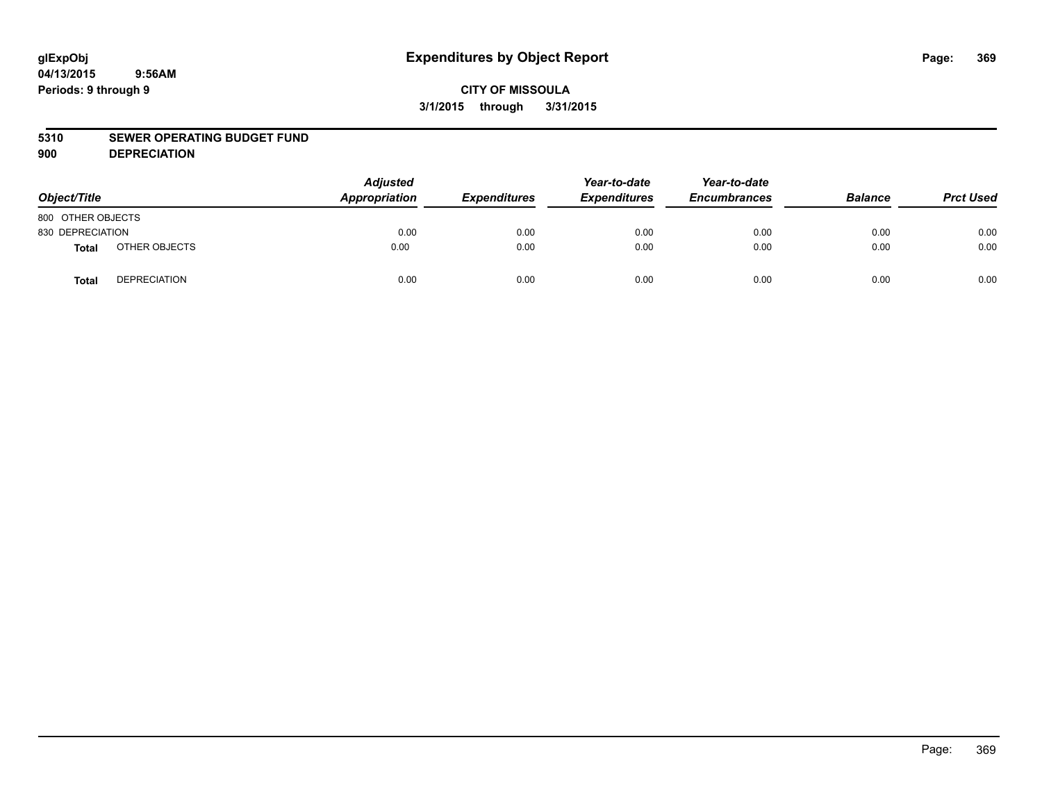## **CITY OF MISSOULA 3/1/2015 through 3/31/2015**

#### **5310 SEWER OPERATING BUDGET FUND**

**900 DEPRECIATION**

| Object/Title      |                     | <b>Adjusted</b><br>Appropriation | <b>Expenditures</b> | Year-to-date<br><b>Expenditures</b> | Year-to-date<br><b>Encumbrances</b> | <b>Balance</b> | <b>Prct Used</b> |
|-------------------|---------------------|----------------------------------|---------------------|-------------------------------------|-------------------------------------|----------------|------------------|
| 800 OTHER OBJECTS |                     |                                  |                     |                                     |                                     |                |                  |
| 830 DEPRECIATION  |                     | 0.00                             | 0.00                | 0.00                                | 0.00                                | 0.00           | 0.00             |
| <b>Total</b>      | OTHER OBJECTS       | 0.00                             | 0.00                | 0.00                                | 0.00                                | 0.00           | 0.00             |
| Tota              | <b>DEPRECIATION</b> | 0.00                             | 0.00                | 0.00                                | 0.00                                | 0.00           | 0.00             |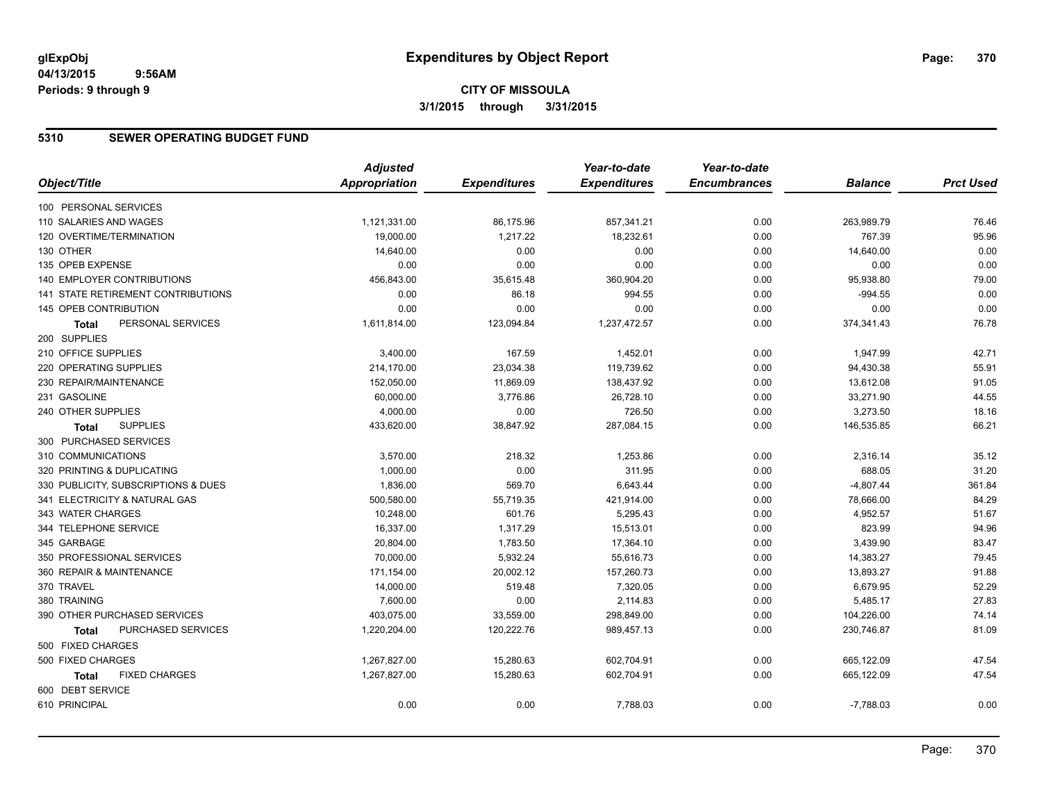## **5310 SEWER OPERATING BUDGET FUND**

|                                      | <b>Adjusted</b>      |                     | Year-to-date        | Year-to-date        |                |                  |
|--------------------------------------|----------------------|---------------------|---------------------|---------------------|----------------|------------------|
| Object/Title                         | <b>Appropriation</b> | <b>Expenditures</b> | <b>Expenditures</b> | <b>Encumbrances</b> | <b>Balance</b> | <b>Prct Used</b> |
| 100 PERSONAL SERVICES                |                      |                     |                     |                     |                |                  |
| 110 SALARIES AND WAGES               | 1,121,331.00         | 86,175.96           | 857,341.21          | 0.00                | 263,989.79     | 76.46            |
| 120 OVERTIME/TERMINATION             | 19,000.00            | 1,217.22            | 18,232.61           | 0.00                | 767.39         | 95.96            |
| 130 OTHER                            | 14,640.00            | 0.00                | 0.00                | 0.00                | 14,640.00      | 0.00             |
| 135 OPEB EXPENSE                     | 0.00                 | 0.00                | 0.00                | 0.00                | 0.00           | 0.00             |
| 140 EMPLOYER CONTRIBUTIONS           | 456,843.00           | 35,615.48           | 360,904.20          | 0.00                | 95,938.80      | 79.00            |
| 141 STATE RETIREMENT CONTRIBUTIONS   | 0.00                 | 86.18               | 994.55              | 0.00                | $-994.55$      | 0.00             |
| <b>145 OPEB CONTRIBUTION</b>         | 0.00                 | 0.00                | 0.00                | 0.00                | 0.00           | 0.00             |
| PERSONAL SERVICES<br><b>Total</b>    | 1,611,814.00         | 123,094.84          | 1,237,472.57        | 0.00                | 374,341.43     | 76.78            |
| 200 SUPPLIES                         |                      |                     |                     |                     |                |                  |
| 210 OFFICE SUPPLIES                  | 3,400.00             | 167.59              | 1,452.01            | 0.00                | 1,947.99       | 42.71            |
| 220 OPERATING SUPPLIES               | 214,170.00           | 23,034.38           | 119,739.62          | 0.00                | 94,430.38      | 55.91            |
| 230 REPAIR/MAINTENANCE               | 152,050.00           | 11,869.09           | 138,437.92          | 0.00                | 13,612.08      | 91.05            |
| 231 GASOLINE                         | 60,000.00            | 3,776.86            | 26,728.10           | 0.00                | 33,271.90      | 44.55            |
| 240 OTHER SUPPLIES                   | 4,000.00             | 0.00                | 726.50              | 0.00                | 3,273.50       | 18.16            |
| <b>SUPPLIES</b><br><b>Total</b>      | 433,620.00           | 38,847.92           | 287,084.15          | 0.00                | 146,535.85     | 66.21            |
| 300 PURCHASED SERVICES               |                      |                     |                     |                     |                |                  |
| 310 COMMUNICATIONS                   | 3,570.00             | 218.32              | 1,253.86            | 0.00                | 2,316.14       | 35.12            |
| 320 PRINTING & DUPLICATING           | 1,000.00             | 0.00                | 311.95              | 0.00                | 688.05         | 31.20            |
| 330 PUBLICITY, SUBSCRIPTIONS & DUES  | 1,836.00             | 569.70              | 6,643.44            | 0.00                | $-4,807.44$    | 361.84           |
| 341 ELECTRICITY & NATURAL GAS        | 500,580.00           | 55,719.35           | 421,914.00          | 0.00                | 78,666.00      | 84.29            |
| 343 WATER CHARGES                    | 10,248.00            | 601.76              | 5,295.43            | 0.00                | 4,952.57       | 51.67            |
| 344 TELEPHONE SERVICE                | 16,337.00            | 1,317.29            | 15,513.01           | 0.00                | 823.99         | 94.96            |
| 345 GARBAGE                          | 20,804.00            | 1,783.50            | 17,364.10           | 0.00                | 3,439.90       | 83.47            |
| 350 PROFESSIONAL SERVICES            | 70,000.00            | 5,932.24            | 55,616.73           | 0.00                | 14,383.27      | 79.45            |
| 360 REPAIR & MAINTENANCE             | 171,154.00           | 20,002.12           | 157,260.73          | 0.00                | 13,893.27      | 91.88            |
| 370 TRAVEL                           | 14,000.00            | 519.48              | 7,320.05            | 0.00                | 6,679.95       | 52.29            |
| 380 TRAINING                         | 7,600.00             | 0.00                | 2,114.83            | 0.00                | 5,485.17       | 27.83            |
| 390 OTHER PURCHASED SERVICES         | 403,075.00           | 33,559.00           | 298,849.00          | 0.00                | 104,226.00     | 74.14            |
| PURCHASED SERVICES<br><b>Total</b>   | 1,220,204.00         | 120,222.76          | 989,457.13          | 0.00                | 230,746.87     | 81.09            |
| 500 FIXED CHARGES                    |                      |                     |                     |                     |                |                  |
| 500 FIXED CHARGES                    | 1,267,827.00         | 15,280.63           | 602,704.91          | 0.00                | 665,122.09     | 47.54            |
| <b>FIXED CHARGES</b><br><b>Total</b> | 1,267,827.00         | 15,280.63           | 602,704.91          | 0.00                | 665,122.09     | 47.54            |
| 600 DEBT SERVICE                     |                      |                     |                     |                     |                |                  |
| 610 PRINCIPAL                        | 0.00                 | 0.00                | 7,788.03            | 0.00                | $-7,788.03$    | 0.00             |
|                                      |                      |                     |                     |                     |                |                  |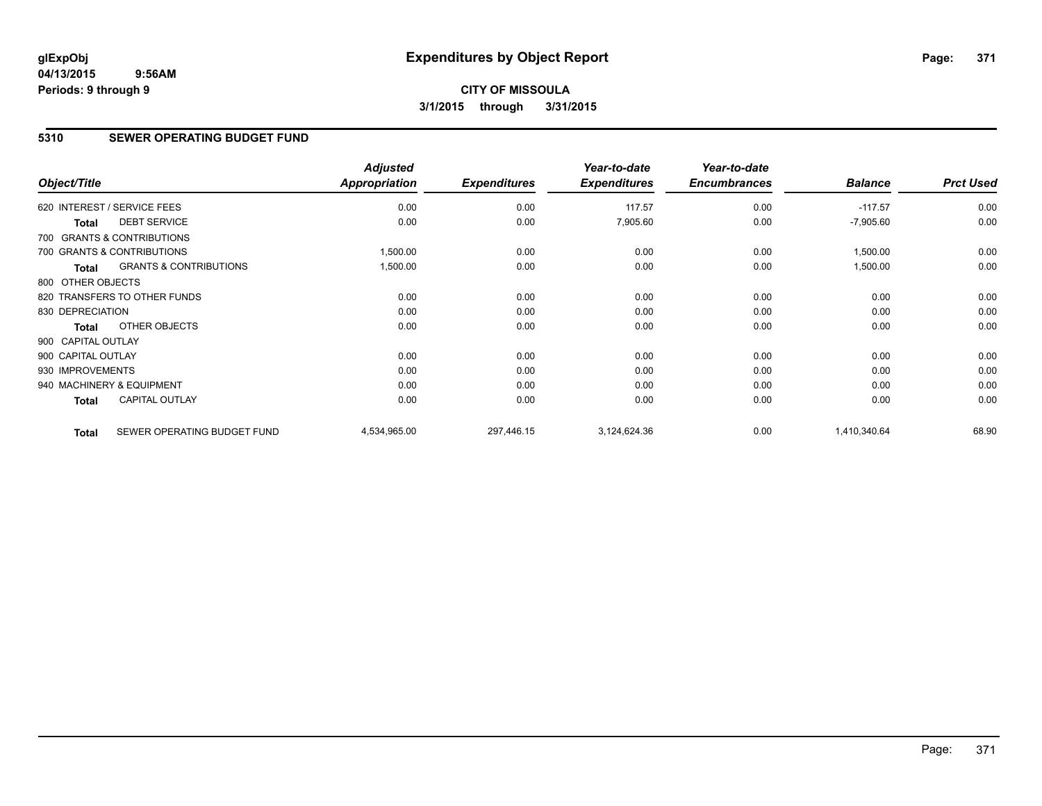## **5310 SEWER OPERATING BUDGET FUND**

| Object/Title       |                                   | <b>Adjusted</b><br><b>Appropriation</b> | <b>Expenditures</b> | Year-to-date<br><b>Expenditures</b> | Year-to-date<br><b>Encumbrances</b> | <b>Balance</b> | <b>Prct Used</b> |
|--------------------|-----------------------------------|-----------------------------------------|---------------------|-------------------------------------|-------------------------------------|----------------|------------------|
|                    | 620 INTEREST / SERVICE FEES       | 0.00                                    | 0.00                | 117.57                              | 0.00                                | $-117.57$      | 0.00             |
| <b>Total</b>       | <b>DEBT SERVICE</b>               | 0.00                                    | 0.00                | 7,905.60                            | 0.00                                | $-7,905.60$    | 0.00             |
|                    | 700 GRANTS & CONTRIBUTIONS        |                                         |                     |                                     |                                     |                |                  |
|                    | 700 GRANTS & CONTRIBUTIONS        | 1,500.00                                | 0.00                | 0.00                                | 0.00                                | 1,500.00       | 0.00             |
| <b>Total</b>       | <b>GRANTS &amp; CONTRIBUTIONS</b> | 1,500.00                                | 0.00                | 0.00                                | 0.00                                | 1,500.00       | 0.00             |
| 800 OTHER OBJECTS  |                                   |                                         |                     |                                     |                                     |                |                  |
|                    | 820 TRANSFERS TO OTHER FUNDS      | 0.00                                    | 0.00                | 0.00                                | 0.00                                | 0.00           | 0.00             |
| 830 DEPRECIATION   |                                   | 0.00                                    | 0.00                | 0.00                                | 0.00                                | 0.00           | 0.00             |
| Total              | OTHER OBJECTS                     | 0.00                                    | 0.00                | 0.00                                | 0.00                                | 0.00           | 0.00             |
| 900 CAPITAL OUTLAY |                                   |                                         |                     |                                     |                                     |                |                  |
| 900 CAPITAL OUTLAY |                                   | 0.00                                    | 0.00                | 0.00                                | 0.00                                | 0.00           | 0.00             |
| 930 IMPROVEMENTS   |                                   | 0.00                                    | 0.00                | 0.00                                | 0.00                                | 0.00           | 0.00             |
|                    | 940 MACHINERY & EQUIPMENT         | 0.00                                    | 0.00                | 0.00                                | 0.00                                | 0.00           | 0.00             |
| Total              | <b>CAPITAL OUTLAY</b>             | 0.00                                    | 0.00                | 0.00                                | 0.00                                | 0.00           | 0.00             |
| <b>Total</b>       | SEWER OPERATING BUDGET FUND       | 4,534,965.00                            | 297,446.15          | 3,124,624.36                        | 0.00                                | 1,410,340.64   | 68.90            |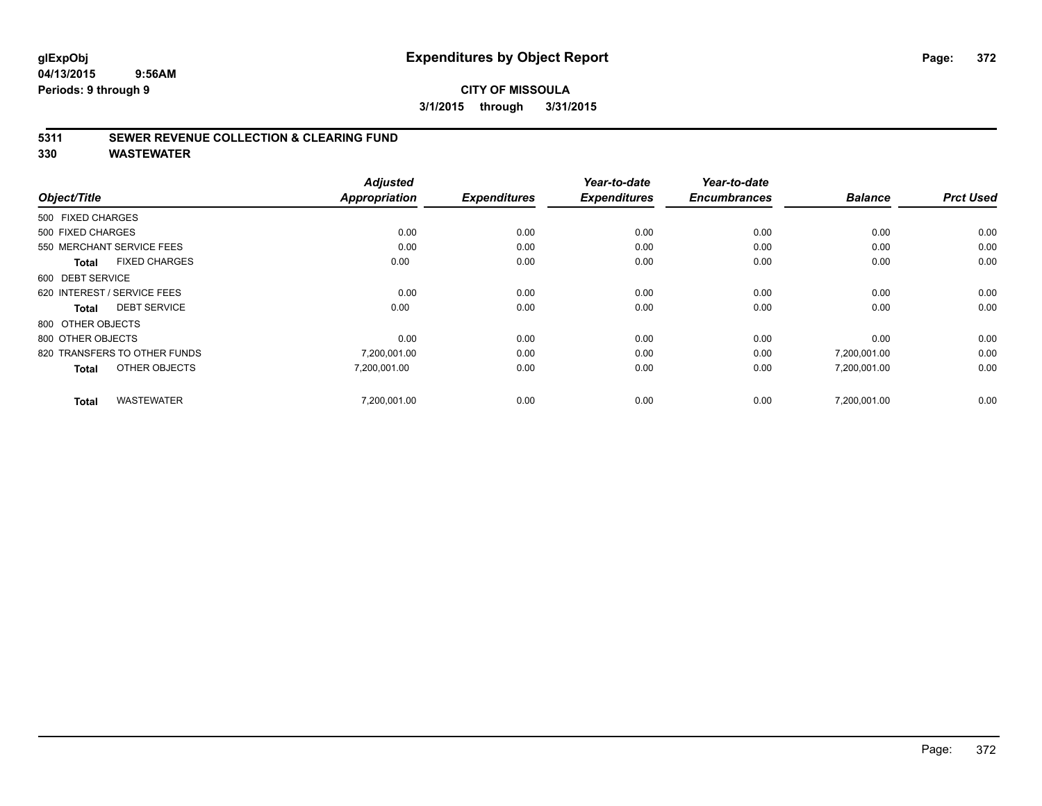## **5311 SEWER REVENUE COLLECTION & CLEARING FUND**

| Object/Title                         | <b>Adjusted</b><br><b>Appropriation</b> | <b>Expenditures</b> | Year-to-date<br><b>Expenditures</b> | Year-to-date<br><b>Encumbrances</b> | <b>Balance</b> | <b>Prct Used</b> |
|--------------------------------------|-----------------------------------------|---------------------|-------------------------------------|-------------------------------------|----------------|------------------|
| 500 FIXED CHARGES                    |                                         |                     |                                     |                                     |                |                  |
| 500 FIXED CHARGES                    | 0.00                                    | 0.00                | 0.00                                | 0.00                                | 0.00           | 0.00             |
| 550 MERCHANT SERVICE FEES            | 0.00                                    | 0.00                | 0.00                                | 0.00                                | 0.00           | 0.00             |
| <b>FIXED CHARGES</b><br><b>Total</b> | 0.00                                    | 0.00                | 0.00                                | 0.00                                | 0.00           | 0.00             |
| 600 DEBT SERVICE                     |                                         |                     |                                     |                                     |                |                  |
| 620 INTEREST / SERVICE FEES          | 0.00                                    | 0.00                | 0.00                                | 0.00                                | 0.00           | 0.00             |
| <b>DEBT SERVICE</b><br><b>Total</b>  | 0.00                                    | 0.00                | 0.00                                | 0.00                                | 0.00           | 0.00             |
| 800 OTHER OBJECTS                    |                                         |                     |                                     |                                     |                |                  |
| 800 OTHER OBJECTS                    | 0.00                                    | 0.00                | 0.00                                | 0.00                                | 0.00           | 0.00             |
| 820 TRANSFERS TO OTHER FUNDS         | 7,200,001.00                            | 0.00                | 0.00                                | 0.00                                | 7,200,001.00   | 0.00             |
| OTHER OBJECTS<br><b>Total</b>        | 7,200,001.00                            | 0.00                | 0.00                                | 0.00                                | 7,200,001.00   | 0.00             |
| <b>WASTEWATER</b><br><b>Total</b>    | 7,200,001.00                            | 0.00                | 0.00                                | 0.00                                | 7,200,001.00   | 0.00             |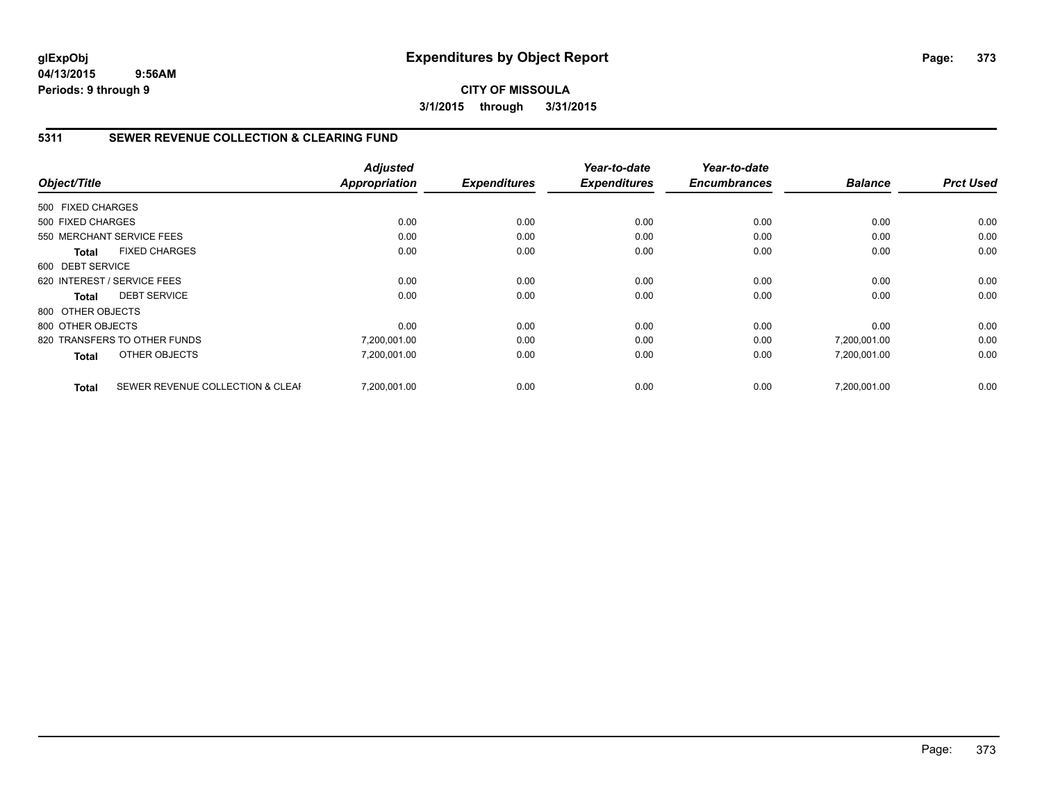**CITY OF MISSOULA 3/1/2015 through 3/31/2015**

## **5311 SEWER REVENUE COLLECTION & CLEARING FUND**

|                   |                                  | <b>Adjusted</b> |                     | Year-to-date        | Year-to-date<br><b>Encumbrances</b> |                | <b>Prct Used</b> |
|-------------------|----------------------------------|-----------------|---------------------|---------------------|-------------------------------------|----------------|------------------|
| Object/Title      |                                  | Appropriation   | <b>Expenditures</b> | <b>Expenditures</b> |                                     | <b>Balance</b> |                  |
| 500 FIXED CHARGES |                                  |                 |                     |                     |                                     |                |                  |
| 500 FIXED CHARGES |                                  | 0.00            | 0.00                | 0.00                | 0.00                                | 0.00           | 0.00             |
|                   | 550 MERCHANT SERVICE FEES        | 0.00            | 0.00                | 0.00                | 0.00                                | 0.00           | 0.00             |
| Total             | <b>FIXED CHARGES</b>             | 0.00            | 0.00                | 0.00                | 0.00                                | 0.00           | 0.00             |
| 600 DEBT SERVICE  |                                  |                 |                     |                     |                                     |                |                  |
|                   | 620 INTEREST / SERVICE FEES      | 0.00            | 0.00                | 0.00                | 0.00                                | 0.00           | 0.00             |
| Total             | <b>DEBT SERVICE</b>              | 0.00            | 0.00                | 0.00                | 0.00                                | 0.00           | 0.00             |
| 800 OTHER OBJECTS |                                  |                 |                     |                     |                                     |                |                  |
| 800 OTHER OBJECTS |                                  | 0.00            | 0.00                | 0.00                | 0.00                                | 0.00           | 0.00             |
|                   | 820 TRANSFERS TO OTHER FUNDS     | 7,200,001.00    | 0.00                | 0.00                | 0.00                                | 7,200,001.00   | 0.00             |
| <b>Total</b>      | OTHER OBJECTS                    | 7,200,001.00    | 0.00                | 0.00                | 0.00                                | 7,200,001.00   | 0.00             |
| <b>Total</b>      | SEWER REVENUE COLLECTION & CLEAF | 7.200.001.00    | 0.00                | 0.00                | 0.00                                | 7.200.001.00   | 0.00             |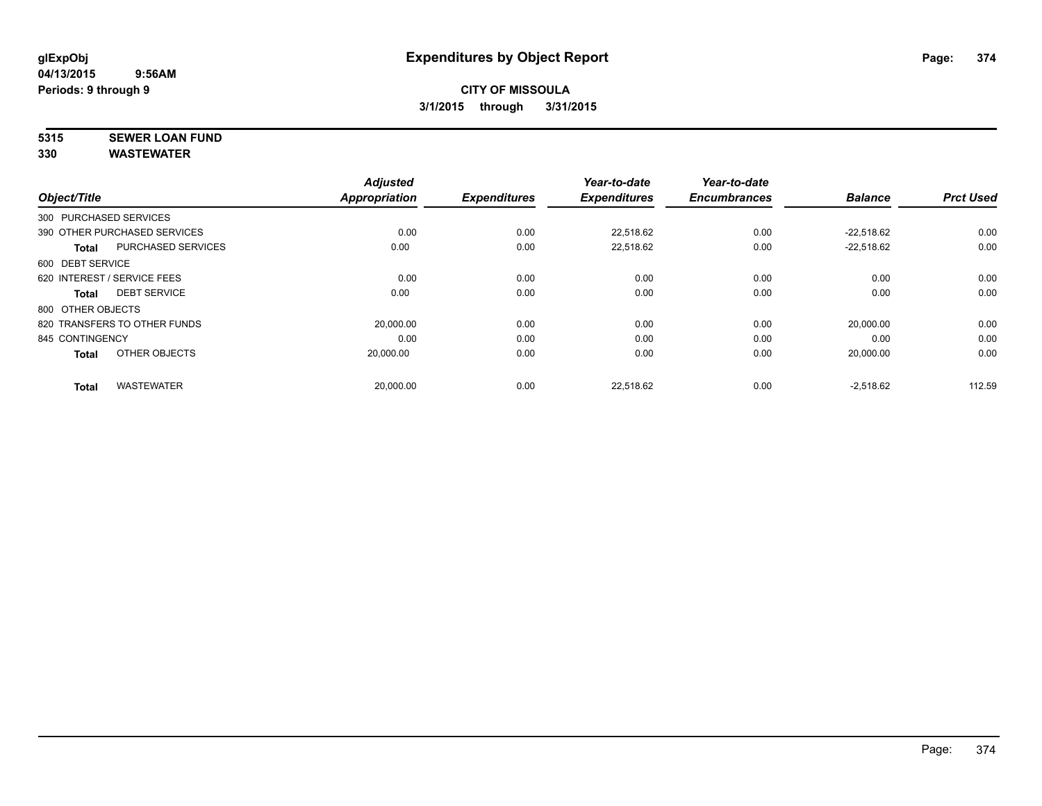# **5315 SEWER LOAN FUND**

| Object/Title      |                              | <b>Adjusted</b><br><b>Appropriation</b> | <b>Expenditures</b> | Year-to-date<br><b>Expenditures</b> | Year-to-date<br><b>Encumbrances</b> | <b>Balance</b> | <b>Prct Used</b> |
|-------------------|------------------------------|-----------------------------------------|---------------------|-------------------------------------|-------------------------------------|----------------|------------------|
|                   |                              |                                         |                     |                                     |                                     |                |                  |
|                   | 300 PURCHASED SERVICES       |                                         |                     |                                     |                                     |                |                  |
|                   | 390 OTHER PURCHASED SERVICES | 0.00                                    | 0.00                | 22.518.62                           | 0.00                                | $-22.518.62$   | 0.00             |
| <b>Total</b>      | <b>PURCHASED SERVICES</b>    | 0.00                                    | 0.00                | 22,518.62                           | 0.00                                | $-22.518.62$   | 0.00             |
| 600 DEBT SERVICE  |                              |                                         |                     |                                     |                                     |                |                  |
|                   | 620 INTEREST / SERVICE FEES  | 0.00                                    | 0.00                | 0.00                                | 0.00                                | 0.00           | 0.00             |
| Total             | <b>DEBT SERVICE</b>          | 0.00                                    | 0.00                | 0.00                                | 0.00                                | 0.00           | 0.00             |
| 800 OTHER OBJECTS |                              |                                         |                     |                                     |                                     |                |                  |
|                   | 820 TRANSFERS TO OTHER FUNDS | 20,000.00                               | 0.00                | 0.00                                | 0.00                                | 20,000.00      | 0.00             |
| 845 CONTINGENCY   |                              | 0.00                                    | 0.00                | 0.00                                | 0.00                                | 0.00           | 0.00             |
| <b>Total</b>      | OTHER OBJECTS                | 20,000.00                               | 0.00                | 0.00                                | 0.00                                | 20,000.00      | 0.00             |
| <b>Total</b>      | <b>WASTEWATER</b>            | 20,000.00                               | 0.00                | 22,518.62                           | 0.00                                | $-2,518.62$    | 112.59           |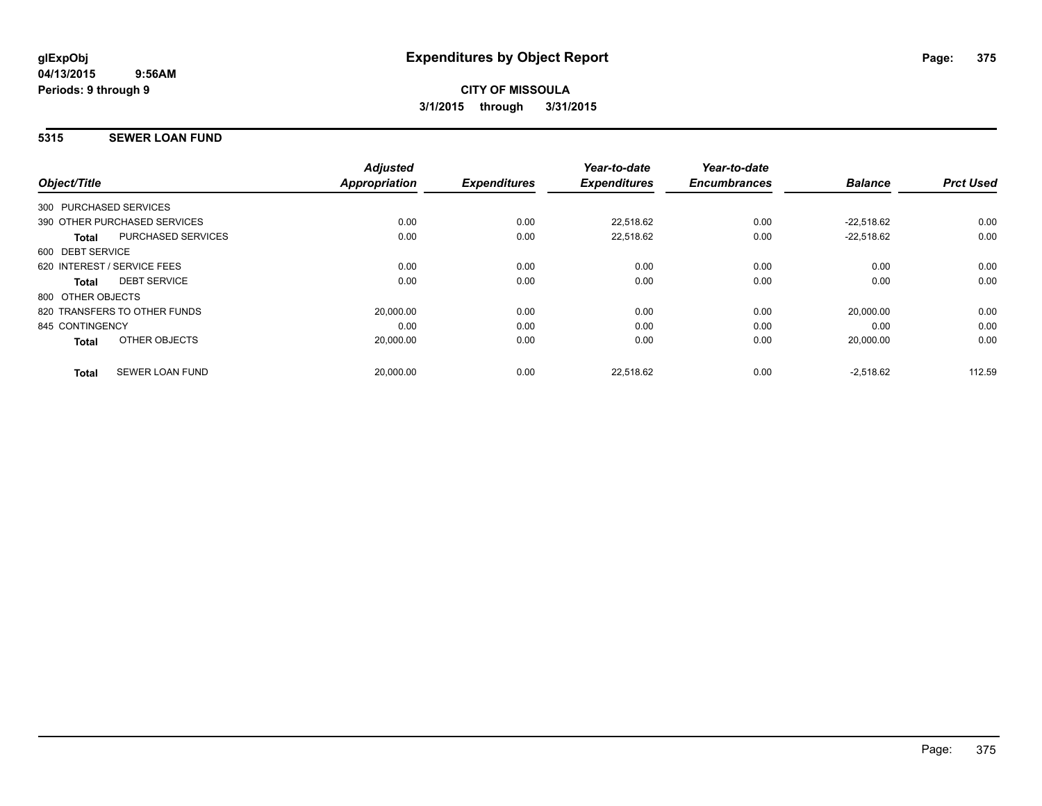## **5315 SEWER LOAN FUND**

|                   |                              | <b>Adjusted</b>      |                     | Year-to-date        | Year-to-date        |                |                  |
|-------------------|------------------------------|----------------------|---------------------|---------------------|---------------------|----------------|------------------|
| Object/Title      |                              | <b>Appropriation</b> | <b>Expenditures</b> | <b>Expenditures</b> | <b>Encumbrances</b> | <b>Balance</b> | <b>Prct Used</b> |
|                   | 300 PURCHASED SERVICES       |                      |                     |                     |                     |                |                  |
|                   | 390 OTHER PURCHASED SERVICES | 0.00                 | 0.00                | 22,518.62           | 0.00                | $-22,518.62$   | 0.00             |
| <b>Total</b>      | <b>PURCHASED SERVICES</b>    | 0.00                 | 0.00                | 22,518.62           | 0.00                | $-22,518.62$   | 0.00             |
| 600 DEBT SERVICE  |                              |                      |                     |                     |                     |                |                  |
|                   | 620 INTEREST / SERVICE FEES  | 0.00                 | 0.00                | 0.00                | 0.00                | 0.00           | 0.00             |
| Total             | <b>DEBT SERVICE</b>          | 0.00                 | 0.00                | 0.00                | 0.00                | 0.00           | 0.00             |
| 800 OTHER OBJECTS |                              |                      |                     |                     |                     |                |                  |
|                   | 820 TRANSFERS TO OTHER FUNDS | 20,000.00            | 0.00                | 0.00                | 0.00                | 20,000.00      | 0.00             |
| 845 CONTINGENCY   |                              | 0.00                 | 0.00                | 0.00                | 0.00                | 0.00           | 0.00             |
| <b>Total</b>      | OTHER OBJECTS                | 20,000.00            | 0.00                | 0.00                | 0.00                | 20,000.00      | 0.00             |
| <b>Total</b>      | <b>SEWER LOAN FUND</b>       | 20,000.00            | 0.00                | 22,518.62           | 0.00                | $-2,518.62$    | 112.59           |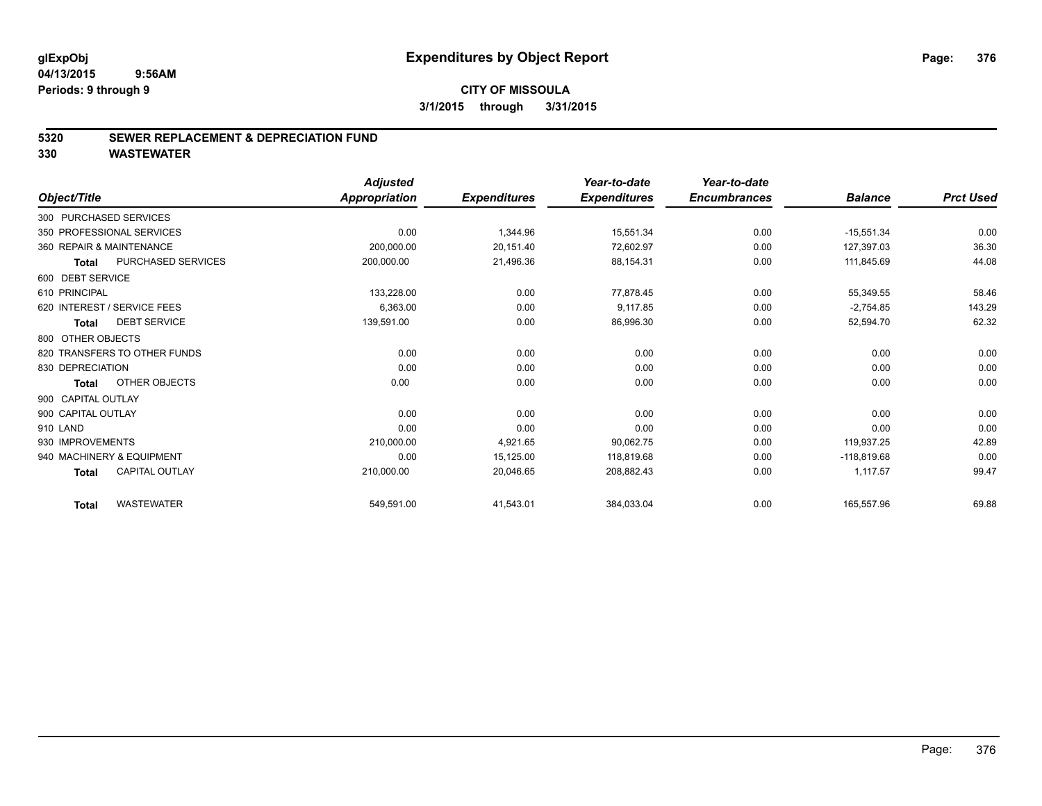## **5320 SEWER REPLACEMENT & DEPRECIATION FUND**

|                                           | <b>Adjusted</b>      |                     | Year-to-date        | Year-to-date        |                |                  |
|-------------------------------------------|----------------------|---------------------|---------------------|---------------------|----------------|------------------|
| Object/Title                              | <b>Appropriation</b> | <b>Expenditures</b> | <b>Expenditures</b> | <b>Encumbrances</b> | <b>Balance</b> | <b>Prct Used</b> |
| 300 PURCHASED SERVICES                    |                      |                     |                     |                     |                |                  |
| 350 PROFESSIONAL SERVICES                 | 0.00                 | 1,344.96            | 15,551.34           | 0.00                | $-15,551.34$   | 0.00             |
| 360 REPAIR & MAINTENANCE                  | 200,000.00           | 20,151.40           | 72,602.97           | 0.00                | 127,397.03     | 36.30            |
| <b>PURCHASED SERVICES</b><br><b>Total</b> | 200,000.00           | 21,496.36           | 88,154.31           | 0.00                | 111,845.69     | 44.08            |
| 600 DEBT SERVICE                          |                      |                     |                     |                     |                |                  |
| 610 PRINCIPAL                             | 133,228.00           | 0.00                | 77,878.45           | 0.00                | 55,349.55      | 58.46            |
| 620 INTEREST / SERVICE FEES               | 6,363.00             | 0.00                | 9,117.85            | 0.00                | $-2,754.85$    | 143.29           |
| <b>DEBT SERVICE</b><br><b>Total</b>       | 139,591.00           | 0.00                | 86,996.30           | 0.00                | 52,594.70      | 62.32            |
| 800 OTHER OBJECTS                         |                      |                     |                     |                     |                |                  |
| 820 TRANSFERS TO OTHER FUNDS              | 0.00                 | 0.00                | 0.00                | 0.00                | 0.00           | 0.00             |
| 830 DEPRECIATION                          | 0.00                 | 0.00                | 0.00                | 0.00                | 0.00           | 0.00             |
| OTHER OBJECTS<br><b>Total</b>             | 0.00                 | 0.00                | 0.00                | 0.00                | 0.00           | 0.00             |
| 900 CAPITAL OUTLAY                        |                      |                     |                     |                     |                |                  |
| 900 CAPITAL OUTLAY                        | 0.00                 | 0.00                | 0.00                | 0.00                | 0.00           | 0.00             |
| 910 LAND                                  | 0.00                 | 0.00                | 0.00                | 0.00                | 0.00           | 0.00             |
| 930 IMPROVEMENTS                          | 210,000.00           | 4,921.65            | 90,062.75           | 0.00                | 119,937.25     | 42.89            |
| 940 MACHINERY & EQUIPMENT                 | 0.00                 | 15,125.00           | 118,819.68          | 0.00                | $-118,819.68$  | 0.00             |
| CAPITAL OUTLAY<br><b>Total</b>            | 210,000.00           | 20,046.65           | 208,882.43          | 0.00                | 1,117.57       | 99.47            |
| <b>WASTEWATER</b><br><b>Total</b>         | 549,591.00           | 41,543.01           | 384,033.04          | 0.00                | 165,557.96     | 69.88            |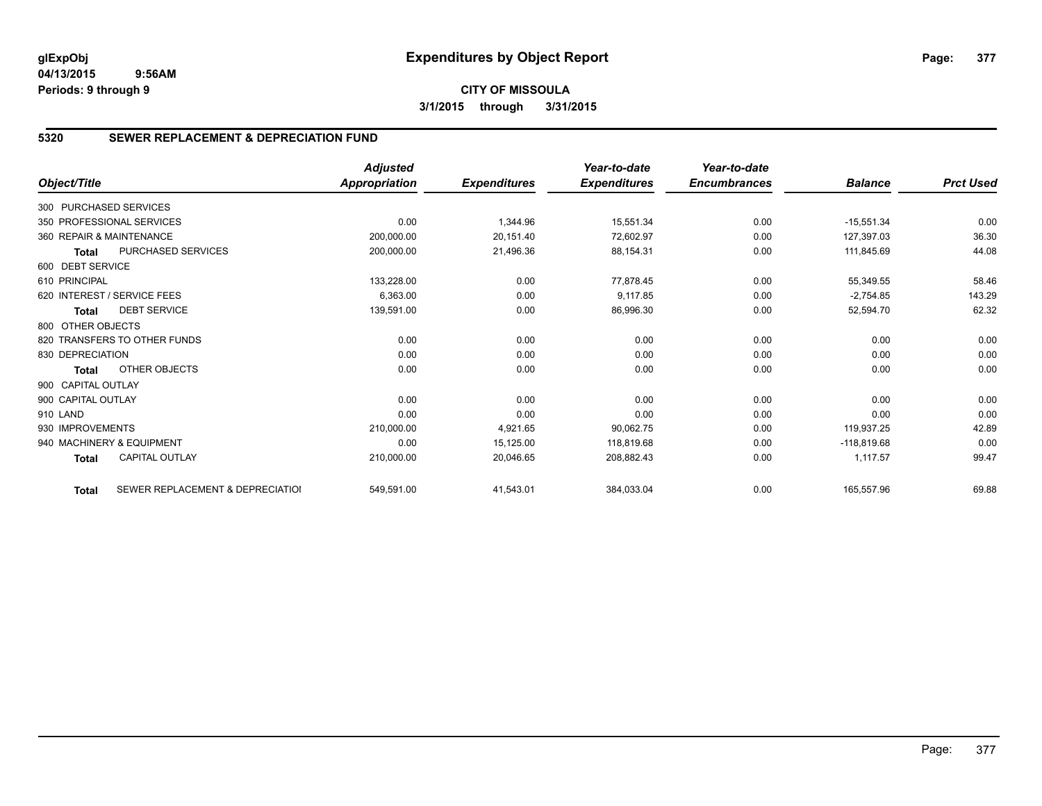## **5320 SEWER REPLACEMENT & DEPRECIATION FUND**

|                        |                                  | <b>Adjusted</b>      |                     | Year-to-date        | Year-to-date        |                |                  |
|------------------------|----------------------------------|----------------------|---------------------|---------------------|---------------------|----------------|------------------|
| Object/Title           |                                  | <b>Appropriation</b> | <b>Expenditures</b> | <b>Expenditures</b> | <b>Encumbrances</b> | <b>Balance</b> | <b>Prct Used</b> |
| 300 PURCHASED SERVICES |                                  |                      |                     |                     |                     |                |                  |
|                        | 350 PROFESSIONAL SERVICES        | 0.00                 | 1,344.96            | 15,551.34           | 0.00                | $-15.551.34$   | 0.00             |
|                        | 360 REPAIR & MAINTENANCE         | 200,000.00           | 20,151.40           | 72,602.97           | 0.00                | 127,397.03     | 36.30            |
| <b>Total</b>           | PURCHASED SERVICES               | 200,000.00           | 21,496.36           | 88,154.31           | 0.00                | 111,845.69     | 44.08            |
| 600 DEBT SERVICE       |                                  |                      |                     |                     |                     |                |                  |
| 610 PRINCIPAL          |                                  | 133,228.00           | 0.00                | 77,878.45           | 0.00                | 55,349.55      | 58.46            |
|                        | 620 INTEREST / SERVICE FEES      | 6,363.00             | 0.00                | 9,117.85            | 0.00                | $-2.754.85$    | 143.29           |
| <b>Total</b>           | <b>DEBT SERVICE</b>              | 139,591.00           | 0.00                | 86,996.30           | 0.00                | 52,594.70      | 62.32            |
| 800 OTHER OBJECTS      |                                  |                      |                     |                     |                     |                |                  |
|                        | 820 TRANSFERS TO OTHER FUNDS     | 0.00                 | 0.00                | 0.00                | 0.00                | 0.00           | 0.00             |
| 830 DEPRECIATION       |                                  | 0.00                 | 0.00                | 0.00                | 0.00                | 0.00           | 0.00             |
| <b>Total</b>           | OTHER OBJECTS                    | 0.00                 | 0.00                | 0.00                | 0.00                | 0.00           | 0.00             |
| 900 CAPITAL OUTLAY     |                                  |                      |                     |                     |                     |                |                  |
| 900 CAPITAL OUTLAY     |                                  | 0.00                 | 0.00                | 0.00                | 0.00                | 0.00           | 0.00             |
| 910 LAND               |                                  | 0.00                 | 0.00                | 0.00                | 0.00                | 0.00           | 0.00             |
| 930 IMPROVEMENTS       |                                  | 210,000.00           | 4,921.65            | 90,062.75           | 0.00                | 119,937.25     | 42.89            |
|                        | 940 MACHINERY & EQUIPMENT        | 0.00                 | 15,125.00           | 118,819.68          | 0.00                | $-118.819.68$  | 0.00             |
| <b>Total</b>           | <b>CAPITAL OUTLAY</b>            | 210,000.00           | 20,046.65           | 208,882.43          | 0.00                | 1,117.57       | 99.47            |
| Total                  | SEWER REPLACEMENT & DEPRECIATION | 549,591.00           | 41,543.01           | 384,033.04          | 0.00                | 165,557.96     | 69.88            |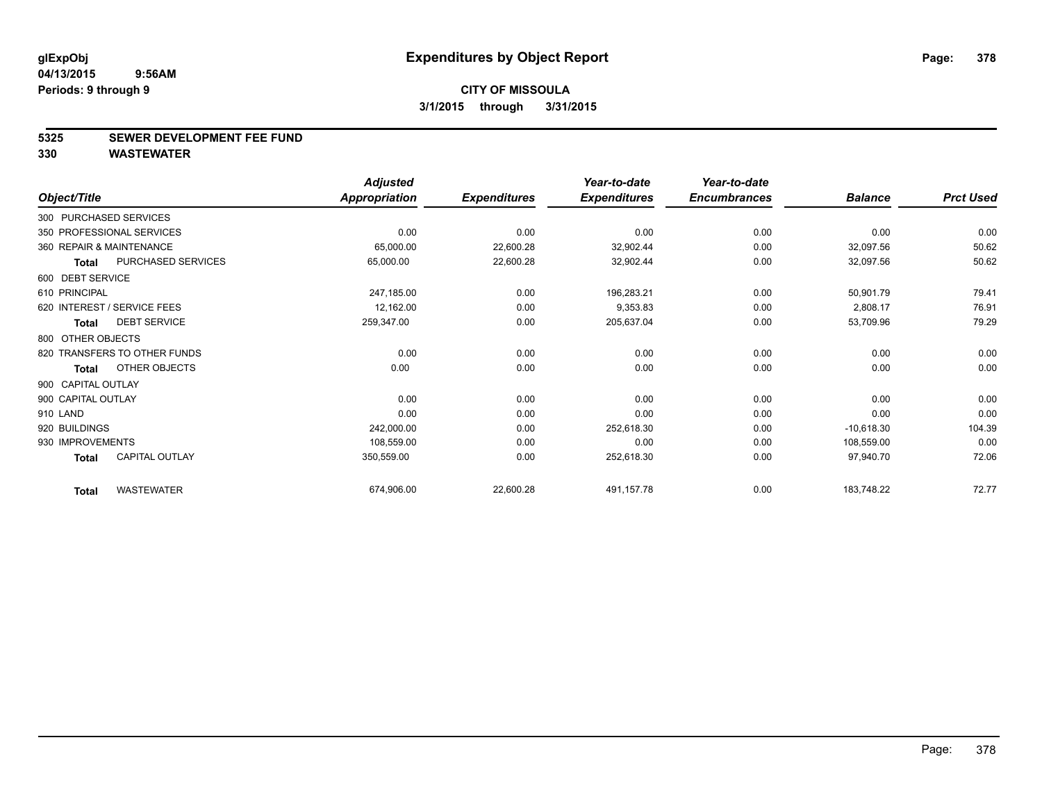#### **5325 SEWER DEVELOPMENT FEE FUND**

|                          |                              | <b>Adjusted</b>      |                     | Year-to-date        | Year-to-date        |                |                  |
|--------------------------|------------------------------|----------------------|---------------------|---------------------|---------------------|----------------|------------------|
| Object/Title             |                              | <b>Appropriation</b> | <b>Expenditures</b> | <b>Expenditures</b> | <b>Encumbrances</b> | <b>Balance</b> | <b>Prct Used</b> |
| 300 PURCHASED SERVICES   |                              |                      |                     |                     |                     |                |                  |
|                          | 350 PROFESSIONAL SERVICES    | 0.00                 | 0.00                | 0.00                | 0.00                | 0.00           | 0.00             |
| 360 REPAIR & MAINTENANCE |                              | 65,000.00            | 22,600.28           | 32,902.44           | 0.00                | 32,097.56      | 50.62            |
| <b>Total</b>             | PURCHASED SERVICES           | 65,000.00            | 22,600.28           | 32,902.44           | 0.00                | 32,097.56      | 50.62            |
| 600 DEBT SERVICE         |                              |                      |                     |                     |                     |                |                  |
| 610 PRINCIPAL            |                              | 247,185.00           | 0.00                | 196,283.21          | 0.00                | 50,901.79      | 79.41            |
|                          | 620 INTEREST / SERVICE FEES  | 12,162.00            | 0.00                | 9,353.83            | 0.00                | 2,808.17       | 76.91            |
| <b>Total</b>             | <b>DEBT SERVICE</b>          | 259,347.00           | 0.00                | 205,637.04          | 0.00                | 53,709.96      | 79.29            |
| 800 OTHER OBJECTS        |                              |                      |                     |                     |                     |                |                  |
|                          | 820 TRANSFERS TO OTHER FUNDS | 0.00                 | 0.00                | 0.00                | 0.00                | 0.00           | 0.00             |
| <b>Total</b>             | OTHER OBJECTS                | 0.00                 | 0.00                | 0.00                | 0.00                | 0.00           | 0.00             |
| 900 CAPITAL OUTLAY       |                              |                      |                     |                     |                     |                |                  |
| 900 CAPITAL OUTLAY       |                              | 0.00                 | 0.00                | 0.00                | 0.00                | 0.00           | 0.00             |
| 910 LAND                 |                              | 0.00                 | 0.00                | 0.00                | 0.00                | 0.00           | 0.00             |
| 920 BUILDINGS            |                              | 242,000.00           | 0.00                | 252,618.30          | 0.00                | $-10,618.30$   | 104.39           |
| 930 IMPROVEMENTS         |                              | 108,559.00           | 0.00                | 0.00                | 0.00                | 108,559.00     | 0.00             |
| <b>Total</b>             | <b>CAPITAL OUTLAY</b>        | 350,559.00           | 0.00                | 252,618.30          | 0.00                | 97,940.70      | 72.06            |
| <b>Total</b>             | <b>WASTEWATER</b>            | 674,906.00           | 22,600.28           | 491,157.78          | 0.00                | 183,748.22     | 72.77            |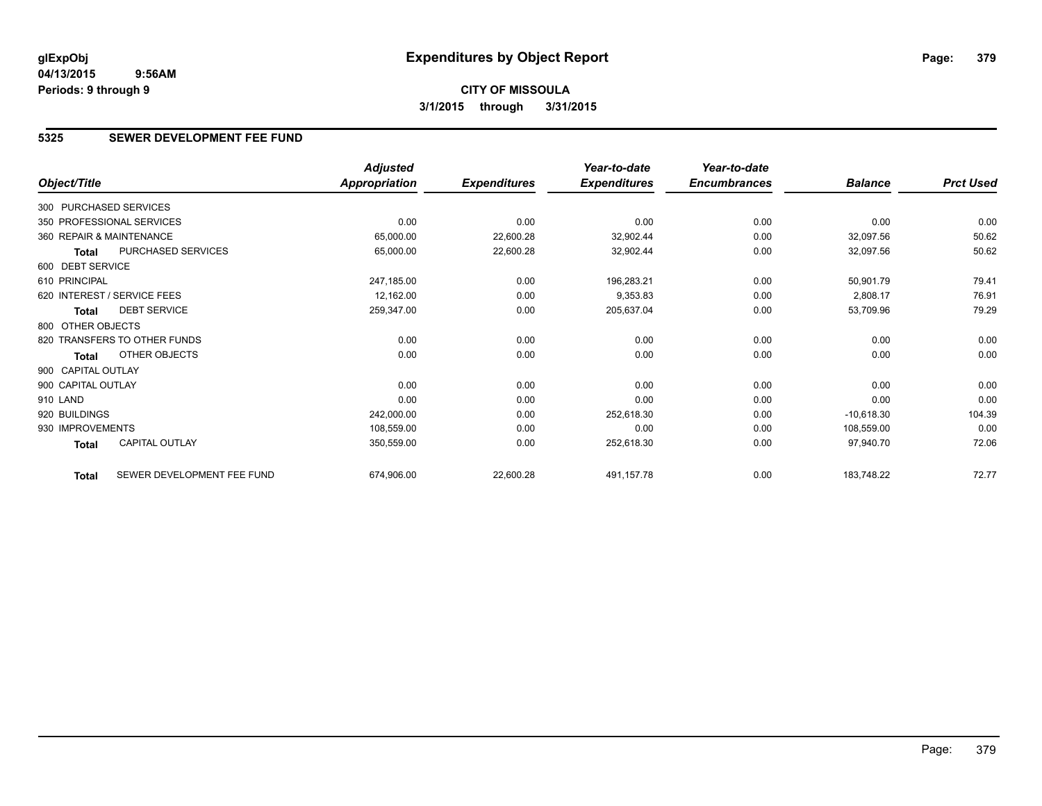## **5325 SEWER DEVELOPMENT FEE FUND**

|                          |                              | <b>Adjusted</b>      |                     | Year-to-date        | Year-to-date        |                |                  |
|--------------------------|------------------------------|----------------------|---------------------|---------------------|---------------------|----------------|------------------|
| Object/Title             |                              | <b>Appropriation</b> | <b>Expenditures</b> | <b>Expenditures</b> | <b>Encumbrances</b> | <b>Balance</b> | <b>Prct Used</b> |
| 300 PURCHASED SERVICES   |                              |                      |                     |                     |                     |                |                  |
|                          | 350 PROFESSIONAL SERVICES    | 0.00                 | 0.00                | 0.00                | 0.00                | 0.00           | 0.00             |
| 360 REPAIR & MAINTENANCE |                              | 65,000.00            | 22,600.28           | 32,902.44           | 0.00                | 32,097.56      | 50.62            |
| Total                    | PURCHASED SERVICES           | 65,000.00            | 22,600.28           | 32,902.44           | 0.00                | 32,097.56      | 50.62            |
| 600 DEBT SERVICE         |                              |                      |                     |                     |                     |                |                  |
| 610 PRINCIPAL            |                              | 247,185.00           | 0.00                | 196,283.21          | 0.00                | 50,901.79      | 79.41            |
|                          | 620 INTEREST / SERVICE FEES  | 12,162.00            | 0.00                | 9,353.83            | 0.00                | 2,808.17       | 76.91            |
| Total                    | <b>DEBT SERVICE</b>          | 259,347.00           | 0.00                | 205,637.04          | 0.00                | 53,709.96      | 79.29            |
| 800 OTHER OBJECTS        |                              |                      |                     |                     |                     |                |                  |
|                          | 820 TRANSFERS TO OTHER FUNDS | 0.00                 | 0.00                | 0.00                | 0.00                | 0.00           | 0.00             |
| Total                    | <b>OTHER OBJECTS</b>         | 0.00                 | 0.00                | 0.00                | 0.00                | 0.00           | 0.00             |
| 900 CAPITAL OUTLAY       |                              |                      |                     |                     |                     |                |                  |
| 900 CAPITAL OUTLAY       |                              | 0.00                 | 0.00                | 0.00                | 0.00                | 0.00           | 0.00             |
| 910 LAND                 |                              | 0.00                 | 0.00                | 0.00                | 0.00                | 0.00           | 0.00             |
| 920 BUILDINGS            |                              | 242,000.00           | 0.00                | 252,618.30          | 0.00                | $-10,618.30$   | 104.39           |
| 930 IMPROVEMENTS         |                              | 108,559.00           | 0.00                | 0.00                | 0.00                | 108,559.00     | 0.00             |
| Total                    | <b>CAPITAL OUTLAY</b>        | 350,559.00           | 0.00                | 252,618.30          | 0.00                | 97,940.70      | 72.06            |
| <b>Total</b>             | SEWER DEVELOPMENT FEE FUND   | 674,906.00           | 22,600.28           | 491,157.78          | 0.00                | 183,748.22     | 72.77            |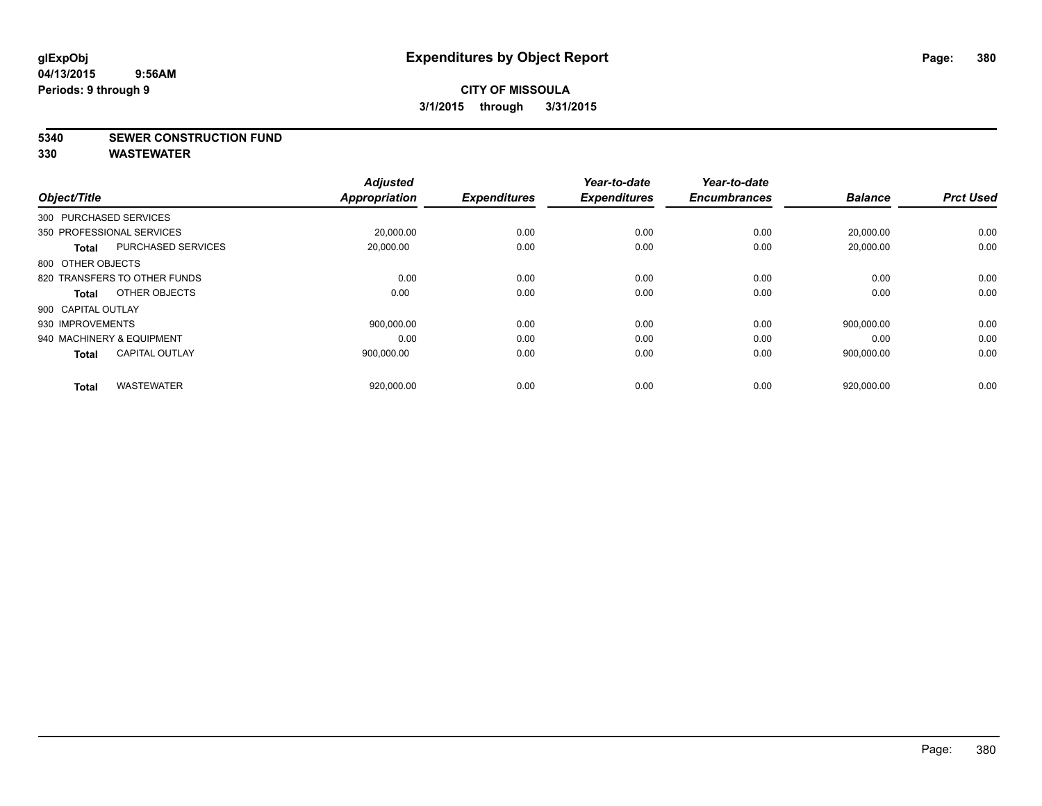## **5340 SEWER CONSTRUCTION FUND**

|                           |                              | <b>Adjusted</b>      |                     | Year-to-date        | Year-to-date        |                |                  |
|---------------------------|------------------------------|----------------------|---------------------|---------------------|---------------------|----------------|------------------|
| Object/Title              |                              | <b>Appropriation</b> | <b>Expenditures</b> | <b>Expenditures</b> | <b>Encumbrances</b> | <b>Balance</b> | <b>Prct Used</b> |
| 300 PURCHASED SERVICES    |                              |                      |                     |                     |                     |                |                  |
| 350 PROFESSIONAL SERVICES |                              | 20,000.00            | 0.00                | 0.00                | 0.00                | 20,000.00      | 0.00             |
| Total                     | <b>PURCHASED SERVICES</b>    | 20,000.00            | 0.00                | 0.00                | 0.00                | 20,000.00      | 0.00             |
| 800 OTHER OBJECTS         |                              |                      |                     |                     |                     |                |                  |
|                           | 820 TRANSFERS TO OTHER FUNDS | 0.00                 | 0.00                | 0.00                | 0.00                | 0.00           | 0.00             |
| Total                     | OTHER OBJECTS                | 0.00                 | 0.00                | 0.00                | 0.00                | 0.00           | 0.00             |
| 900 CAPITAL OUTLAY        |                              |                      |                     |                     |                     |                |                  |
| 930 IMPROVEMENTS          |                              | 900.000.00           | 0.00                | 0.00                | 0.00                | 900.000.00     | 0.00             |
| 940 MACHINERY & EQUIPMENT |                              | 0.00                 | 0.00                | 0.00                | 0.00                | 0.00           | 0.00             |
| <b>Total</b>              | <b>CAPITAL OUTLAY</b>        | 900.000.00           | 0.00                | 0.00                | 0.00                | 900,000.00     | 0.00             |
|                           |                              |                      |                     |                     |                     |                |                  |
| <b>Total</b>              | <b>WASTEWATER</b>            | 920,000.00           | 0.00                | 0.00                | 0.00                | 920,000.00     | 0.00             |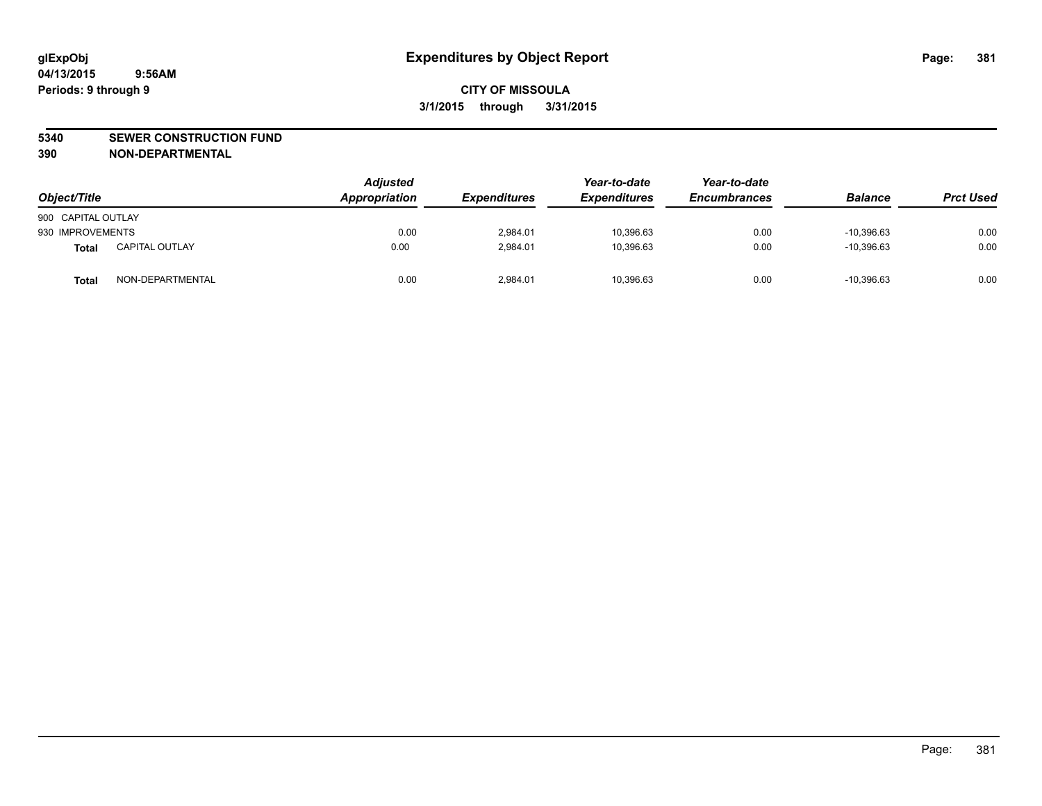#### **5340 SEWER CONSTRUCTION FUND**

**390 NON-DEPARTMENTAL**

| Object/Title       |                       | <b>Adjusted</b><br>Appropriation | <b>Expenditures</b> | Year-to-date<br><b>Expenditures</b> | Year-to-date<br><b>Encumbrances</b> | <b>Balance</b> | <b>Prct Used</b> |
|--------------------|-----------------------|----------------------------------|---------------------|-------------------------------------|-------------------------------------|----------------|------------------|
| 900 CAPITAL OUTLAY |                       |                                  |                     |                                     |                                     |                |                  |
| 930 IMPROVEMENTS   |                       | 0.00                             | 2,984.01            | 10,396.63                           | 0.00                                | $-10,396.63$   | 0.00             |
| Total              | <b>CAPITAL OUTLAY</b> | 0.00                             | 2.984.01            | 10,396.63                           | 0.00                                | $-10.396.63$   | 0.00             |
| Total              | NON-DEPARTMENTAL      | 0.00                             | 2,984.01            | 10,396.63                           | 0.00                                | $-10,396.63$   | 0.00             |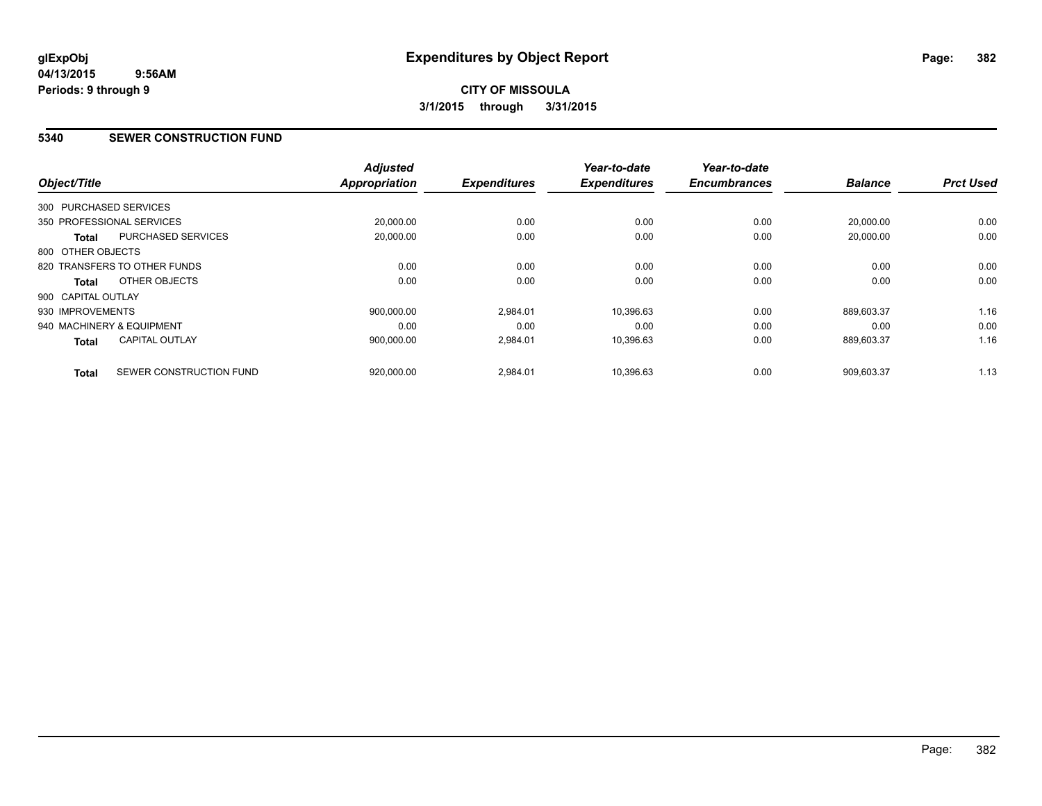## **5340 SEWER CONSTRUCTION FUND**

| Object/Title           |                              | <b>Adjusted</b><br>Appropriation | <b>Expenditures</b> | Year-to-date<br><b>Expenditures</b> | Year-to-date<br><b>Encumbrances</b> | <b>Balance</b> | <b>Prct Used</b> |
|------------------------|------------------------------|----------------------------------|---------------------|-------------------------------------|-------------------------------------|----------------|------------------|
| 300 PURCHASED SERVICES |                              |                                  |                     |                                     |                                     |                |                  |
|                        | 350 PROFESSIONAL SERVICES    | 20,000.00                        | 0.00                | 0.00                                | 0.00                                | 20,000.00      | 0.00             |
| <b>Total</b>           | <b>PURCHASED SERVICES</b>    | 20,000.00                        | 0.00                | 0.00                                | 0.00                                | 20,000.00      | 0.00             |
| 800 OTHER OBJECTS      |                              |                                  |                     |                                     |                                     |                |                  |
|                        | 820 TRANSFERS TO OTHER FUNDS | 0.00                             | 0.00                | 0.00                                | 0.00                                | 0.00           | 0.00             |
| Total                  | OTHER OBJECTS                | 0.00                             | 0.00                | 0.00                                | 0.00                                | 0.00           | 0.00             |
| 900 CAPITAL OUTLAY     |                              |                                  |                     |                                     |                                     |                |                  |
| 930 IMPROVEMENTS       |                              | 900,000.00                       | 2,984.01            | 10,396.63                           | 0.00                                | 889,603.37     | 1.16             |
|                        | 940 MACHINERY & EQUIPMENT    | 0.00                             | 0.00                | 0.00                                | 0.00                                | 0.00           | 0.00             |
| Total                  | <b>CAPITAL OUTLAY</b>        | 900,000.00                       | 2,984.01            | 10,396.63                           | 0.00                                | 889,603.37     | 1.16             |
| <b>Total</b>           | SEWER CONSTRUCTION FUND      | 920,000.00                       | 2,984.01            | 10,396.63                           | 0.00                                | 909.603.37     | 1.13             |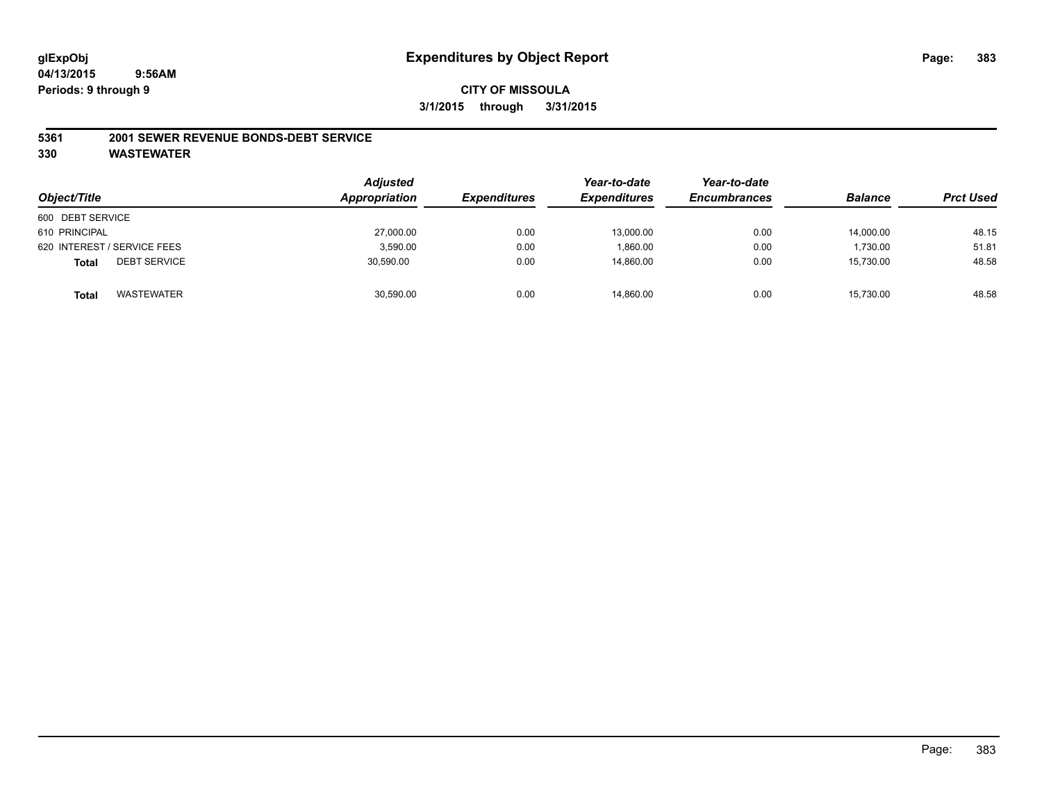#### **5361 2001 SEWER REVENUE BONDS-DEBT SERVICE**

| Object/Title                        | <b>Adjusted</b><br>Appropriation | <b>Expenditures</b> | Year-to-date<br><b>Expenditures</b> | Year-to-date<br><b>Encumbrances</b> | <b>Balance</b> | <b>Prct Used</b> |
|-------------------------------------|----------------------------------|---------------------|-------------------------------------|-------------------------------------|----------------|------------------|
| 600 DEBT SERVICE                    |                                  |                     |                                     |                                     |                |                  |
| 610 PRINCIPAL                       | 27,000.00                        | 0.00                | 13,000.00                           | 0.00                                | 14,000.00      | 48.15            |
| 620 INTEREST / SERVICE FEES         | 3,590.00                         | 0.00                | 1,860.00                            | 0.00                                | 1.730.00       | 51.81            |
| <b>DEBT SERVICE</b><br><b>Total</b> | 30,590.00                        | 0.00                | 14.860.00                           | 0.00                                | 15,730.00      | 48.58            |
| WASTEWATER<br>Total                 | 30,590.00                        | 0.00                | 14,860.00                           | 0.00                                | 15,730.00      | 48.58            |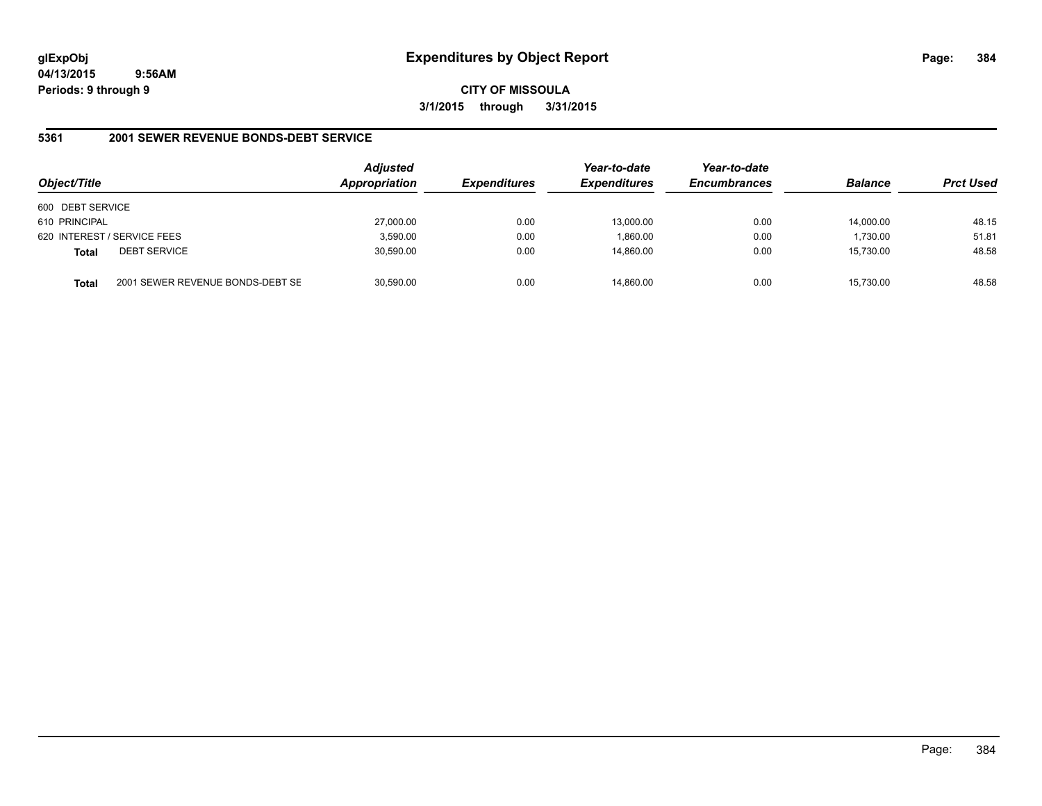**CITY OF MISSOULA 3/1/2015 through 3/31/2015**

## **5361 2001 SEWER REVENUE BONDS-DEBT SERVICE**

| Object/Title     |                                  | <b>Adjusted</b><br>Appropriation | <b>Expenditures</b> | Year-to-date<br><b>Expenditures</b> | Year-to-date<br><b>Encumbrances</b> | <b>Balance</b> | <b>Prct Used</b> |
|------------------|----------------------------------|----------------------------------|---------------------|-------------------------------------|-------------------------------------|----------------|------------------|
| 600 DEBT SERVICE |                                  |                                  |                     |                                     |                                     |                |                  |
| 610 PRINCIPAL    |                                  | 27,000.00                        | 0.00                | 13,000.00                           | 0.00                                | 14.000.00      | 48.15            |
|                  | 620 INTEREST / SERVICE FEES      | 3,590.00                         | 0.00                | 1.860.00                            | 0.00                                | 1,730.00       | 51.81            |
| <b>Total</b>     | <b>DEBT SERVICE</b>              | 30,590.00                        | 0.00                | 14.860.00                           | 0.00                                | 15,730.00      | 48.58            |
| <b>Total</b>     | 2001 SEWER REVENUE BONDS-DEBT SE | 30,590.00                        | 0.00                | 14.860.00                           | 0.00                                | 15.730.00      | 48.58            |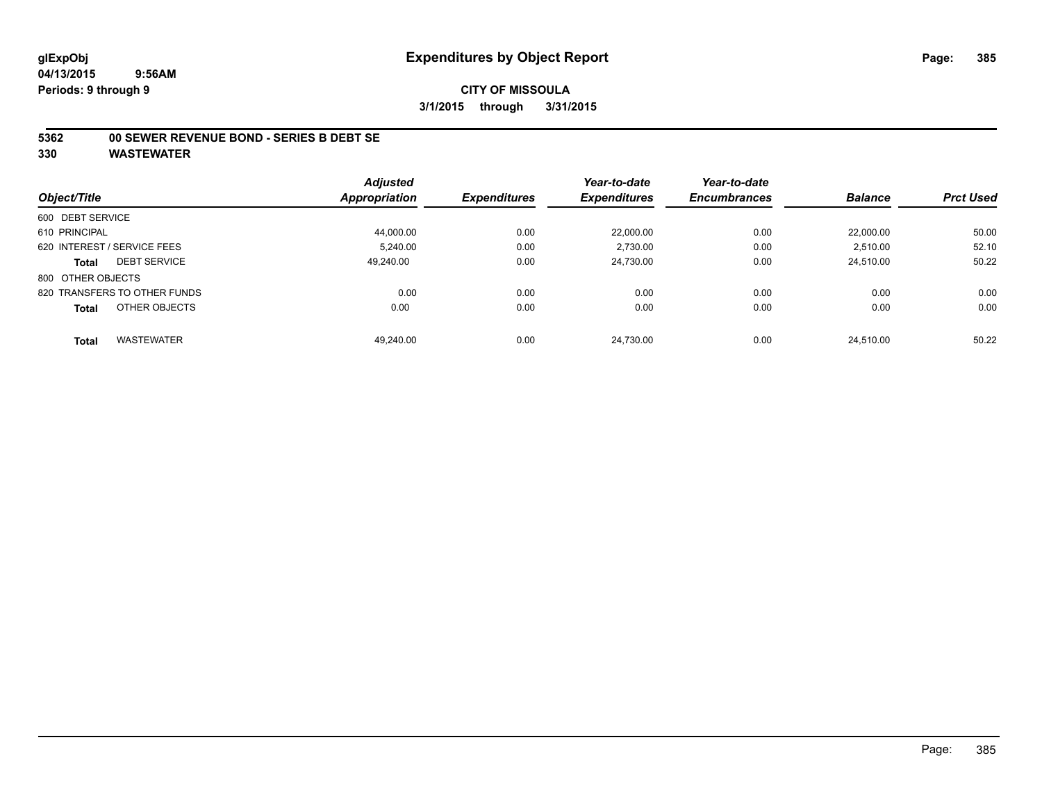## **5362 00 SEWER REVENUE BOND - SERIES B DEBT SE**

|                                   | <b>Adjusted</b> |                     | Year-to-date        | Year-to-date        |                |                  |
|-----------------------------------|-----------------|---------------------|---------------------|---------------------|----------------|------------------|
| Object/Title                      | Appropriation   | <b>Expenditures</b> | <b>Expenditures</b> | <b>Encumbrances</b> | <b>Balance</b> | <b>Prct Used</b> |
| 600 DEBT SERVICE                  |                 |                     |                     |                     |                |                  |
| 610 PRINCIPAL                     | 44.000.00       | 0.00                | 22.000.00           | 0.00                | 22.000.00      | 50.00            |
| 620 INTEREST / SERVICE FEES       | 5.240.00        | 0.00                | 2,730.00            | 0.00                | 2,510.00       | 52.10            |
| <b>DEBT SERVICE</b><br>Total      | 49.240.00       | 0.00                | 24,730.00           | 0.00                | 24.510.00      | 50.22            |
| 800 OTHER OBJECTS                 |                 |                     |                     |                     |                |                  |
| 820 TRANSFERS TO OTHER FUNDS      | 0.00            | 0.00                | 0.00                | 0.00                | 0.00           | 0.00             |
| OTHER OBJECTS<br><b>Total</b>     | 0.00            | 0.00                | 0.00                | 0.00                | 0.00           | 0.00             |
| <b>WASTEWATER</b><br><b>Total</b> | 49.240.00       | 0.00                | 24.730.00           | 0.00                | 24.510.00      | 50.22            |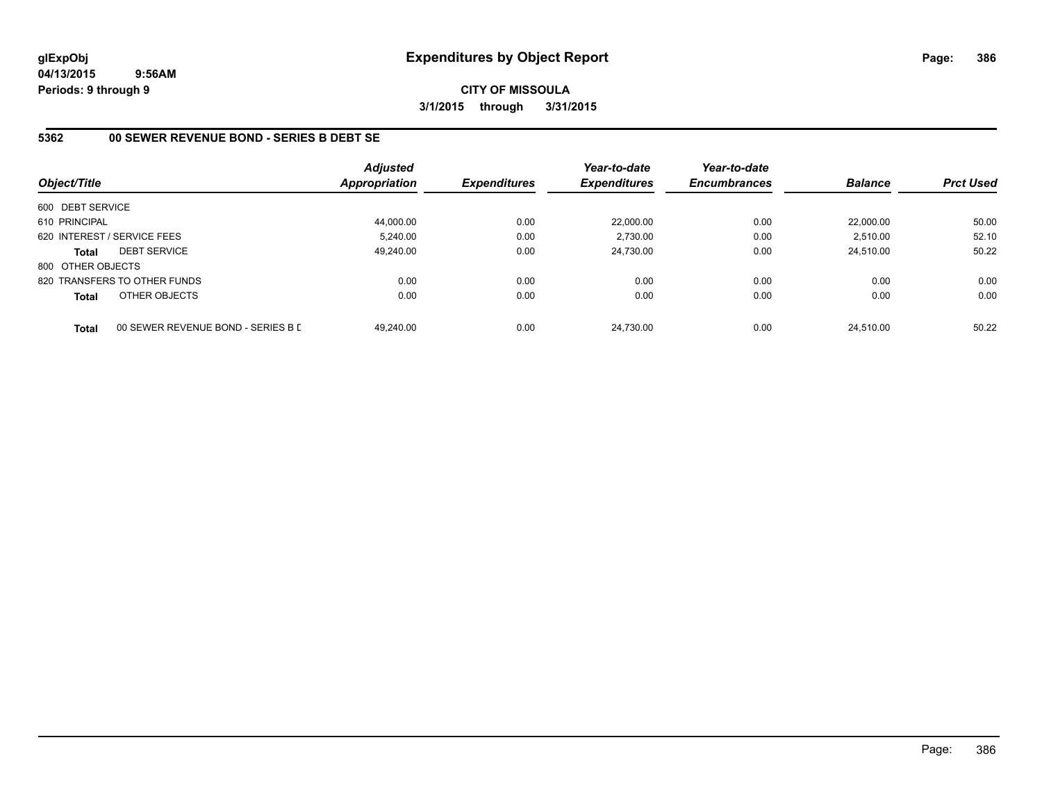**CITY OF MISSOULA 3/1/2015 through 3/31/2015**

## **5362 00 SEWER REVENUE BOND - SERIES B DEBT SE**

| Object/Title      |                                    | <b>Adjusted</b><br><b>Appropriation</b> | <b>Expenditures</b> | Year-to-date<br><b>Expenditures</b> | Year-to-date<br><b>Encumbrances</b> | <b>Balance</b> | <b>Prct Used</b> |
|-------------------|------------------------------------|-----------------------------------------|---------------------|-------------------------------------|-------------------------------------|----------------|------------------|
| 600 DEBT SERVICE  |                                    |                                         |                     |                                     |                                     |                |                  |
| 610 PRINCIPAL     |                                    | 44,000.00                               | 0.00                | 22,000.00                           | 0.00                                | 22.000.00      | 50.00            |
|                   | 620 INTEREST / SERVICE FEES        | 5.240.00                                | 0.00                | 2.730.00                            | 0.00                                | 2.510.00       | 52.10            |
| <b>Total</b>      | <b>DEBT SERVICE</b>                | 49.240.00                               | 0.00                | 24,730.00                           | 0.00                                | 24.510.00      | 50.22            |
| 800 OTHER OBJECTS |                                    |                                         |                     |                                     |                                     |                |                  |
|                   | 820 TRANSFERS TO OTHER FUNDS       | 0.00                                    | 0.00                | 0.00                                | 0.00                                | 0.00           | 0.00             |
| <b>Total</b>      | OTHER OBJECTS                      | 0.00                                    | 0.00                | 0.00                                | 0.00                                | 0.00           | 0.00             |
| <b>Total</b>      | 00 SEWER REVENUE BOND - SERIES B D | 49.240.00                               | 0.00                | 24.730.00                           | 0.00                                | 24.510.00      | 50.22            |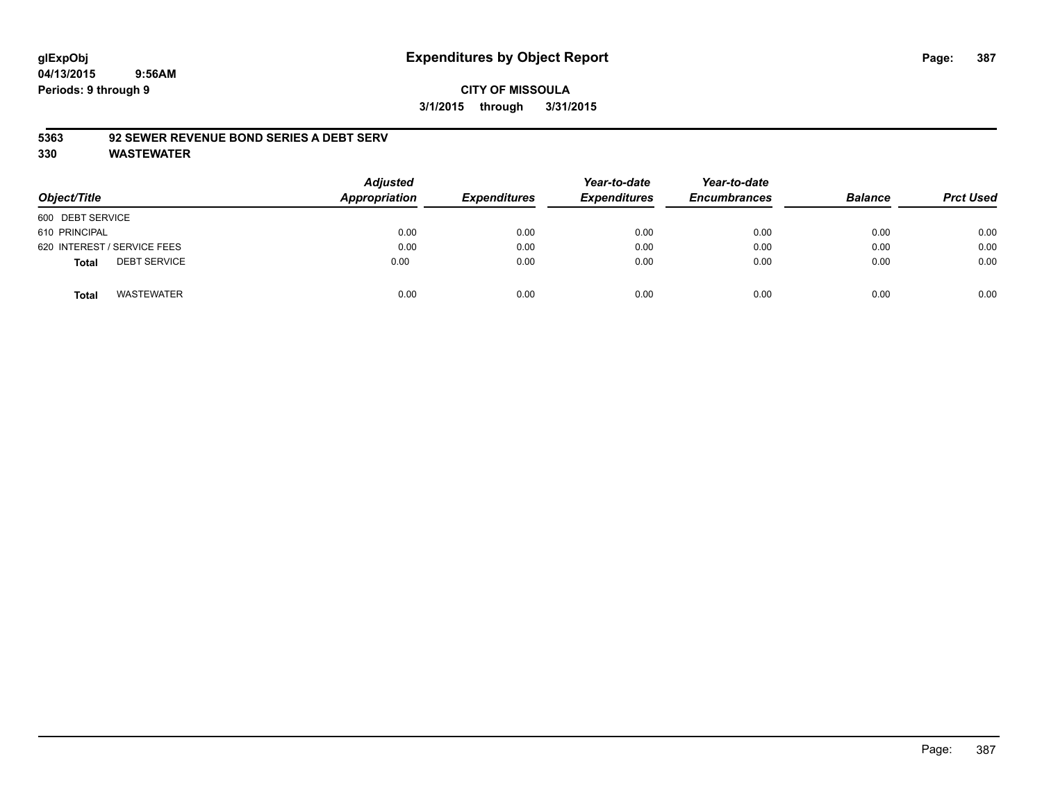## **CITY OF MISSOULA 3/1/2015 through 3/31/2015**

## **5363 92 SEWER REVENUE BOND SERIES A DEBT SERV**

| Object/Title                        | <b>Adjusted</b><br>Appropriation | <b>Expenditures</b> | Year-to-date<br><b>Expenditures</b> | Year-to-date<br><b>Encumbrances</b> | <b>Balance</b> | <b>Prct Used</b> |
|-------------------------------------|----------------------------------|---------------------|-------------------------------------|-------------------------------------|----------------|------------------|
| 600 DEBT SERVICE                    |                                  |                     |                                     |                                     |                |                  |
| 610 PRINCIPAL                       | 0.00                             | 0.00                | 0.00                                | 0.00                                | 0.00           | 0.00             |
| 620 INTEREST / SERVICE FEES         | 0.00                             | 0.00                | 0.00                                | 0.00                                | 0.00           | 0.00             |
| <b>DEBT SERVICE</b><br><b>Total</b> | 0.00                             | 0.00                | 0.00                                | 0.00                                | 0.00           | 0.00             |
| <b>WASTEWATER</b><br><b>Total</b>   | 0.00                             | 0.00                | 0.00                                | 0.00                                | 0.00           | 0.00             |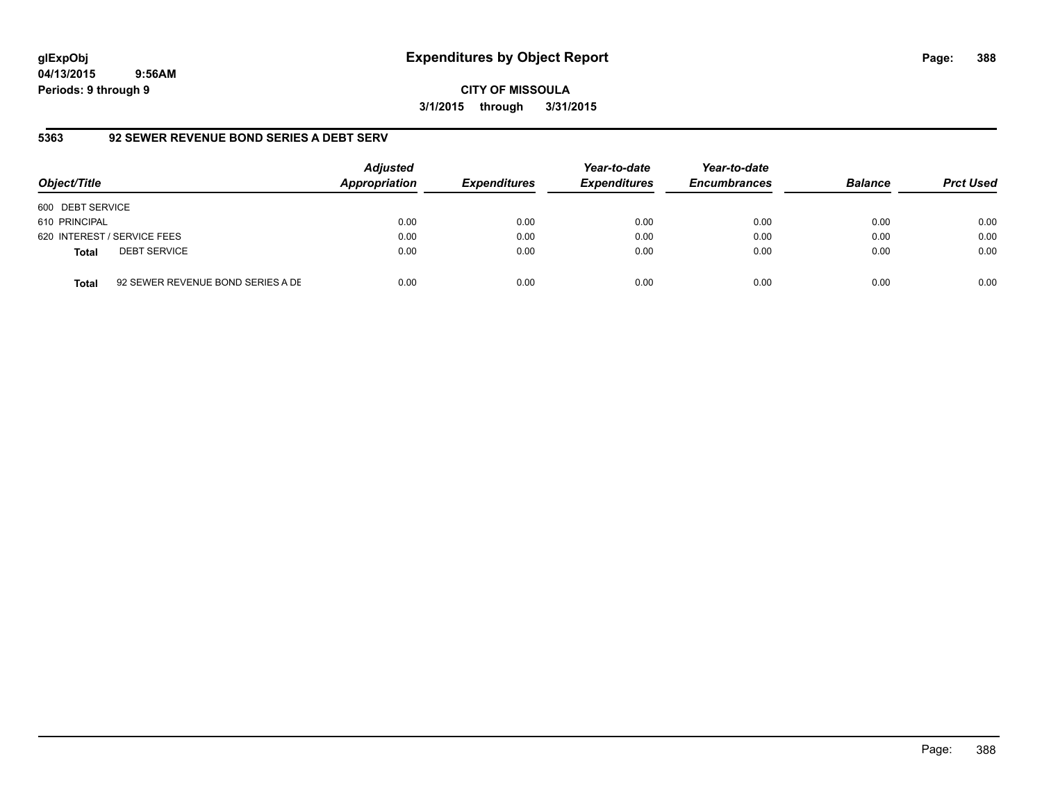**04/13/2015 9:56AM Periods: 9 through 9**

**CITY OF MISSOULA 3/1/2015 through 3/31/2015**

## **5363 92 SEWER REVENUE BOND SERIES A DEBT SERV**

| Object/Title     |                                   | <b>Adjusted</b><br>Appropriation | <b>Expenditures</b> | Year-to-date<br><b>Expenditures</b> | Year-to-date<br><b>Encumbrances</b> | <b>Balance</b> | <b>Prct Used</b> |
|------------------|-----------------------------------|----------------------------------|---------------------|-------------------------------------|-------------------------------------|----------------|------------------|
| 600 DEBT SERVICE |                                   |                                  |                     |                                     |                                     |                |                  |
| 610 PRINCIPAL    |                                   | 0.00                             | 0.00                | 0.00                                | 0.00                                | 0.00           | 0.00             |
|                  | 620 INTEREST / SERVICE FEES       | 0.00                             | 0.00                | 0.00                                | 0.00                                | 0.00           | 0.00             |
| <b>Total</b>     | <b>DEBT SERVICE</b>               | 0.00                             | 0.00                | 0.00                                | 0.00                                | 0.00           | 0.00             |
| <b>Total</b>     | 92 SEWER REVENUE BOND SERIES A DE | 0.00                             | 0.00                | 0.00                                | 0.00                                | 0.00           | 0.00             |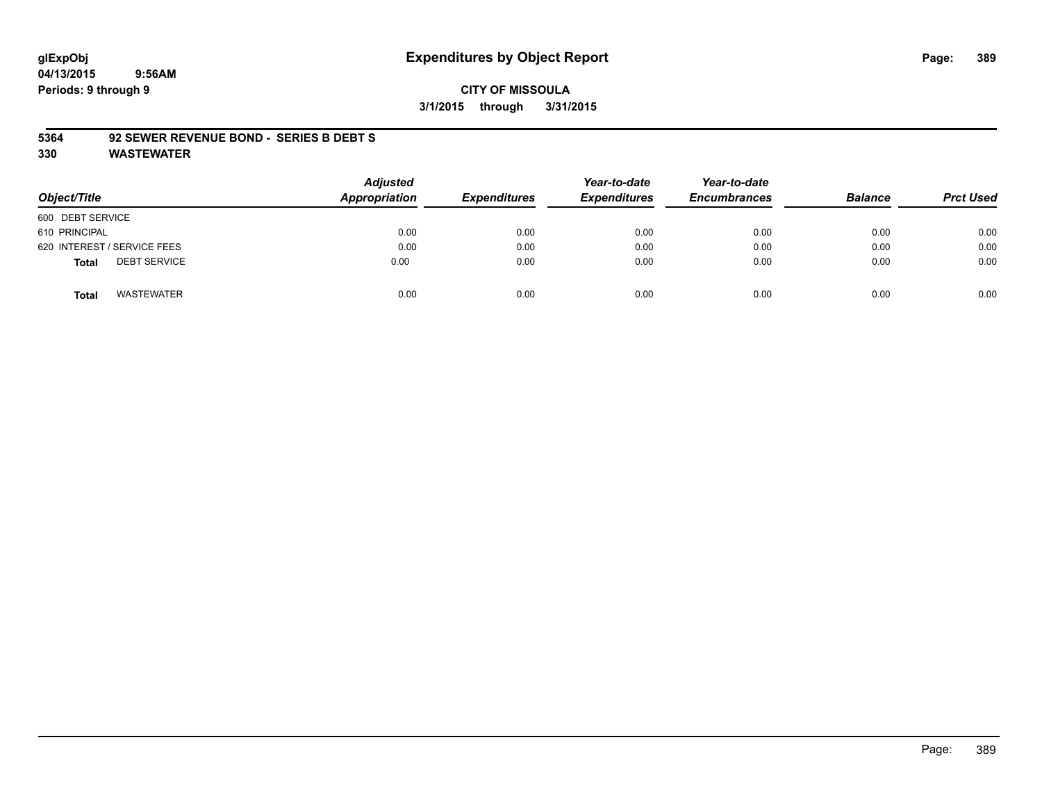**04/13/2015 9:56AM Periods: 9 through 9**

## **5364 92 SEWER REVENUE BOND - SERIES B DEBT S**

| Object/Title                        | <b>Adjusted</b><br><b>Appropriation</b> | <b>Expenditures</b> | Year-to-date<br><b>Expenditures</b> | Year-to-date<br><b>Encumbrances</b> | <b>Balance</b> | <b>Prct Used</b> |
|-------------------------------------|-----------------------------------------|---------------------|-------------------------------------|-------------------------------------|----------------|------------------|
| 600 DEBT SERVICE                    |                                         |                     |                                     |                                     |                |                  |
| 610 PRINCIPAL                       | 0.00                                    | 0.00                | 0.00                                | 0.00                                | 0.00           | 0.00             |
| 620 INTEREST / SERVICE FEES         | 0.00                                    | 0.00                | 0.00                                | 0.00                                | 0.00           | 0.00             |
| <b>DEBT SERVICE</b><br><b>Total</b> | 0.00                                    | 0.00                | 0.00                                | 0.00                                | 0.00           | 0.00             |
| <b>WASTEWATER</b><br><b>Total</b>   | 0.00                                    | 0.00                | 0.00                                | 0.00                                | 0.00           | 0.00             |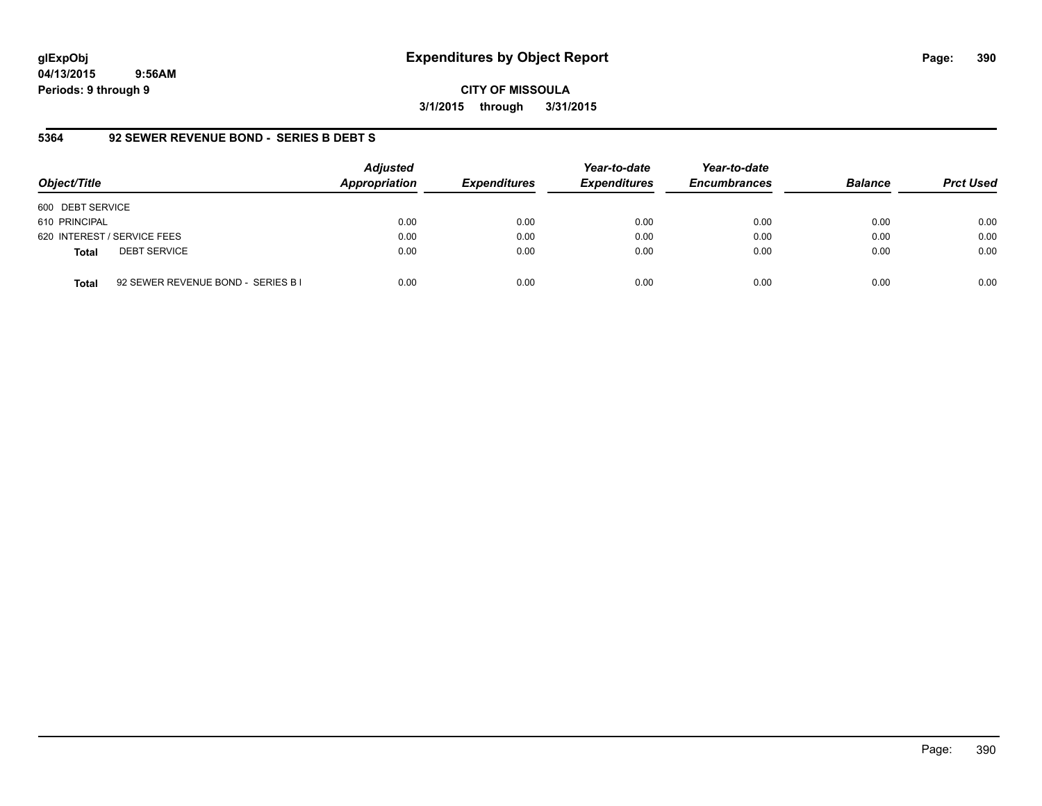**04/13/2015 9:56AM Periods: 9 through 9**

**CITY OF MISSOULA 3/1/2015 through 3/31/2015**

## **5364 92 SEWER REVENUE BOND - SERIES B DEBT S**

| Object/Title                                       | <b>Adjusted</b><br>Appropriation | <b>Expenditures</b> | Year-to-date<br><b>Expenditures</b> | Year-to-date<br><b>Encumbrances</b> | <b>Balance</b> | <b>Prct Used</b> |
|----------------------------------------------------|----------------------------------|---------------------|-------------------------------------|-------------------------------------|----------------|------------------|
| 600 DEBT SERVICE                                   |                                  |                     |                                     |                                     |                |                  |
| 610 PRINCIPAL                                      | 0.00                             | 0.00                | 0.00                                | 0.00                                | 0.00           | 0.00             |
| 620 INTEREST / SERVICE FEES                        | 0.00                             | 0.00                | 0.00                                | 0.00                                | 0.00           | 0.00             |
| <b>DEBT SERVICE</b><br><b>Total</b>                | 0.00                             | 0.00                | 0.00                                | 0.00                                | 0.00           | 0.00             |
| 92 SEWER REVENUE BOND - SERIES B I<br><b>Total</b> | 0.00                             | 0.00                | 0.00                                | 0.00                                | 0.00           | 0.00             |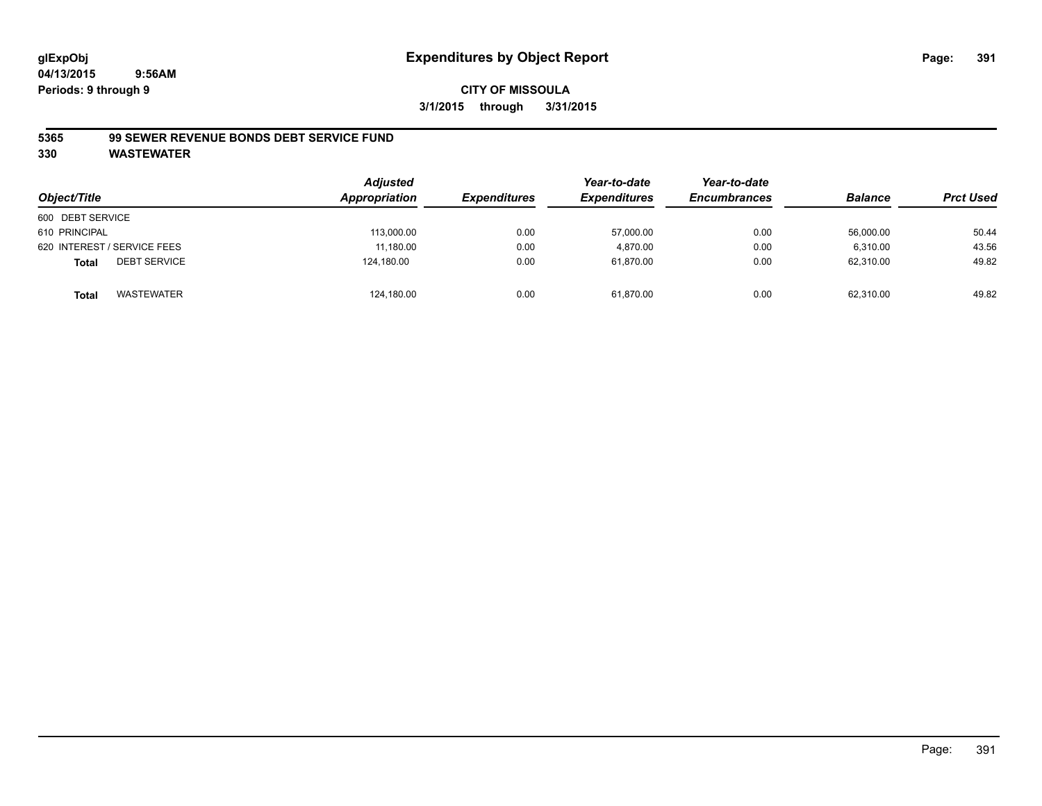## **CITY OF MISSOULA 3/1/2015 through 3/31/2015**

## **5365 99 SEWER REVENUE BONDS DEBT SERVICE FUND**

| Object/Title                        | <b>Adjusted</b><br>Appropriation | <i><b>Expenditures</b></i> | Year-to-date<br><b>Expenditures</b> | Year-to-date<br><b>Encumbrances</b> | <b>Balance</b> | <b>Prct Used</b> |
|-------------------------------------|----------------------------------|----------------------------|-------------------------------------|-------------------------------------|----------------|------------------|
| 600 DEBT SERVICE                    |                                  |                            |                                     |                                     |                |                  |
| 610 PRINCIPAL                       | 113,000.00                       | 0.00                       | 57,000.00                           | 0.00                                | 56,000.00      | 50.44            |
| 620 INTEREST / SERVICE FEES         | 11,180.00                        | 0.00                       | 4.870.00                            | 0.00                                | 6.310.00       | 43.56            |
| <b>DEBT SERVICE</b><br><b>Total</b> | 124.180.00                       | 0.00                       | 61.870.00                           | 0.00                                | 62.310.00      | 49.82            |
| WASTEWATER<br><b>Total</b>          | 124,180.00                       | 0.00                       | 61,870.00                           | 0.00                                | 62,310.00      | 49.82            |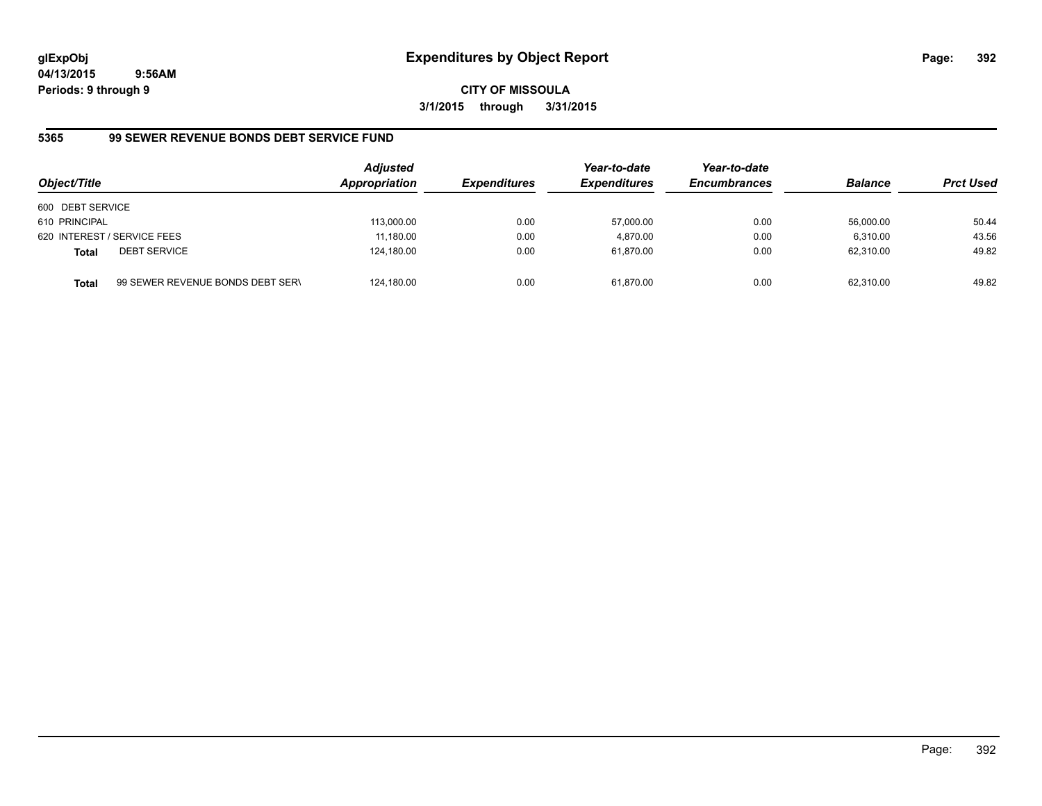**04/13/2015 9:56AM Periods: 9 through 9**

**CITY OF MISSOULA 3/1/2015 through 3/31/2015**

## **5365 99 SEWER REVENUE BONDS DEBT SERVICE FUND**

| Object/Title     |                                  | <b>Adjusted</b><br>Appropriation | <b>Expenditures</b> | Year-to-date<br><b>Expenditures</b> | Year-to-date<br><b>Encumbrances</b> | <b>Balance</b> | <b>Prct Used</b> |
|------------------|----------------------------------|----------------------------------|---------------------|-------------------------------------|-------------------------------------|----------------|------------------|
| 600 DEBT SERVICE |                                  |                                  |                     |                                     |                                     |                |                  |
| 610 PRINCIPAL    |                                  | 113,000.00                       | 0.00                | 57,000.00                           | 0.00                                | 56.000.00      | 50.44            |
|                  | 620 INTEREST / SERVICE FEES      | 11,180.00                        | 0.00                | 4.870.00                            | 0.00                                | 6.310.00       | 43.56            |
| <b>Total</b>     | <b>DEBT SERVICE</b>              | 124,180.00                       | 0.00                | 61,870.00                           | 0.00                                | 62,310.00      | 49.82            |
| Total            | 99 SEWER REVENUE BONDS DEBT SERN | 124,180.00                       | 0.00                | 61,870.00                           | 0.00                                | 62,310.00      | 49.82            |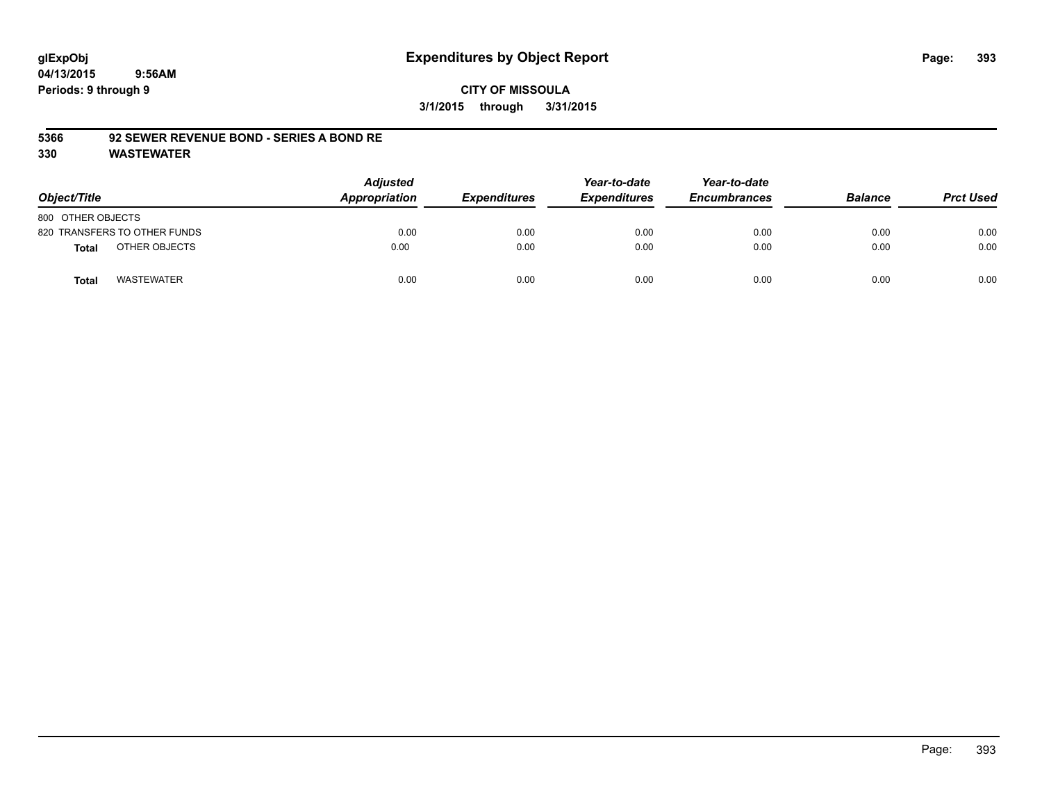## **CITY OF MISSOULA 3/1/2015 through 3/31/2015**

## **5366 92 SEWER REVENUE BOND - SERIES A BOND RE**

| Object/Title                      | <b>Adjusted</b><br>Appropriation | <b>Expenditures</b> | Year-to-date<br><b>Expenditures</b> | Year-to-date<br><b>Encumbrances</b> | <b>Balance</b> | <b>Prct Used</b> |
|-----------------------------------|----------------------------------|---------------------|-------------------------------------|-------------------------------------|----------------|------------------|
| 800 OTHER OBJECTS                 |                                  |                     |                                     |                                     |                |                  |
| 820 TRANSFERS TO OTHER FUNDS      | 0.00                             | 0.00                | 0.00                                | 0.00                                | 0.00           | 0.00             |
| OTHER OBJECTS<br>Total            | 0.00                             | 0.00                | 0.00                                | 0.00                                | 0.00           | 0.00             |
| <b>WASTEWATER</b><br><b>Total</b> | 0.00                             | 0.00                | 0.00                                | 0.00                                | 0.00           | 0.00             |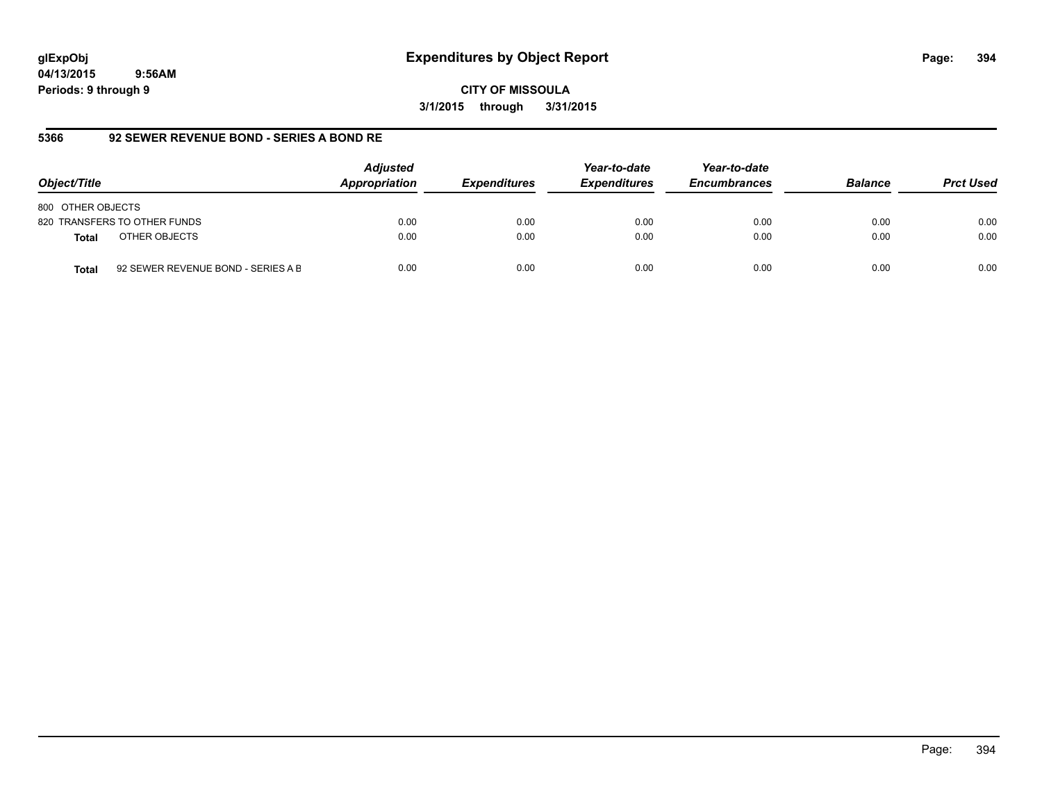**04/13/2015 9:56AM Periods: 9 through 9**

**CITY OF MISSOULA 3/1/2015 through 3/31/2015**

## **5366 92 SEWER REVENUE BOND - SERIES A BOND RE**

| Object/Title                                       | <b>Adjusted</b><br>Appropriation | <b>Expenditures</b> | Year-to-date<br><b>Expenditures</b> | Year-to-date<br><b>Encumbrances</b> | <b>Balance</b> | <b>Prct Used</b> |
|----------------------------------------------------|----------------------------------|---------------------|-------------------------------------|-------------------------------------|----------------|------------------|
| 800 OTHER OBJECTS                                  |                                  |                     |                                     |                                     |                |                  |
| 820 TRANSFERS TO OTHER FUNDS                       | 0.00                             | 0.00                | 0.00                                | 0.00                                | 0.00           | 0.00             |
| OTHER OBJECTS<br><b>Total</b>                      | 0.00                             | 0.00                | 0.00                                | 0.00                                | 0.00           | 0.00             |
| 92 SEWER REVENUE BOND - SERIES A B<br><b>Total</b> | 0.00                             | 0.00                | 0.00                                | 0.00                                | 0.00           | 0.00             |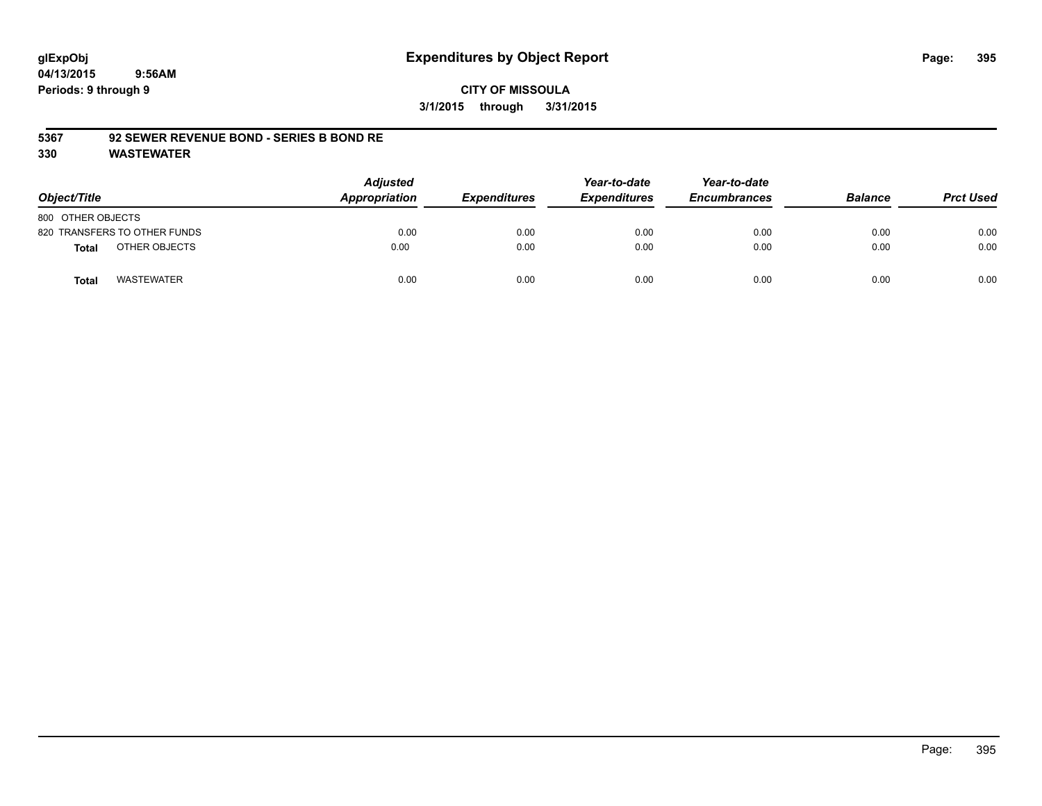## **CITY OF MISSOULA 3/1/2015 through 3/31/2015**

## **5367 92 SEWER REVENUE BOND - SERIES B BOND RE**

| Object/Title                      | <b>Adjusted</b><br>Appropriation | <b>Expenditures</b> | Year-to-date<br><b>Expenditures</b> | Year-to-date<br><b>Encumbrances</b> | <b>Balance</b> | <b>Prct Used</b> |
|-----------------------------------|----------------------------------|---------------------|-------------------------------------|-------------------------------------|----------------|------------------|
| 800 OTHER OBJECTS                 |                                  |                     |                                     |                                     |                |                  |
| 820 TRANSFERS TO OTHER FUNDS      | 0.00                             | 0.00                | 0.00                                | 0.00                                | 0.00           | 0.00             |
| OTHER OBJECTS<br><b>Total</b>     | 0.00                             | 0.00                | 0.00                                | 0.00                                | 0.00           | 0.00             |
| <b>WASTEWATER</b><br><b>Total</b> | 0.00                             | 0.00                | 0.00                                | 0.00                                | 0.00           | 0.00             |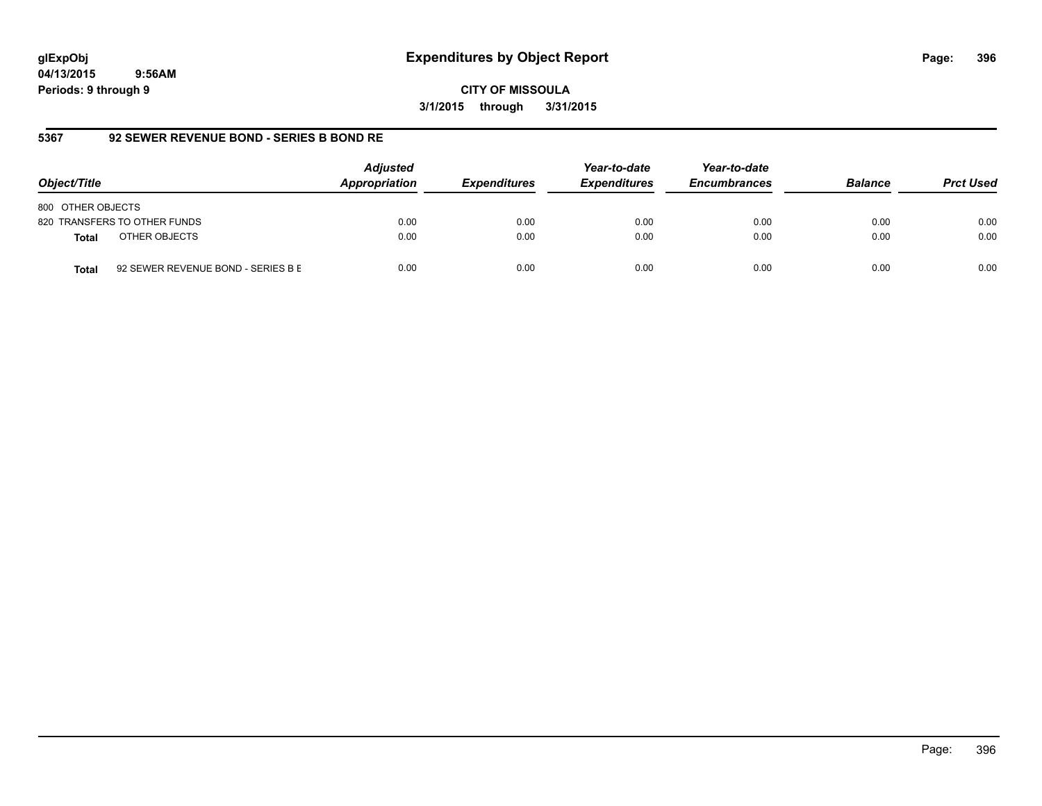**04/13/2015 9:56AM Periods: 9 through 9**

**CITY OF MISSOULA 3/1/2015 through 3/31/2015**

## **5367 92 SEWER REVENUE BOND - SERIES B BOND RE**

| Object/Title                                       | <b>Adjusted</b><br>Appropriation | <i><b>Expenditures</b></i> | Year-to-date<br><b>Expenditures</b> | Year-to-date<br><b>Encumbrances</b> | <b>Balance</b> | <b>Prct Used</b> |
|----------------------------------------------------|----------------------------------|----------------------------|-------------------------------------|-------------------------------------|----------------|------------------|
| 800 OTHER OBJECTS                                  |                                  |                            |                                     |                                     |                |                  |
| 820 TRANSFERS TO OTHER FUNDS                       | 0.00                             | 0.00                       | 0.00                                | 0.00                                | 0.00           | 0.00             |
| OTHER OBJECTS<br><b>Total</b>                      | 0.00                             | 0.00                       | 0.00                                | 0.00                                | 0.00           | 0.00             |
| 92 SEWER REVENUE BOND - SERIES B E<br><b>Total</b> | 0.00                             | 0.00                       | 0.00                                | 0.00                                | 0.00           | 0.00             |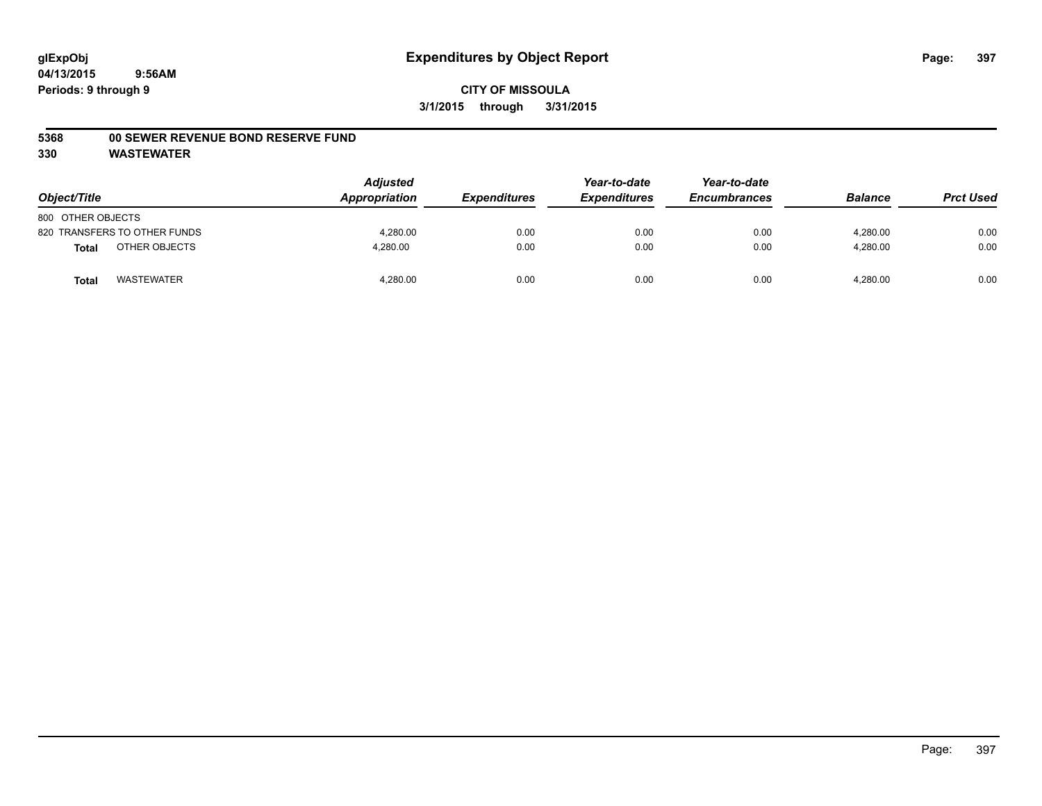#### **5368 00 SEWER REVENUE BOND RESERVE FUND**

| Object/Title      |                              | Adjusted<br>Appropriation | <b>Expenditures</b> | Year-to-date<br><b>Expenditures</b> | Year-to-date<br><b>Encumbrances</b> | <b>Balance</b> | <b>Prct Used</b> |
|-------------------|------------------------------|---------------------------|---------------------|-------------------------------------|-------------------------------------|----------------|------------------|
| 800 OTHER OBJECTS |                              |                           |                     |                                     |                                     |                |                  |
|                   | 820 TRANSFERS TO OTHER FUNDS | 4,280.00                  | 0.00                | 0.00                                | 0.00                                | 4,280.00       | 0.00             |
| <b>Total</b>      | OTHER OBJECTS                | 4,280.00                  | 0.00                | 0.00                                | 0.00                                | 4,280.00       | 0.00             |
| <b>Total</b>      | <b>WASTEWATER</b>            | 4,280.00                  | 0.00                | 0.00                                | 0.00                                | 4,280.00       | 0.00             |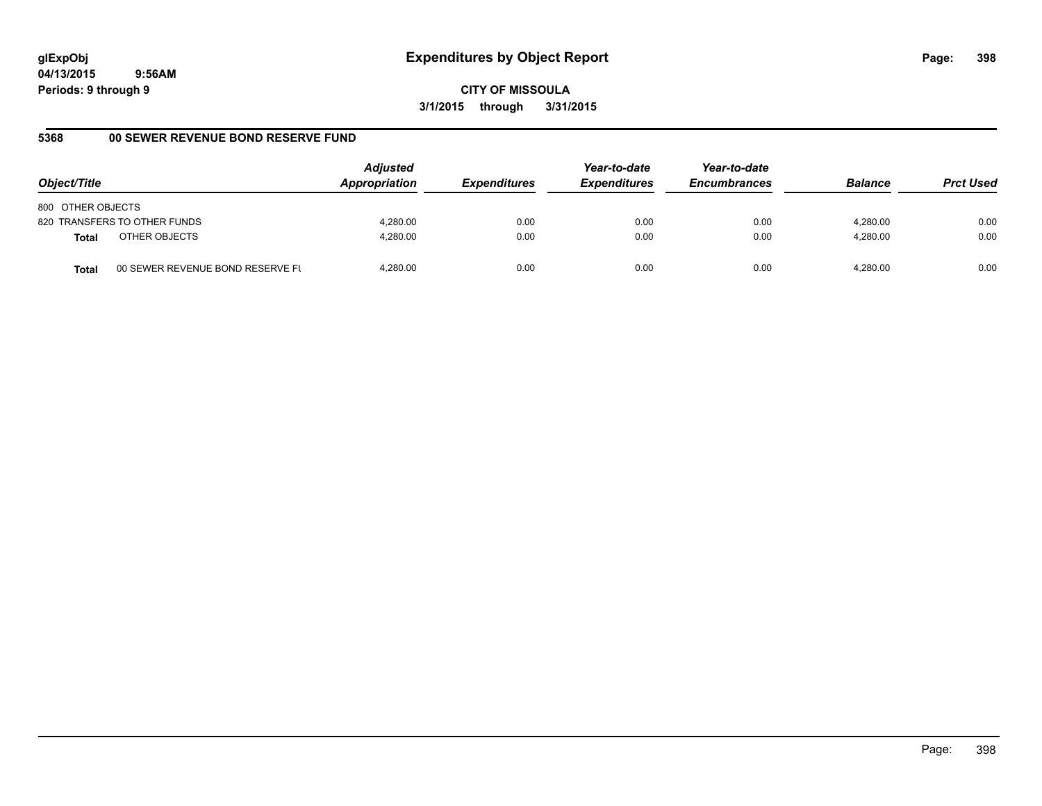**CITY OF MISSOULA 3/1/2015 through 3/31/2015**

# **5368 00 SEWER REVENUE BOND RESERVE FUND**

| Object/Title                              | <b>Adjusted</b><br>Appropriation | <b>Expenditures</b> | Year-to-date<br><b>Expenditures</b> | Year-to-date<br><b>Encumbrances</b> | <b>Balance</b> | <b>Prct Used</b> |
|-------------------------------------------|----------------------------------|---------------------|-------------------------------------|-------------------------------------|----------------|------------------|
| 800 OTHER OBJECTS                         |                                  |                     |                                     |                                     |                |                  |
| 820 TRANSFERS TO OTHER FUNDS              | 4.280.00                         | 0.00                | 0.00                                | 0.00                                | 4.280.00       | 0.00             |
| OTHER OBJECTS<br><b>Total</b>             | 4.280.00                         | 0.00                | 0.00                                | 0.00                                | 4.280.00       | 0.00             |
| 00 SEWER REVENUE BOND RESERVE FL<br>Total | 4.280.00                         | 0.00                | 0.00                                | 0.00                                | 4.280.00       | 0.00             |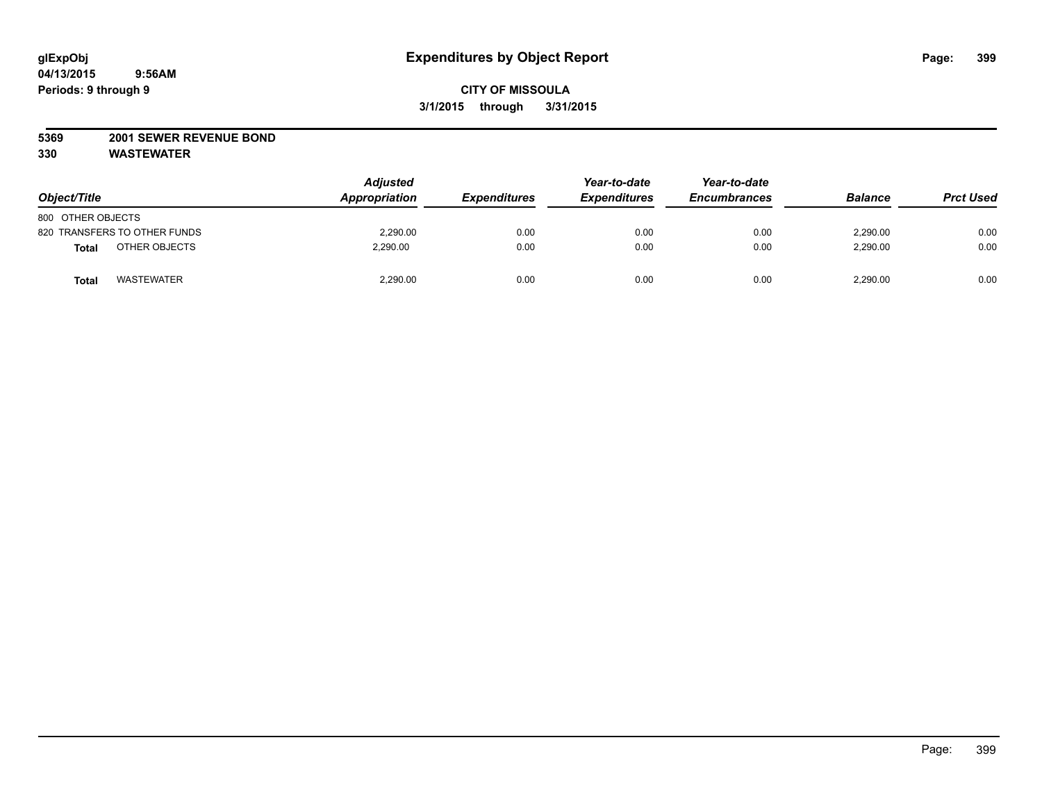## **5369 2001 SEWER REVENUE BOND**

| Object/Title                      | <b>Adjusted</b><br>Appropriation | <b>Expenditures</b> | Year-to-date<br><b>Expenditures</b> | Year-to-date<br><b>Encumbrances</b> | <b>Balance</b> | <b>Prct Used</b> |
|-----------------------------------|----------------------------------|---------------------|-------------------------------------|-------------------------------------|----------------|------------------|
| 800 OTHER OBJECTS                 |                                  |                     |                                     |                                     |                |                  |
| 820 TRANSFERS TO OTHER FUNDS      | 2,290.00                         | 0.00                | 0.00                                | 0.00                                | 2,290.00       | 0.00             |
| OTHER OBJECTS<br>Total            | 2.290.00                         | 0.00                | 0.00                                | 0.00                                | 2,290.00       | 0.00             |
| <b>WASTEWATER</b><br><b>Total</b> | 2,290.00                         | 0.00                | 0.00                                | 0.00                                | 2,290.00       | 0.00             |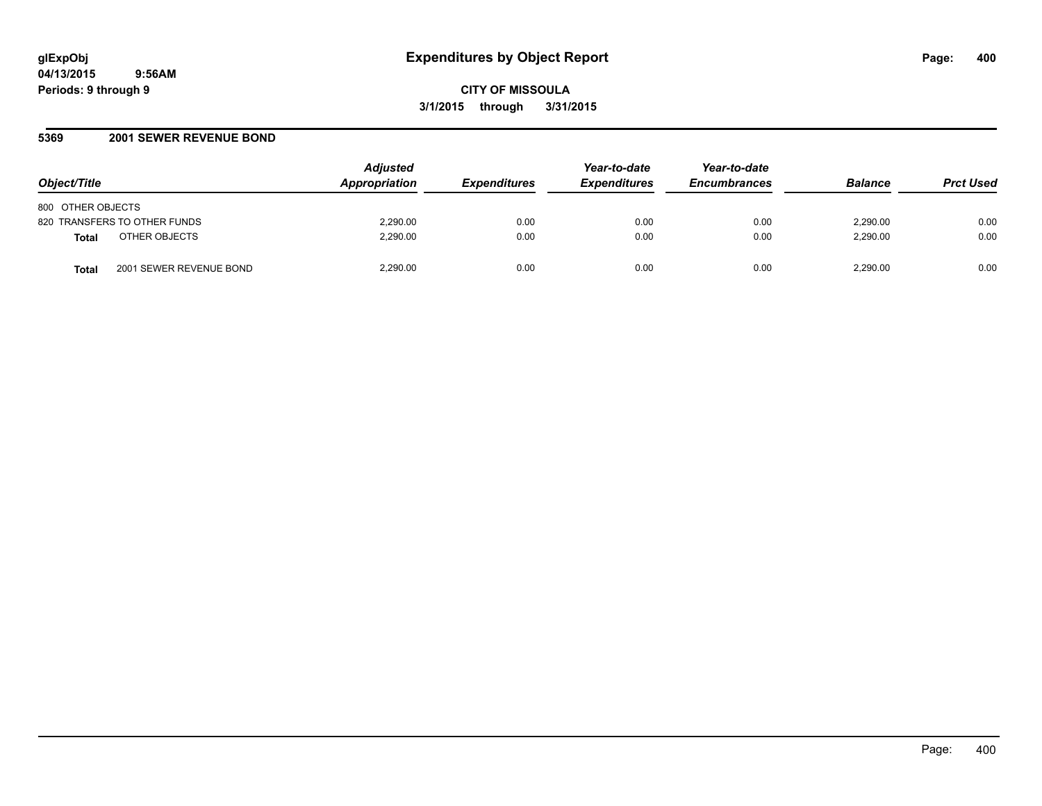#### **5369 2001 SEWER REVENUE BOND**

| Object/Title                            | <b>Adjusted</b><br>Appropriation | <i><b>Expenditures</b></i> | Year-to-date<br><b>Expenditures</b> | Year-to-date<br><b>Encumbrances</b> | <b>Balance</b> | <b>Prct Used</b> |
|-----------------------------------------|----------------------------------|----------------------------|-------------------------------------|-------------------------------------|----------------|------------------|
| 800 OTHER OBJECTS                       |                                  |                            |                                     |                                     |                |                  |
| 820 TRANSFERS TO OTHER FUNDS            | 2,290.00                         | 0.00                       | 0.00                                | 0.00                                | 2.290.00       | 0.00             |
| OTHER OBJECTS<br><b>Total</b>           | 2.290.00                         | 0.00                       | 0.00                                | 0.00                                | 2.290.00       | 0.00             |
| 2001 SEWER REVENUE BOND<br><b>Total</b> | 2.290.00                         | 0.00                       | 0.00                                | 0.00                                | 2.290.00       | 0.00             |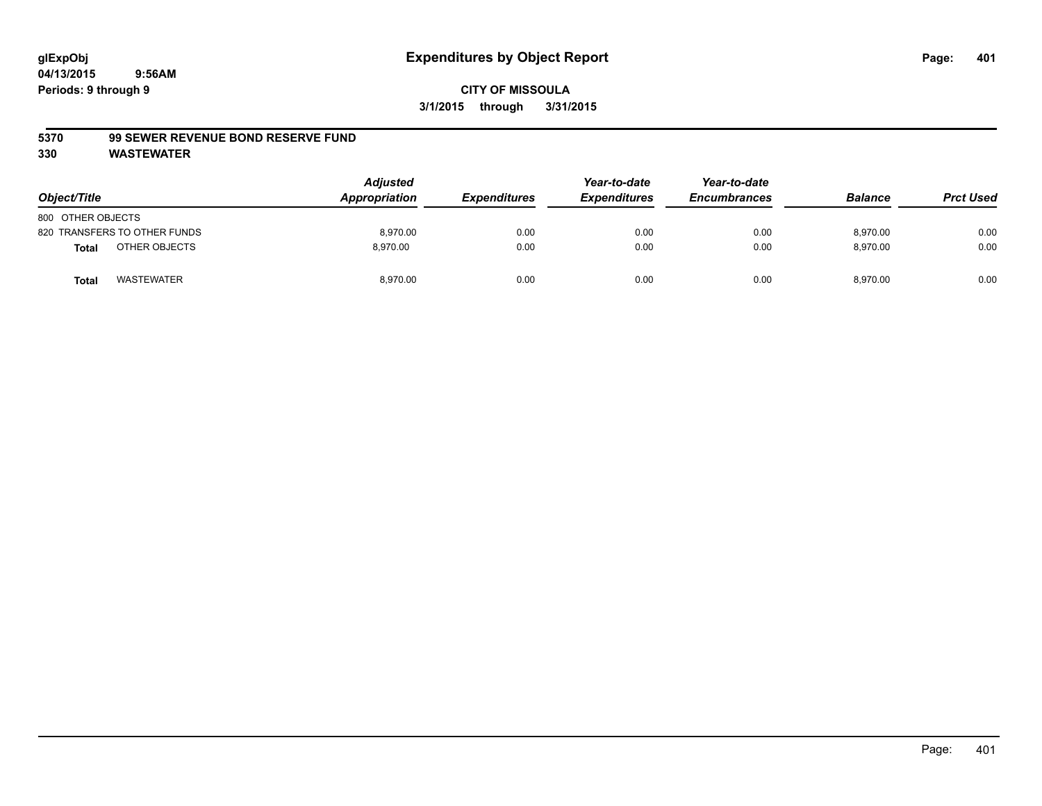#### **5370 99 SEWER REVENUE BOND RESERVE FUND**

| Object/Title                  | <b>Adjusted</b><br>Appropriation | <b>Expenditures</b> | Year-to-date<br><b>Expenditures</b> | Year-to-date<br><b>Encumbrances</b> | <b>Balance</b> | <b>Prct Used</b> |
|-------------------------------|----------------------------------|---------------------|-------------------------------------|-------------------------------------|----------------|------------------|
| 800 OTHER OBJECTS             |                                  |                     |                                     |                                     |                |                  |
| 820 TRANSFERS TO OTHER FUNDS  | 8,970.00                         | 0.00                | 0.00                                | 0.00                                | 8,970.00       | 0.00             |
| OTHER OBJECTS<br><b>Total</b> | 8,970.00                         | 0.00                | 0.00                                | 0.00                                | 8,970.00       | 0.00             |
| <b>WASTEWATER</b><br>Tota     | 8,970.00                         | 0.00                | 0.00                                | 0.00                                | 8,970.00       | 0.00             |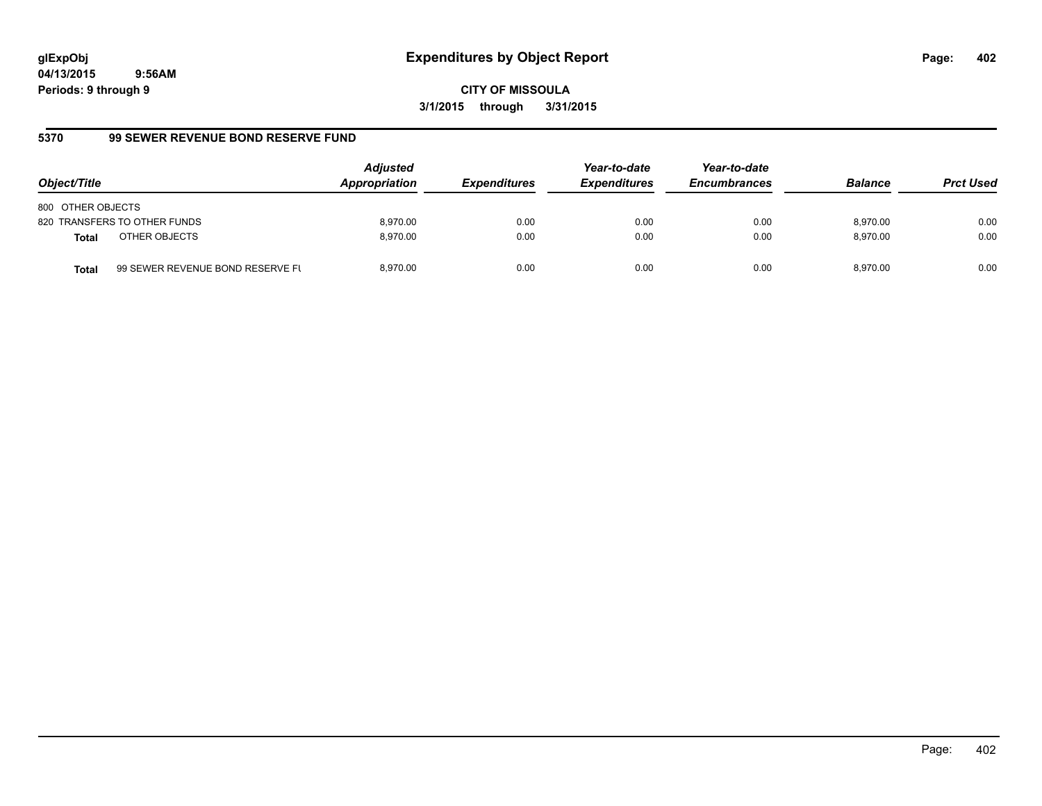**CITY OF MISSOULA 3/1/2015 through 3/31/2015**

# **5370 99 SEWER REVENUE BOND RESERVE FUND**

| Object/Title                  |                                  | <b>Adjusted</b><br>Appropriation | <b>Expenditures</b> | Year-to-date<br><b>Expenditures</b> | Year-to-date<br><b>Encumbrances</b> | <b>Balance</b> | <b>Prct Used</b> |
|-------------------------------|----------------------------------|----------------------------------|---------------------|-------------------------------------|-------------------------------------|----------------|------------------|
| 800 OTHER OBJECTS             |                                  |                                  |                     |                                     |                                     |                |                  |
| 820 TRANSFERS TO OTHER FUNDS  |                                  | 8.970.00                         | 0.00                | 0.00                                | 0.00                                | 8.970.00       | 0.00             |
| OTHER OBJECTS<br><b>Total</b> |                                  | 8.970.00                         | 0.00                | 0.00                                | 0.00                                | 8.970.00       | 0.00             |
| <b>Total</b>                  | 99 SEWER REVENUE BOND RESERVE FL | 8.970.00                         | 0.00                | 0.00                                | 0.00                                | 8.970.00       | 0.00             |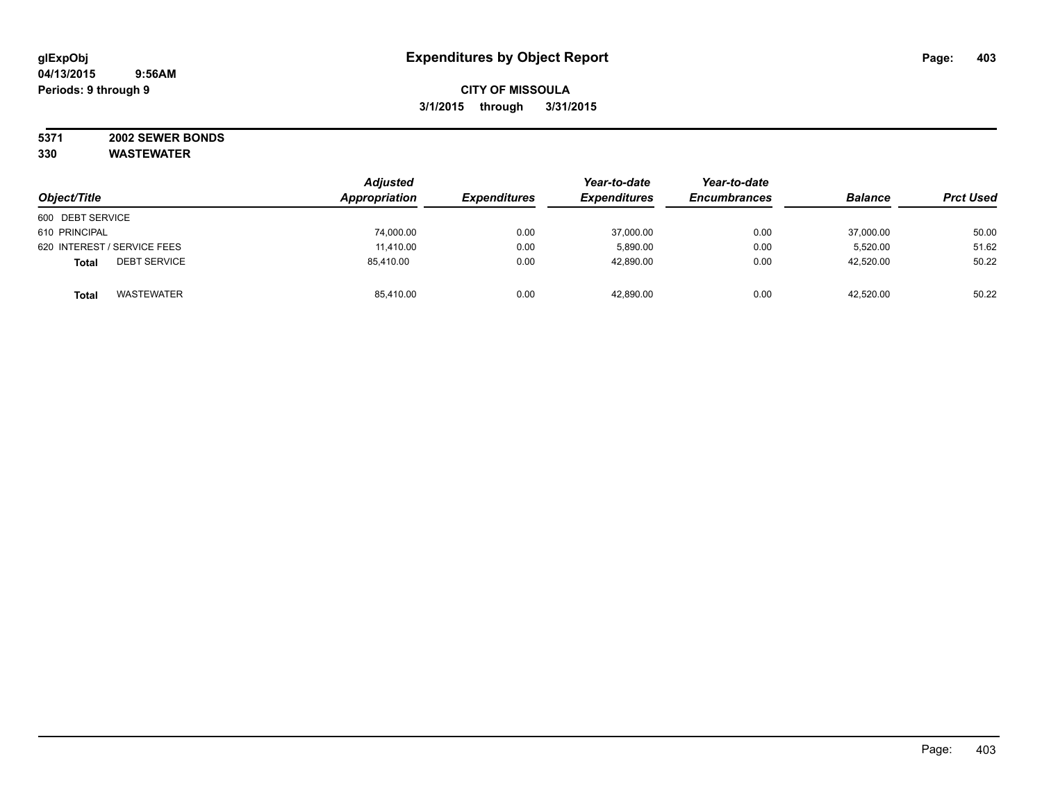#### **5371 2002 SEWER BONDS 330 WASTEWATER**

|                                     | <b>Adjusted</b><br>Appropriation | <i><b>Expenditures</b></i> | Year-to-date        | Year-to-date        | <b>Balance</b> | <b>Prct Used</b> |
|-------------------------------------|----------------------------------|----------------------------|---------------------|---------------------|----------------|------------------|
| Object/Title                        |                                  |                            | <b>Expenditures</b> | <b>Encumbrances</b> |                |                  |
| 600 DEBT SERVICE                    |                                  |                            |                     |                     |                |                  |
| 610 PRINCIPAL                       | 74,000.00                        | 0.00                       | 37,000.00           | 0.00                | 37,000.00      | 50.00            |
| 620 INTEREST / SERVICE FEES         | 11,410.00                        | 0.00                       | 5,890.00            | 0.00                | 5,520.00       | 51.62            |
| <b>DEBT SERVICE</b><br><b>Total</b> | 85,410.00                        | 0.00                       | 42,890.00           | 0.00                | 42,520.00      | 50.22            |
| WASTEWATER<br><b>Total</b>          | 85,410.00                        | 0.00                       | 42.890.00           | 0.00                | 42,520.00      | 50.22            |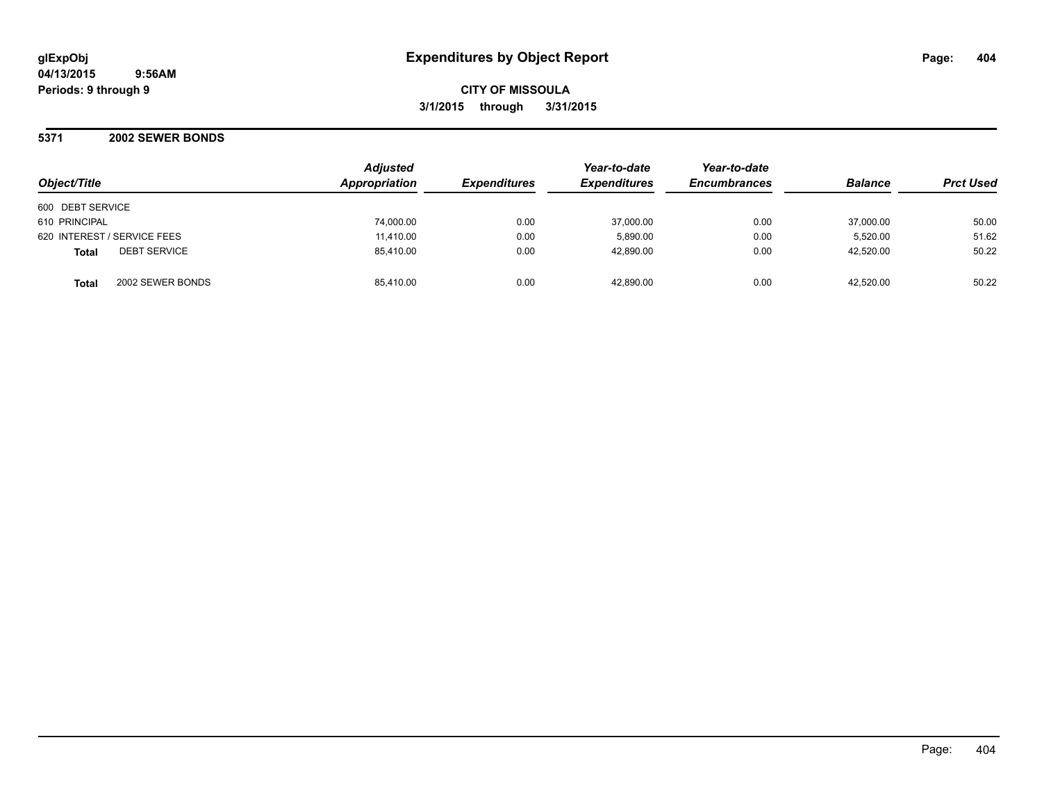**CITY OF MISSOULA 3/1/2015 through 3/31/2015**

**5371 2002 SEWER BONDS**

| Object/Title                        | <b>Adjusted</b><br>Appropriation | <b>Expenditures</b> | Year-to-date<br><b>Expenditures</b> | Year-to-date<br><b>Encumbrances</b> | <b>Balance</b> | <b>Prct Used</b> |
|-------------------------------------|----------------------------------|---------------------|-------------------------------------|-------------------------------------|----------------|------------------|
| 600 DEBT SERVICE                    |                                  |                     |                                     |                                     |                |                  |
| 610 PRINCIPAL                       | 74,000.00                        | 0.00                | 37,000.00                           | 0.00                                | 37,000.00      | 50.00            |
| 620 INTEREST / SERVICE FEES         | 11,410.00                        | 0.00                | 5,890.00                            | 0.00                                | 5,520.00       | 51.62            |
| <b>DEBT SERVICE</b><br><b>Total</b> | 85,410.00                        | 0.00                | 42,890.00                           | 0.00                                | 42,520.00      | 50.22            |
| 2002 SEWER BONDS<br><b>Total</b>    | 85.410.00                        | 0.00                | 42.890.00                           | 0.00                                | 42.520.00      | 50.22            |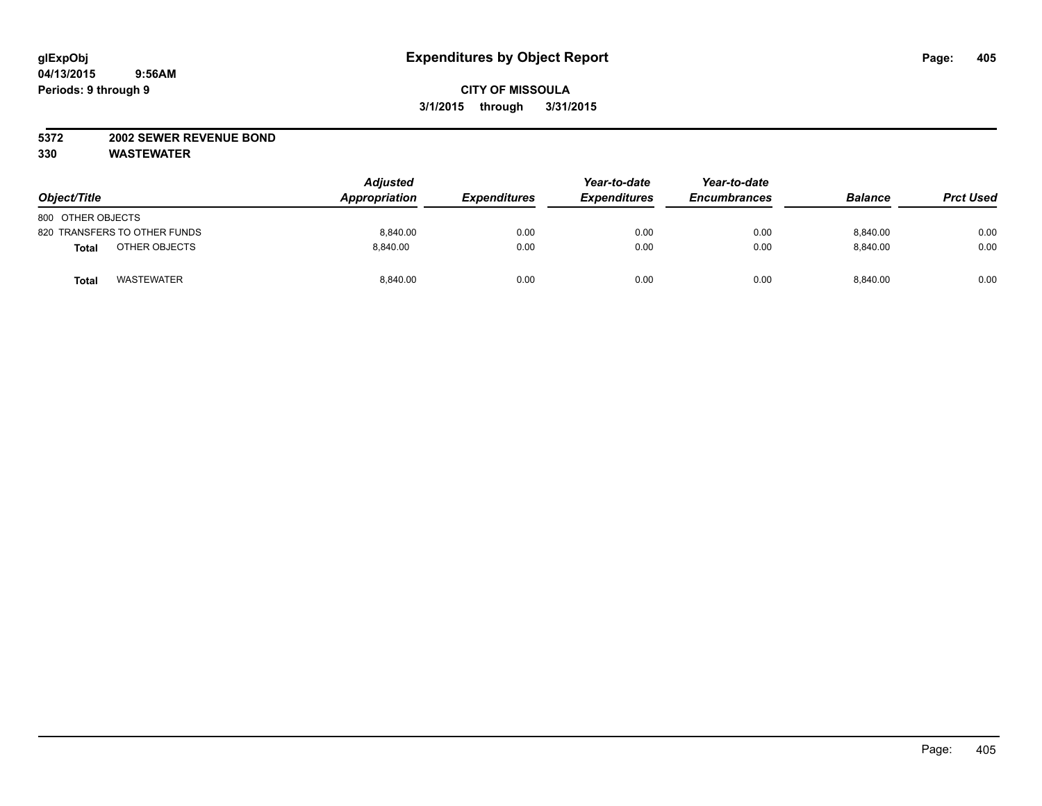## **5372 2002 SEWER REVENUE BOND**

| Object/Title                      | <b>Adjusted</b><br>Appropriation | <b>Expenditures</b> | Year-to-date<br><b>Expenditures</b> | Year-to-date<br><b>Encumbrances</b> | <b>Balance</b> | <b>Prct Used</b> |
|-----------------------------------|----------------------------------|---------------------|-------------------------------------|-------------------------------------|----------------|------------------|
| 800 OTHER OBJECTS                 |                                  |                     |                                     |                                     |                |                  |
| 820 TRANSFERS TO OTHER FUNDS      | 8,840.00                         | 0.00                | 0.00                                | 0.00                                | 8,840.00       | 0.00             |
| OTHER OBJECTS<br><b>Total</b>     | 8.840.00                         | 0.00                | 0.00                                | 0.00                                | 8.840.00       | 0.00             |
| <b>WASTEWATER</b><br><b>Total</b> | 8,840.00                         | 0.00                | 0.00                                | 0.00                                | 8,840.00       | 0.00             |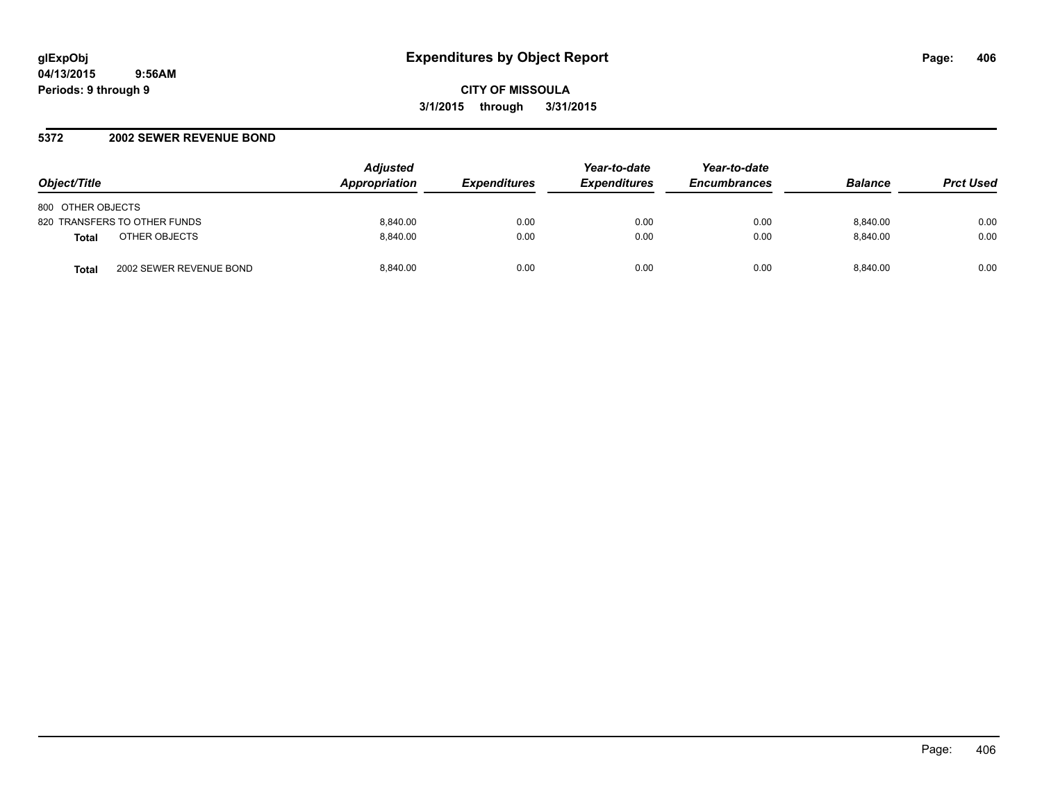## **5372 2002 SEWER REVENUE BOND**

| Object/Title                            | <b>Adjusted</b><br>Appropriation | <b>Expenditures</b> | Year-to-date<br><b>Expenditures</b> | Year-to-date<br><b>Encumbrances</b> | <b>Balance</b> | <b>Prct Used</b> |
|-----------------------------------------|----------------------------------|---------------------|-------------------------------------|-------------------------------------|----------------|------------------|
| 800 OTHER OBJECTS                       |                                  |                     |                                     |                                     |                |                  |
| 820 TRANSFERS TO OTHER FUNDS            | 8,840.00                         | 0.00                | 0.00                                | 0.00                                | 8.840.00       | 0.00             |
| OTHER OBJECTS<br><b>Total</b>           | 8.840.00                         | 0.00                | 0.00                                | 0.00                                | 8,840.00       | 0.00             |
| 2002 SEWER REVENUE BOND<br><b>Total</b> | 8.840.00                         | 0.00                | 0.00                                | 0.00                                | 8.840.00       | 0.00             |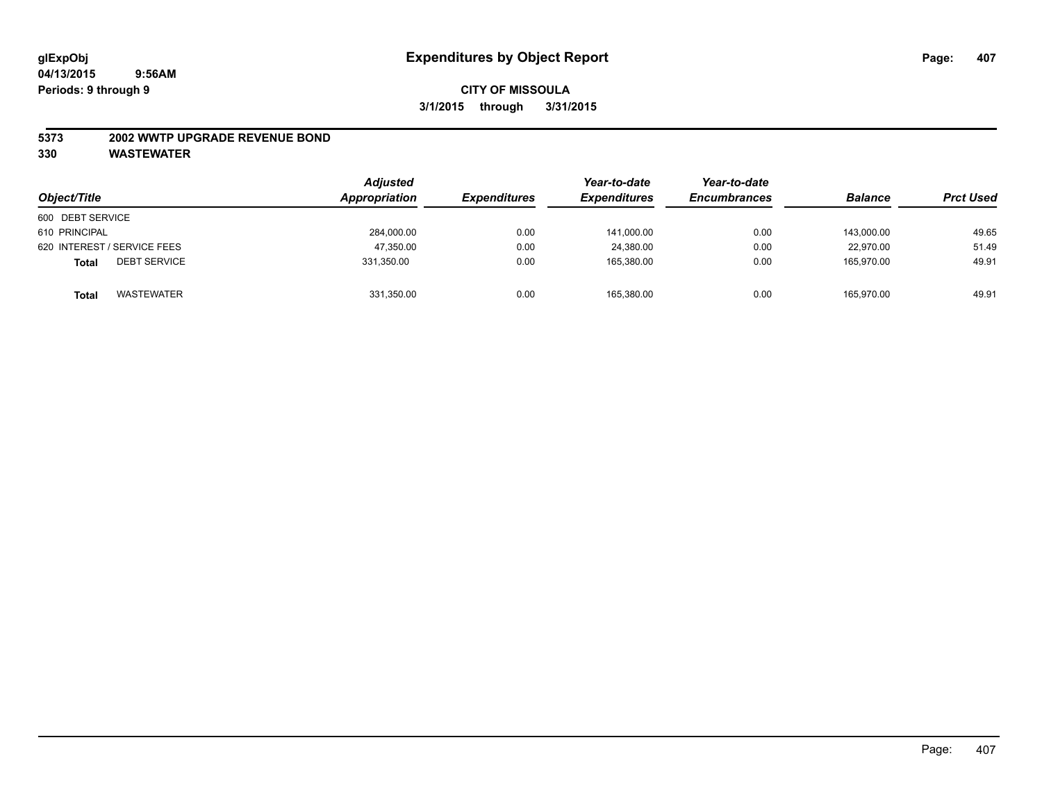## **5373 2002 WWTP UPGRADE REVENUE BOND**

| Object/Title                        | <b>Adjusted</b><br>Appropriation | <i><b>Expenditures</b></i> | Year-to-date<br><b>Expenditures</b> | Year-to-date<br><b>Encumbrances</b> | <b>Balance</b> | <b>Prct Used</b> |
|-------------------------------------|----------------------------------|----------------------------|-------------------------------------|-------------------------------------|----------------|------------------|
| 600 DEBT SERVICE                    |                                  |                            |                                     |                                     |                |                  |
| 610 PRINCIPAL                       | 284,000.00                       | 0.00                       | 141,000.00                          | 0.00                                | 143.000.00     | 49.65            |
| 620 INTEREST / SERVICE FEES         | 47,350.00                        | 0.00                       | 24.380.00                           | 0.00                                | 22.970.00      | 51.49            |
| <b>DEBT SERVICE</b><br><b>Total</b> | 331,350.00                       | 0.00                       | 165.380.00                          | 0.00                                | 165.970.00     | 49.91            |
| WASTEWATER<br><b>Total</b>          | 331,350.00                       | 0.00                       | 165,380.00                          | 0.00                                | 165,970.00     | 49.91            |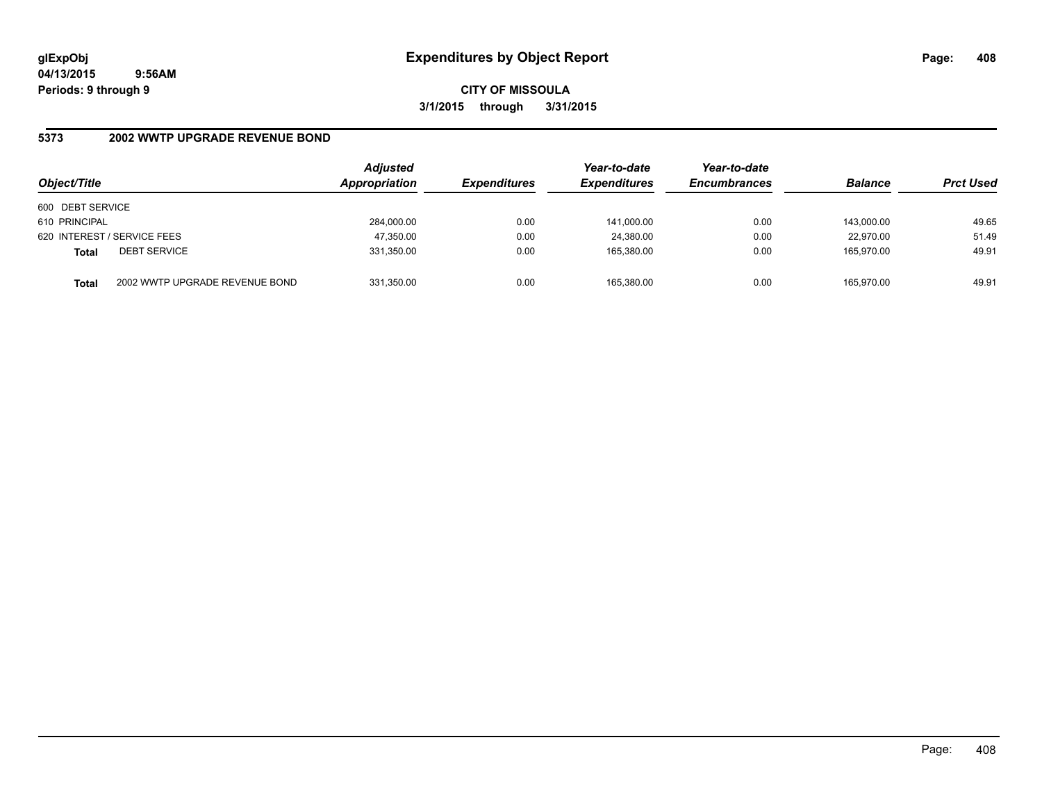**CITY OF MISSOULA 3/1/2015 through 3/31/2015**

# **5373 2002 WWTP UPGRADE REVENUE BOND**

| Object/Title                |                                | <b>Adjusted</b><br>Appropriation | <b>Expenditures</b> | Year-to-date<br><b>Expenditures</b> | Year-to-date<br><b>Encumbrances</b> | <b>Balance</b> | <b>Prct Used</b> |
|-----------------------------|--------------------------------|----------------------------------|---------------------|-------------------------------------|-------------------------------------|----------------|------------------|
| 600 DEBT SERVICE            |                                |                                  |                     |                                     |                                     |                |                  |
| 610 PRINCIPAL               |                                | 284.000.00                       | 0.00                | 141.000.00                          | 0.00                                | 143.000.00     | 49.65            |
| 620 INTEREST / SERVICE FEES |                                | 47,350.00                        | 0.00                | 24,380.00                           | 0.00                                | 22.970.00      | 51.49            |
| <b>Total</b>                | <b>DEBT SERVICE</b>            | 331,350.00                       | 0.00                | 165.380.00                          | 0.00                                | 165.970.00     | 49.91            |
| <b>Total</b>                | 2002 WWTP UPGRADE REVENUE BOND | 331,350.00                       | 0.00                | 165,380.00                          | 0.00                                | 165.970.00     | 49.91            |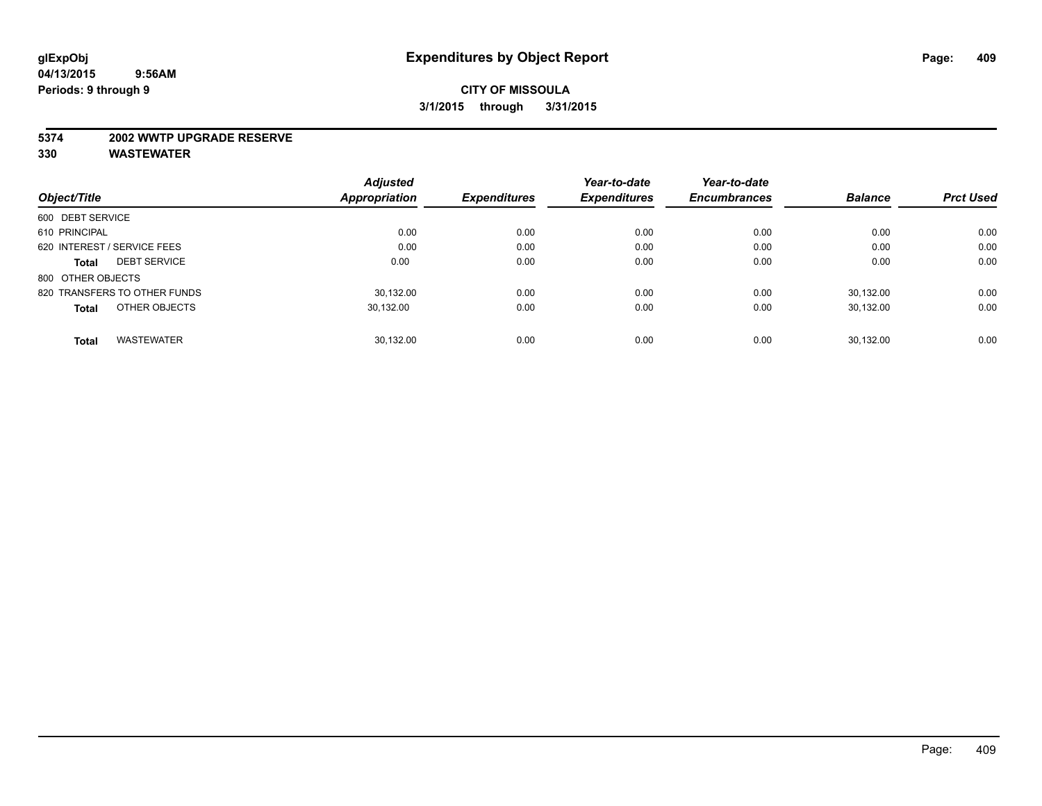#### **5374 2002 WWTP UPGRADE RESERVE**

|                                     | <b>Adjusted</b>      |                     | Year-to-date        | Year-to-date        |                |                  |
|-------------------------------------|----------------------|---------------------|---------------------|---------------------|----------------|------------------|
| Object/Title                        | <b>Appropriation</b> | <b>Expenditures</b> | <b>Expenditures</b> | <b>Encumbrances</b> | <b>Balance</b> | <b>Prct Used</b> |
| 600 DEBT SERVICE                    |                      |                     |                     |                     |                |                  |
| 610 PRINCIPAL                       | 0.00                 | 0.00                | 0.00                | 0.00                | 0.00           | 0.00             |
| 620 INTEREST / SERVICE FEES         | 0.00                 | 0.00                | 0.00                | 0.00                | 0.00           | 0.00             |
| <b>DEBT SERVICE</b><br><b>Total</b> | 0.00                 | 0.00                | 0.00                | 0.00                | 0.00           | 0.00             |
| 800 OTHER OBJECTS                   |                      |                     |                     |                     |                |                  |
| 820 TRANSFERS TO OTHER FUNDS        | 30.132.00            | 0.00                | 0.00                | 0.00                | 30.132.00      | 0.00             |
| OTHER OBJECTS<br><b>Total</b>       | 30,132.00            | 0.00                | 0.00                | 0.00                | 30,132.00      | 0.00             |
| <b>WASTEWATER</b><br><b>Total</b>   | 30.132.00            | 0.00                | 0.00                | 0.00                | 30.132.00      | 0.00             |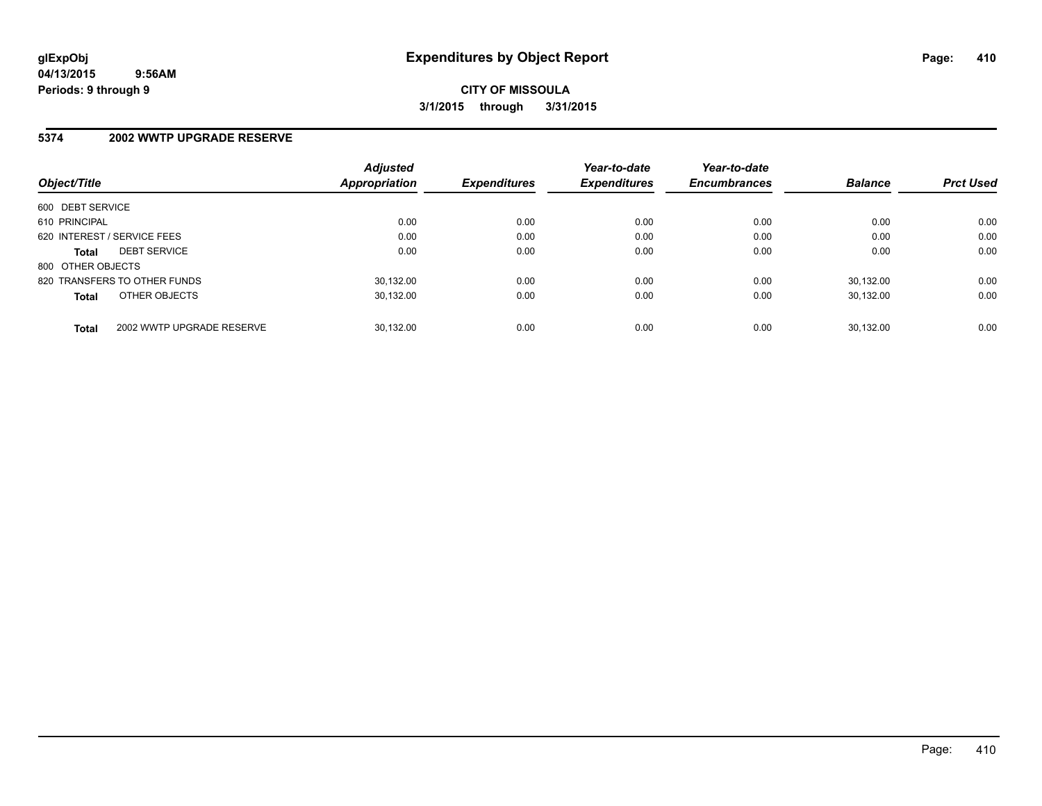**CITY OF MISSOULA 3/1/2015 through 3/31/2015**

#### **5374 2002 WWTP UPGRADE RESERVE**

|                   |                              | <b>Adjusted</b>      |                     | Year-to-date        | Year-to-date        |                |                  |
|-------------------|------------------------------|----------------------|---------------------|---------------------|---------------------|----------------|------------------|
| Object/Title      |                              | <b>Appropriation</b> | <b>Expenditures</b> | <b>Expenditures</b> | <b>Encumbrances</b> | <b>Balance</b> | <b>Prct Used</b> |
| 600 DEBT SERVICE  |                              |                      |                     |                     |                     |                |                  |
| 610 PRINCIPAL     |                              | 0.00                 | 0.00                | 0.00                | 0.00                | 0.00           | 0.00             |
|                   | 620 INTEREST / SERVICE FEES  | 0.00                 | 0.00                | 0.00                | 0.00                | 0.00           | 0.00             |
| <b>Total</b>      | <b>DEBT SERVICE</b>          | 0.00                 | 0.00                | 0.00                | 0.00                | 0.00           | 0.00             |
| 800 OTHER OBJECTS |                              |                      |                     |                     |                     |                |                  |
|                   | 820 TRANSFERS TO OTHER FUNDS | 30.132.00            | 0.00                | 0.00                | 0.00                | 30.132.00      | 0.00             |
| <b>Total</b>      | <b>OTHER OBJECTS</b>         | 30.132.00            | 0.00                | 0.00                | 0.00                | 30.132.00      | 0.00             |
| <b>Total</b>      | 2002 WWTP UPGRADE RESERVE    | 30.132.00            | 0.00                | 0.00                | 0.00                | 30.132.00      | 0.00             |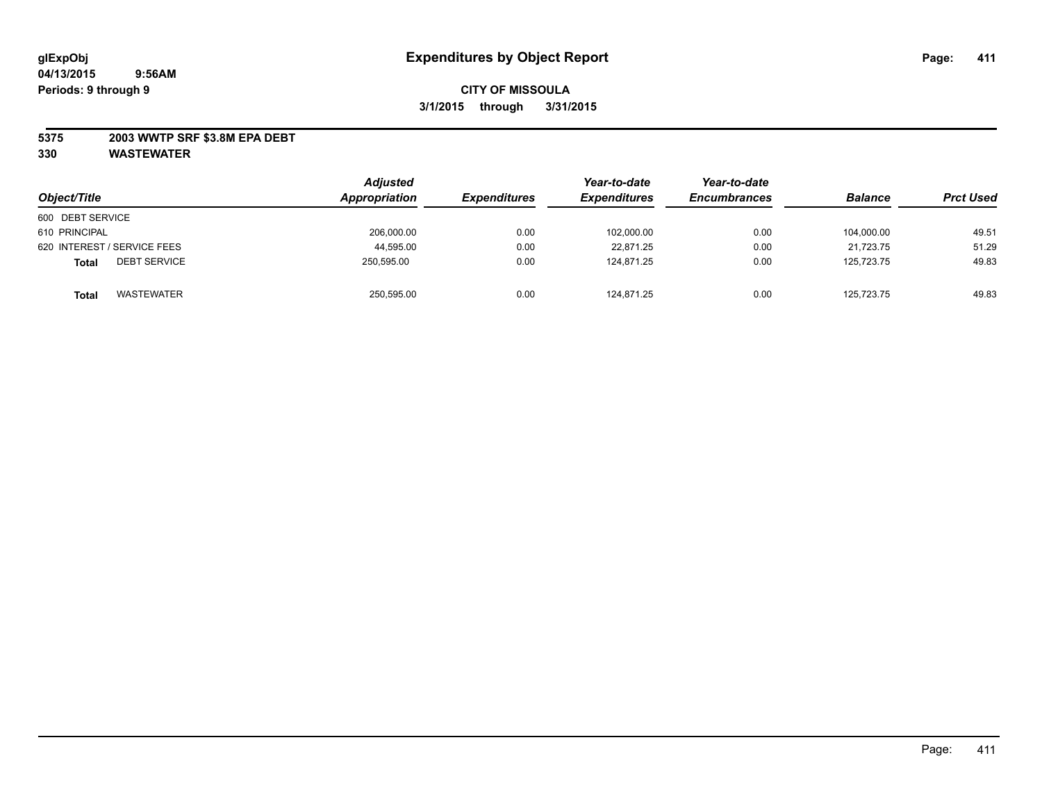## **5375 2003 WWTP SRF \$3.8M EPA DEBT**

| Object/Title                      | <b>Adjusted</b><br>Appropriation | <b>Expenditures</b> | Year-to-date<br><b>Expenditures</b> | Year-to-date<br><b>Encumbrances</b> | <b>Balance</b> | <b>Prct Used</b> |
|-----------------------------------|----------------------------------|---------------------|-------------------------------------|-------------------------------------|----------------|------------------|
| 600 DEBT SERVICE                  |                                  |                     |                                     |                                     |                |                  |
| 610 PRINCIPAL                     | 206,000.00                       | 0.00                | 102,000.00                          | 0.00                                | 104.000.00     | 49.51            |
| 620 INTEREST / SERVICE FEES       | 44,595.00                        | 0.00                | 22.871.25                           | 0.00                                | 21.723.75      | 51.29            |
| <b>DEBT SERVICE</b><br>Total      | 250,595.00                       | 0.00                | 124.871.25                          | 0.00                                | 125.723.75     | 49.83            |
| <b>WASTEWATER</b><br><b>Total</b> | 250,595.00                       | 0.00                | 124,871.25                          | 0.00                                | 125,723.75     | 49.83            |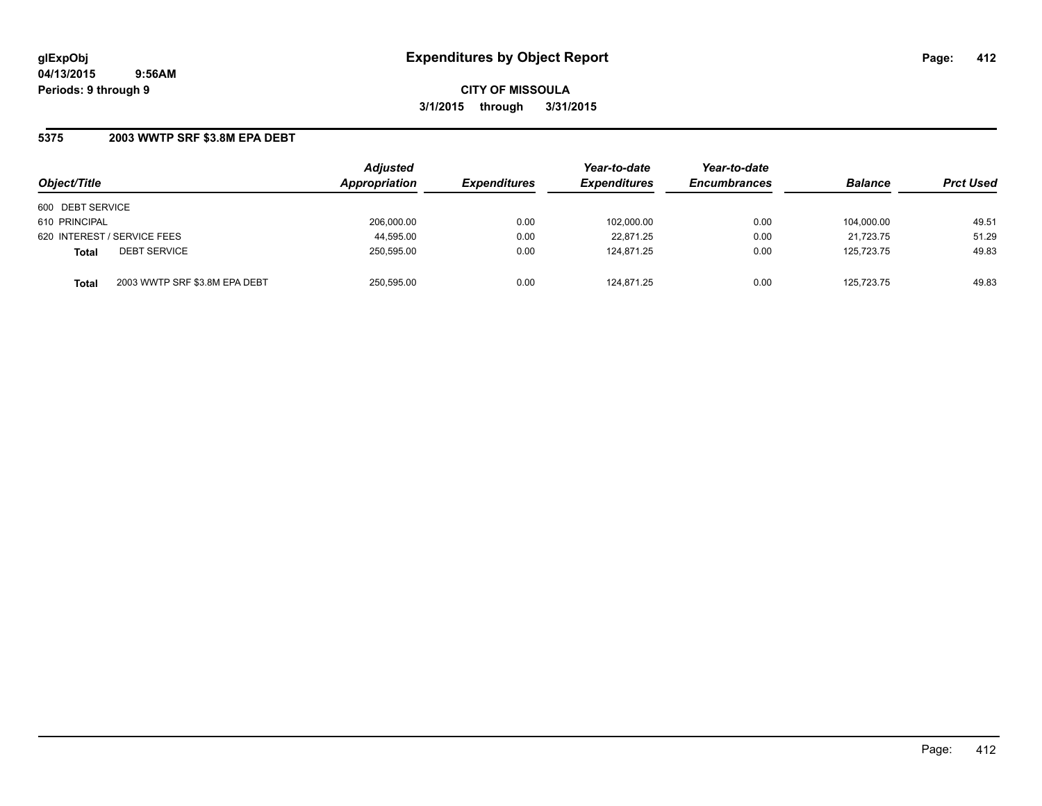**CITY OF MISSOULA 3/1/2015 through 3/31/2015**

## **5375 2003 WWTP SRF \$3.8M EPA DEBT**

| Object/Title                |                               | <b>Adjusted</b><br>Appropriation | <b>Expenditures</b> | Year-to-date<br><b>Expenditures</b> | Year-to-date<br><b>Encumbrances</b> | <b>Balance</b> | <b>Prct Used</b> |
|-----------------------------|-------------------------------|----------------------------------|---------------------|-------------------------------------|-------------------------------------|----------------|------------------|
| 600 DEBT SERVICE            |                               |                                  |                     |                                     |                                     |                |                  |
| 610 PRINCIPAL               |                               | 206.000.00                       | 0.00                | 102,000.00                          | 0.00                                | 104.000.00     | 49.51            |
| 620 INTEREST / SERVICE FEES |                               | 44,595.00                        | 0.00                | 22,871.25                           | 0.00                                | 21,723.75      | 51.29            |
| <b>Total</b>                | <b>DEBT SERVICE</b>           | 250,595.00                       | 0.00                | 124,871.25                          | 0.00                                | 125.723.75     | 49.83            |
| <b>Total</b>                | 2003 WWTP SRF \$3.8M EPA DEBT | 250,595.00                       | 0.00                | 124.871.25                          | 0.00                                | 125.723.75     | 49.83            |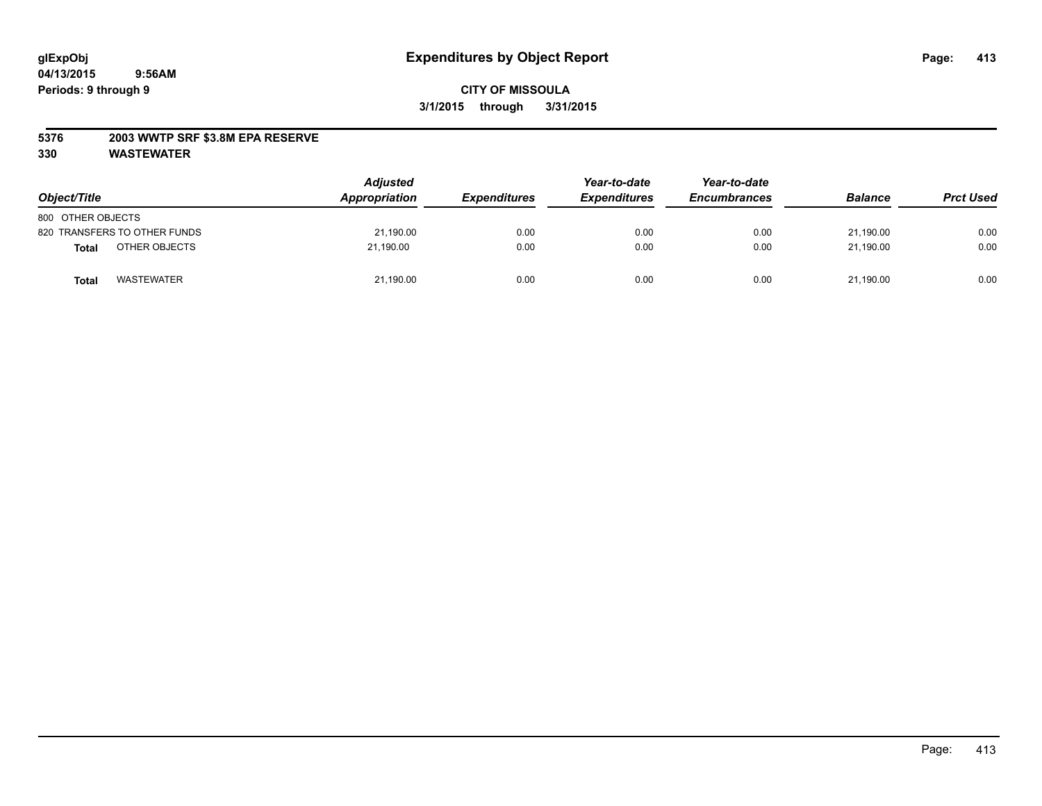## **5376 2003 WWTP SRF \$3.8M EPA RESERVE**

| Object/Title                 | <b>Adjusted</b><br>Appropriation | <b>Expenditures</b> | Year-to-date<br><b>Expenditures</b> | Year-to-date<br><b>Encumbrances</b> | <b>Balance</b> | <b>Prct Used</b> |
|------------------------------|----------------------------------|---------------------|-------------------------------------|-------------------------------------|----------------|------------------|
| 800 OTHER OBJECTS            |                                  |                     |                                     |                                     |                |                  |
| 820 TRANSFERS TO OTHER FUNDS | 21,190.00                        | 0.00                | 0.00                                | 0.00                                | 21,190.00      | 0.00             |
| OTHER OBJECTS<br>Total       | 21.190.00                        | 0.00                | 0.00                                | 0.00                                | 21.190.00      | 0.00             |
| <b>WASTEWATER</b><br>Total   | 21,190.00                        | 0.00                | 0.00                                | 0.00                                | 21,190.00      | 0.00             |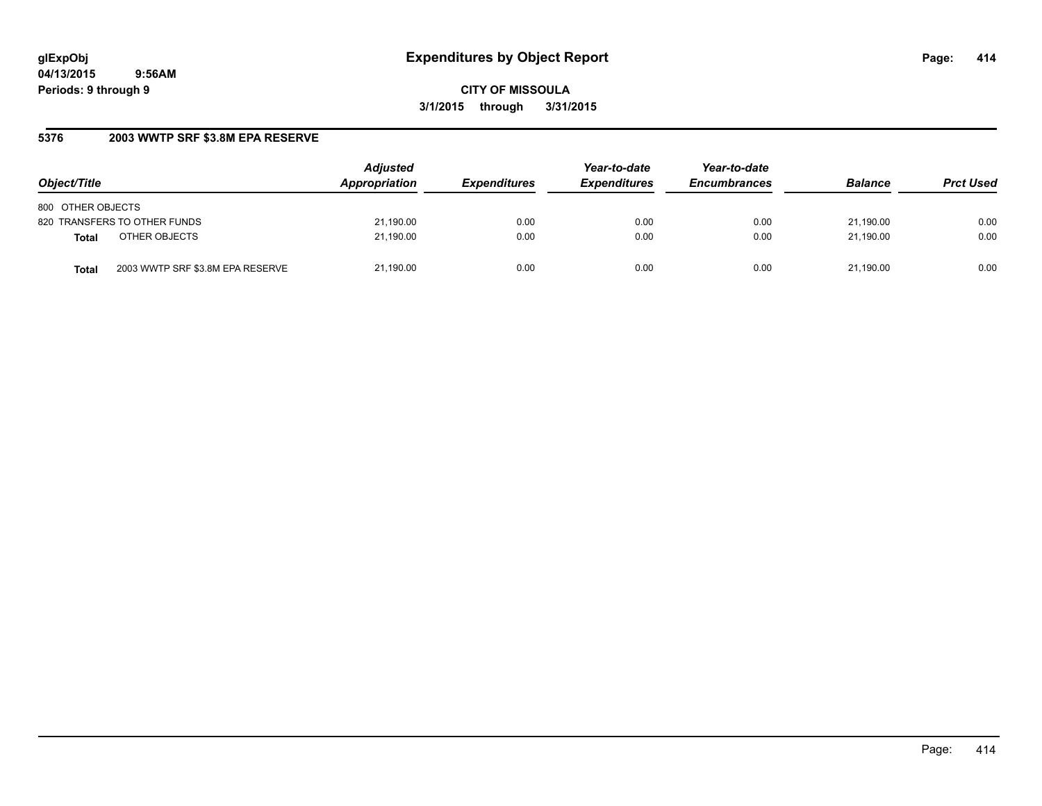**CITY OF MISSOULA 3/1/2015 through 3/31/2015**

# **5376 2003 WWTP SRF \$3.8M EPA RESERVE**

| Object/Title                              | <b>Adjusted</b><br>Appropriation | <b>Expenditures</b> | Year-to-date<br><b>Expenditures</b> | Year-to-date<br><b>Encumbrances</b> | <b>Balance</b> | <b>Prct Used</b> |
|-------------------------------------------|----------------------------------|---------------------|-------------------------------------|-------------------------------------|----------------|------------------|
| 800 OTHER OBJECTS                         |                                  |                     |                                     |                                     |                |                  |
| 820 TRANSFERS TO OTHER FUNDS              | 21,190.00                        | 0.00                | 0.00                                | 0.00                                | 21.190.00      | 0.00             |
| OTHER OBJECTS<br><b>Total</b>             | 21,190.00                        | 0.00                | 0.00                                | 0.00                                | 21.190.00      | 0.00             |
| 2003 WWTP SRF \$3.8M EPA RESERVE<br>Total | 21,190.00                        | 0.00                | 0.00                                | 0.00                                | 21.190.00      | 0.00             |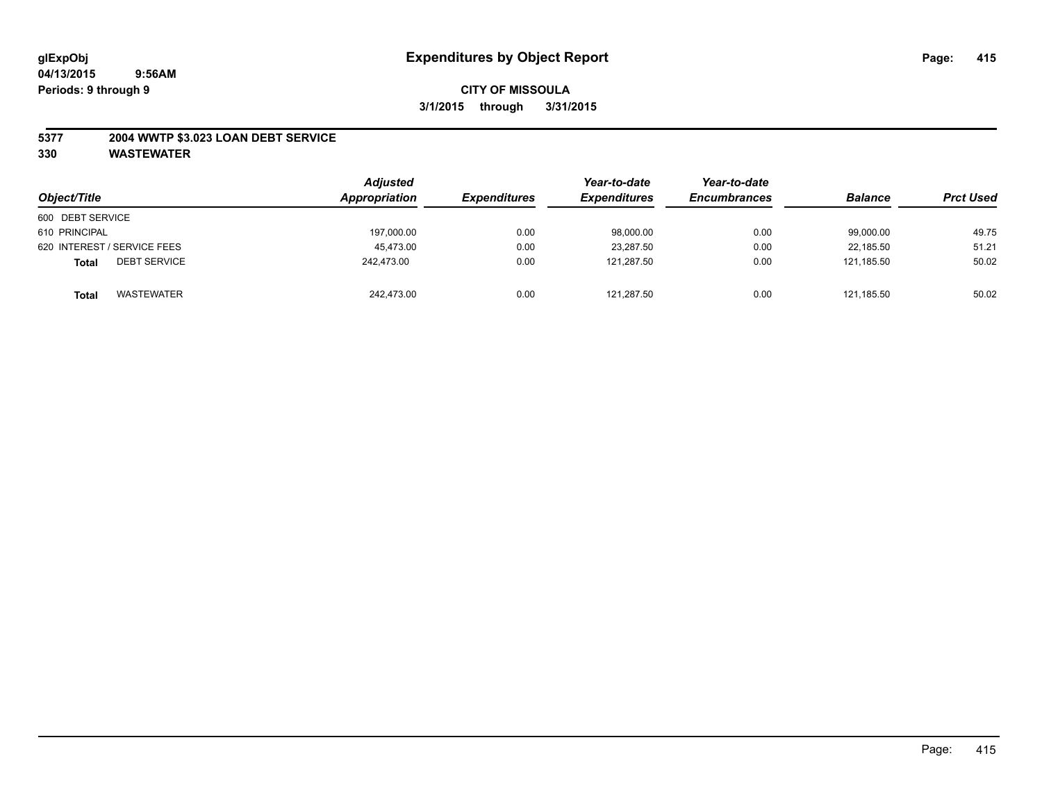## **5377 2004 WWTP \$3.023 LOAN DEBT SERVICE**

| Object/Title                        | <b>Adjusted</b><br>Appropriation | <b>Expenditures</b> | Year-to-date<br><b>Expenditures</b> | Year-to-date<br><b>Encumbrances</b> | <b>Balance</b> | <b>Prct Used</b> |
|-------------------------------------|----------------------------------|---------------------|-------------------------------------|-------------------------------------|----------------|------------------|
| 600 DEBT SERVICE                    |                                  |                     |                                     |                                     |                |                  |
| 610 PRINCIPAL                       | 197,000.00                       | 0.00                | 98,000.00                           | 0.00                                | 99,000.00      | 49.75            |
| 620 INTEREST / SERVICE FEES         | 45.473.00                        | 0.00                | 23.287.50                           | 0.00                                | 22.185.50      | 51.21            |
| <b>DEBT SERVICE</b><br><b>Total</b> | 242.473.00                       | 0.00                | 121.287.50                          | 0.00                                | 121.185.50     | 50.02            |
| <b>WASTEWATER</b><br><b>Total</b>   | 242,473.00                       | 0.00                | 121,287.50                          | 0.00                                | 121.185.50     | 50.02            |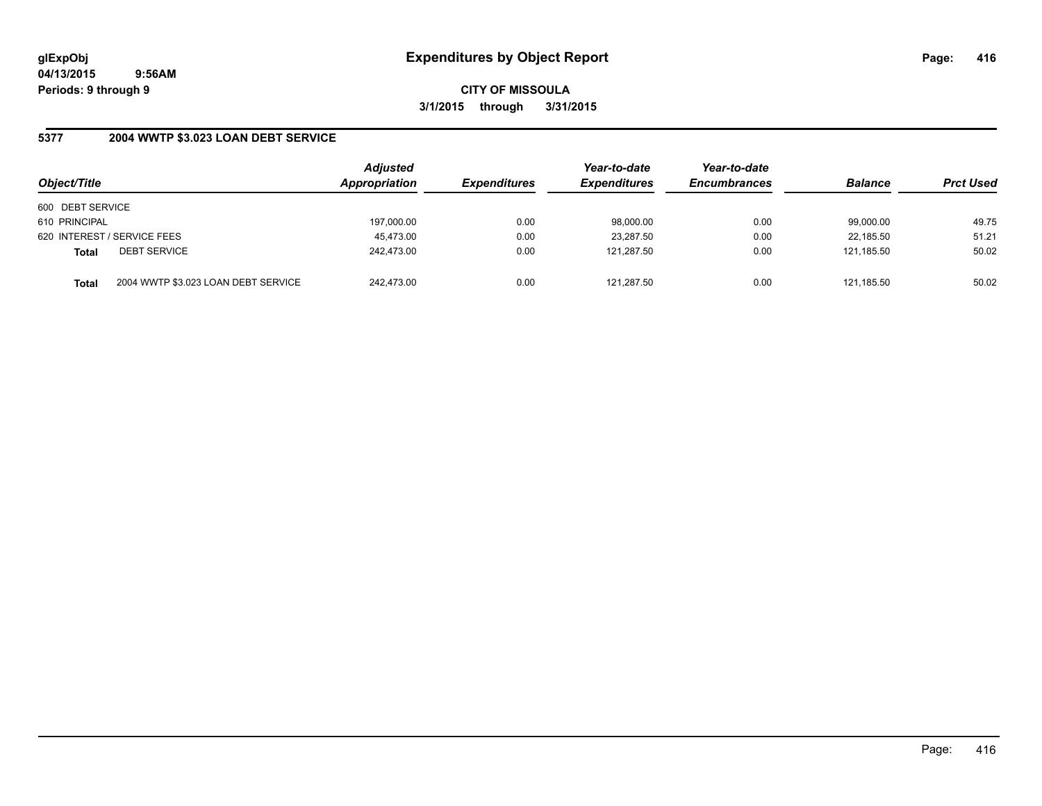**CITY OF MISSOULA 3/1/2015 through 3/31/2015**

## **5377 2004 WWTP \$3.023 LOAN DEBT SERVICE**

| Object/Title     |                                     | <b>Adjusted</b><br>Appropriation | <b>Expenditures</b> | Year-to-date<br><b>Expenditures</b> | Year-to-date<br><b>Encumbrances</b> | <b>Balance</b> | <b>Prct Used</b> |
|------------------|-------------------------------------|----------------------------------|---------------------|-------------------------------------|-------------------------------------|----------------|------------------|
| 600 DEBT SERVICE |                                     |                                  |                     |                                     |                                     |                |                  |
| 610 PRINCIPAL    |                                     | 197,000.00                       | 0.00                | 98,000.00                           | 0.00                                | 99,000.00      | 49.75            |
|                  | 620 INTEREST / SERVICE FEES         | 45,473.00                        | 0.00                | 23,287.50                           | 0.00                                | 22,185.50      | 51.21            |
| <b>Total</b>     | <b>DEBT SERVICE</b>                 | 242.473.00                       | 0.00                | 121.287.50                          | 0.00                                | 121.185.50     | 50.02            |
| <b>Total</b>     | 2004 WWTP \$3.023 LOAN DEBT SERVICE | 242.473.00                       | 0.00                | 121.287.50                          | 0.00                                | 121.185.50     | 50.02            |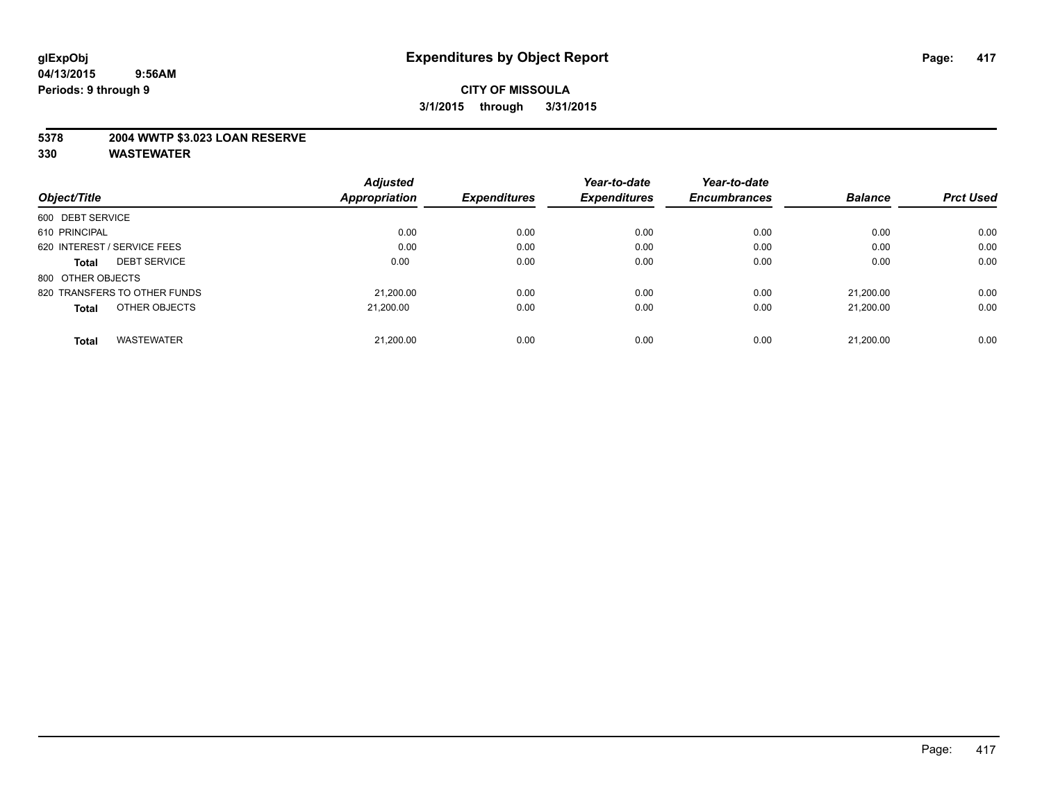## **5378 2004 WWTP \$3.023 LOAN RESERVE**

|                                     | <b>Adjusted</b> |                     | Year-to-date        | Year-to-date        |                |                  |
|-------------------------------------|-----------------|---------------------|---------------------|---------------------|----------------|------------------|
| Object/Title                        | Appropriation   | <b>Expenditures</b> | <b>Expenditures</b> | <b>Encumbrances</b> | <b>Balance</b> | <b>Prct Used</b> |
| 600 DEBT SERVICE                    |                 |                     |                     |                     |                |                  |
| 610 PRINCIPAL                       | 0.00            | 0.00                | 0.00                | 0.00                | 0.00           | 0.00             |
| 620 INTEREST / SERVICE FEES         | 0.00            | 0.00                | 0.00                | 0.00                | 0.00           | 0.00             |
| <b>DEBT SERVICE</b><br><b>Total</b> | 0.00            | 0.00                | 0.00                | 0.00                | 0.00           | 0.00             |
| 800 OTHER OBJECTS                   |                 |                     |                     |                     |                |                  |
| 820 TRANSFERS TO OTHER FUNDS        | 21.200.00       | 0.00                | 0.00                | 0.00                | 21.200.00      | 0.00             |
| OTHER OBJECTS<br><b>Total</b>       | 21.200.00       | 0.00                | 0.00                | 0.00                | 21.200.00      | 0.00             |
| <b>WASTEWATER</b><br>Total          | 21.200.00       | 0.00                | 0.00                | 0.00                | 21,200.00      | 0.00             |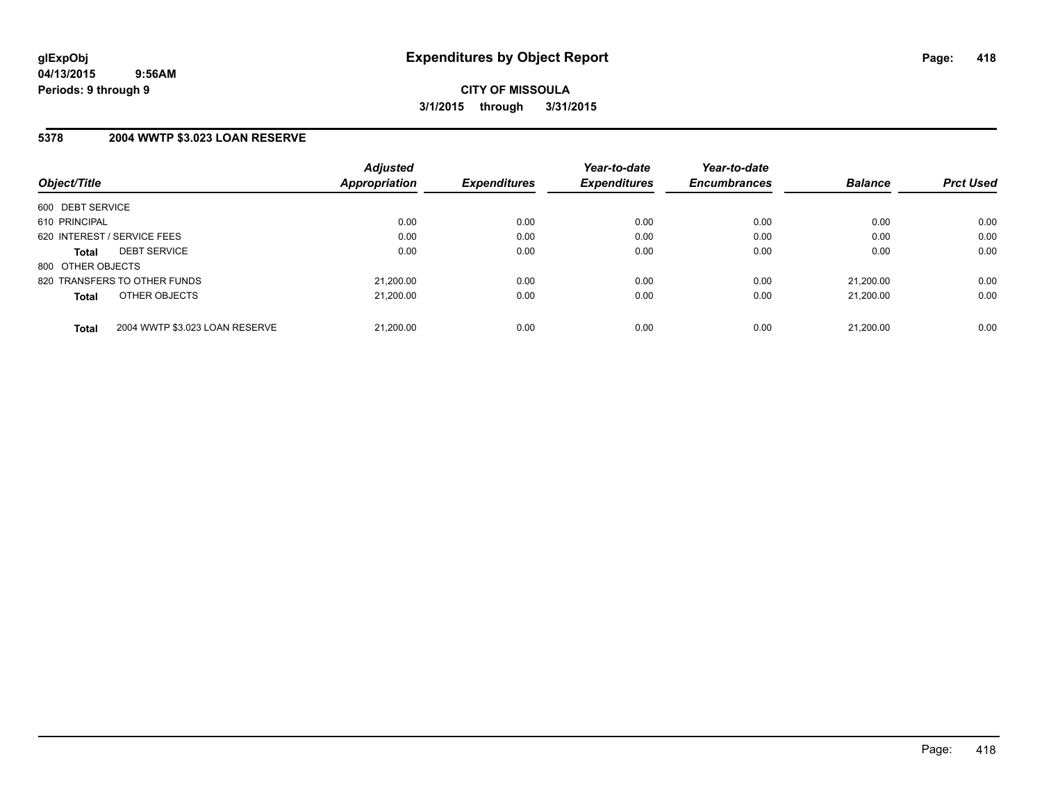**CITY OF MISSOULA 3/1/2015 through 3/31/2015**

## **5378 2004 WWTP \$3.023 LOAN RESERVE**

| Object/Title      |                                | <b>Adjusted</b><br>Appropriation | <b>Expenditures</b> | Year-to-date<br><b>Expenditures</b> | Year-to-date<br><b>Encumbrances</b> | <b>Balance</b> | <b>Prct Used</b> |
|-------------------|--------------------------------|----------------------------------|---------------------|-------------------------------------|-------------------------------------|----------------|------------------|
|                   |                                |                                  |                     |                                     |                                     |                |                  |
| 600 DEBT SERVICE  |                                |                                  |                     |                                     |                                     |                |                  |
| 610 PRINCIPAL     |                                | 0.00                             | 0.00                | 0.00                                | 0.00                                | 0.00           | 0.00             |
|                   | 620 INTEREST / SERVICE FEES    | 0.00                             | 0.00                | 0.00                                | 0.00                                | 0.00           | 0.00             |
| <b>Total</b>      | <b>DEBT SERVICE</b>            | 0.00                             | 0.00                | 0.00                                | 0.00                                | 0.00           | 0.00             |
| 800 OTHER OBJECTS |                                |                                  |                     |                                     |                                     |                |                  |
|                   | 820 TRANSFERS TO OTHER FUNDS   | 21,200.00                        | 0.00                | 0.00                                | 0.00                                | 21.200.00      | 0.00             |
| <b>Total</b>      | OTHER OBJECTS                  | 21.200.00                        | 0.00                | 0.00                                | 0.00                                | 21.200.00      | 0.00             |
|                   |                                |                                  |                     |                                     |                                     |                |                  |
| <b>Total</b>      | 2004 WWTP \$3.023 LOAN RESERVE | 21.200.00                        | 0.00                | 0.00                                | 0.00                                | 21.200.00      | 0.00             |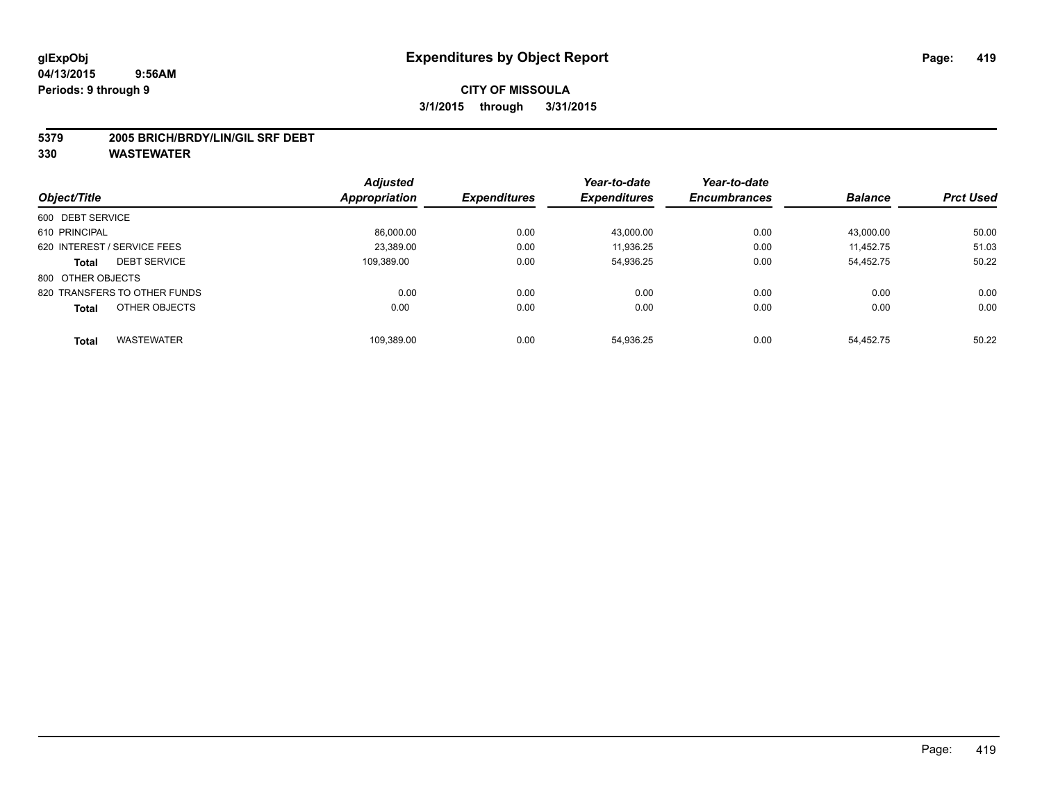#### **5379 2005 BRICH/BRDY/LIN/GIL SRF DEBT**

|                                     | <b>Adjusted</b> |                     | Year-to-date        | Year-to-date        |                |                  |
|-------------------------------------|-----------------|---------------------|---------------------|---------------------|----------------|------------------|
| Object/Title                        | Appropriation   | <b>Expenditures</b> | <b>Expenditures</b> | <b>Encumbrances</b> | <b>Balance</b> | <b>Prct Used</b> |
| 600 DEBT SERVICE                    |                 |                     |                     |                     |                |                  |
| 610 PRINCIPAL                       | 86,000.00       | 0.00                | 43.000.00           | 0.00                | 43.000.00      | 50.00            |
| 620 INTEREST / SERVICE FEES         | 23.389.00       | 0.00                | 11.936.25           | 0.00                | 11.452.75      | 51.03            |
| <b>DEBT SERVICE</b><br><b>Total</b> | 109,389.00      | 0.00                | 54.936.25           | 0.00                | 54.452.75      | 50.22            |
| 800 OTHER OBJECTS                   |                 |                     |                     |                     |                |                  |
| 820 TRANSFERS TO OTHER FUNDS        | 0.00            | 0.00                | 0.00                | 0.00                | 0.00           | 0.00             |
| OTHER OBJECTS<br><b>Total</b>       | 0.00            | 0.00                | 0.00                | 0.00                | 0.00           | 0.00             |
| <b>WASTEWATER</b><br><b>Total</b>   | 109.389.00      | 0.00                | 54.936.25           | 0.00                | 54.452.75      | 50.22            |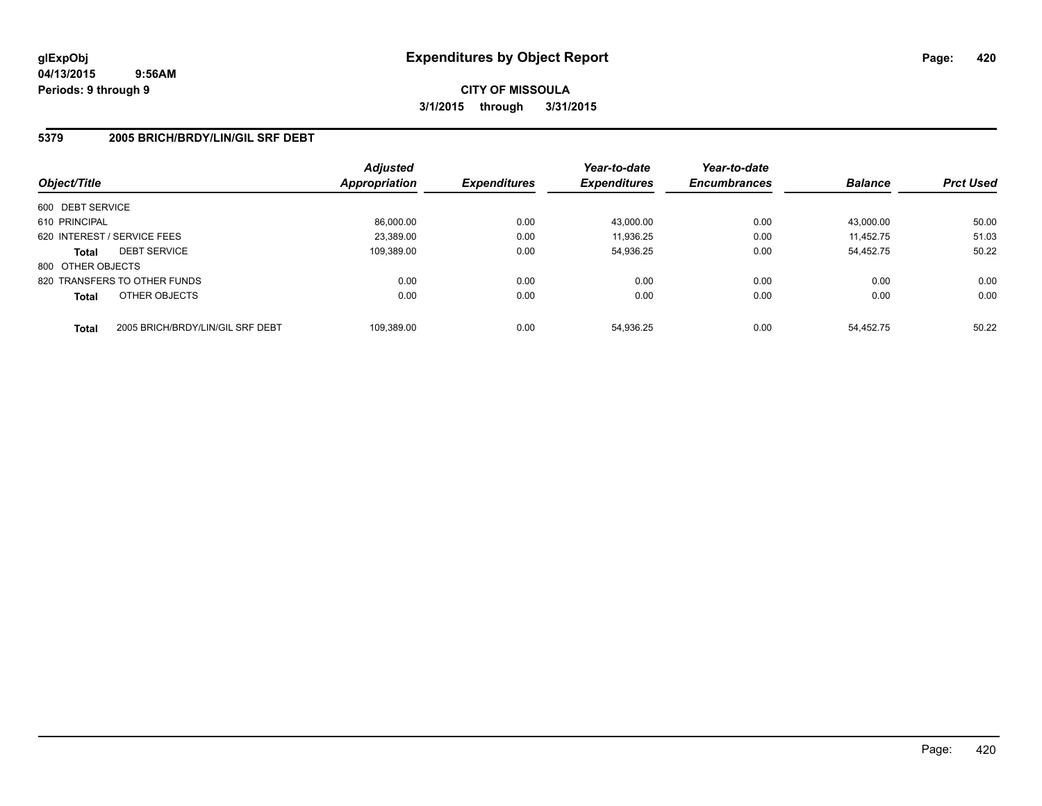**CITY OF MISSOULA 3/1/2015 through 3/31/2015**

## **5379 2005 BRICH/BRDY/LIN/GIL SRF DEBT**

| Object/Title      |                                  | <b>Adjusted</b><br><b>Appropriation</b> | <b>Expenditures</b> | Year-to-date<br><b>Expenditures</b> | Year-to-date<br><b>Encumbrances</b> | <b>Balance</b> | <b>Prct Used</b> |
|-------------------|----------------------------------|-----------------------------------------|---------------------|-------------------------------------|-------------------------------------|----------------|------------------|
| 600 DEBT SERVICE  |                                  |                                         |                     |                                     |                                     |                |                  |
| 610 PRINCIPAL     |                                  | 86,000.00                               | 0.00                | 43,000.00                           | 0.00                                | 43.000.00      | 50.00            |
|                   | 620 INTEREST / SERVICE FEES      | 23,389.00                               | 0.00                | 11,936.25                           | 0.00                                | 11.452.75      | 51.03            |
| <b>Total</b>      | <b>DEBT SERVICE</b>              | 109.389.00                              | 0.00                | 54,936.25                           | 0.00                                | 54.452.75      | 50.22            |
| 800 OTHER OBJECTS |                                  |                                         |                     |                                     |                                     |                |                  |
|                   | 820 TRANSFERS TO OTHER FUNDS     | 0.00                                    | 0.00                | 0.00                                | 0.00                                | 0.00           | 0.00             |
| <b>Total</b>      | OTHER OBJECTS                    | 0.00                                    | 0.00                | 0.00                                | 0.00                                | 0.00           | 0.00             |
| <b>Total</b>      | 2005 BRICH/BRDY/LIN/GIL SRF DEBT | 109.389.00                              | 0.00                | 54.936.25                           | 0.00                                | 54.452.75      | 50.22            |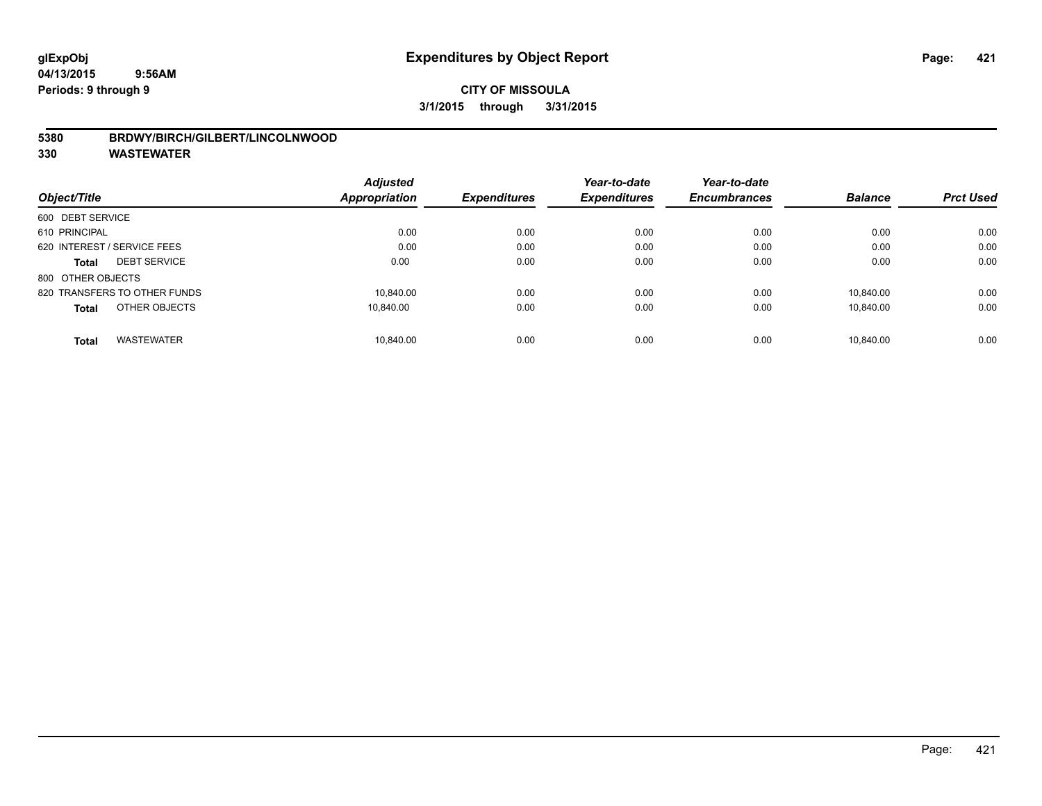## **5380 BRDWY/BIRCH/GILBERT/LINCOLNWOOD**

|                                   | <b>Adjusted</b>      |                     | Year-to-date        | Year-to-date        |                |                  |
|-----------------------------------|----------------------|---------------------|---------------------|---------------------|----------------|------------------|
| Object/Title                      | <b>Appropriation</b> | <b>Expenditures</b> | <b>Expenditures</b> | <b>Encumbrances</b> | <b>Balance</b> | <b>Prct Used</b> |
| 600 DEBT SERVICE                  |                      |                     |                     |                     |                |                  |
| 610 PRINCIPAL                     | 0.00                 | 0.00                | 0.00                | 0.00                | 0.00           | 0.00             |
| 620 INTEREST / SERVICE FEES       | 0.00                 | 0.00                | 0.00                | 0.00                | 0.00           | 0.00             |
| <b>DEBT SERVICE</b><br>Total      | 0.00                 | 0.00                | 0.00                | 0.00                | 0.00           | 0.00             |
| 800 OTHER OBJECTS                 |                      |                     |                     |                     |                |                  |
| 820 TRANSFERS TO OTHER FUNDS      | 10.840.00            | 0.00                | 0.00                | 0.00                | 10.840.00      | 0.00             |
| OTHER OBJECTS<br><b>Total</b>     | 10.840.00            | 0.00                | 0.00                | 0.00                | 10.840.00      | 0.00             |
| <b>WASTEWATER</b><br><b>Total</b> | 10.840.00            | 0.00                | 0.00                | 0.00                | 10.840.00      | 0.00             |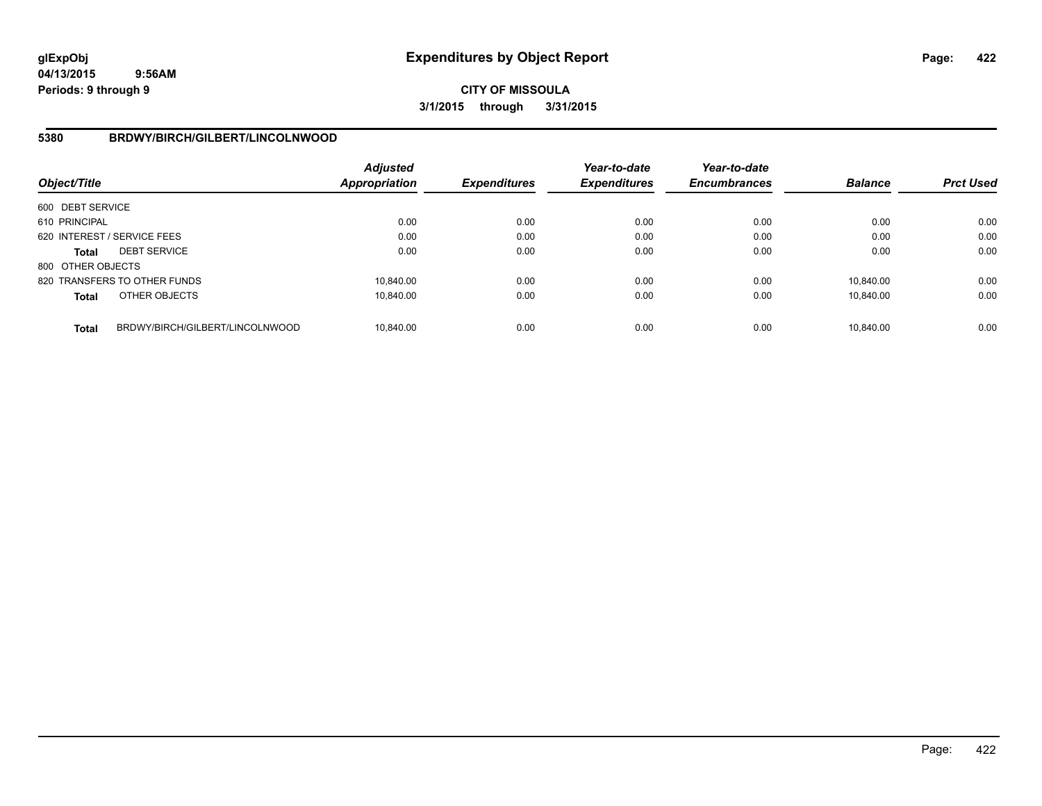**CITY OF MISSOULA 3/1/2015 through 3/31/2015**

## **5380 BRDWY/BIRCH/GILBERT/LINCOLNWOOD**

| Object/Title      |                                 | <b>Adjusted</b><br><b>Appropriation</b> | <b>Expenditures</b> | Year-to-date<br><b>Expenditures</b> | Year-to-date<br><b>Encumbrances</b> | <b>Balance</b> | <b>Prct Used</b> |
|-------------------|---------------------------------|-----------------------------------------|---------------------|-------------------------------------|-------------------------------------|----------------|------------------|
| 600 DEBT SERVICE  |                                 |                                         |                     |                                     |                                     |                |                  |
| 610 PRINCIPAL     |                                 | 0.00                                    | 0.00                | 0.00                                | 0.00                                | 0.00           | 0.00             |
|                   | 620 INTEREST / SERVICE FEES     | 0.00                                    | 0.00                | 0.00                                | 0.00                                | 0.00           | 0.00             |
| <b>Total</b>      | <b>DEBT SERVICE</b>             | 0.00                                    | 0.00                | 0.00                                | 0.00                                | 0.00           | 0.00             |
| 800 OTHER OBJECTS |                                 |                                         |                     |                                     |                                     |                |                  |
|                   | 820 TRANSFERS TO OTHER FUNDS    | 10.840.00                               | 0.00                | 0.00                                | 0.00                                | 10.840.00      | 0.00             |
| <b>Total</b>      | OTHER OBJECTS                   | 10.840.00                               | 0.00                | 0.00                                | 0.00                                | 10.840.00      | 0.00             |
| <b>Total</b>      | BRDWY/BIRCH/GILBERT/LINCOLNWOOD | 10.840.00                               | 0.00                | 0.00                                | 0.00                                | 10.840.00      | 0.00             |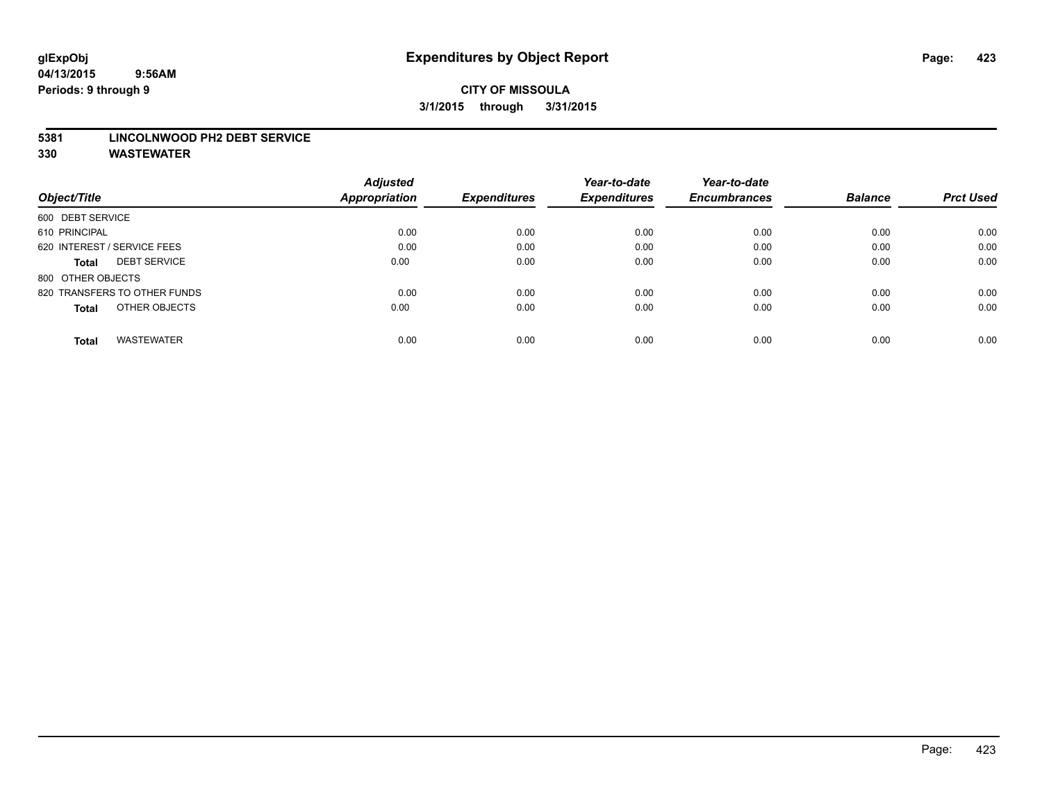# **CITY OF MISSOULA 3/1/2015 through 3/31/2015**

#### **5381 LINCOLNWOOD PH2 DEBT SERVICE**

|                                     | <b>Adjusted</b>      |                     | Year-to-date        | Year-to-date        |                |                  |
|-------------------------------------|----------------------|---------------------|---------------------|---------------------|----------------|------------------|
| Object/Title                        | <b>Appropriation</b> | <b>Expenditures</b> | <b>Expenditures</b> | <b>Encumbrances</b> | <b>Balance</b> | <b>Prct Used</b> |
| 600 DEBT SERVICE                    |                      |                     |                     |                     |                |                  |
| 610 PRINCIPAL                       | 0.00                 | 0.00                | 0.00                | 0.00                | 0.00           | 0.00             |
| 620 INTEREST / SERVICE FEES         | 0.00                 | 0.00                | 0.00                | 0.00                | 0.00           | 0.00             |
| <b>DEBT SERVICE</b><br><b>Total</b> | 0.00                 | 0.00                | 0.00                | 0.00                | 0.00           | 0.00             |
| 800 OTHER OBJECTS                   |                      |                     |                     |                     |                |                  |
| 820 TRANSFERS TO OTHER FUNDS        | 0.00                 | 0.00                | 0.00                | 0.00                | 0.00           | 0.00             |
| OTHER OBJECTS<br><b>Total</b>       | 0.00                 | 0.00                | 0.00                | 0.00                | 0.00           | 0.00             |
| <b>WASTEWATER</b><br>Total          | 0.00                 | 0.00                | 0.00                | 0.00                | 0.00           | 0.00             |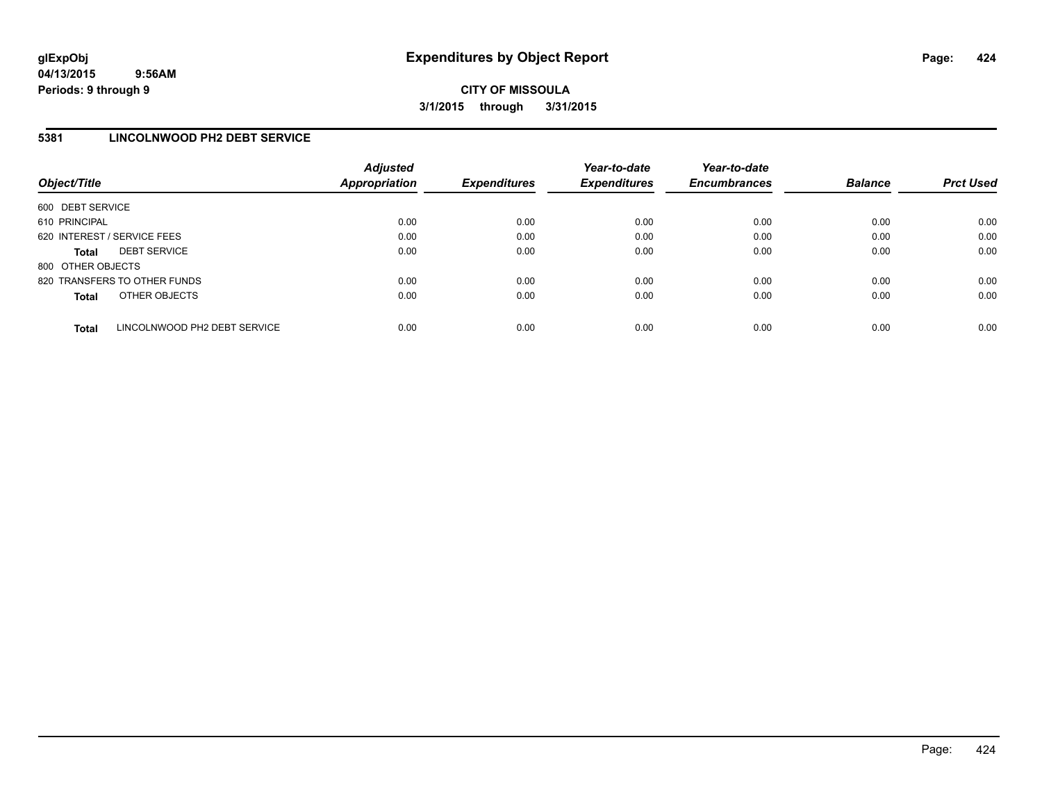**CITY OF MISSOULA 3/1/2015 through 3/31/2015**

## **5381 LINCOLNWOOD PH2 DEBT SERVICE**

| Object/Title                |                              | <b>Adjusted</b><br><b>Appropriation</b> | <b>Expenditures</b> | Year-to-date<br><b>Expenditures</b> | Year-to-date<br><b>Encumbrances</b> | <b>Balance</b> | <b>Prct Used</b> |
|-----------------------------|------------------------------|-----------------------------------------|---------------------|-------------------------------------|-------------------------------------|----------------|------------------|
| 600 DEBT SERVICE            |                              |                                         |                     |                                     |                                     |                |                  |
| 610 PRINCIPAL               |                              | 0.00                                    | 0.00                | 0.00                                | 0.00                                | 0.00           | 0.00             |
| 620 INTEREST / SERVICE FEES |                              | 0.00                                    | 0.00                | 0.00                                | 0.00                                | 0.00           | 0.00             |
| <b>Total</b>                | <b>DEBT SERVICE</b>          | 0.00                                    | 0.00                | 0.00                                | 0.00                                | 0.00           | 0.00             |
| 800 OTHER OBJECTS           |                              |                                         |                     |                                     |                                     |                |                  |
|                             | 820 TRANSFERS TO OTHER FUNDS | 0.00                                    | 0.00                | 0.00                                | 0.00                                | 0.00           | 0.00             |
| <b>Total</b>                | OTHER OBJECTS                | 0.00                                    | 0.00                | 0.00                                | 0.00                                | 0.00           | 0.00             |
| <b>Total</b>                | LINCOLNWOOD PH2 DEBT SERVICE | 0.00                                    | 0.00                | 0.00                                | 0.00                                | 0.00           | 0.00             |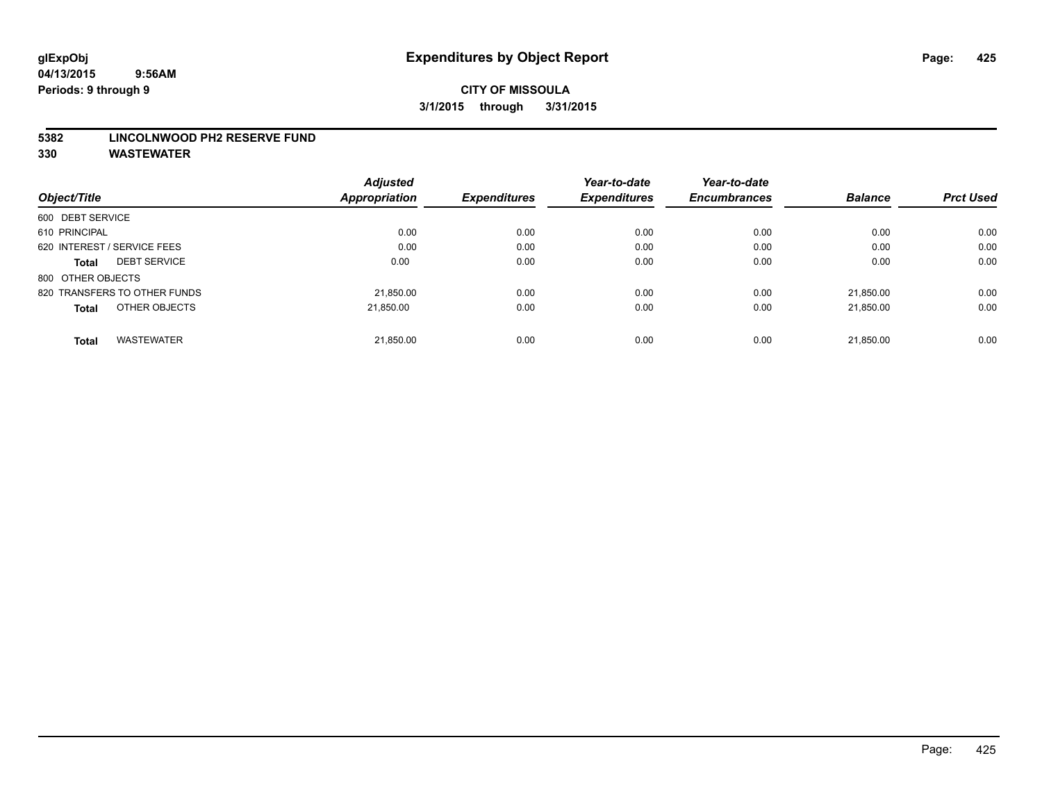#### **5382 LINCOLNWOOD PH2 RESERVE FUND**

|                                   | <b>Adjusted</b>      |                     | Year-to-date        | Year-to-date        |                |                  |
|-----------------------------------|----------------------|---------------------|---------------------|---------------------|----------------|------------------|
| Object/Title                      | <b>Appropriation</b> | <b>Expenditures</b> | <b>Expenditures</b> | <b>Encumbrances</b> | <b>Balance</b> | <b>Prct Used</b> |
| 600 DEBT SERVICE                  |                      |                     |                     |                     |                |                  |
| 610 PRINCIPAL                     | 0.00                 | 0.00                | 0.00                | 0.00                | 0.00           | 0.00             |
| 620 INTEREST / SERVICE FEES       | 0.00                 | 0.00                | 0.00                | 0.00                | 0.00           | 0.00             |
| <b>DEBT SERVICE</b><br>Total      | 0.00                 | 0.00                | 0.00                | 0.00                | 0.00           | 0.00             |
| 800 OTHER OBJECTS                 |                      |                     |                     |                     |                |                  |
| 820 TRANSFERS TO OTHER FUNDS      | 21,850.00            | 0.00                | 0.00                | 0.00                | 21.850.00      | 0.00             |
| OTHER OBJECTS<br><b>Total</b>     | 21.850.00            | 0.00                | 0.00                | 0.00                | 21.850.00      | 0.00             |
| <b>WASTEWATER</b><br><b>Total</b> | 21,850.00            | 0.00                | 0.00                | 0.00                | 21,850.00      | 0.00             |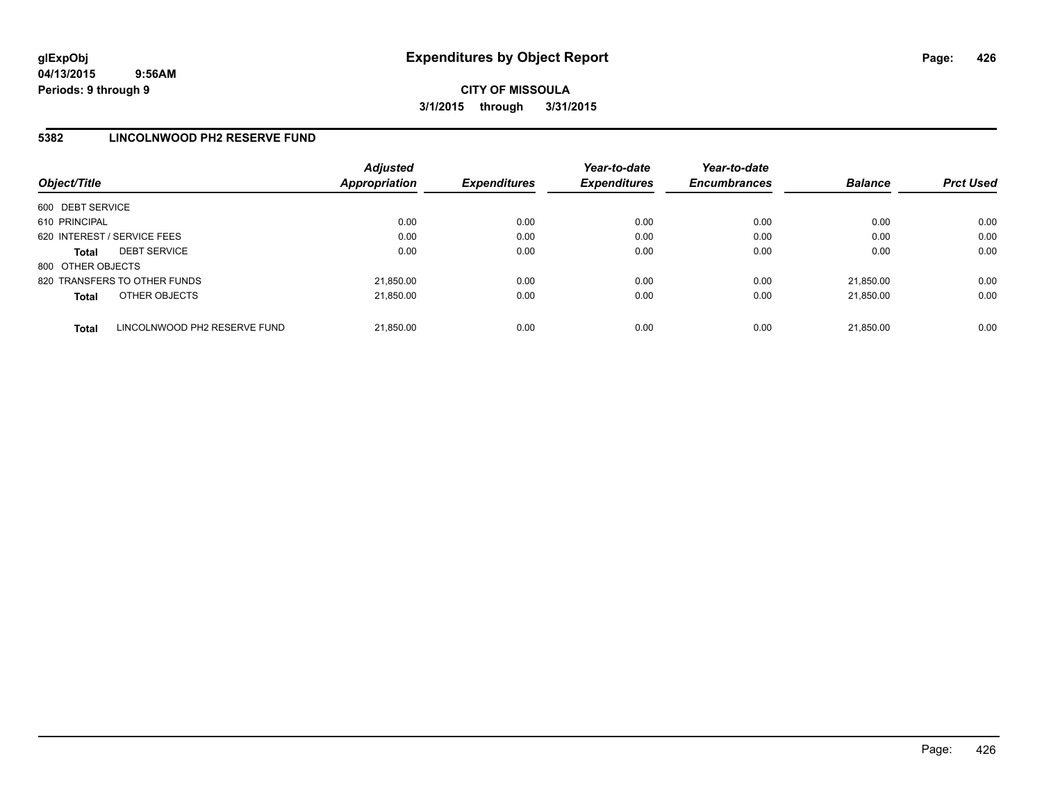**CITY OF MISSOULA 3/1/2015 through 3/31/2015**

## **5382 LINCOLNWOOD PH2 RESERVE FUND**

| Object/Title      |                              | <b>Adjusted</b><br>Appropriation | <b>Expenditures</b> | Year-to-date<br><b>Expenditures</b> | Year-to-date<br><b>Encumbrances</b> | <b>Balance</b> | <b>Prct Used</b> |
|-------------------|------------------------------|----------------------------------|---------------------|-------------------------------------|-------------------------------------|----------------|------------------|
| 600 DEBT SERVICE  |                              |                                  |                     |                                     |                                     |                |                  |
| 610 PRINCIPAL     |                              | 0.00                             | 0.00                | 0.00                                | 0.00                                | 0.00           | 0.00             |
|                   | 620 INTEREST / SERVICE FEES  | 0.00                             | 0.00                | 0.00                                | 0.00                                | 0.00           | 0.00             |
| <b>Total</b>      | <b>DEBT SERVICE</b>          | 0.00                             | 0.00                | 0.00                                | 0.00                                | 0.00           | 0.00             |
| 800 OTHER OBJECTS |                              |                                  |                     |                                     |                                     |                |                  |
|                   | 820 TRANSFERS TO OTHER FUNDS | 21,850.00                        | 0.00                | 0.00                                | 0.00                                | 21.850.00      | 0.00             |
| <b>Total</b>      | OTHER OBJECTS                | 21,850.00                        | 0.00                | 0.00                                | 0.00                                | 21.850.00      | 0.00             |
| <b>Total</b>      | LINCOLNWOOD PH2 RESERVE FUND | 21,850.00                        | 0.00                | 0.00                                | 0.00                                | 21.850.00      | 0.00             |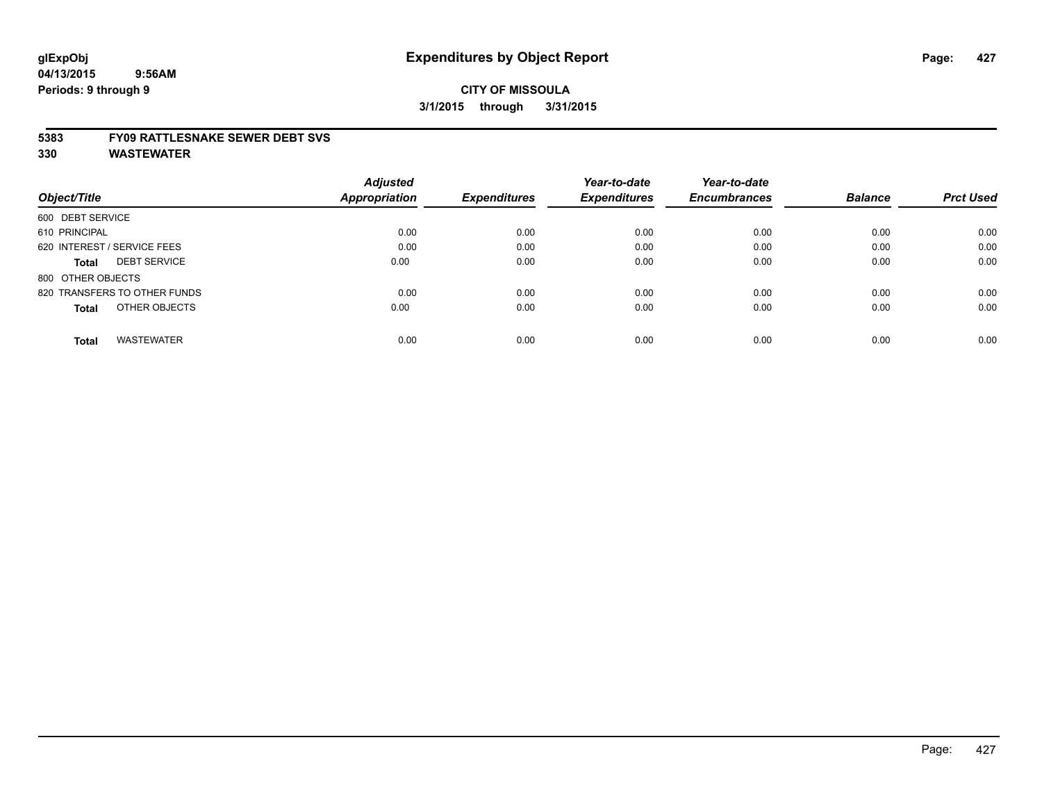# **CITY OF MISSOULA 3/1/2015 through 3/31/2015**

#### **5383 FY09 RATTLESNAKE SEWER DEBT SVS**

|                                     | <b>Adjusted</b> |                     | Year-to-date        | Year-to-date        |                |                  |
|-------------------------------------|-----------------|---------------------|---------------------|---------------------|----------------|------------------|
| Object/Title                        | Appropriation   | <b>Expenditures</b> | <b>Expenditures</b> | <b>Encumbrances</b> | <b>Balance</b> | <b>Prct Used</b> |
| 600 DEBT SERVICE                    |                 |                     |                     |                     |                |                  |
| 610 PRINCIPAL                       | 0.00            | 0.00                | 0.00                | 0.00                | 0.00           | 0.00             |
| 620 INTEREST / SERVICE FEES         | 0.00            | 0.00                | 0.00                | 0.00                | 0.00           | 0.00             |
| <b>DEBT SERVICE</b><br><b>Total</b> | 0.00            | 0.00                | 0.00                | 0.00                | 0.00           | 0.00             |
| 800 OTHER OBJECTS                   |                 |                     |                     |                     |                |                  |
| 820 TRANSFERS TO OTHER FUNDS        | 0.00            | 0.00                | 0.00                | 0.00                | 0.00           | 0.00             |
| OTHER OBJECTS<br><b>Total</b>       | 0.00            | 0.00                | 0.00                | 0.00                | 0.00           | 0.00             |
| <b>WASTEWATER</b><br><b>Total</b>   | 0.00            | 0.00                | 0.00                | 0.00                | 0.00           | 0.00             |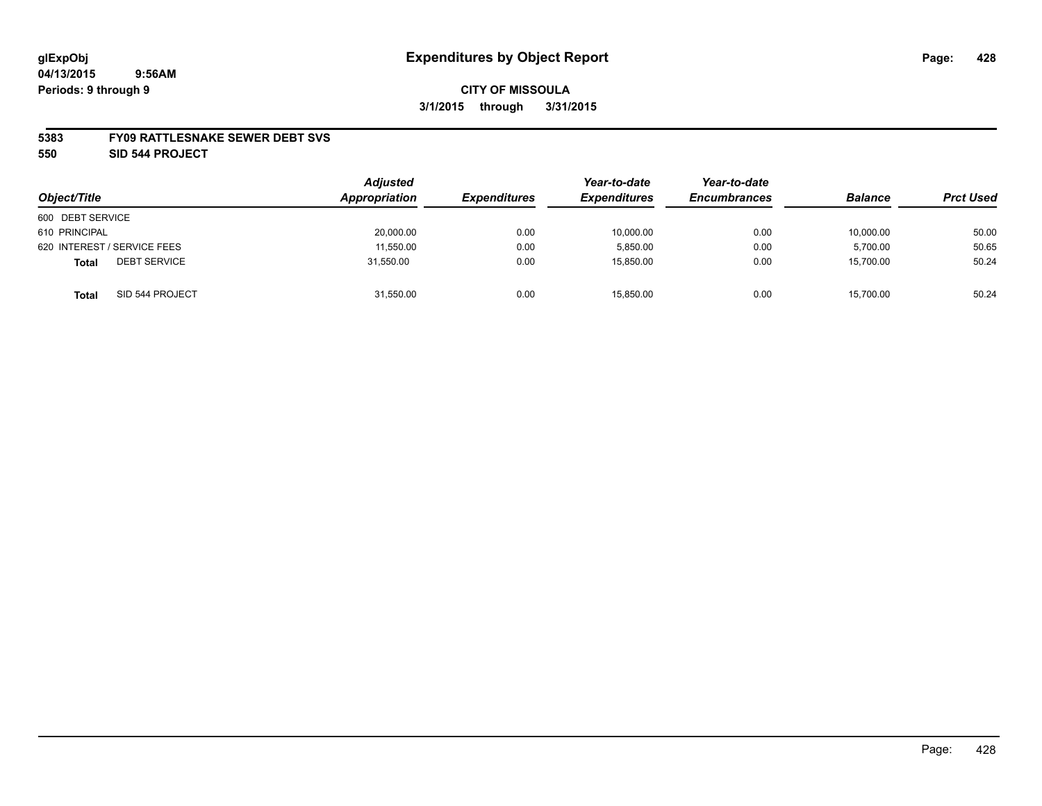#### **5383 FY09 RATTLESNAKE SEWER DEBT SVS**

**550 SID 544 PROJECT**

|                              | <b>Adjusted</b> |                     | Year-to-date        | Year-to-date        |                |                  |
|------------------------------|-----------------|---------------------|---------------------|---------------------|----------------|------------------|
| Object/Title                 | Appropriation   | <b>Expenditures</b> | <b>Expenditures</b> | <b>Encumbrances</b> | <b>Balance</b> | <b>Prct Used</b> |
| 600 DEBT SERVICE             |                 |                     |                     |                     |                |                  |
| 610 PRINCIPAL                | 20,000.00       | 0.00                | 10,000.00           | 0.00                | 10,000.00      | 50.00            |
| 620 INTEREST / SERVICE FEES  | 11,550.00       | 0.00                | 5.850.00            | 0.00                | 5,700.00       | 50.65            |
| <b>DEBT SERVICE</b><br>Total | 31,550.00       | 0.00                | 15,850.00           | 0.00                | 15,700.00      | 50.24            |
| SID 544 PROJECT<br>Total     | 31,550.00       | 0.00                | 15.850.00           | 0.00                | 15,700.00      | 50.24            |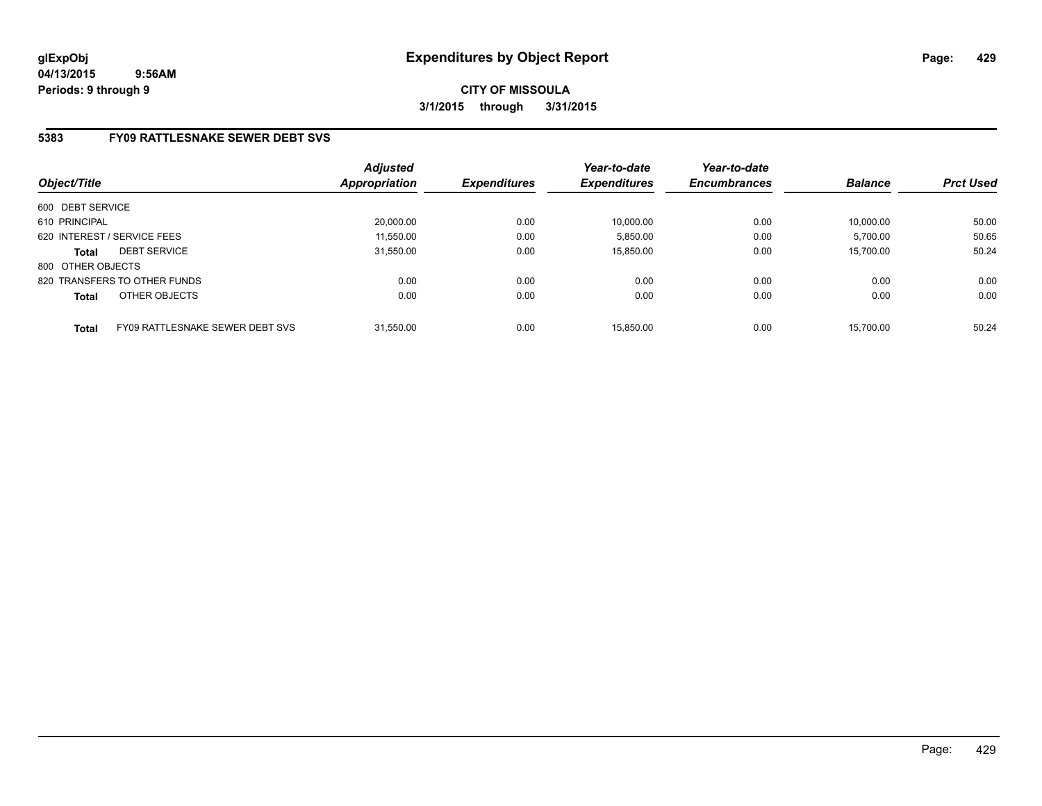**CITY OF MISSOULA 3/1/2015 through 3/31/2015**

# **5383 FY09 RATTLESNAKE SEWER DEBT SVS**

| Object/Title      |                                 | <b>Adjusted</b><br><b>Appropriation</b> | <b>Expenditures</b> | Year-to-date<br><b>Expenditures</b> | Year-to-date<br><b>Encumbrances</b> | <b>Balance</b> | <b>Prct Used</b> |
|-------------------|---------------------------------|-----------------------------------------|---------------------|-------------------------------------|-------------------------------------|----------------|------------------|
| 600 DEBT SERVICE  |                                 |                                         |                     |                                     |                                     |                |                  |
| 610 PRINCIPAL     |                                 | 20,000.00                               | 0.00                | 10,000.00                           | 0.00                                | 10.000.00      | 50.00            |
|                   | 620 INTEREST / SERVICE FEES     | 11,550.00                               | 0.00                | 5,850.00                            | 0.00                                | 5,700.00       | 50.65            |
| <b>Total</b>      | <b>DEBT SERVICE</b>             | 31.550.00                               | 0.00                | 15.850.00                           | 0.00                                | 15.700.00      | 50.24            |
| 800 OTHER OBJECTS |                                 |                                         |                     |                                     |                                     |                |                  |
|                   | 820 TRANSFERS TO OTHER FUNDS    | 0.00                                    | 0.00                | 0.00                                | 0.00                                | 0.00           | 0.00             |
| <b>Total</b>      | OTHER OBJECTS                   | 0.00                                    | 0.00                | 0.00                                | 0.00                                | 0.00           | 0.00             |
| <b>Total</b>      | FY09 RATTLESNAKE SEWER DEBT SVS | 31.550.00                               | 0.00                | 15.850.00                           | 0.00                                | 15.700.00      | 50.24            |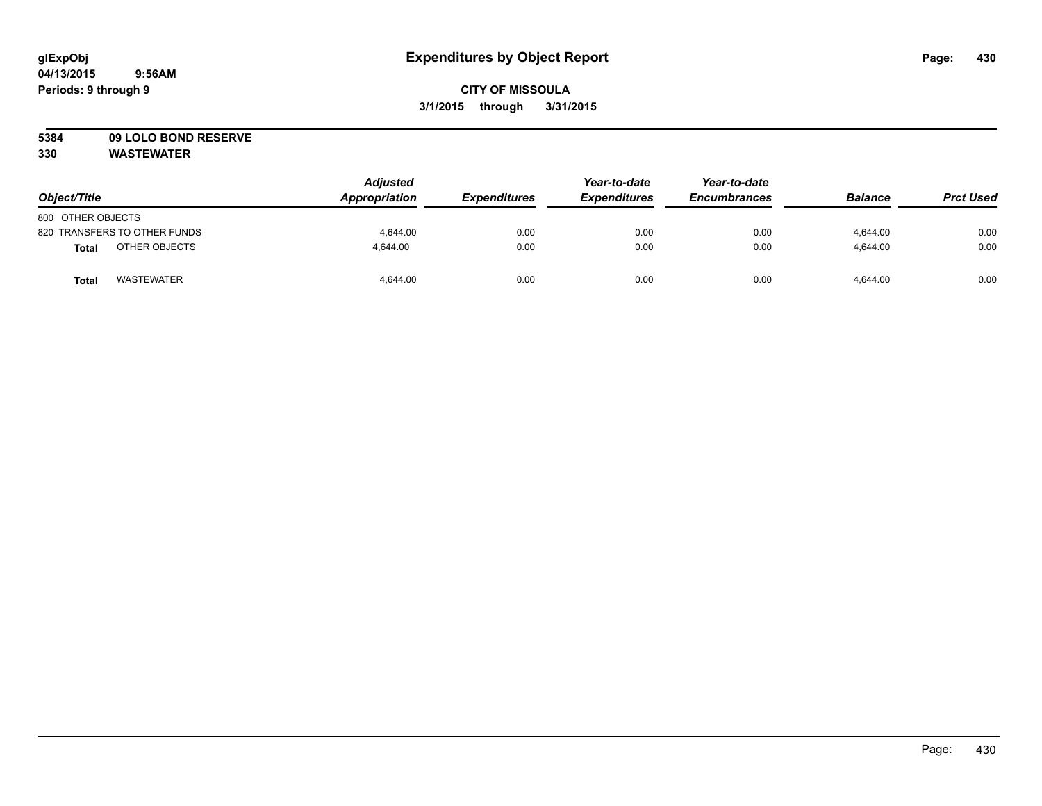# **CITY OF MISSOULA 3/1/2015 through 3/31/2015**

# **5384 09 LOLO BOND RESERVE**

| Object/Title                      | <b>Adjusted</b><br>Appropriation | <b>Expenditures</b> | Year-to-date<br><b>Expenditures</b> | Year-to-date<br><b>Encumbrances</b> | <b>Balance</b> | <b>Prct Used</b> |
|-----------------------------------|----------------------------------|---------------------|-------------------------------------|-------------------------------------|----------------|------------------|
| 800 OTHER OBJECTS                 |                                  |                     |                                     |                                     |                |                  |
| 820 TRANSFERS TO OTHER FUNDS      | 4.644.00                         | 0.00                | 0.00                                | 0.00                                | 4.644.00       | 0.00             |
| OTHER OBJECTS<br>Total            | 4.644.00                         | 0.00                | 0.00                                | 0.00                                | 4.644.00       | 0.00             |
| <b>WASTEWATER</b><br><b>Total</b> | 4,644.00                         | 0.00                | 0.00                                | 0.00                                | 4,644.00       | 0.00             |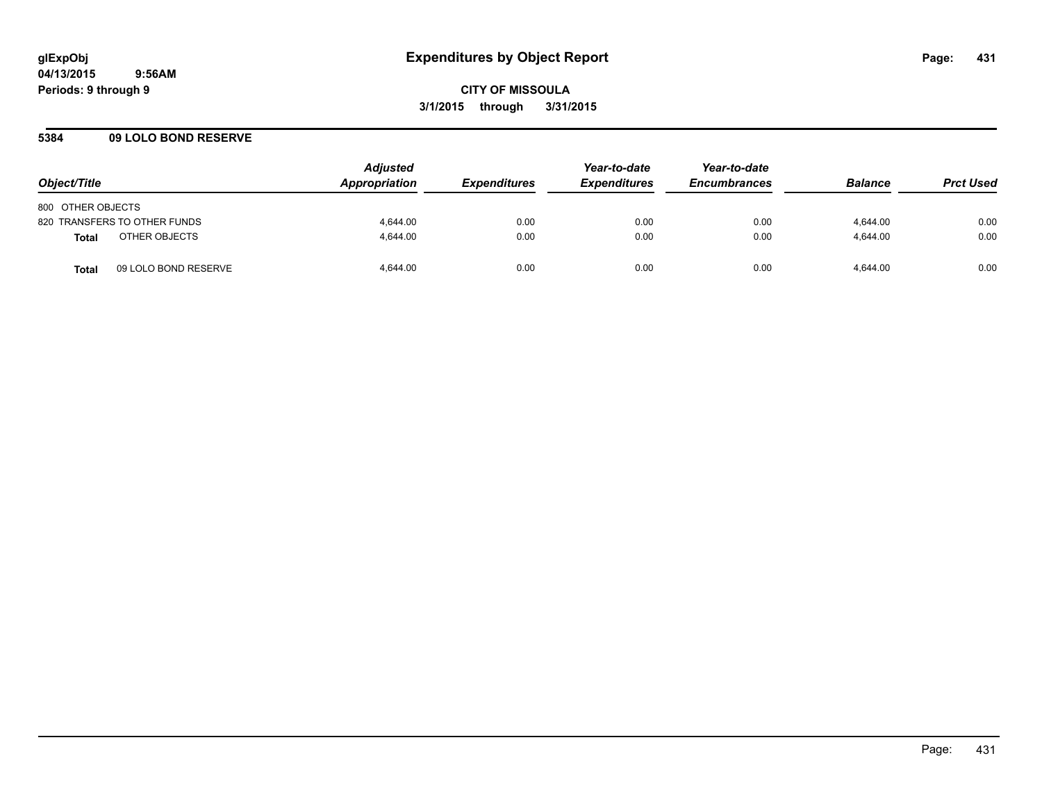**CITY OF MISSOULA 3/1/2015 through 3/31/2015**

## **5384 09 LOLO BOND RESERVE**

| Object/Title                         | <b>Adjusted</b><br>Appropriation | <b>Expenditures</b> | Year-to-date<br><b>Expenditures</b> | Year-to-date<br><b>Encumbrances</b> | <b>Balance</b> | <b>Prct Used</b> |
|--------------------------------------|----------------------------------|---------------------|-------------------------------------|-------------------------------------|----------------|------------------|
| 800 OTHER OBJECTS                    |                                  |                     |                                     |                                     |                |                  |
| 820 TRANSFERS TO OTHER FUNDS         | 4.644.00                         | 0.00                | 0.00                                | 0.00                                | 4.644.00       | 0.00             |
| OTHER OBJECTS<br><b>Total</b>        | 4.644.00                         | 0.00                | 0.00                                | 0.00                                | 4.644.00       | 0.00             |
| 09 LOLO BOND RESERVE<br><b>Total</b> | 4.644.00                         | 0.00                | 0.00                                | 0.00                                | 4.644.00       | 0.00             |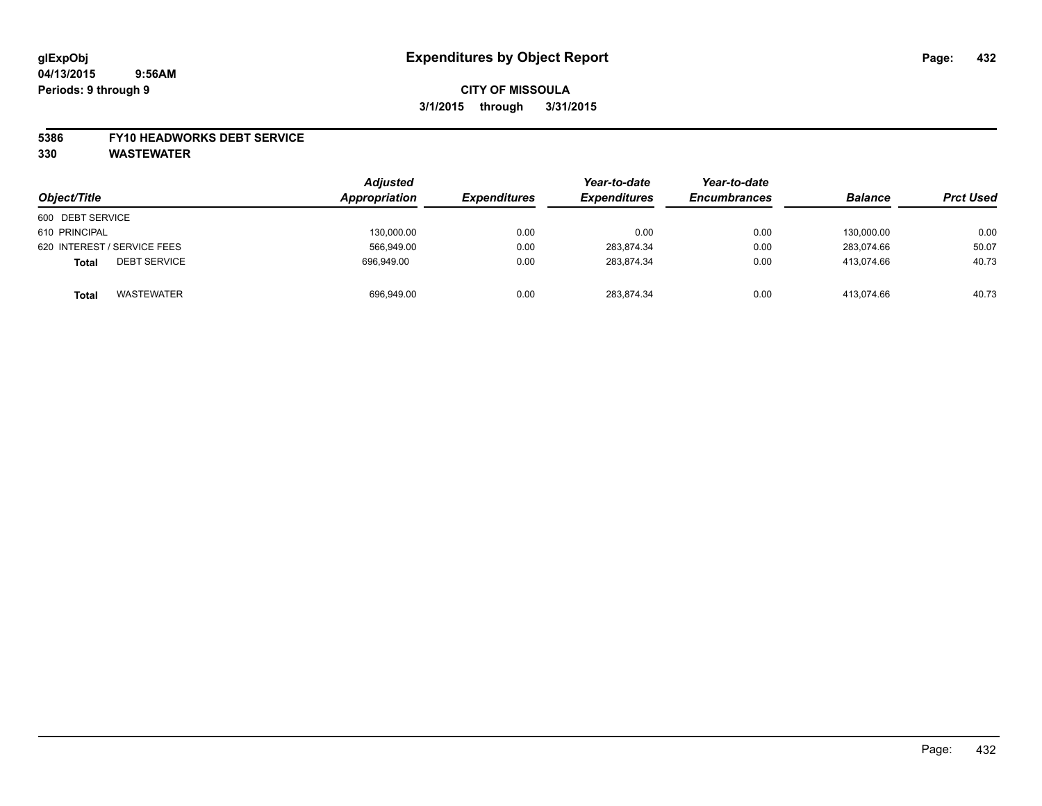# **CITY OF MISSOULA 3/1/2015 through 3/31/2015**

#### **5386 FY10 HEADWORKS DEBT SERVICE**

| Object/Title                        | <b>Adjusted</b><br>Appropriation | <b>Expenditures</b> | Year-to-date<br><b>Expenditures</b> | Year-to-date<br><b>Encumbrances</b> | <b>Balance</b> | <b>Prct Used</b> |
|-------------------------------------|----------------------------------|---------------------|-------------------------------------|-------------------------------------|----------------|------------------|
| 600 DEBT SERVICE                    |                                  |                     |                                     |                                     |                |                  |
| 610 PRINCIPAL                       | 130,000.00                       | 0.00                | 0.00                                | 0.00                                | 130.000.00     | 0.00             |
| 620 INTEREST / SERVICE FEES         | 566.949.00                       | 0.00                | 283.874.34                          | 0.00                                | 283.074.66     | 50.07            |
| <b>DEBT SERVICE</b><br><b>Total</b> | 696,949.00                       | 0.00                | 283.874.34                          | 0.00                                | 413.074.66     | 40.73            |
| <b>WASTEWATER</b><br><b>Total</b>   | 696,949.00                       | 0.00                | 283.874.34                          | 0.00                                | 413.074.66     | 40.73            |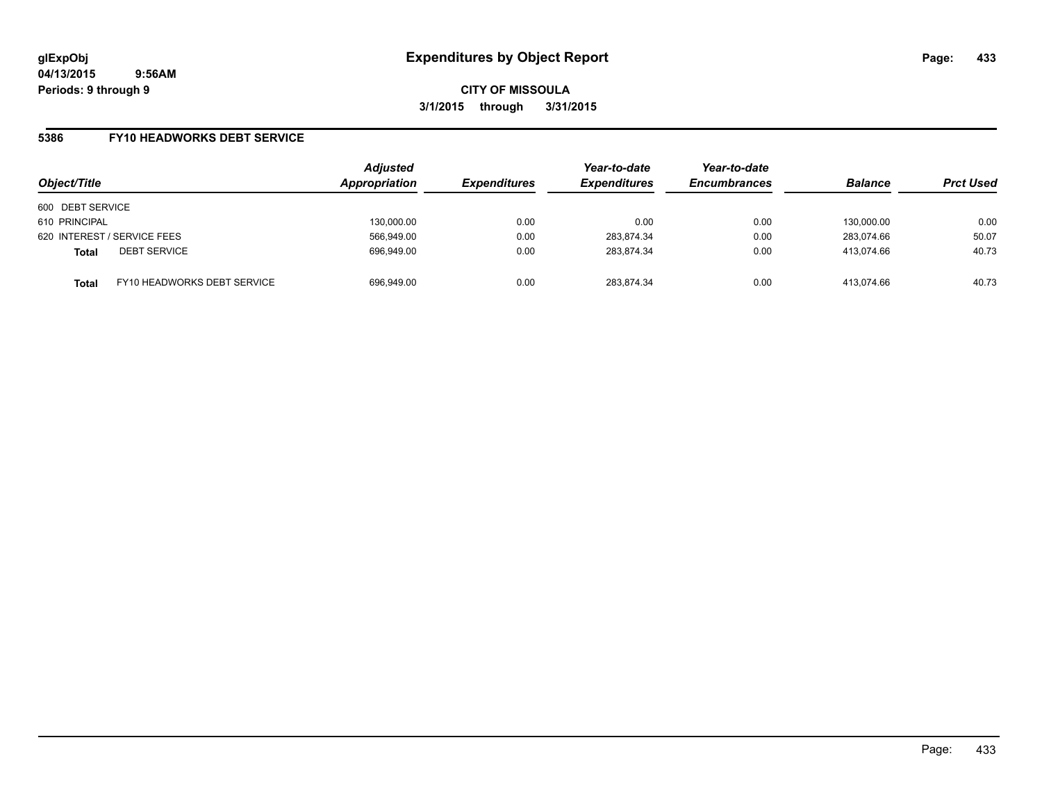**CITY OF MISSOULA 3/1/2015 through 3/31/2015**

### **5386 FY10 HEADWORKS DEBT SERVICE**

| Object/Title     |                             | <b>Adjusted</b><br>Appropriation | <i><b>Expenditures</b></i> | Year-to-date<br><b>Expenditures</b> | Year-to-date<br><b>Encumbrances</b> | <b>Balance</b> | <b>Prct Used</b> |
|------------------|-----------------------------|----------------------------------|----------------------------|-------------------------------------|-------------------------------------|----------------|------------------|
| 600 DEBT SERVICE |                             |                                  |                            |                                     |                                     |                |                  |
| 610 PRINCIPAL    |                             | 130,000.00                       | 0.00                       | 0.00                                | 0.00                                | 130.000.00     | 0.00             |
|                  | 620 INTEREST / SERVICE FEES | 566,949.00                       | 0.00                       | 283,874.34                          | 0.00                                | 283.074.66     | 50.07            |
| <b>Total</b>     | <b>DEBT SERVICE</b>         | 696,949.00                       | 0.00                       | 283.874.34                          | 0.00                                | 413.074.66     | 40.73            |
| <b>Total</b>     | FY10 HEADWORKS DEBT SERVICE | 696.949.00                       | 0.00                       | 283.874.34                          | 0.00                                | 413.074.66     | 40.73            |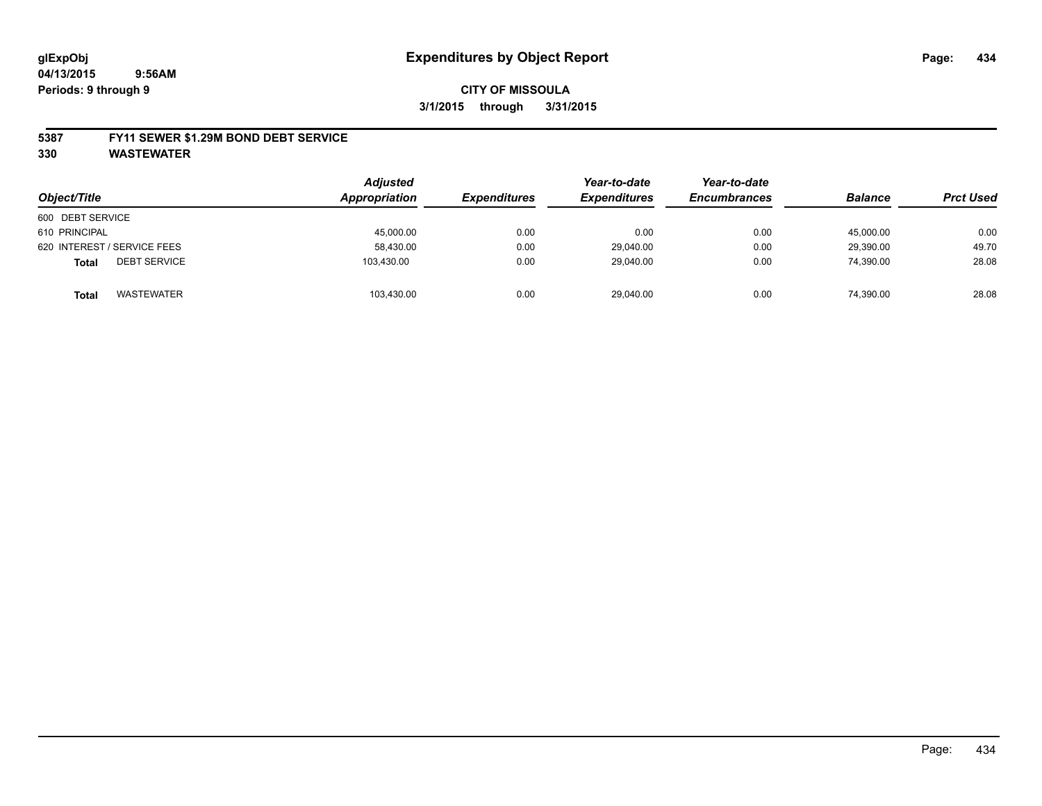#### **5387 FY11 SEWER \$1.29M BOND DEBT SERVICE**

**330 WASTEWATER**

| Object/Title                        | <b>Adjusted</b><br>Appropriation | <b>Expenditures</b> | Year-to-date<br><b>Expenditures</b> | Year-to-date<br><b>Encumbrances</b> | <b>Balance</b> | <b>Prct Used</b> |
|-------------------------------------|----------------------------------|---------------------|-------------------------------------|-------------------------------------|----------------|------------------|
| 600 DEBT SERVICE                    |                                  |                     |                                     |                                     |                |                  |
| 610 PRINCIPAL                       | 45,000.00                        | 0.00                | 0.00                                | 0.00                                | 45.000.00      | 0.00             |
| 620 INTEREST / SERVICE FEES         | 58,430.00                        | 0.00                | 29.040.00                           | 0.00                                | 29.390.00      | 49.70            |
| <b>DEBT SERVICE</b><br><b>Total</b> | 103.430.00                       | 0.00                | 29,040.00                           | 0.00                                | 74,390.00      | 28.08            |
| <b>WASTEWATER</b><br><b>Total</b>   | 103,430.00                       | 0.00                | 29,040.00                           | 0.00                                | 74,390.00      | 28.08            |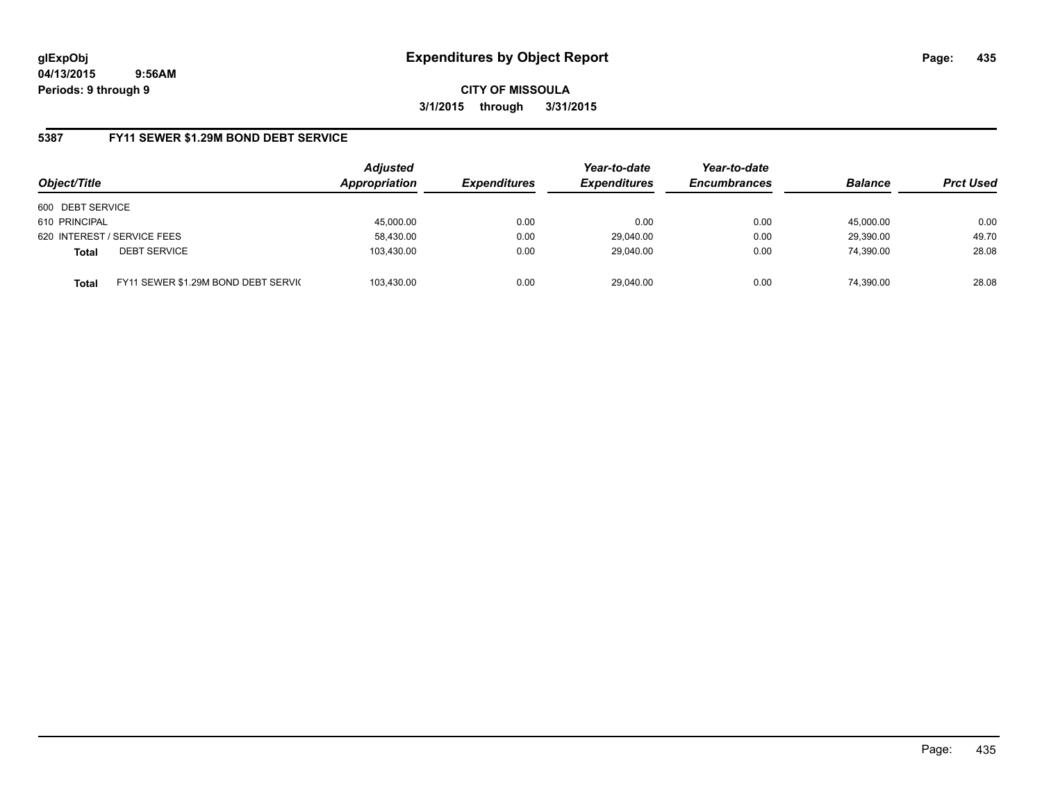**CITY OF MISSOULA 3/1/2015 through 3/31/2015**

# **5387 FY11 SEWER \$1.29M BOND DEBT SERVICE**

| Object/Title                                        | <b>Adjusted</b><br>Appropriation | <b>Expenditures</b> | Year-to-date<br><b>Expenditures</b> | Year-to-date<br><b>Encumbrances</b> | <b>Balance</b> | <b>Prct Used</b> |
|-----------------------------------------------------|----------------------------------|---------------------|-------------------------------------|-------------------------------------|----------------|------------------|
| 600 DEBT SERVICE                                    |                                  |                     |                                     |                                     |                |                  |
| 610 PRINCIPAL                                       | 45,000.00                        | 0.00                | 0.00                                | 0.00                                | 45,000.00      | 0.00             |
| 620 INTEREST / SERVICE FEES                         | 58,430.00                        | 0.00                | 29,040.00                           | 0.00                                | 29,390.00      | 49.70            |
| <b>DEBT SERVICE</b><br><b>Total</b>                 | 103.430.00                       | 0.00                | 29.040.00                           | 0.00                                | 74.390.00      | 28.08            |
| FY11 SEWER \$1.29M BOND DEBT SERVIC<br><b>Total</b> | 103.430.00                       | 0.00                | 29.040.00                           | 0.00                                | 74.390.00      | 28.08            |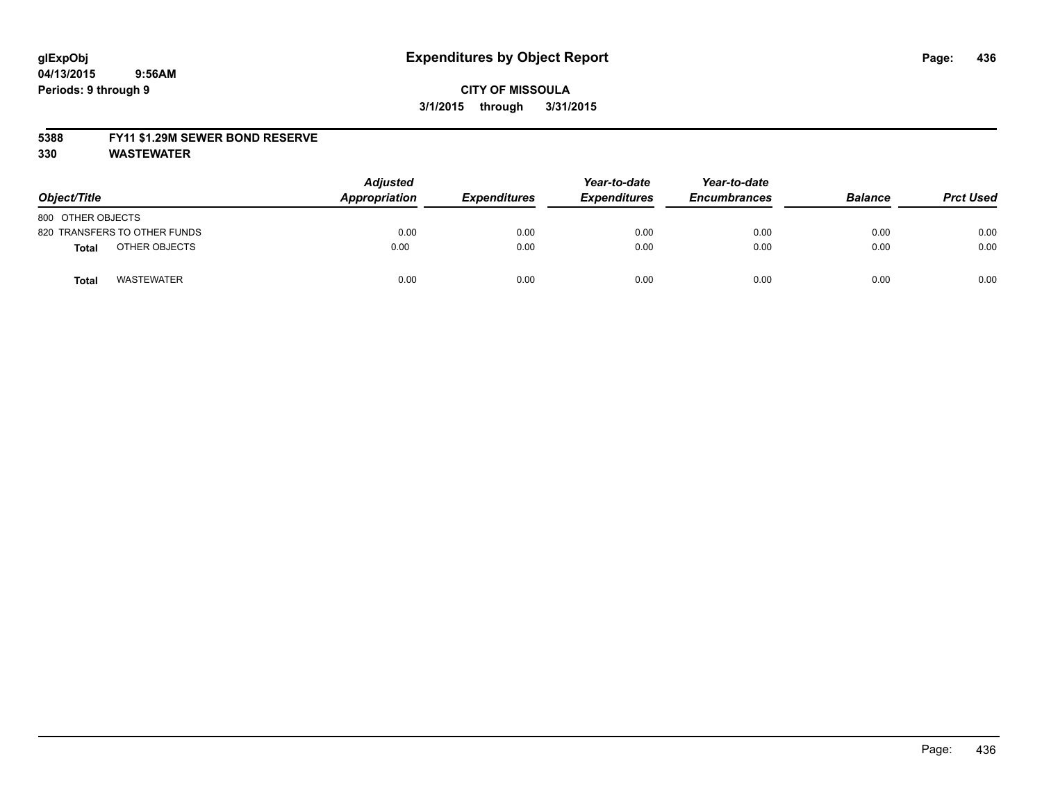# **glExpObj Expenditures by Object Report Page: 436**

**04/13/2015 9:56AM Periods: 9 through 9**

### **5388 FY11 \$1.29M SEWER BOND RESERVE**

**330 WASTEWATER**

| Object/Title                 | <b>Adjusted</b><br>Appropriation | <b>Expenditures</b> | Year-to-date<br><b>Expenditures</b> | Year-to-date<br><b>Encumbrances</b> | <b>Balance</b> | <b>Prct Used</b> |
|------------------------------|----------------------------------|---------------------|-------------------------------------|-------------------------------------|----------------|------------------|
| 800 OTHER OBJECTS            |                                  |                     |                                     |                                     |                |                  |
| 820 TRANSFERS TO OTHER FUNDS | 0.00                             | 0.00                | 0.00                                | 0.00                                | 0.00           | 0.00             |
| OTHER OBJECTS<br>Total       | 0.00                             | 0.00                | 0.00                                | 0.00                                | 0.00           | 0.00             |
| <b>WASTEWATER</b><br>Total   | 0.00                             | 0.00                | 0.00                                | 0.00                                | 0.00           | 0.00             |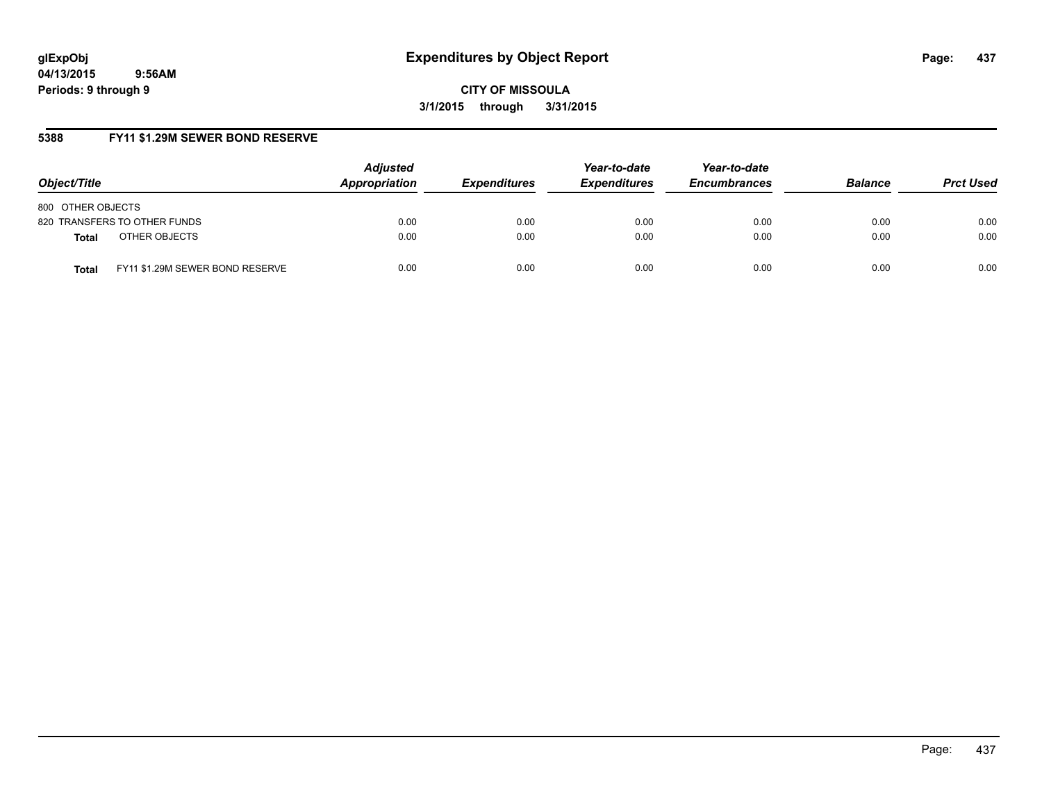**CITY OF MISSOULA 3/1/2015 through 3/31/2015**

# **5388 FY11 \$1.29M SEWER BOND RESERVE**

| Object/Title                                    | <b>Adjusted</b><br>Appropriation | <b>Expenditures</b> | Year-to-date<br><b>Expenditures</b> | Year-to-date<br><b>Encumbrances</b> | <b>Balance</b> | <b>Prct Used</b> |
|-------------------------------------------------|----------------------------------|---------------------|-------------------------------------|-------------------------------------|----------------|------------------|
| 800 OTHER OBJECTS                               |                                  |                     |                                     |                                     |                |                  |
| 820 TRANSFERS TO OTHER FUNDS                    | 0.00                             | 0.00                | 0.00                                | 0.00                                | 0.00           | 0.00             |
| OTHER OBJECTS<br><b>Total</b>                   | 0.00                             | 0.00                | 0.00                                | 0.00                                | 0.00           | 0.00             |
| FY11 \$1.29M SEWER BOND RESERVE<br><b>Total</b> | 0.00                             | 0.00                | 0.00                                | 0.00                                | 0.00           | 0.00             |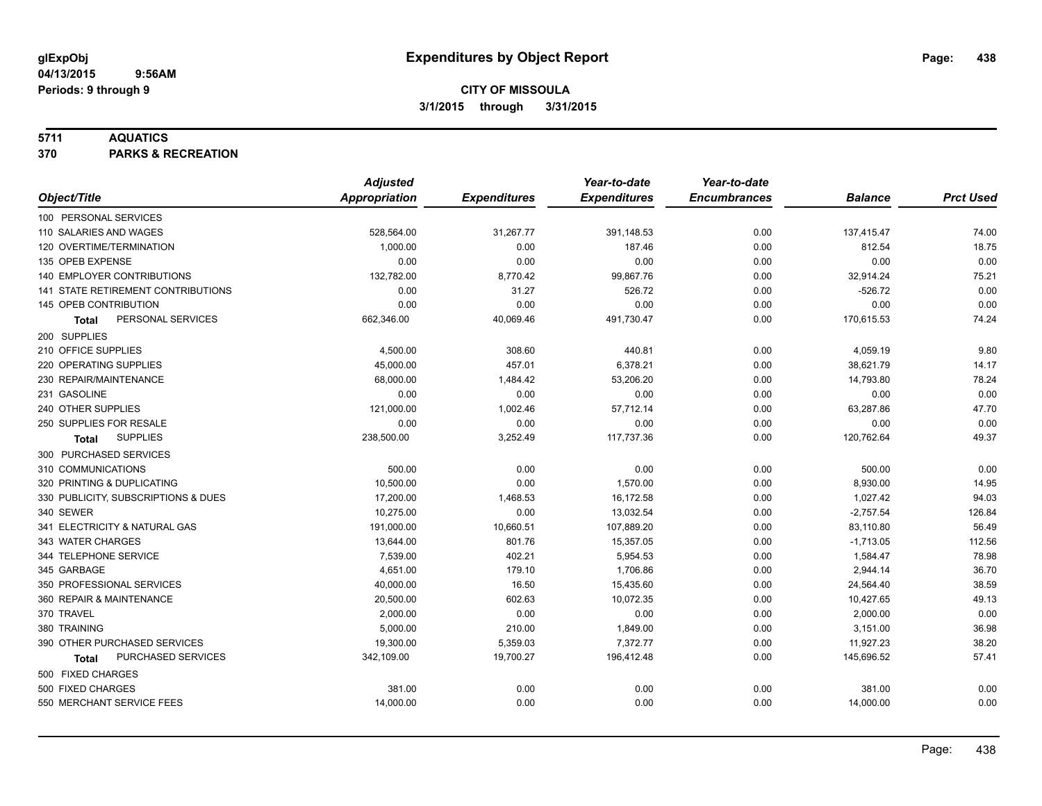### **5711 AQUATICS**

**370 PARKS & RECREATION**

|                                     | <b>Adjusted</b> |                     | Year-to-date        | Year-to-date        |                |                  |
|-------------------------------------|-----------------|---------------------|---------------------|---------------------|----------------|------------------|
| Object/Title                        | Appropriation   | <b>Expenditures</b> | <b>Expenditures</b> | <b>Encumbrances</b> | <b>Balance</b> | <b>Prct Used</b> |
| 100 PERSONAL SERVICES               |                 |                     |                     |                     |                |                  |
| 110 SALARIES AND WAGES              | 528,564.00      | 31,267.77           | 391,148.53          | 0.00                | 137,415.47     | 74.00            |
| 120 OVERTIME/TERMINATION            | 1,000.00        | 0.00                | 187.46              | 0.00                | 812.54         | 18.75            |
| 135 OPEB EXPENSE                    | 0.00            | 0.00                | 0.00                | 0.00                | 0.00           | 0.00             |
| 140 EMPLOYER CONTRIBUTIONS          | 132,782.00      | 8,770.42            | 99,867.76           | 0.00                | 32,914.24      | 75.21            |
| 141 STATE RETIREMENT CONTRIBUTIONS  | 0.00            | 31.27               | 526.72              | 0.00                | $-526.72$      | 0.00             |
| 145 OPEB CONTRIBUTION               | 0.00            | 0.00                | 0.00                | 0.00                | 0.00           | 0.00             |
| PERSONAL SERVICES<br><b>Total</b>   | 662,346.00      | 40,069.46           | 491,730.47          | 0.00                | 170,615.53     | 74.24            |
| 200 SUPPLIES                        |                 |                     |                     |                     |                |                  |
| 210 OFFICE SUPPLIES                 | 4,500.00        | 308.60              | 440.81              | 0.00                | 4,059.19       | 9.80             |
| 220 OPERATING SUPPLIES              | 45,000.00       | 457.01              | 6,378.21            | 0.00                | 38,621.79      | 14.17            |
| 230 REPAIR/MAINTENANCE              | 68,000.00       | 1,484.42            | 53,206.20           | 0.00                | 14,793.80      | 78.24            |
| 231 GASOLINE                        | 0.00            | 0.00                | 0.00                | 0.00                | 0.00           | 0.00             |
| 240 OTHER SUPPLIES                  | 121,000.00      | 1,002.46            | 57,712.14           | 0.00                | 63,287.86      | 47.70            |
| 250 SUPPLIES FOR RESALE             | 0.00            | 0.00                | 0.00                | 0.00                | 0.00           | 0.00             |
| <b>SUPPLIES</b><br>Total            | 238,500.00      | 3,252.49            | 117,737.36          | 0.00                | 120,762.64     | 49.37            |
| 300 PURCHASED SERVICES              |                 |                     |                     |                     |                |                  |
| 310 COMMUNICATIONS                  | 500.00          | 0.00                | 0.00                | 0.00                | 500.00         | 0.00             |
| 320 PRINTING & DUPLICATING          | 10,500.00       | 0.00                | 1,570.00            | 0.00                | 8,930.00       | 14.95            |
| 330 PUBLICITY, SUBSCRIPTIONS & DUES | 17,200.00       | 1,468.53            | 16,172.58           | 0.00                | 1,027.42       | 94.03            |
| 340 SEWER                           | 10.275.00       | 0.00                | 13.032.54           | 0.00                | $-2,757.54$    | 126.84           |
| 341 ELECTRICITY & NATURAL GAS       | 191,000.00      | 10,660.51           | 107,889.20          | 0.00                | 83,110.80      | 56.49            |
| 343 WATER CHARGES                   | 13,644.00       | 801.76              | 15,357.05           | 0.00                | $-1,713.05$    | 112.56           |
| 344 TELEPHONE SERVICE               | 7,539.00        | 402.21              | 5,954.53            | 0.00                | 1,584.47       | 78.98            |
| 345 GARBAGE                         | 4,651.00        | 179.10              | 1,706.86            | 0.00                | 2,944.14       | 36.70            |
| 350 PROFESSIONAL SERVICES           | 40,000.00       | 16.50               | 15,435.60           | 0.00                | 24,564.40      | 38.59            |
| 360 REPAIR & MAINTENANCE            | 20,500.00       | 602.63              | 10,072.35           | 0.00                | 10,427.65      | 49.13            |
| 370 TRAVEL                          | 2,000.00        | 0.00                | 0.00                | 0.00                | 2,000.00       | 0.00             |
| 380 TRAINING                        | 5,000.00        | 210.00              | 1,849.00            | 0.00                | 3,151.00       | 36.98            |
| 390 OTHER PURCHASED SERVICES        | 19,300.00       | 5,359.03            | 7,372.77            | 0.00                | 11,927.23      | 38.20            |
| PURCHASED SERVICES<br><b>Total</b>  | 342,109.00      | 19,700.27           | 196,412.48          | 0.00                | 145,696.52     | 57.41            |
| 500 FIXED CHARGES                   |                 |                     |                     |                     |                |                  |
| 500 FIXED CHARGES                   | 381.00          | 0.00                | 0.00                | 0.00                | 381.00         | 0.00             |
| 550 MERCHANT SERVICE FEES           | 14,000.00       | 0.00                | 0.00                | 0.00                | 14,000.00      | 0.00             |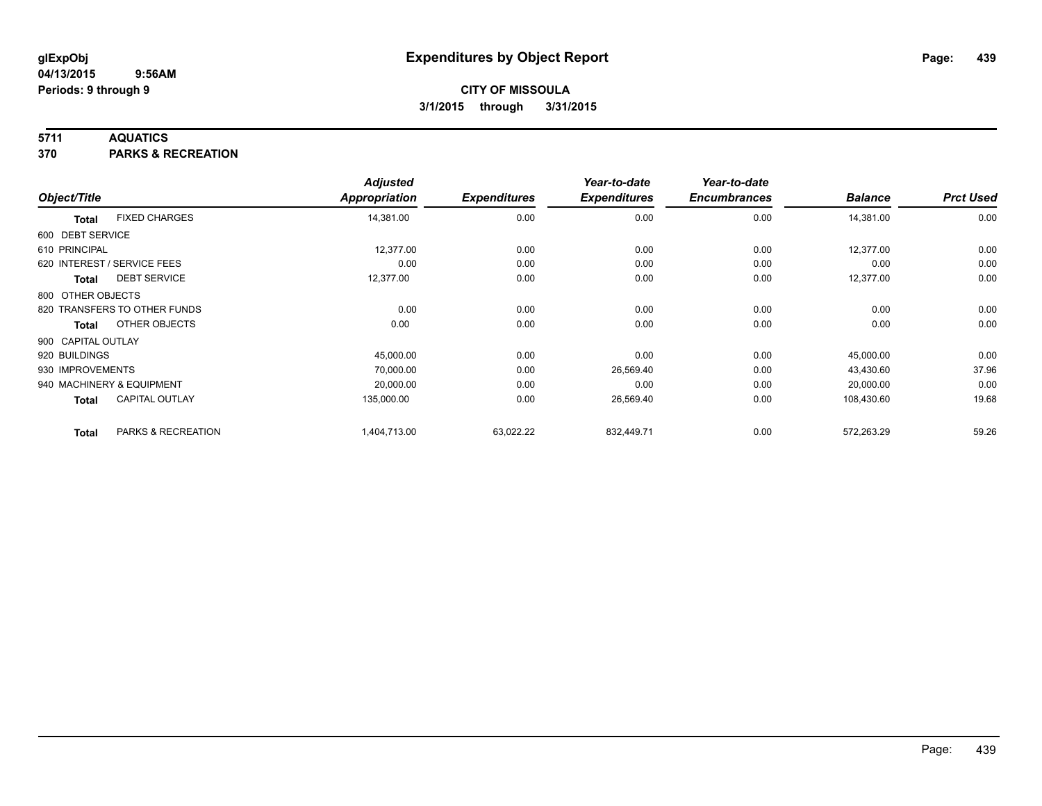### **5711 AQUATICS**

**370 PARKS & RECREATION**

|                    |                              | <b>Adjusted</b> |                     | Year-to-date        | Year-to-date        |                |                  |
|--------------------|------------------------------|-----------------|---------------------|---------------------|---------------------|----------------|------------------|
| Object/Title       |                              | Appropriation   | <b>Expenditures</b> | <b>Expenditures</b> | <b>Encumbrances</b> | <b>Balance</b> | <b>Prct Used</b> |
| <b>Total</b>       | <b>FIXED CHARGES</b>         | 14,381.00       | 0.00                | 0.00                | 0.00                | 14,381.00      | 0.00             |
| 600 DEBT SERVICE   |                              |                 |                     |                     |                     |                |                  |
| 610 PRINCIPAL      |                              | 12,377.00       | 0.00                | 0.00                | 0.00                | 12,377.00      | 0.00             |
|                    | 620 INTEREST / SERVICE FEES  | 0.00            | 0.00                | 0.00                | 0.00                | 0.00           | 0.00             |
| Total              | <b>DEBT SERVICE</b>          | 12,377.00       | 0.00                | 0.00                | 0.00                | 12,377.00      | 0.00             |
| 800 OTHER OBJECTS  |                              |                 |                     |                     |                     |                |                  |
|                    | 820 TRANSFERS TO OTHER FUNDS | 0.00            | 0.00                | 0.00                | 0.00                | 0.00           | 0.00             |
| <b>Total</b>       | OTHER OBJECTS                | 0.00            | 0.00                | 0.00                | 0.00                | 0.00           | 0.00             |
| 900 CAPITAL OUTLAY |                              |                 |                     |                     |                     |                |                  |
| 920 BUILDINGS      |                              | 45,000.00       | 0.00                | 0.00                | 0.00                | 45,000.00      | 0.00             |
| 930 IMPROVEMENTS   |                              | 70,000.00       | 0.00                | 26,569.40           | 0.00                | 43,430.60      | 37.96            |
|                    | 940 MACHINERY & EQUIPMENT    | 20,000.00       | 0.00                | 0.00                | 0.00                | 20,000.00      | 0.00             |
| <b>Total</b>       | <b>CAPITAL OUTLAY</b>        | 135,000.00      | 0.00                | 26,569.40           | 0.00                | 108,430.60     | 19.68            |
| <b>Total</b>       | PARKS & RECREATION           | 1,404,713.00    | 63,022.22           | 832,449.71          | 0.00                | 572,263.29     | 59.26            |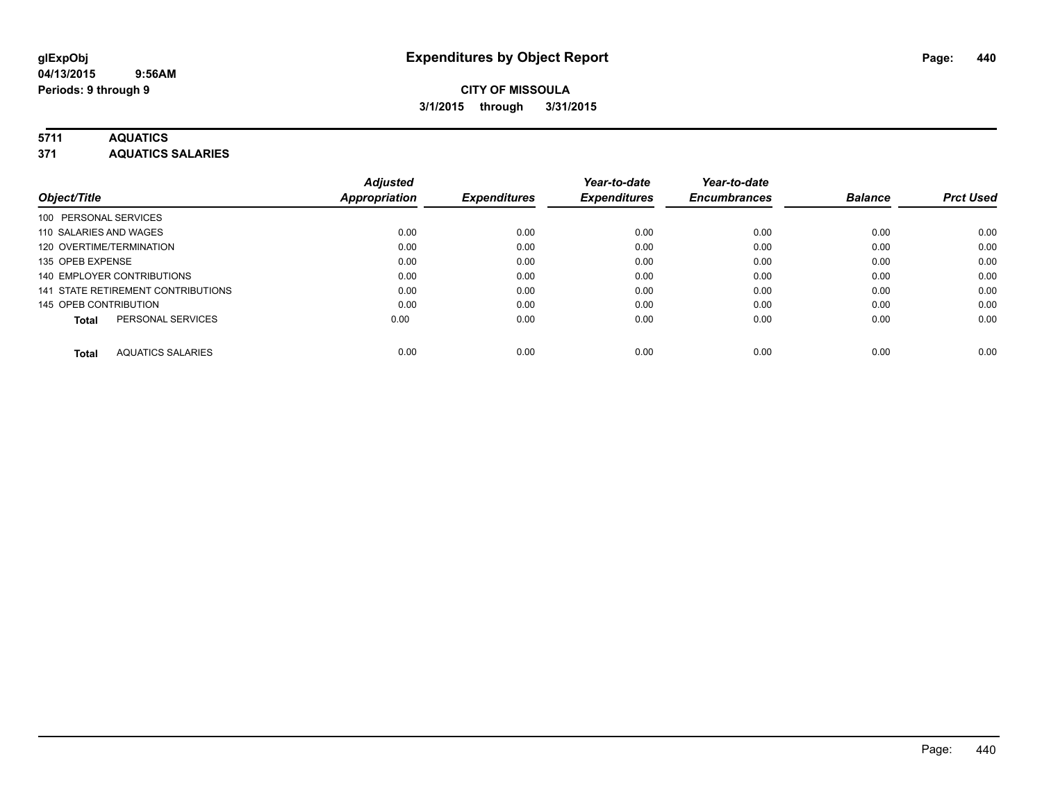### **5711 AQUATICS**

**371 AQUATICS SALARIES**

|                                          | <b>Adjusted</b>      |                     | Year-to-date        | Year-to-date        |                |                  |
|------------------------------------------|----------------------|---------------------|---------------------|---------------------|----------------|------------------|
| Object/Title                             | <b>Appropriation</b> | <b>Expenditures</b> | <b>Expenditures</b> | <b>Encumbrances</b> | <b>Balance</b> | <b>Prct Used</b> |
| 100 PERSONAL SERVICES                    |                      |                     |                     |                     |                |                  |
| 110 SALARIES AND WAGES                   | 0.00                 | 0.00                | 0.00                | 0.00                | 0.00           | 0.00             |
| 120 OVERTIME/TERMINATION                 | 0.00                 | 0.00                | 0.00                | 0.00                | 0.00           | 0.00             |
| 135 OPEB EXPENSE                         | 0.00                 | 0.00                | 0.00                | 0.00                | 0.00           | 0.00             |
| 140 EMPLOYER CONTRIBUTIONS               | 0.00                 | 0.00                | 0.00                | 0.00                | 0.00           | 0.00             |
| 141 STATE RETIREMENT CONTRIBUTIONS       | 0.00                 | 0.00                | 0.00                | 0.00                | 0.00           | 0.00             |
| 145 OPEB CONTRIBUTION                    | 0.00                 | 0.00                | 0.00                | 0.00                | 0.00           | 0.00             |
| PERSONAL SERVICES<br><b>Total</b>        | 0.00                 | 0.00                | 0.00                | 0.00                | 0.00           | 0.00             |
| <b>AQUATICS SALARIES</b><br><b>Total</b> | 0.00                 | 0.00                | 0.00                | 0.00                | 0.00           | 0.00             |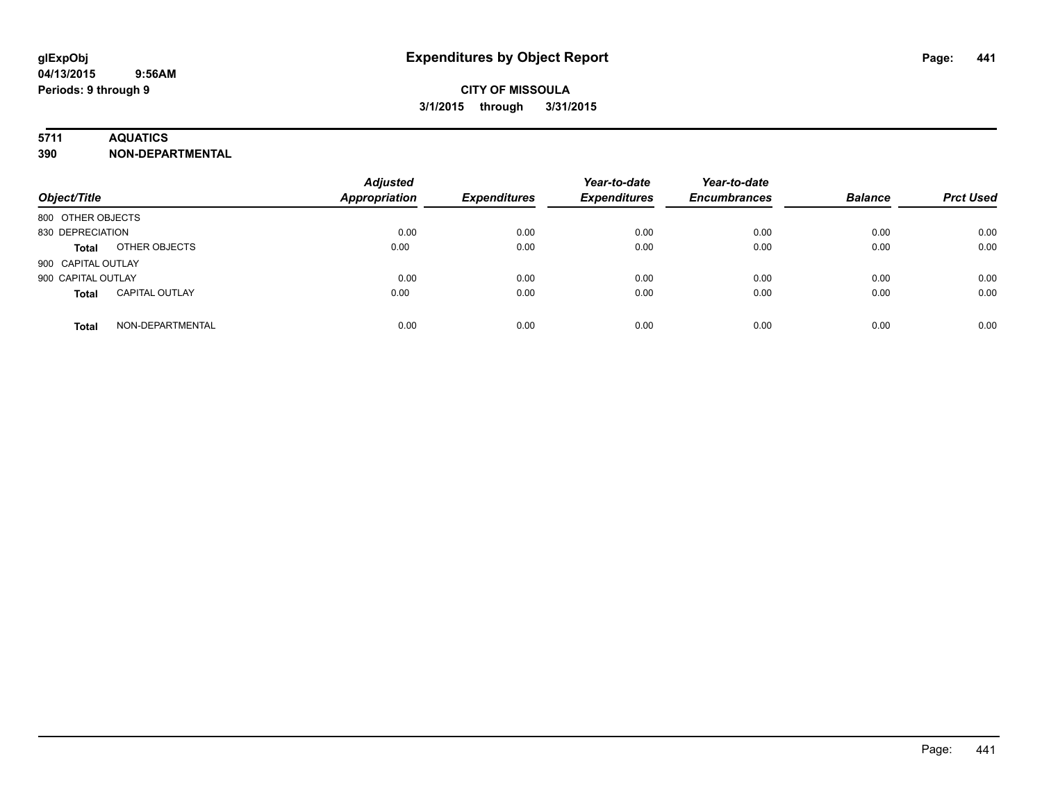### **5711 AQUATICS**

**390 NON-DEPARTMENTAL**

| Object/Title                          | <b>Adjusted</b><br><b>Appropriation</b> | <b>Expenditures</b> | Year-to-date<br><b>Expenditures</b> | Year-to-date<br><b>Encumbrances</b> | <b>Balance</b> | <b>Prct Used</b> |
|---------------------------------------|-----------------------------------------|---------------------|-------------------------------------|-------------------------------------|----------------|------------------|
| 800 OTHER OBJECTS                     |                                         |                     |                                     |                                     |                |                  |
| 830 DEPRECIATION                      | 0.00                                    | 0.00                | 0.00                                | 0.00                                | 0.00           | 0.00             |
| OTHER OBJECTS<br><b>Total</b>         | 0.00                                    | 0.00                | 0.00                                | 0.00                                | 0.00           | 0.00             |
| 900 CAPITAL OUTLAY                    |                                         |                     |                                     |                                     |                |                  |
| 900 CAPITAL OUTLAY                    | 0.00                                    | 0.00                | 0.00                                | 0.00                                | 0.00           | 0.00             |
| <b>CAPITAL OUTLAY</b><br><b>Total</b> | 0.00                                    | 0.00                | 0.00                                | 0.00                                | 0.00           | 0.00             |
| NON-DEPARTMENTAL<br><b>Total</b>      | 0.00                                    | 0.00                | 0.00                                | 0.00                                | 0.00           | 0.00             |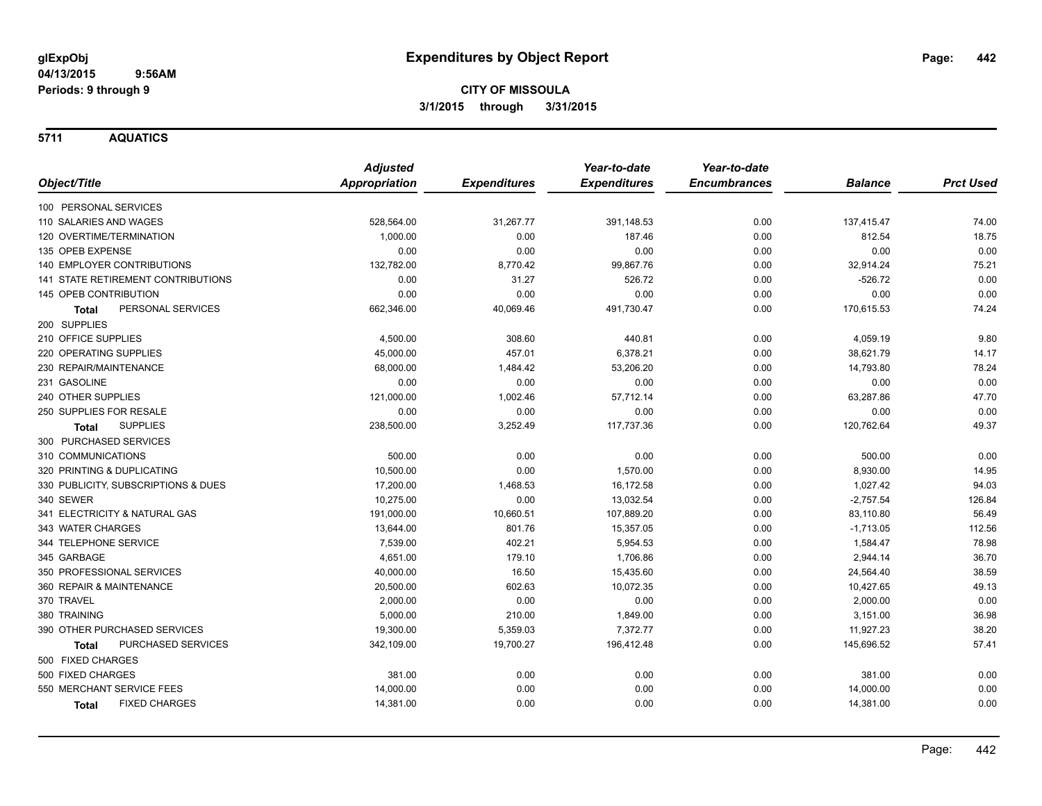**5711 AQUATICS**

|                                      | <b>Adjusted</b>      |                     | Year-to-date        | Year-to-date        |                |                  |
|--------------------------------------|----------------------|---------------------|---------------------|---------------------|----------------|------------------|
| Object/Title                         | <b>Appropriation</b> | <b>Expenditures</b> | <b>Expenditures</b> | <b>Encumbrances</b> | <b>Balance</b> | <b>Prct Used</b> |
| 100 PERSONAL SERVICES                |                      |                     |                     |                     |                |                  |
| 110 SALARIES AND WAGES               | 528,564.00           | 31,267.77           | 391,148.53          | 0.00                | 137,415.47     | 74.00            |
| 120 OVERTIME/TERMINATION             | 1,000.00             | 0.00                | 187.46              | 0.00                | 812.54         | 18.75            |
| 135 OPEB EXPENSE                     | 0.00                 | 0.00                | 0.00                | 0.00                | 0.00           | 0.00             |
| 140 EMPLOYER CONTRIBUTIONS           | 132,782.00           | 8,770.42            | 99,867.76           | 0.00                | 32,914.24      | 75.21            |
| 141 STATE RETIREMENT CONTRIBUTIONS   | 0.00                 | 31.27               | 526.72              | 0.00                | $-526.72$      | 0.00             |
| 145 OPEB CONTRIBUTION                | 0.00                 | 0.00                | 0.00                | 0.00                | 0.00           | 0.00             |
| PERSONAL SERVICES<br><b>Total</b>    | 662,346.00           | 40,069.46           | 491,730.47          | 0.00                | 170,615.53     | 74.24            |
| 200 SUPPLIES                         |                      |                     |                     |                     |                |                  |
| 210 OFFICE SUPPLIES                  | 4,500.00             | 308.60              | 440.81              | 0.00                | 4,059.19       | 9.80             |
| 220 OPERATING SUPPLIES               | 45,000.00            | 457.01              | 6,378.21            | 0.00                | 38,621.79      | 14.17            |
| 230 REPAIR/MAINTENANCE               | 68,000.00            | 1,484.42            | 53,206.20           | 0.00                | 14,793.80      | 78.24            |
| 231 GASOLINE                         | 0.00                 | 0.00                | 0.00                | 0.00                | 0.00           | 0.00             |
| 240 OTHER SUPPLIES                   | 121,000.00           | 1,002.46            | 57,712.14           | 0.00                | 63,287.86      | 47.70            |
| 250 SUPPLIES FOR RESALE              | 0.00                 | 0.00                | 0.00                | 0.00                | 0.00           | 0.00             |
| <b>SUPPLIES</b><br>Total             | 238,500.00           | 3,252.49            | 117,737.36          | 0.00                | 120,762.64     | 49.37            |
| 300 PURCHASED SERVICES               |                      |                     |                     |                     |                |                  |
| 310 COMMUNICATIONS                   | 500.00               | 0.00                | 0.00                | 0.00                | 500.00         | 0.00             |
| 320 PRINTING & DUPLICATING           | 10,500.00            | 0.00                | 1,570.00            | 0.00                | 8,930.00       | 14.95            |
| 330 PUBLICITY, SUBSCRIPTIONS & DUES  | 17,200.00            | 1,468.53            | 16,172.58           | 0.00                | 1,027.42       | 94.03            |
| 340 SEWER                            | 10,275.00            | 0.00                | 13,032.54           | 0.00                | $-2,757.54$    | 126.84           |
| 341 ELECTRICITY & NATURAL GAS        | 191,000.00           | 10,660.51           | 107,889.20          | 0.00                | 83,110.80      | 56.49            |
| 343 WATER CHARGES                    | 13,644.00            | 801.76              | 15,357.05           | 0.00                | $-1,713.05$    | 112.56           |
| 344 TELEPHONE SERVICE                | 7,539.00             | 402.21              | 5,954.53            | 0.00                | 1,584.47       | 78.98            |
| 345 GARBAGE                          | 4,651.00             | 179.10              | 1,706.86            | 0.00                | 2,944.14       | 36.70            |
| 350 PROFESSIONAL SERVICES            | 40,000.00            | 16.50               | 15,435.60           | 0.00                | 24,564.40      | 38.59            |
| 360 REPAIR & MAINTENANCE             | 20,500.00            | 602.63              | 10,072.35           | 0.00                | 10,427.65      | 49.13            |
| 370 TRAVEL                           | 2,000.00             | 0.00                | 0.00                | 0.00                | 2,000.00       | 0.00             |
| 380 TRAINING                         | 5,000.00             | 210.00              | 1,849.00            | 0.00                | 3,151.00       | 36.98            |
| 390 OTHER PURCHASED SERVICES         | 19,300.00            | 5,359.03            | 7,372.77            | 0.00                | 11,927.23      | 38.20            |
| PURCHASED SERVICES<br>Total          | 342,109.00           | 19,700.27           | 196,412.48          | 0.00                | 145,696.52     | 57.41            |
| 500 FIXED CHARGES                    |                      |                     |                     |                     |                |                  |
| 500 FIXED CHARGES                    | 381.00               | 0.00                | 0.00                | 0.00                | 381.00         | 0.00             |
| 550 MERCHANT SERVICE FEES            | 14,000.00            | 0.00                | 0.00                | 0.00                | 14,000.00      | 0.00             |
| <b>FIXED CHARGES</b><br><b>Total</b> | 14,381.00            | 0.00                | 0.00                | 0.00                | 14,381.00      | 0.00             |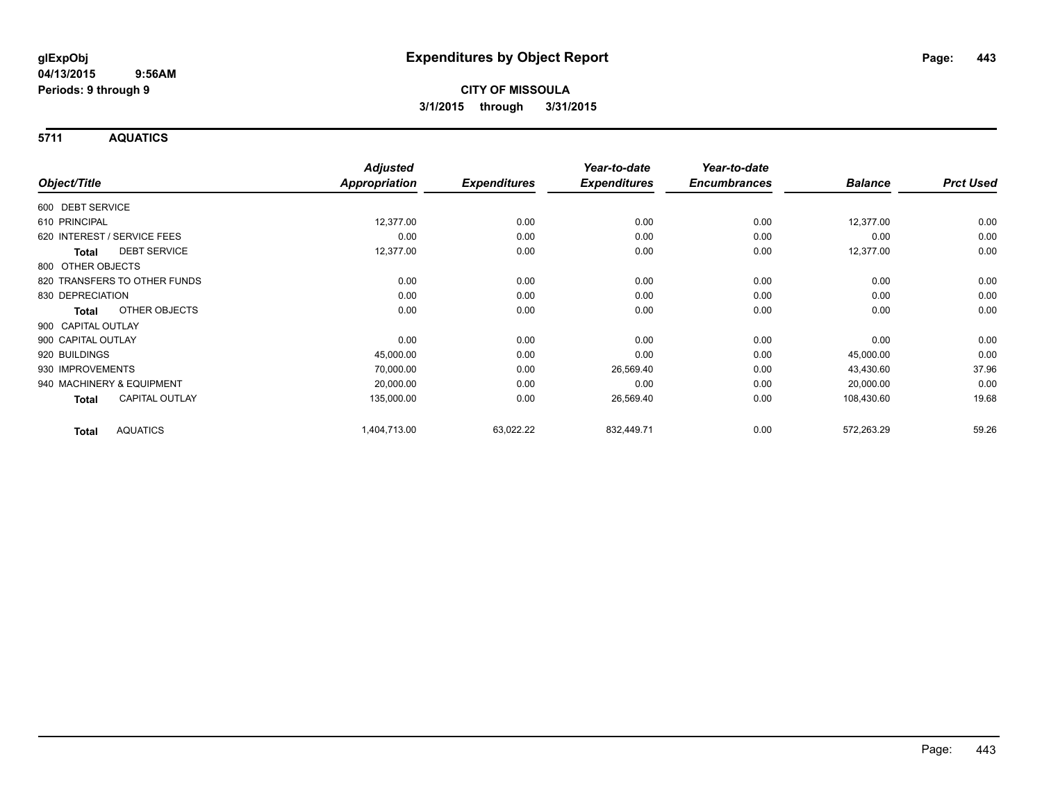**5711 AQUATICS**

|                                       | <b>Adjusted</b> | <b>Expenditures</b> | Year-to-date<br><b>Expenditures</b> | Year-to-date<br><b>Encumbrances</b> | <b>Balance</b> | <b>Prct Used</b> |
|---------------------------------------|-----------------|---------------------|-------------------------------------|-------------------------------------|----------------|------------------|
| Object/Title                          | Appropriation   |                     |                                     |                                     |                |                  |
| 600 DEBT SERVICE                      |                 |                     |                                     |                                     |                |                  |
| 610 PRINCIPAL                         | 12,377.00       | 0.00                | 0.00                                | 0.00                                | 12,377.00      | 0.00             |
| 620 INTEREST / SERVICE FEES           | 0.00            | 0.00                | 0.00                                | 0.00                                | 0.00           | 0.00             |
| <b>DEBT SERVICE</b><br><b>Total</b>   | 12,377.00       | 0.00                | 0.00                                | 0.00                                | 12,377.00      | 0.00             |
| 800 OTHER OBJECTS                     |                 |                     |                                     |                                     |                |                  |
| 820 TRANSFERS TO OTHER FUNDS          | 0.00            | 0.00                | 0.00                                | 0.00                                | 0.00           | 0.00             |
| 830 DEPRECIATION                      | 0.00            | 0.00                | 0.00                                | 0.00                                | 0.00           | 0.00             |
| OTHER OBJECTS<br><b>Total</b>         | 0.00            | 0.00                | 0.00                                | 0.00                                | 0.00           | 0.00             |
| 900 CAPITAL OUTLAY                    |                 |                     |                                     |                                     |                |                  |
| 900 CAPITAL OUTLAY                    | 0.00            | 0.00                | 0.00                                | 0.00                                | 0.00           | 0.00             |
| 920 BUILDINGS                         | 45,000.00       | 0.00                | 0.00                                | 0.00                                | 45,000.00      | 0.00             |
| 930 IMPROVEMENTS                      | 70,000.00       | 0.00                | 26,569.40                           | 0.00                                | 43,430.60      | 37.96            |
| 940 MACHINERY & EQUIPMENT             | 20,000.00       | 0.00                | 0.00                                | 0.00                                | 20,000.00      | 0.00             |
| <b>CAPITAL OUTLAY</b><br><b>Total</b> | 135,000.00      | 0.00                | 26,569.40                           | 0.00                                | 108,430.60     | 19.68            |
| <b>AQUATICS</b><br><b>Total</b>       | 1,404,713.00    | 63,022.22           | 832,449.71                          | 0.00                                | 572,263.29     | 59.26            |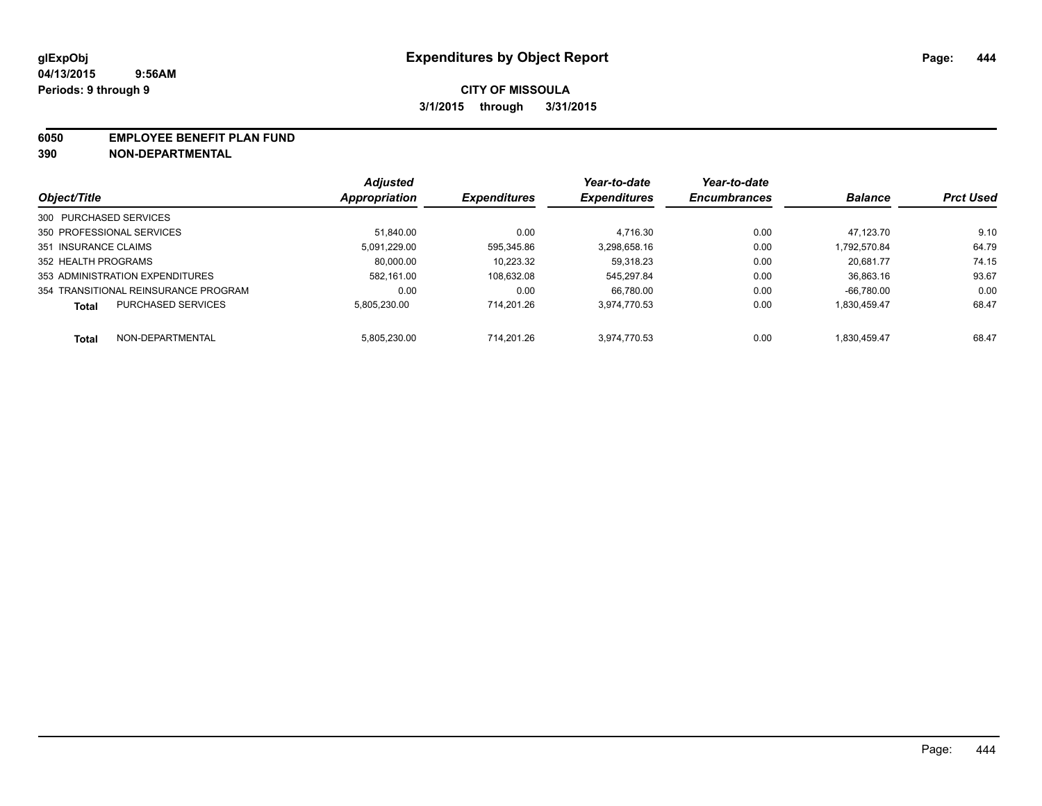#### **6050 EMPLOYEE BENEFIT PLAN FUND**

**390 NON-DEPARTMENTAL**

|                                           | <b>Adjusted</b> | <b>Expenditures</b> | Year-to-date<br><b>Expenditures</b> | Year-to-date<br><b>Encumbrances</b> | <b>Balance</b> | <b>Prct Used</b> |
|-------------------------------------------|-----------------|---------------------|-------------------------------------|-------------------------------------|----------------|------------------|
| Object/Title                              | Appropriation   |                     |                                     |                                     |                |                  |
| 300 PURCHASED SERVICES                    |                 |                     |                                     |                                     |                |                  |
| 350 PROFESSIONAL SERVICES                 | 51.840.00       | 0.00                | 4.716.30                            | 0.00                                | 47.123.70      | 9.10             |
| 351 INSURANCE CLAIMS                      | 5,091,229.00    | 595.345.86          | 3.298.658.16                        | 0.00                                | 1.792.570.84   | 64.79            |
| 352 HEALTH PROGRAMS                       | 80.000.00       | 10.223.32           | 59.318.23                           | 0.00                                | 20.681.77      | 74.15            |
| 353 ADMINISTRATION EXPENDITURES           | 582.161.00      | 108.632.08          | 545.297.84                          | 0.00                                | 36.863.16      | 93.67            |
| 354 TRANSITIONAL REINSURANCE PROGRAM      | 0.00            | 0.00                | 66.780.00                           | 0.00                                | $-66.780.00$   | 0.00             |
| <b>PURCHASED SERVICES</b><br><b>Total</b> | 5.805.230.00    | 714.201.26          | 3.974.770.53                        | 0.00                                | 1.830.459.47   | 68.47            |
| NON-DEPARTMENTAL<br><b>Total</b>          | 5.805.230.00    | 714.201.26          | 3.974.770.53                        | 0.00                                | 1.830.459.47   | 68.47            |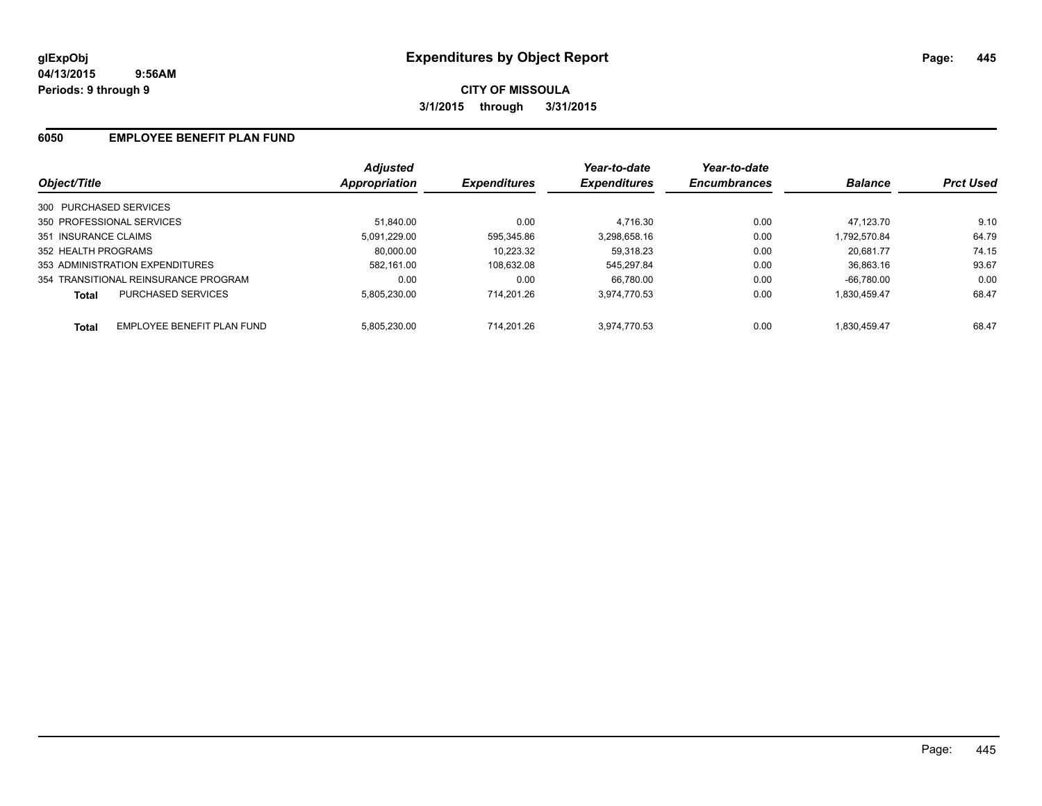**CITY OF MISSOULA 3/1/2015 through 3/31/2015**

### **6050 EMPLOYEE BENEFIT PLAN FUND**

|                                            | <b>Adjusted</b> |                     | Year-to-date        | Year-to-date        |                |                  |
|--------------------------------------------|-----------------|---------------------|---------------------|---------------------|----------------|------------------|
| Object/Title                               | Appropriation   | <b>Expenditures</b> | <b>Expenditures</b> | <b>Encumbrances</b> | <b>Balance</b> | <b>Prct Used</b> |
| 300 PURCHASED SERVICES                     |                 |                     |                     |                     |                |                  |
| 350 PROFESSIONAL SERVICES                  | 51.840.00       | 0.00                | 4.716.30            | 0.00                | 47.123.70      | 9.10             |
| 351 INSURANCE CLAIMS                       | 5.091.229.00    | 595.345.86          | 3.298.658.16        | 0.00                | 1.792.570.84   | 64.79            |
| 352 HEALTH PROGRAMS                        | 80.000.00       | 10.223.32           | 59.318.23           | 0.00                | 20.681.77      | 74.15            |
| 353 ADMINISTRATION EXPENDITURES            | 582.161.00      | 108.632.08          | 545.297.84          | 0.00                | 36.863.16      | 93.67            |
| 354 TRANSITIONAL REINSURANCE PROGRAM       | 0.00            | 0.00                | 66.780.00           | 0.00                | $-66.780.00$   | 0.00             |
| <b>PURCHASED SERVICES</b><br><b>Total</b>  | 5.805.230.00    | 714.201.26          | 3.974.770.53        | 0.00                | 1.830.459.47   | 68.47            |
| EMPLOYEE BENEFIT PLAN FUND<br><b>Total</b> | 5.805.230.00    | 714.201.26          | 3.974.770.53        | 0.00                | 1.830.459.47   | 68.47            |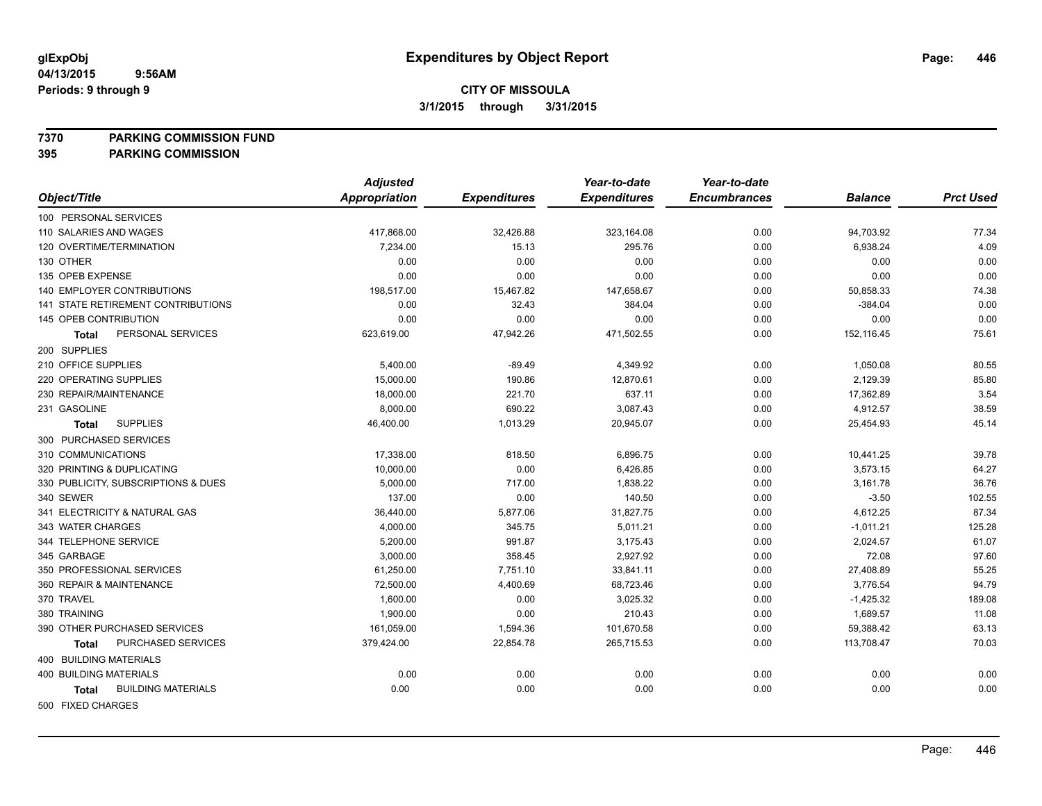### **7370 PARKING COMMISSION FUND**

|                                           | <b>Adjusted</b>      |                     | Year-to-date        | Year-to-date        |                |                  |
|-------------------------------------------|----------------------|---------------------|---------------------|---------------------|----------------|------------------|
| Object/Title                              | <b>Appropriation</b> | <b>Expenditures</b> | <b>Expenditures</b> | <b>Encumbrances</b> | <b>Balance</b> | <b>Prct Used</b> |
| 100 PERSONAL SERVICES                     |                      |                     |                     |                     |                |                  |
| 110 SALARIES AND WAGES                    | 417,868.00           | 32,426.88           | 323,164.08          | 0.00                | 94,703.92      | 77.34            |
| 120 OVERTIME/TERMINATION                  | 7,234.00             | 15.13               | 295.76              | 0.00                | 6,938.24       | 4.09             |
| 130 OTHER                                 | 0.00                 | 0.00                | 0.00                | 0.00                | 0.00           | 0.00             |
| 135 OPEB EXPENSE                          | 0.00                 | 0.00                | 0.00                | 0.00                | 0.00           | 0.00             |
| <b>140 EMPLOYER CONTRIBUTIONS</b>         | 198,517.00           | 15,467.82           | 147,658.67          | 0.00                | 50,858.33      | 74.38            |
| <b>141 STATE RETIREMENT CONTRIBUTIONS</b> | 0.00                 | 32.43               | 384.04              | 0.00                | $-384.04$      | 0.00             |
| 145 OPEB CONTRIBUTION                     | 0.00                 | 0.00                | 0.00                | 0.00                | 0.00           | 0.00             |
| PERSONAL SERVICES<br>Total                | 623,619.00           | 47,942.26           | 471,502.55          | 0.00                | 152,116.45     | 75.61            |
| 200 SUPPLIES                              |                      |                     |                     |                     |                |                  |
| 210 OFFICE SUPPLIES                       | 5,400.00             | $-89.49$            | 4,349.92            | 0.00                | 1,050.08       | 80.55            |
| 220 OPERATING SUPPLIES                    | 15,000.00            | 190.86              | 12,870.61           | 0.00                | 2,129.39       | 85.80            |
| 230 REPAIR/MAINTENANCE                    | 18,000.00            | 221.70              | 637.11              | 0.00                | 17,362.89      | 3.54             |
| 231 GASOLINE                              | 8,000.00             | 690.22              | 3,087.43            | 0.00                | 4,912.57       | 38.59            |
| <b>SUPPLIES</b><br>Total                  | 46,400.00            | 1,013.29            | 20,945.07           | 0.00                | 25,454.93      | 45.14            |
| 300 PURCHASED SERVICES                    |                      |                     |                     |                     |                |                  |
| 310 COMMUNICATIONS                        | 17,338.00            | 818.50              | 6,896.75            | 0.00                | 10,441.25      | 39.78            |
| 320 PRINTING & DUPLICATING                | 10,000.00            | 0.00                | 6,426.85            | 0.00                | 3,573.15       | 64.27            |
| 330 PUBLICITY, SUBSCRIPTIONS & DUES       | 5,000.00             | 717.00              | 1,838.22            | 0.00                | 3,161.78       | 36.76            |
| 340 SEWER                                 | 137.00               | 0.00                | 140.50              | 0.00                | $-3.50$        | 102.55           |
| 341 ELECTRICITY & NATURAL GAS             | 36,440.00            | 5,877.06            | 31,827.75           | 0.00                | 4,612.25       | 87.34            |
| 343 WATER CHARGES                         | 4,000.00             | 345.75              | 5,011.21            | 0.00                | $-1,011.21$    | 125.28           |
| 344 TELEPHONE SERVICE                     | 5,200.00             | 991.87              | 3,175.43            | 0.00                | 2,024.57       | 61.07            |
| 345 GARBAGE                               | 3,000.00             | 358.45              | 2,927.92            | 0.00                | 72.08          | 97.60            |
| 350 PROFESSIONAL SERVICES                 | 61,250.00            | 7,751.10            | 33,841.11           | 0.00                | 27,408.89      | 55.25            |
| 360 REPAIR & MAINTENANCE                  | 72,500.00            | 4,400.69            | 68,723.46           | 0.00                | 3,776.54       | 94.79            |
| 370 TRAVEL                                | 1,600.00             | 0.00                | 3,025.32            | 0.00                | $-1,425.32$    | 189.08           |
| 380 TRAINING                              | 1,900.00             | 0.00                | 210.43              | 0.00                | 1,689.57       | 11.08            |
| 390 OTHER PURCHASED SERVICES              | 161,059.00           | 1,594.36            | 101,670.58          | 0.00                | 59,388.42      | 63.13            |
| PURCHASED SERVICES<br>Total               | 379,424.00           | 22,854.78           | 265,715.53          | 0.00                | 113,708.47     | 70.03            |
| 400 BUILDING MATERIALS                    |                      |                     |                     |                     |                |                  |
| <b>400 BUILDING MATERIALS</b>             | 0.00                 | 0.00                | 0.00                | 0.00                | 0.00           | 0.00             |
| <b>BUILDING MATERIALS</b><br>Total        | 0.00                 | 0.00                | 0.00                | 0.00                | 0.00           | 0.00             |
| 500 FIXED CHARGES                         |                      |                     |                     |                     |                |                  |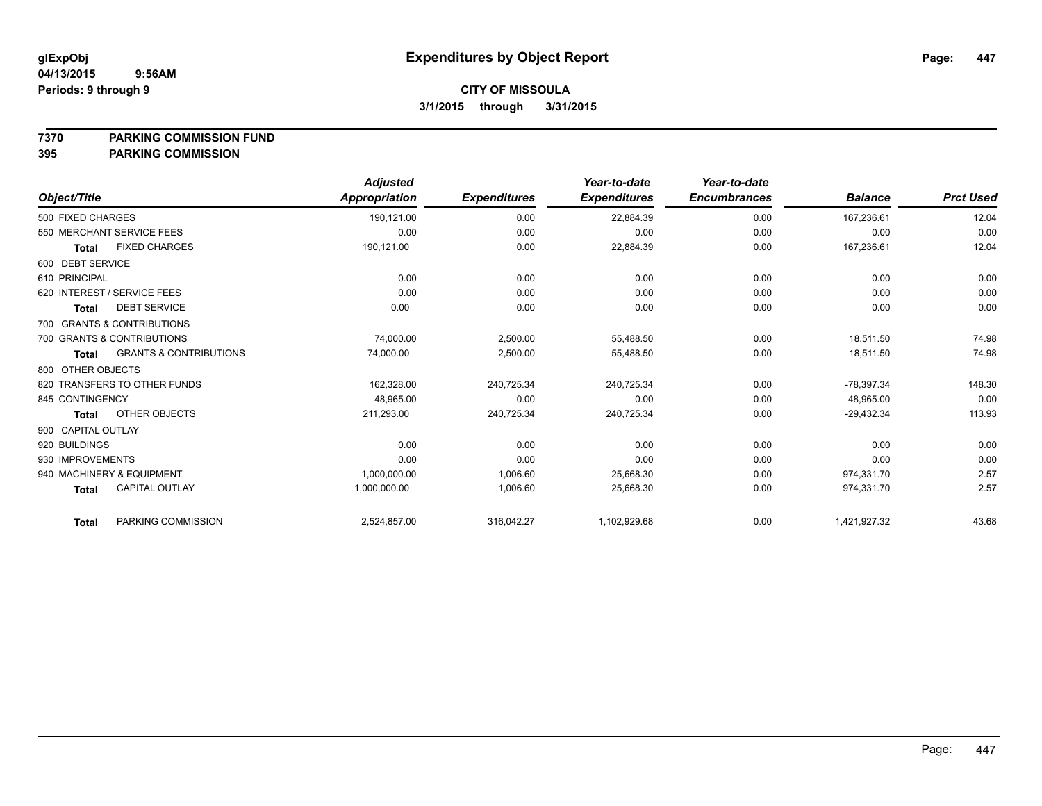#### **7370 PARKING COMMISSION FUND**

|                                                   | <b>Adjusted</b>      |                     | Year-to-date        | Year-to-date        |                |                  |
|---------------------------------------------------|----------------------|---------------------|---------------------|---------------------|----------------|------------------|
| Object/Title                                      | <b>Appropriation</b> | <b>Expenditures</b> | <b>Expenditures</b> | <b>Encumbrances</b> | <b>Balance</b> | <b>Prct Used</b> |
| 500 FIXED CHARGES                                 | 190,121.00           | 0.00                | 22,884.39           | 0.00                | 167,236.61     | 12.04            |
| 550 MERCHANT SERVICE FEES                         | 0.00                 | 0.00                | 0.00                | 0.00                | 0.00           | 0.00             |
| <b>FIXED CHARGES</b><br><b>Total</b>              | 190,121.00           | 0.00                | 22,884.39           | 0.00                | 167,236.61     | 12.04            |
| 600 DEBT SERVICE                                  |                      |                     |                     |                     |                |                  |
| 610 PRINCIPAL                                     | 0.00                 | 0.00                | 0.00                | 0.00                | 0.00           | 0.00             |
| 620 INTEREST / SERVICE FEES                       | 0.00                 | 0.00                | 0.00                | 0.00                | 0.00           | 0.00             |
| <b>DEBT SERVICE</b><br><b>Total</b>               | 0.00                 | 0.00                | 0.00                | 0.00                | 0.00           | 0.00             |
| 700 GRANTS & CONTRIBUTIONS                        |                      |                     |                     |                     |                |                  |
| 700 GRANTS & CONTRIBUTIONS                        | 74,000.00            | 2,500.00            | 55,488.50           | 0.00                | 18,511.50      | 74.98            |
| <b>GRANTS &amp; CONTRIBUTIONS</b><br><b>Total</b> | 74,000.00            | 2,500.00            | 55,488.50           | 0.00                | 18,511.50      | 74.98            |
| 800 OTHER OBJECTS                                 |                      |                     |                     |                     |                |                  |
| 820 TRANSFERS TO OTHER FUNDS                      | 162,328.00           | 240,725.34          | 240,725.34          | 0.00                | $-78,397.34$   | 148.30           |
| 845 CONTINGENCY                                   | 48,965.00            | 0.00                | 0.00                | 0.00                | 48,965.00      | 0.00             |
| OTHER OBJECTS<br><b>Total</b>                     | 211,293.00           | 240,725.34          | 240,725.34          | 0.00                | $-29,432.34$   | 113.93           |
| 900 CAPITAL OUTLAY                                |                      |                     |                     |                     |                |                  |
| 920 BUILDINGS                                     | 0.00                 | 0.00                | 0.00                | 0.00                | 0.00           | 0.00             |
| 930 IMPROVEMENTS                                  | 0.00                 | 0.00                | 0.00                | 0.00                | 0.00           | 0.00             |
| 940 MACHINERY & EQUIPMENT                         | 1,000,000.00         | 1,006.60            | 25,668.30           | 0.00                | 974,331.70     | 2.57             |
| <b>CAPITAL OUTLAY</b><br>Total                    | 1,000,000.00         | 1,006.60            | 25,668.30           | 0.00                | 974,331.70     | 2.57             |
| PARKING COMMISSION<br><b>Total</b>                | 2,524,857.00         | 316,042.27          | 1,102,929.68        | 0.00                | 1,421,927.32   | 43.68            |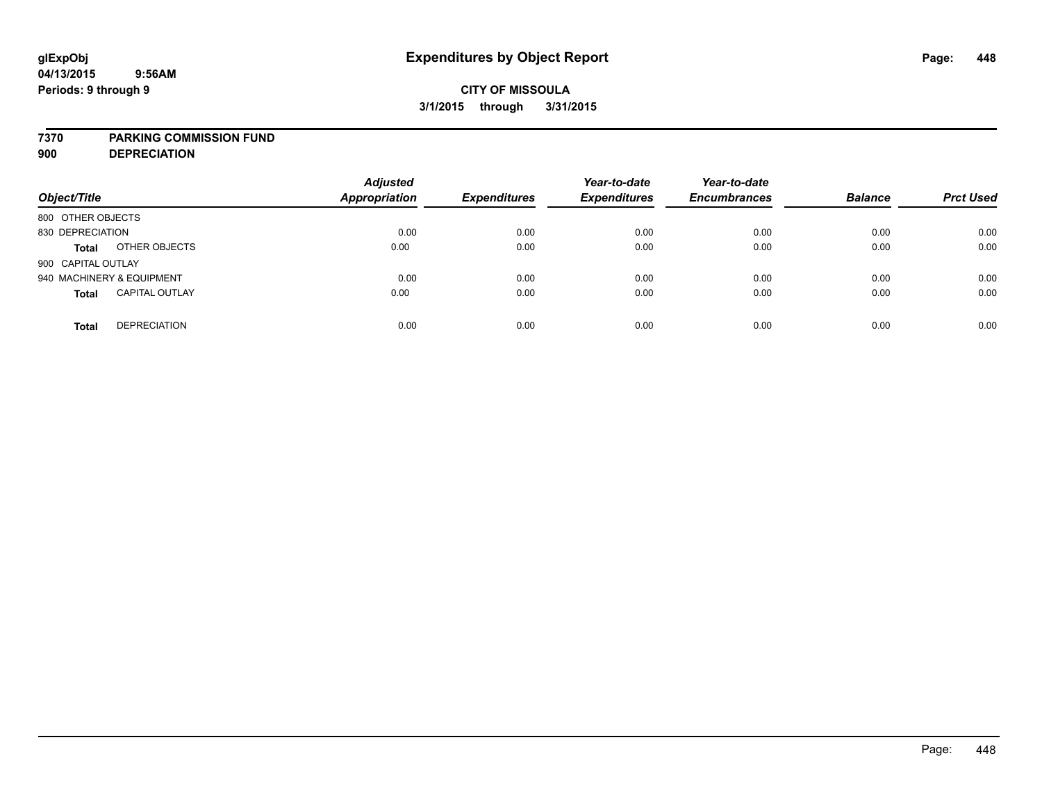### **7370 PARKING COMMISSION FUND**

**900 DEPRECIATION**

| Object/Title                          | <b>Adjusted</b><br><b>Appropriation</b> | <b>Expenditures</b> | Year-to-date<br><b>Expenditures</b> | Year-to-date<br><b>Encumbrances</b> | <b>Balance</b> | <b>Prct Used</b> |
|---------------------------------------|-----------------------------------------|---------------------|-------------------------------------|-------------------------------------|----------------|------------------|
| 800 OTHER OBJECTS                     |                                         |                     |                                     |                                     |                |                  |
| 830 DEPRECIATION                      | 0.00                                    | 0.00                | 0.00                                | 0.00                                | 0.00           | 0.00             |
| OTHER OBJECTS<br><b>Total</b>         | 0.00                                    | 0.00                | 0.00                                | 0.00                                | 0.00           | 0.00             |
| 900 CAPITAL OUTLAY                    |                                         |                     |                                     |                                     |                |                  |
| 940 MACHINERY & EQUIPMENT             | 0.00                                    | 0.00                | 0.00                                | 0.00                                | 0.00           | 0.00             |
| <b>CAPITAL OUTLAY</b><br><b>Total</b> | 0.00                                    | 0.00                | 0.00                                | 0.00                                | 0.00           | 0.00             |
| <b>DEPRECIATION</b><br><b>Total</b>   | 0.00                                    | 0.00                | 0.00                                | 0.00                                | 0.00           | 0.00             |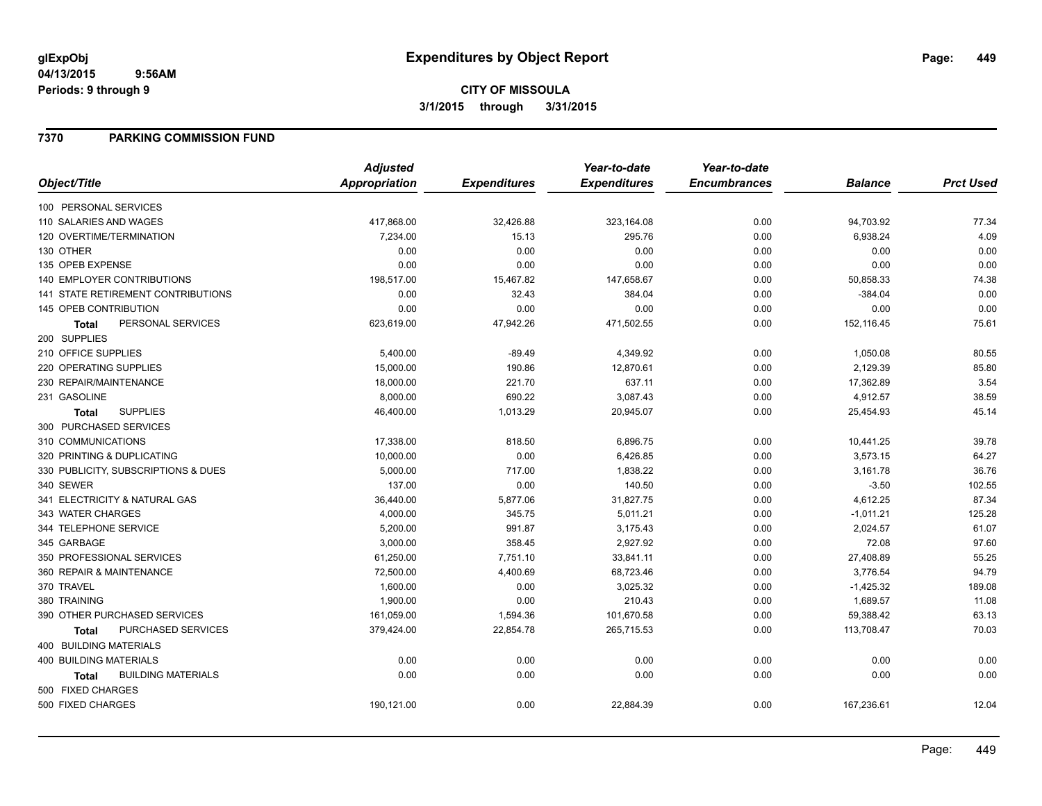### **7370 PARKING COMMISSION FUND**

|                                           | <b>Adjusted</b> |                     | Year-to-date        | Year-to-date        |                |                  |
|-------------------------------------------|-----------------|---------------------|---------------------|---------------------|----------------|------------------|
| Object/Title                              | Appropriation   | <b>Expenditures</b> | <b>Expenditures</b> | <b>Encumbrances</b> | <b>Balance</b> | <b>Prct Used</b> |
| 100 PERSONAL SERVICES                     |                 |                     |                     |                     |                |                  |
| 110 SALARIES AND WAGES                    | 417,868.00      | 32,426.88           | 323,164.08          | 0.00                | 94,703.92      | 77.34            |
| 120 OVERTIME/TERMINATION                  | 7,234.00        | 15.13               | 295.76              | 0.00                | 6,938.24       | 4.09             |
| 130 OTHER                                 | 0.00            | 0.00                | 0.00                | 0.00                | 0.00           | 0.00             |
| 135 OPEB EXPENSE                          | 0.00            | 0.00                | 0.00                | 0.00                | 0.00           | 0.00             |
| <b>140 EMPLOYER CONTRIBUTIONS</b>         | 198,517.00      | 15,467.82           | 147,658.67          | 0.00                | 50,858.33      | 74.38            |
| 141 STATE RETIREMENT CONTRIBUTIONS        | 0.00            | 32.43               | 384.04              | 0.00                | $-384.04$      | 0.00             |
| 145 OPEB CONTRIBUTION                     | 0.00            | 0.00                | 0.00                | 0.00                | 0.00           | 0.00             |
| PERSONAL SERVICES<br>Total                | 623,619.00      | 47,942.26           | 471,502.55          | 0.00                | 152,116.45     | 75.61            |
| 200 SUPPLIES                              |                 |                     |                     |                     |                |                  |
| 210 OFFICE SUPPLIES                       | 5,400.00        | $-89.49$            | 4,349.92            | 0.00                | 1,050.08       | 80.55            |
| 220 OPERATING SUPPLIES                    | 15,000.00       | 190.86              | 12,870.61           | 0.00                | 2,129.39       | 85.80            |
| 230 REPAIR/MAINTENANCE                    | 18,000.00       | 221.70              | 637.11              | 0.00                | 17,362.89      | 3.54             |
| 231 GASOLINE                              | 8,000.00        | 690.22              | 3,087.43            | 0.00                | 4,912.57       | 38.59            |
| <b>SUPPLIES</b><br><b>Total</b>           | 46,400.00       | 1,013.29            | 20,945.07           | 0.00                | 25,454.93      | 45.14            |
| 300 PURCHASED SERVICES                    |                 |                     |                     |                     |                |                  |
| 310 COMMUNICATIONS                        | 17,338.00       | 818.50              | 6,896.75            | 0.00                | 10,441.25      | 39.78            |
| 320 PRINTING & DUPLICATING                | 10,000.00       | 0.00                | 6,426.85            | 0.00                | 3,573.15       | 64.27            |
| 330 PUBLICITY, SUBSCRIPTIONS & DUES       | 5,000.00        | 717.00              | 1,838.22            | 0.00                | 3,161.78       | 36.76            |
| 340 SEWER                                 | 137.00          | 0.00                | 140.50              | 0.00                | $-3.50$        | 102.55           |
| 341 ELECTRICITY & NATURAL GAS             | 36,440.00       | 5,877.06            | 31,827.75           | 0.00                | 4,612.25       | 87.34            |
| 343 WATER CHARGES                         | 4,000.00        | 345.75              | 5,011.21            | 0.00                | $-1,011.21$    | 125.28           |
| 344 TELEPHONE SERVICE                     | 5,200.00        | 991.87              | 3,175.43            | 0.00                | 2,024.57       | 61.07            |
| 345 GARBAGE                               | 3,000.00        | 358.45              | 2,927.92            | 0.00                | 72.08          | 97.60            |
| 350 PROFESSIONAL SERVICES                 | 61,250.00       | 7,751.10            | 33,841.11           | 0.00                | 27,408.89      | 55.25            |
| 360 REPAIR & MAINTENANCE                  | 72,500.00       | 4,400.69            | 68,723.46           | 0.00                | 3,776.54       | 94.79            |
| 370 TRAVEL                                | 1,600.00        | 0.00                | 3,025.32            | 0.00                | $-1,425.32$    | 189.08           |
| 380 TRAINING                              | 1,900.00        | 0.00                | 210.43              | 0.00                | 1,689.57       | 11.08            |
| 390 OTHER PURCHASED SERVICES              | 161,059.00      | 1,594.36            | 101,670.58          | 0.00                | 59,388.42      | 63.13            |
| PURCHASED SERVICES<br><b>Total</b>        | 379,424.00      | 22,854.78           | 265,715.53          | 0.00                | 113,708.47     | 70.03            |
| 400 BUILDING MATERIALS                    |                 |                     |                     |                     |                |                  |
| 400 BUILDING MATERIALS                    | 0.00            | 0.00                | 0.00                | 0.00                | 0.00           | 0.00             |
| <b>BUILDING MATERIALS</b><br><b>Total</b> | 0.00            | 0.00                | 0.00                | 0.00                | 0.00           | 0.00             |
| 500 FIXED CHARGES                         |                 |                     |                     |                     |                |                  |
| 500 FIXED CHARGES                         | 190,121.00      | 0.00                | 22,884.39           | 0.00                | 167,236.61     | 12.04            |
|                                           |                 |                     |                     |                     |                |                  |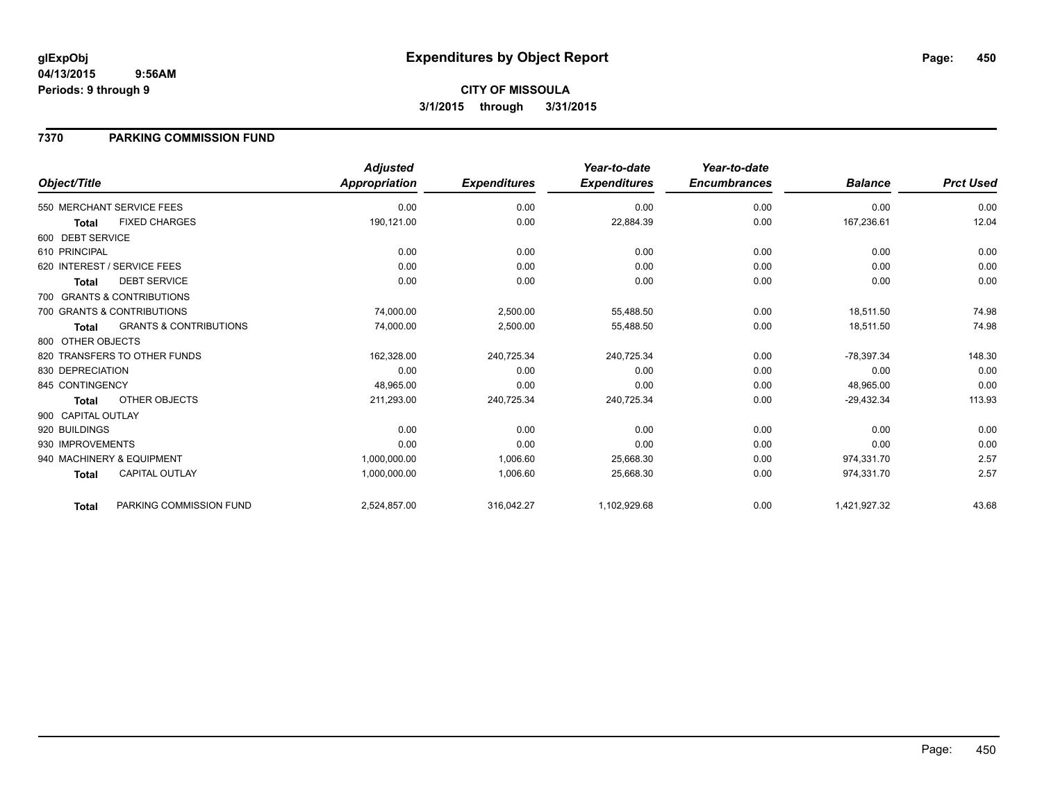## **7370 PARKING COMMISSION FUND**

|                    |                                   | <b>Adjusted</b> |                     | Year-to-date        | Year-to-date        |                |                  |
|--------------------|-----------------------------------|-----------------|---------------------|---------------------|---------------------|----------------|------------------|
| Object/Title       |                                   | Appropriation   | <b>Expenditures</b> | <b>Expenditures</b> | <b>Encumbrances</b> | <b>Balance</b> | <b>Prct Used</b> |
|                    | 550 MERCHANT SERVICE FEES         | 0.00            | 0.00                | 0.00                | 0.00                | 0.00           | 0.00             |
| <b>Total</b>       | <b>FIXED CHARGES</b>              | 190,121.00      | 0.00                | 22,884.39           | 0.00                | 167,236.61     | 12.04            |
| 600 DEBT SERVICE   |                                   |                 |                     |                     |                     |                |                  |
| 610 PRINCIPAL      |                                   | 0.00            | 0.00                | 0.00                | 0.00                | 0.00           | 0.00             |
|                    | 620 INTEREST / SERVICE FEES       | 0.00            | 0.00                | 0.00                | 0.00                | 0.00           | 0.00             |
| <b>Total</b>       | <b>DEBT SERVICE</b>               | 0.00            | 0.00                | 0.00                | 0.00                | 0.00           | 0.00             |
|                    | 700 GRANTS & CONTRIBUTIONS        |                 |                     |                     |                     |                |                  |
|                    | 700 GRANTS & CONTRIBUTIONS        | 74,000.00       | 2,500.00            | 55,488.50           | 0.00                | 18,511.50      | 74.98            |
| <b>Total</b>       | <b>GRANTS &amp; CONTRIBUTIONS</b> | 74,000.00       | 2,500.00            | 55,488.50           | 0.00                | 18,511.50      | 74.98            |
| 800 OTHER OBJECTS  |                                   |                 |                     |                     |                     |                |                  |
|                    | 820 TRANSFERS TO OTHER FUNDS      | 162,328.00      | 240,725.34          | 240,725.34          | 0.00                | $-78,397.34$   | 148.30           |
| 830 DEPRECIATION   |                                   | 0.00            | 0.00                | 0.00                | 0.00                | 0.00           | 0.00             |
| 845 CONTINGENCY    |                                   | 48,965.00       | 0.00                | 0.00                | 0.00                | 48,965.00      | 0.00             |
| Total              | <b>OTHER OBJECTS</b>              | 211,293.00      | 240,725.34          | 240,725.34          | 0.00                | $-29,432.34$   | 113.93           |
| 900 CAPITAL OUTLAY |                                   |                 |                     |                     |                     |                |                  |
| 920 BUILDINGS      |                                   | 0.00            | 0.00                | 0.00                | 0.00                | 0.00           | 0.00             |
| 930 IMPROVEMENTS   |                                   | 0.00            | 0.00                | 0.00                | 0.00                | 0.00           | 0.00             |
|                    | 940 MACHINERY & EQUIPMENT         | 1,000,000.00    | 1,006.60            | 25,668.30           | 0.00                | 974,331.70     | 2.57             |
| <b>Total</b>       | <b>CAPITAL OUTLAY</b>             | 1,000,000.00    | 1,006.60            | 25,668.30           | 0.00                | 974,331.70     | 2.57             |
| Total              | PARKING COMMISSION FUND           | 2,524,857.00    | 316,042.27          | 1,102,929.68        | 0.00                | 1,421,927.32   | 43.68            |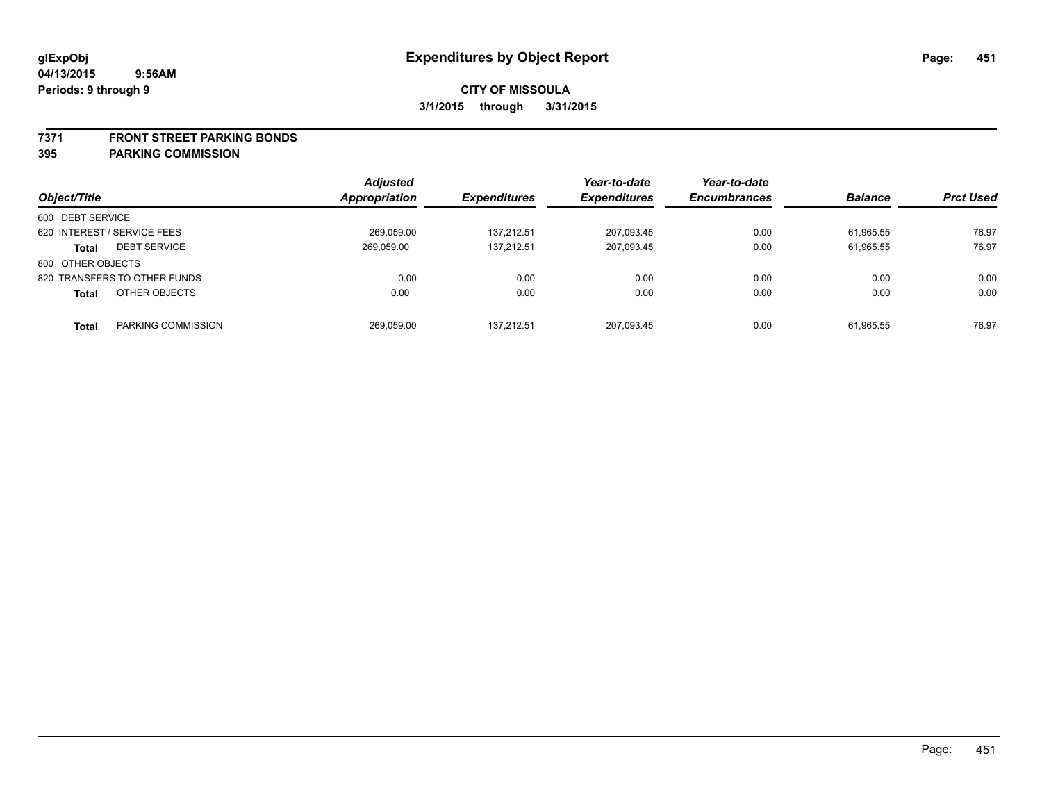#### **7371 FRONT STREET PARKING BONDS**

| Object/Title                        |                    | <b>Adjusted</b><br><b>Appropriation</b> | <i><b>Expenditures</b></i> | Year-to-date<br><b>Expenditures</b> | Year-to-date<br><b>Encumbrances</b> | <b>Balance</b> | <b>Prct Used</b> |
|-------------------------------------|--------------------|-----------------------------------------|----------------------------|-------------------------------------|-------------------------------------|----------------|------------------|
| 600 DEBT SERVICE                    |                    |                                         |                            |                                     |                                     |                |                  |
| 620 INTEREST / SERVICE FEES         |                    | 269,059.00                              | 137.212.51                 | 207,093.45                          | 0.00                                | 61.965.55      | 76.97            |
| <b>DEBT SERVICE</b><br><b>Total</b> |                    | 269.059.00                              | 137.212.51                 | 207,093.45                          | 0.00                                | 61.965.55      | 76.97            |
| 800 OTHER OBJECTS                   |                    |                                         |                            |                                     |                                     |                |                  |
| 820 TRANSFERS TO OTHER FUNDS        |                    | 0.00                                    | 0.00                       | 0.00                                | 0.00                                | 0.00           | 0.00             |
| <b>Total</b>                        | OTHER OBJECTS      | 0.00                                    | 0.00                       | 0.00                                | 0.00                                | 0.00           | 0.00             |
| <b>Total</b>                        | PARKING COMMISSION | 269.059.00                              | 137.212.51                 | 207.093.45                          | 0.00                                | 61.965.55      | 76.97            |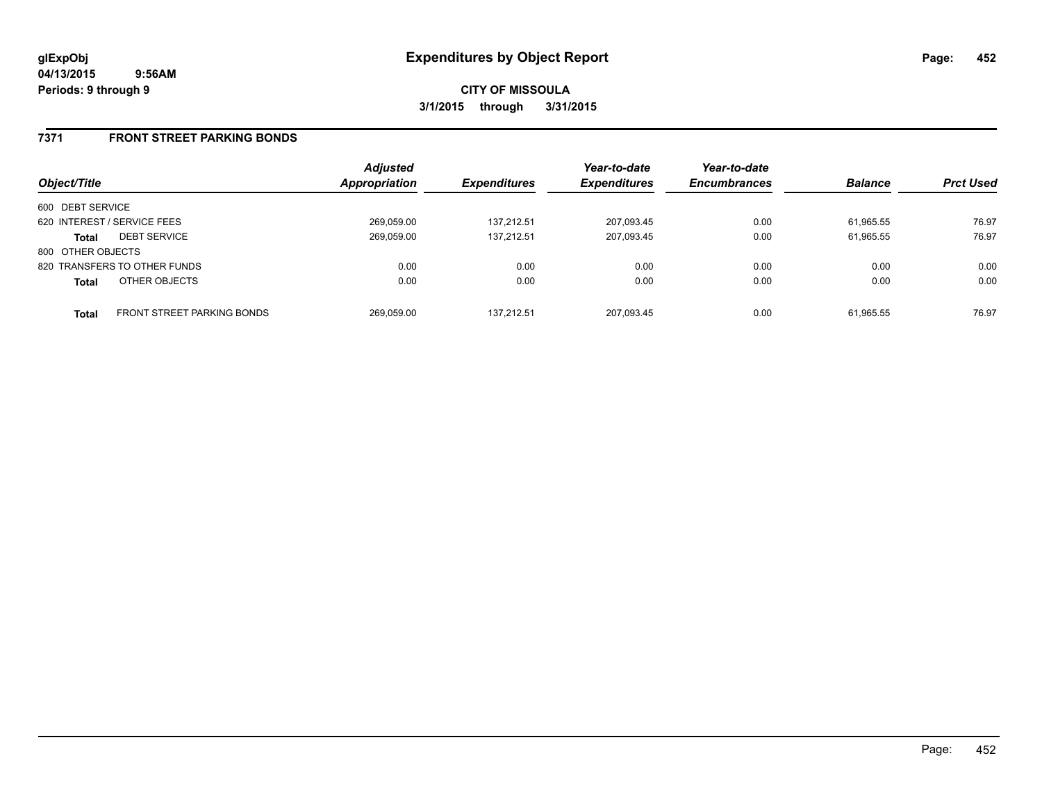**CITY OF MISSOULA 3/1/2015 through 3/31/2015**

### **7371 FRONT STREET PARKING BONDS**

| Object/Title                |                                   | <b>Adjusted</b><br><b>Appropriation</b> | <b>Expenditures</b> | Year-to-date<br><b>Expenditures</b> | Year-to-date<br><b>Encumbrances</b> | <b>Balance</b> | <b>Prct Used</b> |
|-----------------------------|-----------------------------------|-----------------------------------------|---------------------|-------------------------------------|-------------------------------------|----------------|------------------|
| 600 DEBT SERVICE            |                                   |                                         |                     |                                     |                                     |                |                  |
| 620 INTEREST / SERVICE FEES |                                   | 269,059.00                              | 137.212.51          | 207,093.45                          | 0.00                                | 61.965.55      | 76.97            |
| Total                       | <b>DEBT SERVICE</b>               | 269,059.00                              | 137.212.51          | 207,093.45                          | 0.00                                | 61,965.55      | 76.97            |
| 800 OTHER OBJECTS           |                                   |                                         |                     |                                     |                                     |                |                  |
|                             | 820 TRANSFERS TO OTHER FUNDS      | 0.00                                    | 0.00                | 0.00                                | 0.00                                | 0.00           | 0.00             |
| <b>Total</b>                | OTHER OBJECTS                     | 0.00                                    | 0.00                | 0.00                                | 0.00                                | 0.00           | 0.00             |
| <b>Total</b>                | <b>FRONT STREET PARKING BONDS</b> | 269,059.00                              | 137.212.51          | 207.093.45                          | 0.00                                | 61.965.55      | 76.97            |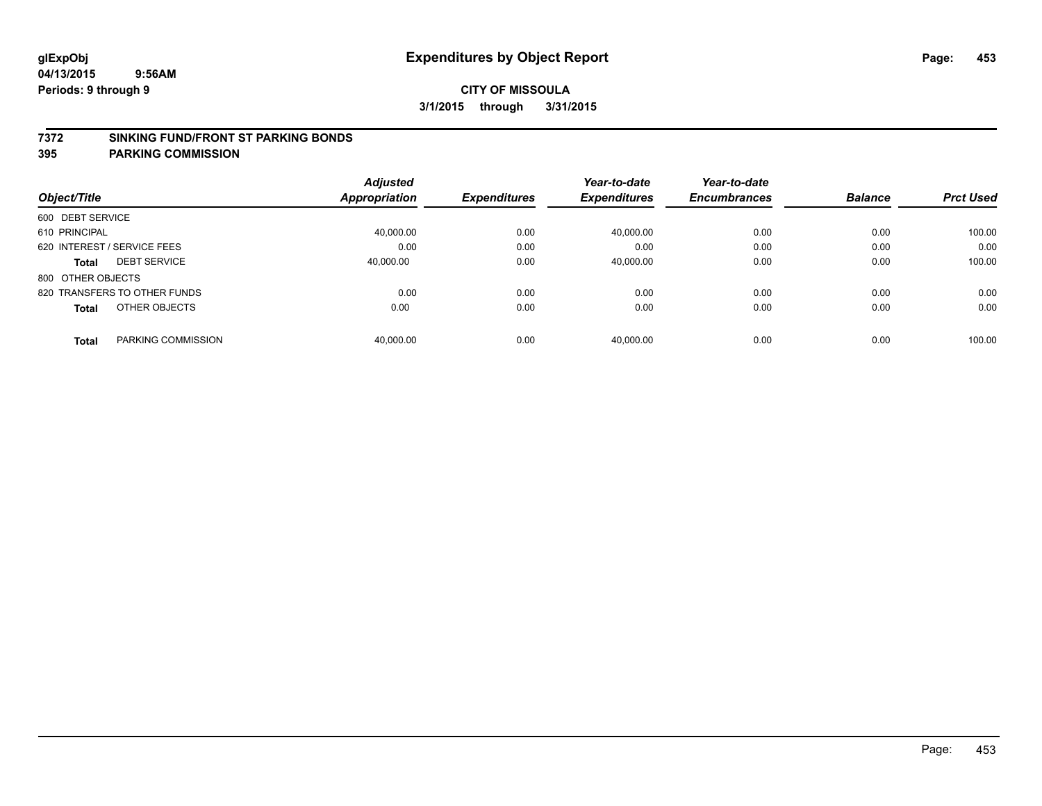#### **7372 SINKING FUND/FRONT ST PARKING BONDS**

|                                     | <b>Adjusted</b> | <b>Expenditures</b> | Year-to-date<br><b>Expenditures</b> | Year-to-date<br><b>Encumbrances</b> | <b>Balance</b> | <b>Prct Used</b> |
|-------------------------------------|-----------------|---------------------|-------------------------------------|-------------------------------------|----------------|------------------|
| Object/Title                        | Appropriation   |                     |                                     |                                     |                |                  |
| 600 DEBT SERVICE                    |                 |                     |                                     |                                     |                |                  |
| 610 PRINCIPAL                       | 40.000.00       | 0.00                | 40.000.00                           | 0.00                                | 0.00           | 100.00           |
| 620 INTEREST / SERVICE FEES         | 0.00            | 0.00                | 0.00                                | 0.00                                | 0.00           | 0.00             |
| <b>DEBT SERVICE</b><br><b>Total</b> | 40.000.00       | 0.00                | 40,000.00                           | 0.00                                | 0.00           | 100.00           |
| 800 OTHER OBJECTS                   |                 |                     |                                     |                                     |                |                  |
| 820 TRANSFERS TO OTHER FUNDS        | 0.00            | 0.00                | 0.00                                | 0.00                                | 0.00           | 0.00             |
| OTHER OBJECTS<br><b>Total</b>       | 0.00            | 0.00                | 0.00                                | 0.00                                | 0.00           | 0.00             |
| PARKING COMMISSION<br><b>Total</b>  | 40,000.00       | 0.00                | 40.000.00                           | 0.00                                | 0.00           | 100.00           |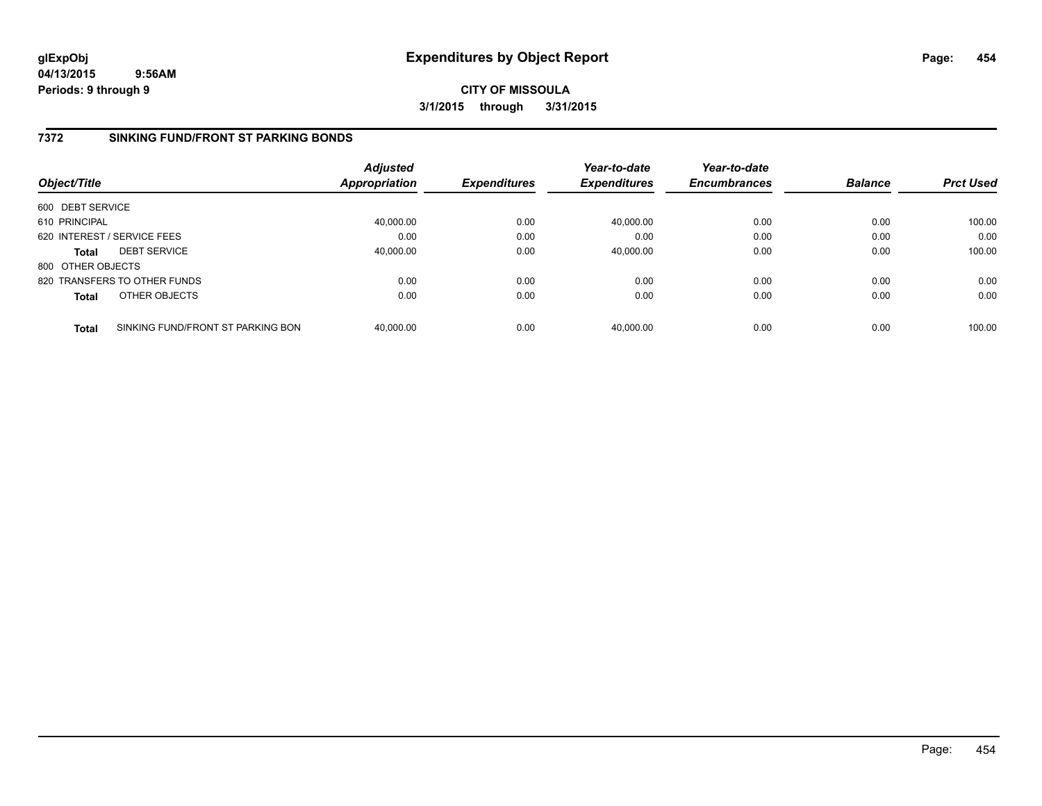**CITY OF MISSOULA 3/1/2015 through 3/31/2015**

### **7372 SINKING FUND/FRONT ST PARKING BONDS**

| Object/Title      |                                   | <b>Adjusted</b><br><b>Appropriation</b> | <b>Expenditures</b> | Year-to-date<br><b>Expenditures</b> | Year-to-date<br><b>Encumbrances</b> | <b>Balance</b> | <b>Prct Used</b> |
|-------------------|-----------------------------------|-----------------------------------------|---------------------|-------------------------------------|-------------------------------------|----------------|------------------|
| 600 DEBT SERVICE  |                                   |                                         |                     |                                     |                                     |                |                  |
| 610 PRINCIPAL     |                                   | 40,000.00                               | 0.00                | 40,000.00                           | 0.00                                | 0.00           | 100.00           |
|                   | 620 INTEREST / SERVICE FEES       | 0.00                                    | 0.00                | 0.00                                | 0.00                                | 0.00           | 0.00             |
| <b>Total</b>      | <b>DEBT SERVICE</b>               | 40,000.00                               | 0.00                | 40,000.00                           | 0.00                                | 0.00           | 100.00           |
| 800 OTHER OBJECTS |                                   |                                         |                     |                                     |                                     |                |                  |
|                   | 820 TRANSFERS TO OTHER FUNDS      | 0.00                                    | 0.00                | 0.00                                | 0.00                                | 0.00           | 0.00             |
| <b>Total</b>      | OTHER OBJECTS                     | 0.00                                    | 0.00                | 0.00                                | 0.00                                | 0.00           | 0.00             |
| <b>Total</b>      | SINKING FUND/FRONT ST PARKING BON | 40.000.00                               | 0.00                | 40.000.00                           | 0.00                                | 0.00           | 100.00           |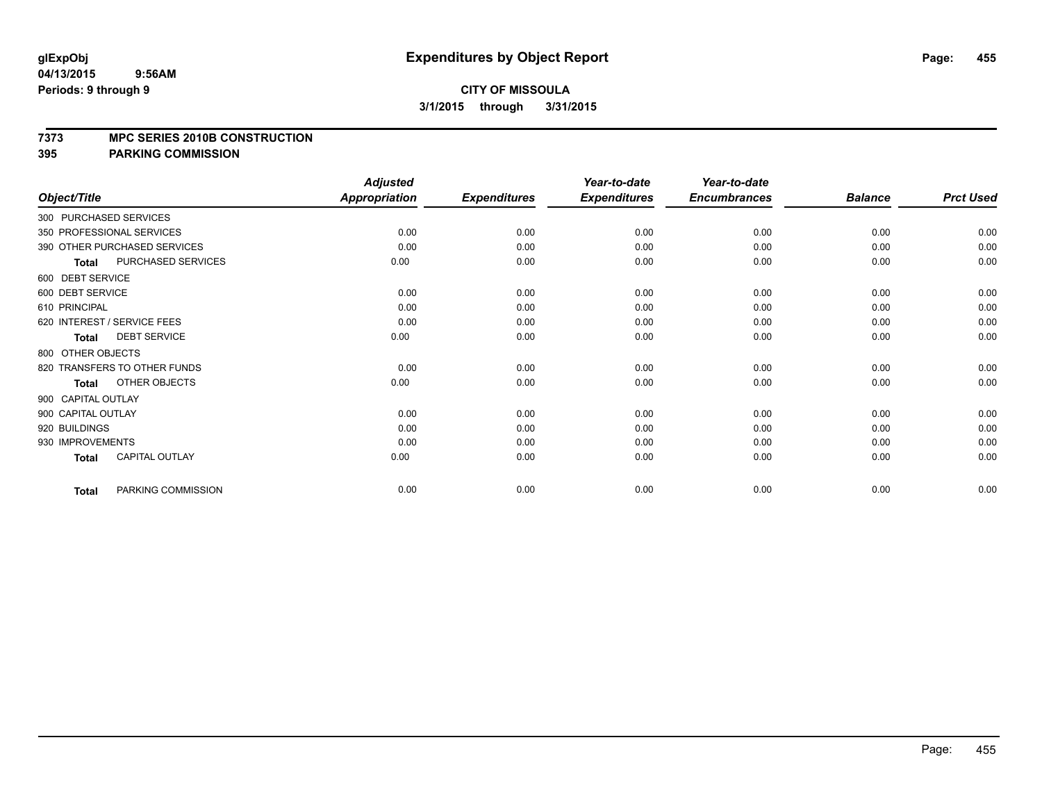#### **7373 MPC SERIES 2010B CONSTRUCTION**

|                    |                              | <b>Adjusted</b>      |                     | Year-to-date        | Year-to-date        |                |                  |
|--------------------|------------------------------|----------------------|---------------------|---------------------|---------------------|----------------|------------------|
| Object/Title       |                              | <b>Appropriation</b> | <b>Expenditures</b> | <b>Expenditures</b> | <b>Encumbrances</b> | <b>Balance</b> | <b>Prct Used</b> |
|                    | 300 PURCHASED SERVICES       |                      |                     |                     |                     |                |                  |
|                    | 350 PROFESSIONAL SERVICES    | 0.00                 | 0.00                | 0.00                | 0.00                | 0.00           | 0.00             |
|                    | 390 OTHER PURCHASED SERVICES | 0.00                 | 0.00                | 0.00                | 0.00                | 0.00           | 0.00             |
| <b>Total</b>       | PURCHASED SERVICES           | 0.00                 | 0.00                | 0.00                | 0.00                | 0.00           | 0.00             |
| 600 DEBT SERVICE   |                              |                      |                     |                     |                     |                |                  |
| 600 DEBT SERVICE   |                              | 0.00                 | 0.00                | 0.00                | 0.00                | 0.00           | 0.00             |
| 610 PRINCIPAL      |                              | 0.00                 | 0.00                | 0.00                | 0.00                | 0.00           | 0.00             |
|                    | 620 INTEREST / SERVICE FEES  | 0.00                 | 0.00                | 0.00                | 0.00                | 0.00           | 0.00             |
| <b>Total</b>       | <b>DEBT SERVICE</b>          | 0.00                 | 0.00                | 0.00                | 0.00                | 0.00           | 0.00             |
| 800 OTHER OBJECTS  |                              |                      |                     |                     |                     |                |                  |
|                    | 820 TRANSFERS TO OTHER FUNDS | 0.00                 | 0.00                | 0.00                | 0.00                | 0.00           | 0.00             |
| <b>Total</b>       | OTHER OBJECTS                | 0.00                 | 0.00                | 0.00                | 0.00                | 0.00           | 0.00             |
| 900 CAPITAL OUTLAY |                              |                      |                     |                     |                     |                |                  |
| 900 CAPITAL OUTLAY |                              | 0.00                 | 0.00                | 0.00                | 0.00                | 0.00           | 0.00             |
| 920 BUILDINGS      |                              | 0.00                 | 0.00                | 0.00                | 0.00                | 0.00           | 0.00             |
| 930 IMPROVEMENTS   |                              | 0.00                 | 0.00                | 0.00                | 0.00                | 0.00           | 0.00             |
| <b>Total</b>       | <b>CAPITAL OUTLAY</b>        | 0.00                 | 0.00                | 0.00                | 0.00                | 0.00           | 0.00             |
| <b>Total</b>       | PARKING COMMISSION           | 0.00                 | 0.00                | 0.00                | 0.00                | 0.00           | 0.00             |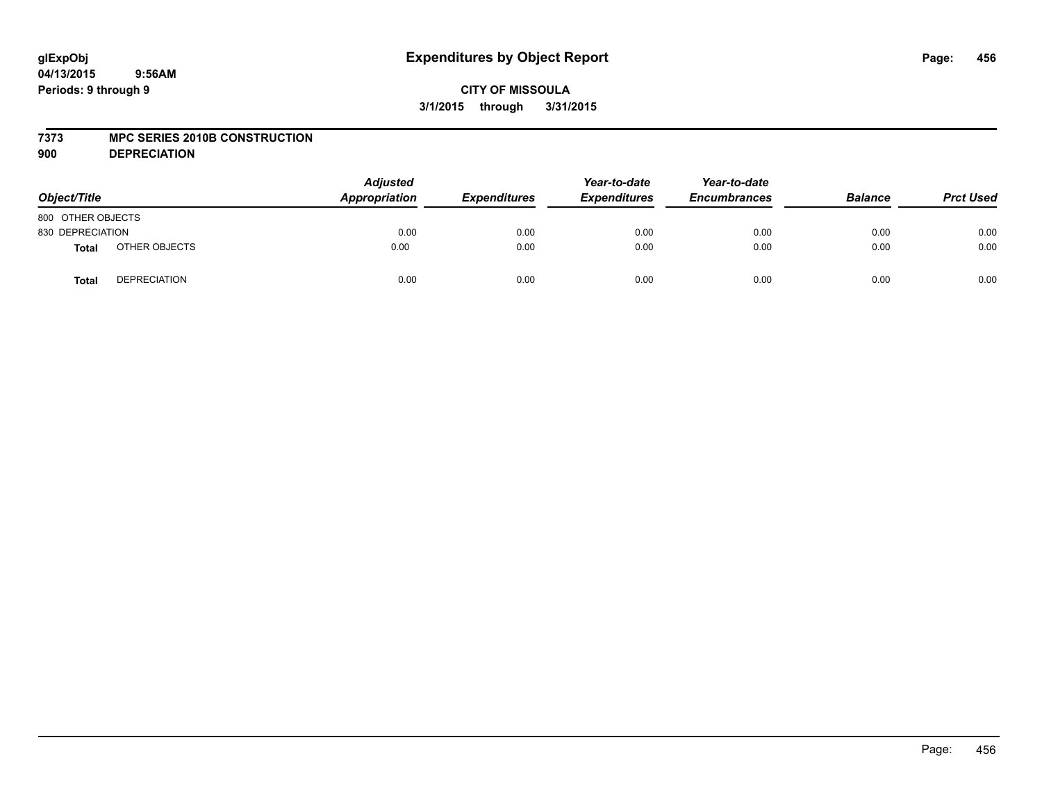# **CITY OF MISSOULA 3/1/2015 through 3/31/2015**

#### **7373 MPC SERIES 2010B CONSTRUCTION**

**900 DEPRECIATION**

| Object/Title      |                     | <b>Adjusted</b><br>Appropriation | <b>Expenditures</b> | Year-to-date<br><b>Expenditures</b> | Year-to-date<br><b>Encumbrances</b> | <b>Balance</b> | <b>Prct Used</b> |
|-------------------|---------------------|----------------------------------|---------------------|-------------------------------------|-------------------------------------|----------------|------------------|
| 800 OTHER OBJECTS |                     |                                  |                     |                                     |                                     |                |                  |
| 830 DEPRECIATION  |                     | 0.00                             | 0.00                | 0.00                                | 0.00                                | 0.00           | 0.00             |
| <b>Total</b>      | OTHER OBJECTS       | 0.00                             | 0.00                | 0.00                                | 0.00                                | 0.00           | 0.00             |
| <b>Total</b>      | <b>DEPRECIATION</b> | 0.00                             | 0.00                | 0.00                                | 0.00                                | 0.00           | 0.00             |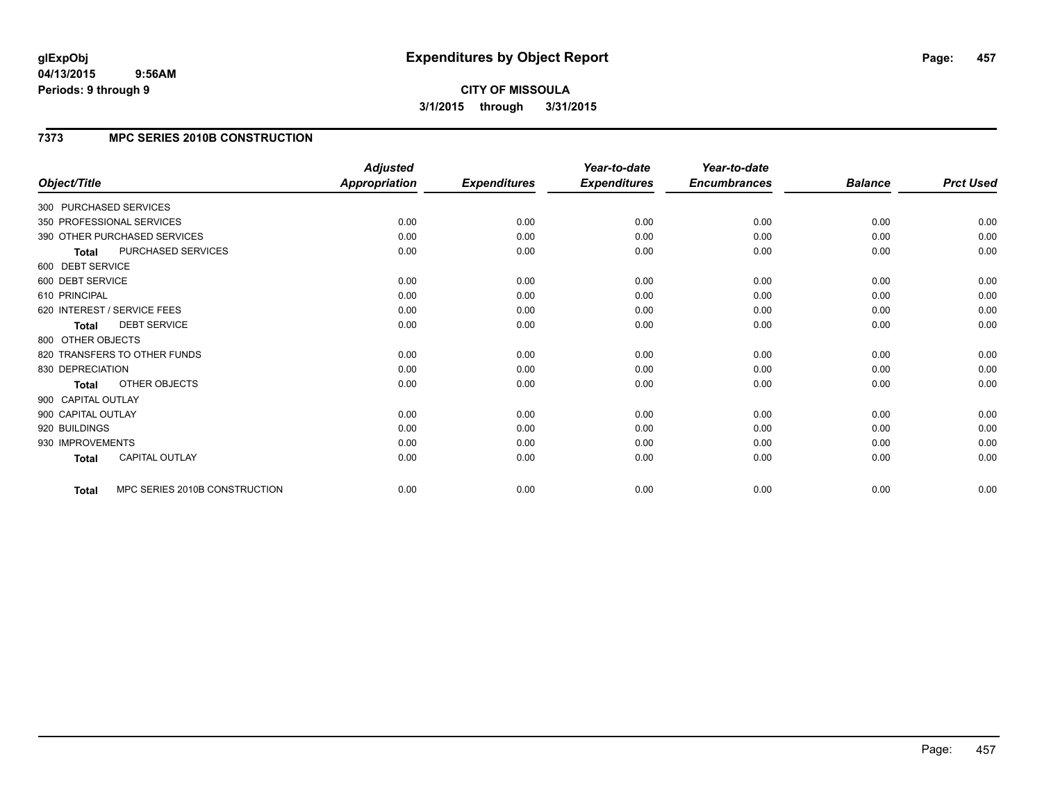## **7373 MPC SERIES 2010B CONSTRUCTION**

| Object/Title           |                               | <b>Adjusted</b>      |                     | Year-to-date        | Year-to-date<br><b>Encumbrances</b> |                | <b>Prct Used</b> |
|------------------------|-------------------------------|----------------------|---------------------|---------------------|-------------------------------------|----------------|------------------|
|                        |                               | <b>Appropriation</b> | <b>Expenditures</b> | <b>Expenditures</b> |                                     | <b>Balance</b> |                  |
| 300 PURCHASED SERVICES |                               |                      |                     |                     |                                     |                |                  |
|                        | 350 PROFESSIONAL SERVICES     | 0.00                 | 0.00                | 0.00                | 0.00                                | 0.00           | 0.00             |
|                        | 390 OTHER PURCHASED SERVICES  | 0.00                 | 0.00                | 0.00                | 0.00                                | 0.00           | 0.00             |
| <b>Total</b>           | PURCHASED SERVICES            | 0.00                 | 0.00                | 0.00                | 0.00                                | 0.00           | 0.00             |
| 600 DEBT SERVICE       |                               |                      |                     |                     |                                     |                |                  |
| 600 DEBT SERVICE       |                               | 0.00                 | 0.00                | 0.00                | 0.00                                | 0.00           | 0.00             |
| 610 PRINCIPAL          |                               | 0.00                 | 0.00                | 0.00                | 0.00                                | 0.00           | 0.00             |
|                        | 620 INTEREST / SERVICE FEES   | 0.00                 | 0.00                | 0.00                | 0.00                                | 0.00           | 0.00             |
| <b>Total</b>           | <b>DEBT SERVICE</b>           | 0.00                 | 0.00                | 0.00                | 0.00                                | 0.00           | 0.00             |
| 800 OTHER OBJECTS      |                               |                      |                     |                     |                                     |                |                  |
|                        | 820 TRANSFERS TO OTHER FUNDS  | 0.00                 | 0.00                | 0.00                | 0.00                                | 0.00           | 0.00             |
| 830 DEPRECIATION       |                               | 0.00                 | 0.00                | 0.00                | 0.00                                | 0.00           | 0.00             |
| <b>Total</b>           | OTHER OBJECTS                 | 0.00                 | 0.00                | 0.00                | 0.00                                | 0.00           | 0.00             |
| 900 CAPITAL OUTLAY     |                               |                      |                     |                     |                                     |                |                  |
| 900 CAPITAL OUTLAY     |                               | 0.00                 | 0.00                | 0.00                | 0.00                                | 0.00           | 0.00             |
| 920 BUILDINGS          |                               | 0.00                 | 0.00                | 0.00                | 0.00                                | 0.00           | 0.00             |
| 930 IMPROVEMENTS       |                               | 0.00                 | 0.00                | 0.00                | 0.00                                | 0.00           | 0.00             |
| <b>Total</b>           | <b>CAPITAL OUTLAY</b>         | 0.00                 | 0.00                | 0.00                | 0.00                                | 0.00           | 0.00             |
| <b>Total</b>           | MPC SERIES 2010B CONSTRUCTION | 0.00                 | 0.00                | 0.00                | 0.00                                | 0.00           | 0.00             |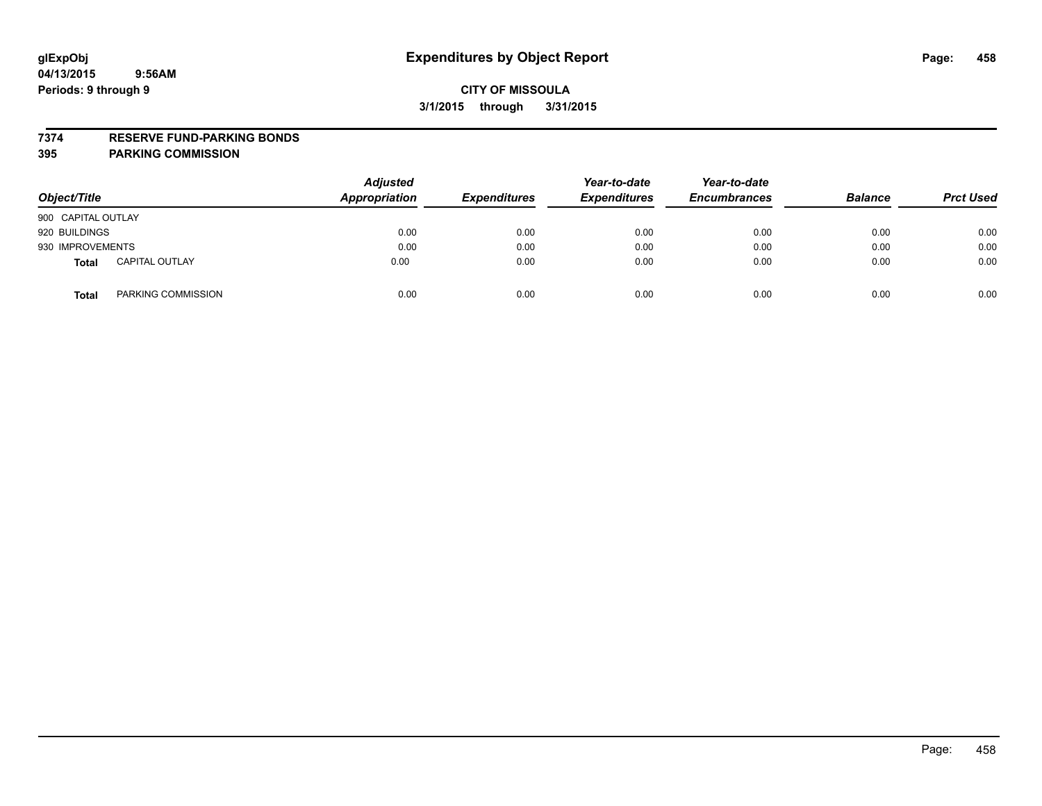### **7374 RESERVE FUND-PARKING BONDS**

| Object/Title       |                       | <b>Adjusted</b><br><b>Appropriation</b> | <b>Expenditures</b> | Year-to-date<br><b>Expenditures</b> | Year-to-date<br><b>Encumbrances</b> | <b>Balance</b> | <b>Prct Used</b> |
|--------------------|-----------------------|-----------------------------------------|---------------------|-------------------------------------|-------------------------------------|----------------|------------------|
| 900 CAPITAL OUTLAY |                       |                                         |                     |                                     |                                     |                |                  |
| 920 BUILDINGS      |                       | 0.00                                    | 0.00                | 0.00                                | 0.00                                | 0.00           | 0.00             |
| 930 IMPROVEMENTS   |                       | 0.00                                    | 0.00                | 0.00                                | 0.00                                | 0.00           | 0.00             |
| <b>Total</b>       | <b>CAPITAL OUTLAY</b> | 0.00                                    | 0.00                | 0.00                                | 0.00                                | 0.00           | 0.00             |
| <b>Total</b>       | PARKING COMMISSION    | 0.00                                    | 0.00                | 0.00                                | 0.00                                | 0.00           | 0.00             |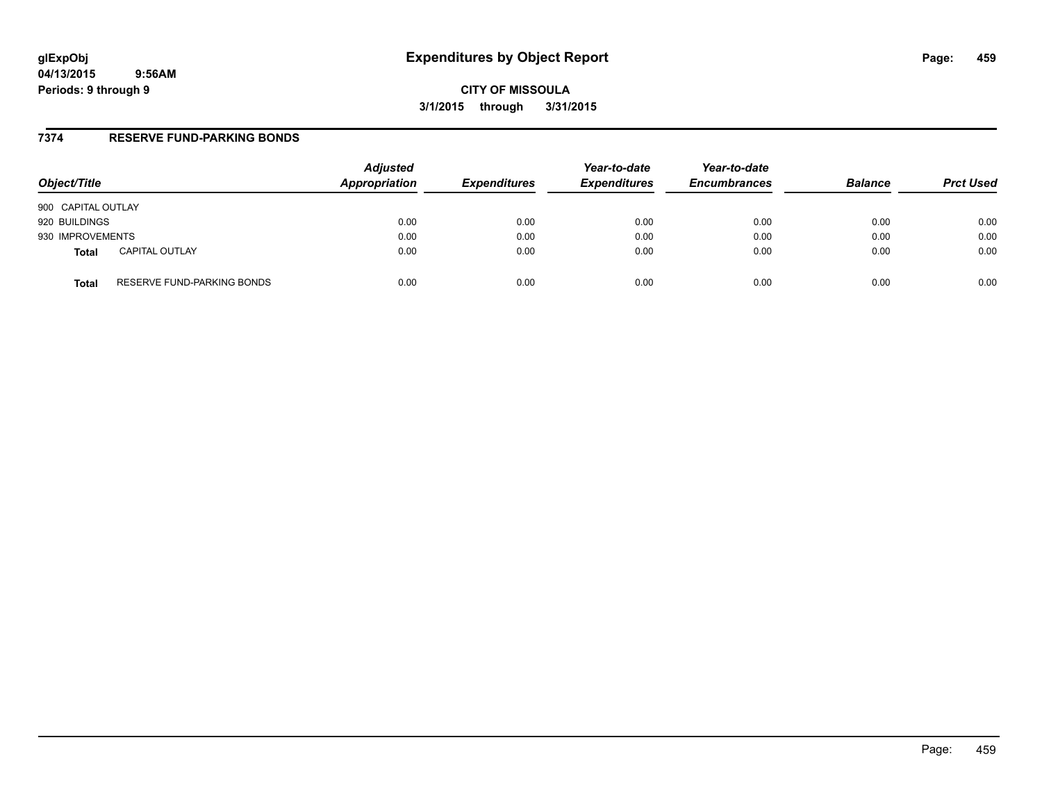# **glExpObj Expenditures by Object Report Page: 459**

**04/13/2015 9:56AM Periods: 9 through 9**

**CITY OF MISSOULA 3/1/2015 through 3/31/2015**

### **7374 RESERVE FUND-PARKING BONDS**

| Object/Title       |                            | <b>Adjusted</b><br>Appropriation | <b>Expenditures</b> | Year-to-date<br><b>Expenditures</b> | Year-to-date<br><b>Encumbrances</b> | <b>Balance</b> | <b>Prct Used</b> |
|--------------------|----------------------------|----------------------------------|---------------------|-------------------------------------|-------------------------------------|----------------|------------------|
| 900 CAPITAL OUTLAY |                            |                                  |                     |                                     |                                     |                |                  |
| 920 BUILDINGS      |                            | 0.00                             | 0.00                | 0.00                                | 0.00                                | 0.00           | 0.00             |
| 930 IMPROVEMENTS   |                            | 0.00                             | 0.00                | 0.00                                | 0.00                                | 0.00           | 0.00             |
| <b>Total</b>       | <b>CAPITAL OUTLAY</b>      | 0.00                             | 0.00                | 0.00                                | 0.00                                | 0.00           | 0.00             |
| <b>Total</b>       | RESERVE FUND-PARKING BONDS | 0.00                             | 0.00                | 0.00                                | 0.00                                | 0.00           | 0.00             |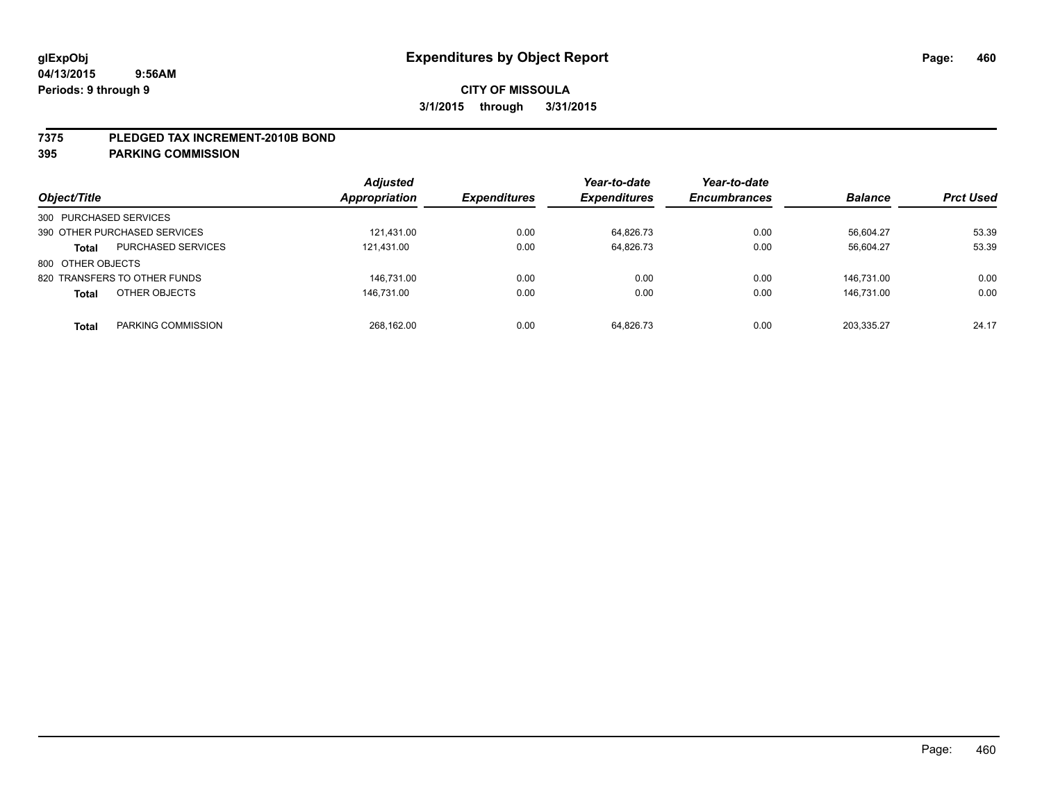#### **7375 PLEDGED TAX INCREMENT-2010B BOND**

| Object/Title                              | <b>Adjusted</b><br>Appropriation | <b>Expenditures</b> | Year-to-date<br><b>Expenditures</b> | Year-to-date<br><b>Encumbrances</b> | <b>Balance</b> | <b>Prct Used</b> |
|-------------------------------------------|----------------------------------|---------------------|-------------------------------------|-------------------------------------|----------------|------------------|
| 300 PURCHASED SERVICES                    |                                  |                     |                                     |                                     |                |                  |
| 390 OTHER PURCHASED SERVICES              | 121,431.00                       | 0.00                | 64,826.73                           | 0.00                                | 56,604.27      | 53.39            |
| <b>PURCHASED SERVICES</b><br><b>Total</b> | 121,431.00                       | 0.00                | 64,826.73                           | 0.00                                | 56.604.27      | 53.39            |
| 800 OTHER OBJECTS                         |                                  |                     |                                     |                                     |                |                  |
| 820 TRANSFERS TO OTHER FUNDS              | 146.731.00                       | 0.00                | 0.00                                | 0.00                                | 146.731.00     | 0.00             |
| OTHER OBJECTS<br><b>Total</b>             | 146.731.00                       | 0.00                | 0.00                                | 0.00                                | 146.731.00     | 0.00             |
| PARKING COMMISSION<br>Total               | 268.162.00                       | 0.00                | 64.826.73                           | 0.00                                | 203.335.27     | 24.17            |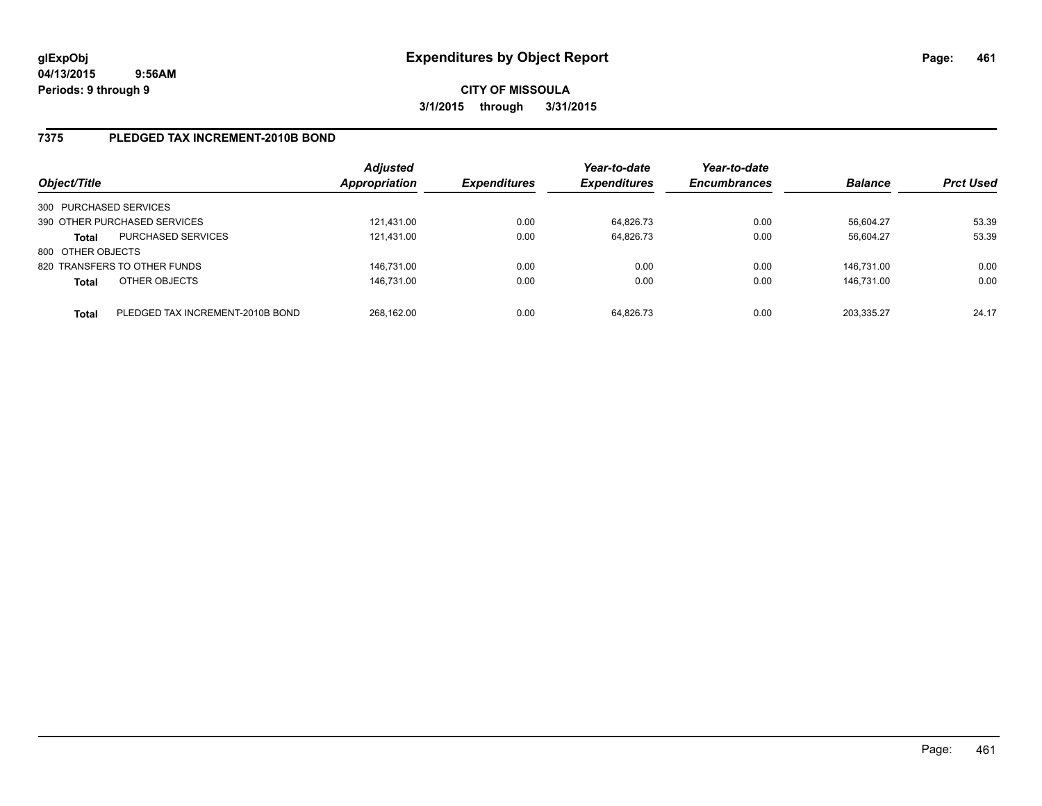**CITY OF MISSOULA 3/1/2015 through 3/31/2015**

## **7375 PLEDGED TAX INCREMENT-2010B BOND**

| Object/Title           |                                  | <b>Adjusted</b><br><b>Appropriation</b> | <b>Expenditures</b> | Year-to-date<br><b>Expenditures</b> | Year-to-date<br><b>Encumbrances</b> | <b>Balance</b> | <b>Prct Used</b> |
|------------------------|----------------------------------|-----------------------------------------|---------------------|-------------------------------------|-------------------------------------|----------------|------------------|
| 300 PURCHASED SERVICES |                                  |                                         |                     |                                     |                                     |                |                  |
|                        | 390 OTHER PURCHASED SERVICES     | 121,431.00                              | 0.00                | 64.826.73                           | 0.00                                | 56.604.27      | 53.39            |
| <b>Total</b>           | <b>PURCHASED SERVICES</b>        | 121,431.00                              | 0.00                | 64.826.73                           | 0.00                                | 56.604.27      | 53.39            |
| 800 OTHER OBJECTS      |                                  |                                         |                     |                                     |                                     |                |                  |
|                        | 820 TRANSFERS TO OTHER FUNDS     | 146.731.00                              | 0.00                | 0.00                                | 0.00                                | 146.731.00     | 0.00             |
| <b>Total</b>           | OTHER OBJECTS                    | 146,731.00                              | 0.00                | 0.00                                | 0.00                                | 146.731.00     | 0.00             |
| <b>Total</b>           | PLEDGED TAX INCREMENT-2010B BOND | 268.162.00                              | 0.00                | 64.826.73                           | 0.00                                | 203.335.27     | 24.17            |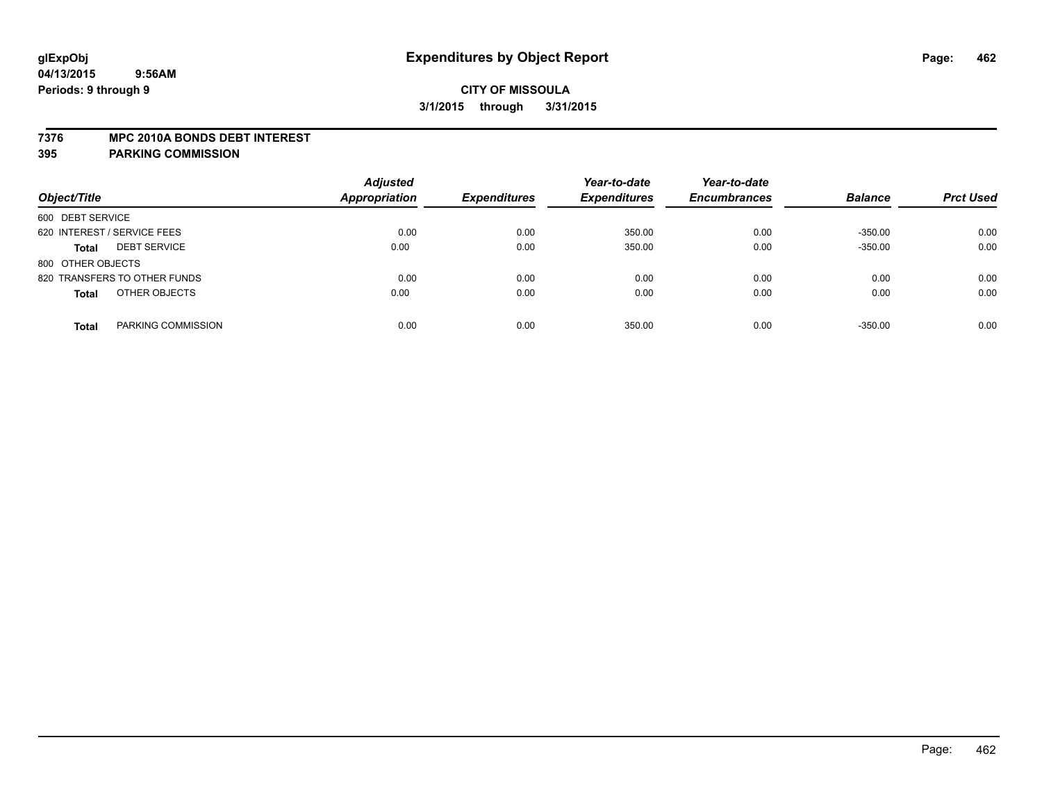#### **7376 MPC 2010A BONDS DEBT INTEREST**

| Object/Title                        | <b>Adjusted</b><br>Appropriation | <b>Expenditures</b> | Year-to-date<br><b>Expenditures</b> | Year-to-date<br><b>Encumbrances</b> | <b>Balance</b> | <b>Prct Used</b> |
|-------------------------------------|----------------------------------|---------------------|-------------------------------------|-------------------------------------|----------------|------------------|
| 600 DEBT SERVICE                    |                                  |                     |                                     |                                     |                |                  |
| 620 INTEREST / SERVICE FEES         | 0.00                             | 0.00                | 350.00                              | 0.00                                | $-350.00$      | 0.00             |
| <b>DEBT SERVICE</b><br><b>Total</b> | 0.00                             | 0.00                | 350.00                              | 0.00                                | $-350.00$      | 0.00             |
| 800 OTHER OBJECTS                   |                                  |                     |                                     |                                     |                |                  |
| 820 TRANSFERS TO OTHER FUNDS        | 0.00                             | 0.00                | 0.00                                | 0.00                                | 0.00           | 0.00             |
| OTHER OBJECTS<br><b>Total</b>       | 0.00                             | 0.00                | 0.00                                | 0.00                                | 0.00           | 0.00             |
| PARKING COMMISSION<br><b>Total</b>  | 0.00                             | 0.00                | 350.00                              | 0.00                                | $-350.00$      | 0.00             |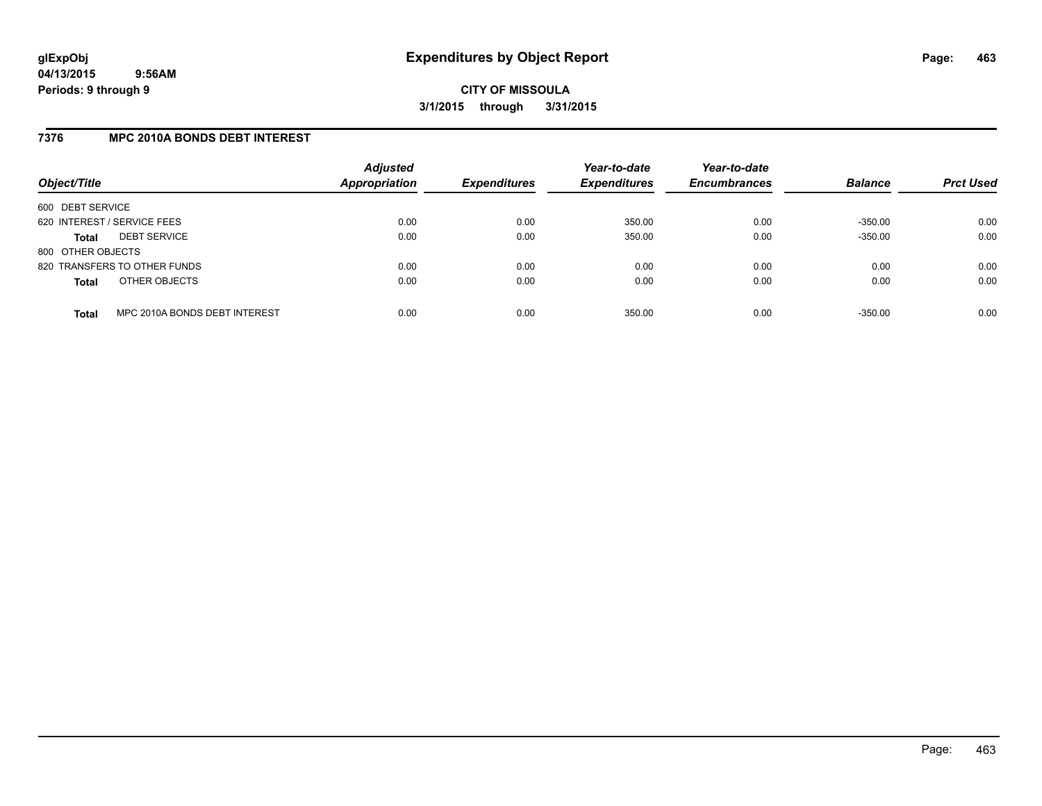# **7376 MPC 2010A BONDS DEBT INTEREST**

| Object/Title                |                               | <b>Adjusted</b><br><b>Appropriation</b> | <b>Expenditures</b> | Year-to-date<br><b>Expenditures</b> | Year-to-date<br><b>Encumbrances</b> | <b>Balance</b> | <b>Prct Used</b> |
|-----------------------------|-------------------------------|-----------------------------------------|---------------------|-------------------------------------|-------------------------------------|----------------|------------------|
| 600 DEBT SERVICE            |                               |                                         |                     |                                     |                                     |                |                  |
| 620 INTEREST / SERVICE FEES |                               | 0.00                                    | 0.00                | 350.00                              | 0.00                                | $-350.00$      | 0.00             |
| <b>Total</b>                | <b>DEBT SERVICE</b>           | 0.00                                    | 0.00                | 350.00                              | 0.00                                | $-350.00$      | 0.00             |
| 800 OTHER OBJECTS           |                               |                                         |                     |                                     |                                     |                |                  |
|                             | 820 TRANSFERS TO OTHER FUNDS  | 0.00                                    | 0.00                | 0.00                                | 0.00                                | 0.00           | 0.00             |
| <b>Total</b>                | OTHER OBJECTS                 | 0.00                                    | 0.00                | 0.00                                | 0.00                                | 0.00           | 0.00             |
| <b>Total</b>                | MPC 2010A BONDS DEBT INTEREST | 0.00                                    | 0.00                | 350.00                              | 0.00                                | $-350.00$      | 0.00             |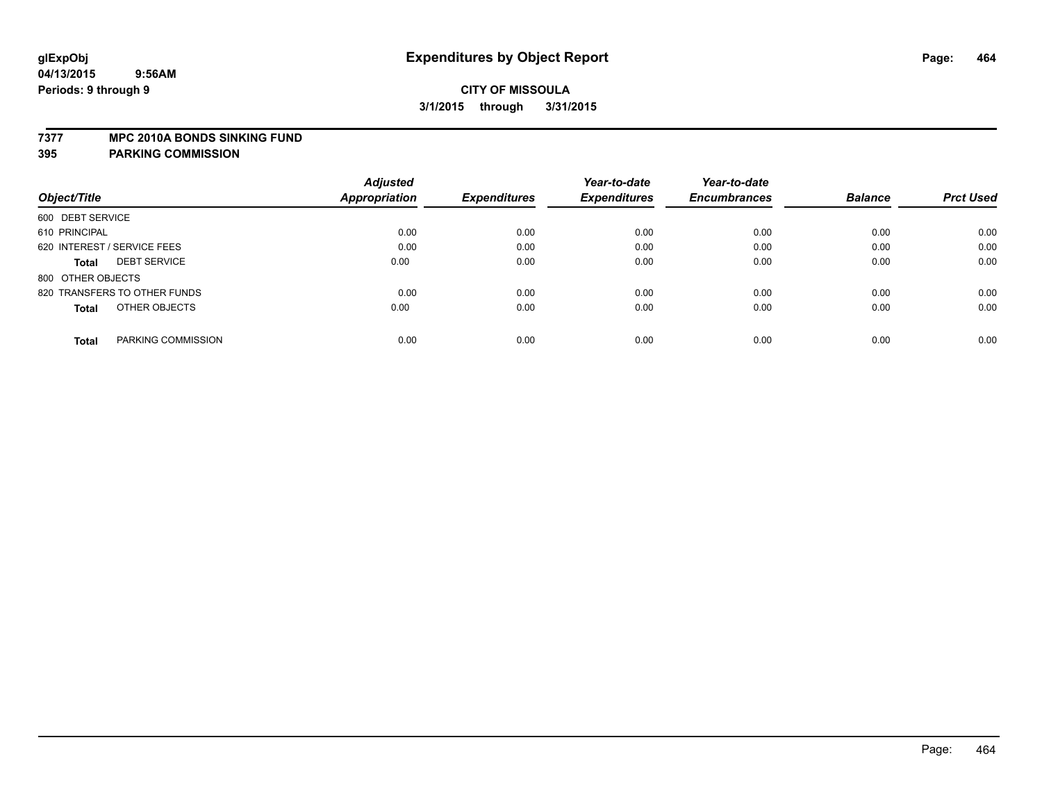#### **7377 MPC 2010A BONDS SINKING FUND**

|                                     | <b>Adjusted</b> |                     | Year-to-date        | Year-to-date        |                |                  |
|-------------------------------------|-----------------|---------------------|---------------------|---------------------|----------------|------------------|
| Object/Title                        | Appropriation   | <b>Expenditures</b> | <b>Expenditures</b> | <b>Encumbrances</b> | <b>Balance</b> | <b>Prct Used</b> |
| 600 DEBT SERVICE                    |                 |                     |                     |                     |                |                  |
| 610 PRINCIPAL                       | 0.00            | 0.00                | 0.00                | 0.00                | 0.00           | 0.00             |
| 620 INTEREST / SERVICE FEES         | 0.00            | 0.00                | 0.00                | 0.00                | 0.00           | 0.00             |
| <b>DEBT SERVICE</b><br><b>Total</b> | 0.00            | 0.00                | 0.00                | 0.00                | 0.00           | 0.00             |
| 800 OTHER OBJECTS                   |                 |                     |                     |                     |                |                  |
| 820 TRANSFERS TO OTHER FUNDS        | 0.00            | 0.00                | 0.00                | 0.00                | 0.00           | 0.00             |
| OTHER OBJECTS<br><b>Total</b>       | 0.00            | 0.00                | 0.00                | 0.00                | 0.00           | 0.00             |
| PARKING COMMISSION<br>Total         | 0.00            | 0.00                | 0.00                | 0.00                | 0.00           | 0.00             |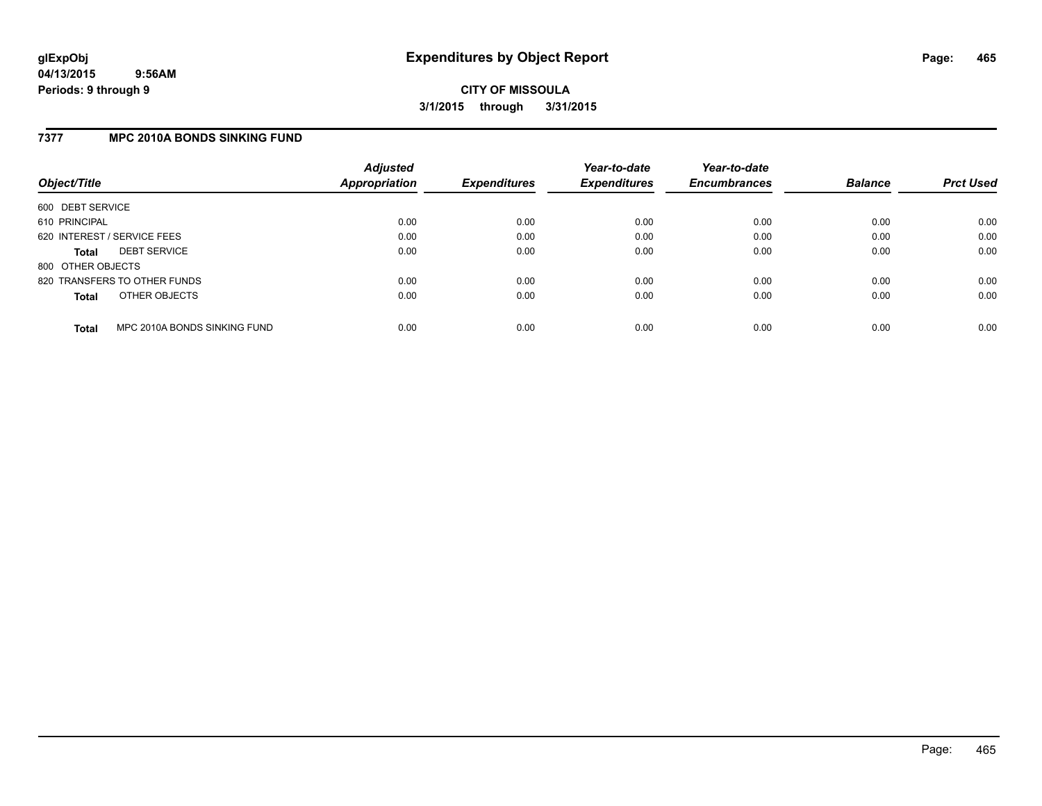**CITY OF MISSOULA 3/1/2015 through 3/31/2015**

### **7377 MPC 2010A BONDS SINKING FUND**

| Object/Title      |                              | <b>Adjusted</b><br>Appropriation | <b>Expenditures</b> | Year-to-date<br><b>Expenditures</b> | Year-to-date<br><b>Encumbrances</b> | <b>Balance</b> | <b>Prct Used</b> |
|-------------------|------------------------------|----------------------------------|---------------------|-------------------------------------|-------------------------------------|----------------|------------------|
| 600 DEBT SERVICE  |                              |                                  |                     |                                     |                                     |                |                  |
| 610 PRINCIPAL     |                              | 0.00                             | 0.00                | 0.00                                | 0.00                                | 0.00           | 0.00             |
|                   | 620 INTEREST / SERVICE FEES  | 0.00                             | 0.00                | 0.00                                | 0.00                                | 0.00           | 0.00             |
| <b>Total</b>      | <b>DEBT SERVICE</b>          | 0.00                             | 0.00                | 0.00                                | 0.00                                | 0.00           | 0.00             |
| 800 OTHER OBJECTS |                              |                                  |                     |                                     |                                     |                |                  |
|                   | 820 TRANSFERS TO OTHER FUNDS | 0.00                             | 0.00                | 0.00                                | 0.00                                | 0.00           | 0.00             |
| <b>Total</b>      | OTHER OBJECTS                | 0.00                             | 0.00                | 0.00                                | 0.00                                | 0.00           | 0.00             |
| <b>Total</b>      | MPC 2010A BONDS SINKING FUND | 0.00                             | 0.00                | 0.00                                | 0.00                                | 0.00           | 0.00             |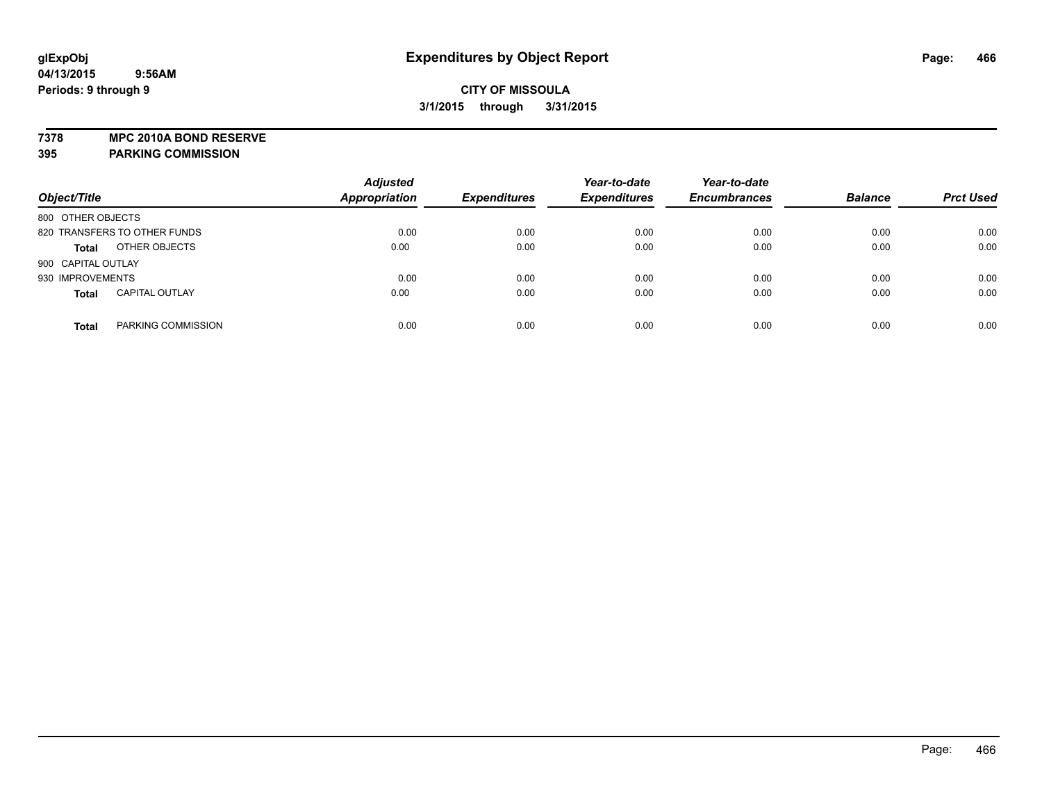**7378 MPC 2010A BOND RESERVE**

| Object/Title                 |                       | <b>Adjusted</b><br><b>Appropriation</b> | <b>Expenditures</b> | Year-to-date<br><b>Expenditures</b> | Year-to-date<br><b>Encumbrances</b> | <b>Balance</b> | <b>Prct Used</b> |
|------------------------------|-----------------------|-----------------------------------------|---------------------|-------------------------------------|-------------------------------------|----------------|------------------|
| 800 OTHER OBJECTS            |                       |                                         |                     |                                     |                                     |                |                  |
| 820 TRANSFERS TO OTHER FUNDS |                       | 0.00                                    | 0.00                | 0.00                                | 0.00                                | 0.00           | 0.00             |
| <b>Total</b>                 | OTHER OBJECTS         | 0.00                                    | 0.00                | 0.00                                | 0.00                                | 0.00           | 0.00             |
| 900 CAPITAL OUTLAY           |                       |                                         |                     |                                     |                                     |                |                  |
| 930 IMPROVEMENTS             |                       | 0.00                                    | 0.00                | 0.00                                | 0.00                                | 0.00           | 0.00             |
| <b>Total</b>                 | <b>CAPITAL OUTLAY</b> | 0.00                                    | 0.00                | 0.00                                | 0.00                                | 0.00           | 0.00             |
| <b>Total</b>                 | PARKING COMMISSION    | 0.00                                    | 0.00                | 0.00                                | 0.00                                | 0.00           | 0.00             |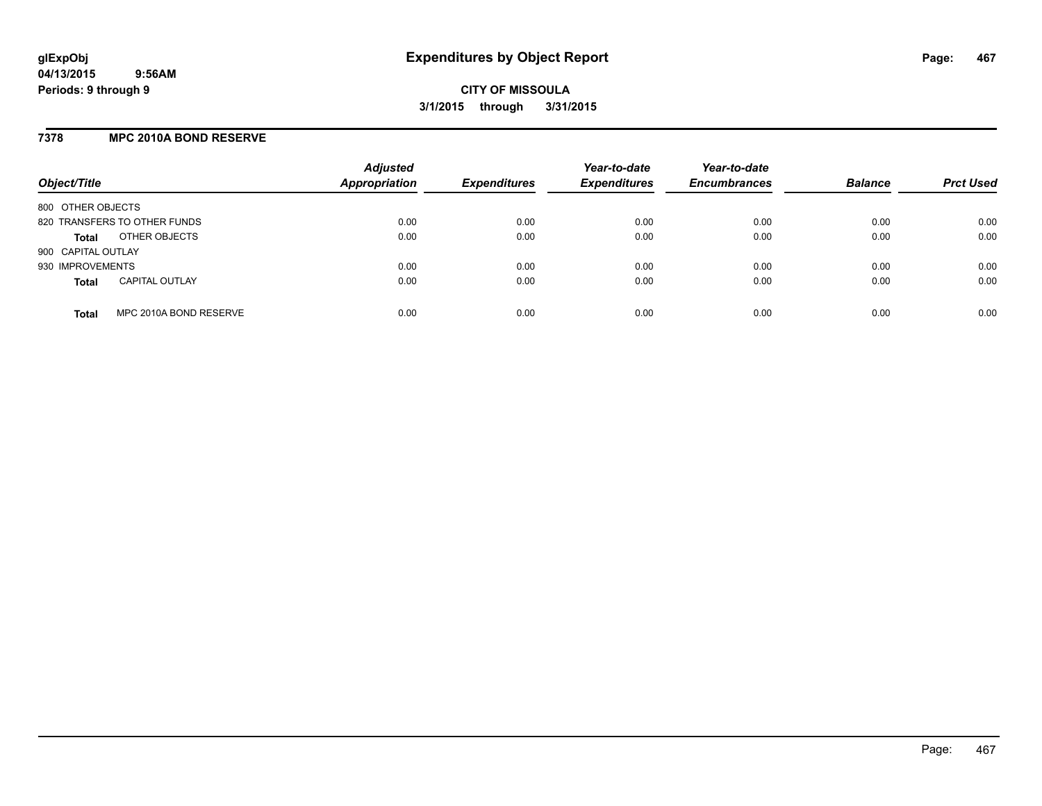## **7378 MPC 2010A BOND RESERVE**

| Object/Title       |                              | <b>Adjusted</b><br><b>Appropriation</b> | <b>Expenditures</b> | Year-to-date<br><b>Expenditures</b> | Year-to-date<br><b>Encumbrances</b> | <b>Balance</b> | <b>Prct Used</b> |
|--------------------|------------------------------|-----------------------------------------|---------------------|-------------------------------------|-------------------------------------|----------------|------------------|
| 800 OTHER OBJECTS  |                              |                                         |                     |                                     |                                     |                |                  |
|                    | 820 TRANSFERS TO OTHER FUNDS | 0.00                                    | 0.00                | 0.00                                | 0.00                                | 0.00           | 0.00             |
| <b>Total</b>       | OTHER OBJECTS                | 0.00                                    | 0.00                | 0.00                                | 0.00                                | 0.00           | 0.00             |
| 900 CAPITAL OUTLAY |                              |                                         |                     |                                     |                                     |                |                  |
| 930 IMPROVEMENTS   |                              | 0.00                                    | 0.00                | 0.00                                | 0.00                                | 0.00           | 0.00             |
| <b>Total</b>       | <b>CAPITAL OUTLAY</b>        | 0.00                                    | 0.00                | 0.00                                | 0.00                                | 0.00           | 0.00             |
| <b>Total</b>       | MPC 2010A BOND RESERVE       | 0.00                                    | 0.00                | 0.00                                | 0.00                                | 0.00           | 0.00             |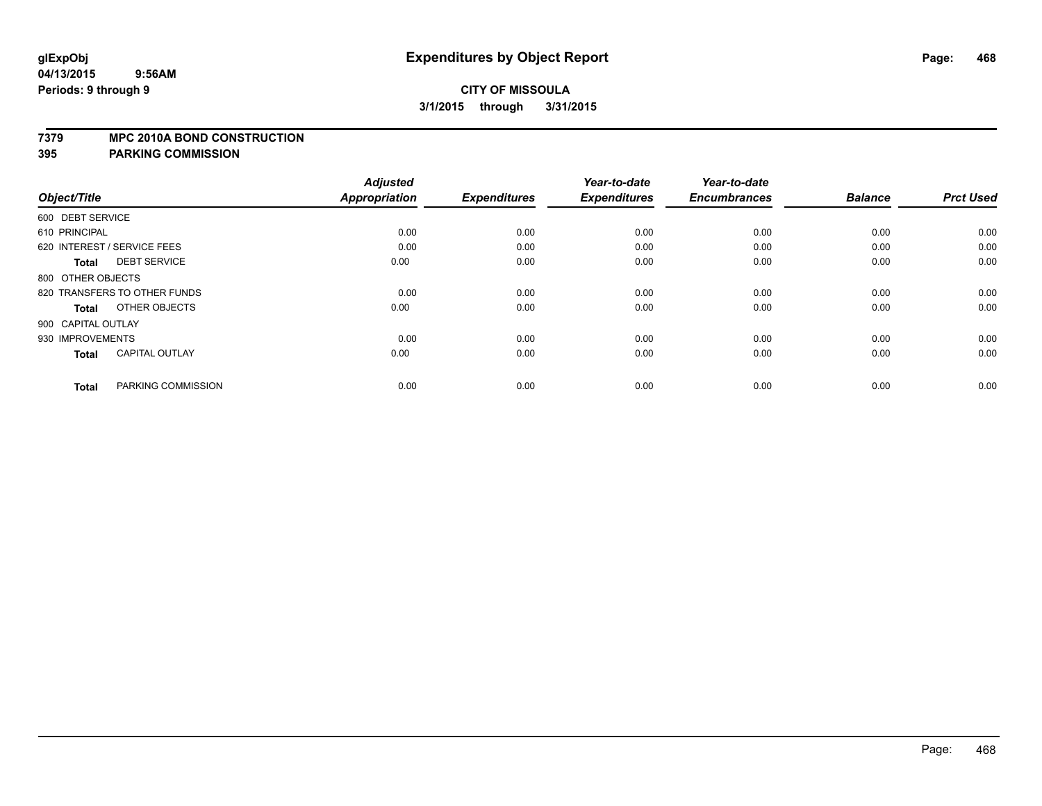#### **7379 MPC 2010A BOND CONSTRUCTION**

| Object/Title                          | <b>Adjusted</b><br>Appropriation | <b>Expenditures</b> | Year-to-date<br><b>Expenditures</b> | Year-to-date<br><b>Encumbrances</b> | <b>Balance</b> | <b>Prct Used</b> |
|---------------------------------------|----------------------------------|---------------------|-------------------------------------|-------------------------------------|----------------|------------------|
| 600 DEBT SERVICE                      |                                  |                     |                                     |                                     |                |                  |
|                                       |                                  |                     |                                     |                                     |                |                  |
| 610 PRINCIPAL                         | 0.00                             | 0.00                | 0.00                                | 0.00                                | 0.00           | 0.00             |
| 620 INTEREST / SERVICE FEES           | 0.00                             | 0.00                | 0.00                                | 0.00                                | 0.00           | 0.00             |
| <b>DEBT SERVICE</b><br>Total          | 0.00                             | 0.00                | 0.00                                | 0.00                                | 0.00           | 0.00             |
| 800 OTHER OBJECTS                     |                                  |                     |                                     |                                     |                |                  |
| 820 TRANSFERS TO OTHER FUNDS          | 0.00                             | 0.00                | 0.00                                | 0.00                                | 0.00           | 0.00             |
| OTHER OBJECTS<br><b>Total</b>         | 0.00                             | 0.00                | 0.00                                | 0.00                                | 0.00           | 0.00             |
| 900 CAPITAL OUTLAY                    |                                  |                     |                                     |                                     |                |                  |
| 930 IMPROVEMENTS                      | 0.00                             | 0.00                | 0.00                                | 0.00                                | 0.00           | 0.00             |
| <b>CAPITAL OUTLAY</b><br><b>Total</b> | 0.00                             | 0.00                | 0.00                                | 0.00                                | 0.00           | 0.00             |
|                                       |                                  |                     |                                     |                                     |                |                  |
| PARKING COMMISSION<br><b>Total</b>    | 0.00                             | 0.00                | 0.00                                | 0.00                                | 0.00           | 0.00             |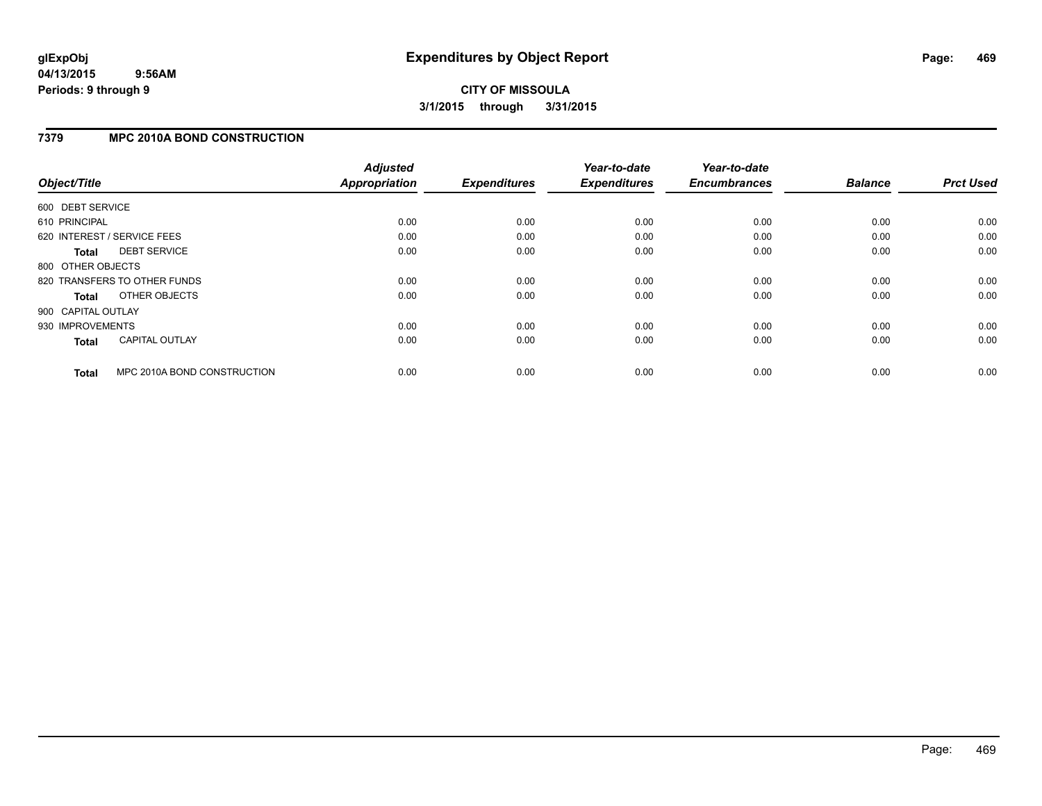# **CITY OF MISSOULA 3/1/2015 through 3/31/2015**

# **7379 MPC 2010A BOND CONSTRUCTION**

| Object/Title       |                              | <b>Adjusted</b><br><b>Appropriation</b> | <b>Expenditures</b> | Year-to-date<br><b>Expenditures</b> | Year-to-date<br><b>Encumbrances</b> | <b>Balance</b> | <b>Prct Used</b> |
|--------------------|------------------------------|-----------------------------------------|---------------------|-------------------------------------|-------------------------------------|----------------|------------------|
| 600 DEBT SERVICE   |                              |                                         |                     |                                     |                                     |                |                  |
| 610 PRINCIPAL      |                              | 0.00                                    | 0.00                | 0.00                                | 0.00                                | 0.00           | 0.00             |
|                    | 620 INTEREST / SERVICE FEES  | 0.00                                    | 0.00                | 0.00                                | 0.00                                | 0.00           | 0.00             |
| <b>Total</b>       | <b>DEBT SERVICE</b>          | 0.00                                    | 0.00                | 0.00                                | 0.00                                | 0.00           | 0.00             |
| 800 OTHER OBJECTS  |                              |                                         |                     |                                     |                                     |                |                  |
|                    | 820 TRANSFERS TO OTHER FUNDS | 0.00                                    | 0.00                | 0.00                                | 0.00                                | 0.00           | 0.00             |
| Total              | OTHER OBJECTS                | 0.00                                    | 0.00                | 0.00                                | 0.00                                | 0.00           | 0.00             |
| 900 CAPITAL OUTLAY |                              |                                         |                     |                                     |                                     |                |                  |
| 930 IMPROVEMENTS   |                              | 0.00                                    | 0.00                | 0.00                                | 0.00                                | 0.00           | 0.00             |
| <b>Total</b>       | <b>CAPITAL OUTLAY</b>        | 0.00                                    | 0.00                | 0.00                                | 0.00                                | 0.00           | 0.00             |
| <b>Total</b>       | MPC 2010A BOND CONSTRUCTION  | 0.00                                    | 0.00                | 0.00                                | 0.00                                | 0.00           | 0.00             |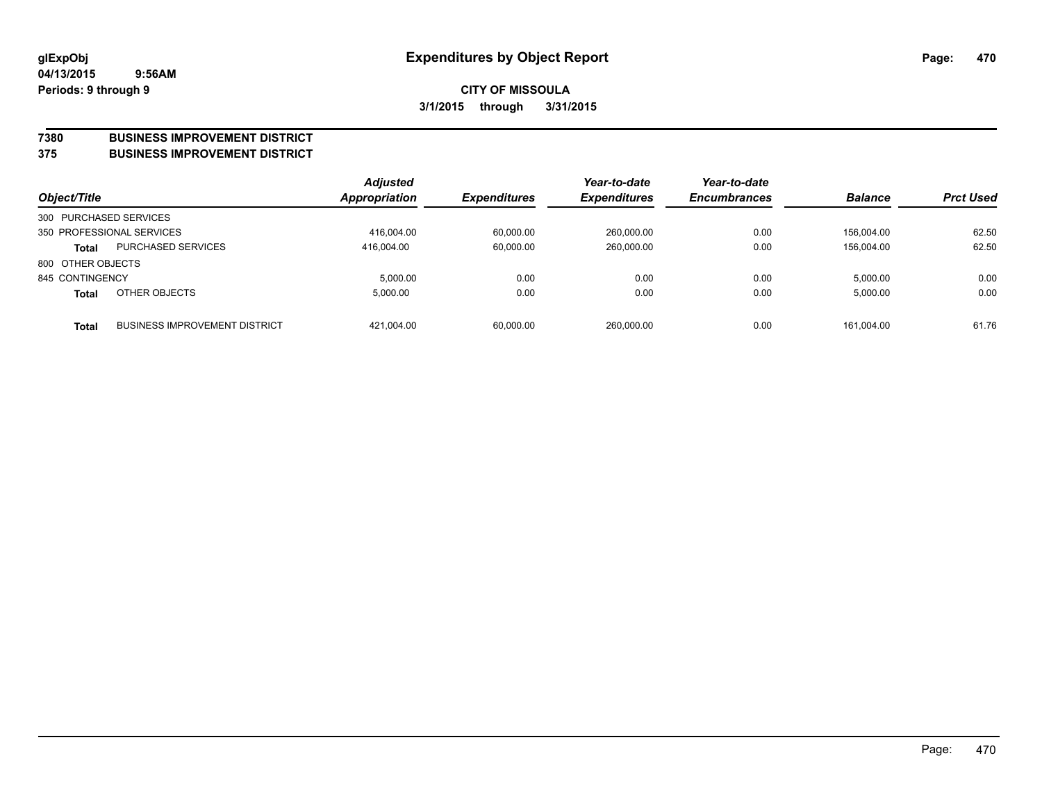#### **7380 BUSINESS IMPROVEMENT DISTRICT**

**375 BUSINESS IMPROVEMENT DISTRICT**

| Object/Title           |                                      | <b>Adjusted</b><br><b>Appropriation</b> | <b>Expenditures</b> | Year-to-date<br><b>Expenditures</b> | Year-to-date<br><b>Encumbrances</b> | <b>Balance</b> | <b>Prct Used</b> |
|------------------------|--------------------------------------|-----------------------------------------|---------------------|-------------------------------------|-------------------------------------|----------------|------------------|
| 300 PURCHASED SERVICES |                                      |                                         |                     |                                     |                                     |                |                  |
|                        | 350 PROFESSIONAL SERVICES            | 416.004.00                              | 60.000.00           | 260.000.00                          | 0.00                                | 156.004.00     | 62.50            |
| <b>Total</b>           | <b>PURCHASED SERVICES</b>            | 416.004.00                              | 60,000.00           | 260,000.00                          | 0.00                                | 156.004.00     | 62.50            |
| 800 OTHER OBJECTS      |                                      |                                         |                     |                                     |                                     |                |                  |
| 845 CONTINGENCY        |                                      | 5.000.00                                | 0.00                | 0.00                                | 0.00                                | 5.000.00       | 0.00             |
| <b>Total</b>           | OTHER OBJECTS                        | 5.000.00                                | 0.00                | 0.00                                | 0.00                                | 5,000.00       | 0.00             |
| <b>Total</b>           | <b>BUSINESS IMPROVEMENT DISTRICT</b> | 421.004.00                              | 60,000.00           | 260,000.00                          | 0.00                                | 161.004.00     | 61.76            |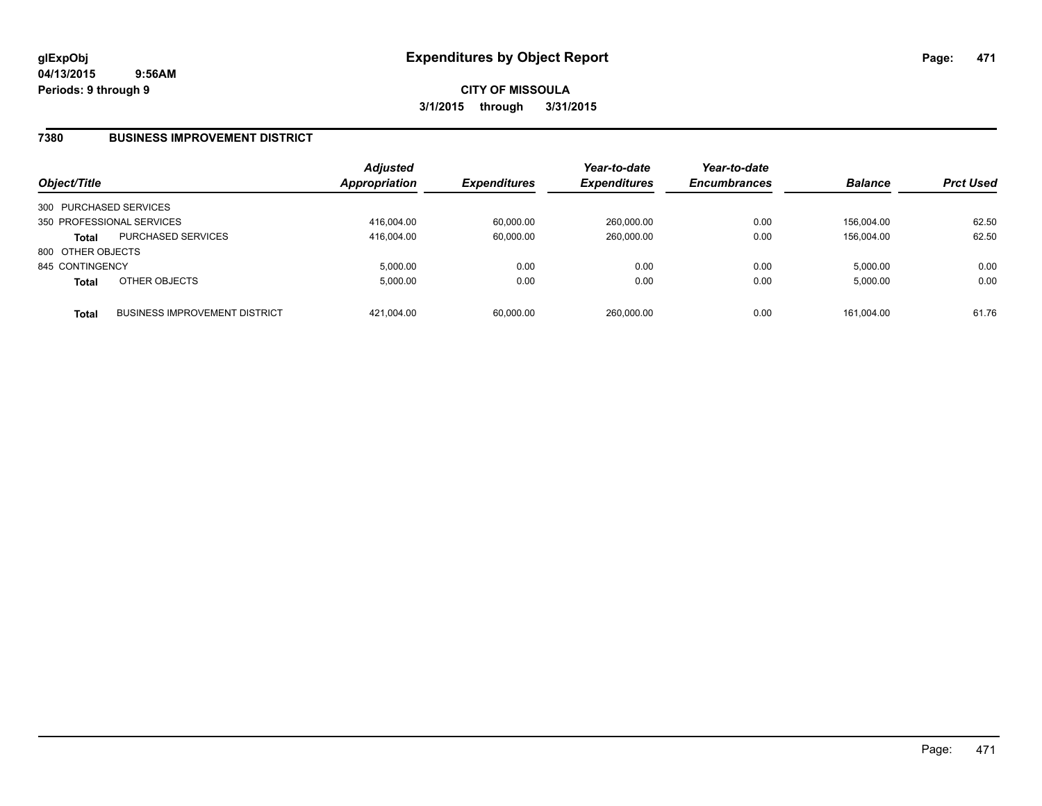**CITY OF MISSOULA 3/1/2015 through 3/31/2015**

#### **7380 BUSINESS IMPROVEMENT DISTRICT**

| Object/Title           |                                      | <b>Adjusted</b><br><b>Appropriation</b> | <b>Expenditures</b> | Year-to-date<br><b>Expenditures</b> | Year-to-date<br><b>Encumbrances</b> | <b>Balance</b> | <b>Prct Used</b> |
|------------------------|--------------------------------------|-----------------------------------------|---------------------|-------------------------------------|-------------------------------------|----------------|------------------|
| 300 PURCHASED SERVICES |                                      |                                         |                     |                                     |                                     |                |                  |
|                        | 350 PROFESSIONAL SERVICES            | 416.004.00                              | 60,000.00           | 260,000.00                          | 0.00                                | 156.004.00     | 62.50            |
| <b>Total</b>           | <b>PURCHASED SERVICES</b>            | 416.004.00                              | 60,000.00           | 260,000.00                          | 0.00                                | 156.004.00     | 62.50            |
| 800 OTHER OBJECTS      |                                      |                                         |                     |                                     |                                     |                |                  |
| 845 CONTINGENCY        |                                      | 5.000.00                                | 0.00                | 0.00                                | 0.00                                | 5.000.00       | 0.00             |
| <b>Total</b>           | OTHER OBJECTS                        | 5.000.00                                | 0.00                | 0.00                                | 0.00                                | 5,000.00       | 0.00             |
| <b>Total</b>           | <b>BUSINESS IMPROVEMENT DISTRICT</b> | 421.004.00                              | 60,000.00           | 260.000.00                          | 0.00                                | 161.004.00     | 61.76            |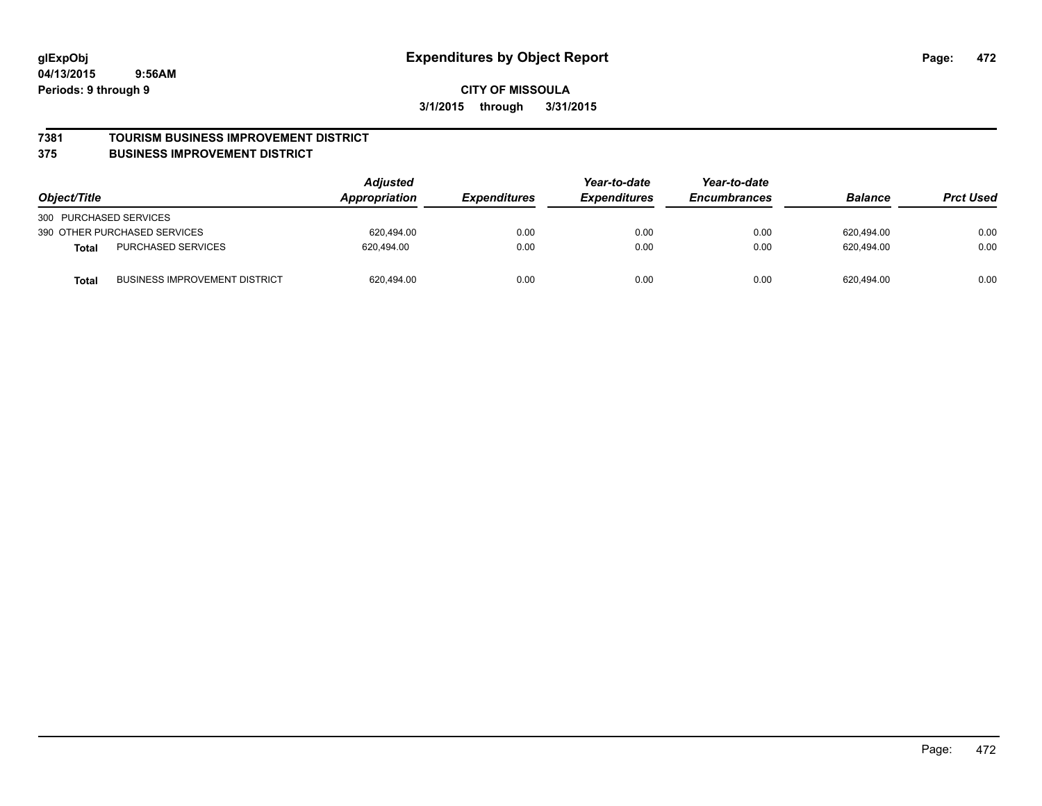#### **7381 TOURISM BUSINESS IMPROVEMENT DISTRICT**

#### **375 BUSINESS IMPROVEMENT DISTRICT**

| Object/Title                                         | <b>Adjusted</b><br>Appropriation | <i><b>Expenditures</b></i> | Year-to-date<br><b>Expenditures</b> | Year-to-date<br><b>Encumbrances</b> | <b>Balance</b> | <b>Prct Used</b> |
|------------------------------------------------------|----------------------------------|----------------------------|-------------------------------------|-------------------------------------|----------------|------------------|
| 300 PURCHASED SERVICES                               |                                  |                            |                                     |                                     |                |                  |
| 390 OTHER PURCHASED SERVICES                         | 620.494.00                       | 0.00                       | 0.00                                | 0.00                                | 620,494.00     | 0.00             |
| <b>PURCHASED SERVICES</b><br><b>Total</b>            | 620.494.00                       | 0.00                       | 0.00                                | 0.00                                | 620.494.00     | 0.00             |
| <b>BUSINESS IMPROVEMENT DISTRICT</b><br><b>Total</b> | 620,494.00                       | 0.00                       | 0.00                                | 0.00                                | 620,494.00     | 0.00             |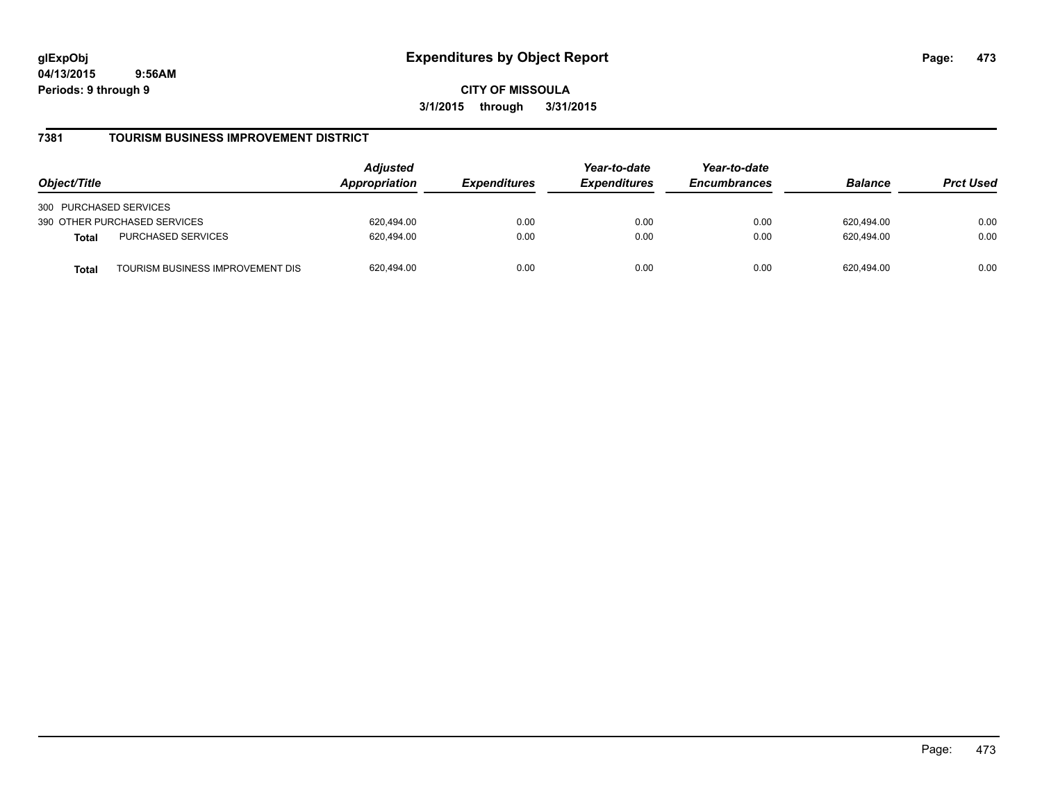**CITY OF MISSOULA 3/1/2015 through 3/31/2015**

# **7381 TOURISM BUSINESS IMPROVEMENT DISTRICT**

| Object/Title                                     | <b>Adjusted</b><br>Appropriation | <i><b>Expenditures</b></i> | Year-to-date<br><b>Expenditures</b> | Year-to-date<br><b>Encumbrances</b> | <b>Balance</b> | <b>Prct Used</b> |
|--------------------------------------------------|----------------------------------|----------------------------|-------------------------------------|-------------------------------------|----------------|------------------|
| 300 PURCHASED SERVICES                           |                                  |                            |                                     |                                     |                |                  |
| 390 OTHER PURCHASED SERVICES                     | 620.494.00                       | 0.00                       | 0.00                                | 0.00                                | 620.494.00     | 0.00             |
| PURCHASED SERVICES<br><b>Total</b>               | 620.494.00                       | 0.00                       | 0.00                                | 0.00                                | 620.494.00     | 0.00             |
| TOURISM BUSINESS IMPROVEMENT DIS<br><b>Total</b> | 620,494.00                       | 0.00                       | 0.00                                | 0.00                                | 620.494.00     | 0.00             |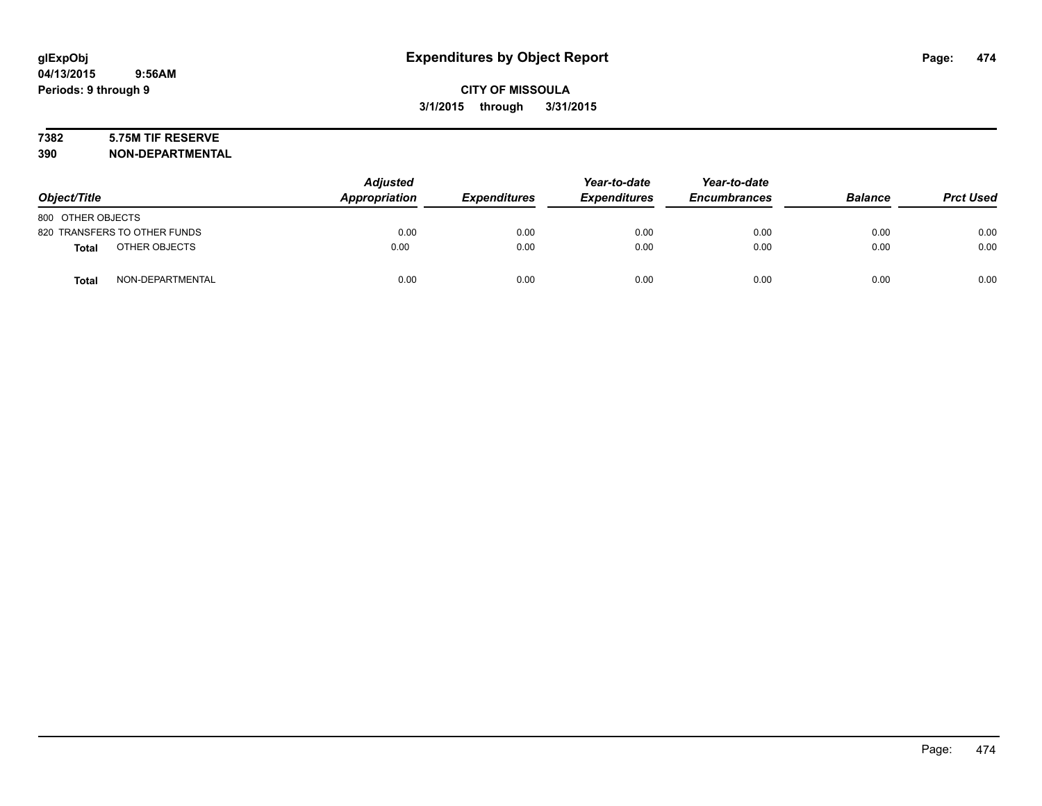# **7382 5.75M TIF RESERVE**

| Object/Title                     | <b>Adjusted</b><br>Appropriation | <b>Expenditures</b> | Year-to-date<br><b>Expenditures</b> | Year-to-date<br><b>Encumbrances</b> | <b>Balance</b> | <b>Prct Used</b> |
|----------------------------------|----------------------------------|---------------------|-------------------------------------|-------------------------------------|----------------|------------------|
| 800 OTHER OBJECTS                |                                  |                     |                                     |                                     |                |                  |
| 820 TRANSFERS TO OTHER FUNDS     | 0.00                             | 0.00                | 0.00                                | 0.00                                | 0.00           | 0.00             |
| OTHER OBJECTS<br><b>Total</b>    | 0.00                             | 0.00                | 0.00                                | 0.00                                | 0.00           | 0.00             |
| NON-DEPARTMENTAL<br><b>Total</b> | 0.00                             | 0.00                | 0.00                                | 0.00                                | 0.00           | 0.00             |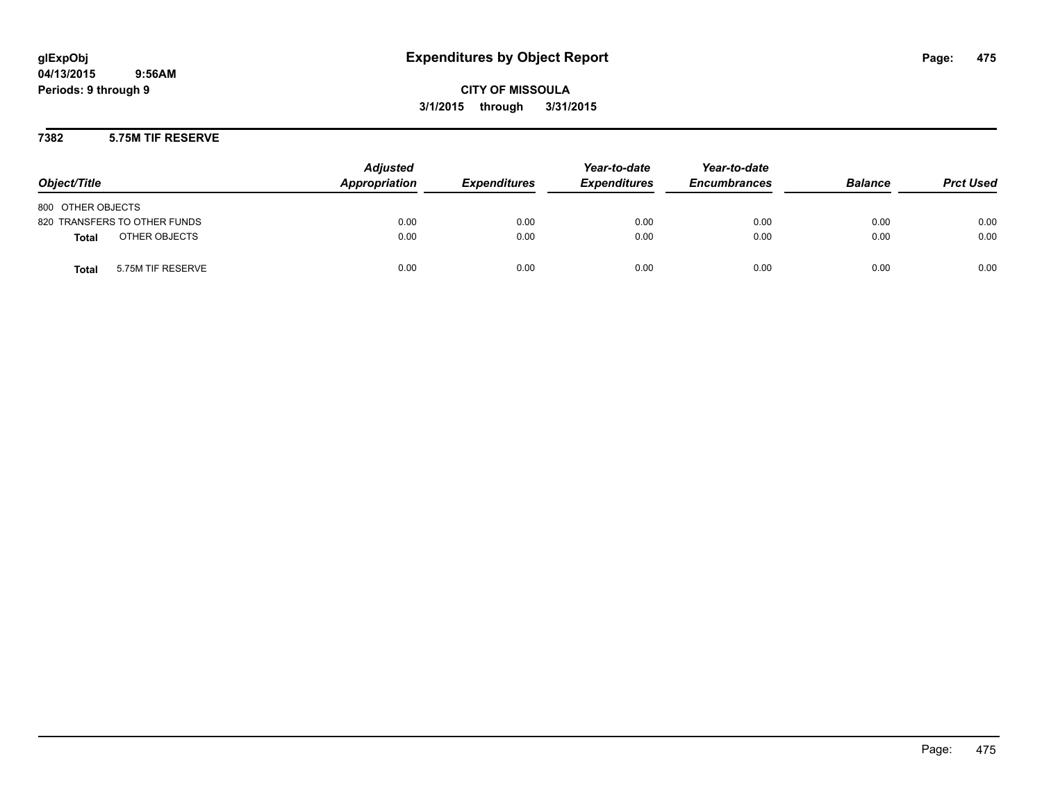**CITY OF MISSOULA 3/1/2015 through 3/31/2015**

# **7382 5.75M TIF RESERVE**

| Object/Title                      | <b>Adjusted</b><br>Appropriation | <b>Expenditures</b> | Year-to-date<br><b>Expenditures</b> | Year-to-date<br><b>Encumbrances</b> | <b>Balance</b> | <b>Prct Used</b> |
|-----------------------------------|----------------------------------|---------------------|-------------------------------------|-------------------------------------|----------------|------------------|
| 800 OTHER OBJECTS                 |                                  |                     |                                     |                                     |                |                  |
| 820 TRANSFERS TO OTHER FUNDS      | 0.00                             | 0.00                | 0.00                                | 0.00                                | 0.00           | 0.00             |
| OTHER OBJECTS<br><b>Total</b>     | 0.00                             | 0.00                | 0.00                                | 0.00                                | 0.00           | 0.00             |
| 5.75M TIF RESERVE<br><b>Total</b> | 0.00                             | 0.00                | 0.00                                | 0.00                                | 0.00           | 0.00             |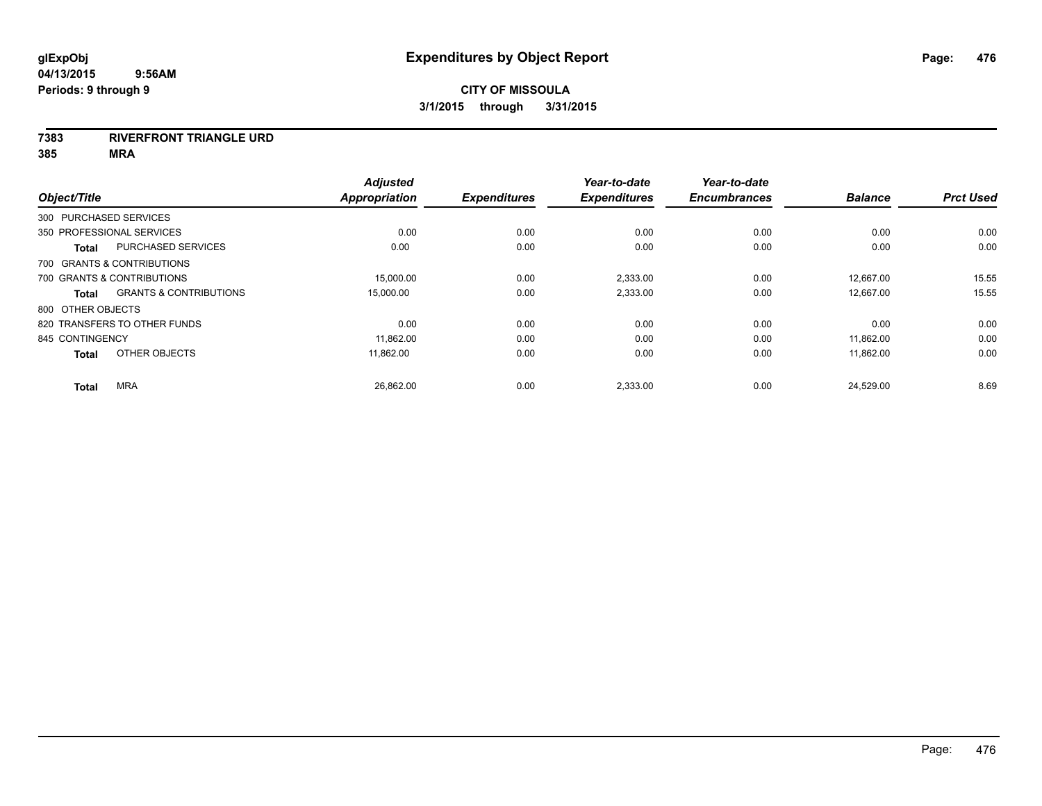#### **7383 RIVERFRONT TRIANGLE URD**

| Object/Title              |                                   | <b>Adjusted</b><br><b>Appropriation</b> | <b>Expenditures</b> | Year-to-date<br><b>Expenditures</b> | Year-to-date<br><b>Encumbrances</b> | <b>Balance</b> | <b>Prct Used</b> |
|---------------------------|-----------------------------------|-----------------------------------------|---------------------|-------------------------------------|-------------------------------------|----------------|------------------|
| 300 PURCHASED SERVICES    |                                   |                                         |                     |                                     |                                     |                |                  |
| 350 PROFESSIONAL SERVICES |                                   | 0.00                                    | 0.00                | 0.00                                | 0.00                                | 0.00           | 0.00             |
| <b>Total</b>              | <b>PURCHASED SERVICES</b>         | 0.00                                    | 0.00                | 0.00                                | 0.00                                | 0.00           | 0.00             |
|                           | 700 GRANTS & CONTRIBUTIONS        |                                         |                     |                                     |                                     |                |                  |
|                           | 700 GRANTS & CONTRIBUTIONS        | 15,000.00                               | 0.00                | 2,333.00                            | 0.00                                | 12,667.00      | 15.55            |
| <b>Total</b>              | <b>GRANTS &amp; CONTRIBUTIONS</b> | 15,000.00                               | 0.00                | 2,333.00                            | 0.00                                | 12,667.00      | 15.55            |
| 800 OTHER OBJECTS         |                                   |                                         |                     |                                     |                                     |                |                  |
|                           | 820 TRANSFERS TO OTHER FUNDS      | 0.00                                    | 0.00                | 0.00                                | 0.00                                | 0.00           | 0.00             |
| 845 CONTINGENCY           |                                   | 11,862.00                               | 0.00                | 0.00                                | 0.00                                | 11,862.00      | 0.00             |
| <b>Total</b>              | OTHER OBJECTS                     | 11,862.00                               | 0.00                | 0.00                                | 0.00                                | 11,862.00      | 0.00             |
| <b>Total</b>              | <b>MRA</b>                        | 26,862.00                               | 0.00                | 2,333.00                            | 0.00                                | 24,529.00      | 8.69             |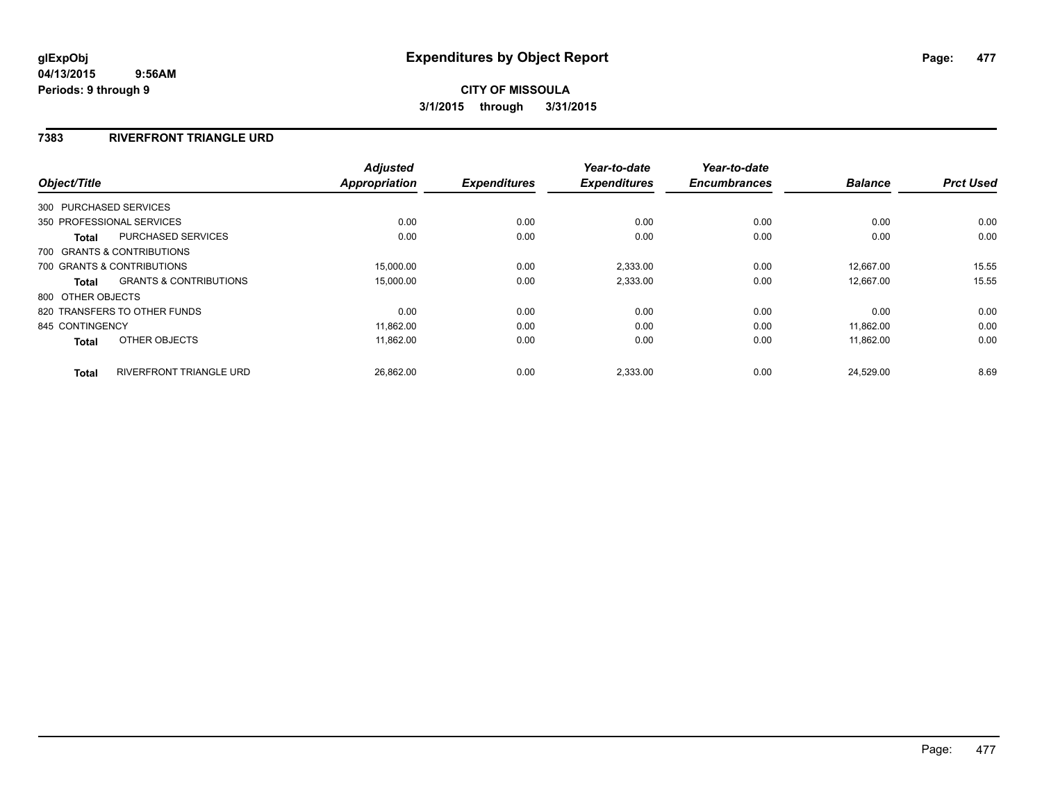# **7383 RIVERFRONT TRIANGLE URD**

|                   |                                   | <b>Adjusted</b>      |                     | Year-to-date        | Year-to-date        |                |                  |
|-------------------|-----------------------------------|----------------------|---------------------|---------------------|---------------------|----------------|------------------|
| Object/Title      |                                   | <b>Appropriation</b> | <b>Expenditures</b> | <b>Expenditures</b> | <b>Encumbrances</b> | <b>Balance</b> | <b>Prct Used</b> |
|                   | 300 PURCHASED SERVICES            |                      |                     |                     |                     |                |                  |
|                   | 350 PROFESSIONAL SERVICES         | 0.00                 | 0.00                | 0.00                | 0.00                | 0.00           | 0.00             |
| Total             | PURCHASED SERVICES                | 0.00                 | 0.00                | 0.00                | 0.00                | 0.00           | 0.00             |
|                   | 700 GRANTS & CONTRIBUTIONS        |                      |                     |                     |                     |                |                  |
|                   | 700 GRANTS & CONTRIBUTIONS        | 15,000.00            | 0.00                | 2,333.00            | 0.00                | 12.667.00      | 15.55            |
| Total             | <b>GRANTS &amp; CONTRIBUTIONS</b> | 15,000.00            | 0.00                | 2,333.00            | 0.00                | 12.667.00      | 15.55            |
| 800 OTHER OBJECTS |                                   |                      |                     |                     |                     |                |                  |
|                   | 820 TRANSFERS TO OTHER FUNDS      | 0.00                 | 0.00                | 0.00                | 0.00                | 0.00           | 0.00             |
| 845 CONTINGENCY   |                                   | 11,862.00            | 0.00                | 0.00                | 0.00                | 11.862.00      | 0.00             |
| <b>Total</b>      | OTHER OBJECTS                     | 11,862.00            | 0.00                | 0.00                | 0.00                | 11,862.00      | 0.00             |
| <b>Total</b>      | <b>RIVERFRONT TRIANGLE URD</b>    | 26,862.00            | 0.00                | 2,333.00            | 0.00                | 24,529.00      | 8.69             |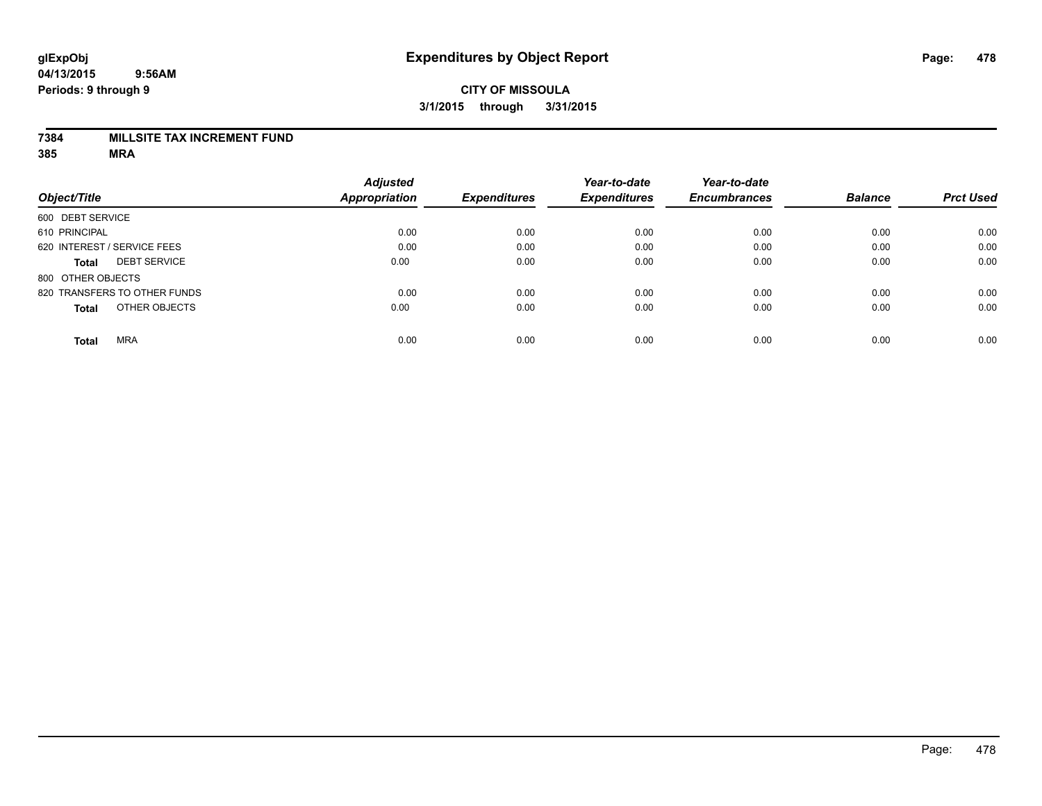## **7384 MILLSITE TAX INCREMENT FUND**

|                                     | <b>Adjusted</b>      |                     | Year-to-date        | Year-to-date        |                |                  |
|-------------------------------------|----------------------|---------------------|---------------------|---------------------|----------------|------------------|
| Object/Title                        | <b>Appropriation</b> | <b>Expenditures</b> | <b>Expenditures</b> | <b>Encumbrances</b> | <b>Balance</b> | <b>Prct Used</b> |
| 600 DEBT SERVICE                    |                      |                     |                     |                     |                |                  |
| 610 PRINCIPAL                       | 0.00                 | 0.00                | 0.00                | 0.00                | 0.00           | 0.00             |
| 620 INTEREST / SERVICE FEES         | 0.00                 | 0.00                | 0.00                | 0.00                | 0.00           | 0.00             |
| <b>DEBT SERVICE</b><br><b>Total</b> | 0.00                 | 0.00                | 0.00                | 0.00                | 0.00           | 0.00             |
| 800 OTHER OBJECTS                   |                      |                     |                     |                     |                |                  |
| 820 TRANSFERS TO OTHER FUNDS        | 0.00                 | 0.00                | 0.00                | 0.00                | 0.00           | 0.00             |
| OTHER OBJECTS<br><b>Total</b>       | 0.00                 | 0.00                | 0.00                | 0.00                | 0.00           | 0.00             |
| <b>MRA</b><br><b>Total</b>          | 0.00                 | 0.00                | 0.00                | 0.00                | 0.00           | 0.00             |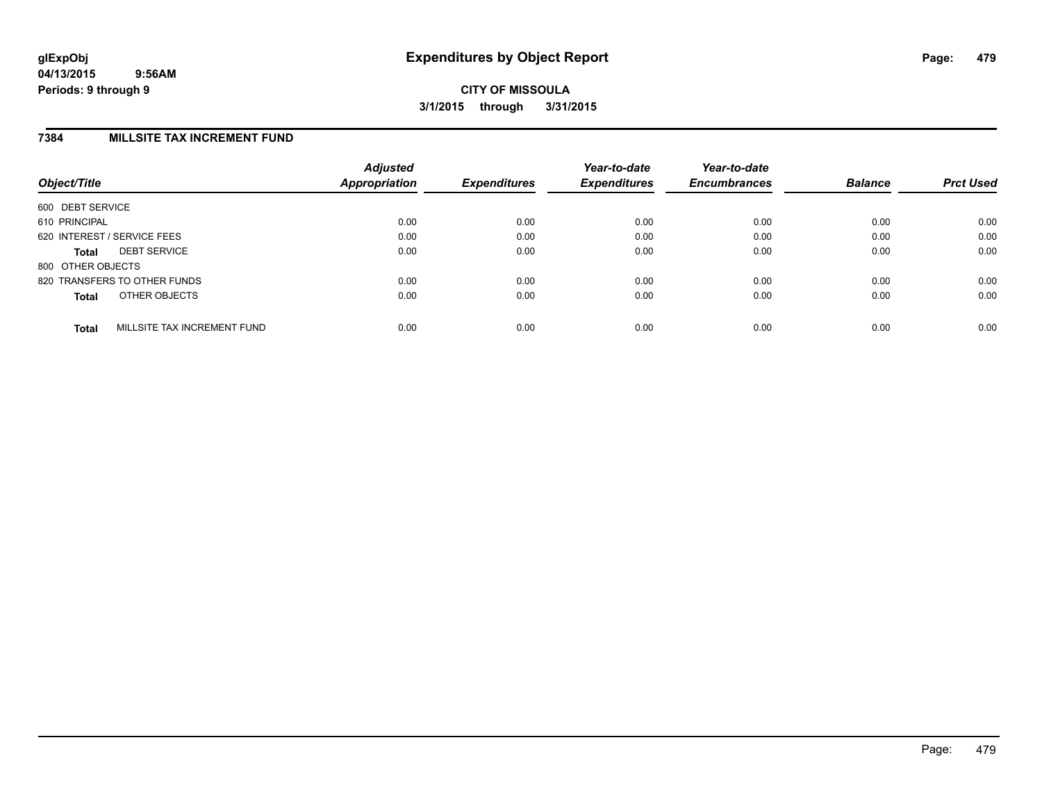## **7384 MILLSITE TAX INCREMENT FUND**

| Object/Title      |                              | <b>Adjusted</b><br><b>Appropriation</b> | <b>Expenditures</b> | Year-to-date<br><b>Expenditures</b> | Year-to-date<br><b>Encumbrances</b> | <b>Balance</b> | <b>Prct Used</b> |
|-------------------|------------------------------|-----------------------------------------|---------------------|-------------------------------------|-------------------------------------|----------------|------------------|
| 600 DEBT SERVICE  |                              |                                         |                     |                                     |                                     |                |                  |
| 610 PRINCIPAL     |                              | 0.00                                    | 0.00                | 0.00                                | 0.00                                | 0.00           | 0.00             |
|                   | 620 INTEREST / SERVICE FEES  | 0.00                                    | 0.00                | 0.00                                | 0.00                                | 0.00           | 0.00             |
| <b>Total</b>      | <b>DEBT SERVICE</b>          | 0.00                                    | 0.00                | 0.00                                | 0.00                                | 0.00           | 0.00             |
| 800 OTHER OBJECTS |                              |                                         |                     |                                     |                                     |                |                  |
|                   | 820 TRANSFERS TO OTHER FUNDS | 0.00                                    | 0.00                | 0.00                                | 0.00                                | 0.00           | 0.00             |
| <b>Total</b>      | OTHER OBJECTS                | 0.00                                    | 0.00                | 0.00                                | 0.00                                | 0.00           | 0.00             |
| <b>Total</b>      | MILLSITE TAX INCREMENT FUND  | 0.00                                    | 0.00                | 0.00                                | 0.00                                | 0.00           | 0.00             |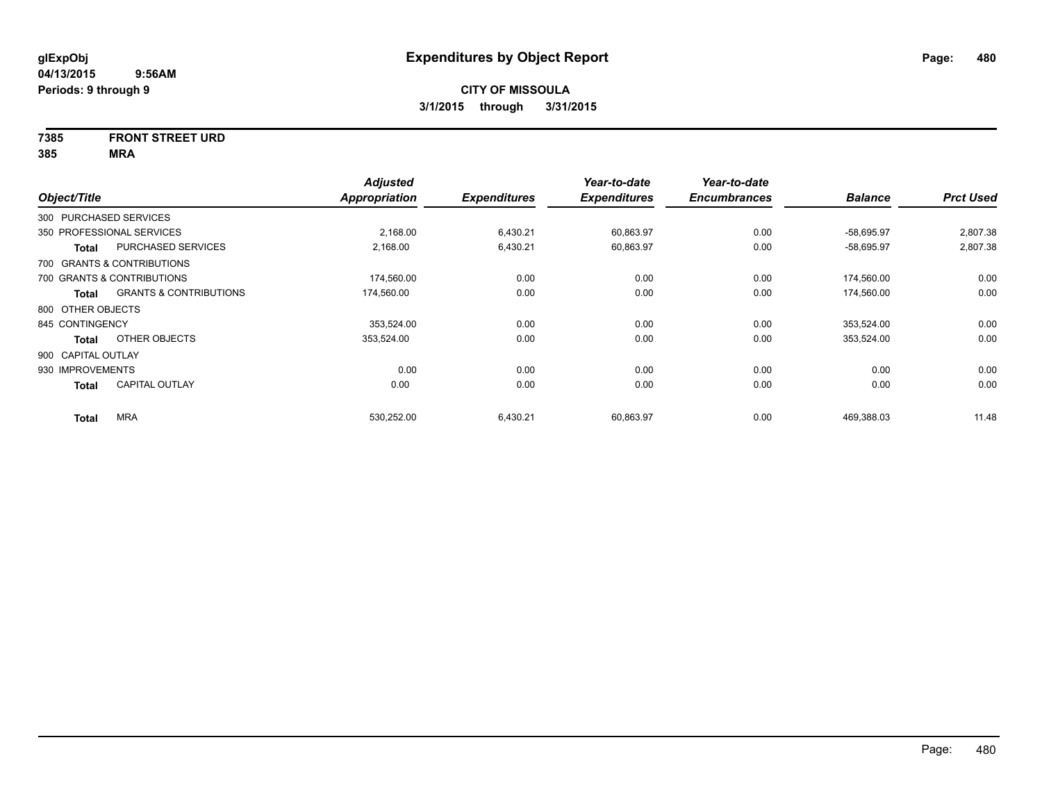# **7385 FRONT STREET URD**

|                    |                                   | <b>Adjusted</b>      |                     | Year-to-date        | Year-to-date        |                |                  |
|--------------------|-----------------------------------|----------------------|---------------------|---------------------|---------------------|----------------|------------------|
| Object/Title       |                                   | <b>Appropriation</b> | <b>Expenditures</b> | <b>Expenditures</b> | <b>Encumbrances</b> | <b>Balance</b> | <b>Prct Used</b> |
|                    | 300 PURCHASED SERVICES            |                      |                     |                     |                     |                |                  |
|                    | 350 PROFESSIONAL SERVICES         | 2,168.00             | 6,430.21            | 60,863.97           | 0.00                | $-58,695.97$   | 2,807.38         |
| <b>Total</b>       | PURCHASED SERVICES                | 2,168.00             | 6,430.21            | 60,863.97           | 0.00                | $-58,695.97$   | 2,807.38         |
|                    | 700 GRANTS & CONTRIBUTIONS        |                      |                     |                     |                     |                |                  |
|                    | 700 GRANTS & CONTRIBUTIONS        | 174,560.00           | 0.00                | 0.00                | 0.00                | 174,560.00     | 0.00             |
| <b>Total</b>       | <b>GRANTS &amp; CONTRIBUTIONS</b> | 174,560.00           | 0.00                | 0.00                | 0.00                | 174,560.00     | 0.00             |
| 800 OTHER OBJECTS  |                                   |                      |                     |                     |                     |                |                  |
| 845 CONTINGENCY    |                                   | 353.524.00           | 0.00                | 0.00                | 0.00                | 353.524.00     | 0.00             |
| <b>Total</b>       | OTHER OBJECTS                     | 353,524.00           | 0.00                | 0.00                | 0.00                | 353,524.00     | 0.00             |
| 900 CAPITAL OUTLAY |                                   |                      |                     |                     |                     |                |                  |
| 930 IMPROVEMENTS   |                                   | 0.00                 | 0.00                | 0.00                | 0.00                | 0.00           | 0.00             |
| <b>Total</b>       | <b>CAPITAL OUTLAY</b>             | 0.00                 | 0.00                | 0.00                | 0.00                | 0.00           | 0.00             |
| <b>Total</b>       | <b>MRA</b>                        | 530,252.00           | 6,430.21            | 60,863.97           | 0.00                | 469,388.03     | 11.48            |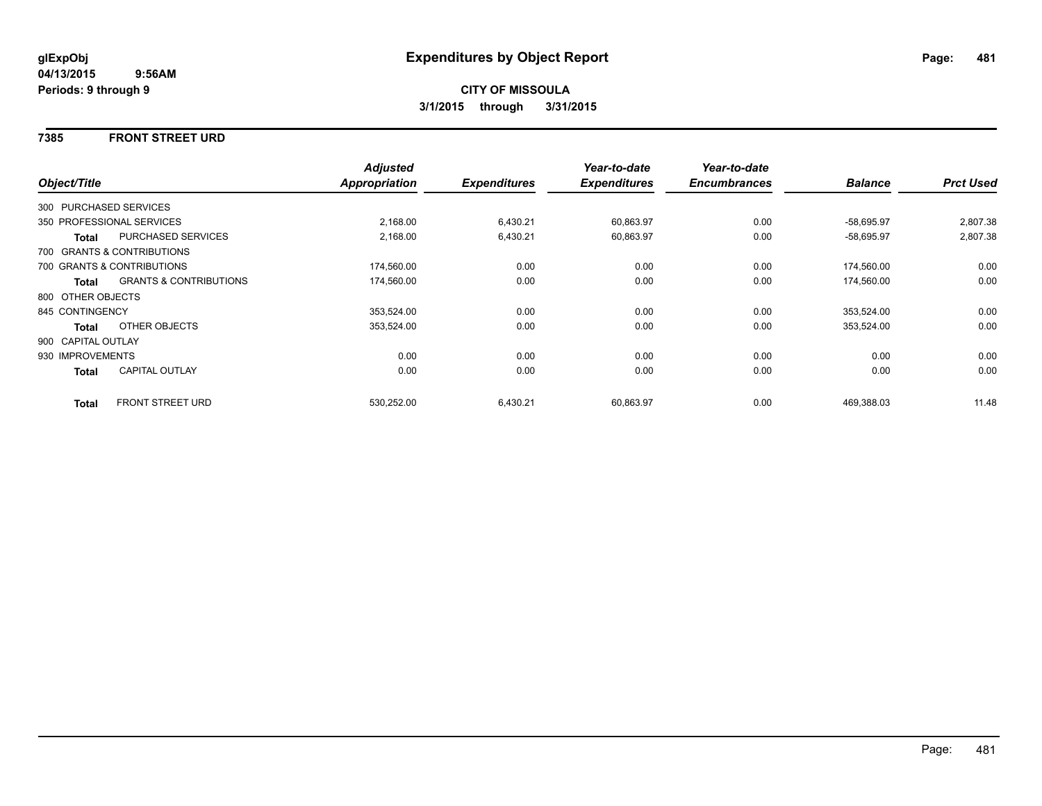## **7385 FRONT STREET URD**

|                    |                                   | <b>Adjusted</b> |                     | Year-to-date        | Year-to-date        |                |                  |
|--------------------|-----------------------------------|-----------------|---------------------|---------------------|---------------------|----------------|------------------|
| Object/Title       |                                   | Appropriation   | <b>Expenditures</b> | <b>Expenditures</b> | <b>Encumbrances</b> | <b>Balance</b> | <b>Prct Used</b> |
|                    | 300 PURCHASED SERVICES            |                 |                     |                     |                     |                |                  |
|                    | 350 PROFESSIONAL SERVICES         | 2,168.00        | 6,430.21            | 60,863.97           | 0.00                | $-58,695.97$   | 2,807.38         |
| <b>Total</b>       | PURCHASED SERVICES                | 2,168.00        | 6,430.21            | 60,863.97           | 0.00                | $-58,695.97$   | 2,807.38         |
|                    | 700 GRANTS & CONTRIBUTIONS        |                 |                     |                     |                     |                |                  |
|                    | 700 GRANTS & CONTRIBUTIONS        | 174,560.00      | 0.00                | 0.00                | 0.00                | 174,560.00     | 0.00             |
| <b>Total</b>       | <b>GRANTS &amp; CONTRIBUTIONS</b> | 174,560.00      | 0.00                | 0.00                | 0.00                | 174,560.00     | 0.00             |
| 800 OTHER OBJECTS  |                                   |                 |                     |                     |                     |                |                  |
| 845 CONTINGENCY    |                                   | 353,524.00      | 0.00                | 0.00                | 0.00                | 353,524.00     | 0.00             |
| <b>Total</b>       | OTHER OBJECTS                     | 353,524.00      | 0.00                | 0.00                | 0.00                | 353,524.00     | 0.00             |
| 900 CAPITAL OUTLAY |                                   |                 |                     |                     |                     |                |                  |
| 930 IMPROVEMENTS   |                                   | 0.00            | 0.00                | 0.00                | 0.00                | 0.00           | 0.00             |
| Total              | <b>CAPITAL OUTLAY</b>             | 0.00            | 0.00                | 0.00                | 0.00                | 0.00           | 0.00             |
| <b>Total</b>       | <b>FRONT STREET URD</b>           | 530,252.00      | 6,430.21            | 60,863.97           | 0.00                | 469,388.03     | 11.48            |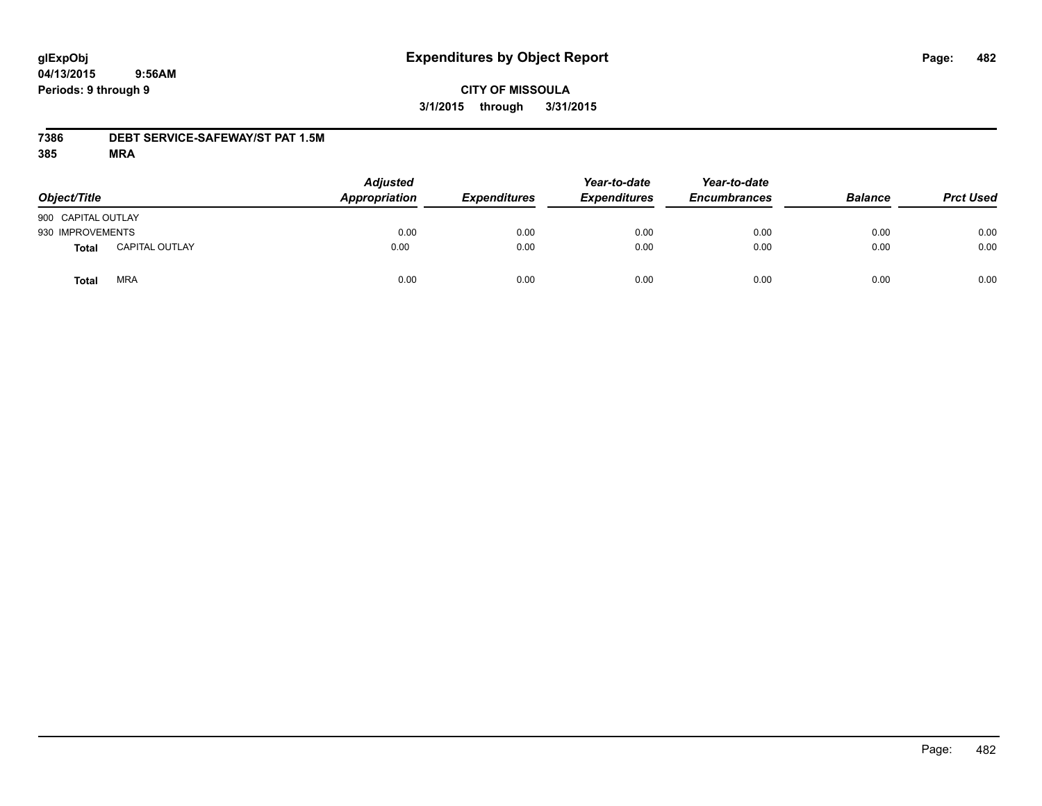# **CITY OF MISSOULA 3/1/2015 through 3/31/2015**

# **7386 DEBT SERVICE-SAFEWAY/ST PAT 1.5M**

| Object/Title       |                       | <b>Adjusted</b><br>Appropriation | <b>Expenditures</b> | Year-to-date<br><b>Expenditures</b> | Year-to-date<br><b>Encumbrances</b> | <b>Balance</b> | <b>Prct Used</b> |
|--------------------|-----------------------|----------------------------------|---------------------|-------------------------------------|-------------------------------------|----------------|------------------|
| 900 CAPITAL OUTLAY |                       |                                  |                     |                                     |                                     |                |                  |
| 930 IMPROVEMENTS   |                       | 0.00                             | 0.00                | 0.00                                | 0.00                                | 0.00           | 0.00             |
| Total              | <b>CAPITAL OUTLAY</b> | 0.00                             | 0.00                | 0.00                                | 0.00                                | 0.00           | 0.00             |
| Total              | <b>MRA</b>            | 0.00                             | 0.00                | 0.00                                | 0.00                                | 0.00           | 0.00             |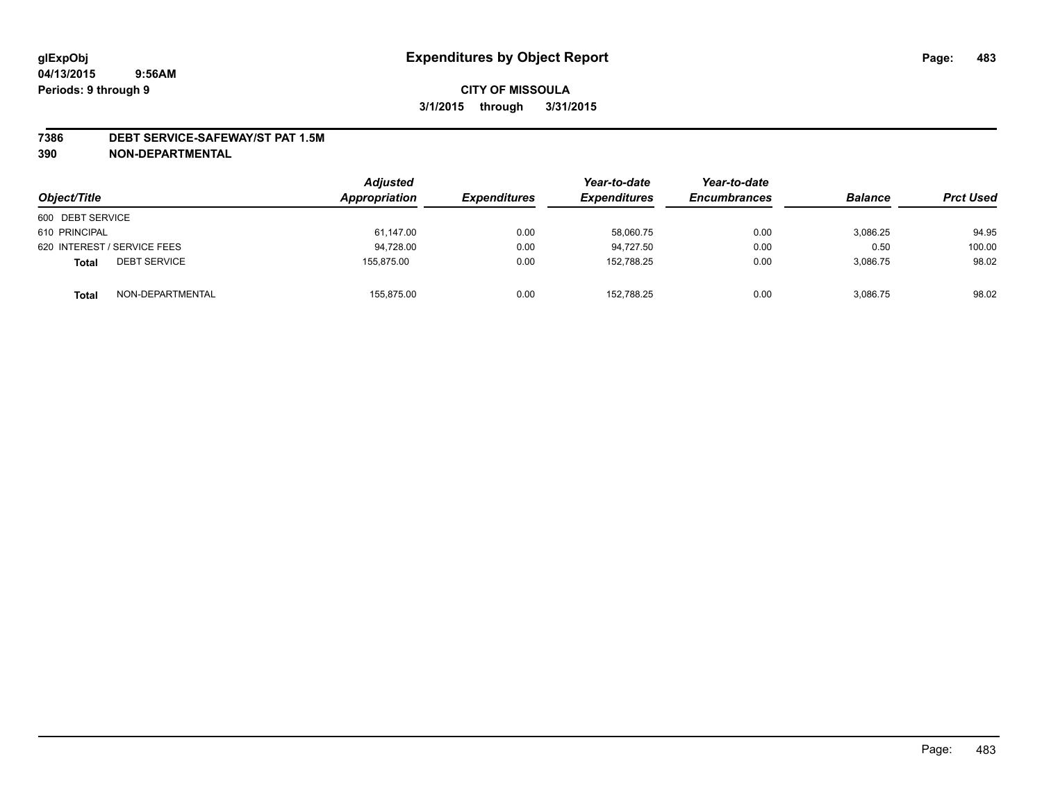#### **7386 DEBT SERVICE-SAFEWAY/ST PAT 1.5M**

| Object/Title                        | <b>Adjusted</b><br>Appropriation | <b>Expenditures</b> | Year-to-date<br><b>Expenditures</b> | Year-to-date<br><b>Encumbrances</b> | <b>Balance</b> | <b>Prct Used</b> |
|-------------------------------------|----------------------------------|---------------------|-------------------------------------|-------------------------------------|----------------|------------------|
| 600 DEBT SERVICE                    |                                  |                     |                                     |                                     |                |                  |
| 610 PRINCIPAL                       | 61,147.00                        | 0.00                | 58.060.75                           | 0.00                                | 3,086.25       | 94.95            |
| 620 INTEREST / SERVICE FEES         | 94.728.00                        | 0.00                | 94.727.50                           | 0.00                                | 0.50           | 100.00           |
| <b>DEBT SERVICE</b><br><b>Total</b> | 155.875.00                       | 0.00                | 152.788.25                          | 0.00                                | 3,086.75       | 98.02            |
| NON-DEPARTMENTAL<br><b>Total</b>    | 155,875.00                       | 0.00                | 152.788.25                          | 0.00                                | 3,086.75       | 98.02            |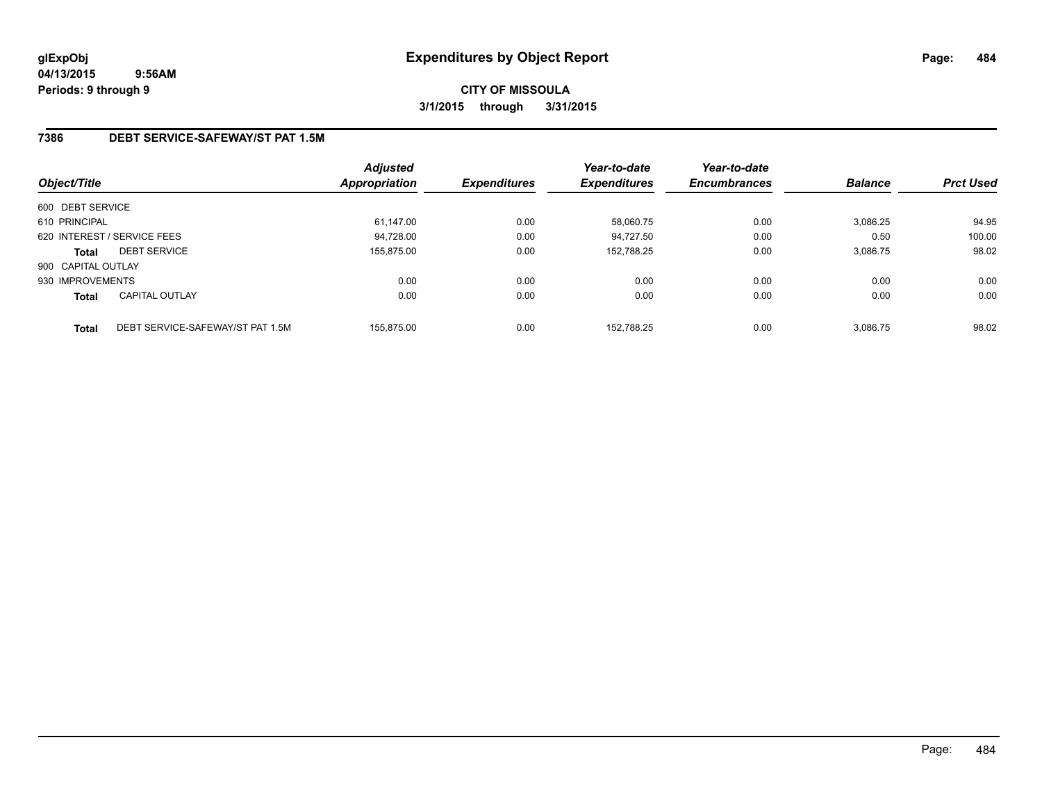**CITY OF MISSOULA 3/1/2015 through 3/31/2015**

# **7386 DEBT SERVICE-SAFEWAY/ST PAT 1.5M**

| Object/Title       |                                  | <b>Adjusted</b><br>Appropriation | <b>Expenditures</b> | Year-to-date<br><b>Expenditures</b> | Year-to-date<br><b>Encumbrances</b> | <b>Balance</b> | <b>Prct Used</b> |
|--------------------|----------------------------------|----------------------------------|---------------------|-------------------------------------|-------------------------------------|----------------|------------------|
| 600 DEBT SERVICE   |                                  |                                  |                     |                                     |                                     |                |                  |
| 610 PRINCIPAL      |                                  | 61,147.00                        | 0.00                | 58,060.75                           | 0.00                                | 3,086.25       | 94.95            |
|                    | 620 INTEREST / SERVICE FEES      | 94,728.00                        | 0.00                | 94.727.50                           | 0.00                                | 0.50           | 100.00           |
| <b>Total</b>       | <b>DEBT SERVICE</b>              | 155.875.00                       | 0.00                | 152.788.25                          | 0.00                                | 3,086.75       | 98.02            |
| 900 CAPITAL OUTLAY |                                  |                                  |                     |                                     |                                     |                |                  |
| 930 IMPROVEMENTS   |                                  | 0.00                             | 0.00                | 0.00                                | 0.00                                | 0.00           | 0.00             |
| <b>Total</b>       | <b>CAPITAL OUTLAY</b>            | 0.00                             | 0.00                | 0.00                                | 0.00                                | 0.00           | 0.00             |
| <b>Total</b>       | DEBT SERVICE-SAFEWAY/ST PAT 1.5M | 155.875.00                       | 0.00                | 152.788.25                          | 0.00                                | 3.086.75       | 98.02            |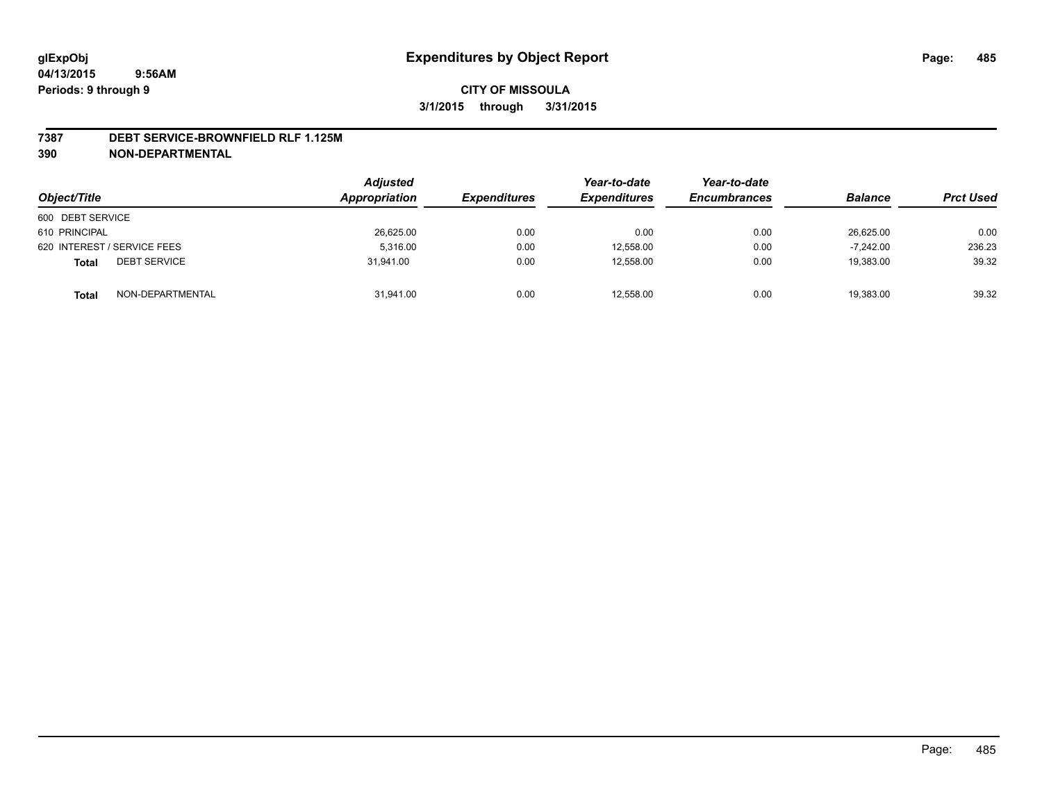#### **7387 DEBT SERVICE-BROWNFIELD RLF 1.125M**

| Object/Title                        | <b>Adjusted</b><br>Appropriation | <i><b>Expenditures</b></i> | Year-to-date<br><b>Expenditures</b> | Year-to-date<br><b>Encumbrances</b> | <b>Balance</b> | <b>Prct Used</b> |
|-------------------------------------|----------------------------------|----------------------------|-------------------------------------|-------------------------------------|----------------|------------------|
| 600 DEBT SERVICE                    |                                  |                            |                                     |                                     |                |                  |
| 610 PRINCIPAL                       | 26,625.00                        | 0.00                       | 0.00                                | 0.00                                | 26.625.00      | 0.00             |
| 620 INTEREST / SERVICE FEES         | 5.316.00                         | 0.00                       | 12,558.00                           | 0.00                                | $-7.242.00$    | 236.23           |
| <b>DEBT SERVICE</b><br><b>Total</b> | 31.941.00                        | 0.00                       | 12.558.00                           | 0.00                                | 19,383.00      | 39.32            |
| NON-DEPARTMENTAL<br><b>Total</b>    | 31,941.00                        | 0.00                       | 12,558.00                           | 0.00                                | 19,383.00      | 39.32            |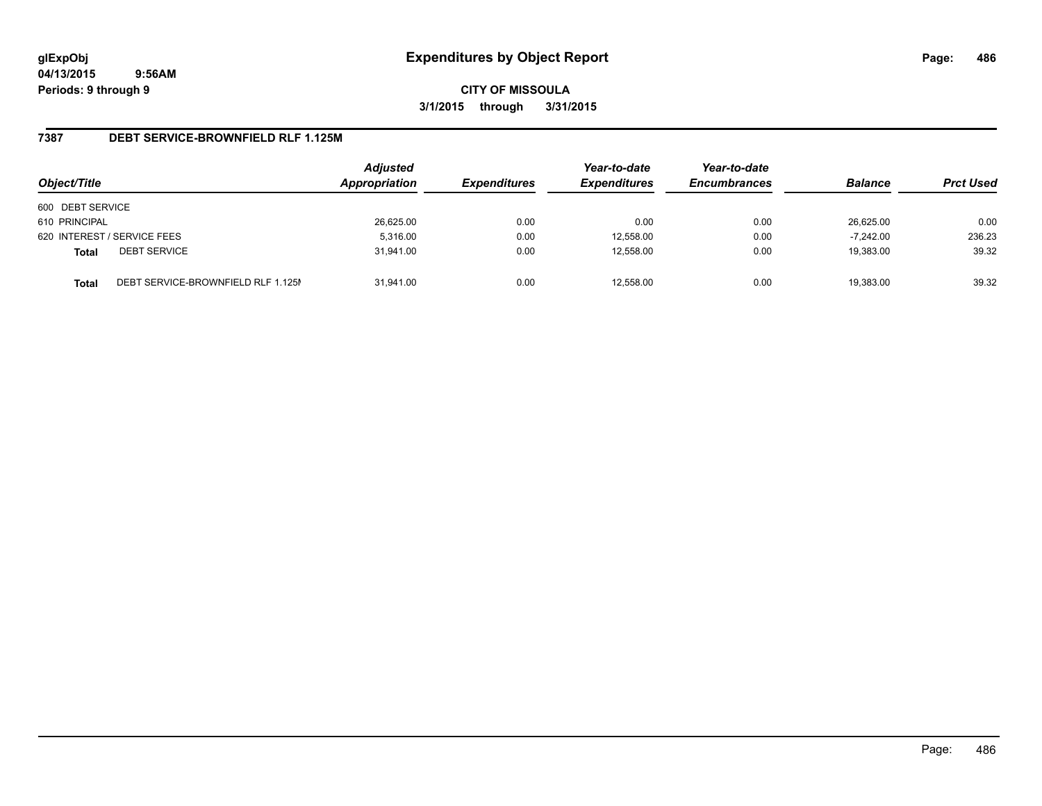**CITY OF MISSOULA 3/1/2015 through 3/31/2015**

# **7387 DEBT SERVICE-BROWNFIELD RLF 1.125M**

| Object/Title                                       | <b>Adjusted</b><br>Appropriation | <b>Expenditures</b> | Year-to-date<br><b>Expenditures</b> | Year-to-date<br><b>Encumbrances</b> | <b>Balance</b> | <b>Prct Used</b> |
|----------------------------------------------------|----------------------------------|---------------------|-------------------------------------|-------------------------------------|----------------|------------------|
| 600 DEBT SERVICE                                   |                                  |                     |                                     |                                     |                |                  |
| 610 PRINCIPAL                                      | 26,625.00                        | 0.00                | 0.00                                | 0.00                                | 26,625.00      | 0.00             |
| 620 INTEREST / SERVICE FEES                        | 5,316.00                         | 0.00                | 12,558.00                           | 0.00                                | $-7.242.00$    | 236.23           |
| <b>DEBT SERVICE</b><br><b>Total</b>                | 31.941.00                        | 0.00                | 12.558.00                           | 0.00                                | 19,383.00      | 39.32            |
| DEBT SERVICE-BROWNFIELD RLF 1.125M<br><b>Total</b> | 31.941.00                        | 0.00                | 12.558.00                           | 0.00                                | 19.383.00      | 39.32            |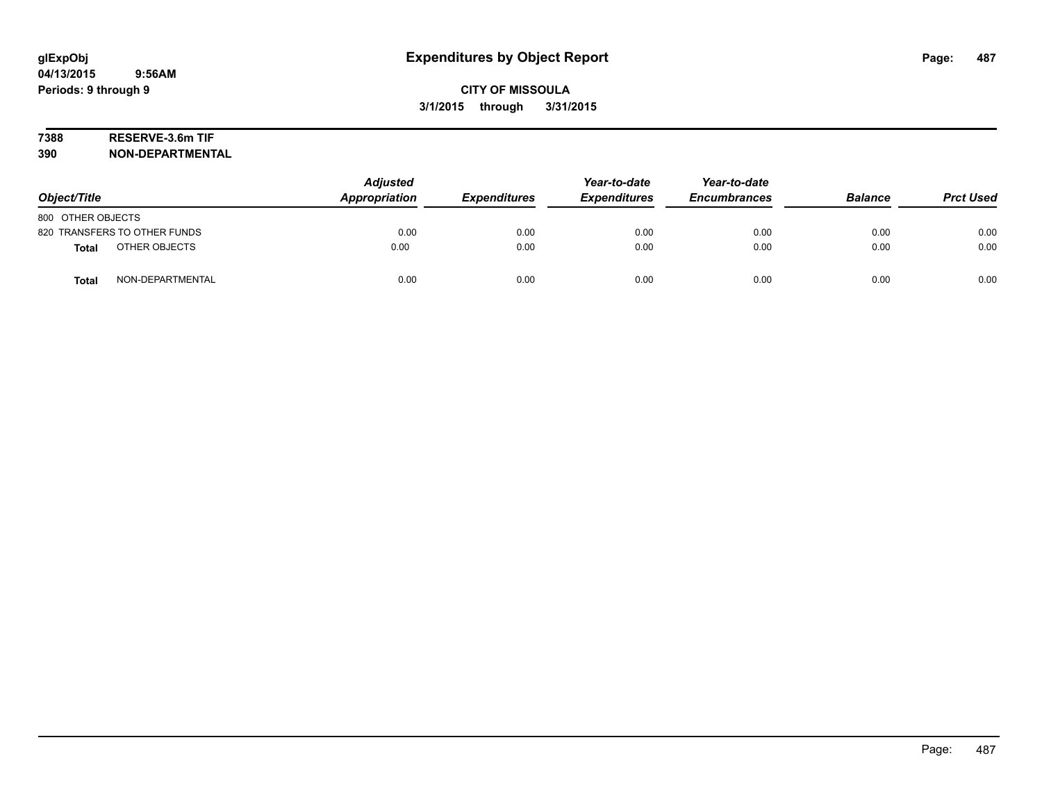# **7388 RESERVE-3.6m TIF**

| Object/Title                     | <b>Adjusted</b><br>Appropriation<br><b>Expenditures</b> | Year-to-date<br><b>Expenditures</b> | Year-to-date<br><b>Encumbrances</b> | <b>Balance</b> | <b>Prct Used</b> |      |
|----------------------------------|---------------------------------------------------------|-------------------------------------|-------------------------------------|----------------|------------------|------|
| 800 OTHER OBJECTS                |                                                         |                                     |                                     |                |                  |      |
| 820 TRANSFERS TO OTHER FUNDS     | 0.00                                                    | 0.00                                | 0.00                                | 0.00           | 0.00             | 0.00 |
| OTHER OBJECTS<br><b>Total</b>    | 0.00                                                    | 0.00                                | 0.00                                | 0.00           | 0.00             | 0.00 |
| NON-DEPARTMENTAL<br><b>Total</b> | 0.00                                                    | 0.00                                | 0.00                                | 0.00           | 0.00             | 0.00 |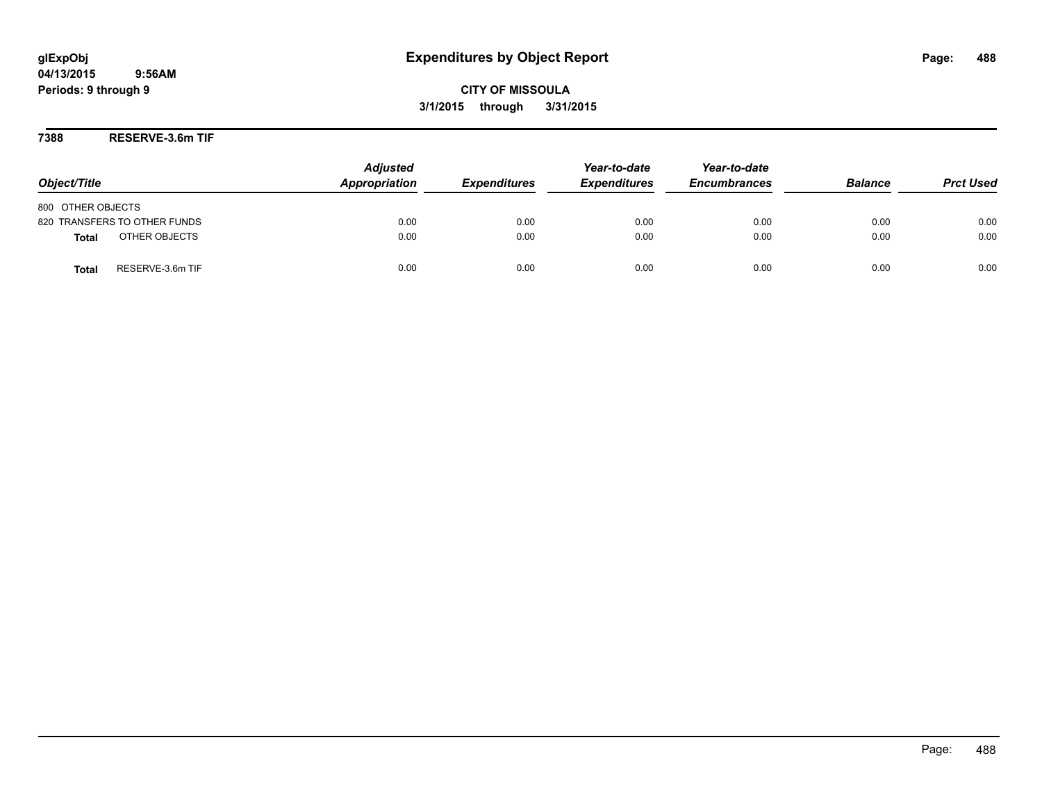**CITY OF MISSOULA 3/1/2015 through 3/31/2015**

**7388 RESERVE-3.6m TIF**

| Object/Title                     | <b>Adjusted</b><br>Appropriation | <b>Expenditures</b> | Year-to-date<br><b>Expenditures</b> | Year-to-date<br><b>Encumbrances</b> | <b>Balance</b> | <b>Prct Used</b> |
|----------------------------------|----------------------------------|---------------------|-------------------------------------|-------------------------------------|----------------|------------------|
| 800 OTHER OBJECTS                |                                  |                     |                                     |                                     |                |                  |
| 820 TRANSFERS TO OTHER FUNDS     | 0.00                             | 0.00                | 0.00                                | 0.00                                | 0.00           | 0.00             |
| OTHER OBJECTS<br><b>Total</b>    | 0.00                             | 0.00                | 0.00                                | 0.00                                | 0.00           | 0.00             |
| RESERVE-3.6m TIF<br><b>Total</b> | 0.00                             | 0.00                | 0.00                                | 0.00                                | 0.00           | 0.00             |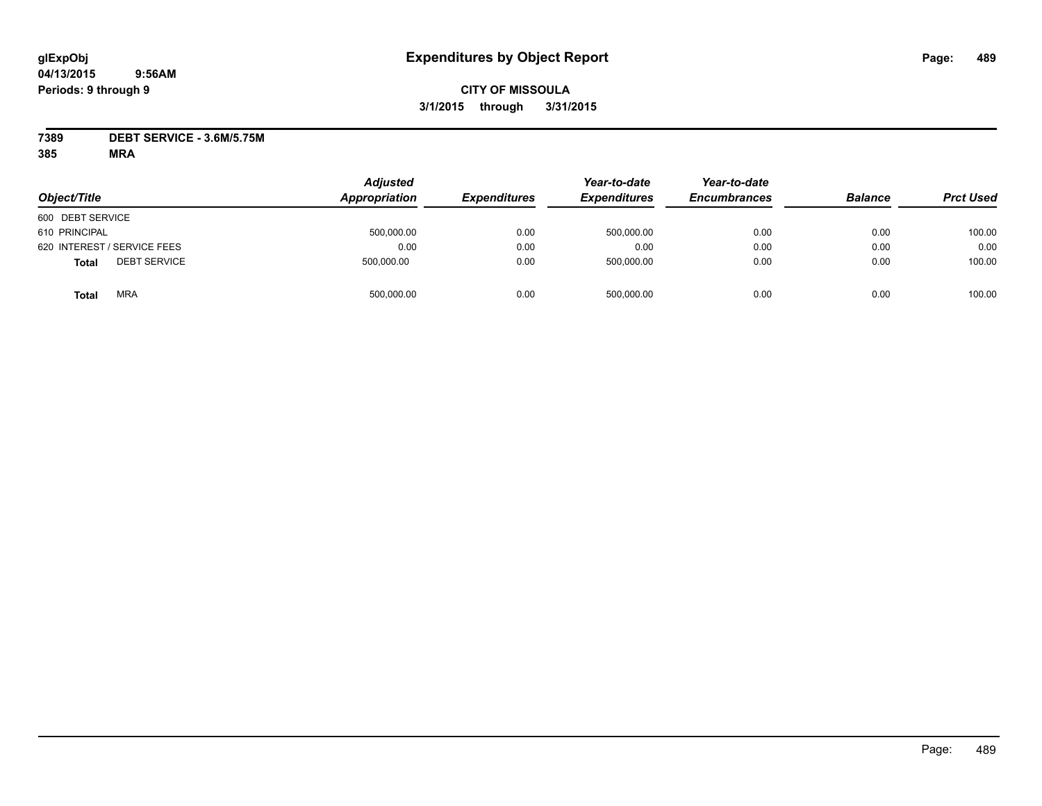# **CITY OF MISSOULA 3/1/2015 through 3/31/2015**

**7389 DEBT SERVICE - 3.6M/5.75M**

| Object/Title                 | <b>Adjusted</b><br>Appropriation | <b>Expenditures</b> | Year-to-date<br><b>Expenditures</b> | Year-to-date<br><b>Encumbrances</b> | <b>Balance</b> | <b>Prct Used</b> |
|------------------------------|----------------------------------|---------------------|-------------------------------------|-------------------------------------|----------------|------------------|
| 600 DEBT SERVICE             |                                  |                     |                                     |                                     |                |                  |
| 610 PRINCIPAL                | 500,000.00                       | 0.00                | 500.000.00                          | 0.00                                | 0.00           | 100.00           |
| 620 INTEREST / SERVICE FEES  | 0.00                             | 0.00                | 0.00                                | 0.00                                | 0.00           | 0.00             |
| <b>DEBT SERVICE</b><br>Total | 500,000.00                       | 0.00                | 500,000.00                          | 0.00                                | 0.00           | 100.00           |
| <b>MRA</b><br>Total          | 500,000.00                       | 0.00                | 500,000.00                          | 0.00                                | 0.00           | 100.00           |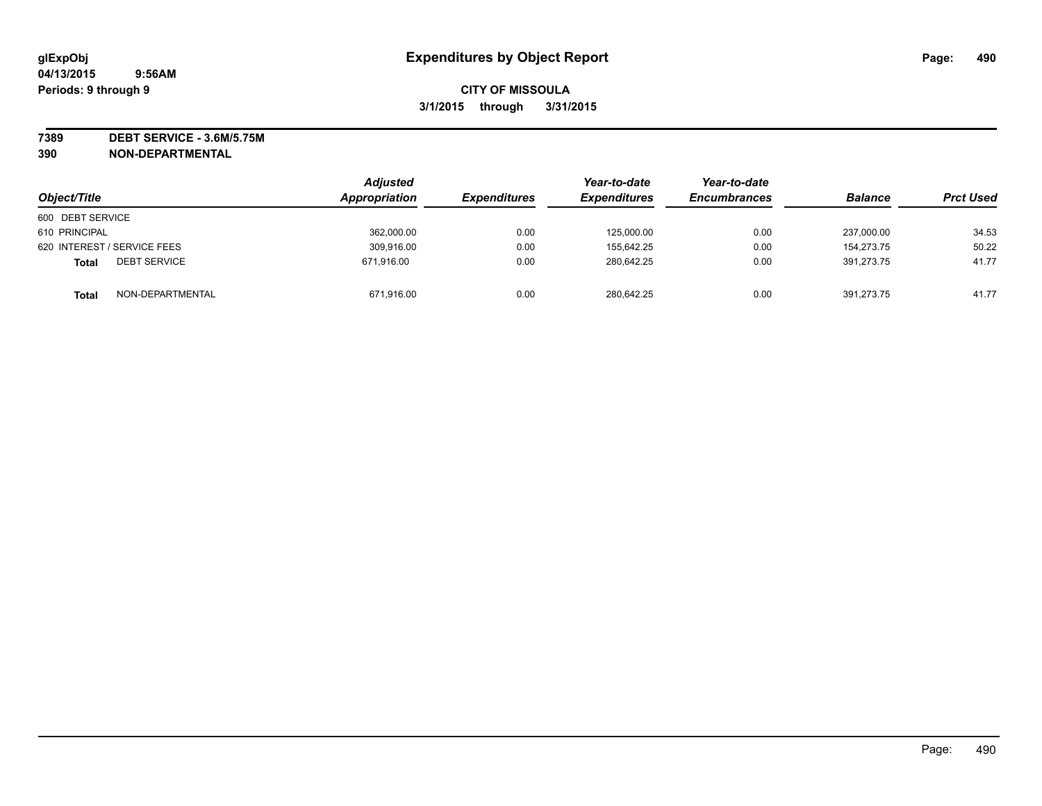**7389 DEBT SERVICE - 3.6M/5.75M**

|                                     | <b>Adjusted</b> |                     | Year-to-date        | Year-to-date        |                |                  |
|-------------------------------------|-----------------|---------------------|---------------------|---------------------|----------------|------------------|
| Object/Title                        | Appropriation   | <b>Expenditures</b> | <b>Expenditures</b> | <b>Encumbrances</b> | <b>Balance</b> | <b>Prct Used</b> |
| 600 DEBT SERVICE                    |                 |                     |                     |                     |                |                  |
| 610 PRINCIPAL                       | 362,000.00      | 0.00                | 125.000.00          | 0.00                | 237,000.00     | 34.53            |
| 620 INTEREST / SERVICE FEES         | 309,916.00      | 0.00                | 155.642.25          | 0.00                | 154,273.75     | 50.22            |
| <b>DEBT SERVICE</b><br><b>Total</b> | 671.916.00      | 0.00                | 280.642.25          | 0.00                | 391,273.75     | 41.77            |
| NON-DEPARTMENTAL<br><b>Total</b>    | 671,916.00      | 0.00                | 280.642.25          | 0.00                | 391,273.75     | 41.77            |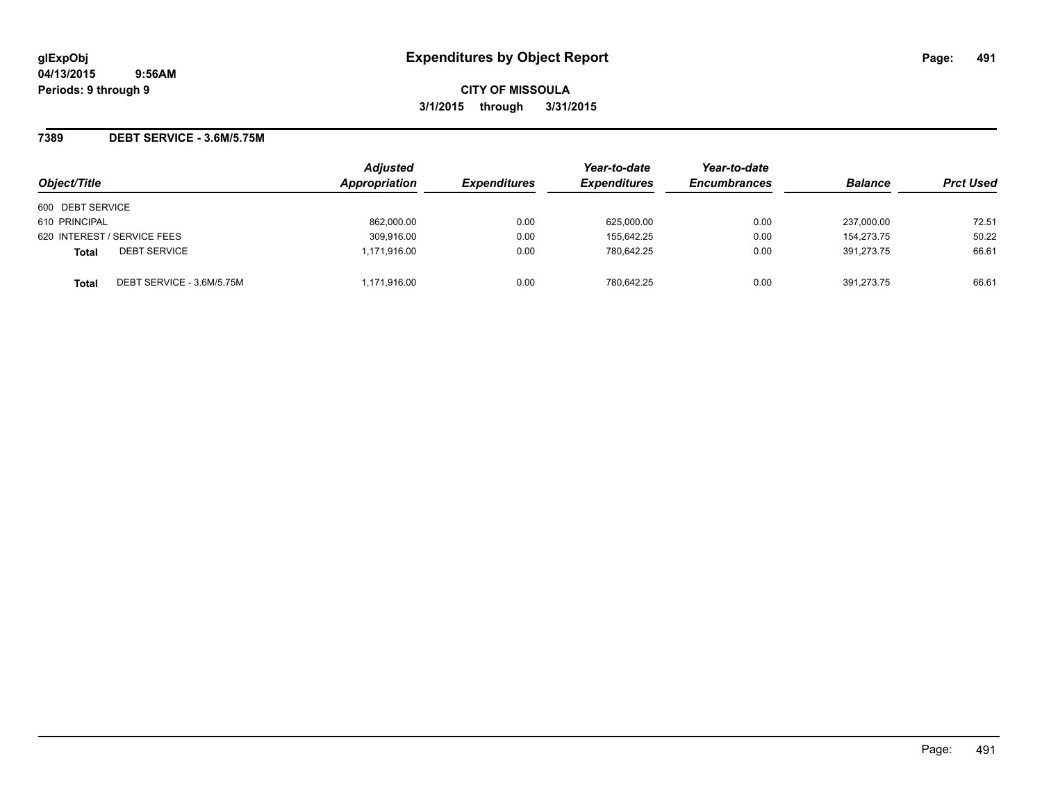**CITY OF MISSOULA 3/1/2015 through 3/31/2015**

## **7389 DEBT SERVICE - 3.6M/5.75M**

| Object/Title                |                           | <b>Adjusted</b><br>Appropriation | <b>Expenditures</b> | Year-to-date<br><b>Expenditures</b> | Year-to-date<br><b>Encumbrances</b> | <b>Balance</b> | <b>Prct Used</b> |
|-----------------------------|---------------------------|----------------------------------|---------------------|-------------------------------------|-------------------------------------|----------------|------------------|
|                             |                           |                                  |                     |                                     |                                     |                |                  |
| 600 DEBT SERVICE            |                           |                                  |                     |                                     |                                     |                |                  |
| 610 PRINCIPAL               |                           | 862.000.00                       | 0.00                | 625,000.00                          | 0.00                                | 237.000.00     | 72.51            |
| 620 INTEREST / SERVICE FEES |                           | 309,916.00                       | 0.00                | 155,642.25                          | 0.00                                | 154.273.75     | 50.22            |
| <b>Total</b>                | <b>DEBT SERVICE</b>       | 1,171,916.00                     | 0.00                | 780.642.25                          | 0.00                                | 391.273.75     | 66.61            |
| <b>Total</b>                | DEBT SERVICE - 3.6M/5.75M | 1,171,916.00                     | 0.00                | 780,642.25                          | 0.00                                | 391.273.75     | 66.61            |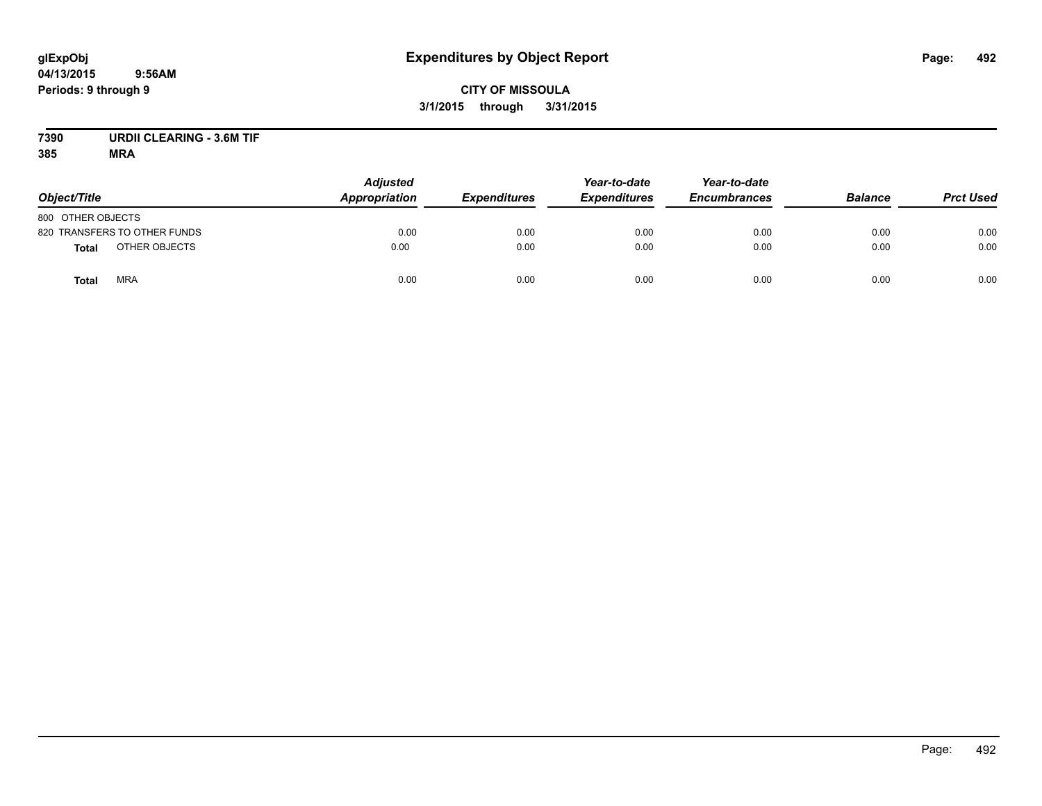# **CITY OF MISSOULA 3/1/2015 through 3/31/2015**

# **7390 URDII CLEARING - 3.6M TIF**

| Object/Title                  | <b>Adjusted</b><br><b>Appropriation</b> | <b>Expenditures</b> | Year-to-date<br><b>Expenditures</b> | Year-to-date<br><b>Encumbrances</b> | <b>Balance</b> | <b>Prct Used</b> |
|-------------------------------|-----------------------------------------|---------------------|-------------------------------------|-------------------------------------|----------------|------------------|
| 800 OTHER OBJECTS             |                                         |                     |                                     |                                     |                |                  |
| 820 TRANSFERS TO OTHER FUNDS  | 0.00                                    | 0.00                | 0.00                                | 0.00                                | 0.00           | 0.00             |
| OTHER OBJECTS<br><b>Total</b> | 0.00                                    | 0.00                | 0.00                                | 0.00                                | 0.00           | 0.00             |
| <b>MRA</b><br><b>Total</b>    | 0.00                                    | 0.00                | 0.00                                | 0.00                                | 0.00           | 0.00             |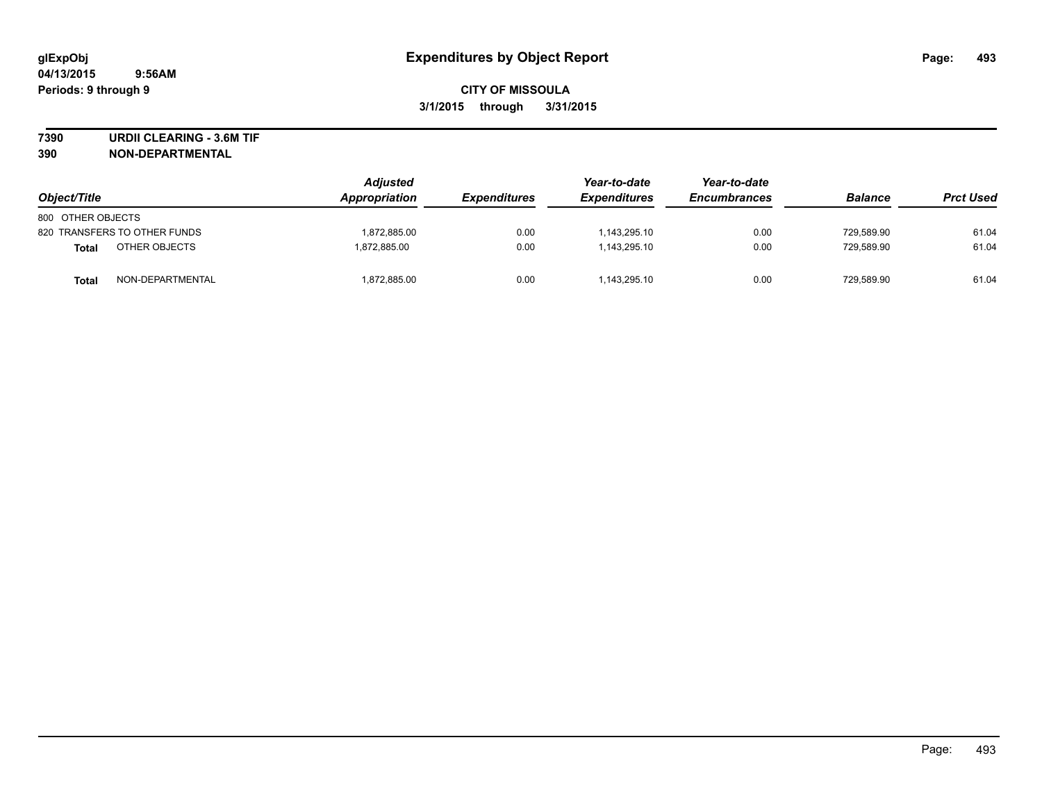**7390 URDII CLEARING - 3.6M TIF**

| Object/Title                  | <b>Adjusted</b><br>Appropriation | <b>Expenditures</b> | Year-to-date<br><b>Expenditures</b> | Year-to-date<br><b>Encumbrances</b> | <b>Balance</b> | <b>Prct Used</b> |
|-------------------------------|----------------------------------|---------------------|-------------------------------------|-------------------------------------|----------------|------------------|
| 800 OTHER OBJECTS             |                                  |                     |                                     |                                     |                |                  |
| 820 TRANSFERS TO OTHER FUNDS  | 1,872,885.00                     | 0.00                | 1,143,295.10                        | 0.00                                | 729.589.90     | 61.04            |
| OTHER OBJECTS<br><b>Total</b> | 1.872.885.00                     | 0.00                | 1.143.295.10                        | 0.00                                | 729.589.90     | 61.04            |
| NON-DEPARTMENTAL<br>Total     | 1,872,885.00                     | 0.00                | 143,295.10                          | 0.00                                | 729,589.90     | 61.04            |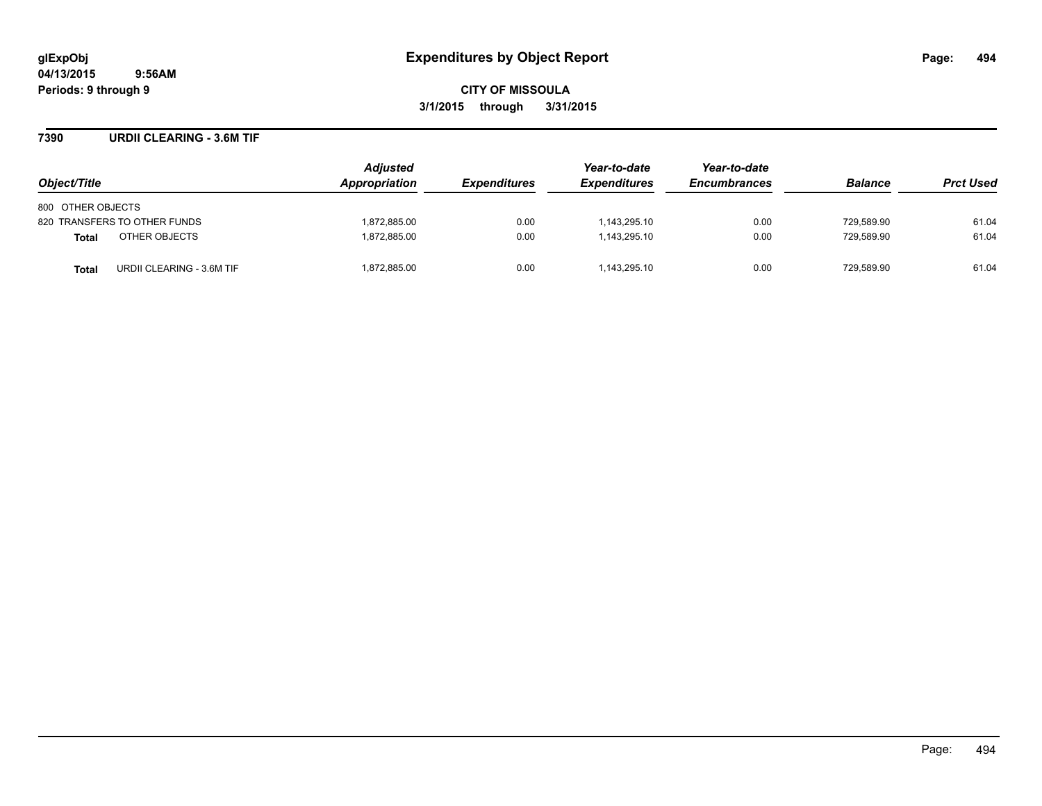**CITY OF MISSOULA 3/1/2015 through 3/31/2015**

## **7390 URDII CLEARING - 3.6M TIF**

| Object/Title                       | <b>Adjusted</b><br>Appropriation | <b>Expenditures</b> | Year-to-date<br><b>Expenditures</b> | Year-to-date<br><b>Encumbrances</b> | <b>Balance</b> | <b>Prct Used</b> |
|------------------------------------|----------------------------------|---------------------|-------------------------------------|-------------------------------------|----------------|------------------|
| 800 OTHER OBJECTS                  |                                  |                     |                                     |                                     |                |                  |
| 820 TRANSFERS TO OTHER FUNDS       | 1,872,885.00                     | 0.00                | 1,143,295.10                        | 0.00                                | 729,589.90     | 61.04            |
| OTHER OBJECTS<br><b>Total</b>      | 1,872,885.00                     | 0.00                | 1.143.295.10                        | 0.00                                | 729.589.90     | 61.04            |
| URDII CLEARING - 3.6M TIF<br>Total | 1,872,885.00                     | 0.00                | 1,143,295.10                        | 0.00                                | 729.589.90     | 61.04            |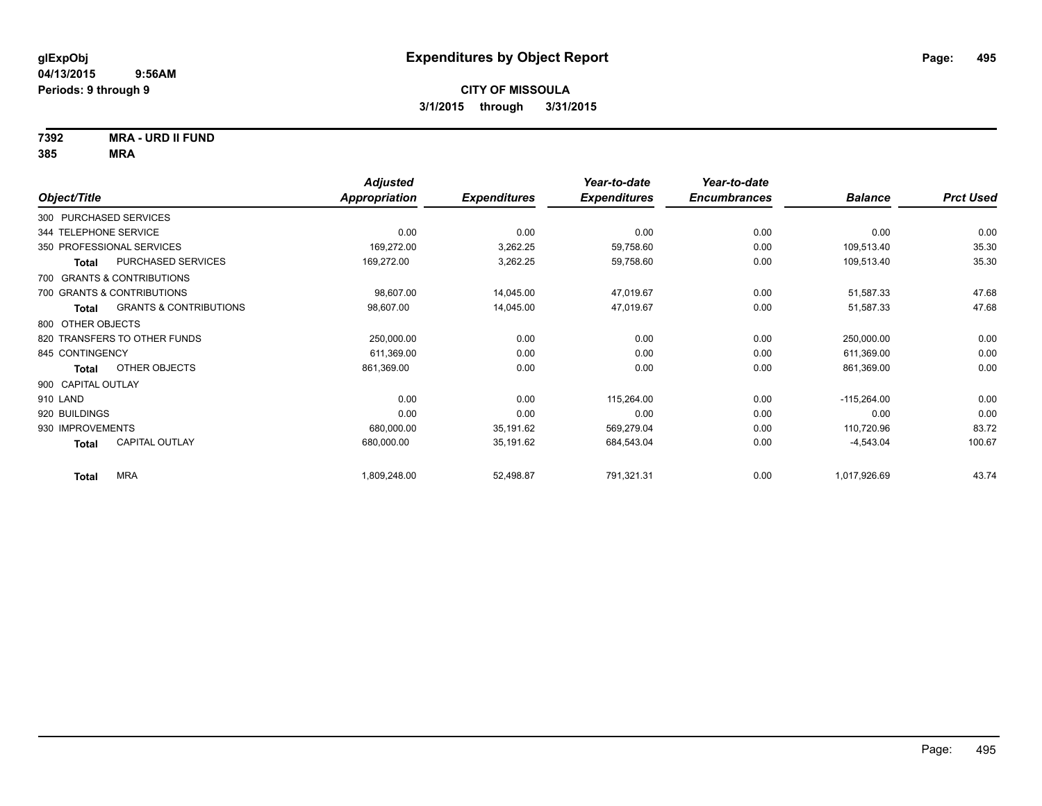**7392 MRA - URD II FUND**

|                        |                                   | <b>Adjusted</b>      |                     | Year-to-date        | Year-to-date        |                |                  |
|------------------------|-----------------------------------|----------------------|---------------------|---------------------|---------------------|----------------|------------------|
| Object/Title           |                                   | <b>Appropriation</b> | <b>Expenditures</b> | <b>Expenditures</b> | <b>Encumbrances</b> | <b>Balance</b> | <b>Prct Used</b> |
| 300 PURCHASED SERVICES |                                   |                      |                     |                     |                     |                |                  |
| 344 TELEPHONE SERVICE  |                                   | 0.00                 | 0.00                | 0.00                | 0.00                | 0.00           | 0.00             |
|                        | 350 PROFESSIONAL SERVICES         | 169,272.00           | 3,262.25            | 59,758.60           | 0.00                | 109,513.40     | 35.30            |
| <b>Total</b>           | PURCHASED SERVICES                | 169,272.00           | 3,262.25            | 59,758.60           | 0.00                | 109,513.40     | 35.30            |
|                        | 700 GRANTS & CONTRIBUTIONS        |                      |                     |                     |                     |                |                  |
|                        | 700 GRANTS & CONTRIBUTIONS        | 98,607.00            | 14,045.00           | 47,019.67           | 0.00                | 51,587.33      | 47.68            |
| Total                  | <b>GRANTS &amp; CONTRIBUTIONS</b> | 98,607.00            | 14,045.00           | 47,019.67           | 0.00                | 51,587.33      | 47.68            |
| 800 OTHER OBJECTS      |                                   |                      |                     |                     |                     |                |                  |
|                        | 820 TRANSFERS TO OTHER FUNDS      | 250,000.00           | 0.00                | 0.00                | 0.00                | 250,000.00     | 0.00             |
| 845 CONTINGENCY        |                                   | 611,369.00           | 0.00                | 0.00                | 0.00                | 611,369.00     | 0.00             |
| <b>Total</b>           | OTHER OBJECTS                     | 861,369.00           | 0.00                | 0.00                | 0.00                | 861,369.00     | 0.00             |
| 900 CAPITAL OUTLAY     |                                   |                      |                     |                     |                     |                |                  |
| 910 LAND               |                                   | 0.00                 | 0.00                | 115,264.00          | 0.00                | $-115,264.00$  | 0.00             |
| 920 BUILDINGS          |                                   | 0.00                 | 0.00                | 0.00                | 0.00                | 0.00           | 0.00             |
| 930 IMPROVEMENTS       |                                   | 680,000.00           | 35,191.62           | 569,279.04          | 0.00                | 110,720.96     | 83.72            |
| <b>Total</b>           | CAPITAL OUTLAY                    | 680,000.00           | 35,191.62           | 684,543.04          | 0.00                | $-4,543.04$    | 100.67           |
| <b>Total</b>           | <b>MRA</b>                        | 1,809,248.00         | 52,498.87           | 791,321.31          | 0.00                | 1,017,926.69   | 43.74            |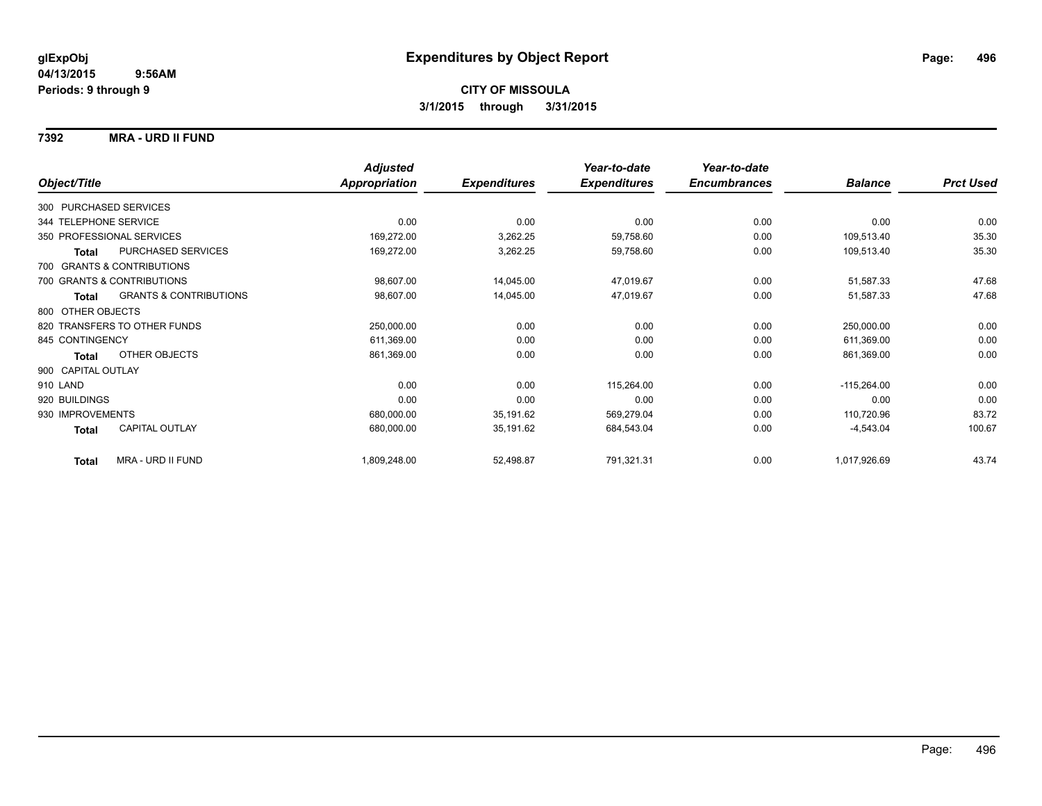## **7392 MRA - URD II FUND**

|                              |                                   | <b>Adjusted</b>      |                     | Year-to-date        | Year-to-date        |                |                  |
|------------------------------|-----------------------------------|----------------------|---------------------|---------------------|---------------------|----------------|------------------|
| Object/Title                 |                                   | <b>Appropriation</b> | <b>Expenditures</b> | <b>Expenditures</b> | <b>Encumbrances</b> | <b>Balance</b> | <b>Prct Used</b> |
| 300 PURCHASED SERVICES       |                                   |                      |                     |                     |                     |                |                  |
| 344 TELEPHONE SERVICE        |                                   | 0.00                 | 0.00                | 0.00                | 0.00                | 0.00           | 0.00             |
| 350 PROFESSIONAL SERVICES    |                                   | 169,272.00           | 3,262.25            | 59,758.60           | 0.00                | 109,513.40     | 35.30            |
| <b>Total</b>                 | PURCHASED SERVICES                | 169,272.00           | 3,262.25            | 59,758.60           | 0.00                | 109,513.40     | 35.30            |
| 700 GRANTS & CONTRIBUTIONS   |                                   |                      |                     |                     |                     |                |                  |
| 700 GRANTS & CONTRIBUTIONS   |                                   | 98,607.00            | 14,045.00           | 47,019.67           | 0.00                | 51,587.33      | 47.68            |
| Total                        | <b>GRANTS &amp; CONTRIBUTIONS</b> | 98,607.00            | 14,045.00           | 47,019.67           | 0.00                | 51,587.33      | 47.68            |
| 800 OTHER OBJECTS            |                                   |                      |                     |                     |                     |                |                  |
| 820 TRANSFERS TO OTHER FUNDS |                                   | 250,000.00           | 0.00                | 0.00                | 0.00                | 250,000.00     | 0.00             |
| 845 CONTINGENCY              |                                   | 611,369.00           | 0.00                | 0.00                | 0.00                | 611,369.00     | 0.00             |
| <b>Total</b>                 | <b>OTHER OBJECTS</b>              | 861,369.00           | 0.00                | 0.00                | 0.00                | 861,369.00     | 0.00             |
| 900 CAPITAL OUTLAY           |                                   |                      |                     |                     |                     |                |                  |
| 910 LAND                     |                                   | 0.00                 | 0.00                | 115,264.00          | 0.00                | $-115,264.00$  | 0.00             |
| 920 BUILDINGS                |                                   | 0.00                 | 0.00                | 0.00                | 0.00                | 0.00           | 0.00             |
| 930 IMPROVEMENTS             |                                   | 680,000.00           | 35,191.62           | 569,279.04          | 0.00                | 110,720.96     | 83.72            |
| <b>Total</b>                 | <b>CAPITAL OUTLAY</b>             | 680,000.00           | 35,191.62           | 684,543.04          | 0.00                | $-4,543.04$    | 100.67           |
| <b>Total</b>                 | MRA - URD II FUND                 | 1,809,248.00         | 52,498.87           | 791,321.31          | 0.00                | 1,017,926.69   | 43.74            |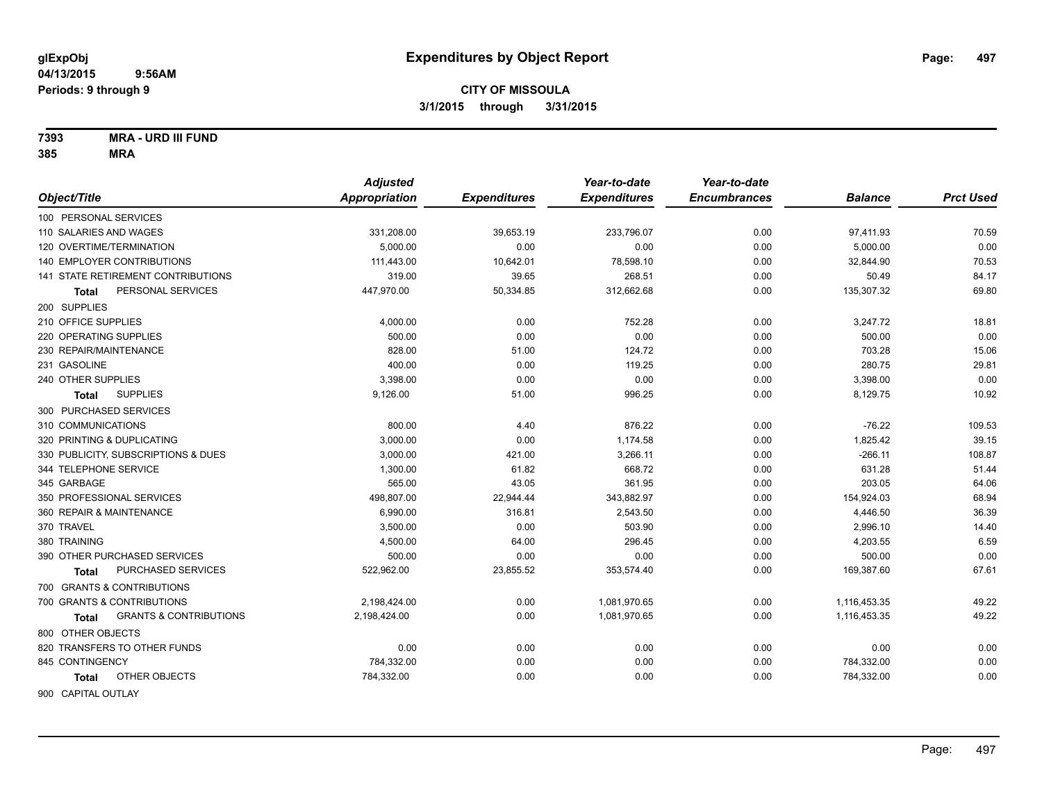**7393 MRA - URD III FUND**

|                                                   | <b>Adjusted</b>      |                     | Year-to-date        | Year-to-date        |                |                  |
|---------------------------------------------------|----------------------|---------------------|---------------------|---------------------|----------------|------------------|
| Object/Title                                      | <b>Appropriation</b> | <b>Expenditures</b> | <b>Expenditures</b> | <b>Encumbrances</b> | <b>Balance</b> | <b>Prct Used</b> |
| 100 PERSONAL SERVICES                             |                      |                     |                     |                     |                |                  |
| 110 SALARIES AND WAGES                            | 331,208.00           | 39,653.19           | 233,796.07          | 0.00                | 97,411.93      | 70.59            |
| 120 OVERTIME/TERMINATION                          | 5.000.00             | 0.00                | 0.00                | 0.00                | 5,000.00       | 0.00             |
| <b>140 EMPLOYER CONTRIBUTIONS</b>                 | 111,443.00           | 10,642.01           | 78,598.10           | 0.00                | 32,844.90      | 70.53            |
| <b>141 STATE RETIREMENT CONTRIBUTIONS</b>         | 319.00               | 39.65               | 268.51              | 0.00                | 50.49          | 84.17            |
| PERSONAL SERVICES<br>Total                        | 447,970.00           | 50,334.85           | 312,662.68          | 0.00                | 135,307.32     | 69.80            |
| 200 SUPPLIES                                      |                      |                     |                     |                     |                |                  |
| 210 OFFICE SUPPLIES                               | 4,000.00             | 0.00                | 752.28              | 0.00                | 3,247.72       | 18.81            |
| 220 OPERATING SUPPLIES                            | 500.00               | 0.00                | 0.00                | 0.00                | 500.00         | 0.00             |
| 230 REPAIR/MAINTENANCE                            | 828.00               | 51.00               | 124.72              | 0.00                | 703.28         | 15.06            |
| 231 GASOLINE                                      | 400.00               | 0.00                | 119.25              | 0.00                | 280.75         | 29.81            |
| 240 OTHER SUPPLIES                                | 3,398.00             | 0.00                | 0.00                | 0.00                | 3,398.00       | 0.00             |
| <b>SUPPLIES</b><br><b>Total</b>                   | 9,126.00             | 51.00               | 996.25              | 0.00                | 8,129.75       | 10.92            |
| 300 PURCHASED SERVICES                            |                      |                     |                     |                     |                |                  |
| 310 COMMUNICATIONS                                | 800.00               | 4.40                | 876.22              | 0.00                | $-76.22$       | 109.53           |
| 320 PRINTING & DUPLICATING                        | 3,000.00             | 0.00                | 1,174.58            | 0.00                | 1,825.42       | 39.15            |
| 330 PUBLICITY, SUBSCRIPTIONS & DUES               | 3,000.00             | 421.00              | 3,266.11            | 0.00                | $-266.11$      | 108.87           |
| 344 TELEPHONE SERVICE                             | 1,300.00             | 61.82               | 668.72              | 0.00                | 631.28         | 51.44            |
| 345 GARBAGE                                       | 565.00               | 43.05               | 361.95              | 0.00                | 203.05         | 64.06            |
| 350 PROFESSIONAL SERVICES                         | 498,807.00           | 22,944.44           | 343,882.97          | 0.00                | 154,924.03     | 68.94            |
| 360 REPAIR & MAINTENANCE                          | 6.990.00             | 316.81              | 2,543.50            | 0.00                | 4,446.50       | 36.39            |
| 370 TRAVEL                                        | 3,500.00             | 0.00                | 503.90              | 0.00                | 2,996.10       | 14.40            |
| 380 TRAINING                                      | 4,500.00             | 64.00               | 296.45              | 0.00                | 4,203.55       | 6.59             |
| 390 OTHER PURCHASED SERVICES                      | 500.00               | 0.00                | 0.00                | 0.00                | 500.00         | 0.00             |
| PURCHASED SERVICES<br><b>Total</b>                | 522,962.00           | 23,855.52           | 353,574.40          | 0.00                | 169,387.60     | 67.61            |
| 700 GRANTS & CONTRIBUTIONS                        |                      |                     |                     |                     |                |                  |
| 700 GRANTS & CONTRIBUTIONS                        | 2,198,424.00         | 0.00                | 1,081,970.65        | 0.00                | 1,116,453.35   | 49.22            |
| <b>GRANTS &amp; CONTRIBUTIONS</b><br><b>Total</b> | 2,198,424.00         | 0.00                | 1,081,970.65        | 0.00                | 1,116,453.35   | 49.22            |
| 800 OTHER OBJECTS                                 |                      |                     |                     |                     |                |                  |
| 820 TRANSFERS TO OTHER FUNDS                      | 0.00                 | 0.00                | 0.00                | 0.00                | 0.00           | 0.00             |
| 845 CONTINGENCY                                   | 784,332.00           | 0.00                | 0.00                | 0.00                | 784,332.00     | 0.00             |
| OTHER OBJECTS<br>Total                            | 784,332.00           | 0.00                | 0.00                | 0.00                | 784,332.00     | 0.00             |
| 900 CAPITAL OUTLAY                                |                      |                     |                     |                     |                |                  |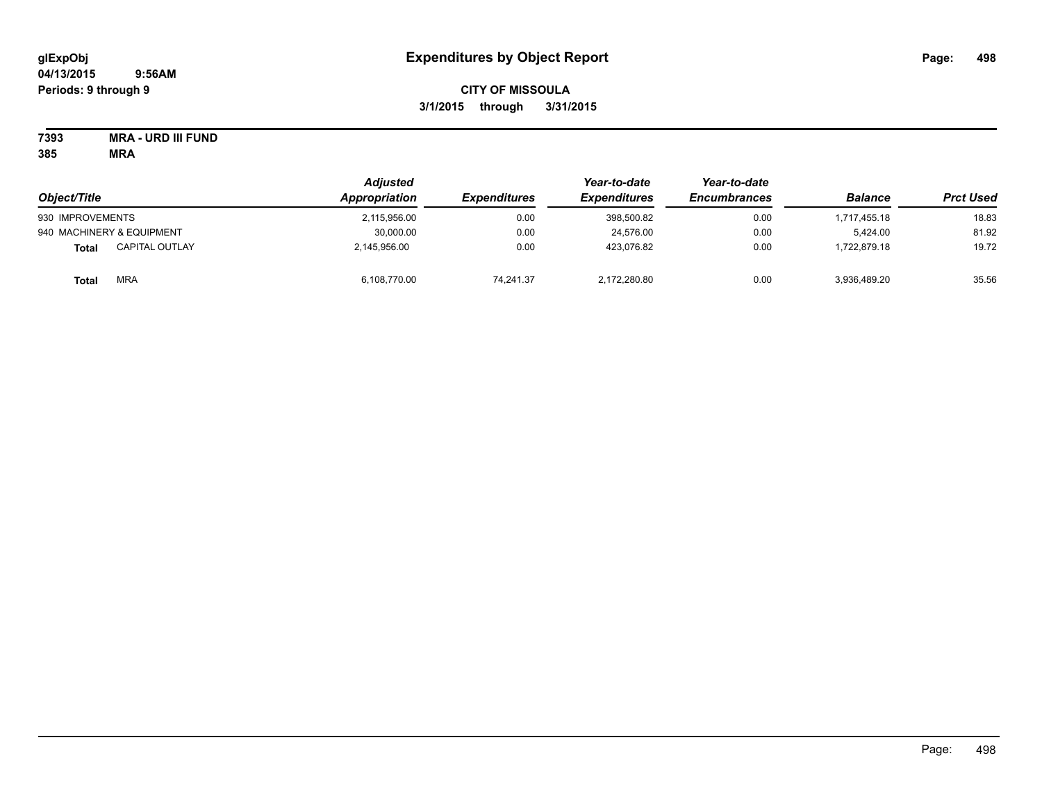# **CITY OF MISSOULA 3/1/2015 through 3/31/2015**

# **7393 MRA - URD III FUND**

| Object/Title              |                       | Adjusted<br>Appropriation |           | Year-to-date<br><b>Expenditures</b><br><i><b>Expenditures</b></i> | Year-to-date<br><b>Encumbrances</b> | <b>Balance</b> | <b>Prct Used</b> |
|---------------------------|-----------------------|---------------------------|-----------|-------------------------------------------------------------------|-------------------------------------|----------------|------------------|
|                           |                       |                           |           |                                                                   |                                     |                |                  |
| 930 IMPROVEMENTS          |                       | 2,115,956.00              | 0.00      | 398.500.82                                                        | 0.00                                | 1.717.455.18   | 18.83            |
| 940 MACHINERY & EQUIPMENT |                       | 30,000.00                 | 0.00      | 24,576.00                                                         | 0.00                                | 5.424.00       | 81.92            |
| <b>Total</b>              | <b>CAPITAL OUTLAY</b> | 2,145,956.00              | 0.00      | 423.076.82                                                        | 0.00                                | 1.722.879.18   | 19.72            |
| <b>Total</b>              | MRA                   | 6,108,770.00              | 74.241.37 | 2,172,280.80                                                      | 0.00                                | 3,936,489.20   | 35.56            |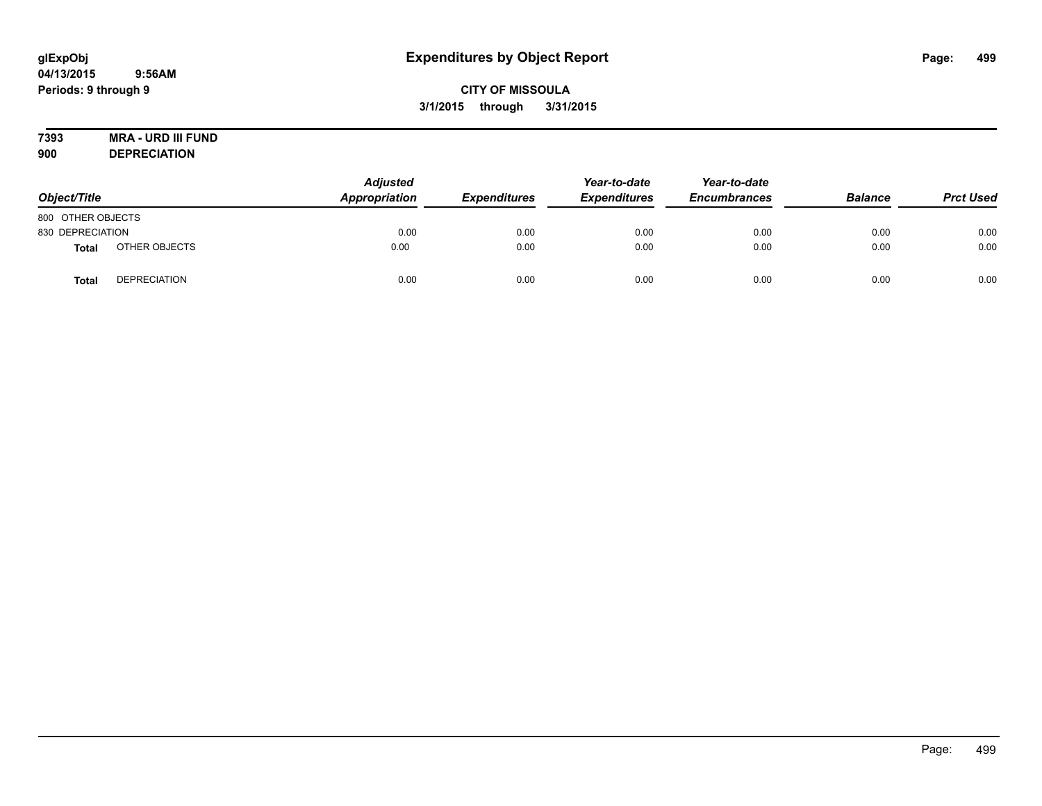# **7393 MRA - URD III FUND**

**900 DEPRECIATION**

| Object/Title      |                     | <b>Adjusted</b><br>Appropriation | <b>Expenditures</b> | Year-to-date<br><b>Expenditures</b> | Year-to-date<br><b>Encumbrances</b> | <b>Balance</b> | <b>Prct Used</b> |
|-------------------|---------------------|----------------------------------|---------------------|-------------------------------------|-------------------------------------|----------------|------------------|
| 800 OTHER OBJECTS |                     |                                  |                     |                                     |                                     |                |                  |
| 830 DEPRECIATION  |                     | 0.00                             | 0.00                | 0.00                                | 0.00                                | 0.00           | 0.00             |
| Total             | OTHER OBJECTS       | 0.00                             | 0.00                | 0.00                                | 0.00                                | 0.00           | 0.00             |
| Tota              | <b>DEPRECIATION</b> | 0.00                             | 0.00                | 0.00                                | 0.00                                | 0.00           | 0.00             |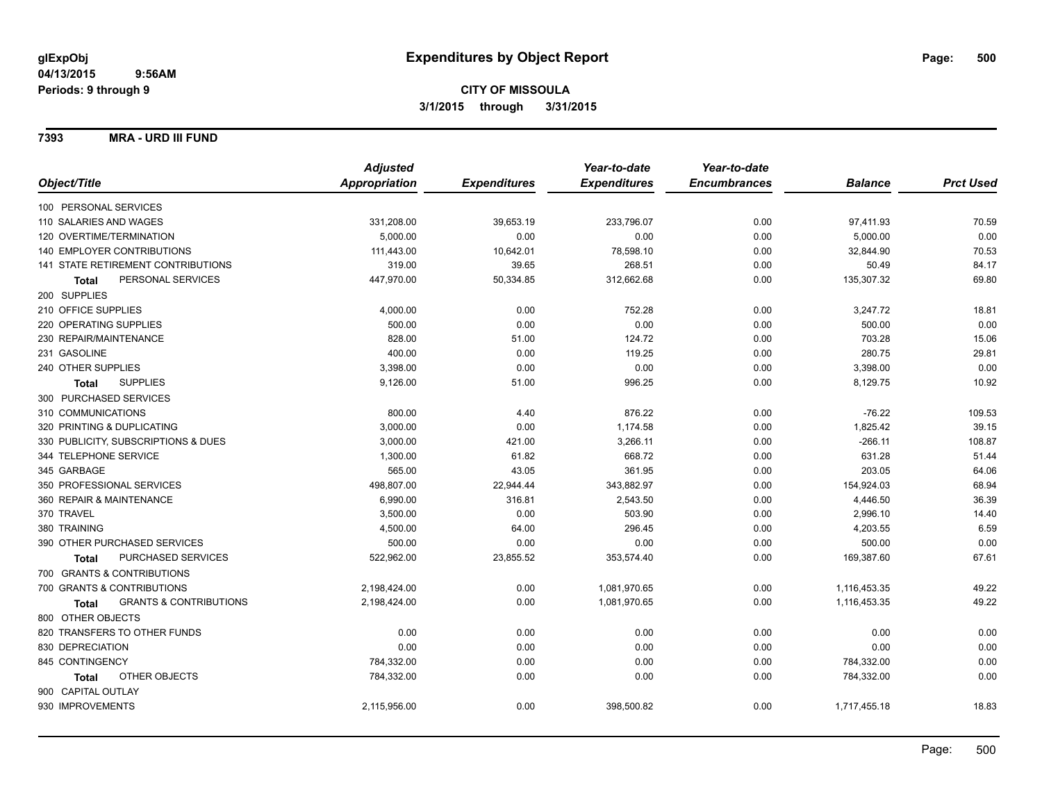**7393 MRA - URD III FUND**

|                                                   | <b>Adjusted</b> |                     | Year-to-date        | Year-to-date        |                |                  |
|---------------------------------------------------|-----------------|---------------------|---------------------|---------------------|----------------|------------------|
| Object/Title                                      | Appropriation   | <b>Expenditures</b> | <b>Expenditures</b> | <b>Encumbrances</b> | <b>Balance</b> | <b>Prct Used</b> |
| 100 PERSONAL SERVICES                             |                 |                     |                     |                     |                |                  |
| 110 SALARIES AND WAGES                            | 331,208.00      | 39,653.19           | 233,796.07          | 0.00                | 97,411.93      | 70.59            |
| 120 OVERTIME/TERMINATION                          | 5,000.00        | 0.00                | 0.00                | 0.00                | 5,000.00       | 0.00             |
| <b>140 EMPLOYER CONTRIBUTIONS</b>                 | 111,443.00      | 10,642.01           | 78,598.10           | 0.00                | 32,844.90      | 70.53            |
| 141 STATE RETIREMENT CONTRIBUTIONS                | 319.00          | 39.65               | 268.51              | 0.00                | 50.49          | 84.17            |
| PERSONAL SERVICES<br>Total                        | 447,970.00      | 50,334.85           | 312,662.68          | 0.00                | 135,307.32     | 69.80            |
| 200 SUPPLIES                                      |                 |                     |                     |                     |                |                  |
| 210 OFFICE SUPPLIES                               | 4,000.00        | 0.00                | 752.28              | 0.00                | 3,247.72       | 18.81            |
| 220 OPERATING SUPPLIES                            | 500.00          | 0.00                | 0.00                | 0.00                | 500.00         | 0.00             |
| 230 REPAIR/MAINTENANCE                            | 828.00          | 51.00               | 124.72              | 0.00                | 703.28         | 15.06            |
| 231 GASOLINE                                      | 400.00          | 0.00                | 119.25              | 0.00                | 280.75         | 29.81            |
| 240 OTHER SUPPLIES                                | 3,398.00        | 0.00                | 0.00                | 0.00                | 3,398.00       | 0.00             |
| <b>SUPPLIES</b><br>Total                          | 9,126.00        | 51.00               | 996.25              | 0.00                | 8,129.75       | 10.92            |
| 300 PURCHASED SERVICES                            |                 |                     |                     |                     |                |                  |
| 310 COMMUNICATIONS                                | 800.00          | 4.40                | 876.22              | 0.00                | $-76.22$       | 109.53           |
| 320 PRINTING & DUPLICATING                        | 3,000.00        | 0.00                | 1,174.58            | 0.00                | 1,825.42       | 39.15            |
| 330 PUBLICITY, SUBSCRIPTIONS & DUES               | 3,000.00        | 421.00              | 3,266.11            | 0.00                | $-266.11$      | 108.87           |
| 344 TELEPHONE SERVICE                             | 1,300.00        | 61.82               | 668.72              | 0.00                | 631.28         | 51.44            |
| 345 GARBAGE                                       | 565.00          | 43.05               | 361.95              | 0.00                | 203.05         | 64.06            |
| 350 PROFESSIONAL SERVICES                         | 498,807.00      | 22,944.44           | 343,882.97          | 0.00                | 154,924.03     | 68.94            |
| 360 REPAIR & MAINTENANCE                          | 6,990.00        | 316.81              | 2,543.50            | 0.00                | 4,446.50       | 36.39            |
| 370 TRAVEL                                        | 3,500.00        | 0.00                | 503.90              | 0.00                | 2,996.10       | 14.40            |
| 380 TRAINING                                      | 4,500.00        | 64.00               | 296.45              | 0.00                | 4,203.55       | 6.59             |
| 390 OTHER PURCHASED SERVICES                      | 500.00          | 0.00                | 0.00                | 0.00                | 500.00         | 0.00             |
| PURCHASED SERVICES<br><b>Total</b>                | 522,962.00      | 23,855.52           | 353,574.40          | 0.00                | 169,387.60     | 67.61            |
| 700 GRANTS & CONTRIBUTIONS                        |                 |                     |                     |                     |                |                  |
| 700 GRANTS & CONTRIBUTIONS                        | 2,198,424.00    | 0.00                | 1,081,970.65        | 0.00                | 1,116,453.35   | 49.22            |
| <b>GRANTS &amp; CONTRIBUTIONS</b><br><b>Total</b> | 2,198,424.00    | 0.00                | 1,081,970.65        | 0.00                | 1,116,453.35   | 49.22            |
| 800 OTHER OBJECTS                                 |                 |                     |                     |                     |                |                  |
| 820 TRANSFERS TO OTHER FUNDS                      | 0.00            | 0.00                | 0.00                | 0.00                | 0.00           | 0.00             |
| 830 DEPRECIATION                                  | 0.00            | 0.00                | 0.00                | 0.00                | 0.00           | 0.00             |
| 845 CONTINGENCY                                   | 784,332.00      | 0.00                | 0.00                | 0.00                | 784,332.00     | 0.00             |
| OTHER OBJECTS<br>Total                            | 784,332.00      | 0.00                | 0.00                | 0.00                | 784,332.00     | 0.00             |
| 900 CAPITAL OUTLAY                                |                 |                     |                     |                     |                |                  |
| 930 IMPROVEMENTS                                  | 2,115,956.00    | 0.00                | 398,500.82          | 0.00                | 1,717,455.18   | 18.83            |
|                                                   |                 |                     |                     |                     |                |                  |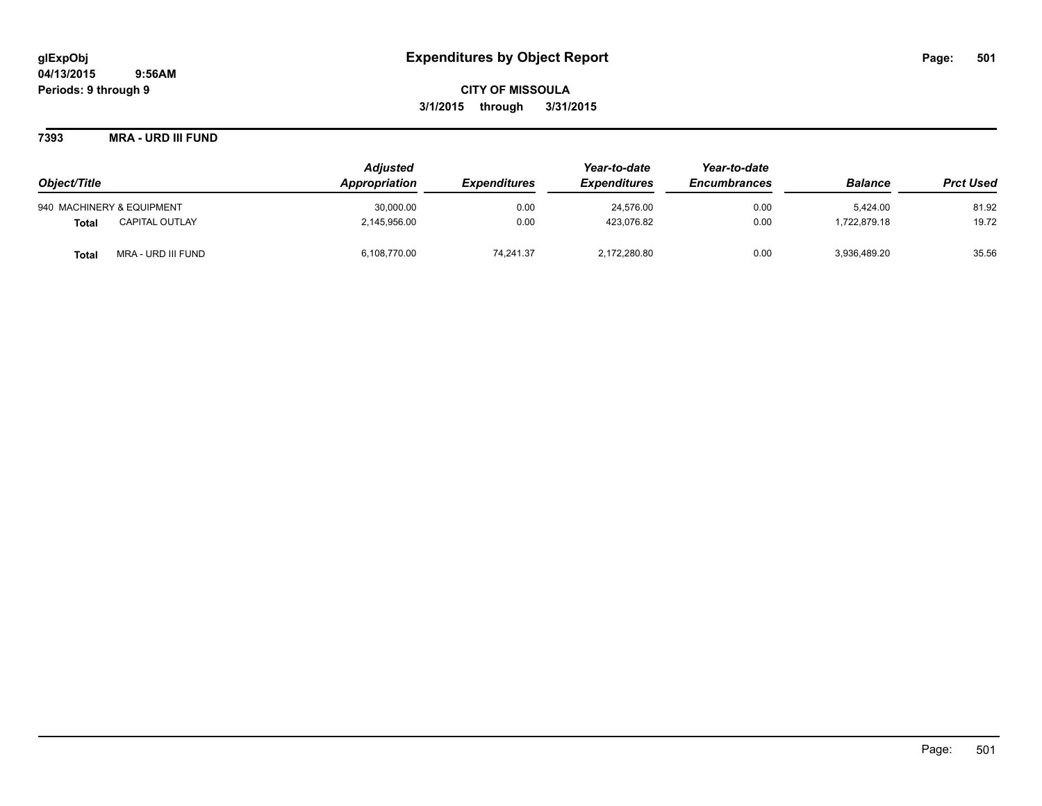**7393 MRA - URD III FUND**

|                                       | <b>Adjusted</b> |                            | Year-to-date<br><i><b>Expenditures</b></i> | Year-to-date<br><b>Encumbrances</b> | <b>Balance</b> | <b>Prct Used</b> |
|---------------------------------------|-----------------|----------------------------|--------------------------------------------|-------------------------------------|----------------|------------------|
| Object/Title                          | Appropriation   | <i><b>Expenditures</b></i> |                                            |                                     |                |                  |
| 940 MACHINERY & EQUIPMENT             | 30.000.00       | 0.00                       | 24.576.00                                  | 0.00                                | 5.424.00       | 81.92            |
| <b>CAPITAL OUTLAY</b><br><b>Total</b> | 2,145,956.00    | 0.00                       | 423.076.82                                 | 0.00                                | .722.879.18    | 19.72            |
| MRA - URD III FUND<br><b>Total</b>    | 6,108,770.00    | 74,241.37                  | 2,172,280.80                               | 0.00                                | 3,936,489.20   | 35.56            |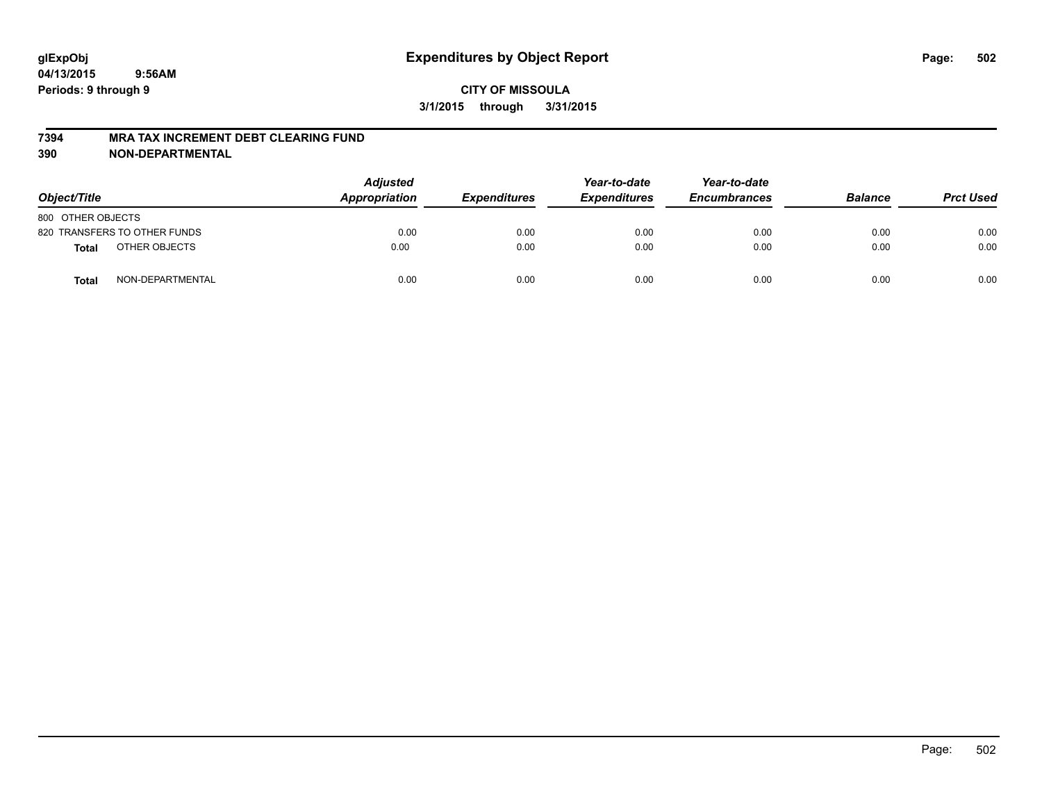#### **7394 MRA TAX INCREMENT DEBT CLEARING FUND**

| Object/Title      |                              | <b>Adjusted</b><br>Appropriation | <b>Expenditures</b> | Year-to-date<br><b>Expenditures</b> | Year-to-date<br><b>Encumbrances</b> | <b>Balance</b> | <b>Prct Used</b> |
|-------------------|------------------------------|----------------------------------|---------------------|-------------------------------------|-------------------------------------|----------------|------------------|
| 800 OTHER OBJECTS |                              |                                  |                     |                                     |                                     |                |                  |
|                   | 820 TRANSFERS TO OTHER FUNDS | 0.00                             | 0.00                | 0.00                                | 0.00                                | 0.00           | 0.00             |
| <b>Total</b>      | OTHER OBJECTS                | 0.00                             | 0.00                | 0.00                                | 0.00                                | 0.00           | 0.00             |
| <b>Total</b>      | NON-DEPARTMENTAL             | 0.00                             | 0.00                | 0.00                                | 0.00                                | 0.00           | 0.00             |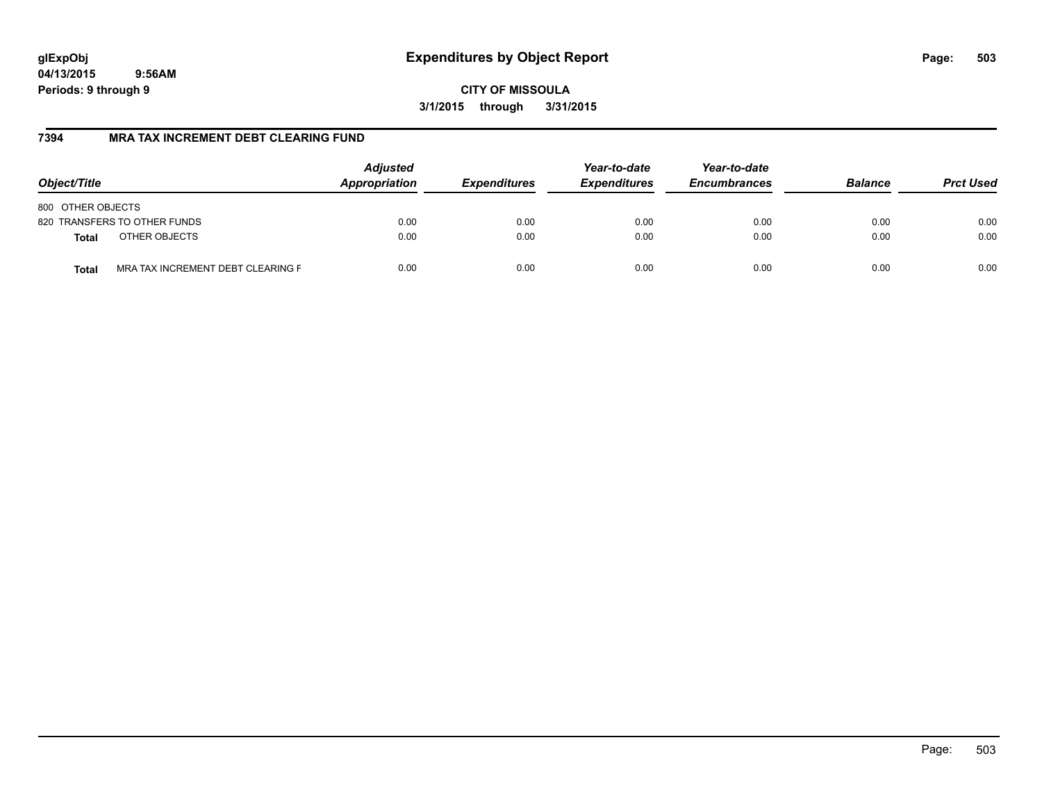**CITY OF MISSOULA 3/1/2015 through 3/31/2015**

# **7394 MRA TAX INCREMENT DEBT CLEARING FUND**

| Object/Title                                      | <b>Adjusted</b><br>Appropriation | <b>Expenditures</b> | Year-to-date<br><b>Expenditures</b> | Year-to-date<br><b>Encumbrances</b> | <b>Balance</b> | <b>Prct Used</b> |
|---------------------------------------------------|----------------------------------|---------------------|-------------------------------------|-------------------------------------|----------------|------------------|
| 800 OTHER OBJECTS                                 |                                  |                     |                                     |                                     |                |                  |
| 820 TRANSFERS TO OTHER FUNDS                      | 0.00                             | 0.00                | 0.00                                | 0.00                                | 0.00           | 0.00             |
| OTHER OBJECTS<br><b>Total</b>                     | 0.00                             | 0.00                | 0.00                                | 0.00                                | 0.00           | 0.00             |
| MRA TAX INCREMENT DEBT CLEARING F<br><b>Total</b> | 0.00                             | 0.00                | 0.00                                | 0.00                                | 0.00           | 0.00             |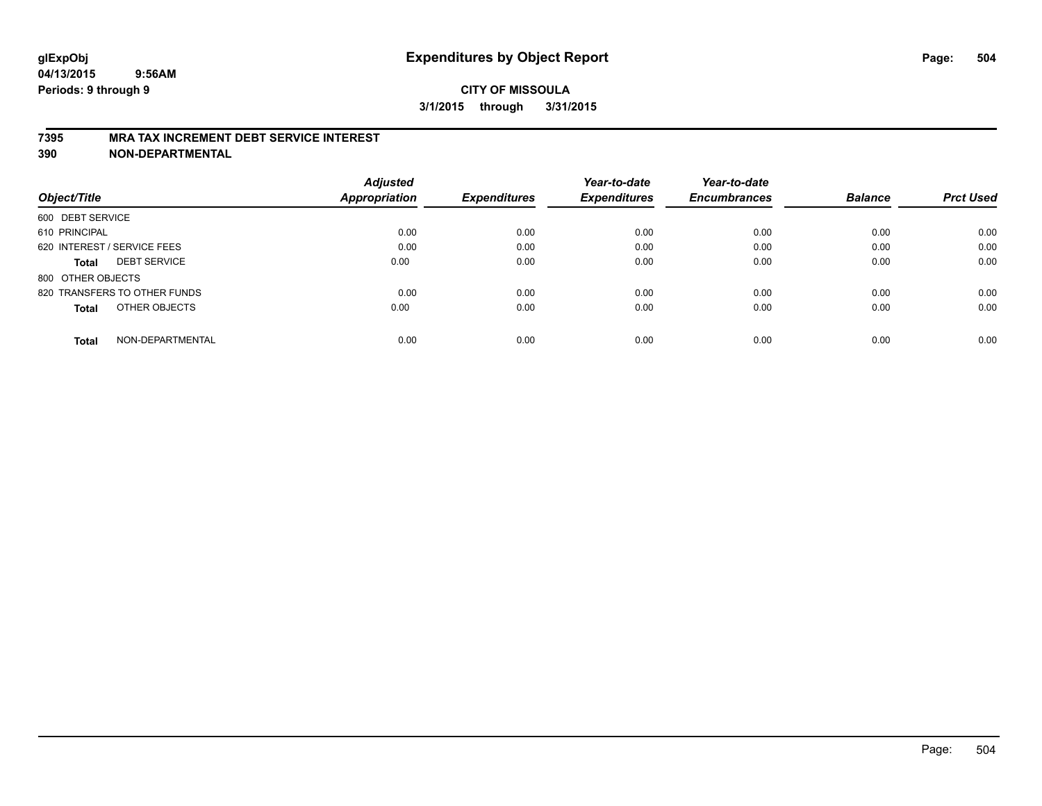# **CITY OF MISSOULA 3/1/2015 through 3/31/2015**

#### **7395 MRA TAX INCREMENT DEBT SERVICE INTEREST**

|                                     | <b>Adjusted</b>      |                     | Year-to-date        | Year-to-date<br><b>Encumbrances</b> | <b>Balance</b> | <b>Prct Used</b> |
|-------------------------------------|----------------------|---------------------|---------------------|-------------------------------------|----------------|------------------|
| Object/Title                        | <b>Appropriation</b> | <b>Expenditures</b> | <b>Expenditures</b> |                                     |                |                  |
| 600 DEBT SERVICE                    |                      |                     |                     |                                     |                |                  |
| 610 PRINCIPAL                       | 0.00                 | 0.00                | 0.00                | 0.00                                | 0.00           | 0.00             |
| 620 INTEREST / SERVICE FEES         | 0.00                 | 0.00                | 0.00                | 0.00                                | 0.00           | 0.00             |
| <b>DEBT SERVICE</b><br><b>Total</b> | 0.00                 | 0.00                | 0.00                | 0.00                                | 0.00           | 0.00             |
| 800 OTHER OBJECTS                   |                      |                     |                     |                                     |                |                  |
| 820 TRANSFERS TO OTHER FUNDS        | 0.00                 | 0.00                | 0.00                | 0.00                                | 0.00           | 0.00             |
| OTHER OBJECTS<br><b>Total</b>       | 0.00                 | 0.00                | 0.00                | 0.00                                | 0.00           | 0.00             |
| NON-DEPARTMENTAL<br>Total           | 0.00                 | 0.00                | 0.00                | 0.00                                | 0.00           | 0.00             |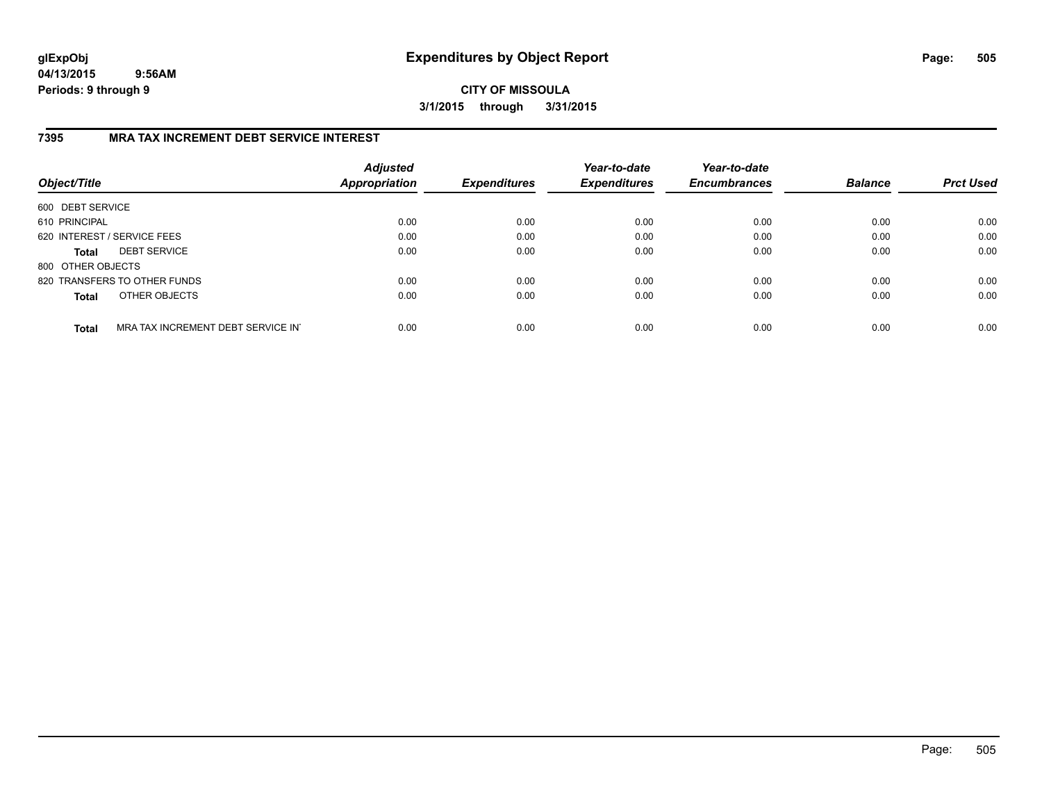**CITY OF MISSOULA 3/1/2015 through 3/31/2015**

## **7395 MRA TAX INCREMENT DEBT SERVICE INTEREST**

| Object/Title      |                                   | <b>Adjusted</b><br><b>Appropriation</b> | <b>Expenditures</b> | Year-to-date<br><b>Expenditures</b> | Year-to-date<br><b>Encumbrances</b> | <b>Balance</b> | <b>Prct Used</b> |
|-------------------|-----------------------------------|-----------------------------------------|---------------------|-------------------------------------|-------------------------------------|----------------|------------------|
| 600 DEBT SERVICE  |                                   |                                         |                     |                                     |                                     |                |                  |
| 610 PRINCIPAL     |                                   | 0.00                                    | 0.00                | 0.00                                | 0.00                                | 0.00           | 0.00             |
|                   | 620 INTEREST / SERVICE FEES       | 0.00                                    | 0.00                | 0.00                                | 0.00                                | 0.00           | 0.00             |
| <b>Total</b>      | <b>DEBT SERVICE</b>               | 0.00                                    | 0.00                | 0.00                                | 0.00                                | 0.00           | 0.00             |
| 800 OTHER OBJECTS |                                   |                                         |                     |                                     |                                     |                |                  |
|                   | 820 TRANSFERS TO OTHER FUNDS      | 0.00                                    | 0.00                | 0.00                                | 0.00                                | 0.00           | 0.00             |
| <b>Total</b>      | OTHER OBJECTS                     | 0.00                                    | 0.00                | 0.00                                | 0.00                                | 0.00           | 0.00             |
| <b>Total</b>      | MRA TAX INCREMENT DEBT SERVICE IN | 0.00                                    | 0.00                | 0.00                                | 0.00                                | 0.00           | 0.00             |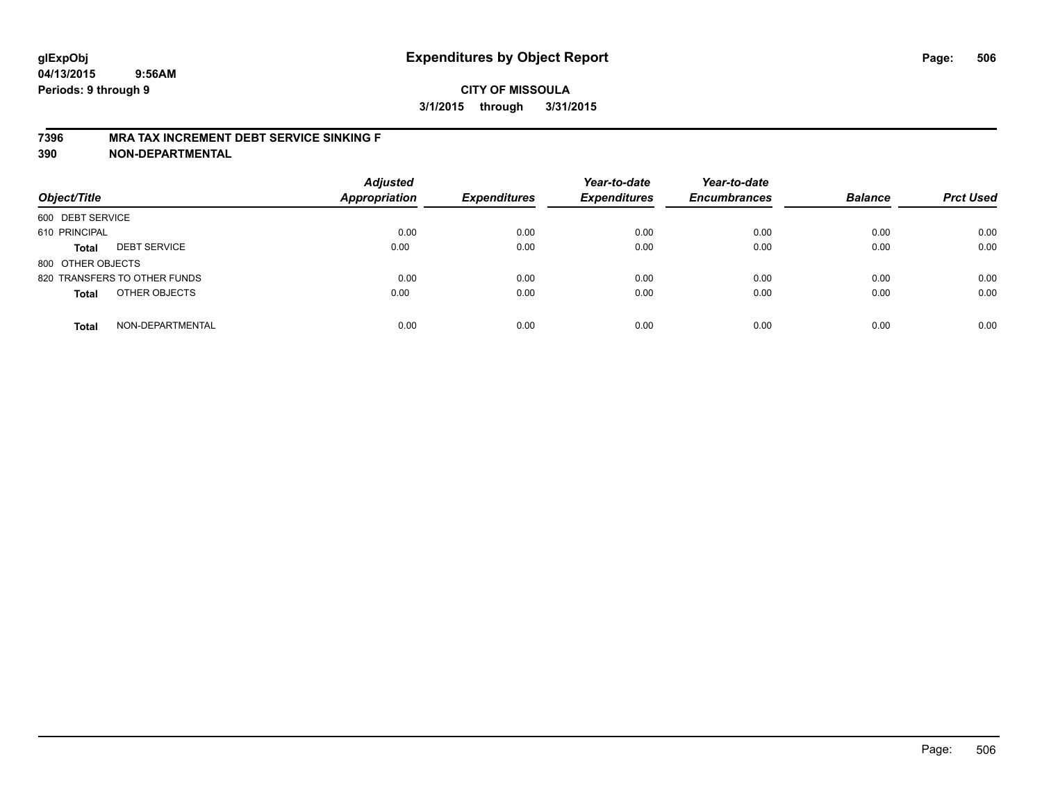#### **7396 MRA TAX INCREMENT DEBT SERVICE SINKING F**

**390 NON-DEPARTMENTAL**

| Object/Title                        | <b>Adjusted</b><br><b>Appropriation</b> | <b>Expenditures</b> | Year-to-date<br><b>Expenditures</b> | Year-to-date<br><b>Encumbrances</b> | <b>Balance</b> | <b>Prct Used</b> |
|-------------------------------------|-----------------------------------------|---------------------|-------------------------------------|-------------------------------------|----------------|------------------|
| 600 DEBT SERVICE                    |                                         |                     |                                     |                                     |                |                  |
| 610 PRINCIPAL                       | 0.00                                    | 0.00                | 0.00                                | 0.00                                | 0.00           | 0.00             |
| <b>DEBT SERVICE</b><br><b>Total</b> | 0.00                                    | 0.00                | 0.00                                | 0.00                                | 0.00           | 0.00             |
| 800 OTHER OBJECTS                   |                                         |                     |                                     |                                     |                |                  |
| 820 TRANSFERS TO OTHER FUNDS        | 0.00                                    | 0.00                | 0.00                                | 0.00                                | 0.00           | 0.00             |
| OTHER OBJECTS<br><b>Total</b>       | 0.00                                    | 0.00                | 0.00                                | 0.00                                | 0.00           | 0.00             |
| NON-DEPARTMENTAL<br><b>Total</b>    | 0.00                                    | 0.00                | 0.00                                | 0.00                                | 0.00           | 0.00             |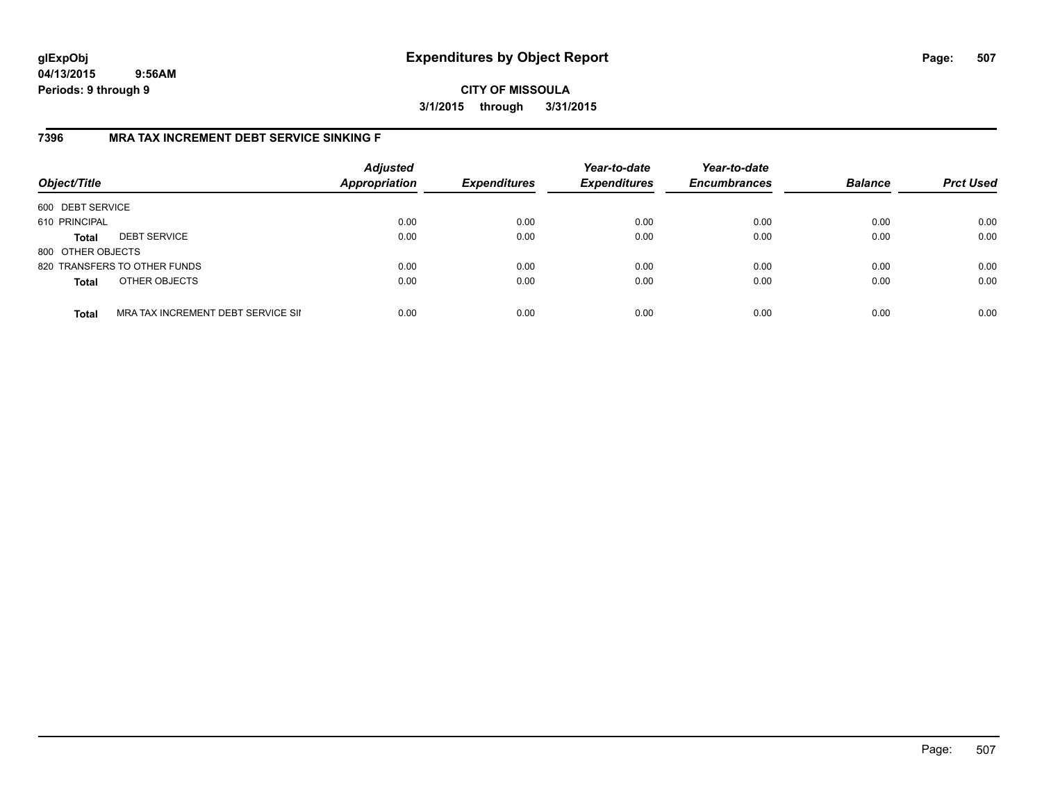**CITY OF MISSOULA 3/1/2015 through 3/31/2015**

### **7396 MRA TAX INCREMENT DEBT SERVICE SINKING F**

| Object/Title      |                                    | <b>Adjusted</b><br><b>Appropriation</b> | <b>Expenditures</b> | Year-to-date<br><b>Expenditures</b> | Year-to-date<br><b>Encumbrances</b> | <b>Balance</b> | <b>Prct Used</b> |
|-------------------|------------------------------------|-----------------------------------------|---------------------|-------------------------------------|-------------------------------------|----------------|------------------|
| 600 DEBT SERVICE  |                                    |                                         |                     |                                     |                                     |                |                  |
| 610 PRINCIPAL     |                                    | 0.00                                    | 0.00                | 0.00                                | 0.00                                | 0.00           | 0.00             |
| <b>Total</b>      | <b>DEBT SERVICE</b>                | 0.00                                    | 0.00                | 0.00                                | 0.00                                | 0.00           | 0.00             |
| 800 OTHER OBJECTS |                                    |                                         |                     |                                     |                                     |                |                  |
|                   | 820 TRANSFERS TO OTHER FUNDS       | 0.00                                    | 0.00                | 0.00                                | 0.00                                | 0.00           | 0.00             |
| <b>Total</b>      | OTHER OBJECTS                      | 0.00                                    | 0.00                | 0.00                                | 0.00                                | 0.00           | 0.00             |
| <b>Total</b>      | MRA TAX INCREMENT DEBT SERVICE SII | 0.00                                    | 0.00                | 0.00                                | 0.00                                | 0.00           | 0.00             |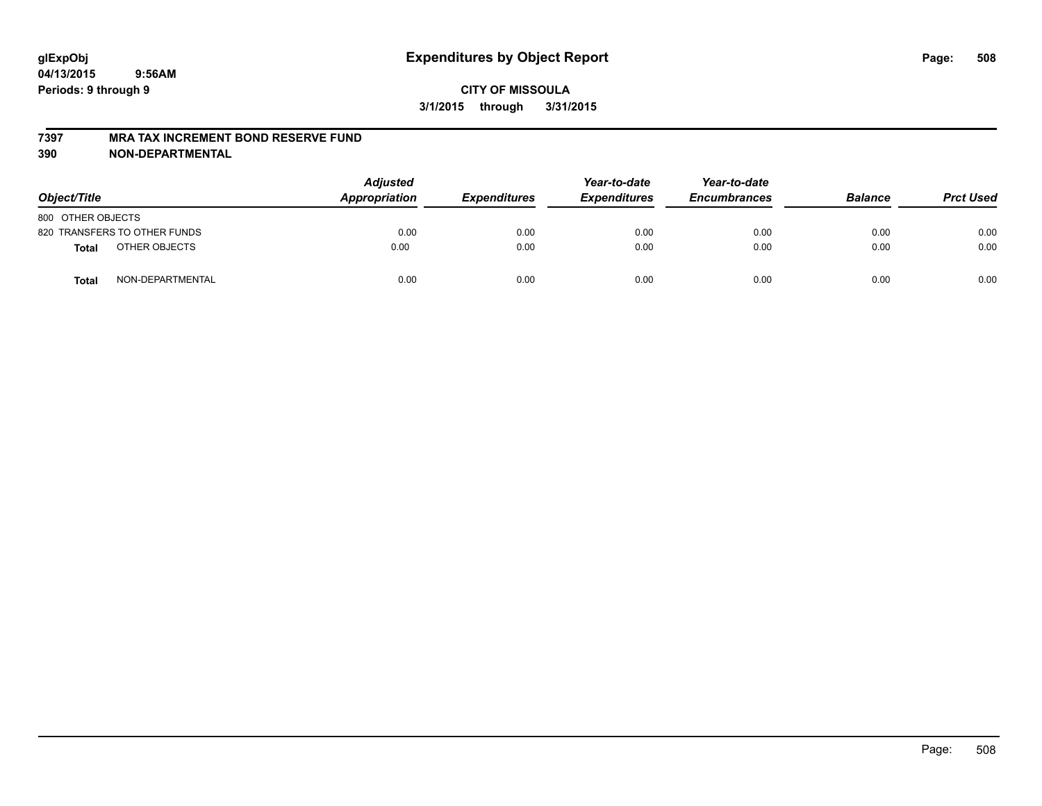#### **7397 MRA TAX INCREMENT BOND RESERVE FUND**

**390 NON-DEPARTMENTAL**

| Object/Title                     | <b>Adjusted</b><br><b>Appropriation</b> | <b>Expenditures</b> | Year-to-date<br><b>Expenditures</b> | Year-to-date<br><b>Encumbrances</b> | <b>Balance</b> | <b>Prct Used</b> |
|----------------------------------|-----------------------------------------|---------------------|-------------------------------------|-------------------------------------|----------------|------------------|
| 800 OTHER OBJECTS                |                                         |                     |                                     |                                     |                |                  |
| 820 TRANSFERS TO OTHER FUNDS     | 0.00                                    | 0.00                | 0.00                                | 0.00                                | 0.00           | 0.00             |
| OTHER OBJECTS<br><b>Total</b>    | 0.00                                    | 0.00                | 0.00                                | 0.00                                | 0.00           | 0.00             |
| NON-DEPARTMENTAL<br><b>Total</b> | 0.00                                    | 0.00                | 0.00                                | 0.00                                | 0.00           | 0.00             |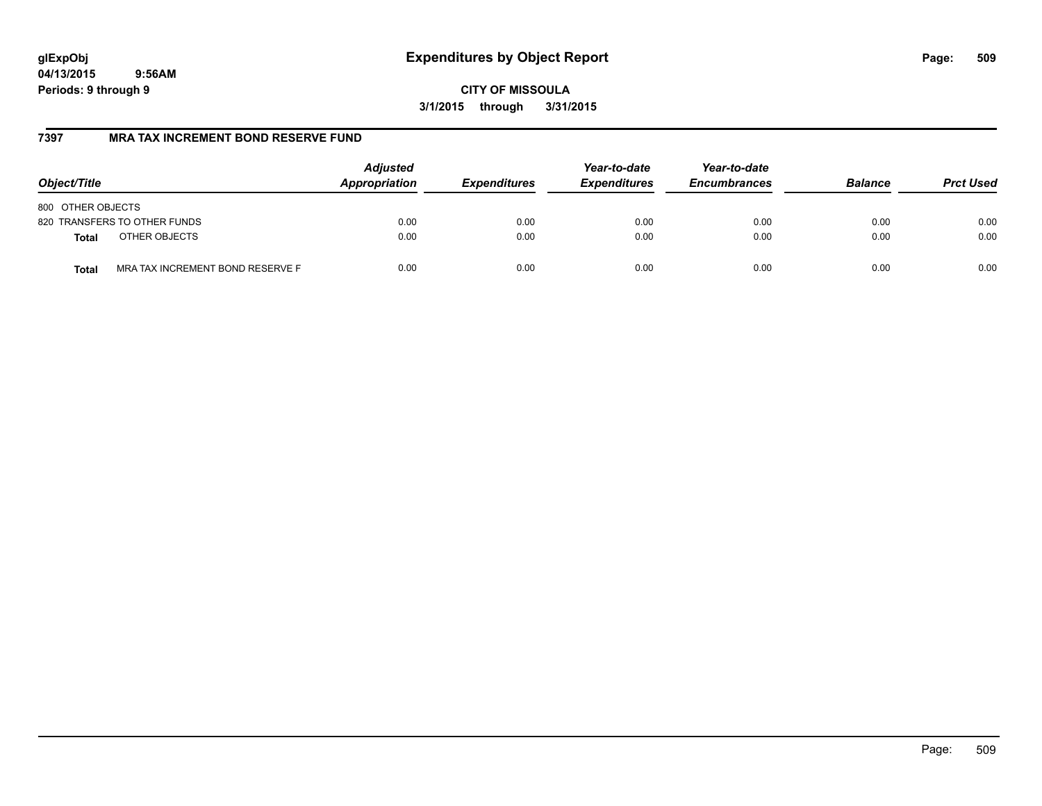# **glExpObj Expenditures by Object Report Page: 509**

**04/13/2015 9:56AM Periods: 9 through 9**

**3/1/2015 through 3/31/2015**

# **7397 MRA TAX INCREMENT BOND RESERVE FUND**

| Object/Title                                     | <b>Adjusted</b><br>Appropriation<br><b>Expenditures</b> | Year-to-date<br><b>Expenditures</b> | Year-to-date<br><b>Encumbrances</b> | <b>Balance</b> | <b>Prct Used</b> |      |
|--------------------------------------------------|---------------------------------------------------------|-------------------------------------|-------------------------------------|----------------|------------------|------|
| 800 OTHER OBJECTS                                |                                                         |                                     |                                     |                |                  |      |
| 820 TRANSFERS TO OTHER FUNDS                     | 0.00                                                    | 0.00                                | 0.00                                | 0.00           | 0.00             | 0.00 |
| OTHER OBJECTS<br><b>Total</b>                    | 0.00                                                    | 0.00                                | 0.00                                | 0.00           | 0.00             | 0.00 |
| MRA TAX INCREMENT BOND RESERVE F<br><b>Total</b> | 0.00                                                    | 0.00                                | 0.00                                | 0.00           | 0.00             | 0.00 |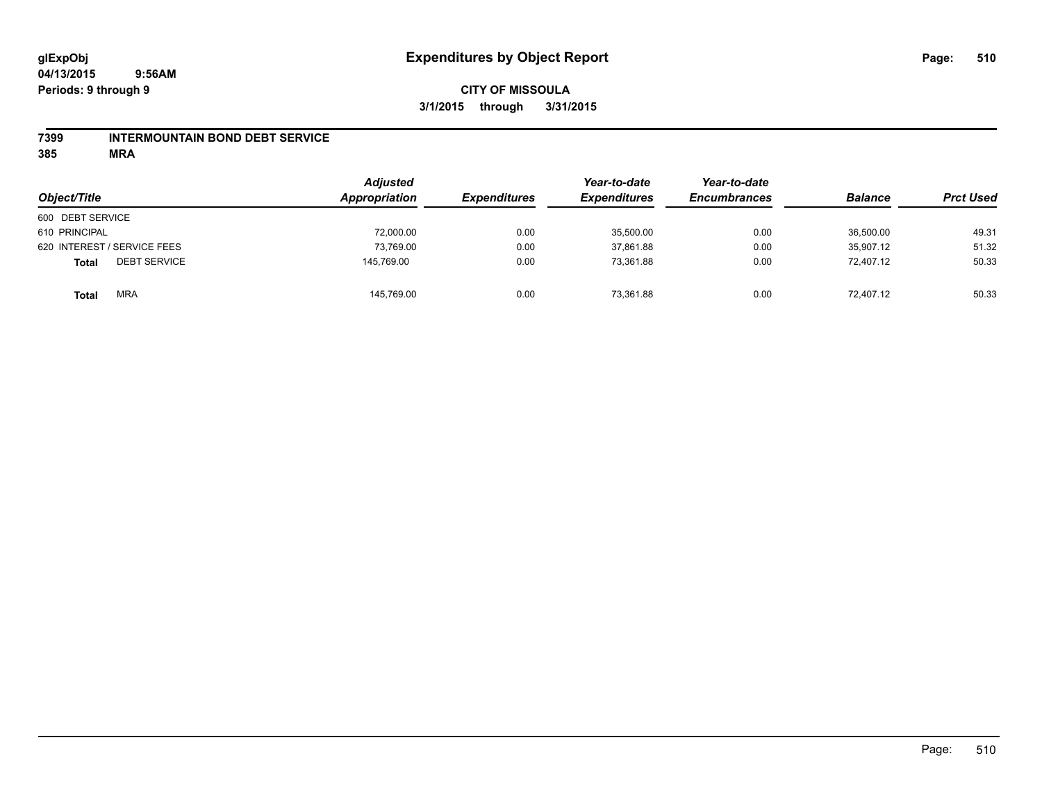### **7399 INTERMOUNTAIN BOND DEBT SERVICE**

**385 MRA**

| Object/Title                        | <b>Adjusted</b><br>Appropriation | <b>Expenditures</b> | Year-to-date<br><b>Expenditures</b> | Year-to-date<br><b>Encumbrances</b> | <b>Balance</b> | <b>Prct Used</b> |
|-------------------------------------|----------------------------------|---------------------|-------------------------------------|-------------------------------------|----------------|------------------|
| 600 DEBT SERVICE                    |                                  |                     |                                     |                                     |                |                  |
| 610 PRINCIPAL                       | 72,000.00                        | 0.00                | 35,500.00                           | 0.00                                | 36,500.00      | 49.31            |
| 620 INTEREST / SERVICE FEES         | 73,769.00                        | 0.00                | 37,861.88                           | 0.00                                | 35,907.12      | 51.32            |
| <b>DEBT SERVICE</b><br><b>Total</b> | 145,769.00                       | 0.00                | 73.361.88                           | 0.00                                | 72,407.12      | 50.33            |
| <b>MRA</b><br><b>Total</b>          | 145,769.00                       | 0.00                | 73.361.88                           | 0.00                                | 72.407.12      | 50.33            |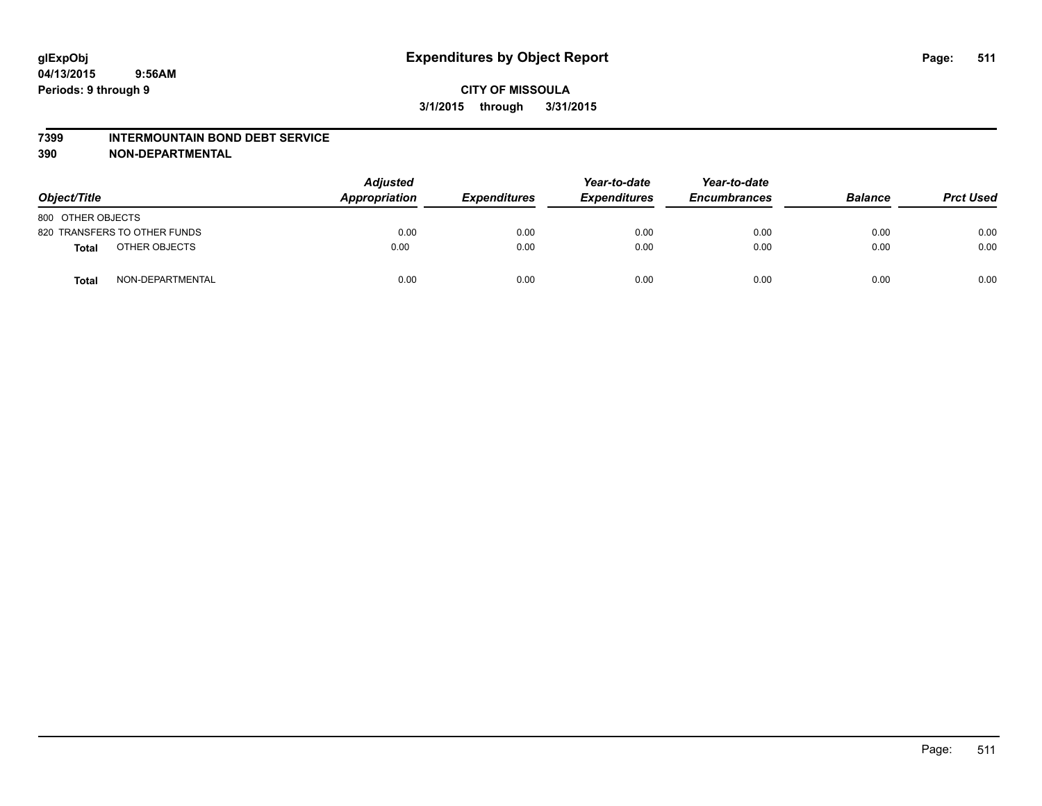#### **7399 INTERMOUNTAIN BOND DEBT SERVICE**

**390 NON-DEPARTMENTAL**

| Object/Title                     | <b>Adjusted</b><br>Appropriation | <b>Expenditures</b> | Year-to-date<br><b>Expenditures</b> | Year-to-date<br><b>Encumbrances</b> | <b>Balance</b> | <b>Prct Used</b> |
|----------------------------------|----------------------------------|---------------------|-------------------------------------|-------------------------------------|----------------|------------------|
| 800 OTHER OBJECTS                |                                  |                     |                                     |                                     |                |                  |
| 820 TRANSFERS TO OTHER FUNDS     | 0.00                             | 0.00                | 0.00                                | 0.00                                | 0.00           | 0.00             |
| OTHER OBJECTS<br><b>Total</b>    | 0.00                             | 0.00                | 0.00                                | 0.00                                | 0.00           | 0.00             |
| NON-DEPARTMENTAL<br><b>Total</b> | 0.00                             | 0.00                | 0.00                                | 0.00                                | 0.00           | 0.00             |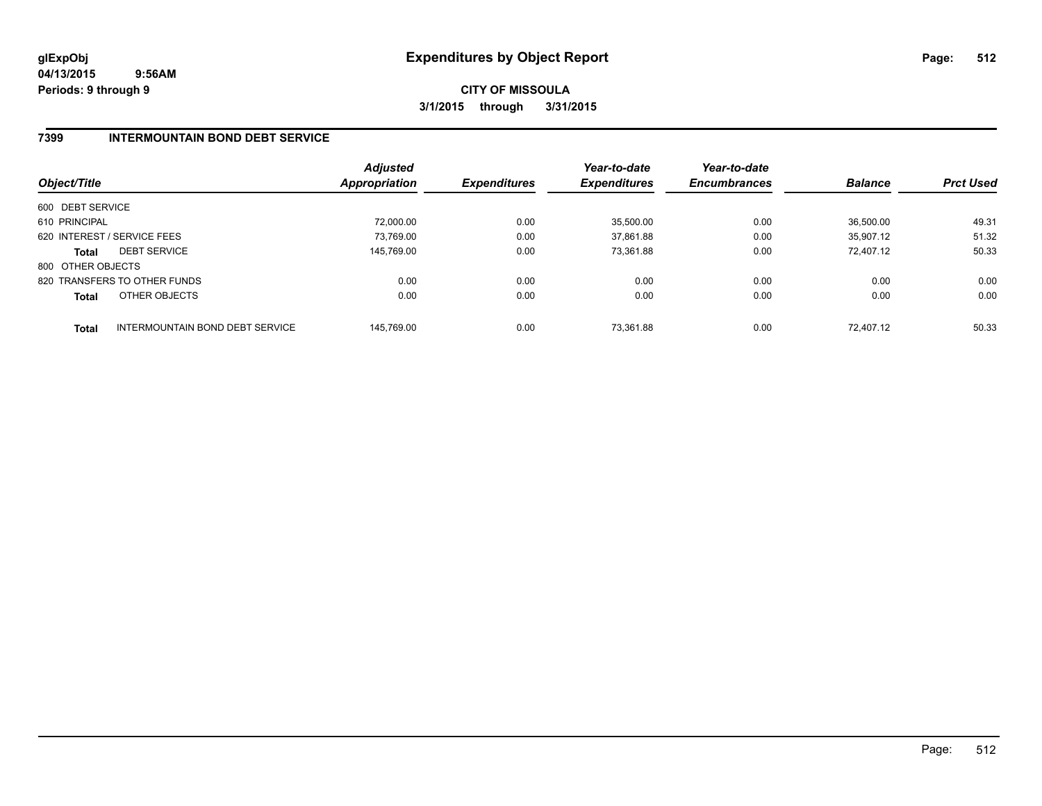**CITY OF MISSOULA 3/1/2015 through 3/31/2015**

## **7399 INTERMOUNTAIN BOND DEBT SERVICE**

| Object/Title                |                                 | <b>Adjusted</b><br>Appropriation | <b>Expenditures</b> | Year-to-date<br><b>Expenditures</b> | Year-to-date<br><b>Encumbrances</b> | <b>Balance</b> | <b>Prct Used</b> |
|-----------------------------|---------------------------------|----------------------------------|---------------------|-------------------------------------|-------------------------------------|----------------|------------------|
| 600 DEBT SERVICE            |                                 |                                  |                     |                                     |                                     |                |                  |
| 610 PRINCIPAL               |                                 | 72,000.00                        | 0.00                | 35,500.00                           | 0.00                                | 36.500.00      | 49.31            |
| 620 INTEREST / SERVICE FEES |                                 | 73,769.00                        | 0.00                | 37,861.88                           | 0.00                                | 35.907.12      | 51.32            |
| <b>Total</b>                | <b>DEBT SERVICE</b>             | 145.769.00                       | 0.00                | 73,361.88                           | 0.00                                | 72.407.12      | 50.33            |
| 800 OTHER OBJECTS           |                                 |                                  |                     |                                     |                                     |                |                  |
|                             | 820 TRANSFERS TO OTHER FUNDS    | 0.00                             | 0.00                | 0.00                                | 0.00                                | 0.00           | 0.00             |
| <b>Total</b>                | OTHER OBJECTS                   | 0.00                             | 0.00                | 0.00                                | 0.00                                | 0.00           | 0.00             |
| <b>Total</b>                | INTERMOUNTAIN BOND DEBT SERVICE | 145.769.00                       | 0.00                | 73.361.88                           | 0.00                                | 72.407.12      | 50.33            |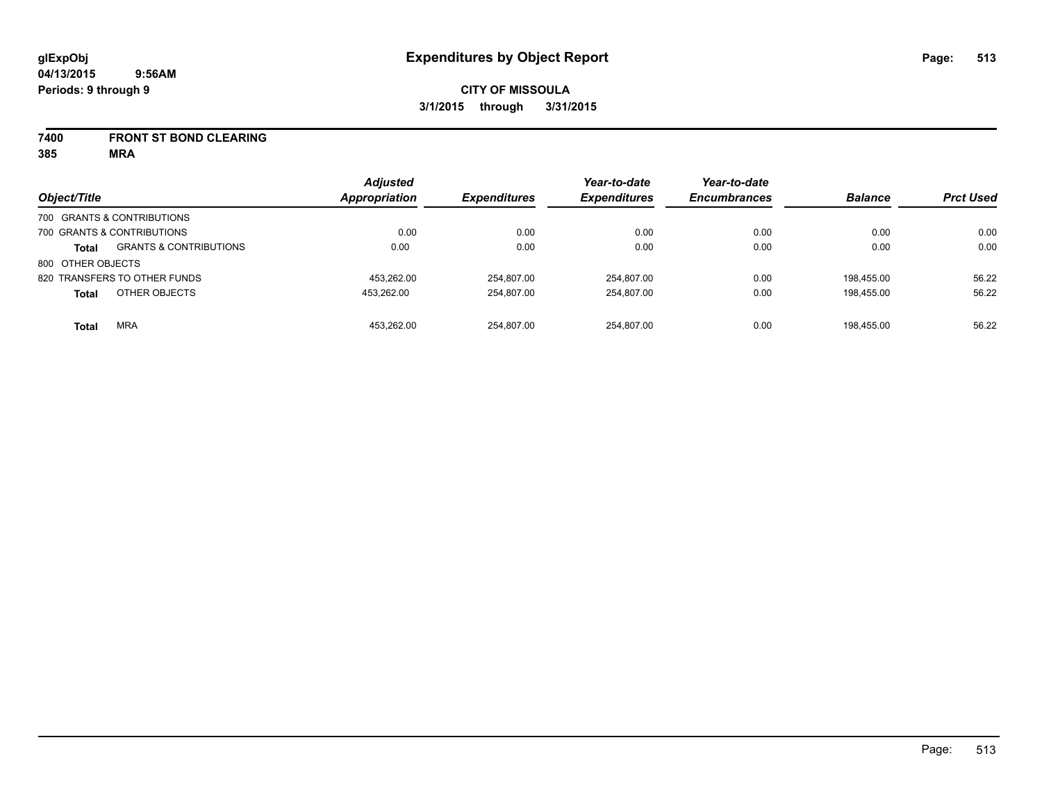**7400 FRONT ST BOND CLEARING**

**385 MRA**

| Object/Title      |                                   | <b>Adjusted</b><br>Appropriation | <b>Expenditures</b> | Year-to-date<br><b>Expenditures</b> | Year-to-date<br><b>Encumbrances</b> | <b>Balance</b> | <b>Prct Used</b> |
|-------------------|-----------------------------------|----------------------------------|---------------------|-------------------------------------|-------------------------------------|----------------|------------------|
|                   | 700 GRANTS & CONTRIBUTIONS        |                                  |                     |                                     |                                     |                |                  |
|                   | 700 GRANTS & CONTRIBUTIONS        | 0.00                             | 0.00                | 0.00                                | 0.00                                | 0.00           | 0.00             |
| <b>Total</b>      | <b>GRANTS &amp; CONTRIBUTIONS</b> | 0.00                             | 0.00                | 0.00                                | 0.00                                | 0.00           | 0.00             |
| 800 OTHER OBJECTS |                                   |                                  |                     |                                     |                                     |                |                  |
|                   | 820 TRANSFERS TO OTHER FUNDS      | 453.262.00                       | 254.807.00          | 254,807.00                          | 0.00                                | 198.455.00     | 56.22            |
| <b>Total</b>      | OTHER OBJECTS                     | 453.262.00                       | 254.807.00          | 254,807.00                          | 0.00                                | 198.455.00     | 56.22            |
| <b>Total</b>      | <b>MRA</b>                        | 453.262.00                       | 254.807.00          | 254.807.00                          | 0.00                                | 198.455.00     | 56.22            |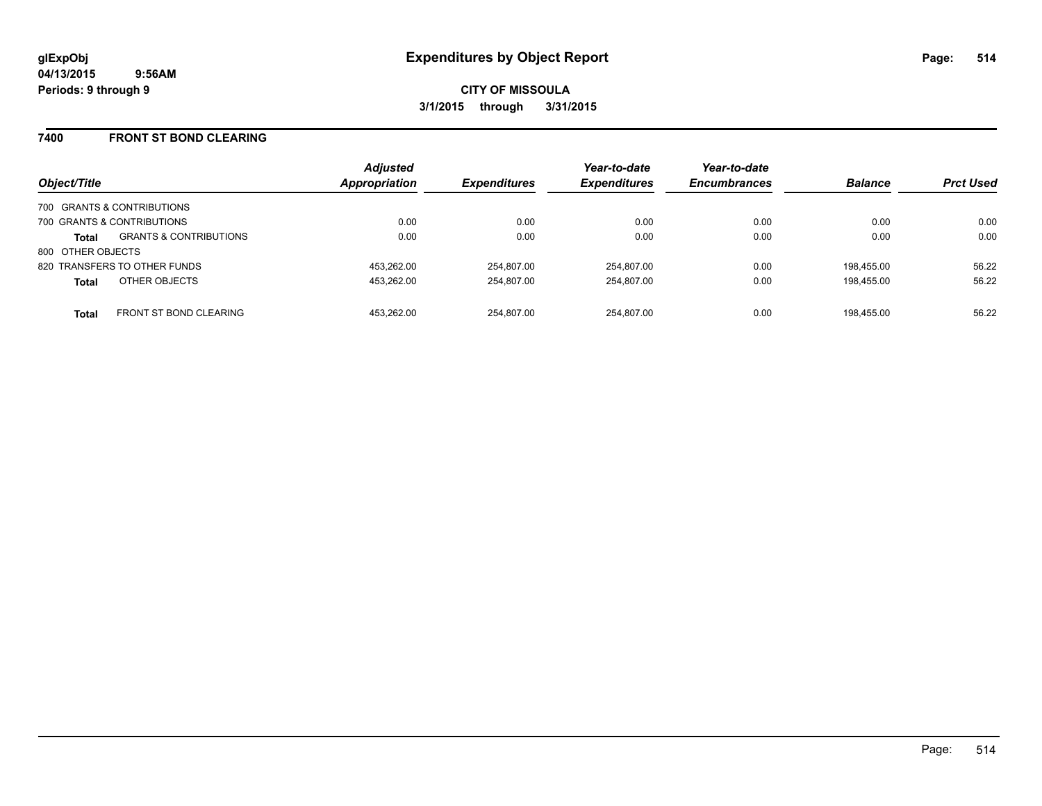#### **7400 FRONT ST BOND CLEARING**

| Object/Title      |                                   | <b>Adjusted</b><br><b>Appropriation</b> | <b>Expenditures</b> | Year-to-date<br><b>Expenditures</b> | Year-to-date<br><b>Encumbrances</b> | <b>Balance</b> | <b>Prct Used</b> |
|-------------------|-----------------------------------|-----------------------------------------|---------------------|-------------------------------------|-------------------------------------|----------------|------------------|
|                   | 700 GRANTS & CONTRIBUTIONS        |                                         |                     |                                     |                                     |                |                  |
|                   | 700 GRANTS & CONTRIBUTIONS        | 0.00                                    | 0.00                | 0.00                                | 0.00                                | 0.00           | 0.00             |
| <b>Total</b>      | <b>GRANTS &amp; CONTRIBUTIONS</b> | 0.00                                    | 0.00                | 0.00                                | 0.00                                | 0.00           | 0.00             |
| 800 OTHER OBJECTS |                                   |                                         |                     |                                     |                                     |                |                  |
|                   | 820 TRANSFERS TO OTHER FUNDS      | 453.262.00                              | 254.807.00          | 254.807.00                          | 0.00                                | 198.455.00     | 56.22            |
| <b>Total</b>      | OTHER OBJECTS                     | 453.262.00                              | 254.807.00          | 254,807.00                          | 0.00                                | 198.455.00     | 56.22            |
| <b>Total</b>      | <b>FRONT ST BOND CLEARING</b>     | 453.262.00                              | 254.807.00          | 254.807.00                          | 0.00                                | 198.455.00     | 56.22            |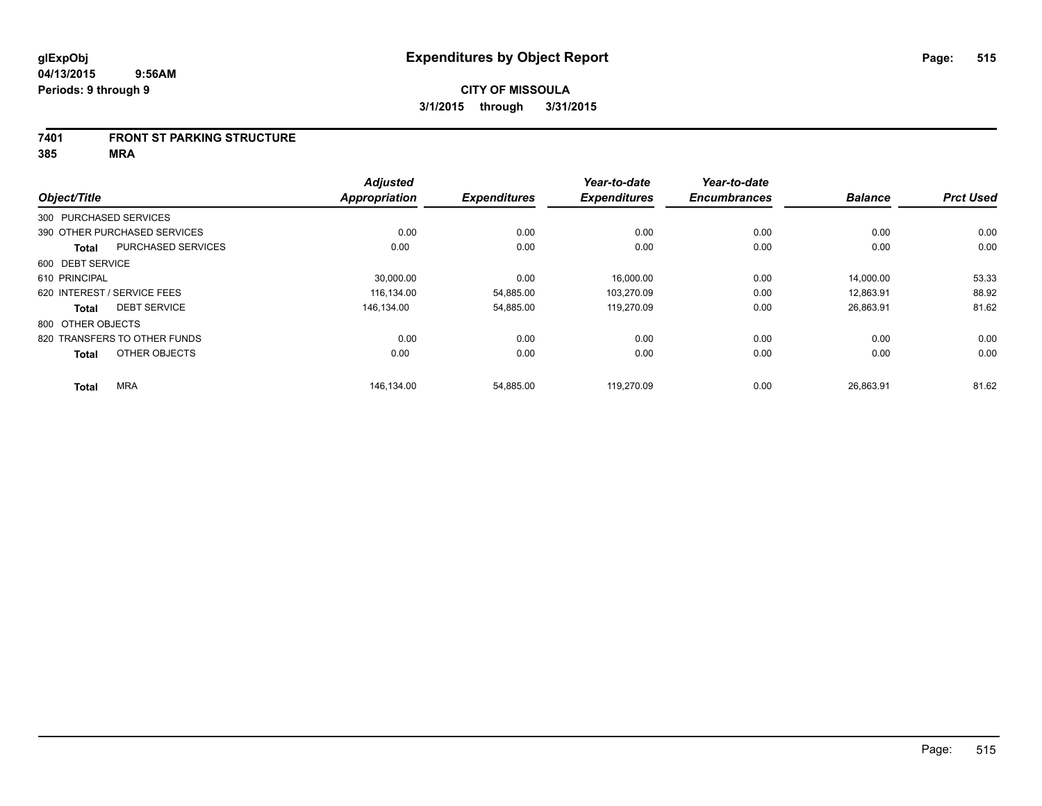#### **7401 FRONT ST PARKING STRUCTURE**

**385 MRA**

|                        |                              | <b>Adjusted</b>      |                     | Year-to-date        | Year-to-date        |                |                  |
|------------------------|------------------------------|----------------------|---------------------|---------------------|---------------------|----------------|------------------|
| Object/Title           |                              | <b>Appropriation</b> | <b>Expenditures</b> | <b>Expenditures</b> | <b>Encumbrances</b> | <b>Balance</b> | <b>Prct Used</b> |
| 300 PURCHASED SERVICES |                              |                      |                     |                     |                     |                |                  |
|                        | 390 OTHER PURCHASED SERVICES | 0.00                 | 0.00                | 0.00                | 0.00                | 0.00           | 0.00             |
| <b>Total</b>           | <b>PURCHASED SERVICES</b>    | 0.00                 | 0.00                | 0.00                | 0.00                | 0.00           | 0.00             |
| 600 DEBT SERVICE       |                              |                      |                     |                     |                     |                |                  |
| 610 PRINCIPAL          |                              | 30,000.00            | 0.00                | 16,000.00           | 0.00                | 14,000.00      | 53.33            |
|                        | 620 INTEREST / SERVICE FEES  | 116,134.00           | 54,885.00           | 103,270.09          | 0.00                | 12,863.91      | 88.92            |
| <b>Total</b>           | <b>DEBT SERVICE</b>          | 146.134.00           | 54,885.00           | 119,270.09          | 0.00                | 26,863.91      | 81.62            |
| 800 OTHER OBJECTS      |                              |                      |                     |                     |                     |                |                  |
|                        | 820 TRANSFERS TO OTHER FUNDS | 0.00                 | 0.00                | 0.00                | 0.00                | 0.00           | 0.00             |
| <b>Total</b>           | OTHER OBJECTS                | 0.00                 | 0.00                | 0.00                | 0.00                | 0.00           | 0.00             |
| <b>Total</b>           | <b>MRA</b>                   | 146,134.00           | 54,885.00           | 119,270.09          | 0.00                | 26,863.91      | 81.62            |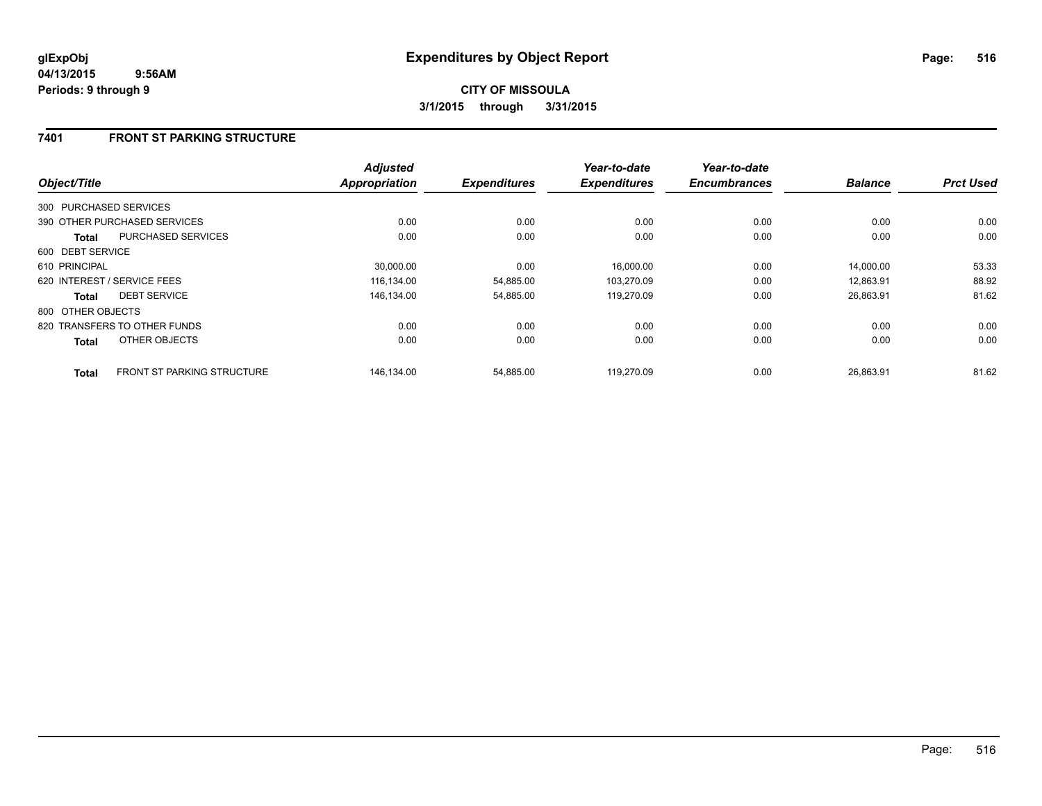### **7401 FRONT ST PARKING STRUCTURE**

| Object/Title                                      | <b>Adjusted</b><br>Appropriation | <b>Expenditures</b> | Year-to-date<br><b>Expenditures</b> | Year-to-date<br><b>Encumbrances</b> | <b>Balance</b> | <b>Prct Used</b> |
|---------------------------------------------------|----------------------------------|---------------------|-------------------------------------|-------------------------------------|----------------|------------------|
| 300 PURCHASED SERVICES                            |                                  |                     |                                     |                                     |                |                  |
| 390 OTHER PURCHASED SERVICES                      | 0.00                             | 0.00                | 0.00                                | 0.00                                | 0.00           | 0.00             |
| <b>PURCHASED SERVICES</b><br><b>Total</b>         | 0.00                             | 0.00                | 0.00                                | 0.00                                | 0.00           | 0.00             |
| 600 DEBT SERVICE                                  |                                  |                     |                                     |                                     |                |                  |
| 610 PRINCIPAL                                     | 30,000.00                        | 0.00                | 16,000.00                           | 0.00                                | 14.000.00      | 53.33            |
| 620 INTEREST / SERVICE FEES                       | 116.134.00                       | 54,885.00           | 103,270.09                          | 0.00                                | 12,863.91      | 88.92            |
| <b>DEBT SERVICE</b><br><b>Total</b>               | 146,134.00                       | 54,885.00           | 119.270.09                          | 0.00                                | 26,863.91      | 81.62            |
| 800 OTHER OBJECTS                                 |                                  |                     |                                     |                                     |                |                  |
| 820 TRANSFERS TO OTHER FUNDS                      | 0.00                             | 0.00                | 0.00                                | 0.00                                | 0.00           | 0.00             |
| OTHER OBJECTS<br><b>Total</b>                     | 0.00                             | 0.00                | 0.00                                | 0.00                                | 0.00           | 0.00             |
| <b>FRONT ST PARKING STRUCTURE</b><br><b>Total</b> | 146.134.00                       | 54.885.00           | 119.270.09                          | 0.00                                | 26.863.91      | 81.62            |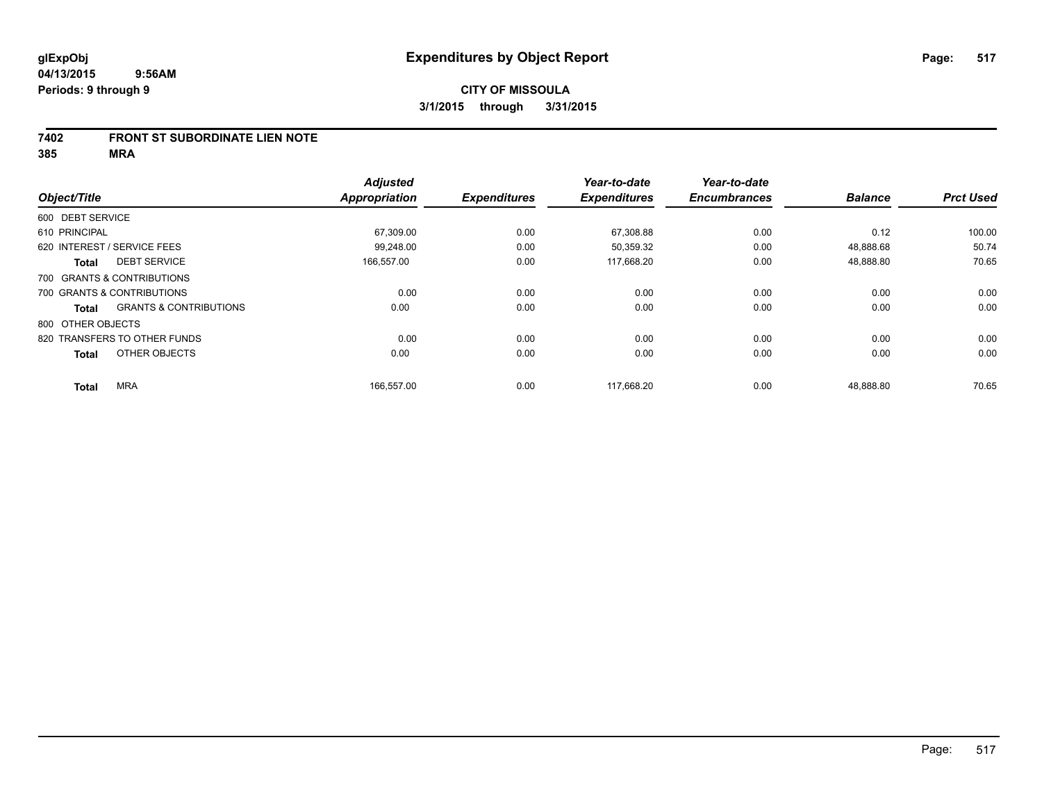## **7402 FRONT ST SUBORDINATE LIEN NOTE**

**385 MRA**

|                                                   | <b>Adjusted</b>      |                     | Year-to-date        | Year-to-date        |                |                  |
|---------------------------------------------------|----------------------|---------------------|---------------------|---------------------|----------------|------------------|
| Object/Title                                      | <b>Appropriation</b> | <b>Expenditures</b> | <b>Expenditures</b> | <b>Encumbrances</b> | <b>Balance</b> | <b>Prct Used</b> |
| 600 DEBT SERVICE                                  |                      |                     |                     |                     |                |                  |
| 610 PRINCIPAL                                     | 67,309.00            | 0.00                | 67,308.88           | 0.00                | 0.12           | 100.00           |
| 620 INTEREST / SERVICE FEES                       | 99.248.00            | 0.00                | 50,359.32           | 0.00                | 48,888.68      | 50.74            |
| <b>DEBT SERVICE</b><br><b>Total</b>               | 166,557.00           | 0.00                | 117,668.20          | 0.00                | 48,888.80      | 70.65            |
| 700 GRANTS & CONTRIBUTIONS                        |                      |                     |                     |                     |                |                  |
| 700 GRANTS & CONTRIBUTIONS                        | 0.00                 | 0.00                | 0.00                | 0.00                | 0.00           | 0.00             |
| <b>GRANTS &amp; CONTRIBUTIONS</b><br><b>Total</b> | 0.00                 | 0.00                | 0.00                | 0.00                | 0.00           | 0.00             |
| 800 OTHER OBJECTS                                 |                      |                     |                     |                     |                |                  |
| 820 TRANSFERS TO OTHER FUNDS                      | 0.00                 | 0.00                | 0.00                | 0.00                | 0.00           | 0.00             |
| OTHER OBJECTS<br><b>Total</b>                     | 0.00                 | 0.00                | 0.00                | 0.00                | 0.00           | 0.00             |
|                                                   |                      |                     |                     |                     |                |                  |
| <b>MRA</b><br><b>Total</b>                        | 166,557.00           | 0.00                | 117,668.20          | 0.00                | 48,888.80      | 70.65            |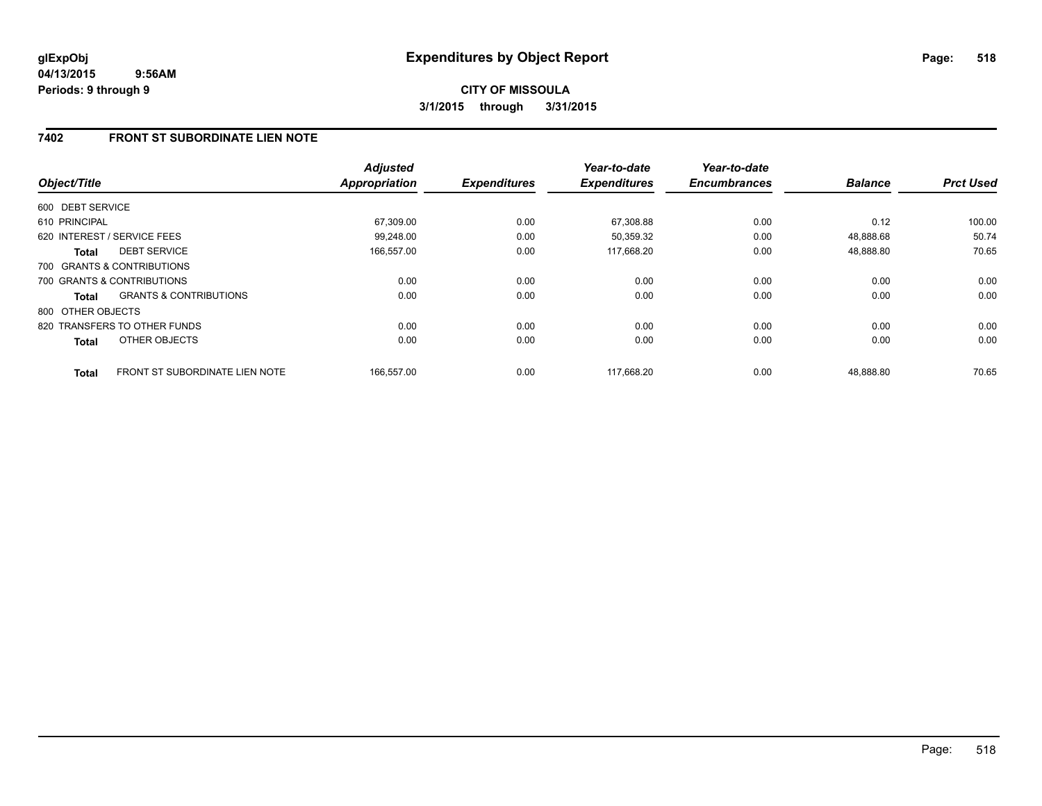# **7402 FRONT ST SUBORDINATE LIEN NOTE**

| Object/Title      |                                       | <b>Adjusted</b><br><b>Appropriation</b> | <b>Expenditures</b> | Year-to-date<br><b>Expenditures</b> | Year-to-date<br><b>Encumbrances</b> | <b>Balance</b> | <b>Prct Used</b> |
|-------------------|---------------------------------------|-----------------------------------------|---------------------|-------------------------------------|-------------------------------------|----------------|------------------|
|                   |                                       |                                         |                     |                                     |                                     |                |                  |
| 600 DEBT SERVICE  |                                       |                                         |                     |                                     |                                     |                |                  |
| 610 PRINCIPAL     |                                       | 67.309.00                               | 0.00                | 67,308.88                           | 0.00                                | 0.12           | 100.00           |
|                   | 620 INTEREST / SERVICE FEES           | 99.248.00                               | 0.00                | 50.359.32                           | 0.00                                | 48.888.68      | 50.74            |
| <b>Total</b>      | <b>DEBT SERVICE</b>                   | 166,557.00                              | 0.00                | 117,668.20                          | 0.00                                | 48,888.80      | 70.65            |
|                   | 700 GRANTS & CONTRIBUTIONS            |                                         |                     |                                     |                                     |                |                  |
|                   | 700 GRANTS & CONTRIBUTIONS            | 0.00                                    | 0.00                | 0.00                                | 0.00                                | 0.00           | 0.00             |
| Total             | <b>GRANTS &amp; CONTRIBUTIONS</b>     | 0.00                                    | 0.00                | 0.00                                | 0.00                                | 0.00           | 0.00             |
| 800 OTHER OBJECTS |                                       |                                         |                     |                                     |                                     |                |                  |
|                   | 820 TRANSFERS TO OTHER FUNDS          | 0.00                                    | 0.00                | 0.00                                | 0.00                                | 0.00           | 0.00             |
| Total             | OTHER OBJECTS                         | 0.00                                    | 0.00                | 0.00                                | 0.00                                | 0.00           | 0.00             |
| <b>Total</b>      | <b>FRONT ST SUBORDINATE LIEN NOTE</b> | 166.557.00                              | 0.00                | 117.668.20                          | 0.00                                | 48.888.80      | 70.65            |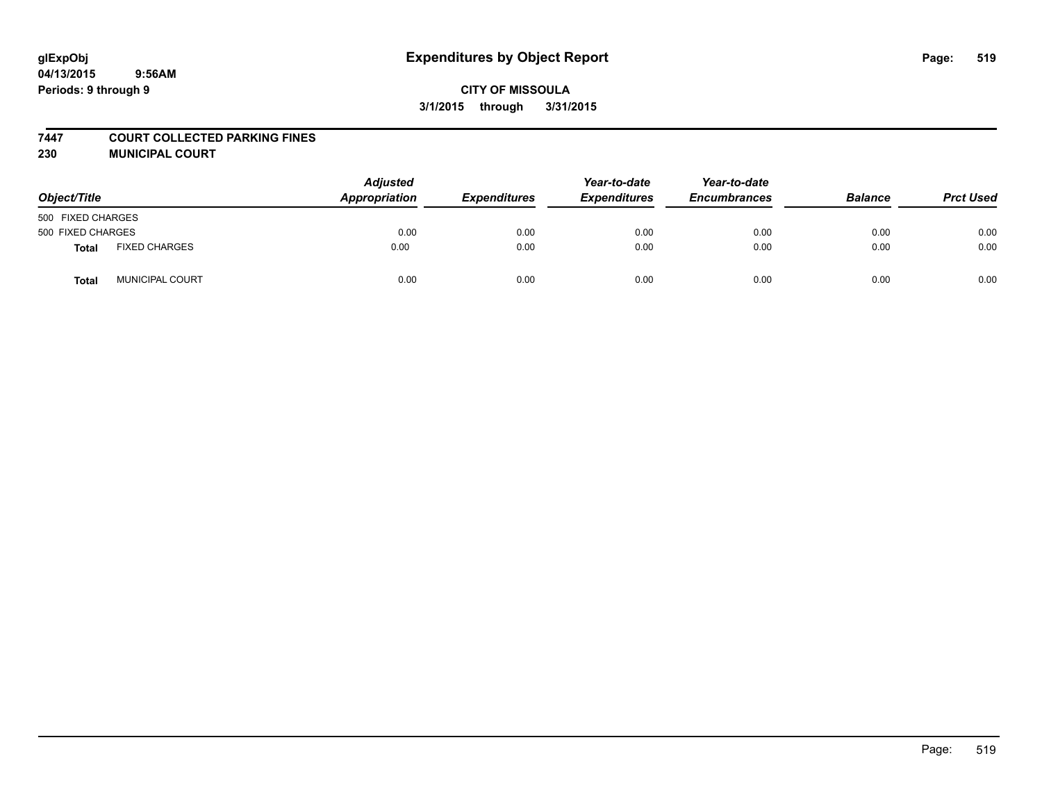#### **7447 COURT COLLECTED PARKING FINES**

**230 MUNICIPAL COURT**

| Object/Title      |                        | <b>Adjusted</b><br>Appropriation | <b>Expenditures</b> | Year-to-date<br><b>Expenditures</b> | Year-to-date<br><b>Encumbrances</b> | <b>Balance</b> | <b>Prct Used</b> |
|-------------------|------------------------|----------------------------------|---------------------|-------------------------------------|-------------------------------------|----------------|------------------|
| 500 FIXED CHARGES |                        |                                  |                     |                                     |                                     |                |                  |
| 500 FIXED CHARGES |                        | 0.00                             | 0.00                | 0.00                                | 0.00                                | 0.00           | 0.00             |
| <b>Total</b>      | <b>FIXED CHARGES</b>   | 0.00                             | 0.00                | 0.00                                | 0.00                                | 0.00           | 0.00             |
| Total             | <b>MUNICIPAL COURT</b> | 0.00                             | 0.00                | 0.00                                | 0.00                                | 0.00           | 0.00             |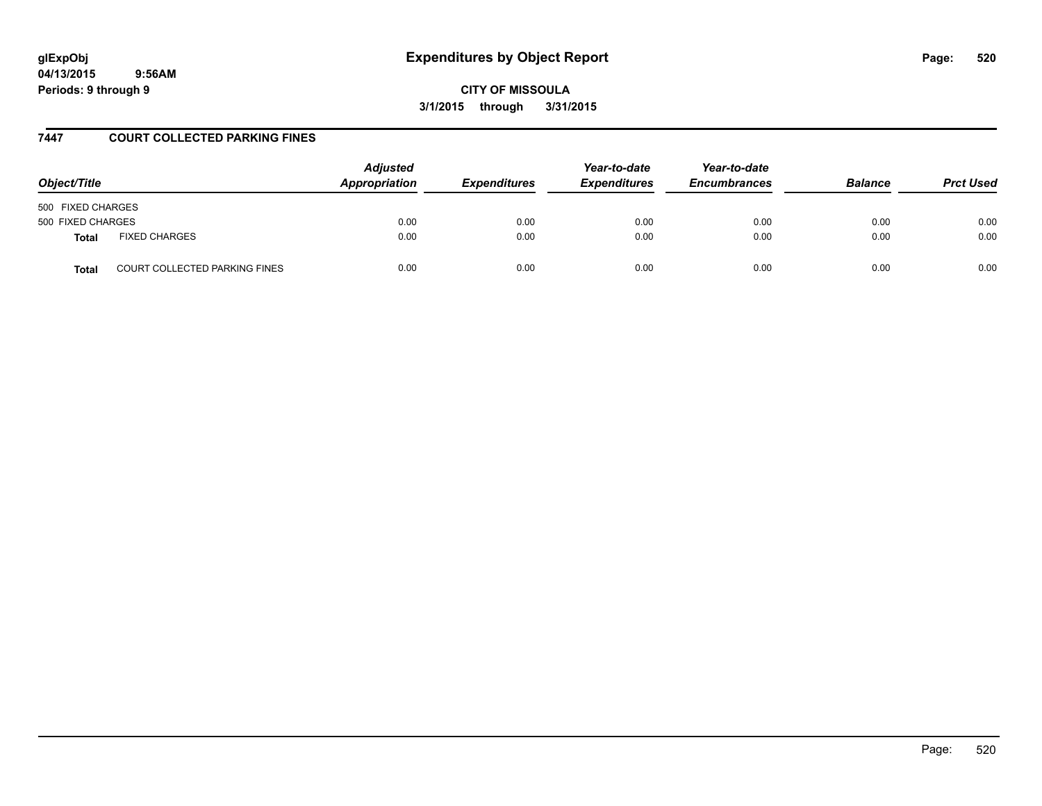# **glExpObj Expenditures by Object Report Page: 520**

**04/13/2015 9:56AM Periods: 9 through 9**

**CITY OF MISSOULA 3/1/2015 through 3/31/2015**

### **7447 COURT COLLECTED PARKING FINES**

| Object/Title                                  | <b>Adjusted</b><br>Appropriation | <b>Expenditures</b> | Year-to-date<br><b>Expenditures</b> | Year-to-date<br><b>Encumbrances</b> | <b>Balance</b> | <b>Prct Used</b> |
|-----------------------------------------------|----------------------------------|---------------------|-------------------------------------|-------------------------------------|----------------|------------------|
| 500 FIXED CHARGES                             |                                  |                     |                                     |                                     |                |                  |
| 500 FIXED CHARGES                             | 0.00                             | 0.00                | 0.00                                | 0.00                                | 0.00           | 0.00             |
| <b>FIXED CHARGES</b><br><b>Total</b>          | 0.00                             | 0.00                | 0.00                                | 0.00                                | 0.00           | 0.00             |
| <b>COURT COLLECTED PARKING FINES</b><br>Total | 0.00                             | 0.00                | 0.00                                | 0.00                                | 0.00           | 0.00             |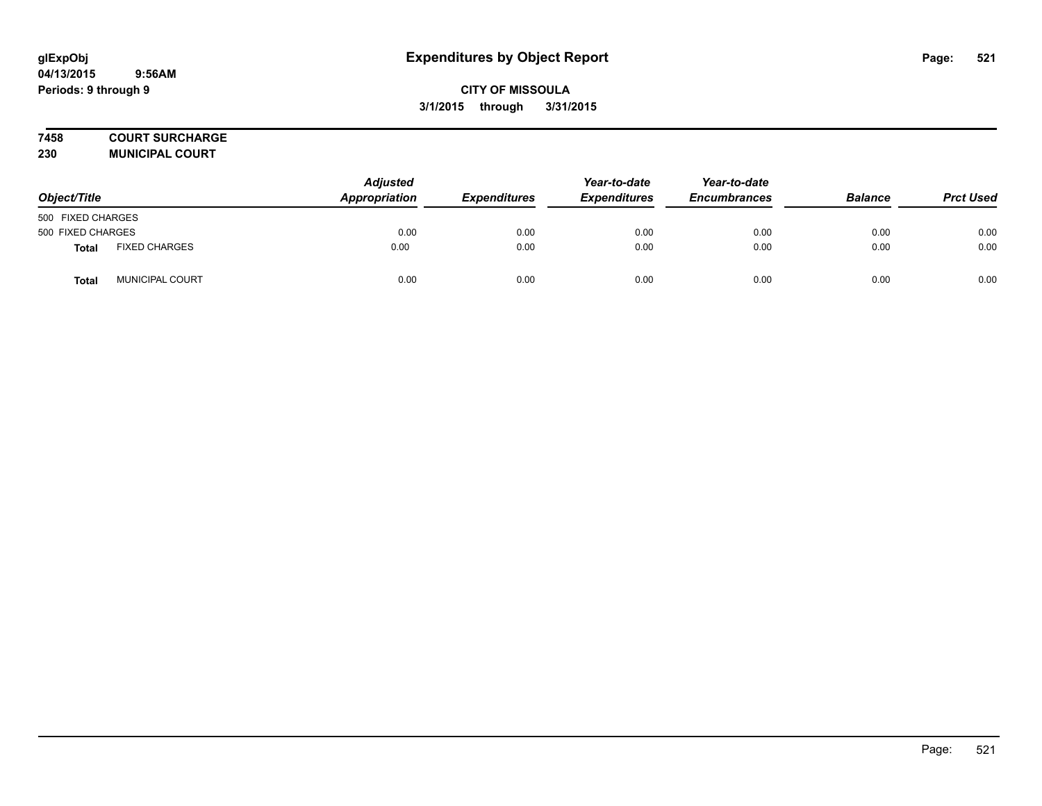## **7458 COURT SURCHARGE**

**230 MUNICIPAL COURT**

| Object/Title      |                      | Adjusted<br>Appropriation | <b>Expenditures</b> | Year-to-date<br><b>Expenditures</b> | Year-to-date<br><b>Encumbrances</b> | <b>Balance</b> | <b>Prct Used</b> |
|-------------------|----------------------|---------------------------|---------------------|-------------------------------------|-------------------------------------|----------------|------------------|
| 500 FIXED CHARGES |                      |                           |                     |                                     |                                     |                |                  |
| 500 FIXED CHARGES |                      | 0.00                      | 0.00                | 0.00                                | 0.00                                | 0.00           | 0.00             |
| <b>Total</b>      | <b>FIXED CHARGES</b> | 0.00                      | 0.00                | 0.00                                | 0.00                                | 0.00           | 0.00             |
| Total             | MUNICIPAL COURT      | 0.00                      | 0.00                | 0.00                                | 0.00                                | 0.00           | 0.00             |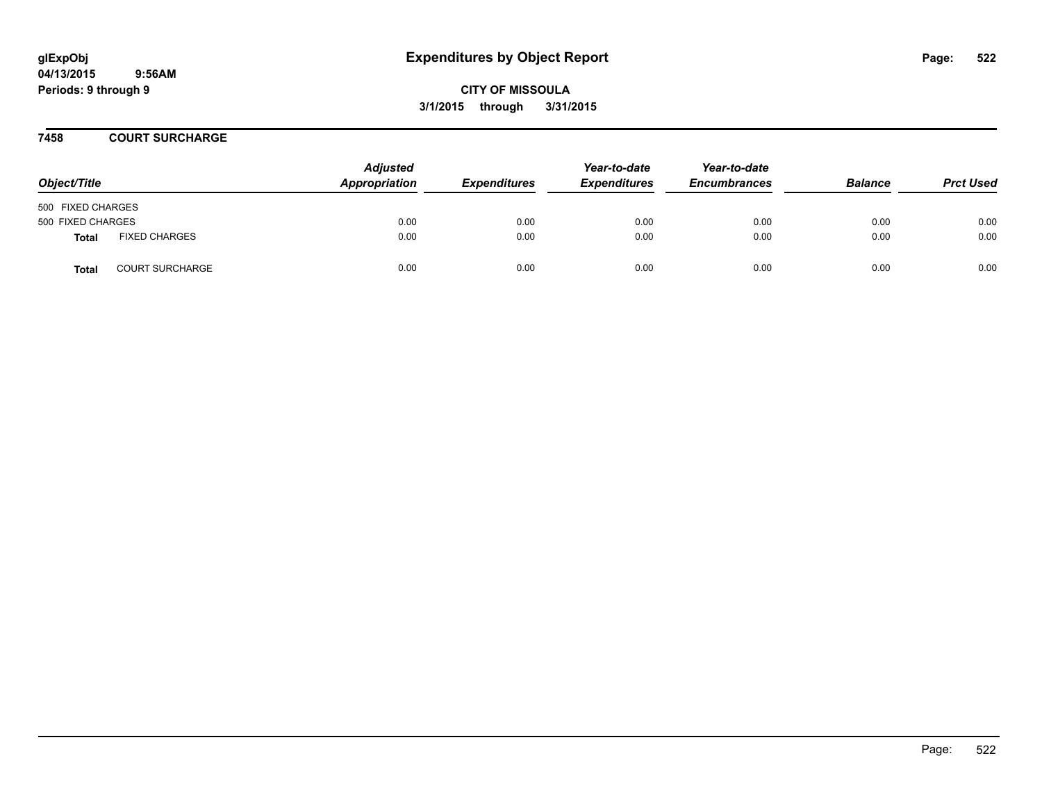**CITY OF MISSOULA 3/1/2015 through 3/31/2015**

#### **7458 COURT SURCHARGE**

| Object/Title      |                        | <b>Adjusted</b><br>Appropriation | <b>Expenditures</b> | Year-to-date<br><b>Expenditures</b> | Year-to-date<br><b>Encumbrances</b> | <b>Balance</b> | <b>Prct Used</b> |
|-------------------|------------------------|----------------------------------|---------------------|-------------------------------------|-------------------------------------|----------------|------------------|
| 500 FIXED CHARGES |                        |                                  |                     |                                     |                                     |                |                  |
| 500 FIXED CHARGES |                        | 0.00                             | 0.00                | 0.00                                | 0.00                                | 0.00           | 0.00             |
| Total             | <b>FIXED CHARGES</b>   | 0.00                             | 0.00                | 0.00                                | 0.00                                | 0.00           | 0.00             |
| <b>Total</b>      | <b>COURT SURCHARGE</b> | 0.00                             | 0.00                | 0.00                                | 0.00                                | 0.00           | 0.00             |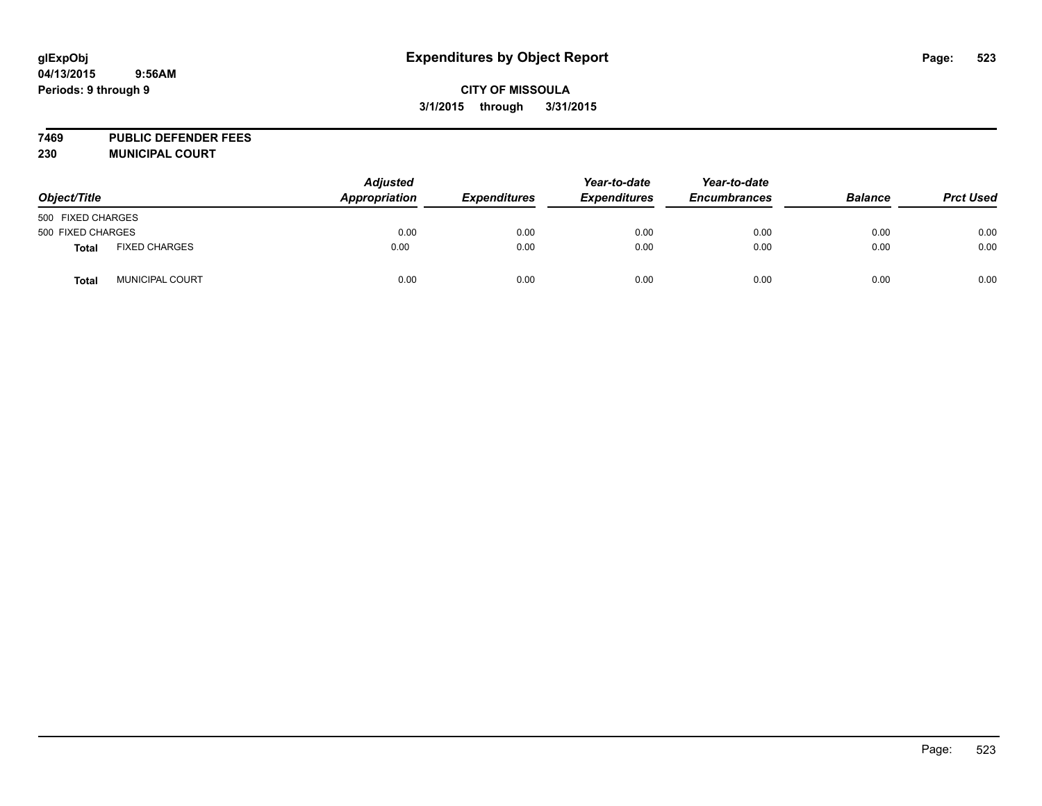# **CITY OF MISSOULA 3/1/2015 through 3/31/2015**

**7469 PUBLIC DEFENDER FEES 230 MUNICIPAL COURT**

| Object/Title      |                        | <b>Adjusted</b><br>Appropriation | <b>Expenditures</b> | Year-to-date<br><b>Expenditures</b> | Year-to-date<br><b>Encumbrances</b> | <b>Balance</b> | <b>Prct Used</b> |
|-------------------|------------------------|----------------------------------|---------------------|-------------------------------------|-------------------------------------|----------------|------------------|
| 500 FIXED CHARGES |                        |                                  |                     |                                     |                                     |                |                  |
| 500 FIXED CHARGES |                        | 0.00                             | 0.00                | 0.00                                | 0.00                                | 0.00           | 0.00             |
| <b>Total</b>      | <b>FIXED CHARGES</b>   | 0.00                             | 0.00                | 0.00                                | 0.00                                | 0.00           | 0.00             |
| Total             | <b>MUNICIPAL COURT</b> | 0.00                             | 0.00                | 0.00                                | 0.00                                | 0.00           | 0.00             |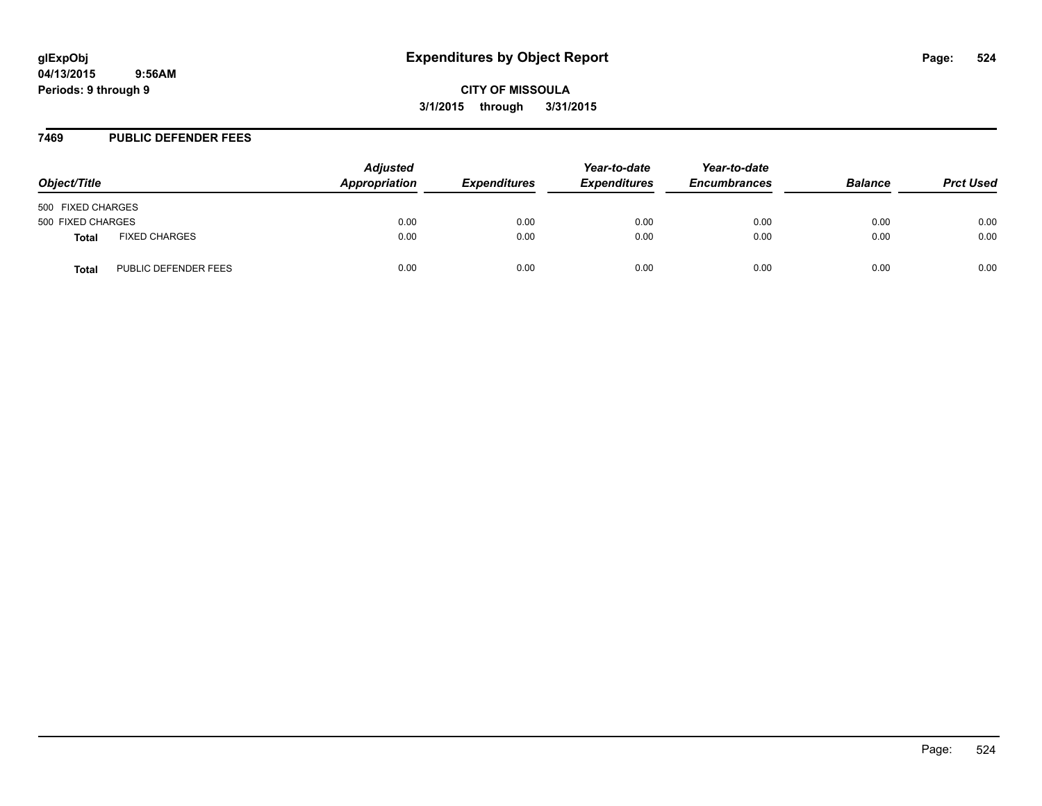**CITY OF MISSOULA 3/1/2015 through 3/31/2015**

#### **7469 PUBLIC DEFENDER FEES**

| Object/Title      |                      | <b>Adjusted</b><br>Appropriation | <b>Expenditures</b> | Year-to-date<br><b>Expenditures</b> | Year-to-date<br><b>Encumbrances</b> | <b>Balance</b> | <b>Prct Used</b> |
|-------------------|----------------------|----------------------------------|---------------------|-------------------------------------|-------------------------------------|----------------|------------------|
| 500 FIXED CHARGES |                      |                                  |                     |                                     |                                     |                |                  |
| 500 FIXED CHARGES |                      | 0.00                             | 0.00                | 0.00                                | 0.00                                | 0.00           | 0.00             |
| Total             | <b>FIXED CHARGES</b> | 0.00                             | 0.00                | 0.00                                | 0.00                                | 0.00           | 0.00             |
| Total             | PUBLIC DEFENDER FEES | 0.00                             | 0.00                | 0.00                                | 0.00                                | 0.00           | 0.00             |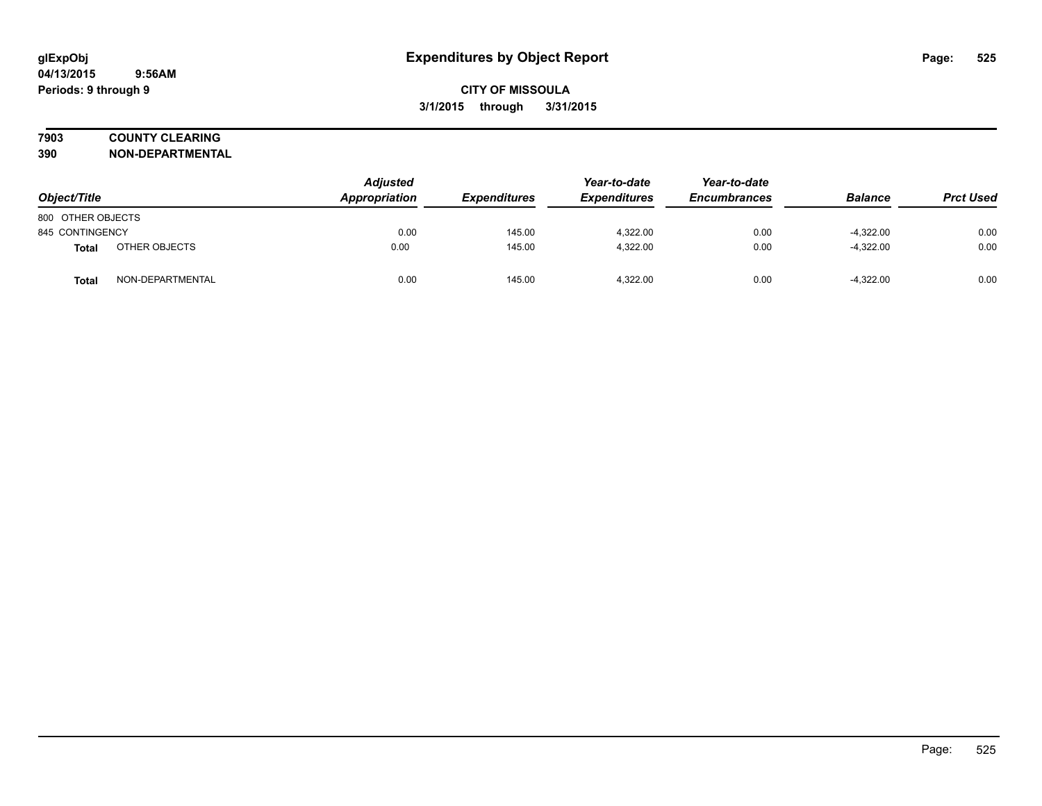# **7903 COUNTY CLEARING**

**390 NON-DEPARTMENTAL**

| Object/Title      |                  | <b>Adjusted</b><br>Appropriation | <b>Expenditures</b> | Year-to-date<br><b>Expenditures</b> | Year-to-date<br><b>Encumbrances</b> | <b>Balance</b> | <b>Prct Used</b> |
|-------------------|------------------|----------------------------------|---------------------|-------------------------------------|-------------------------------------|----------------|------------------|
| 800 OTHER OBJECTS |                  |                                  |                     |                                     |                                     |                |                  |
| 845 CONTINGENCY   |                  | 0.00                             | 145.00              | 4.322.00                            | 0.00                                | $-4.322.00$    | 0.00             |
| Total             | OTHER OBJECTS    | 0.00                             | 145.00              | 4.322.00                            | 0.00                                | $-4,322.00$    | 0.00             |
| Total             | NON-DEPARTMENTAL | 0.00                             | 145.00              | 4.322.00                            | 0.00                                | -4,322.00      | 0.00             |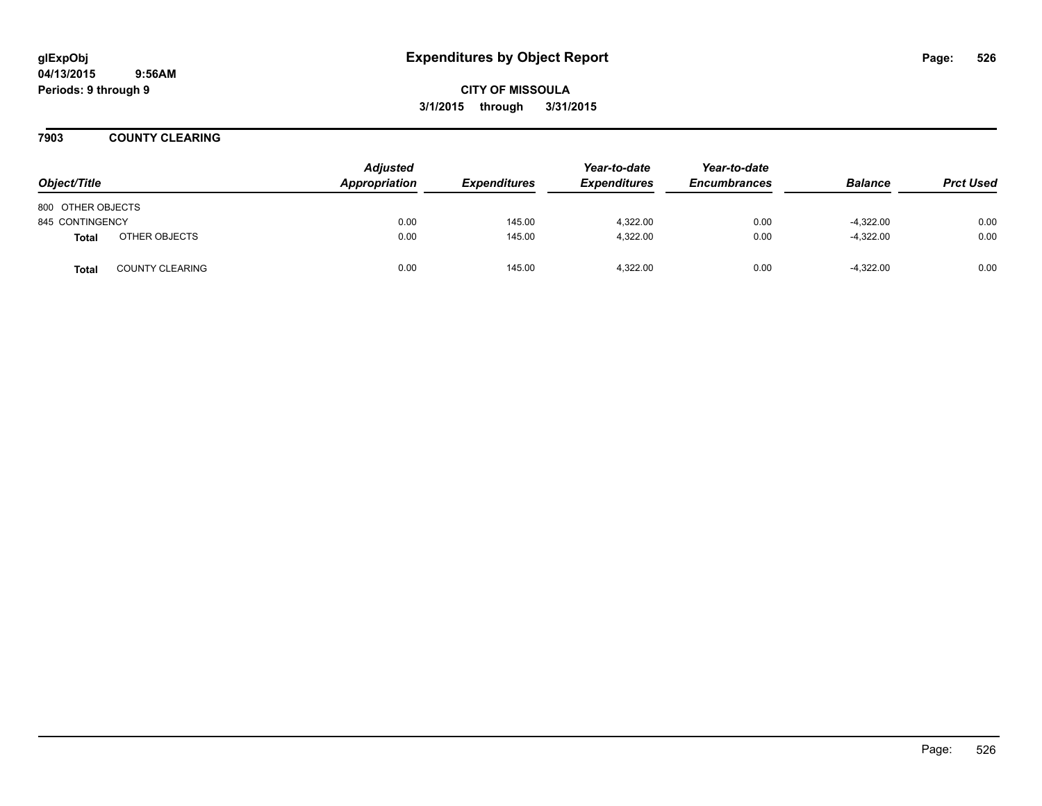**CITY OF MISSOULA 3/1/2015 through 3/31/2015**

**7903 COUNTY CLEARING**

| Object/Title      |                        | <b>Adjusted</b><br>Appropriation | <b>Expenditures</b> | Year-to-date<br><b>Expenditures</b> | Year-to-date<br><b>Encumbrances</b> | <b>Balance</b> | <b>Prct Used</b> |
|-------------------|------------------------|----------------------------------|---------------------|-------------------------------------|-------------------------------------|----------------|------------------|
| 800 OTHER OBJECTS |                        |                                  |                     |                                     |                                     |                |                  |
| 845 CONTINGENCY   |                        | 0.00                             | 145.00              | 4.322.00                            | 0.00                                | $-4.322.00$    | 0.00             |
| <b>Total</b>      | OTHER OBJECTS          | 0.00                             | 145.00              | 4.322.00                            | 0.00                                | $-4.322.00$    | 0.00             |
| <b>Total</b>      | <b>COUNTY CLEARING</b> | 0.00                             | 145.00              | 4.322.00                            | 0.00                                | $-4.322.00$    | 0.00             |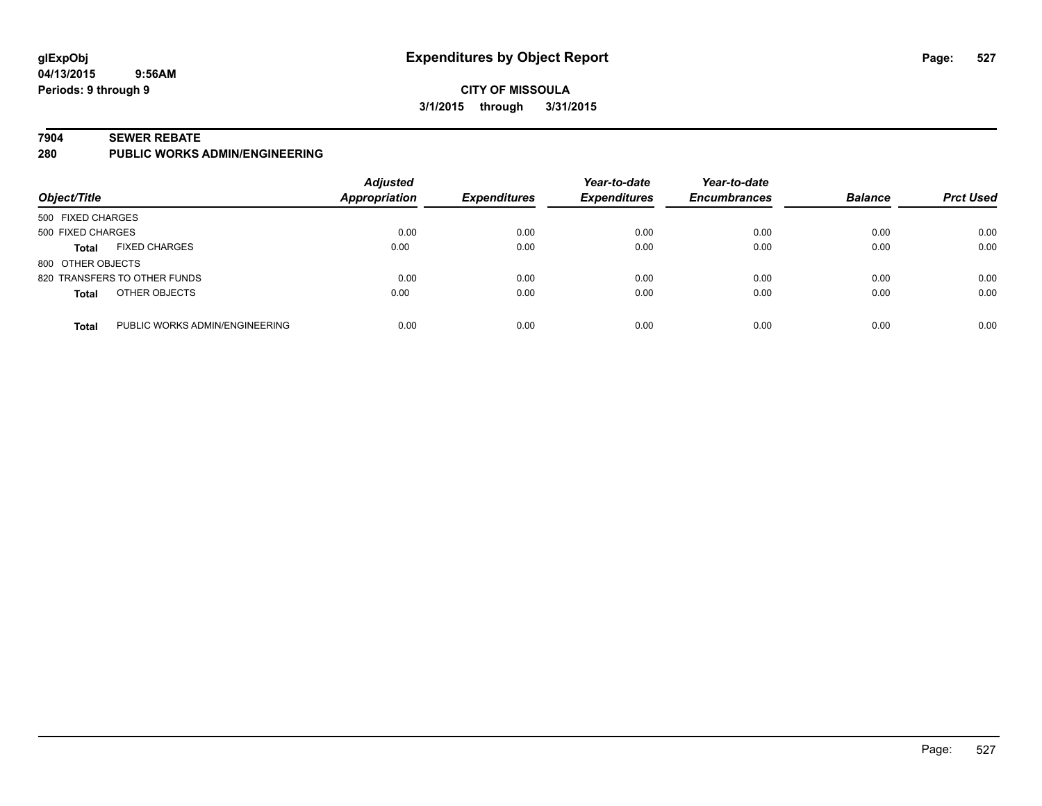### **CITY OF MISSOULA 3/1/2015 through 3/31/2015**

#### **7904 SEWER REBATE**

**280 PUBLIC WORKS ADMIN/ENGINEERING**

| Object/Title      |                                | <b>Adjusted</b><br>Appropriation | <b>Expenditures</b> | Year-to-date<br><b>Expenditures</b> | Year-to-date<br><b>Encumbrances</b> | <b>Balance</b> | <b>Prct Used</b> |
|-------------------|--------------------------------|----------------------------------|---------------------|-------------------------------------|-------------------------------------|----------------|------------------|
| 500 FIXED CHARGES |                                |                                  |                     |                                     |                                     |                |                  |
| 500 FIXED CHARGES |                                | 0.00                             | 0.00                | 0.00                                | 0.00                                | 0.00           | 0.00             |
| <b>Total</b>      | <b>FIXED CHARGES</b>           | 0.00                             | 0.00                | 0.00                                | 0.00                                | 0.00           | 0.00             |
| 800 OTHER OBJECTS |                                |                                  |                     |                                     |                                     |                |                  |
|                   | 820 TRANSFERS TO OTHER FUNDS   | 0.00                             | 0.00                | 0.00                                | 0.00                                | 0.00           | 0.00             |
| <b>Total</b>      | OTHER OBJECTS                  | 0.00                             | 0.00                | 0.00                                | 0.00                                | 0.00           | 0.00             |
| <b>Total</b>      | PUBLIC WORKS ADMIN/ENGINEERING | 0.00                             | 0.00                | 0.00                                | 0.00                                | 0.00           | 0.00             |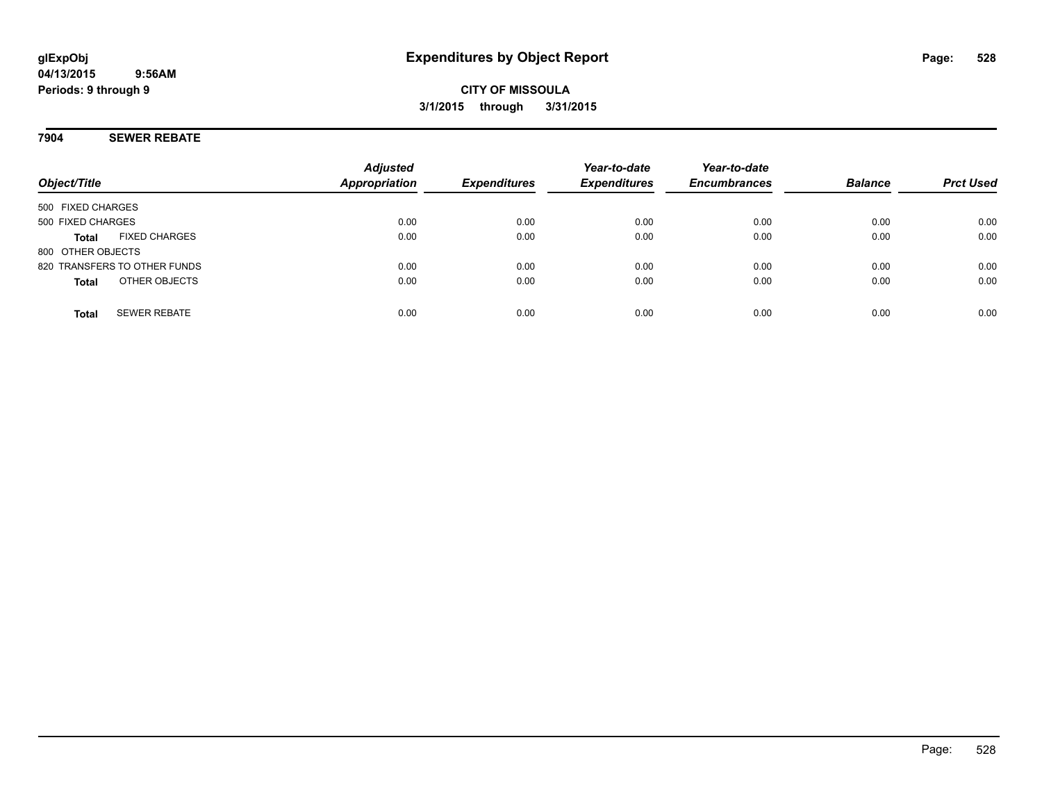### **7904 SEWER REBATE**

| Object/Title                 |                      | <b>Adjusted</b><br><b>Appropriation</b> | <b>Expenditures</b> | Year-to-date<br><b>Expenditures</b> | Year-to-date<br><b>Encumbrances</b> | <b>Balance</b> | <b>Prct Used</b> |
|------------------------------|----------------------|-----------------------------------------|---------------------|-------------------------------------|-------------------------------------|----------------|------------------|
| 500 FIXED CHARGES            |                      |                                         |                     |                                     |                                     |                |                  |
| 500 FIXED CHARGES            |                      | 0.00                                    | 0.00                | 0.00                                | 0.00                                | 0.00           | 0.00             |
| Total                        | <b>FIXED CHARGES</b> | 0.00                                    | 0.00                | 0.00                                | 0.00                                | 0.00           | 0.00             |
| 800 OTHER OBJECTS            |                      |                                         |                     |                                     |                                     |                |                  |
| 820 TRANSFERS TO OTHER FUNDS |                      | 0.00                                    | 0.00                | 0.00                                | 0.00                                | 0.00           | 0.00             |
| <b>Total</b>                 | OTHER OBJECTS        | 0.00                                    | 0.00                | 0.00                                | 0.00                                | 0.00           | 0.00             |
| <b>Total</b>                 | <b>SEWER REBATE</b>  | 0.00                                    | 0.00                | 0.00                                | 0.00                                | 0.00           | 0.00             |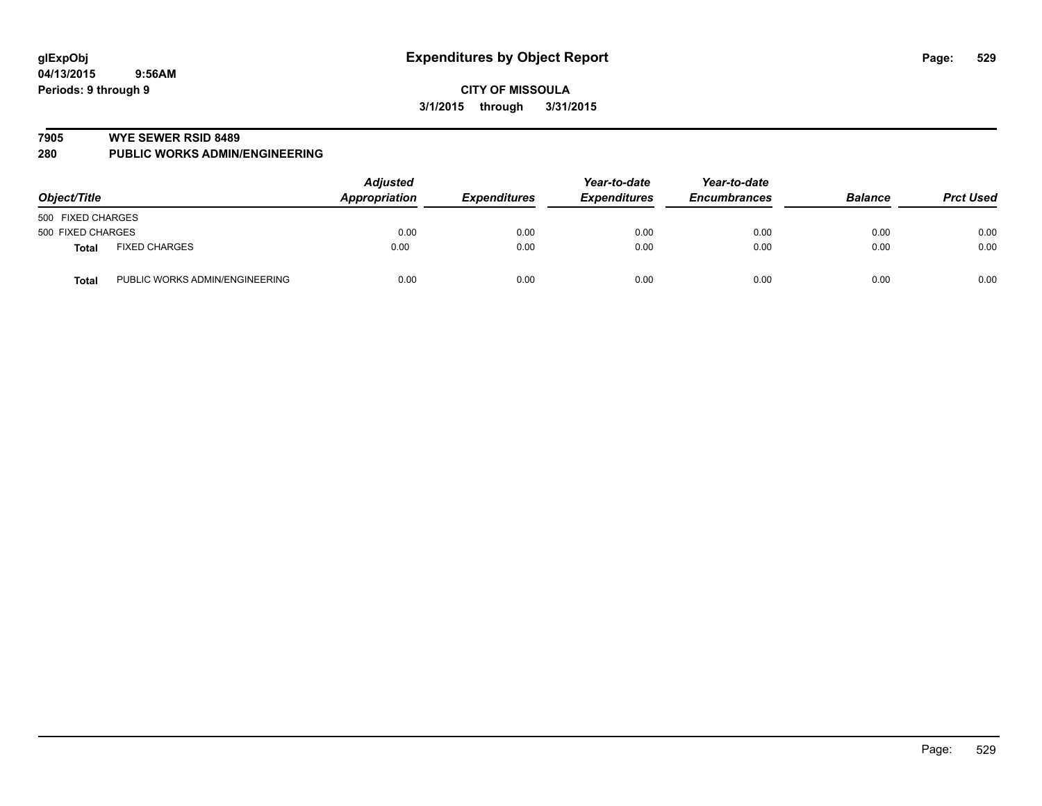#### **7905 WYE SEWER RSID 8489**

**280 PUBLIC WORKS ADMIN/ENGINEERING**

| Object/Title      |                                | <b>Adjusted</b><br>Appropriation | <b>Expenditures</b> | Year-to-date<br><b>Expenditures</b> | Year-to-date<br><b>Encumbrances</b> | <b>Balance</b> | <b>Prct Used</b> |
|-------------------|--------------------------------|----------------------------------|---------------------|-------------------------------------|-------------------------------------|----------------|------------------|
| 500 FIXED CHARGES |                                |                                  |                     |                                     |                                     |                |                  |
| 500 FIXED CHARGES |                                | 0.00                             | 0.00                | 0.00                                | 0.00                                | 0.00           | 0.00             |
| <b>Total</b>      | <b>FIXED CHARGES</b>           | 0.00                             | 0.00                | 0.00                                | 0.00                                | 0.00           | 0.00             |
| <b>Total</b>      | PUBLIC WORKS ADMIN/ENGINEERING | 0.00                             | 0.00                | 0.00                                | 0.00                                | 0.00           | 0.00             |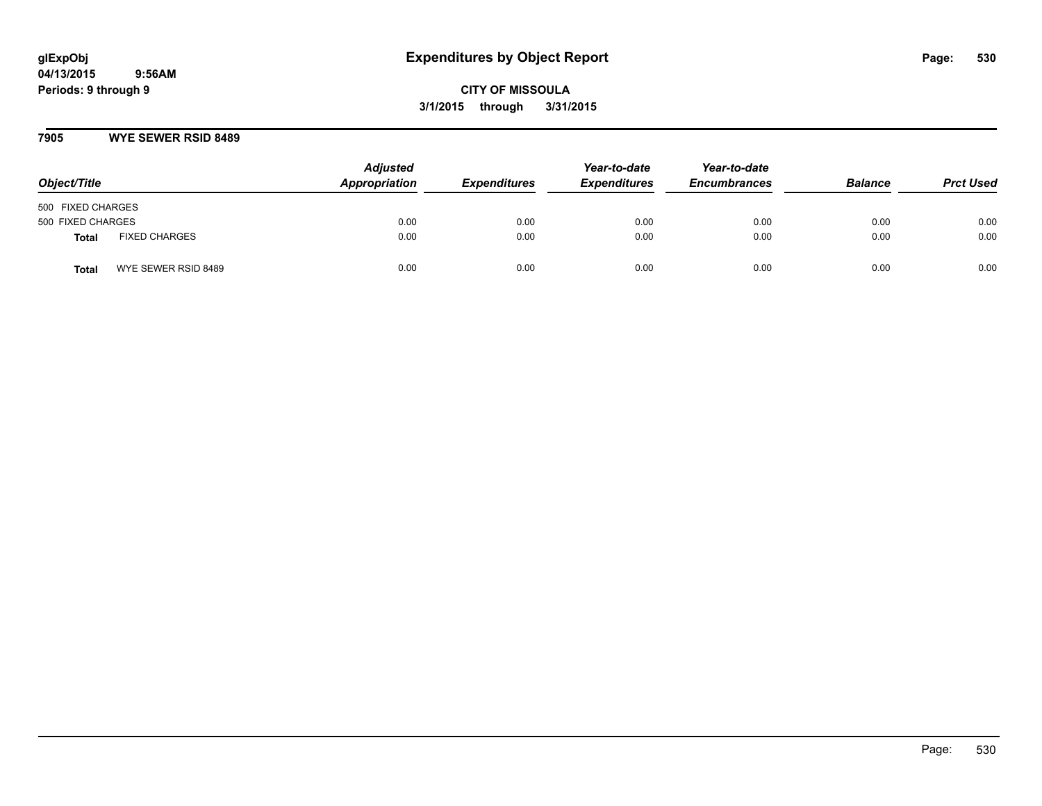**CITY OF MISSOULA 3/1/2015 through 3/31/2015**

#### **7905 WYE SEWER RSID 8489**

| Object/Title      |                      | <b>Adjusted</b><br>Appropriation | <b>Expenditures</b> | Year-to-date<br><b>Expenditures</b> | Year-to-date<br><b>Encumbrances</b> | <b>Balance</b> | <b>Prct Used</b> |
|-------------------|----------------------|----------------------------------|---------------------|-------------------------------------|-------------------------------------|----------------|------------------|
| 500 FIXED CHARGES |                      |                                  |                     |                                     |                                     |                |                  |
| 500 FIXED CHARGES |                      | 0.00                             | 0.00                | 0.00                                | 0.00                                | 0.00           | 0.00             |
| <b>Total</b>      | <b>FIXED CHARGES</b> | 0.00                             | 0.00                | 0.00                                | 0.00                                | 0.00           | 0.00             |
| Total             | WYE SEWER RSID 8489  | 0.00                             | 0.00                | 0.00                                | 0.00                                | 0.00           | 0.00             |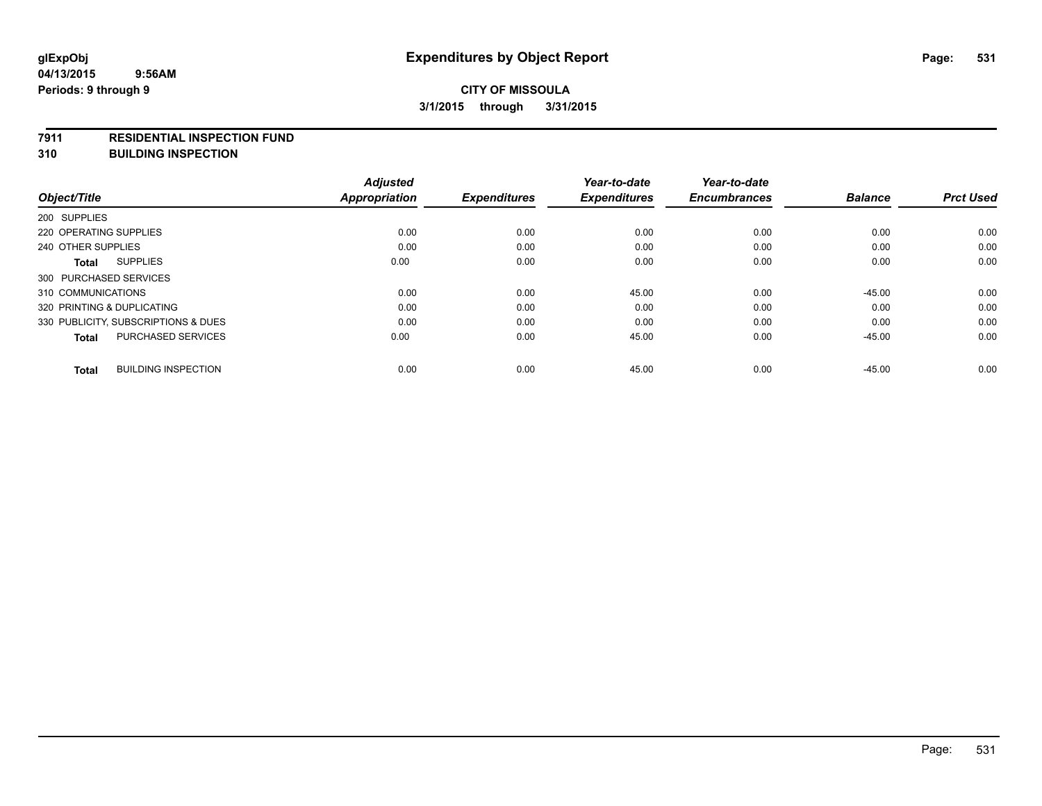#### **7911 RESIDENTIAL INSPECTION FUND**

**310 BUILDING INSPECTION**

|                                            | <b>Adjusted</b> |                     | Year-to-date        | Year-to-date        |                |                  |
|--------------------------------------------|-----------------|---------------------|---------------------|---------------------|----------------|------------------|
| Object/Title                               | Appropriation   | <b>Expenditures</b> | <b>Expenditures</b> | <b>Encumbrances</b> | <b>Balance</b> | <b>Prct Used</b> |
| 200 SUPPLIES                               |                 |                     |                     |                     |                |                  |
| 220 OPERATING SUPPLIES                     | 0.00            | 0.00                | 0.00                | 0.00                | 0.00           | 0.00             |
| 240 OTHER SUPPLIES                         | 0.00            | 0.00                | 0.00                | 0.00                | 0.00           | 0.00             |
| <b>SUPPLIES</b><br><b>Total</b>            | 0.00            | 0.00                | 0.00                | 0.00                | 0.00           | 0.00             |
| 300 PURCHASED SERVICES                     |                 |                     |                     |                     |                |                  |
| 310 COMMUNICATIONS                         | 0.00            | 0.00                | 45.00               | 0.00                | $-45.00$       | 0.00             |
| 320 PRINTING & DUPLICATING                 | 0.00            | 0.00                | 0.00                | 0.00                | 0.00           | 0.00             |
| 330 PUBLICITY, SUBSCRIPTIONS & DUES        | 0.00            | 0.00                | 0.00                | 0.00                | 0.00           | 0.00             |
| <b>PURCHASED SERVICES</b><br><b>Total</b>  | 0.00            | 0.00                | 45.00               | 0.00                | $-45.00$       | 0.00             |
| <b>BUILDING INSPECTION</b><br><b>Total</b> | 0.00            | 0.00                | 45.00               | 0.00                | $-45.00$       | 0.00             |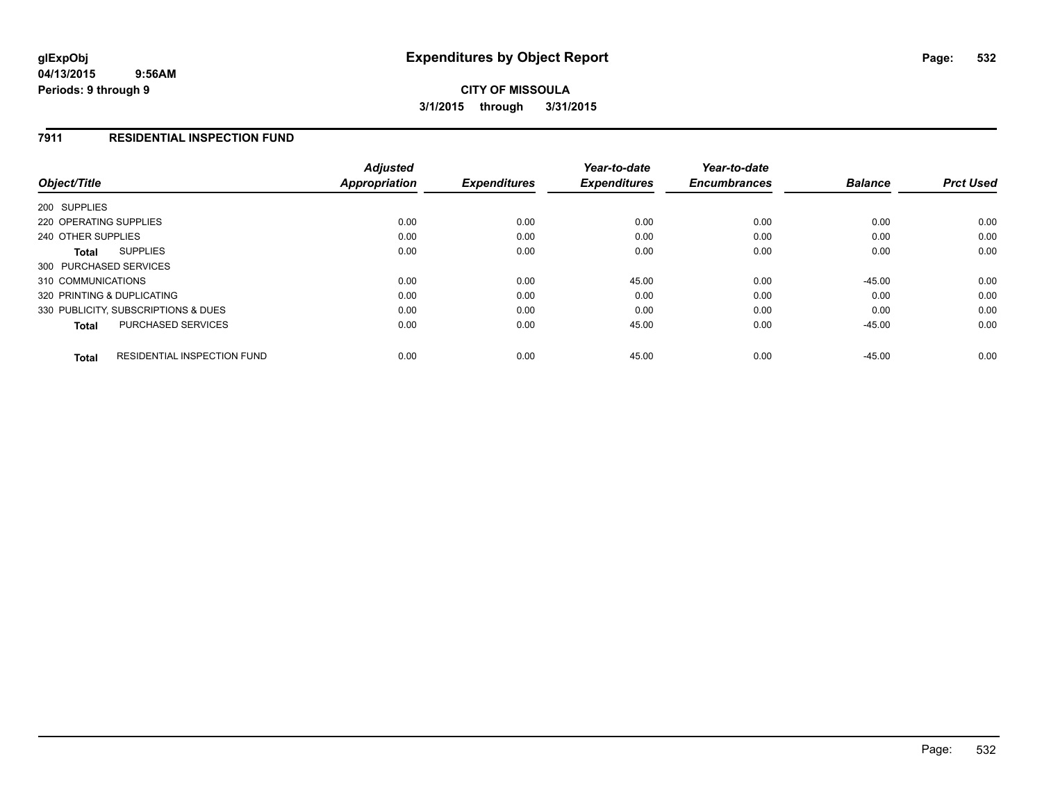**CITY OF MISSOULA 3/1/2015 through 3/31/2015**

#### **7911 RESIDENTIAL INSPECTION FUND**

| Object/Title                                       | <b>Adjusted</b><br><b>Appropriation</b> | <b>Expenditures</b> | Year-to-date<br><b>Expenditures</b> | Year-to-date<br><b>Encumbrances</b> | <b>Balance</b> | <b>Prct Used</b> |
|----------------------------------------------------|-----------------------------------------|---------------------|-------------------------------------|-------------------------------------|----------------|------------------|
| 200 SUPPLIES                                       |                                         |                     |                                     |                                     |                |                  |
|                                                    |                                         |                     |                                     |                                     |                |                  |
| 220 OPERATING SUPPLIES                             | 0.00                                    | 0.00                | 0.00                                | 0.00                                | 0.00           | 0.00             |
| 240 OTHER SUPPLIES                                 | 0.00                                    | 0.00                | 0.00                                | 0.00                                | 0.00           | 0.00             |
| <b>SUPPLIES</b><br>Total                           | 0.00                                    | 0.00                | 0.00                                | 0.00                                | 0.00           | 0.00             |
| 300 PURCHASED SERVICES                             |                                         |                     |                                     |                                     |                |                  |
| 310 COMMUNICATIONS                                 | 0.00                                    | 0.00                | 45.00                               | 0.00                                | $-45.00$       | 0.00             |
| 320 PRINTING & DUPLICATING                         | 0.00                                    | 0.00                | 0.00                                | 0.00                                | 0.00           | 0.00             |
| 330 PUBLICITY, SUBSCRIPTIONS & DUES                | 0.00                                    | 0.00                | 0.00                                | 0.00                                | 0.00           | 0.00             |
| <b>PURCHASED SERVICES</b><br><b>Total</b>          | 0.00                                    | 0.00                | 45.00                               | 0.00                                | $-45.00$       | 0.00             |
| <b>RESIDENTIAL INSPECTION FUND</b><br><b>Total</b> | 0.00                                    | 0.00                | 45.00                               | 0.00                                | $-45.00$       | 0.00             |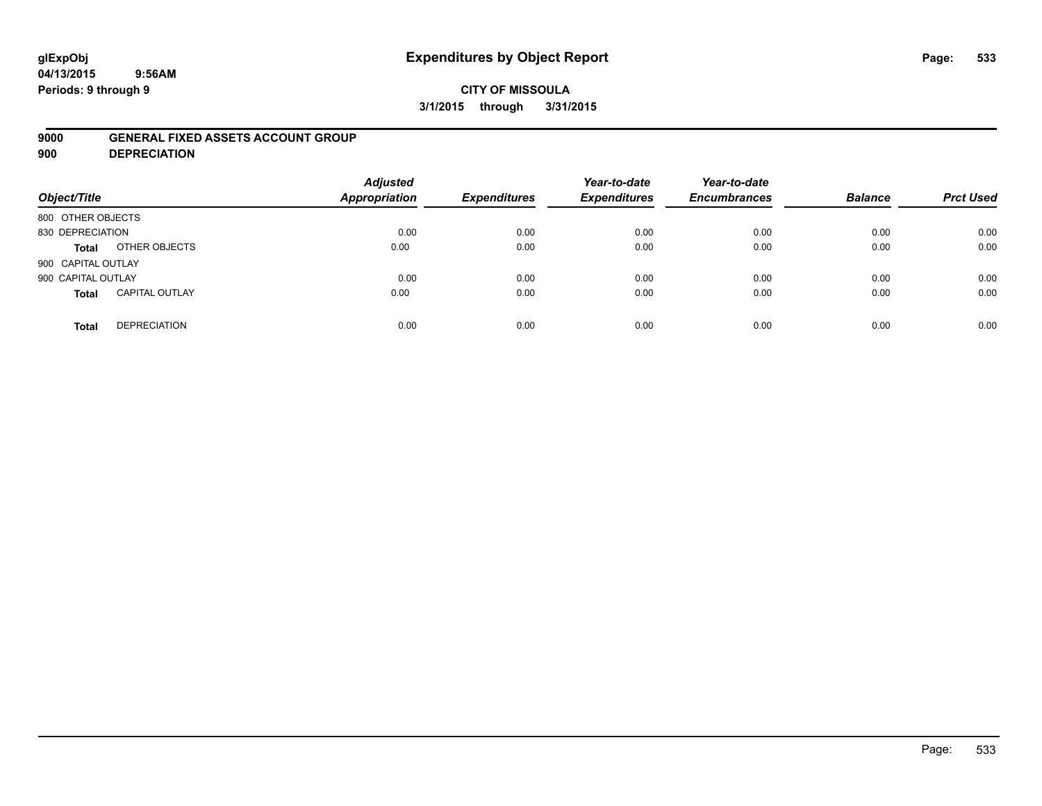# **glExpObj Expenditures by Object Report Page: 533**

**04/13/2015 9:56AM Periods: 9 through 9**

#### **9000 GENERAL FIXED ASSETS ACCOUNT GROUP**

**900 DEPRECIATION**

| Object/Title                          | <b>Adjusted</b><br><b>Appropriation</b> | <b>Expenditures</b> | Year-to-date<br><b>Expenditures</b> | Year-to-date<br><b>Encumbrances</b> | <b>Balance</b> | <b>Prct Used</b> |
|---------------------------------------|-----------------------------------------|---------------------|-------------------------------------|-------------------------------------|----------------|------------------|
| 800 OTHER OBJECTS                     |                                         |                     |                                     |                                     |                |                  |
| 830 DEPRECIATION                      | 0.00                                    | 0.00                | 0.00                                | 0.00                                | 0.00           | 0.00             |
| OTHER OBJECTS<br>Total                | 0.00                                    | 0.00                | 0.00                                | 0.00                                | 0.00           | 0.00             |
| 900 CAPITAL OUTLAY                    |                                         |                     |                                     |                                     |                |                  |
| 900 CAPITAL OUTLAY                    | 0.00                                    | 0.00                | 0.00                                | 0.00                                | 0.00           | 0.00             |
| <b>CAPITAL OUTLAY</b><br><b>Total</b> | 0.00                                    | 0.00                | 0.00                                | 0.00                                | 0.00           | 0.00             |
| <b>DEPRECIATION</b><br><b>Total</b>   | 0.00                                    | 0.00                | 0.00                                | 0.00                                | 0.00           | 0.00             |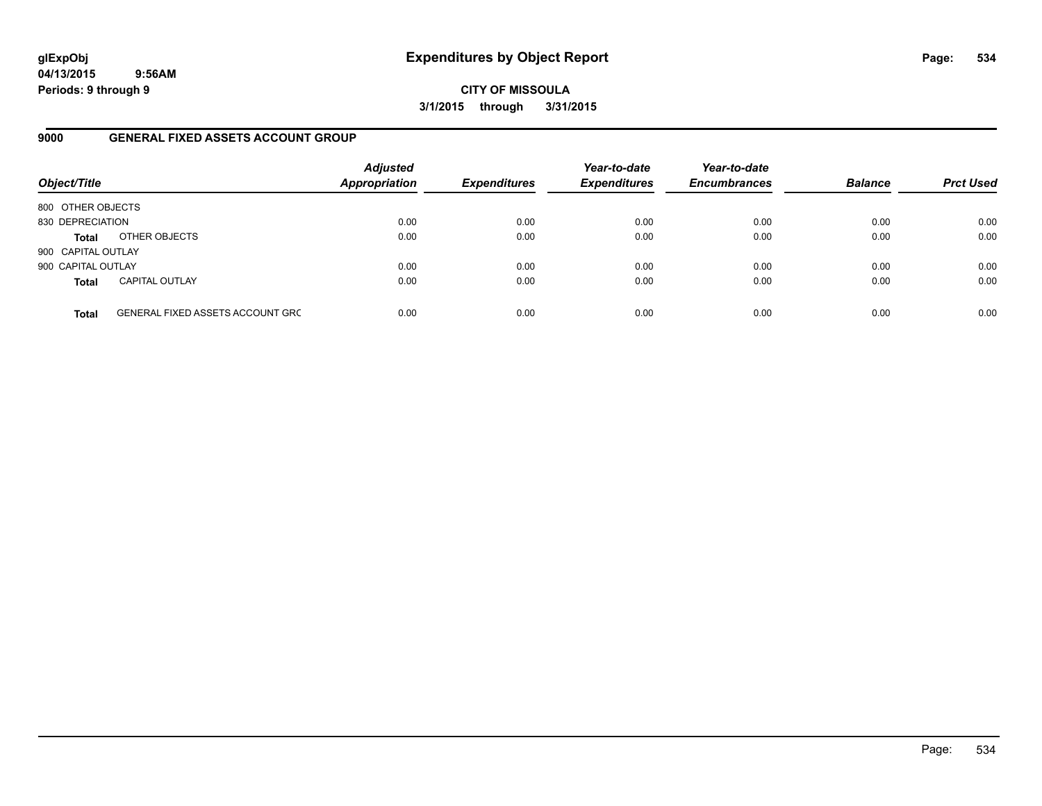**CITY OF MISSOULA 3/1/2015 through 3/31/2015**

#### **9000 GENERAL FIXED ASSETS ACCOUNT GROUP**

| Object/Title       |                                         | <b>Adjusted</b><br><b>Appropriation</b> | <b>Expenditures</b> | Year-to-date<br><b>Expenditures</b> | Year-to-date<br><b>Encumbrances</b> | <b>Balance</b> | <b>Prct Used</b> |
|--------------------|-----------------------------------------|-----------------------------------------|---------------------|-------------------------------------|-------------------------------------|----------------|------------------|
| 800 OTHER OBJECTS  |                                         |                                         |                     |                                     |                                     |                |                  |
| 830 DEPRECIATION   |                                         | 0.00                                    | 0.00                | 0.00                                | 0.00                                | 0.00           | 0.00             |
| <b>Total</b>       | OTHER OBJECTS                           | 0.00                                    | 0.00                | 0.00                                | 0.00                                | 0.00           | 0.00             |
| 900 CAPITAL OUTLAY |                                         |                                         |                     |                                     |                                     |                |                  |
| 900 CAPITAL OUTLAY |                                         | 0.00                                    | 0.00                | 0.00                                | 0.00                                | 0.00           | 0.00             |
| <b>Total</b>       | <b>CAPITAL OUTLAY</b>                   | 0.00                                    | 0.00                | 0.00                                | 0.00                                | 0.00           | 0.00             |
| <b>Total</b>       | <b>GENERAL FIXED ASSETS ACCOUNT GRC</b> | 0.00                                    | 0.00                | 0.00                                | 0.00                                | 0.00           | 0.00             |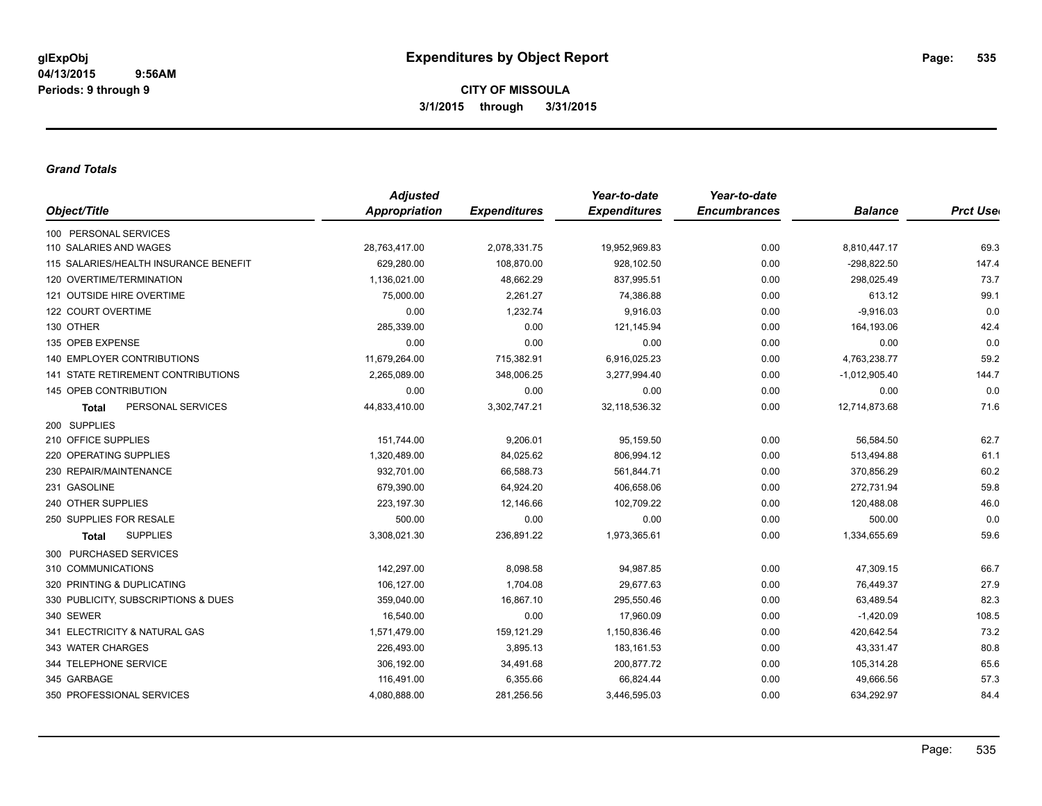#### *Grand Totals*

|                                       | <b>Adjusted</b> |                     | Year-to-date        | Year-to-date        |                 |                  |
|---------------------------------------|-----------------|---------------------|---------------------|---------------------|-----------------|------------------|
| Object/Title                          | Appropriation   | <b>Expenditures</b> | <b>Expenditures</b> | <b>Encumbrances</b> | <b>Balance</b>  | <b>Prct User</b> |
| 100 PERSONAL SERVICES                 |                 |                     |                     |                     |                 |                  |
| 110 SALARIES AND WAGES                | 28,763,417.00   | 2,078,331.75        | 19,952,969.83       | 0.00                | 8,810,447.17    | 69.3             |
| 115 SALARIES/HEALTH INSURANCE BENEFIT | 629,280.00      | 108,870.00          | 928,102.50          | 0.00                | $-298,822.50$   | 147.4            |
| 120 OVERTIME/TERMINATION              | 1,136,021.00    | 48,662.29           | 837,995.51          | 0.00                | 298,025.49      | 73.7             |
| 121 OUTSIDE HIRE OVERTIME             | 75,000.00       | 2,261.27            | 74,386.88           | 0.00                | 613.12          | 99.1             |
| 122 COURT OVERTIME                    | 0.00            | 1.232.74            | 9,916.03            | 0.00                | $-9,916.03$     | 0.0              |
| 130 OTHER                             | 285,339.00      | 0.00                | 121,145.94          | 0.00                | 164,193.06      | 42.4             |
| 135 OPEB EXPENSE                      | 0.00            | 0.00                | 0.00                | 0.00                | 0.00            | 0.0              |
| 140 EMPLOYER CONTRIBUTIONS            | 11,679,264.00   | 715,382.91          | 6,916,025.23        | 0.00                | 4,763,238.77    | 59.2             |
| 141 STATE RETIREMENT CONTRIBUTIONS    | 2,265,089.00    | 348,006.25          | 3,277,994.40        | 0.00                | $-1,012,905.40$ | 144.7            |
| 145 OPEB CONTRIBUTION                 | 0.00            | 0.00                | 0.00                | 0.00                | 0.00            | 0.0              |
| PERSONAL SERVICES<br><b>Total</b>     | 44,833,410.00   | 3,302,747.21        | 32, 118, 536. 32    | 0.00                | 12,714,873.68   | 71.6             |
| 200 SUPPLIES                          |                 |                     |                     |                     |                 |                  |
| 210 OFFICE SUPPLIES                   | 151,744.00      | 9,206.01            | 95,159.50           | 0.00                | 56,584.50       | 62.7             |
| 220 OPERATING SUPPLIES                | 1,320,489.00    | 84,025.62           | 806,994.12          | 0.00                | 513,494.88      | 61.1             |
| 230 REPAIR/MAINTENANCE                | 932,701.00      | 66,588.73           | 561,844.71          | 0.00                | 370,856.29      | 60.2             |
| 231 GASOLINE                          | 679,390.00      | 64,924.20           | 406,658.06          | 0.00                | 272,731.94      | 59.8             |
| 240 OTHER SUPPLIES                    | 223,197.30      | 12,146.66           | 102,709.22          | 0.00                | 120,488.08      | 46.0             |
| 250 SUPPLIES FOR RESALE               | 500.00          | 0.00                | 0.00                | 0.00                | 500.00          | 0.0              |
| <b>SUPPLIES</b><br><b>Total</b>       | 3,308,021.30    | 236,891.22          | 1,973,365.61        | 0.00                | 1,334,655.69    | 59.6             |
| 300 PURCHASED SERVICES                |                 |                     |                     |                     |                 |                  |
| 310 COMMUNICATIONS                    | 142,297.00      | 8,098.58            | 94,987.85           | 0.00                | 47,309.15       | 66.7             |
| 320 PRINTING & DUPLICATING            | 106,127.00      | 1,704.08            | 29,677.63           | 0.00                | 76,449.37       | 27.9             |
| 330 PUBLICITY, SUBSCRIPTIONS & DUES   | 359,040.00      | 16,867.10           | 295.550.46          | 0.00                | 63,489.54       | 82.3             |
| 340 SEWER                             | 16,540.00       | 0.00                | 17,960.09           | 0.00                | $-1,420.09$     | 108.5            |
| 341 ELECTRICITY & NATURAL GAS         | 1,571,479.00    | 159,121.29          | 1,150,836.46        | 0.00                | 420,642.54      | 73.2             |
| 343 WATER CHARGES                     | 226,493.00      | 3,895.13            | 183, 161.53         | 0.00                | 43,331.47       | 80.8             |
| 344 TELEPHONE SERVICE                 | 306,192.00      | 34,491.68           | 200,877.72          | 0.00                | 105,314.28      | 65.6             |
| 345 GARBAGE                           | 116,491.00      | 6,355.66            | 66,824.44           | 0.00                | 49,666.56       | 57.3             |
| 350 PROFESSIONAL SERVICES             | 4,080,888.00    | 281,256.56          | 3,446,595.03        | 0.00                | 634,292.97      | 84.4             |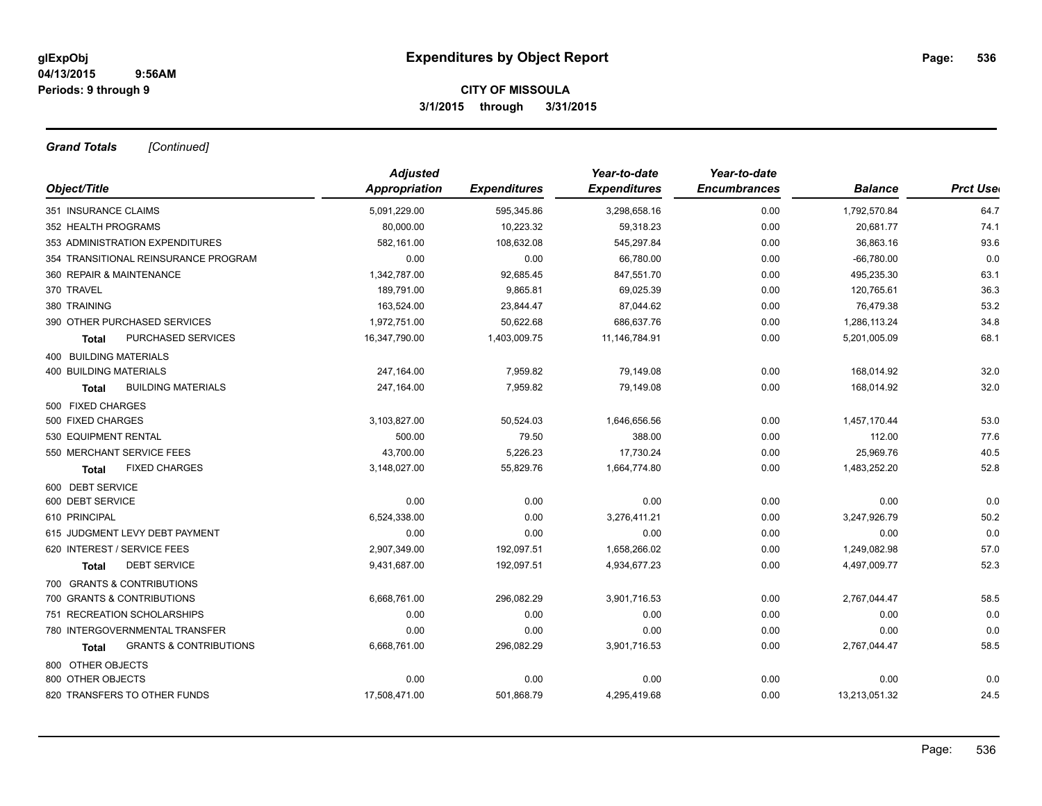*Grand Totals [Continued]*

|                                            | <b>Adjusted</b> |                     | Year-to-date        | Year-to-date        |                |                 |
|--------------------------------------------|-----------------|---------------------|---------------------|---------------------|----------------|-----------------|
| Object/Title                               | Appropriation   | <b>Expenditures</b> | <b>Expenditures</b> | <b>Encumbrances</b> | <b>Balance</b> | <b>Prct Use</b> |
| 351 INSURANCE CLAIMS                       | 5,091,229.00    | 595,345.86          | 3,298,658.16        | 0.00                | 1,792,570.84   | 64.7            |
| 352 HEALTH PROGRAMS                        | 80,000.00       | 10,223.32           | 59,318.23           | 0.00                | 20,681.77      | 74.1            |
| 353 ADMINISTRATION EXPENDITURES            | 582,161.00      | 108,632.08          | 545,297.84          | 0.00                | 36,863.16      | 93.6            |
| 354 TRANSITIONAL REINSURANCE PROGRAM       | 0.00            | 0.00                | 66,780.00           | 0.00                | $-66,780.00$   | 0.0             |
| 360 REPAIR & MAINTENANCE                   | 1,342,787.00    | 92,685.45           | 847,551.70          | 0.00                | 495,235.30     | 63.1            |
| 370 TRAVEL                                 | 189,791.00      | 9,865.81            | 69,025.39           | 0.00                | 120,765.61     | 36.3            |
| 380 TRAINING                               | 163,524.00      | 23,844.47           | 87,044.62           | 0.00                | 76,479.38      | 53.2            |
| 390 OTHER PURCHASED SERVICES               | 1,972,751.00    | 50.622.68           | 686,637.76          | 0.00                | 1,286,113.24   | 34.8            |
| <b>PURCHASED SERVICES</b><br>Total         | 16,347,790.00   | 1,403,009.75        | 11,146,784.91       | 0.00                | 5,201,005.09   | 68.1            |
| <b>400 BUILDING MATERIALS</b>              |                 |                     |                     |                     |                |                 |
| <b>400 BUILDING MATERIALS</b>              | 247,164.00      | 7,959.82            | 79,149.08           | 0.00                | 168,014.92     | 32.0            |
| <b>BUILDING MATERIALS</b><br>Total         | 247.164.00      | 7,959.82            | 79,149.08           | 0.00                | 168,014.92     | 32.0            |
| 500 FIXED CHARGES                          |                 |                     |                     |                     |                |                 |
| 500 FIXED CHARGES                          | 3,103,827.00    | 50,524.03           | 1,646,656.56        | 0.00                | 1,457,170.44   | 53.0            |
| 530 EQUIPMENT RENTAL                       | 500.00          | 79.50               | 388.00              | 0.00                | 112.00         | 77.6            |
| 550 MERCHANT SERVICE FEES                  | 43,700.00       | 5,226.23            | 17,730.24           | 0.00                | 25,969.76      | 40.5            |
| <b>FIXED CHARGES</b><br>Total              | 3,148,027.00    | 55,829.76           | 1,664,774.80        | 0.00                | 1,483,252.20   | 52.8            |
| 600 DEBT SERVICE                           |                 |                     |                     |                     |                |                 |
| 600 DEBT SERVICE                           | 0.00            | 0.00                | 0.00                | 0.00                | 0.00           | 0.0             |
| 610 PRINCIPAL                              | 6,524,338.00    | 0.00                | 3,276,411.21        | 0.00                | 3,247,926.79   | 50.2            |
| 615 JUDGMENT LEVY DEBT PAYMENT             | 0.00            | 0.00                | 0.00                | 0.00                | 0.00           | 0.0             |
| 620 INTEREST / SERVICE FEES                | 2,907,349.00    | 192,097.51          | 1,658,266.02        | 0.00                | 1,249,082.98   | 57.0            |
| <b>DEBT SERVICE</b><br>Total               | 9,431,687.00    | 192,097.51          | 4,934,677.23        | 0.00                | 4,497,009.77   | 52.3            |
| 700 GRANTS & CONTRIBUTIONS                 |                 |                     |                     |                     |                |                 |
| 700 GRANTS & CONTRIBUTIONS                 | 6,668,761.00    | 296,082.29          | 3,901,716.53        | 0.00                | 2,767,044.47   | 58.5            |
| 751 RECREATION SCHOLARSHIPS                | 0.00            | 0.00                | 0.00                | 0.00                | 0.00           | 0.0             |
| 780 INTERGOVERNMENTAL TRANSFER             | 0.00            | 0.00                | 0.00                | 0.00                | 0.00           | 0.0             |
| <b>GRANTS &amp; CONTRIBUTIONS</b><br>Total | 6,668,761.00    | 296,082.29          | 3,901,716.53        | 0.00                | 2,767,044.47   | 58.5            |
| 800 OTHER OBJECTS                          |                 |                     |                     |                     |                |                 |
| 800 OTHER OBJECTS                          | 0.00            | 0.00                | 0.00                | 0.00                | 0.00           | 0.0             |
| 820 TRANSFERS TO OTHER FUNDS               | 17,508,471.00   | 501,868.79          | 4,295,419.68        | 0.00                | 13,213,051.32  | 24.5            |